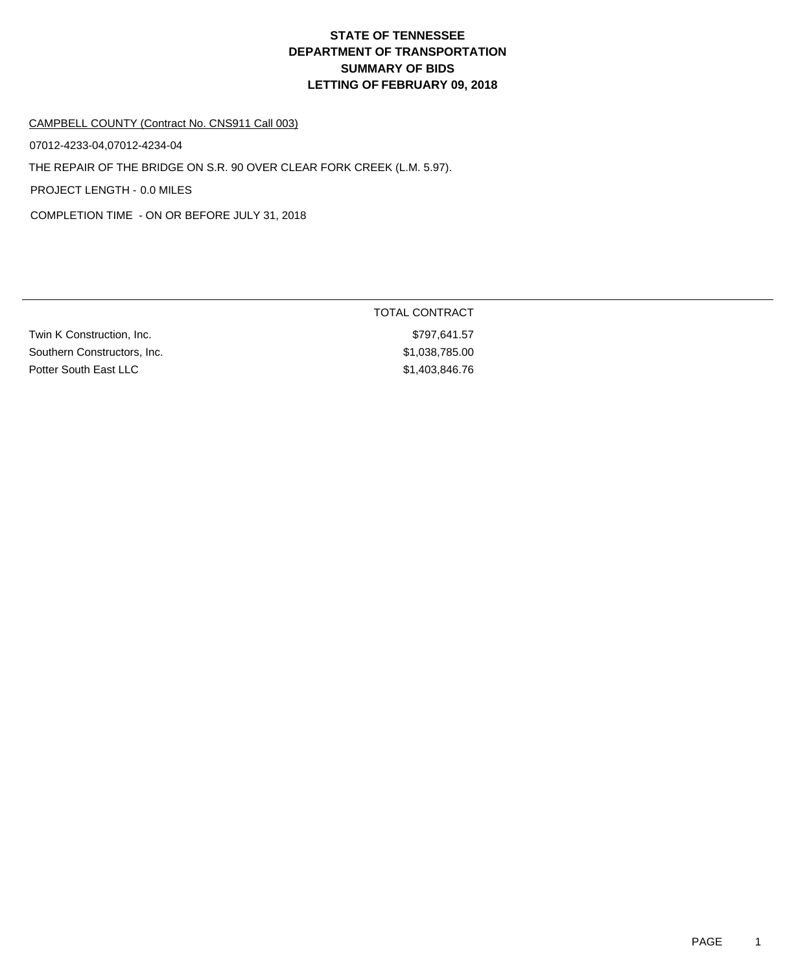#### CAMPBELL COUNTY (Contract No. CNS911 Call 003)

07012-4233-04,07012-4234-04

THE REPAIR OF THE BRIDGE ON S.R. 90 OVER CLEAR FORK CREEK (L.M. 5.97).

PROJECT LENGTH - 0.0 MILES

COMPLETION TIME - ON OR BEFORE JULY 31, 2018

|                             | TOTAL CONTRACT |
|-----------------------------|----------------|
| Twin K Construction, Inc.   | \$797.641.57   |
| Southern Constructors, Inc. | \$1,038,785.00 |
| Potter South East LLC       | \$1,403,846.76 |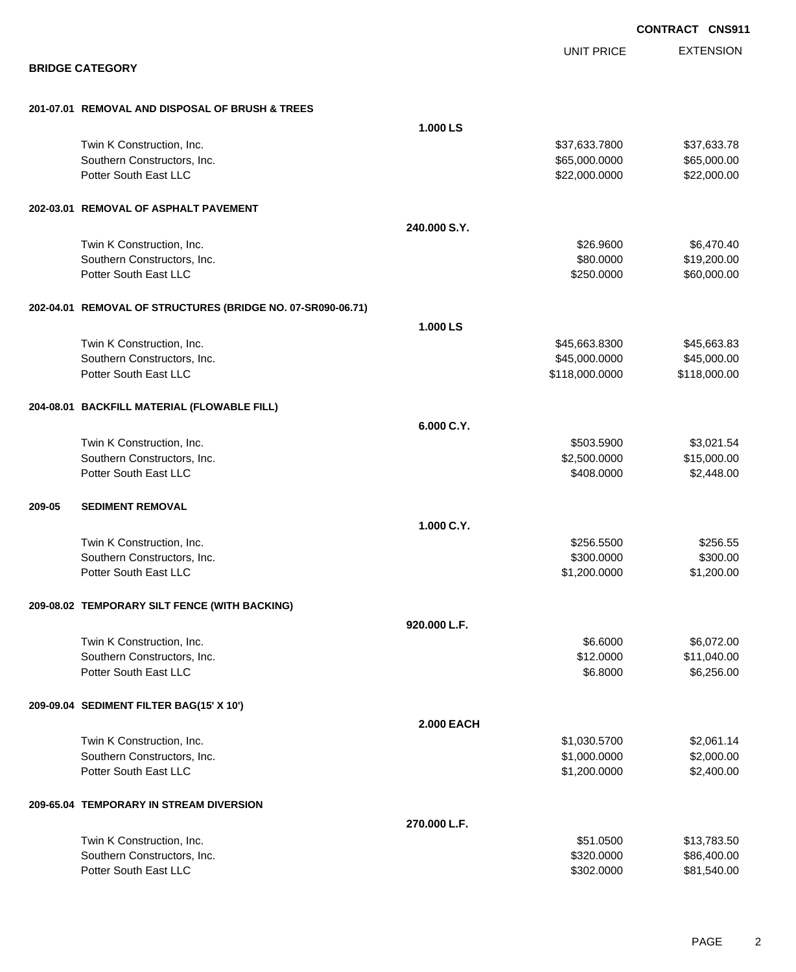EXTENSION **CONTRACT CNS911** UNIT PRICE **BRIDGE CATEGORY 201-07.01 REMOVAL AND DISPOSAL OF BRUSH & TREES 1.000 LS** Twin K Construction, Inc. 637,633.7800 \$37,633.7800 \$37,633.7800 \$37,633.7800 \$37,633.7800 \$37,633.78 Southern Constructors, Inc. 665,000.000 \$65,000.000 \$65,000.000 \$65,000.000 \$65,000.000 \$65,000.00 Potter South East LLC  $$22,000.0000$   $$22,000.000$ **202-03.01 REMOVAL OF ASPHALT PAVEMENT 240.000 S.Y.** Twin K Construction, Inc. 66,470.40 Southern Constructors, Inc. 6. The Constructors of the Constructors of the Constructors, Inc. 6. The Constructors of the Constructors of the Constructors of the Constructors of the Constructors of the Constructors of the C Potter South East LLC 60,000.00 \$60,000.00 \$60,000.00 \$60,000.00 \$60,000.00 \$60,000.00 \$60,000.00 \$60,000.00 \$ **202-04.01 REMOVAL OF STRUCTURES (BRIDGE NO. 07-SR090-06.71) 1.000 LS** Twin K Construction, Inc. 63.8300 \$45,663.8300 \$45,663.8300 \$45,663.8300 Southern Constructors, Inc. 66 and the constructors, Inc. 645,000.000 \$45,000.000 \$45,000.000 \$45,000.00 Potter South East LLC 6. The Superior State of the State of the State of State of State of State of State of State of State of State of State of State of State of State of State of State of State of State of State of State **204-08.01 BACKFILL MATERIAL (FLOWABLE FILL) 6.000 C.Y.** Twin K Construction, Inc. 63,021.54 Southern Constructors, Inc. 6. The Constructors, Inc. 6. The Constructors, Inc. 6. The Constructors, Inc. 6. The Constructors of the Constructors, Inc. 6. The Constructors of the Constructors, Inc. 6. The Constructors of t Potter South East LLC  $$408.0000$  \$2,448.00 **209-05 SEDIMENT REMOVAL 1.000 C.Y.** Twin K Construction, Inc. \$256.5500 \$256.5500 \$256.5500 \$256.5500 \$256.5500 \$256.5500 \$256.5500 \$256.5500 \$256 Southern Constructors, Inc. 6300.000 \$300.000 \$300.000 \$300.000 \$300.000 \$300.000 \$300.000 \$300.000 \$300.00 Potter South East LLC  $$1,200.0000$   $$1,200.000$ **209-08.02 TEMPORARY SILT FENCE (WITH BACKING) 920.000 L.F.** Twin K Construction, Inc. 6. The state of the state of the state of the state of the state of the state of the state of the state of the state of the state of the state of the state of the state of the state of the state o Southern Constructors, Inc. 6. The Constructors of the Constructors, Inc. 6. The Constructors, Inc. 6. The Constructors of the Constructors of the Constructors, Inc. 6. The Constructors of the Constructors of the Construct Potter South East LLC 6.8000 \$6.256.00 **209-09.04 SEDIMENT FILTER BAG(15' X 10') 2.000 EACH** Twin K Construction, Inc. 68.1.14 Southern Constructors, Inc. 6. The Constructors, Inc. 6. The Constructors, Inc. 6. The Constructors, Inc. 6. The Constructors of the Constructors, Inc. 6. The Constructors of the Constructors, Inc. 6. The Constructors of t Potter South East LLC 6. 2.400.00 \$2,400.00 \$2,400.00 \$2,400.00 \$2,400.00 \$2,400.00 \$2,400.00 \$2,400.00 \$2,400 **209-65.04 TEMPORARY IN STREAM DIVERSION 270.000 L.F.** Twin K Construction, Inc. 6. The Construction of the Construction of the Construction, Inc. 613,783.50 Southern Constructors, Inc. 6. The Constructors of the Constructors of the Constructors, Inc. 686,400.00

Potter South East LLC 6 281,540.00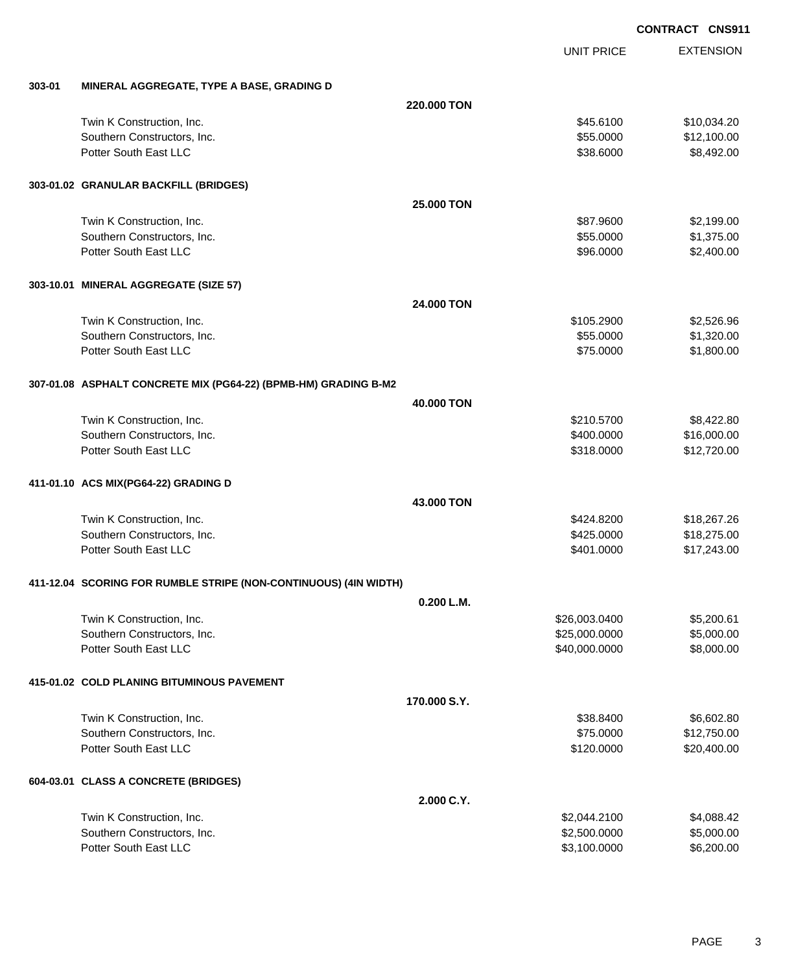EXTENSION UNIT PRICE **303-01 MINERAL AGGREGATE, TYPE A BASE, GRADING D 220.000 TON** Twin K Construction, Inc. 6. The Construction, Inc. 6. The Construction, Inc. 6. The Construction, Inc. 6. The Construction of the Construction, Inc. 6. The Construction, Inc. 6. The Construction, Inc. 6. The Construction Southern Constructors, Inc. 6. The Constructors of the Constructors, Inc. 6. The Constructors, Inc. 6. The Constructors of the Constructors of the Constructors of the Constructors of the Constructors of the Constructors of Potter South East LLC  $$38.6000$  \$8,492.00 **303-01.02 GRANULAR BACKFILL (BRIDGES) 25.000 TON** Twin K Construction, Inc. 6. The Construction of the Construction of the Construction, Inc. 6. The Construction of the Construction of the Construction of the Construction of the Construction of the Construction of the Con Southern Constructors, Inc. 6. The Southern Constructors, Inc. 6. The Southern Constructors, Inc. 6. The Southern Constructors, Inc. 6. The Southern Constructors, Inc. 6. The Southern Constructors, Inc. 6. The Southern Con Potter South East LLC  $$96.0000$  \$2,400.00 **303-10.01 MINERAL AGGREGATE (SIZE 57) 24.000 TON** Twin K Construction, Inc. 6. The Construction of the Construction of the Construction, Inc. 6. The Construction of the Construction of the Construction of the Construction of the Construction of the Construction of the Con Southern Constructors, Inc. 6. The Southern Constructors, Inc. 6. The Southern Constructors, Inc. 6. The Southern Constructors, Inc. 6. The Southern Constructors, Inc. 6. The Southern Constructors, Inc. 6. The Southern Con Potter South East LLC  $$75.0000$   $$1,800.00$ **307-01.08 ASPHALT CONCRETE MIX (PG64-22) (BPMB-HM) GRADING B-M2 40.000 TON** Twin K Construction, Inc. 68,422.80 Southern Constructors, Inc. 6. The Constructors of the Constructors, Inc. 6. The Constructors, Inc. 6. The Constructors of the Constructors of the Constructors of the Constructors of the Constructors of the Constructors of Potter South East LLC  $$318.0000$   $$12,720.00$ **411-01.10 ACS MIX(PG64-22) GRADING D 43.000 TON** Twin K Construction, Inc. 68 and the state of the state of the state of the state of the state of the state of the state  $$424.8200$ Southern Constructors, Inc. 6. The Constructors of the Constructors, Inc. 6. The Constructors, Inc. 6. The Constructors of the Constructors of the Constructors, Inc. 6. The Constructors of the Constructors of the Construct Potter South East LLC  $$401.0000$   $$17,243.00$ **411-12.04 SCORING FOR RUMBLE STRIPE (NON-CONTINUOUS) (4IN WIDTH) 0.200 L.M.** Twin K Construction, Inc. \$26,003.0400 \$5,200.61 Southern Constructors, Inc. 6. 25,000,000 \$5,000.000 \$5,000.000 \$5,000.000 \$5,000.00 Potter South East LLC 6. The South East LLC 6. The State of the State of the State of the State of the State of State of the State of the State of the State of the State of the State of the State of the State of the State **415-01.02 COLD PLANING BITUMINOUS PAVEMENT 170.000 S.Y.** Twin K Construction, Inc. 66,602.80 \$6,602.80 \$58.8400 \$6,602.80 Southern Constructors, Inc. 6. The Southern Constructors, Inc. 6. The Southern Constructors, Inc. 6. The Southern Constructors, Inc. 6. The Southern Constructors, Inc. 6. The Southern Constructors, Inc. 6. The Southern Con Potter South East LLC 6 200.400.00 \$20,400.00 **604-03.01 CLASS A CONCRETE (BRIDGES) 2.000 C.Y.** Twin K Construction, Inc. \$2,044.2100 \$4,088.42 Southern Constructors, Inc. 6. The Constructors of the Constructors of the Constructors, Inc. 6.5000.000 \$5,000.000 \$5,000.00 Potter South East LLC 6.200.000 \$6,200.000 \$6,200.000 \$6,200.000 \$6,200.000 \$6,200.00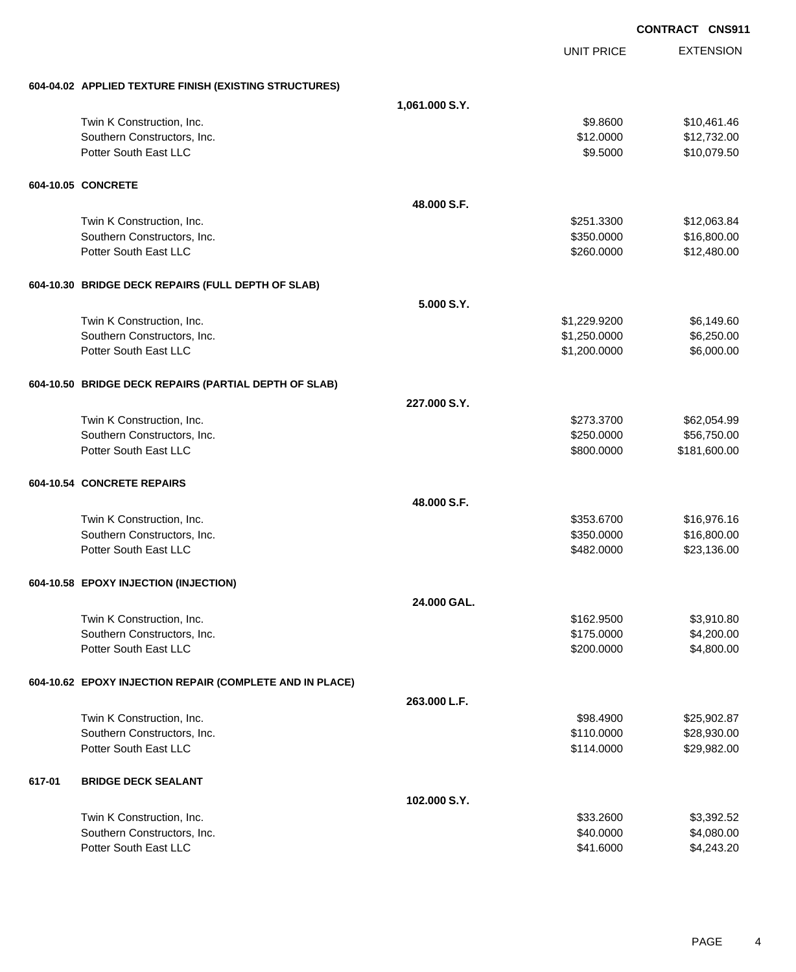|        |                                                          |                |                   | <b>CONTRACT CNS911</b> |
|--------|----------------------------------------------------------|----------------|-------------------|------------------------|
|        |                                                          |                | <b>UNIT PRICE</b> | <b>EXTENSION</b>       |
|        | 604-04.02 APPLIED TEXTURE FINISH (EXISTING STRUCTURES)   |                |                   |                        |
|        |                                                          | 1,061.000 S.Y. |                   |                        |
|        | Twin K Construction, Inc.                                |                | \$9.8600          | \$10,461.46            |
|        | Southern Constructors, Inc.                              |                | \$12.0000         | \$12,732.00            |
|        | Potter South East LLC                                    |                | \$9.5000          | \$10,079.50            |
|        | 604-10.05 CONCRETE                                       |                |                   |                        |
|        |                                                          | 48,000 S.F.    |                   |                        |
|        | Twin K Construction, Inc.                                |                | \$251.3300        | \$12,063.84            |
|        | Southern Constructors, Inc.                              |                | \$350.0000        | \$16,800.00            |
|        | Potter South East LLC                                    |                | \$260.0000        | \$12,480.00            |
|        | 604-10.30 BRIDGE DECK REPAIRS (FULL DEPTH OF SLAB)       |                |                   |                        |
|        |                                                          | 5.000 S.Y.     |                   |                        |
|        | Twin K Construction, Inc.                                |                | \$1,229.9200      | \$6,149.60             |
|        | Southern Constructors, Inc.                              |                | \$1,250.0000      | \$6,250.00             |
|        | Potter South East LLC                                    |                | \$1,200.0000      | \$6,000.00             |
|        | 604-10.50 BRIDGE DECK REPAIRS (PARTIAL DEPTH OF SLAB)    |                |                   |                        |
|        |                                                          | 227.000 S.Y.   |                   |                        |
|        | Twin K Construction, Inc.                                |                | \$273.3700        | \$62,054.99            |
|        | Southern Constructors, Inc.                              |                | \$250.0000        | \$56,750.00            |
|        | Potter South East LLC                                    |                | \$800.0000        | \$181,600.00           |
|        | 604-10.54 CONCRETE REPAIRS                               |                |                   |                        |
|        |                                                          | 48,000 S.F.    |                   |                        |
|        | Twin K Construction, Inc.                                |                | \$353.6700        | \$16,976.16            |
|        | Southern Constructors, Inc.                              |                | \$350.0000        | \$16,800.00            |
|        | Potter South East LLC                                    |                | \$482.0000        | \$23,136.00            |
|        | 604-10.58 EPOXY INJECTION (INJECTION)                    |                |                   |                        |
|        |                                                          | 24.000 GAL.    |                   |                        |
|        | Twin K Construction, Inc.                                |                | \$162.9500        | \$3,910.80             |
|        | Southern Constructors, Inc.                              |                | \$175.0000        | \$4,200.00             |
|        | Potter South East LLC                                    |                | \$200.0000        | \$4,800.00             |
|        | 604-10.62 EPOXY INJECTION REPAIR (COMPLETE AND IN PLACE) |                |                   |                        |
|        |                                                          | 263.000 L.F.   |                   |                        |
|        | Twin K Construction, Inc.                                |                | \$98.4900         | \$25,902.87            |
|        | Southern Constructors, Inc.                              |                | \$110.0000        | \$28,930.00            |
|        | Potter South East LLC                                    |                | \$114.0000        | \$29,982.00            |
| 617-01 | <b>BRIDGE DECK SEALANT</b>                               |                |                   |                        |
|        |                                                          | 102.000 S.Y.   |                   |                        |
|        | Twin K Construction, Inc.                                |                | \$33.2600         | \$3,392.52             |
|        | Southern Constructors, Inc.                              |                | \$40.0000         | \$4,080.00             |
|        | Potter South East LLC                                    |                | \$41.6000         | \$4,243.20             |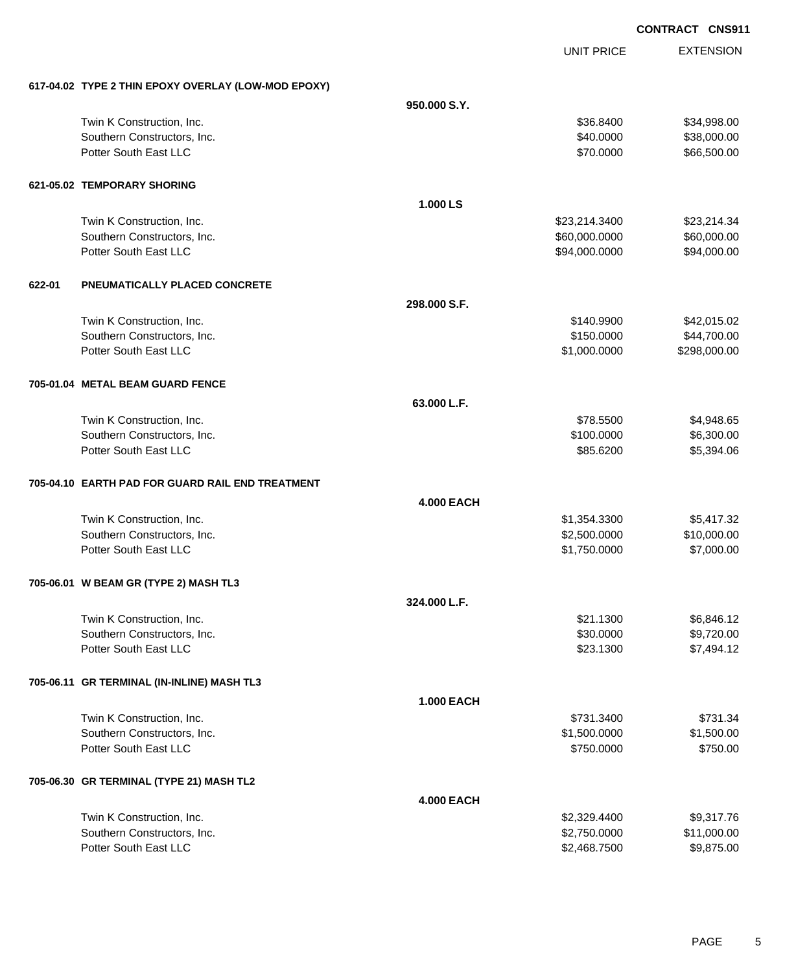EXTENSION UNIT PRICE **617-04.02 TYPE 2 THIN EPOXY OVERLAY (LOW-MOD EPOXY) 950.000 S.Y.** Twin K Construction, Inc. 634,998.00 \$34,998.00 \$34,998.00 \$34,998.00 \$34,998.00 Southern Constructors, Inc. 6. The Constructors of the Constructors, Inc. 6. The Constructors, Inc. 6. The Constructors of the Constructors of the Constructors of the Constructors of the Constructors of the Constructors of Potter South East LLC  $$70.0000$  \$66,500.00 **621-05.02 TEMPORARY SHORING 1.000 LS** Twin K Construction, Inc. 623,214.3400 \$23,214.3400 \$23,214.3400 \$23,214.3400 \$23,214.3400 \$23,214.34 Southern Constructors, Inc. 660,000.000 \$60,000.000 \$60,000.000 \$60,000.000 \$60,000.000 \$60,000.00 Potter South East LLC  $$94,000.0000$   $$94,000.000$ **622-01 PNEUMATICALLY PLACED CONCRETE 298.000 S.F.** Twin K Construction, Inc. \$140.9900 \$42,015.02 Southern Constructors, Inc. 644,700.00 \$44,700.00 \$44,700.00 Potter South East LLC 6 298,000.000 \$298,000.000 \$298,000.000 \$298,000.000 \$298,000.00 **705-01.04 METAL BEAM GUARD FENCE 63.000 L.F.** Twin K Construction, Inc. 66 and the state of the state of the state of the state of the state of the state of the state of the state of the state of the state of the state of the state of the state of the state of the sta Southern Constructors, Inc. 6. The Constructors of the Constructors, Inc. 6.300.000 \$6,300.00 Potter South East LLC 6 and the South East LLC 6 and the State of the State of the State of the State of the State of the State of the State of the State of the State of the State of the State of the State of the State of **705-04.10 EARTH PAD FOR GUARD RAIL END TREATMENT 4.000 EACH** Twin K Construction, Inc. 65,417.32 Southern Constructors, Inc. 6. 2.500.000 \$10,000.00 \$10,000.00 Potter South East LLC  $$1,750.0000$   $$7,000.00$ **705-06.01 W BEAM GR (TYPE 2) MASH TL3 324.000 L.F.** Twin K Construction, Inc. \$2.846.12 Southern Constructors, Inc. 6. The Constructors of the Constructors, Inc. 6. The Constructors, Inc. 6. The Constructors of the Constructors of the Constructors of the Constructors of the Constructors of the Constructors of Potter South East LLC  $$23.1300$   $$7,494.12$ **705-06.11 GR TERMINAL (IN-INLINE) MASH TL3 1.000 EACH** Twin K Construction, Inc. \$731.3400 \$731.3400 \$731.3400 \$731.3400 \$731.3400 \$731.34 Southern Constructors, Inc. 6. The Southern Constructors, Inc. 6. The Southern Constructors, Inc. 6. The Southern Constructors, Inc. 6. The Southern Constructors, Inc. 6. The Southern Constructors, Inc. 6. The Southern Con Potter South East LLC 6750.000 \$750.000 \$750.000 \$750.000 \$750.000 \$750.000 \$750.000 \$750.00 **705-06.30 GR TERMINAL (TYPE 21) MASH TL2 4.000 EACH** Twin K Construction, Inc. 6. 2008 17:00 189,317.76 Southern Constructors, Inc. 6. The Constructors of the Constructors of the Constructors, Inc. 6.11,000.00 Potter South East LLC **\$2,468.7500** \$9,875.00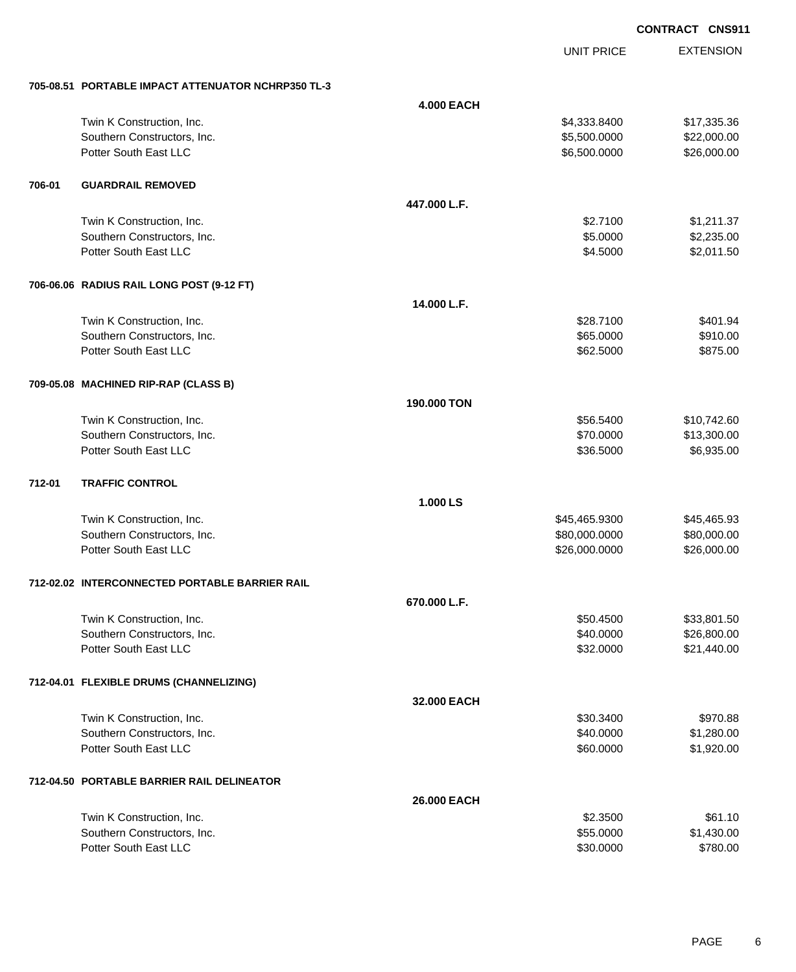UNIT PRICE

EXTENSION

|        | 705-08.51 PORTABLE IMPACT ATTENUATOR NCHRP350 TL-3       |                   |                        |                            |
|--------|----------------------------------------------------------|-------------------|------------------------|----------------------------|
|        |                                                          | <b>4.000 EACH</b> |                        |                            |
|        | Twin K Construction, Inc.                                |                   | \$4,333.8400           | \$17,335.36                |
|        | Southern Constructors, Inc.                              |                   | \$5,500.0000           | \$22,000.00                |
|        | Potter South East LLC                                    |                   | \$6,500.0000           | \$26,000.00                |
|        |                                                          |                   |                        |                            |
| 706-01 | <b>GUARDRAIL REMOVED</b>                                 |                   |                        |                            |
|        |                                                          | 447.000 L.F.      |                        |                            |
|        | Twin K Construction, Inc.                                |                   | \$2.7100               | \$1,211.37                 |
|        | Southern Constructors, Inc.                              |                   | \$5.0000               | \$2,235.00                 |
|        | Potter South East LLC                                    |                   | \$4.5000               | \$2,011.50                 |
|        | 706-06.06 RADIUS RAIL LONG POST (9-12 FT)                |                   |                        |                            |
|        |                                                          | 14.000 L.F.       |                        |                            |
|        | Twin K Construction, Inc.                                |                   | \$28.7100              | \$401.94                   |
|        | Southern Constructors, Inc.                              |                   | \$65.0000              | \$910.00                   |
|        | Potter South East LLC                                    |                   | \$62.5000              | \$875.00                   |
|        | 709-05.08 MACHINED RIP-RAP (CLASS B)                     |                   |                        |                            |
|        |                                                          | 190.000 TON       |                        |                            |
|        |                                                          |                   |                        |                            |
|        | Twin K Construction, Inc.<br>Southern Constructors, Inc. |                   | \$56.5400<br>\$70.0000 | \$10,742.60<br>\$13,300.00 |
|        | Potter South East LLC                                    |                   | \$36.5000              | \$6,935.00                 |
|        |                                                          |                   |                        |                            |
| 712-01 | <b>TRAFFIC CONTROL</b>                                   |                   |                        |                            |
|        |                                                          | 1.000 LS          |                        |                            |
|        | Twin K Construction, Inc.                                |                   | \$45,465.9300          | \$45,465.93                |
|        | Southern Constructors, Inc.                              |                   | \$80,000.0000          | \$80,000.00                |
|        | Potter South East LLC                                    |                   | \$26,000.0000          | \$26,000.00                |
|        | 712-02.02 INTERCONNECTED PORTABLE BARRIER RAIL           |                   |                        |                            |
|        |                                                          | 670.000 L.F.      |                        |                            |
|        | Twin K Construction, Inc.                                |                   | \$50.4500              | \$33,801.50                |
|        | Southern Constructors, Inc.                              |                   | \$40.0000              | \$26,800.00                |
|        | Potter South East LLC                                    |                   | \$32.0000              | \$21,440.00                |
|        | 712-04.01 FLEXIBLE DRUMS (CHANNELIZING)                  |                   |                        |                            |
|        |                                                          | 32.000 EACH       |                        |                            |
|        | Twin K Construction, Inc.                                |                   | \$30.3400              | \$970.88                   |
|        | Southern Constructors, Inc.                              |                   | \$40.0000              | \$1,280.00                 |
|        | Potter South East LLC                                    |                   | \$60.0000              | \$1,920.00                 |
|        | 712-04.50 PORTABLE BARRIER RAIL DELINEATOR               |                   |                        |                            |
|        |                                                          | 26.000 EACH       |                        |                            |
|        | Twin K Construction, Inc.                                |                   | \$2.3500               | \$61.10                    |
|        | Southern Constructors, Inc.                              |                   | \$55.0000              | \$1,430.00                 |
|        | Potter South East LLC                                    |                   | \$30.0000              | \$780.00                   |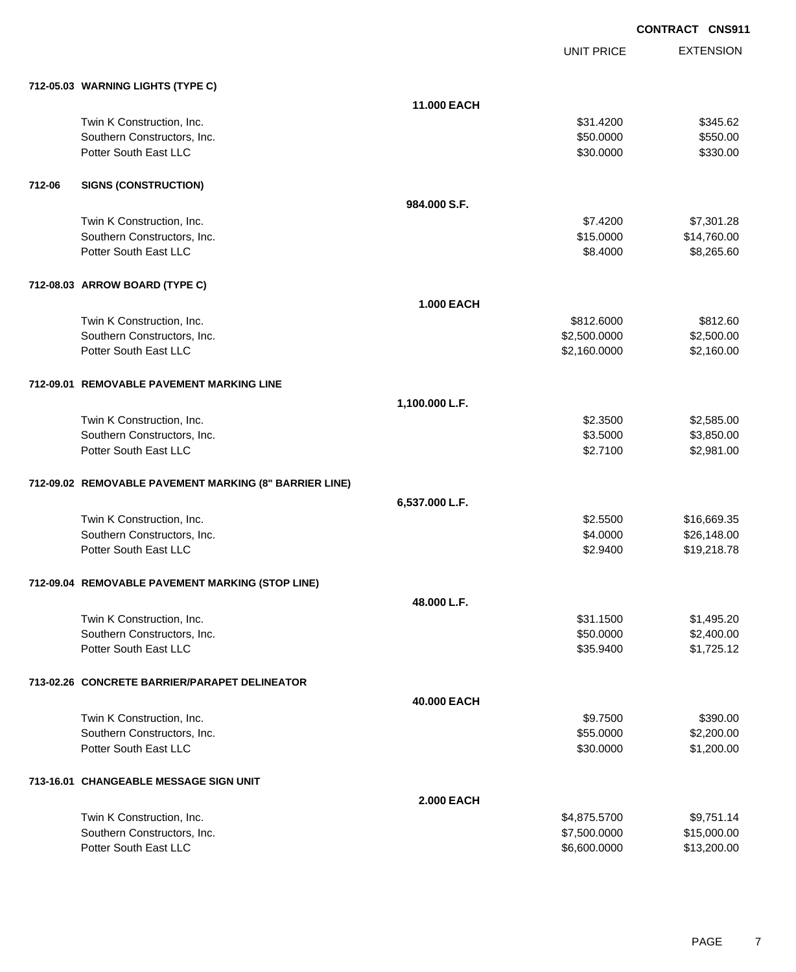UNIT PRICE EXTENSION

|        | 712-05.03 WARNING LIGHTS (TYPE C)                      |                   |              |             |
|--------|--------------------------------------------------------|-------------------|--------------|-------------|
|        |                                                        | 11.000 EACH       |              |             |
|        | Twin K Construction, Inc.                              |                   | \$31.4200    | \$345.62    |
|        | Southern Constructors, Inc.                            |                   | \$50.0000    | \$550.00    |
|        | Potter South East LLC                                  |                   | \$30.0000    | \$330.00    |
| 712-06 | <b>SIGNS (CONSTRUCTION)</b>                            |                   |              |             |
|        |                                                        | 984.000 S.F.      |              |             |
|        | Twin K Construction, Inc.                              |                   | \$7.4200     | \$7,301.28  |
|        | Southern Constructors, Inc.                            |                   | \$15.0000    | \$14,760.00 |
|        | Potter South East LLC                                  |                   | \$8.4000     | \$8,265.60  |
|        | 712-08.03 ARROW BOARD (TYPE C)                         |                   |              |             |
|        |                                                        | <b>1.000 EACH</b> |              |             |
|        | Twin K Construction, Inc.                              |                   | \$812.6000   | \$812.60    |
|        | Southern Constructors, Inc.                            |                   | \$2,500.0000 | \$2,500.00  |
|        | Potter South East LLC                                  |                   | \$2,160.0000 | \$2,160.00  |
|        | 712-09.01 REMOVABLE PAVEMENT MARKING LINE              |                   |              |             |
|        |                                                        | 1,100.000 L.F.    |              |             |
|        | Twin K Construction, Inc.                              |                   | \$2.3500     | \$2,585.00  |
|        | Southern Constructors, Inc.                            |                   | \$3.5000     | \$3,850.00  |
|        | Potter South East LLC                                  |                   | \$2.7100     | \$2,981.00  |
|        | 712-09.02 REMOVABLE PAVEMENT MARKING (8" BARRIER LINE) |                   |              |             |
|        |                                                        | 6,537.000 L.F.    |              |             |
|        | Twin K Construction, Inc.                              |                   | \$2.5500     | \$16,669.35 |
|        | Southern Constructors, Inc.                            |                   | \$4.0000     | \$26,148.00 |
|        | Potter South East LLC                                  |                   | \$2.9400     | \$19,218.78 |
|        | 712-09.04 REMOVABLE PAVEMENT MARKING (STOP LINE)       |                   |              |             |
|        |                                                        | 48.000 L.F.       |              |             |
|        | Twin K Construction, Inc.                              |                   | \$31.1500    | \$1,495.20  |
|        | Southern Constructors, Inc.                            |                   | \$50.0000    | \$2,400.00  |
|        | Potter South East LLC                                  |                   | \$35.9400    | \$1,725.12  |
|        | 713-02.26 CONCRETE BARRIER/PARAPET DELINEATOR          |                   |              |             |
|        |                                                        | 40.000 EACH       |              |             |
|        | Twin K Construction, Inc.                              |                   | \$9.7500     | \$390.00    |
|        | Southern Constructors, Inc.                            |                   | \$55.0000    | \$2,200.00  |
|        | Potter South East LLC                                  |                   | \$30.0000    | \$1,200.00  |
|        | 713-16.01 CHANGEABLE MESSAGE SIGN UNIT                 |                   |              |             |
|        |                                                        | <b>2.000 EACH</b> |              |             |
|        | Twin K Construction, Inc.                              |                   | \$4,875.5700 | \$9,751.14  |
|        | Southern Constructors, Inc.                            |                   | \$7,500.0000 | \$15,000.00 |
|        | Potter South East LLC                                  |                   | \$6,600.0000 | \$13,200.00 |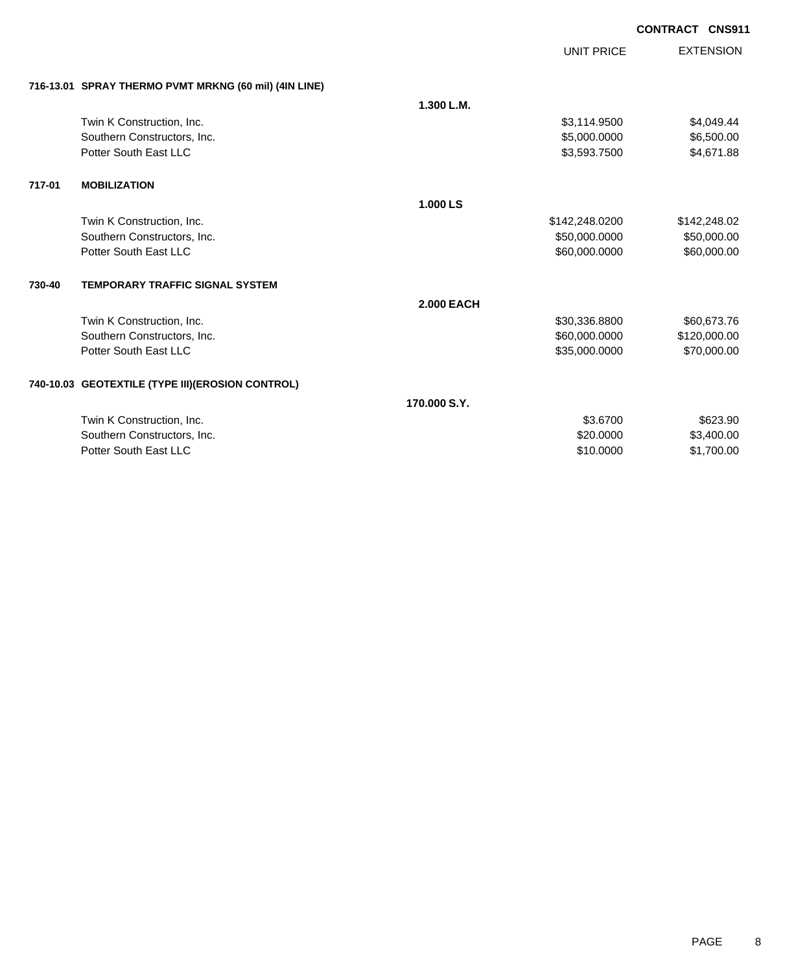|        |                                                       |                   | <b>UNIT PRICE</b> | <b>EXTENSION</b> |
|--------|-------------------------------------------------------|-------------------|-------------------|------------------|
|        | 716-13.01 SPRAY THERMO PVMT MRKNG (60 mil) (4IN LINE) |                   |                   |                  |
|        |                                                       | 1.300 L.M.        |                   |                  |
|        | Twin K Construction, Inc.                             |                   | \$3,114.9500      | \$4,049.44       |
|        | Southern Constructors, Inc.                           |                   | \$5,000.0000      | \$6,500.00       |
|        | Potter South East LLC                                 |                   | \$3,593.7500      | \$4,671.88       |
| 717-01 | <b>MOBILIZATION</b>                                   |                   |                   |                  |
|        |                                                       | 1.000 LS          |                   |                  |
|        | Twin K Construction, Inc.                             |                   | \$142,248.0200    | \$142,248.02     |
|        | Southern Constructors, Inc.                           |                   | \$50,000.0000     | \$50,000.00      |
|        | Potter South East LLC                                 |                   | \$60,000.0000     | \$60,000.00      |
| 730-40 | <b>TEMPORARY TRAFFIC SIGNAL SYSTEM</b>                |                   |                   |                  |
|        |                                                       | <b>2.000 EACH</b> |                   |                  |
|        | Twin K Construction, Inc.                             |                   | \$30,336.8800     | \$60,673.76      |
|        | Southern Constructors, Inc.                           |                   | \$60,000.0000     | \$120,000.00     |
|        | Potter South East LLC                                 |                   | \$35,000.0000     | \$70,000.00      |
|        | 740-10.03 GEOTEXTILE (TYPE III)(EROSION CONTROL)      |                   |                   |                  |
|        |                                                       | 170,000 S.Y.      |                   |                  |
|        | Twin K Construction, Inc.                             |                   | \$3,6700          | \$623.90         |
|        | Southern Constructors, Inc.                           |                   | \$20,0000         | \$3,400.00       |
|        | Potter South East LLC                                 |                   | \$10.0000         | \$1,700.00       |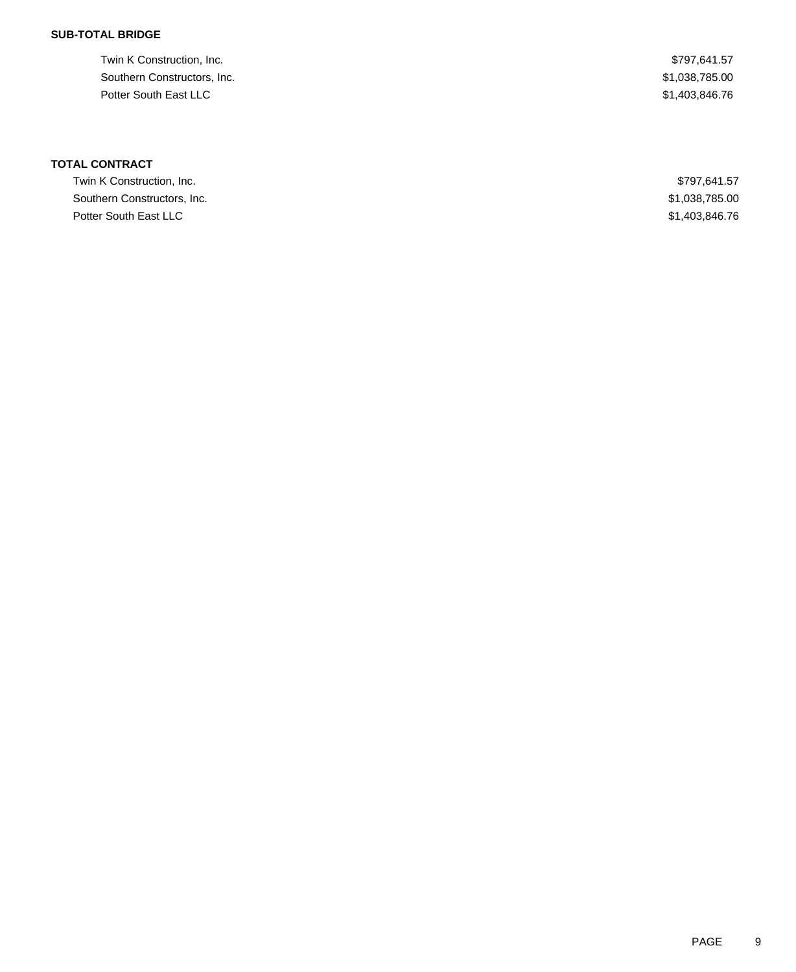#### **SUB-TOTAL BRIDGE**

Twin K Construction, Inc. 69. The Second State of the Second State of the Second State State State State State State State State State State State State State State State State State State State State State State State Sta Southern Constructors, Inc.  $$1,038,785.00$ Potter South East LLC \$1,403,846.76

## **TOTAL CONTRACT**

| Twin K Construction, Inc.   | \$797.641.57   |
|-----------------------------|----------------|
| Southern Constructors, Inc. | \$1,038,785.00 |
| Potter South East LLC       | \$1,403,846,76 |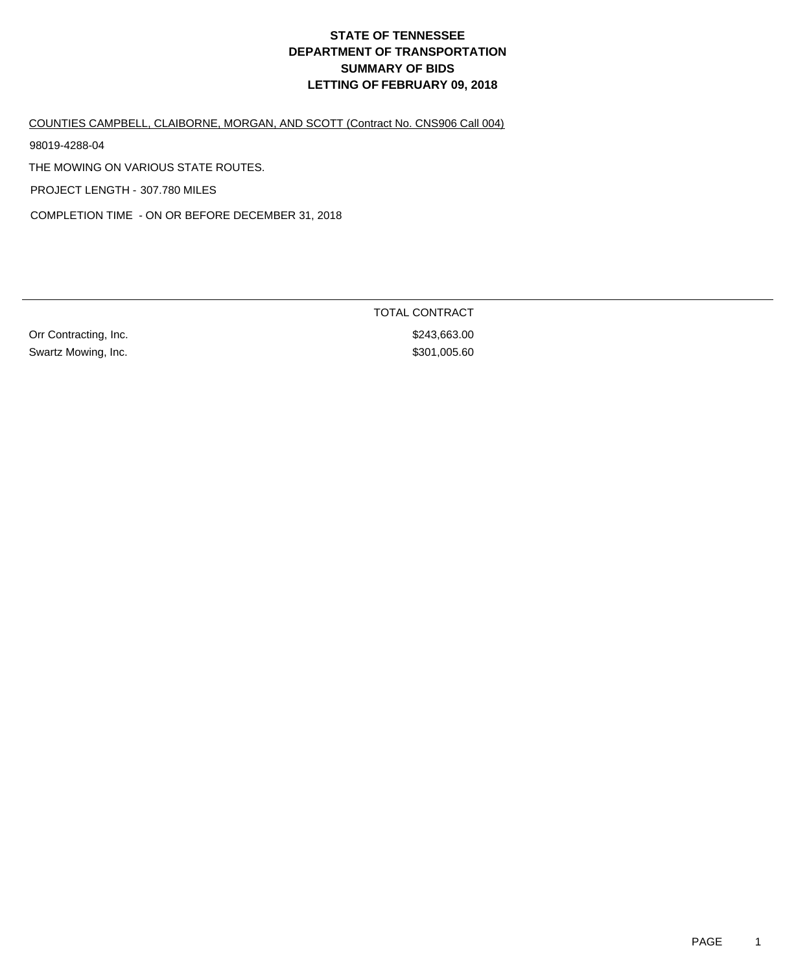COUNTIES CAMPBELL, CLAIBORNE, MORGAN, AND SCOTT (Contract No. CNS906 Call 004)

98019-4288-04

THE MOWING ON VARIOUS STATE ROUTES.

PROJECT LENGTH - 307.780 MILES

COMPLETION TIME - ON OR BEFORE DECEMBER 31, 2018

Orr Contracting, Inc. 63.000 Security 1.1 and 2011 Security 1.1 and 3243,663.00 Swartz Mowing, Inc. 60

TOTAL CONTRACT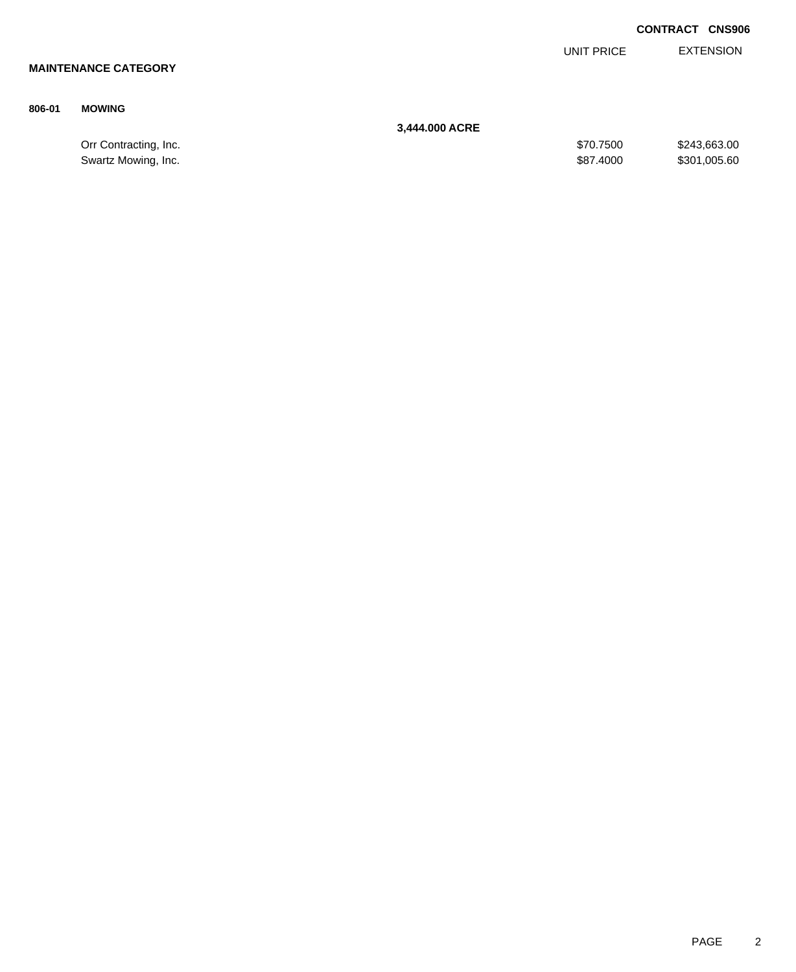|        |                             |                |            | <b>CONTRACT CNS906</b> |
|--------|-----------------------------|----------------|------------|------------------------|
|        |                             |                | UNIT PRICE | <b>EXTENSION</b>       |
|        | <b>MAINTENANCE CATEGORY</b> |                |            |                        |
|        |                             |                |            |                        |
| 806-01 | <b>MOWING</b>               |                |            |                        |
|        |                             | 3,444.000 ACRE |            |                        |
|        | Orr Contracting, Inc.       |                | \$70.7500  | \$243,663.00           |

Swartz Mowing, Inc. 60 and the state of the state of the state of the state of the state of the state of the state of the state of the state of the state of the state of the state of the state of the state of the state of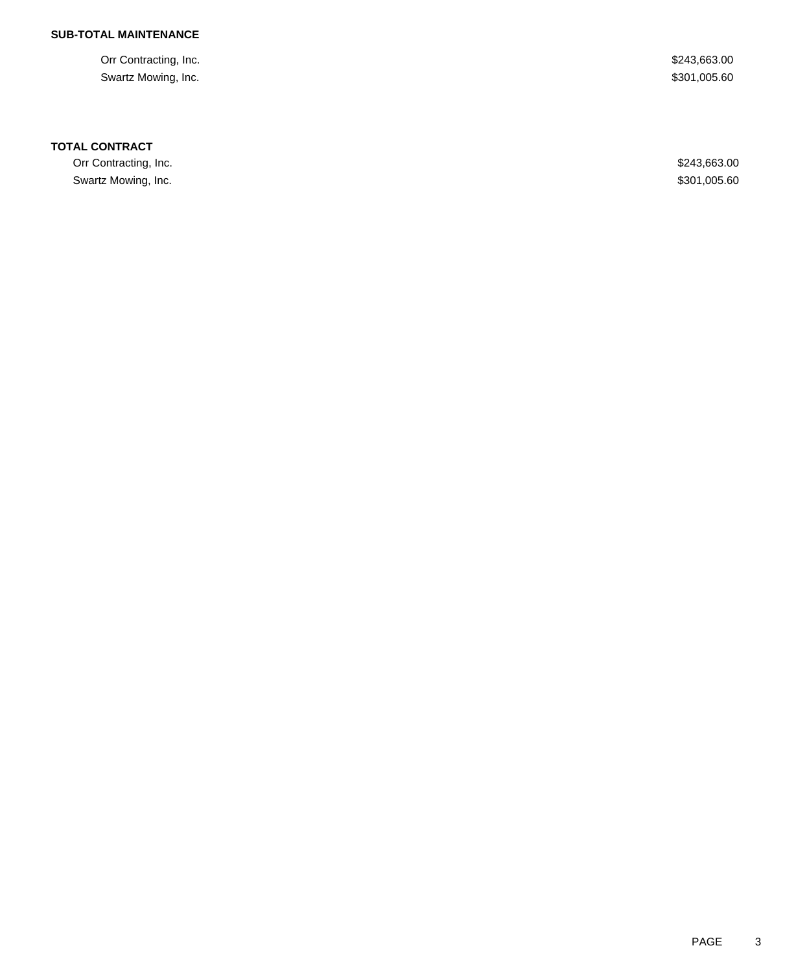#### **SUB-TOTAL MAINTENANCE**

Orr Contracting, Inc. \$243,663.00 Swartz Mowing, Inc. \$301,005.60

#### **TOTAL CONTRACT**

Orr Contracting, Inc. \$243,663.00 Swartz Mowing, Inc. \$301,005.60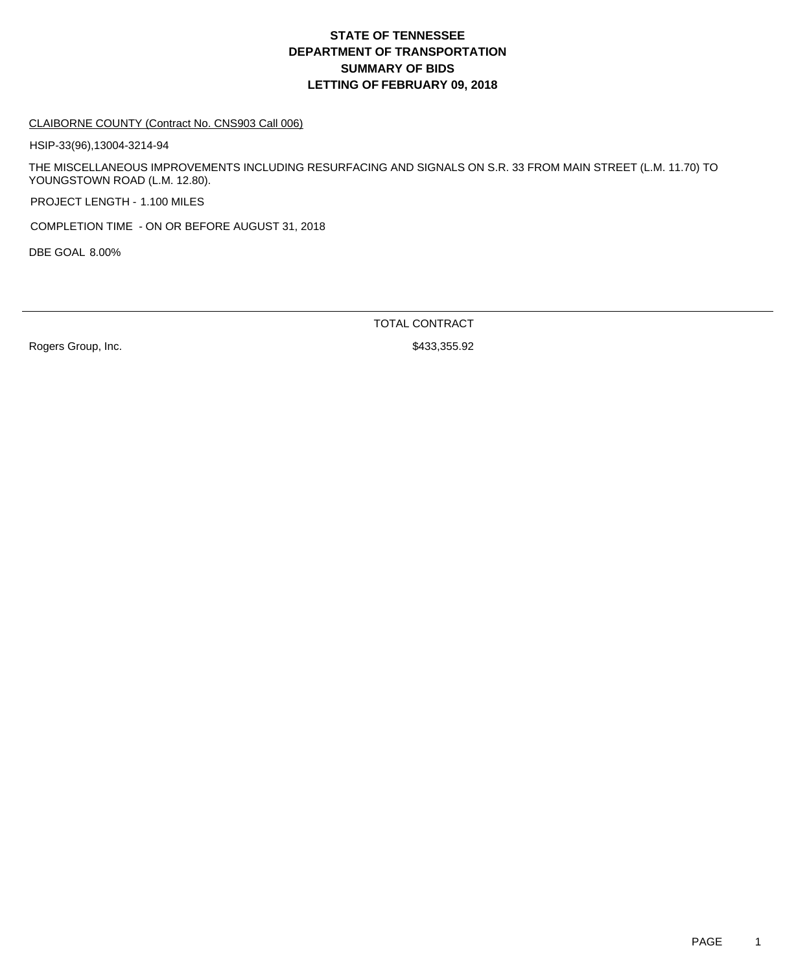#### CLAIBORNE COUNTY (Contract No. CNS903 Call 006)

HSIP-33(96),13004-3214-94

THE MISCELLANEOUS IMPROVEMENTS INCLUDING RESURFACING AND SIGNALS ON S.R. 33 FROM MAIN STREET (L.M. 11.70) TO YOUNGSTOWN ROAD (L.M. 12.80).

PROJECT LENGTH - 1.100 MILES

COMPLETION TIME - ON OR BEFORE AUGUST 31, 2018

DBE GOAL 8.00%

TOTAL CONTRACT

Rogers Group, Inc. 6. 2010 12:33,355.92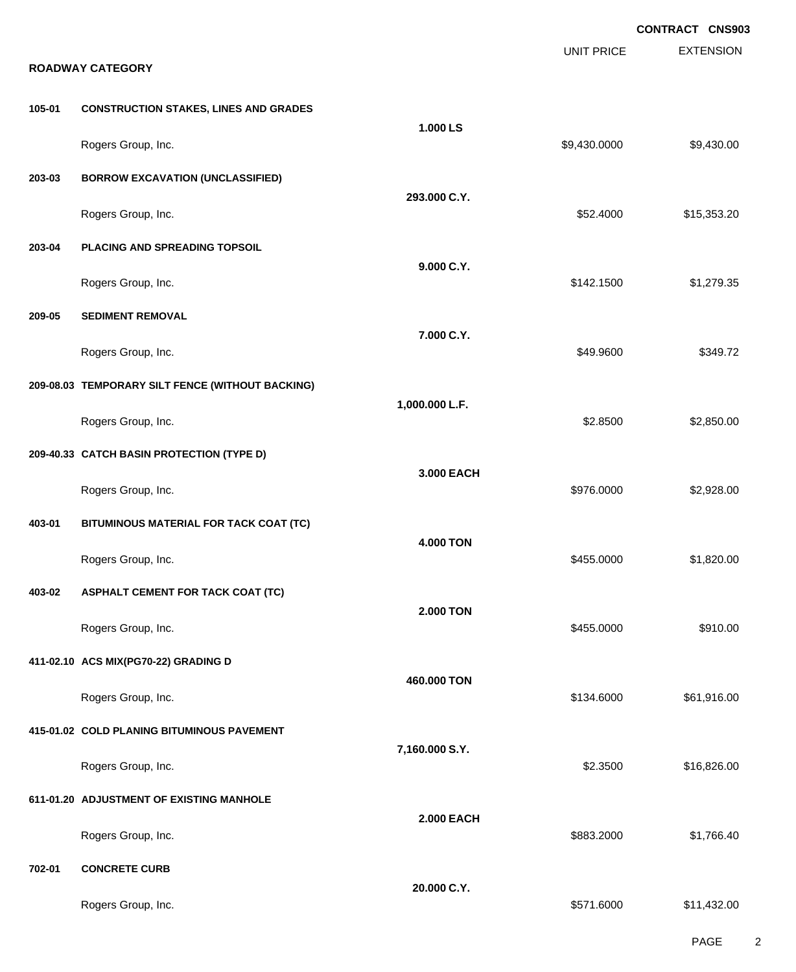|        | <b>ROADWAY CATEGORY</b>                          |                   | <b>UNIT PRICE</b> | <b>CONTRACT CNS903</b><br><b>EXTENSION</b> |
|--------|--------------------------------------------------|-------------------|-------------------|--------------------------------------------|
| 105-01 | <b>CONSTRUCTION STAKES, LINES AND GRADES</b>     |                   |                   |                                            |
|        | Rogers Group, Inc.                               | 1.000 LS          | \$9,430.0000      | \$9,430.00                                 |
| 203-03 | <b>BORROW EXCAVATION (UNCLASSIFIED)</b>          | 293.000 C.Y.      |                   |                                            |
|        | Rogers Group, Inc.                               |                   | \$52.4000         | \$15,353.20                                |
| 203-04 | PLACING AND SPREADING TOPSOIL                    |                   |                   |                                            |
|        | Rogers Group, Inc.                               | 9.000 C.Y.        | \$142.1500        | \$1,279.35                                 |
| 209-05 | <b>SEDIMENT REMOVAL</b>                          |                   |                   |                                            |
|        | Rogers Group, Inc.                               | 7.000 C.Y.        | \$49.9600         | \$349.72                                   |
|        | 209-08.03 TEMPORARY SILT FENCE (WITHOUT BACKING) |                   |                   |                                            |
|        | Rogers Group, Inc.                               | 1,000.000 L.F.    | \$2.8500          | \$2,850.00                                 |
|        | 209-40.33 CATCH BASIN PROTECTION (TYPE D)        |                   |                   |                                            |
|        | Rogers Group, Inc.                               | 3.000 EACH        | \$976.0000        | \$2,928.00                                 |
| 403-01 | BITUMINOUS MATERIAL FOR TACK COAT (TC)           |                   |                   |                                            |
|        | Rogers Group, Inc.                               | <b>4.000 TON</b>  | \$455.0000        | \$1,820.00                                 |
| 403-02 | <b>ASPHALT CEMENT FOR TACK COAT (TC)</b>         |                   |                   |                                            |
|        | Rogers Group, Inc.                               | <b>2.000 TON</b>  | \$455.0000        | \$910.00                                   |
|        | 411-02.10 ACS MIX(PG70-22) GRADING D             |                   |                   |                                            |
|        | Rogers Group, Inc.                               | 460.000 TON       | \$134.6000        | \$61,916.00                                |
|        | 415-01.02 COLD PLANING BITUMINOUS PAVEMENT       |                   |                   |                                            |
|        | Rogers Group, Inc.                               | 7,160.000 S.Y.    | \$2.3500          | \$16,826.00                                |
|        | 611-01.20 ADJUSTMENT OF EXISTING MANHOLE         |                   |                   |                                            |
|        | Rogers Group, Inc.                               | <b>2.000 EACH</b> | \$883.2000        | \$1,766.40                                 |
| 702-01 | <b>CONCRETE CURB</b>                             |                   |                   |                                            |
|        | Rogers Group, Inc.                               | 20.000 C.Y.       | \$571.6000        | \$11,432.00                                |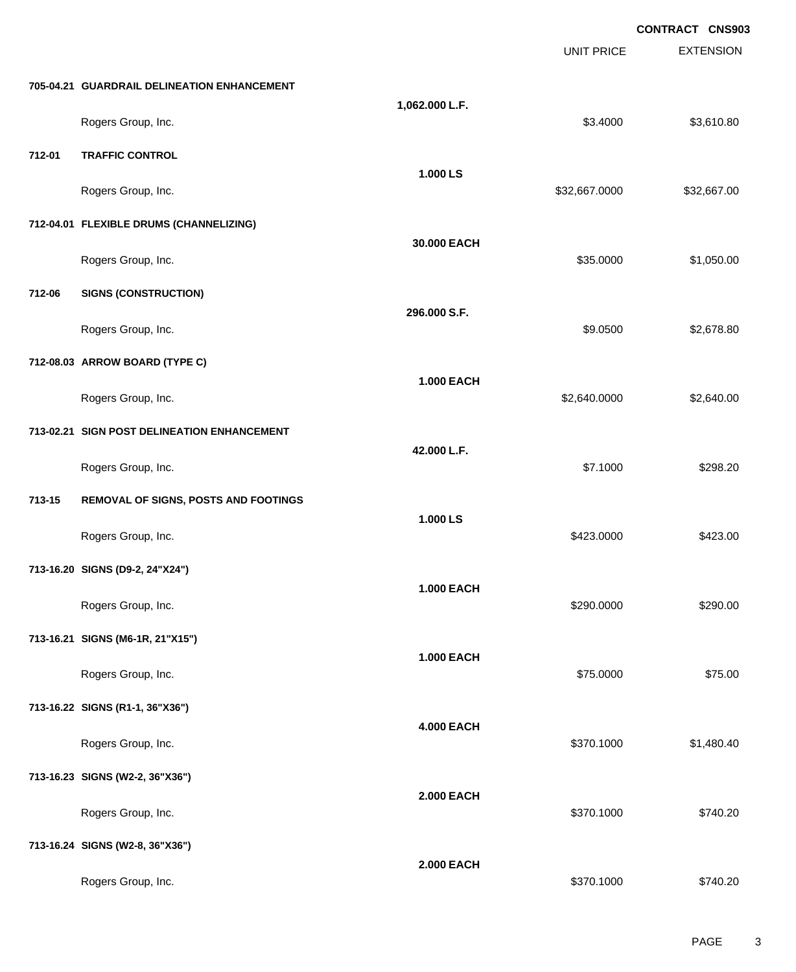|        |                                             |                   |                   | CONTRACT CNS903  |
|--------|---------------------------------------------|-------------------|-------------------|------------------|
|        |                                             |                   | <b>UNIT PRICE</b> | <b>EXTENSION</b> |
|        | 705-04.21 GUARDRAIL DELINEATION ENHANCEMENT |                   |                   |                  |
|        | Rogers Group, Inc.                          | 1,062.000 L.F.    | \$3.4000          | \$3,610.80       |
| 712-01 | <b>TRAFFIC CONTROL</b>                      |                   |                   |                  |
|        | Rogers Group, Inc.                          | 1.000 LS          | \$32,667.0000     | \$32,667.00      |
|        | 712-04.01 FLEXIBLE DRUMS (CHANNELIZING)     |                   |                   |                  |
|        | Rogers Group, Inc.                          | 30.000 EACH       | \$35.0000         | \$1,050.00       |
| 712-06 | <b>SIGNS (CONSTRUCTION)</b>                 |                   |                   |                  |
|        | Rogers Group, Inc.                          | 296.000 S.F.      | \$9.0500          | \$2,678.80       |
|        | 712-08.03 ARROW BOARD (TYPE C)              |                   |                   |                  |
|        | Rogers Group, Inc.                          | <b>1.000 EACH</b> | \$2,640.0000      | \$2,640.00       |
|        | 713-02.21 SIGN POST DELINEATION ENHANCEMENT |                   |                   |                  |
|        | Rogers Group, Inc.                          | 42.000 L.F.       | \$7.1000          | \$298.20         |
| 713-15 | REMOVAL OF SIGNS, POSTS AND FOOTINGS        |                   |                   |                  |
|        | Rogers Group, Inc.                          | 1.000 LS          | \$423.0000        | \$423.00         |
|        | 713-16.20 SIGNS (D9-2, 24"X24")             |                   |                   |                  |
|        | Rogers Group, Inc.                          | <b>1.000 EACH</b> | \$290.0000        | \$290.00         |
|        | 713-16.21 SIGNS (M6-1R, 21"X15")            |                   |                   |                  |
|        | Rogers Group, Inc.                          | <b>1.000 EACH</b> | \$75.0000         | \$75.00          |
|        | 713-16.22 SIGNS (R1-1, 36"X36")             |                   |                   |                  |
|        | Rogers Group, Inc.                          | <b>4.000 EACH</b> | \$370.1000        | \$1,480.40       |
|        | 713-16.23 SIGNS (W2-2, 36"X36")             |                   |                   |                  |
|        | Rogers Group, Inc.                          | <b>2.000 EACH</b> | \$370.1000        | \$740.20         |
|        | 713-16.24 SIGNS (W2-8, 36"X36")             |                   |                   |                  |
|        | Rogers Group, Inc.                          | <b>2.000 EACH</b> | \$370.1000        | \$740.20         |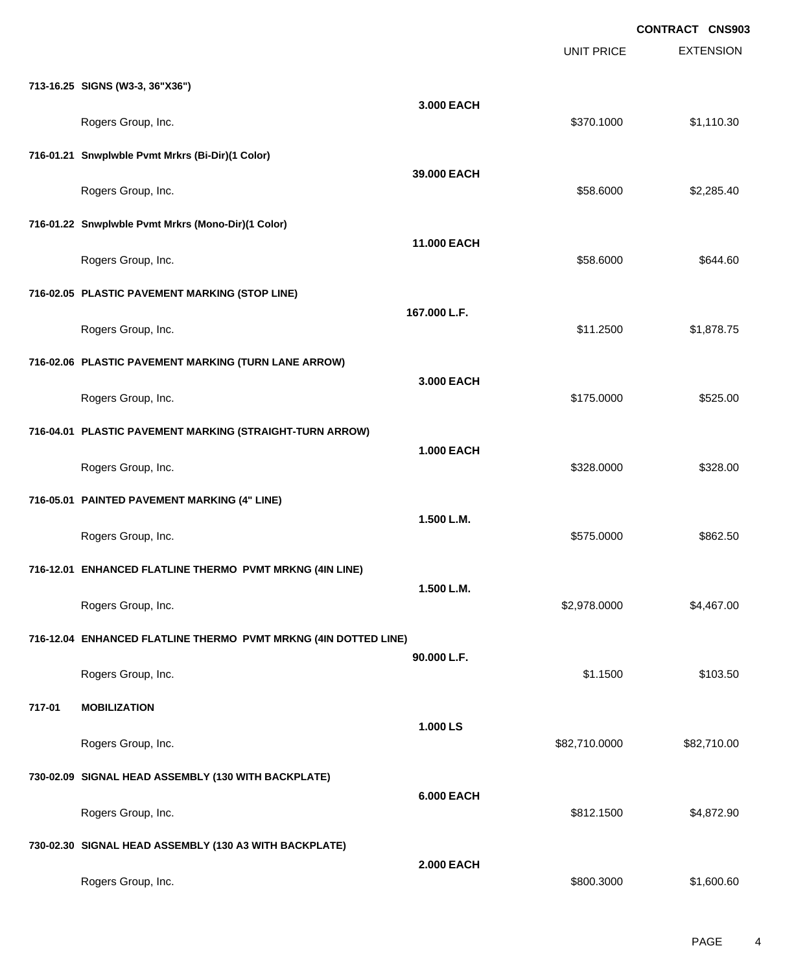|        |                                                                 |                   |                   | <b>CONTRACT CNS903</b> |
|--------|-----------------------------------------------------------------|-------------------|-------------------|------------------------|
|        |                                                                 |                   | <b>UNIT PRICE</b> | <b>EXTENSION</b>       |
|        | 713-16.25 SIGNS (W3-3, 36"X36")                                 | 3.000 EACH        |                   |                        |
|        | Rogers Group, Inc.                                              |                   | \$370.1000        | \$1,110.30             |
|        | 716-01.21 Snwplwble Pvmt Mrkrs (Bi-Dir)(1 Color)                |                   |                   |                        |
|        | Rogers Group, Inc.                                              | 39.000 EACH       | \$58.6000         | \$2,285.40             |
|        | 716-01.22 Snwplwble Pvmt Mrkrs (Mono-Dir)(1 Color)              |                   |                   |                        |
|        | Rogers Group, Inc.                                              | 11.000 EACH       | \$58.6000         | \$644.60               |
|        | 716-02.05 PLASTIC PAVEMENT MARKING (STOP LINE)                  |                   |                   |                        |
|        | Rogers Group, Inc.                                              | 167.000 L.F.      | \$11.2500         | \$1,878.75             |
|        | 716-02.06 PLASTIC PAVEMENT MARKING (TURN LANE ARROW)            |                   |                   |                        |
|        | Rogers Group, Inc.                                              | 3,000 EACH        | \$175.0000        | \$525.00               |
|        | 716-04.01 PLASTIC PAVEMENT MARKING (STRAIGHT-TURN ARROW)        |                   |                   |                        |
|        | Rogers Group, Inc.                                              | <b>1.000 EACH</b> | \$328.0000        | \$328.00               |
|        | 716-05.01 PAINTED PAVEMENT MARKING (4" LINE)                    |                   |                   |                        |
|        | Rogers Group, Inc.                                              | 1.500 L.M.        | \$575.0000        | \$862.50               |
|        | 716-12.01 ENHANCED FLATLINE THERMO PVMT MRKNG (4IN LINE)        |                   |                   |                        |
|        | Rogers Group, Inc.                                              | 1.500 L.M.        | \$2,978.0000      | \$4,467.00             |
|        | 716-12.04 ENHANCED FLATLINE THERMO PVMT MRKNG (4IN DOTTED LINE) |                   |                   |                        |
|        | Rogers Group, Inc.                                              | 90.000 L.F.       | \$1.1500          | \$103.50               |
| 717-01 | <b>MOBILIZATION</b>                                             |                   |                   |                        |
|        | Rogers Group, Inc.                                              | 1.000 LS          | \$82,710.0000     | \$82,710.00            |
|        | 730-02.09 SIGNAL HEAD ASSEMBLY (130 WITH BACKPLATE)             |                   |                   |                        |
|        | Rogers Group, Inc.                                              | <b>6.000 EACH</b> | \$812.1500        | \$4,872.90             |
|        | 730-02.30 SIGNAL HEAD ASSEMBLY (130 A3 WITH BACKPLATE)          |                   |                   |                        |
|        | Rogers Group, Inc.                                              | <b>2.000 EACH</b> | \$800.3000        | \$1,600.60             |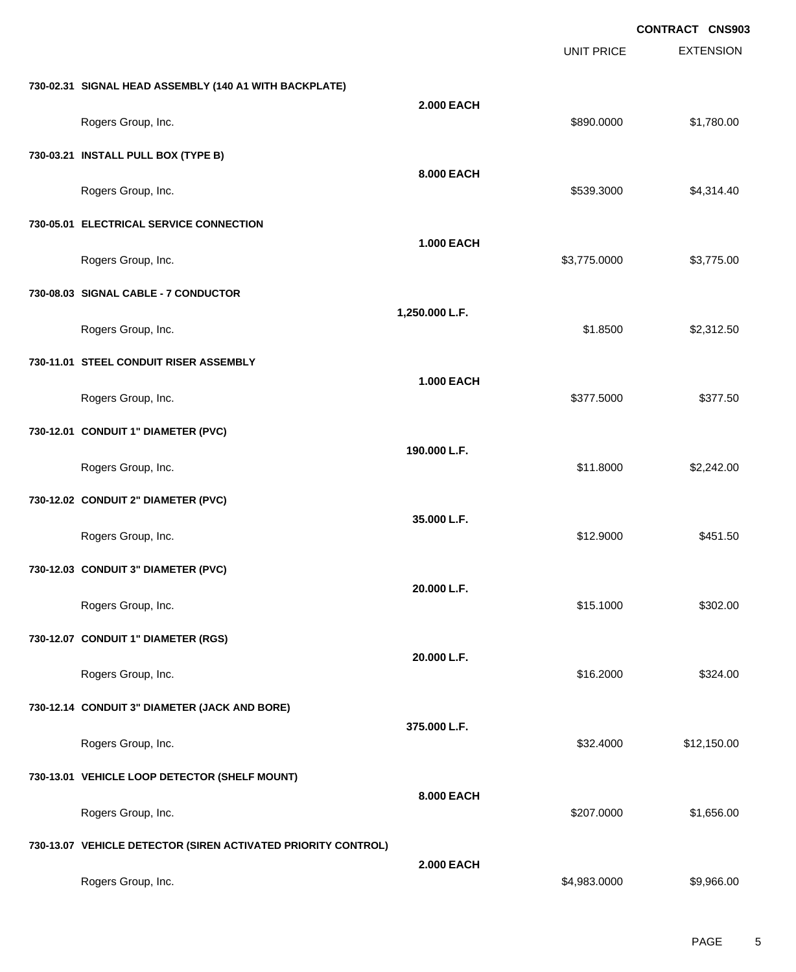|                                                               |                   |                   | CONTRACT CNS903  |
|---------------------------------------------------------------|-------------------|-------------------|------------------|
|                                                               |                   | <b>UNIT PRICE</b> | <b>EXTENSION</b> |
| 730-02.31 SIGNAL HEAD ASSEMBLY (140 A1 WITH BACKPLATE)        |                   |                   |                  |
| Rogers Group, Inc.                                            | <b>2.000 EACH</b> | \$890.0000        | \$1,780.00       |
| 730-03.21 INSTALL PULL BOX (TYPE B)                           |                   |                   |                  |
| Rogers Group, Inc.                                            | 8.000 EACH        | \$539.3000        | \$4,314.40       |
| 730-05.01 ELECTRICAL SERVICE CONNECTION                       |                   |                   |                  |
| Rogers Group, Inc.                                            | <b>1.000 EACH</b> | \$3,775.0000      | \$3,775.00       |
| 730-08.03 SIGNAL CABLE - 7 CONDUCTOR                          |                   |                   |                  |
| Rogers Group, Inc.                                            | 1,250.000 L.F.    | \$1.8500          | \$2,312.50       |
| 730-11.01 STEEL CONDUIT RISER ASSEMBLY                        |                   |                   |                  |
| Rogers Group, Inc.                                            | <b>1.000 EACH</b> | \$377.5000        | \$377.50         |
| 730-12.01 CONDUIT 1" DIAMETER (PVC)                           |                   |                   |                  |
| Rogers Group, Inc.                                            | 190.000 L.F.      | \$11.8000         | \$2,242.00       |
| 730-12.02 CONDUIT 2" DIAMETER (PVC)                           |                   |                   |                  |
| Rogers Group, Inc.                                            | 35.000 L.F.       | \$12.9000         | \$451.50         |
| 730-12.03 CONDUIT 3" DIAMETER (PVC)                           |                   |                   |                  |
| Rogers Group, Inc.                                            | 20.000 L.F.       | \$15.1000         | \$302.00         |
| 730-12.07 CONDUIT 1" DIAMETER (RGS)                           |                   |                   |                  |
| Rogers Group, Inc.                                            | 20.000 L.F.       | \$16.2000         | \$324.00         |
| 730-12.14 CONDUIT 3" DIAMETER (JACK AND BORE)                 |                   |                   |                  |
| Rogers Group, Inc.                                            | 375.000 L.F.      | \$32.4000         | \$12,150.00      |
| 730-13.01 VEHICLE LOOP DETECTOR (SHELF MOUNT)                 |                   |                   |                  |
| Rogers Group, Inc.                                            | 8.000 EACH        | \$207.0000        | \$1,656.00       |
| 730-13.07 VEHICLE DETECTOR (SIREN ACTIVATED PRIORITY CONTROL) |                   |                   |                  |
| Rogers Group, Inc.                                            | <b>2.000 EACH</b> | \$4,983.0000      | \$9,966.00       |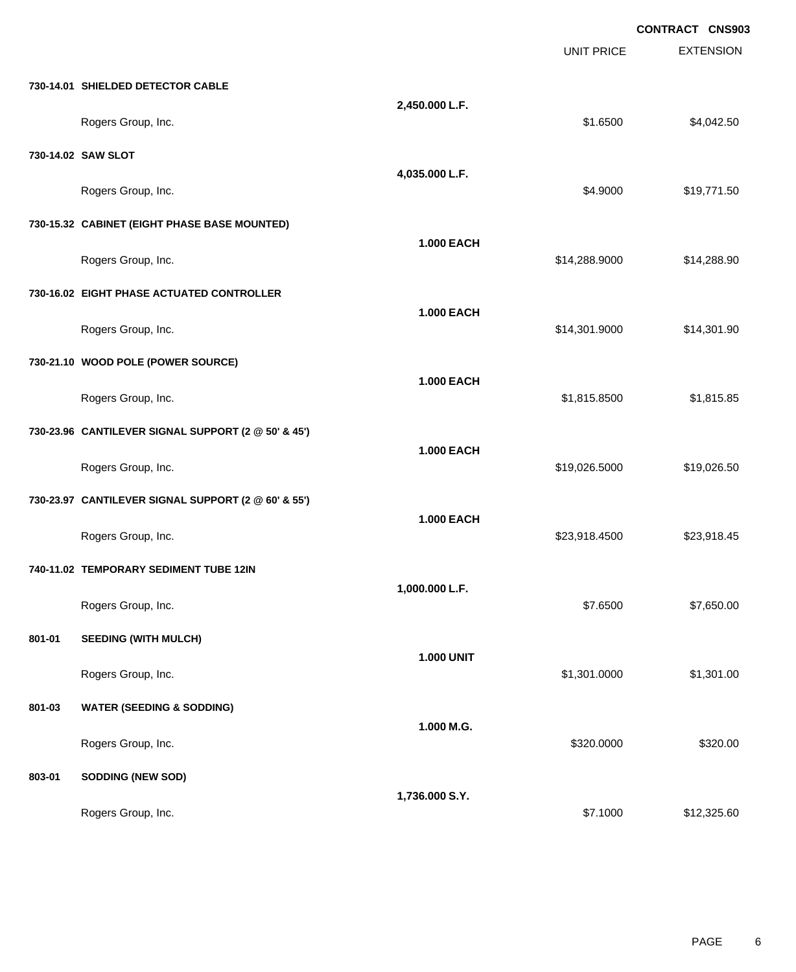|        |                                                     |                   |                   | <b>CONTRACT CNS903</b> |
|--------|-----------------------------------------------------|-------------------|-------------------|------------------------|
|        |                                                     |                   | <b>UNIT PRICE</b> | <b>EXTENSION</b>       |
|        | 730-14.01 SHIELDED DETECTOR CABLE                   |                   |                   |                        |
|        | Rogers Group, Inc.                                  | 2,450.000 L.F.    | \$1.6500          | \$4,042.50             |
|        | 730-14.02 SAW SLOT                                  |                   |                   |                        |
|        | Rogers Group, Inc.                                  | 4,035.000 L.F.    | \$4.9000          | \$19,771.50            |
|        | 730-15.32 CABINET (EIGHT PHASE BASE MOUNTED)        |                   |                   |                        |
|        | Rogers Group, Inc.                                  | <b>1.000 EACH</b> | \$14,288.9000     | \$14,288.90            |
|        | 730-16.02 EIGHT PHASE ACTUATED CONTROLLER           |                   |                   |                        |
|        | Rogers Group, Inc.                                  | <b>1.000 EACH</b> | \$14,301.9000     | \$14,301.90            |
|        | 730-21.10 WOOD POLE (POWER SOURCE)                  |                   |                   |                        |
|        | Rogers Group, Inc.                                  | <b>1.000 EACH</b> | \$1,815.8500      | \$1,815.85             |
|        | 730-23.96 CANTILEVER SIGNAL SUPPORT (2 @ 50' & 45') |                   |                   |                        |
|        | Rogers Group, Inc.                                  | 1.000 EACH        | \$19,026.5000     | \$19,026.50            |
|        | 730-23.97 CANTILEVER SIGNAL SUPPORT (2 @ 60' & 55') |                   |                   |                        |
|        | Rogers Group, Inc.                                  | <b>1.000 EACH</b> | \$23,918.4500     | \$23,918.45            |
|        | 740-11.02 TEMPORARY SEDIMENT TUBE 12IN              |                   |                   |                        |
|        | Rogers Group, Inc.                                  | 1,000.000 L.F.    | \$7.6500          | \$7,650.00             |
| 801-01 | <b>SEEDING (WITH MULCH)</b>                         |                   |                   |                        |
|        | Rogers Group, Inc.                                  | <b>1.000 UNIT</b> | \$1,301.0000      | \$1,301.00             |
| 801-03 | <b>WATER (SEEDING &amp; SODDING)</b>                |                   |                   |                        |
|        | Rogers Group, Inc.                                  | 1.000 M.G.        | \$320.0000        | \$320.00               |
| 803-01 | <b>SODDING (NEW SOD)</b>                            |                   |                   |                        |
|        | Rogers Group, Inc.                                  | 1,736.000 S.Y.    | \$7.1000          | \$12,325.60            |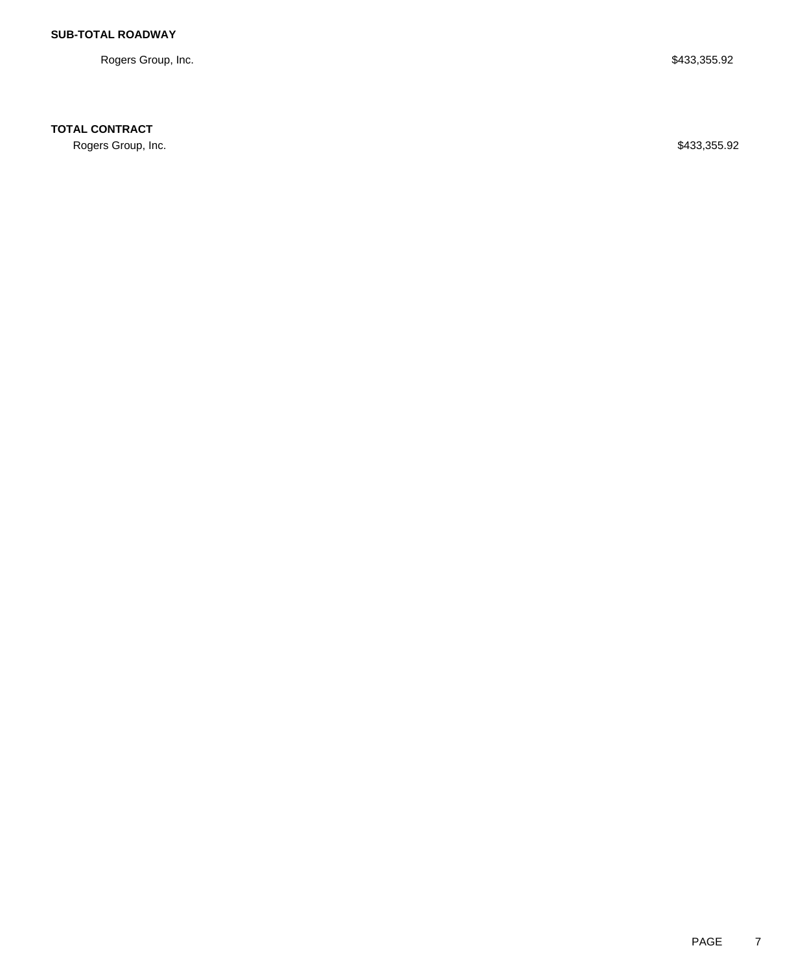Rogers Group, Inc. \$433,355.92

#### **TOTAL CONTRACT**

Rogers Group, Inc. \$433,355.92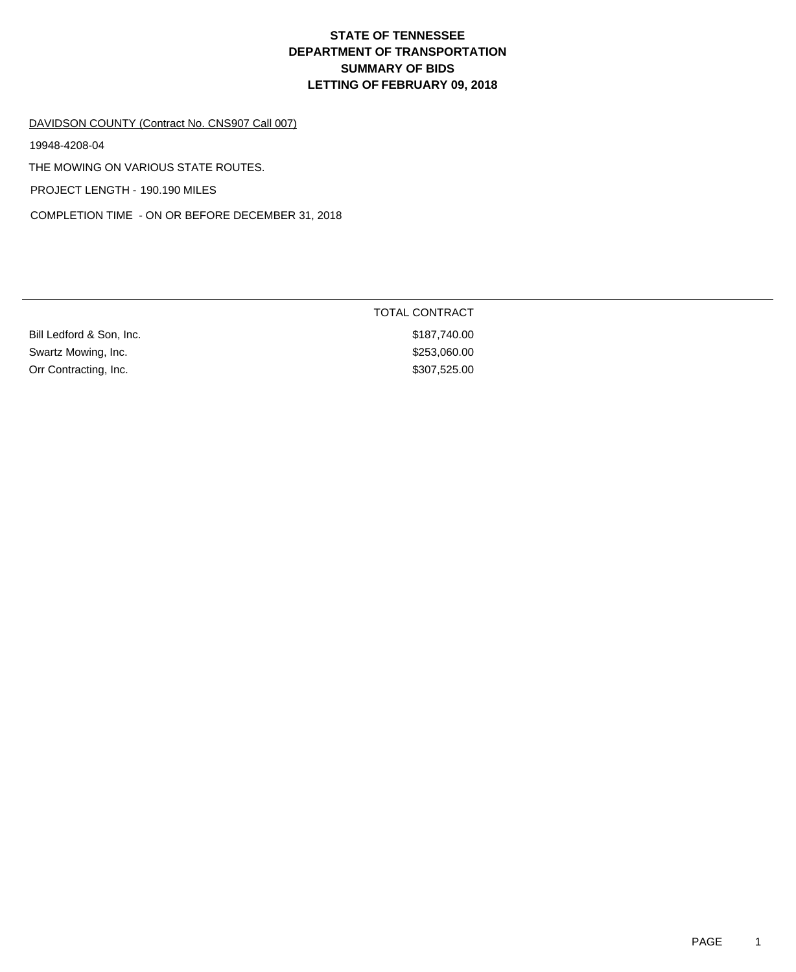#### DAVIDSON COUNTY (Contract No. CNS907 Call 007)

19948-4208-04

THE MOWING ON VARIOUS STATE ROUTES.

PROJECT LENGTH - 190.190 MILES

COMPLETION TIME - ON OR BEFORE DECEMBER 31, 2018

|                          | <b>TOTAL CONTRACT</b> |
|--------------------------|-----------------------|
| Bill Ledford & Son, Inc. | \$187,740.00          |
| Swartz Mowing, Inc.      | \$253,060.00          |
| Orr Contracting, Inc.    | \$307,525.00          |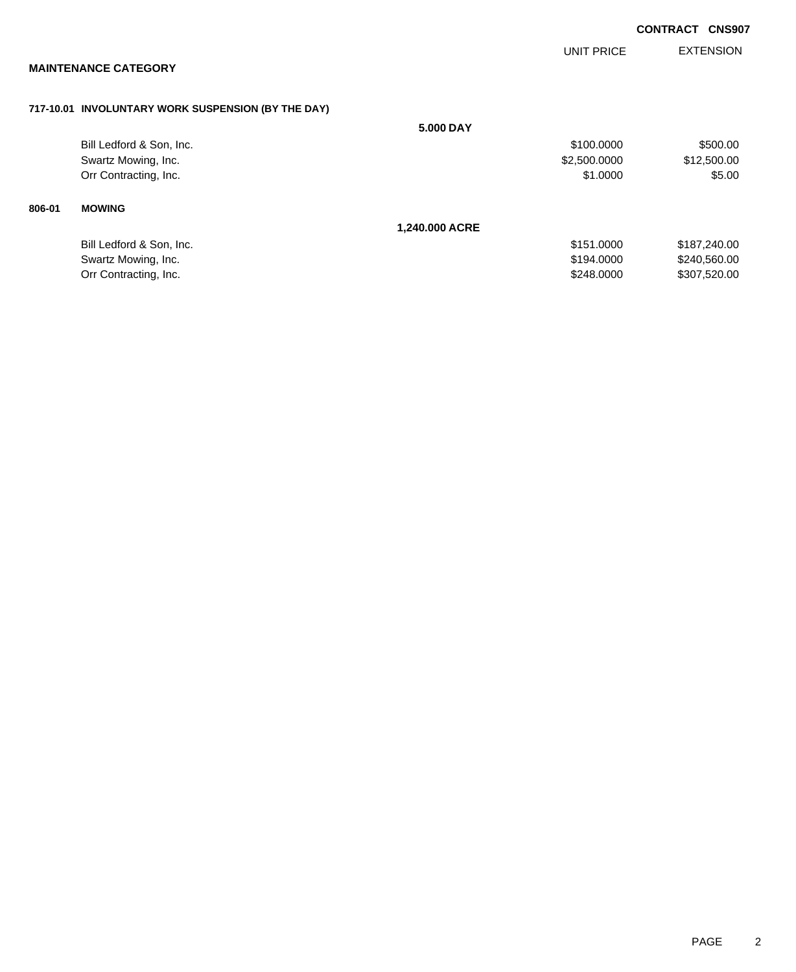|                                                    |                |              | <b>CONTRACT CNS907</b> |
|----------------------------------------------------|----------------|--------------|------------------------|
| <b>MAINTENANCE CATEGORY</b>                        |                | UNIT PRICE   | <b>EXTENSION</b>       |
|                                                    |                |              |                        |
| 717-10.01 INVOLUNTARY WORK SUSPENSION (BY THE DAY) |                |              |                        |
|                                                    | 5.000 DAY      |              |                        |
| Bill Ledford & Son, Inc.                           |                | \$100.0000   | \$500.00               |
| Swartz Mowing, Inc.                                |                | \$2,500.0000 | \$12,500.00            |
| Orr Contracting, Inc.                              |                | \$1.0000     | \$5.00                 |
| <b>MOWING</b><br>806-01                            |                |              |                        |
|                                                    | 1,240.000 ACRE |              |                        |
| Bill Ledford & Son, Inc.                           |                | \$151.0000   | \$187,240.00           |
| Swartz Mowing, Inc.                                |                | \$194.0000   | \$240,560.00           |
| Orr Contracting, Inc.                              |                | \$248.0000   | \$307,520.00           |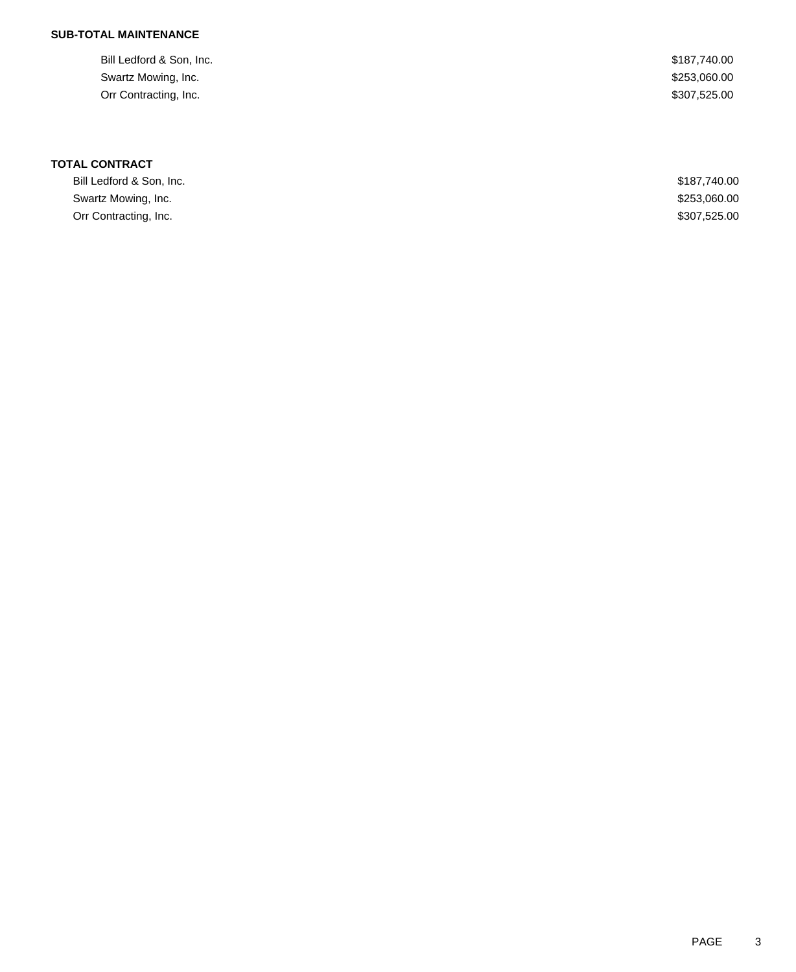#### **SUB-TOTAL MAINTENANCE**

| \$187,740.00 |
|--------------|
| \$253,060.00 |
| \$307,525.00 |
|              |

## **TOTAL CONTRACT**

| Bill Ledford & Son. Inc. | \$187.740.00 |
|--------------------------|--------------|
| Swartz Mowing, Inc.      | \$253,060.00 |
| Orr Contracting, Inc.    | \$307,525.00 |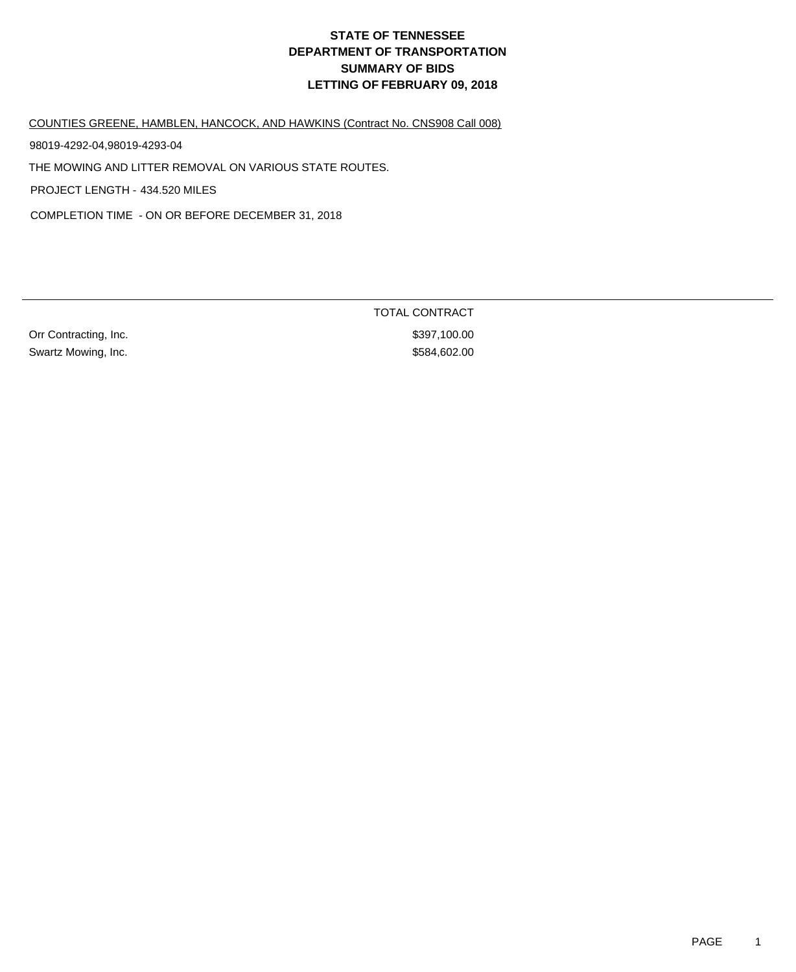COUNTIES GREENE, HAMBLEN, HANCOCK, AND HAWKINS (Contract No. CNS908 Call 008)

98019-4292-04,98019-4293-04

THE MOWING AND LITTER REMOVAL ON VARIOUS STATE ROUTES.

PROJECT LENGTH - 434.520 MILES

COMPLETION TIME - ON OR BEFORE DECEMBER 31, 2018

Orr Contracting, Inc. 6. The Contraction of the State of the State of State State State State State State State State State State State State State State State State State State State State State State State State State St Swartz Mowing, Inc. 602.00

TOTAL CONTRACT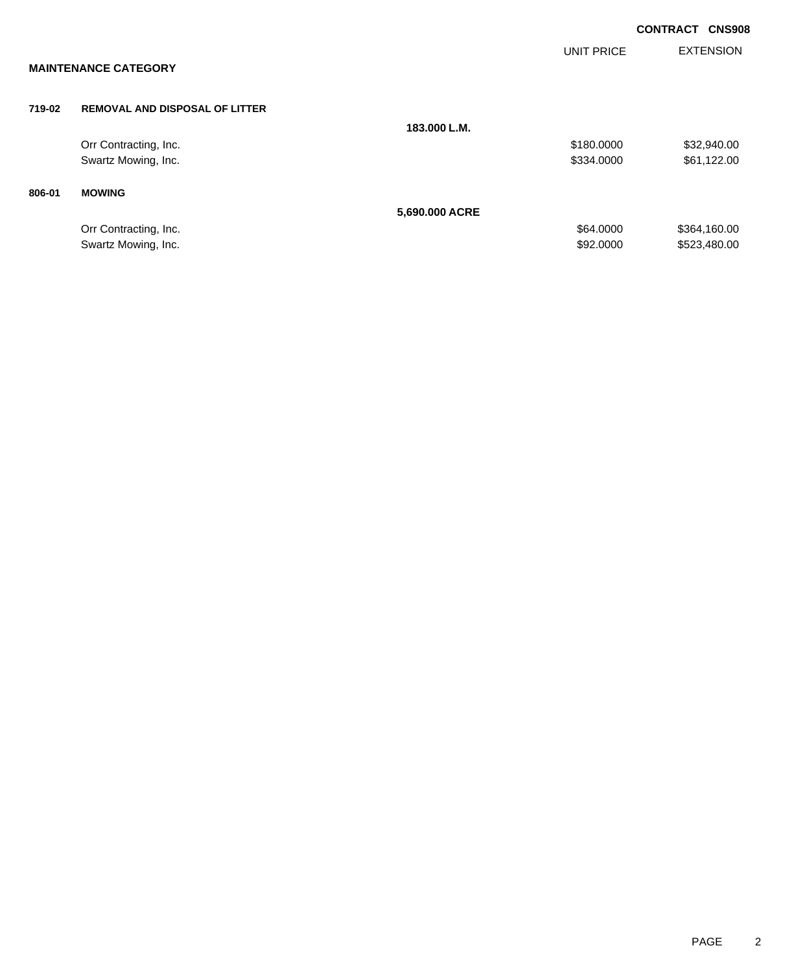|        |                                       |                |            | <b>CONTRACT CNS908</b> |
|--------|---------------------------------------|----------------|------------|------------------------|
|        | <b>MAINTENANCE CATEGORY</b>           |                | UNIT PRICE | <b>EXTENSION</b>       |
| 719-02 | <b>REMOVAL AND DISPOSAL OF LITTER</b> |                |            |                        |
|        |                                       | 183.000 L.M.   |            |                        |
|        | Orr Contracting, Inc.                 |                | \$180.0000 | \$32,940.00            |
|        | Swartz Mowing, Inc.                   |                | \$334.0000 | \$61,122.00            |
| 806-01 | <b>MOWING</b>                         |                |            |                        |
|        |                                       | 5,690.000 ACRE |            |                        |
|        | Orr Contracting, Inc.                 |                | \$64.0000  | \$364,160.00           |
|        | Swartz Mowing, Inc.                   |                | \$92,0000  | \$523,480.00           |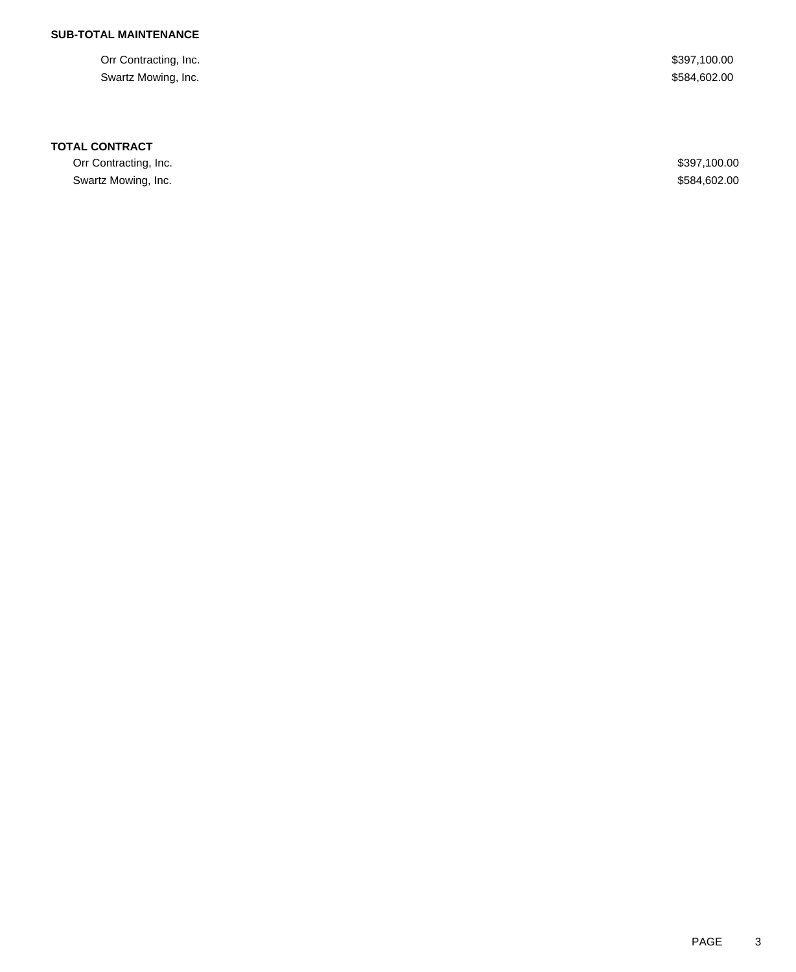### **SUB-TOTAL MAINTENANCE**

Orr Contracting, Inc. \$397,100.00 Swartz Mowing, Inc. \$584,602.00

#### **TOTAL CONTRACT**

Orr Contracting, Inc. \$397,100.00 Swartz Mowing, Inc. \$584,602.00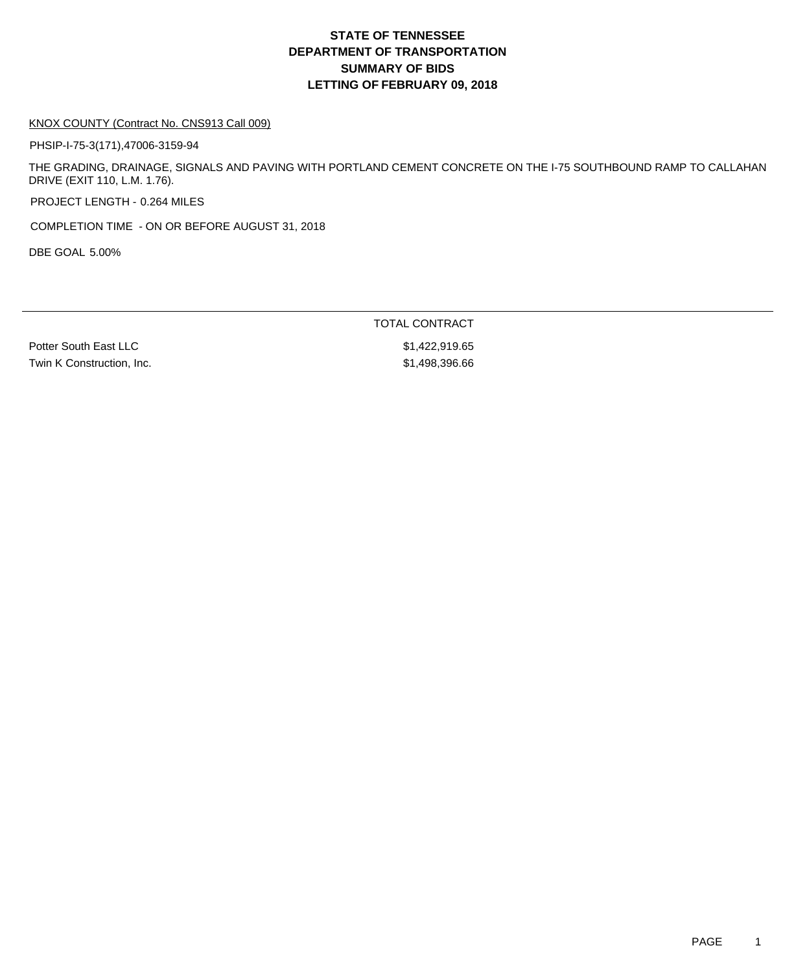#### KNOX COUNTY (Contract No. CNS913 Call 009)

PHSIP-I-75-3(171),47006-3159-94

THE GRADING, DRAINAGE, SIGNALS AND PAVING WITH PORTLAND CEMENT CONCRETE ON THE I-75 SOUTHBOUND RAMP TO CALLAHAN DRIVE (EXIT 110, L.M. 1.76).

PROJECT LENGTH - 0.264 MILES

COMPLETION TIME - ON OR BEFORE AUGUST 31, 2018

DBE GOAL 5.00%

TOTAL CONTRACT

Twin K Construction, Inc. 66 and the state of the state of the state  $$1,498,396.66$ 

Potter South East LLC \$1,422,919.65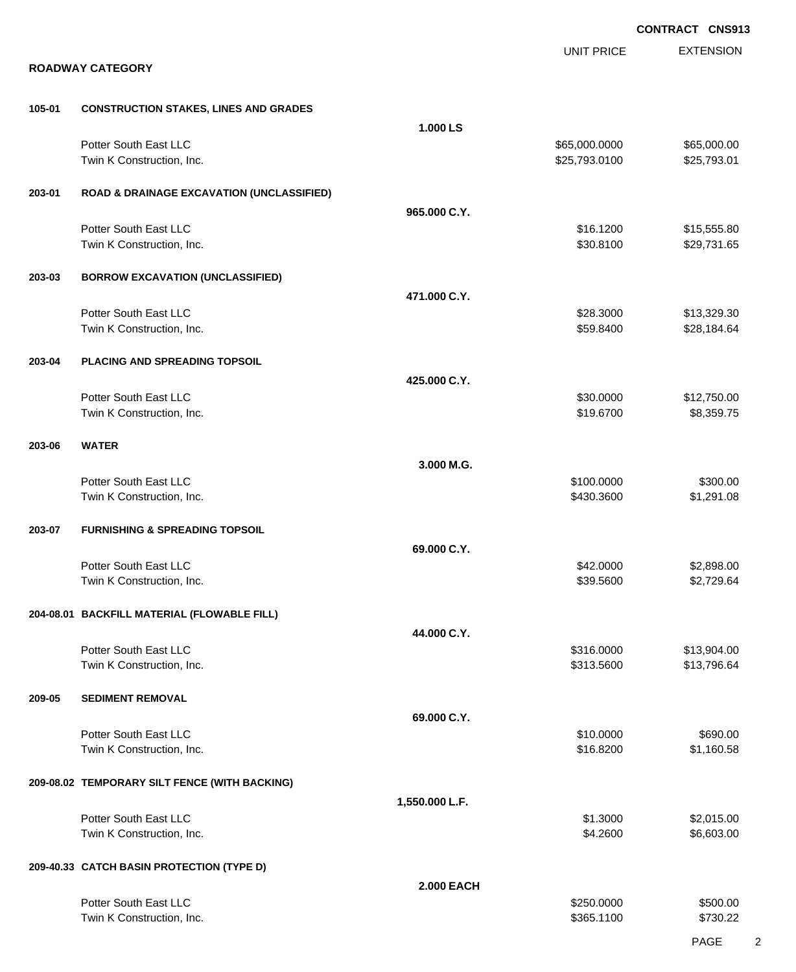|        |                                                      |                   |                   | <b>CONTRACT CNS913</b> |
|--------|------------------------------------------------------|-------------------|-------------------|------------------------|
|        |                                                      |                   | <b>UNIT PRICE</b> | <b>EXTENSION</b>       |
|        | <b>ROADWAY CATEGORY</b>                              |                   |                   |                        |
| 105-01 | <b>CONSTRUCTION STAKES, LINES AND GRADES</b>         |                   |                   |                        |
|        |                                                      | 1.000 LS          |                   |                        |
|        | Potter South East LLC                                |                   | \$65,000.0000     | \$65,000.00            |
|        | Twin K Construction, Inc.                            |                   | \$25,793.0100     | \$25,793.01            |
| 203-01 | <b>ROAD &amp; DRAINAGE EXCAVATION (UNCLASSIFIED)</b> |                   |                   |                        |
|        |                                                      | 965.000 C.Y.      |                   |                        |
|        | Potter South East LLC                                |                   | \$16.1200         | \$15,555.80            |
|        | Twin K Construction, Inc.                            |                   | \$30.8100         | \$29,731.65            |
| 203-03 | <b>BORROW EXCAVATION (UNCLASSIFIED)</b>              |                   |                   |                        |
|        |                                                      | 471.000 C.Y.      |                   |                        |
|        | Potter South East LLC                                |                   | \$28.3000         | \$13,329.30            |
|        | Twin K Construction, Inc.                            |                   | \$59.8400         | \$28,184.64            |
| 203-04 | PLACING AND SPREADING TOPSOIL                        |                   |                   |                        |
|        |                                                      | 425.000 C.Y.      |                   |                        |
|        | Potter South East LLC                                |                   | \$30.0000         | \$12,750.00            |
|        | Twin K Construction, Inc.                            |                   | \$19.6700         | \$8,359.75             |
| 203-06 | <b>WATER</b>                                         |                   |                   |                        |
|        |                                                      | 3.000 M.G.        |                   |                        |
|        | Potter South East LLC                                |                   | \$100.0000        | \$300.00               |
|        | Twin K Construction, Inc.                            |                   | \$430.3600        | \$1,291.08             |
| 203-07 | <b>FURNISHING &amp; SPREADING TOPSOIL</b>            |                   |                   |                        |
|        |                                                      | 69.000 C.Y.       |                   |                        |
|        | Potter South East LLC                                |                   | \$42.0000         | \$2,898.00             |
|        | Twin K Construction, Inc.                            |                   | \$39.5600         | \$2,729.64             |
|        | 204-08.01 BACKFILL MATERIAL (FLOWABLE FILL)          |                   |                   |                        |
|        |                                                      | 44.000 C.Y.       |                   |                        |
|        | Potter South East LLC                                |                   | \$316.0000        | \$13,904.00            |
|        | Twin K Construction, Inc.                            |                   | \$313.5600        | \$13,796.64            |
| 209-05 | <b>SEDIMENT REMOVAL</b>                              |                   |                   |                        |
|        |                                                      | 69.000 C.Y.       |                   |                        |
|        | Potter South East LLC                                |                   | \$10.0000         | \$690.00               |
|        | Twin K Construction, Inc.                            |                   | \$16.8200         | \$1,160.58             |
|        | 209-08.02 TEMPORARY SILT FENCE (WITH BACKING)        |                   |                   |                        |
|        |                                                      | 1,550.000 L.F.    |                   |                        |
|        | Potter South East LLC                                |                   | \$1.3000          | \$2,015.00             |
|        | Twin K Construction, Inc.                            |                   | \$4.2600          | \$6,603.00             |
|        | 209-40.33 CATCH BASIN PROTECTION (TYPE D)            |                   |                   |                        |
|        |                                                      | <b>2.000 EACH</b> |                   |                        |
|        | Potter South East LLC                                |                   | \$250.0000        | \$500.00               |
|        | Twin K Construction, Inc.                            |                   | \$365.1100        | \$730.22               |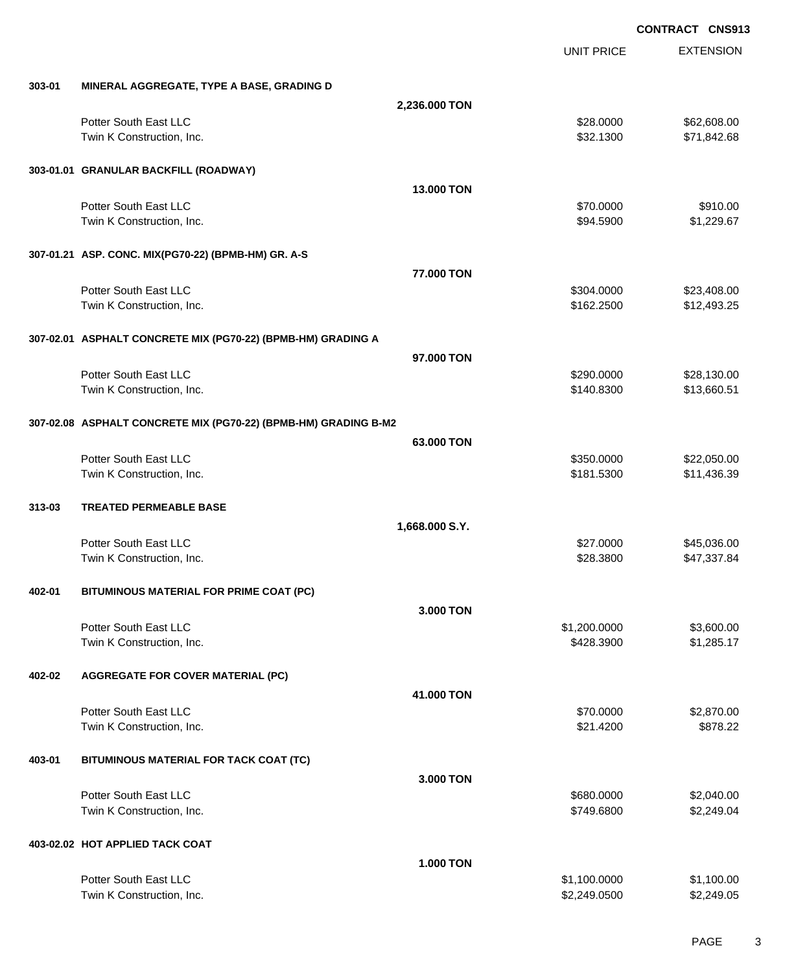|        |                                                                 |                   | <b>UNIT PRICE</b> | <b>EXTENSION</b> |
|--------|-----------------------------------------------------------------|-------------------|-------------------|------------------|
| 303-01 | MINERAL AGGREGATE, TYPE A BASE, GRADING D                       |                   |                   |                  |
|        |                                                                 | 2,236.000 TON     |                   |                  |
|        | Potter South East LLC                                           |                   | \$28.0000         | \$62,608.00      |
|        | Twin K Construction, Inc.                                       |                   | \$32.1300         | \$71,842.68      |
|        | 303-01.01 GRANULAR BACKFILL (ROADWAY)                           |                   |                   |                  |
|        |                                                                 | <b>13,000 TON</b> |                   |                  |
|        | Potter South East LLC                                           |                   | \$70.0000         | \$910.00         |
|        | Twin K Construction, Inc.                                       |                   | \$94.5900         | \$1,229.67       |
|        | 307-01.21 ASP. CONC. MIX(PG70-22) (BPMB-HM) GR. A-S             |                   |                   |                  |
|        |                                                                 | 77,000 TON        |                   |                  |
|        | Potter South East LLC                                           |                   | \$304.0000        | \$23,408.00      |
|        | Twin K Construction, Inc.                                       |                   | \$162.2500        | \$12,493.25      |
|        | 307-02.01 ASPHALT CONCRETE MIX (PG70-22) (BPMB-HM) GRADING A    |                   |                   |                  |
|        |                                                                 | 97,000 TON        |                   |                  |
|        | Potter South East LLC                                           |                   | \$290.0000        | \$28,130.00      |
|        | Twin K Construction, Inc.                                       |                   | \$140.8300        | \$13,660.51      |
|        | 307-02.08 ASPHALT CONCRETE MIX (PG70-22) (BPMB-HM) GRADING B-M2 |                   |                   |                  |
|        |                                                                 | 63.000 TON        |                   |                  |
|        | Potter South East LLC                                           |                   | \$350.0000        | \$22,050.00      |
|        | Twin K Construction, Inc.                                       |                   | \$181.5300        | \$11,436.39      |
| 313-03 | <b>TREATED PERMEABLE BASE</b>                                   |                   |                   |                  |
|        |                                                                 | 1,668.000 S.Y.    |                   |                  |
|        | Potter South East LLC                                           |                   | \$27.0000         | \$45,036.00      |
|        | Twin K Construction, Inc.                                       |                   | \$28.3800         | \$47,337.84      |
| 402-01 | BITUMINOUS MATERIAL FOR PRIME COAT (PC)                         |                   |                   |                  |
|        |                                                                 | 3.000 TON         |                   |                  |
|        | Potter South East LLC                                           |                   | \$1,200.0000      | \$3,600.00       |
|        | Twin K Construction, Inc.                                       |                   | \$428.3900        | \$1,285.17       |
| 402-02 | <b>AGGREGATE FOR COVER MATERIAL (PC)</b>                        |                   |                   |                  |
|        |                                                                 | 41.000 TON        |                   |                  |
|        | Potter South East LLC                                           |                   | \$70.0000         | \$2,870.00       |
|        | Twin K Construction, Inc.                                       |                   | \$21.4200         | \$878.22         |
| 403-01 | BITUMINOUS MATERIAL FOR TACK COAT (TC)                          |                   |                   |                  |
|        |                                                                 | 3.000 TON         |                   |                  |
|        | Potter South East LLC                                           |                   | \$680.0000        | \$2,040.00       |
|        | Twin K Construction, Inc.                                       |                   | \$749.6800        | \$2,249.04       |
|        | 403-02.02 HOT APPLIED TACK COAT                                 |                   |                   |                  |
|        |                                                                 | <b>1.000 TON</b>  |                   |                  |
|        | Potter South East LLC                                           |                   | \$1,100.0000      | \$1,100.00       |
|        | Twin K Construction, Inc.                                       |                   | \$2,249.0500      | \$2,249.05       |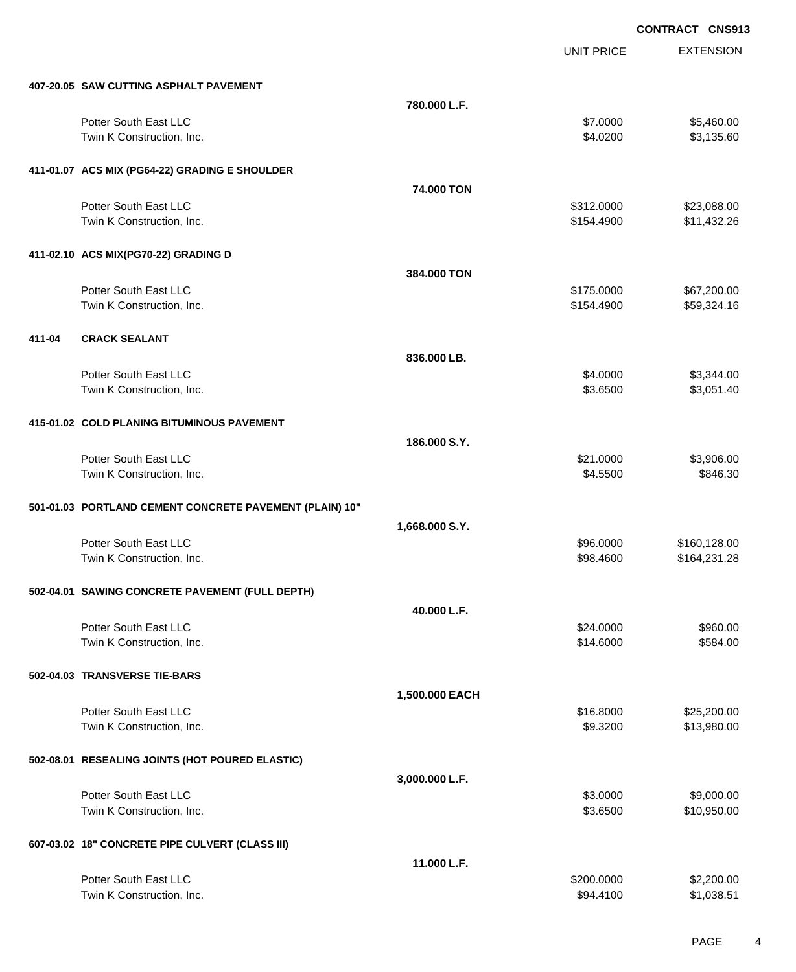UNIT PRICE EXTENSION

|        | 407-20.05 SAW CUTTING ASPHALT PAVEMENT                  |                |            |              |
|--------|---------------------------------------------------------|----------------|------------|--------------|
|        |                                                         | 780.000 L.F.   |            |              |
|        | Potter South East LLC                                   |                | \$7.0000   | \$5,460.00   |
|        | Twin K Construction, Inc.                               |                | \$4.0200   | \$3,135.60   |
|        |                                                         |                |            |              |
|        | 411-01.07 ACS MIX (PG64-22) GRADING E SHOULDER          |                |            |              |
|        |                                                         | 74.000 TON     |            |              |
|        | Potter South East LLC                                   |                |            |              |
|        |                                                         |                | \$312.0000 | \$23,088.00  |
|        | Twin K Construction, Inc.                               |                | \$154.4900 | \$11,432.26  |
|        |                                                         |                |            |              |
|        | 411-02.10 ACS MIX(PG70-22) GRADING D                    |                |            |              |
|        |                                                         | 384,000 TON    |            |              |
|        | Potter South East LLC                                   |                | \$175.0000 | \$67,200.00  |
|        | Twin K Construction, Inc.                               |                | \$154.4900 | \$59,324.16  |
|        |                                                         |                |            |              |
| 411-04 | <b>CRACK SEALANT</b>                                    |                |            |              |
|        |                                                         | 836.000 LB.    |            |              |
|        | Potter South East LLC                                   |                | \$4.0000   | \$3,344.00   |
|        | Twin K Construction, Inc.                               |                | \$3.6500   | \$3,051.40   |
|        |                                                         |                |            |              |
|        | 415-01.02 COLD PLANING BITUMINOUS PAVEMENT              |                |            |              |
|        |                                                         |                |            |              |
|        |                                                         | 186.000 S.Y.   |            |              |
|        | Potter South East LLC                                   |                | \$21.0000  | \$3,906.00   |
|        | Twin K Construction, Inc.                               |                | \$4.5500   | \$846.30     |
|        |                                                         |                |            |              |
|        | 501-01.03 PORTLAND CEMENT CONCRETE PAVEMENT (PLAIN) 10" |                |            |              |
|        |                                                         | 1,668.000 S.Y. |            |              |
|        | Potter South East LLC                                   |                | \$96.0000  | \$160,128.00 |
|        | Twin K Construction, Inc.                               |                | \$98.4600  | \$164,231.28 |
|        |                                                         |                |            |              |
|        | 502-04.01 SAWING CONCRETE PAVEMENT (FULL DEPTH)         |                |            |              |
|        |                                                         | 40.000 L.F.    |            |              |
|        | Potter South East LLC                                   |                | \$24.0000  | \$960.00     |
|        | Twin K Construction, Inc.                               |                | \$14.6000  | \$584.00     |
|        |                                                         |                |            |              |
|        | 502-04.03 TRANSVERSE TIE-BARS                           |                |            |              |
|        |                                                         |                |            |              |
|        |                                                         | 1,500.000 EACH |            |              |
|        | Potter South East LLC                                   |                | \$16.8000  | \$25,200.00  |
|        | Twin K Construction, Inc.                               |                | \$9.3200   | \$13,980.00  |
|        |                                                         |                |            |              |
|        | 502-08.01 RESEALING JOINTS (HOT POURED ELASTIC)         |                |            |              |
|        |                                                         | 3,000.000 L.F. |            |              |
|        | Potter South East LLC                                   |                | \$3.0000   | \$9,000.00   |
|        | Twin K Construction, Inc.                               |                | \$3.6500   | \$10,950.00  |
|        |                                                         |                |            |              |
|        | 607-03.02 18" CONCRETE PIPE CULVERT (CLASS III)         |                |            |              |
|        |                                                         | 11.000 L.F.    |            |              |
|        | Potter South East LLC                                   |                | \$200.0000 | \$2,200.00   |
|        | Twin K Construction, Inc.                               |                | \$94.4100  | \$1,038.51   |
|        |                                                         |                |            |              |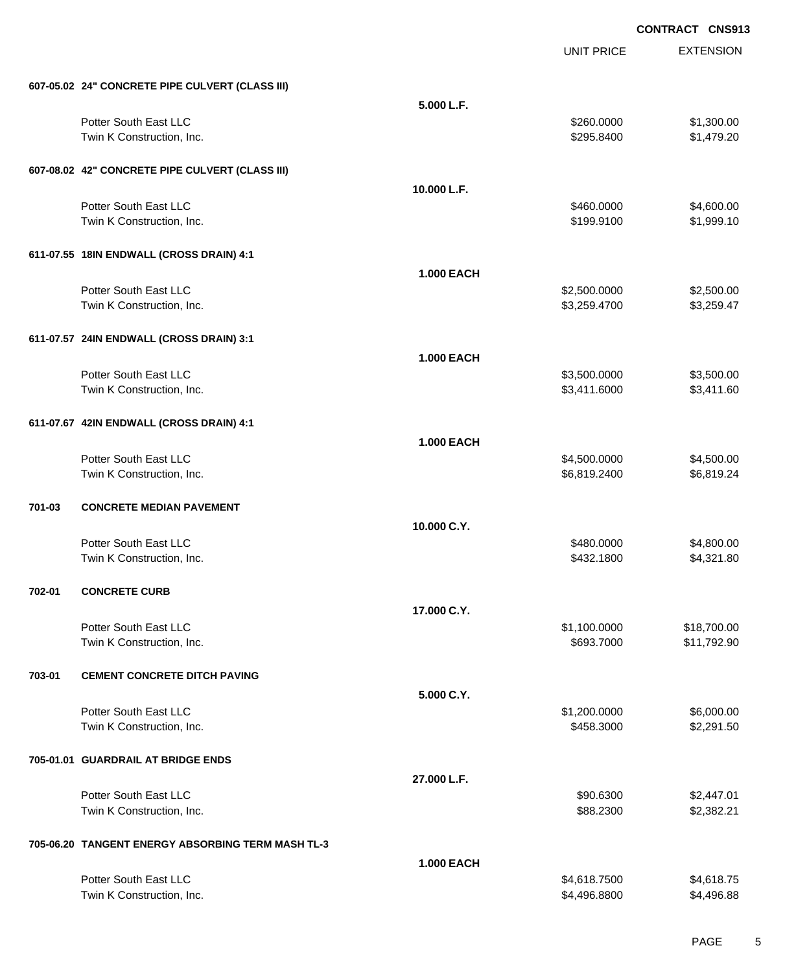|        |                                                   |                   | <b>UNIT PRICE</b> | <b>EXTENSION</b> |
|--------|---------------------------------------------------|-------------------|-------------------|------------------|
|        | 607-05.02 24" CONCRETE PIPE CULVERT (CLASS III)   |                   |                   |                  |
|        |                                                   | 5.000 L.F.        |                   |                  |
|        | Potter South East LLC                             |                   | \$260.0000        | \$1,300.00       |
|        | Twin K Construction, Inc.                         |                   | \$295.8400        | \$1,479.20       |
|        | 607-08.02 42" CONCRETE PIPE CULVERT (CLASS III)   |                   |                   |                  |
|        |                                                   | 10.000 L.F.       |                   |                  |
|        | Potter South East LLC                             |                   | \$460.0000        | \$4,600.00       |
|        | Twin K Construction, Inc.                         |                   | \$199.9100        | \$1,999.10       |
|        | 611-07.55 18IN ENDWALL (CROSS DRAIN) 4:1          |                   |                   |                  |
|        |                                                   | <b>1.000 EACH</b> |                   |                  |
|        | Potter South East LLC                             |                   | \$2,500.0000      | \$2,500.00       |
|        | Twin K Construction, Inc.                         |                   | \$3,259.4700      | \$3,259.47       |
|        | 611-07.57 24IN ENDWALL (CROSS DRAIN) 3:1          |                   |                   |                  |
|        |                                                   | <b>1.000 EACH</b> |                   |                  |
|        | Potter South East LLC                             |                   | \$3,500.0000      | \$3,500.00       |
|        | Twin K Construction, Inc.                         |                   | \$3,411.6000      | \$3,411.60       |
|        | 611-07.67 42IN ENDWALL (CROSS DRAIN) 4:1          |                   |                   |                  |
|        |                                                   | <b>1.000 EACH</b> |                   |                  |
|        | Potter South East LLC                             |                   | \$4,500.0000      | \$4,500.00       |
|        | Twin K Construction, Inc.                         |                   | \$6,819.2400      | \$6,819.24       |
| 701-03 | <b>CONCRETE MEDIAN PAVEMENT</b>                   |                   |                   |                  |
|        |                                                   | 10.000 C.Y.       |                   |                  |
|        | Potter South East LLC                             |                   | \$480.0000        | \$4,800.00       |
|        | Twin K Construction, Inc.                         |                   | \$432.1800        | \$4,321.80       |
| 702-01 | <b>CONCRETE CURB</b>                              |                   |                   |                  |
|        |                                                   | 17.000 C.Y.       |                   |                  |
|        | Potter South East LLC                             |                   | \$1,100.0000      | \$18,700.00      |
|        | Twin K Construction, Inc.                         |                   | \$693.7000        | \$11,792.90      |
| 703-01 | <b>CEMENT CONCRETE DITCH PAVING</b>               |                   |                   |                  |
|        |                                                   | 5.000 C.Y.        |                   |                  |
|        | Potter South East LLC                             |                   | \$1,200.0000      | \$6,000.00       |
|        | Twin K Construction, Inc.                         |                   | \$458.3000        | \$2,291.50       |
|        | 705-01.01 GUARDRAIL AT BRIDGE ENDS                |                   |                   |                  |
|        |                                                   | 27.000 L.F.       |                   |                  |
|        | Potter South East LLC                             |                   | \$90.6300         | \$2,447.01       |
|        | Twin K Construction, Inc.                         |                   | \$88.2300         | \$2,382.21       |
|        | 705-06.20 TANGENT ENERGY ABSORBING TERM MASH TL-3 |                   |                   |                  |
|        |                                                   | <b>1.000 EACH</b> |                   |                  |
|        | Potter South East LLC                             |                   | \$4,618.7500      | \$4,618.75       |
|        | Twin K Construction, Inc.                         |                   | \$4,496.8800      | \$4,496.88       |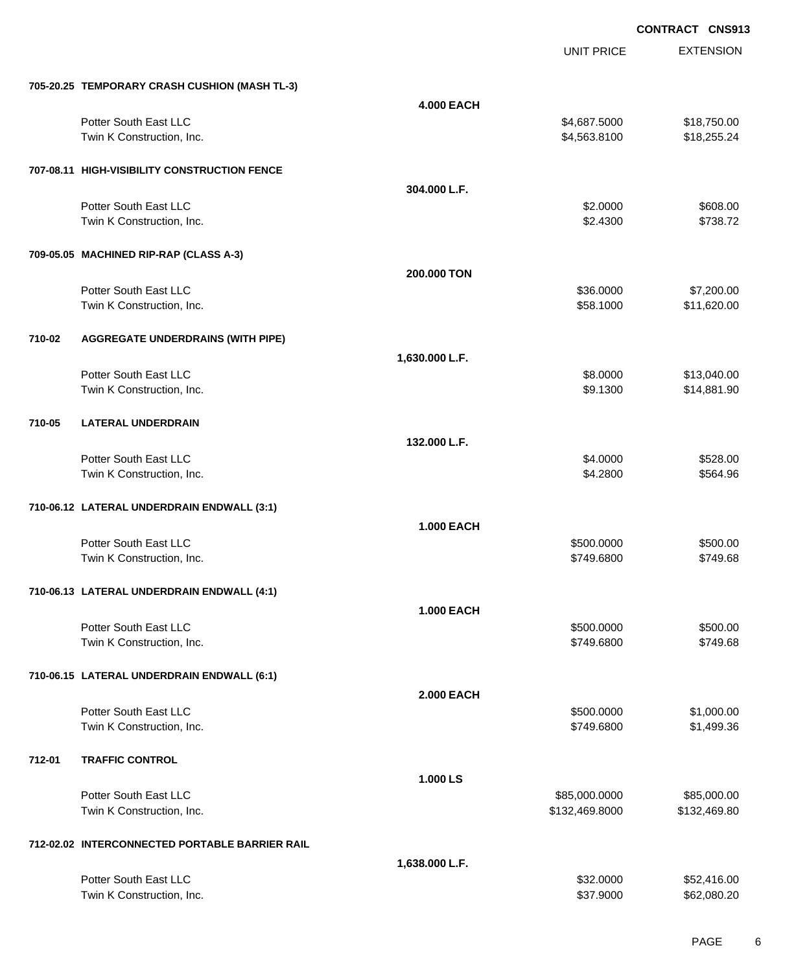|        |                                                |                   | <b>UNIT PRICE</b> | <b>EXTENSION</b> |
|--------|------------------------------------------------|-------------------|-------------------|------------------|
|        | 705-20.25 TEMPORARY CRASH CUSHION (MASH TL-3)  |                   |                   |                  |
|        |                                                | <b>4.000 EACH</b> |                   |                  |
|        | Potter South East LLC                          |                   | \$4,687.5000      | \$18,750.00      |
|        | Twin K Construction, Inc.                      |                   | \$4,563.8100      | \$18,255.24      |
|        | 707-08.11 HIGH-VISIBILITY CONSTRUCTION FENCE   |                   |                   |                  |
|        |                                                | 304.000 L.F.      |                   |                  |
|        | Potter South East LLC                          |                   | \$2.0000          | \$608.00         |
|        | Twin K Construction, Inc.                      |                   | \$2.4300          | \$738.72         |
|        | 709-05.05 MACHINED RIP-RAP (CLASS A-3)         |                   |                   |                  |
|        |                                                | 200.000 TON       |                   |                  |
|        | Potter South East LLC                          |                   | \$36.0000         | \$7,200.00       |
|        | Twin K Construction, Inc.                      |                   | \$58.1000         | \$11,620.00      |
| 710-02 | <b>AGGREGATE UNDERDRAINS (WITH PIPE)</b>       |                   |                   |                  |
|        |                                                | 1,630.000 L.F.    |                   |                  |
|        | Potter South East LLC                          |                   | \$8.0000          | \$13,040.00      |
|        | Twin K Construction, Inc.                      |                   | \$9.1300          | \$14,881.90      |
| 710-05 | <b>LATERAL UNDERDRAIN</b>                      |                   |                   |                  |
|        |                                                | 132.000 L.F.      |                   |                  |
|        | Potter South East LLC                          |                   | \$4.0000          | \$528.00         |
|        | Twin K Construction, Inc.                      |                   | \$4.2800          | \$564.96         |
|        | 710-06.12 LATERAL UNDERDRAIN ENDWALL (3:1)     |                   |                   |                  |
|        |                                                | <b>1.000 EACH</b> |                   |                  |
|        | Potter South East LLC                          |                   | \$500.0000        | \$500.00         |
|        | Twin K Construction, Inc.                      |                   | \$749.6800        | \$749.68         |
|        | 710-06.13 LATERAL UNDERDRAIN ENDWALL (4:1)     |                   |                   |                  |
|        |                                                | <b>1.000 EACH</b> |                   |                  |
|        | Potter South East LLC                          |                   | \$500.0000        | \$500.00         |
|        | Twin K Construction, Inc.                      |                   | \$749.6800        | \$749.68         |
|        | 710-06.15 LATERAL UNDERDRAIN ENDWALL (6:1)     |                   |                   |                  |
|        |                                                | <b>2.000 EACH</b> |                   |                  |
|        | Potter South East LLC                          |                   | \$500.0000        | \$1,000.00       |
|        | Twin K Construction, Inc.                      |                   | \$749.6800        | \$1,499.36       |
| 712-01 | <b>TRAFFIC CONTROL</b>                         |                   |                   |                  |
|        |                                                | 1.000 LS          |                   |                  |
|        | Potter South East LLC                          |                   | \$85,000.0000     | \$85,000.00      |
|        | Twin K Construction, Inc.                      |                   | \$132,469.8000    | \$132,469.80     |
|        | 712-02.02 INTERCONNECTED PORTABLE BARRIER RAIL |                   |                   |                  |
|        |                                                | 1,638.000 L.F.    |                   |                  |
|        | Potter South East LLC                          |                   | \$32.0000         | \$52,416.00      |
|        | Twin K Construction, Inc.                      |                   | \$37.9000         | \$62,080.20      |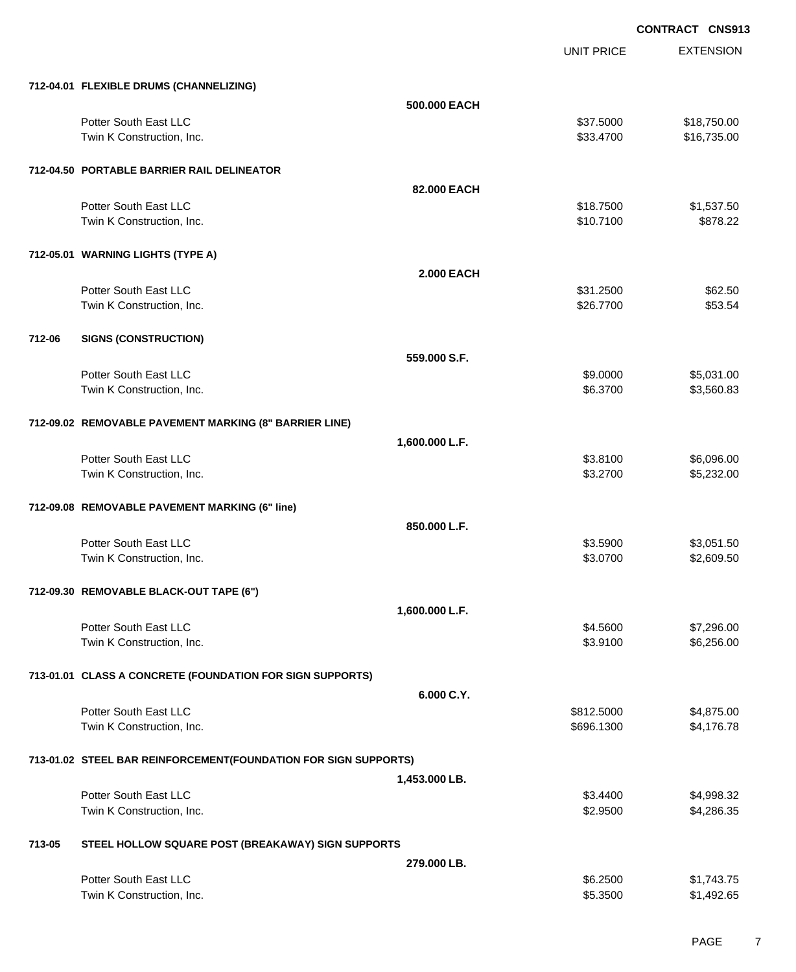UNIT PRICE EXTENSION

|        | 712-04.01 FLEXIBLE DRUMS (CHANNELIZING)                         |                   |                      |                          |
|--------|-----------------------------------------------------------------|-------------------|----------------------|--------------------------|
|        |                                                                 | 500,000 EACH      |                      |                          |
|        | Potter South East LLC                                           |                   | \$37.5000            | \$18,750.00              |
|        | Twin K Construction, Inc.                                       |                   | \$33.4700            | \$16,735.00              |
|        | 712-04.50 PORTABLE BARRIER RAIL DELINEATOR                      |                   |                      |                          |
|        |                                                                 | 82,000 EACH       |                      |                          |
|        | Potter South East LLC                                           |                   | \$18.7500            | \$1,537.50               |
|        | Twin K Construction, Inc.                                       |                   | \$10.7100            | \$878.22                 |
|        | 712-05.01 WARNING LIGHTS (TYPE A)                               |                   |                      |                          |
|        |                                                                 | <b>2.000 EACH</b> |                      |                          |
|        | Potter South East LLC                                           |                   | \$31.2500            | \$62.50                  |
|        | Twin K Construction, Inc.                                       |                   | \$26.7700            | \$53.54                  |
| 712-06 | <b>SIGNS (CONSTRUCTION)</b>                                     |                   |                      |                          |
|        |                                                                 | 559,000 S.F.      |                      |                          |
|        | Potter South East LLC                                           |                   | \$9.0000             | \$5,031.00               |
|        | Twin K Construction, Inc.                                       |                   | \$6.3700             | \$3,560.83               |
|        |                                                                 |                   |                      |                          |
|        | 712-09.02 REMOVABLE PAVEMENT MARKING (8" BARRIER LINE)          |                   |                      |                          |
|        |                                                                 | 1,600.000 L.F.    |                      |                          |
|        | Potter South East LLC                                           |                   | \$3.8100             | \$6,096.00               |
|        | Twin K Construction, Inc.                                       |                   | \$3.2700             | \$5,232.00               |
|        | 712-09.08 REMOVABLE PAVEMENT MARKING (6" line)                  |                   |                      |                          |
|        |                                                                 | 850.000 L.F.      |                      |                          |
|        | Potter South East LLC                                           |                   | \$3.5900             | \$3,051.50               |
|        | Twin K Construction, Inc.                                       |                   | \$3.0700             | \$2,609.50               |
|        | 712-09.30 REMOVABLE BLACK-OUT TAPE (6")                         |                   |                      |                          |
|        |                                                                 | 1,600.000 L.F.    |                      |                          |
|        | Potter South East LLC                                           |                   | \$4.5600             | \$7,296.00               |
|        | Twin K Construction, Inc.                                       |                   | \$3.9100             | \$6,256.00               |
|        | 713-01.01 CLASS A CONCRETE (FOUNDATION FOR SIGN SUPPORTS)       |                   |                      |                          |
|        |                                                                 | 6.000 C.Y.        |                      |                          |
|        | Potter South East LLC                                           |                   | \$812.5000           | \$4,875.00               |
|        | Twin K Construction, Inc.                                       |                   | \$696.1300           | \$4,176.78               |
|        |                                                                 |                   |                      |                          |
|        | 713-01.02 STEEL BAR REINFORCEMENT(FOUNDATION FOR SIGN SUPPORTS) |                   |                      |                          |
|        |                                                                 | 1,453.000 LB.     |                      |                          |
|        | Potter South East LLC<br>Twin K Construction, Inc.              |                   | \$3.4400<br>\$2.9500 | \$4,998.32<br>\$4,286.35 |
|        |                                                                 |                   |                      |                          |
| 713-05 | STEEL HOLLOW SQUARE POST (BREAKAWAY) SIGN SUPPORTS              |                   |                      |                          |
|        |                                                                 | 279,000 LB.       |                      |                          |
|        | Potter South East LLC                                           |                   | \$6.2500             | \$1,743.75               |
|        | Twin K Construction, Inc.                                       |                   | \$5.3500             | \$1,492.65               |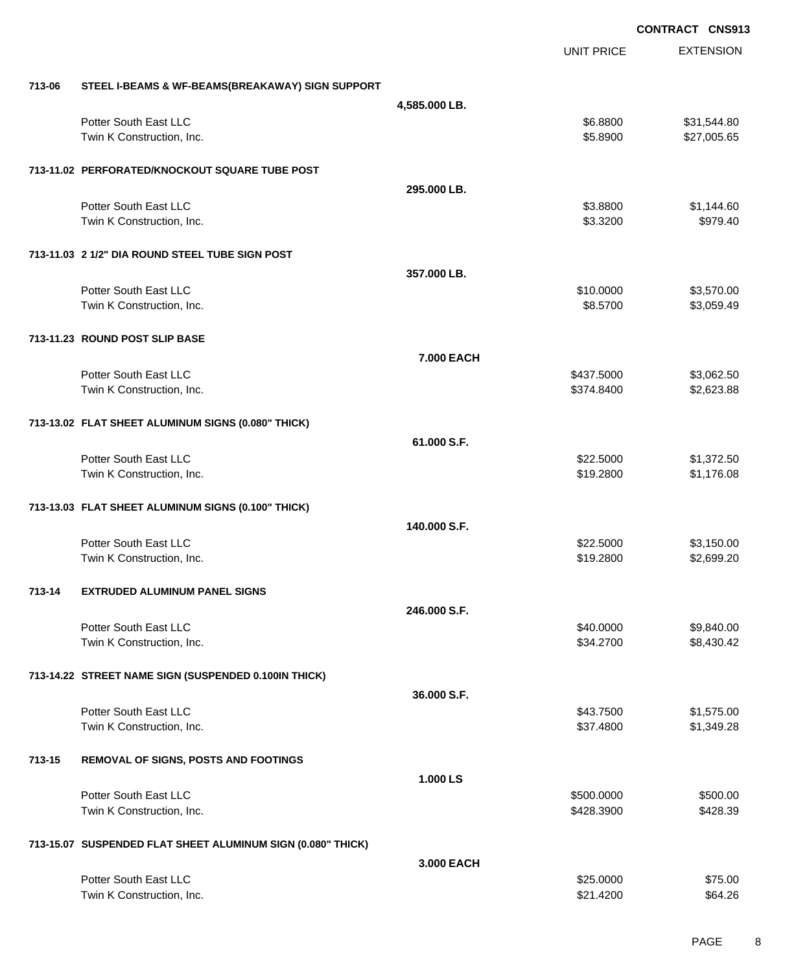EXTENSION **CONTRACT CNS913** UNIT PRICE **713-06 STEEL I-BEAMS & WF-BEAMS(BREAKAWAY) SIGN SUPPORT 4,585.000 LB.** Potter South East LLC 6.8800 \$31,544.80 Twin K Construction, Inc. 6. The Construction of the Construction, Inc. 65.8900 \$27,005.65 **713-11.02 PERFORATED/KNOCKOUT SQUARE TUBE POST 295.000 LB.** Potter South East LLC 60 and 1.144.60 Twin K Construction, Inc. 6979.40 **713-11.03 2 1/2" DIA ROUND STEEL TUBE SIGN POST 357.000 LB.** Potter South East LLC \$10.0000 \$3,570.00 Twin K Construction, Inc. 63,059.49 **\$3,059.49 \$3,059.49 \$3,059.49 \$3,059.49 713-11.23 ROUND POST SLIP BASE 7.000 EACH** Potter South East LLC 62.5000 \$3,062.50 Twin K Construction, Inc. 6374.8400 \$2,623.88 **713-13.02 FLAT SHEET ALUMINUM SIGNS (0.080" THICK) 61.000 S.F.** Potter South East LLC  $$22.5000$   $$1,372.50$ Twin K Construction, Inc. 6. The Construction of the Construction, Inc. 6. The Construction, Inc. 6. The Construction of the Construction of the Construction of the Construction of the Construction of the Construction of t **713-13.03 FLAT SHEET ALUMINUM SIGNS (0.100" THICK) 140.000 S.F.** Potter South East LLC 6000 \$3,150.00 Twin K Construction, Inc. 6. The Construction, Inc. 6. The Construction, Inc. 6. The Construction, Inc. 6. The Construction of the Construction, Inc. 6. The Construction of the Construction, Inc. 6. The Construction of the **713-14 EXTRUDED ALUMINUM PANEL SIGNS 246.000 S.F.** Potter South East LLC  $$40.0000$  \$9,840.00 Twin K Construction, Inc. 68,430.42 and 534.2700 \$8,430.42 **713-14.22 STREET NAME SIGN (SUSPENDED 0.100IN THICK) 36.000 S.F.** Potter South East LLC  $$43.7500$  \$1,575.00 Twin K Construction, Inc. 6. The Second Studies of the Studies of the Studies of Studies and Studies of Studies Studies and Studies of Studies and Studies and Studies of Studies and Studies and Studies and Studies and Stud **713-15 REMOVAL OF SIGNS, POSTS AND FOOTINGS 1.000 LS** Potter South East LLC 6500.000 \$500.000 \$500.000 \$500.000 \$500.000 \$500.000 \$500.000 \$500.00 Twin K Construction, Inc. 6428.39 and the state of the state of the state of the state of the state of the state of the state of the state of the state of the state of the state of the state of the state of the state of th **713-15.07 SUSPENDED FLAT SHEET ALUMINUM SIGN (0.080" THICK) 3.000 EACH** Potter South East LLC 6. The South East LLC 6. The South East LLC 6. The South East LLC 6. The South East LLC 6. The South American ST 5.0000 \$75.00

Twin K Construction, Inc. \$21.4200 \$64.26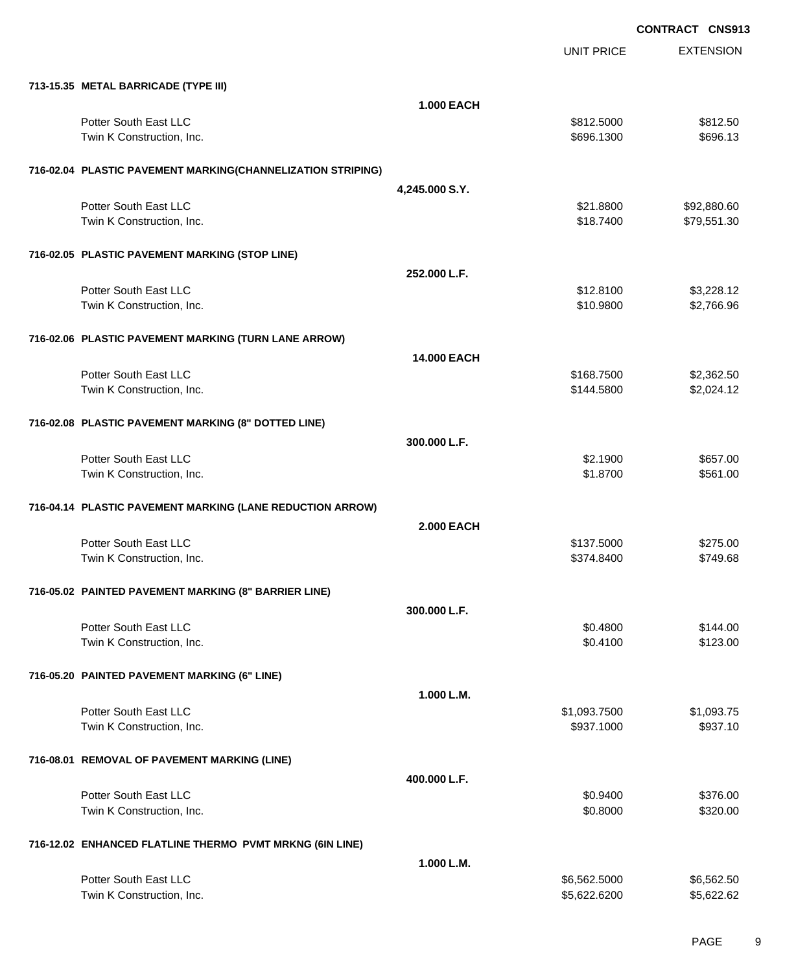|                                                             |                    | <b>UNIT PRICE</b> | <b>EXTENSION</b> |
|-------------------------------------------------------------|--------------------|-------------------|------------------|
| 713-15.35 METAL BARRICADE (TYPE III)                        |                    |                   |                  |
|                                                             | <b>1.000 EACH</b>  |                   |                  |
| Potter South East LLC                                       |                    | \$812.5000        | \$812.50         |
| Twin K Construction, Inc.                                   |                    | \$696.1300        | \$696.13         |
| 716-02.04 PLASTIC PAVEMENT MARKING(CHANNELIZATION STRIPING) |                    |                   |                  |
|                                                             | 4,245.000 S.Y.     |                   |                  |
| Potter South East LLC                                       |                    | \$21.8800         | \$92,880.60      |
| Twin K Construction, Inc.                                   |                    | \$18.7400         | \$79,551.30      |
| 716-02.05 PLASTIC PAVEMENT MARKING (STOP LINE)              |                    |                   |                  |
|                                                             | 252.000 L.F.       |                   |                  |
| Potter South East LLC                                       |                    | \$12.8100         | \$3,228.12       |
| Twin K Construction, Inc.                                   |                    | \$10.9800         | \$2,766.96       |
| 716-02.06 PLASTIC PAVEMENT MARKING (TURN LANE ARROW)        |                    |                   |                  |
|                                                             | <b>14.000 EACH</b> |                   |                  |
| Potter South East LLC                                       |                    | \$168.7500        | \$2,362.50       |
| Twin K Construction, Inc.                                   |                    | \$144.5800        | \$2,024.12       |
| 716-02.08 PLASTIC PAVEMENT MARKING (8" DOTTED LINE)         |                    |                   |                  |
|                                                             | 300.000 L.F.       |                   |                  |
| Potter South East LLC                                       |                    | \$2.1900          | \$657.00         |
| Twin K Construction, Inc.                                   |                    | \$1.8700          | \$561.00         |
| 716-04.14 PLASTIC PAVEMENT MARKING (LANE REDUCTION ARROW)   |                    |                   |                  |
|                                                             | <b>2.000 EACH</b>  |                   |                  |
| Potter South East LLC                                       |                    | \$137.5000        | \$275.00         |
| Twin K Construction, Inc.                                   |                    | \$374.8400        | \$749.68         |
| 716-05.02 PAINTED PAVEMENT MARKING (8" BARRIER LINE)        |                    |                   |                  |
|                                                             | 300.000 L.F.       |                   |                  |
| Potter South East LLC                                       |                    | \$0.4800          | \$144.00         |
| Twin K Construction, Inc.                                   |                    | \$0.4100          | \$123.00         |
| 716-05.20 PAINTED PAVEMENT MARKING (6" LINE)                |                    |                   |                  |
|                                                             | 1.000 L.M.         |                   |                  |
| Potter South East LLC                                       |                    | \$1,093.7500      | \$1,093.75       |
| Twin K Construction, Inc.                                   |                    | \$937.1000        | \$937.10         |
| 716-08.01 REMOVAL OF PAVEMENT MARKING (LINE)                |                    |                   |                  |
|                                                             | 400.000 L.F.       |                   |                  |
| Potter South East LLC                                       |                    | \$0.9400          | \$376.00         |
| Twin K Construction, Inc.                                   |                    | \$0.8000          | \$320.00         |
| 716-12.02 ENHANCED FLATLINE THERMO PVMT MRKNG (6IN LINE)    |                    |                   |                  |
|                                                             | 1.000 L.M.         |                   |                  |
| Potter South East LLC                                       |                    | \$6,562.5000      | \$6,562.50       |
| Twin K Construction, Inc.                                   |                    | \$5,622.6200      | \$5,622.62       |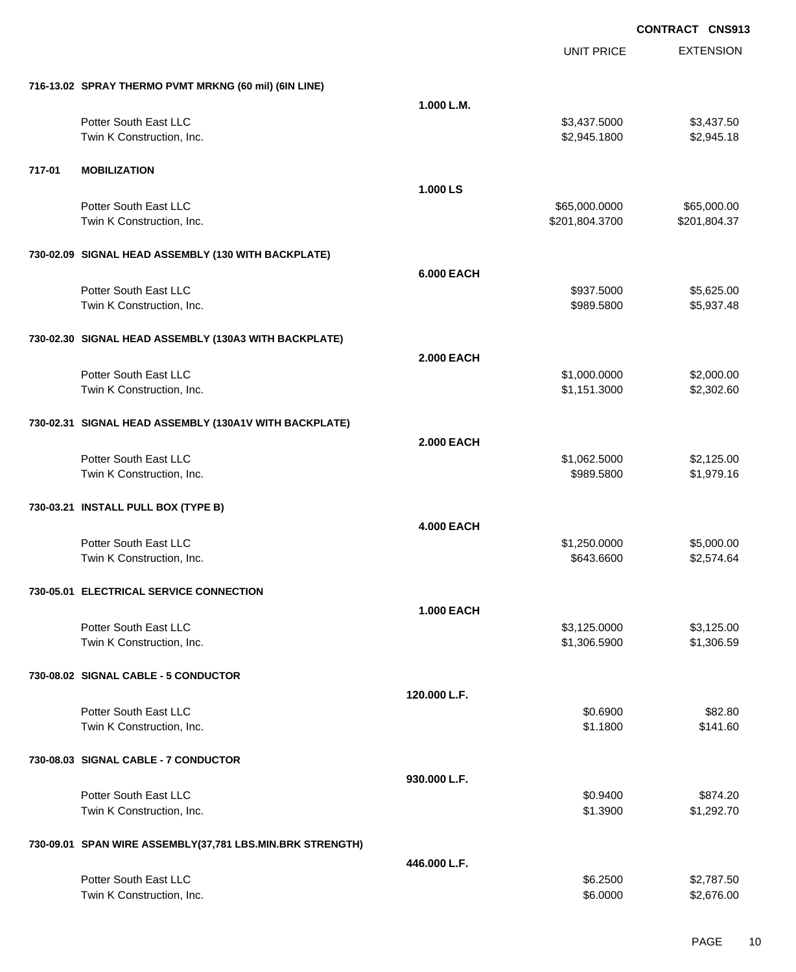|        |                                                           |                   | <b>UNIT PRICE</b> | <b>EXTENSION</b> |
|--------|-----------------------------------------------------------|-------------------|-------------------|------------------|
|        | 716-13.02 SPRAY THERMO PVMT MRKNG (60 mil) (6IN LINE)     |                   |                   |                  |
|        |                                                           | 1.000 L.M.        |                   |                  |
|        | Potter South East LLC                                     |                   | \$3,437.5000      | \$3,437.50       |
|        | Twin K Construction, Inc.                                 |                   | \$2,945.1800      | \$2,945.18       |
| 717-01 | <b>MOBILIZATION</b>                                       |                   |                   |                  |
|        |                                                           | 1.000 LS          |                   |                  |
|        | Potter South East LLC                                     |                   | \$65,000.0000     | \$65,000.00      |
|        | Twin K Construction, Inc.                                 |                   | \$201,804.3700    | \$201,804.37     |
|        | 730-02.09 SIGNAL HEAD ASSEMBLY (130 WITH BACKPLATE)       |                   |                   |                  |
|        |                                                           | <b>6.000 EACH</b> |                   |                  |
|        | Potter South East LLC                                     |                   | \$937.5000        | \$5,625.00       |
|        | Twin K Construction, Inc.                                 |                   | \$989.5800        | \$5,937.48       |
|        | 730-02.30 SIGNAL HEAD ASSEMBLY (130A3 WITH BACKPLATE)     |                   |                   |                  |
|        |                                                           | <b>2.000 EACH</b> |                   |                  |
|        | Potter South East LLC                                     |                   | \$1,000.0000      | \$2,000.00       |
|        | Twin K Construction, Inc.                                 |                   | \$1,151.3000      | \$2,302.60       |
|        | 730-02.31 SIGNAL HEAD ASSEMBLY (130A1V WITH BACKPLATE)    |                   |                   |                  |
|        |                                                           | <b>2.000 EACH</b> |                   |                  |
|        | Potter South East LLC                                     |                   | \$1,062.5000      | \$2,125.00       |
|        | Twin K Construction, Inc.                                 |                   | \$989.5800        | \$1,979.16       |
|        | 730-03.21 INSTALL PULL BOX (TYPE B)                       |                   |                   |                  |
|        |                                                           | <b>4.000 EACH</b> |                   |                  |
|        | Potter South East LLC                                     |                   | \$1,250.0000      | \$5,000.00       |
|        | Twin K Construction, Inc.                                 |                   | \$643.6600        | \$2,574.64       |
|        | 730-05.01 ELECTRICAL SERVICE CONNECTION                   |                   |                   |                  |
|        |                                                           | <b>1.000 EACH</b> |                   |                  |
|        | Potter South East LLC                                     |                   | \$3,125.0000      | \$3,125.00       |
|        | Twin K Construction, Inc.                                 |                   | \$1,306.5900      | \$1,306.59       |
|        | 730-08.02 SIGNAL CABLE - 5 CONDUCTOR                      |                   |                   |                  |
|        |                                                           | 120.000 L.F.      |                   |                  |
|        | Potter South East LLC                                     |                   | \$0.6900          | \$82.80          |
|        | Twin K Construction, Inc.                                 |                   | \$1.1800          | \$141.60         |
|        | 730-08.03 SIGNAL CABLE - 7 CONDUCTOR                      |                   |                   |                  |
|        |                                                           | 930.000 L.F.      |                   |                  |
|        | Potter South East LLC                                     |                   | \$0.9400          | \$874.20         |
|        | Twin K Construction, Inc.                                 |                   | \$1.3900          | \$1,292.70       |
|        | 730-09.01 SPAN WIRE ASSEMBLY(37,781 LBS.MIN.BRK STRENGTH) |                   |                   |                  |
|        |                                                           | 446.000 L.F.      |                   |                  |
|        | Potter South East LLC                                     |                   | \$6.2500          | \$2,787.50       |
|        | Twin K Construction, Inc.                                 |                   | \$6.0000          | \$2,676.00       |
|        |                                                           |                   |                   |                  |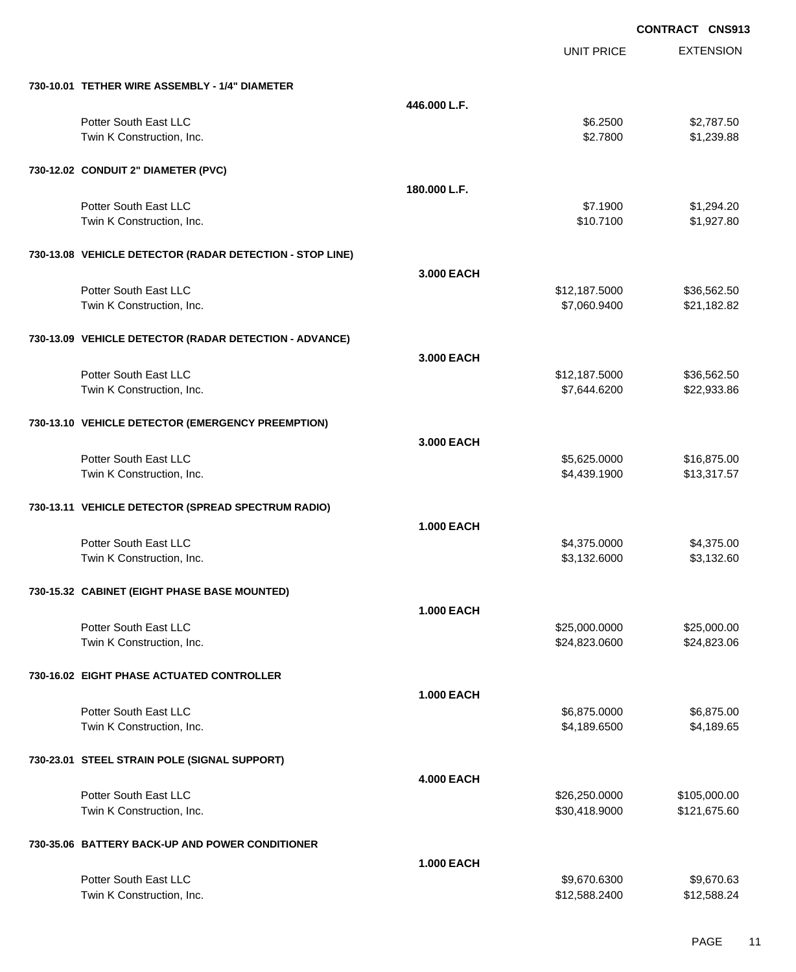|                                                          |                   | UNIT PRICE    | <b>EXTENSION</b> |
|----------------------------------------------------------|-------------------|---------------|------------------|
| 730-10.01 TETHER WIRE ASSEMBLY - 1/4" DIAMETER           |                   |               |                  |
|                                                          | 446.000 L.F.      |               |                  |
| Potter South East LLC                                    |                   | \$6.2500      | \$2,787.50       |
| Twin K Construction, Inc.                                |                   | \$2.7800      | \$1,239.88       |
| 730-12.02 CONDUIT 2" DIAMETER (PVC)                      |                   |               |                  |
|                                                          | 180.000 L.F.      |               |                  |
| Potter South East LLC                                    |                   | \$7.1900      | \$1,294.20       |
| Twin K Construction, Inc.                                |                   | \$10.7100     | \$1,927.80       |
| 730-13.08 VEHICLE DETECTOR (RADAR DETECTION - STOP LINE) |                   |               |                  |
|                                                          | 3,000 EACH        |               |                  |
| Potter South East LLC                                    |                   | \$12,187.5000 | \$36,562.50      |
| Twin K Construction, Inc.                                |                   | \$7,060.9400  | \$21,182.82      |
| 730-13.09 VEHICLE DETECTOR (RADAR DETECTION - ADVANCE)   |                   |               |                  |
|                                                          | 3.000 EACH        |               |                  |
| Potter South East LLC                                    |                   | \$12,187.5000 | \$36,562.50      |
| Twin K Construction, Inc.                                |                   | \$7,644.6200  | \$22,933.86      |
| 730-13.10 VEHICLE DETECTOR (EMERGENCY PREEMPTION)        |                   |               |                  |
|                                                          | 3,000 EACH        |               |                  |
| Potter South East LLC                                    |                   | \$5,625.0000  | \$16,875.00      |
| Twin K Construction, Inc.                                |                   | \$4,439.1900  | \$13,317.57      |
| 730-13.11 VEHICLE DETECTOR (SPREAD SPECTRUM RADIO)       |                   |               |                  |
|                                                          | <b>1.000 EACH</b> |               |                  |
| Potter South East LLC                                    |                   | \$4,375.0000  | \$4,375.00       |
| Twin K Construction, Inc.                                |                   | \$3,132.6000  | \$3,132.60       |
| 730-15.32 CABINET (EIGHT PHASE BASE MOUNTED)             |                   |               |                  |
|                                                          | <b>1.000 EACH</b> |               |                  |
| Potter South East LLC                                    |                   | \$25,000.0000 | \$25,000.00      |
| Twin K Construction, Inc.                                |                   | \$24,823.0600 | \$24,823.06      |
| 730-16.02 EIGHT PHASE ACTUATED CONTROLLER                |                   |               |                  |
|                                                          | <b>1.000 EACH</b> |               |                  |
| Potter South East LLC                                    |                   | \$6,875.0000  | \$6,875.00       |
| Twin K Construction, Inc.                                |                   | \$4,189.6500  | \$4,189.65       |
| 730-23.01 STEEL STRAIN POLE (SIGNAL SUPPORT)             |                   |               |                  |
|                                                          | <b>4.000 EACH</b> |               |                  |
| Potter South East LLC                                    |                   | \$26,250.0000 | \$105,000.00     |
| Twin K Construction, Inc.                                |                   | \$30,418.9000 | \$121,675.60     |
| 730-35.06 BATTERY BACK-UP AND POWER CONDITIONER          |                   |               |                  |
|                                                          | <b>1.000 EACH</b> |               |                  |
| Potter South East LLC                                    |                   | \$9,670.6300  | \$9,670.63       |
| Twin K Construction, Inc.                                |                   | \$12,588.2400 | \$12,588.24      |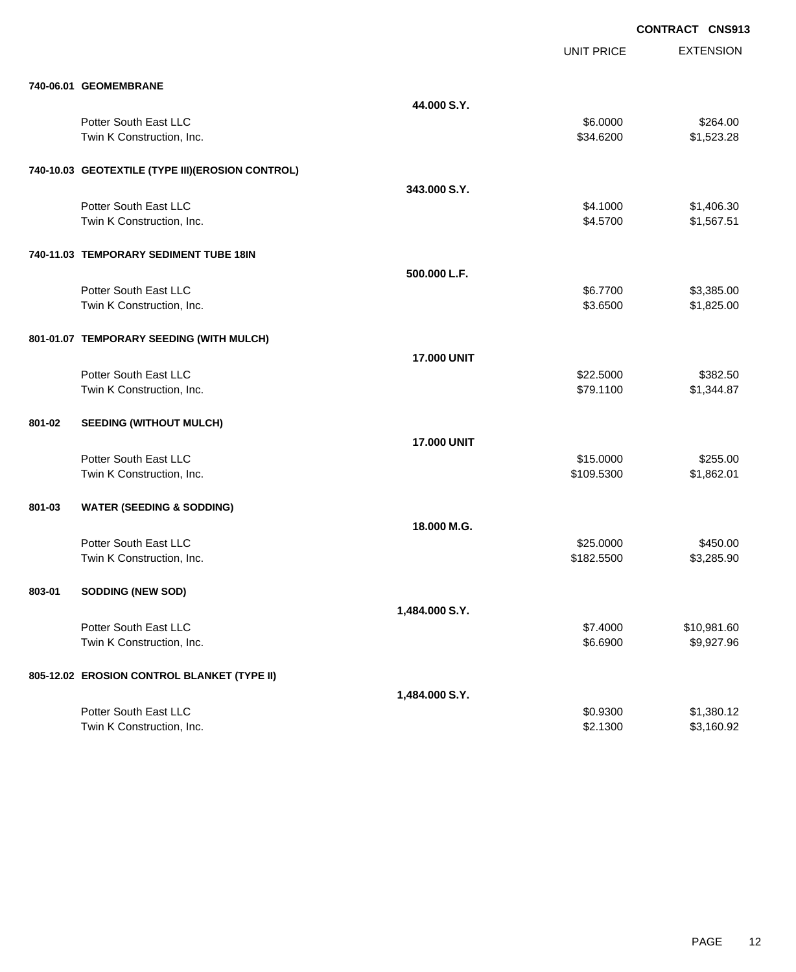|        |                                                  |                    | <b>UNIT PRICE</b> | <b>EXTENSION</b> |
|--------|--------------------------------------------------|--------------------|-------------------|------------------|
|        | 740-06.01 GEOMEMBRANE                            |                    |                   |                  |
|        |                                                  | 44.000 S.Y.        |                   |                  |
|        | Potter South East LLC                            |                    | \$6.0000          | \$264.00         |
|        | Twin K Construction, Inc.                        |                    | \$34.6200         | \$1,523.28       |
|        |                                                  |                    |                   |                  |
|        | 740-10.03 GEOTEXTILE (TYPE III)(EROSION CONTROL) |                    |                   |                  |
|        |                                                  | 343.000 S.Y.       |                   |                  |
|        | Potter South East LLC                            |                    | \$4.1000          | \$1,406.30       |
|        | Twin K Construction, Inc.                        |                    | \$4.5700          | \$1,567.51       |
|        |                                                  |                    |                   |                  |
|        | 740-11.03 TEMPORARY SEDIMENT TUBE 18IN           |                    |                   |                  |
|        |                                                  | 500.000 L.F.       |                   |                  |
|        | Potter South East LLC                            |                    | \$6.7700          | \$3,385.00       |
|        | Twin K Construction, Inc.                        |                    | \$3.6500          | \$1,825.00       |
|        |                                                  |                    |                   |                  |
|        | 801-01.07 TEMPORARY SEEDING (WITH MULCH)         |                    |                   |                  |
|        |                                                  |                    |                   |                  |
|        |                                                  | <b>17.000 UNIT</b> |                   |                  |
|        | Potter South East LLC                            |                    | \$22.5000         | \$382.50         |
|        | Twin K Construction, Inc.                        |                    | \$79.1100         | \$1,344.87       |
| 801-02 |                                                  |                    |                   |                  |
|        | <b>SEEDING (WITHOUT MULCH)</b>                   |                    |                   |                  |
|        |                                                  | <b>17.000 UNIT</b> |                   |                  |
|        | Potter South East LLC                            |                    | \$15.0000         | \$255.00         |
|        | Twin K Construction, Inc.                        |                    | \$109.5300        | \$1,862.01       |
|        |                                                  |                    |                   |                  |
| 801-03 | <b>WATER (SEEDING &amp; SODDING)</b>             |                    |                   |                  |
|        |                                                  | 18,000 M.G.        |                   |                  |
|        | Potter South East LLC                            |                    | \$25.0000         | \$450.00         |
|        | Twin K Construction, Inc.                        |                    | \$182.5500        | \$3,285.90       |
|        |                                                  |                    |                   |                  |
| 803-01 | <b>SODDING (NEW SOD)</b>                         |                    |                   |                  |
|        |                                                  | 1,484.000 S.Y.     |                   |                  |
|        | Potter South East LLC                            |                    | \$7.4000          | \$10,981.60      |
|        | Twin K Construction, Inc.                        |                    | \$6.6900          | \$9,927.96       |
|        |                                                  |                    |                   |                  |
|        | 805-12.02 EROSION CONTROL BLANKET (TYPE II)      |                    |                   |                  |
|        |                                                  | 1,484.000 S.Y.     |                   |                  |
|        | Potter South East LLC                            |                    | \$0.9300          | \$1,380.12       |
|        | Twin K Construction, Inc.                        |                    | \$2.1300          | \$3,160.92       |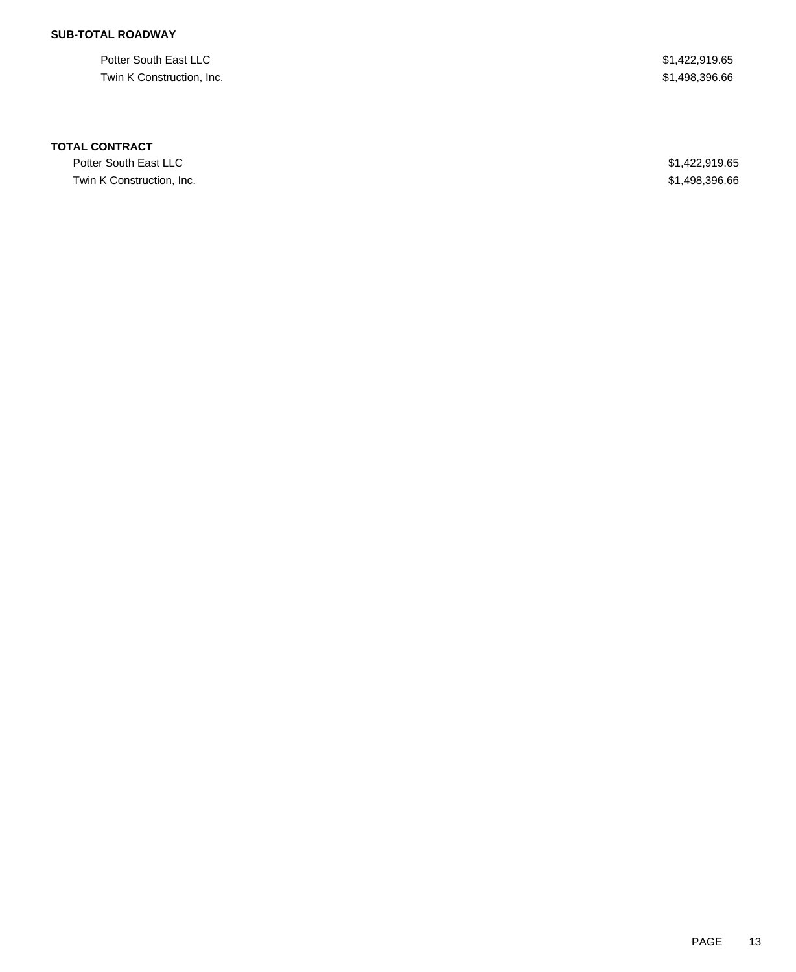## **SUB-TOTAL ROADWAY**

Potter South East LLC \$1,422,919.65 Twin K Construction, Inc. \$1,498,396.66

### **TOTAL CONTRACT**

Potter South East LLC \$1,422,919.65 Twin K Construction, Inc. \$1,498,396.66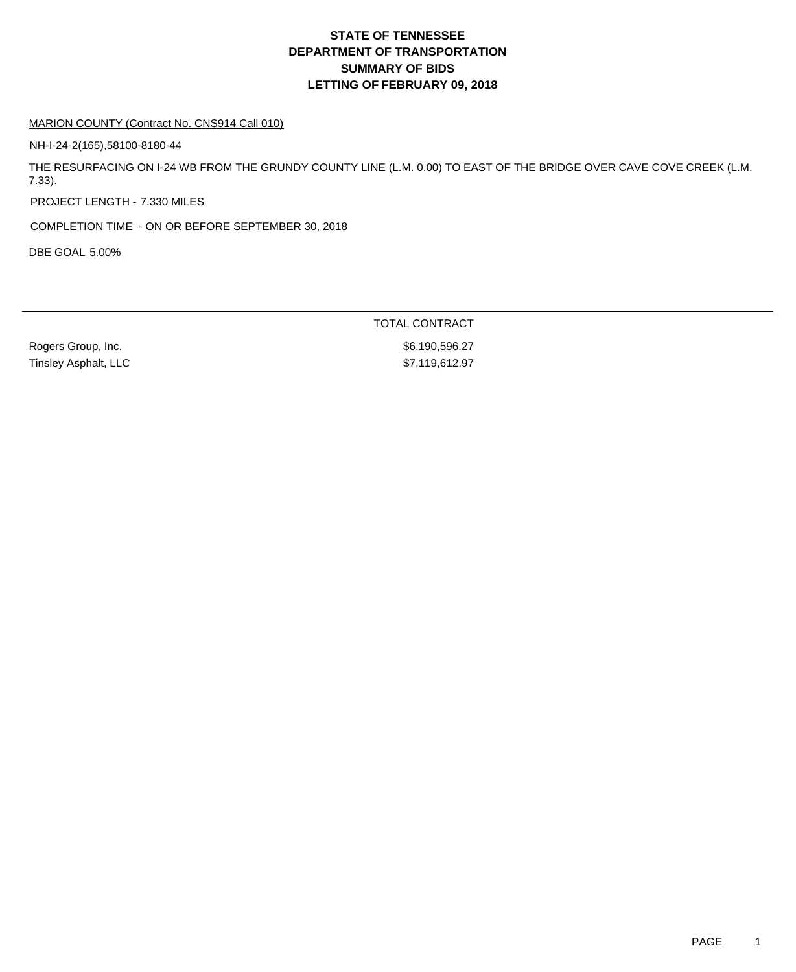#### MARION COUNTY (Contract No. CNS914 Call 010)

NH-I-24-2(165),58100-8180-44

THE RESURFACING ON I-24 WB FROM THE GRUNDY COUNTY LINE (L.M. 0.00) TO EAST OF THE BRIDGE OVER CAVE COVE CREEK (L.M. 7.33).

PROJECT LENGTH - 7.330 MILES

COMPLETION TIME - ON OR BEFORE SEPTEMBER 30, 2018

DBE GOAL 5.00%

Rogers Group, Inc. 6. 27 and 2012 12:38:49 and 2012 12:38:49 and 36,190,596.27 Tinsley Asphalt, LLC \$7,119,612.97

TOTAL CONTRACT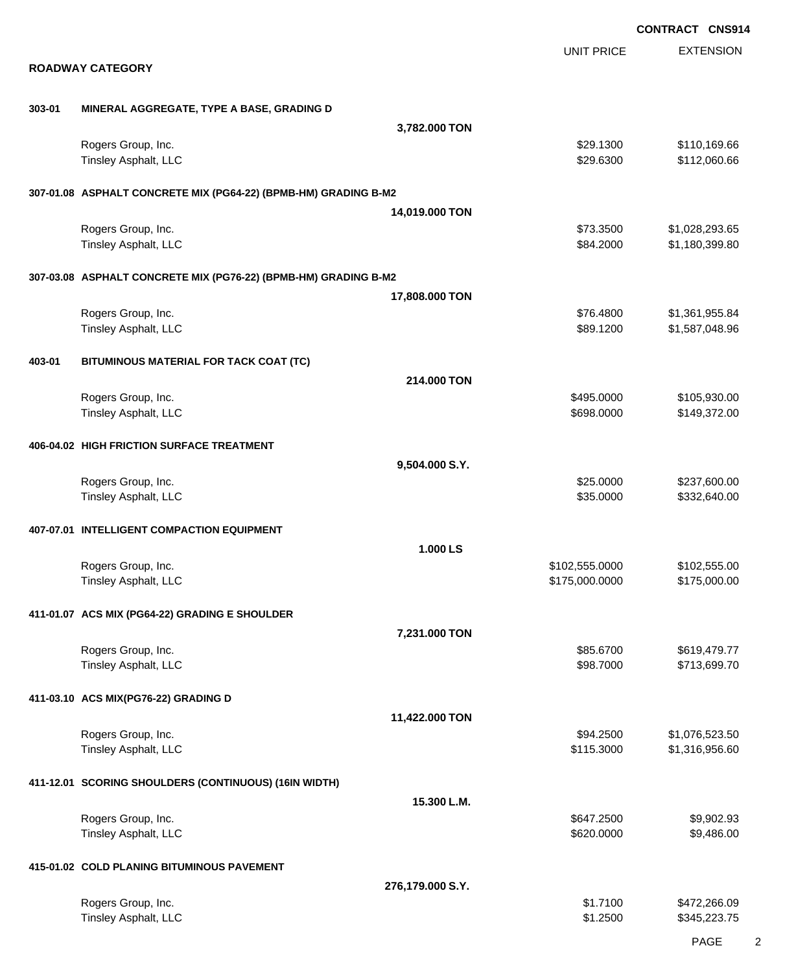|        |                                                                 |                  |                                  | <b>CONTRACT CNS914</b>           |
|--------|-----------------------------------------------------------------|------------------|----------------------------------|----------------------------------|
|        | <b>ROADWAY CATEGORY</b>                                         |                  | <b>UNIT PRICE</b>                | <b>EXTENSION</b>                 |
|        |                                                                 |                  |                                  |                                  |
| 303-01 | MINERAL AGGREGATE, TYPE A BASE, GRADING D                       |                  |                                  |                                  |
|        |                                                                 | 3,782.000 TON    |                                  |                                  |
|        | Rogers Group, Inc.                                              |                  | \$29.1300                        | \$110,169.66                     |
|        | Tinsley Asphalt, LLC                                            |                  | \$29.6300                        | \$112,060.66                     |
|        | 307-01.08 ASPHALT CONCRETE MIX (PG64-22) (BPMB-HM) GRADING B-M2 |                  |                                  |                                  |
|        |                                                                 | 14,019.000 TON   |                                  |                                  |
|        | Rogers Group, Inc.<br>Tinsley Asphalt, LLC                      |                  | \$73.3500<br>\$84.2000           | \$1,028,293.65<br>\$1,180,399.80 |
|        |                                                                 |                  |                                  |                                  |
|        | 307-03.08 ASPHALT CONCRETE MIX (PG76-22) (BPMB-HM) GRADING B-M2 |                  |                                  |                                  |
|        |                                                                 | 17,808.000 TON   |                                  |                                  |
|        | Rogers Group, Inc.<br>Tinsley Asphalt, LLC                      |                  | \$76.4800<br>\$89.1200           | \$1,361,955.84<br>\$1,587,048.96 |
|        |                                                                 |                  |                                  |                                  |
| 403-01 | BITUMINOUS MATERIAL FOR TACK COAT (TC)                          |                  |                                  |                                  |
|        |                                                                 | 214.000 TON      |                                  |                                  |
|        | Rogers Group, Inc.<br>Tinsley Asphalt, LLC                      |                  | \$495.0000<br>\$698.0000         | \$105,930.00<br>\$149,372.00     |
|        |                                                                 |                  |                                  |                                  |
|        | 406-04.02 HIGH FRICTION SURFACE TREATMENT                       |                  |                                  |                                  |
|        |                                                                 | 9,504.000 S.Y.   |                                  |                                  |
|        | Rogers Group, Inc.<br>Tinsley Asphalt, LLC                      |                  | \$25.0000<br>\$35.0000           | \$237,600.00<br>\$332,640.00     |
|        |                                                                 |                  |                                  |                                  |
|        | 407-07.01 INTELLIGENT COMPACTION EQUIPMENT                      |                  |                                  |                                  |
|        |                                                                 | 1.000 LS         |                                  |                                  |
|        | Rogers Group, Inc.<br>Tinsley Asphalt, LLC                      |                  | \$102,555.0000<br>\$175,000.0000 | \$102,555.00<br>\$175,000.00     |
|        |                                                                 |                  |                                  |                                  |
|        | 411-01.07 ACS MIX (PG64-22) GRADING E SHOULDER                  |                  |                                  |                                  |
|        | Rogers Group, Inc.                                              | 7,231.000 TON    | \$85.6700                        | \$619,479.77                     |
|        | Tinsley Asphalt, LLC                                            |                  | \$98.7000                        | \$713,699.70                     |
|        |                                                                 |                  |                                  |                                  |
|        | 411-03.10 ACS MIX(PG76-22) GRADING D                            |                  |                                  |                                  |
|        | Rogers Group, Inc.                                              | 11,422.000 TON   | \$94.2500                        | \$1,076,523.50                   |
|        | Tinsley Asphalt, LLC                                            |                  | \$115.3000                       | \$1,316,956.60                   |
|        |                                                                 |                  |                                  |                                  |
|        | 411-12.01 SCORING SHOULDERS (CONTINUOUS) (16IN WIDTH)           | 15.300 L.M.      |                                  |                                  |
|        | Rogers Group, Inc.                                              |                  | \$647.2500                       | \$9,902.93                       |
|        | Tinsley Asphalt, LLC                                            |                  | \$620.0000                       | \$9,486.00                       |
|        |                                                                 |                  |                                  |                                  |
|        | 415-01.02 COLD PLANING BITUMINOUS PAVEMENT                      | 276,179.000 S.Y. |                                  |                                  |
|        | Rogers Group, Inc.                                              |                  | \$1.7100                         | \$472,266.09                     |
|        | Tinsley Asphalt, LLC                                            |                  | \$1.2500                         | \$345,223.75                     |

PAGE 2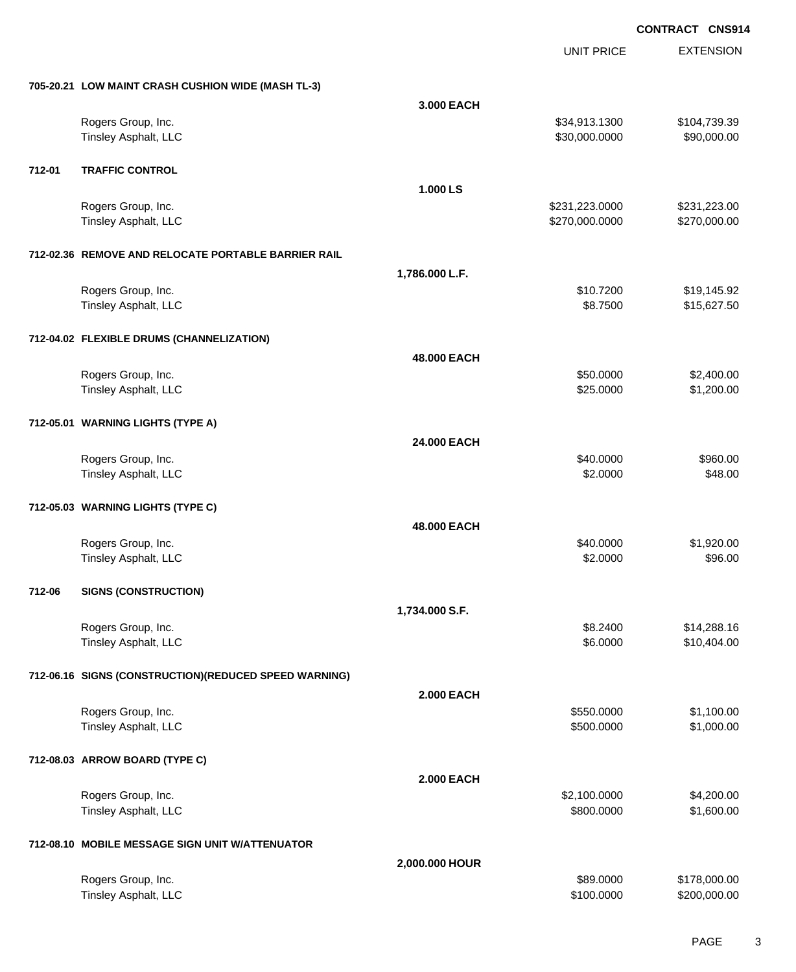UNIT PRICE

EXTENSION

|        | 705-20.21 LOW MAINT CRASH CUSHION WIDE (MASH TL-3)    |                   |                |              |
|--------|-------------------------------------------------------|-------------------|----------------|--------------|
|        |                                                       | 3.000 EACH        |                |              |
|        | Rogers Group, Inc.                                    |                   | \$34,913.1300  | \$104,739.39 |
|        | Tinsley Asphalt, LLC                                  |                   | \$30,000.0000  | \$90,000.00  |
|        |                                                       |                   |                |              |
| 712-01 | <b>TRAFFIC CONTROL</b>                                |                   |                |              |
|        |                                                       | 1.000 LS          |                |              |
|        | Rogers Group, Inc.                                    |                   | \$231,223.0000 | \$231,223.00 |
|        | Tinsley Asphalt, LLC                                  |                   | \$270,000.0000 | \$270,000.00 |
|        |                                                       |                   |                |              |
|        | 712-02.36 REMOVE AND RELOCATE PORTABLE BARRIER RAIL   |                   |                |              |
|        |                                                       | 1,786.000 L.F.    |                |              |
|        | Rogers Group, Inc.                                    |                   | \$10.7200      | \$19,145.92  |
|        | Tinsley Asphalt, LLC                                  |                   | \$8.7500       | \$15,627.50  |
|        |                                                       |                   |                |              |
|        | 712-04.02 FLEXIBLE DRUMS (CHANNELIZATION)             |                   |                |              |
|        |                                                       | 48.000 EACH       |                |              |
|        | Rogers Group, Inc.                                    |                   | \$50.0000      | \$2,400.00   |
|        | Tinsley Asphalt, LLC                                  |                   | \$25.0000      | \$1,200.00   |
|        |                                                       |                   |                |              |
|        | 712-05.01 WARNING LIGHTS (TYPE A)                     |                   |                |              |
|        |                                                       | 24.000 EACH       |                |              |
|        | Rogers Group, Inc.                                    |                   | \$40.0000      | \$960.00     |
|        | Tinsley Asphalt, LLC                                  |                   | \$2.0000       | \$48.00      |
|        |                                                       |                   |                |              |
|        | 712-05.03 WARNING LIGHTS (TYPE C)                     |                   |                |              |
|        |                                                       | 48.000 EACH       |                |              |
|        | Rogers Group, Inc.                                    |                   | \$40.0000      | \$1,920.00   |
|        | Tinsley Asphalt, LLC                                  |                   | \$2.0000       | \$96.00      |
|        |                                                       |                   |                |              |
| 712-06 | <b>SIGNS (CONSTRUCTION)</b>                           |                   |                |              |
|        |                                                       | 1,734.000 S.F.    |                |              |
|        | Rogers Group, Inc.                                    |                   | \$8.2400       | \$14,288.16  |
|        | Tinsley Asphalt, LLC                                  |                   | \$6.0000       | \$10,404.00  |
|        |                                                       |                   |                |              |
|        | 712-06.16 SIGNS (CONSTRUCTION)(REDUCED SPEED WARNING) |                   |                |              |
|        |                                                       | <b>2.000 EACH</b> |                |              |
|        | Rogers Group, Inc.                                    |                   | \$550.0000     | \$1,100.00   |
|        | Tinsley Asphalt, LLC                                  |                   | \$500.0000     | \$1,000.00   |
|        |                                                       |                   |                |              |
|        | 712-08.03 ARROW BOARD (TYPE C)                        |                   |                |              |
|        |                                                       | <b>2.000 EACH</b> |                |              |
|        | Rogers Group, Inc.                                    |                   | \$2,100.0000   | \$4,200.00   |
|        | Tinsley Asphalt, LLC                                  |                   | \$800.0000     | \$1,600.00   |
|        |                                                       |                   |                |              |
|        | 712-08.10 MOBILE MESSAGE SIGN UNIT W/ATTENUATOR       |                   |                |              |
|        |                                                       | 2,000.000 HOUR    |                |              |
|        | Rogers Group, Inc.                                    |                   | \$89.0000      | \$178,000.00 |
|        | Tinsley Asphalt, LLC                                  |                   | \$100.0000     | \$200,000.00 |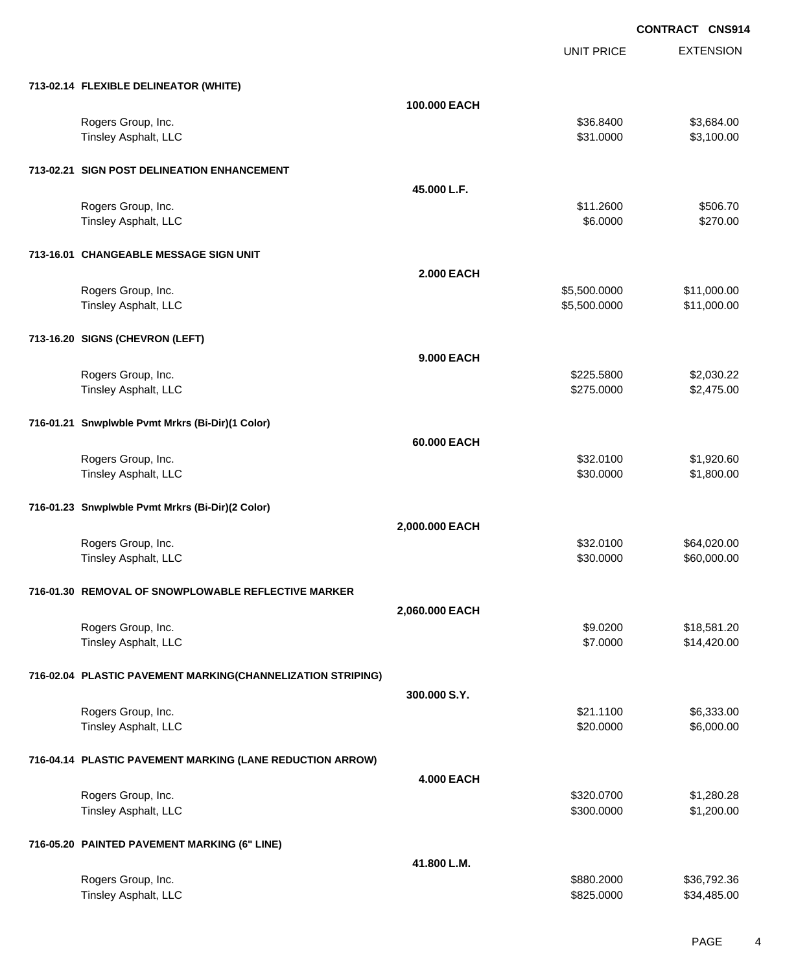UNIT PRICE

EXTENSION

| 713-02.14 FLEXIBLE DELINEATOR (WHITE) |              |           |            |
|---------------------------------------|--------------|-----------|------------|
|                                       | 100,000 EACH |           |            |
| Rogers Group, Inc.                    |              | \$36,8400 | \$3,684.00 |
| Tinsley Asphalt, LLC                  |              | \$31,0000 | \$3,100.00 |
|                                       |              |           |            |

| 713-02.21 SIGN POST DELINEATION ENHANCEMENT                 |                   |              |             |
|-------------------------------------------------------------|-------------------|--------------|-------------|
|                                                             | 45.000 L.F.       |              |             |
| Rogers Group, Inc.                                          |                   | \$11.2600    | \$506.70    |
| Tinsley Asphalt, LLC                                        |                   | \$6.0000     | \$270.00    |
| 713-16.01 CHANGEABLE MESSAGE SIGN UNIT                      |                   |              |             |
|                                                             | <b>2.000 EACH</b> |              |             |
| Rogers Group, Inc.                                          |                   | \$5,500.0000 | \$11,000.00 |
| Tinsley Asphalt, LLC                                        |                   | \$5,500.0000 | \$11,000.00 |
| 713-16.20 SIGNS (CHEVRON (LEFT)                             |                   |              |             |
|                                                             | <b>9.000 EACH</b> |              |             |
| Rogers Group, Inc.                                          |                   | \$225.5800   | \$2,030.22  |
| Tinsley Asphalt, LLC                                        |                   | \$275.0000   | \$2,475.00  |
| 716-01.21 Snwplwble Pvmt Mrkrs (Bi-Dir)(1 Color)            |                   |              |             |
|                                                             | 60.000 EACH       |              |             |
| Rogers Group, Inc.                                          |                   | \$32.0100    | \$1,920.60  |
| Tinsley Asphalt, LLC                                        |                   | \$30.0000    | \$1,800.00  |
| 716-01.23 Snwplwble Pvmt Mrkrs (Bi-Dir)(2 Color)            |                   |              |             |
|                                                             | 2,000.000 EACH    |              |             |
| Rogers Group, Inc.                                          |                   | \$32.0100    | \$64,020.00 |
| Tinsley Asphalt, LLC                                        |                   | \$30.0000    | \$60,000.00 |
| 716-01.30 REMOVAL OF SNOWPLOWABLE REFLECTIVE MARKER         |                   |              |             |
|                                                             | 2,060.000 EACH    |              |             |
| Rogers Group, Inc.                                          |                   | \$9.0200     | \$18,581.20 |
| Tinsley Asphalt, LLC                                        |                   | \$7.0000     | \$14,420.00 |
| 716-02.04 PLASTIC PAVEMENT MARKING(CHANNELIZATION STRIPING) |                   |              |             |
|                                                             | 300,000 S.Y.      |              |             |
| Rogers Group, Inc.                                          |                   | \$21.1100    | \$6,333.00  |
| Tinsley Asphalt, LLC                                        |                   | \$20.0000    | \$6,000.00  |
| 716-04.14 PLASTIC PAVEMENT MARKING (LANE REDUCTION ARROW)   |                   |              |             |
|                                                             | <b>4.000 EACH</b> |              |             |
| Rogers Group, Inc.                                          |                   | \$320.0700   | \$1,280.28  |
| Tinsley Asphalt, LLC                                        |                   | \$300.0000   | \$1,200.00  |
| 716-05.20 PAINTED PAVEMENT MARKING (6" LINE)                |                   |              |             |
|                                                             | 41.800 L.M.       |              |             |
| Rogers Group, Inc.                                          |                   | \$880.2000   | \$36,792.36 |
| Tinsley Asphalt, LLC                                        |                   | \$825.0000   | \$34,485.00 |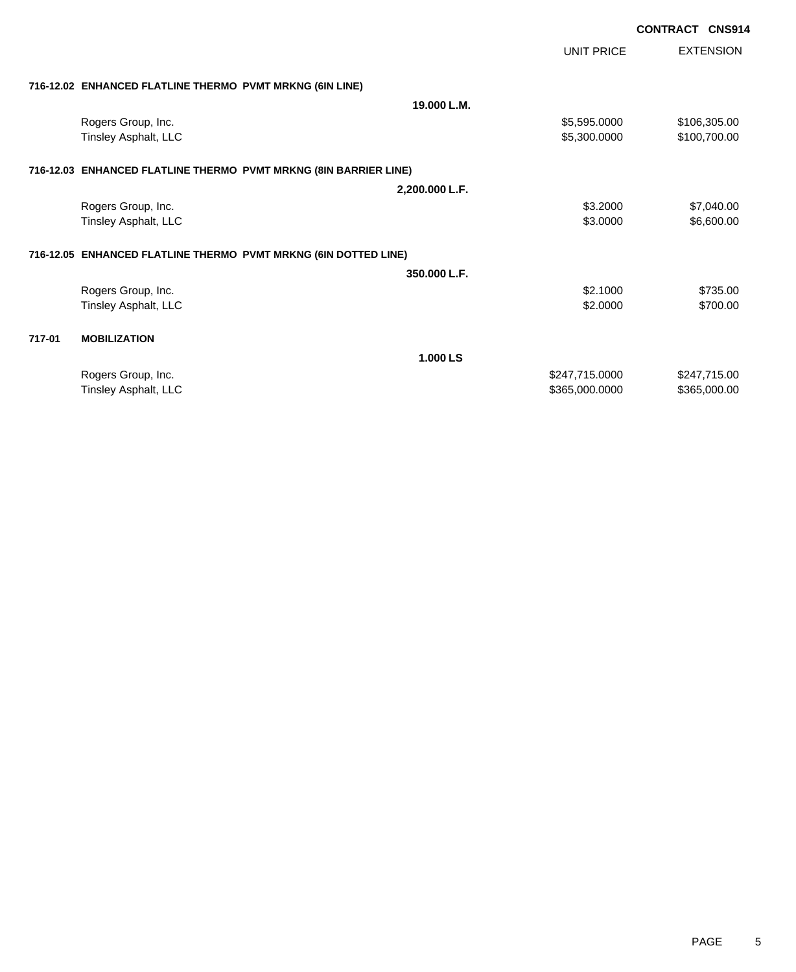|        |                                                                  |                | UNIT PRICE     | <b>EXTENSION</b> |
|--------|------------------------------------------------------------------|----------------|----------------|------------------|
|        | 716-12.02 ENHANCED FLATLINE THERMO PVMT MRKNG (6IN LINE)         |                |                |                  |
|        |                                                                  | 19.000 L.M.    |                |                  |
|        | Rogers Group, Inc.                                               |                | \$5,595.0000   | \$106,305.00     |
|        | Tinsley Asphalt, LLC                                             |                | \$5,300.0000   | \$100,700.00     |
|        | 716-12.03 ENHANCED FLATLINE THERMO PVMT MRKNG (8IN BARRIER LINE) |                |                |                  |
|        |                                                                  | 2,200.000 L.F. |                |                  |
|        | Rogers Group, Inc.                                               |                | \$3.2000       | \$7,040.00       |
|        | Tinsley Asphalt, LLC                                             |                | \$3.0000       | \$6,600.00       |
|        | 716-12.05 ENHANCED FLATLINE THERMO PVMT MRKNG (6IN DOTTED LINE)  |                |                |                  |
|        |                                                                  | 350.000 L.F.   |                |                  |
|        | Rogers Group, Inc.                                               |                | \$2.1000       | \$735.00         |
|        | Tinsley Asphalt, LLC                                             |                | \$2.0000       | \$700.00         |
| 717-01 | <b>MOBILIZATION</b>                                              |                |                |                  |
|        |                                                                  | 1.000 LS       |                |                  |
|        | Rogers Group, Inc.                                               |                | \$247,715.0000 | \$247,715.00     |
|        | Tinsley Asphalt, LLC                                             |                | \$365,000.0000 | \$365,000.00     |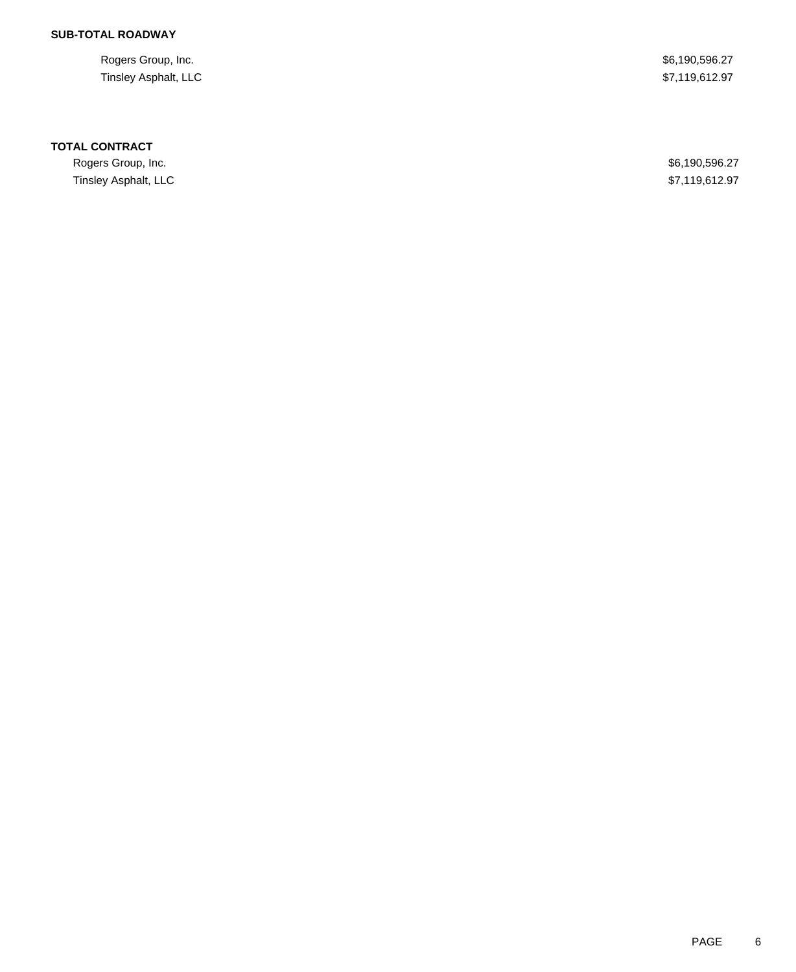# **SUB-TOTAL ROADWAY**

Rogers Group, Inc. \$6,190,596.27 Tinsley Asphalt, LLC \$7,119,612.97

### **TOTAL CONTRACT**

Rogers Group, Inc. \$6,190,596.27 Tinsley Asphalt, LLC \$7,119,612.97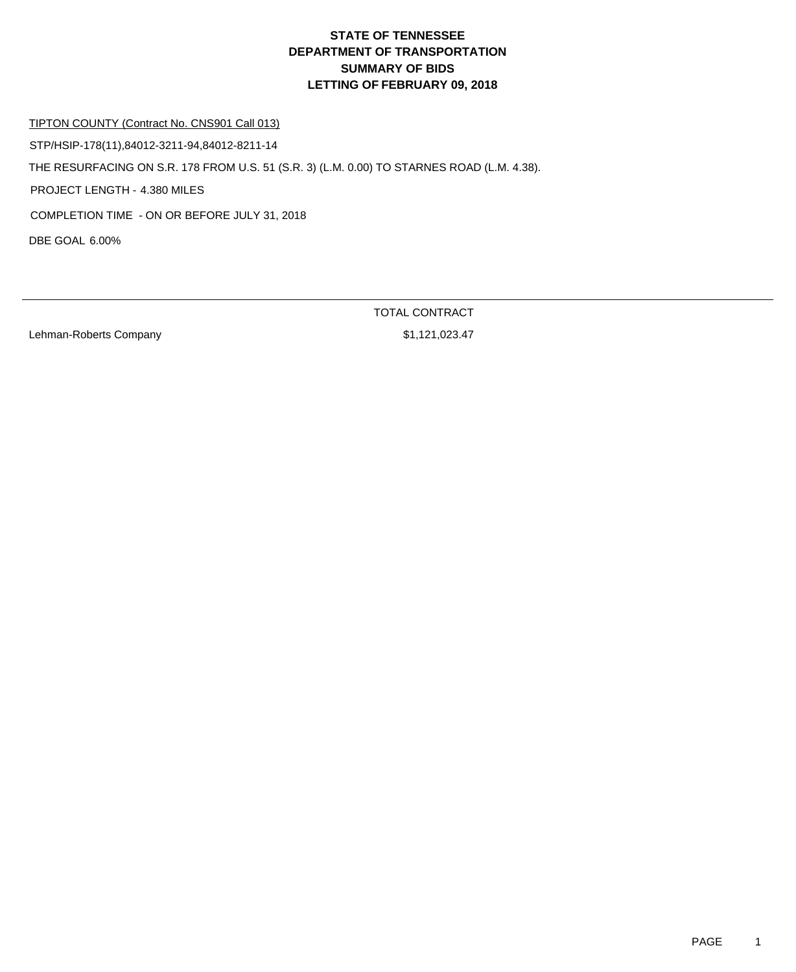#### TIPTON COUNTY (Contract No. CNS901 Call 013)

DBE GOAL 6.00% THE RESURFACING ON S.R. 178 FROM U.S. 51 (S.R. 3) (L.M. 0.00) TO STARNES ROAD (L.M. 4.38). PROJECT LENGTH - 4.380 MILES STP/HSIP-178(11),84012-3211-94,84012-8211-14 COMPLETION TIME - ON OR BEFORE JULY 31, 2018

Lehman-Roberts Company **61,121,023.47** 

TOTAL CONTRACT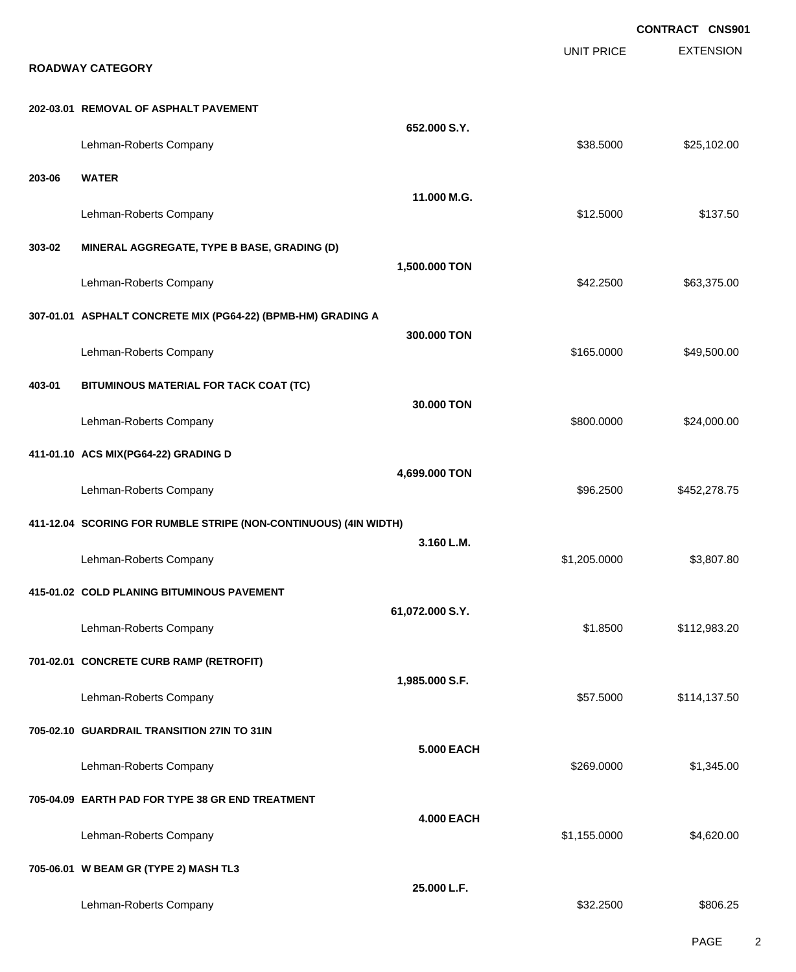EXTENSION **CONTRACT CNS901** UNIT PRICE **ROADWAY CATEGORY 202-03.01 REMOVAL OF ASPHALT PAVEMENT 652.000 S.Y.** Lehman-Roberts Company **\$25,102.00** \$25,102.00 **203-06 WATER 11.000 M.G.** Lehman-Roberts Company 6137.50 **303-02 MINERAL AGGREGATE, TYPE B BASE, GRADING (D) 1,500.000 TON** Lehman-Roberts Company **663,375.00 \$63,375.00 \$63,375.00 \$63,375.00 \$63,375.00 307-01.01 ASPHALT CONCRETE MIX (PG64-22) (BPMB-HM) GRADING A 300.000 TON** Lehman-Roberts Company **\$165.0000 \$49,500.00** \$49,500.00 **403-01 BITUMINOUS MATERIAL FOR TACK COAT (TC) 30.000 TON** Lehman-Roberts Company 624,000.00 \$24,000.00 \$24,000.00 \$24,000.00 \$24,000.00 \$24,000.00 \$25,000 \$24,000.00 \$25 **411-01.10 ACS MIX(PG64-22) GRADING D 4,699.000 TON** Lehman-Roberts Company **\$96.2500** \$452,278.75 **411-12.04 SCORING FOR RUMBLE STRIPE (NON-CONTINUOUS) (4IN WIDTH) 3.160 L.M.** Lehman-Roberts Company 61,205.0000 \$3,807.80 **415-01.02 COLD PLANING BITUMINOUS PAVEMENT 61,072.000 S.Y.** Lehman-Roberts Company **6.1.12,983.20** \$1.8500 \$1.8500 \$1.12,983.20 **701-02.01 CONCRETE CURB RAMP (RETROFIT) 1,985.000 S.F.** Lehman-Roberts Company **62.14.137.50 Company** \$57.5000 \$114,137.50 **705-02.10 GUARDRAIL TRANSITION 27IN TO 31IN 5.000 EACH** Lehman-Roberts Company **60000 \$1,345.00** \$1,345.00 **705-04.09 EARTH PAD FOR TYPE 38 GR END TREATMENT 4.000 EACH** Lehman-Roberts Company **61,155.0000** \$4,620.00 **705-06.01 W BEAM GR (TYPE 2) MASH TL3 25.000 L.F.** Lehman-Roberts Company **\$32.2500** \$806.25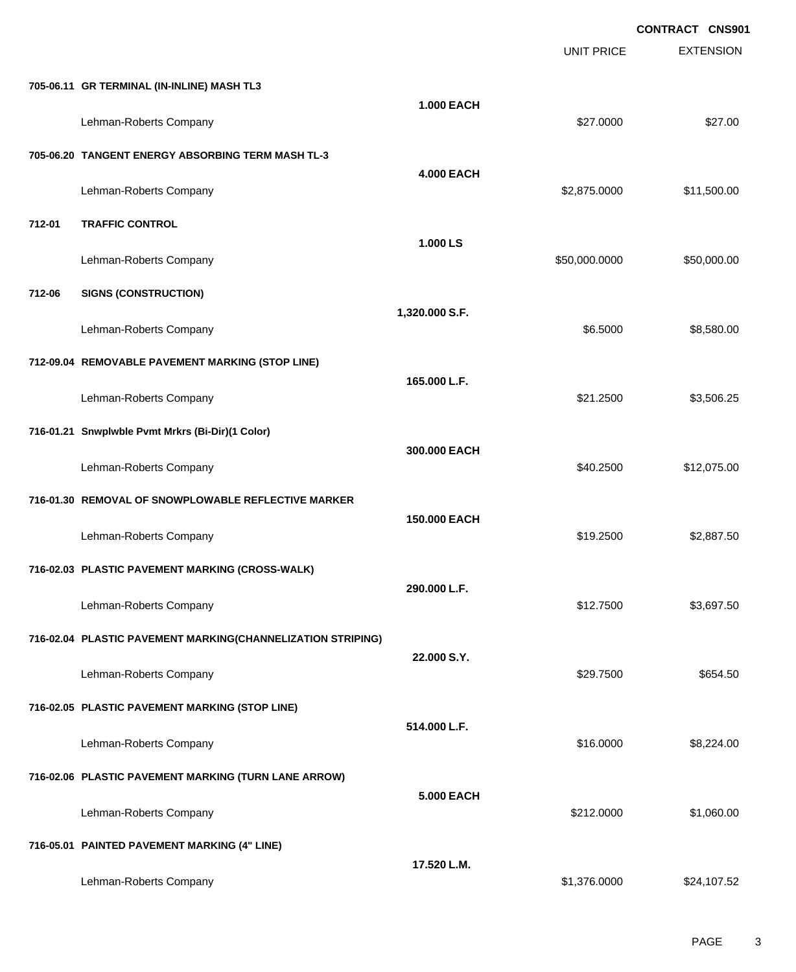|        |                                                             |                   | <b>UNIT PRICE</b> | <b>CONTRACT CNS901</b><br><b>EXTENSION</b> |
|--------|-------------------------------------------------------------|-------------------|-------------------|--------------------------------------------|
|        | 705-06.11 GR TERMINAL (IN-INLINE) MASH TL3                  |                   |                   |                                            |
|        | Lehman-Roberts Company                                      | <b>1.000 EACH</b> | \$27.0000         | \$27.00                                    |
|        | 705-06.20 TANGENT ENERGY ABSORBING TERM MASH TL-3           |                   |                   |                                            |
|        | Lehman-Roberts Company                                      | <b>4.000 EACH</b> | \$2,875.0000      | \$11,500.00                                |
| 712-01 | <b>TRAFFIC CONTROL</b>                                      |                   |                   |                                            |
|        | Lehman-Roberts Company                                      | 1.000 LS          | \$50,000.0000     | \$50,000.00                                |
| 712-06 | <b>SIGNS (CONSTRUCTION)</b>                                 |                   |                   |                                            |
|        | Lehman-Roberts Company                                      | 1,320.000 S.F.    | \$6.5000          | \$8,580.00                                 |
|        | 712-09.04 REMOVABLE PAVEMENT MARKING (STOP LINE)            |                   |                   |                                            |
|        | Lehman-Roberts Company                                      | 165.000 L.F.      | \$21.2500         | \$3,506.25                                 |
|        | 716-01.21 Snwplwble Pvmt Mrkrs (Bi-Dir)(1 Color)            |                   |                   |                                            |
|        | Lehman-Roberts Company                                      | 300.000 EACH      | \$40.2500         | \$12,075.00                                |
|        | 716-01.30 REMOVAL OF SNOWPLOWABLE REFLECTIVE MARKER         |                   |                   |                                            |
|        | Lehman-Roberts Company                                      | 150.000 EACH      | \$19.2500         | \$2,887.50                                 |
|        | 716-02.03 PLASTIC PAVEMENT MARKING (CROSS-WALK)             |                   |                   |                                            |
|        | Lehman-Roberts Company                                      | 290.000 L.F.      | \$12.7500         | \$3,697.50                                 |
|        | 716-02.04 PLASTIC PAVEMENT MARKING(CHANNELIZATION STRIPING) |                   |                   |                                            |
|        | Lehman-Roberts Company                                      | 22.000 S.Y.       | \$29.7500         | \$654.50                                   |
|        | 716-02.05 PLASTIC PAVEMENT MARKING (STOP LINE)              |                   |                   |                                            |
|        | Lehman-Roberts Company                                      | 514.000 L.F.      | \$16.0000         | \$8,224.00                                 |
|        | 716-02.06 PLASTIC PAVEMENT MARKING (TURN LANE ARROW)        |                   |                   |                                            |
|        | Lehman-Roberts Company                                      | <b>5.000 EACH</b> | \$212.0000        | \$1,060.00                                 |
|        | 716-05.01 PAINTED PAVEMENT MARKING (4" LINE)                |                   |                   |                                            |
|        | Lehman-Roberts Company                                      | 17.520 L.M.       | \$1,376.0000      | \$24,107.52                                |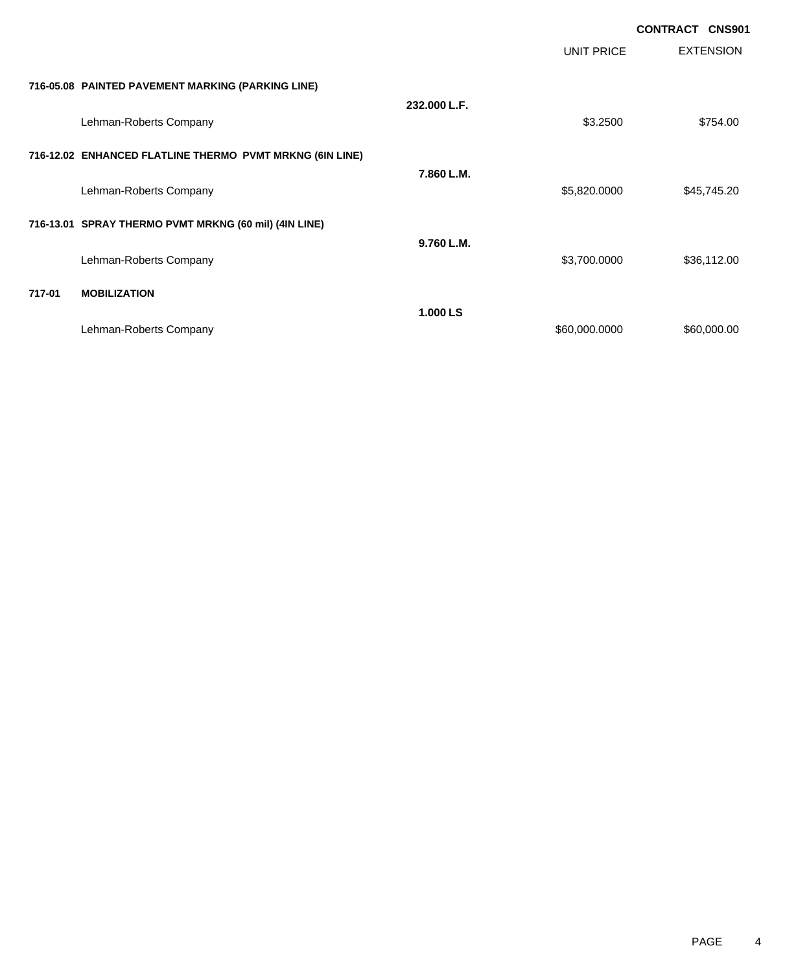|        |                                                          |              |               | <b>CONTRACT CNS901</b> |
|--------|----------------------------------------------------------|--------------|---------------|------------------------|
|        |                                                          |              | UNIT PRICE    | <b>EXTENSION</b>       |
|        | 716-05.08 PAINTED PAVEMENT MARKING (PARKING LINE)        |              |               |                        |
|        | Lehman-Roberts Company                                   | 232.000 L.F. | \$3.2500      | \$754.00               |
|        | 716-12.02 ENHANCED FLATLINE THERMO PVMT MRKNG (6IN LINE) |              |               |                        |
|        | Lehman-Roberts Company                                   | 7.860 L.M.   | \$5,820.0000  | \$45,745.20            |
|        | 716-13.01 SPRAY THERMO PVMT MRKNG (60 mil) (4IN LINE)    |              |               |                        |
|        | Lehman-Roberts Company                                   | 9.760 L.M.   | \$3,700.0000  | \$36,112.00            |
| 717-01 | <b>MOBILIZATION</b>                                      |              |               |                        |
|        | Lehman-Roberts Company                                   | 1.000 LS     | \$60,000.0000 | \$60,000.00            |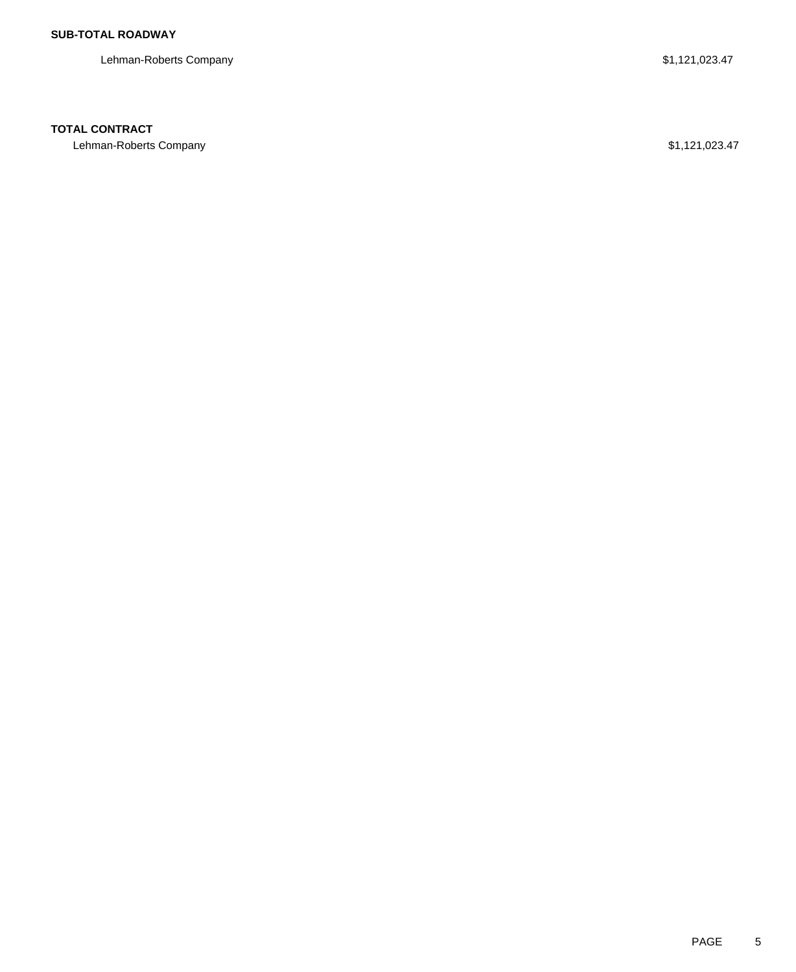Lehman-Roberts Company **\$1,121,023.47** 

### **TOTAL CONTRACT**

Lehman-Roberts Company \$1,121,023.47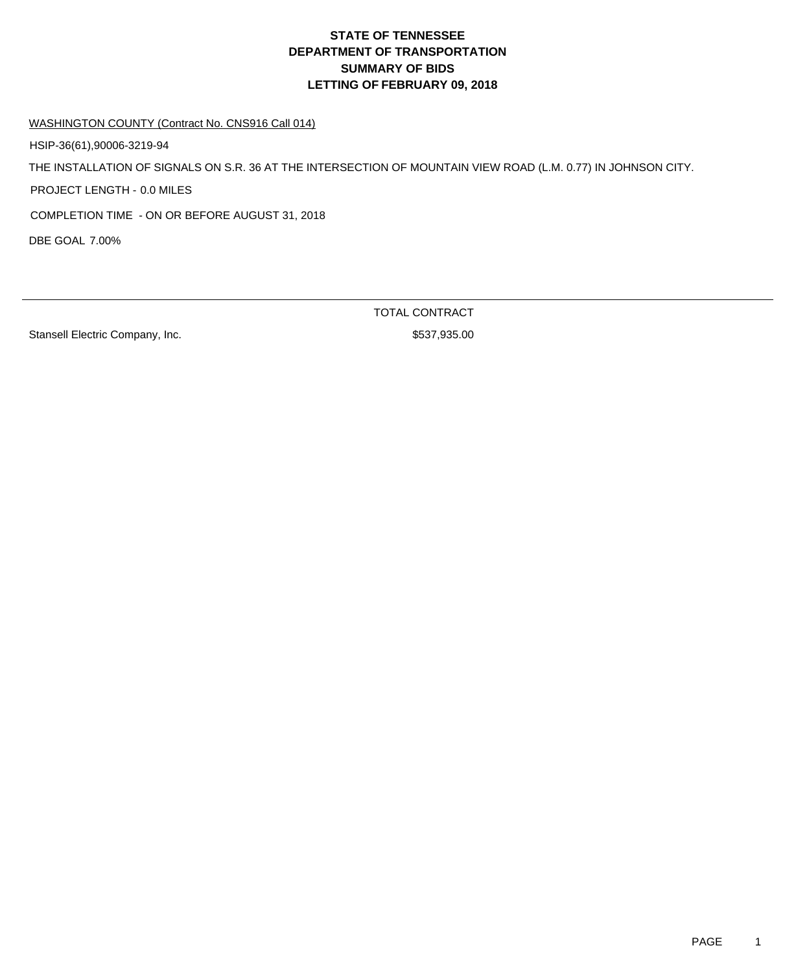WASHINGTON COUNTY (Contract No. CNS916 Call 014)

HSIP-36(61),90006-3219-94

THE INSTALLATION OF SIGNALS ON S.R. 36 AT THE INTERSECTION OF MOUNTAIN VIEW ROAD (L.M. 0.77) IN JOHNSON CITY.

PROJECT LENGTH - 0.0 MILES

COMPLETION TIME - ON OR BEFORE AUGUST 31, 2018

DBE GOAL 7.00%

Stansell Electric Company, Inc. 6. The Stansell Electric Company, Inc. 6. The Stansell Stansell Standard Standard Standard Standard Standard Standard Standard Standard Standard Standard Standard Standard Standard Standard

TOTAL CONTRACT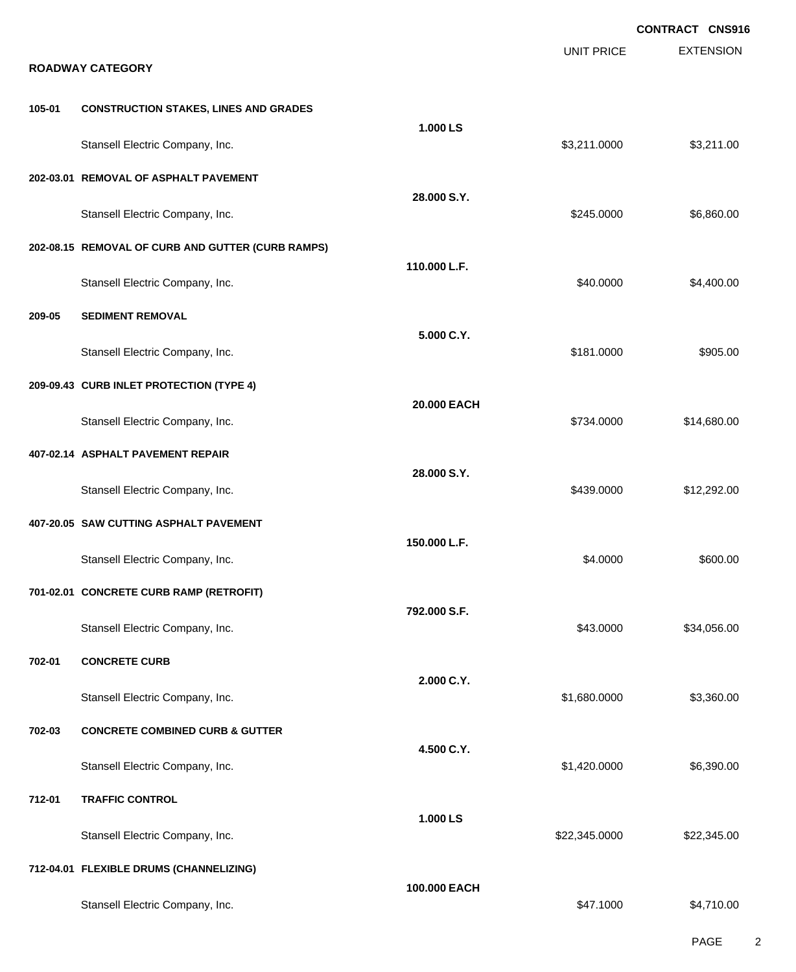|        |                                                   |              |                   | CONTRACT CNS916  |
|--------|---------------------------------------------------|--------------|-------------------|------------------|
|        | <b>ROADWAY CATEGORY</b>                           |              | <b>UNIT PRICE</b> | <b>EXTENSION</b> |
|        |                                                   |              |                   |                  |
| 105-01 | <b>CONSTRUCTION STAKES, LINES AND GRADES</b>      | 1.000 LS     |                   |                  |
|        | Stansell Electric Company, Inc.                   |              | \$3,211.0000      | \$3,211.00       |
|        | 202-03.01 REMOVAL OF ASPHALT PAVEMENT             |              |                   |                  |
|        | Stansell Electric Company, Inc.                   | 28.000 S.Y.  | \$245.0000        | \$6,860.00       |
|        | 202-08.15 REMOVAL OF CURB AND GUTTER (CURB RAMPS) |              |                   |                  |
|        | Stansell Electric Company, Inc.                   | 110.000 L.F. | \$40.0000         | \$4,400.00       |
| 209-05 | <b>SEDIMENT REMOVAL</b>                           |              |                   |                  |
|        | Stansell Electric Company, Inc.                   | 5.000 C.Y.   | \$181.0000        | \$905.00         |
|        | 209-09.43 CURB INLET PROTECTION (TYPE 4)          |              |                   |                  |
|        | Stansell Electric Company, Inc.                   | 20.000 EACH  | \$734.0000        | \$14,680.00      |
|        | 407-02.14 ASPHALT PAVEMENT REPAIR                 |              |                   |                  |
|        | Stansell Electric Company, Inc.                   | 28.000 S.Y.  | \$439.0000        | \$12,292.00      |
|        | 407-20.05 SAW CUTTING ASPHALT PAVEMENT            |              |                   |                  |
|        | Stansell Electric Company, Inc.                   | 150.000 L.F. | \$4.0000          | \$600.00         |
|        | 701-02.01 CONCRETE CURB RAMP (RETROFIT)           |              |                   |                  |
|        | Stansell Electric Company, Inc.                   | 792.000 S.F. | \$43.0000         | \$34,056.00      |
| 702-01 | <b>CONCRETE CURB</b>                              |              |                   |                  |
|        | Stansell Electric Company, Inc.                   | 2.000 C.Y.   | \$1,680.0000      | \$3,360.00       |
| 702-03 | <b>CONCRETE COMBINED CURB &amp; GUTTER</b>        |              |                   |                  |
|        | Stansell Electric Company, Inc.                   | 4.500 C.Y.   | \$1,420.0000      | \$6,390.00       |
| 712-01 | <b>TRAFFIC CONTROL</b>                            |              |                   |                  |
|        | Stansell Electric Company, Inc.                   | 1.000 LS     | \$22,345.0000     | \$22,345.00      |
|        | 712-04.01 FLEXIBLE DRUMS (CHANNELIZING)           |              |                   |                  |
|        | Stansell Electric Company, Inc.                   | 100.000 EACH | \$47.1000         | \$4,710.00       |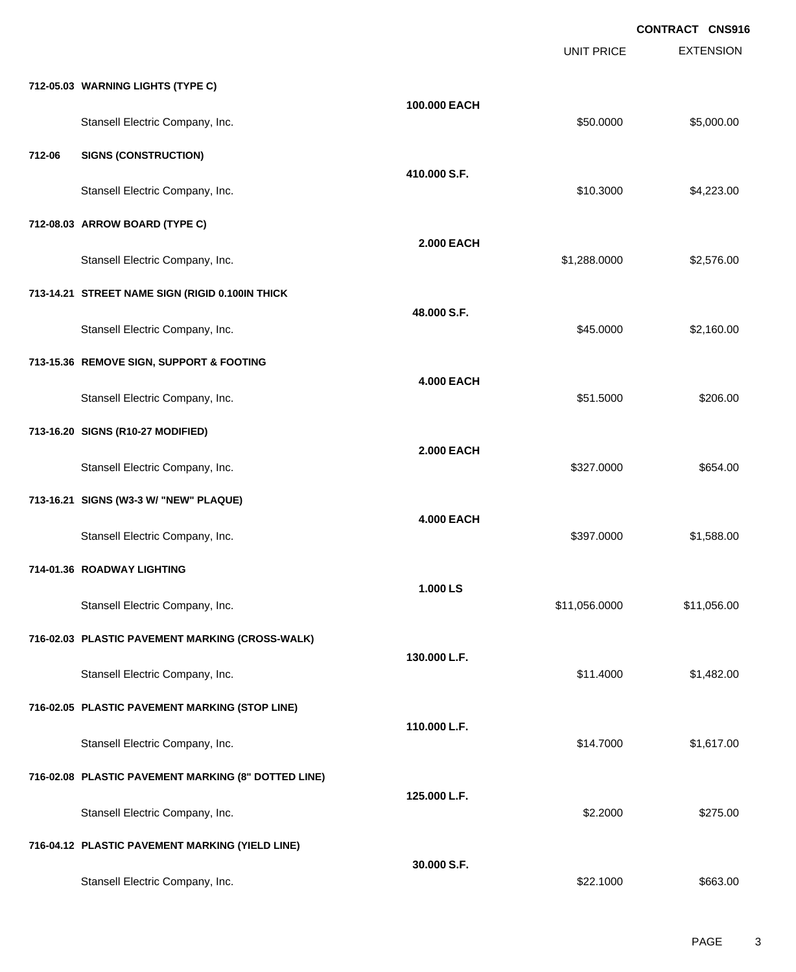|        |                                                     |                   | <b>UNIT PRICE</b> | <b>EXTENSION</b> |
|--------|-----------------------------------------------------|-------------------|-------------------|------------------|
|        | 712-05.03 WARNING LIGHTS (TYPE C)                   |                   |                   |                  |
|        | Stansell Electric Company, Inc.                     | 100.000 EACH      | \$50.0000         | \$5,000.00       |
| 712-06 | <b>SIGNS (CONSTRUCTION)</b>                         |                   |                   |                  |
|        | Stansell Electric Company, Inc.                     | 410.000 S.F.      | \$10.3000         | \$4,223.00       |
|        | 712-08.03 ARROW BOARD (TYPE C)                      |                   |                   |                  |
|        | Stansell Electric Company, Inc.                     | <b>2.000 EACH</b> | \$1,288.0000      | \$2,576.00       |
|        | 713-14.21 STREET NAME SIGN (RIGID 0.100IN THICK     |                   |                   |                  |
|        | Stansell Electric Company, Inc.                     | 48.000 S.F.       | \$45.0000         | \$2,160.00       |
|        | 713-15.36 REMOVE SIGN, SUPPORT & FOOTING            |                   |                   |                  |
|        | Stansell Electric Company, Inc.                     | <b>4.000 EACH</b> | \$51.5000         | \$206.00         |
|        | 713-16.20 SIGNS (R10-27 MODIFIED)                   |                   |                   |                  |
|        | Stansell Electric Company, Inc.                     | <b>2.000 EACH</b> | \$327.0000        | \$654.00         |
|        | 713-16.21 SIGNS (W3-3 W/ "NEW" PLAQUE)              |                   |                   |                  |
|        | Stansell Electric Company, Inc.                     | <b>4.000 EACH</b> | \$397.0000        | \$1,588.00       |
|        | 714-01.36 ROADWAY LIGHTING                          |                   |                   |                  |
|        | Stansell Electric Company, Inc.                     | 1.000 LS          | \$11,056.0000     | \$11,056.00      |
|        | 716-02.03 PLASTIC PAVEMENT MARKING (CROSS-WALK)     |                   |                   |                  |
|        | Stansell Electric Company, Inc.                     | 130.000 L.F.      | \$11.4000         | \$1,482.00       |
|        | 716-02.05 PLASTIC PAVEMENT MARKING (STOP LINE)      |                   |                   |                  |
|        | Stansell Electric Company, Inc.                     | 110.000 L.F.      | \$14.7000         | \$1,617.00       |
|        | 716-02.08 PLASTIC PAVEMENT MARKING (8" DOTTED LINE) |                   |                   |                  |
|        | Stansell Electric Company, Inc.                     | 125.000 L.F.      | \$2.2000          | \$275.00         |
|        | 716-04.12 PLASTIC PAVEMENT MARKING (YIELD LINE)     |                   |                   |                  |
|        | Stansell Electric Company, Inc.                     | 30.000 S.F.       | \$22.1000         | \$663.00         |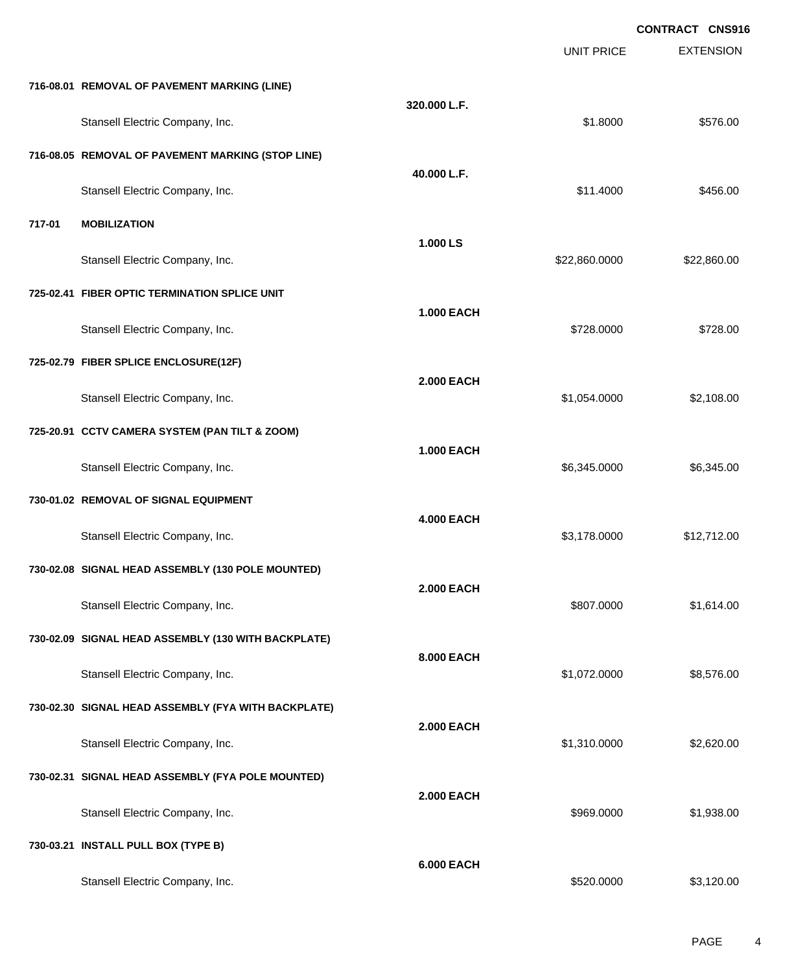|        |                                                     |                   | <b>CONTRACT CNS916</b> |                  |  |
|--------|-----------------------------------------------------|-------------------|------------------------|------------------|--|
|        |                                                     |                   | <b>UNIT PRICE</b>      | <b>EXTENSION</b> |  |
|        | 716-08.01 REMOVAL OF PAVEMENT MARKING (LINE)        |                   |                        |                  |  |
|        | Stansell Electric Company, Inc.                     | 320.000 L.F.      | \$1.8000               | \$576.00         |  |
|        | 716-08.05 REMOVAL OF PAVEMENT MARKING (STOP LINE)   |                   |                        |                  |  |
|        | Stansell Electric Company, Inc.                     | 40.000 L.F.       | \$11.4000              | \$456.00         |  |
| 717-01 | <b>MOBILIZATION</b>                                 |                   |                        |                  |  |
|        | Stansell Electric Company, Inc.                     | 1.000 LS          | \$22,860.0000          | \$22,860.00      |  |
|        | 725-02.41 FIBER OPTIC TERMINATION SPLICE UNIT       |                   |                        |                  |  |
|        | Stansell Electric Company, Inc.                     | <b>1.000 EACH</b> | \$728.0000             | \$728.00         |  |
|        | 725-02.79 FIBER SPLICE ENCLOSURE(12F)               |                   |                        |                  |  |
|        | Stansell Electric Company, Inc.                     | <b>2.000 EACH</b> | \$1,054.0000           | \$2,108.00       |  |
|        | 725-20.91 CCTV CAMERA SYSTEM (PAN TILT & ZOOM)      |                   |                        |                  |  |
|        | Stansell Electric Company, Inc.                     | <b>1.000 EACH</b> | \$6,345.0000           | \$6,345.00       |  |
|        | 730-01.02 REMOVAL OF SIGNAL EQUIPMENT               |                   |                        |                  |  |
|        | Stansell Electric Company, Inc.                     | <b>4.000 EACH</b> | \$3,178.0000           | \$12,712.00      |  |
|        | 730-02.08 SIGNAL HEAD ASSEMBLY (130 POLE MOUNTED)   |                   |                        |                  |  |
|        | Stansell Electric Company, Inc.                     | <b>2.000 EACH</b> | \$807.0000             | \$1,614.00       |  |
|        | 730-02.09 SIGNAL HEAD ASSEMBLY (130 WITH BACKPLATE) |                   |                        |                  |  |
|        | Stansell Electric Company, Inc.                     | 8.000 EACH        | \$1,072.0000           | \$8,576.00       |  |
|        | 730-02.30 SIGNAL HEAD ASSEMBLY (FYA WITH BACKPLATE) |                   |                        |                  |  |
|        | Stansell Electric Company, Inc.                     | <b>2.000 EACH</b> | \$1,310.0000           | \$2,620.00       |  |
|        | 730-02.31 SIGNAL HEAD ASSEMBLY (FYA POLE MOUNTED)   |                   |                        |                  |  |
|        | Stansell Electric Company, Inc.                     | <b>2.000 EACH</b> | \$969.0000             | \$1,938.00       |  |
|        | 730-03.21 INSTALL PULL BOX (TYPE B)                 |                   |                        |                  |  |
|        | Stansell Electric Company, Inc.                     | <b>6.000 EACH</b> | \$520.0000             | \$3,120.00       |  |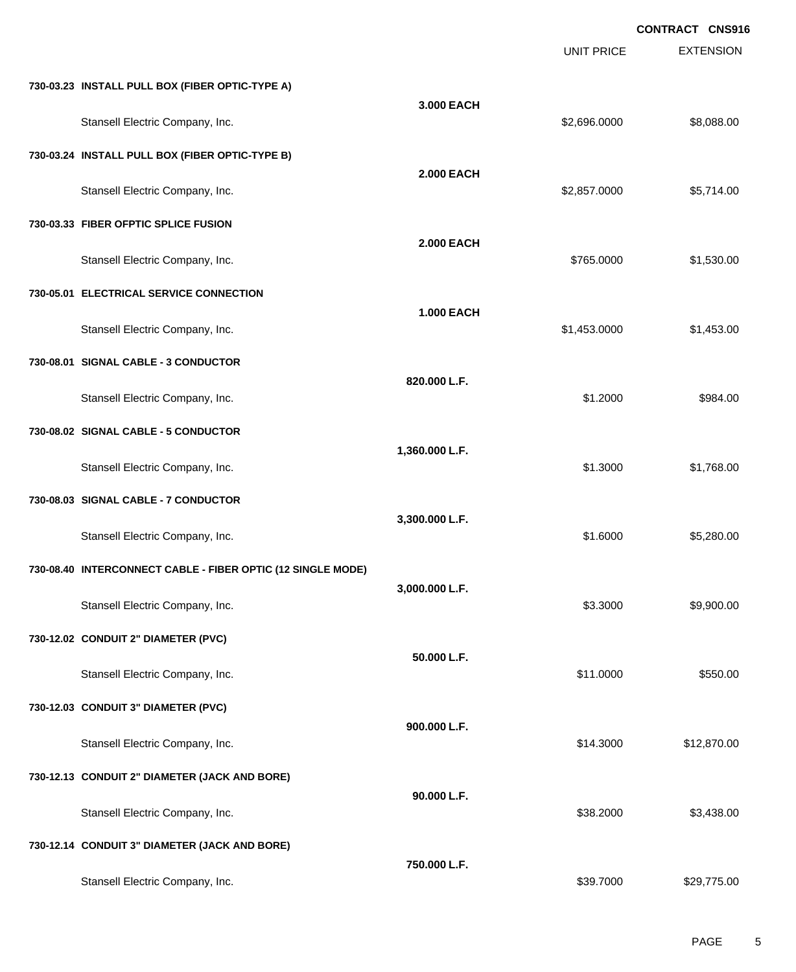UNIT PRICE EXTENSION **CONTRACT CNS916**

|  |  | 730-03.23  INSTALL PULL BOX (FIBER OPTIC-TYPE A) |  |
|--|--|--------------------------------------------------|--|
|  |  |                                                  |  |

| Stansell Electric Company, Inc.                             | 3.000 EACH        | \$2,696.0000 | \$8,088.00  |
|-------------------------------------------------------------|-------------------|--------------|-------------|
| 730-03.24 INSTALL PULL BOX (FIBER OPTIC-TYPE B)             |                   |              |             |
| Stansell Electric Company, Inc.                             | <b>2.000 EACH</b> | \$2,857.0000 | \$5,714.00  |
| 730-03.33 FIBER OFPTIC SPLICE FUSION                        |                   |              |             |
| Stansell Electric Company, Inc.                             | <b>2.000 EACH</b> | \$765.0000   | \$1,530.00  |
| 730-05.01 ELECTRICAL SERVICE CONNECTION                     |                   |              |             |
| Stansell Electric Company, Inc.                             | <b>1.000 EACH</b> | \$1,453.0000 | \$1,453.00  |
| 730-08.01 SIGNAL CABLE - 3 CONDUCTOR                        |                   |              |             |
| Stansell Electric Company, Inc.                             | 820.000 L.F.      | \$1.2000     | \$984.00    |
| 730-08.02 SIGNAL CABLE - 5 CONDUCTOR                        |                   |              |             |
| Stansell Electric Company, Inc.                             | 1,360.000 L.F.    | \$1.3000     | \$1,768.00  |
| 730-08.03 SIGNAL CABLE - 7 CONDUCTOR                        |                   |              |             |
| Stansell Electric Company, Inc.                             | 3,300.000 L.F.    | \$1.6000     | \$5,280.00  |
| 730-08.40 INTERCONNECT CABLE - FIBER OPTIC (12 SINGLE MODE) |                   |              |             |
| Stansell Electric Company, Inc.                             | 3,000.000 L.F.    | \$3.3000     | \$9,900.00  |
| 730-12.02 CONDUIT 2" DIAMETER (PVC)                         |                   |              |             |
| Stansell Electric Company, Inc.                             | 50.000 L.F.       | \$11.0000    | \$550.00    |
| 730-12.03 CONDUIT 3" DIAMETER (PVC)                         |                   |              |             |
| Stansell Electric Company, Inc.                             | 900.000 L.F.      | \$14.3000    | \$12,870.00 |
| 730-12.13 CONDUIT 2" DIAMETER (JACK AND BORE)               |                   |              |             |
| Stansell Electric Company, Inc.                             | 90.000 L.F.       | \$38.2000    | \$3,438.00  |
| 730-12.14 CONDUIT 3" DIAMETER (JACK AND BORE)               |                   |              |             |
| Stansell Electric Company, Inc.                             | 750.000 L.F.      | \$39.7000    | \$29,775.00 |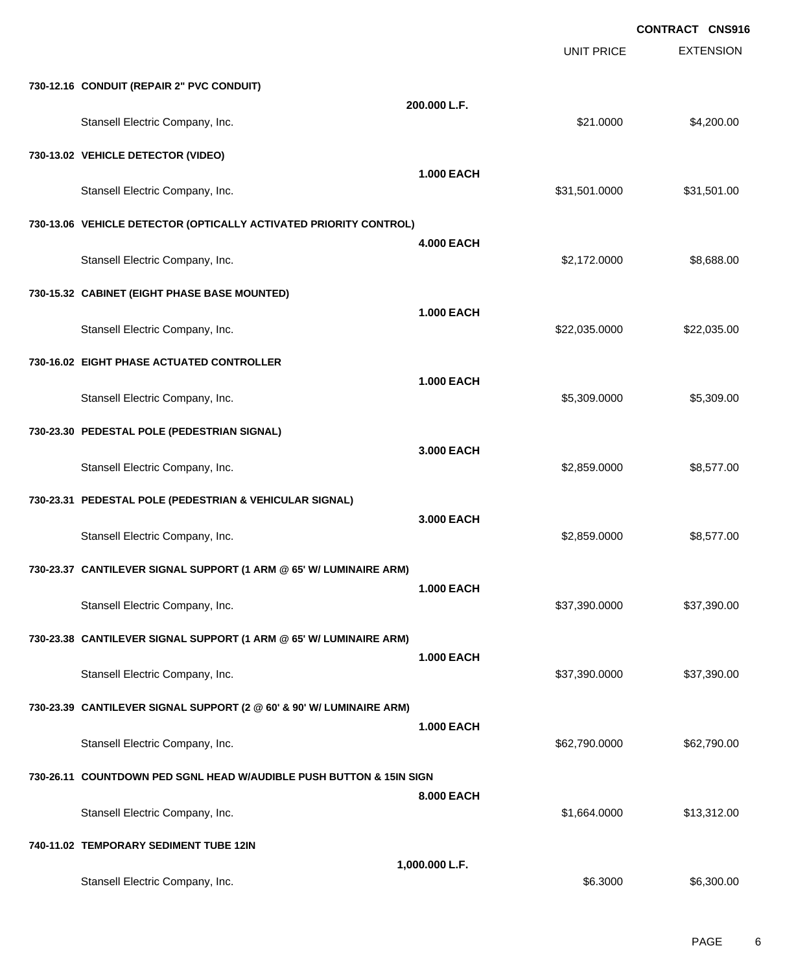EXTENSION **CONTRACT CNS916** UNIT PRICE **730-12.16 CONDUIT (REPAIR 2" PVC CONDUIT) 200.000 L.F.** Stansell Electric Company, Inc. 6. The Standard Company, Inc. \$21.0000 \$4,200.00 **730-13.02 VEHICLE DETECTOR (VIDEO) 1.000 EACH** Stansell Electric Company, Inc. 631,501.000 \$31,501.000 \$31,501.000 \$31,501.000 **730-13.06 VEHICLE DETECTOR (OPTICALLY ACTIVATED PRIORITY CONTROL) 4.000 EACH** Stansell Electric Company, Inc. 6. 2012 12:0000 \$8,688.00 **730-15.32 CABINET (EIGHT PHASE BASE MOUNTED) 1.000 EACH** Stansell Electric Company, Inc. 6. 22.035.000 \$22,035.000 \$22,035.000 \$22,035.000 **730-16.02 EIGHT PHASE ACTUATED CONTROLLER 1.000 EACH** Stansell Electric Company, Inc. 6.509.000 \$5,309.000 \$5,309.000 \$5,309.000 \$5,309.000 \$5,309.00 **730-23.30 PEDESTAL POLE (PEDESTRIAN SIGNAL) 3.000 EACH** Stansell Electric Company, Inc. 6. 2012 12:359.0000 \$8,577.00 **730-23.31 PEDESTAL POLE (PEDESTRIAN & VEHICULAR SIGNAL) 3.000 EACH** Stansell Electric Company, Inc. 6. The Standard Company, Inc. 6. The Standard Standard Standard Standard Standard Standard Standard Standard Standard Standard Standard Standard Standard Standard Standard Standard Standard **730-23.37 CANTILEVER SIGNAL SUPPORT (1 ARM @ 65' W/ LUMINAIRE ARM) 1.000 EACH** Stansell Electric Company, Inc. 6. The Standard Company, Inc. 6. The Standard Company, Inc. 6. The Standard Company, Inc. 6. The Standard Company, Inc. 6. The Standard Company, Inc. 6. The Standard Company, Inc. 6. The Sta **730-23.38 CANTILEVER SIGNAL SUPPORT (1 ARM @ 65' W/ LUMINAIRE ARM) 1.000 EACH** Stansell Electric Company, Inc. 6. The Standard Company, Inc. 6. The Standard Company, Inc. 6. The Standard Company, Inc. 6. The Standard Company, Inc. 6. The Standard Company, Inc. 6. The Standard Company, Inc. 6. The Sta **730-23.39 CANTILEVER SIGNAL SUPPORT (2 @ 60' & 90' W/ LUMINAIRE ARM) 1.000 EACH** Stansell Electric Company, Inc. 662,790.000 \$62,790.000 \$62,790.000 \$62,790.000 \$62,790.000 \$62,790.00 **730-26.11 COUNTDOWN PED SGNL HEAD W/AUDIBLE PUSH BUTTON & 15IN SIGN 8.000 EACH** Stansell Electric Company, Inc. 6. The Standard Company, Inc. 6. The Standard Company, Inc. 6. The Standard Company, Inc. 6. The Standard Company, Inc. 6. The Standard Company, Inc. 6. The Standard Company, Inc. 6. The Sta **740-11.02 TEMPORARY SEDIMENT TUBE 12IN 1,000.000 L.F.** Stansell Electric Company, Inc. 6.6300.00 \$6,300.00 \$6.300.00 \$6.300.00 \$6,300.00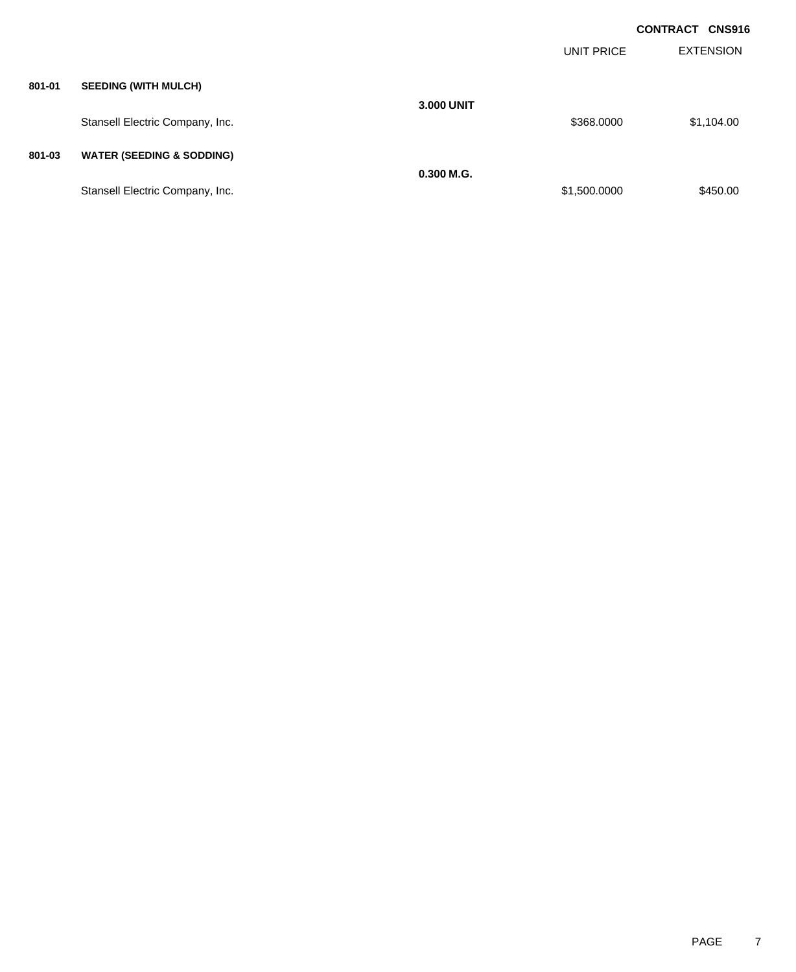|        |                                      |                   |              | <b>CONTRACT CNS916</b> |
|--------|--------------------------------------|-------------------|--------------|------------------------|
|        |                                      |                   | UNIT PRICE   | <b>EXTENSION</b>       |
| 801-01 | <b>SEEDING (WITH MULCH)</b>          |                   |              |                        |
|        | Stansell Electric Company, Inc.      | <b>3.000 UNIT</b> | \$368.0000   | \$1,104.00             |
| 801-03 | <b>WATER (SEEDING &amp; SODDING)</b> |                   |              |                        |
|        | Stansell Electric Company, Inc.      | $0.300$ M.G.      | \$1,500.0000 | \$450.00               |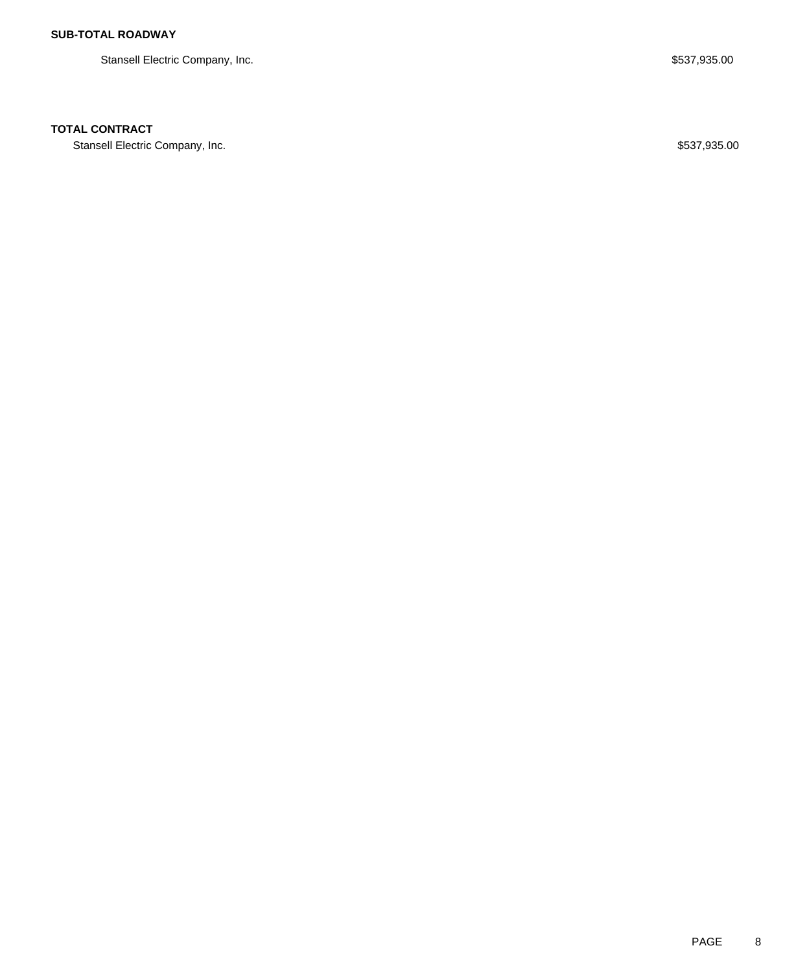Stansell Electric Company, Inc. 6. The Stansell Electric Company, Inc. 6. The Stansell Electric Company, Inc.

### **TOTAL CONTRACT**

Stansell Electric Company, Inc. 6. The Standard Standard Standard Standard Standard Standard Standard Standard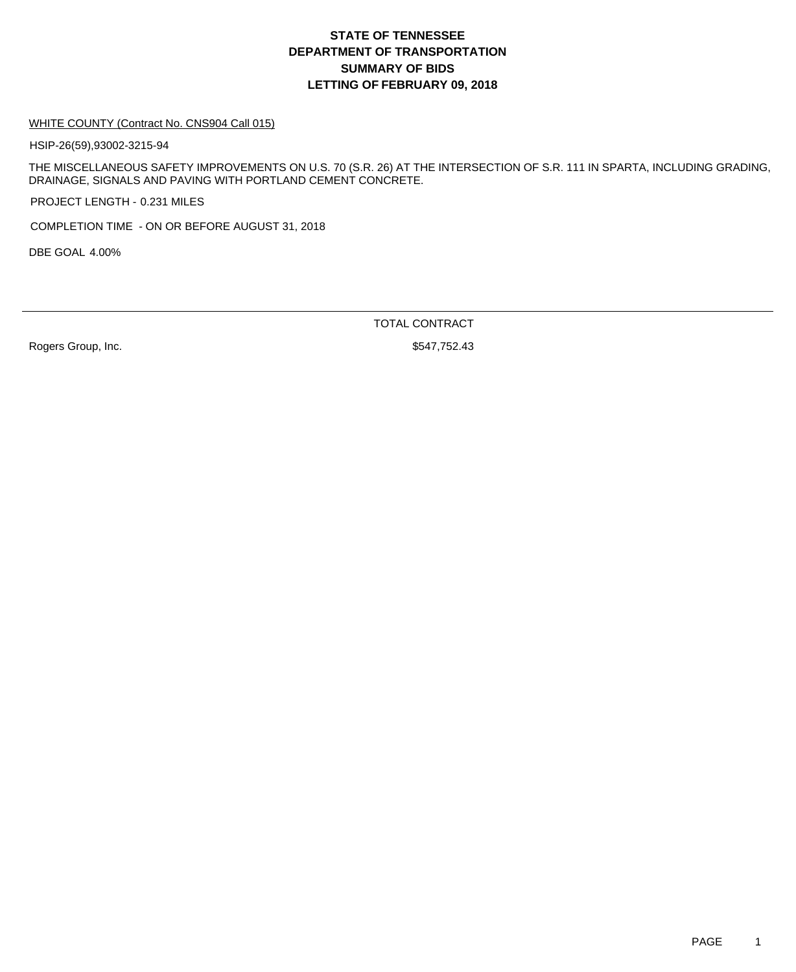#### WHITE COUNTY (Contract No. CNS904 Call 015)

HSIP-26(59),93002-3215-94

THE MISCELLANEOUS SAFETY IMPROVEMENTS ON U.S. 70 (S.R. 26) AT THE INTERSECTION OF S.R. 111 IN SPARTA, INCLUDING GRADING, DRAINAGE, SIGNALS AND PAVING WITH PORTLAND CEMENT CONCRETE.

PROJECT LENGTH - 0.231 MILES

COMPLETION TIME - ON OR BEFORE AUGUST 31, 2018

DBE GOAL 4.00%

TOTAL CONTRACT

Rogers Group, Inc. 6. 2010 12:30 12:30 12:30 12:30 12:30 12:30 12:30 12:30 12:30 12:30 12:30 12:30 12:30 12:30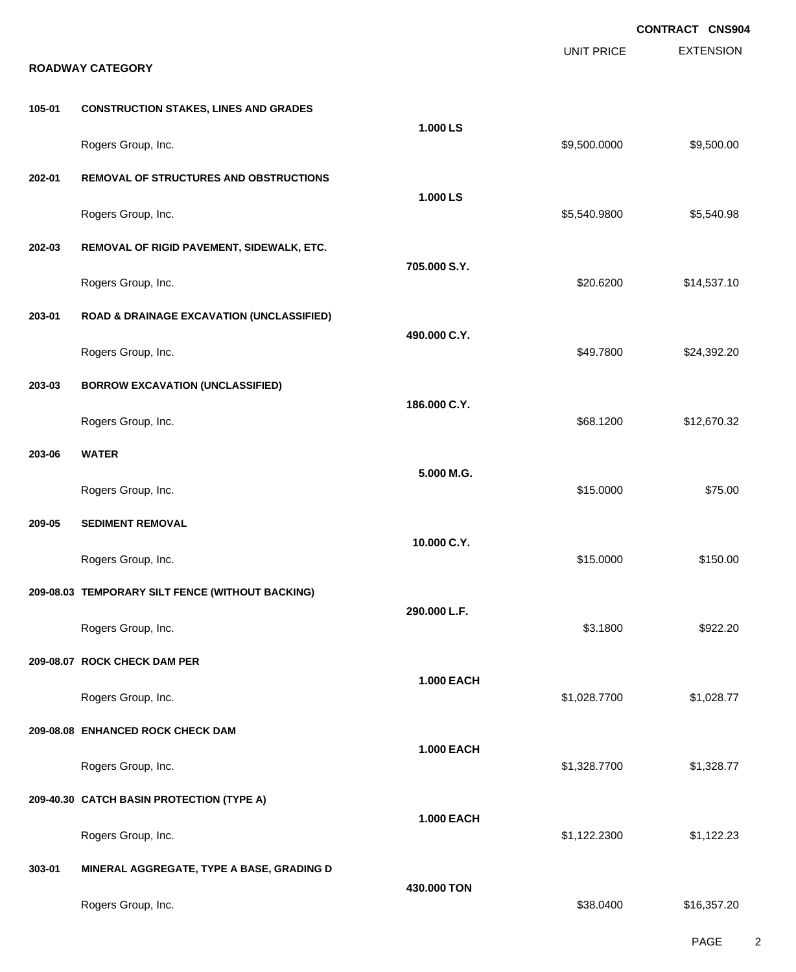|        |                                                      |                   |                   | <b>CONTRACT CNS904</b> |
|--------|------------------------------------------------------|-------------------|-------------------|------------------------|
|        | <b>ROADWAY CATEGORY</b>                              |                   | <b>UNIT PRICE</b> | <b>EXTENSION</b>       |
|        |                                                      |                   |                   |                        |
| 105-01 | <b>CONSTRUCTION STAKES, LINES AND GRADES</b>         | 1.000 LS          |                   |                        |
|        | Rogers Group, Inc.                                   |                   | \$9,500.0000      | \$9,500.00             |
| 202-01 | REMOVAL OF STRUCTURES AND OBSTRUCTIONS               |                   |                   |                        |
|        | Rogers Group, Inc.                                   | 1.000 LS          | \$5,540.9800      | \$5,540.98             |
| 202-03 | REMOVAL OF RIGID PAVEMENT, SIDEWALK, ETC.            |                   |                   |                        |
|        | Rogers Group, Inc.                                   | 705.000 S.Y.      | \$20.6200         | \$14,537.10            |
| 203-01 | <b>ROAD &amp; DRAINAGE EXCAVATION (UNCLASSIFIED)</b> |                   |                   |                        |
|        | Rogers Group, Inc.                                   | 490.000 C.Y.      | \$49.7800         | \$24,392.20            |
| 203-03 | <b>BORROW EXCAVATION (UNCLASSIFIED)</b>              | 186.000 C.Y.      |                   |                        |
|        | Rogers Group, Inc.                                   |                   | \$68.1200         | \$12,670.32            |
| 203-06 | <b>WATER</b>                                         |                   |                   |                        |
|        | Rogers Group, Inc.                                   | 5.000 M.G.        | \$15.0000         | \$75.00                |
| 209-05 | <b>SEDIMENT REMOVAL</b>                              |                   |                   |                        |
|        | Rogers Group, Inc.                                   | 10.000 C.Y.       | \$15.0000         | \$150.00               |
|        | 209-08.03 TEMPORARY SILT FENCE (WITHOUT BACKING)     |                   |                   |                        |
|        | Rogers Group, Inc.                                   | 290.000 L.F.      | \$3.1800          | \$922.20               |
|        | 209-08.07 ROCK CHECK DAM PER                         |                   |                   |                        |
|        | Rogers Group, Inc.                                   | <b>1.000 EACH</b> | \$1,028.7700      | \$1,028.77             |
|        | 209-08.08 ENHANCED ROCK CHECK DAM                    |                   |                   |                        |
|        | Rogers Group, Inc.                                   | <b>1.000 EACH</b> | \$1,328.7700      | \$1,328.77             |
|        | 209-40.30 CATCH BASIN PROTECTION (TYPE A)            |                   |                   |                        |
|        | Rogers Group, Inc.                                   | <b>1.000 EACH</b> | \$1,122.2300      | \$1,122.23             |
| 303-01 | MINERAL AGGREGATE, TYPE A BASE, GRADING D            |                   |                   |                        |
|        | Rogers Group, Inc.                                   | 430.000 TON       | \$38.0400         | \$16,357.20            |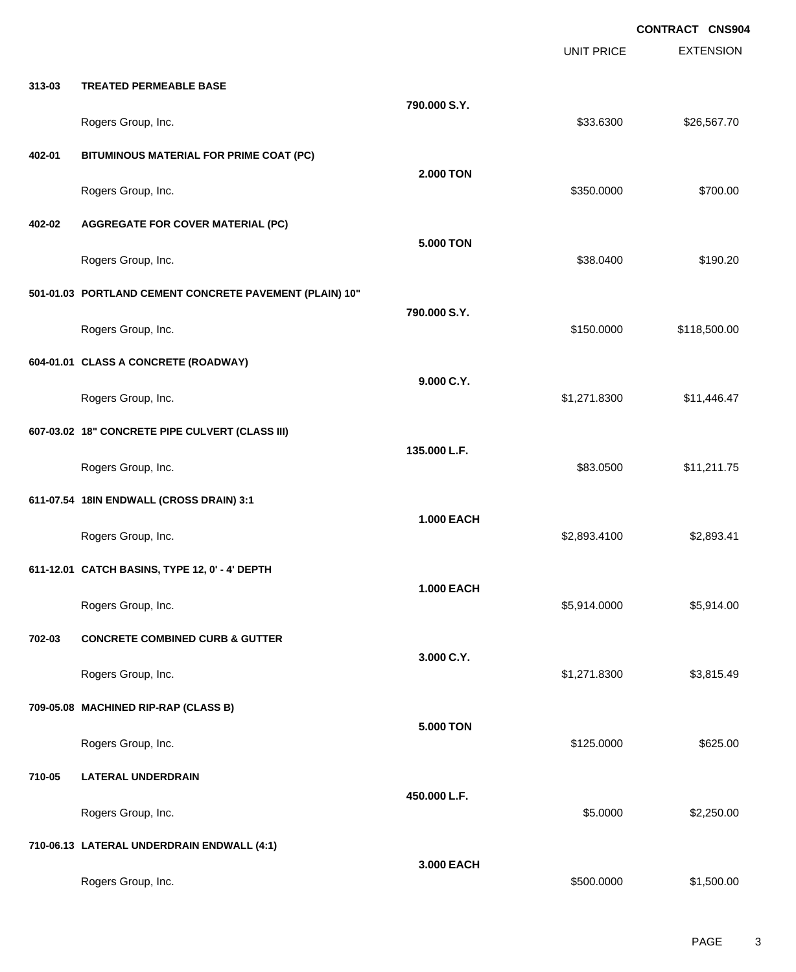EXTENSION **CONTRACT CNS904** UNIT PRICE **313-03 TREATED PERMEABLE BASE 790.000 S.Y.** Rogers Group, Inc. \$33.6300 \$26,567.70 **402-01 BITUMINOUS MATERIAL FOR PRIME COAT (PC) 2.000 TON** Rogers Group, Inc. \$350.0000 \$700.00 **402-02 AGGREGATE FOR COVER MATERIAL (PC) 5.000 TON** Rogers Group, Inc. \$190.20 \$190.20 \$190.20 \$190.20 \$190.20 \$190.20 \$190.20 \$190.20 \$190.20 \$190.20 \$190.20 \$190.20 **501-01.03 PORTLAND CEMENT CONCRETE PAVEMENT (PLAIN) 10" 790.000 S.Y.** Rogers Group, Inc. \$150.000 \$118,500.00 \$118,500.00 \$150.000 \$118,500.00 \$150.000 \$118,500.00 \$118,500.00 \$118,500 **604-01.01 CLASS A CONCRETE (ROADWAY) 9.000 C.Y.** Rogers Group, Inc. \$1,446.47 **607-03.02 18" CONCRETE PIPE CULVERT (CLASS III) 135.000 L.F.** Rogers Group, Inc. \$83.0500 \$11,211.75 **611-07.54 18IN ENDWALL (CROSS DRAIN) 3:1 1.000 EACH** Rogers Group, Inc. \$2,893.4100 \$2,893.4100 \$2,893.4100 \$2,893.4100 \$2,893.4100 \$2,893.41 **611-12.01 CATCH BASINS, TYPE 12, 0' - 4' DEPTH 1.000 EACH** Rogers Group, Inc. \$5,914.000 \$5,914.000 \$5,914.000 \$5,914.000 \$5,914.000 \$5,914.000 \$5,914.00 **702-03 CONCRETE COMBINED CURB & GUTTER 3.000 C.Y.** Rogers Group, Inc. \$1,271.8300 \$3,815.49 **709-05.08 MACHINED RIP-RAP (CLASS B) 5.000 TON** Rogers Group, Inc. \$625.00 \$625.00 \$625.00 \$625.00 \$625.00 \$625.00 \$625.00 \$625.00 \$625.00 \$625.00 \$625.00 \$62 **710-05 LATERAL UNDERDRAIN 450.000 L.F.** Rogers Group, Inc. \$5.0000 \$2,250.00 **710-06.13 LATERAL UNDERDRAIN ENDWALL (4:1) 3.000 EACH**

Rogers Group, Inc. \$1,500.000 \$1,500.000 \$1,500.000 \$1,500.000 \$1,500.000 \$1,500.00 \$1,500.00 \$1,500.00 \$1,500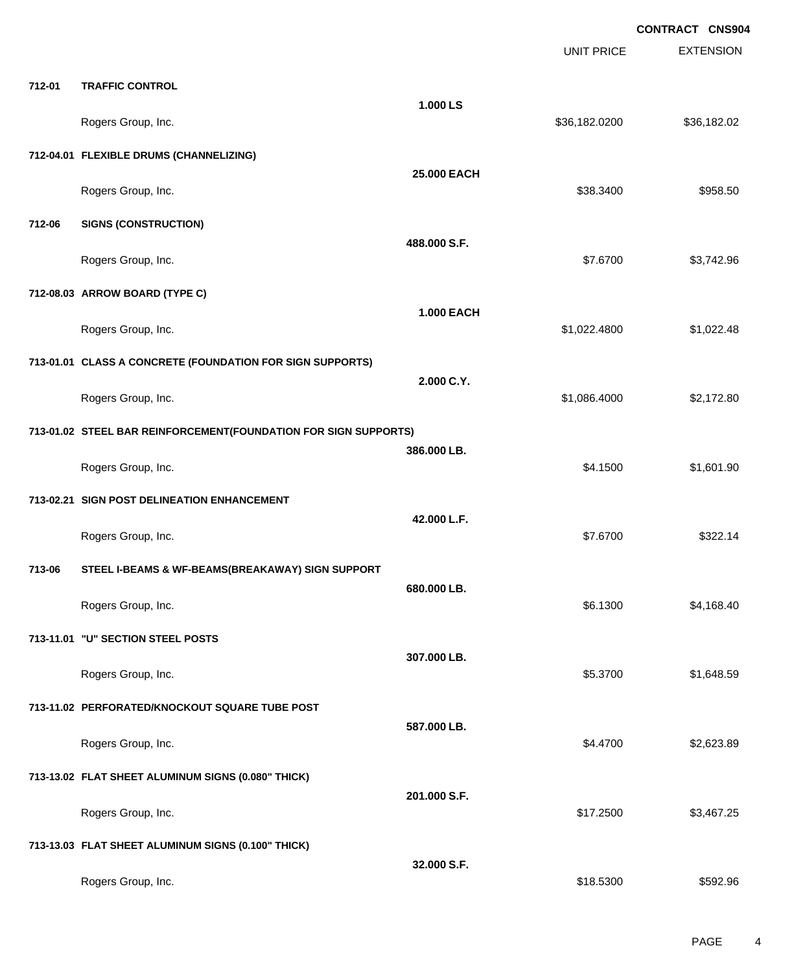|        |                                                                 |                   | <b>UNIT PRICE</b> | <b>EXTENSION</b> |
|--------|-----------------------------------------------------------------|-------------------|-------------------|------------------|
| 712-01 | <b>TRAFFIC CONTROL</b>                                          |                   |                   |                  |
|        | Rogers Group, Inc.                                              | 1.000 LS          | \$36,182.0200     | \$36,182.02      |
|        | 712-04.01 FLEXIBLE DRUMS (CHANNELIZING)                         |                   |                   |                  |
|        | Rogers Group, Inc.                                              | 25.000 EACH       | \$38.3400         | \$958.50         |
| 712-06 | <b>SIGNS (CONSTRUCTION)</b>                                     |                   |                   |                  |
|        | Rogers Group, Inc.                                              | 488.000 S.F.      | \$7.6700          | \$3,742.96       |
|        | 712-08.03 ARROW BOARD (TYPE C)                                  |                   |                   |                  |
|        | Rogers Group, Inc.                                              | <b>1.000 EACH</b> | \$1,022.4800      | \$1,022.48       |
|        | 713-01.01 CLASS A CONCRETE (FOUNDATION FOR SIGN SUPPORTS)       |                   |                   |                  |
|        | Rogers Group, Inc.                                              | 2.000 C.Y.        | \$1,086.4000      | \$2,172.80       |
|        | 713-01.02 STEEL BAR REINFORCEMENT(FOUNDATION FOR SIGN SUPPORTS) |                   |                   |                  |
|        | Rogers Group, Inc.                                              | 386.000 LB.       | \$4.1500          | \$1,601.90       |
|        | 713-02.21 SIGN POST DELINEATION ENHANCEMENT                     |                   |                   |                  |
|        | Rogers Group, Inc.                                              | 42.000 L.F.       | \$7.6700          | \$322.14         |
| 713-06 | STEEL I-BEAMS & WF-BEAMS(BREAKAWAY) SIGN SUPPORT                |                   |                   |                  |
|        | Rogers Group, Inc.                                              | 680.000 LB.       | \$6.1300          | \$4,168.40       |
|        | 713-11.01 "U" SECTION STEEL POSTS                               |                   |                   |                  |
|        | Rogers Group, Inc.                                              | 307.000 LB.       | \$5.3700          | \$1,648.59       |
|        | 713-11.02 PERFORATED/KNOCKOUT SQUARE TUBE POST                  |                   |                   |                  |
|        | Rogers Group, Inc.                                              | 587.000 LB.       | \$4.4700          | \$2,623.89       |
|        | 713-13.02 FLAT SHEET ALUMINUM SIGNS (0.080" THICK)              |                   |                   |                  |
|        | Rogers Group, Inc.                                              | 201.000 S.F.      | \$17.2500         | \$3,467.25       |
|        | 713-13.03 FLAT SHEET ALUMINUM SIGNS (0.100" THICK)              |                   |                   |                  |
|        | Rogers Group, Inc.                                              | 32.000 S.F.       | \$18.5300         | \$592.96         |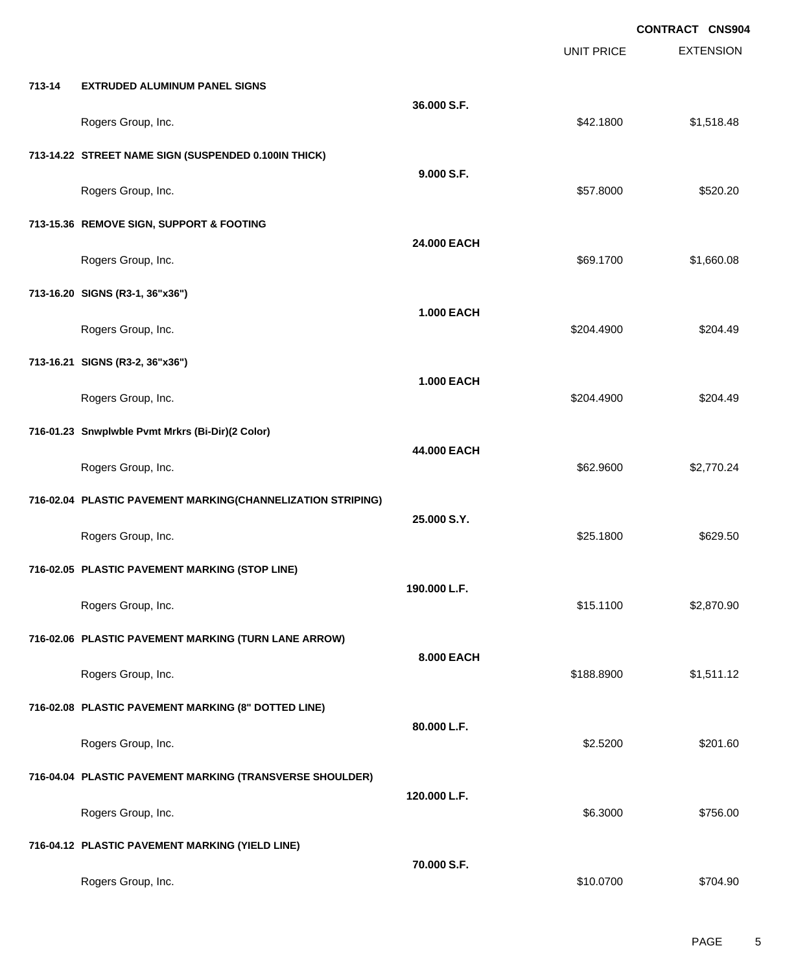EXTENSION **CONTRACT CNS904** UNIT PRICE **713-14 EXTRUDED ALUMINUM PANEL SIGNS 36.000 S.F.** Rogers Group, Inc. \$1,518.48 **713-14.22 STREET NAME SIGN (SUSPENDED 0.100IN THICK) 9.000 S.F.** Rogers Group, Inc. \$520.20 **713-15.36 REMOVE SIGN, SUPPORT & FOOTING 24.000 EACH** Rogers Group, Inc. \$1,660.08 \$1,660.08 \$1,660.08 \$1,660.08 \$1,660.08 \$1,660.08 \$1,660.08 **713-16.20 SIGNS (R3-1, 36"x36") 1.000 EACH** Rogers Group, Inc. \$204.4900 \$204.4900 \$204.4900 \$204.4900 \$204.4900 \$204.4900 \$204.49 **713-16.21 SIGNS (R3-2, 36"x36") 1.000 EACH** Rogers Group, Inc. \$204.4900 \$204.4900 \$204.4900 \$204.4900 \$204.4900 \$204.4900 \$204.49 **716-01.23 Snwplwble Pvmt Mrkrs (Bi-Dir)(2 Color) 44.000 EACH** Rogers Group, Inc. \$62.9600 \$2,770.24 **716-02.04 PLASTIC PAVEMENT MARKING(CHANNELIZATION STRIPING) 25.000 S.Y.** Rogers Group, Inc. \$25.1800 \$629.50 **716-02.05 PLASTIC PAVEMENT MARKING (STOP LINE) 190.000 L.F.** Rogers Group, Inc. \$15.1100 \$2,870.90 **716-02.06 PLASTIC PAVEMENT MARKING (TURN LANE ARROW) 8.000 EACH** Rogers Group, Inc. \$188.8900 \$1,511.12 **716-02.08 PLASTIC PAVEMENT MARKING (8" DOTTED LINE) 80.000 L.F.** Rogers Group, Inc. \$2.5200 \$201.60 **716-04.04 PLASTIC PAVEMENT MARKING (TRANSVERSE SHOULDER) 120.000 L.F.** Rogers Group, Inc. \$756.00 \$756.00 \$756.00 \$756.00 \$756.00 \$756.00 \$756.00 \$756.00 \$756.00 \$756.00 \$756.00 \$75 **716-04.12 PLASTIC PAVEMENT MARKING (YIELD LINE) 70.000 S.F.** Rogers Group, Inc. \$10.0700 \$704.90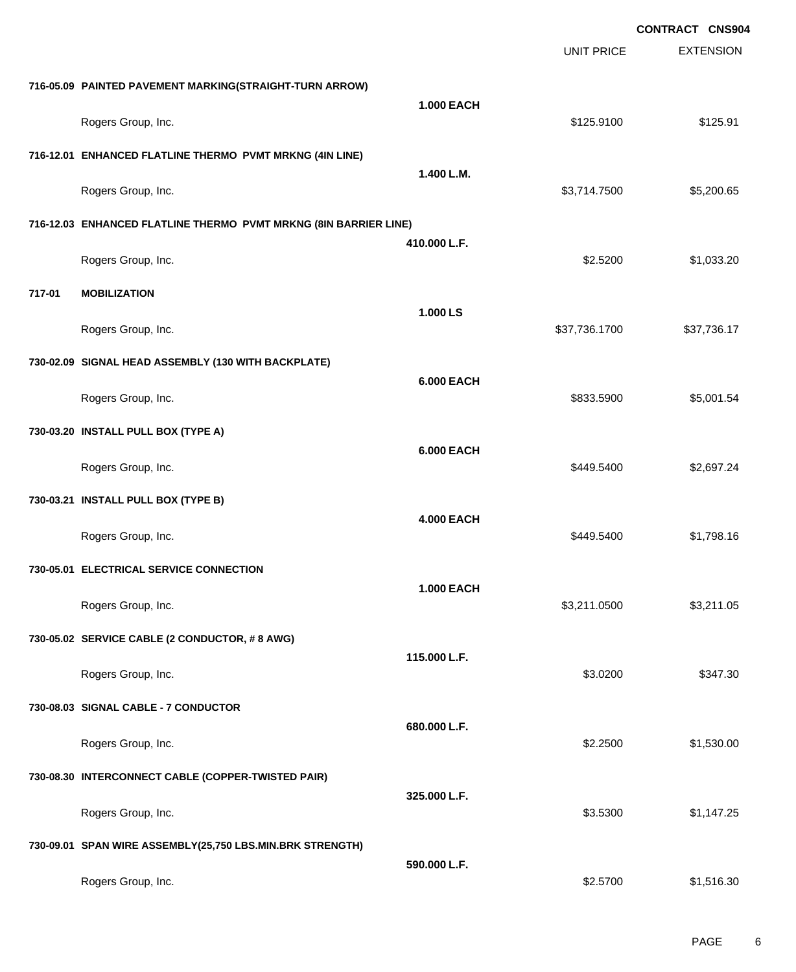|        |                                                                  |                   |                   | <b>CONTRACT CNS904</b> |
|--------|------------------------------------------------------------------|-------------------|-------------------|------------------------|
|        |                                                                  |                   | <b>UNIT PRICE</b> | <b>EXTENSION</b>       |
|        | 716-05.09 PAINTED PAVEMENT MARKING(STRAIGHT-TURN ARROW)          |                   |                   |                        |
|        | Rogers Group, Inc.                                               | <b>1.000 EACH</b> | \$125.9100        | \$125.91               |
|        | 716-12.01 ENHANCED FLATLINE THERMO PVMT MRKNG (4IN LINE)         |                   |                   |                        |
|        |                                                                  | 1.400 L.M.        |                   |                        |
|        | Rogers Group, Inc.                                               |                   | \$3,714.7500      | \$5,200.65             |
|        | 716-12.03 ENHANCED FLATLINE THERMO PVMT MRKNG (8IN BARRIER LINE) | 410.000 L.F.      |                   |                        |
|        | Rogers Group, Inc.                                               |                   | \$2.5200          | \$1,033.20             |
| 717-01 | <b>MOBILIZATION</b>                                              |                   |                   |                        |
|        | Rogers Group, Inc.                                               | 1.000 LS          | \$37,736.1700     | \$37,736.17            |
|        | 730-02.09 SIGNAL HEAD ASSEMBLY (130 WITH BACKPLATE)              |                   |                   |                        |
|        | Rogers Group, Inc.                                               | <b>6.000 EACH</b> | \$833.5900        | \$5,001.54             |
|        | 730-03.20 INSTALL PULL BOX (TYPE A)                              |                   |                   |                        |
|        |                                                                  | <b>6.000 EACH</b> |                   |                        |
|        | Rogers Group, Inc.                                               |                   | \$449.5400        | \$2,697.24             |
|        | 730-03.21 INSTALL PULL BOX (TYPE B)                              | <b>4.000 EACH</b> |                   |                        |
|        | Rogers Group, Inc.                                               |                   | \$449.5400        | \$1,798.16             |
|        | 730-05.01 ELECTRICAL SERVICE CONNECTION                          |                   |                   |                        |
|        | Rogers Group, Inc.                                               | <b>1.000 EACH</b> | \$3,211.0500      | \$3,211.05             |
|        | 730-05.02 SERVICE CABLE (2 CONDUCTOR, #8 AWG)                    |                   |                   |                        |
|        | Rogers Group, Inc.                                               | 115.000 L.F.      | \$3.0200          | \$347.30               |
|        | 730-08.03 SIGNAL CABLE - 7 CONDUCTOR                             |                   |                   |                        |
|        |                                                                  | 680.000 L.F.      |                   |                        |
|        | Rogers Group, Inc.                                               |                   | \$2.2500          | \$1,530.00             |
|        | 730-08.30 INTERCONNECT CABLE (COPPER-TWISTED PAIR)               | 325.000 L.F.      |                   |                        |
|        | Rogers Group, Inc.                                               |                   | \$3.5300          | \$1,147.25             |
|        | 730-09.01 SPAN WIRE ASSEMBLY(25,750 LBS.MIN.BRK STRENGTH)        |                   |                   |                        |
|        | Rogers Group, Inc.                                               | 590.000 L.F.      | \$2.5700          | \$1,516.30             |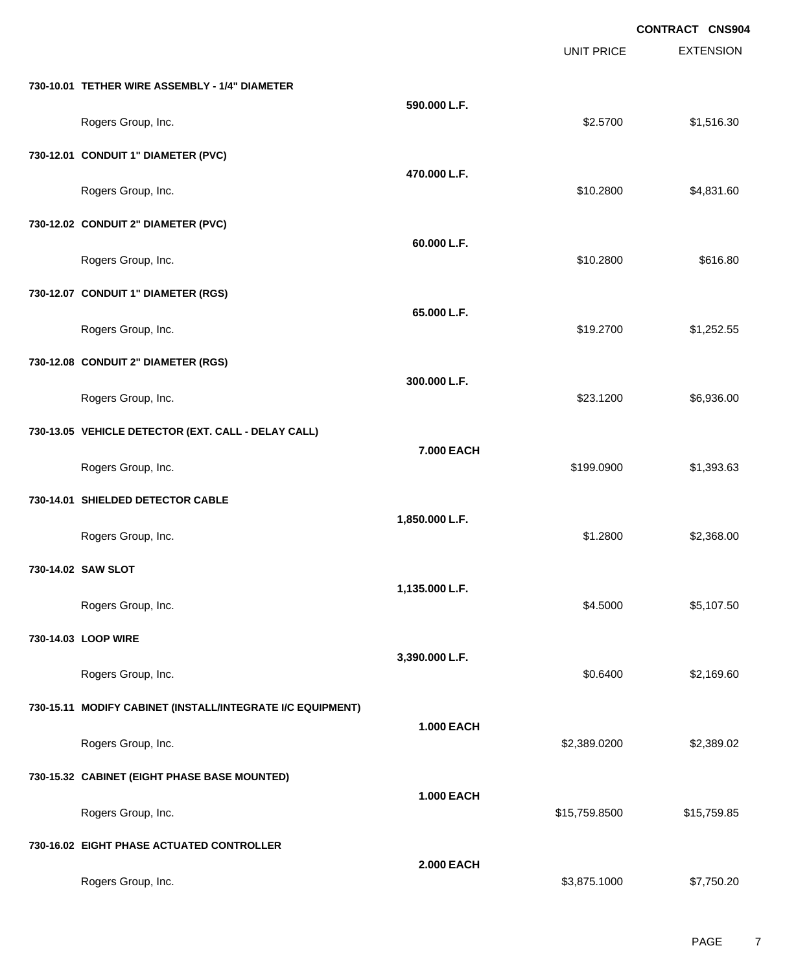|                                                            |                   |                   | <b>CONTRACT CNS904</b> |
|------------------------------------------------------------|-------------------|-------------------|------------------------|
|                                                            |                   | <b>UNIT PRICE</b> | <b>EXTENSION</b>       |
| 730-10.01 TETHER WIRE ASSEMBLY - 1/4" DIAMETER             |                   |                   |                        |
| Rogers Group, Inc.                                         | 590.000 L.F.      | \$2.5700          | \$1,516.30             |
| 730-12.01 CONDUIT 1" DIAMETER (PVC)                        |                   |                   |                        |
| Rogers Group, Inc.                                         | 470.000 L.F.      | \$10.2800         | \$4,831.60             |
| 730-12.02 CONDUIT 2" DIAMETER (PVC)                        |                   |                   |                        |
| Rogers Group, Inc.                                         | 60.000 L.F.       | \$10.2800         | \$616.80               |
| 730-12.07 CONDUIT 1" DIAMETER (RGS)                        |                   |                   |                        |
| Rogers Group, Inc.                                         | 65.000 L.F.       | \$19.2700         | \$1,252.55             |
| 730-12.08 CONDUIT 2" DIAMETER (RGS)                        |                   |                   |                        |
| Rogers Group, Inc.                                         | 300.000 L.F.      | \$23.1200         | \$6,936.00             |
| 730-13.05 VEHICLE DETECTOR (EXT. CALL - DELAY CALL)        |                   |                   |                        |
| Rogers Group, Inc.                                         | 7.000 EACH        | \$199.0900        | \$1,393.63             |
| 730-14.01 SHIELDED DETECTOR CABLE                          |                   |                   |                        |
| Rogers Group, Inc.                                         | 1,850.000 L.F.    | \$1.2800          | \$2,368.00             |
| 730-14.02 SAW SLOT                                         |                   |                   |                        |
| Rogers Group, Inc.                                         | 1,135.000 L.F.    | \$4.5000          | \$5,107.50             |
| 730-14.03 LOOP WIRE                                        |                   |                   |                        |
| Rogers Group, Inc.                                         | 3,390.000 L.F.    | \$0.6400          | \$2,169.60             |
| 730-15.11 MODIFY CABINET (INSTALL/INTEGRATE I/C EQUIPMENT) |                   |                   |                        |
| Rogers Group, Inc.                                         | <b>1.000 EACH</b> | \$2,389.0200      | \$2,389.02             |
| 730-15.32 CABINET (EIGHT PHASE BASE MOUNTED)               |                   |                   |                        |
| Rogers Group, Inc.                                         | <b>1.000 EACH</b> | \$15,759.8500     | \$15,759.85            |
| 730-16.02 EIGHT PHASE ACTUATED CONTROLLER                  |                   |                   |                        |
| Rogers Group, Inc.                                         | <b>2.000 EACH</b> | \$3,875.1000      | \$7,750.20             |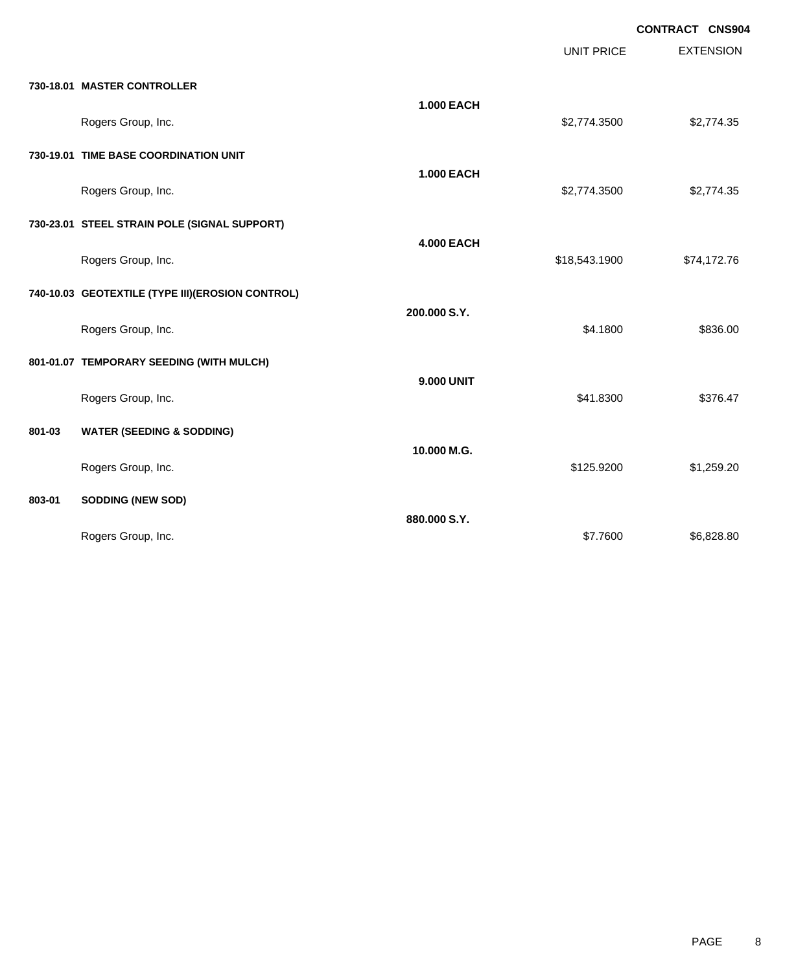|        |                                                  |                   | <b>UNIT PRICE</b> | <b>CONTRACT CNS904</b><br><b>EXTENSION</b> |
|--------|--------------------------------------------------|-------------------|-------------------|--------------------------------------------|
|        | 730-18.01 MASTER CONTROLLER                      |                   |                   |                                            |
|        | Rogers Group, Inc.                               | <b>1.000 EACH</b> | \$2,774.3500      | \$2,774.35                                 |
|        | 730-19.01 TIME BASE COORDINATION UNIT            |                   |                   |                                            |
|        | Rogers Group, Inc.                               | <b>1.000 EACH</b> | \$2,774.3500      | \$2,774.35                                 |
|        | 730-23.01 STEEL STRAIN POLE (SIGNAL SUPPORT)     |                   |                   |                                            |
|        | Rogers Group, Inc.                               | <b>4.000 EACH</b> | \$18,543.1900     | \$74,172.76                                |
|        | 740-10.03 GEOTEXTILE (TYPE III)(EROSION CONTROL) |                   |                   |                                            |
|        | Rogers Group, Inc.                               | 200.000 S.Y.      | \$4.1800          | \$836.00                                   |
|        | 801-01.07 TEMPORARY SEEDING (WITH MULCH)         |                   |                   |                                            |
|        | Rogers Group, Inc.                               | <b>9.000 UNIT</b> | \$41.8300         | \$376.47                                   |
| 801-03 | <b>WATER (SEEDING &amp; SODDING)</b>             |                   |                   |                                            |
|        | Rogers Group, Inc.                               | 10.000 M.G.       | \$125.9200        | \$1,259.20                                 |
| 803-01 | <b>SODDING (NEW SOD)</b>                         |                   |                   |                                            |
|        | Rogers Group, Inc.                               | 880.000 S.Y.      | \$7.7600          | \$6,828.80                                 |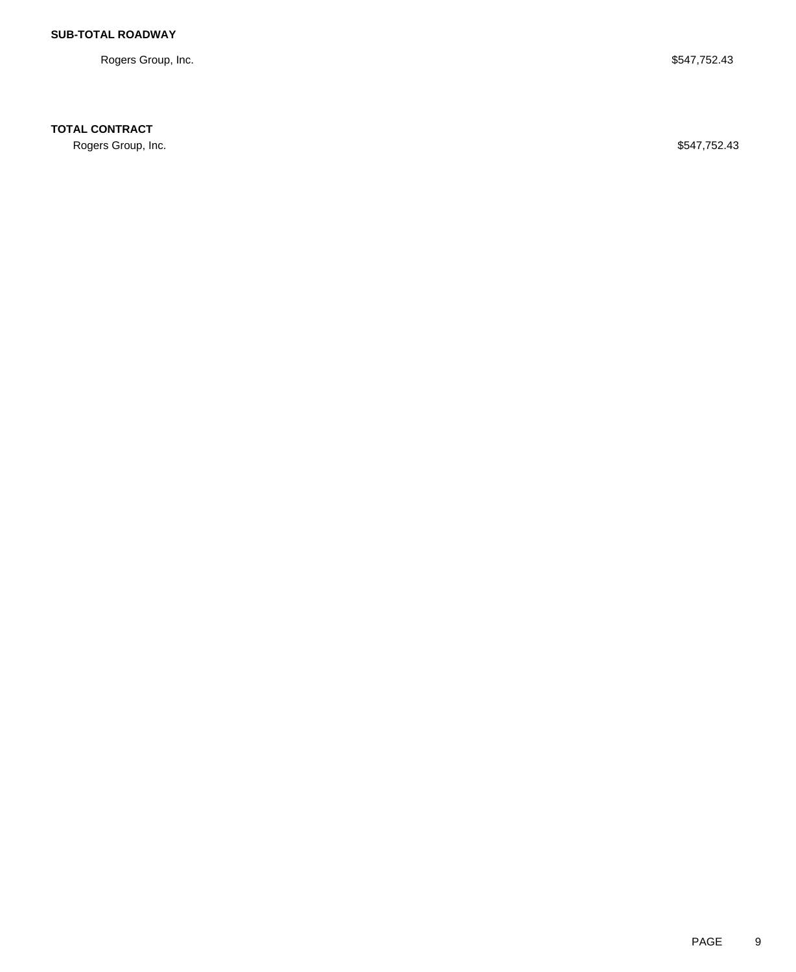Rogers Group, Inc. \$547,752.43

## **TOTAL CONTRACT**

Rogers Group, Inc. \$547,752.43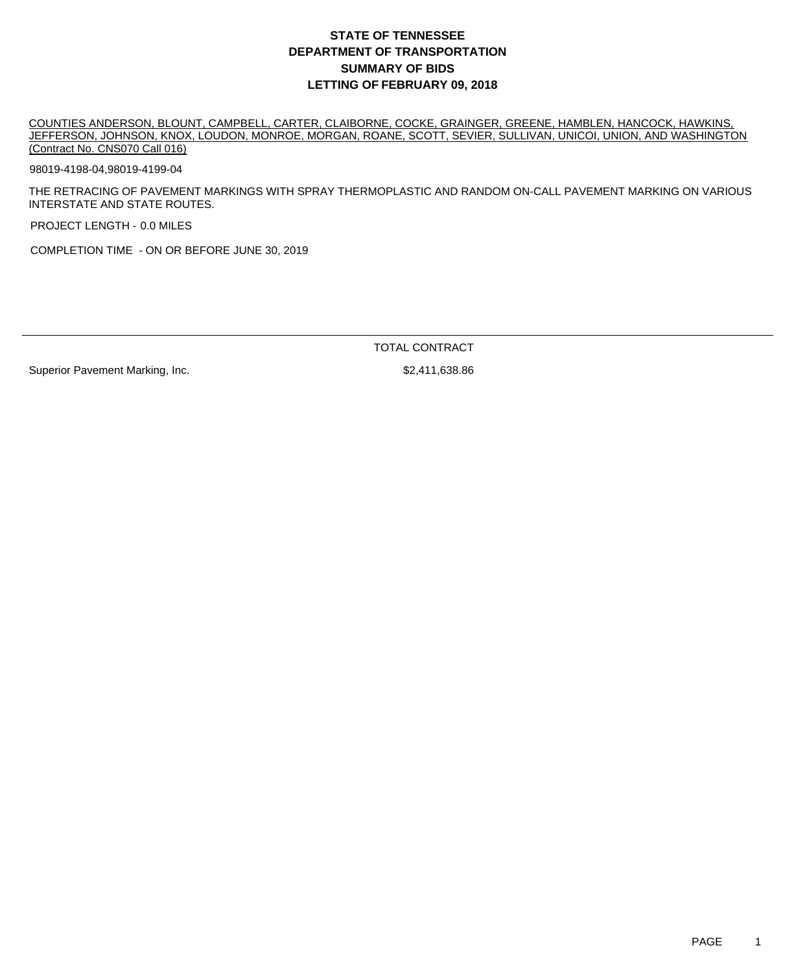COUNTIES ANDERSON, BLOUNT, CAMPBELL, CARTER, CLAIBORNE, COCKE, GRAINGER, GREENE, HAMBLEN, HANCOCK, HAWKINS, JEFFERSON, JOHNSON, KNOX, LOUDON, MONROE, MORGAN, ROANE, SCOTT, SEVIER, SULLIVAN, UNICOI, UNION, AND WASHINGTON (Contract No. CNS070 Call 016)

98019-4198-04,98019-4199-04

THE RETRACING OF PAVEMENT MARKINGS WITH SPRAY THERMOPLASTIC AND RANDOM ON-CALL PAVEMENT MARKING ON VARIOUS INTERSTATE AND STATE ROUTES.

PROJECT LENGTH - 0.0 MILES

COMPLETION TIME - ON OR BEFORE JUNE 30, 2019

TOTAL CONTRACT

Superior Pavement Marking, Inc. \$2,411,638.86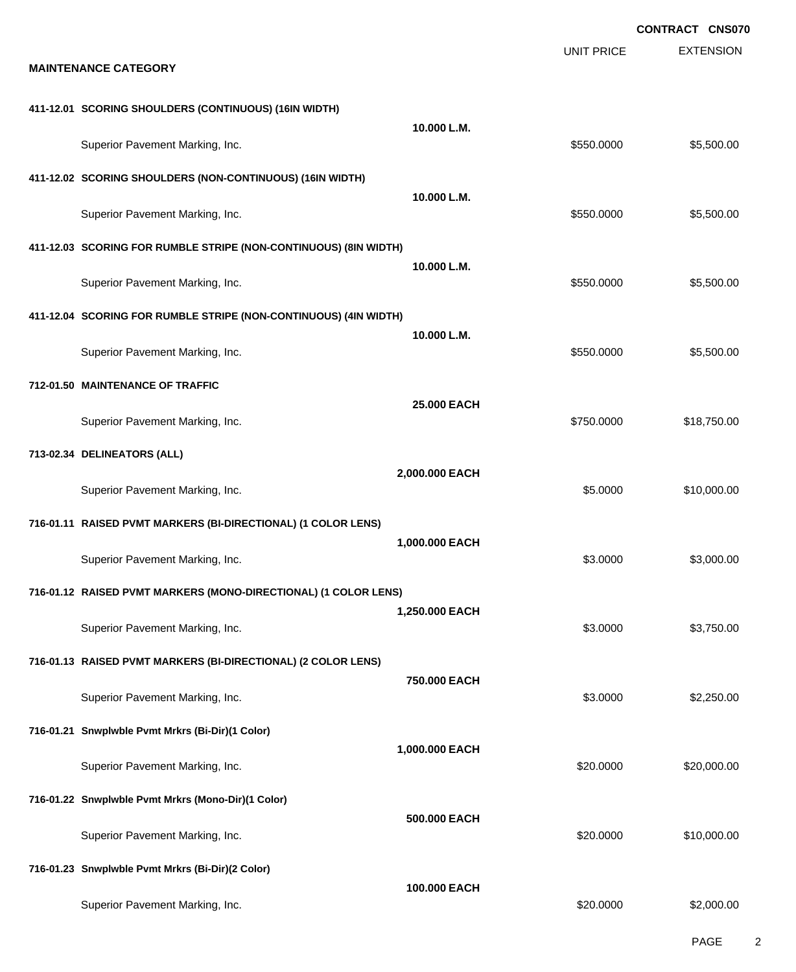EXTENSION **CONTRACT CNS070** UNIT PRICE **MAINTENANCE CATEGORY 411-12.01 SCORING SHOULDERS (CONTINUOUS) (16IN WIDTH) 10.000 L.M.** Superior Pavement Marking, Inc. 6. The Superior Pavement Marking, Inc. 6. The Superior Pavement Marking, Inc. 6. The Superior St. 500.000 \$5,500.00 **411-12.02 SCORING SHOULDERS (NON-CONTINUOUS) (16IN WIDTH) 10.000 L.M.** Superior Pavement Marking, Inc. 6. The Superior Pavement Marking, Inc. 6. The Superior Pavement Marking, Inc. 6. The Superior St. 500.000 \$5,500.00 **411-12.03 SCORING FOR RUMBLE STRIPE (NON-CONTINUOUS) (8IN WIDTH) 10.000 L.M.** Superior Pavement Marking, Inc. 6. The Superior Pavement Marking, Inc. 6. The Superior Pavement Marking, Inc. 6. The Superior St. 500.000 \$5,500.00 **411-12.04 SCORING FOR RUMBLE STRIPE (NON-CONTINUOUS) (4IN WIDTH) 10.000 L.M.** Superior Pavement Marking, Inc. 6. The Superior Pavement Marking, Inc. 6. The Superior Pavement Marking, Inc. 6. The Superior St. 500.000 \$5,500.00 **712-01.50 MAINTENANCE OF TRAFFIC 25.000 EACH** Superior Pavement Marking, Inc. 6. The Superior Pavement Marking, Inc. 6. The Superior Pavement Marking, Inc. 6. The Superior Section 1.1 and Superior Pavement Marking, Inc. 6. The Superior Pavement Marking, Inc. 6. The Su **713-02.34 DELINEATORS (ALL) 2,000.000 EACH** Superior Pavement Marking, Inc. 6. The Superior Pavement Marking, Inc. 6. The Superior Pavement Marking, Inc. 6. The Superior St. 6.0000 \$10,000.00 **716-01.11 RAISED PVMT MARKERS (BI-DIRECTIONAL) (1 COLOR LENS) 1,000.000 EACH** Superior Pavement Marking, Inc. 6. The Superior Pavement Marking, Inc. 6. The Superior Pavement Marking, Inc. 6. The Superior St. 6.000.00 \$3,000.00 **716-01.12 RAISED PVMT MARKERS (MONO-DIRECTIONAL) (1 COLOR LENS) 1,250.000 EACH** Superior Pavement Marking, Inc. 6. The Superior Pavement Marking, Inc. 6. The Superior Pavement Marking, Inc. 6. The Superior St. 6.000 \$3,750.00 **716-01.13 RAISED PVMT MARKERS (BI-DIRECTIONAL) (2 COLOR LENS) 750.000 EACH** Superior Pavement Marking, Inc. 6. The Superior Pavement Marking, Inc. 6. The Superior Pavement Marking, Inc. 6. The Superior S2,250.00 **716-01.21 Snwplwble Pvmt Mrkrs (Bi-Dir)(1 Color) 1,000.000 EACH** Superior Pavement Marking, Inc. 6. The Superior Pavement Marking, Inc. 6. The Superior Pavement Marking, Inc. 6. The Superior Section 1.1 and Superior Pavement Marking, Inc. 6. The Superior Pavement Marking, Inc. 6. The Su **716-01.22 Snwplwble Pvmt Mrkrs (Mono-Dir)(1 Color) 500.000 EACH** Superior Pavement Marking, Inc. 6. The Superior Pavement Marking, Inc. 6. The Superior Pavement Marking, Inc. 6. The Superior Section 1.1 and Superior Pavement Marking, Inc. **716-01.23 Snwplwble Pvmt Mrkrs (Bi-Dir)(2 Color) 100.000 EACH** Superior Pavement Marking, Inc. 6. The Superior Pavement Marking, Inc. 6. The Superior Pavement Marking, Inc. 6. The Superior Section 1.1 and Superior Pavement Marking, Inc.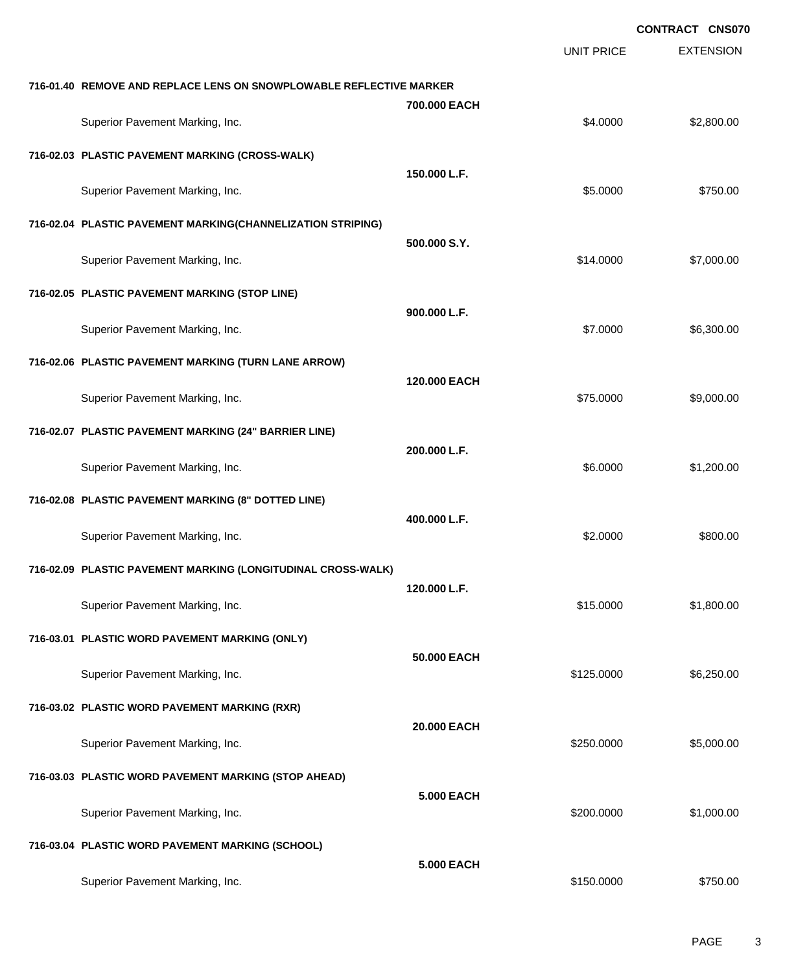EXTENSION **CONTRACT CNS070** UNIT PRICE **716-01.40 REMOVE AND REPLACE LENS ON SNOWPLOWABLE REFLECTIVE MARKER 700.000 EACH** Superior Pavement Marking, Inc. 6. The Superior Pavement Marking, Inc. 6. The Superior Pavement Marking, Inc. 6. The Superior Section 1.1 and Superior Section 1.1 and Superior Section 1.1 and Superior Section 1.1 and Super **716-02.03 PLASTIC PAVEMENT MARKING (CROSS-WALK) 150.000 L.F.** Superior Pavement Marking, Inc. 6750.00 \$750.00 **716-02.04 PLASTIC PAVEMENT MARKING(CHANNELIZATION STRIPING) 500.000 S.Y.** Superior Pavement Marking, Inc. 6. The Superior Pavement Marking, Inc. 6. The Superior Pavement Marking, Inc. 6. The Superior St. 6. The Superior St. 6. The Superior St. 6. The Superior Pavement Marking, Inc. 6. The Superi **716-02.05 PLASTIC PAVEMENT MARKING (STOP LINE) 900.000 L.F.** Superior Pavement Marking, Inc. 6. The Superior Pavement Marking, Inc. 6. The Superior Pavement Marking, Inc. 6.300.00 **716-02.06 PLASTIC PAVEMENT MARKING (TURN LANE ARROW) 120.000 EACH** Superior Pavement Marking, Inc. 6. The Superior Pavement Marking, Inc. \$75.0000 \$9,000.00 **716-02.07 PLASTIC PAVEMENT MARKING (24" BARRIER LINE) 200.000 L.F.** Superior Pavement Marking, Inc. 6. The Superior Pavement Marking, Inc. 6. The Superior Pavement Marking, Inc. 6. The Superior St. 200.00 **716-02.08 PLASTIC PAVEMENT MARKING (8" DOTTED LINE) 400.000 L.F.** Superior Pavement Marking, Inc. 6800.00 \$800.00 \$800.00 **716-02.09 PLASTIC PAVEMENT MARKING (LONGITUDINAL CROSS-WALK) 120.000 L.F.** Superior Pavement Marking, Inc. 6. The Superior Pavement Marking, Inc. 6. The Superior Pavement Marking, Inc. 6. The Superior St. 800.00 **716-03.01 PLASTIC WORD PAVEMENT MARKING (ONLY) 50.000 EACH** Superior Pavement Marking, Inc. 6. The Superior Pavement Marking, Inc. 6. The Superior Pavement Marking, Inc. 6. The Superior Section 1.1 and Superior Pavement Marking, Inc. 6. The Superior Pavement Marking, Inc. 6. The Su **716-03.02 PLASTIC WORD PAVEMENT MARKING (RXR) 20.000 EACH** Superior Pavement Marking, Inc. 6. The Superior Pavement Marking, Inc. 6. The Superior Pavement Marking, Inc. 6. The Superior St. 6.000.00 \$5,000.00 **716-03.03 PLASTIC WORD PAVEMENT MARKING (STOP AHEAD) 5.000 EACH** Superior Pavement Marking, Inc. 6. The Superior Pavement Marking, Inc. 6. The Superior Pavement Marking, Inc. 6. The Superior St. 6. The Superior Pavement Marking, Inc. 6. The Superior Pavement Marking, Inc. 6. The Superio **716-03.04 PLASTIC WORD PAVEMENT MARKING (SCHOOL) 5.000 EACH**

Superior Pavement Marking, Inc. 6750.000 \$750.000 \$750.000 \$750.000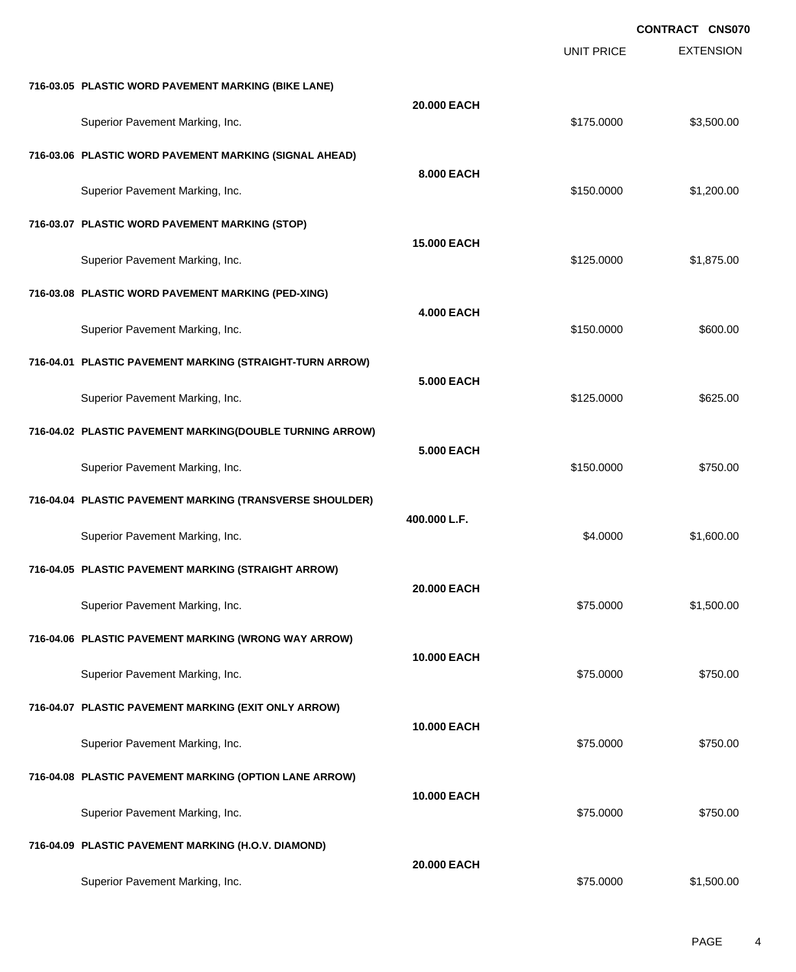|                                                          |                    |                   | <b>CONTRACT CNS070</b> |
|----------------------------------------------------------|--------------------|-------------------|------------------------|
|                                                          |                    | <b>UNIT PRICE</b> | <b>EXTENSION</b>       |
| 716-03.05 PLASTIC WORD PAVEMENT MARKING (BIKE LANE)      |                    |                   |                        |
| Superior Pavement Marking, Inc.                          | 20.000 EACH        | \$175.0000        | \$3,500.00             |
| 716-03.06 PLASTIC WORD PAVEMENT MARKING (SIGNAL AHEAD)   |                    |                   |                        |
| Superior Pavement Marking, Inc.                          | 8.000 EACH         | \$150.0000        | \$1,200.00             |
| 716-03.07 PLASTIC WORD PAVEMENT MARKING (STOP)           |                    |                   |                        |
| Superior Pavement Marking, Inc.                          | <b>15.000 EACH</b> | \$125.0000        | \$1,875.00             |
| 716-03.08 PLASTIC WORD PAVEMENT MARKING (PED-XING)       |                    |                   |                        |
| Superior Pavement Marking, Inc.                          | <b>4.000 EACH</b>  | \$150.0000        | \$600.00               |
| 716-04.01 PLASTIC PAVEMENT MARKING (STRAIGHT-TURN ARROW) |                    |                   |                        |
| Superior Pavement Marking, Inc.                          | 5,000 EACH         | \$125.0000        | \$625.00               |
| 716-04.02 PLASTIC PAVEMENT MARKING(DOUBLE TURNING ARROW) |                    |                   |                        |
| Superior Pavement Marking, Inc.                          | 5,000 EACH         | \$150.0000        | \$750.00               |
| 716-04.04 PLASTIC PAVEMENT MARKING (TRANSVERSE SHOULDER) |                    |                   |                        |
| Superior Pavement Marking, Inc.                          | 400.000 L.F.       | \$4.0000          | \$1,600.00             |
| 716-04.05 PLASTIC PAVEMENT MARKING (STRAIGHT ARROW)      |                    |                   |                        |
| Superior Pavement Marking, Inc.                          | 20.000 EACH        | \$75.0000         | \$1,500.00             |
| 716-04.06 PLASTIC PAVEMENT MARKING (WRONG WAY ARROW)     |                    |                   |                        |
| Superior Pavement Marking, Inc.                          | 10.000 EACH        | \$75.0000         | \$750.00               |
| 716-04.07 PLASTIC PAVEMENT MARKING (EXIT ONLY ARROW)     |                    |                   |                        |
| Superior Pavement Marking, Inc.                          | 10.000 EACH        | \$75.0000         | \$750.00               |
| 716-04.08 PLASTIC PAVEMENT MARKING (OPTION LANE ARROW)   |                    |                   |                        |
| Superior Pavement Marking, Inc.                          | 10.000 EACH        | \$75.0000         | \$750.00               |
| 716-04.09 PLASTIC PAVEMENT MARKING (H.O.V. DIAMOND)      |                    |                   |                        |
| Superior Pavement Marking, Inc.                          | 20.000 EACH        | \$75.0000         | \$1,500.00             |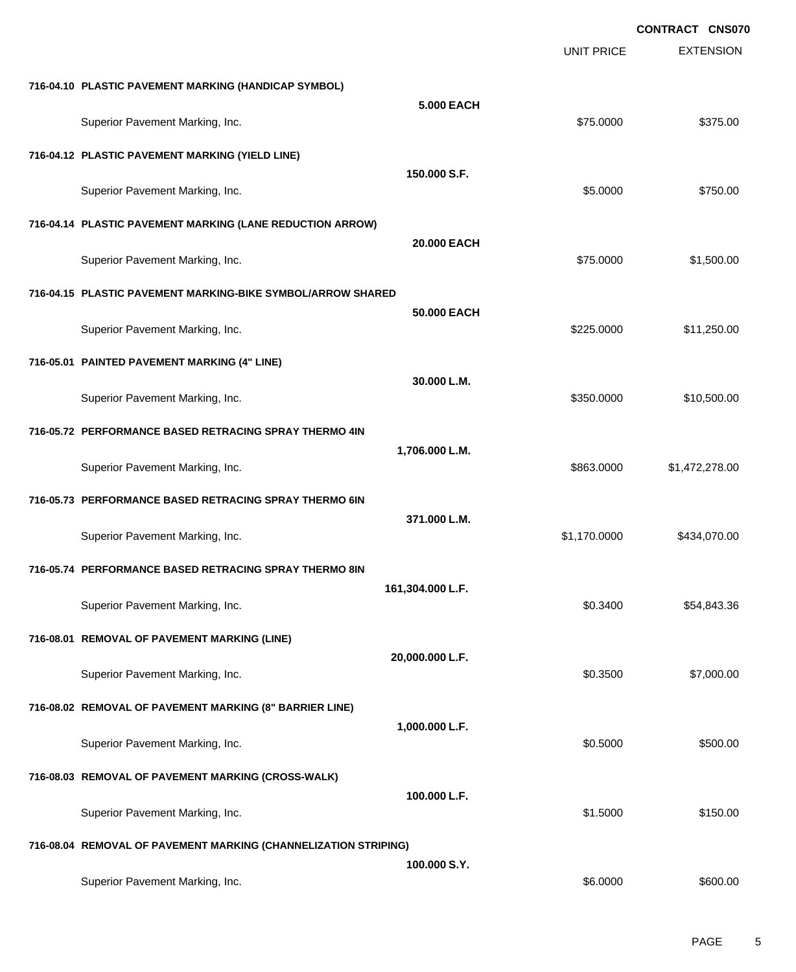EXTENSION **CONTRACT CNS070** UNIT PRICE **716-04.10 PLASTIC PAVEMENT MARKING (HANDICAP SYMBOL) 5.000 EACH** Superior Pavement Marking, Inc. 6. The Superior Pavement Marking, Inc. 6. The Superior Pavement Marking, Inc. 6. The Superior Superior St. 6. The Superior St. 6. The Superior St. 6. The Superior St. 6. The Superior St. 6. **716-04.12 PLASTIC PAVEMENT MARKING (YIELD LINE) 150.000 S.F.** Superior Pavement Marking, Inc. 6750.00 \$750.00 **716-04.14 PLASTIC PAVEMENT MARKING (LANE REDUCTION ARROW) 20.000 EACH** Superior Pavement Marking, Inc. 6. The Superior Pavement Marking, Inc. \$75.0000 \$1,500.00 **716-04.15 PLASTIC PAVEMENT MARKING-BIKE SYMBOL/ARROW SHARED 50.000 EACH** Superior Pavement Marking, Inc. 6. The Superior Pavement Marking, Inc. 6. The Superior Pavement Marking, Inc. 6. The Superior Section 1.250.000 \$11,250.00 **716-05.01 PAINTED PAVEMENT MARKING (4" LINE) 30.000 L.M.** Superior Pavement Marking, Inc. 6. The Superior Pavement Marking, Inc. 6. The Superior Pavement Marking, Inc. 6. The Superior St. 6. The Superior St. 6. The Superior St. 6. The Superior Pavement Marking, Inc. 6. The Superi **716-05.72 PERFORMANCE BASED RETRACING SPRAY THERMO 4IN 1,706.000 L.M.** Superior Pavement Marking, Inc. 6. The Superior Pavement Marking, Inc. 6. The Superior Pavement Marking, Inc. 1 **716-05.73 PERFORMANCE BASED RETRACING SPRAY THERMO 6IN 371.000 L.M.** Superior Pavement Marking, Inc. 6. The Contract of the Contract of the State of the State of State of State of State of State of State of State of State of State of State of State of State of State of State of State of Sta **716-05.74 PERFORMANCE BASED RETRACING SPRAY THERMO 8IN 161,304.000 L.F.** Superior Pavement Marking, Inc. 6. The Superior Pavement Marking, Inc. 654,843.36 **716-08.01 REMOVAL OF PAVEMENT MARKING (LINE) 20,000.000 L.F.** Superior Pavement Marking, Inc. 6. The Superior Pavement Marking, Inc. 6. The Superior Pavement Marking, Inc. 6. The Superior St. 6. The Superior St. 6. The Superior St. 6. The Superior Pavement Marking, Inc. 6. The Superi **716-08.02 REMOVAL OF PAVEMENT MARKING (8" BARRIER LINE) 1,000.000 L.F.** Superior Pavement Marking, Inc. 6. The Superior Pavement Marking, Inc. 6. The Superior Pavement Marking, Inc. 6. The Superior Superior Superior Superior Superior Superior Superior Superior Superior Superior Superior Superi **716-08.03 REMOVAL OF PAVEMENT MARKING (CROSS-WALK) 100.000 L.F.** Superior Pavement Marking, Inc. 61.5000 \$1.5000 \$1.5000 \$1.5000 \$1.5000 \$1.5000 \$1.5000 \$1.5000 \$1.5000 \$1.5000 **716-08.04 REMOVAL OF PAVEMENT MARKING (CHANNELIZATION STRIPING) 100.000 S.Y.** Superior Pavement Marking, Inc. 66.000 \$600.00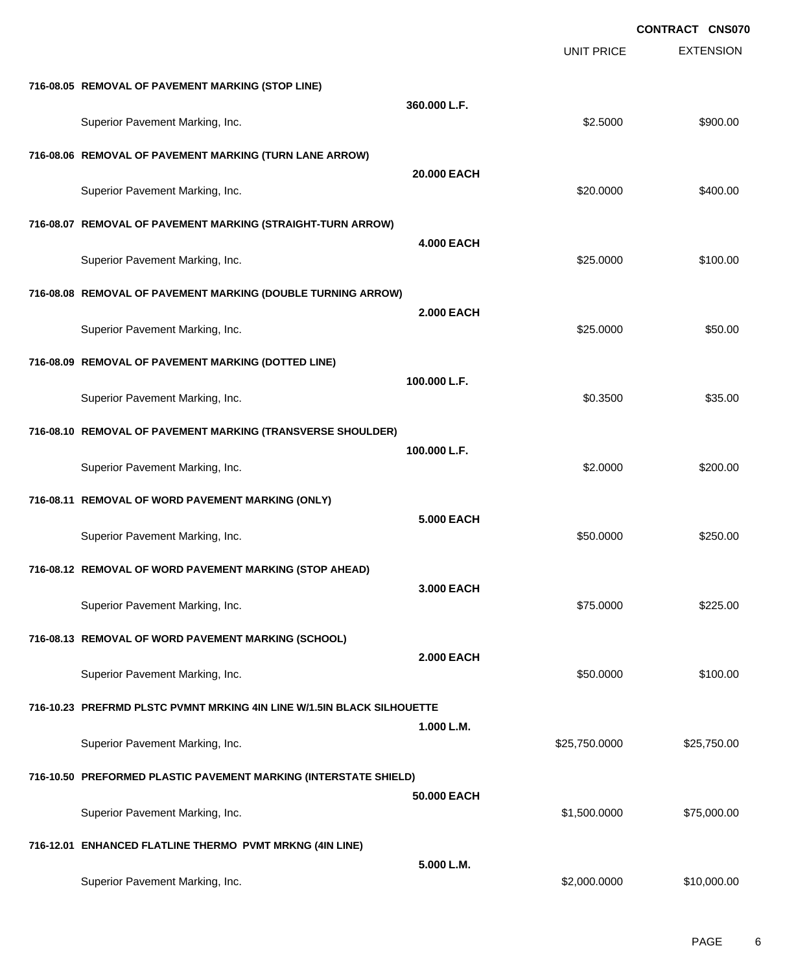|                                                                        |                   |                   | <b>CONTRACT CNS070</b> |
|------------------------------------------------------------------------|-------------------|-------------------|------------------------|
|                                                                        |                   | <b>UNIT PRICE</b> | <b>EXTENSION</b>       |
| 716-08.05 REMOVAL OF PAVEMENT MARKING (STOP LINE)                      |                   |                   |                        |
| Superior Pavement Marking, Inc.                                        | 360.000 L.F.      | \$2.5000          | \$900.00               |
| 716-08.06 REMOVAL OF PAVEMENT MARKING (TURN LANE ARROW)                |                   |                   |                        |
| Superior Pavement Marking, Inc.                                        | 20,000 EACH       | \$20.0000         | \$400.00               |
| 716-08.07 REMOVAL OF PAVEMENT MARKING (STRAIGHT-TURN ARROW)            |                   |                   |                        |
| Superior Pavement Marking, Inc.                                        | <b>4.000 EACH</b> | \$25.0000         | \$100.00               |
| 716-08.08 REMOVAL OF PAVEMENT MARKING (DOUBLE TURNING ARROW)           |                   |                   |                        |
| Superior Pavement Marking, Inc.                                        | <b>2.000 EACH</b> | \$25,0000         | \$50.00                |
| 716-08.09 REMOVAL OF PAVEMENT MARKING (DOTTED LINE)                    |                   |                   |                        |
| Superior Pavement Marking, Inc.                                        | 100.000 L.F.      | \$0.3500          | \$35.00                |
| 716-08.10 REMOVAL OF PAVEMENT MARKING (TRANSVERSE SHOULDER)            |                   |                   |                        |
| Superior Pavement Marking, Inc.                                        | 100.000 L.F.      | \$2.0000          | \$200.00               |
| 716-08.11 REMOVAL OF WORD PAVEMENT MARKING (ONLY)                      |                   |                   |                        |
| Superior Pavement Marking, Inc.                                        | <b>5.000 EACH</b> | \$50,0000         | \$250.00               |
| 716-08.12 REMOVAL OF WORD PAVEMENT MARKING (STOP AHEAD)                |                   |                   |                        |
| Superior Pavement Marking, Inc.                                        | 3.000 EACH        | \$75.0000         | \$225.00               |
| 716-08.13 REMOVAL OF WORD PAVEMENT MARKING (SCHOOL)                    |                   |                   |                        |
| Superior Pavement Marking, Inc.                                        | <b>2.000 EACH</b> | \$50.0000         | \$100.00               |
| 716-10.23 PREFRMD PLSTC PVMNT MRKING 4IN LINE W/1.5IN BLACK SILHOUETTE |                   |                   |                        |
| Superior Pavement Marking, Inc.                                        | 1.000 L.M.        | \$25,750.0000     | \$25,750.00            |
| 716-10.50 PREFORMED PLASTIC PAVEMENT MARKING (INTERSTATE SHIELD)       |                   |                   |                        |
| Superior Pavement Marking, Inc.                                        | 50.000 EACH       | \$1,500.0000      | \$75,000.00            |
| 716-12.01 ENHANCED FLATLINE THERMO PVMT MRKNG (4IN LINE)               |                   |                   |                        |
| Superior Pavement Marking, Inc.                                        | 5.000 L.M.        | \$2,000.0000      | \$10,000.00            |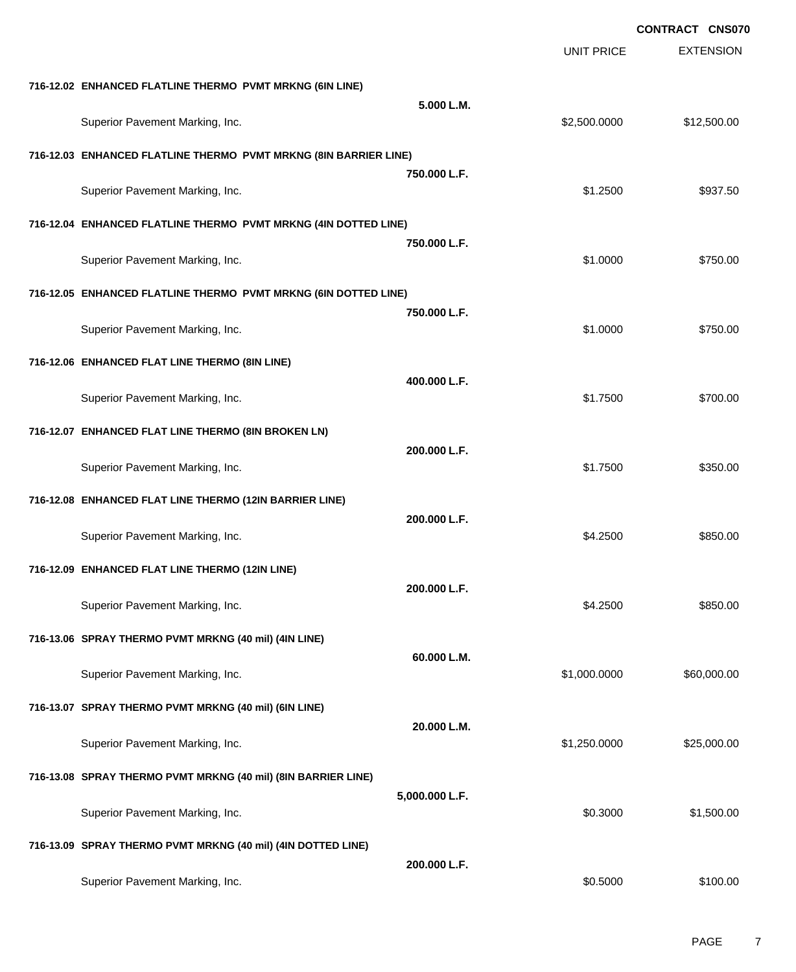|                                                                  |                |                   | CONTRACT CNS070  |  |
|------------------------------------------------------------------|----------------|-------------------|------------------|--|
|                                                                  |                | <b>UNIT PRICE</b> | <b>EXTENSION</b> |  |
| 716-12.02 ENHANCED FLATLINE THERMO PVMT MRKNG (6IN LINE)         |                |                   |                  |  |
| Superior Pavement Marking, Inc.                                  | 5.000 L.M.     | \$2,500.0000      | \$12,500.00      |  |
|                                                                  |                |                   |                  |  |
| 716-12.03 ENHANCED FLATLINE THERMO PVMT MRKNG (8IN BARRIER LINE) | 750.000 L.F.   |                   |                  |  |
| Superior Pavement Marking, Inc.                                  |                | \$1.2500          | \$937.50         |  |
| 716-12.04 ENHANCED FLATLINE THERMO PVMT MRKNG (4IN DOTTED LINE)  |                |                   |                  |  |
|                                                                  | 750,000 L.F.   |                   |                  |  |
| Superior Pavement Marking, Inc.                                  |                | \$1.0000          | \$750.00         |  |
| 716-12.05 ENHANCED FLATLINE THERMO PVMT MRKNG (6IN DOTTED LINE)  | 750.000 L.F.   |                   |                  |  |
| Superior Pavement Marking, Inc.                                  |                | \$1.0000          | \$750.00         |  |
| 716-12.06 ENHANCED FLAT LINE THERMO (8IN LINE)                   |                |                   |                  |  |
|                                                                  | 400.000 L.F.   |                   |                  |  |
| Superior Pavement Marking, Inc.                                  |                | \$1.7500          | \$700.00         |  |
| 716-12.07 ENHANCED FLAT LINE THERMO (8IN BROKEN LN)              | 200.000 L.F.   |                   |                  |  |
| Superior Pavement Marking, Inc.                                  |                | \$1.7500          | \$350.00         |  |
| 716-12.08 ENHANCED FLAT LINE THERMO (12IN BARRIER LINE)          |                |                   |                  |  |
|                                                                  | 200.000 L.F.   |                   |                  |  |
| Superior Pavement Marking, Inc.                                  |                | \$4.2500          | \$850.00         |  |
| 716-12.09 ENHANCED FLAT LINE THERMO (12IN LINE)                  | 200.000 L.F.   |                   |                  |  |
| Superior Pavement Marking, Inc.                                  |                | \$4.2500          | \$850.00         |  |
| 716-13.06 SPRAY THERMO PVMT MRKNG (40 mil) (4IN LINE)            |                |                   |                  |  |
| Superior Pavement Marking, Inc.                                  | 60.000 L.M.    | \$1,000.0000      | \$60,000.00      |  |
|                                                                  |                |                   |                  |  |
| 716-13.07 SPRAY THERMO PVMT MRKNG (40 mil) (6IN LINE)            | 20.000 L.M.    |                   |                  |  |
| Superior Pavement Marking, Inc.                                  |                | \$1,250.0000      | \$25,000.00      |  |
| 716-13.08 SPRAY THERMO PVMT MRKNG (40 mil) (8IN BARRIER LINE)    |                |                   |                  |  |
| Superior Pavement Marking, Inc.                                  | 5,000.000 L.F. | \$0.3000          | \$1,500.00       |  |
|                                                                  |                |                   |                  |  |
| 716-13.09 SPRAY THERMO PVMT MRKNG (40 mil) (4IN DOTTED LINE)     | 200.000 L.F.   |                   |                  |  |
| Superior Pavement Marking, Inc.                                  |                | \$0.5000          | \$100.00         |  |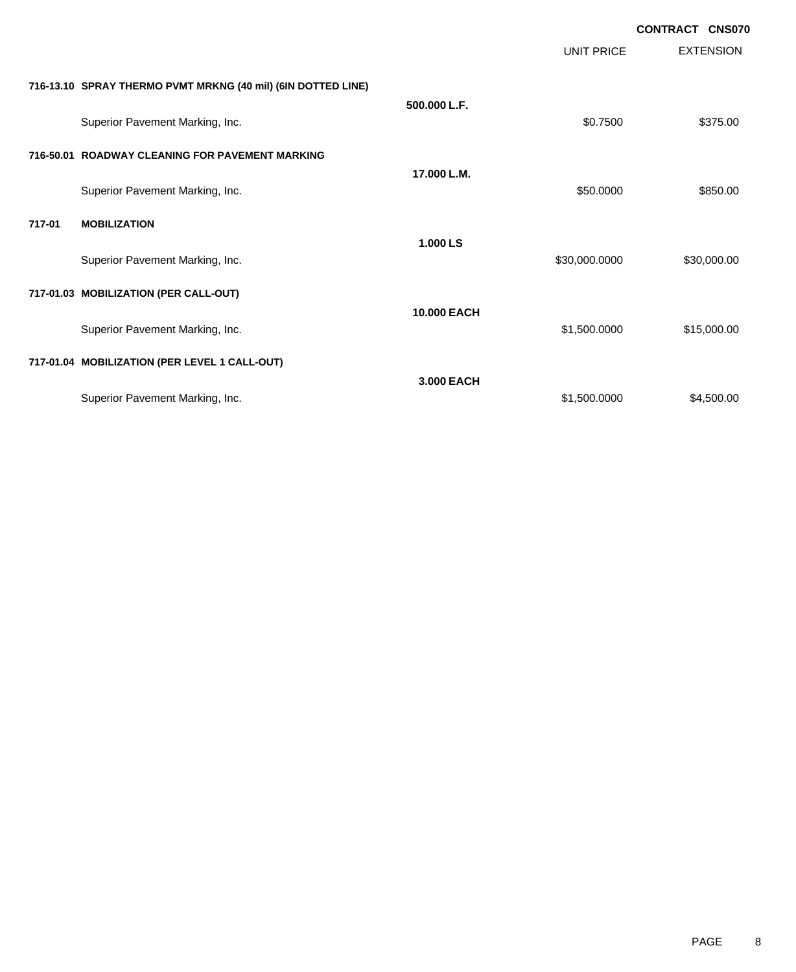|        |                                                              |                    |                   | <b>CONTRACT CNS070</b> |
|--------|--------------------------------------------------------------|--------------------|-------------------|------------------------|
|        |                                                              |                    | <b>UNIT PRICE</b> | <b>EXTENSION</b>       |
|        | 716-13.10 SPRAY THERMO PVMT MRKNG (40 mil) (6IN DOTTED LINE) |                    |                   |                        |
|        | Superior Pavement Marking, Inc.                              | 500.000 L.F.       | \$0.7500          | \$375.00               |
|        | 716-50.01 ROADWAY CLEANING FOR PAVEMENT MARKING              |                    |                   |                        |
|        | Superior Pavement Marking, Inc.                              | 17.000 L.M.        | \$50.0000         | \$850.00               |
| 717-01 | <b>MOBILIZATION</b>                                          |                    |                   |                        |
|        | Superior Pavement Marking, Inc.                              | 1.000 LS           | \$30,000.0000     | \$30,000.00            |
|        | 717-01.03 MOBILIZATION (PER CALL-OUT)                        |                    |                   |                        |
|        | Superior Pavement Marking, Inc.                              | <b>10.000 EACH</b> | \$1,500.0000      | \$15,000.00            |
|        | 717-01.04 MOBILIZATION (PER LEVEL 1 CALL-OUT)                |                    |                   |                        |
|        | Superior Pavement Marking, Inc.                              | 3,000 EACH         | \$1,500.0000      | \$4,500.00             |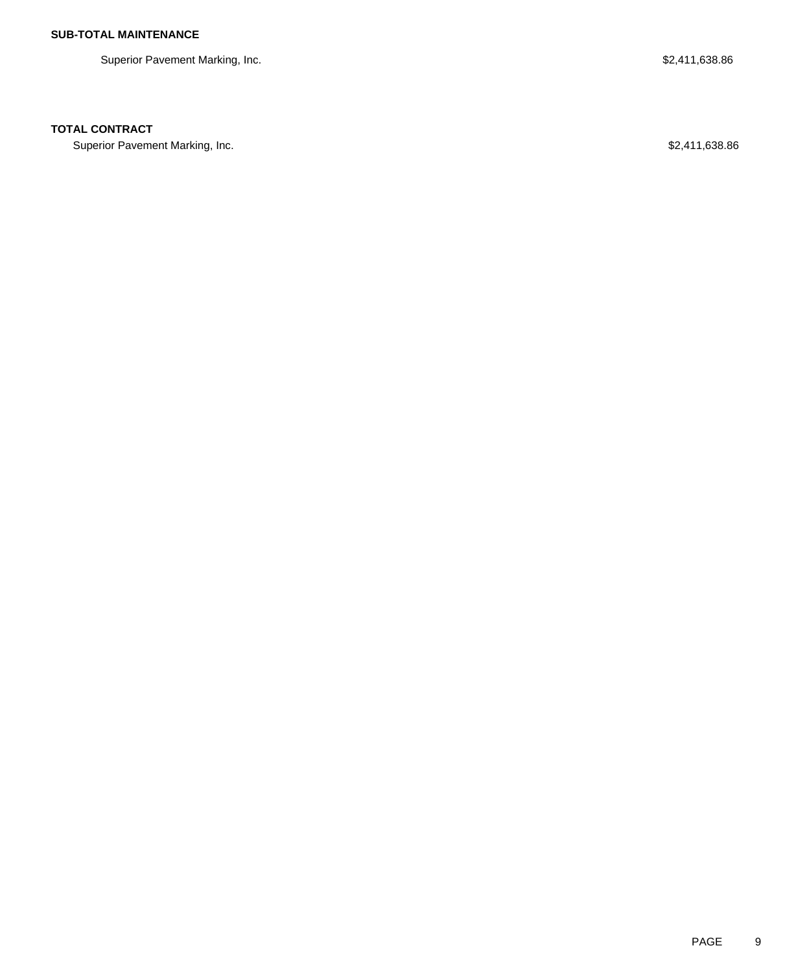Superior Pavement Marking, Inc. 638.86

### **TOTAL CONTRACT**

Superior Pavement Marking, Inc. 638.86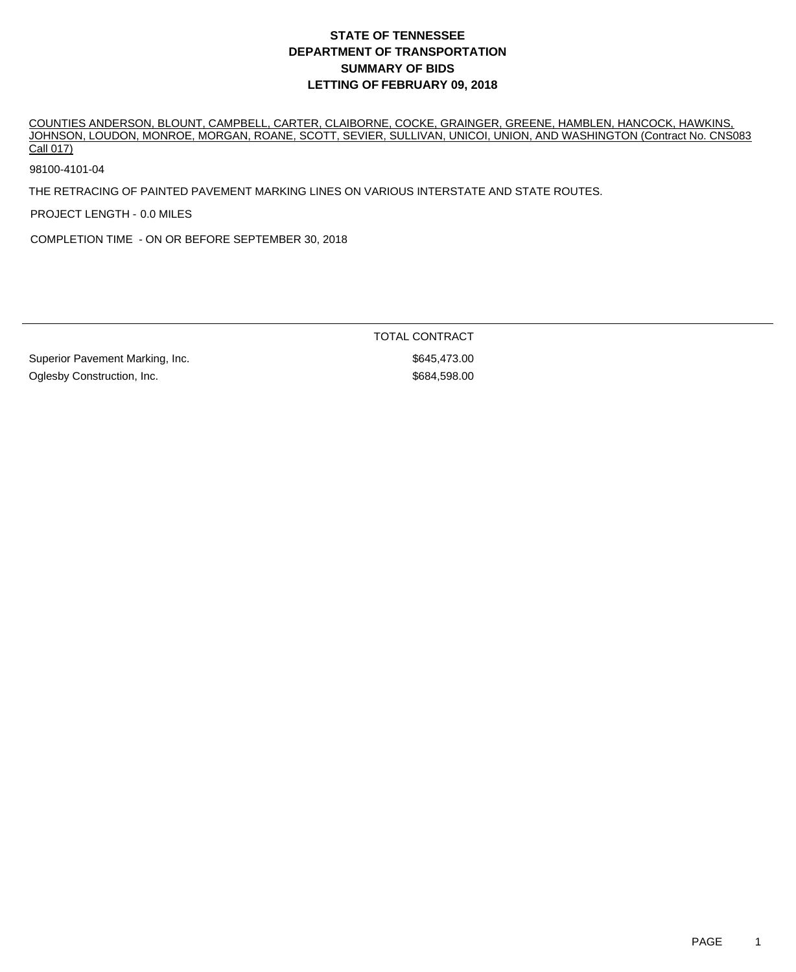COUNTIES ANDERSON, BLOUNT, CAMPBELL, CARTER, CLAIBORNE, COCKE, GRAINGER, GREENE, HAMBLEN, HANCOCK, HAWKINS, JOHNSON, LOUDON, MONROE, MORGAN, ROANE, SCOTT, SEVIER, SULLIVAN, UNICOI, UNION, AND WASHINGTON (Contract No. CNS083 Call 017)

98100-4101-04

THE RETRACING OF PAINTED PAVEMENT MARKING LINES ON VARIOUS INTERSTATE AND STATE ROUTES.

PROJECT LENGTH - 0.0 MILES

COMPLETION TIME - ON OR BEFORE SEPTEMBER 30, 2018

TOTAL CONTRACT

Superior Pavement Marking, Inc. 6. The Superior Pavement Marking, Inc. 6. The Superior Section 1.1 and Section 1 Oglesby Construction, Inc. 6884,598.00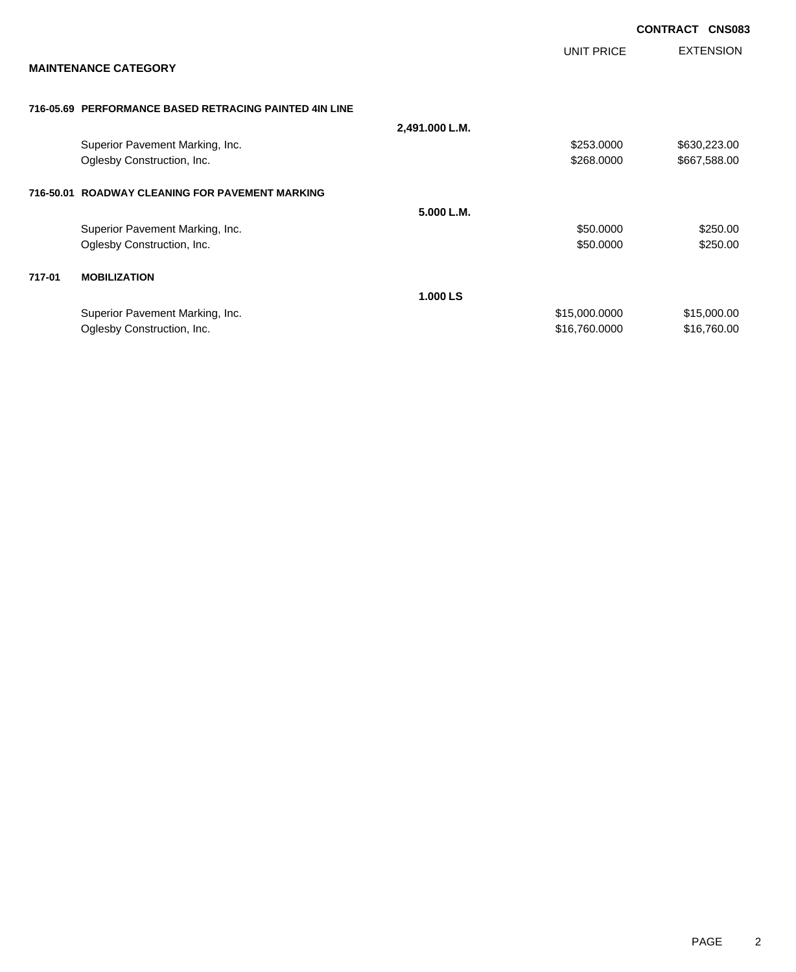|        |                                                        |                |               | <b>CONTRACT</b> | <b>CNS083</b>    |
|--------|--------------------------------------------------------|----------------|---------------|-----------------|------------------|
|        |                                                        |                | UNIT PRICE    |                 | <b>EXTENSION</b> |
|        | <b>MAINTENANCE CATEGORY</b>                            |                |               |                 |                  |
|        | 716-05.69 PERFORMANCE BASED RETRACING PAINTED 4IN LINE |                |               |                 |                  |
|        |                                                        | 2,491.000 L.M. |               |                 |                  |
|        | Superior Pavement Marking, Inc.                        |                | \$253.0000    |                 | \$630,223.00     |
|        | Oglesby Construction, Inc.                             |                | \$268.0000    |                 | \$667,588.00     |
|        | 716-50.01 ROADWAY CLEANING FOR PAVEMENT MARKING        |                |               |                 |                  |
|        |                                                        | 5.000 L.M.     |               |                 |                  |
|        | Superior Pavement Marking, Inc.                        |                | \$50.0000     |                 | \$250.00         |
|        | Oglesby Construction, Inc.                             |                | \$50.0000     |                 | \$250.00         |
| 717-01 | <b>MOBILIZATION</b>                                    |                |               |                 |                  |
|        |                                                        | 1.000 LS       |               |                 |                  |
|        | Superior Pavement Marking, Inc.                        |                | \$15,000.0000 |                 | \$15,000.00      |
|        | Oglesby Construction, Inc.                             |                | \$16,760.0000 |                 | \$16,760.00      |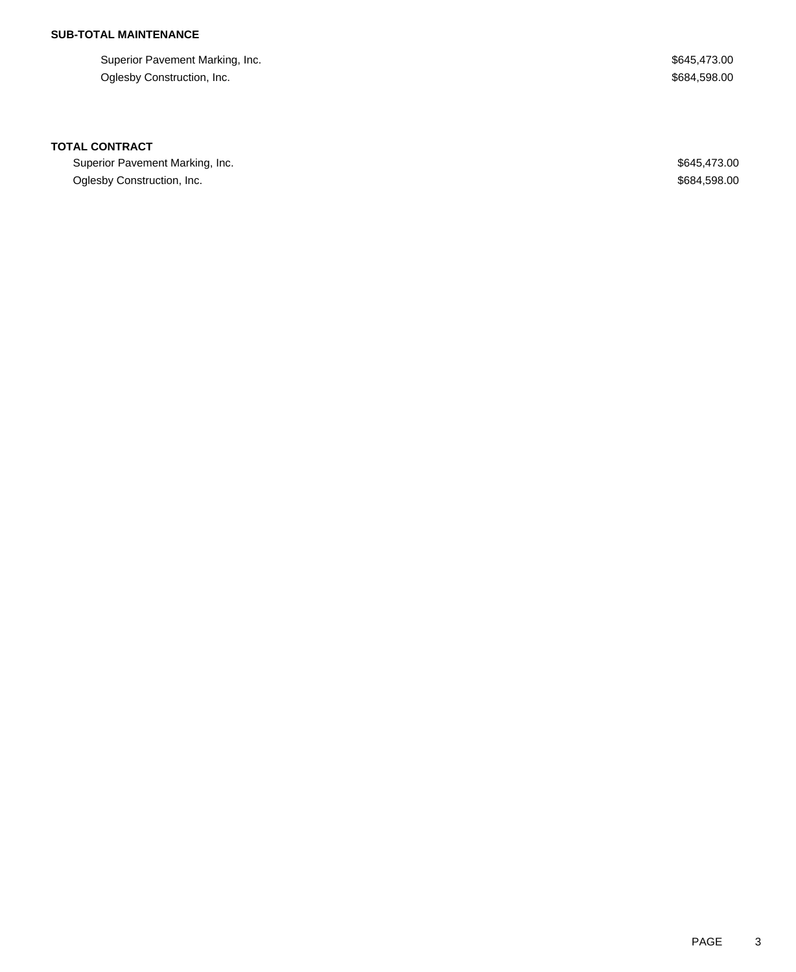# **SUB-TOTAL MAINTENANCE**

Superior Pavement Marking, Inc. 6. The Superior Pavement Marking, Inc. 6. The Superior Pavement Marking, Inc. Oglesby Construction, Inc. 6884,598.00

#### **TOTAL CONTRACT**

Superior Pavement Marking, Inc. 6645,473.00 Oglesby Construction, Inc. 684,598.00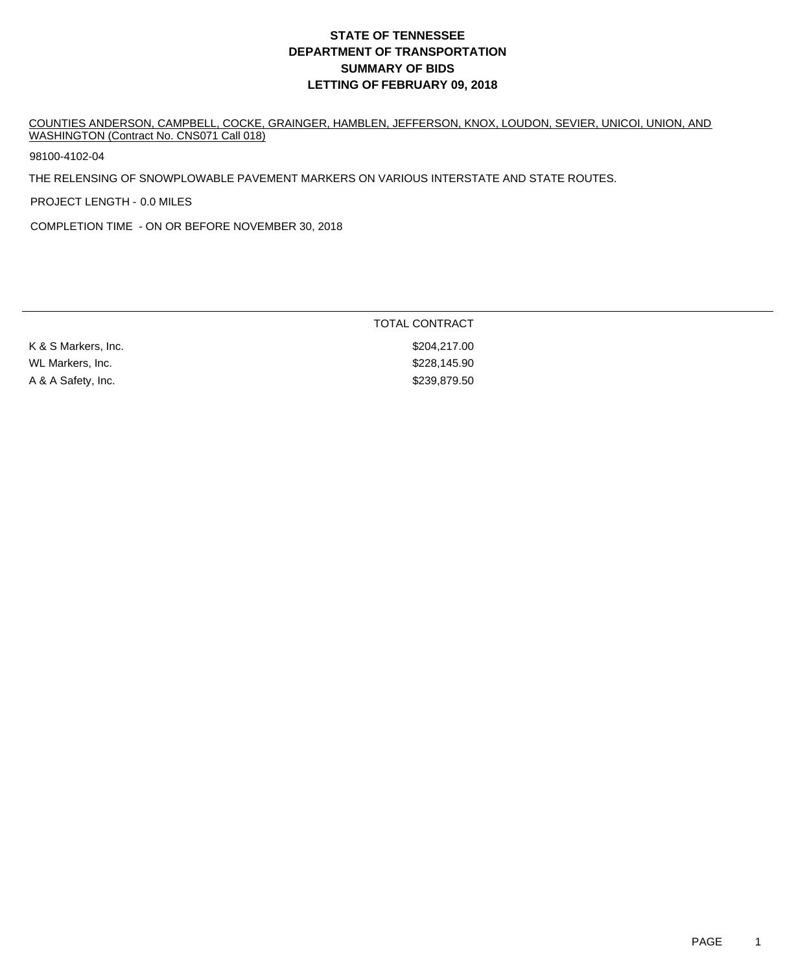COUNTIES ANDERSON, CAMPBELL, COCKE, GRAINGER, HAMBLEN, JEFFERSON, KNOX, LOUDON, SEVIER, UNICOI, UNION, AND WASHINGTON (Contract No. CNS071 Call 018)

98100-4102-04

THE RELENSING OF SNOWPLOWABLE PAVEMENT MARKERS ON VARIOUS INTERSTATE AND STATE ROUTES.

PROJECT LENGTH - 0.0 MILES

COMPLETION TIME - ON OR BEFORE NOVEMBER 30, 2018

|                     | TOTAL CONTRACT |
|---------------------|----------------|
| K & S Markers, Inc. | \$204,217.00   |
| WL Markers, Inc.    | \$228,145.90   |
| A & A Safety, Inc.  | \$239,879.50   |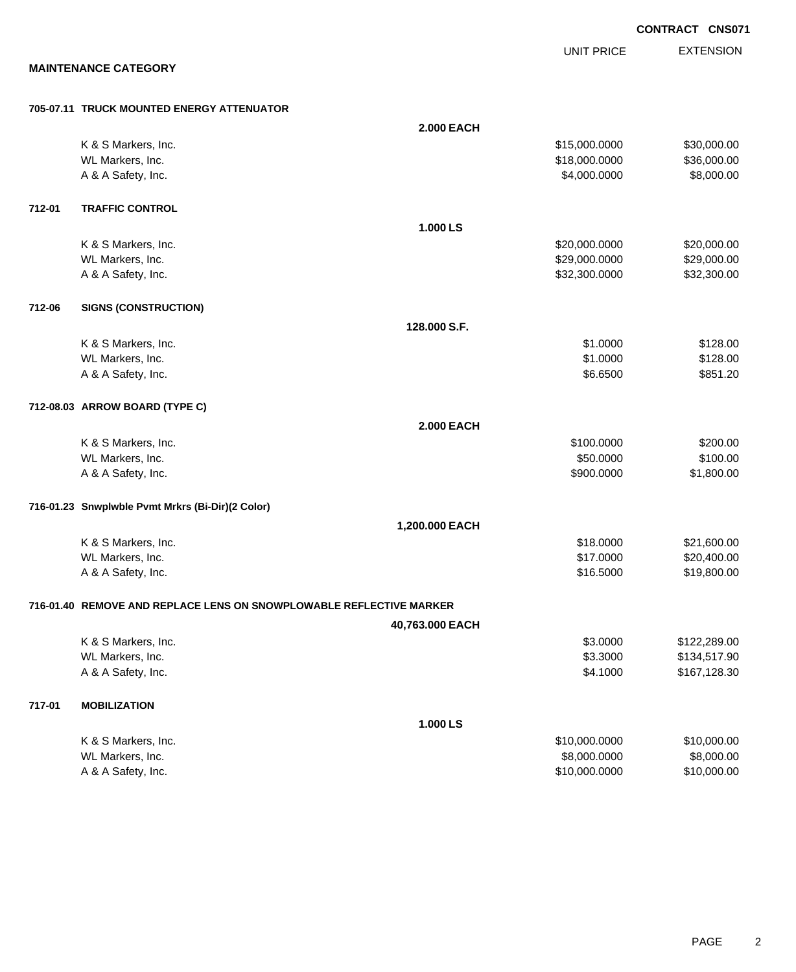**EXTENSION** UNIT PRICE **MAINTENANCE CATEGORY 705-07.11 TRUCK MOUNTED ENERGY ATTENUATOR 2.000 EACH** K & S Markers, Inc. \$15,000.000 \$30,000.00 \$30,000.00 WL Markers, Inc. \$18,000.000 \$36,000.000 \$36,000.000 \$36,000.000 \$36,000.000 \$36,000.00 A & A Safety, Inc. \$8,000.000 \$8,000.000 \$8,000.000 \$8,000.000 **712-01 TRAFFIC CONTROL 1.000 LS** K & S Markers, Inc. \$20,000.000 \$20,000.000 \$20,000.000 \$20,000.000 \$20,000.000 \$20,000.00 WL Markers, Inc. \$29,000.000 \$29,000.000 \$29,000.000 \$29,000.000 \$29,000.000 \$29,000.00 A & A Safety, Inc. \$32,300.000 \$32,300.000 \$32,300.000 \$32,300.000 \$32,300.000 \$32,300.00 **712-06 SIGNS (CONSTRUCTION) 128.000 S.F.** K & S Markers, Inc. \$128.00 WL Markers, Inc. \$128.00 A & A Safety, Inc. \$851.20 **712-08.03 ARROW BOARD (TYPE C) 2.000 EACH** K & S Markers, Inc. \$200.00 \$200.00 \$200.00 \$200.00 \$200.00 \$200.00 \$200.00 \$200.00 \$200.00 \$200.00 \$200.00 \$20 WL Markers, Inc. \$100.00 \$100.00 \$100.00 \$100.00 \$100.00 \$100.00 \$100.00 \$100.00 \$100.00 \$100.00 \$100.00 \$100.00 \$100.00 \$100.00 \$100.00 \$100.00 \$100.00 \$100.00 \$100.00 \$100.00 \$100.00 \$100.00 \$100.00 \$100.00 \$100.00 \$100. A & A Safety, Inc. \$900.0000 \$1,800.00 **716-01.23 Snwplwble Pvmt Mrkrs (Bi-Dir)(2 Color) 1,200.000 EACH** K & S Markers, Inc. \$18.0000 \$21,600.00 WL Markers, Inc. \$20,400.00 \$20,400.00 \$20,400.00 \$20,400.00 \$17.0000 \$20,400.00 A & A Safety, Inc. \$19,800.00 \$19,800.00 \$19,800.00 \$19,800.00 \$19,800.00 \$19,800.00 \$19,800.00 \$19,800.00 \$19 **716-01.40 REMOVE AND REPLACE LENS ON SNOWPLOWABLE REFLECTIVE MARKER 40,763.000 EACH** K & S Markers, Inc. \$3.0000 \$122,289.00 WL Markers, Inc. \$3.3000 \$134,517.90 A & A Safety, Inc. \$167,128.30 **717-01 MOBILIZATION 1.000 LS** K & S Markers, Inc. \$10,000.000 \$10,000.000 \$10,000.000 \$10,000.000 \$10,000.000 \$10,000.00 WL Markers, Inc. \$8,000.000 \$8,000.000 \$8,000.000 \$8,000.000 \$8,000.000 \$8,000.000 \$8,000.00 \$8,000.00 \$8,000

A & A Safety, Inc. \$10,000.000 \$10,000.000 \$10,000.000 \$10,000.000 \$10,000.000 \$10,000.00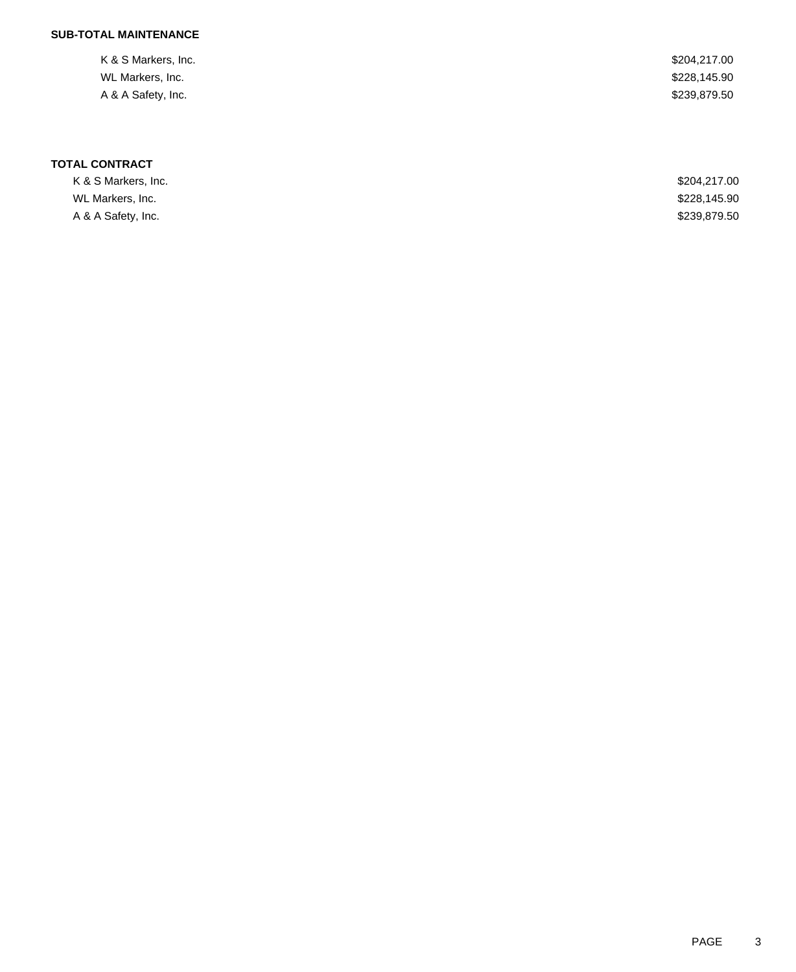# **SUB-TOTAL MAINTENANCE**

| \$228,145.90 |
|--------------|
| \$239,879.50 |
|              |

# **TOTAL CONTRACT**

| K & S Markers, Inc. | \$204,217,00 |
|---------------------|--------------|
| WL Markers, Inc.    | \$228,145.90 |
| A & A Safety, Inc.  | \$239,879.50 |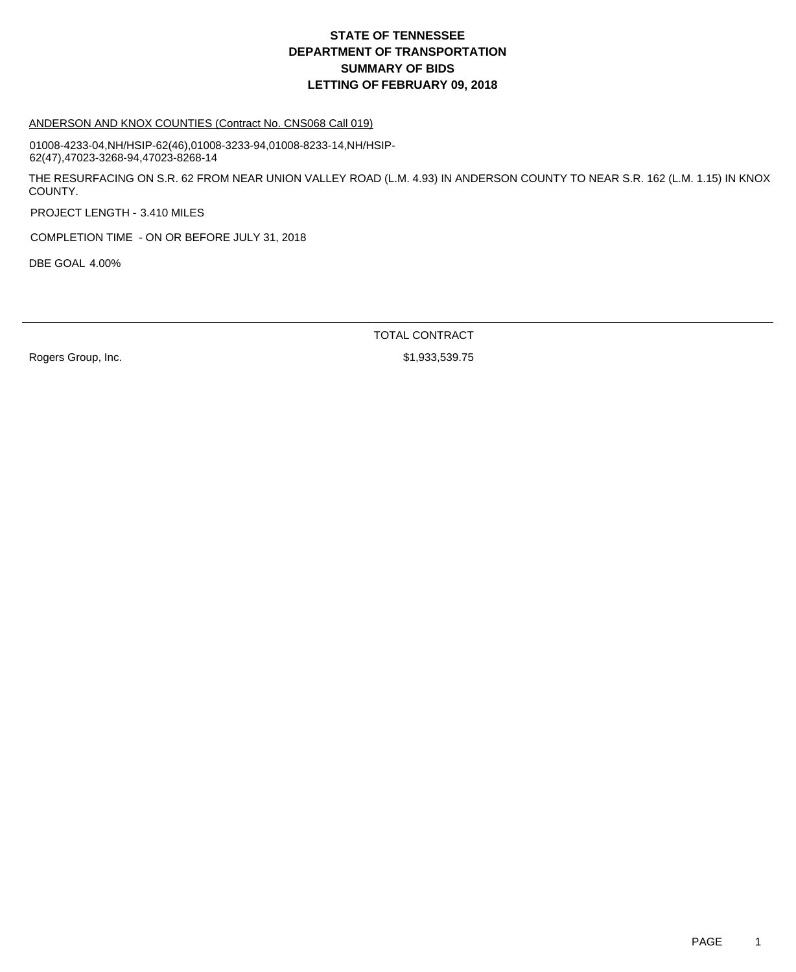#### ANDERSON AND KNOX COUNTIES (Contract No. CNS068 Call 019)

01008-4233-04,NH/HSIP-62(46),01008-3233-94,01008-8233-14,NH/HSIP-62(47),47023-3268-94,47023-8268-14

THE RESURFACING ON S.R. 62 FROM NEAR UNION VALLEY ROAD (L.M. 4.93) IN ANDERSON COUNTY TO NEAR S.R. 162 (L.M. 1.15) IN KNOX COUNTY.

PROJECT LENGTH - 3.410 MILES

COMPLETION TIME - ON OR BEFORE JULY 31, 2018

DBE GOAL 4.00%

TOTAL CONTRACT

Rogers Group, Inc. 6. 2010 12:30 12:30 13:30 13:30 14:30 14:30 14:30 14:30 14:30 14:30 15:30 17:30 17:30 17:30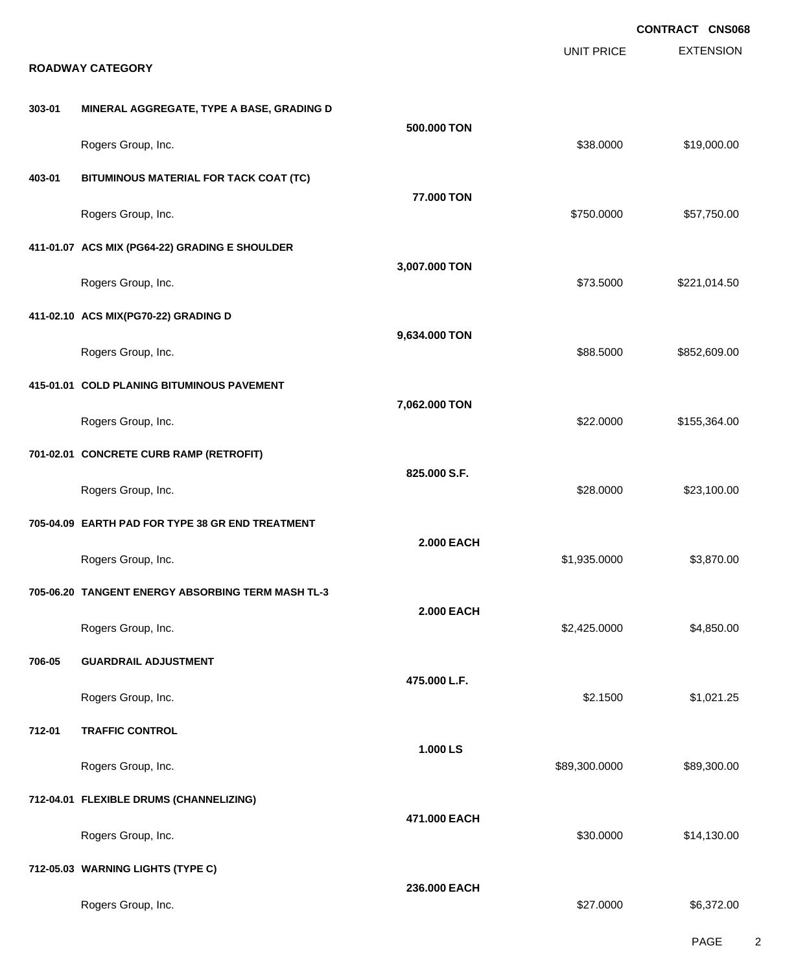EXTENSION **CONTRACT CNS068** UNIT PRICE **ROADWAY CATEGORY 303-01 MINERAL AGGREGATE, TYPE A BASE, GRADING D 500.000 TON** Rogers Group, Inc. \$19,000.00 \$19,000.00 \$19,000.00 \$19,000.00 \$19,000.00 \$19,000.00 \$19,000.00 \$19,000.00 \$19 **403-01 BITUMINOUS MATERIAL FOR TACK COAT (TC) 77.000 TON** Rogers Group, Inc. \$750.000 \$57,750.00 **411-01.07 ACS MIX (PG64-22) GRADING E SHOULDER 3,007.000 TON** Rogers Group, Inc. \$221,014.50 **411-02.10 ACS MIX(PG70-22) GRADING D 9,634.000 TON** Rogers Group, Inc. 6. 2012. The State of the State of the State of the State of the State of the State of the State of the State of the State of the State of the State of the State of the State of the State of the State of **415-01.01 COLD PLANING BITUMINOUS PAVEMENT 7,062.000 TON** Rogers Group, Inc. \$22.0000 \$155,364.00 **701-02.01 CONCRETE CURB RAMP (RETROFIT) 825.000 S.F.** Rogers Group, Inc. \$23,100.00 \$23,100.00 \$23,100.00 \$23,100.00 \$23,100.00 \$23,100.00 \$23,100.00 \$23,100.00 \$23 **705-04.09 EARTH PAD FOR TYPE 38 GR END TREATMENT 2.000 EACH** Rogers Group, Inc. \$1,935.0000 \$3,870.00 **705-06.20 TANGENT ENERGY ABSORBING TERM MASH TL-3 2.000 EACH** Rogers Group, Inc. \$2,425.0000 \$4,850.00 **706-05 GUARDRAIL ADJUSTMENT 475.000 L.F.** Rogers Group, Inc. \$1,021.25 **712-01 TRAFFIC CONTROL 1.000 LS** Rogers Group, Inc. \$89,300.000 \$89,300.000 \$89,300.000 \$89,300.000 \$89,300.000 \$89,300.00 **712-04.01 FLEXIBLE DRUMS (CHANNELIZING) 471.000 EACH** Rogers Group, Inc. \$30.000 \$14,130.00 **712-05.03 WARNING LIGHTS (TYPE C) 236.000 EACH** Rogers Group, Inc. \$6,372.00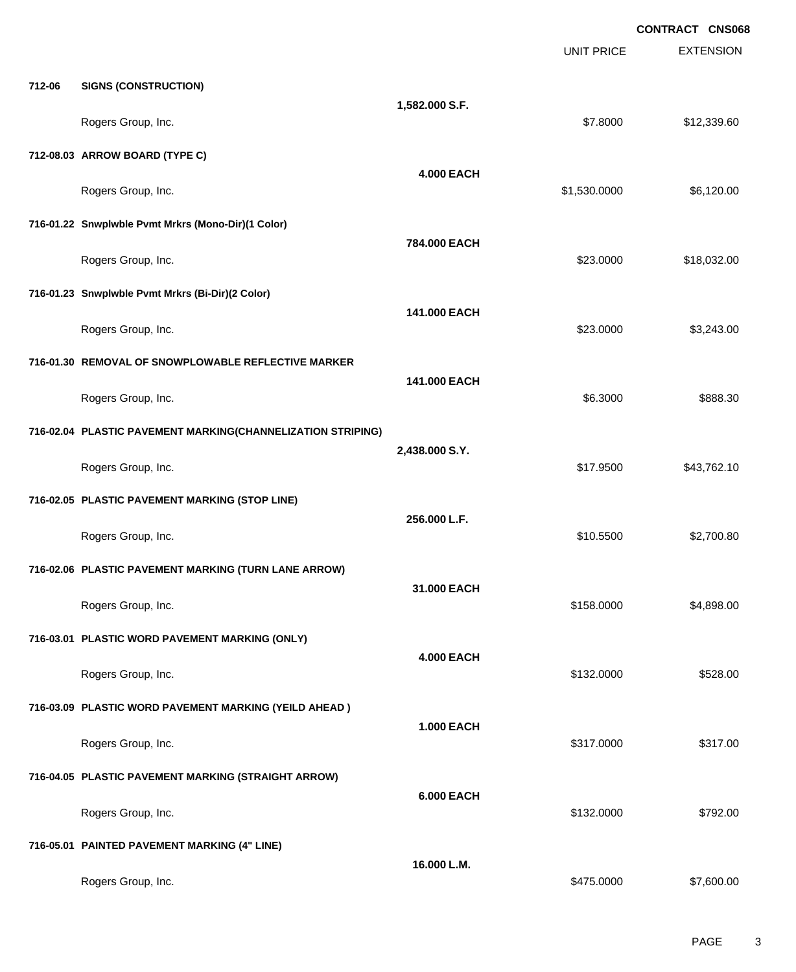|        |                                                             |                   |                   | <b>CONTRACT CNS068</b> |
|--------|-------------------------------------------------------------|-------------------|-------------------|------------------------|
|        |                                                             |                   | <b>UNIT PRICE</b> | <b>EXTENSION</b>       |
| 712-06 | <b>SIGNS (CONSTRUCTION)</b>                                 |                   |                   |                        |
|        | Rogers Group, Inc.                                          | 1,582.000 S.F.    | \$7.8000          | \$12,339.60            |
|        | 712-08.03 ARROW BOARD (TYPE C)                              |                   |                   |                        |
|        | Rogers Group, Inc.                                          | <b>4.000 EACH</b> | \$1,530.0000      | \$6,120.00             |
|        | 716-01.22 Snwplwble Pvmt Mrkrs (Mono-Dir)(1 Color)          |                   |                   |                        |
|        | Rogers Group, Inc.                                          | 784.000 EACH      | \$23.0000         | \$18,032.00            |
|        | 716-01.23 Snwplwble Pvmt Mrkrs (Bi-Dir)(2 Color)            |                   |                   |                        |
|        | Rogers Group, Inc.                                          | 141.000 EACH      | \$23.0000         | \$3,243.00             |
|        | 716-01.30 REMOVAL OF SNOWPLOWABLE REFLECTIVE MARKER         |                   |                   |                        |
|        | Rogers Group, Inc.                                          | 141.000 EACH      | \$6.3000          | \$888.30               |
|        | 716-02.04 PLASTIC PAVEMENT MARKING(CHANNELIZATION STRIPING) |                   |                   |                        |
|        | Rogers Group, Inc.                                          | 2,438.000 S.Y.    | \$17.9500         | \$43,762.10            |
|        | 716-02.05 PLASTIC PAVEMENT MARKING (STOP LINE)              |                   |                   |                        |
|        | Rogers Group, Inc.                                          | 256.000 L.F.      | \$10.5500         | \$2,700.80             |
|        | 716-02.06 PLASTIC PAVEMENT MARKING (TURN LANE ARROW)        |                   |                   |                        |
|        | Rogers Group, Inc.                                          | 31.000 EACH       | \$158.0000        | \$4,898.00             |
|        | 716-03.01 PLASTIC WORD PAVEMENT MARKING (ONLY)              |                   |                   |                        |
|        | Rogers Group, Inc.                                          | <b>4.000 EACH</b> | \$132.0000        | \$528.00               |
|        | 716-03.09 PLASTIC WORD PAVEMENT MARKING (YEILD AHEAD)       |                   |                   |                        |
|        | Rogers Group, Inc.                                          | <b>1.000 EACH</b> | \$317.0000        | \$317.00               |
|        | 716-04.05 PLASTIC PAVEMENT MARKING (STRAIGHT ARROW)         |                   |                   |                        |
|        | Rogers Group, Inc.                                          | <b>6.000 EACH</b> | \$132.0000        | \$792.00               |
|        | 716-05.01 PAINTED PAVEMENT MARKING (4" LINE)                |                   |                   |                        |
|        | Rogers Group, Inc.                                          | 16.000 L.M.       | \$475.0000        | \$7,600.00             |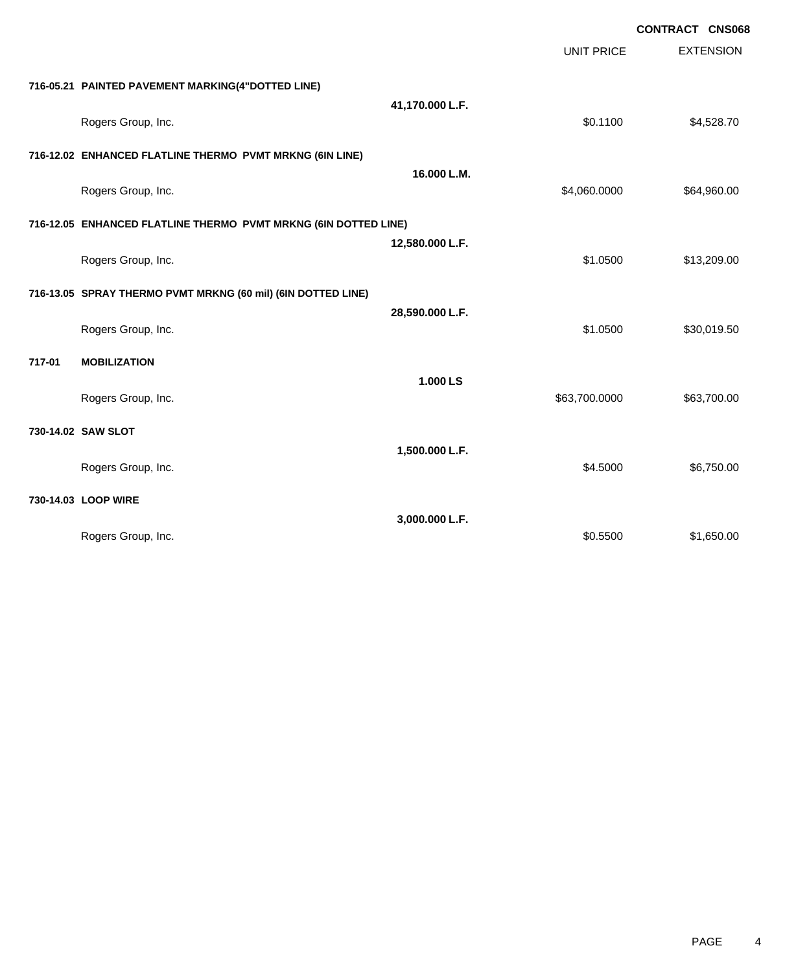|        |                                                                 |                 |                   | <b>CONTRACT CNS068</b> |
|--------|-----------------------------------------------------------------|-----------------|-------------------|------------------------|
|        |                                                                 |                 | <b>UNIT PRICE</b> | <b>EXTENSION</b>       |
|        | 716-05.21 PAINTED PAVEMENT MARKING(4"DOTTED LINE)               |                 |                   |                        |
|        | Rogers Group, Inc.                                              | 41,170.000 L.F. | \$0.1100          | \$4,528.70             |
|        |                                                                 |                 |                   |                        |
|        | 716-12.02 ENHANCED FLATLINE THERMO PVMT MRKNG (6IN LINE)        | 16.000 L.M.     |                   |                        |
|        | Rogers Group, Inc.                                              |                 | \$4,060.0000      | \$64,960.00            |
|        | 716-12.05 ENHANCED FLATLINE THERMO PVMT MRKNG (6IN DOTTED LINE) |                 |                   |                        |
|        | Rogers Group, Inc.                                              | 12,580.000 L.F. | \$1.0500          | \$13,209.00            |
|        | 716-13.05 SPRAY THERMO PVMT MRKNG (60 mil) (6IN DOTTED LINE)    |                 |                   |                        |
|        | Rogers Group, Inc.                                              | 28,590.000 L.F. | \$1.0500          | \$30,019.50            |
| 717-01 | <b>MOBILIZATION</b>                                             |                 |                   |                        |
|        | Rogers Group, Inc.                                              | 1.000 LS        | \$63,700.0000     | \$63,700.00            |
|        | 730-14.02 SAW SLOT                                              |                 |                   |                        |
|        | Rogers Group, Inc.                                              | 1,500.000 L.F.  | \$4.5000          | \$6,750.00             |
|        | 730-14.03 LOOP WIRE                                             |                 |                   |                        |
|        | Rogers Group, Inc.                                              | 3,000.000 L.F.  | \$0.5500          | \$1,650.00             |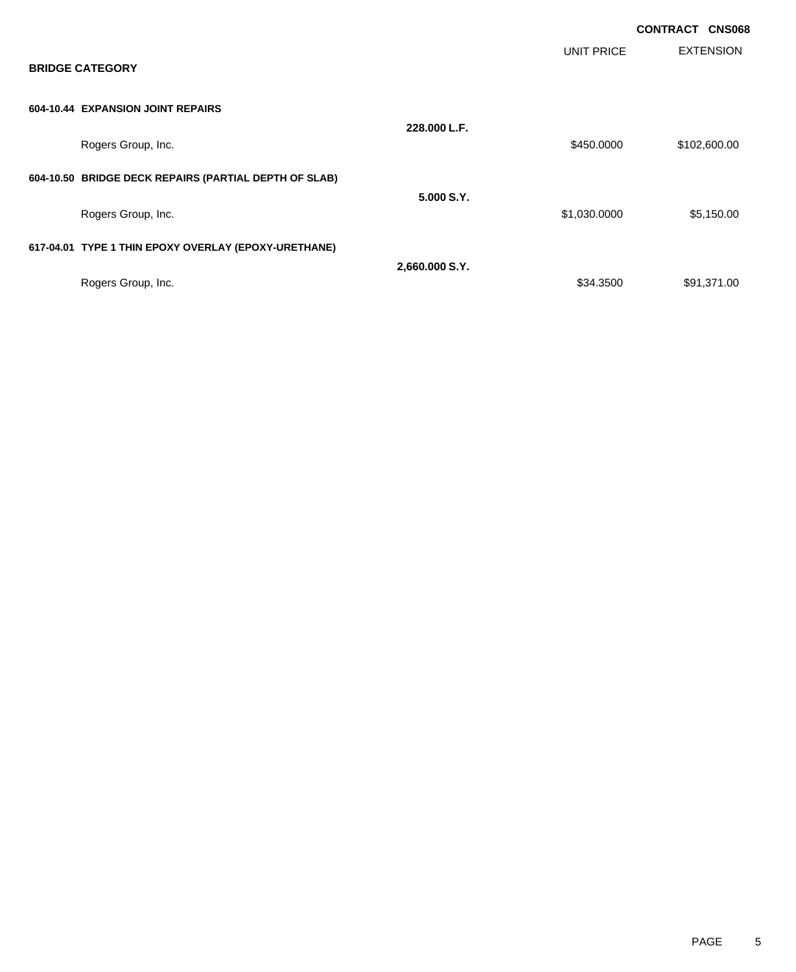|                                                       |                |              | <b>CONTRACT</b><br><b>CNS068</b> |
|-------------------------------------------------------|----------------|--------------|----------------------------------|
| <b>BRIDGE CATEGORY</b>                                |                | UNIT PRICE   | <b>EXTENSION</b>                 |
| 604-10.44 EXPANSION JOINT REPAIRS                     |                |              |                                  |
| Rogers Group, Inc.                                    | 228.000 L.F.   | \$450.0000   | \$102,600.00                     |
| 604-10.50 BRIDGE DECK REPAIRS (PARTIAL DEPTH OF SLAB) | 5.000 S.Y.     |              |                                  |
| Rogers Group, Inc.                                    |                | \$1,030.0000 | \$5,150.00                       |
| 617-04.01 TYPE 1 THIN EPOXY OVERLAY (EPOXY-URETHANE)  |                |              |                                  |
|                                                       | 2,660.000 S.Y. |              |                                  |
| Rogers Group, Inc.                                    |                | \$34.3500    | \$91,371.00                      |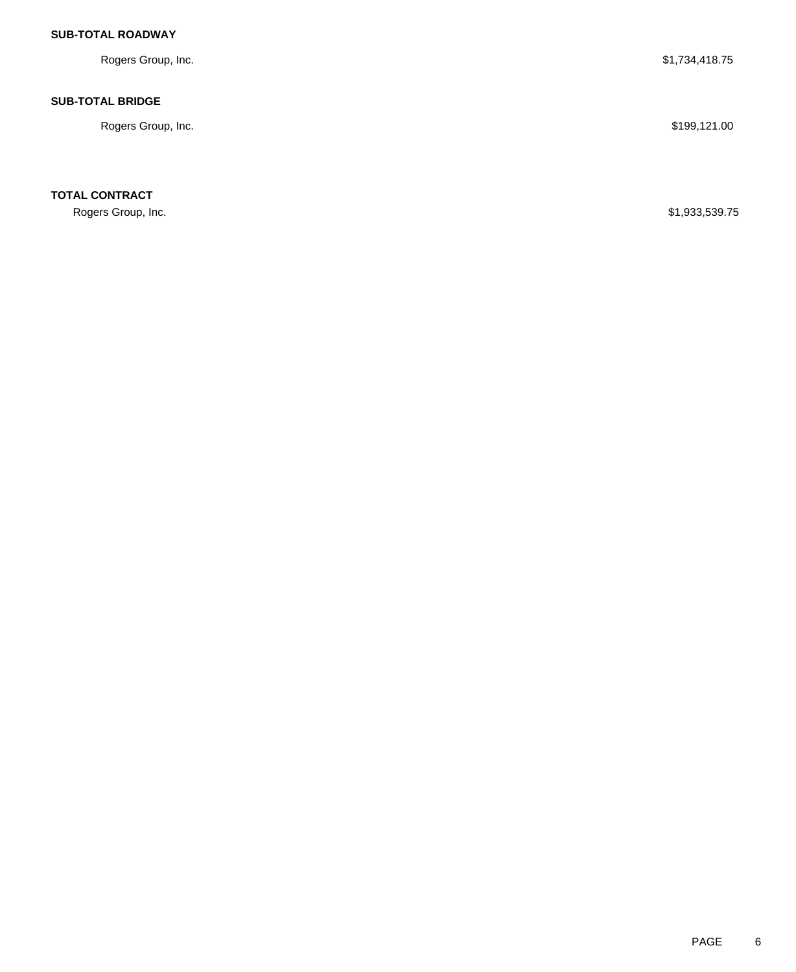# **SUB-TOTAL ROADWAY**

| Rogers Group, Inc.      | \$1,734,418.75 |
|-------------------------|----------------|
| <b>SUB-TOTAL BRIDGE</b> |                |
| Rogers Group, Inc.      | \$199,121.00   |
|                         |                |

**TOTAL CONTRACT**

Rogers Group, Inc. \$1,933,539.75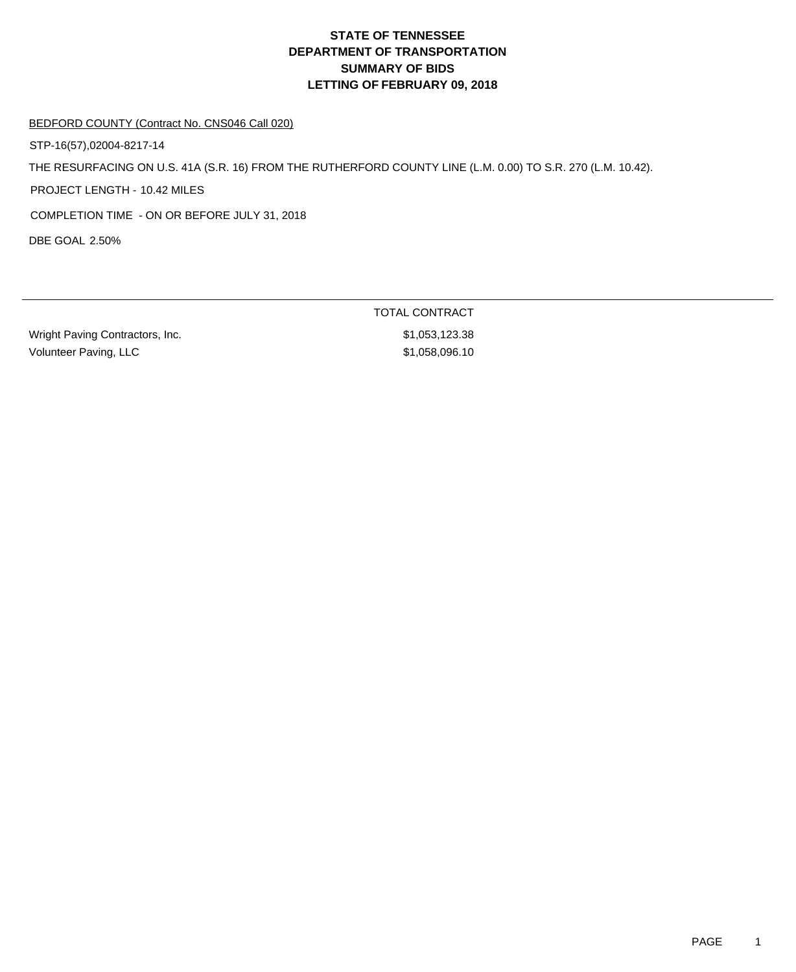#### BEDFORD COUNTY (Contract No. CNS046 Call 020)

STP-16(57),02004-8217-14

THE RESURFACING ON U.S. 41A (S.R. 16) FROM THE RUTHERFORD COUNTY LINE (L.M. 0.00) TO S.R. 270 (L.M. 10.42).

PROJECT LENGTH - 10.42 MILES

COMPLETION TIME - ON OR BEFORE JULY 31, 2018

DBE GOAL 2.50%

Wright Paving Contractors, Inc. 6. 2012 19:30:38 \$1,053,123.38 Volunteer Paving, LLC \$1,058,096.10

TOTAL CONTRACT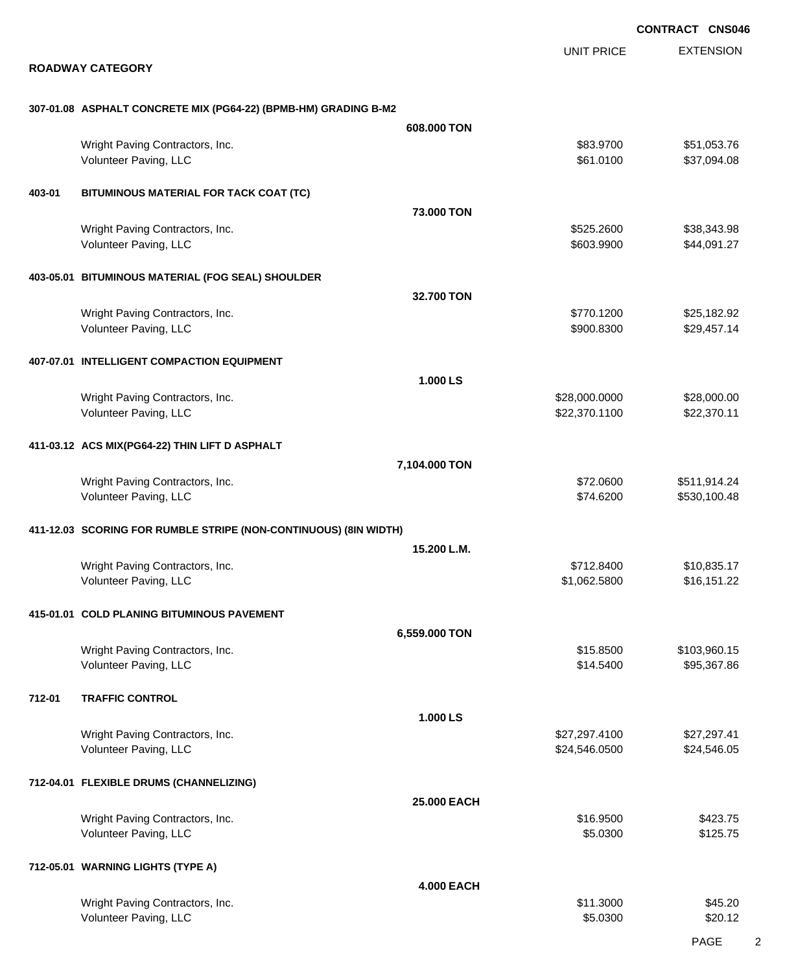EXTENSION UNIT PRICE

#### **ROADWAY CATEGORY**

| 307-01.08   ASPHALT CONCRETE MIX (PG64-22) (BPMB-HM) GRADING B-M2 |  |  |
|-------------------------------------------------------------------|--|--|

|        |                                                                  | 608,000 TON        |                          |                            |
|--------|------------------------------------------------------------------|--------------------|--------------------------|----------------------------|
|        | Wright Paving Contractors, Inc.<br>Volunteer Paving, LLC         |                    | \$83.9700<br>\$61.0100   | \$51,053.76<br>\$37,094.08 |
| 403-01 | BITUMINOUS MATERIAL FOR TACK COAT (TC)                           |                    |                          |                            |
|        |                                                                  | <b>73,000 TON</b>  |                          |                            |
|        | Wright Paving Contractors, Inc.<br>Volunteer Paving, LLC         |                    | \$525.2600<br>\$603.9900 | \$38,343.98<br>\$44,091.27 |
|        | 403-05.01 BITUMINOUS MATERIAL (FOG SEAL) SHOULDER                |                    |                          |                            |
|        |                                                                  | 32.700 TON         |                          |                            |
|        | Wright Paving Contractors, Inc.<br>Volunteer Paving, LLC         |                    | \$770.1200<br>\$900.8300 | \$25,182.92<br>\$29,457.14 |
|        | 407-07.01 INTELLIGENT COMPACTION EQUIPMENT                       |                    |                          |                            |
|        |                                                                  | 1.000 LS           |                          |                            |
|        | Wright Paving Contractors, Inc.                                  |                    | \$28,000.0000            | \$28,000.00                |
|        | Volunteer Paving, LLC                                            |                    | \$22,370.1100            | \$22,370.11                |
|        | 411-03.12 ACS MIX(PG64-22) THIN LIFT D ASPHALT                   |                    |                          |                            |
|        |                                                                  | 7,104.000 TON      |                          |                            |
|        | Wright Paving Contractors, Inc.                                  |                    | \$72.0600                | \$511,914.24               |
|        | Volunteer Paving, LLC                                            |                    | \$74.6200                | \$530,100.48               |
|        |                                                                  |                    |                          |                            |
|        | 411-12.03 SCORING FOR RUMBLE STRIPE (NON-CONTINUOUS) (8IN WIDTH) |                    |                          |                            |
|        | Wright Paving Contractors, Inc.                                  | 15.200 L.M.        | \$712.8400               | \$10,835.17                |
|        | Volunteer Paving, LLC                                            |                    | \$1,062.5800             | \$16,151.22                |
|        |                                                                  |                    |                          |                            |
|        | 415-01.01 COLD PLANING BITUMINOUS PAVEMENT                       |                    |                          |                            |
|        |                                                                  | 6,559.000 TON      |                          |                            |
|        | Wright Paving Contractors, Inc.                                  |                    | \$15.8500                | \$103,960.15               |
|        | Volunteer Paving, LLC                                            |                    | \$14.5400                | \$95,367.86                |
| 712-01 | <b>TRAFFIC CONTROL</b>                                           |                    |                          |                            |
|        |                                                                  | 1.000 LS           |                          |                            |
|        | Wright Paving Contractors, Inc.                                  |                    | \$27,297.4100            | \$27,297.41                |
|        | Volunteer Paving, LLC                                            |                    | \$24,546.0500            | \$24,546.05                |
|        |                                                                  |                    |                          |                            |
|        | 712-04.01 FLEXIBLE DRUMS (CHANNELIZING)                          |                    |                          |                            |
|        | Wright Paving Contractors, Inc.                                  | <b>25.000 EACH</b> | \$16.9500                | \$423.75                   |
|        | Volunteer Paving, LLC                                            |                    | \$5.0300                 | \$125.75                   |
|        |                                                                  |                    |                          |                            |
|        | 712-05.01 WARNING LIGHTS (TYPE A)                                |                    |                          |                            |
|        |                                                                  | <b>4.000 EACH</b>  |                          |                            |
|        | Wright Paving Contractors, Inc.                                  |                    | \$11.3000                | \$45.20                    |
|        | Volunteer Paving, LLC                                            |                    | \$5.0300                 | \$20.12                    |
|        |                                                                  |                    |                          |                            |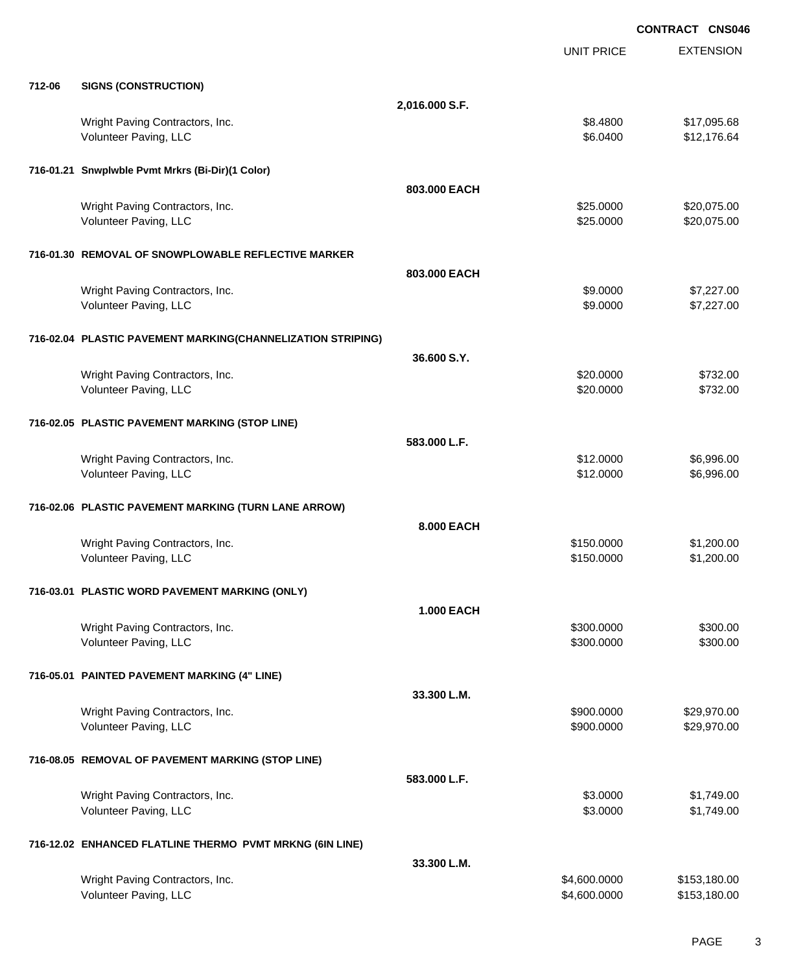EXTENSION **CONTRACT CNS046** UNIT PRICE **712-06 SIGNS (CONSTRUCTION) 2,016.000 S.F.** Wright Paving Contractors, Inc. 68.4800 \$17,095.68 Volunteer Paving, LLC 64.000 \$12,176.64 **716-01.21 Snwplwble Pvmt Mrkrs (Bi-Dir)(1 Color) 803.000 EACH** Wright Paving Contractors, Inc. 6. 2002. The state of the state of the state of the state of the state of the state of the state of the state of the state of the state of the state of the state of the state of the state of Volunteer Paving, LLC 6. 2000 \$20,075.00 **716-01.30 REMOVAL OF SNOWPLOWABLE REFLECTIVE MARKER 803.000 EACH** Wright Paving Contractors, Inc. 67,227.00 \$1,227.00 \$9.0000 \$7,227.00 Volunteer Paving, LLC 67,227.00 **716-02.04 PLASTIC PAVEMENT MARKING(CHANNELIZATION STRIPING) 36.600 S.Y.** Wright Paving Contractors, Inc. 6732.00 Volunteer Paving, LLC \$20.0000 \$732.00 **716-02.05 PLASTIC PAVEMENT MARKING (STOP LINE) 583.000 L.F.** Wright Paving Contractors, Inc. 6. 2000 \$6,996.00 \$6,996.00 Volunteer Paving, LLC 6,996.00 **716-02.06 PLASTIC PAVEMENT MARKING (TURN LANE ARROW) 8.000 EACH** Wright Paving Contractors, Inc. 66 and the contractors, Inc. 6 and the contractors, Inc. 6 and the contractors, Inc. 6 and the contractors, Inc. 6 and the contractors, Inc. 6 and the contractors, Inc. 6 and the contractors Volunteer Paving, LLC 61,200.00 \$1,200.00 \$1,200.00 \$1,200.00 \$1,200.00 \$1,200.00 \$1,200.00 \$1,200.00 \$1,200.00 **716-03.01 PLASTIC WORD PAVEMENT MARKING (ONLY) 1.000 EACH** Wright Paving Contractors, Inc. 6300.000 \$300.000 \$300.000 \$300.000 \$300.000 \$300.000 \$300.00 Volunteer Paving, LLC \$300.000 \$300.000 \$300.000 \$300.000 \$300.000 \$300.000 \$300.000 \$300.00 **716-05.01 PAINTED PAVEMENT MARKING (4" LINE) 33.300 L.M.** Wright Paving Contractors, Inc. 6. 2012. The contractors of the contractors, Inc. 629,970.000 \$29,970.00 Volunteer Paving, LLC 600000 \$29,970.00 **716-08.05 REMOVAL OF PAVEMENT MARKING (STOP LINE) 583.000 L.F.** Wright Paving Contractors, Inc. 6. 2000 \$1,749.00 Volunteer Paving, LLC 61,749.00 **716-12.02 ENHANCED FLATLINE THERMO PVMT MRKNG (6IN LINE) 33.300 L.M.**

Wright Paving Contractors, Inc. 6. 2012 12:30 12:30 12:30 12:30 12:30 12:30 12:30 12:30 12:30 12:30 12:30 12:30 12:30 12:30 12:30 12:30 12:30 12:30 12:30 12:30 12:30 12:30 12:30 12:30 12:30 12:30 12:30 12:30 12:30 12:30 12 Volunteer Paving, LLC 6.600.0000 \$153,180.000 \$153,180.000 \$153,180.000 \$153,180.00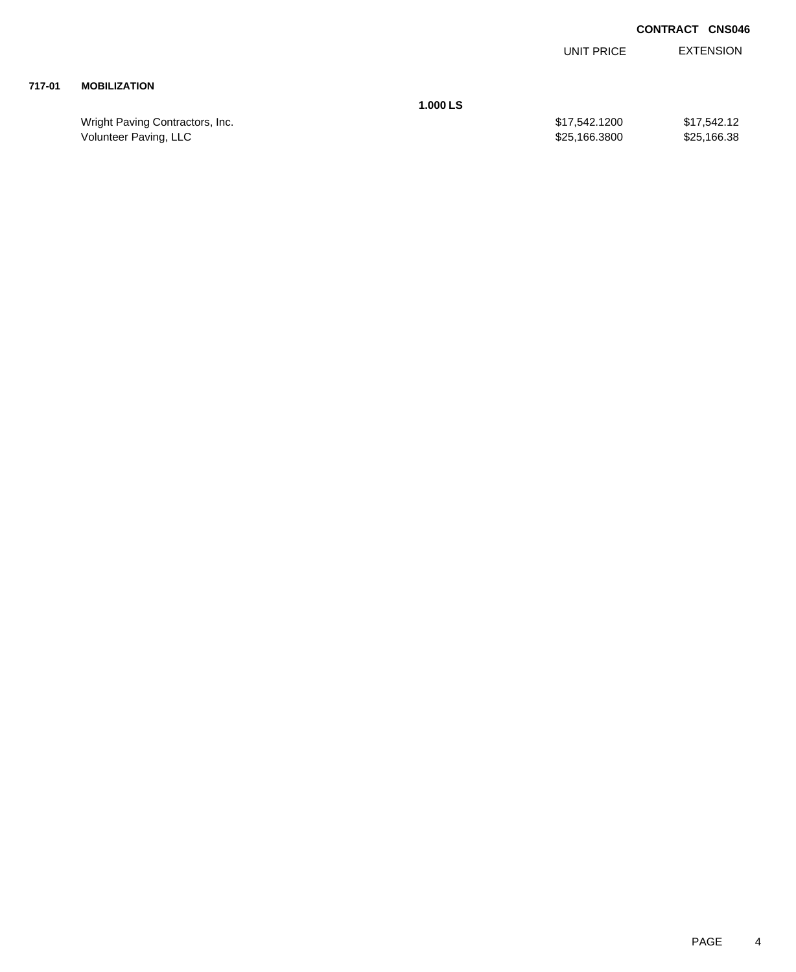EXTENSION UNIT PRICE

## **717-01 MOBILIZATION**

**1.000 LS**

Wright Paving Contractors, Inc. 6. 2012 12:30 \$17,542.1200 \$17,542.1200 \$17,542.12 Volunteer Paving, LLC 6.3800 \$25,166.3800 \$25,166.3800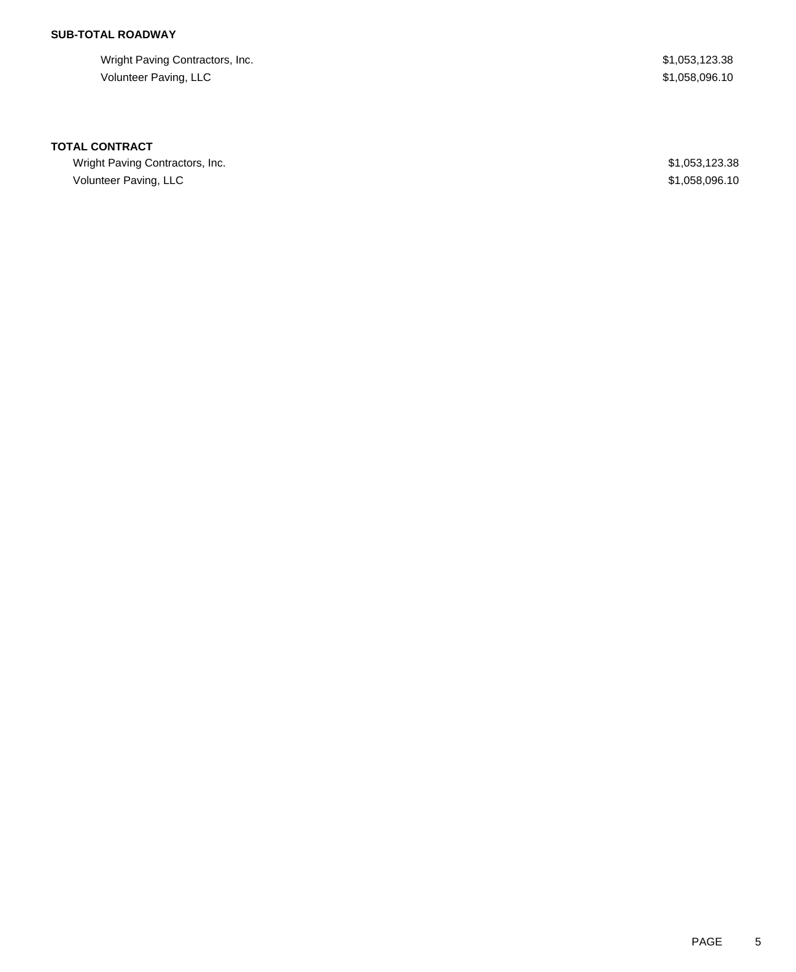# **SUB-TOTAL ROADWAY**

Wright Paving Contractors, Inc. 6. 2012 19:30 19:30 19:30 19:30 19:30 19:30 19:30 19:30 19:30 19:30 19:30 19:30 Volunteer Paving, LLC \$1,058,096.10

#### **TOTAL CONTRACT**

Wright Paving Contractors, Inc. 6. 2012 19:30 19:30 19:30 19:30 19:30 19:30 19:30 19:30 19:30 19:30 19:30 19:30 19:30 19:30 19:30 19:30 19:30 19:30 19:30 19:30 19:30 19:30 19:30 19:30 19:30 19:30 19:30 19:30 19:30 19:30 19 Volunteer Paving, LLC \$1,058,096.10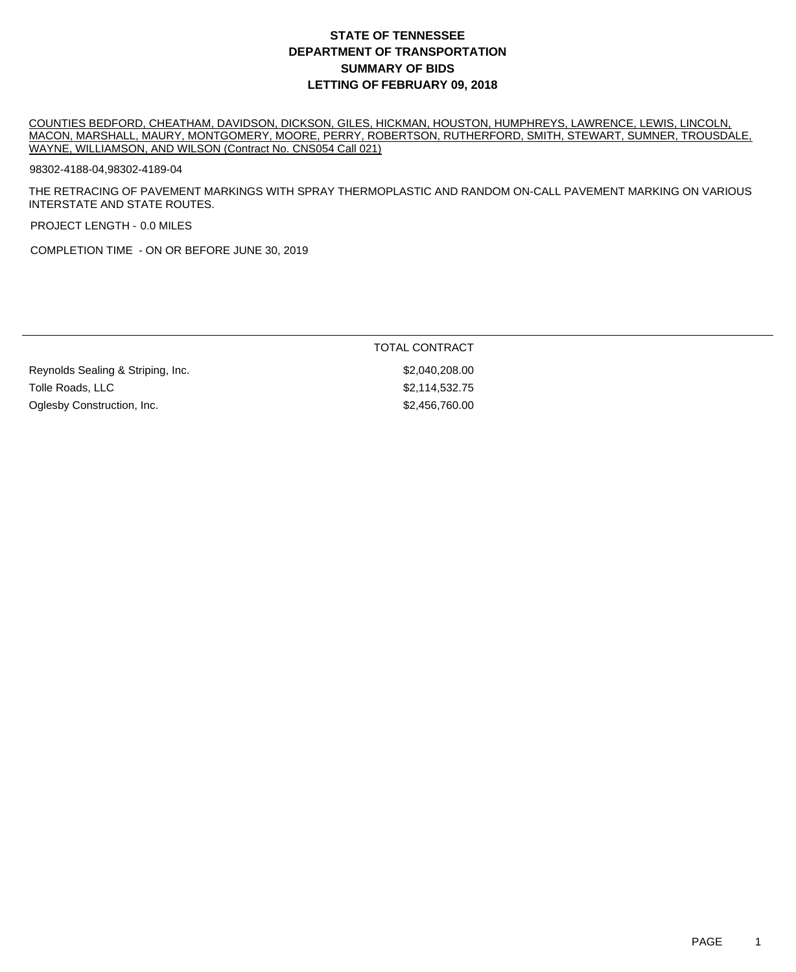COUNTIES BEDFORD, CHEATHAM, DAVIDSON, DICKSON, GILES, HICKMAN, HOUSTON, HUMPHREYS, LAWRENCE, LEWIS, LINCOLN, MACON, MARSHALL, MAURY, MONTGOMERY, MOORE, PERRY, ROBERTSON, RUTHERFORD, SMITH, STEWART, SUMNER, TROUSDALE, WAYNE, WILLIAMSON, AND WILSON (Contract No. CNS054 Call 021)

98302-4188-04,98302-4189-04

THE RETRACING OF PAVEMENT MARKINGS WITH SPRAY THERMOPLASTIC AND RANDOM ON-CALL PAVEMENT MARKING ON VARIOUS INTERSTATE AND STATE ROUTES.

PROJECT LENGTH - 0.0 MILES

COMPLETION TIME - ON OR BEFORE JUNE 30, 2019

|                                   | TOTAL CONTRACT |
|-----------------------------------|----------------|
| Reynolds Sealing & Striping, Inc. | \$2,040,208.00 |
| Tolle Roads, LLC                  | \$2,114,532.75 |
| Oglesby Construction, Inc.        | \$2,456,760,00 |
|                                   |                |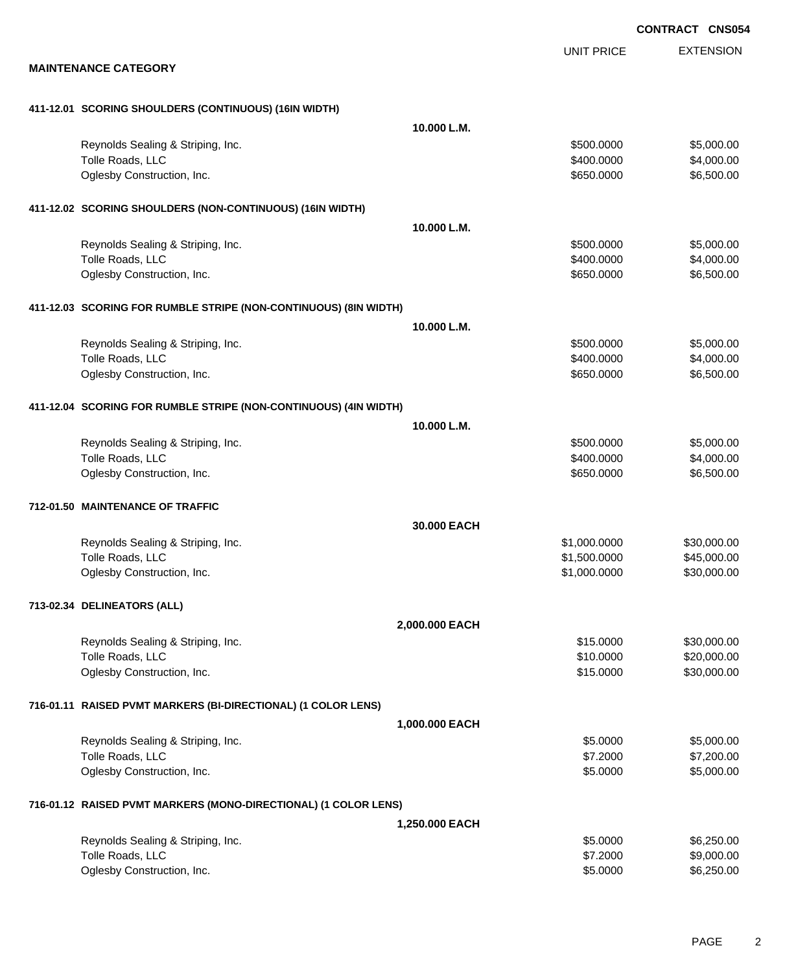EXTENSION **CONTRACT CNS054** UNIT PRICE **MAINTENANCE CATEGORY 411-12.01 SCORING SHOULDERS (CONTINUOUS) (16IN WIDTH) 10.000 L.M.** Reynolds Sealing & Striping, Inc.  $\sim$  8500.000 \$5,000.000 \$5,000.000 \$5,000.00 Tolle Roads, LLC \$4,000.000 \$4,000.00 \$4,000.00 \$4,000.00 \$4,000.00 \$4,000.00 \$4,000.00 \$4,000.00 \$4,000.00 \$4,000 Oglesby Construction, Inc. 650.000 \$6,500.00 \$6,500.00 \$6,500.00 \$6,500.00 \$6,500.00 \$6,500.00 \$6,500.00 \$6,500 **411-12.02 SCORING SHOULDERS (NON-CONTINUOUS) (16IN WIDTH) 10.000 L.M.** Reynolds Sealing & Striping, Inc. 6. The Strip of the Strip of the Strip of the Strip of the Strip of the Strip of the Strip of the Strip of the Strip of the Strip of the Strip of the Strip of the Strip of the Strip of the Tolle Roads, LLC \$4,000.000 \$4,000.000 \$4,000.000 \$4,000.000 \$4,000.000 \$4,000.00 Oglesby Construction, Inc. 66,500.00 \$650.000 \$6,500.00 \$650.000 \$6,500.00 **411-12.03 SCORING FOR RUMBLE STRIPE (NON-CONTINUOUS) (8IN WIDTH) 10.000 L.M.** Reynolds Sealing & Striping, Inc. 6. The Strip of the Strip of the Strip of the Strip of the Strip of the Strip of the Strip of the Strip of the Strip of the Strip of the Strip of the Strip of the Strip of the Strip of the Tolle Roads, LLC \$4,000.000 \$4,000.00 \$4,000.00 \$4,000.00 \$4,000.00 \$4,000.00 \$4,000.00 \$4,000.00 \$4,000.00 \$4,000 Oglesby Construction, Inc. 650.000 \$6,500.00 \$6,500.00 \$650.000 \$6,500.00 **411-12.04 SCORING FOR RUMBLE STRIPE (NON-CONTINUOUS) (4IN WIDTH) 10.000 L.M.** Reynolds Sealing & Striping, Inc. 6. The Strip of the Strip of the Strip of the Strip of the Strip of the Strip of the Strip of the Strip of the Strip of the Strip of the Strip of the Strip of the Strip of the Strip of the Tolle Roads, LLC \$4,000.000 \$4,000.00 \$4,000.00 \$4,000.00 \$4,000.00 \$4,000.00 \$4,000.00 \$4,000.00 \$4,000.00 \$4,000 Oglesby Construction, Inc. 650.000 \$6,500.00 \$6,500.00 \$650.000 \$6,500.00 **712-01.50 MAINTENANCE OF TRAFFIC 30.000 EACH** Reynolds Sealing & Striping, Inc. \$1,000.000 \$30,000.000 \$30,000.000 \$30,000.000 \$30,000.00 Tolle Roads, LLC  $$45,000.00$ Oglesby Construction, Inc. 630,000.000 \$30,000.000 \$30,000.000 \$30,000.000 \$30,000.00 **713-02.34 DELINEATORS (ALL) 2,000.000 EACH** Reynolds Sealing & Striping, Inc. \$15.0000 \$30,000.00 Tolle Roads, LLC \$10.0000 \$20,000.00 Oglesby Construction, Inc. 66 and the construction, Inc. 651,000.00 \$30,000.00 **716-01.11 RAISED PVMT MARKERS (BI-DIRECTIONAL) (1 COLOR LENS) 1,000.000 EACH** Reynolds Sealing & Striping, Inc. \$5.000.00 \$5,000.00 \$5,000.00 \$5,000.00 \$5,000.00 Tolle Roads, LLC \$7,200.00 \$7,200.00 \$7,200.00 \$7,200.00 \$7,200.00 \$7,200.00 \$7,200.00 \$7,200.00 \$7,200.00 \$7,200.00 Oglesby Construction, Inc. 6. The Construction of the Construction of the Construction, Inc. 6.0000 \$5,000.00 **716-01.12 RAISED PVMT MARKERS (MONO-DIRECTIONAL) (1 COLOR LENS) 1,250.000 EACH** Reynolds Sealing & Striping, Inc. 6. The Strip of the Strip of the Strip of the Strip of the Strip of the Strip of the Strip of the Strip of the Strip of the Strip of the Strip of the Strip of the Strip of the Strip of the Tolle Roads, LLC \$9,000.00 \$9,000.00 \$9,000.00 \$9,000.00 \$9,000.00 \$9,000.00 \$9,000.00 \$9,000.00 \$9,000.00 \$9,000 Oglesby Construction, Inc. 6. The Construction of the Construction, Inc. 6. The Construction, Inc. 6.250.00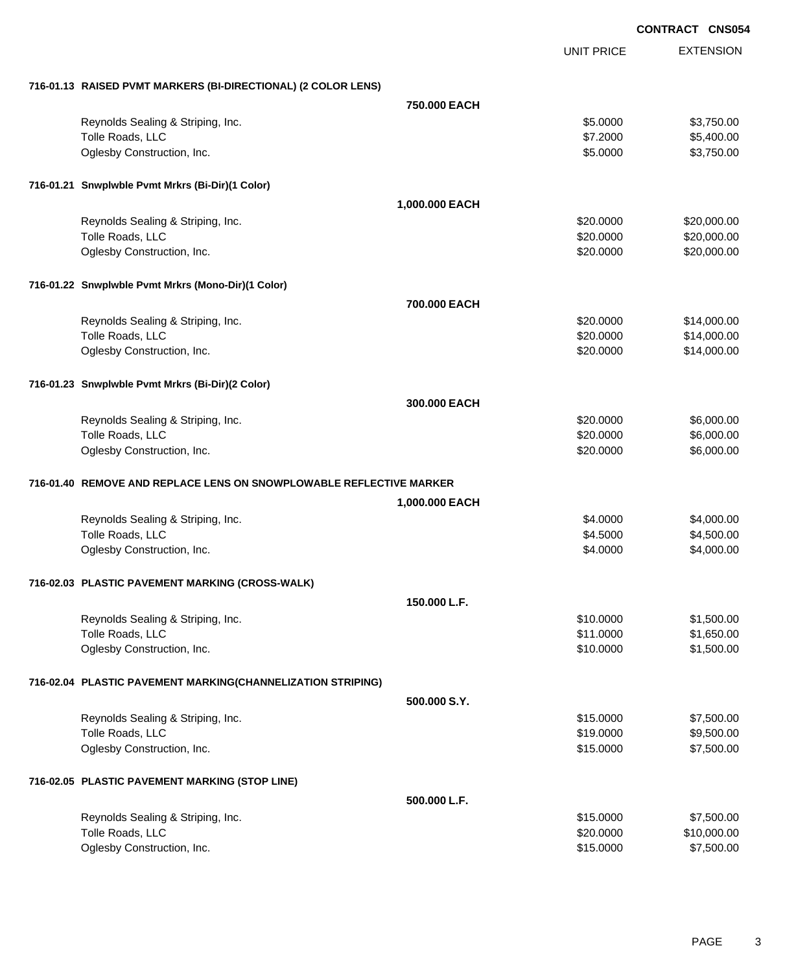|                                                                     |                |                   | <b>CONTRACT CNS054</b> |
|---------------------------------------------------------------------|----------------|-------------------|------------------------|
|                                                                     |                | <b>UNIT PRICE</b> | <b>EXTENSION</b>       |
| 716-01.13 RAISED PVMT MARKERS (BI-DIRECTIONAL) (2 COLOR LENS)       |                |                   |                        |
|                                                                     | 750,000 EACH   |                   |                        |
| Reynolds Sealing & Striping, Inc.                                   |                | \$5.0000          | \$3,750.00             |
| Tolle Roads, LLC                                                    |                | \$7.2000          | \$5,400.00             |
| Oglesby Construction, Inc.                                          |                | \$5.0000          | \$3,750.00             |
| 716-01.21 Snwplwble Pvmt Mrkrs (Bi-Dir)(1 Color)                    |                |                   |                        |
|                                                                     | 1,000.000 EACH |                   |                        |
| Reynolds Sealing & Striping, Inc.                                   |                | \$20.0000         | \$20,000.00            |
| Tolle Roads, LLC                                                    |                | \$20.0000         | \$20,000.00            |
| Oglesby Construction, Inc.                                          |                | \$20.0000         | \$20,000.00            |
| 716-01.22 Snwplwble Pvmt Mrkrs (Mono-Dir)(1 Color)                  |                |                   |                        |
|                                                                     | 700.000 EACH   |                   |                        |
| Reynolds Sealing & Striping, Inc.                                   |                | \$20.0000         | \$14,000.00            |
| Tolle Roads, LLC                                                    |                | \$20.0000         | \$14,000.00            |
| Oglesby Construction, Inc.                                          |                | \$20.0000         | \$14,000.00            |
| 716-01.23 Snwplwble Pvmt Mrkrs (Bi-Dir)(2 Color)                    |                |                   |                        |
|                                                                     | 300.000 EACH   |                   |                        |
| Reynolds Sealing & Striping, Inc.                                   |                | \$20.0000         | \$6,000.00             |
| Tolle Roads, LLC                                                    |                | \$20.0000         | \$6,000.00             |
| Oglesby Construction, Inc.                                          |                | \$20.0000         | \$6,000.00             |
| 716-01.40 REMOVE AND REPLACE LENS ON SNOWPLOWABLE REFLECTIVE MARKER |                |                   |                        |
|                                                                     | 1,000.000 EACH |                   |                        |
| Reynolds Sealing & Striping, Inc.                                   |                | \$4.0000          | \$4,000.00             |
| Tolle Roads, LLC                                                    |                | \$4.5000          | \$4,500.00             |
| Oglesby Construction, Inc.                                          |                | \$4.0000          | \$4,000.00             |
| 716-02.03 PLASTIC PAVEMENT MARKING (CROSS-WALK)                     |                |                   |                        |
|                                                                     | 150.000 L.F.   |                   |                        |
| Reynolds Sealing & Striping, Inc.                                   |                | \$10.0000         | \$1,500.00             |
| Tolle Roads, LLC                                                    |                | \$11.0000         | \$1,650.00             |
| Oglesby Construction, Inc.                                          |                | \$10.0000         | \$1,500.00             |
| 716-02.04 PLASTIC PAVEMENT MARKING(CHANNELIZATION STRIPING)         |                |                   |                        |
|                                                                     | 500,000 S.Y.   |                   |                        |
| Reynolds Sealing & Striping, Inc.                                   |                | \$15.0000         | \$7,500.00             |
| Tolle Roads, LLC                                                    |                | \$19.0000         | \$9,500.00             |
| Oglesby Construction, Inc.                                          |                | \$15.0000         | \$7,500.00             |
| 716-02.05 PLASTIC PAVEMENT MARKING (STOP LINE)                      |                |                   |                        |
|                                                                     | 500.000 L.F.   |                   |                        |
| Reynolds Sealing & Striping, Inc.                                   |                | \$15.0000         | \$7,500.00             |
| Tolle Roads, LLC                                                    |                | \$20.0000         | \$10,000.00            |
| Oglesby Construction, Inc.                                          |                | \$15.0000         | \$7,500.00             |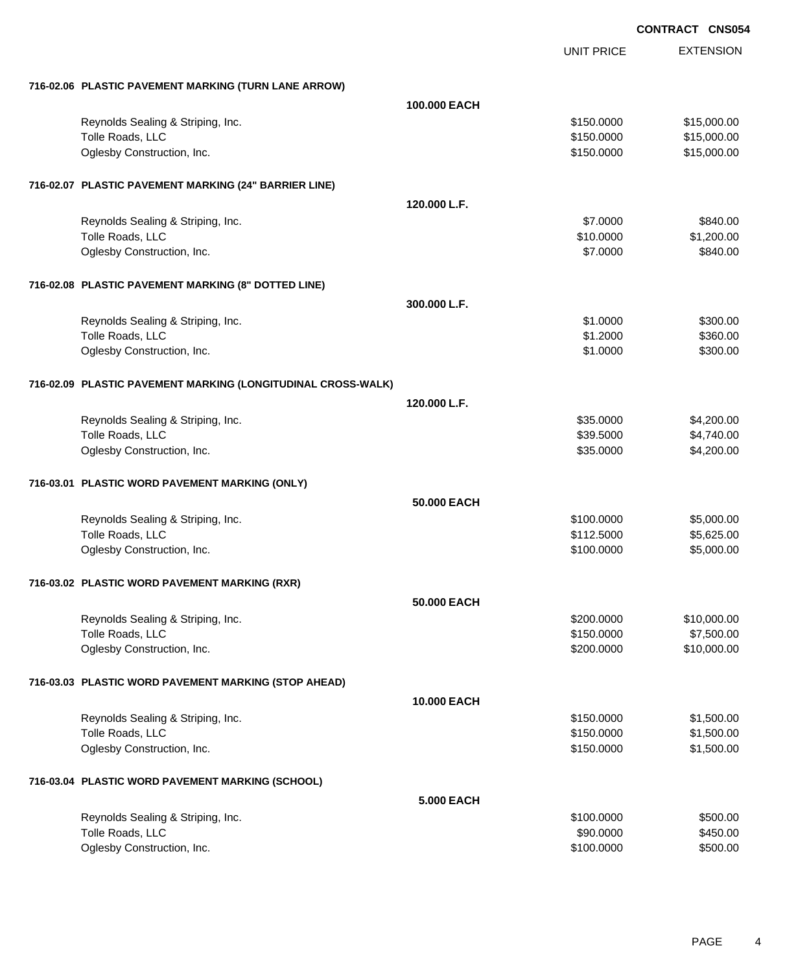|                                                              | <b>UNIT PRICE</b> | <b>EXTENSION</b> |
|--------------------------------------------------------------|-------------------|------------------|
| 716-02.06 PLASTIC PAVEMENT MARKING (TURN LANE ARROW)         |                   |                  |
| 100,000 EACH                                                 |                   |                  |
| Reynolds Sealing & Striping, Inc.                            | \$150.0000        | \$15,000.00      |
| Tolle Roads, LLC                                             | \$150.0000        | \$15,000.00      |
| Oglesby Construction, Inc.                                   | \$150.0000        | \$15,000.00      |
| 716-02.07 PLASTIC PAVEMENT MARKING (24" BARRIER LINE)        |                   |                  |
| 120,000 L.F.                                                 |                   |                  |
| Reynolds Sealing & Striping, Inc.                            | \$7.0000          | \$840.00         |
| Tolle Roads, LLC                                             | \$10.0000         | \$1,200.00       |
| Oglesby Construction, Inc.                                   | \$7.0000          | \$840.00         |
| 716-02.08 PLASTIC PAVEMENT MARKING (8" DOTTED LINE)          |                   |                  |
| 300,000 L.F.                                                 |                   |                  |
| Reynolds Sealing & Striping, Inc.                            | \$1.0000          | \$300.00         |
| Tolle Roads, LLC                                             | \$1.2000          | \$360.00         |
| Oglesby Construction, Inc.                                   | \$1.0000          | \$300.00         |
| 716-02.09 PLASTIC PAVEMENT MARKING (LONGITUDINAL CROSS-WALK) |                   |                  |
| 120.000 L.F.                                                 |                   |                  |
| Reynolds Sealing & Striping, Inc.                            | \$35.0000         | \$4,200.00       |
| Tolle Roads, LLC                                             | \$39.5000         | \$4,740.00       |
| Oglesby Construction, Inc.                                   | \$35.0000         | \$4,200.00       |
| 716-03.01 PLASTIC WORD PAVEMENT MARKING (ONLY)               |                   |                  |
| 50,000 EACH                                                  |                   |                  |
| Reynolds Sealing & Striping, Inc.                            | \$100.0000        | \$5,000.00       |
| Tolle Roads, LLC                                             | \$112.5000        | \$5,625.00       |
| Oglesby Construction, Inc.                                   | \$100.0000        | \$5,000.00       |
| 716-03.02 PLASTIC WORD PAVEMENT MARKING (RXR)                |                   |                  |
| 50.000 EACH                                                  |                   |                  |
| Reynolds Sealing & Striping, Inc.                            | \$200.0000        | \$10,000.00      |
| Tolle Roads, LLC                                             | \$150.0000        | \$7,500.00       |
| Oglesby Construction, Inc.                                   | \$200.0000        | \$10,000.00      |
| 716-03.03 PLASTIC WORD PAVEMENT MARKING (STOP AHEAD)         |                   |                  |
| 10.000 EACH                                                  |                   |                  |
| Reynolds Sealing & Striping, Inc.                            | \$150.0000        | \$1,500.00       |
| Tolle Roads, LLC                                             | \$150.0000        | \$1,500.00       |
| Oglesby Construction, Inc.                                   | \$150.0000        | \$1,500.00       |
| 716-03.04 PLASTIC WORD PAVEMENT MARKING (SCHOOL)             |                   |                  |
| <b>5.000 EACH</b>                                            |                   |                  |
| Reynolds Sealing & Striping, Inc.                            | \$100.0000        | \$500.00         |
| Tolle Roads, LLC                                             | \$90.0000         | \$450.00         |
| Oglesby Construction, Inc.                                   | \$100.0000        | \$500.00         |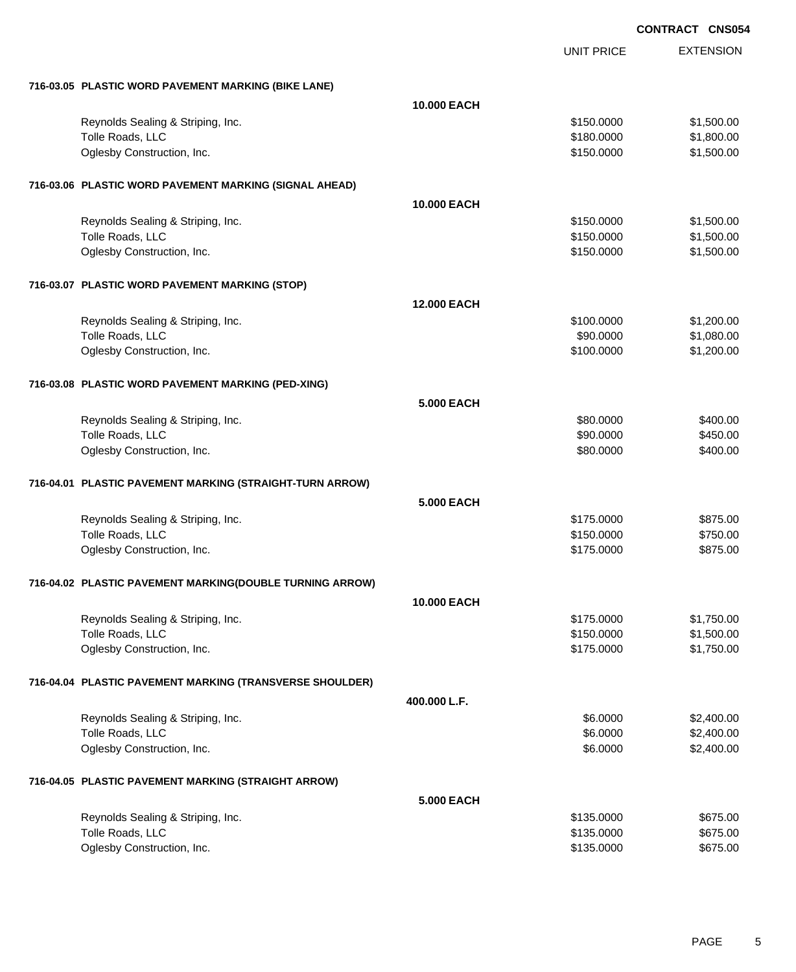|                                                          | <b>UNIT PRICE</b> | <b>EXTENSION</b> |
|----------------------------------------------------------|-------------------|------------------|
| 716-03.05 PLASTIC WORD PAVEMENT MARKING (BIKE LANE)      |                   |                  |
| <b>10.000 EACH</b>                                       |                   |                  |
| Reynolds Sealing & Striping, Inc.                        | \$150.0000        | \$1,500.00       |
| Tolle Roads, LLC                                         | \$180.0000        | \$1,800.00       |
| Oglesby Construction, Inc.                               | \$150.0000        | \$1,500.00       |
| 716-03.06 PLASTIC WORD PAVEMENT MARKING (SIGNAL AHEAD)   |                   |                  |
| 10.000 EACH                                              |                   |                  |
| Reynolds Sealing & Striping, Inc.                        | \$150.0000        | \$1,500.00       |
| Tolle Roads, LLC                                         | \$150.0000        | \$1,500.00       |
| Oglesby Construction, Inc.                               | \$150.0000        | \$1,500.00       |
| 716-03.07 PLASTIC WORD PAVEMENT MARKING (STOP)           |                   |                  |
| <b>12.000 EACH</b>                                       |                   |                  |
| Reynolds Sealing & Striping, Inc.                        | \$100.0000        | \$1,200.00       |
| Tolle Roads, LLC                                         | \$90.0000         | \$1,080.00       |
| Oglesby Construction, Inc.                               | \$100.0000        | \$1,200.00       |
| 716-03.08 PLASTIC WORD PAVEMENT MARKING (PED-XING)       |                   |                  |
| <b>5.000 EACH</b>                                        |                   |                  |
| Reynolds Sealing & Striping, Inc.                        | \$80.0000         | \$400.00         |
| Tolle Roads, LLC                                         | \$90.0000         | \$450.00         |
| Oglesby Construction, Inc.                               | \$80.0000         | \$400.00         |
| 716-04.01 PLASTIC PAVEMENT MARKING (STRAIGHT-TURN ARROW) |                   |                  |
| <b>5.000 EACH</b>                                        |                   |                  |
| Reynolds Sealing & Striping, Inc.                        | \$175.0000        | \$875.00         |
| Tolle Roads, LLC                                         | \$150.0000        | \$750.00         |
| Oglesby Construction, Inc.                               | \$175.0000        | \$875.00         |
| 716-04.02 PLASTIC PAVEMENT MARKING(DOUBLE TURNING ARROW) |                   |                  |
| <b>10.000 EACH</b>                                       |                   |                  |
| Reynolds Sealing & Striping, Inc.                        | \$175.0000        | \$1,750.00       |
| Tolle Roads, LLC                                         | \$150.0000        | \$1,500.00       |
| Oglesby Construction, Inc.                               | \$175.0000        | \$1,750.00       |
| 716-04.04 PLASTIC PAVEMENT MARKING (TRANSVERSE SHOULDER) |                   |                  |
| 400.000 L.F.                                             |                   |                  |
| Reynolds Sealing & Striping, Inc.                        | \$6.0000          | \$2,400.00       |
| Tolle Roads, LLC                                         | \$6.0000          | \$2,400.00       |
| Oglesby Construction, Inc.                               | \$6.0000          | \$2,400.00       |
| 716-04.05 PLASTIC PAVEMENT MARKING (STRAIGHT ARROW)      |                   |                  |
| <b>5.000 EACH</b>                                        |                   |                  |
| Reynolds Sealing & Striping, Inc.                        | \$135.0000        | \$675.00         |
| Tolle Roads, LLC                                         | \$135.0000        | \$675.00         |
| Oglesby Construction, Inc.                               | \$135.0000        | \$675.00         |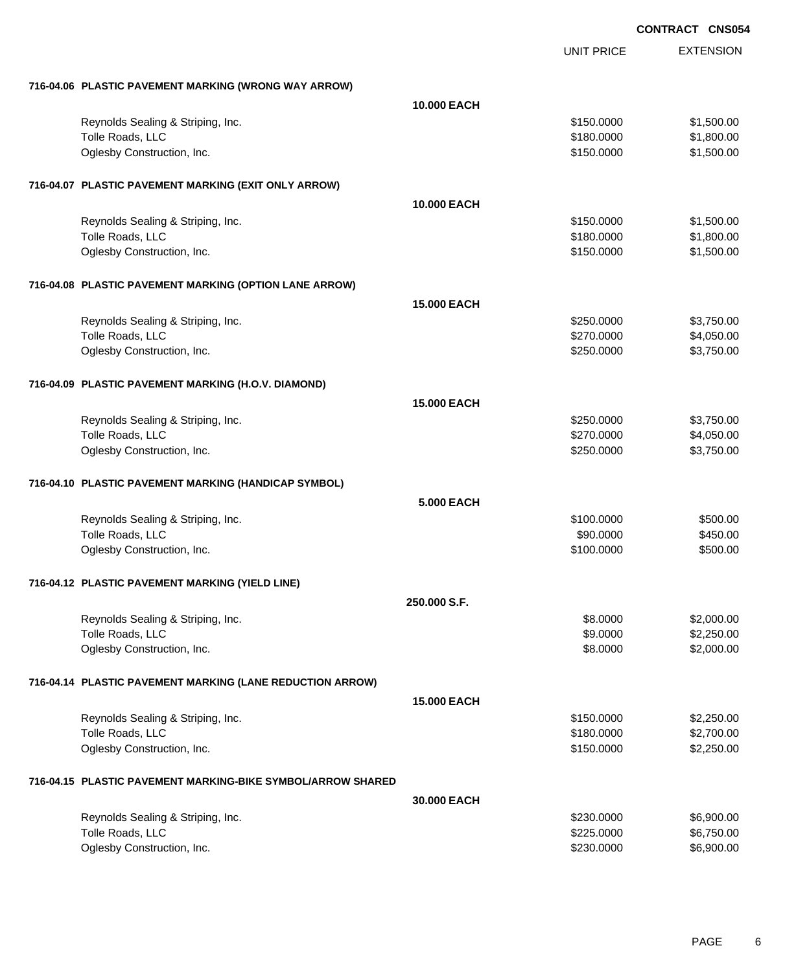|                                                             | <b>UNIT PRICE</b>  | <b>EXTENSION</b> |
|-------------------------------------------------------------|--------------------|------------------|
| 716-04.06 PLASTIC PAVEMENT MARKING (WRONG WAY ARROW)        |                    |                  |
|                                                             | <b>10.000 EACH</b> |                  |
| Reynolds Sealing & Striping, Inc.                           | \$150.0000         | \$1,500.00       |
| Tolle Roads, LLC                                            | \$180.0000         | \$1,800.00       |
| Oglesby Construction, Inc.                                  | \$150.0000         | \$1,500.00       |
|                                                             |                    |                  |
| 716-04.07 PLASTIC PAVEMENT MARKING (EXIT ONLY ARROW)        |                    |                  |
|                                                             | 10.000 EACH        |                  |
| Reynolds Sealing & Striping, Inc.                           | \$150.0000         | \$1,500.00       |
| Tolle Roads, LLC                                            | \$180.0000         | \$1,800.00       |
| Oglesby Construction, Inc.                                  | \$150.0000         | \$1,500.00       |
| 716-04.08 PLASTIC PAVEMENT MARKING (OPTION LANE ARROW)      |                    |                  |
|                                                             | <b>15,000 EACH</b> |                  |
| Reynolds Sealing & Striping, Inc.                           | \$250.0000         | \$3,750.00       |
| Tolle Roads, LLC                                            | \$270.0000         | \$4,050.00       |
| Oglesby Construction, Inc.                                  | \$250.0000         | \$3,750.00       |
| 716-04.09 PLASTIC PAVEMENT MARKING (H.O.V. DIAMOND)         |                    |                  |
|                                                             | <b>15.000 EACH</b> |                  |
|                                                             | \$250.0000         | \$3,750.00       |
| Reynolds Sealing & Striping, Inc.<br>Tolle Roads, LLC       | \$270.0000         | \$4,050.00       |
| Oglesby Construction, Inc.                                  | \$250.0000         | \$3,750.00       |
|                                                             |                    |                  |
| 716-04.10 PLASTIC PAVEMENT MARKING (HANDICAP SYMBOL)        |                    |                  |
|                                                             | <b>5.000 EACH</b>  |                  |
| Reynolds Sealing & Striping, Inc.                           | \$100.0000         | \$500.00         |
| Tolle Roads, LLC                                            | \$90.0000          | \$450.00         |
| Oglesby Construction, Inc.                                  | \$100.0000         | \$500.00         |
|                                                             |                    |                  |
| 716-04.12 PLASTIC PAVEMENT MARKING (YIELD LINE)             |                    |                  |
|                                                             | 250.000 S.F.       |                  |
| Reynolds Sealing & Striping, Inc.                           | \$8.0000           | \$2,000.00       |
| Tolle Roads, LLC                                            | \$9.0000           | \$2,250.00       |
| Oglesby Construction, Inc.                                  | \$8.0000           | \$2,000.00       |
| 716-04.14 PLASTIC PAVEMENT MARKING (LANE REDUCTION ARROW)   |                    |                  |
|                                                             | <b>15.000 EACH</b> |                  |
| Reynolds Sealing & Striping, Inc.                           | \$150.0000         | \$2,250.00       |
| Tolle Roads, LLC                                            | \$180.0000         | \$2,700.00       |
| Oglesby Construction, Inc.                                  | \$150.0000         | \$2,250.00       |
| 716-04.15 PLASTIC PAVEMENT MARKING-BIKE SYMBOL/ARROW SHARED |                    |                  |
|                                                             | 30.000 EACH        |                  |
| Reynolds Sealing & Striping, Inc.                           | \$230.0000         | \$6,900.00       |
| Tolle Roads, LLC                                            | \$225.0000         | \$6,750.00       |
| Oglesby Construction, Inc.                                  | \$230.0000         | \$6,900.00       |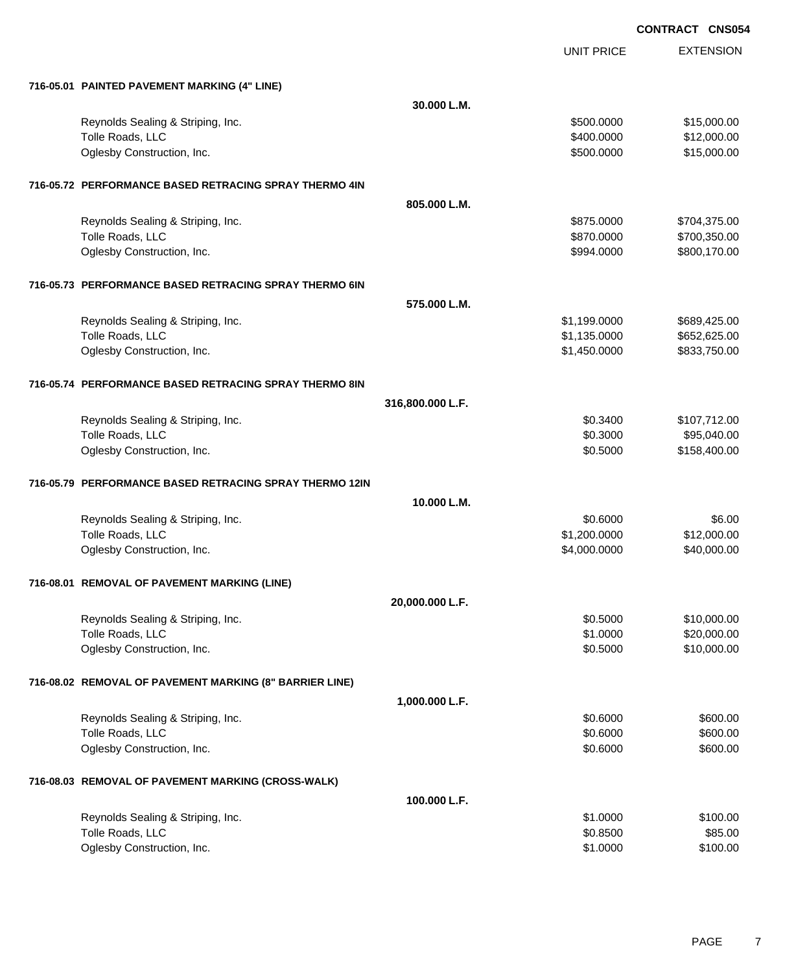UNIT PRICE EXTENSION

| 716-05.01 PAINTED PAVEMENT MARKING (4" LINE)            |                  |              |              |
|---------------------------------------------------------|------------------|--------------|--------------|
|                                                         | 30.000 L.M.      |              |              |
| Reynolds Sealing & Striping, Inc.                       |                  | \$500.0000   | \$15,000.00  |
| Tolle Roads, LLC                                        |                  | \$400.0000   | \$12,000.00  |
| Oglesby Construction, Inc.                              |                  | \$500.0000   | \$15,000.00  |
| 716-05.72 PERFORMANCE BASED RETRACING SPRAY THERMO 4IN  |                  |              |              |
|                                                         | 805.000 L.M.     |              |              |
| Reynolds Sealing & Striping, Inc.                       |                  | \$875.0000   | \$704,375.00 |
| Tolle Roads, LLC                                        |                  | \$870.0000   | \$700,350.00 |
| Oglesby Construction, Inc.                              |                  | \$994,0000   | \$800,170.00 |
| 716-05.73 PERFORMANCE BASED RETRACING SPRAY THERMO 6IN  |                  |              |              |
|                                                         | 575,000 L.M.     |              |              |
| Reynolds Sealing & Striping, Inc.                       |                  | \$1,199.0000 | \$689,425.00 |
| Tolle Roads, LLC                                        |                  | \$1,135.0000 | \$652,625.00 |
| Oglesby Construction, Inc.                              |                  | \$1,450.0000 | \$833,750.00 |
| 716-05.74 PERFORMANCE BASED RETRACING SPRAY THERMO 8IN  |                  |              |              |
|                                                         | 316,800.000 L.F. |              |              |
| Reynolds Sealing & Striping, Inc.                       |                  | \$0.3400     | \$107,712.00 |
| Tolle Roads, LLC                                        |                  | \$0.3000     | \$95,040.00  |
| Oglesby Construction, Inc.                              |                  | \$0.5000     | \$158,400.00 |
| 716-05.79 PERFORMANCE BASED RETRACING SPRAY THERMO 12IN |                  |              |              |
|                                                         | 10.000 L.M.      |              |              |
| Reynolds Sealing & Striping, Inc.                       |                  | \$0.6000     | \$6.00       |
| Tolle Roads, LLC                                        |                  | \$1,200.0000 | \$12,000.00  |
| Oglesby Construction, Inc.                              |                  | \$4,000.0000 | \$40,000.00  |
| 716-08.01 REMOVAL OF PAVEMENT MARKING (LINE)            |                  |              |              |
|                                                         | 20,000.000 L.F.  |              |              |
| Reynolds Sealing & Striping, Inc.                       |                  | \$0.5000     | \$10,000.00  |
| Tolle Roads, LLC                                        |                  | \$1.0000     | \$20,000.00  |
| Oglesby Construction, Inc.                              |                  | \$0.5000     | \$10,000.00  |
| 716-08.02 REMOVAL OF PAVEMENT MARKING (8" BARRIER LINE) |                  |              |              |
|                                                         | 1,000.000 L.F.   |              |              |
| Reynolds Sealing & Striping, Inc.                       |                  | \$0.6000     | \$600.00     |
| Tolle Roads, LLC                                        |                  | \$0.6000     | \$600.00     |
| Oglesby Construction, Inc.                              |                  | \$0.6000     | \$600.00     |
| 716-08.03 REMOVAL OF PAVEMENT MARKING (CROSS-WALK)      |                  |              |              |
|                                                         | 100.000 L.F.     |              |              |
| Reynolds Sealing & Striping, Inc.                       |                  | \$1.0000     | \$100.00     |
| Tolle Roads, LLC                                        |                  | \$0.8500     | \$85.00      |
| Oglesby Construction, Inc.                              |                  | \$1.0000     | \$100.00     |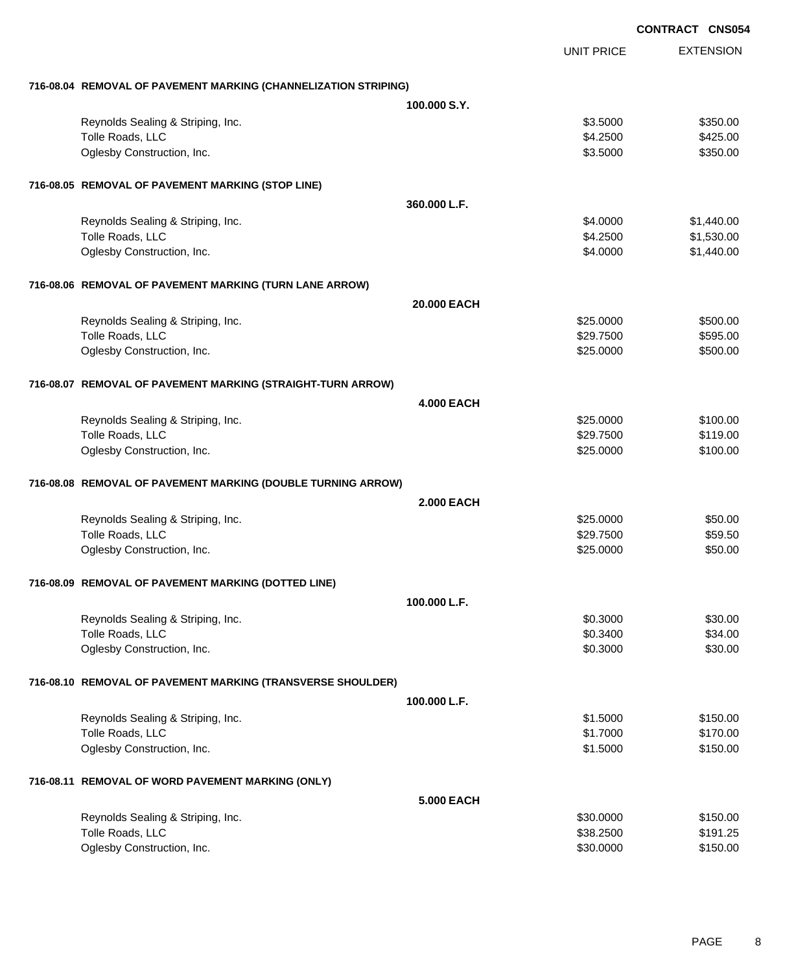|                                                                 |                   |                   | <b>CONTRACT CNS054</b> |
|-----------------------------------------------------------------|-------------------|-------------------|------------------------|
|                                                                 |                   | <b>UNIT PRICE</b> | <b>EXTENSION</b>       |
| 716-08.04 REMOVAL OF PAVEMENT MARKING (CHANNELIZATION STRIPING) |                   |                   |                        |
|                                                                 | 100.000 S.Y.      |                   |                        |
| Reynolds Sealing & Striping, Inc.                               |                   | \$3.5000          | \$350.00               |
| Tolle Roads, LLC                                                |                   | \$4.2500          | \$425.00               |
| Oglesby Construction, Inc.                                      |                   | \$3.5000          | \$350.00               |
| 716-08.05 REMOVAL OF PAVEMENT MARKING (STOP LINE)               |                   |                   |                        |
|                                                                 | 360.000 L.F.      |                   |                        |
| Reynolds Sealing & Striping, Inc.                               |                   | \$4.0000          | \$1,440.00             |
| Tolle Roads, LLC                                                |                   | \$4.2500          | \$1,530.00             |
| Oglesby Construction, Inc.                                      |                   | \$4.0000          | \$1,440.00             |
| 716-08.06 REMOVAL OF PAVEMENT MARKING (TURN LANE ARROW)         |                   |                   |                        |
|                                                                 | 20.000 EACH       |                   |                        |
| Reynolds Sealing & Striping, Inc.                               |                   | \$25.0000         | \$500.00               |
| Tolle Roads, LLC                                                |                   | \$29.7500         | \$595.00               |
| Oglesby Construction, Inc.                                      |                   | \$25.0000         | \$500.00               |
| 716-08.07 REMOVAL OF PAVEMENT MARKING (STRAIGHT-TURN ARROW)     |                   |                   |                        |
|                                                                 | <b>4.000 EACH</b> |                   |                        |
| Reynolds Sealing & Striping, Inc.                               |                   | \$25.0000         | \$100.00               |
| Tolle Roads, LLC                                                |                   | \$29.7500         | \$119.00               |
| Oglesby Construction, Inc.                                      |                   | \$25.0000         | \$100.00               |
| 716-08.08 REMOVAL OF PAVEMENT MARKING (DOUBLE TURNING ARROW)    |                   |                   |                        |
|                                                                 | <b>2.000 EACH</b> |                   |                        |
| Reynolds Sealing & Striping, Inc.                               |                   | \$25.0000         | \$50.00                |
| Tolle Roads, LLC                                                |                   | \$29.7500         | \$59.50                |
| Oglesby Construction, Inc.                                      |                   | \$25.0000         | \$50.00                |
| 716-08.09 REMOVAL OF PAVEMENT MARKING (DOTTED LINE)             |                   |                   |                        |
|                                                                 | 100.000 L.F.      |                   |                        |
| Reynolds Sealing & Striping, Inc.                               |                   | \$0.3000          | \$30.00                |
| Tolle Roads, LLC                                                |                   | \$0.3400          | \$34.00                |
| Oglesby Construction, Inc.                                      |                   | \$0.3000          | \$30.00                |
| 716-08.10 REMOVAL OF PAVEMENT MARKING (TRANSVERSE SHOULDER)     |                   |                   |                        |
|                                                                 | 100.000 L.F.      |                   |                        |
| Reynolds Sealing & Striping, Inc.                               |                   | \$1.5000          | \$150.00               |
| Tolle Roads, LLC                                                |                   | \$1.7000          | \$170.00               |
| Oglesby Construction, Inc.                                      |                   | \$1.5000          | \$150.00               |
| 716-08.11 REMOVAL OF WORD PAVEMENT MARKING (ONLY)               |                   |                   |                        |
|                                                                 | <b>5.000 EACH</b> |                   |                        |
| Reynolds Sealing & Striping, Inc.                               |                   | \$30.0000         | \$150.00               |
| Tolle Roads, LLC                                                |                   | \$38.2500         | \$191.25               |
| Oglesby Construction, Inc.                                      |                   | \$30.0000         | \$150.00               |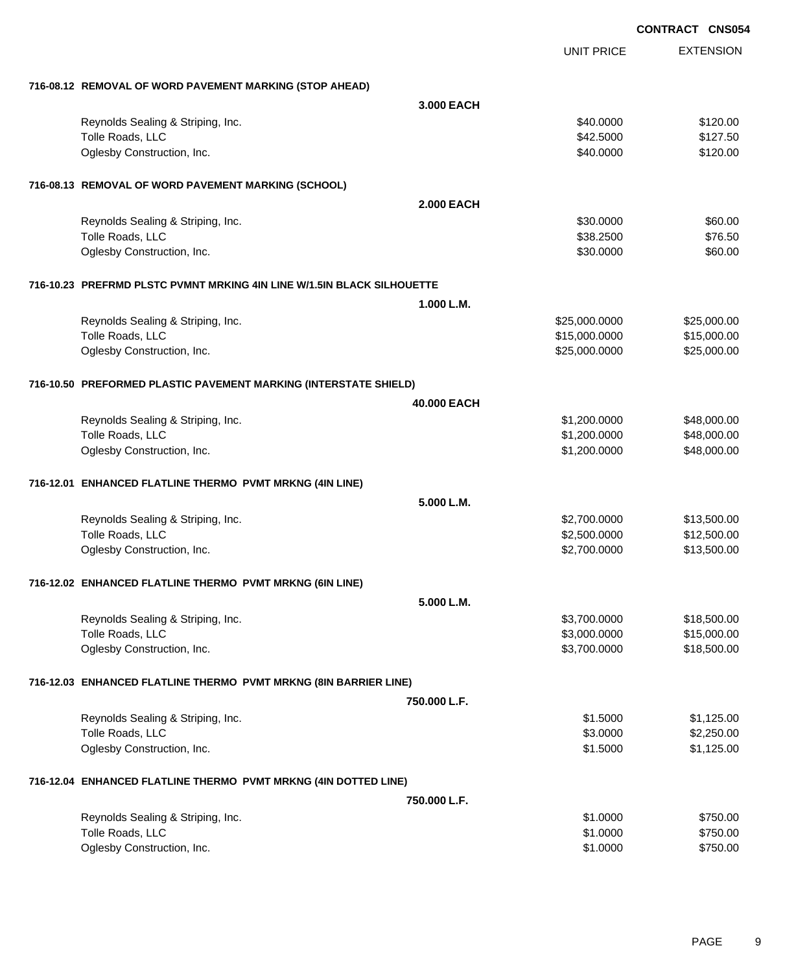|                                                                        |                   |                   | <b>CONTRACT CNS054</b> |  |
|------------------------------------------------------------------------|-------------------|-------------------|------------------------|--|
|                                                                        |                   | <b>UNIT PRICE</b> | <b>EXTENSION</b>       |  |
| 716-08.12 REMOVAL OF WORD PAVEMENT MARKING (STOP AHEAD)                |                   |                   |                        |  |
|                                                                        | 3.000 EACH        |                   |                        |  |
| Reynolds Sealing & Striping, Inc.                                      |                   | \$40.0000         | \$120.00               |  |
| Tolle Roads, LLC                                                       |                   | \$42.5000         | \$127.50               |  |
| Oglesby Construction, Inc.                                             |                   | \$40.0000         | \$120.00               |  |
| 716-08.13 REMOVAL OF WORD PAVEMENT MARKING (SCHOOL)                    |                   |                   |                        |  |
|                                                                        | <b>2.000 EACH</b> |                   |                        |  |
| Reynolds Sealing & Striping, Inc.                                      |                   | \$30.0000         | \$60.00                |  |
| Tolle Roads, LLC                                                       |                   | \$38.2500         | \$76.50                |  |
| Oglesby Construction, Inc.                                             |                   | \$30.0000         | \$60.00                |  |
| 716-10.23 PREFRMD PLSTC PVMNT MRKING 4IN LINE W/1.5IN BLACK SILHOUETTE |                   |                   |                        |  |
|                                                                        | 1.000 L.M.        |                   |                        |  |
| Reynolds Sealing & Striping, Inc.                                      |                   | \$25,000.0000     | \$25,000.00            |  |
| Tolle Roads, LLC                                                       |                   | \$15,000.0000     | \$15,000.00            |  |
| Oglesby Construction, Inc.                                             |                   | \$25,000.0000     | \$25,000.00            |  |
| 716-10.50 PREFORMED PLASTIC PAVEMENT MARKING (INTERSTATE SHIELD)       |                   |                   |                        |  |
|                                                                        | 40.000 EACH       |                   |                        |  |
| Reynolds Sealing & Striping, Inc.                                      |                   | \$1,200.0000      | \$48,000.00            |  |
| Tolle Roads, LLC                                                       |                   | \$1,200.0000      | \$48,000.00            |  |
| Oglesby Construction, Inc.                                             |                   | \$1,200.0000      | \$48,000.00            |  |
| 716-12.01 ENHANCED FLATLINE THERMO PVMT MRKNG (4IN LINE)               |                   |                   |                        |  |
|                                                                        | 5.000 L.M.        |                   |                        |  |
| Reynolds Sealing & Striping, Inc.                                      |                   | \$2,700.0000      | \$13,500.00            |  |
| Tolle Roads, LLC                                                       |                   | \$2,500.0000      | \$12,500.00            |  |
| Oglesby Construction, Inc.                                             |                   | \$2,700.0000      | \$13,500.00            |  |
| 716-12.02 ENHANCED FLATLINE THERMO PVMT MRKNG (6IN LINE)               |                   |                   |                        |  |
|                                                                        | 5.000 L.M.        |                   |                        |  |
| Reynolds Sealing & Striping, Inc.                                      |                   | \$3,700.0000      | \$18,500.00            |  |
| Tolle Roads, LLC                                                       |                   | \$3,000.0000      | \$15,000.00            |  |
| Oglesby Construction, Inc.                                             |                   | \$3,700.0000      | \$18,500.00            |  |
| 716-12.03 ENHANCED FLATLINE THERMO PVMT MRKNG (8IN BARRIER LINE)       |                   |                   |                        |  |
|                                                                        | 750.000 L.F.      |                   |                        |  |
| Reynolds Sealing & Striping, Inc.                                      |                   | \$1.5000          | \$1,125.00             |  |
| Tolle Roads, LLC                                                       |                   | \$3.0000          | \$2,250.00             |  |
| Oglesby Construction, Inc.                                             |                   | \$1.5000          | \$1,125.00             |  |
| 716-12.04 ENHANCED FLATLINE THERMO PVMT MRKNG (4IN DOTTED LINE)        |                   |                   |                        |  |
|                                                                        | 750.000 L.F.      |                   |                        |  |
| Reynolds Sealing & Striping, Inc.                                      |                   | \$1.0000          | \$750.00               |  |
| Tolle Roads, LLC                                                       |                   | \$1.0000          | \$750.00               |  |
| Oglesby Construction, Inc.                                             |                   | \$1.0000          | \$750.00               |  |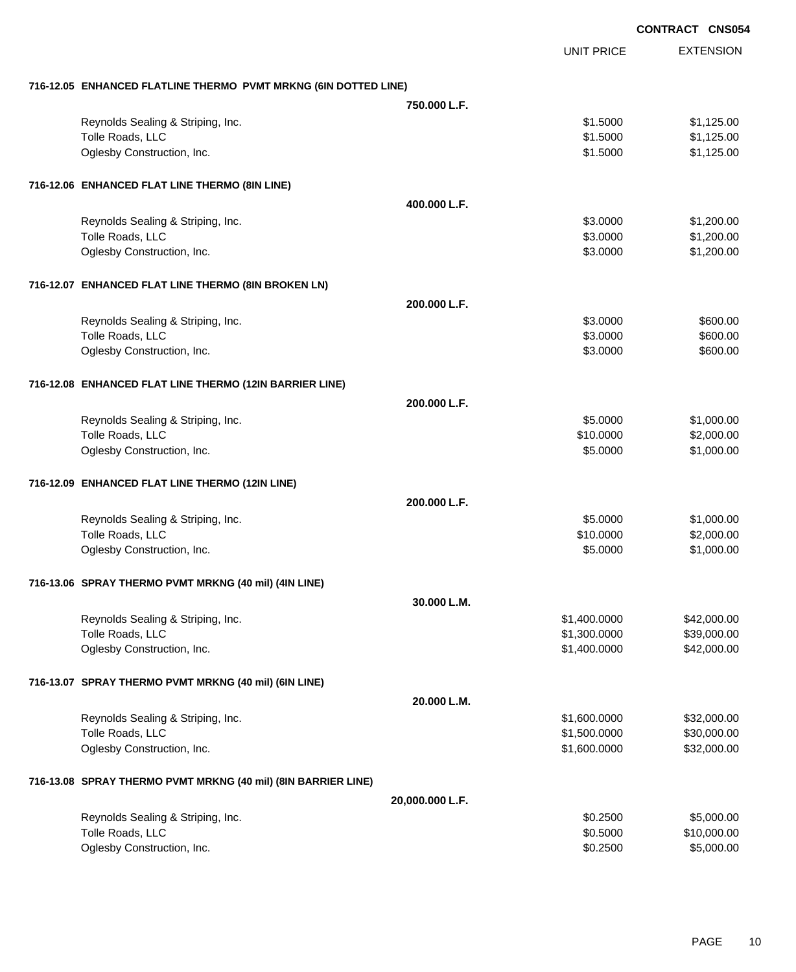|                                                                 |                 |                   | <b>CONTRACT CNS054</b> |
|-----------------------------------------------------------------|-----------------|-------------------|------------------------|
|                                                                 |                 | <b>UNIT PRICE</b> | <b>EXTENSION</b>       |
| 716-12.05 ENHANCED FLATLINE THERMO PVMT MRKNG (6IN DOTTED LINE) |                 |                   |                        |
|                                                                 | 750,000 L.F.    |                   |                        |
| Reynolds Sealing & Striping, Inc.                               |                 | \$1.5000          | \$1,125.00             |
| Tolle Roads, LLC                                                |                 | \$1.5000          | \$1,125.00             |
| Oglesby Construction, Inc.                                      |                 | \$1.5000          | \$1,125.00             |
| 716-12.06 ENHANCED FLAT LINE THERMO (8IN LINE)                  |                 |                   |                        |
|                                                                 | 400.000 L.F.    |                   |                        |
| Reynolds Sealing & Striping, Inc.                               |                 | \$3.0000          | \$1,200.00             |
| Tolle Roads, LLC                                                |                 | \$3.0000          | \$1,200.00             |
| Oglesby Construction, Inc.                                      |                 | \$3.0000          | \$1,200.00             |
| 716-12.07 ENHANCED FLAT LINE THERMO (8IN BROKEN LN)             |                 |                   |                        |
|                                                                 | 200.000 L.F.    |                   |                        |
| Reynolds Sealing & Striping, Inc.                               |                 | \$3.0000          | \$600.00               |
| Tolle Roads, LLC                                                |                 | \$3.0000          | \$600.00               |
| Oglesby Construction, Inc.                                      |                 | \$3.0000          | \$600.00               |
| 716-12.08 ENHANCED FLAT LINE THERMO (12IN BARRIER LINE)         |                 |                   |                        |
|                                                                 | 200.000 L.F.    |                   |                        |
| Reynolds Sealing & Striping, Inc.                               |                 | \$5.0000          | \$1,000.00             |
| Tolle Roads, LLC                                                |                 | \$10.0000         | \$2,000.00             |
| Oglesby Construction, Inc.                                      |                 | \$5.0000          | \$1,000.00             |
| 716-12.09 ENHANCED FLAT LINE THERMO (12IN LINE)                 |                 |                   |                        |
|                                                                 | 200.000 L.F.    |                   |                        |
| Reynolds Sealing & Striping, Inc.                               |                 | \$5.0000          | \$1,000.00             |
| Tolle Roads, LLC                                                |                 | \$10.0000         | \$2,000.00             |
| Oglesby Construction, Inc.                                      |                 | \$5.0000          | \$1,000.00             |
| 716-13.06 SPRAY THERMO PVMT MRKNG (40 mil) (4IN LINE)           |                 |                   |                        |
|                                                                 | 30.000 L.M.     |                   |                        |
| Reynolds Sealing & Striping, Inc.                               |                 | \$1,400.0000      | \$42,000.00            |
| Tolle Roads, LLC                                                |                 | \$1,300.0000      | \$39,000.00            |
| Oglesby Construction, Inc.                                      |                 | \$1,400.0000      | \$42,000.00            |
| 716-13.07 SPRAY THERMO PVMT MRKNG (40 mil) (6IN LINE)           |                 |                   |                        |
|                                                                 | 20.000 L.M.     |                   |                        |
| Reynolds Sealing & Striping, Inc.                               |                 | \$1,600.0000      | \$32,000.00            |
| Tolle Roads, LLC                                                |                 | \$1,500.0000      | \$30,000.00            |
| Oglesby Construction, Inc.                                      |                 | \$1,600.0000      | \$32,000.00            |
| 716-13.08 SPRAY THERMO PVMT MRKNG (40 mil) (8IN BARRIER LINE)   |                 |                   |                        |
|                                                                 | 20,000.000 L.F. |                   |                        |
| Reynolds Sealing & Striping, Inc.                               |                 | \$0.2500          | \$5,000.00             |
| Tolle Roads, LLC                                                |                 | \$0.5000          | \$10,000.00            |
| Oglesby Construction, Inc.                                      |                 | \$0.2500          | \$5,000.00             |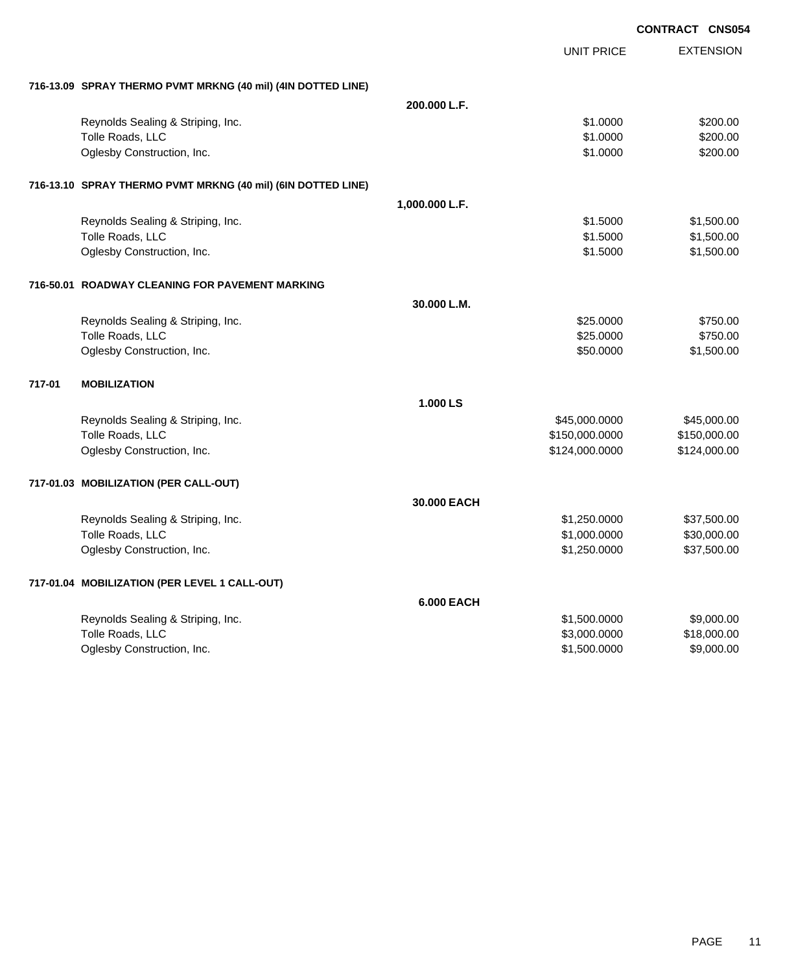|        |                                                              |                   |                   | <b>CONTRACT CNS054</b> |
|--------|--------------------------------------------------------------|-------------------|-------------------|------------------------|
|        |                                                              |                   | <b>UNIT PRICE</b> | <b>EXTENSION</b>       |
|        | 716-13.09 SPRAY THERMO PVMT MRKNG (40 mil) (4IN DOTTED LINE) |                   |                   |                        |
|        |                                                              | 200.000 L.F.      |                   |                        |
|        | Reynolds Sealing & Striping, Inc.                            |                   | \$1.0000          | \$200.00               |
|        | Tolle Roads, LLC                                             |                   | \$1.0000          | \$200.00               |
|        | Oglesby Construction, Inc.                                   |                   | \$1.0000          | \$200.00               |
|        | 716-13.10 SPRAY THERMO PVMT MRKNG (40 mil) (6IN DOTTED LINE) |                   |                   |                        |
|        |                                                              | 1,000.000 L.F.    |                   |                        |
|        | Reynolds Sealing & Striping, Inc.                            |                   | \$1.5000          | \$1,500.00             |
|        | Tolle Roads, LLC                                             |                   | \$1.5000          | \$1,500.00             |
|        | Oglesby Construction, Inc.                                   |                   | \$1.5000          | \$1,500.00             |
|        | 716-50.01 ROADWAY CLEANING FOR PAVEMENT MARKING              |                   |                   |                        |
|        |                                                              | 30.000 L.M.       |                   |                        |
|        | Reynolds Sealing & Striping, Inc.                            |                   | \$25.0000         | \$750.00               |
|        | Tolle Roads, LLC                                             |                   | \$25.0000         | \$750.00               |
|        | Oglesby Construction, Inc.                                   |                   | \$50.0000         | \$1,500.00             |
| 717-01 | <b>MOBILIZATION</b>                                          |                   |                   |                        |
|        |                                                              | 1.000 LS          |                   |                        |
|        | Reynolds Sealing & Striping, Inc.                            |                   | \$45,000.0000     | \$45,000.00            |
|        | Tolle Roads, LLC                                             |                   | \$150,000.0000    | \$150,000.00           |
|        | Oglesby Construction, Inc.                                   |                   | \$124,000.0000    | \$124,000.00           |
|        | 717-01.03 MOBILIZATION (PER CALL-OUT)                        |                   |                   |                        |
|        |                                                              | 30,000 EACH       |                   |                        |
|        | Reynolds Sealing & Striping, Inc.                            |                   | \$1,250.0000      | \$37,500.00            |
|        | Tolle Roads, LLC                                             |                   | \$1,000.0000      | \$30,000.00            |
|        | Oglesby Construction, Inc.                                   |                   | \$1,250.0000      | \$37,500.00            |
|        | 717-01.04 MOBILIZATION (PER LEVEL 1 CALL-OUT)                |                   |                   |                        |
|        |                                                              | <b>6.000 EACH</b> |                   |                        |
|        | Reynolds Sealing & Striping, Inc.                            |                   | \$1,500.0000      | \$9,000.00             |
|        | Tolle Roads, LLC                                             |                   | \$3,000.0000      | \$18,000.00            |
|        | Oglesby Construction, Inc.                                   |                   | \$1,500.0000      | \$9,000.00             |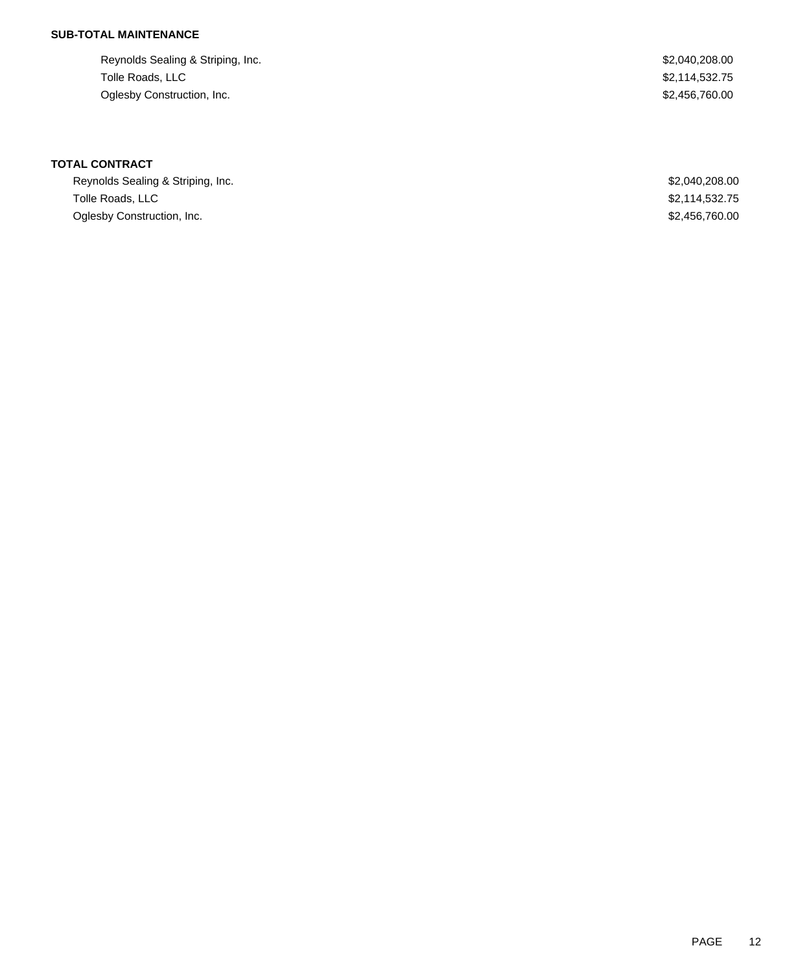# **SUB-TOTAL MAINTENANCE**

Reynolds Sealing & Striping, Inc. 6. The Second Sealing & Striping, Inc. 6. The Second Sealing & Striping, Inc. Tolle Roads, LLC \$2,114,532.75 Oglesby Construction, Inc. 62,456,760.00

# **TOTAL CONTRACT**

| Reynolds Sealing & Striping, Inc. | \$2,040,208.00 |
|-----------------------------------|----------------|
| Tolle Roads. LLC                  | \$2.114.532.75 |
| Oglesby Construction, Inc.        | \$2,456,760,00 |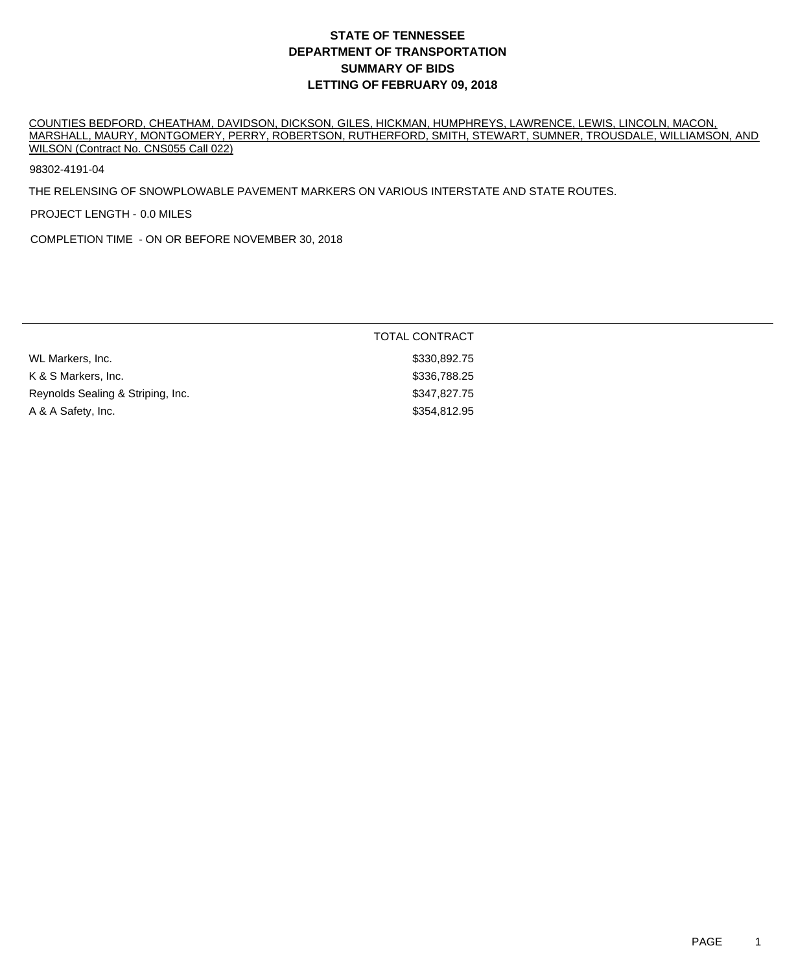COUNTIES BEDFORD, CHEATHAM, DAVIDSON, DICKSON, GILES, HICKMAN, HUMPHREYS, LAWRENCE, LEWIS, LINCOLN, MACON, MARSHALL, MAURY, MONTGOMERY, PERRY, ROBERTSON, RUTHERFORD, SMITH, STEWART, SUMNER, TROUSDALE, WILLIAMSON, AND WILSON (Contract No. CNS055 Call 022)

98302-4191-04

THE RELENSING OF SNOWPLOWABLE PAVEMENT MARKERS ON VARIOUS INTERSTATE AND STATE ROUTES.

PROJECT LENGTH - 0.0 MILES

COMPLETION TIME - ON OR BEFORE NOVEMBER 30, 2018

|                                   | <b>TOTAL CONTRACT</b> |
|-----------------------------------|-----------------------|
| WL Markers, Inc.                  | \$330,892.75          |
| K & S Markers, Inc.               | \$336,788.25          |
| Reynolds Sealing & Striping, Inc. | \$347,827.75          |
| A & A Safety, Inc.                | \$354,812.95          |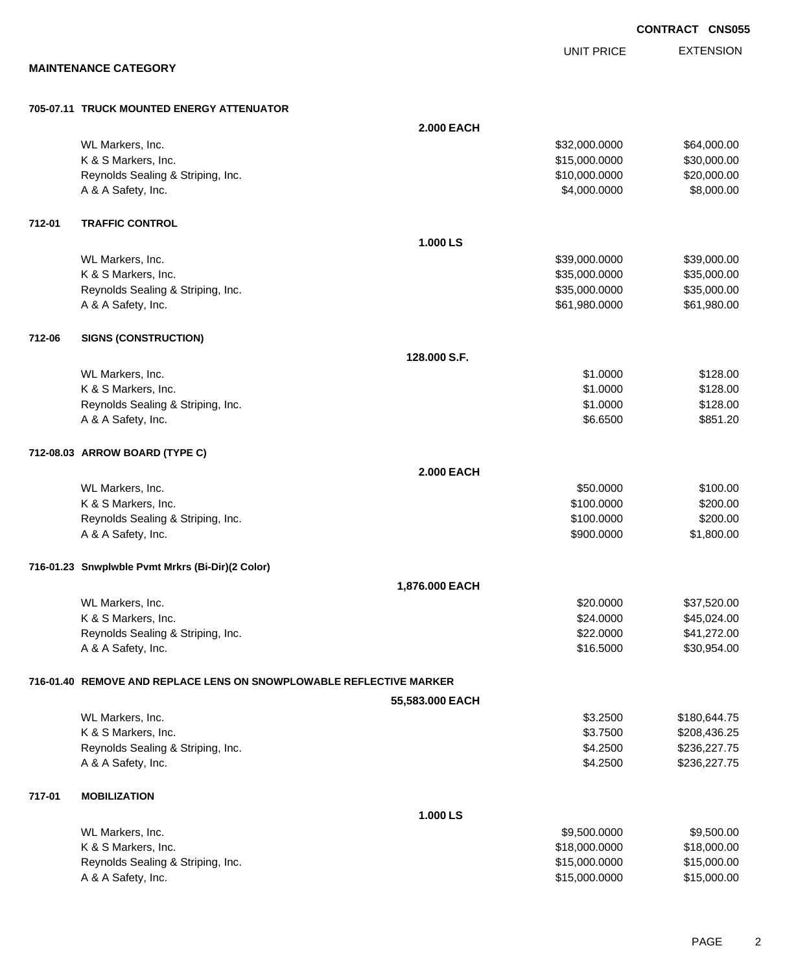UNIT PRICE

EXTENSION

**MAINTENANCE CATEGORY**

#### **705-07.11 TRUCK MOUNTED ENERGY ATTENUATOR**

|        |                                                                     | <b>2.000 EACH</b> |               |              |
|--------|---------------------------------------------------------------------|-------------------|---------------|--------------|
|        | WL Markers, Inc.                                                    |                   | \$32,000.0000 | \$64,000.00  |
|        | K & S Markers, Inc.                                                 |                   | \$15,000.0000 | \$30,000.00  |
|        | Reynolds Sealing & Striping, Inc.                                   |                   | \$10,000.0000 | \$20,000.00  |
|        | A & A Safety, Inc.                                                  |                   | \$4,000.0000  | \$8,000.00   |
| 712-01 | <b>TRAFFIC CONTROL</b>                                              |                   |               |              |
|        |                                                                     | 1.000 LS          |               |              |
|        | WL Markers, Inc.                                                    |                   | \$39,000.0000 | \$39,000.00  |
|        | K & S Markers, Inc.                                                 |                   | \$35,000.0000 | \$35,000.00  |
|        | Reynolds Sealing & Striping, Inc.                                   |                   | \$35,000.0000 | \$35,000.00  |
|        | A & A Safety, Inc.                                                  |                   | \$61,980.0000 | \$61,980.00  |
| 712-06 | <b>SIGNS (CONSTRUCTION)</b>                                         |                   |               |              |
|        |                                                                     | 128,000 S.F.      |               |              |
|        | WL Markers, Inc.                                                    |                   | \$1.0000      | \$128.00     |
|        | K & S Markers, Inc.                                                 |                   | \$1.0000      | \$128.00     |
|        | Reynolds Sealing & Striping, Inc.                                   |                   | \$1.0000      | \$128.00     |
|        | A & A Safety, Inc.                                                  |                   | \$6.6500      | \$851.20     |
|        | 712-08.03 ARROW BOARD (TYPE C)                                      |                   |               |              |
|        |                                                                     | <b>2.000 EACH</b> |               |              |
|        | WL Markers, Inc.                                                    |                   | \$50.0000     | \$100.00     |
|        | K & S Markers, Inc.                                                 |                   | \$100.0000    | \$200.00     |
|        | Reynolds Sealing & Striping, Inc.                                   |                   | \$100.0000    | \$200.00     |
|        | A & A Safety, Inc.                                                  |                   | \$900.0000    | \$1,800.00   |
|        | 716-01.23 Snwplwble Pvmt Mrkrs (Bi-Dir)(2 Color)                    |                   |               |              |
|        |                                                                     | 1,876.000 EACH    |               |              |
|        | WL Markers, Inc.                                                    |                   | \$20.0000     | \$37,520.00  |
|        | K & S Markers, Inc.                                                 |                   | \$24.0000     | \$45,024.00  |
|        | Reynolds Sealing & Striping, Inc.                                   |                   | \$22.0000     | \$41,272.00  |
|        | A & A Safety, Inc.                                                  |                   | \$16.5000     | \$30,954.00  |
|        | 716-01.40 REMOVE AND REPLACE LENS ON SNOWPLOWABLE REFLECTIVE MARKER |                   |               |              |
|        |                                                                     | 55,583.000 EACH   |               |              |
|        | WL Markers, Inc.                                                    |                   | \$3.2500      | \$180,644.75 |
|        | K & S Markers, Inc.                                                 |                   | \$3.7500      | \$208,436.25 |
|        | Reynolds Sealing & Striping, Inc.                                   |                   | \$4.2500      | \$236,227.75 |
|        | A & A Safety, Inc.                                                  |                   | \$4.2500      | \$236,227.75 |
| 717-01 | <b>MOBILIZATION</b>                                                 |                   |               |              |
|        |                                                                     | 1.000 LS          |               |              |
|        | WL Markers, Inc.                                                    |                   | \$9,500.0000  | \$9,500.00   |
|        | K & S Markers, Inc.                                                 |                   | \$18,000.0000 | \$18,000.00  |
|        | Reynolds Sealing & Striping, Inc.                                   |                   | \$15,000.0000 | \$15,000.00  |
|        | A & A Safety, Inc.                                                  |                   | \$15,000.0000 | \$15,000.00  |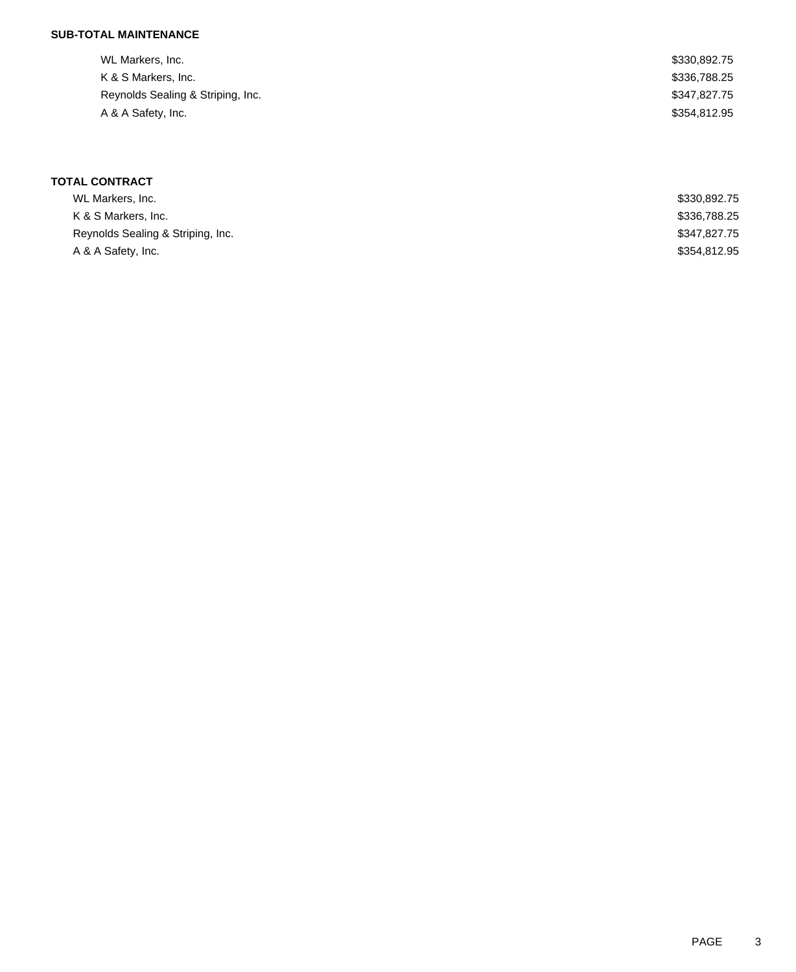## **SUB-TOTAL MAINTENANCE**

| WL Markers, Inc.                  | \$330,892.75 |
|-----------------------------------|--------------|
| K & S Markers, Inc.               | \$336,788.25 |
| Reynolds Sealing & Striping, Inc. | \$347,827.75 |
| A & A Safety, Inc.                | \$354,812.95 |

# **TOTAL CONTRACT**

| WL Markers, Inc.                  | \$330,892.75 |
|-----------------------------------|--------------|
| K & S Markers, Inc.               | \$336,788.25 |
| Reynolds Sealing & Striping, Inc. | \$347.827.75 |
| A & A Safety, Inc.                | \$354.812.95 |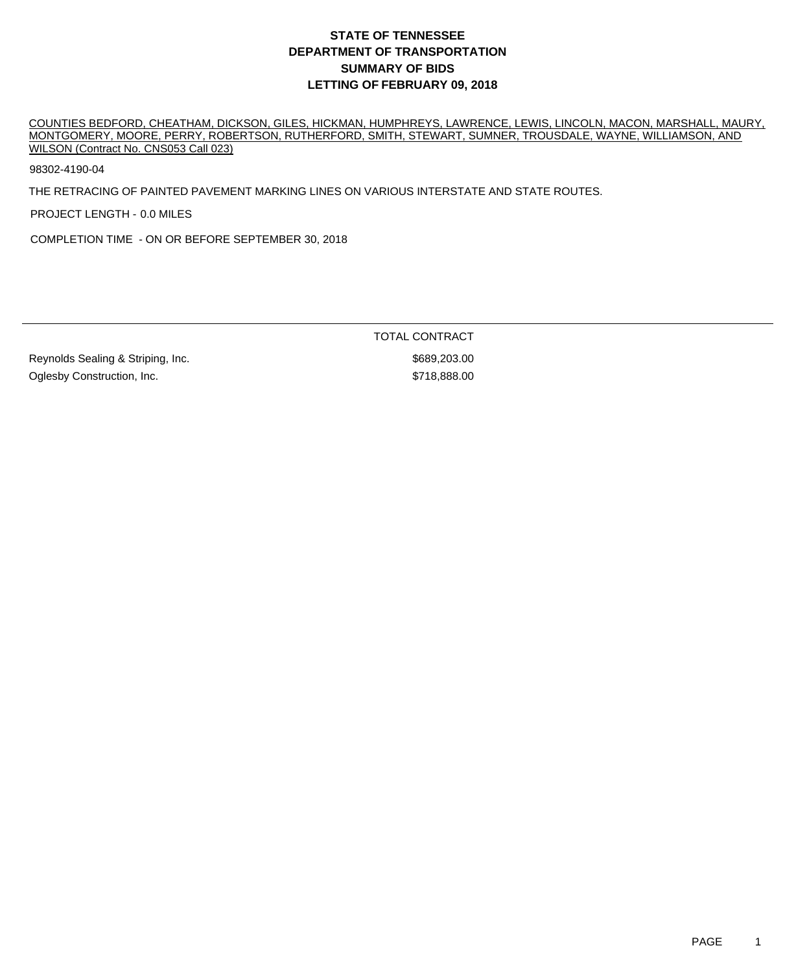COUNTIES BEDFORD, CHEATHAM, DICKSON, GILES, HICKMAN, HUMPHREYS, LAWRENCE, LEWIS, LINCOLN, MACON, MARSHALL, MAURY, MONTGOMERY, MOORE, PERRY, ROBERTSON, RUTHERFORD, SMITH, STEWART, SUMNER, TROUSDALE, WAYNE, WILLIAMSON, AND WILSON (Contract No. CNS053 Call 023)

98302-4190-04

THE RETRACING OF PAINTED PAVEMENT MARKING LINES ON VARIOUS INTERSTATE AND STATE ROUTES.

PROJECT LENGTH - 0.0 MILES

COMPLETION TIME - ON OR BEFORE SEPTEMBER 30, 2018

TOTAL CONTRACT

Reynolds Sealing & Striping, Inc. \$689,203.00 Oglesby Construction, Inc.  $\bullet$  5718,888.00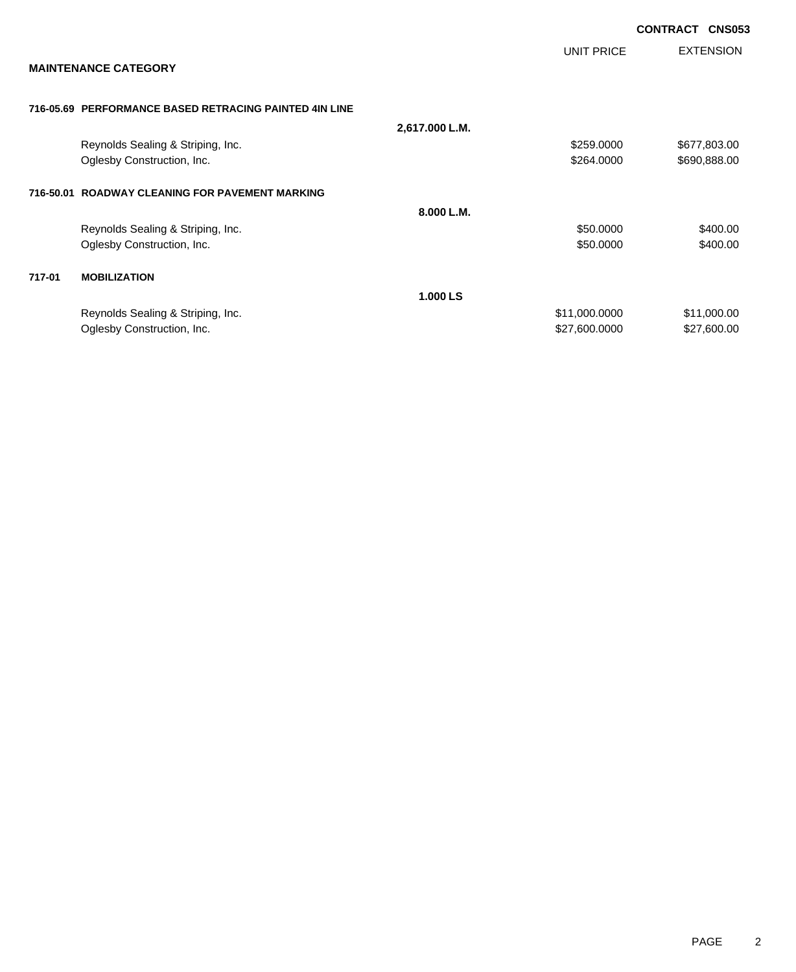|           |                                                        |                |               | <b>CONTRACT</b> | <b>CNS053</b>    |
|-----------|--------------------------------------------------------|----------------|---------------|-----------------|------------------|
|           |                                                        |                | UNIT PRICE    |                 | <b>EXTENSION</b> |
|           | <b>MAINTENANCE CATEGORY</b>                            |                |               |                 |                  |
|           | 716-05.69 PERFORMANCE BASED RETRACING PAINTED 4IN LINE |                |               |                 |                  |
|           |                                                        | 2,617.000 L.M. |               |                 |                  |
|           | Reynolds Sealing & Striping, Inc.                      |                | \$259.0000    |                 | \$677,803.00     |
|           | Oglesby Construction, Inc.                             |                | \$264.0000    |                 | \$690,888.00     |
| 716-50.01 | <b>ROADWAY CLEANING FOR PAVEMENT MARKING</b>           |                |               |                 |                  |
|           |                                                        | 8.000 L.M.     |               |                 |                  |
|           | Reynolds Sealing & Striping, Inc.                      |                | \$50.0000     |                 | \$400.00         |
|           | Oglesby Construction, Inc.                             |                | \$50.0000     |                 | \$400.00         |
| 717-01    | <b>MOBILIZATION</b>                                    |                |               |                 |                  |
|           |                                                        | 1.000 LS       |               |                 |                  |
|           | Reynolds Sealing & Striping, Inc.                      |                | \$11,000.0000 |                 | \$11,000.00      |
|           | Oglesby Construction, Inc.                             |                | \$27,600.0000 |                 | \$27,600.00      |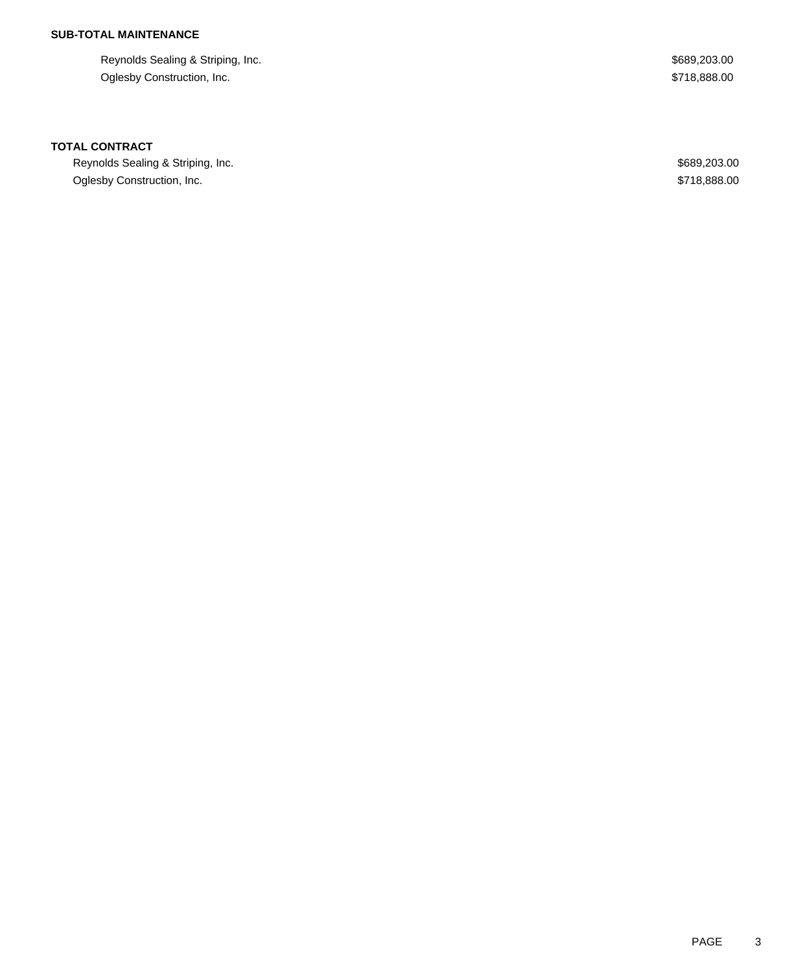## **SUB-TOTAL MAINTENANCE**

Reynolds Sealing & Striping, Inc.  $$689,203.00$ Oglesby Construction, Inc. \$718,888.00

### **TOTAL CONTRACT**

Reynolds Sealing & Striping, Inc. 6. The Second Sealing & Striping, Inc. 6. The Sealing & Striping, Inc. Oglesby Construction, Inc. 6. The Construction of the Construction of the Construction, Inc. 6718,888.00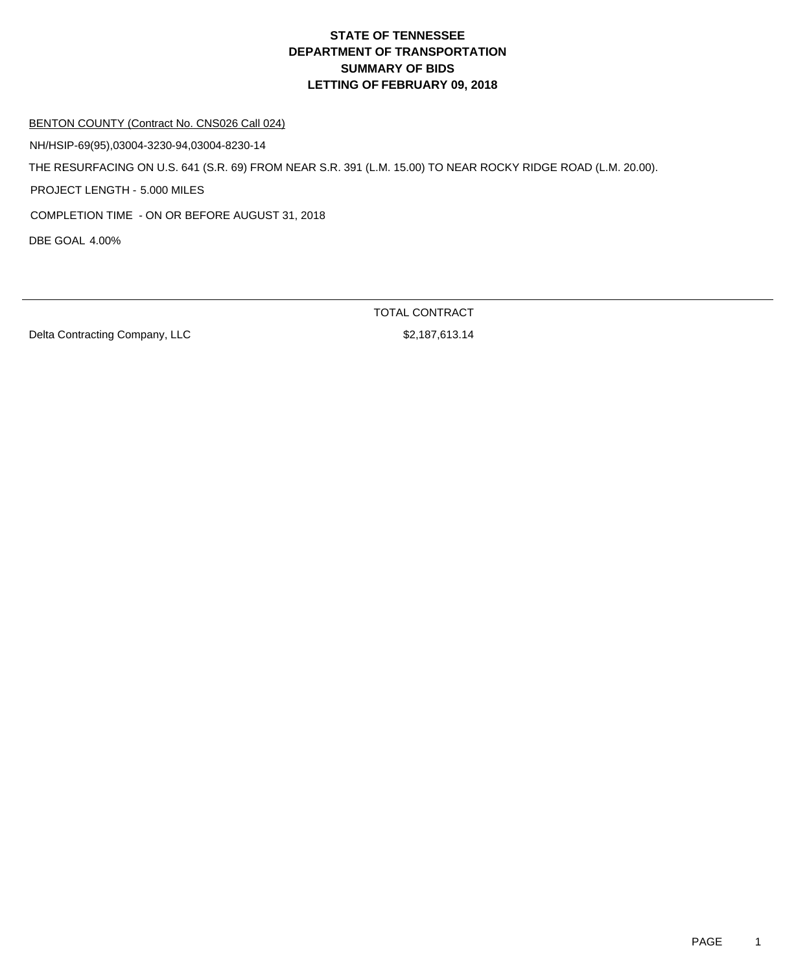#### BENTON COUNTY (Contract No. CNS026 Call 024)

NH/HSIP-69(95),03004-3230-94,03004-8230-14

THE RESURFACING ON U.S. 641 (S.R. 69) FROM NEAR S.R. 391 (L.M. 15.00) TO NEAR ROCKY RIDGE ROAD (L.M. 20.00).

PROJECT LENGTH - 5.000 MILES

COMPLETION TIME - ON OR BEFORE AUGUST 31, 2018

DBE GOAL 4.00%

Delta Contracting Company, LLC \$2,187,613.14

TOTAL CONTRACT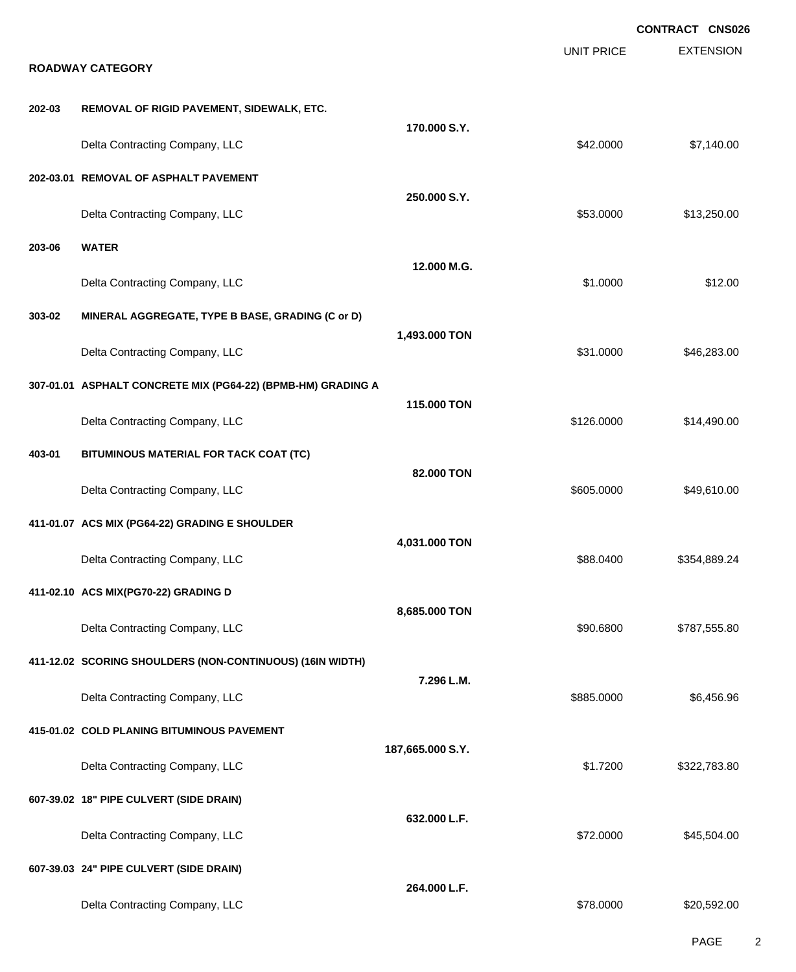|        |                                                              |                  |                   | <b>CONTRACT CNS026</b> |
|--------|--------------------------------------------------------------|------------------|-------------------|------------------------|
|        | <b>ROADWAY CATEGORY</b>                                      |                  | <b>UNIT PRICE</b> | <b>EXTENSION</b>       |
| 202-03 | REMOVAL OF RIGID PAVEMENT, SIDEWALK, ETC.                    |                  |                   |                        |
|        | Delta Contracting Company, LLC                               | 170.000 S.Y.     | \$42.0000         | \$7,140.00             |
|        | 202-03.01 REMOVAL OF ASPHALT PAVEMENT                        |                  |                   |                        |
|        | Delta Contracting Company, LLC                               | 250.000 S.Y.     | \$53.0000         | \$13,250.00            |
| 203-06 | <b>WATER</b>                                                 |                  |                   |                        |
|        | Delta Contracting Company, LLC                               | 12.000 M.G.      | \$1.0000          | \$12.00                |
| 303-02 | MINERAL AGGREGATE, TYPE B BASE, GRADING (C or D)             |                  |                   |                        |
|        | Delta Contracting Company, LLC                               | 1,493.000 TON    | \$31.0000         | \$46,283.00            |
|        | 307-01.01 ASPHALT CONCRETE MIX (PG64-22) (BPMB-HM) GRADING A |                  |                   |                        |
|        | Delta Contracting Company, LLC                               | 115.000 TON      | \$126.0000        | \$14,490.00            |
| 403-01 | BITUMINOUS MATERIAL FOR TACK COAT (TC)                       |                  |                   |                        |
|        | Delta Contracting Company, LLC                               | 82.000 TON       | \$605.0000        | \$49,610.00            |
|        | 411-01.07 ACS MIX (PG64-22) GRADING E SHOULDER               |                  |                   |                        |
|        | Delta Contracting Company, LLC                               | 4,031.000 TON    | \$88.0400         | \$354,889.24           |
|        | 411-02.10 ACS MIX(PG70-22) GRADING D                         |                  |                   |                        |
|        | Delta Contracting Company, LLC                               | 8,685.000 TON    | \$90.6800         | \$787,555.80           |
|        | 411-12.02 SCORING SHOULDERS (NON-CONTINUOUS) (16IN WIDTH)    |                  |                   |                        |
|        | Delta Contracting Company, LLC                               | 7.296 L.M.       | \$885,0000        | \$6,456.96             |
|        | 415-01.02 COLD PLANING BITUMINOUS PAVEMENT                   |                  |                   |                        |
|        | Delta Contracting Company, LLC                               | 187,665.000 S.Y. | \$1.7200          | \$322,783.80           |
|        | 607-39.02 18" PIPE CULVERT (SIDE DRAIN)                      |                  |                   |                        |
|        | Delta Contracting Company, LLC                               | 632.000 L.F.     | \$72.0000         | \$45,504.00            |
|        | 607-39.03 24" PIPE CULVERT (SIDE DRAIN)                      |                  |                   |                        |
|        | Delta Contracting Company, LLC                               | 264.000 L.F.     | \$78.0000         | \$20,592.00            |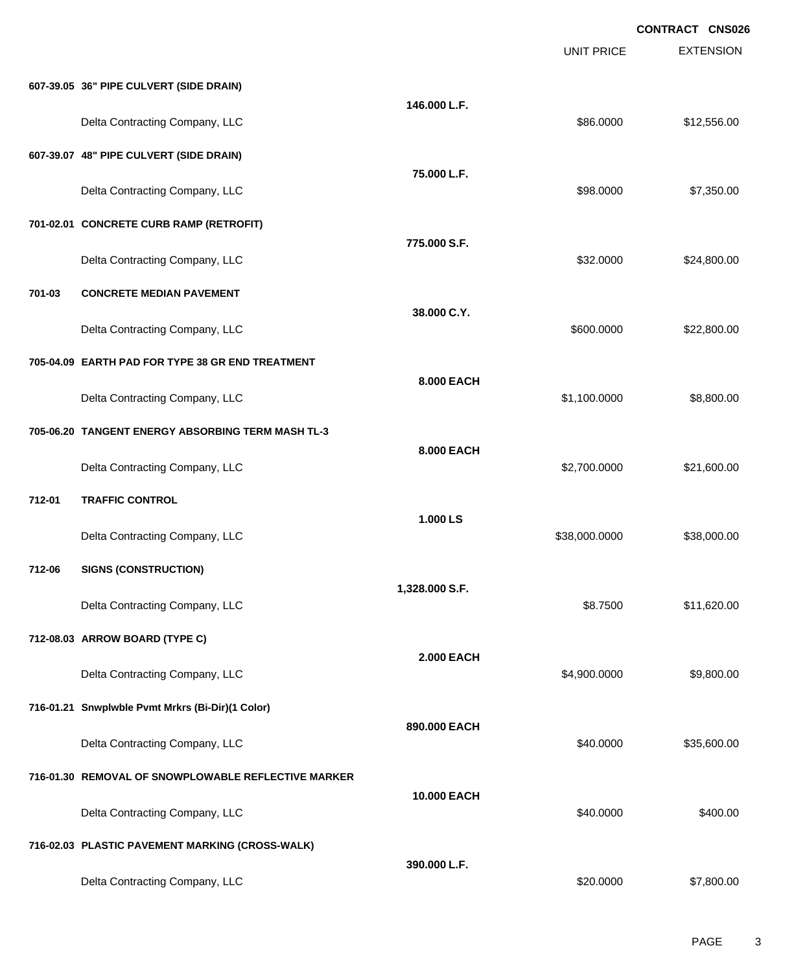EXTENSION **CONTRACT CNS026** UNIT PRICE **607-39.05 36" PIPE CULVERT (SIDE DRAIN) 146.000 L.F.** Delta Contracting Company, LLC \$86.0000 \$12,556.00 **607-39.07 48" PIPE CULVERT (SIDE DRAIN) 75.000 L.F.** Delta Contracting Company, LLC **but a contraction of the Contraction Contraction Contraction Company**, LLC **701-02.01 CONCRETE CURB RAMP (RETROFIT) 775.000 S.F.** Delta Contracting Company, LLC 632.000 \$24,800.00 **701-03 CONCRETE MEDIAN PAVEMENT 38.000 C.Y.** Delta Contracting Company, LLC 600000 \$22,800.000 \$22,800.000 \$22,800.000 \$22,800.000 \$22,800.00 **705-04.09 EARTH PAD FOR TYPE 38 GR END TREATMENT 8.000 EACH** Delta Contracting Company, LLC 6. The contraction of the contraction of the state of the state of the state of the state of the state of the state of the state of the state of the state of the state of the state of the sta **705-06.20 TANGENT ENERGY ABSORBING TERM MASH TL-3 8.000 EACH** Delta Contracting Company, LLC 6.0000 \$21,600.00 **712-01 TRAFFIC CONTROL 1.000 LS** Delta Contracting Company, LLC 6. 2012 12:00:000 \$38,000.000 \$38,000.000 \$38,000.000 \$38,000.00 **712-06 SIGNS (CONSTRUCTION) 1,328.000 S.F.** Delta Contracting Company, LLC **6.8.7500** \$11,620.00 **712-08.03 ARROW BOARD (TYPE C) 2.000 EACH** Delta Contracting Company, LLC 6.0000 \$9,800.000 \$9,800.000 \$9,800.000 \$9,800.00 **716-01.21 Snwplwble Pvmt Mrkrs (Bi-Dir)(1 Color) 890.000 EACH** Delta Contracting Company, LLC **60000 \$35,600.00** \$35,600.00 **716-01.30 REMOVAL OF SNOWPLOWABLE REFLECTIVE MARKER 10.000 EACH** Delta Contracting Company, LLC 6400.000 \$400.000 \$400.00 **716-02.03 PLASTIC PAVEMENT MARKING (CROSS-WALK) 390.000 L.F.** Delta Contracting Company, LLC \$20.0000 \$7,800.00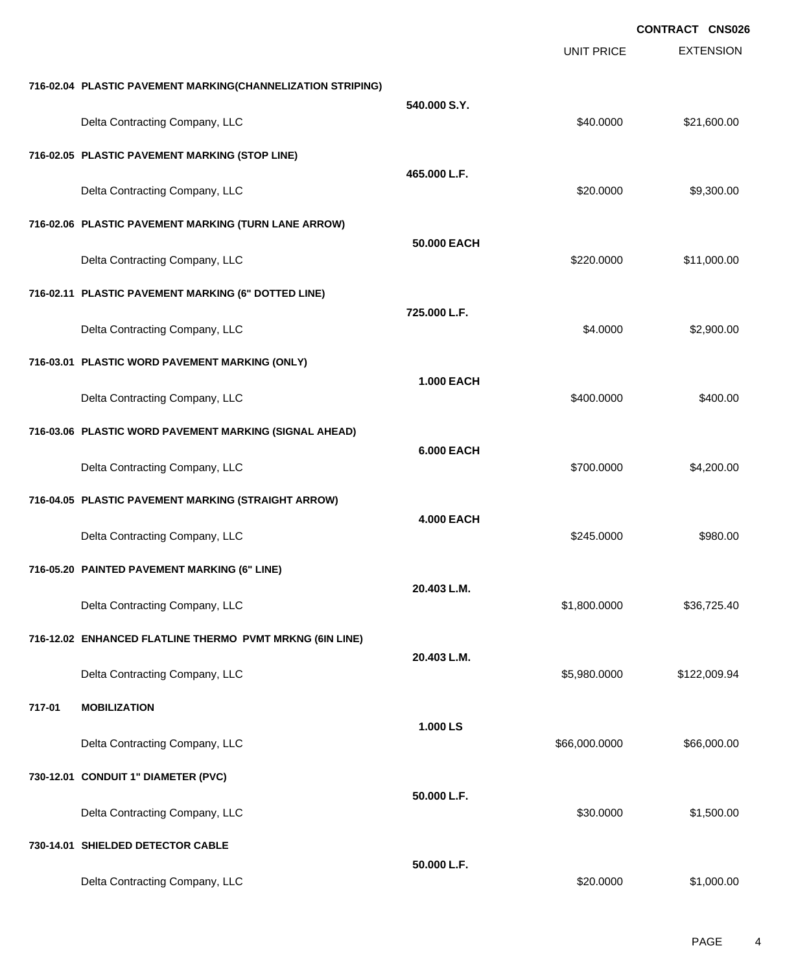EXTENSION **CONTRACT CNS026** UNIT PRICE **716-02.04 PLASTIC PAVEMENT MARKING(CHANNELIZATION STRIPING) 540.000 S.Y.** Delta Contracting Company, LLC **60000 \$21,600.00** \$21,600.00 **716-02.05 PLASTIC PAVEMENT MARKING (STOP LINE) 465.000 L.F.** Delta Contracting Company, LLC **but a set of the set of the set of the set of the set of the set of the set of the set of the set of the set of the set of the set of the set of the set of the set of the set of the set of t 716-02.06 PLASTIC PAVEMENT MARKING (TURN LANE ARROW) 50.000 EACH** Delta Contracting Company, LLC 6. The contraction of the state of the state of the state of the state of the state of the state of the state of the state of the state of the state of the state of the state of the state of **716-02.11 PLASTIC PAVEMENT MARKING (6" DOTTED LINE) 725.000 L.F.** Delta Contracting Company, LLC **64.0000** \$2,900.00 **716-03.01 PLASTIC WORD PAVEMENT MARKING (ONLY) 1.000 EACH** Delta Contracting Company, LLC 6400.000 \$400.000 \$400.000 \$400.000 **716-03.06 PLASTIC WORD PAVEMENT MARKING (SIGNAL AHEAD) 6.000 EACH** Delta Contracting Company, LLC **1990.000 \$4,200.000 \$4,200.000** \$4,200.00 **716-04.05 PLASTIC PAVEMENT MARKING (STRAIGHT ARROW) 4.000 EACH** Delta Contracting Company, LLC **\$980.00** \$980.00 **716-05.20 PAINTED PAVEMENT MARKING (6" LINE) 20.403 L.M.** Delta Contracting Company, LLC 6. The contraction of the state of the state of the state of the state of the state of the state of the state of the state of the state of the state of the state of the state of the state of **716-12.02 ENHANCED FLATLINE THERMO PVMT MRKNG (6IN LINE) 20.403 L.M.** Delta Contracting Company, LLC 6.6 and 2008.94 **717-01 MOBILIZATION 1.000 LS** Delta Contracting Company, LLC 666,000.000 \$66,000.000 \$66,000.000 \$66,000.000 \$66,000.000 \$66,000.00 **730-12.01 CONDUIT 1" DIAMETER (PVC) 50.000 L.F.** Delta Contracting Company, LLC **but a struck of the struck of the struck of the struck of the struck of the struck of the struck of the struck of the struck of the struck of the struck of the struck of the struck of the st 730-14.01 SHIELDED DETECTOR CABLE 50.000 L.F.** Delta Contracting Company, LLC \$20.0000 \$1,000.00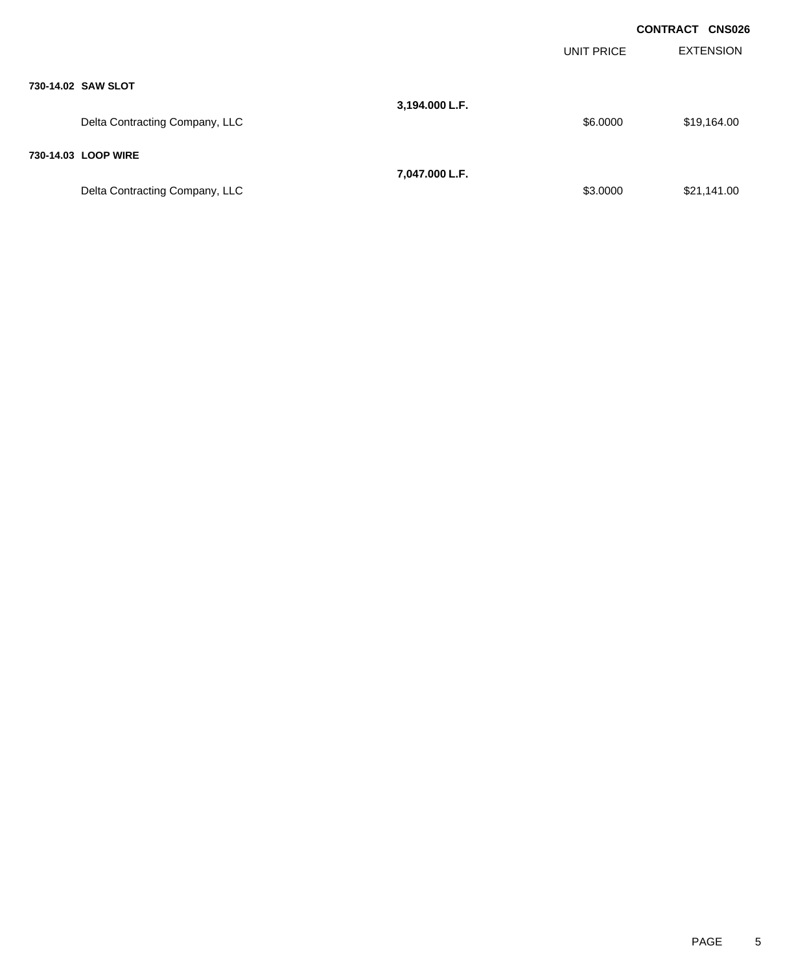|                                |                |            | <b>CONTRACT CNS026</b> |
|--------------------------------|----------------|------------|------------------------|
|                                |                | UNIT PRICE | <b>EXTENSION</b>       |
| 730-14.02 SAW SLOT             |                |            |                        |
| Delta Contracting Company, LLC | 3,194.000 L.F. | \$6.0000   | \$19,164.00            |
| 730-14.03 LOOP WIRE            |                |            |                        |
|                                | 7,047.000 L.F. |            |                        |
| Delta Contracting Company, LLC |                | \$3.0000   | \$21,141.00            |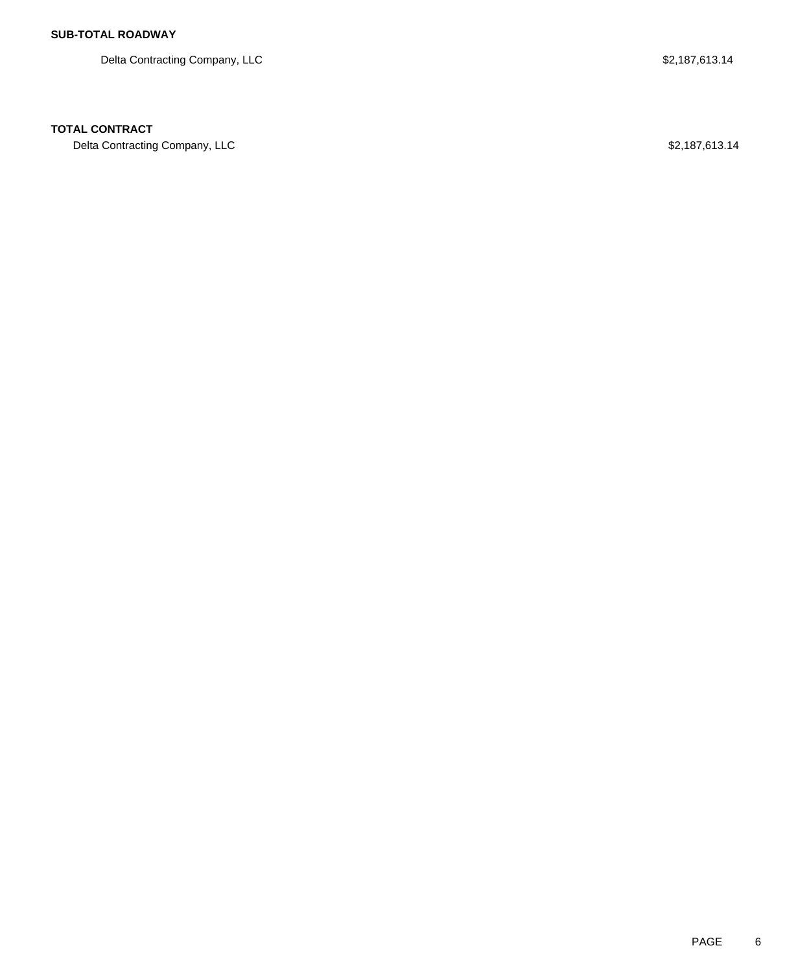Delta Contracting Company, LLC 6. The Second Second State of the S2,187,613.14

### **TOTAL CONTRACT**

Delta Contracting Company, LLC \$2,187,613.14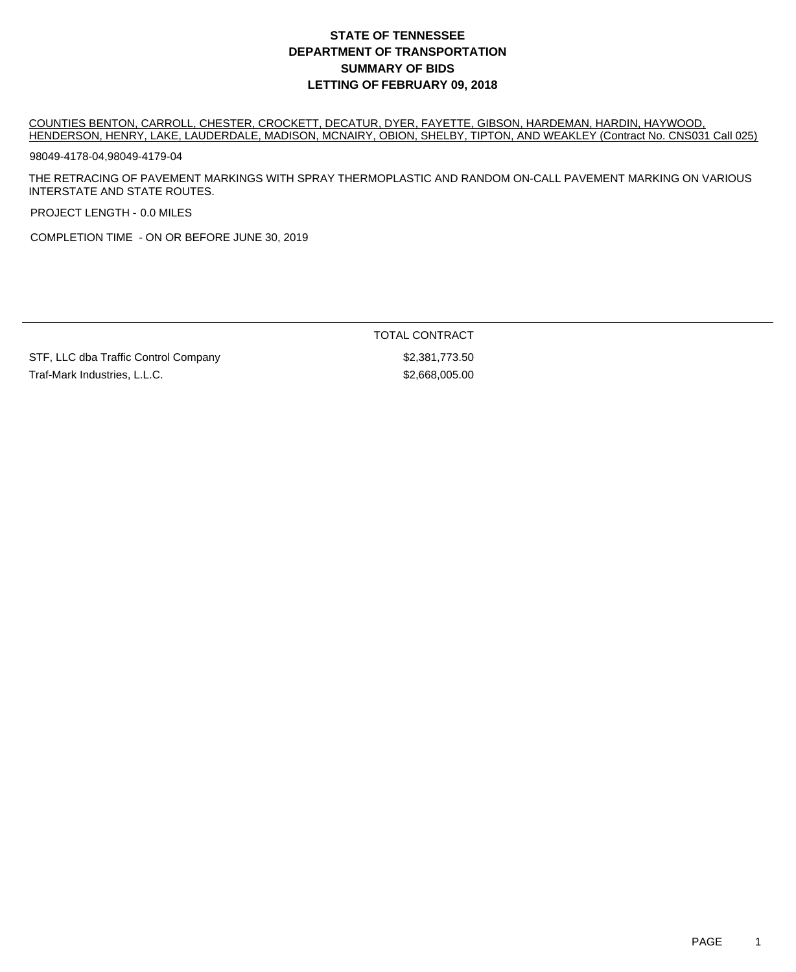COUNTIES BENTON, CARROLL, CHESTER, CROCKETT, DECATUR, DYER, FAYETTE, GIBSON, HARDEMAN, HARDIN, HAYWOOD, HENDERSON, HENRY, LAKE, LAUDERDALE, MADISON, MCNAIRY, OBION, SHELBY, TIPTON, AND WEAKLEY (Contract No. CNS031 Call 025)

98049-4178-04,98049-4179-04

THE RETRACING OF PAVEMENT MARKINGS WITH SPRAY THERMOPLASTIC AND RANDOM ON-CALL PAVEMENT MARKING ON VARIOUS INTERSTATE AND STATE ROUTES.

PROJECT LENGTH - 0.0 MILES

COMPLETION TIME - ON OR BEFORE JUNE 30, 2019

TOTAL CONTRACT

STF, LLC dba Traffic Control Company \$2,381,773.50 Traf-Mark Industries, L.L.C. \$2,668,005.00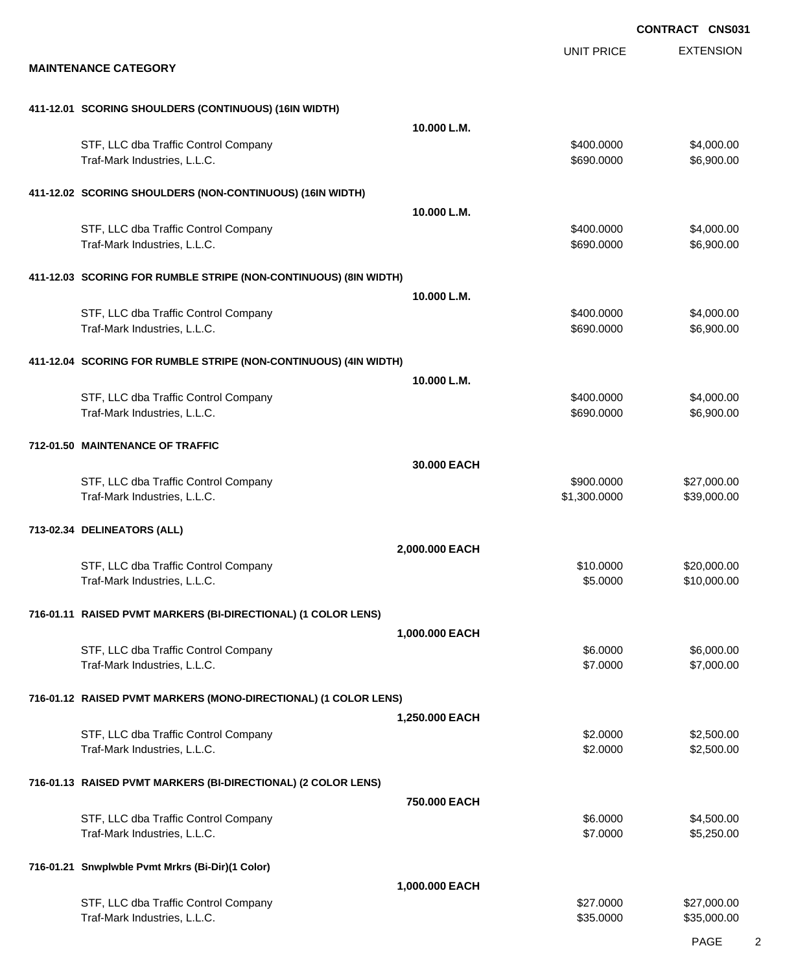|                                                                      |                |                        | <b>CONTRACT CNS031</b>     |
|----------------------------------------------------------------------|----------------|------------------------|----------------------------|
|                                                                      |                | <b>UNIT PRICE</b>      | <b>EXTENSION</b>           |
| <b>MAINTENANCE CATEGORY</b>                                          |                |                        |                            |
|                                                                      |                |                        |                            |
| 411-12.01 SCORING SHOULDERS (CONTINUOUS) (16IN WIDTH)                | 10.000 L.M.    |                        |                            |
| STF, LLC dba Traffic Control Company                                 |                | \$400.0000             | \$4,000.00                 |
| Traf-Mark Industries, L.L.C.                                         |                | \$690.0000             | \$6,900.00                 |
| 411-12.02 SCORING SHOULDERS (NON-CONTINUOUS) (16IN WIDTH)            |                |                        |                            |
|                                                                      | 10.000 L.M.    |                        |                            |
| STF, LLC dba Traffic Control Company                                 |                | \$400.0000             | \$4,000.00                 |
| Traf-Mark Industries, L.L.C.                                         |                | \$690.0000             | \$6,900.00                 |
| 411-12.03 SCORING FOR RUMBLE STRIPE (NON-CONTINUOUS) (8IN WIDTH)     |                |                        |                            |
|                                                                      | 10.000 L.M.    |                        |                            |
| STF, LLC dba Traffic Control Company                                 |                | \$400.0000             | \$4,000.00                 |
| Traf-Mark Industries, L.L.C.                                         |                | \$690.0000             | \$6,900.00                 |
| 411-12.04 SCORING FOR RUMBLE STRIPE (NON-CONTINUOUS) (4IN WIDTH)     |                |                        |                            |
|                                                                      | 10.000 L.M.    |                        |                            |
| STF, LLC dba Traffic Control Company                                 |                | \$400.0000             | \$4,000.00                 |
| Traf-Mark Industries, L.L.C.                                         |                | \$690.0000             | \$6,900.00                 |
| 712-01.50 MAINTENANCE OF TRAFFIC                                     |                |                        |                            |
|                                                                      | 30,000 EACH    |                        |                            |
| STF, LLC dba Traffic Control Company                                 |                | \$900.0000             | \$27,000.00                |
| Traf-Mark Industries, L.L.C.                                         |                | \$1,300.0000           | \$39,000.00                |
| 713-02.34 DELINEATORS (ALL)                                          |                |                        |                            |
|                                                                      | 2,000.000 EACH |                        |                            |
| STF, LLC dba Traffic Control Company                                 |                | \$10.0000              | \$20,000.00                |
| Traf-Mark Industries, L.L.C.                                         |                | \$5.0000               | \$10,000.00                |
| 716-01.11 RAISED PVMT MARKERS (BI-DIRECTIONAL) (1 COLOR LENS)        |                |                        |                            |
|                                                                      | 1,000.000 EACH |                        |                            |
| STF, LLC dba Traffic Control Company                                 |                | \$6.0000               | \$6,000.00                 |
| Traf-Mark Industries, L.L.C.                                         |                | \$7.0000               | \$7,000.00                 |
| 716-01.12 RAISED PVMT MARKERS (MONO-DIRECTIONAL) (1 COLOR LENS)      |                |                        |                            |
|                                                                      | 1,250.000 EACH |                        |                            |
| STF, LLC dba Traffic Control Company                                 |                | \$2.0000               | \$2,500.00                 |
| Traf-Mark Industries, L.L.C.                                         |                | \$2.0000               | \$2,500.00                 |
| 716-01.13 RAISED PVMT MARKERS (BI-DIRECTIONAL) (2 COLOR LENS)        |                |                        |                            |
|                                                                      | 750.000 EACH   |                        |                            |
| STF, LLC dba Traffic Control Company                                 |                | \$6.0000               | \$4,500.00                 |
| Traf-Mark Industries, L.L.C.                                         |                | \$7.0000               | \$5,250.00                 |
| 716-01.21 Snwplwble Pvmt Mrkrs (Bi-Dir)(1 Color)                     |                |                        |                            |
|                                                                      | 1,000.000 EACH |                        |                            |
| STF, LLC dba Traffic Control Company<br>Traf-Mark Industries, L.L.C. |                | \$27.0000<br>\$35.0000 | \$27,000.00<br>\$35,000.00 |
|                                                                      |                |                        |                            |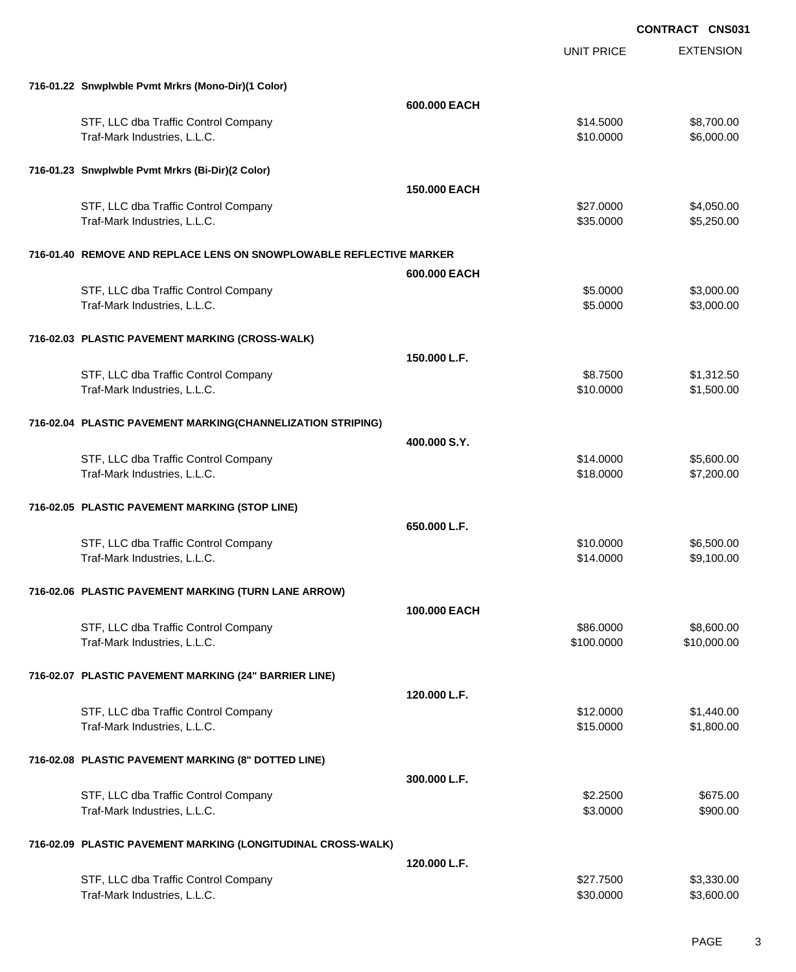|                                                                     |              | <b>UNIT PRICE</b> | <b>EXTENSION</b> |
|---------------------------------------------------------------------|--------------|-------------------|------------------|
| 716-01.22 Snwplwble Pvmt Mrkrs (Mono-Dir)(1 Color)                  |              |                   |                  |
|                                                                     | 600.000 EACH |                   |                  |
| STF, LLC dba Traffic Control Company                                |              | \$14.5000         | \$8,700.00       |
| Traf-Mark Industries, L.L.C.                                        |              | \$10.0000         | \$6,000.00       |
| 716-01.23 Snwplwble Pvmt Mrkrs (Bi-Dir)(2 Color)                    |              |                   |                  |
|                                                                     | 150.000 EACH |                   |                  |
| STF, LLC dba Traffic Control Company                                |              | \$27.0000         | \$4,050.00       |
| Traf-Mark Industries, L.L.C.                                        |              | \$35.0000         | \$5,250.00       |
| 716-01.40 REMOVE AND REPLACE LENS ON SNOWPLOWABLE REFLECTIVE MARKER |              |                   |                  |
|                                                                     | 600.000 EACH |                   |                  |
| STF, LLC dba Traffic Control Company                                |              | \$5.0000          | \$3,000.00       |
| Traf-Mark Industries, L.L.C.                                        |              | \$5.0000          | \$3,000.00       |
| 716-02.03 PLASTIC PAVEMENT MARKING (CROSS-WALK)                     |              |                   |                  |
|                                                                     | 150.000 L.F. |                   |                  |
| STF, LLC dba Traffic Control Company                                |              | \$8.7500          | \$1,312.50       |
| Traf-Mark Industries, L.L.C.                                        |              | \$10.0000         | \$1,500.00       |
| 716-02.04 PLASTIC PAVEMENT MARKING(CHANNELIZATION STRIPING)         |              |                   |                  |
|                                                                     | 400,000 S.Y. |                   |                  |
| STF, LLC dba Traffic Control Company                                |              | \$14.0000         | \$5,600.00       |
| Traf-Mark Industries, L.L.C.                                        |              | \$18.0000         | \$7,200.00       |
| 716-02.05 PLASTIC PAVEMENT MARKING (STOP LINE)                      |              |                   |                  |
|                                                                     | 650.000 L.F. |                   |                  |
| STF, LLC dba Traffic Control Company                                |              | \$10.0000         | \$6,500.00       |
| Traf-Mark Industries, L.L.C.                                        |              | \$14.0000         | \$9,100.00       |
| 716-02.06 PLASTIC PAVEMENT MARKING (TURN LANE ARROW)                |              |                   |                  |
|                                                                     | 100.000 EACH |                   |                  |
| STF, LLC dba Traffic Control Company                                |              | \$86.0000         | \$8,600.00       |
| Traf-Mark Industries, L.L.C.                                        |              | \$100.0000        | \$10,000.00      |
| 716-02.07 PLASTIC PAVEMENT MARKING (24" BARRIER LINE)               |              |                   |                  |
|                                                                     | 120.000 L.F. |                   |                  |
| STF, LLC dba Traffic Control Company                                |              | \$12.0000         | \$1,440.00       |
| Traf-Mark Industries, L.L.C.                                        |              | \$15.0000         | \$1,800.00       |
| 716-02.08 PLASTIC PAVEMENT MARKING (8" DOTTED LINE)                 |              |                   |                  |
|                                                                     | 300.000 L.F. |                   |                  |
| STF, LLC dba Traffic Control Company                                |              | \$2.2500          | \$675.00         |
| Traf-Mark Industries, L.L.C.                                        |              | \$3.0000          | \$900.00         |
| 716-02.09 PLASTIC PAVEMENT MARKING (LONGITUDINAL CROSS-WALK)        |              |                   |                  |
|                                                                     | 120,000 L.F. |                   |                  |
| STF, LLC dba Traffic Control Company                                |              | \$27.7500         | \$3,330.00       |
| Traf-Mark Industries, L.L.C.                                        |              | \$30.0000         | \$3,600.00       |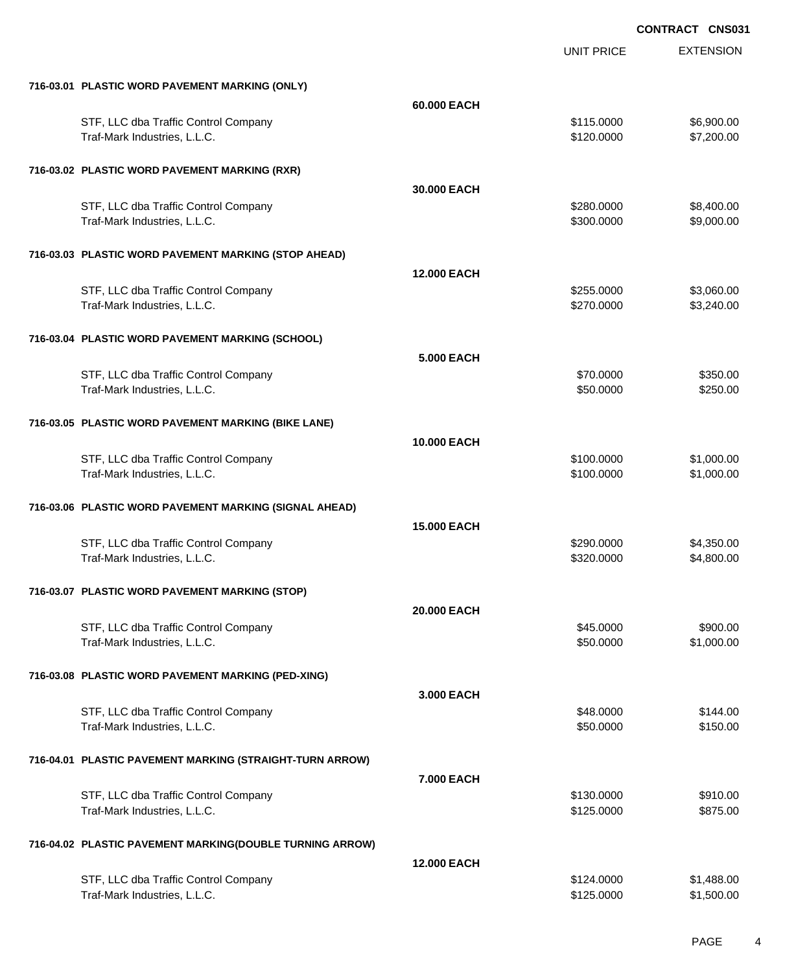|                                                          | UNIT PRICE        | <b>EXTENSION</b> |
|----------------------------------------------------------|-------------------|------------------|
| 716-03.01 PLASTIC WORD PAVEMENT MARKING (ONLY)           |                   |                  |
| 60.000 EACH                                              |                   |                  |
| STF, LLC dba Traffic Control Company                     | \$115.0000        | \$6,900.00       |
| Traf-Mark Industries, L.L.C.                             | \$120.0000        | \$7,200.00       |
| 716-03.02 PLASTIC WORD PAVEMENT MARKING (RXR)            |                   |                  |
| 30.000 EACH                                              |                   |                  |
| STF, LLC dba Traffic Control Company                     | \$280.0000        | \$8,400.00       |
| Traf-Mark Industries, L.L.C.                             | \$300.0000        | \$9,000.00       |
| 716-03.03 PLASTIC WORD PAVEMENT MARKING (STOP AHEAD)     |                   |                  |
| <b>12.000 EACH</b>                                       |                   |                  |
| STF, LLC dba Traffic Control Company                     | \$255.0000        | \$3,060.00       |
| Traf-Mark Industries, L.L.C.                             | \$270.0000        | \$3,240.00       |
| 716-03.04 PLASTIC WORD PAVEMENT MARKING (SCHOOL)         |                   |                  |
|                                                          | <b>5.000 EACH</b> |                  |
| STF, LLC dba Traffic Control Company                     | \$70.0000         | \$350.00         |
| Traf-Mark Industries, L.L.C.                             | \$50.0000         | \$250.00         |
| 716-03.05 PLASTIC WORD PAVEMENT MARKING (BIKE LANE)      |                   |                  |
| <b>10.000 EACH</b>                                       |                   |                  |
| STF, LLC dba Traffic Control Company                     | \$100.0000        | \$1,000.00       |
| Traf-Mark Industries, L.L.C.                             | \$100.0000        | \$1,000.00       |
| 716-03.06 PLASTIC WORD PAVEMENT MARKING (SIGNAL AHEAD)   |                   |                  |
| <b>15,000 EACH</b>                                       |                   |                  |
| STF, LLC dba Traffic Control Company                     | \$290.0000        | \$4,350.00       |
| Traf-Mark Industries, L.L.C.                             | \$320.0000        | \$4,800.00       |
| 716-03.07 PLASTIC WORD PAVEMENT MARKING (STOP)           |                   |                  |
| 20.000 EACH                                              |                   |                  |
| STF, LLC dba Traffic Control Company                     | \$45.0000         | \$900.00         |
| Traf-Mark Industries, L.L.C.                             | \$50.0000         | \$1,000.00       |
| 716-03.08 PLASTIC WORD PAVEMENT MARKING (PED-XING)       |                   |                  |
|                                                          | 3,000 EACH        |                  |
| STF, LLC dba Traffic Control Company                     | \$48.0000         | \$144.00         |
| Traf-Mark Industries, L.L.C.                             | \$50.0000         | \$150.00         |
| 716-04.01 PLASTIC PAVEMENT MARKING (STRAIGHT-TURN ARROW) |                   |                  |
|                                                          | 7.000 EACH        |                  |
| STF, LLC dba Traffic Control Company                     | \$130.0000        | \$910.00         |
| Traf-Mark Industries, L.L.C.                             | \$125.0000        | \$875.00         |
| 716-04.02 PLASTIC PAVEMENT MARKING(DOUBLE TURNING ARROW) |                   |                  |
| <b>12.000 EACH</b>                                       |                   |                  |
| STF, LLC dba Traffic Control Company                     | \$124.0000        | \$1,488.00       |
| Traf-Mark Industries, L.L.C.                             | \$125.0000        | \$1,500.00       |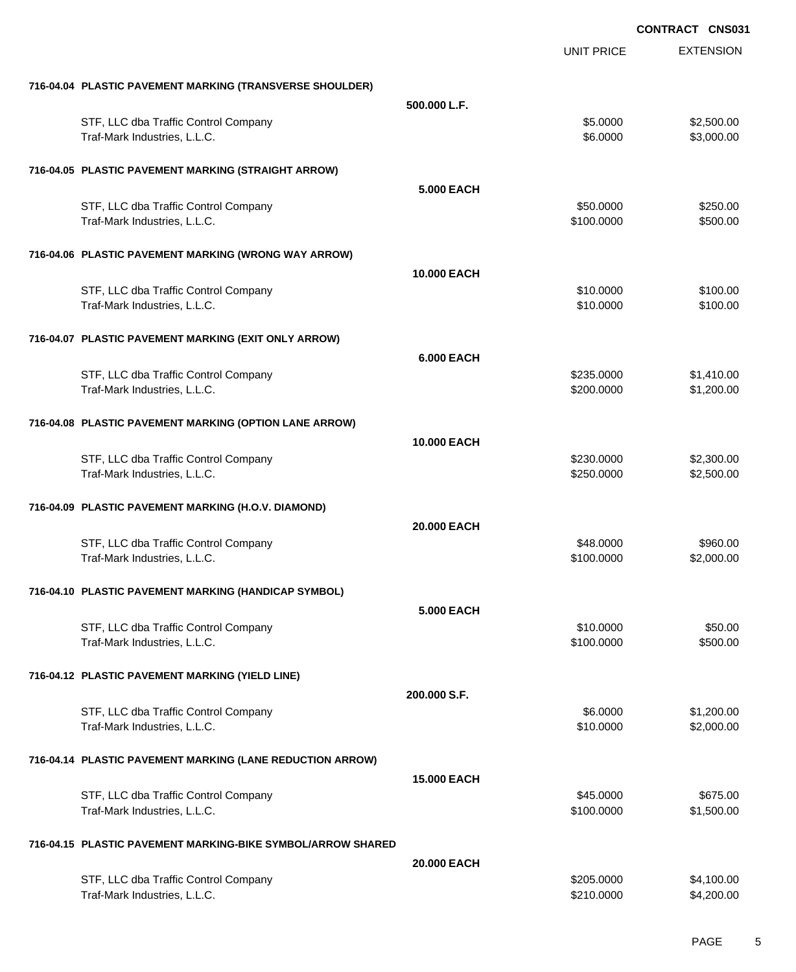EXTENSION **CONTRACT CNS031** UNIT PRICE **716-04.04 PLASTIC PAVEMENT MARKING (TRANSVERSE SHOULDER) 500.000 L.F.** STF, LLC dba Traffic Control Company **\$2.500.00** \$2,500.00 \$2,500.00 Traf-Mark Industries, L.L.C. 6. The state of the state of the state of the state of the state of the state of the state of the state of the state of the state of the state of the state of the state of the state of the stat **716-04.05 PLASTIC PAVEMENT MARKING (STRAIGHT ARROW) 5.000 EACH** STF, LLC dba Traffic Control Company **\$250.000** \$50.0000 \$250.00 Traf-Mark Industries, L.L.C. 6500.000 \$500.000 \$500.00 **716-04.06 PLASTIC PAVEMENT MARKING (WRONG WAY ARROW) 10.000 EACH** STF, LLC dba Traffic Control Company **\$100.00** \$100.000 \$10.0000 \$100.00 Traf-Mark Industries, L.L.C. 6100.00 **716-04.07 PLASTIC PAVEMENT MARKING (EXIT ONLY ARROW) 6.000 EACH** STF, LLC dba Traffic Control Company **\$235.0000** \$1,410.00 Traf-Mark Industries, L.L.C. 631,200.000 \$1,200.000 \$1,200.000 \$1,200.000 \$1,200.00 **716-04.08 PLASTIC PAVEMENT MARKING (OPTION LANE ARROW) 10.000 EACH** STF, LLC dba Traffic Control Company **\$230.000 \$230.000 \$230.000** \$2,300.00 Traf-Mark Industries, L.L.C. 63.500.00 \$2,500.00 \$2,500.00 \$2,500.00 **716-04.09 PLASTIC PAVEMENT MARKING (H.O.V. DIAMOND) 20.000 EACH** STF, LLC dba Traffic Control Company **\$98.000** \$960.00 Traf-Mark Industries, L.L.C. \$100.0000 \$2,000.00 **716-04.10 PLASTIC PAVEMENT MARKING (HANDICAP SYMBOL) 5.000 EACH** STF, LLC dba Traffic Control Company **\$10.0000 \$50.00** \$50.00 Traf-Mark Industries, L.L.C. 6500.000 \$500.000 \$500.00 **716-04.12 PLASTIC PAVEMENT MARKING (YIELD LINE) 200.000 S.F.** STF, LLC dba Traffic Control Company **\$6.0000** \$1,200.00 Traf-Mark Industries, L.L.C. \$10.0000 \$2,000.00 **716-04.14 PLASTIC PAVEMENT MARKING (LANE REDUCTION ARROW) 15.000 EACH** STF, LLC dba Traffic Control Company **\$675.00** \$675.00 Traf-Mark Industries, L.L.C. \$100.0000 \$1,500.00 **716-04.15 PLASTIC PAVEMENT MARKING-BIKE SYMBOL/ARROW SHARED 20.000 EACH** STF, LLC dba Traffic Control Company **\$205.0000 \$4,100.00** \$4,100.00

Traf-Mark Industries, L.L.C. \$210.0000 \$4,200.00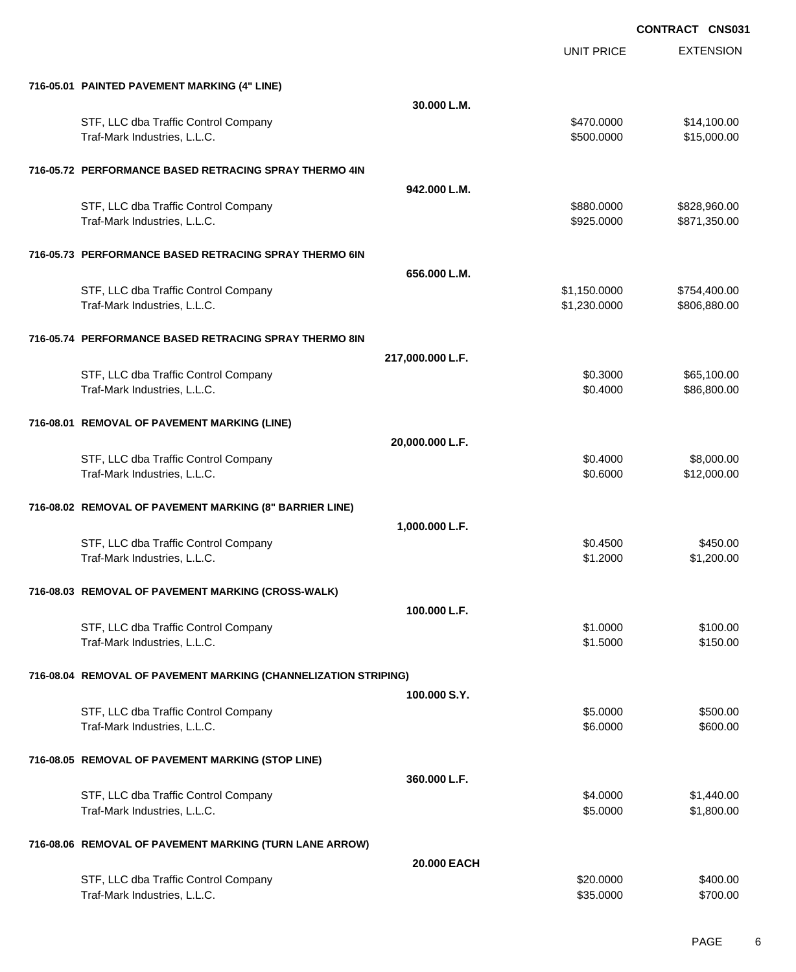|                                                                      |                  | <b>UNIT PRICE</b>        | <b>EXTENSION</b>             |
|----------------------------------------------------------------------|------------------|--------------------------|------------------------------|
|                                                                      |                  |                          |                              |
| 716-05.01 PAINTED PAVEMENT MARKING (4" LINE)                         | 30.000 L.M.      |                          |                              |
| STF, LLC dba Traffic Control Company                                 |                  | \$470.0000               | \$14,100.00                  |
| Traf-Mark Industries, L.L.C.                                         |                  | \$500.0000               | \$15,000.00                  |
|                                                                      |                  |                          |                              |
| 716-05.72 PERFORMANCE BASED RETRACING SPRAY THERMO 4IN               |                  |                          |                              |
|                                                                      | 942.000 L.M.     |                          |                              |
| STF, LLC dba Traffic Control Company<br>Traf-Mark Industries, L.L.C. |                  | \$880.0000<br>\$925.0000 | \$828,960.00<br>\$871,350.00 |
|                                                                      |                  |                          |                              |
| 716-05.73 PERFORMANCE BASED RETRACING SPRAY THERMO 6IN               |                  |                          |                              |
|                                                                      | 656.000 L.M.     |                          |                              |
| STF, LLC dba Traffic Control Company                                 |                  | \$1,150.0000             | \$754,400.00                 |
| Traf-Mark Industries, L.L.C.                                         |                  | \$1,230.0000             | \$806,880.00                 |
| 716-05.74 PERFORMANCE BASED RETRACING SPRAY THERMO 8IN               |                  |                          |                              |
|                                                                      | 217,000.000 L.F. |                          |                              |
| STF, LLC dba Traffic Control Company                                 |                  | \$0.3000                 | \$65,100.00                  |
| Traf-Mark Industries, L.L.C.                                         |                  | \$0.4000                 | \$86,800.00                  |
|                                                                      |                  |                          |                              |
| 716-08.01 REMOVAL OF PAVEMENT MARKING (LINE)                         | 20,000.000 L.F.  |                          |                              |
| STF, LLC dba Traffic Control Company                                 |                  | \$0.4000                 | \$8,000.00                   |
| Traf-Mark Industries, L.L.C.                                         |                  | \$0.6000                 | \$12,000.00                  |
|                                                                      |                  |                          |                              |
| 716-08.02 REMOVAL OF PAVEMENT MARKING (8" BARRIER LINE)              |                  |                          |                              |
|                                                                      | 1,000.000 L.F.   |                          |                              |
| STF, LLC dba Traffic Control Company<br>Traf-Mark Industries, L.L.C. |                  | \$0.4500<br>\$1.2000     | \$450.00<br>\$1,200.00       |
|                                                                      |                  |                          |                              |
| 716-08.03 REMOVAL OF PAVEMENT MARKING (CROSS-WALK)                   |                  |                          |                              |
|                                                                      | 100.000 L.F.     |                          |                              |
| STF, LLC dba Traffic Control Company                                 |                  | \$1.0000                 | \$100.00                     |
| Traf-Mark Industries, L.L.C.                                         |                  | \$1.5000                 | \$150.00                     |
| 716-08.04 REMOVAL OF PAVEMENT MARKING (CHANNELIZATION STRIPING)      |                  |                          |                              |
|                                                                      | 100.000 S.Y.     |                          |                              |
| STF, LLC dba Traffic Control Company                                 |                  | \$5.0000                 | \$500.00                     |
| Traf-Mark Industries, L.L.C.                                         |                  | \$6.0000                 | \$600.00                     |
|                                                                      |                  |                          |                              |
| 716-08.05 REMOVAL OF PAVEMENT MARKING (STOP LINE)                    | 360.000 L.F.     |                          |                              |
| STF, LLC dba Traffic Control Company                                 |                  | \$4.0000                 | \$1,440.00                   |
| Traf-Mark Industries, L.L.C.                                         |                  | \$5.0000                 | \$1,800.00                   |
|                                                                      |                  |                          |                              |
| 716-08.06 REMOVAL OF PAVEMENT MARKING (TURN LANE ARROW)              |                  |                          |                              |
|                                                                      | 20.000 EACH      |                          |                              |
| STF, LLC dba Traffic Control Company<br>Traf-Mark Industries, L.L.C. |                  | \$20.0000<br>\$35.0000   | \$400.00<br>\$700.00         |
|                                                                      |                  |                          |                              |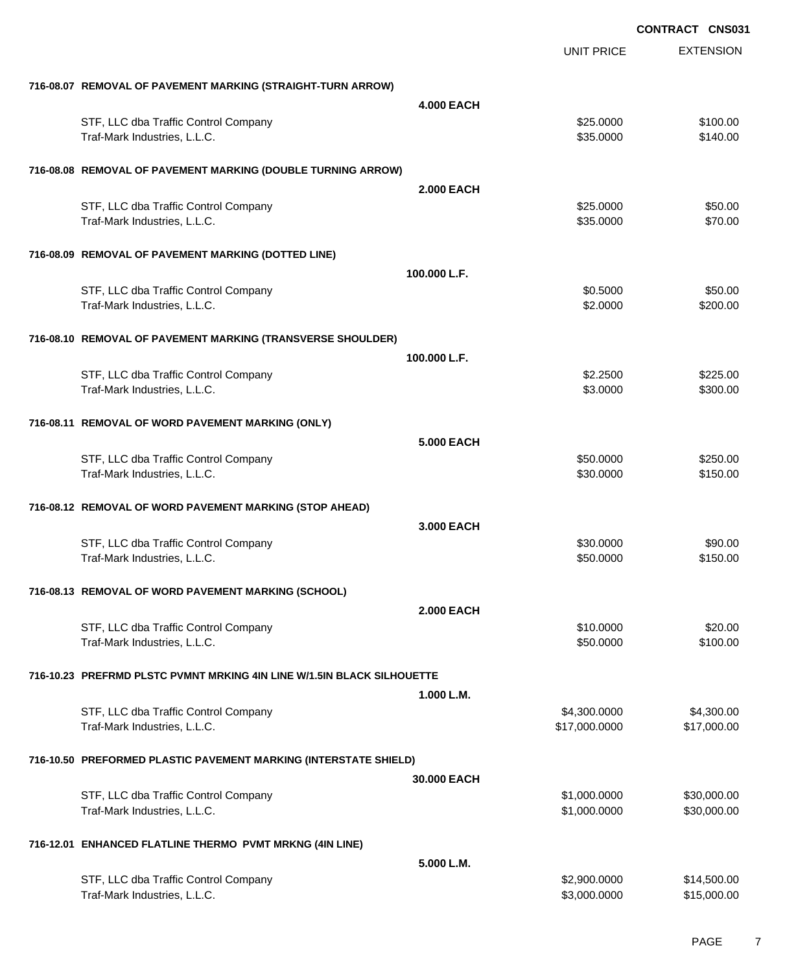|                                                                        |  |                   | <b>CONTRACT CNS031</b> |                      |
|------------------------------------------------------------------------|--|-------------------|------------------------|----------------------|
|                                                                        |  |                   | <b>UNIT PRICE</b>      | <b>EXTENSION</b>     |
| 716-08.07 REMOVAL OF PAVEMENT MARKING (STRAIGHT-TURN ARROW)            |  |                   |                        |                      |
|                                                                        |  | <b>4.000 EACH</b> |                        |                      |
| STF, LLC dba Traffic Control Company<br>Traf-Mark Industries, L.L.C.   |  |                   | \$25.0000<br>\$35.0000 | \$100.00<br>\$140.00 |
| 716-08.08 REMOVAL OF PAVEMENT MARKING (DOUBLE TURNING ARROW)           |  |                   |                        |                      |
|                                                                        |  | <b>2.000 EACH</b> |                        |                      |
| STF, LLC dba Traffic Control Company                                   |  |                   | \$25.0000              | \$50.00              |
| Traf-Mark Industries, L.L.C.                                           |  |                   | \$35.0000              | \$70.00              |
| 716-08.09 REMOVAL OF PAVEMENT MARKING (DOTTED LINE)                    |  |                   |                        |                      |
|                                                                        |  | 100.000 L.F.      |                        |                      |
| STF, LLC dba Traffic Control Company                                   |  |                   | \$0.5000               | \$50.00              |
| Traf-Mark Industries, L.L.C.                                           |  |                   | \$2.0000               | \$200.00             |
| 716-08.10 REMOVAL OF PAVEMENT MARKING (TRANSVERSE SHOULDER)            |  |                   |                        |                      |
|                                                                        |  | 100.000 L.F.      |                        |                      |
| STF, LLC dba Traffic Control Company                                   |  |                   | \$2.2500               | \$225.00             |
| Traf-Mark Industries, L.L.C.                                           |  |                   | \$3.0000               | \$300.00             |
| 716-08.11 REMOVAL OF WORD PAVEMENT MARKING (ONLY)                      |  |                   |                        |                      |
|                                                                        |  | <b>5.000 EACH</b> |                        |                      |
| STF, LLC dba Traffic Control Company                                   |  |                   | \$50.0000              | \$250.00             |
| Traf-Mark Industries, L.L.C.                                           |  |                   | \$30.0000              | \$150.00             |
| 716-08.12 REMOVAL OF WORD PAVEMENT MARKING (STOP AHEAD)                |  |                   |                        |                      |
|                                                                        |  | 3.000 EACH        |                        |                      |
| STF, LLC dba Traffic Control Company                                   |  |                   | \$30.0000              | \$90.00              |
| Traf-Mark Industries, L.L.C.                                           |  |                   | \$50.0000              | \$150.00             |
| 716-08.13 REMOVAL OF WORD PAVEMENT MARKING (SCHOOL)                    |  |                   |                        |                      |
|                                                                        |  | <b>2.000 EACH</b> |                        |                      |
| STF, LLC dba Traffic Control Company                                   |  |                   | \$10.0000              | \$20.00              |
| Traf-Mark Industries, L.L.C.                                           |  |                   | \$50.0000              | \$100.00             |
| 716-10.23 PREFRMD PLSTC PVMNT MRKING 4IN LINE W/1.5IN BLACK SILHOUETTE |  |                   |                        |                      |
|                                                                        |  | 1.000 L.M.        |                        |                      |
| STF, LLC dba Traffic Control Company                                   |  |                   | \$4,300.0000           | \$4,300.00           |
| Traf-Mark Industries, L.L.C.                                           |  |                   | \$17,000.0000          | \$17,000.00          |
| 716-10.50 PREFORMED PLASTIC PAVEMENT MARKING (INTERSTATE SHIELD)       |  |                   |                        |                      |
|                                                                        |  | 30,000 EACH       |                        |                      |
| STF, LLC dba Traffic Control Company                                   |  |                   | \$1,000.0000           | \$30,000.00          |
| Traf-Mark Industries, L.L.C.                                           |  |                   | \$1,000.0000           | \$30,000.00          |
| 716-12.01 ENHANCED FLATLINE THERMO PVMT MRKNG (4IN LINE)               |  |                   |                        |                      |
|                                                                        |  | 5.000 L.M.        |                        |                      |
| STF, LLC dba Traffic Control Company                                   |  |                   | \$2,900.0000           | \$14,500.00          |
| Traf-Mark Industries, L.L.C.                                           |  |                   | \$3,000.0000           | \$15,000.00          |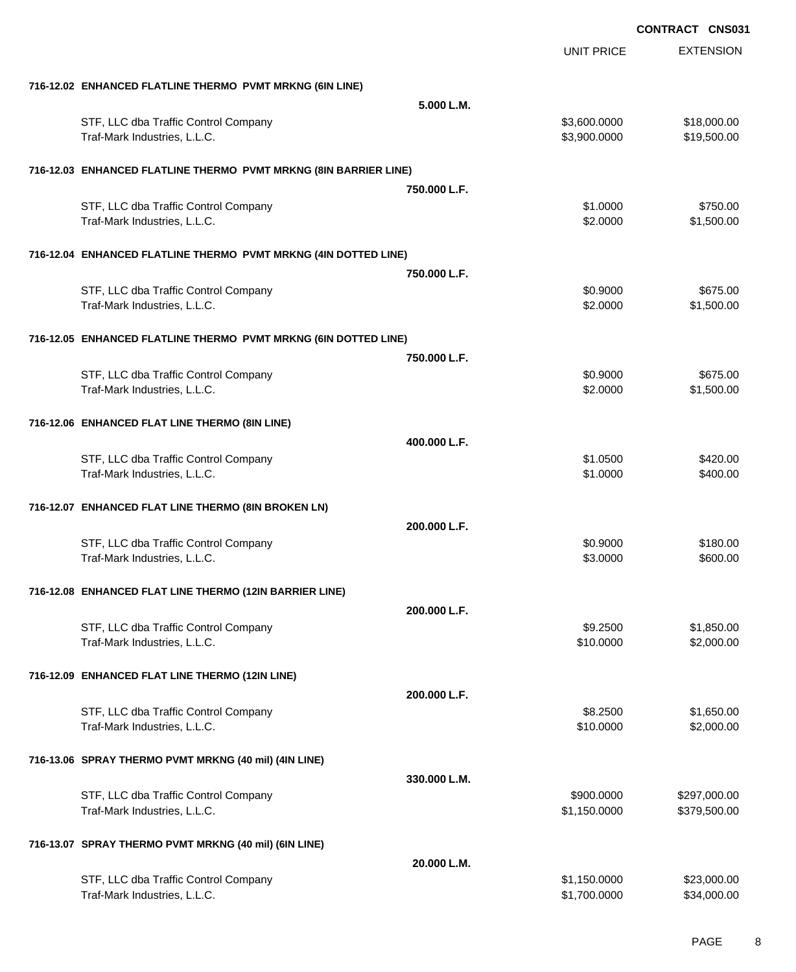|                                                                      |              | <b>UNIT PRICE</b>            | <b>EXTENSION</b>             |
|----------------------------------------------------------------------|--------------|------------------------------|------------------------------|
| 716-12.02 ENHANCED FLATLINE THERMO PVMT MRKNG (6IN LINE)             |              |                              |                              |
|                                                                      | 5.000 L.M.   |                              |                              |
| STF, LLC dba Traffic Control Company<br>Traf-Mark Industries, L.L.C. |              | \$3,600.0000<br>\$3,900.0000 | \$18,000.00<br>\$19,500.00   |
| 716-12.03 ENHANCED FLATLINE THERMO PVMT MRKNG (8IN BARRIER LINE)     |              |                              |                              |
|                                                                      | 750.000 L.F. |                              |                              |
| STF, LLC dba Traffic Control Company<br>Traf-Mark Industries, L.L.C. |              | \$1.0000<br>\$2.0000         | \$750.00<br>\$1,500.00       |
| 716-12.04 ENHANCED FLATLINE THERMO PVMT MRKNG (4IN DOTTED LINE)      |              |                              |                              |
|                                                                      | 750.000 L.F. |                              |                              |
| STF, LLC dba Traffic Control Company<br>Traf-Mark Industries, L.L.C. |              | \$0.9000<br>\$2.0000         | \$675.00<br>\$1,500.00       |
| 716-12.05 ENHANCED FLATLINE THERMO PVMT MRKNG (6IN DOTTED LINE)      |              |                              |                              |
|                                                                      | 750.000 L.F. |                              |                              |
| STF, LLC dba Traffic Control Company<br>Traf-Mark Industries, L.L.C. |              | \$0.9000<br>\$2.0000         | \$675.00<br>\$1,500.00       |
| 716-12.06 ENHANCED FLAT LINE THERMO (8IN LINE)                       |              |                              |                              |
|                                                                      | 400.000 L.F. |                              |                              |
| STF, LLC dba Traffic Control Company<br>Traf-Mark Industries, L.L.C. |              | \$1.0500<br>\$1.0000         | \$420.00<br>\$400.00         |
| 716-12.07 ENHANCED FLAT LINE THERMO (8IN BROKEN LN)                  |              |                              |                              |
|                                                                      | 200.000 L.F. |                              |                              |
| STF, LLC dba Traffic Control Company<br>Traf-Mark Industries, L.L.C. |              | \$0.9000<br>\$3.0000         | \$180.00<br>\$600.00         |
| 716-12.08 ENHANCED FLAT LINE THERMO (12IN BARRIER LINE)              |              |                              |                              |
|                                                                      | 200.000 L.F. |                              |                              |
| STF, LLC dba Traffic Control Company<br>Traf-Mark Industries, L.L.C. |              | \$9.2500<br>\$10.0000        | \$1,850.00<br>\$2,000.00     |
| 716-12.09 ENHANCED FLAT LINE THERMO (12IN LINE)                      |              |                              |                              |
|                                                                      | 200.000 L.F. |                              |                              |
| STF, LLC dba Traffic Control Company<br>Traf-Mark Industries, L.L.C. |              | \$8.2500<br>\$10.0000        | \$1,650.00<br>\$2,000.00     |
| 716-13.06 SPRAY THERMO PVMT MRKNG (40 mil) (4IN LINE)                |              |                              |                              |
|                                                                      | 330.000 L.M. |                              |                              |
| STF, LLC dba Traffic Control Company<br>Traf-Mark Industries, L.L.C. |              | \$900.0000<br>\$1,150.0000   | \$297,000.00<br>\$379,500.00 |
| 716-13.07 SPRAY THERMO PVMT MRKNG (40 mil) (6IN LINE)                |              |                              |                              |
|                                                                      | 20.000 L.M.  |                              |                              |
| STF, LLC dba Traffic Control Company<br>Traf-Mark Industries, L.L.C. |              | \$1,150.0000<br>\$1,700.0000 | \$23,000.00<br>\$34,000.00   |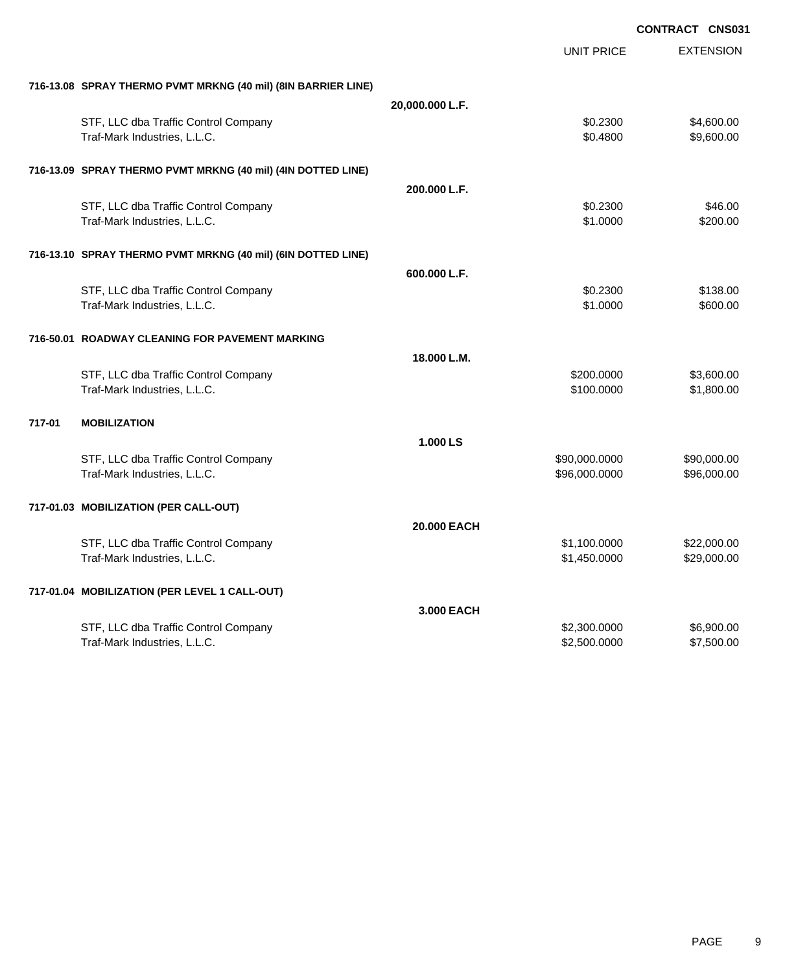|        |                                                               |                 |                   | <b>CONTRACT CNS031</b> |
|--------|---------------------------------------------------------------|-----------------|-------------------|------------------------|
|        |                                                               |                 | <b>UNIT PRICE</b> | <b>EXTENSION</b>       |
|        | 716-13.08 SPRAY THERMO PVMT MRKNG (40 mil) (8IN BARRIER LINE) |                 |                   |                        |
|        |                                                               | 20,000.000 L.F. |                   |                        |
|        | STF, LLC dba Traffic Control Company                          |                 | \$0.2300          | \$4,600.00             |
|        | Traf-Mark Industries, L.L.C.                                  |                 | \$0.4800          | \$9,600.00             |
|        | 716-13.09 SPRAY THERMO PVMT MRKNG (40 mil) (4IN DOTTED LINE)  |                 |                   |                        |
|        |                                                               | 200.000 L.F.    |                   |                        |
|        | STF, LLC dba Traffic Control Company                          |                 | \$0.2300          | \$46.00                |
|        | Traf-Mark Industries, L.L.C.                                  |                 | \$1.0000          | \$200.00               |
|        | 716-13.10 SPRAY THERMO PVMT MRKNG (40 mil) (6IN DOTTED LINE)  |                 |                   |                        |
|        |                                                               | 600.000 L.F.    |                   |                        |
|        | STF, LLC dba Traffic Control Company                          |                 | \$0.2300          | \$138.00               |
|        | Traf-Mark Industries, L.L.C.                                  |                 | \$1.0000          | \$600.00               |
|        | 716-50.01 ROADWAY CLEANING FOR PAVEMENT MARKING               |                 |                   |                        |
|        |                                                               | 18.000 L.M.     |                   |                        |
|        | STF, LLC dba Traffic Control Company                          |                 | \$200.0000        | \$3,600.00             |
|        | Traf-Mark Industries, L.L.C.                                  |                 | \$100.0000        | \$1,800.00             |
| 717-01 | <b>MOBILIZATION</b>                                           |                 |                   |                        |
|        |                                                               | 1.000 LS        |                   |                        |
|        | STF, LLC dba Traffic Control Company                          |                 | \$90,000.0000     | \$90,000.00            |
|        | Traf-Mark Industries, L.L.C.                                  |                 | \$96,000.0000     | \$96,000.00            |
|        | 717-01.03 MOBILIZATION (PER CALL-OUT)                         |                 |                   |                        |
|        |                                                               | 20.000 EACH     |                   |                        |
|        | STF, LLC dba Traffic Control Company                          |                 | \$1,100.0000      | \$22,000.00            |
|        | Traf-Mark Industries, L.L.C.                                  |                 | \$1,450.0000      | \$29,000.00            |
|        | 717-01.04 MOBILIZATION (PER LEVEL 1 CALL-OUT)                 |                 |                   |                        |
|        |                                                               | 3.000 EACH      |                   |                        |
|        | STF, LLC dba Traffic Control Company                          |                 | \$2,300.0000      | \$6,900.00             |
|        | Traf-Mark Industries, L.L.C.                                  |                 | \$2,500.0000      | \$7,500.00             |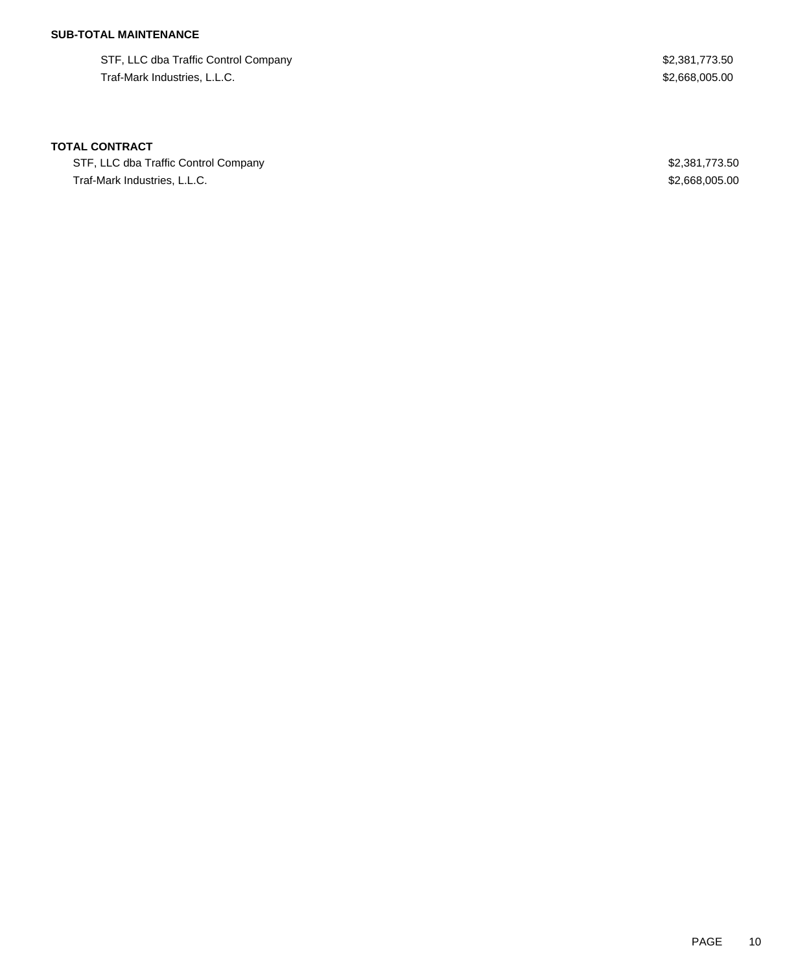## **SUB-TOTAL MAINTENANCE**

STF, LLC dba Traffic Control Company \$2,381,773.50 Traf-Mark Industries, L.L.C. \$2,668,005.00

### **TOTAL CONTRACT**

STF, LLC dba Traffic Control Company **\$2,381,773.50** \$2,381,773.50 Traf-Mark Industries, L.L.C. \$2,668,005.00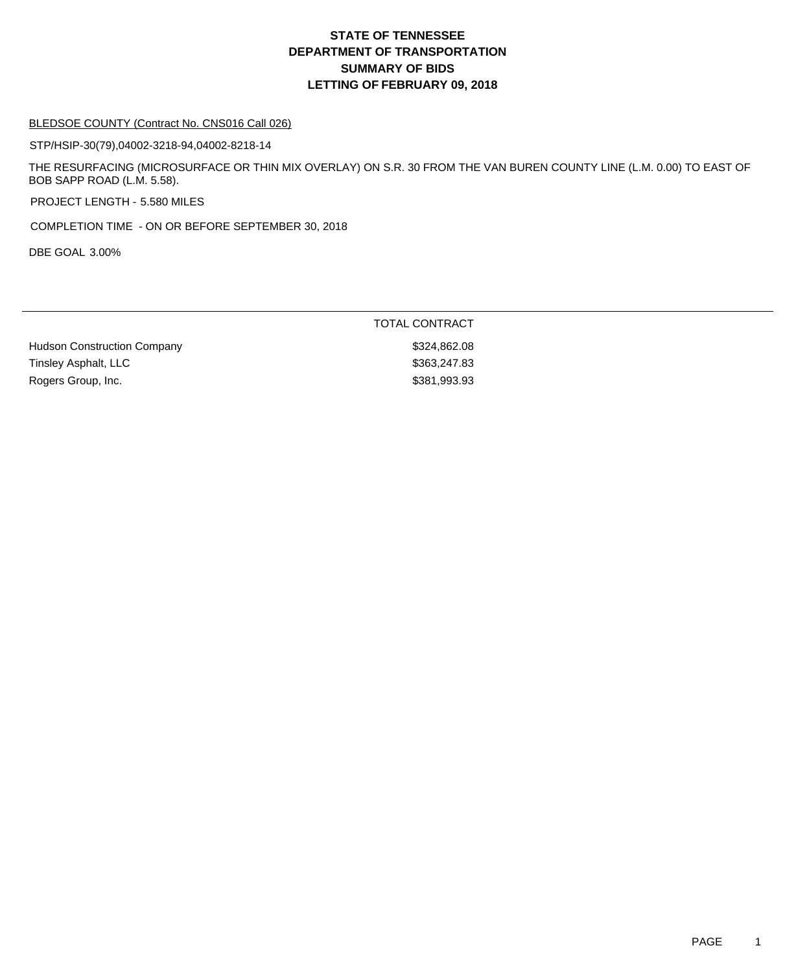#### BLEDSOE COUNTY (Contract No. CNS016 Call 026)

STP/HSIP-30(79),04002-3218-94,04002-8218-14

THE RESURFACING (MICROSURFACE OR THIN MIX OVERLAY) ON S.R. 30 FROM THE VAN BUREN COUNTY LINE (L.M. 0.00) TO EAST OF BOB SAPP ROAD (L.M. 5.58).

PROJECT LENGTH - 5.580 MILES

COMPLETION TIME - ON OR BEFORE SEPTEMBER 30, 2018

DBE GOAL 3.00%

|                                    | <b>TOTAL CONTRACT</b> |
|------------------------------------|-----------------------|
| <b>Hudson Construction Company</b> | \$324,862.08          |
| Tinsley Asphalt, LLC               | \$363,247.83          |
| Rogers Group, Inc.                 | \$381,993.93          |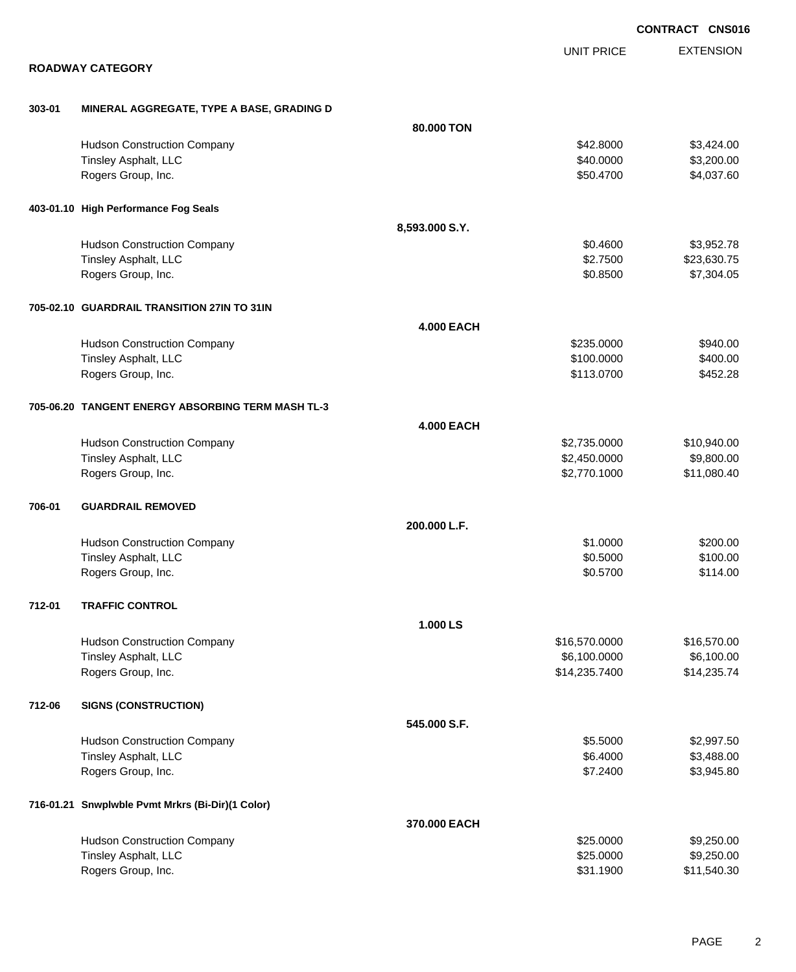|        |                                                   |                   |                   | <b>CONTRACT CNS016</b> |
|--------|---------------------------------------------------|-------------------|-------------------|------------------------|
|        |                                                   |                   | <b>UNIT PRICE</b> | <b>EXTENSION</b>       |
|        | <b>ROADWAY CATEGORY</b>                           |                   |                   |                        |
| 303-01 | MINERAL AGGREGATE, TYPE A BASE, GRADING D         |                   |                   |                        |
|        |                                                   | 80,000 TON        |                   |                        |
|        | <b>Hudson Construction Company</b>                |                   | \$42.8000         | \$3,424.00             |
|        | Tinsley Asphalt, LLC                              |                   | \$40.0000         | \$3,200.00             |
|        | Rogers Group, Inc.                                |                   | \$50.4700         | \$4,037.60             |
|        | 403-01.10 High Performance Fog Seals              |                   |                   |                        |
|        |                                                   | 8,593.000 S.Y.    |                   |                        |
|        | <b>Hudson Construction Company</b>                |                   | \$0.4600          | \$3,952.78             |
|        | Tinsley Asphalt, LLC                              |                   | \$2.7500          | \$23,630.75            |
|        | Rogers Group, Inc.                                |                   | \$0.8500          | \$7,304.05             |
|        | 705-02.10 GUARDRAIL TRANSITION 27IN TO 31IN       |                   |                   |                        |
|        |                                                   | <b>4.000 EACH</b> |                   |                        |
|        | <b>Hudson Construction Company</b>                |                   | \$235.0000        | \$940.00               |
|        | Tinsley Asphalt, LLC                              |                   | \$100.0000        | \$400.00               |
|        | Rogers Group, Inc.                                |                   | \$113.0700        | \$452.28               |
|        | 705-06.20 TANGENT ENERGY ABSORBING TERM MASH TL-3 |                   |                   |                        |
|        |                                                   | <b>4.000 EACH</b> |                   |                        |
|        | <b>Hudson Construction Company</b>                |                   | \$2,735.0000      | \$10,940.00            |
|        | Tinsley Asphalt, LLC                              |                   | \$2,450.0000      | \$9,800.00             |
|        | Rogers Group, Inc.                                |                   | \$2,770.1000      | \$11,080.40            |
| 706-01 | <b>GUARDRAIL REMOVED</b>                          |                   |                   |                        |
|        |                                                   | 200.000 L.F.      |                   |                        |
|        | <b>Hudson Construction Company</b>                |                   | \$1.0000          | \$200.00               |
|        | Tinsley Asphalt, LLC                              |                   | \$0.5000          | \$100.00               |
|        | Rogers Group, Inc.                                |                   | \$0.5700          | \$114.00               |
| 712-01 | <b>TRAFFIC CONTROL</b>                            |                   |                   |                        |
|        |                                                   | 1.000 LS          |                   |                        |
|        | <b>Hudson Construction Company</b>                |                   | \$16,570.0000     | \$16,570.00            |
|        | Tinsley Asphalt, LLC                              |                   | \$6,100.0000      | \$6,100.00             |
|        | Rogers Group, Inc.                                |                   | \$14,235.7400     | \$14,235.74            |
| 712-06 | <b>SIGNS (CONSTRUCTION)</b>                       |                   |                   |                        |
|        |                                                   | 545.000 S.F.      |                   |                        |
|        | <b>Hudson Construction Company</b>                |                   | \$5.5000          | \$2,997.50             |
|        | Tinsley Asphalt, LLC                              |                   | \$6.4000          | \$3,488.00             |
|        | Rogers Group, Inc.                                |                   | \$7.2400          | \$3,945.80             |
|        | 716-01.21 Snwplwble Pvmt Mrkrs (Bi-Dir)(1 Color)  |                   |                   |                        |
|        |                                                   | 370.000 EACH      |                   |                        |
|        | <b>Hudson Construction Company</b>                |                   | \$25.0000         | \$9,250.00             |
|        | Tinsley Asphalt, LLC                              |                   | \$25.0000         | \$9,250.00             |
|        | Rogers Group, Inc.                                |                   | \$31.1900         | \$11,540.30            |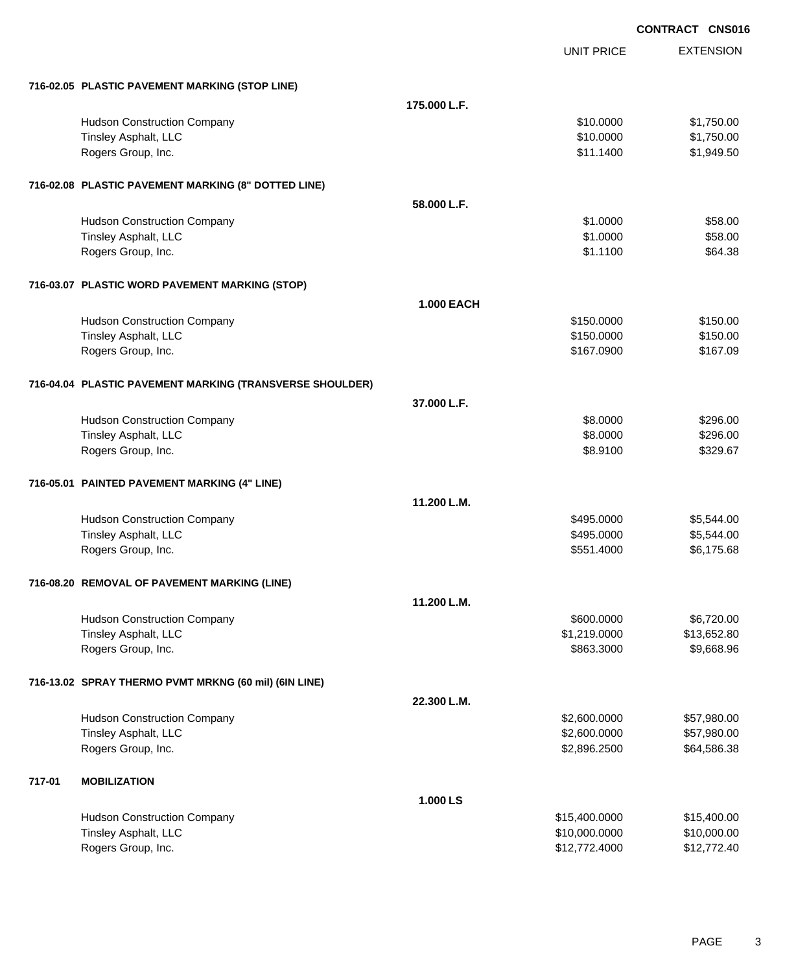|        |                                                          |                   |                   | <b>CONTRACT CNS016</b> |
|--------|----------------------------------------------------------|-------------------|-------------------|------------------------|
|        |                                                          |                   | <b>UNIT PRICE</b> | <b>EXTENSION</b>       |
|        | 716-02.05 PLASTIC PAVEMENT MARKING (STOP LINE)           |                   |                   |                        |
|        |                                                          | 175.000 L.F.      |                   |                        |
|        | <b>Hudson Construction Company</b>                       |                   | \$10.0000         | \$1,750.00             |
|        | Tinsley Asphalt, LLC                                     |                   | \$10,0000         | \$1,750.00             |
|        | Rogers Group, Inc.                                       |                   | \$11.1400         | \$1,949.50             |
|        | 716-02.08 PLASTIC PAVEMENT MARKING (8" DOTTED LINE)      |                   |                   |                        |
|        |                                                          | 58.000 L.F.       |                   |                        |
|        | <b>Hudson Construction Company</b>                       |                   | \$1.0000          | \$58.00                |
|        | Tinsley Asphalt, LLC                                     |                   | \$1.0000          | \$58.00                |
|        | Rogers Group, Inc.                                       |                   | \$1.1100          | \$64.38                |
|        | 716-03.07 PLASTIC WORD PAVEMENT MARKING (STOP)           |                   |                   |                        |
|        |                                                          | <b>1.000 EACH</b> |                   |                        |
|        | <b>Hudson Construction Company</b>                       |                   | \$150.0000        | \$150.00               |
|        | Tinsley Asphalt, LLC                                     |                   | \$150.0000        | \$150.00               |
|        | Rogers Group, Inc.                                       |                   | \$167.0900        | \$167.09               |
|        | 716-04.04 PLASTIC PAVEMENT MARKING (TRANSVERSE SHOULDER) |                   |                   |                        |
|        |                                                          | 37.000 L.F.       |                   |                        |
|        | <b>Hudson Construction Company</b>                       |                   | \$8.0000          | \$296.00               |
|        | Tinsley Asphalt, LLC                                     |                   | \$8.0000          | \$296.00               |
|        | Rogers Group, Inc.                                       |                   | \$8.9100          | \$329.67               |
|        | 716-05.01 PAINTED PAVEMENT MARKING (4" LINE)             |                   |                   |                        |
|        |                                                          | 11.200 L.M.       |                   |                        |
|        | <b>Hudson Construction Company</b>                       |                   | \$495.0000        | \$5,544.00             |
|        | Tinsley Asphalt, LLC                                     |                   | \$495.0000        | \$5,544.00             |
|        | Rogers Group, Inc.                                       |                   | \$551.4000        | \$6,175.68             |
|        | 716-08.20 REMOVAL OF PAVEMENT MARKING (LINE)             |                   |                   |                        |
|        |                                                          | 11.200 L.M.       |                   |                        |
|        | <b>Hudson Construction Company</b>                       |                   | \$600.0000        | \$6,720.00             |
|        | Tinsley Asphalt, LLC                                     |                   | \$1,219.0000      | \$13,652.80            |
|        | Rogers Group, Inc.                                       |                   | \$863.3000        | \$9,668.96             |
|        | 716-13.02 SPRAY THERMO PVMT MRKNG (60 mil) (6IN LINE)    |                   |                   |                        |
|        |                                                          | 22.300 L.M.       |                   |                        |
|        | <b>Hudson Construction Company</b>                       |                   | \$2,600.0000      | \$57,980.00            |
|        | Tinsley Asphalt, LLC                                     |                   | \$2,600.0000      | \$57,980.00            |
|        | Rogers Group, Inc.                                       |                   | \$2,896.2500      | \$64,586.38            |
| 717-01 | <b>MOBILIZATION</b>                                      |                   |                   |                        |
|        |                                                          | 1.000 LS          |                   |                        |
|        | <b>Hudson Construction Company</b>                       |                   | \$15,400.0000     | \$15,400.00            |
|        | Tinsley Asphalt, LLC                                     |                   | \$10,000.0000     | \$10,000.00            |
|        | Rogers Group, Inc.                                       |                   | \$12,772.4000     | \$12,772.40            |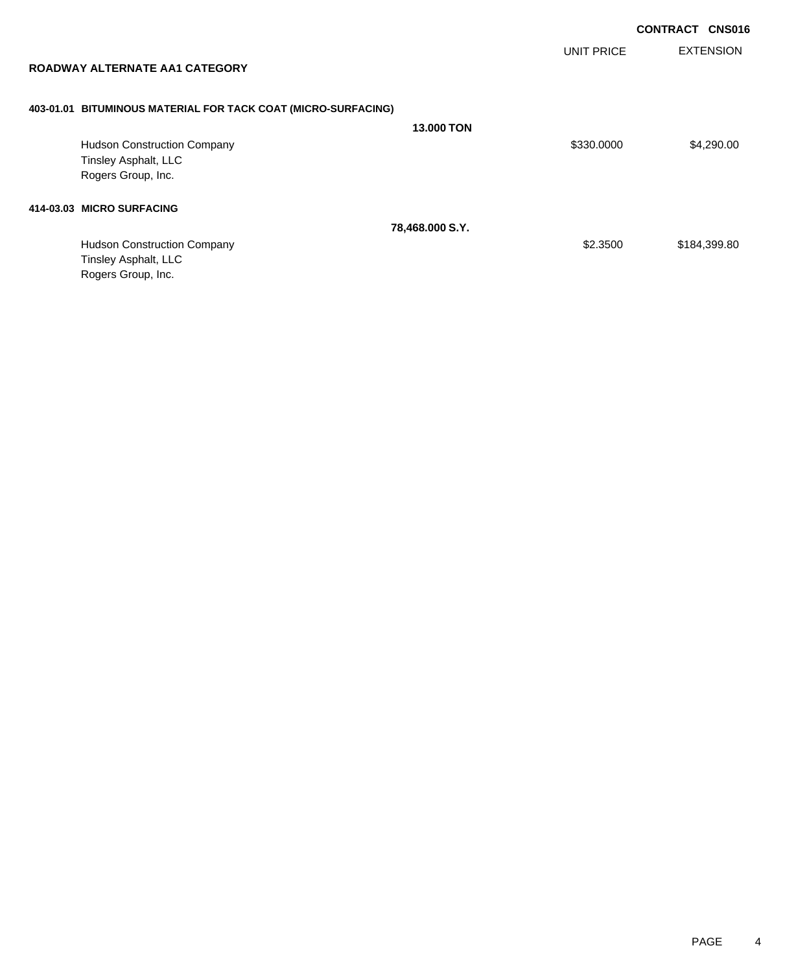UNIT PRICE

EXTENSION

**ROADWAY ALTERNATE AA1 CATEGORY**

### **403-01.01 BITUMINOUS MATERIAL FOR TACK COAT (MICRO-SURFACING)**

|                                    | <b>13,000 TON</b>         |            |              |
|------------------------------------|---------------------------|------------|--------------|
| <b>Hudson Construction Company</b> |                           | \$330.0000 | \$4,290.00   |
| Tinsley Asphalt, LLC               |                           |            |              |
| Rogers Group, Inc.                 |                           |            |              |
|                                    |                           |            |              |
|                                    | 78,468.000 S.Y.           |            |              |
| <b>Hudson Construction Company</b> |                           | \$2,3500   | \$184,399.80 |
| Tinsley Asphalt, LLC               |                           |            |              |
| Rogers Group, Inc.                 |                           |            |              |
|                                    | 414-03.03 MICRO SURFACING |            |              |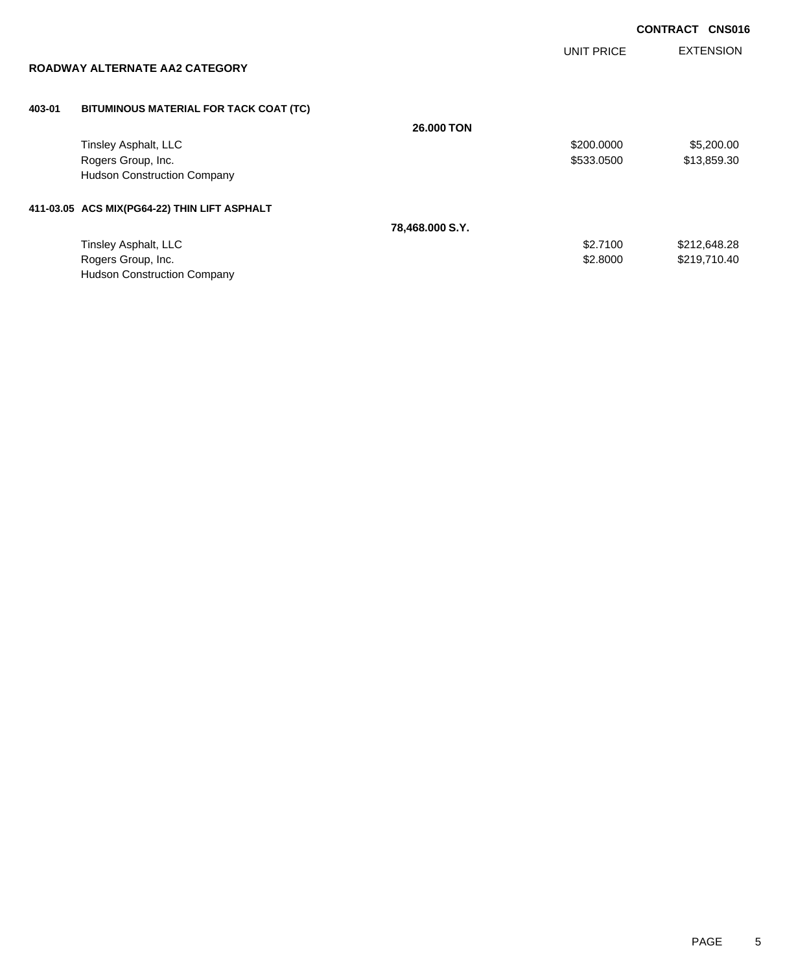UNIT PRICE

EXTENSION

| ROADWAY ALTERNATE AA2 CATEGORY |  |
|--------------------------------|--|
|--------------------------------|--|

### **403-01 BITUMINOUS MATERIAL FOR TACK COAT (TC)**

|                                              | <b>26,000 TON</b> |            |              |
|----------------------------------------------|-------------------|------------|--------------|
| Tinsley Asphalt, LLC                         |                   | \$200,0000 | \$5,200.00   |
| Rogers Group, Inc.                           |                   | \$533,0500 | \$13,859.30  |
| <b>Hudson Construction Company</b>           |                   |            |              |
| 411-03.05 ACS MIX(PG64-22) THIN LIFT ASPHALT |                   |            |              |
|                                              | 78,468.000 S.Y.   |            |              |
| Tinsley Asphalt, LLC                         |                   | \$2,7100   | \$212,648.28 |
| Rogers Group, Inc.                           |                   | \$2.8000   | \$219,710.40 |
| <b>Hudson Construction Company</b>           |                   |            |              |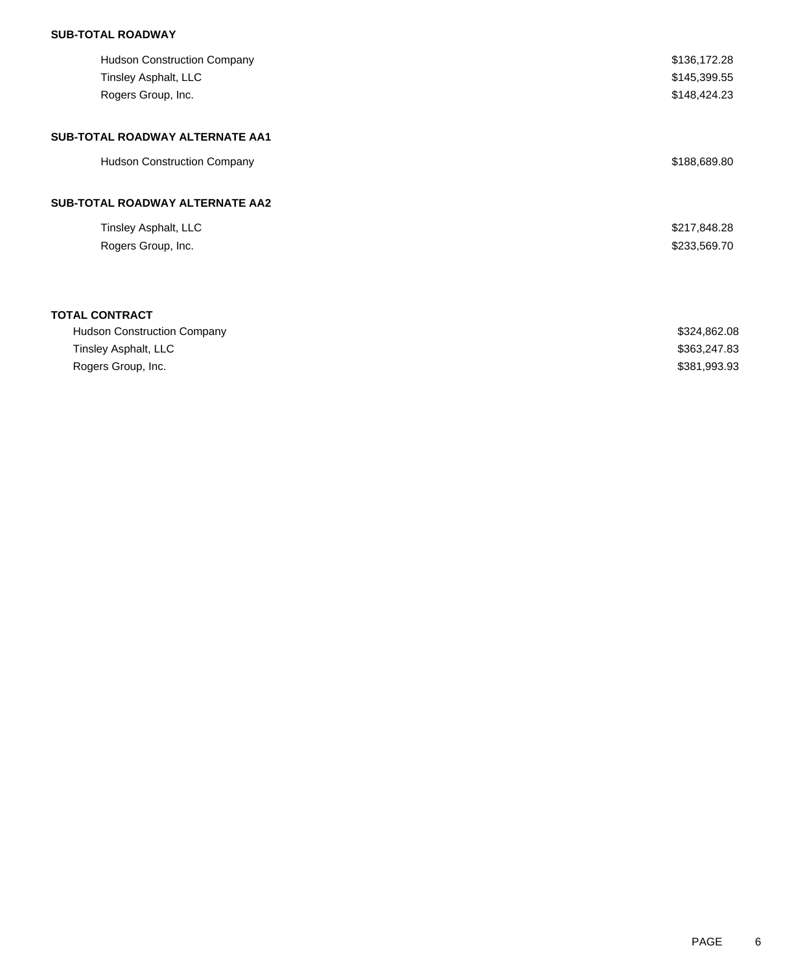## **SUB-TOTAL ROADWAY**

| <b>Hudson Construction Company</b>         | \$136,172.28                 |
|--------------------------------------------|------------------------------|
| Tinsley Asphalt, LLC<br>Rogers Group, Inc. | \$145,399.55<br>\$148,424.23 |
|                                            |                              |
| SUB-TOTAL ROADWAY ALTERNATE AA1            |                              |
| <b>Hudson Construction Company</b>         | \$188,689.80                 |
| <b>SUB-TOTAL ROADWAY ALTERNATE AA2</b>     |                              |
| Tinsley Asphalt, LLC                       | \$217,848.28                 |
| Rogers Group, Inc.                         | \$233,569.70                 |
|                                            |                              |
| <b>TOTAL CONTRACT</b>                      |                              |
| <b>Hudson Construction Company</b>         | \$324,862.08                 |
| Tinsley Asphalt, LLC                       | \$363,247.83                 |
| Rogers Group, Inc.                         | \$381,993.93                 |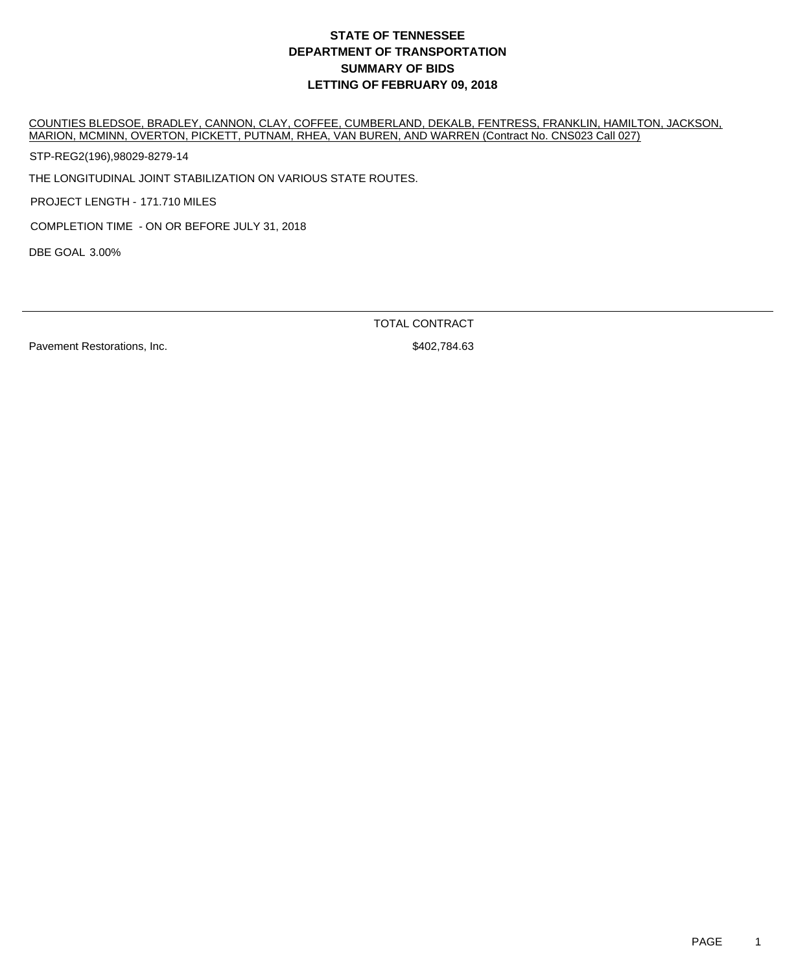COUNTIES BLEDSOE, BRADLEY, CANNON, CLAY, COFFEE, CUMBERLAND, DEKALB, FENTRESS, FRANKLIN, HAMILTON, JACKSON, MARION, MCMINN, OVERTON, PICKETT, PUTNAM, RHEA, VAN BUREN, AND WARREN (Contract No. CNS023 Call 027)

STP-REG2(196),98029-8279-14

THE LONGITUDINAL JOINT STABILIZATION ON VARIOUS STATE ROUTES.

PROJECT LENGTH - 171.710 MILES

COMPLETION TIME - ON OR BEFORE JULY 31, 2018

DBE GOAL 3.00%

TOTAL CONTRACT

Pavement Restorations, Inc.  $\blacksquare$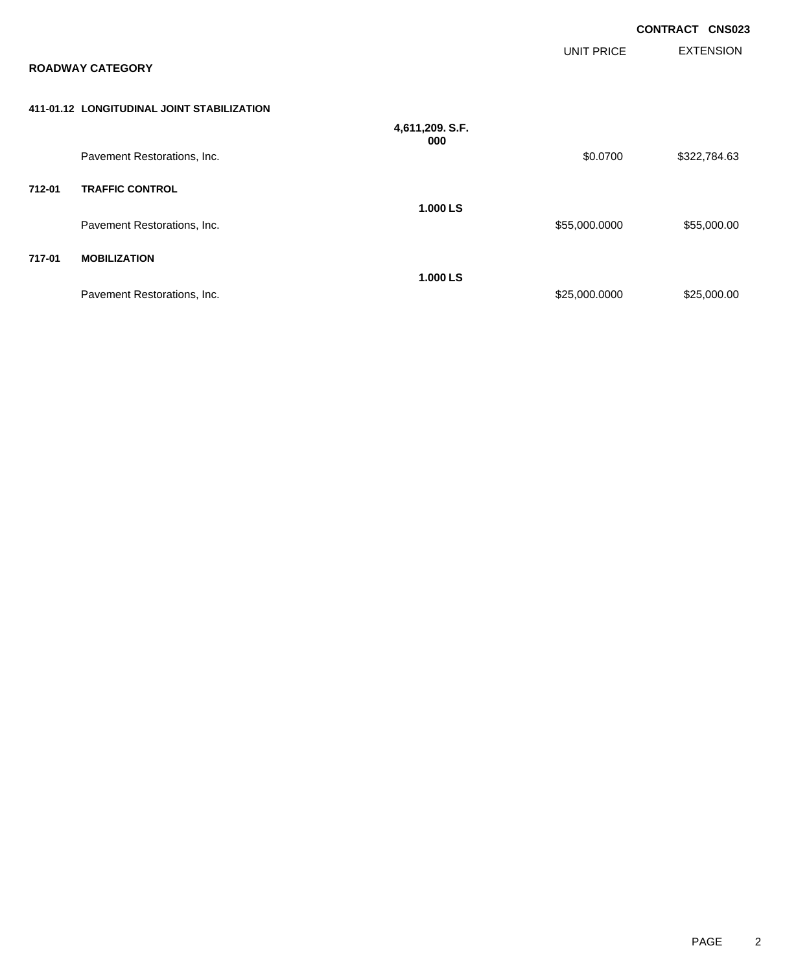|        |                                            |                        | UNIT PRICE    | <b>CONTRACT CNS023</b><br><b>EXTENSION</b> |
|--------|--------------------------------------------|------------------------|---------------|--------------------------------------------|
|        | <b>ROADWAY CATEGORY</b>                    |                        |               |                                            |
|        | 411-01.12 LONGITUDINAL JOINT STABILIZATION |                        |               |                                            |
|        |                                            | 4,611,209. S.F.<br>000 |               |                                            |
|        | Pavement Restorations, Inc.                |                        | \$0.0700      | \$322,784.63                               |
| 712-01 | <b>TRAFFIC CONTROL</b>                     |                        |               |                                            |
|        | Pavement Restorations, Inc.                | 1.000 LS               | \$55,000.0000 | \$55,000.00                                |
| 717-01 | <b>MOBILIZATION</b>                        |                        |               |                                            |
|        | Pavement Restorations, Inc.                | 1.000 LS               | \$25,000.0000 | \$25,000.00                                |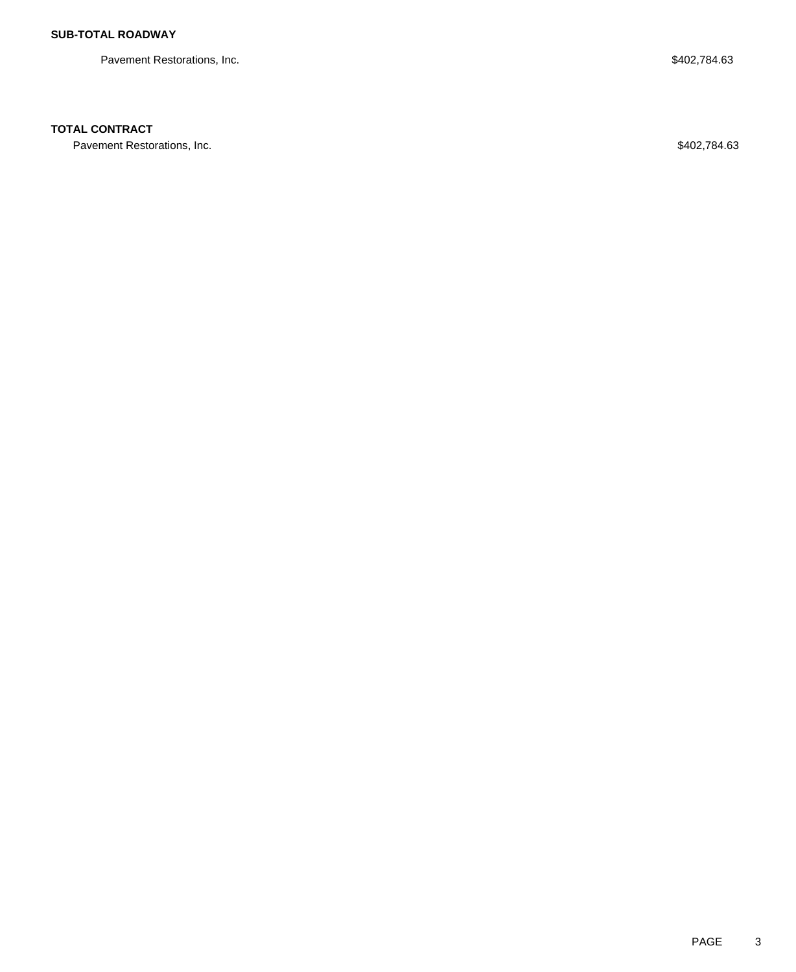Pavement Restorations, Inc. 63

# **TOTAL CONTRACT**

Pavement Restorations, Inc. 63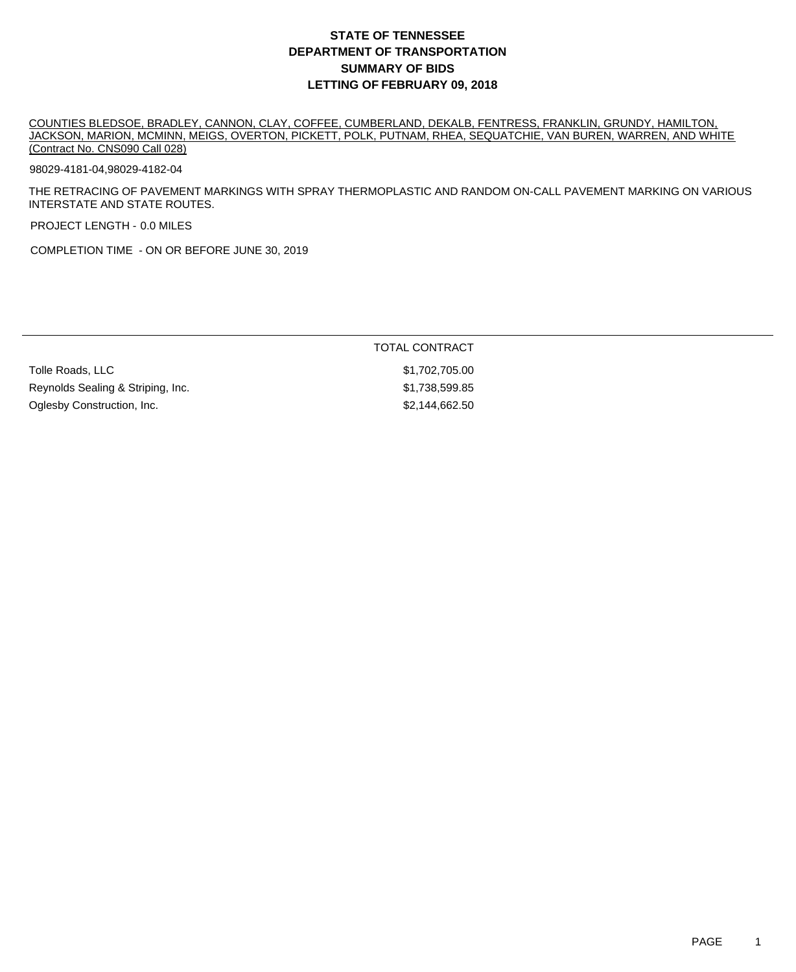COUNTIES BLEDSOE, BRADLEY, CANNON, CLAY, COFFEE, CUMBERLAND, DEKALB, FENTRESS, FRANKLIN, GRUNDY, HAMILTON, JACKSON, MARION, MCMINN, MEIGS, OVERTON, PICKETT, POLK, PUTNAM, RHEA, SEQUATCHIE, VAN BUREN, WARREN, AND WHITE (Contract No. CNS090 Call 028)

### 98029-4181-04,98029-4182-04

THE RETRACING OF PAVEMENT MARKINGS WITH SPRAY THERMOPLASTIC AND RANDOM ON-CALL PAVEMENT MARKING ON VARIOUS INTERSTATE AND STATE ROUTES.

PROJECT LENGTH - 0.0 MILES

COMPLETION TIME - ON OR BEFORE JUNE 30, 2019

|                                   | <b>TOTAL CONTRACT</b> |  |
|-----------------------------------|-----------------------|--|
| Tolle Roads, LLC                  | \$1,702,705.00        |  |
| Reynolds Sealing & Striping, Inc. | \$1,738,599.85        |  |
| Oglesby Construction, Inc.        | \$2,144,662.50        |  |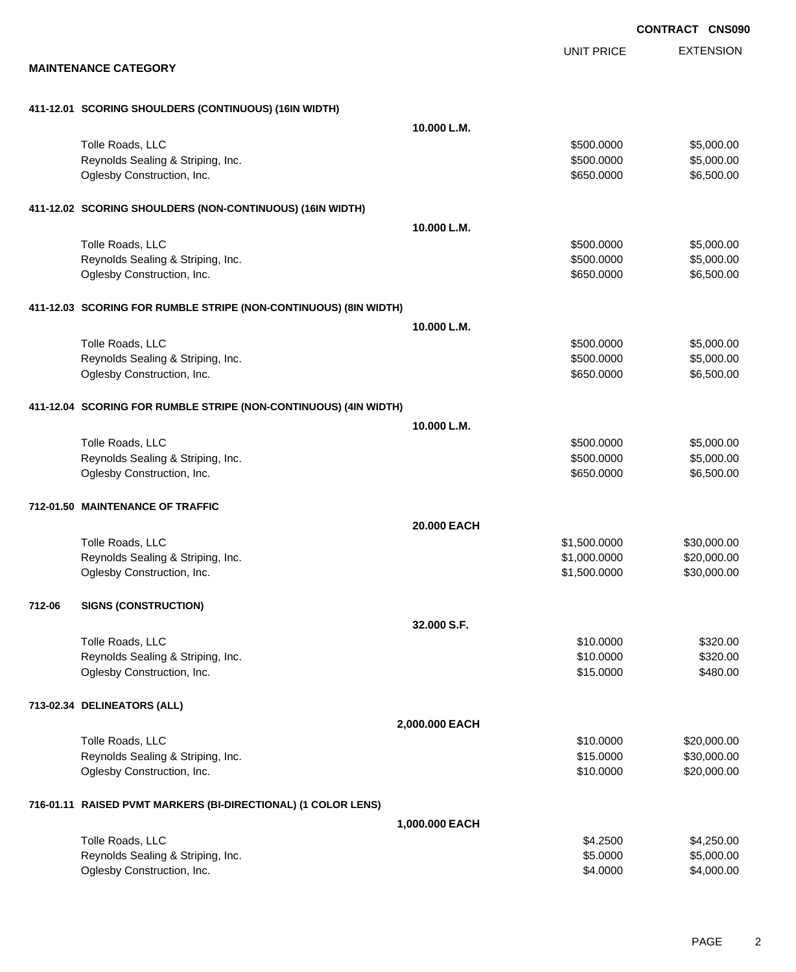EXTENSION **CONTRACT CNS090** UNIT PRICE **MAINTENANCE CATEGORY 411-12.01 SCORING SHOULDERS (CONTINUOUS) (16IN WIDTH) 10.000 L.M.** Tolle Roads, LLC \$5,000.000 \$5,000.00 \$5,000.00 \$5,000.00 \$5,000.00 \$5,000.00 \$5,000.00 \$5,000.00 \$5,000.00 \$5,000 Reynolds Sealing & Striping, Inc. 6. The Strip of the Strip of the Strip of the Strip of the Strip of the Strip of the Strip of the Strip of the Strip of the Strip of the Strip of the Strip of the Strip of the Strip of the Oglesby Construction, Inc. 650.000 \$6,500.00 \$6,500.00 \$6,500.00 \$6,500.00 \$6,500.00 \$6,500.00 \$6,500.00 \$6,500 **411-12.02 SCORING SHOULDERS (NON-CONTINUOUS) (16IN WIDTH) 10.000 L.M.** Tolle Roads, LLC \$5,000.000 \$5,000.00 \$5,000.00 \$5,000.00 \$5,000.00 \$5,000.00 \$5,000.00 \$5,000.00 \$5,000.00 \$5,000 Reynolds Sealing & Striping, Inc.  $\sim$  8500.000 \$5,000.000 \$5,000.000 \$5,000.00 Oglesby Construction, Inc. \$650.0000 \$6,500.00 **411-12.03 SCORING FOR RUMBLE STRIPE (NON-CONTINUOUS) (8IN WIDTH) 10.000 L.M.** Tolle Roads, LLC  $$500.000$   $$5,000.00$ Reynolds Sealing & Striping, Inc. 6. The Strip of the Strip of the Strip of the Strip of the Strip of the Strip of the Strip of the Strip of the Strip of the Strip of the Strip of the Strip of the Strip of the Strip of the Oglesby Construction, Inc. 650.000 \$6,500.00 \$6,500.00 \$6,500.00 \$6,500.00 \$6,500.00 \$6,500.00 \$6,500.00 \$6,500 **411-12.04 SCORING FOR RUMBLE STRIPE (NON-CONTINUOUS) (4IN WIDTH) 10.000 L.M.** Tolle Roads, LLC \$5,000.000 \$5,000.00 \$5,000.00 \$5,000.00 \$5,000.00 \$5,000.00 \$5,000.00 \$5,000.00 \$5,000.00 \$5,000 Reynolds Sealing & Striping, Inc. 6. The Strip of the Strip of the Strip of the Strip of the Strip of the Strip of the Strip of the Strip of the Strip of the Strip of the Strip of the Strip of the Strip of the Strip of the Oglesby Construction, Inc. 650.000 \$6,500.00 \$6,500.00 \$650.000 \$6,500.00 **712-01.50 MAINTENANCE OF TRAFFIC 20.000 EACH** Tolle Roads, LLC  $$1,500.0000$   $$30,000.00$ Reynolds Sealing & Striping, Inc. \$1,000.0000 \$20,000.000 \$20,000.000 \$20,000.000 Oglesby Construction, Inc. 630,000.00 \$30,000.00 \$1,500.000 \$30,000.00 \$30,000.00 **712-06 SIGNS (CONSTRUCTION) 32.000 S.F.** Tolle Roads, LLC \$320.00 Reynolds Sealing & Striping, Inc. \$320.00 \$320.00 Oglesby Construction, Inc. 6480.00 **713-02.34 DELINEATORS (ALL) 2,000.000 EACH** Tolle Roads, LLC \$10.0000 \$20,000.00 Reynolds Sealing & Striping, Inc. \$15.0000 \$30,000.00 Oglesby Construction, Inc. 620,000.00 \$20,000.00 \$20,000.00 \$20,000.00 \$20,000.00 **716-01.11 RAISED PVMT MARKERS (BI-DIRECTIONAL) (1 COLOR LENS) 1,000.000 EACH** Tolle Roads, LLC  $$4.2500$   $$4.250.00$ Reynolds Sealing & Striping, Inc. 6. The Strip of the Strip of the Strip of the Strip of the Strip of the Strip of the Strip of the Strip of the Strip of the Strip of the Strip of the Strip of the Strip of the Strip of the Oglesby Construction, Inc. 66 and the construction, Inc. 64.000.00 \$4,000.00 \$4,000.00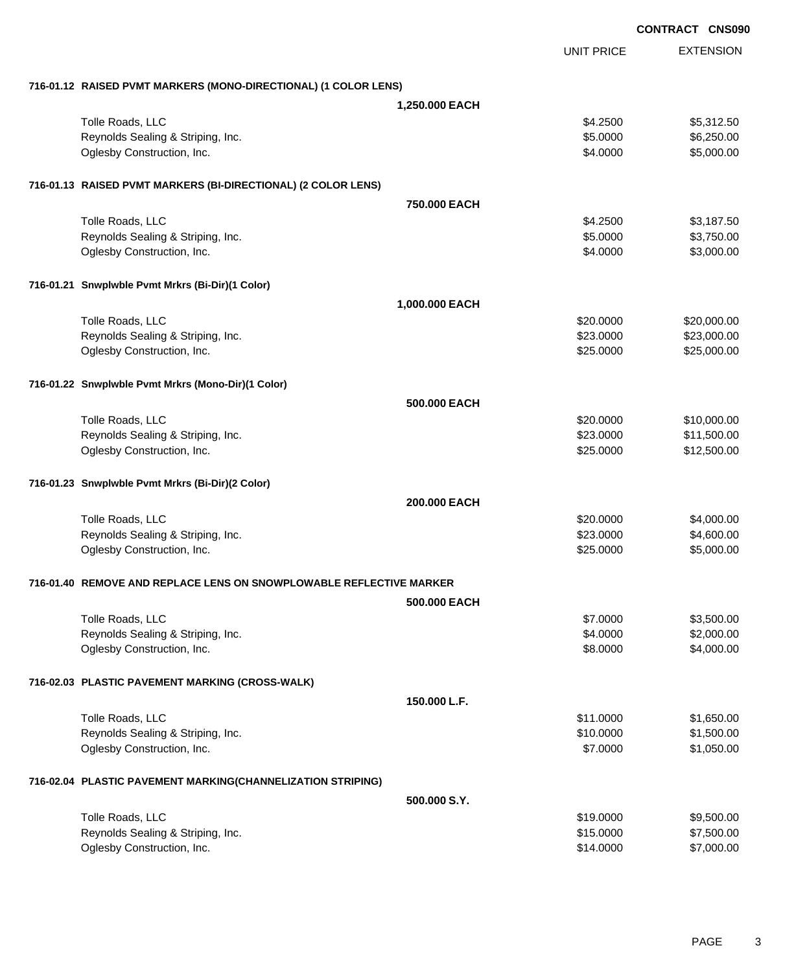|                                                                     | CONTRACT CNS090 |                   |                  |
|---------------------------------------------------------------------|-----------------|-------------------|------------------|
|                                                                     |                 | <b>UNIT PRICE</b> | <b>EXTENSION</b> |
| 716-01.12 RAISED PVMT MARKERS (MONO-DIRECTIONAL) (1 COLOR LENS)     |                 |                   |                  |
|                                                                     | 1,250.000 EACH  |                   |                  |
| Tolle Roads, LLC                                                    |                 | \$4.2500          | \$5,312.50       |
| Reynolds Sealing & Striping, Inc.                                   |                 | \$5.0000          | \$6,250.00       |
| Oglesby Construction, Inc.                                          |                 | \$4.0000          | \$5,000.00       |
| 716-01.13 RAISED PVMT MARKERS (BI-DIRECTIONAL) (2 COLOR LENS)       |                 |                   |                  |
|                                                                     | 750,000 EACH    |                   |                  |
| Tolle Roads, LLC                                                    |                 | \$4.2500          | \$3,187.50       |
| Reynolds Sealing & Striping, Inc.                                   |                 | \$5.0000          | \$3,750.00       |
| Oglesby Construction, Inc.                                          |                 | \$4.0000          | \$3,000.00       |
| 716-01.21 Snwplwble Pvmt Mrkrs (Bi-Dir)(1 Color)                    |                 |                   |                  |
|                                                                     | 1,000.000 EACH  |                   |                  |
| Tolle Roads, LLC                                                    |                 | \$20.0000         | \$20,000.00      |
| Reynolds Sealing & Striping, Inc.                                   |                 | \$23.0000         | \$23,000.00      |
| Oglesby Construction, Inc.                                          |                 | \$25.0000         | \$25,000.00      |
| 716-01.22 Snwplwble Pvmt Mrkrs (Mono-Dir)(1 Color)                  |                 |                   |                  |
|                                                                     | 500.000 EACH    |                   |                  |
| Tolle Roads, LLC                                                    |                 | \$20.0000         | \$10,000.00      |
| Reynolds Sealing & Striping, Inc.                                   |                 | \$23.0000         | \$11,500.00      |
| Oglesby Construction, Inc.                                          |                 | \$25.0000         | \$12,500.00      |
| 716-01.23 Snwplwble Pvmt Mrkrs (Bi-Dir)(2 Color)                    |                 |                   |                  |
|                                                                     | 200.000 EACH    |                   |                  |
| Tolle Roads, LLC                                                    |                 | \$20,0000         | \$4,000.00       |
| Reynolds Sealing & Striping, Inc.                                   |                 | \$23.0000         | \$4,600.00       |
| Oglesby Construction, Inc.                                          |                 | \$25.0000         | \$5,000.00       |
| 716-01.40 REMOVE AND REPLACE LENS ON SNOWPLOWABLE REFLECTIVE MARKER |                 |                   |                  |
|                                                                     | 500,000 EACH    |                   |                  |
| Tolle Roads, LLC                                                    |                 | \$7.0000          | \$3,500.00       |
| Reynolds Sealing & Striping, Inc.                                   |                 | \$4.0000          | \$2,000.00       |
| Oglesby Construction, Inc.                                          |                 | \$8.0000          | \$4,000.00       |
| 716-02.03 PLASTIC PAVEMENT MARKING (CROSS-WALK)                     |                 |                   |                  |
|                                                                     | 150.000 L.F.    |                   |                  |
| Tolle Roads, LLC                                                    |                 | \$11,0000         | \$1,650.00       |
| Reynolds Sealing & Striping, Inc.                                   |                 | \$10.0000         | \$1,500.00       |
| Oglesby Construction, Inc.                                          |                 | \$7.0000          | \$1,050.00       |
| 716-02.04 PLASTIC PAVEMENT MARKING(CHANNELIZATION STRIPING)         |                 |                   |                  |
|                                                                     | 500.000 S.Y.    |                   |                  |
| Tolle Roads, LLC                                                    |                 | \$19.0000         | \$9,500.00       |
| Reynolds Sealing & Striping, Inc.                                   |                 | \$15.0000         | \$7,500.00       |
| Oglesby Construction, Inc.                                          |                 | \$14.0000         | \$7,000.00       |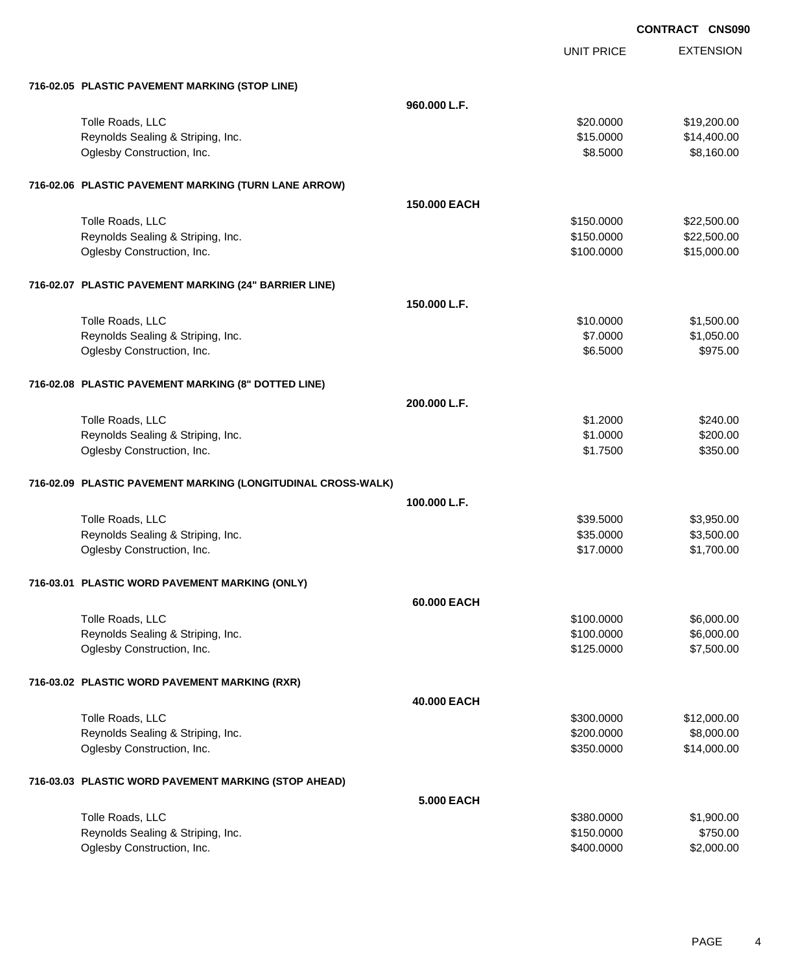|                                                              |                   | <b>CONTRACT CNS090</b> |
|--------------------------------------------------------------|-------------------|------------------------|
|                                                              | <b>UNIT PRICE</b> | <b>EXTENSION</b>       |
| 716-02.05 PLASTIC PAVEMENT MARKING (STOP LINE)               |                   |                        |
|                                                              | 960.000 L.F.      |                        |
| Tolle Roads, LLC                                             | \$20.0000         | \$19,200.00            |
| Reynolds Sealing & Striping, Inc.                            | \$15.0000         | \$14,400.00            |
| Oglesby Construction, Inc.                                   | \$8.5000          | \$8,160.00             |
| 716-02.06 PLASTIC PAVEMENT MARKING (TURN LANE ARROW)         |                   |                        |
|                                                              | 150,000 EACH      |                        |
| Tolle Roads, LLC                                             | \$150.0000        | \$22,500.00            |
| Reynolds Sealing & Striping, Inc.                            | \$150.0000        | \$22,500.00            |
| Oglesby Construction, Inc.                                   | \$100.0000        | \$15,000.00            |
| 716-02.07 PLASTIC PAVEMENT MARKING (24" BARRIER LINE)        |                   |                        |
|                                                              | 150,000 L.F.      |                        |
| Tolle Roads, LLC                                             | \$10.0000         | \$1,500.00             |
| Reynolds Sealing & Striping, Inc.                            | \$7.0000          | \$1,050.00             |
| Oglesby Construction, Inc.                                   | \$6.5000          | \$975.00               |
| 716-02.08 PLASTIC PAVEMENT MARKING (8" DOTTED LINE)          |                   |                        |
|                                                              | 200.000 L.F.      |                        |
| Tolle Roads, LLC                                             | \$1.2000          | \$240.00               |
| Reynolds Sealing & Striping, Inc.                            | \$1.0000          | \$200.00               |
| Oglesby Construction, Inc.                                   | \$1.7500          | \$350.00               |
| 716-02.09 PLASTIC PAVEMENT MARKING (LONGITUDINAL CROSS-WALK) |                   |                        |
|                                                              | 100.000 L.F.      |                        |
| Tolle Roads, LLC                                             | \$39.5000         | \$3,950.00             |
| Reynolds Sealing & Striping, Inc.                            | \$35.0000         | \$3,500.00             |
| Oglesby Construction, Inc.                                   | \$17.0000         | \$1,700.00             |
| 716-03.01 PLASTIC WORD PAVEMENT MARKING (ONLY)               |                   |                        |
|                                                              | 60,000 EACH       |                        |
| Tolle Roads, LLC                                             | \$100.0000        | \$6,000.00             |
| Reynolds Sealing & Striping, Inc.                            | \$100.0000        | \$6,000.00             |
| Oglesby Construction, Inc.                                   | \$125.0000        | \$7,500.00             |
| 716-03.02 PLASTIC WORD PAVEMENT MARKING (RXR)                |                   |                        |
|                                                              | 40.000 EACH       |                        |
| Tolle Roads, LLC                                             | \$300.0000        | \$12,000.00            |
| Reynolds Sealing & Striping, Inc.                            | \$200.0000        | \$8,000.00             |
| Oglesby Construction, Inc.                                   | \$350.0000        | \$14,000.00            |
| 716-03.03 PLASTIC WORD PAVEMENT MARKING (STOP AHEAD)         |                   |                        |
|                                                              | <b>5.000 EACH</b> |                        |
| Tolle Roads, LLC                                             | \$380.0000        | \$1,900.00             |
| Reynolds Sealing & Striping, Inc.                            | \$150.0000        | \$750.00               |
| Oglesby Construction, Inc.                                   | \$400.0000        | \$2,000.00             |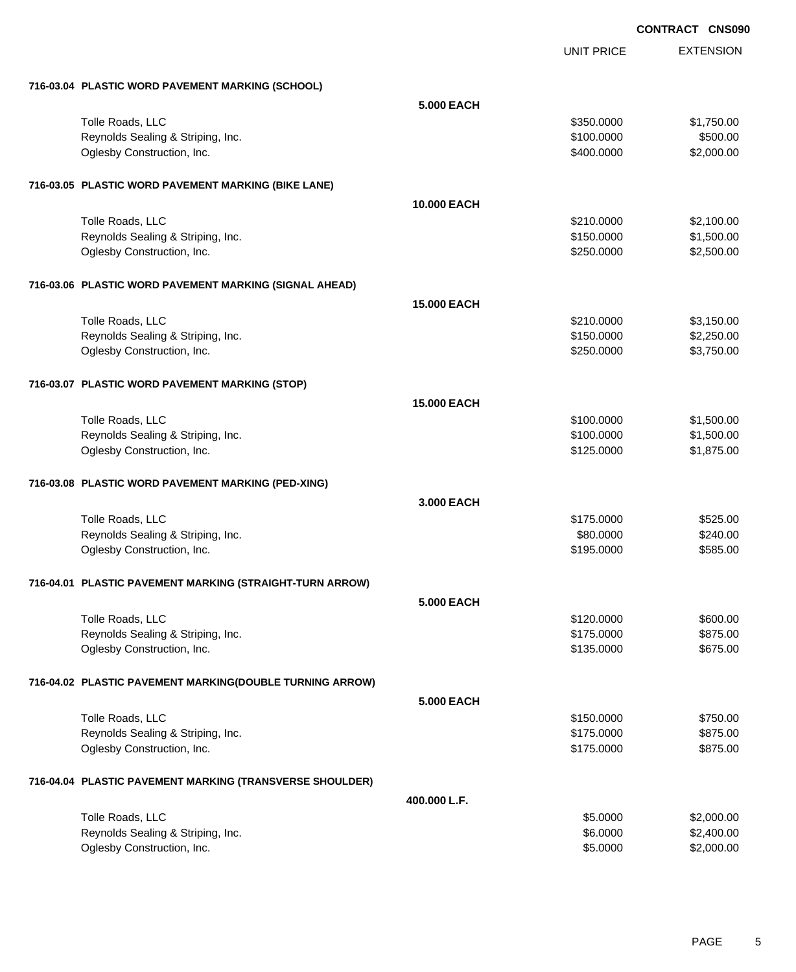EXTENSION

|                                                          |                    | <b>UNIT PRICE</b> | <b>EXTENSION</b> |
|----------------------------------------------------------|--------------------|-------------------|------------------|
| 716-03.04 PLASTIC WORD PAVEMENT MARKING (SCHOOL)         |                    |                   |                  |
|                                                          | <b>5.000 EACH</b>  |                   |                  |
| Tolle Roads, LLC                                         |                    | \$350.0000        | \$1,750.00       |
| Reynolds Sealing & Striping, Inc.                        |                    | \$100.0000        | \$500.00         |
| Oglesby Construction, Inc.                               |                    | \$400.0000        | \$2,000.00       |
| 716-03.05 PLASTIC WORD PAVEMENT MARKING (BIKE LANE)      |                    |                   |                  |
|                                                          | 10.000 EACH        |                   |                  |
| Tolle Roads, LLC                                         |                    | \$210.0000        | \$2,100.00       |
| Reynolds Sealing & Striping, Inc.                        |                    | \$150.0000        | \$1,500.00       |
| Oglesby Construction, Inc.                               |                    | \$250.0000        | \$2,500.00       |
| 716-03.06 PLASTIC WORD PAVEMENT MARKING (SIGNAL AHEAD)   |                    |                   |                  |
|                                                          | <b>15.000 EACH</b> |                   |                  |
| Tolle Roads, LLC                                         |                    | \$210.0000        | \$3,150.00       |
| Reynolds Sealing & Striping, Inc.                        |                    | \$150.0000        | \$2,250.00       |
| Oglesby Construction, Inc.                               |                    | \$250.0000        | \$3,750.00       |
| 716-03.07 PLASTIC WORD PAVEMENT MARKING (STOP)           |                    |                   |                  |
|                                                          | <b>15.000 EACH</b> |                   |                  |
| Tolle Roads, LLC                                         |                    | \$100.0000        | \$1,500.00       |
| Reynolds Sealing & Striping, Inc.                        |                    | \$100.0000        | \$1,500.00       |
| Oglesby Construction, Inc.                               |                    | \$125.0000        | \$1,875.00       |
| 716-03.08 PLASTIC WORD PAVEMENT MARKING (PED-XING)       |                    |                   |                  |
|                                                          | 3.000 EACH         |                   |                  |
| Tolle Roads, LLC                                         |                    | \$175.0000        | \$525.00         |
| Reynolds Sealing & Striping, Inc.                        |                    | \$80.0000         | \$240.00         |
| Oglesby Construction, Inc.                               |                    | \$195.0000        | \$585.00         |
| 716-04.01 PLASTIC PAVEMENT MARKING (STRAIGHT-TURN ARROW) |                    |                   |                  |
|                                                          | <b>5.000 EACH</b>  |                   |                  |
| Tolle Roads, LLC                                         |                    | \$120.0000        | \$600.00         |
| Reynolds Sealing & Striping, Inc.                        |                    | \$175.0000        | \$875.00         |
| Oglesby Construction, Inc.                               |                    | \$135.0000        | \$675.00         |
| 716-04.02 PLASTIC PAVEMENT MARKING(DOUBLE TURNING ARROW) |                    |                   |                  |
|                                                          | <b>5.000 EACH</b>  |                   |                  |
| Tolle Roads, LLC                                         |                    | \$150.0000        | \$750.00         |
| Reynolds Sealing & Striping, Inc.                        |                    | \$175.0000        | \$875.00         |
| Oglesby Construction, Inc.                               |                    | \$175.0000        | \$875.00         |
| 716-04.04 PLASTIC PAVEMENT MARKING (TRANSVERSE SHOULDER) |                    |                   |                  |
|                                                          | 400.000 L.F.       |                   |                  |
| Tolle Roads, LLC                                         |                    | \$5.0000          | \$2,000.00       |
| Reynolds Sealing & Striping, Inc.                        |                    | \$6.0000          | \$2,400.00       |
| Oglesby Construction, Inc.                               |                    | \$5.0000          | \$2,000.00       |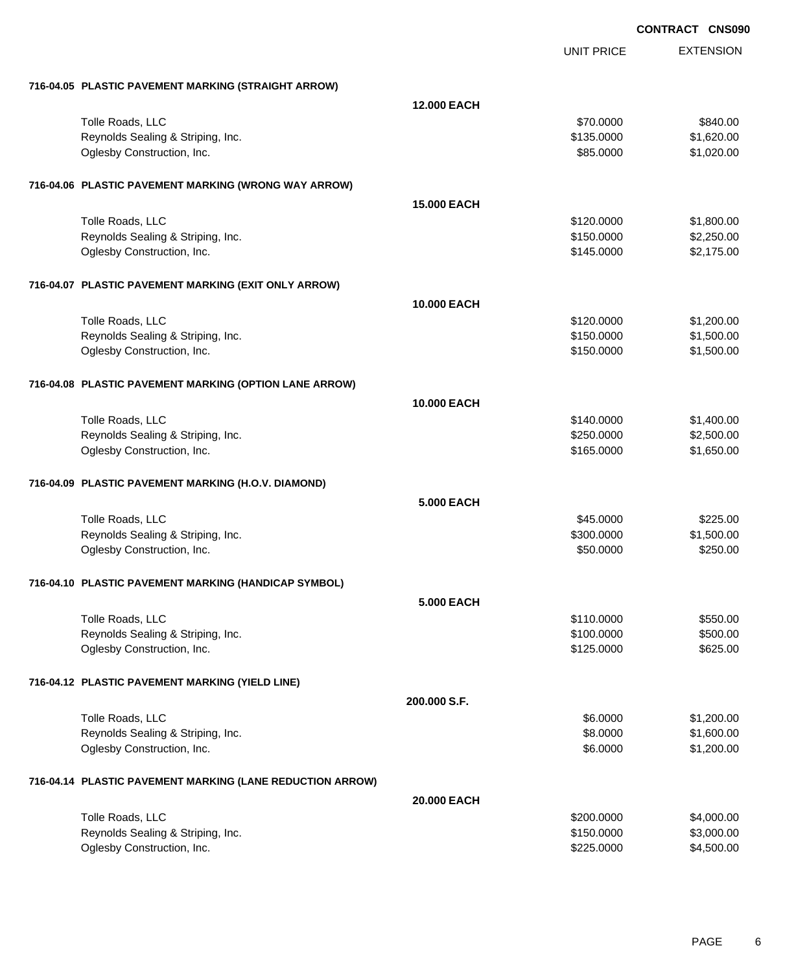EXTENSION **CONTRACT CNS090** UNIT PRICE **716-04.05 PLASTIC PAVEMENT MARKING (STRAIGHT ARROW) 12.000 EACH** Tolle Roads, LLC \$840.00 \$840.00 Reynolds Sealing & Striping, Inc. **but a strip of the Strip of the Strip Control** to the Strip Strip of Strip Strip Strip Strip of Strip Strip Strip Strip Strip Strip Strip Strip Strip Strip Strip Strip Strip Strip Strip S Oglesby Construction, Inc. 6. The Construction of the Construction of the Construction, Inc. 6. The Construction of the Construction of the Construction of the Construction of the Construction of the Construction of the Co **716-04.06 PLASTIC PAVEMENT MARKING (WRONG WAY ARROW) 15.000 EACH** Tolle Roads, LLC \$1,800.00 Reynolds Sealing & Striping, Inc. 6. The Strip of the Strip of the Strip of the Strip of the Strip of the Strip of the Strip of the Strip of the Strip of the Strip of the Strip of the Strip of the Strip of the Strip of the Oglesby Construction, Inc. 68 and the construction, Inc. 68 and the construction, Inc. 68.175.000 \$2,175.00 **716-04.07 PLASTIC PAVEMENT MARKING (EXIT ONLY ARROW) 10.000 EACH** Tolle Roads, LLC  $$120.000$   $$1,200.00$ Reynolds Sealing & Striping, Inc. 6. The Strip of the Strip of the Strip of the Strip of the Strip of the Strip of the Strip of the Strip of the Strip of the Strip of the Strip of the Strip of the Strip of the Strip of the Oglesby Construction, Inc. 66 (1,500.00) \$1,500.00 \$1,500.00 \$1,500.00 \$1,500.00 \$1,500.00 \$1,500.00 \$1,500.00 **716-04.08 PLASTIC PAVEMENT MARKING (OPTION LANE ARROW) 10.000 EACH** Tolle Roads, LLC \$1,400.00 \$1,400.00 \$1,400.00 \$1,400.00 \$1,400.00 \$1,400.00 \$1,400.00 \$1,400.00 \$1,400.00 \$1,400 Reynolds Sealing & Striping, Inc. 6. The Strip of the Sealing Sealing & Striping, Inc. \$250.000 \$2,500.00 Oglesby Construction, Inc. 66 (1,650.00) \$1,650.000 \$1,650.000 \$1,650.000 \$1,650.000 \$1,650.00 **716-04.09 PLASTIC PAVEMENT MARKING (H.O.V. DIAMOND) 5.000 EACH** Tolle Roads, LLC \$45.0000 \$225.00 Reynolds Sealing & Striping, Inc.  $\sim$  81,500.000 \$1,500.000 \$1,500.000 \$1,500.000 \$1,500.00 Oglesby Construction, Inc. 6250.000 \$250.000 \$250.000 \$250.000 \$250.000 \$250.000 \$250.00 **716-04.10 PLASTIC PAVEMENT MARKING (HANDICAP SYMBOL) 5.000 EACH** Tolle Roads, LLC  $$110.0000$   $$550.00$ Reynolds Sealing & Striping, Inc. 6. The Strip of the Strip of the Strip of the Strip of the Strip of the Strip of the Strip of the Strip of the Strip of the Strip of the Strip of the Strip of the Strip of the Strip of the Oglesby Construction, Inc. 6625.00 **716-04.12 PLASTIC PAVEMENT MARKING (YIELD LINE) 200.000 S.F.** Tolle Roads, LLC  $$6.0000$   $$1,200.00$ Reynolds Sealing & Striping, Inc. 6. The Strip of the Strip of the Strip of the Strip of the Strip of the Strip of the Strip of the Strip of the Strip of the Strip of the Strip of the Strip of the Strip of the Strip of the Oglesby Construction, Inc. 6. The Construction of the Construction of the Construction, Inc. 6.0000 \$1,200.00 **716-04.14 PLASTIC PAVEMENT MARKING (LANE REDUCTION ARROW) 20.000 EACH** Tolle Roads, LLC \$200.000 \$4,000.00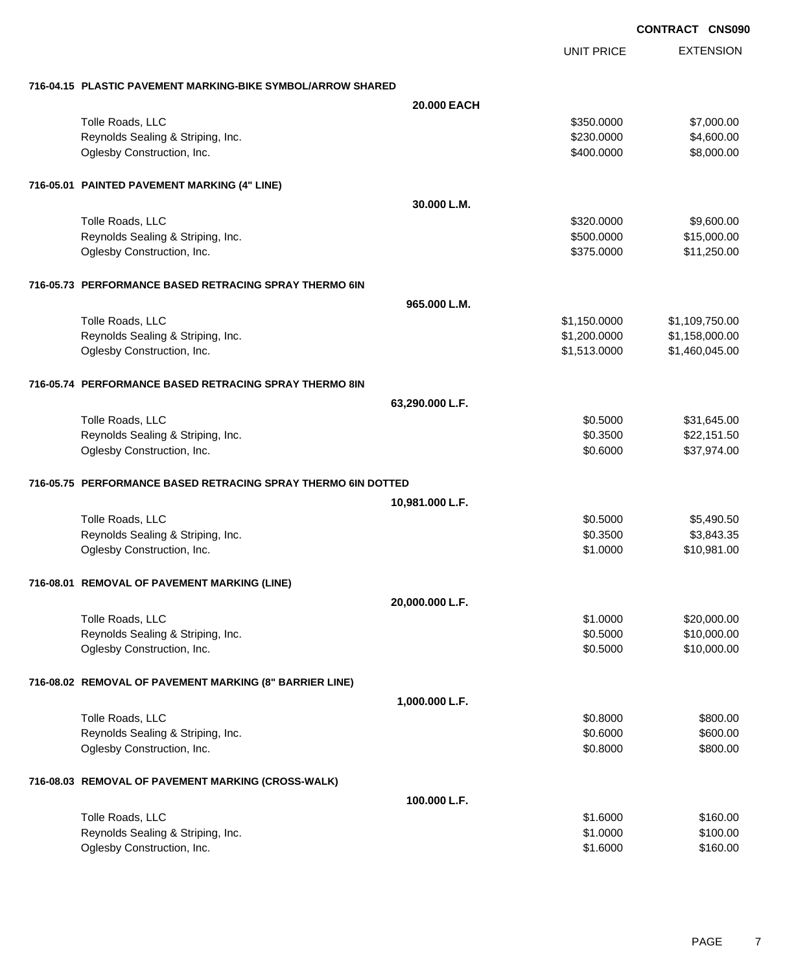EXTENSION UNIT PRICE **716-04.15 PLASTIC PAVEMENT MARKING-BIKE SYMBOL/ARROW SHARED 20.000 EACH** Tolle Roads, LLC \$350.0000 \$7,000.00 Reynolds Sealing & Striping, Inc. 6. The Strip of the Strip of the Strip of the Strip of the Strip of the Strip of the Strip of the Strip of the Strip of the Strip of the Strip of the Strip of the Strip of the Strip of the Oglesby Construction, Inc. 66,000.000 \$8,000.00 \$8,000.00 \$8,000.00 \$8,000.00 \$8,000.00 \$8,000.00 \$8,000.00 \$8,000 **716-05.01 PAINTED PAVEMENT MARKING (4" LINE) 30.000 L.M.** Tolle Roads, LLC \$320.0000 \$9,600.00 Reynolds Sealing & Striping, Inc. \$15,000.00 \$15,000.00 \$15,000.00 Oglesby Construction, Inc. 6. The Construction of the Construction of the Construction, Inc. 6. The Construction of the Construction of the Construction of the Construction of the Construction of the Construction of the Co **716-05.73 PERFORMANCE BASED RETRACING SPRAY THERMO 6IN 965.000 L.M.** Tolle Roads, LLC  $$1,150.0000$   $$1,109,750.00$ Reynolds Sealing & Striping, Inc. \$1,200.000 \$1,158,000.00 Oglesby Construction, Inc. \$1,513.0000 \$1,460,045.00 **716-05.74 PERFORMANCE BASED RETRACING SPRAY THERMO 8IN 63,290.000 L.F.** Tolle Roads, LLC \$31,645.00 Reynolds Sealing & Striping, Inc. 6. The Strip of the Sealing & Striping, Inc. 6. The Sealing & Striping, Inc. Oglesby Construction, Inc. 6. The Construction of the Construction of the Construction, Inc. 637,974.00 **716-05.75 PERFORMANCE BASED RETRACING SPRAY THERMO 6IN DOTTED 10,981.000 L.F.** Tolle Roads, LLC  $$0.5000$   $$5,490.50$ Reynolds Sealing & Striping, Inc.  $$3,843.35$ Oglesby Construction, Inc. 6. The Construction of the Construction of the Construction, Inc. 6. The Construction of the Construction of the Construction of the Construction of the Construction of the Construction of the Co **716-08.01 REMOVAL OF PAVEMENT MARKING (LINE) 20,000.000 L.F.** Tolle Roads, LLC \$20,000.00 \$20,000.00 \$20,000.00 \$20,000.00 \$20,000.00 \$1.0000 \$20,000.00 \$20,000.00 \$20,000 Reynolds Sealing & Striping, Inc. 6. The Strip of the Sealing & Striping, Inc. 6. The Sealing & Striping, Inc. Oglesby Construction, Inc. 6. The Construction of the Construction of the Construction, Inc. 6. The Construction of the Construction of the Construction of the Construction of the Construction of the Construction of the Co **716-08.02 REMOVAL OF PAVEMENT MARKING (8" BARRIER LINE) 1,000.000 L.F.** Tolle Roads, LLC \$800.00 \$800.00 \$800.00 \$800.00 \$800.00 \$800.00 \$800.00 \$800.00 \$800.00 \$800.00 \$800.00 \$800.00 Reynolds Sealing & Striping, Inc. 6. The Strip of the Sealing & Striping, Inc. 5600.00 \$600.00 Oglesby Construction, Inc. 6800.00 \$800.00 \$800.00 \$800.00 \$800.00 \$800.00 \$800.00 \$800.00 \$800.00 \$800.00 \$800 **716-08.03 REMOVAL OF PAVEMENT MARKING (CROSS-WALK) 100.000 L.F.** Tolle Roads, LLC  $$1.6000$   $$160.00$ Reynolds Sealing & Striping, Inc.  $$1.0000$  \$1.0000 \$100.00 Oglesby Construction, Inc. 66 (1999) 160.00 \$1.6000 \$1.6000 \$1.6000 \$1.6000 \$1.6000 \$1.6000 \$1.6000 \$1.6000 \$1.6000 \$1.6000 \$1.6000 \$1.6000 \$1.6000 \$1.6000 \$1.6000 \$1.6000 \$1.6000 \$1.6000 \$1.6000 \$1.6000 \$1.6000 \$1.6000 \$1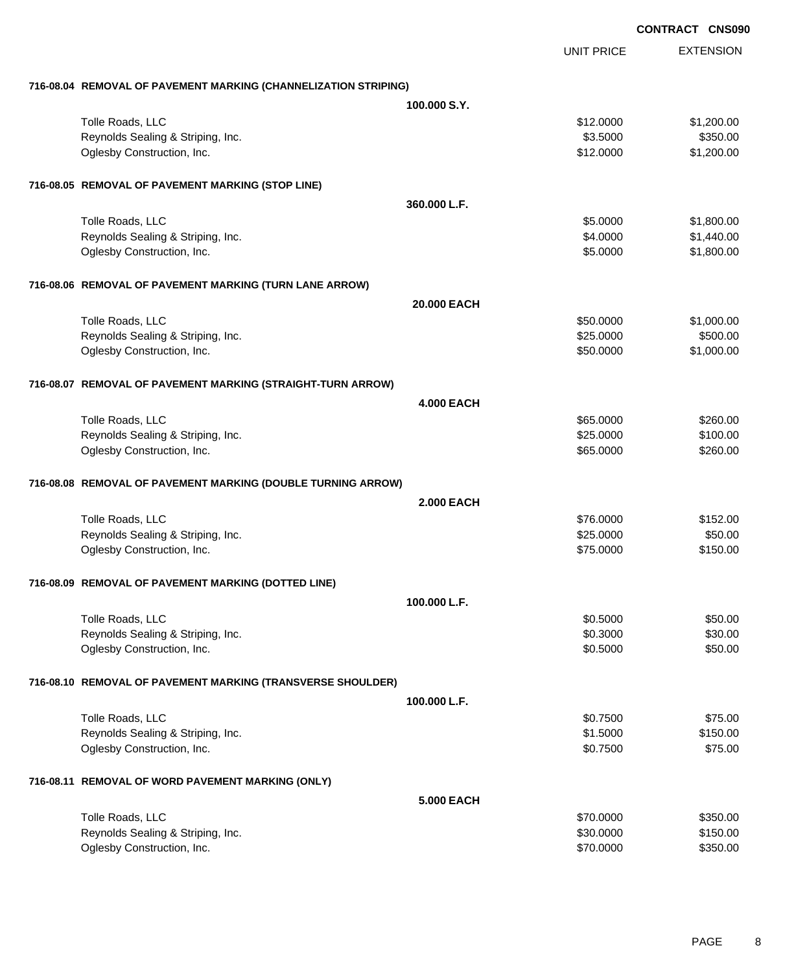|                                                                 |                   |                   | CONTRACT CNS090 |                  |
|-----------------------------------------------------------------|-------------------|-------------------|-----------------|------------------|
|                                                                 |                   | <b>UNIT PRICE</b> |                 | <b>EXTENSION</b> |
| 716-08.04 REMOVAL OF PAVEMENT MARKING (CHANNELIZATION STRIPING) |                   |                   |                 |                  |
|                                                                 | 100,000 S.Y.      |                   |                 |                  |
| Tolle Roads, LLC                                                |                   | \$12.0000         |                 | \$1,200.00       |
| Reynolds Sealing & Striping, Inc.                               |                   | \$3.5000          |                 | \$350.00         |
| Oglesby Construction, Inc.                                      |                   | \$12.0000         |                 | \$1,200.00       |
| 716-08.05 REMOVAL OF PAVEMENT MARKING (STOP LINE)               |                   |                   |                 |                  |
|                                                                 | 360.000 L.F.      |                   |                 |                  |
| Tolle Roads, LLC                                                |                   | \$5.0000          |                 | \$1,800.00       |
| Reynolds Sealing & Striping, Inc.                               |                   | \$4.0000          |                 | \$1,440.00       |
| Oglesby Construction, Inc.                                      |                   | \$5.0000          |                 | \$1,800.00       |
| 716-08.06 REMOVAL OF PAVEMENT MARKING (TURN LANE ARROW)         |                   |                   |                 |                  |
|                                                                 | 20.000 EACH       |                   |                 |                  |
| Tolle Roads, LLC                                                |                   | \$50.0000         |                 | \$1,000.00       |
| Reynolds Sealing & Striping, Inc.                               |                   | \$25.0000         |                 | \$500.00         |
| Oglesby Construction, Inc.                                      |                   | \$50.0000         |                 | \$1,000.00       |
| 716-08.07 REMOVAL OF PAVEMENT MARKING (STRAIGHT-TURN ARROW)     |                   |                   |                 |                  |
|                                                                 | <b>4.000 EACH</b> |                   |                 |                  |
| Tolle Roads, LLC                                                |                   | \$65.0000         |                 | \$260.00         |
| Reynolds Sealing & Striping, Inc.                               |                   | \$25.0000         |                 | \$100.00         |
| Oglesby Construction, Inc.                                      |                   | \$65.0000         |                 | \$260.00         |
| 716-08.08 REMOVAL OF PAVEMENT MARKING (DOUBLE TURNING ARROW)    |                   |                   |                 |                  |
|                                                                 | <b>2.000 EACH</b> |                   |                 |                  |
| Tolle Roads, LLC                                                |                   | \$76,0000         |                 | \$152.00         |
| Reynolds Sealing & Striping, Inc.                               |                   | \$25.0000         |                 | \$50.00          |
| Oglesby Construction, Inc.                                      |                   | \$75.0000         |                 | \$150.00         |
| 716-08.09 REMOVAL OF PAVEMENT MARKING (DOTTED LINE)             |                   |                   |                 |                  |
|                                                                 | 100.000 L.F.      |                   |                 |                  |
| Tolle Roads, LLC                                                |                   | \$0.5000          |                 | \$50.00          |
| Reynolds Sealing & Striping, Inc.                               |                   | \$0.3000          |                 | \$30.00          |
| Oglesby Construction, Inc.                                      |                   | \$0.5000          |                 | \$50.00          |
| 716-08.10 REMOVAL OF PAVEMENT MARKING (TRANSVERSE SHOULDER)     |                   |                   |                 |                  |
|                                                                 | 100.000 L.F.      |                   |                 |                  |
| Tolle Roads, LLC                                                |                   | \$0.7500          |                 | \$75.00          |
| Reynolds Sealing & Striping, Inc.                               |                   | \$1.5000          |                 | \$150.00         |
| Oglesby Construction, Inc.                                      |                   | \$0.7500          |                 | \$75.00          |
| 716-08.11 REMOVAL OF WORD PAVEMENT MARKING (ONLY)               |                   |                   |                 |                  |
|                                                                 | <b>5.000 EACH</b> |                   |                 |                  |
| Tolle Roads, LLC                                                |                   | \$70.0000         |                 | \$350.00         |
| Reynolds Sealing & Striping, Inc.                               |                   | \$30.0000         |                 | \$150.00         |
| Oglesby Construction, Inc.                                      |                   | \$70.0000         |                 | \$350.00         |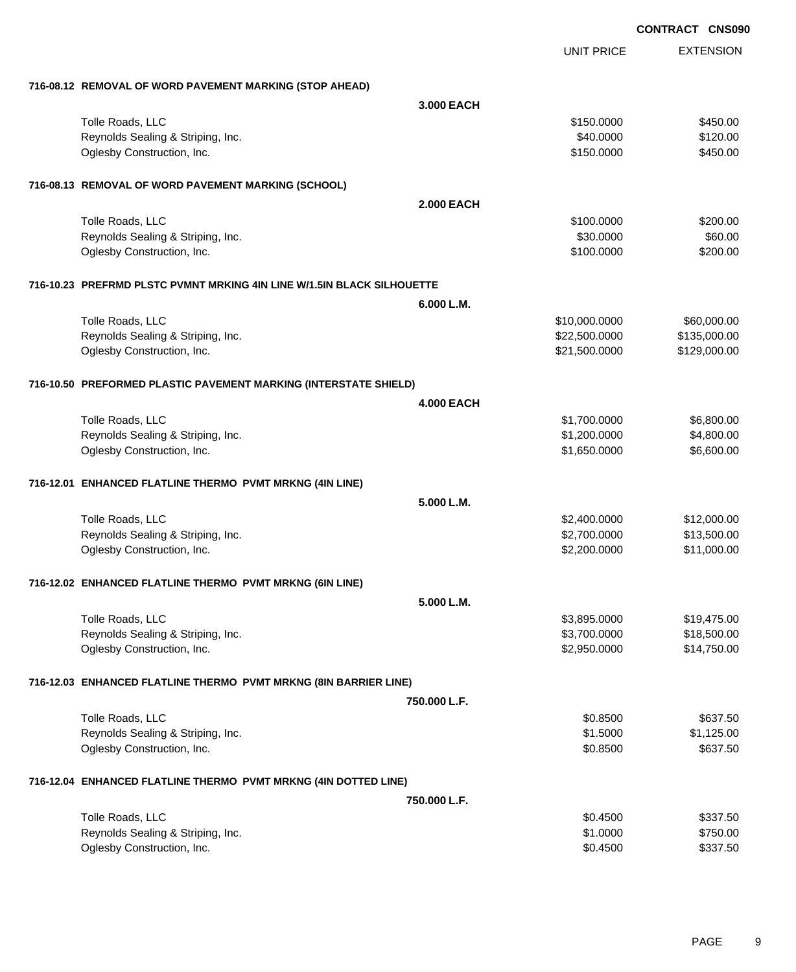|                                                                        |                   |                   | <b>CONTRACT CNS090</b> |
|------------------------------------------------------------------------|-------------------|-------------------|------------------------|
|                                                                        |                   | <b>UNIT PRICE</b> | <b>EXTENSION</b>       |
| 716-08.12 REMOVAL OF WORD PAVEMENT MARKING (STOP AHEAD)                |                   |                   |                        |
|                                                                        | 3,000 EACH        |                   |                        |
| Tolle Roads, LLC                                                       |                   | \$150.0000        | \$450.00               |
| Reynolds Sealing & Striping, Inc.                                      |                   | \$40.0000         | \$120.00               |
| Oglesby Construction, Inc.                                             |                   | \$150.0000        | \$450.00               |
| 716-08.13 REMOVAL OF WORD PAVEMENT MARKING (SCHOOL)                    |                   |                   |                        |
|                                                                        | <b>2.000 EACH</b> |                   |                        |
| Tolle Roads, LLC                                                       |                   | \$100.0000        | \$200.00               |
| Reynolds Sealing & Striping, Inc.                                      |                   | \$30.0000         | \$60.00                |
| Oglesby Construction, Inc.                                             |                   | \$100.0000        | \$200.00               |
| 716-10.23 PREFRMD PLSTC PVMNT MRKING 4IN LINE W/1.5IN BLACK SILHOUETTE |                   |                   |                        |
|                                                                        | 6.000 L.M.        |                   |                        |
| Tolle Roads, LLC                                                       |                   | \$10,000.0000     | \$60,000.00            |
| Reynolds Sealing & Striping, Inc.                                      |                   | \$22,500.0000     | \$135,000.00           |
| Oglesby Construction, Inc.                                             |                   | \$21,500.0000     | \$129,000.00           |
| 716-10.50 PREFORMED PLASTIC PAVEMENT MARKING (INTERSTATE SHIELD)       |                   |                   |                        |
|                                                                        | <b>4.000 EACH</b> |                   |                        |
| Tolle Roads, LLC                                                       |                   | \$1,700.0000      | \$6,800.00             |
| Reynolds Sealing & Striping, Inc.                                      |                   | \$1,200.0000      | \$4,800.00             |
| Oglesby Construction, Inc.                                             |                   | \$1,650.0000      | \$6,600.00             |
| 716-12.01 ENHANCED FLATLINE THERMO PVMT MRKNG (4IN LINE)               |                   |                   |                        |
|                                                                        | 5.000 L.M.        |                   |                        |
| Tolle Roads, LLC                                                       |                   | \$2,400.0000      | \$12,000.00            |
| Reynolds Sealing & Striping, Inc.                                      |                   | \$2,700.0000      | \$13,500.00            |
| Oglesby Construction, Inc.                                             |                   | \$2,200.0000      | \$11,000.00            |
| 716-12.02 ENHANCED FLATLINE THERMO PVMT MRKNG (6IN LINE)               |                   |                   |                        |
|                                                                        | 5.000 L.M.        |                   |                        |
| Tolle Roads, LLC                                                       |                   | \$3,895.0000      | \$19,475.00            |
| Reynolds Sealing & Striping, Inc.                                      |                   | \$3,700.0000      | \$18,500.00            |
| Oglesby Construction, Inc.                                             |                   | \$2,950.0000      | \$14,750.00            |
| 716-12.03 ENHANCED FLATLINE THERMO PVMT MRKNG (8IN BARRIER LINE)       |                   |                   |                        |
|                                                                        | 750.000 L.F.      |                   |                        |
| Tolle Roads, LLC                                                       |                   | \$0.8500          | \$637.50               |
| Reynolds Sealing & Striping, Inc.                                      |                   | \$1.5000          | \$1,125.00             |
| Oglesby Construction, Inc.                                             |                   | \$0.8500          | \$637.50               |
| 716-12.04 ENHANCED FLATLINE THERMO PVMT MRKNG (4IN DOTTED LINE)        |                   |                   |                        |
|                                                                        | 750.000 L.F.      |                   |                        |
| Tolle Roads, LLC                                                       |                   | \$0.4500          | \$337.50               |
| Reynolds Sealing & Striping, Inc.                                      |                   | \$1.0000          | \$750.00               |
| Oglesby Construction, Inc.                                             |                   | \$0.4500          | \$337.50               |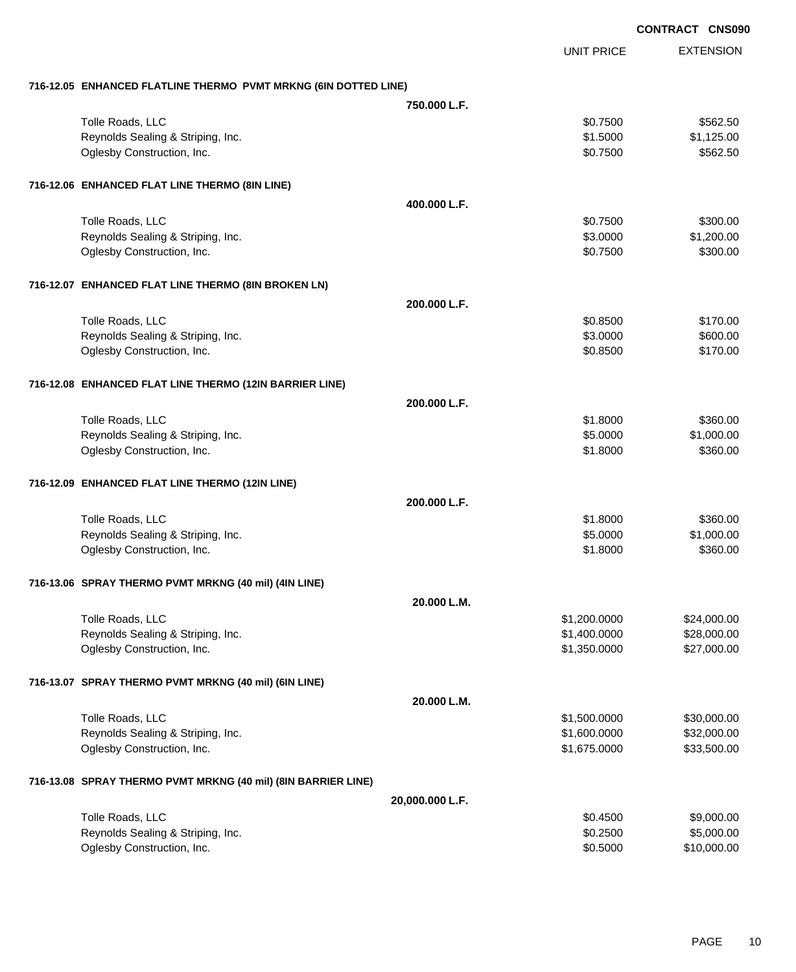|                                                                 |                 |                   | <b>CONTRACT CNS090</b> |
|-----------------------------------------------------------------|-----------------|-------------------|------------------------|
|                                                                 |                 | <b>UNIT PRICE</b> | <b>EXTENSION</b>       |
| 716-12.05 ENHANCED FLATLINE THERMO PVMT MRKNG (6IN DOTTED LINE) |                 |                   |                        |
|                                                                 | 750,000 L.F.    |                   |                        |
| Tolle Roads, LLC                                                |                 | \$0.7500          | \$562.50               |
| Reynolds Sealing & Striping, Inc.                               |                 | \$1.5000          | \$1,125.00             |
| Oglesby Construction, Inc.                                      |                 | \$0.7500          | \$562.50               |
| 716-12.06 ENHANCED FLAT LINE THERMO (8IN LINE)                  |                 |                   |                        |
|                                                                 | 400.000 L.F.    |                   |                        |
| Tolle Roads, LLC                                                |                 | \$0.7500          | \$300.00               |
| Reynolds Sealing & Striping, Inc.                               |                 | \$3.0000          | \$1,200.00             |
| Oglesby Construction, Inc.                                      |                 | \$0.7500          | \$300.00               |
| 716-12.07 ENHANCED FLAT LINE THERMO (8IN BROKEN LN)             |                 |                   |                        |
|                                                                 | 200.000 L.F.    |                   |                        |
| Tolle Roads, LLC                                                |                 | \$0.8500          | \$170.00               |
| Reynolds Sealing & Striping, Inc.                               |                 | \$3.0000          | \$600.00               |
| Oglesby Construction, Inc.                                      |                 | \$0.8500          | \$170.00               |
| 716-12.08 ENHANCED FLAT LINE THERMO (12IN BARRIER LINE)         |                 |                   |                        |
|                                                                 | 200.000 L.F.    |                   |                        |
| Tolle Roads, LLC                                                |                 | \$1,8000          | \$360.00               |
| Reynolds Sealing & Striping, Inc.                               |                 | \$5.0000          | \$1,000.00             |
| Oglesby Construction, Inc.                                      |                 | \$1.8000          | \$360.00               |
| 716-12.09 ENHANCED FLAT LINE THERMO (12IN LINE)                 |                 |                   |                        |
|                                                                 | 200.000 L.F.    |                   |                        |
| Tolle Roads, LLC                                                |                 | \$1.8000          | \$360.00               |
| Reynolds Sealing & Striping, Inc.                               |                 | \$5.0000          | \$1,000.00             |
| Oglesby Construction, Inc.                                      |                 | \$1.8000          | \$360.00               |
| 716-13.06 SPRAY THERMO PVMT MRKNG (40 mil) (4IN LINE)           |                 |                   |                        |
|                                                                 | 20.000 L.M.     |                   |                        |
| Tolle Roads, LLC                                                |                 | \$1,200.0000      | \$24,000.00            |
| Reynolds Sealing & Striping, Inc.                               |                 | \$1,400.0000      | \$28,000.00            |
| Oglesby Construction, Inc.                                      |                 | \$1,350.0000      | \$27,000.00            |
| 716-13.07 SPRAY THERMO PVMT MRKNG (40 mil) (6IN LINE)           |                 |                   |                        |
|                                                                 | 20.000 L.M.     |                   |                        |
| Tolle Roads, LLC                                                |                 | \$1,500.0000      | \$30,000.00            |
| Reynolds Sealing & Striping, Inc.                               |                 | \$1,600.0000      | \$32,000.00            |
| Oglesby Construction, Inc.                                      |                 | \$1,675.0000      | \$33,500.00            |
| 716-13.08 SPRAY THERMO PVMT MRKNG (40 mil) (8IN BARRIER LINE)   |                 |                   |                        |
|                                                                 | 20,000.000 L.F. |                   |                        |
| Tolle Roads, LLC                                                |                 | \$0.4500          | \$9,000.00             |
| Reynolds Sealing & Striping, Inc.                               |                 | \$0.2500          | \$5,000.00             |
| Oglesby Construction, Inc.                                      |                 | \$0.5000          | \$10,000.00            |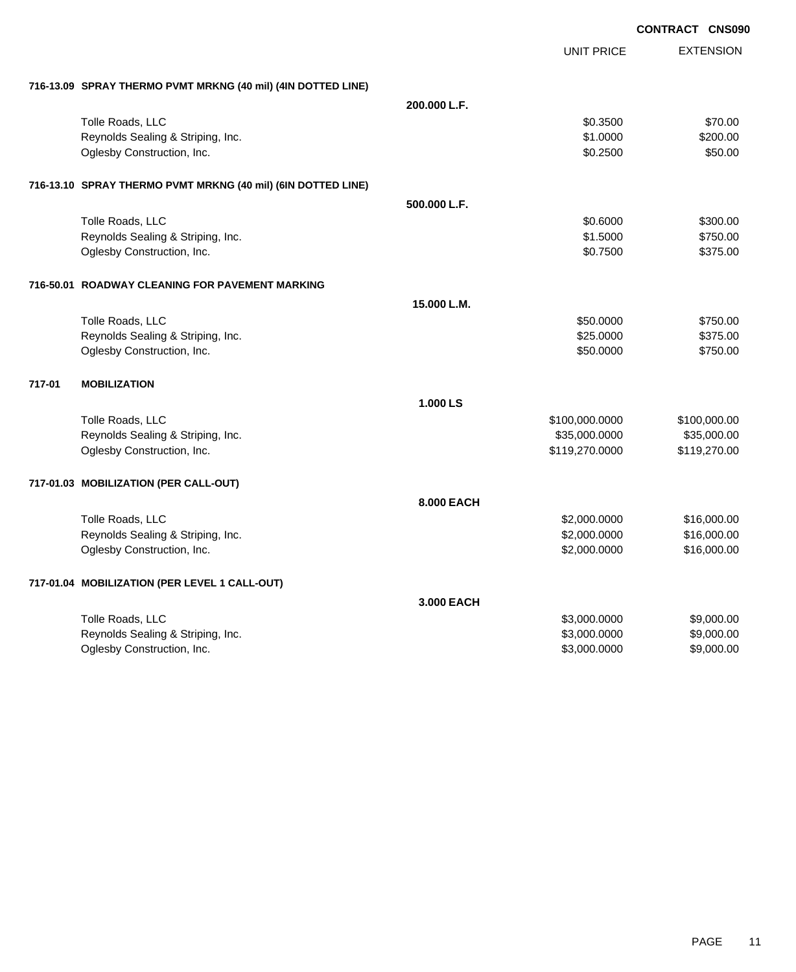|        |                                                              |              |                   | <b>CONTRACT CNS09</b> |
|--------|--------------------------------------------------------------|--------------|-------------------|-----------------------|
|        |                                                              |              | <b>UNIT PRICE</b> | <b>EXTENSION</b>      |
|        | 716-13.09 SPRAY THERMO PVMT MRKNG (40 mil) (4IN DOTTED LINE) |              |                   |                       |
|        |                                                              | 200.000 L.F. |                   |                       |
|        | Tolle Roads, LLC                                             |              | \$0.3500          | \$70.00               |
|        | Reynolds Sealing & Striping, Inc.                            |              | \$1.0000          | \$200.00              |
|        | Oglesby Construction, Inc.                                   |              | \$0.2500          | \$50.00               |
|        | 716-13.10 SPRAY THERMO PVMT MRKNG (40 mil) (6IN DOTTED LINE) |              |                   |                       |
|        |                                                              | 500,000 L.F. |                   |                       |
|        | Tolle Roads, LLC                                             |              | \$0.6000          | \$300.00              |
|        | Reynolds Sealing & Striping, Inc.                            |              | \$1.5000          | \$750.00              |
|        | Oglesby Construction, Inc.                                   |              | \$0.7500          | \$375.00              |
|        | 716-50.01 ROADWAY CLEANING FOR PAVEMENT MARKING              |              |                   |                       |
|        |                                                              | 15.000 L.M.  |                   |                       |
|        | Tolle Roads, LLC                                             |              | \$50.0000         | \$750.00              |
|        | Reynolds Sealing & Striping, Inc.                            |              | \$25.0000         | \$375.00              |
|        | Oglesby Construction, Inc.                                   |              | \$50.0000         | \$750.00              |
| 717-01 | <b>MOBILIZATION</b>                                          |              |                   |                       |
|        |                                                              | 1.000 LS     |                   |                       |
|        | Tolle Roads, LLC                                             |              | \$100,000.0000    | \$100,000.00          |
|        | Reynolds Sealing & Striping, Inc.                            |              | \$35,000.0000     | \$35,000.00           |
|        | Oglesby Construction, Inc.                                   |              | \$119,270.0000    | \$119,270.00          |
|        | 717-01.03 MOBILIZATION (PER CALL-OUT)                        |              |                   |                       |
|        |                                                              | 8.000 EACH   |                   |                       |
|        | Tolle Roads, LLC                                             |              | \$2,000.0000      | \$16,000.00           |
|        | Reynolds Sealing & Striping, Inc.                            |              | \$2,000.0000      | \$16,000.00           |
|        | Oglesby Construction, Inc.                                   |              | \$2,000.0000      | \$16,000.00           |
|        | 717-01.04 MOBILIZATION (PER LEVEL 1 CALL-OUT)                |              |                   |                       |
|        |                                                              | 3.000 EACH   |                   |                       |
|        | Tolle Roads, LLC                                             |              | \$3,000.0000      | \$9,000.00            |
|        | Reynolds Sealing & Striping, Inc.                            |              | \$3,000.0000      | \$9,000.00            |
|        | Oglesby Construction, Inc.                                   |              | \$3,000.0000      | \$9,000.00            |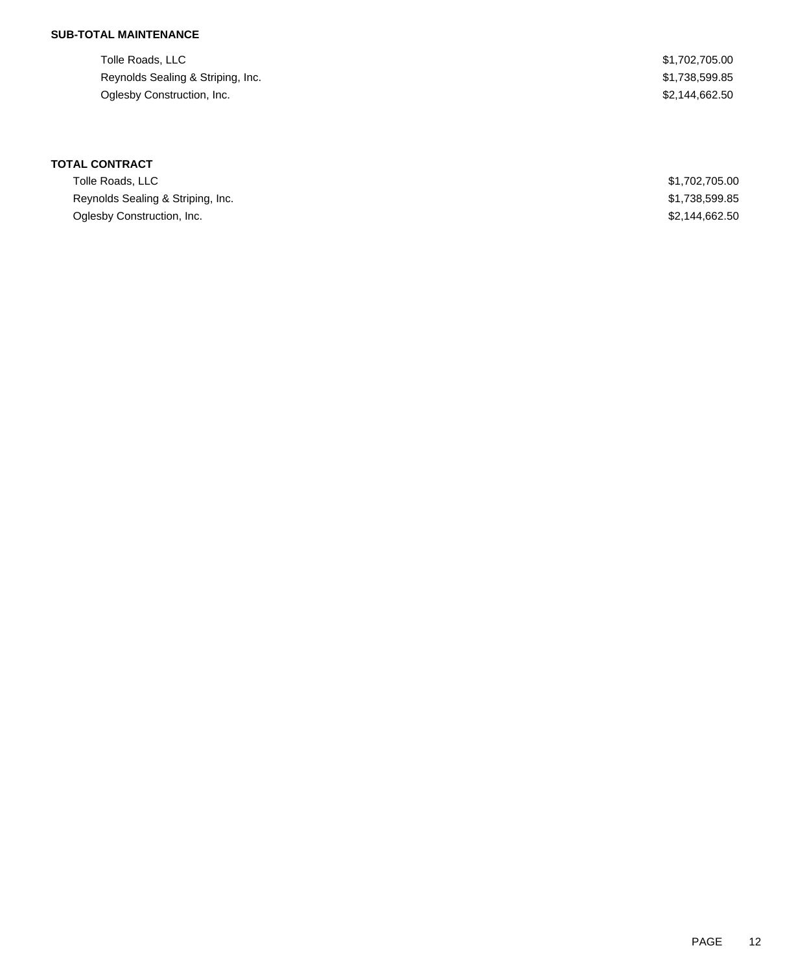## **SUB-TOTAL MAINTENANCE**

Tolle Roads, LLC \$1,702,705.00 Reynolds Sealing & Striping, Inc. 6. The Striping of the Striping of the Striping, Inc. 6. The Striping of the Striping of the Striping of the Striping of the Striping of the Striping of the Striping of the Striping of the Oglesby Construction, Inc. 62,144,662.50

# **TOTAL CONTRACT**

| Tolle Roads, LLC                  | \$1,702,705.00 |
|-----------------------------------|----------------|
| Reynolds Sealing & Striping, Inc. | \$1,738,599.85 |
| Oglesby Construction, Inc.        | \$2,144,662.50 |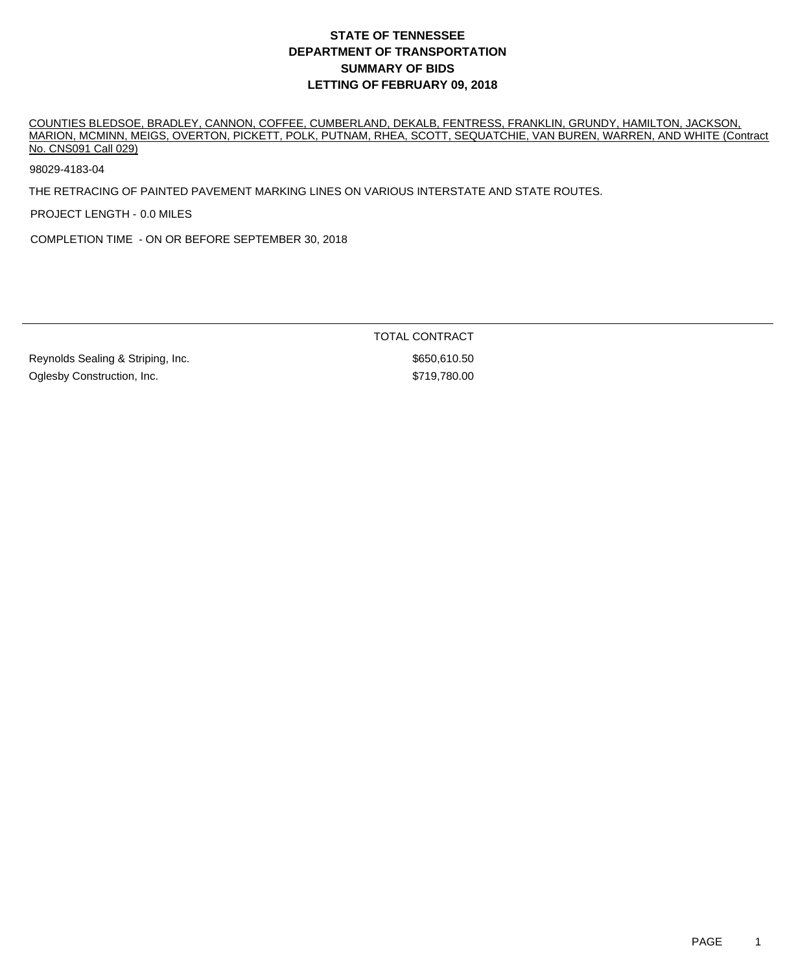COUNTIES BLEDSOE, BRADLEY, CANNON, COFFEE, CUMBERLAND, DEKALB, FENTRESS, FRANKLIN, GRUNDY, HAMILTON, JACKSON, MARION, MCMINN, MEIGS, OVERTON, PICKETT, POLK, PUTNAM, RHEA, SCOTT, SEQUATCHIE, VAN BUREN, WARREN, AND WHITE (Contract No. CNS091 Call 029)

98029-4183-04

THE RETRACING OF PAINTED PAVEMENT MARKING LINES ON VARIOUS INTERSTATE AND STATE ROUTES.

PROJECT LENGTH - 0.0 MILES

COMPLETION TIME - ON OR BEFORE SEPTEMBER 30, 2018

TOTAL CONTRACT

Reynolds Sealing & Striping, Inc.  $$650,610.50$ Oglesby Construction, Inc.  $\bullet$  5719,780.00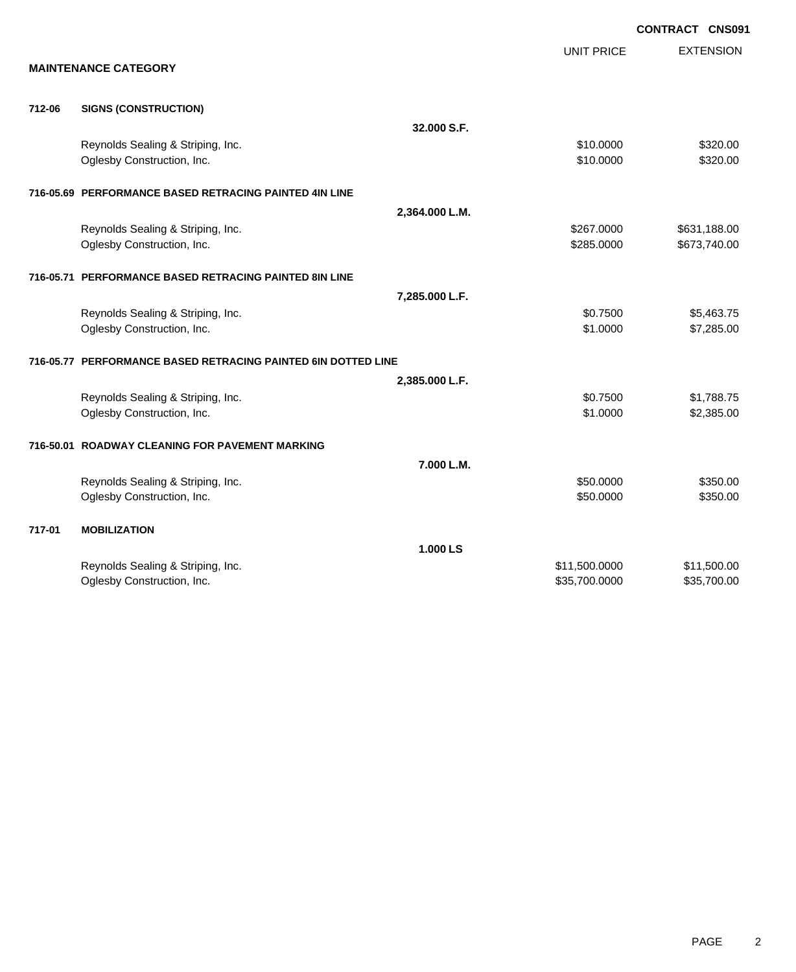|        |                                                               |                   | <b>CONTRACT CNS091</b> |
|--------|---------------------------------------------------------------|-------------------|------------------------|
|        |                                                               | <b>UNIT PRICE</b> | <b>EXTENSION</b>       |
|        | <b>MAINTENANCE CATEGORY</b>                                   |                   |                        |
| 712-06 | <b>SIGNS (CONSTRUCTION)</b>                                   |                   |                        |
|        |                                                               | 32.000 S.F.       |                        |
|        | Reynolds Sealing & Striping, Inc.                             | \$10.0000         | \$320.00               |
|        | Oglesby Construction, Inc.                                    | \$10.0000         | \$320.00               |
|        | 716-05.69 PERFORMANCE BASED RETRACING PAINTED 4IN LINE        |                   |                        |
|        |                                                               | 2,364.000 L.M.    |                        |
|        | Reynolds Sealing & Striping, Inc.                             | \$267.0000        | \$631,188.00           |
|        | Oglesby Construction, Inc.                                    | \$285.0000        | \$673,740.00           |
|        | 716-05.71 PERFORMANCE BASED RETRACING PAINTED 8IN LINE        |                   |                        |
|        |                                                               | 7,285.000 L.F.    |                        |
|        | Reynolds Sealing & Striping, Inc.                             | \$0.7500          | \$5,463.75             |
|        | Oglesby Construction, Inc.                                    | \$1.0000          | \$7,285.00             |
|        | 716-05.77 PERFORMANCE BASED RETRACING PAINTED 6IN DOTTED LINE |                   |                        |
|        |                                                               | 2,385.000 L.F.    |                        |
|        | Reynolds Sealing & Striping, Inc.                             | \$0.7500          | \$1,788.75             |
|        | Oglesby Construction, Inc.                                    | \$1.0000          | \$2,385.00             |
|        | 716-50.01 ROADWAY CLEANING FOR PAVEMENT MARKING               |                   |                        |
|        |                                                               | 7.000 L.M.        |                        |
|        | Reynolds Sealing & Striping, Inc.                             | \$50.0000         | \$350.00               |
|        | Oglesby Construction, Inc.                                    | \$50.0000         | \$350.00               |
| 717-01 | <b>MOBILIZATION</b>                                           |                   |                        |
|        |                                                               | 1.000 LS          |                        |
|        | Reynolds Sealing & Striping, Inc.                             | \$11,500.0000     | \$11,500.00            |
|        | Oglesby Construction, Inc.                                    | \$35,700.0000     | \$35,700.00            |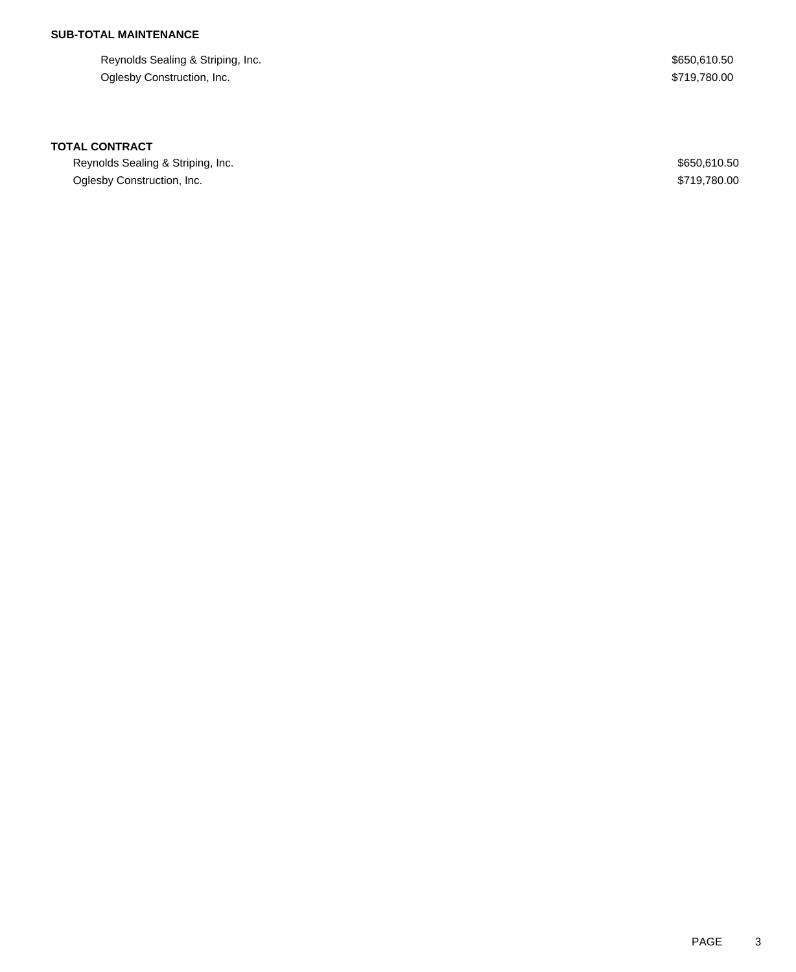## **SUB-TOTAL MAINTENANCE**

Reynolds Sealing & Striping, Inc.  $$650,610.50$ Oglesby Construction, Inc. 6. The Construction of the Construction, Inc. 6. The Construction of the Construction, Inc.

### **TOTAL CONTRACT**

Reynolds Sealing & Striping, Inc. 600 and the season of the season of the season of the season of the season of the season of the season of the season of the season of the season of the season of the season of the season o Oglesby Construction, Inc. 6. The Construction of the Construction of the Construction, Inc. 6719,780.00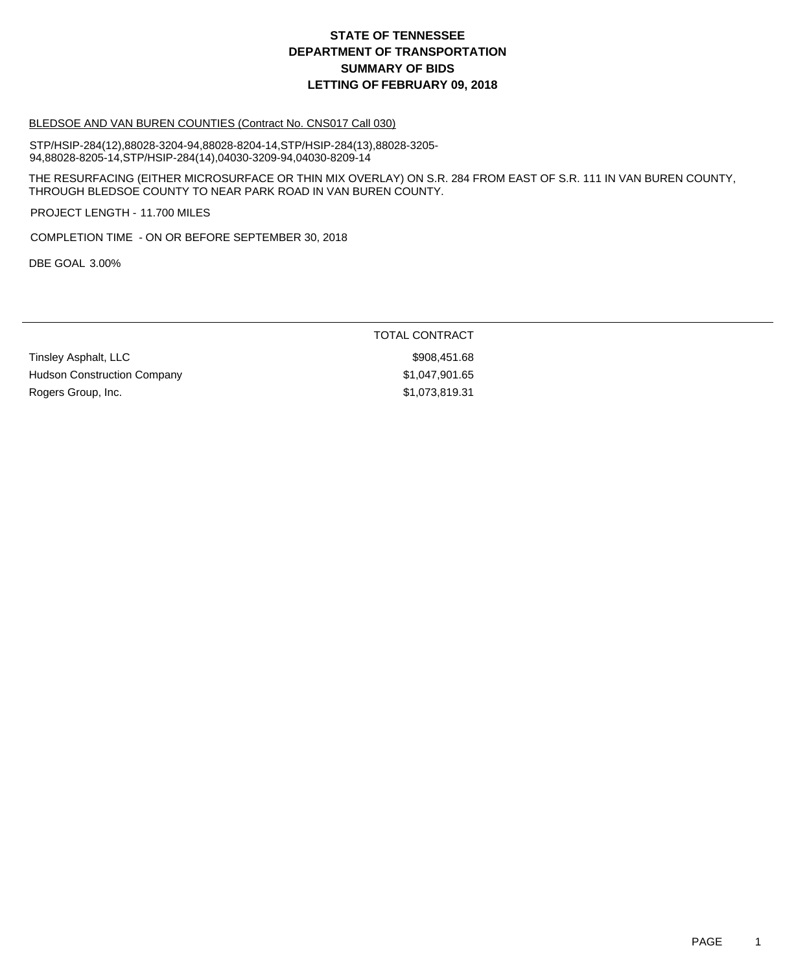#### BLEDSOE AND VAN BUREN COUNTIES (Contract No. CNS017 Call 030)

STP/HSIP-284(12),88028-3204-94,88028-8204-14,STP/HSIP-284(13),88028-3205- 94,88028-8205-14,STP/HSIP-284(14),04030-3209-94,04030-8209-14

THE RESURFACING (EITHER MICROSURFACE OR THIN MIX OVERLAY) ON S.R. 284 FROM EAST OF S.R. 111 IN VAN BUREN COUNTY, THROUGH BLEDSOE COUNTY TO NEAR PARK ROAD IN VAN BUREN COUNTY.

PROJECT LENGTH - 11.700 MILES

COMPLETION TIME - ON OR BEFORE SEPTEMBER 30, 2018

DBE GOAL 3.00%

### TOTAL CONTRACT

Tinsley Asphalt, LLC \$908,451.68 Hudson Construction Company **\$1,047,901.65** Rogers Group, Inc. 6. 2010 12:31 12:32 12:33 12:34 12:35 12:37 12:3819.31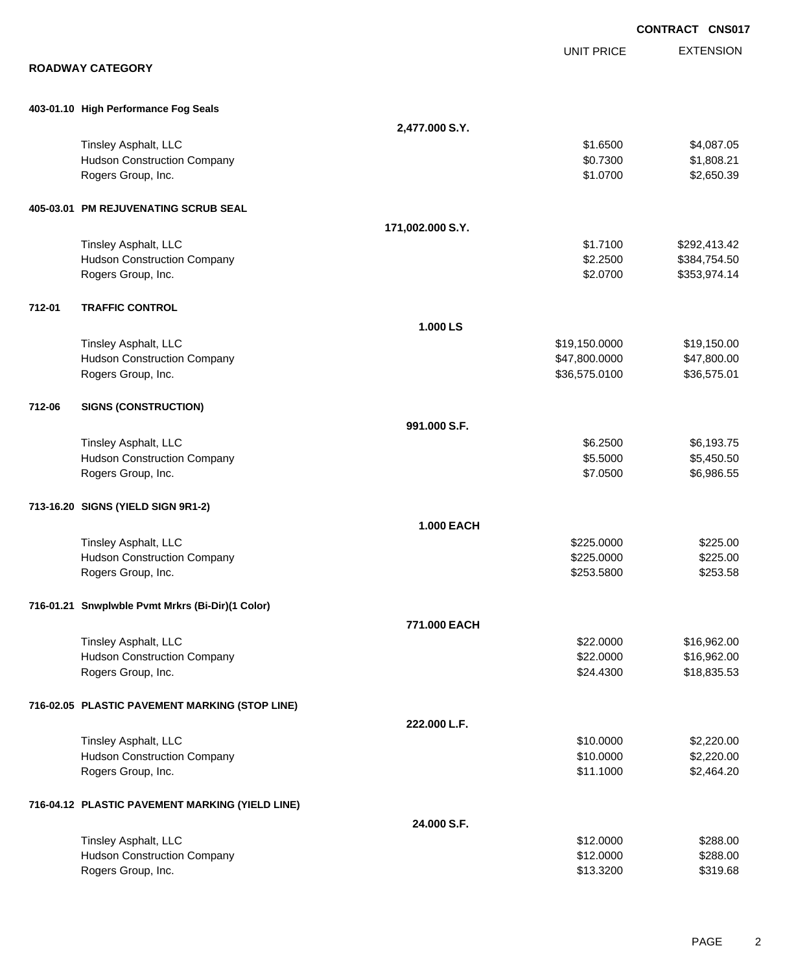|        |                                                  |                   |                   | <b>CONTRACT CNS017</b> |
|--------|--------------------------------------------------|-------------------|-------------------|------------------------|
|        |                                                  |                   | <b>UNIT PRICE</b> | <b>EXTENSION</b>       |
|        | <b>ROADWAY CATEGORY</b>                          |                   |                   |                        |
|        | 403-01.10 High Performance Fog Seals             |                   |                   |                        |
|        |                                                  | 2,477.000 S.Y.    |                   |                        |
|        | <b>Tinsley Asphalt, LLC</b>                      |                   | \$1.6500          | \$4,087.05             |
|        | <b>Hudson Construction Company</b>               |                   | \$0.7300          | \$1,808.21             |
|        | Rogers Group, Inc.                               |                   | \$1.0700          | \$2,650.39             |
|        | 405-03.01 PM REJUVENATING SCRUB SEAL             |                   |                   |                        |
|        |                                                  | 171,002.000 S.Y.  |                   |                        |
|        | Tinsley Asphalt, LLC                             |                   | \$1.7100          | \$292,413.42           |
|        | <b>Hudson Construction Company</b>               |                   | \$2.2500          | \$384,754.50           |
|        | Rogers Group, Inc.                               |                   | \$2.0700          | \$353,974.14           |
| 712-01 | <b>TRAFFIC CONTROL</b>                           |                   |                   |                        |
|        |                                                  | 1.000 LS          |                   |                        |
|        | Tinsley Asphalt, LLC                             |                   | \$19,150.0000     | \$19,150.00            |
|        | <b>Hudson Construction Company</b>               |                   | \$47,800.0000     | \$47,800.00            |
|        | Rogers Group, Inc.                               |                   | \$36,575.0100     | \$36,575.01            |
| 712-06 | <b>SIGNS (CONSTRUCTION)</b>                      |                   |                   |                        |
|        |                                                  | 991.000 S.F.      |                   |                        |
|        | Tinsley Asphalt, LLC                             |                   | \$6.2500          | \$6,193.75             |
|        | <b>Hudson Construction Company</b>               |                   | \$5.5000          | \$5,450.50             |
|        | Rogers Group, Inc.                               |                   | \$7.0500          | \$6,986.55             |
|        | 713-16.20 SIGNS (YIELD SIGN 9R1-2)               |                   |                   |                        |
|        |                                                  | <b>1.000 EACH</b> |                   |                        |
|        | Tinsley Asphalt, LLC                             |                   | \$225.0000        | \$225.00               |
|        | <b>Hudson Construction Company</b>               |                   | \$225.0000        | \$225.00               |
|        | Rogers Group, Inc.                               |                   | \$253.5800        | \$253.58               |
|        | 716-01.21 Snwplwble Pvmt Mrkrs (Bi-Dir)(1 Color) |                   |                   |                        |
|        |                                                  | 771.000 EACH      |                   |                        |
|        | Tinsley Asphalt, LLC                             |                   | \$22.0000         | \$16,962.00            |
|        | <b>Hudson Construction Company</b>               |                   | \$22.0000         | \$16,962.00            |
|        | Rogers Group, Inc.                               |                   | \$24.4300         | \$18,835.53            |
|        | 716-02.05 PLASTIC PAVEMENT MARKING (STOP LINE)   |                   |                   |                        |
|        |                                                  | 222.000 L.F.      |                   |                        |
|        | Tinsley Asphalt, LLC                             |                   | \$10.0000         | \$2,220.00             |
|        | <b>Hudson Construction Company</b>               |                   | \$10.0000         | \$2,220.00             |
|        | Rogers Group, Inc.                               |                   | \$11.1000         | \$2,464.20             |
|        | 716-04.12 PLASTIC PAVEMENT MARKING (YIELD LINE)  |                   |                   |                        |
|        |                                                  | 24.000 S.F.       |                   |                        |
|        | Tinsley Asphalt, LLC                             |                   | \$12.0000         | \$288.00               |
|        | <b>Hudson Construction Company</b>               |                   | \$12.0000         | \$288.00               |
|        | Rogers Group, Inc.                               |                   | \$13.3200         | \$319.68               |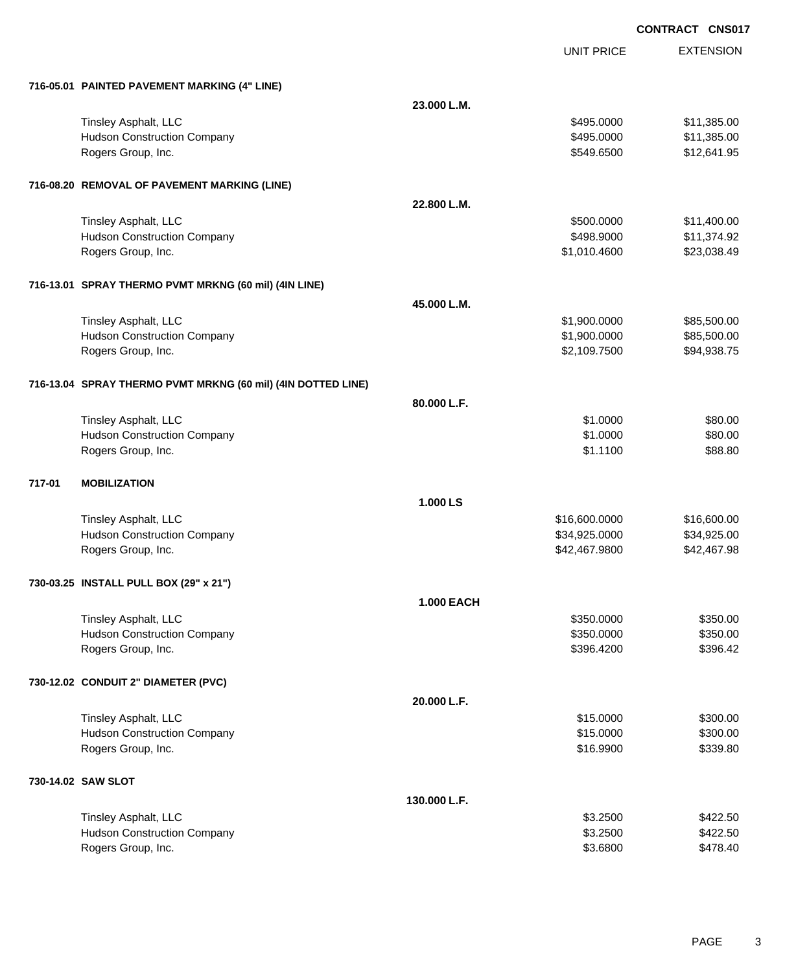UNIT PRICE

EXTENSION

|        | 716-05.01 PAINTED PAVEMENT MARKING (4" LINE)                 |                   |               |             |
|--------|--------------------------------------------------------------|-------------------|---------------|-------------|
|        |                                                              | 23.000 L.M.       |               |             |
|        | Tinsley Asphalt, LLC                                         |                   | \$495.0000    | \$11,385.00 |
|        | <b>Hudson Construction Company</b>                           |                   | \$495.0000    | \$11,385.00 |
|        | Rogers Group, Inc.                                           |                   | \$549.6500    | \$12,641.95 |
|        |                                                              |                   |               |             |
|        | 716-08.20 REMOVAL OF PAVEMENT MARKING (LINE)                 |                   |               |             |
|        |                                                              | 22.800 L.M.       |               |             |
|        | Tinsley Asphalt, LLC                                         |                   | \$500.0000    | \$11,400.00 |
|        | <b>Hudson Construction Company</b>                           |                   | \$498.9000    | \$11,374.92 |
|        | Rogers Group, Inc.                                           |                   | \$1,010.4600  | \$23,038.49 |
|        | 716-13.01 SPRAY THERMO PVMT MRKNG (60 mil) (4IN LINE)        |                   |               |             |
|        |                                                              | 45.000 L.M.       |               |             |
|        | Tinsley Asphalt, LLC                                         |                   | \$1,900.0000  | \$85,500.00 |
|        | <b>Hudson Construction Company</b>                           |                   | \$1,900.0000  | \$85,500.00 |
|        | Rogers Group, Inc.                                           |                   | \$2,109.7500  | \$94,938.75 |
|        | 716-13.04 SPRAY THERMO PVMT MRKNG (60 mil) (4IN DOTTED LINE) |                   |               |             |
|        |                                                              | 80.000 L.F.       |               |             |
|        | Tinsley Asphalt, LLC                                         |                   | \$1.0000      | \$80.00     |
|        | <b>Hudson Construction Company</b>                           |                   | \$1.0000      | \$80.00     |
|        | Rogers Group, Inc.                                           |                   | \$1.1100      | \$88.80     |
|        |                                                              |                   |               |             |
| 717-01 | <b>MOBILIZATION</b>                                          |                   |               |             |
|        |                                                              | 1.000 LS          |               |             |
|        | Tinsley Asphalt, LLC                                         |                   | \$16,600.0000 | \$16,600.00 |
|        | <b>Hudson Construction Company</b>                           |                   | \$34,925.0000 | \$34,925.00 |
|        | Rogers Group, Inc.                                           |                   | \$42,467.9800 | \$42,467.98 |
|        | 730-03.25 INSTALL PULL BOX (29" x 21")                       |                   |               |             |
|        |                                                              | <b>1.000 EACH</b> |               |             |
|        | Tinsley Asphalt, LLC                                         |                   | \$350.0000    | \$350.00    |
|        | <b>Hudson Construction Company</b>                           |                   | \$350.0000    | \$350.00    |
|        | Rogers Group, Inc.                                           |                   | \$396.4200    | \$396.42    |
|        | 730-12.02 CONDUIT 2" DIAMETER (PVC)                          |                   |               |             |
|        |                                                              | 20.000 L.F.       |               |             |
|        | <b>Tinsley Asphalt, LLC</b>                                  |                   | \$15.0000     | \$300.00    |
|        | <b>Hudson Construction Company</b>                           |                   | \$15.0000     | \$300.00    |
|        | Rogers Group, Inc.                                           |                   | \$16.9900     | \$339.80    |
|        | 730-14.02 SAW SLOT                                           |                   |               |             |
|        |                                                              | 130.000 L.F.      |               |             |
|        | Tinsley Asphalt, LLC                                         |                   | \$3.2500      | \$422.50    |
|        | <b>Hudson Construction Company</b>                           |                   | \$3.2500      | \$422.50    |
|        | Rogers Group, Inc.                                           |                   | \$3.6800      | \$478.40    |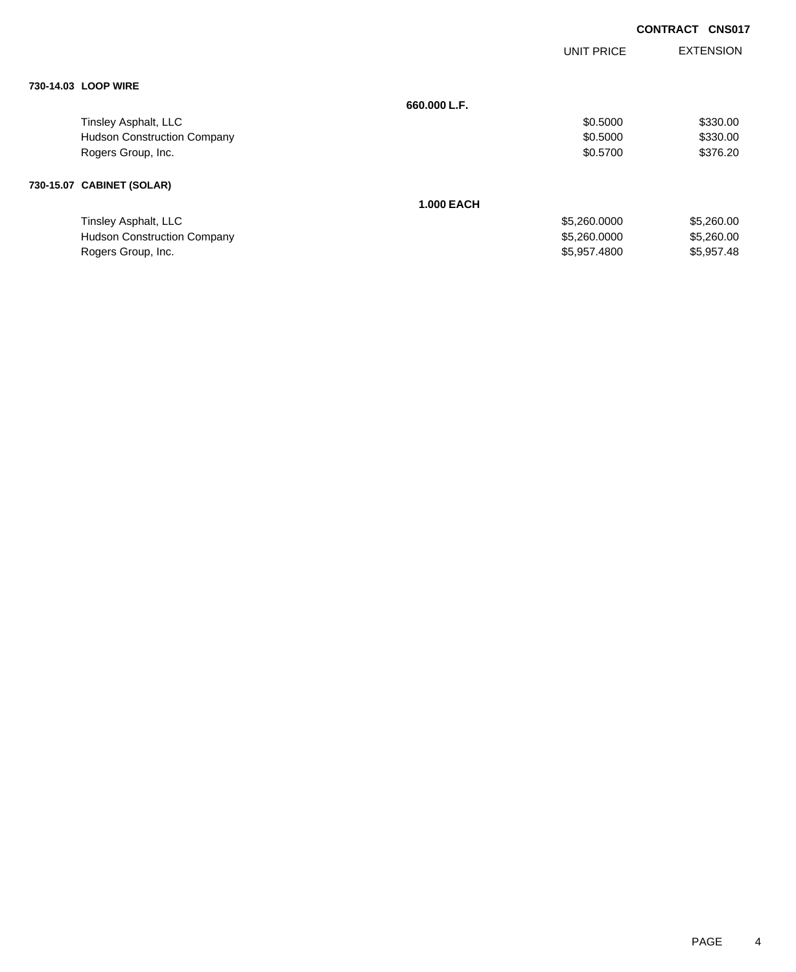|                                    |                   | UNIT PRICE   | <b>EXTENSION</b> |
|------------------------------------|-------------------|--------------|------------------|
|                                    |                   |              |                  |
| 730-14.03 LOOP WIRE                |                   |              |                  |
|                                    | 660,000 L.F.      |              |                  |
| Tinsley Asphalt, LLC               |                   | \$0.5000     | \$330.00         |
| <b>Hudson Construction Company</b> |                   | \$0.5000     | \$330.00         |
| Rogers Group, Inc.                 |                   | \$0.5700     | \$376.20         |
| 730-15.07 CABINET (SOLAR)          |                   |              |                  |
|                                    | <b>1.000 EACH</b> |              |                  |
| Tinsley Asphalt, LLC               |                   | \$5,260.0000 | \$5,260.00       |
| <b>Hudson Construction Company</b> |                   | \$5,260.0000 | \$5,260.00       |
| Rogers Group, Inc.                 |                   | \$5,957.4800 | \$5,957.48       |

Rogers Group, Inc. \$5,957.4800 \$5,957.4800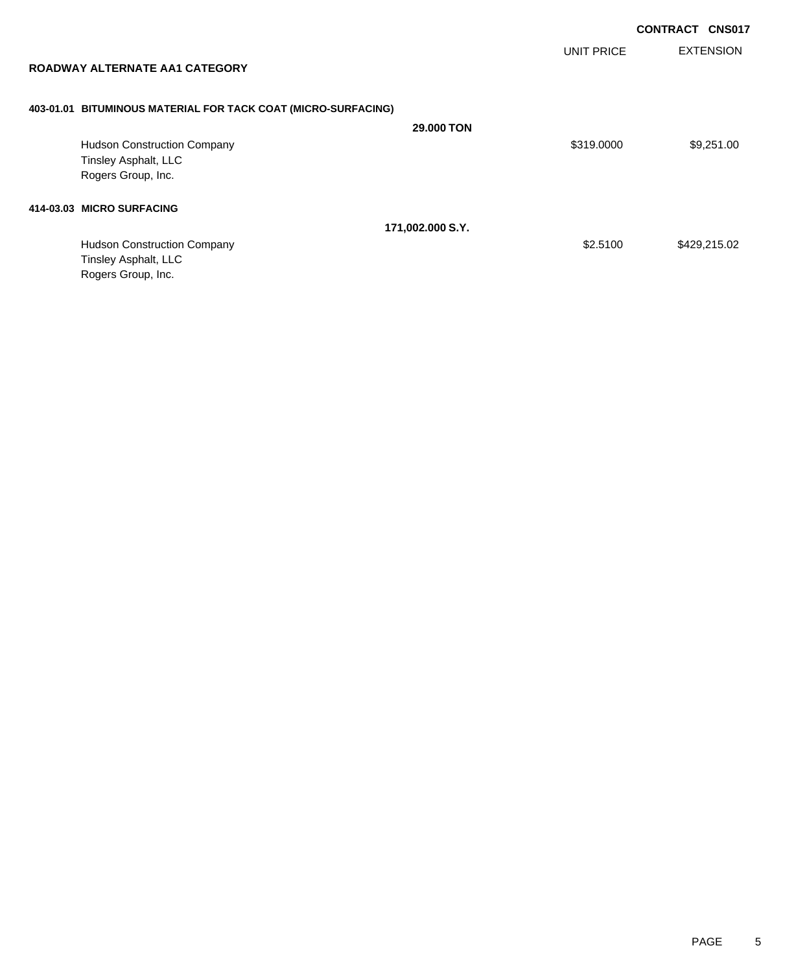UNIT PRICE

EXTENSION

|  |  | ROADWAY ALTERNATE AA1 CATEGORY |
|--|--|--------------------------------|
|--|--|--------------------------------|

# **403-01.01 BITUMINOUS MATERIAL FOR TACK COAT (MICRO-SURFACING)**

|                                    | <b>29,000 TON</b> |            |              |
|------------------------------------|-------------------|------------|--------------|
| <b>Hudson Construction Company</b> |                   | \$319.0000 | \$9,251.00   |
| Tinsley Asphalt, LLC               |                   |            |              |
| Rogers Group, Inc.                 |                   |            |              |
| 414-03.03 MICRO SURFACING          |                   |            |              |
|                                    | 171,002.000 S.Y.  |            |              |
| <b>Hudson Construction Company</b> |                   | \$2,5100   | \$429,215.02 |
| Tinsley Asphalt, LLC               |                   |            |              |
| Rogers Group, Inc.                 |                   |            |              |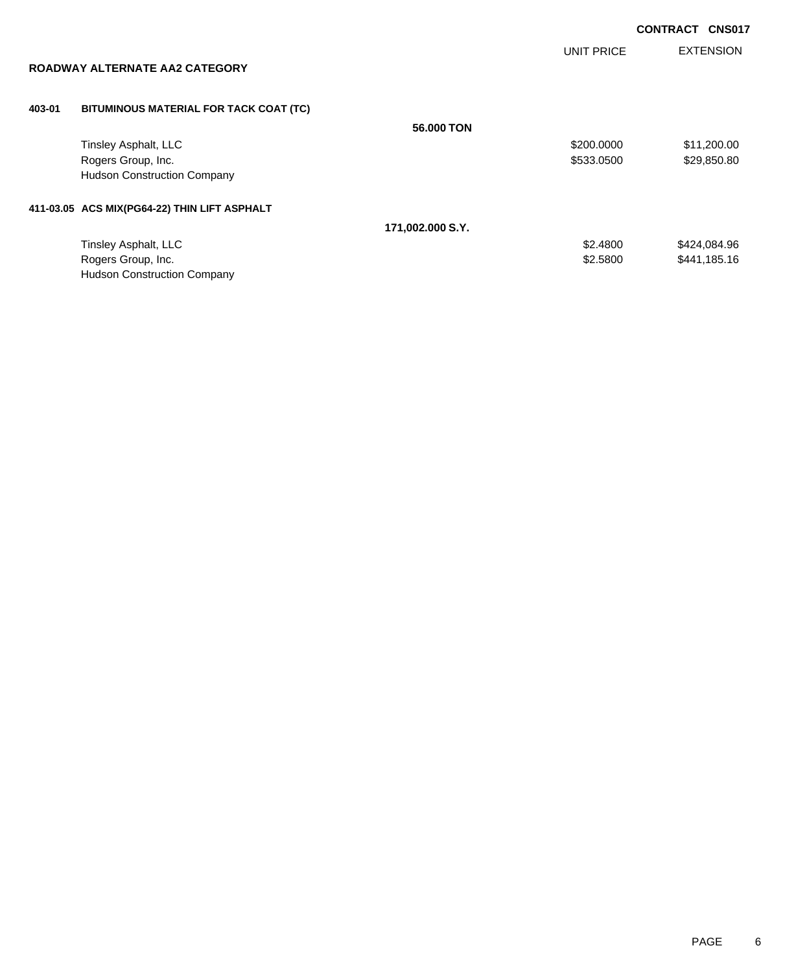UNIT PRICE

EXTENSION

| ROADWAY ALTERNATE AA2 CATEGORY |  |
|--------------------------------|--|
|--------------------------------|--|

### **403-01 BITUMINOUS MATERIAL FOR TACK COAT (TC)**

|                                              | 56,000 TON       |            |              |
|----------------------------------------------|------------------|------------|--------------|
| Tinsley Asphalt, LLC                         |                  | \$200.0000 | \$11,200.00  |
| Rogers Group, Inc.                           |                  | \$533,0500 | \$29,850.80  |
| <b>Hudson Construction Company</b>           |                  |            |              |
| 411-03.05 ACS MIX(PG64-22) THIN LIFT ASPHALT |                  |            |              |
|                                              | 171,002.000 S.Y. |            |              |
| Tinsley Asphalt, LLC                         |                  | \$2,4800   | \$424,084.96 |
| Rogers Group, Inc.                           |                  | \$2.5800   | \$441,185.16 |
| <b>Hudson Construction Company</b>           |                  |            |              |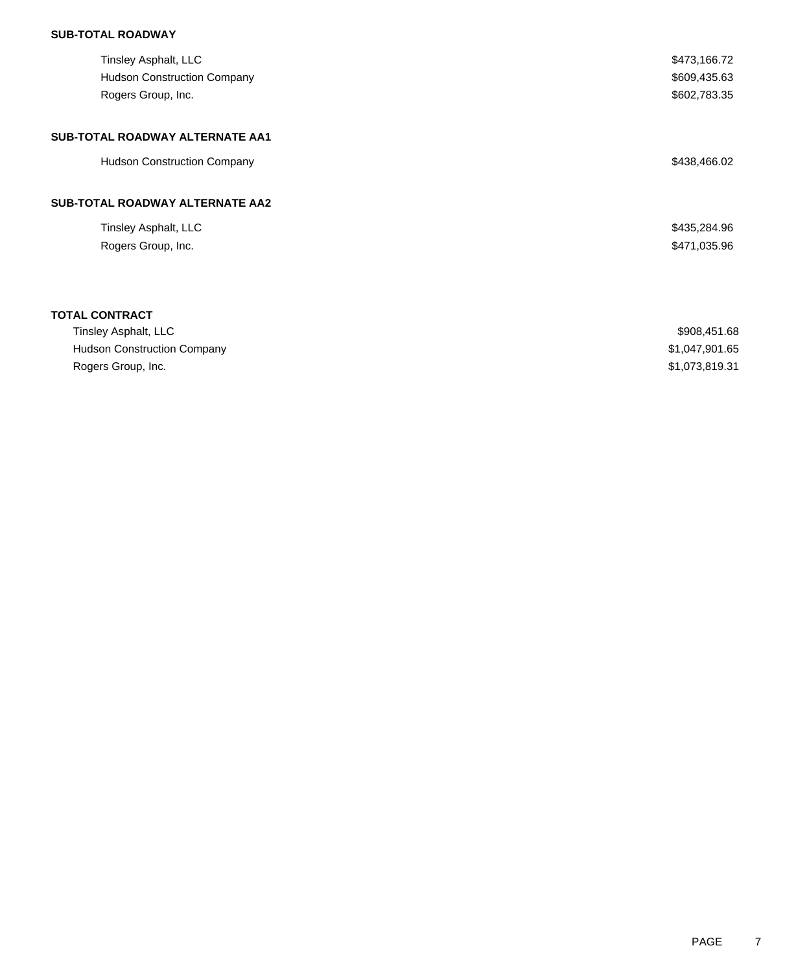## **SUB-TOTAL ROADWAY**

| Tinsley Asphalt, LLC                   | \$473,166.72   |
|----------------------------------------|----------------|
| <b>Hudson Construction Company</b>     | \$609,435.63   |
| Rogers Group, Inc.                     | \$602,783.35   |
| SUB-TOTAL ROADWAY ALTERNATE AA1        |                |
| <b>Hudson Construction Company</b>     | \$438,466.02   |
| <b>SUB-TOTAL ROADWAY ALTERNATE AA2</b> |                |
| Tinsley Asphalt, LLC                   | \$435,284.96   |
| Rogers Group, Inc.                     | \$471,035.96   |
|                                        |                |
| <b>TOTAL CONTRACT</b>                  |                |
| Tinsley Asphalt, LLC                   | \$908,451.68   |
| <b>Hudson Construction Company</b>     | \$1,047,901.65 |
| Rogers Group, Inc.                     | \$1,073,819.31 |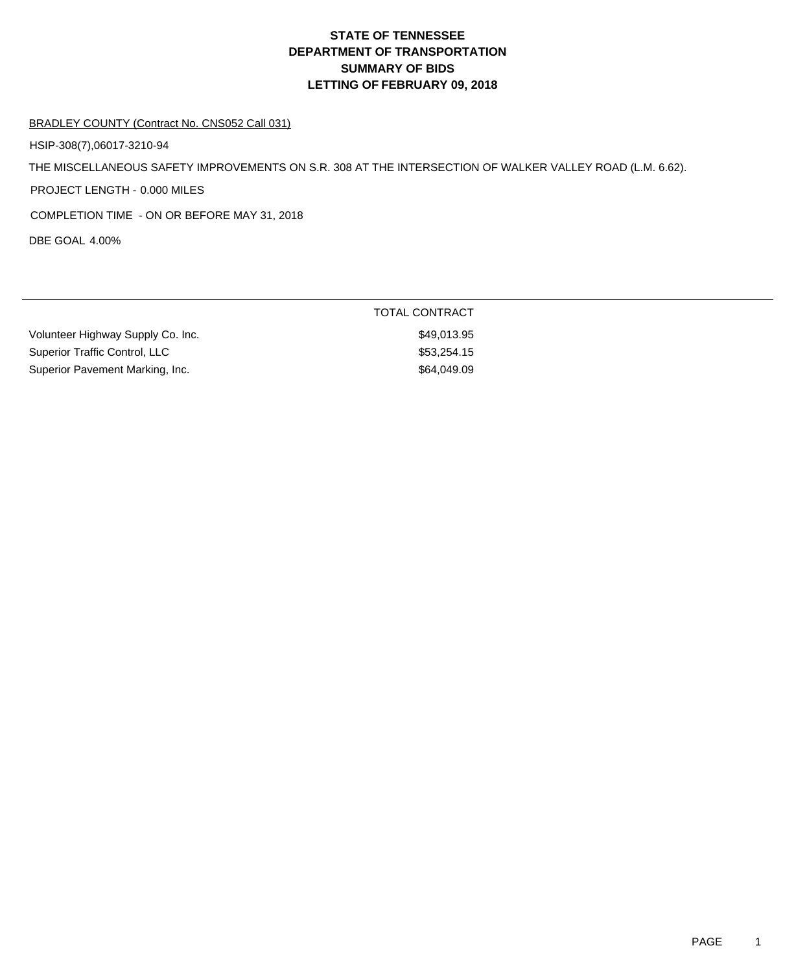#### BRADLEY COUNTY (Contract No. CNS052 Call 031)

HSIP-308(7),06017-3210-94

THE MISCELLANEOUS SAFETY IMPROVEMENTS ON S.R. 308 AT THE INTERSECTION OF WALKER VALLEY ROAD (L.M. 6.62).

PROJECT LENGTH - 0.000 MILES

COMPLETION TIME - ON OR BEFORE MAY 31, 2018

DBE GOAL 4.00%

|                                   | <b>TOTAL CONTRACT</b> |  |
|-----------------------------------|-----------------------|--|
| Volunteer Highway Supply Co. Inc. | \$49.013.95           |  |
| Superior Traffic Control, LLC     | \$53,254,15           |  |
| Superior Pavement Marking, Inc.   | \$64,049.09           |  |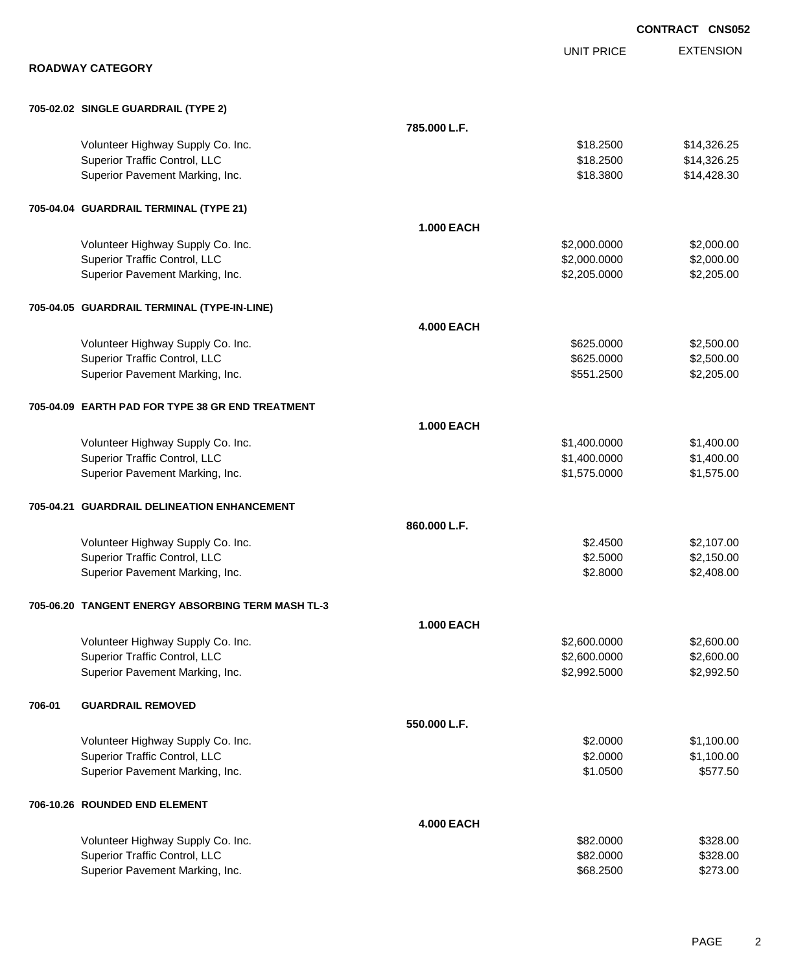|                                                   |                   |                   | <b>CONTRACT CNS052</b> |
|---------------------------------------------------|-------------------|-------------------|------------------------|
|                                                   |                   | <b>UNIT PRICE</b> | <b>EXTENSION</b>       |
| <b>ROADWAY CATEGORY</b>                           |                   |                   |                        |
| 705-02.02 SINGLE GUARDRAIL (TYPE 2)               |                   |                   |                        |
|                                                   | 785.000 L.F.      |                   |                        |
| Volunteer Highway Supply Co. Inc.                 |                   | \$18.2500         | \$14,326.25            |
| Superior Traffic Control, LLC                     |                   | \$18.2500         | \$14,326.25            |
| Superior Pavement Marking, Inc.                   |                   | \$18.3800         | \$14,428.30            |
| 705-04.04 GUARDRAIL TERMINAL (TYPE 21)            |                   |                   |                        |
|                                                   | <b>1.000 EACH</b> |                   |                        |
| Volunteer Highway Supply Co. Inc.                 |                   | \$2,000.0000      | \$2,000.00             |
| Superior Traffic Control, LLC                     |                   | \$2,000.0000      | \$2,000.00             |
| Superior Pavement Marking, Inc.                   |                   | \$2,205.0000      | \$2,205.00             |
| 705-04.05 GUARDRAIL TERMINAL (TYPE-IN-LINE)       |                   |                   |                        |
|                                                   | <b>4.000 EACH</b> |                   |                        |
| Volunteer Highway Supply Co. Inc.                 |                   | \$625.0000        | \$2,500.00             |
| Superior Traffic Control, LLC                     |                   | \$625.0000        | \$2,500.00             |
| Superior Pavement Marking, Inc.                   |                   | \$551.2500        | \$2,205.00             |
| 705-04.09 EARTH PAD FOR TYPE 38 GR END TREATMENT  |                   |                   |                        |
|                                                   | <b>1.000 EACH</b> |                   |                        |
| Volunteer Highway Supply Co. Inc.                 |                   | \$1,400.0000      | \$1,400.00             |
| Superior Traffic Control, LLC                     |                   | \$1,400.0000      | \$1,400.00             |
| Superior Pavement Marking, Inc.                   |                   | \$1,575.0000      | \$1,575.00             |
| 705-04.21 GUARDRAIL DELINEATION ENHANCEMENT       |                   |                   |                        |
|                                                   | 860,000 L.F.      |                   |                        |
| Volunteer Highway Supply Co. Inc.                 |                   | \$2.4500          | \$2,107.00             |
| Superior Traffic Control, LLC                     |                   | \$2.5000          | \$2,150.00             |
| Superior Pavement Marking, Inc.                   |                   | \$2.8000          | \$2,408.00             |
| 705-06.20 TANGENT ENERGY ABSORBING TERM MASH TL-3 |                   |                   |                        |
|                                                   | <b>1.000 EACH</b> |                   |                        |
| Volunteer Highway Supply Co. Inc.                 |                   | \$2,600.0000      | \$2,600.00             |
| Superior Traffic Control, LLC                     |                   | \$2,600.0000      | \$2,600.00             |
| Superior Pavement Marking, Inc.                   |                   | \$2,992.5000      | \$2,992.50             |
| 706-01<br><b>GUARDRAIL REMOVED</b>                |                   |                   |                        |
|                                                   | 550.000 L.F.      |                   |                        |
| Volunteer Highway Supply Co. Inc.                 |                   | \$2.0000          | \$1,100.00             |
| Superior Traffic Control, LLC                     |                   | \$2.0000          | \$1,100.00             |
| Superior Pavement Marking, Inc.                   |                   | \$1.0500          | \$577.50               |
| 706-10.26 ROUNDED END ELEMENT                     |                   |                   |                        |
|                                                   | <b>4.000 EACH</b> |                   |                        |
| Volunteer Highway Supply Co. Inc.                 |                   | \$82.0000         | \$328.00               |
| Superior Traffic Control, LLC                     |                   | \$82.0000         | \$328.00               |
| Superior Pavement Marking, Inc.                   |                   | \$68.2500         | \$273.00               |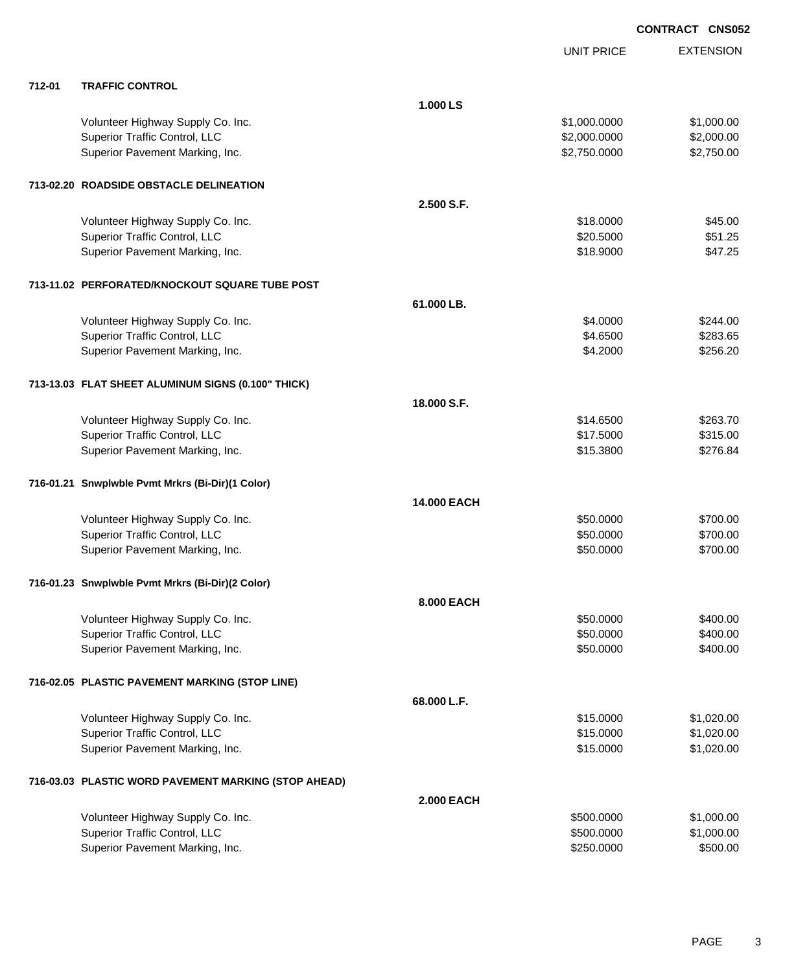|        |                                                      |                   | <b>UNIT PRICE</b> | <b>EXTENSION</b> |
|--------|------------------------------------------------------|-------------------|-------------------|------------------|
| 712-01 | <b>TRAFFIC CONTROL</b>                               |                   |                   |                  |
|        |                                                      | 1.000 LS          |                   |                  |
|        | Volunteer Highway Supply Co. Inc.                    |                   | \$1,000.0000      | \$1,000.00       |
|        | Superior Traffic Control, LLC                        |                   | \$2,000.0000      | \$2,000.00       |
|        | Superior Pavement Marking, Inc.                      |                   | \$2,750.0000      | \$2,750.00       |
|        | 713-02.20 ROADSIDE OBSTACLE DELINEATION              |                   |                   |                  |
|        |                                                      | 2.500 S.F.        |                   |                  |
|        | Volunteer Highway Supply Co. Inc.                    |                   | \$18.0000         | \$45.00          |
|        | Superior Traffic Control, LLC                        |                   | \$20.5000         | \$51.25          |
|        | Superior Pavement Marking, Inc.                      |                   | \$18.9000         | \$47.25          |
|        | 713-11.02 PERFORATED/KNOCKOUT SQUARE TUBE POST       |                   |                   |                  |
|        |                                                      | 61.000 LB.        |                   |                  |
|        | Volunteer Highway Supply Co. Inc.                    |                   | \$4.0000          | \$244.00         |
|        | Superior Traffic Control, LLC                        |                   | \$4.6500          | \$283.65         |
|        | Superior Pavement Marking, Inc.                      |                   | \$4.2000          | \$256.20         |
|        | 713-13.03 FLAT SHEET ALUMINUM SIGNS (0.100" THICK)   |                   |                   |                  |
|        |                                                      | 18.000 S.F.       |                   |                  |
|        | Volunteer Highway Supply Co. Inc.                    |                   | \$14.6500         | \$263.70         |
|        | Superior Traffic Control, LLC                        |                   | \$17.5000         | \$315.00         |
|        | Superior Pavement Marking, Inc.                      |                   | \$15.3800         | \$276.84         |
|        | 716-01.21 Snwplwble Pvmt Mrkrs (Bi-Dir)(1 Color)     |                   |                   |                  |
|        |                                                      | 14.000 EACH       |                   |                  |
|        | Volunteer Highway Supply Co. Inc.                    |                   | \$50.0000         | \$700.00         |
|        | Superior Traffic Control, LLC                        |                   | \$50.0000         | \$700.00         |
|        | Superior Pavement Marking, Inc.                      |                   | \$50.0000         | \$700.00         |
|        | 716-01.23 Snwplwble Pvmt Mrkrs (Bi-Dir)(2 Color)     |                   |                   |                  |
|        |                                                      | 8.000 EACH        |                   |                  |
|        | Volunteer Highway Supply Co. Inc.                    |                   | \$50.0000         | \$400.00         |
|        | Superior Traffic Control, LLC                        |                   | \$50.0000         | \$400.00         |
|        | Superior Pavement Marking, Inc.                      |                   | \$50.0000         | \$400.00         |
|        | 716-02.05 PLASTIC PAVEMENT MARKING (STOP LINE)       |                   |                   |                  |
|        |                                                      | 68.000 L.F.       |                   |                  |
|        | Volunteer Highway Supply Co. Inc.                    |                   | \$15.0000         | \$1,020.00       |
|        | Superior Traffic Control, LLC                        |                   | \$15.0000         | \$1,020.00       |
|        | Superior Pavement Marking, Inc.                      |                   | \$15.0000         | \$1,020.00       |
|        | 716-03.03 PLASTIC WORD PAVEMENT MARKING (STOP AHEAD) |                   |                   |                  |
|        |                                                      | <b>2.000 EACH</b> |                   |                  |
|        | Volunteer Highway Supply Co. Inc.                    |                   | \$500.0000        | \$1,000.00       |
|        | Superior Traffic Control, LLC                        |                   | \$500.0000        | \$1,000.00       |
|        | Superior Pavement Marking, Inc.                      |                   | \$250.0000        | \$500.00         |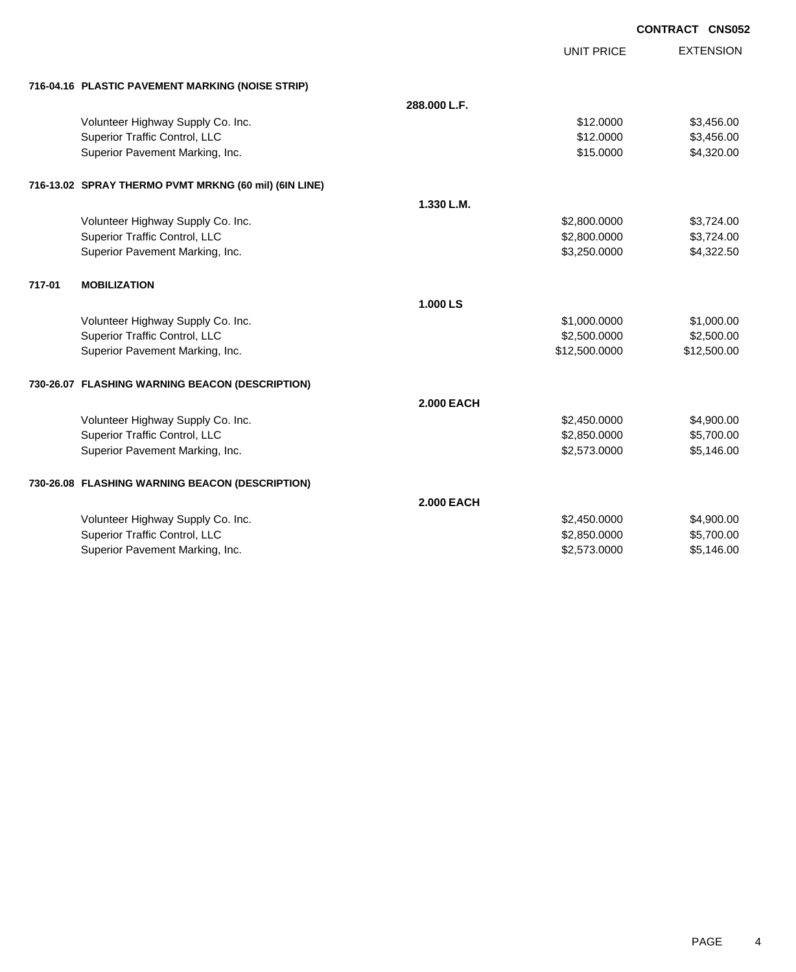|        |                                                       |                   |                   | <b>CONTRACT CNS052</b> |
|--------|-------------------------------------------------------|-------------------|-------------------|------------------------|
|        |                                                       |                   | <b>UNIT PRICE</b> | <b>EXTENSION</b>       |
|        |                                                       |                   |                   |                        |
|        | 716-04.16 PLASTIC PAVEMENT MARKING (NOISE STRIP)      |                   |                   |                        |
|        |                                                       | 288.000 L.F.      |                   |                        |
|        | Volunteer Highway Supply Co. Inc.                     |                   | \$12.0000         | \$3,456.00             |
|        | Superior Traffic Control, LLC                         |                   | \$12.0000         | \$3,456.00             |
|        | Superior Pavement Marking, Inc.                       |                   | \$15.0000         | \$4,320.00             |
|        | 716-13.02 SPRAY THERMO PVMT MRKNG (60 mil) (6IN LINE) |                   |                   |                        |
|        |                                                       | 1.330 L.M.        |                   |                        |
|        | Volunteer Highway Supply Co. Inc.                     |                   | \$2,800.0000      | \$3,724.00             |
|        | Superior Traffic Control, LLC                         |                   | \$2,800.0000      | \$3,724.00             |
|        | Superior Pavement Marking, Inc.                       |                   | \$3,250.0000      | \$4,322.50             |
| 717-01 | <b>MOBILIZATION</b>                                   |                   |                   |                        |
|        |                                                       | 1.000 LS          |                   |                        |
|        | Volunteer Highway Supply Co. Inc.                     |                   | \$1,000.0000      | \$1,000.00             |
|        | Superior Traffic Control, LLC                         |                   | \$2,500.0000      | \$2,500.00             |
|        | Superior Pavement Marking, Inc.                       |                   | \$12,500.0000     | \$12,500.00            |
|        | 730-26.07 FLASHING WARNING BEACON (DESCRIPTION)       |                   |                   |                        |
|        |                                                       | <b>2.000 EACH</b> |                   |                        |
|        | Volunteer Highway Supply Co. Inc.                     |                   | \$2,450.0000      | \$4,900.00             |
|        | Superior Traffic Control, LLC                         |                   | \$2,850.0000      | \$5,700.00             |
|        | Superior Pavement Marking, Inc.                       |                   | \$2,573.0000      | \$5,146.00             |
|        | 730-26.08 FLASHING WARNING BEACON (DESCRIPTION)       |                   |                   |                        |
|        |                                                       | <b>2.000 EACH</b> |                   |                        |
|        | Volunteer Highway Supply Co. Inc.                     |                   | \$2,450.0000      | \$4,900.00             |
|        | Superior Traffic Control, LLC                         |                   | \$2,850.0000      | \$5,700.00             |
|        | Superior Pavement Marking, Inc.                       |                   | \$2,573.0000      | \$5,146.00             |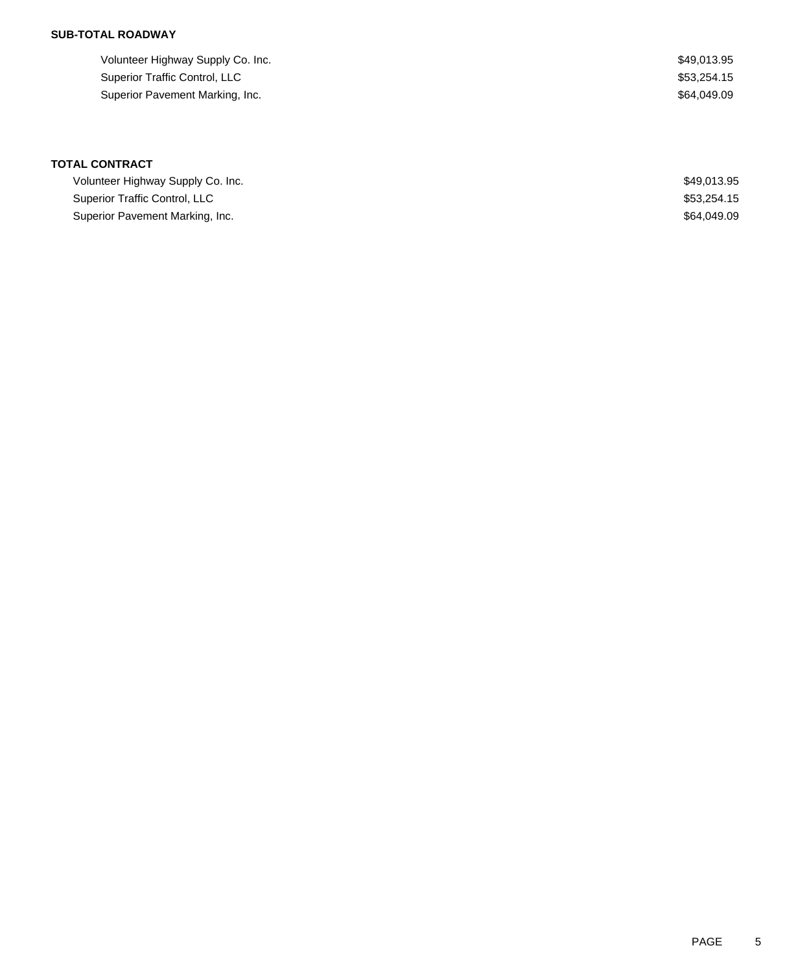## **SUB-TOTAL ROADWAY**

| Volunteer Highway Supply Co. Inc. | \$49,013.95 |
|-----------------------------------|-------------|
| Superior Traffic Control, LLC     | \$53.254.15 |
| Superior Pavement Marking, Inc.   | \$64.049.09 |

# **TOTAL CONTRACT**

| Volunteer Highway Supply Co. Inc. | \$49.013.95 |
|-----------------------------------|-------------|
| Superior Traffic Control, LLC     | \$53,254.15 |
| Superior Pavement Marking, Inc.   | \$64.049.09 |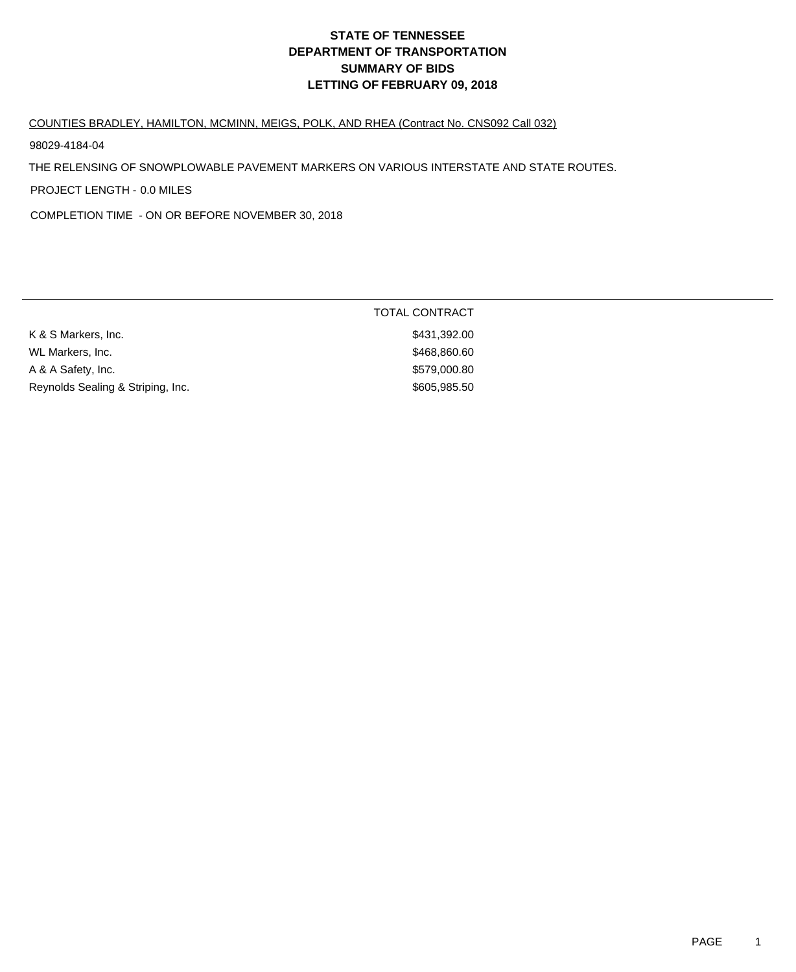## COUNTIES BRADLEY, HAMILTON, MCMINN, MEIGS, POLK, AND RHEA (Contract No. CNS092 Call 032)

98029-4184-04

THE RELENSING OF SNOWPLOWABLE PAVEMENT MARKERS ON VARIOUS INTERSTATE AND STATE ROUTES.

PROJECT LENGTH - 0.0 MILES

COMPLETION TIME - ON OR BEFORE NOVEMBER 30, 2018

|                                   | TOTAL CONTRACT |
|-----------------------------------|----------------|
| K & S Markers, Inc.               | \$431,392.00   |
| WL Markers, Inc.                  | \$468,860.60   |
| A & A Safety, Inc.                | \$579,000.80   |
| Reynolds Sealing & Striping, Inc. | \$605,985.50   |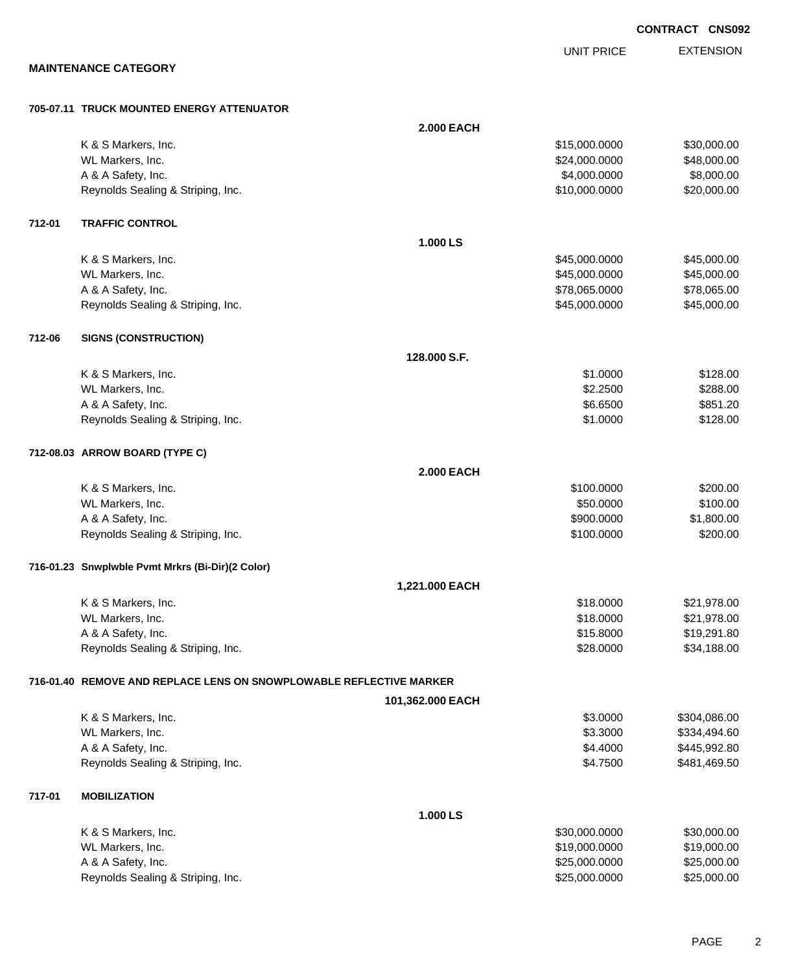EXTENSION **CONTRACT CNS092** UNIT PRICE

**MAINTENANCE CATEGORY**

#### **705-07.11 TRUCK MOUNTED ENERGY ATTENUATOR**

|        |                                                                     | <b>2.000 EACH</b> |               |              |
|--------|---------------------------------------------------------------------|-------------------|---------------|--------------|
|        | K & S Markers, Inc.                                                 |                   | \$15,000.0000 | \$30,000.00  |
|        | WL Markers, Inc.                                                    |                   | \$24,000.0000 | \$48,000.00  |
|        | A & A Safety, Inc.                                                  |                   | \$4,000.0000  | \$8,000.00   |
|        | Reynolds Sealing & Striping, Inc.                                   |                   | \$10,000.0000 | \$20,000.00  |
| 712-01 | <b>TRAFFIC CONTROL</b>                                              |                   |               |              |
|        |                                                                     | 1.000 LS          |               |              |
|        | K & S Markers, Inc.                                                 |                   | \$45,000.0000 | \$45,000.00  |
|        | WL Markers, Inc.                                                    |                   | \$45,000.0000 | \$45,000.00  |
|        | A & A Safety, Inc.                                                  |                   | \$78,065.0000 | \$78,065.00  |
|        | Reynolds Sealing & Striping, Inc.                                   |                   | \$45,000.0000 | \$45,000.00  |
| 712-06 | <b>SIGNS (CONSTRUCTION)</b>                                         |                   |               |              |
|        |                                                                     | 128,000 S.F.      |               |              |
|        | K & S Markers, Inc.                                                 |                   | \$1.0000      | \$128.00     |
|        | WL Markers, Inc.                                                    |                   | \$2.2500      | \$288.00     |
|        | A & A Safety, Inc.                                                  |                   | \$6.6500      | \$851.20     |
|        | Reynolds Sealing & Striping, Inc.                                   |                   | \$1.0000      | \$128.00     |
|        | 712-08.03 ARROW BOARD (TYPE C)                                      |                   |               |              |
|        |                                                                     | <b>2.000 EACH</b> |               |              |
|        | K & S Markers, Inc.                                                 |                   | \$100.0000    | \$200.00     |
|        | WL Markers, Inc.                                                    |                   | \$50.0000     | \$100.00     |
|        | A & A Safety, Inc.                                                  |                   | \$900.0000    | \$1,800.00   |
|        | Reynolds Sealing & Striping, Inc.                                   |                   | \$100.0000    | \$200.00     |
|        | 716-01.23 Snwplwble Pvmt Mrkrs (Bi-Dir)(2 Color)                    |                   |               |              |
|        |                                                                     | 1,221.000 EACH    |               |              |
|        | K & S Markers, Inc.                                                 |                   | \$18.0000     | \$21,978.00  |
|        | WL Markers, Inc.                                                    |                   | \$18.0000     | \$21,978.00  |
|        | A & A Safety, Inc.                                                  |                   | \$15.8000     | \$19,291.80  |
|        | Reynolds Sealing & Striping, Inc.                                   |                   | \$28.0000     | \$34,188.00  |
|        | 716-01.40 REMOVE AND REPLACE LENS ON SNOWPLOWABLE REFLECTIVE MARKER |                   |               |              |
|        |                                                                     | 101,362.000 EACH  |               |              |
|        | K & S Markers, Inc.                                                 |                   | \$3.0000      | \$304,086.00 |
|        | WL Markers, Inc.                                                    |                   | \$3.3000      | \$334,494.60 |
|        | A & A Safety, Inc.                                                  |                   | \$4.4000      | \$445,992.80 |
|        | Reynolds Sealing & Striping, Inc.                                   |                   | \$4.7500      | \$481,469.50 |
| 717-01 | <b>MOBILIZATION</b>                                                 |                   |               |              |
|        |                                                                     | 1.000 LS          |               |              |
|        | K & S Markers, Inc.                                                 |                   | \$30,000.0000 | \$30,000.00  |
|        | WL Markers, Inc.                                                    |                   | \$19,000.0000 | \$19,000.00  |
|        | A & A Safety, Inc.                                                  |                   | \$25,000.0000 | \$25,000.00  |
|        | Reynolds Sealing & Striping, Inc.                                   |                   | \$25,000.0000 | \$25,000.00  |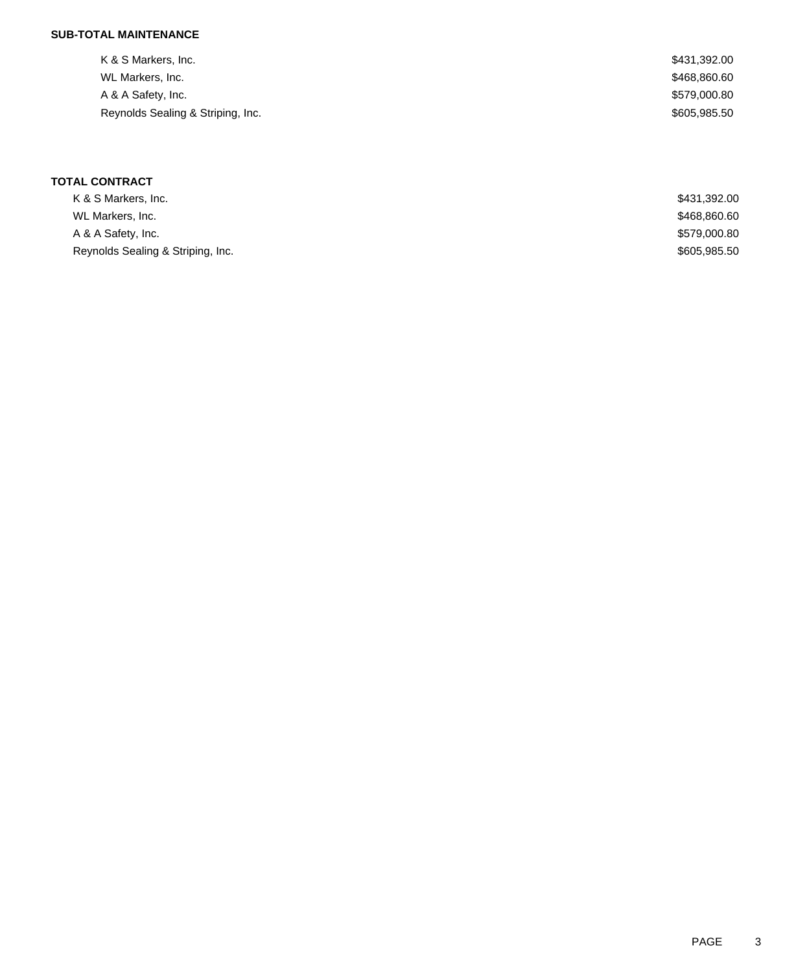## **SUB-TOTAL MAINTENANCE**

| K & S Markers, Inc.               | \$431,392.00 |
|-----------------------------------|--------------|
| WL Markers, Inc.                  | \$468,860.60 |
| A & A Safety, Inc.                | \$579,000.80 |
| Reynolds Sealing & Striping, Inc. | \$605,985.50 |
|                                   |              |

## **TOTAL CONTRACT**

| K & S Markers, Inc.               | \$431,392.00 |
|-----------------------------------|--------------|
| WL Markers, Inc.                  | \$468,860.60 |
| A & A Safety, Inc.                | \$579,000.80 |
| Reynolds Sealing & Striping, Inc. | \$605,985.50 |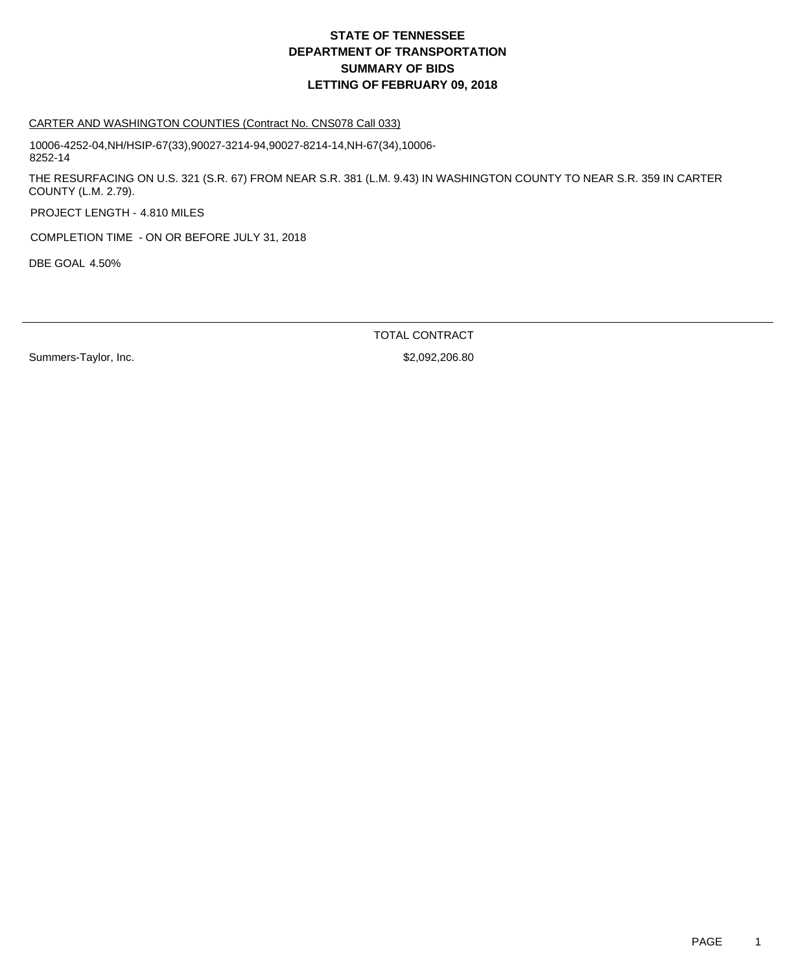#### CARTER AND WASHINGTON COUNTIES (Contract No. CNS078 Call 033)

10006-4252-04,NH/HSIP-67(33),90027-3214-94,90027-8214-14,NH-67(34),10006- 8252-14

THE RESURFACING ON U.S. 321 (S.R. 67) FROM NEAR S.R. 381 (L.M. 9.43) IN WASHINGTON COUNTY TO NEAR S.R. 359 IN CARTER COUNTY (L.M. 2.79).

PROJECT LENGTH - 4.810 MILES

COMPLETION TIME - ON OR BEFORE JULY 31, 2018

DBE GOAL 4.50%

TOTAL CONTRACT

Summers-Taylor, Inc. 6. 2008.206.80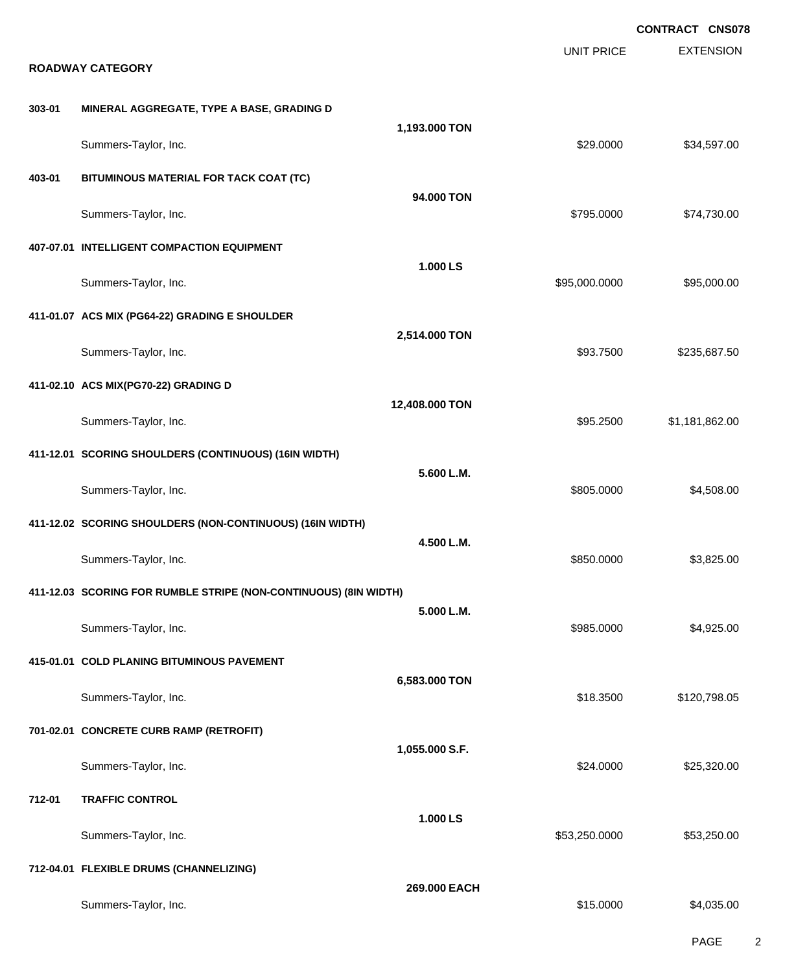EXTENSION **CONTRACT CNS078** UNIT PRICE **ROADWAY CATEGORY 303-01 MINERAL AGGREGATE, TYPE A BASE, GRADING D 1,193.000 TON** Summers-Taylor, Inc. \$29.0000 \$34,597.00 **403-01 BITUMINOUS MATERIAL FOR TACK COAT (TC) 94.000 TON** Summers-Taylor, Inc. \$795.0000 \$74,730.00 **407-07.01 INTELLIGENT COMPACTION EQUIPMENT 1.000 LS** Summers-Taylor, Inc. 6. 2010. The state of the state of the state of the state of the state of the state of the state of the state of the state of the state of the state of the state of the state of the state of the state **411-01.07 ACS MIX (PG64-22) GRADING E SHOULDER 2,514.000 TON** Summers-Taylor, Inc. \$93.7500 \$235,687.50 **411-02.10 ACS MIX(PG70-22) GRADING D 12,408.000 TON** Summers-Taylor, Inc. \$95.2500 \$1,181,862.00 **411-12.01 SCORING SHOULDERS (CONTINUOUS) (16IN WIDTH) 5.600 L.M.** Summers-Taylor, Inc. 66 and the state of the state of the state of the state of the state of the state of the state of the state of the state of the state of the state of the state of the state of the state of the state of **411-12.02 SCORING SHOULDERS (NON-CONTINUOUS) (16IN WIDTH) 4.500 L.M.** Summers-Taylor, Inc. \$850.0000 \$3,825.00 **411-12.03 SCORING FOR RUMBLE STRIPE (NON-CONTINUOUS) (8IN WIDTH) 5.000 L.M.** Summers-Taylor, Inc. \$985.0000 \$4,925.00 **415-01.01 COLD PLANING BITUMINOUS PAVEMENT 6,583.000 TON** Summers-Taylor, Inc. \$18.3500 \$120,798.05 **701-02.01 CONCRETE CURB RAMP (RETROFIT) 1,055.000 S.F.** Summers-Taylor, Inc. \$25,320.00 \$25,320.00 \$25,320.00 \$25,320.00 \$25,320.00 \$25,320.00 \$25,320.00 \$25,320.00 \$ **712-01 TRAFFIC CONTROL 1.000 LS** Summers-Taylor, Inc. \$53,250.000 \$53,250.000 \$53,250.000 \$53,250.000 \$53,250.000 \$53,250.00 **712-04.01 FLEXIBLE DRUMS (CHANNELIZING) 269.000 EACH** Summers-Taylor, Inc. \$15.0000 \$4,035.00

PAGE 2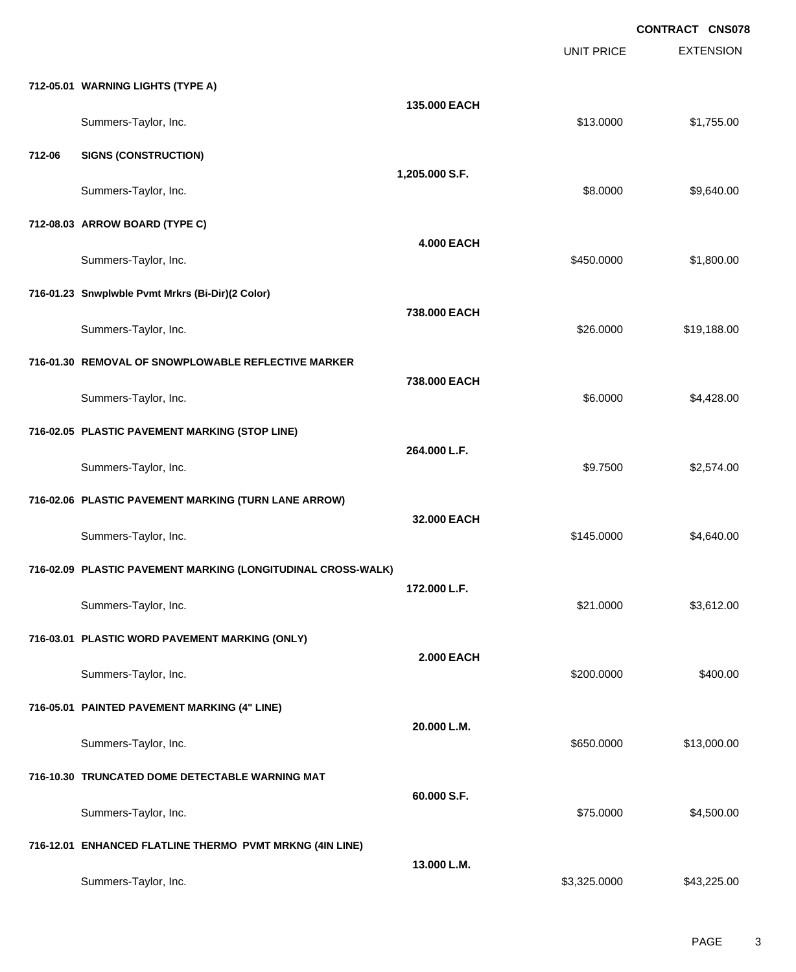EXTENSION **CONTRACT CNS078** UNIT PRICE **712-05.01 WARNING LIGHTS (TYPE A) 135.000 EACH** Summers-Taylor, Inc. \$13.0000 \$1,755.00 **712-06 SIGNS (CONSTRUCTION) 1,205.000 S.F.** Summers-Taylor, Inc. \$8.0000 \$9,640.00 **712-08.03 ARROW BOARD (TYPE C) 4.000 EACH** Summers-Taylor, Inc. 6. 2012. The state of the state of the state of the state of the state of the state of the state of the state of the state of the state of the state of the state of the state of the state of the state **716-01.23 Snwplwble Pvmt Mrkrs (Bi-Dir)(2 Color) 738.000 EACH** Summers-Taylor, Inc. \$26.0000 \$19,188.00 **716-01.30 REMOVAL OF SNOWPLOWABLE REFLECTIVE MARKER 738.000 EACH** Summers-Taylor, Inc. \$6.0000 \$4,428.00 **716-02.05 PLASTIC PAVEMENT MARKING (STOP LINE) 264.000 L.F.** Summers-Taylor, Inc. \$9.7500 \$2,574.00 **716-02.06 PLASTIC PAVEMENT MARKING (TURN LANE ARROW) 32.000 EACH** Summers-Taylor, Inc. 66 and the state of the state of the state of the state of the state of the state of the state of the state of the state of the state of the state of the state of the state of the state of the state of **716-02.09 PLASTIC PAVEMENT MARKING (LONGITUDINAL CROSS-WALK) 172.000 L.F.** Summers-Taylor, Inc. \$21.0000 \$3,612.00 **716-03.01 PLASTIC WORD PAVEMENT MARKING (ONLY) 2.000 EACH** Summers-Taylor, Inc. \$400.00 \$400.00 \$400.00 \$400.00 \$400.00 \$400.00 \$400.00 \$400.00 \$400.00 \$400.00 \$400.00 \$ **716-05.01 PAINTED PAVEMENT MARKING (4" LINE) 20.000 L.M.** Summers-Taylor, Inc. 6. 2010. The state of the state of the state of the state of the state of the state of the state of the state of the state of the state of the state of the state of the state of the state of the state **716-10.30 TRUNCATED DOME DETECTABLE WARNING MAT 60.000 S.F.** Summers-Taylor, Inc. \$2,500.00 \$4,500.00 \$4,500.00 \$4,500.00 \$4,500.00 \$4,500.00 \$4,500.00 \$4,500.00 \$4,500.00 **716-12.01 ENHANCED FLATLINE THERMO PVMT MRKNG (4IN LINE) 13.000 L.M.** Summers-Taylor, Inc. \$3,325.000 \$43,225.00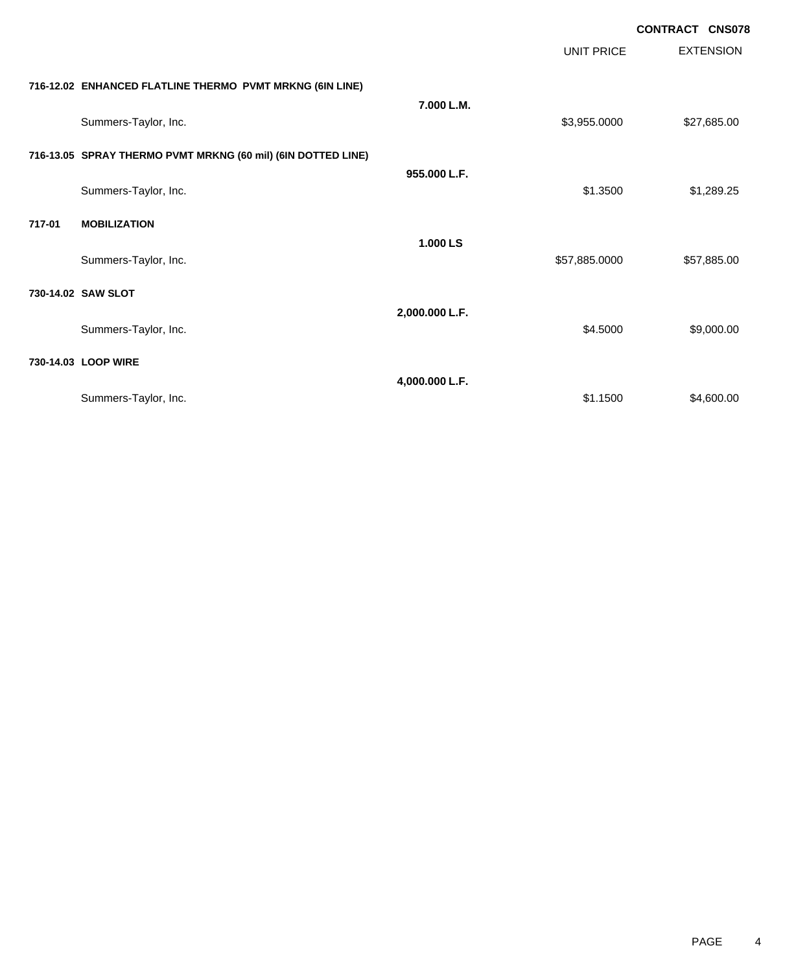EXTENSION **CONTRACT CNS078** UNIT PRICE **716-12.02 ENHANCED FLATLINE THERMO PVMT MRKNG (6IN LINE) 7.000 L.M.** Summers-Taylor, Inc. \$27,685.00 **716-13.05 SPRAY THERMO PVMT MRKNG (60 mil) (6IN DOTTED LINE) 955.000 L.F.** Summers-Taylor, Inc. \$1.289.25 \$1.3500 \$1.289.25 **717-01 MOBILIZATION 1.000 LS** Summers-Taylor, Inc. 6. The Summers-Taylor, Inc. 6. The Summers-Taylor, Inc. 6. The Summers-Taylor, Inc. 6. The Summers-Taylor, Inc. 6. The Summers-Taylor, Inc. 6. The Summers-Taylor, Inc. 6. The Summers-Taylor, Inc. 6. Th **730-14.02 SAW SLOT 2,000.000 L.F.** Summers-Taylor, Inc. \$9,000.00 **730-14.03 LOOP WIRE 4,000.000 L.F.** Summers-Taylor, Inc. \$4,600.00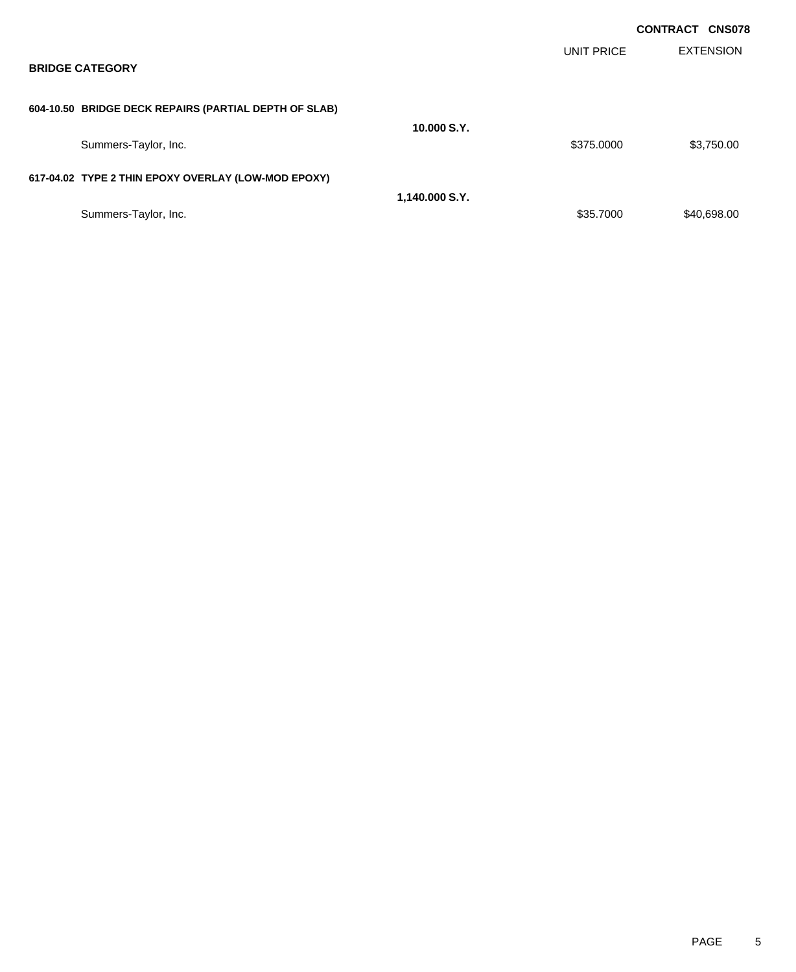|                                                       |                |                   | <b>CONTRACT CNS078</b> |
|-------------------------------------------------------|----------------|-------------------|------------------------|
| <b>BRIDGE CATEGORY</b>                                |                | <b>UNIT PRICE</b> | <b>EXTENSION</b>       |
| 604-10.50 BRIDGE DECK REPAIRS (PARTIAL DEPTH OF SLAB) |                |                   |                        |
| Summers-Taylor, Inc.                                  | 10.000 S.Y.    | \$375.0000        | \$3,750.00             |
| 617-04.02 TYPE 2 THIN EPOXY OVERLAY (LOW-MOD EPOXY)   |                |                   |                        |
| Summers-Taylor, Inc.                                  | 1,140.000 S.Y. | \$35.7000         | \$40,698.00            |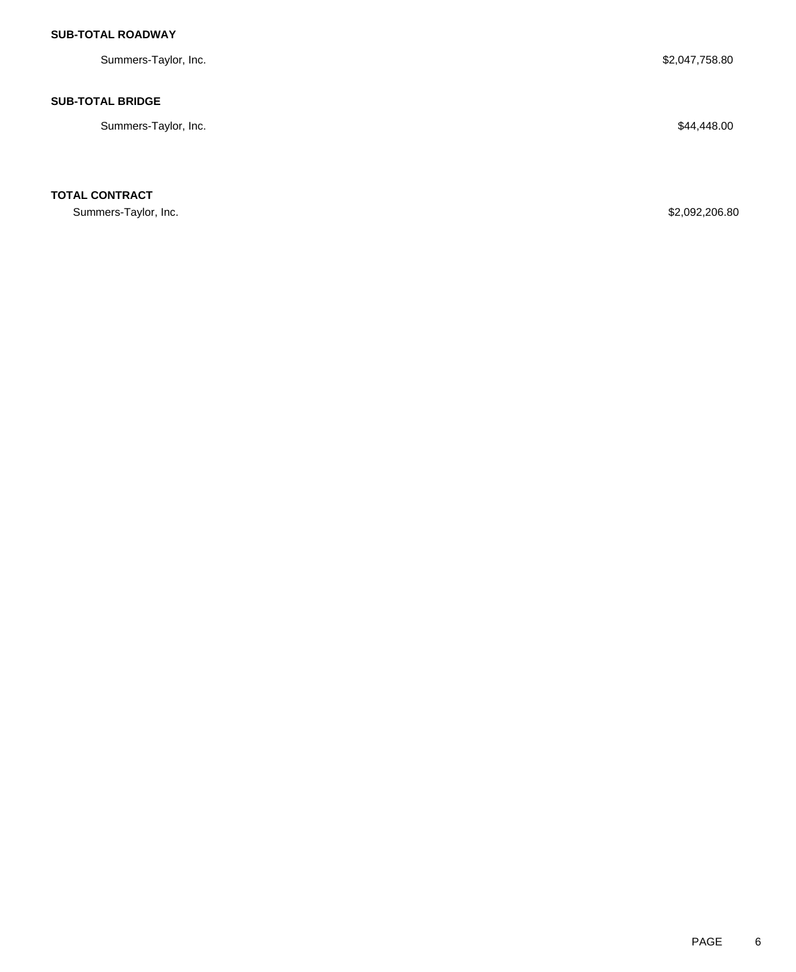## **SUB-TOTAL ROADWAY**

Summers-Taylor, Inc. \$2,047,758.80

### **SUB-TOTAL BRIDGE**

Summers-Taylor, Inc. \$44,448.00

**TOTAL CONTRACT**

Summers-Taylor, Inc. \$2,092,206.80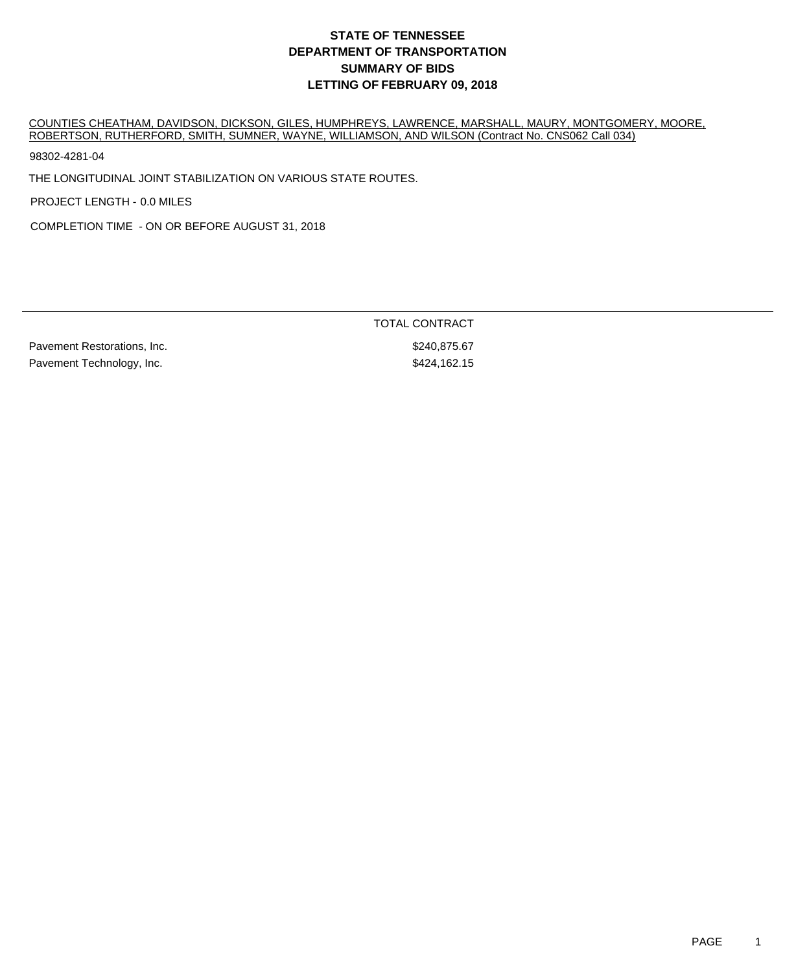COUNTIES CHEATHAM, DAVIDSON, DICKSON, GILES, HUMPHREYS, LAWRENCE, MARSHALL, MAURY, MONTGOMERY, MOORE, ROBERTSON, RUTHERFORD, SMITH, SUMNER, WAYNE, WILLIAMSON, AND WILSON (Contract No. CNS062 Call 034)

98302-4281-04

THE LONGITUDINAL JOINT STABILIZATION ON VARIOUS STATE ROUTES.

PROJECT LENGTH - 0.0 MILES

COMPLETION TIME - ON OR BEFORE AUGUST 31, 2018

Pavement Restorations, Inc.  $\blacksquare$ Pavement Technology, Inc. **\$424,162.15** 

TOTAL CONTRACT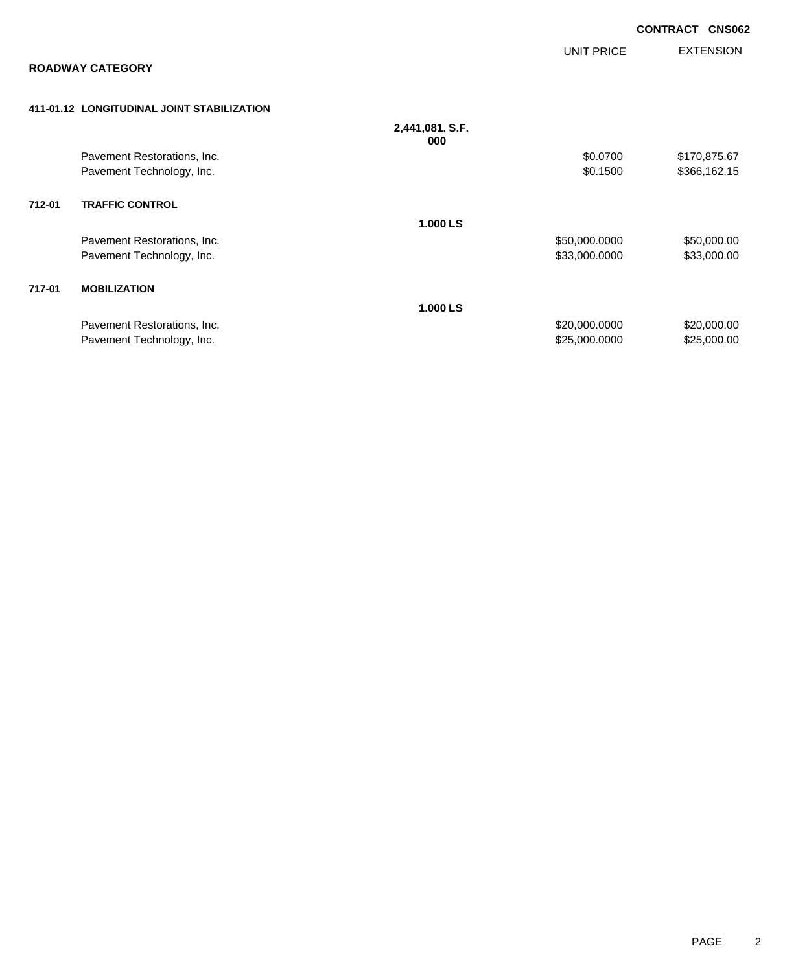|        |                                            |                        |                   | <b>CONTRACT</b><br><b>CNS062</b> |
|--------|--------------------------------------------|------------------------|-------------------|----------------------------------|
|        |                                            |                        | <b>UNIT PRICE</b> | <b>EXTENSION</b>                 |
|        | <b>ROADWAY CATEGORY</b>                    |                        |                   |                                  |
|        | 411-01.12 LONGITUDINAL JOINT STABILIZATION |                        |                   |                                  |
|        |                                            | 2,441,081. S.F.<br>000 |                   |                                  |
|        | Pavement Restorations, Inc.                |                        | \$0.0700          | \$170,875.67                     |
|        | Pavement Technology, Inc.                  |                        | \$0.1500          | \$366,162.15                     |
| 712-01 | <b>TRAFFIC CONTROL</b>                     |                        |                   |                                  |
|        |                                            | 1.000 LS               |                   |                                  |
|        | Pavement Restorations, Inc.                |                        | \$50,000.0000     | \$50,000.00                      |
|        | Pavement Technology, Inc.                  |                        | \$33,000.0000     | \$33,000.00                      |
| 717-01 | <b>MOBILIZATION</b>                        |                        |                   |                                  |
|        |                                            | 1.000 LS               |                   |                                  |
|        | Pavement Restorations, Inc.                |                        | \$20,000.0000     | \$20,000.00                      |
|        | Pavement Technology, Inc.                  |                        | \$25,000.0000     | \$25,000.00                      |
|        |                                            |                        |                   |                                  |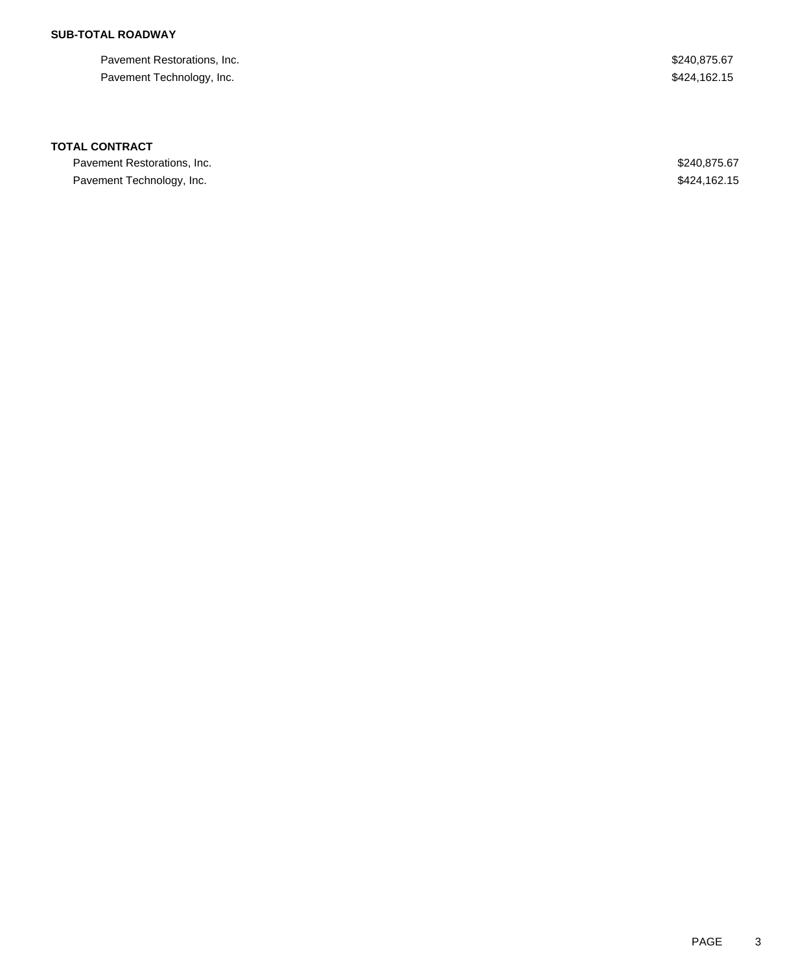## **SUB-TOTAL ROADWAY**

Pavement Restorations, Inc. 67 Pavement Technology, Inc. 6. The Second Second Second Second Second Second Second Second Seconds Second Seconds Seconds Seconds Seconds Seconds Seconds Seconds Seconds Seconds Seconds Seconds Seconds Seconds Seconds Second

### **TOTAL CONTRACT**

Pavement Restorations, Inc. 67 and the state of the state of the state of the state of the state of the state of the state of the state of the state of the state of the state of the state of the state of the state of the s Pavement Technology, Inc. **\$424,162.15**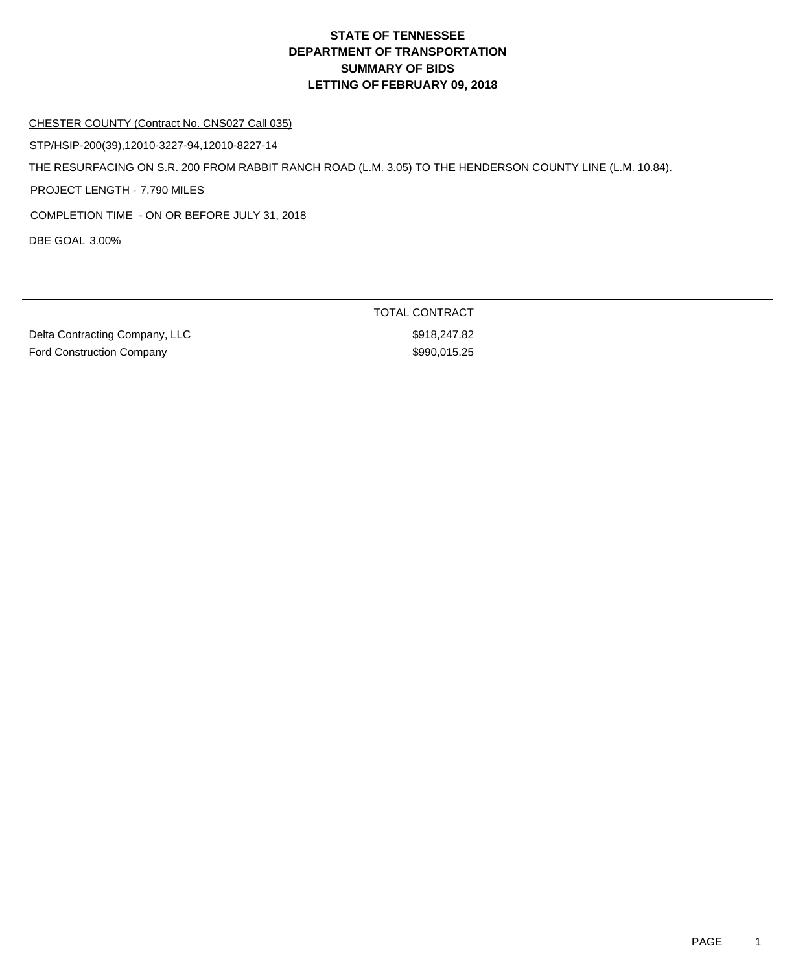#### CHESTER COUNTY (Contract No. CNS027 Call 035)

STP/HSIP-200(39),12010-3227-94,12010-8227-14

THE RESURFACING ON S.R. 200 FROM RABBIT RANCH ROAD (L.M. 3.05) TO THE HENDERSON COUNTY LINE (L.M. 10.84).

PROJECT LENGTH - 7.790 MILES

COMPLETION TIME - ON OR BEFORE JULY 31, 2018

DBE GOAL 3.00%

Delta Contracting Company, LLC \$918,247.82 Ford Construction Company **\$990,015.25** 

TOTAL CONTRACT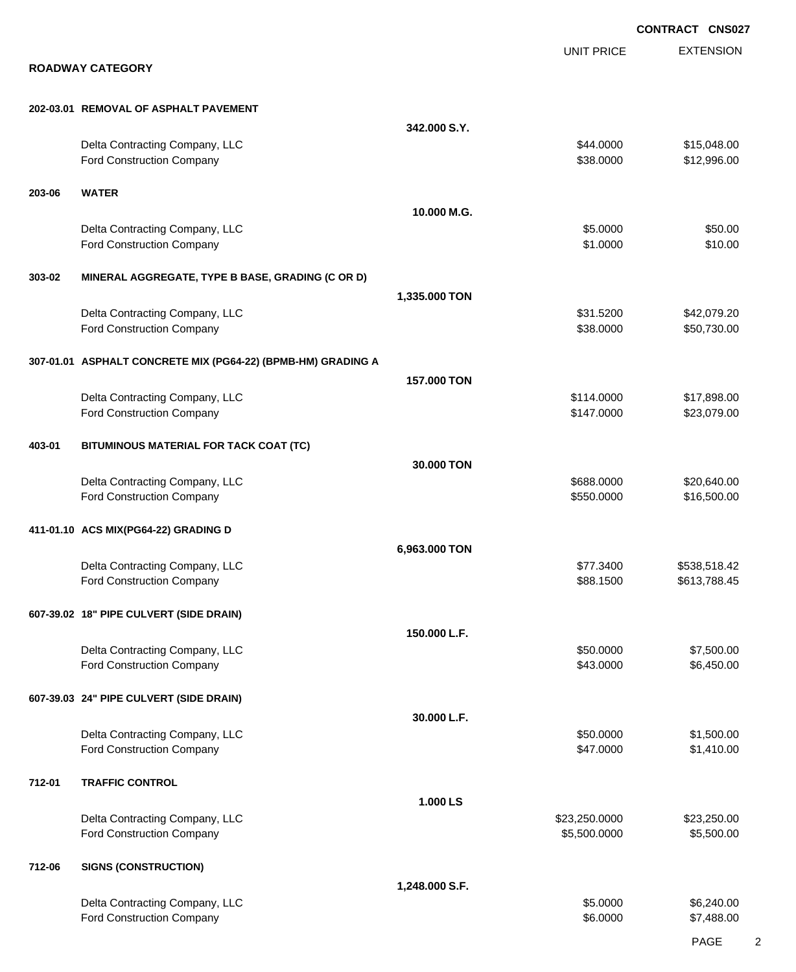|        |                                                              |                |                               | <b>CONTRACT CNS027</b>     |
|--------|--------------------------------------------------------------|----------------|-------------------------------|----------------------------|
|        | <b>ROADWAY CATEGORY</b>                                      |                | <b>UNIT PRICE</b>             | <b>EXTENSION</b>           |
|        |                                                              |                |                               |                            |
|        | 202-03.01 REMOVAL OF ASPHALT PAVEMENT                        |                |                               |                            |
|        |                                                              | 342,000 S.Y.   |                               |                            |
|        | Delta Contracting Company, LLC<br>Ford Construction Company  |                | \$44.0000<br>\$38.0000        | \$15,048.00<br>\$12,996.00 |
| 203-06 | <b>WATER</b>                                                 |                |                               |                            |
|        |                                                              | 10.000 M.G.    |                               |                            |
|        | Delta Contracting Company, LLC<br>Ford Construction Company  |                | \$5.0000<br>\$1.0000          | \$50.00<br>\$10.00         |
| 303-02 | MINERAL AGGREGATE, TYPE B BASE, GRADING (C OR D)             |                |                               |                            |
|        |                                                              | 1,335.000 TON  |                               |                            |
|        | Delta Contracting Company, LLC<br>Ford Construction Company  |                | \$31.5200<br>\$38.0000        | \$42,079.20<br>\$50,730.00 |
|        | 307-01.01 ASPHALT CONCRETE MIX (PG64-22) (BPMB-HM) GRADING A |                |                               |                            |
|        |                                                              | 157,000 TON    |                               |                            |
|        | Delta Contracting Company, LLC                               |                | \$114.0000                    | \$17,898.00                |
|        | Ford Construction Company                                    |                | \$147.0000                    | \$23,079.00                |
| 403-01 | BITUMINOUS MATERIAL FOR TACK COAT (TC)                       |                |                               |                            |
|        |                                                              | 30.000 TON     |                               |                            |
|        | Delta Contracting Company, LLC<br>Ford Construction Company  |                | \$688.0000<br>\$550.0000      | \$20,640.00<br>\$16,500.00 |
|        |                                                              |                |                               |                            |
|        | 411-01.10 ACS MIX(PG64-22) GRADING D                         |                |                               |                            |
|        | Delta Contracting Company, LLC                               | 6,963.000 TON  | \$77.3400                     | \$538,518.42               |
|        | Ford Construction Company                                    |                | \$88.1500                     | \$613,788.45               |
|        | 607-39.02 18" PIPE CULVERT (SIDE DRAIN)                      |                |                               |                            |
|        |                                                              | 150.000 L.F.   |                               |                            |
|        | Delta Contracting Company, LLC                               |                | \$50.0000                     | \$7,500.00                 |
|        | Ford Construction Company                                    |                | \$43.0000                     | \$6,450.00                 |
|        | 607-39.03 24" PIPE CULVERT (SIDE DRAIN)                      |                |                               |                            |
|        |                                                              | 30.000 L.F.    |                               |                            |
|        | Delta Contracting Company, LLC                               |                | \$50.0000                     | \$1,500.00                 |
|        | Ford Construction Company                                    |                | \$47.0000                     | \$1,410.00                 |
| 712-01 | <b>TRAFFIC CONTROL</b>                                       |                |                               |                            |
|        |                                                              | 1.000 LS       |                               |                            |
|        | Delta Contracting Company, LLC<br>Ford Construction Company  |                | \$23,250.0000<br>\$5,500.0000 | \$23,250.00<br>\$5,500.00  |
| 712-06 | <b>SIGNS (CONSTRUCTION)</b>                                  |                |                               |                            |
|        |                                                              | 1,248.000 S.F. |                               |                            |
|        | Delta Contracting Company, LLC                               |                | \$5.0000                      | \$6,240.00                 |
|        | Ford Construction Company                                    |                | \$6.0000                      | \$7,488.00                 |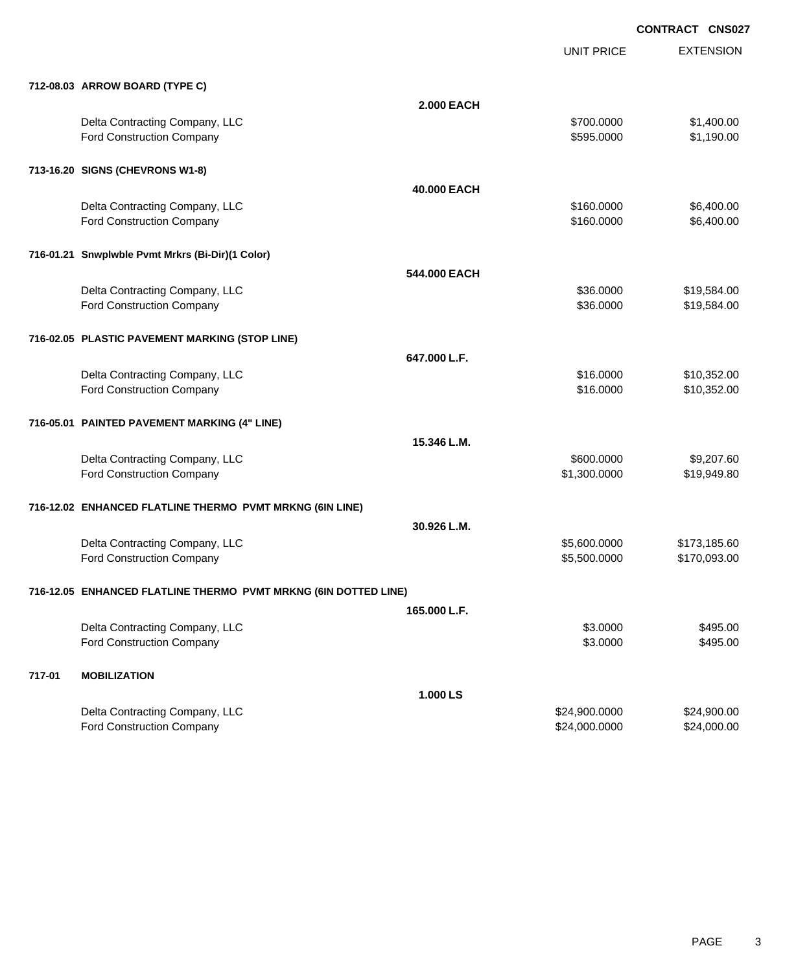|        |                                                                 |                   | <b>UNIT PRICE</b> | <b>EXTENSION</b> |  |
|--------|-----------------------------------------------------------------|-------------------|-------------------|------------------|--|
|        | 712-08.03 ARROW BOARD (TYPE C)                                  |                   |                   |                  |  |
|        |                                                                 | <b>2.000 EACH</b> |                   |                  |  |
|        | Delta Contracting Company, LLC                                  |                   | \$700.0000        | \$1,400.00       |  |
|        | Ford Construction Company                                       |                   | \$595.0000        | \$1,190.00       |  |
|        | 713-16.20 SIGNS (CHEVRONS W1-8)                                 |                   |                   |                  |  |
|        |                                                                 | 40.000 EACH       |                   |                  |  |
|        | Delta Contracting Company, LLC                                  |                   | \$160.0000        | \$6,400.00       |  |
|        | Ford Construction Company                                       |                   | \$160.0000        | \$6,400.00       |  |
|        | 716-01.21 Snwplwble Pvmt Mrkrs (Bi-Dir)(1 Color)                |                   |                   |                  |  |
|        |                                                                 | 544.000 EACH      |                   |                  |  |
|        | Delta Contracting Company, LLC                                  |                   | \$36.0000         | \$19,584.00      |  |
|        | <b>Ford Construction Company</b>                                |                   | \$36.0000         | \$19,584.00      |  |
|        | 716-02.05 PLASTIC PAVEMENT MARKING (STOP LINE)                  |                   |                   |                  |  |
|        |                                                                 | 647.000 L.F.      |                   |                  |  |
|        | Delta Contracting Company, LLC                                  |                   | \$16.0000         | \$10,352.00      |  |
|        | Ford Construction Company                                       |                   | \$16.0000         | \$10,352.00      |  |
|        | 716-05.01 PAINTED PAVEMENT MARKING (4" LINE)                    |                   |                   |                  |  |
|        |                                                                 | 15.346 L.M.       |                   |                  |  |
|        | Delta Contracting Company, LLC                                  |                   | \$600.0000        | \$9,207.60       |  |
|        | Ford Construction Company                                       |                   | \$1,300.0000      | \$19,949.80      |  |
|        |                                                                 |                   |                   |                  |  |
|        | 716-12.02 ENHANCED FLATLINE THERMO PVMT MRKNG (6IN LINE)        |                   |                   |                  |  |
|        |                                                                 | 30.926 L.M.       |                   |                  |  |
|        | Delta Contracting Company, LLC                                  |                   | \$5,600.0000      | \$173,185.60     |  |
|        | Ford Construction Company                                       |                   | \$5,500.0000      | \$170,093.00     |  |
|        | 716-12.05 ENHANCED FLATLINE THERMO PVMT MRKNG (6IN DOTTED LINE) |                   |                   |                  |  |
|        |                                                                 | 165.000 L.F.      |                   |                  |  |
|        | Delta Contracting Company, LLC                                  |                   | \$3.0000          | \$495.00         |  |
|        | Ford Construction Company                                       |                   | \$3.0000          | \$495.00         |  |
| 717-01 | <b>MOBILIZATION</b>                                             |                   |                   |                  |  |
|        |                                                                 | 1.000 LS          |                   |                  |  |
|        | Delta Contracting Company, LLC                                  |                   | \$24,900.0000     | \$24,900.00      |  |
|        | Ford Construction Company                                       |                   | \$24,000.0000     | \$24,000.00      |  |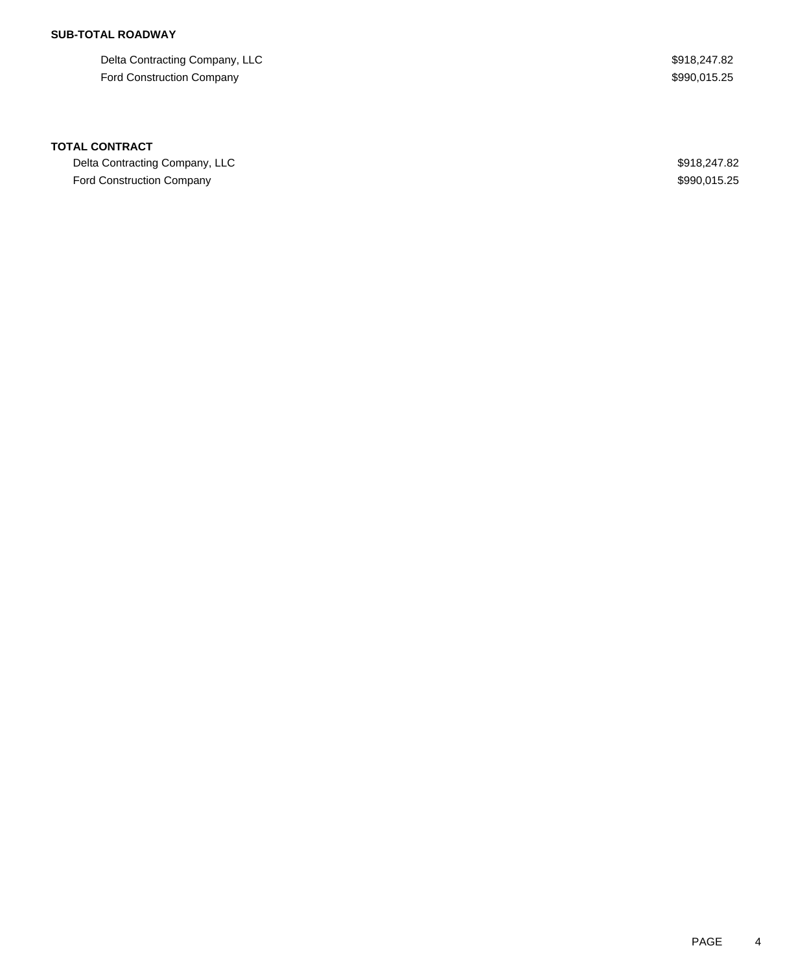## **SUB-TOTAL ROADWAY**

Delta Contracting Company, LLC  $$918,247.82$ Ford Construction Company **\$990,015.25** 

### **TOTAL CONTRACT**

Delta Contracting Company, LLC  $$918,247.82$ Ford Construction Company **\$990,015.25**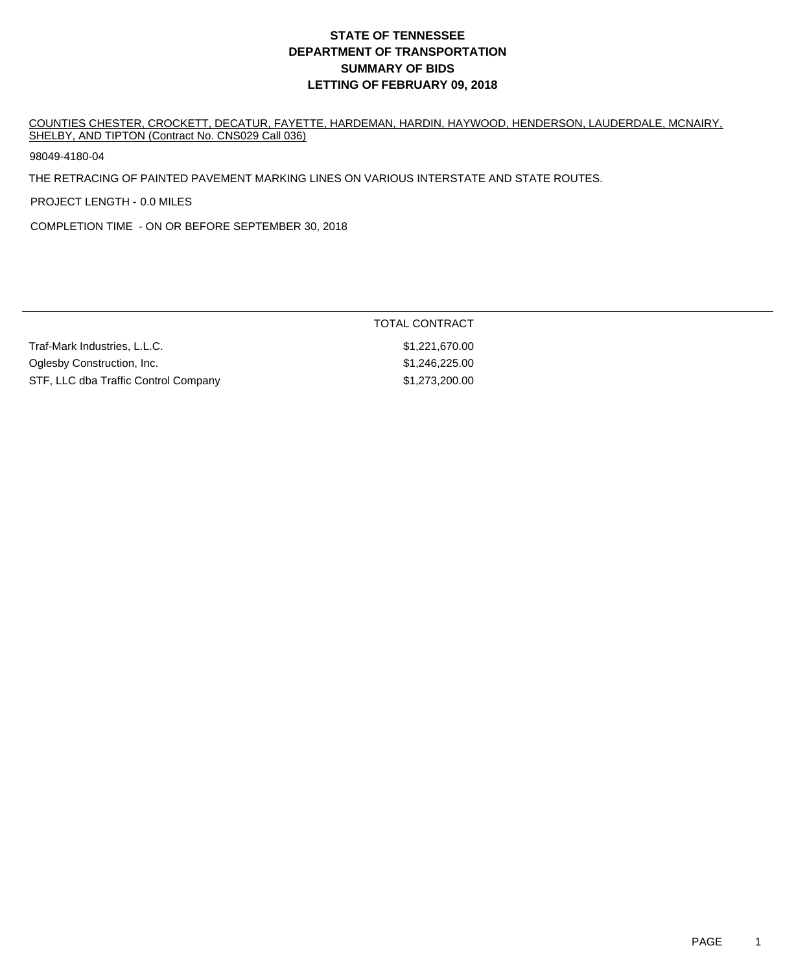COUNTIES CHESTER, CROCKETT, DECATUR, FAYETTE, HARDEMAN, HARDIN, HAYWOOD, HENDERSON, LAUDERDALE, MCNAIRY, SHELBY, AND TIPTON (Contract No. CNS029 Call 036)

98049-4180-04

THE RETRACING OF PAINTED PAVEMENT MARKING LINES ON VARIOUS INTERSTATE AND STATE ROUTES.

PROJECT LENGTH - 0.0 MILES

COMPLETION TIME - ON OR BEFORE SEPTEMBER 30, 2018

|                                      | TOTAL CONTRACT |
|--------------------------------------|----------------|
| Traf-Mark Industries, L.L.C.         | \$1,221,670.00 |
| Oglesby Construction, Inc.           | \$1.246.225.00 |
| STF, LLC dba Traffic Control Company | \$1,273,200.00 |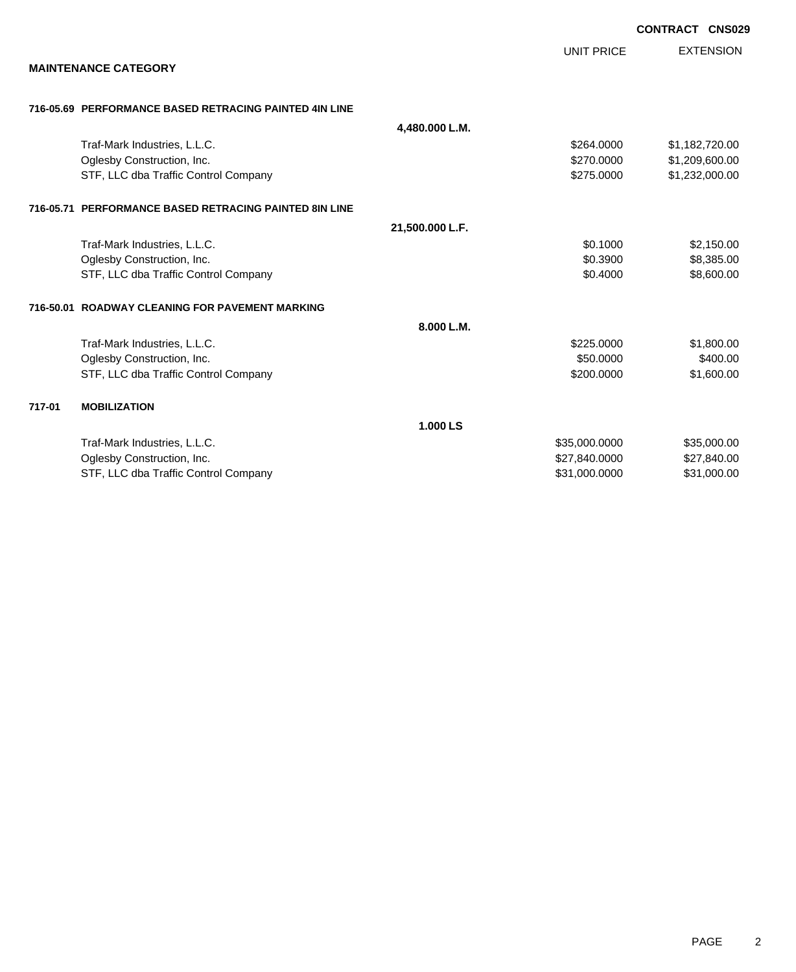|                                                        |                 |                   | <b>CONTRACT CNS029</b> |
|--------------------------------------------------------|-----------------|-------------------|------------------------|
|                                                        |                 | <b>UNIT PRICE</b> | <b>EXTENSION</b>       |
| <b>MAINTENANCE CATEGORY</b>                            |                 |                   |                        |
| 716-05.69 PERFORMANCE BASED RETRACING PAINTED 4IN LINE |                 |                   |                        |
|                                                        | 4,480.000 L.M.  |                   |                        |
| Traf-Mark Industries, L.L.C.                           |                 | \$264.0000        | \$1,182,720.00         |
| Oglesby Construction, Inc.                             |                 | \$270.0000        | \$1,209,600.00         |
| STF, LLC dba Traffic Control Company                   |                 | \$275.0000        | \$1,232,000.00         |
| 716-05.71 PERFORMANCE BASED RETRACING PAINTED 8IN LINE |                 |                   |                        |
|                                                        | 21,500.000 L.F. |                   |                        |
| Traf-Mark Industries, L.L.C.                           |                 | \$0.1000          | \$2,150.00             |
| Oglesby Construction, Inc.                             |                 | \$0.3900          | \$8,385.00             |
| STF, LLC dba Traffic Control Company                   |                 | \$0.4000          | \$8,600.00             |
| 716-50.01 ROADWAY CLEANING FOR PAVEMENT MARKING        |                 |                   |                        |
|                                                        | 8.000 L.M.      |                   |                        |
| Traf-Mark Industries, L.L.C.                           |                 | \$225.0000        | \$1,800.00             |
| Oglesby Construction, Inc.                             |                 | \$50.0000         | \$400.00               |
| STF, LLC dba Traffic Control Company                   |                 | \$200.0000        | \$1,600.00             |
| 717-01<br><b>MOBILIZATION</b>                          |                 |                   |                        |
|                                                        | 1.000 LS        |                   |                        |
| Traf-Mark Industries, L.L.C.                           |                 | \$35,000.0000     | \$35,000.00            |
| Oglesby Construction, Inc.                             |                 | \$27,840.0000     | \$27,840.00            |
| STF, LLC dba Traffic Control Company                   |                 | \$31,000.0000     | \$31,000.00            |
|                                                        |                 |                   |                        |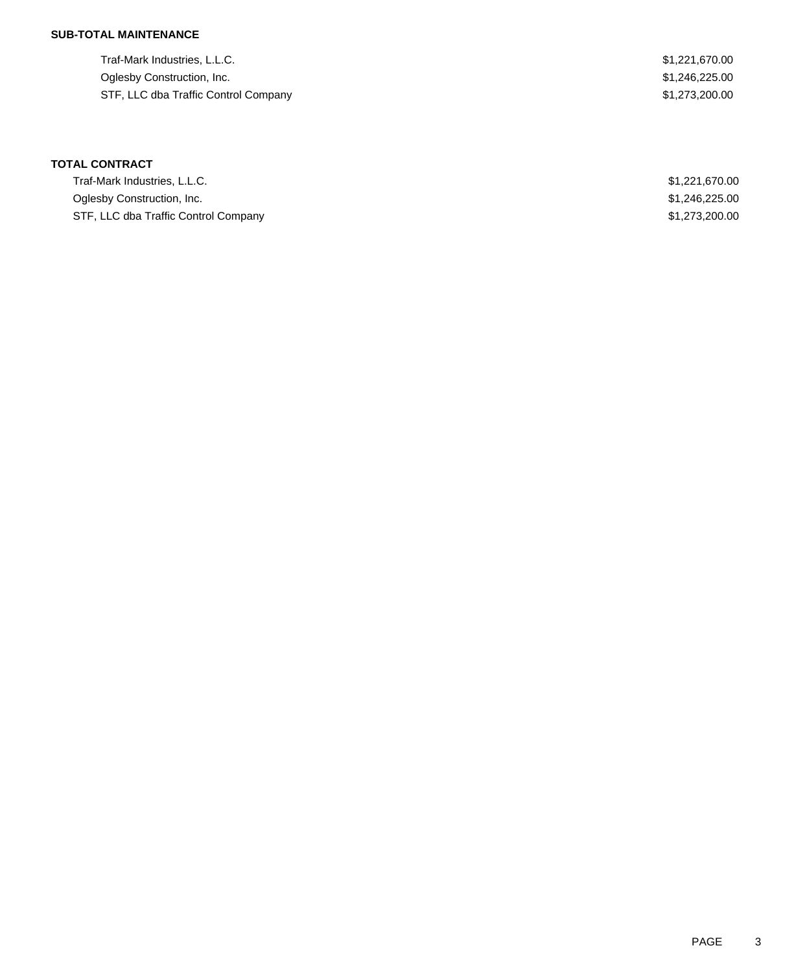### **SUB-TOTAL MAINTENANCE**

| Traf-Mark Industries, L.L.C.         | \$1,221,670.00 |
|--------------------------------------|----------------|
| Oglesby Construction, Inc.           | \$1,246,225.00 |
| STF, LLC dba Traffic Control Company | \$1.273.200.00 |

| Traf-Mark Industries, L.L.C.         | \$1,221,670.00 |
|--------------------------------------|----------------|
| Oglesby Construction, Inc.           | \$1,246,225.00 |
| STF, LLC dba Traffic Control Company | \$1,273,200.00 |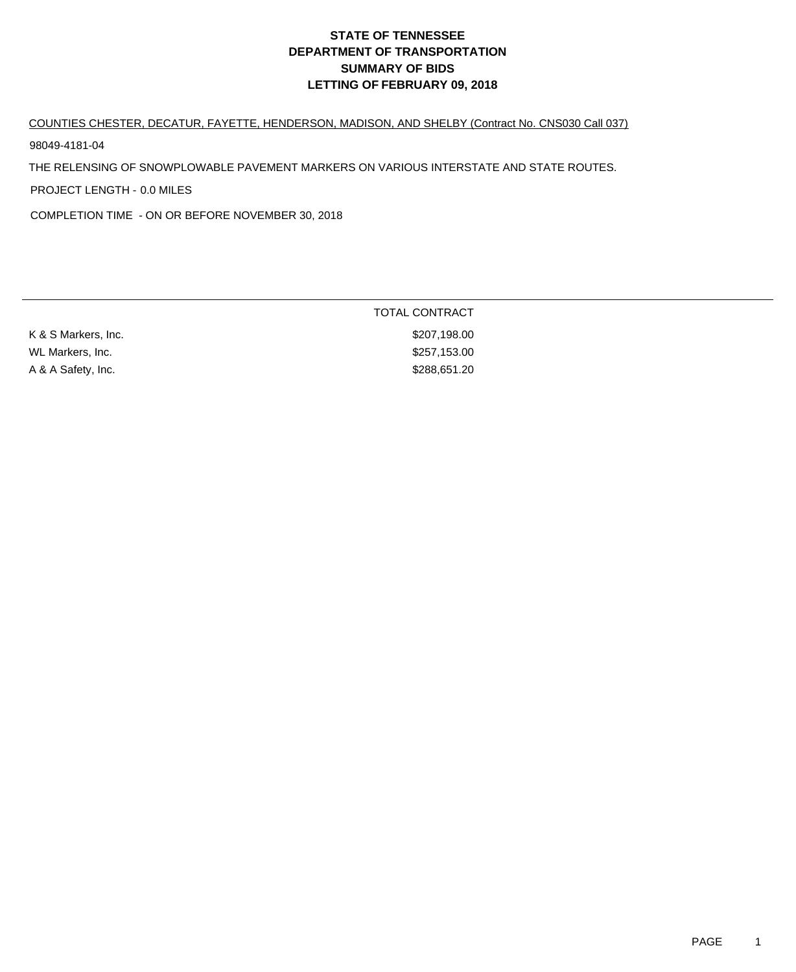#### COUNTIES CHESTER, DECATUR, FAYETTE, HENDERSON, MADISON, AND SHELBY (Contract No. CNS030 Call 037)

98049-4181-04

THE RELENSING OF SNOWPLOWABLE PAVEMENT MARKERS ON VARIOUS INTERSTATE AND STATE ROUTES.

PROJECT LENGTH - 0.0 MILES

COMPLETION TIME - ON OR BEFORE NOVEMBER 30, 2018

|                     | <b>TOTAL CONTRACT</b> |
|---------------------|-----------------------|
| K & S Markers, Inc. | \$207,198.00          |
| WL Markers, Inc.    | \$257,153.00          |
| A & A Safety, Inc.  | \$288,651.20          |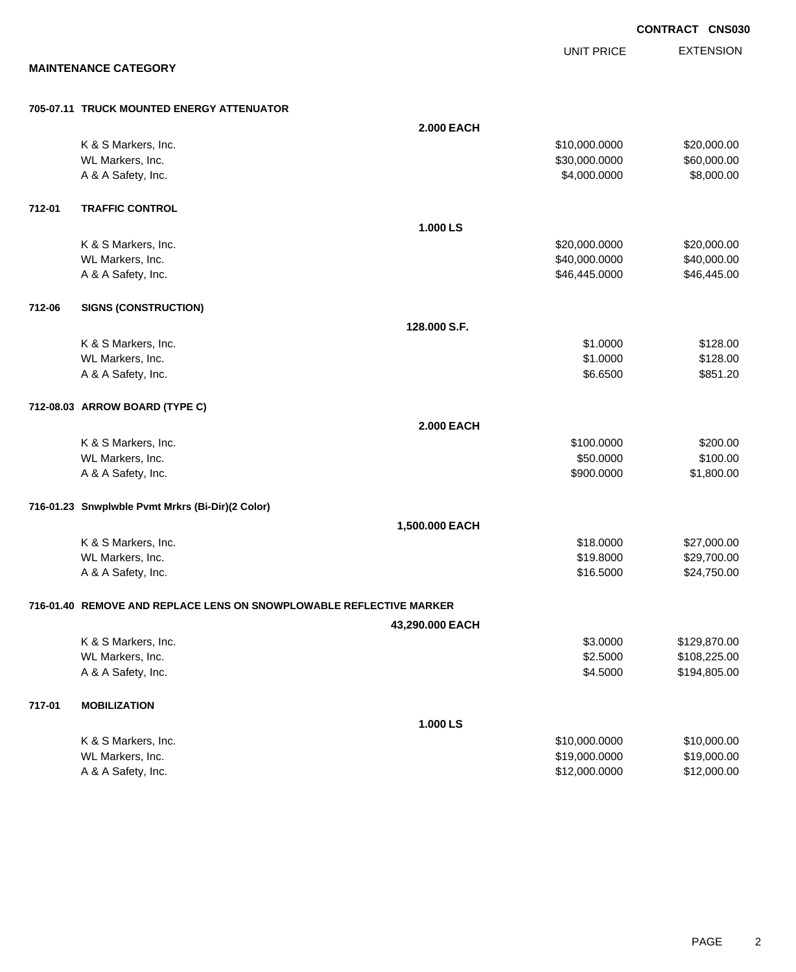**EXTENSION** UNIT PRICE **MAINTENANCE CATEGORY 705-07.11 TRUCK MOUNTED ENERGY ATTENUATOR 2.000 EACH** K & S Markers, Inc. \$20,000.000 \$20,000.000 \$20,000.000 \$20,000.000 \$20,000.000 \$20,000.00 WL Markers, Inc. \$60,000.000 \$60,000.000 \$60,000.000 \$60,000.000 \$60,000.000 \$60,000.00 A & A Safety, Inc. \$8,000.000 \$8,000.000 \$8,000.000 \$8,000.000 **712-01 TRAFFIC CONTROL 1.000 LS** K & S Markers, Inc. \$20,000.000 \$20,000.000 \$20,000.000 \$20,000.000 \$20,000.000 \$20,000.00 WL Markers, Inc. \$40,000.000 \$40,000.000 \$40,000.000 \$40,000.000 \$40,000.000 \$40,000.00 A & A Safety, Inc. \$46,445.000 \$46,445.000 \$46,445.000 **712-06 SIGNS (CONSTRUCTION) 128.000 S.F.** K & S Markers, Inc. \$128.00 WL Markers, Inc. \$128.00 A & A Safety, Inc. \$851.20 **712-08.03 ARROW BOARD (TYPE C) 2.000 EACH** K & S Markers, Inc. \$200.00 \$200.00 \$200.00 \$200.00 \$200.00 \$200.00 \$200.00 \$200.00 \$200.00 \$200.00 \$200.00 \$20 WL Markers, Inc. \$100.00 \$100.00 \$100.00 \$100.00 \$100.00 \$100.00 \$100.00 \$100.00 \$100.00 \$100.00 \$100.00 \$100.00 \$100.00 \$100.00 \$100.00 \$100.00 \$100.00 \$100.00 \$100.00 \$100.00 \$100.00 \$100.00 \$100.00 \$100.00 \$100.00 \$100. A & A Safety, Inc. \$900.0000 \$1,800.00 **716-01.23 Snwplwble Pvmt Mrkrs (Bi-Dir)(2 Color) 1,500.000 EACH** K & S Markers, Inc. \$18.0000 \$27,000.00 WL Markers, Inc. \$19.8000 \$29,700.00 A & A Safety, Inc. \$16.5000 \$24,750.00 **716-01.40 REMOVE AND REPLACE LENS ON SNOWPLOWABLE REFLECTIVE MARKER 43,290.000 EACH** K & S Markers, Inc. \$3.0000 \$129,870.00 WL Markers, Inc. \$108,225.00 \$108,225.00 \$108,225.00 A & A Safety, Inc. \$194,805.00 \$194,805.00 **717-01 MOBILIZATION 1.000 LS** K & S Markers, Inc. \$10,000.000 \$10,000.000 \$10,000.000 \$10,000.000 \$10,000.000 \$10,000.00 WL Markers, Inc. \$19,000.000 \$19,000.000 \$19,000.000 \$19,000.000 \$19,000.000 \$19,000.00 \$19,000.00 \$19,000.00 \$19,000.00 \$19,000.00 \$19,000.00 \$19,000.00 \$19,000.00 \$19,000.00 \$19,000.00 \$19,000.00 \$19,000.00 \$19,000.00 \$1

A & A Safety, Inc. \$12,000.000 \$12,000.000 \$12,000.000 \$12,000.000 \$12,000.000 \$12,000.00

**CONTRACT CNS030**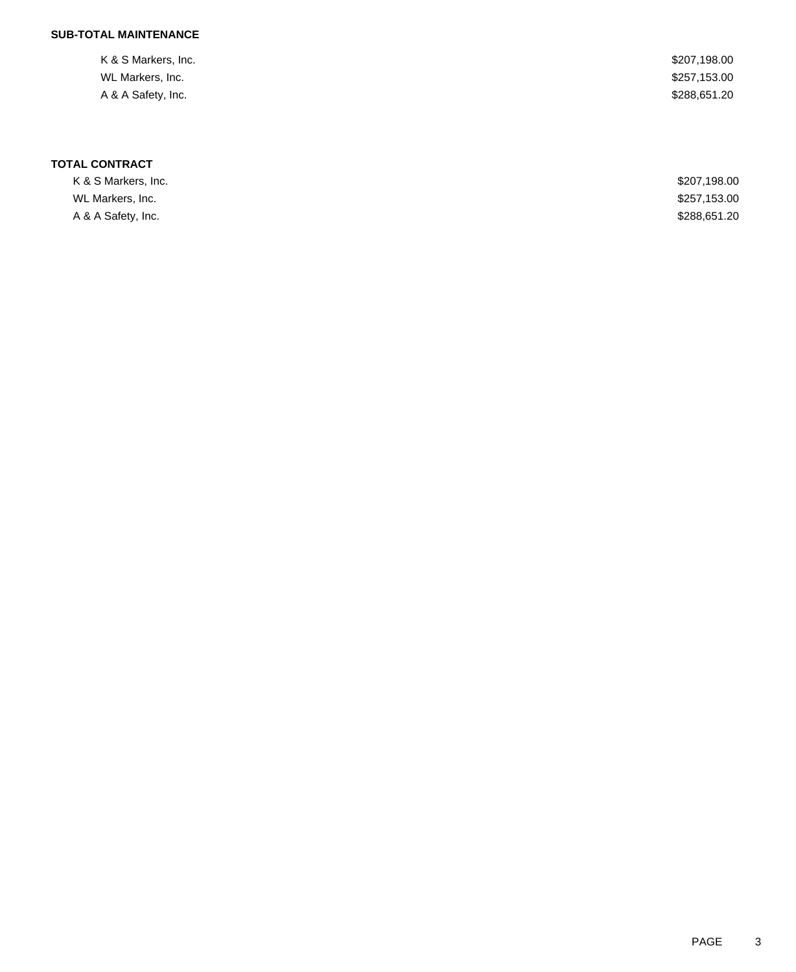### **SUB-TOTAL MAINTENANCE**

| K & S Markers, Inc. | \$207,198.00 |
|---------------------|--------------|
| WL Markers, Inc.    | \$257,153.00 |
| A & A Safety, Inc.  | \$288,651.20 |
|                     |              |

| K & S Markers. Inc. | \$207,198.00 |
|---------------------|--------------|
| WL Markers, Inc.    | \$257,153.00 |
| A & A Safety, Inc.  | \$288.651.20 |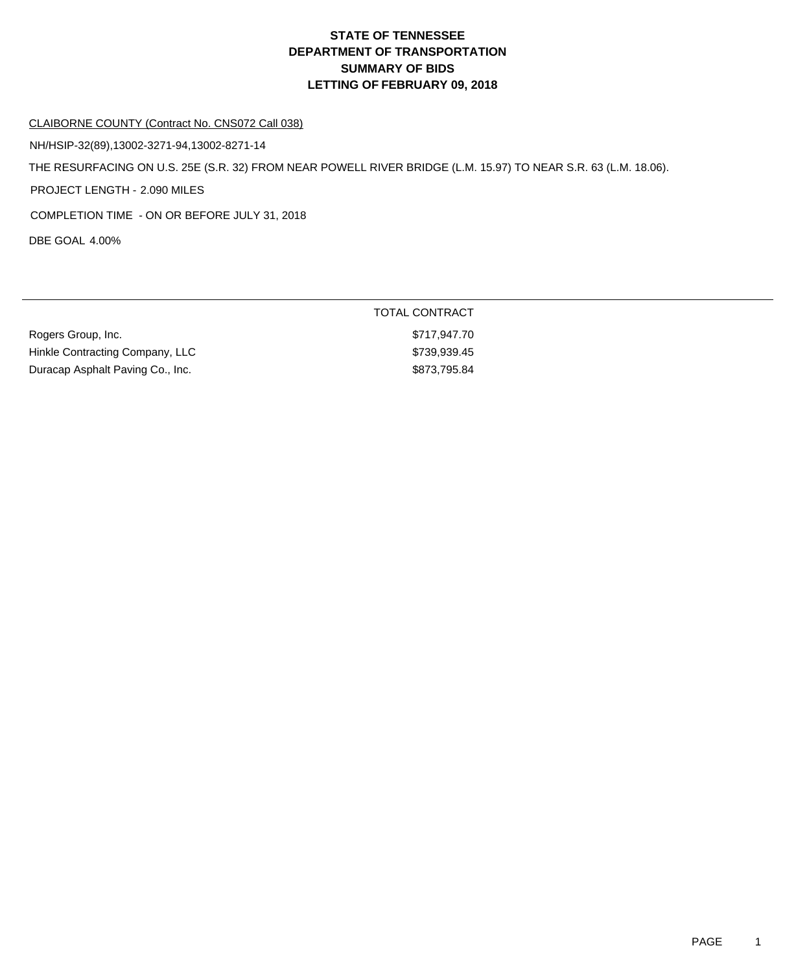TOTAL CONTRACT

#### CLAIBORNE COUNTY (Contract No. CNS072 Call 038)

NH/HSIP-32(89),13002-3271-94,13002-8271-14

THE RESURFACING ON U.S. 25E (S.R. 32) FROM NEAR POWELL RIVER BRIDGE (L.M. 15.97) TO NEAR S.R. 63 (L.M. 18.06).

PROJECT LENGTH - 2.090 MILES

COMPLETION TIME - ON OR BEFORE JULY 31, 2018

DBE GOAL 4.00%

| Rogers Group, Inc.               | \$717,947.70 |
|----------------------------------|--------------|
| Hinkle Contracting Company, LLC  | \$739,939.45 |
| Duracap Asphalt Paving Co., Inc. | \$873,795.84 |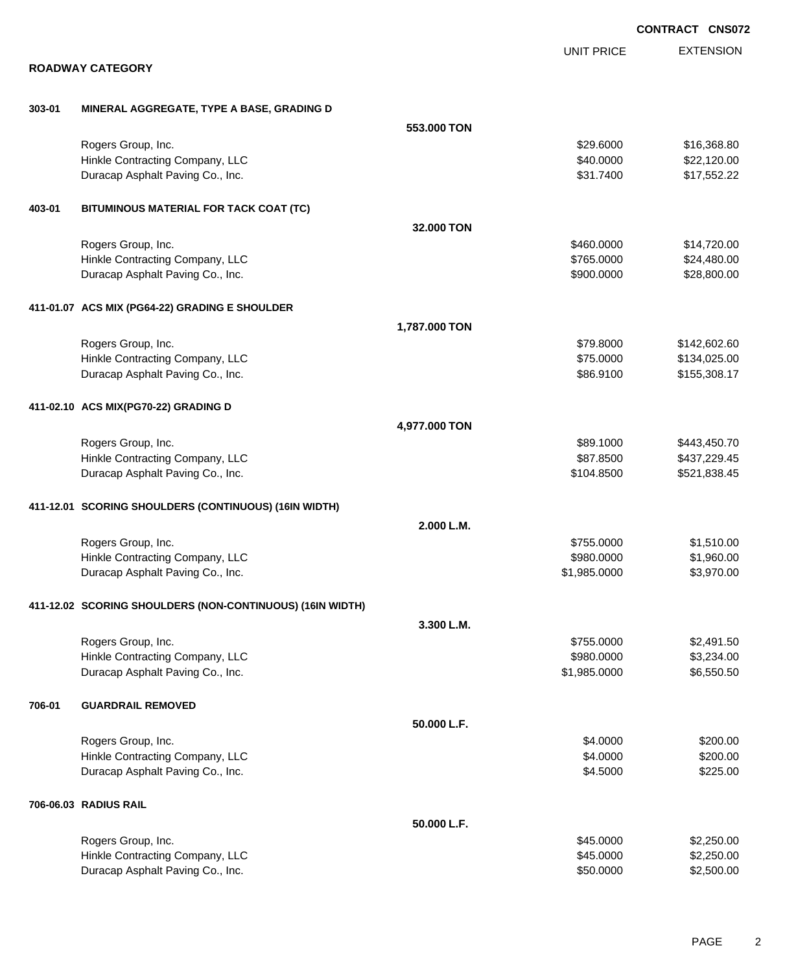|        |                                                           |               |                   | <b>CONTRACT CNS072</b> |
|--------|-----------------------------------------------------------|---------------|-------------------|------------------------|
|        |                                                           |               | <b>UNIT PRICE</b> | <b>EXTENSION</b>       |
|        | <b>ROADWAY CATEGORY</b>                                   |               |                   |                        |
| 303-01 | MINERAL AGGREGATE, TYPE A BASE, GRADING D                 |               |                   |                        |
|        |                                                           | 553.000 TON   |                   |                        |
|        | Rogers Group, Inc.                                        |               | \$29.6000         | \$16,368.80            |
|        | Hinkle Contracting Company, LLC                           |               | \$40.0000         | \$22,120.00            |
|        | Duracap Asphalt Paving Co., Inc.                          |               | \$31.7400         | \$17,552.22            |
| 403-01 | BITUMINOUS MATERIAL FOR TACK COAT (TC)                    |               |                   |                        |
|        |                                                           | 32.000 TON    |                   |                        |
|        | Rogers Group, Inc.                                        |               | \$460.0000        | \$14,720.00            |
|        | Hinkle Contracting Company, LLC                           |               | \$765.0000        | \$24,480.00            |
|        | Duracap Asphalt Paving Co., Inc.                          |               | \$900.0000        | \$28,800.00            |
|        | 411-01.07 ACS MIX (PG64-22) GRADING E SHOULDER            |               |                   |                        |
|        |                                                           | 1,787.000 TON |                   |                        |
|        | Rogers Group, Inc.                                        |               | \$79.8000         | \$142,602.60           |
|        | Hinkle Contracting Company, LLC                           |               | \$75.0000         | \$134,025.00           |
|        | Duracap Asphalt Paving Co., Inc.                          |               | \$86.9100         | \$155,308.17           |
|        | 411-02.10 ACS MIX(PG70-22) GRADING D                      |               |                   |                        |
|        |                                                           | 4,977.000 TON |                   |                        |
|        | Rogers Group, Inc.                                        |               | \$89.1000         | \$443,450.70           |
|        | Hinkle Contracting Company, LLC                           |               | \$87.8500         | \$437,229.45           |
|        | Duracap Asphalt Paving Co., Inc.                          |               | \$104.8500        | \$521,838.45           |
|        | 411-12.01 SCORING SHOULDERS (CONTINUOUS) (16IN WIDTH)     |               |                   |                        |
|        |                                                           | 2.000 L.M.    |                   |                        |
|        | Rogers Group, Inc.                                        |               | \$755.0000        | \$1,510.00             |
|        | Hinkle Contracting Company, LLC                           |               | \$980.0000        | \$1,960.00             |
|        | Duracap Asphalt Paving Co., Inc.                          |               | \$1,985.0000      | \$3,970.00             |
|        | 411-12.02 SCORING SHOULDERS (NON-CONTINUOUS) (16IN WIDTH) |               |                   |                        |
|        |                                                           | 3.300 L.M.    |                   |                        |
|        | Rogers Group, Inc.                                        |               | \$755.0000        | \$2,491.50             |
|        | Hinkle Contracting Company, LLC                           |               | \$980.0000        | \$3,234.00             |
|        | Duracap Asphalt Paving Co., Inc.                          |               | \$1,985.0000      | \$6,550.50             |
| 706-01 | <b>GUARDRAIL REMOVED</b>                                  |               |                   |                        |
|        |                                                           | 50.000 L.F.   |                   |                        |
|        | Rogers Group, Inc.                                        |               | \$4.0000          | \$200.00               |
|        | Hinkle Contracting Company, LLC                           |               | \$4.0000          | \$200.00               |
|        | Duracap Asphalt Paving Co., Inc.                          |               | \$4.5000          | \$225.00               |
|        | <b>706-06.03 RADIUS RAIL</b>                              |               |                   |                        |
|        |                                                           | 50.000 L.F.   |                   |                        |
|        | Rogers Group, Inc.                                        |               | \$45.0000         | \$2,250.00             |
|        | Hinkle Contracting Company, LLC                           |               | \$45.0000         | \$2,250.00             |
|        | Duracap Asphalt Paving Co., Inc.                          |               | \$50.0000         | \$2,500.00             |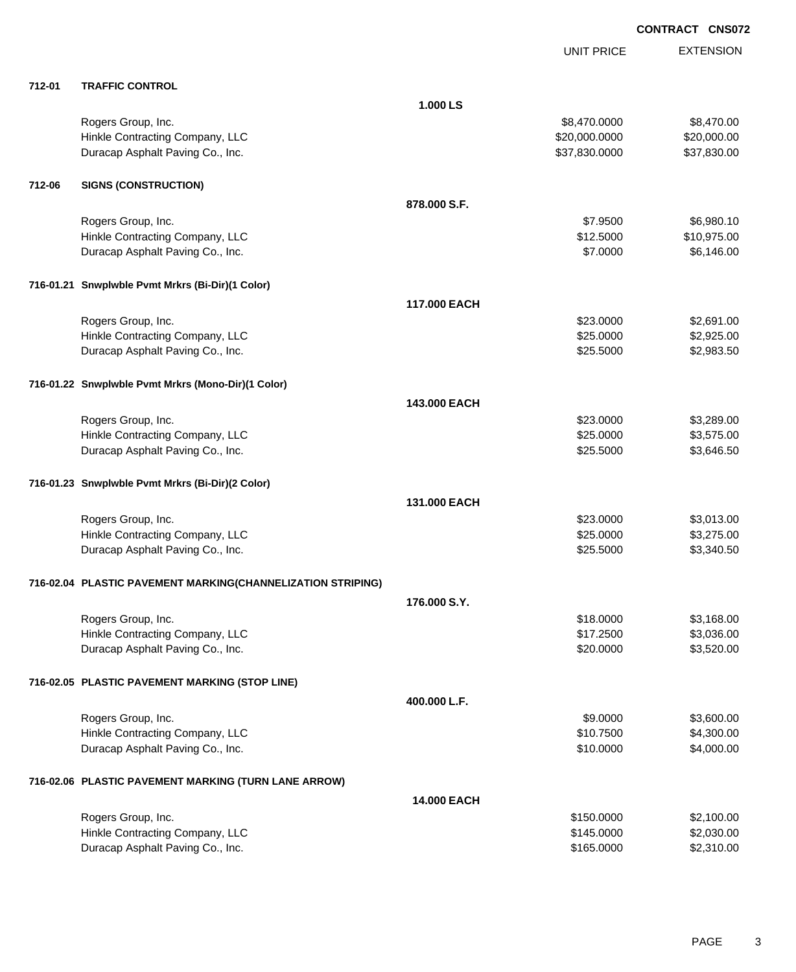**CONTRACT CNS072**

|        |                                                             |              | <b>UNIT PRICE</b> | <b>EXTENSION</b> |
|--------|-------------------------------------------------------------|--------------|-------------------|------------------|
| 712-01 | <b>TRAFFIC CONTROL</b>                                      |              |                   |                  |
|        |                                                             | 1.000 LS     |                   |                  |
|        | Rogers Group, Inc.                                          |              | \$8,470.0000      | \$8,470.00       |
|        | Hinkle Contracting Company, LLC                             |              | \$20,000.0000     | \$20,000.00      |
|        | Duracap Asphalt Paving Co., Inc.                            |              | \$37,830.0000     | \$37,830.00      |
| 712-06 | <b>SIGNS (CONSTRUCTION)</b>                                 |              |                   |                  |
|        |                                                             | 878,000 S.F. |                   |                  |
|        | Rogers Group, Inc.                                          |              | \$7.9500          | \$6,980.10       |
|        | Hinkle Contracting Company, LLC                             |              | \$12.5000         | \$10,975.00      |
|        | Duracap Asphalt Paving Co., Inc.                            |              | \$7.0000          | \$6,146.00       |
|        | 716-01.21 Snwplwble Pvmt Mrkrs (Bi-Dir)(1 Color)            |              |                   |                  |
|        |                                                             | 117,000 EACH |                   |                  |
|        | Rogers Group, Inc.                                          |              | \$23.0000         | \$2,691.00       |
|        | Hinkle Contracting Company, LLC                             |              | \$25.0000         | \$2,925.00       |
|        | Duracap Asphalt Paving Co., Inc.                            |              | \$25.5000         | \$2,983.50       |
|        | 716-01.22 Snwplwble Pvmt Mrkrs (Mono-Dir)(1 Color)          |              |                   |                  |
|        |                                                             | 143,000 EACH |                   |                  |
|        | Rogers Group, Inc.                                          |              | \$23.0000         | \$3,289.00       |
|        | Hinkle Contracting Company, LLC                             |              | \$25.0000         | \$3,575.00       |
|        | Duracap Asphalt Paving Co., Inc.                            |              | \$25.5000         | \$3,646.50       |
|        | 716-01.23 Snwplwble Pvmt Mrkrs (Bi-Dir)(2 Color)            |              |                   |                  |
|        |                                                             | 131,000 EACH |                   |                  |
|        | Rogers Group, Inc.                                          |              | \$23.0000         | \$3,013.00       |
|        | Hinkle Contracting Company, LLC                             |              | \$25.0000         | \$3,275.00       |
|        | Duracap Asphalt Paving Co., Inc.                            |              | \$25.5000         | \$3,340.50       |
|        | 716-02.04 PLASTIC PAVEMENT MARKING(CHANNELIZATION STRIPING) |              |                   |                  |
|        |                                                             | 176.000 S.Y. |                   |                  |
|        | Rogers Group, Inc.                                          |              | \$18.0000         | \$3,168.00       |
|        | Hinkle Contracting Company, LLC                             |              | \$17.2500         | \$3,036.00       |
|        | Duracap Asphalt Paving Co., Inc.                            |              | \$20.0000         | \$3,520.00       |
|        | 716-02.05 PLASTIC PAVEMENT MARKING (STOP LINE)              |              |                   |                  |
|        |                                                             | 400.000 L.F. |                   |                  |
|        | Rogers Group, Inc.                                          |              | \$9.0000          | \$3,600.00       |
|        | Hinkle Contracting Company, LLC                             |              | \$10.7500         | \$4,300.00       |
|        | Duracap Asphalt Paving Co., Inc.                            |              | \$10.0000         | \$4,000.00       |
|        | 716-02.06 PLASTIC PAVEMENT MARKING (TURN LANE ARROW)        |              |                   |                  |
|        |                                                             | 14.000 EACH  |                   |                  |
|        | Rogers Group, Inc.                                          |              | \$150.0000        | \$2,100.00       |
|        | Hinkle Contracting Company, LLC                             |              | \$145.0000        | \$2,030.00       |
|        | Duracap Asphalt Paving Co., Inc.                            |              | \$165.0000        | \$2,310.00       |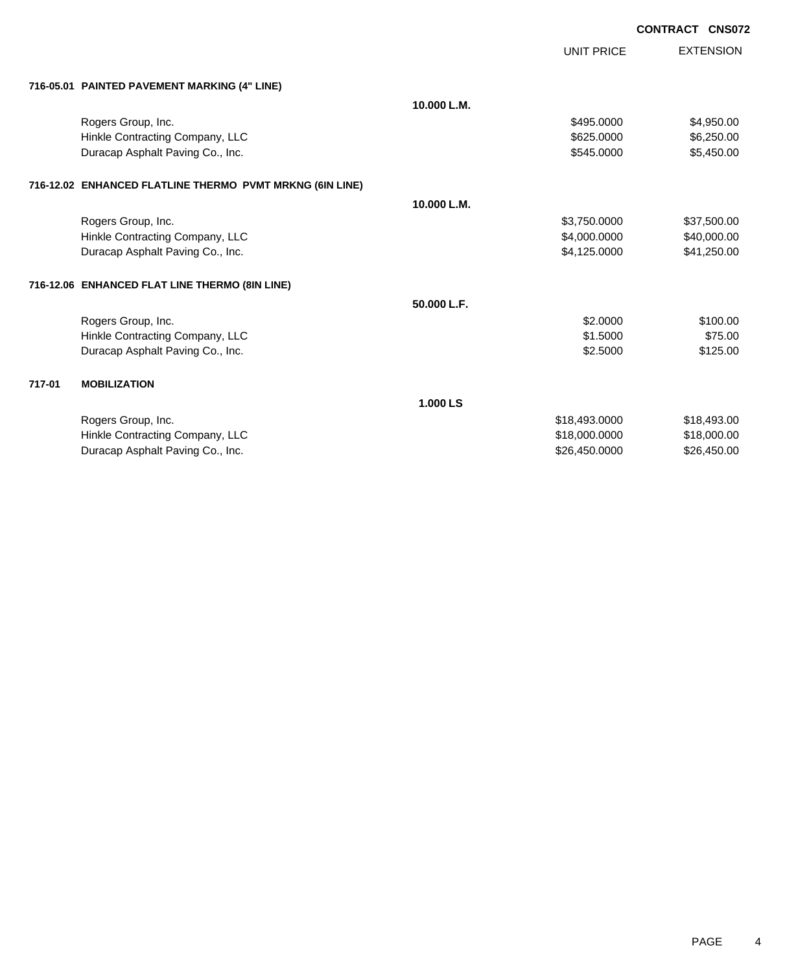**CONTRACT CNS072**

UNIT PRICE EXTENSION

|  | 716-05.01 PAINTED PAVEMENT MARKING (4" LINE) |  |  |
|--|----------------------------------------------|--|--|
|  |                                              |  |  |

|        | 716-05.01   PAINTED PAVEMENT MARKING (4" LINE)           |             |               |             |
|--------|----------------------------------------------------------|-------------|---------------|-------------|
|        |                                                          | 10.000 L.M. |               |             |
|        | Rogers Group, Inc.                                       |             | \$495.0000    | \$4,950.00  |
|        | Hinkle Contracting Company, LLC                          |             | \$625,0000    | \$6,250.00  |
|        | Duracap Asphalt Paving Co., Inc.                         |             | \$545.0000    | \$5,450.00  |
|        | 716-12.02 ENHANCED FLATLINE THERMO PVMT MRKNG (6IN LINE) |             |               |             |
|        |                                                          | 10.000 L.M. |               |             |
|        | Rogers Group, Inc.                                       |             | \$3,750.0000  | \$37,500.00 |
|        | Hinkle Contracting Company, LLC                          |             | \$4,000.0000  | \$40,000.00 |
|        | Duracap Asphalt Paving Co., Inc.                         |             | \$4,125.0000  | \$41,250.00 |
|        | 716-12.06 ENHANCED FLAT LINE THERMO (8IN LINE)           |             |               |             |
|        |                                                          | 50.000 L.F. |               |             |
|        | Rogers Group, Inc.                                       |             | \$2.0000      | \$100.00    |
|        | Hinkle Contracting Company, LLC                          |             | \$1,5000      | \$75.00     |
|        | Duracap Asphalt Paving Co., Inc.                         |             | \$2.5000      | \$125.00    |
| 717-01 | <b>MOBILIZATION</b>                                      |             |               |             |
|        |                                                          | 1.000 LS    |               |             |
|        | Rogers Group, Inc.                                       |             | \$18,493.0000 | \$18,493.00 |
|        | Hinkle Contracting Company, LLC                          |             | \$18,000.0000 | \$18,000.00 |
|        | Duracap Asphalt Paving Co., Inc.                         |             | \$26,450.0000 | \$26,450.00 |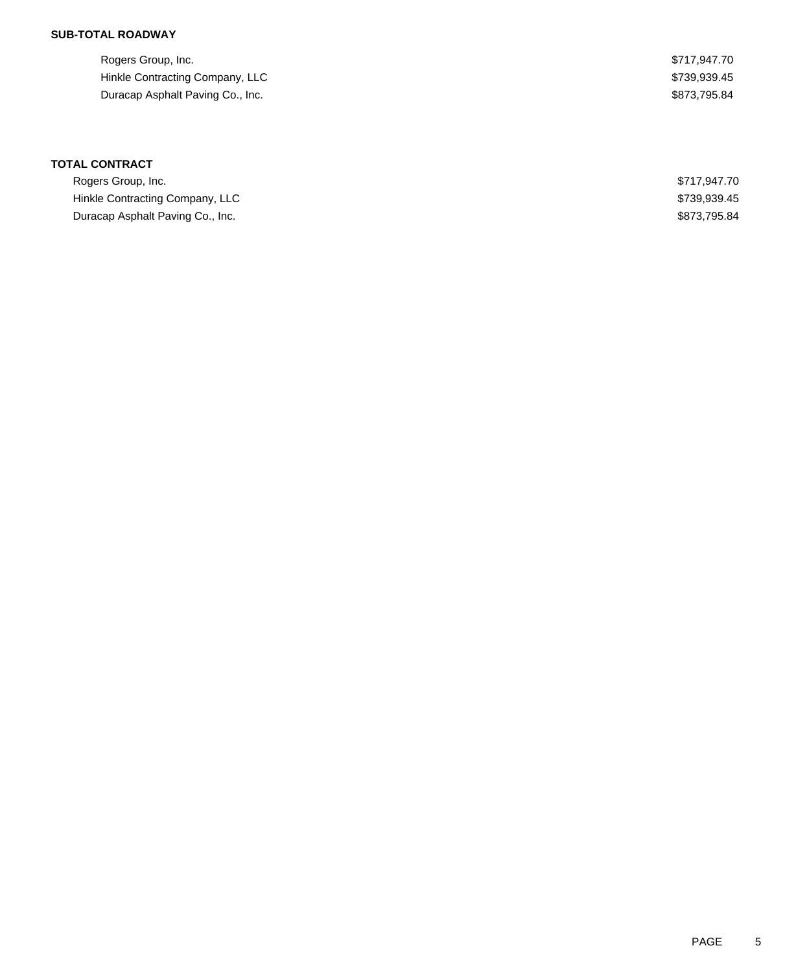### **SUB-TOTAL ROADWAY**

| Rogers Group, Inc.               | \$717.947.70 |
|----------------------------------|--------------|
| Hinkle Contracting Company, LLC  | \$739.939.45 |
| Duracap Asphalt Paving Co., Inc. | \$873.795.84 |

| Rogers Group, Inc.               | \$717.947.70 |
|----------------------------------|--------------|
| Hinkle Contracting Company, LLC  | \$739.939.45 |
| Duracap Asphalt Paving Co., Inc. | \$873.795.84 |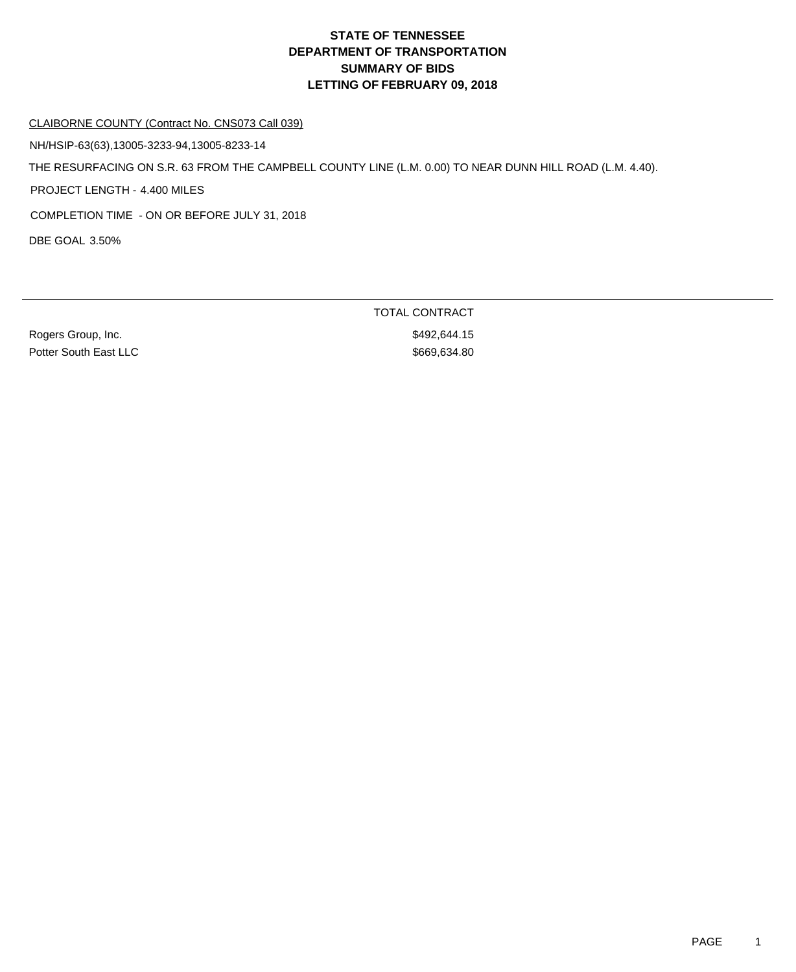#### CLAIBORNE COUNTY (Contract No. CNS073 Call 039)

NH/HSIP-63(63),13005-3233-94,13005-8233-14

THE RESURFACING ON S.R. 63 FROM THE CAMPBELL COUNTY LINE (L.M. 0.00) TO NEAR DUNN HILL ROAD (L.M. 4.40).

PROJECT LENGTH - 4.400 MILES

COMPLETION TIME - ON OR BEFORE JULY 31, 2018

DBE GOAL 3.50%

Rogers Group, Inc. **\$492,644.15** Potter South East LLC \$669,634.80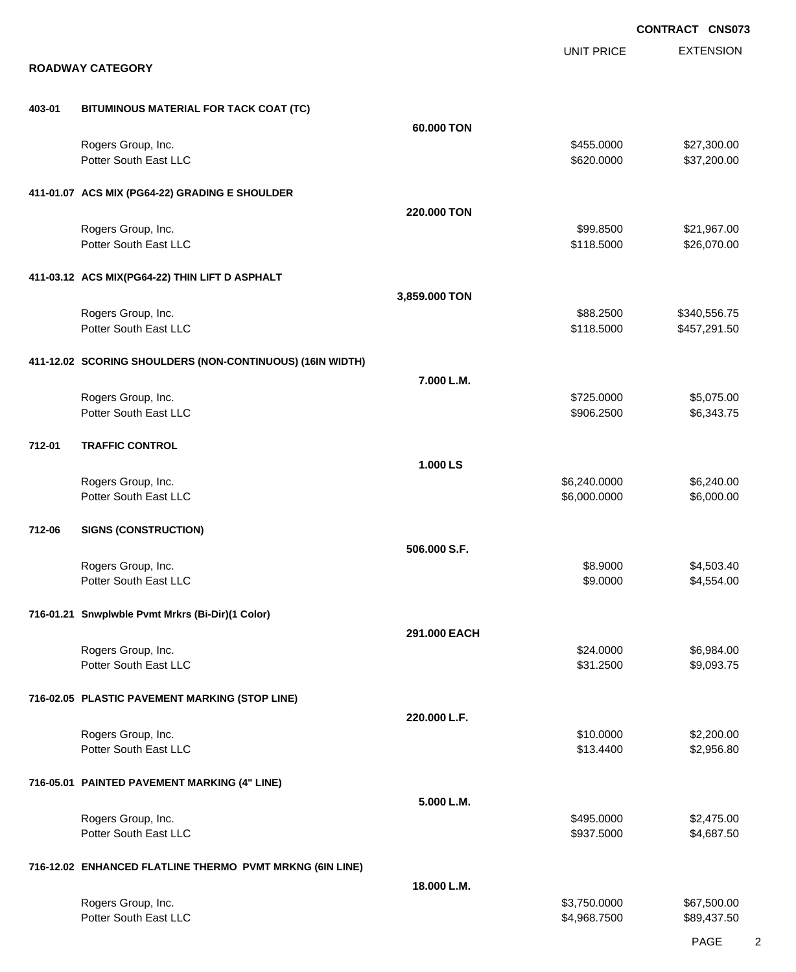EXTENSION **CONTRACT CNS073** UNIT PRICE **ROADWAY CATEGORY 403-01 BITUMINOUS MATERIAL FOR TACK COAT (TC) 60.000 TON** Rogers Group, Inc. \$27,300.00 \$27,300.00 Potter South East LLC 6620.000 \$37,200.00 **411-01.07 ACS MIX (PG64-22) GRADING E SHOULDER 220.000 TON** Rogers Group, Inc. \$99.8500 \$21,967.00 Potter South East LLC  $$118.5000$   $$26,070.00$ **411-03.12 ACS MIX(PG64-22) THIN LIFT D ASPHALT 3,859.000 TON** Rogers Group, Inc. \$340,556.75 Potter South East LLC **\$118.5000** \$457,291.50 **411-12.02 SCORING SHOULDERS (NON-CONTINUOUS) (16IN WIDTH) 7.000 L.M.** Rogers Group, Inc. \$1,075.000 \$5,075.00 \$5,075.00 \$5,075.00 \$5,075.00 \$5,075.00 \$5,075.00 \$5,075.00 \$5,075.00 \$5,075 Potter South East LLC  $$906.2500$  \$6,343.75 **712-01 TRAFFIC CONTROL 1.000 LS** Rogers Group, Inc. \$6,240.000 \$6,240.000 \$6,240.000 \$6,240.000 \$6,240.000 \$6,240.000 \$6,240.00 Potter South East LLC 6,000.000 \$6,000.000 \$6,000.000 \$6,000.000 \$6,000.000 \$6,000.000 \$6,000.00 **712-06 SIGNS (CONSTRUCTION) 506.000 S.F.** Rogers Group, Inc. \$8.9000 \$4,503.40 Potter South East LLC  $$9.0000$  \$4,554.00 **716-01.21 Snwplwble Pvmt Mrkrs (Bi-Dir)(1 Color) 291.000 EACH** Rogers Group, Inc. \$24.0000 \$6,984.00 Potter South East LLC \$3,093.75 **716-02.05 PLASTIC PAVEMENT MARKING (STOP LINE) 220.000 L.F.** Rogers Group, Inc. \$1,200.00 \$2,200.00 \$2,200.00 \$2,200.00 \$2,200.00 \$2,200.00 \$2,200.00 \$2,200.00 \$2,200.00 \$2,200.00 Potter South East LLC \$13.4400 \$2,956.80 **716-05.01 PAINTED PAVEMENT MARKING (4" LINE) 5.000 L.M.** Rogers Group, Inc. \$2,475.00 Potter South East LLC 6687.5000 \$4,687.5000 \$4,687.5000 \$4,687.5000 \$4,687.5000 \$4,687.5000 \$4,687.50 **716-12.02 ENHANCED FLATLINE THERMO PVMT MRKNG (6IN LINE) 18.000 L.M.** Rogers Group, Inc. \$3,750.000 \$67,500.00 Potter South East LLC  $$4,968.7500$  \$89,437.50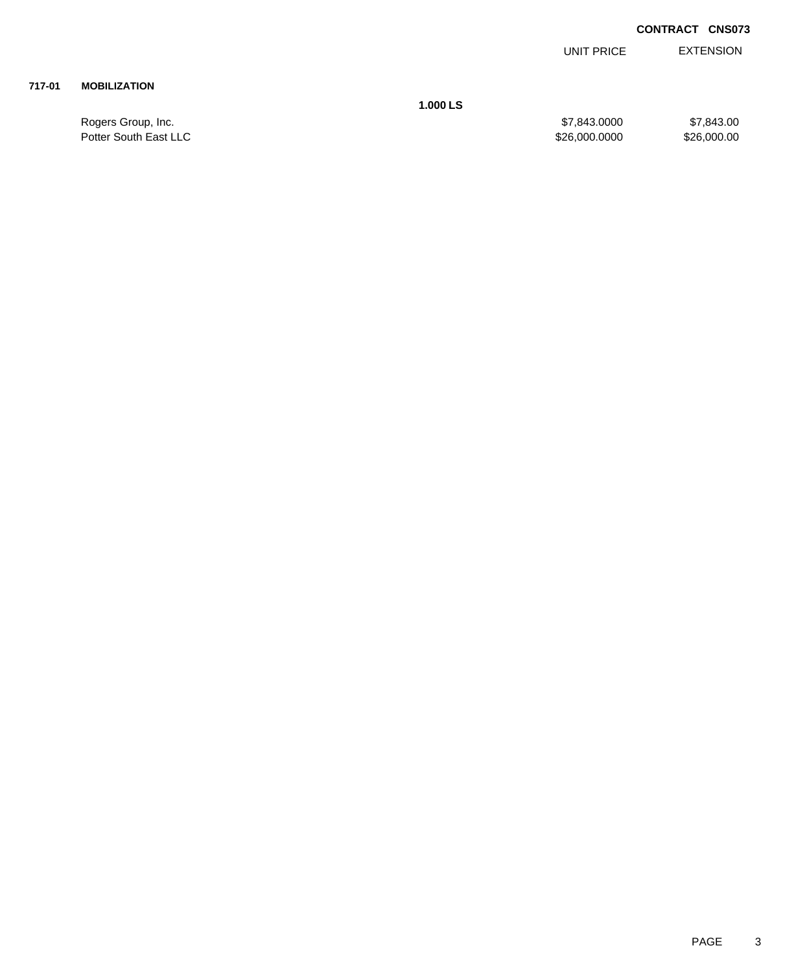### **CONTRACT CNS073**

EXTENSION UNIT PRICE

### **717-01 MOBILIZATION**

**1.000 LS**

Rogers Group, Inc. \$7,843.000 \$7,843.000 \$7,843.000 \$7,843.000 Potter South East LLC \$26,000.0000 \$26,000.000 \$26,000.000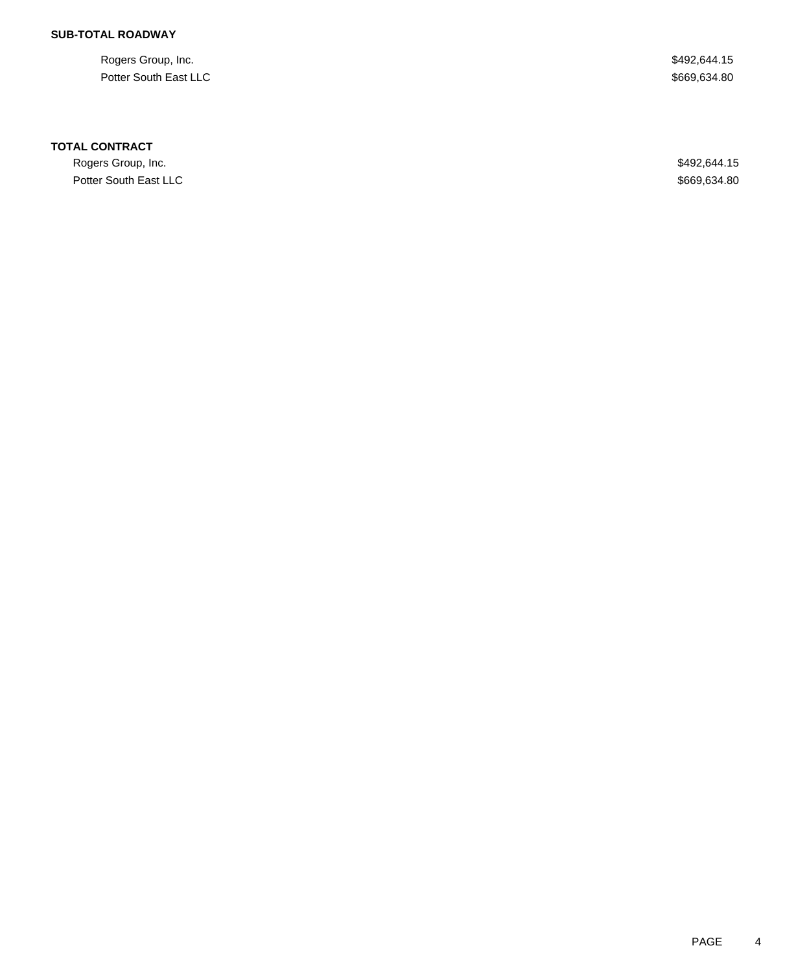### **SUB-TOTAL ROADWAY**

Rogers Group, Inc. \$492,644.15 Potter South East LLC \$669,634.80

#### **TOTAL CONTRACT**

Rogers Group, Inc. \$492,644.15 Potter South East LLC \$669,634.80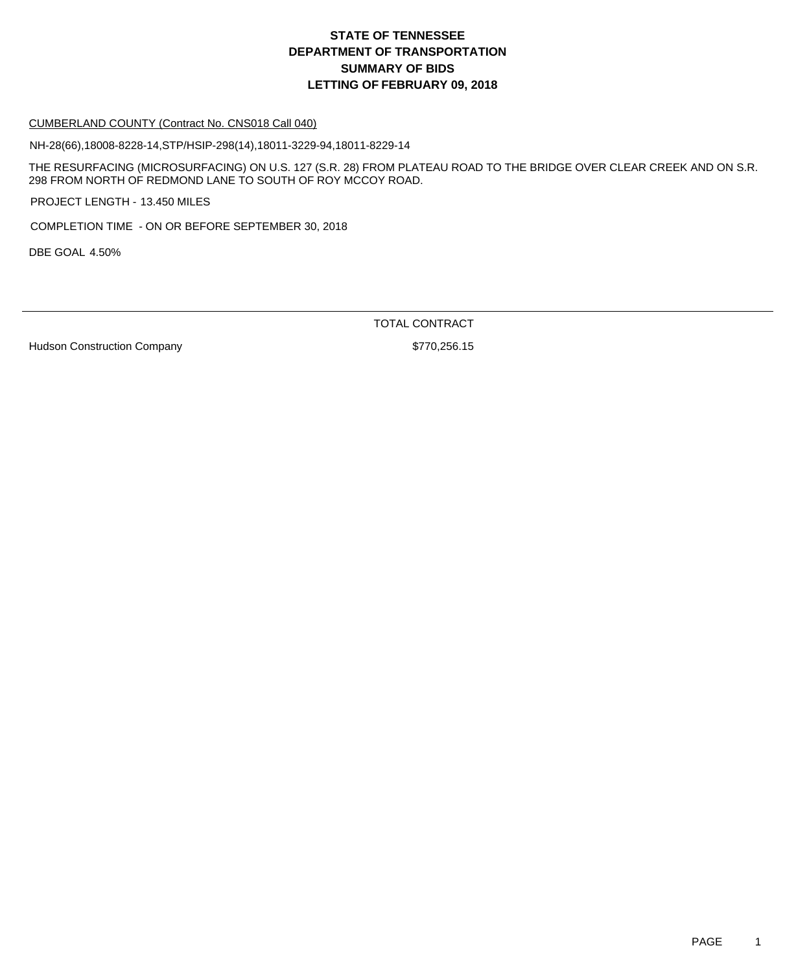#### CUMBERLAND COUNTY (Contract No. CNS018 Call 040)

NH-28(66),18008-8228-14,STP/HSIP-298(14),18011-3229-94,18011-8229-14

THE RESURFACING (MICROSURFACING) ON U.S. 127 (S.R. 28) FROM PLATEAU ROAD TO THE BRIDGE OVER CLEAR CREEK AND ON S.R. 298 FROM NORTH OF REDMOND LANE TO SOUTH OF ROY MCCOY ROAD.

PROJECT LENGTH - 13.450 MILES

COMPLETION TIME - ON OR BEFORE SEPTEMBER 30, 2018

DBE GOAL 4.50%

TOTAL CONTRACT

Hudson Construction Company **\$770,256.15**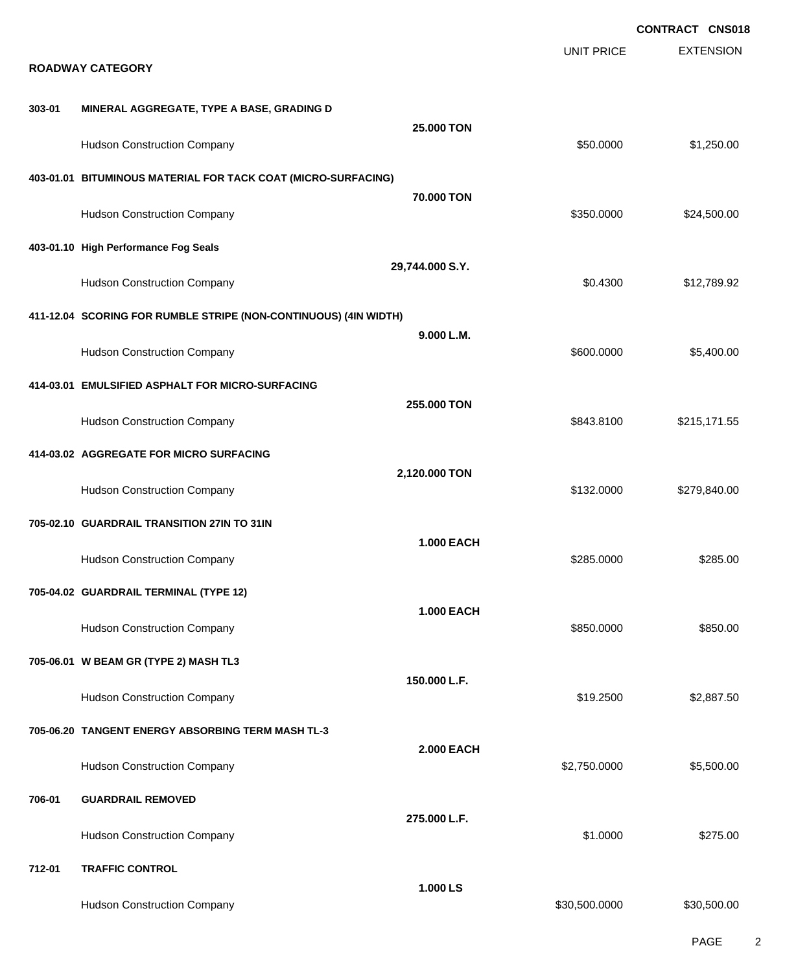|        |                                                                  |                   |                   | <b>CONTRACT CNS018</b> |
|--------|------------------------------------------------------------------|-------------------|-------------------|------------------------|
|        | <b>ROADWAY CATEGORY</b>                                          |                   | <b>UNIT PRICE</b> | <b>EXTENSION</b>       |
| 303-01 | MINERAL AGGREGATE, TYPE A BASE, GRADING D                        |                   |                   |                        |
|        | <b>Hudson Construction Company</b>                               | 25.000 TON        | \$50.0000         | \$1,250.00             |
|        | 403-01.01 BITUMINOUS MATERIAL FOR TACK COAT (MICRO-SURFACING)    |                   |                   |                        |
|        | <b>Hudson Construction Company</b>                               | 70,000 TON        | \$350.0000        | \$24,500.00            |
|        | 403-01.10 High Performance Fog Seals                             | 29,744.000 S.Y.   |                   |                        |
|        | <b>Hudson Construction Company</b>                               |                   | \$0.4300          | \$12,789.92            |
|        | 411-12.04 SCORING FOR RUMBLE STRIPE (NON-CONTINUOUS) (4IN WIDTH) | 9.000 L.M.        |                   |                        |
|        | <b>Hudson Construction Company</b>                               |                   | \$600.0000        | \$5,400.00             |
|        | 414-03.01 EMULSIFIED ASPHALT FOR MICRO-SURFACING                 | 255.000 TON       |                   |                        |
|        | <b>Hudson Construction Company</b>                               |                   | \$843.8100        | \$215,171.55           |
|        | 414-03.02 AGGREGATE FOR MICRO SURFACING                          | 2,120.000 TON     |                   |                        |
|        | <b>Hudson Construction Company</b>                               |                   | \$132.0000        | \$279,840.00           |
|        | 705-02.10 GUARDRAIL TRANSITION 27IN TO 31IN                      | <b>1.000 EACH</b> |                   |                        |
|        | <b>Hudson Construction Company</b>                               |                   | \$285.0000        | \$285.00               |
|        | 705-04.02 GUARDRAIL TERMINAL (TYPE 12)                           | <b>1.000 EACH</b> |                   |                        |
|        | <b>Hudson Construction Company</b>                               |                   | \$850.0000        | \$850.00               |
|        | 705-06.01 W BEAM GR (TYPE 2) MASH TL3                            | 150.000 L.F.      |                   |                        |
|        | <b>Hudson Construction Company</b>                               |                   | \$19.2500         | \$2,887.50             |
|        | 705-06.20 TANGENT ENERGY ABSORBING TERM MASH TL-3                | <b>2.000 EACH</b> |                   |                        |
|        | <b>Hudson Construction Company</b>                               |                   | \$2,750.0000      | \$5,500.00             |
| 706-01 | <b>GUARDRAIL REMOVED</b>                                         | 275.000 L.F.      |                   |                        |
|        | <b>Hudson Construction Company</b>                               |                   | \$1.0000          | \$275.00               |
| 712-01 | <b>TRAFFIC CONTROL</b>                                           | 1.000 LS          |                   |                        |
|        | <b>Hudson Construction Company</b>                               |                   | \$30,500.0000     | \$30,500.00            |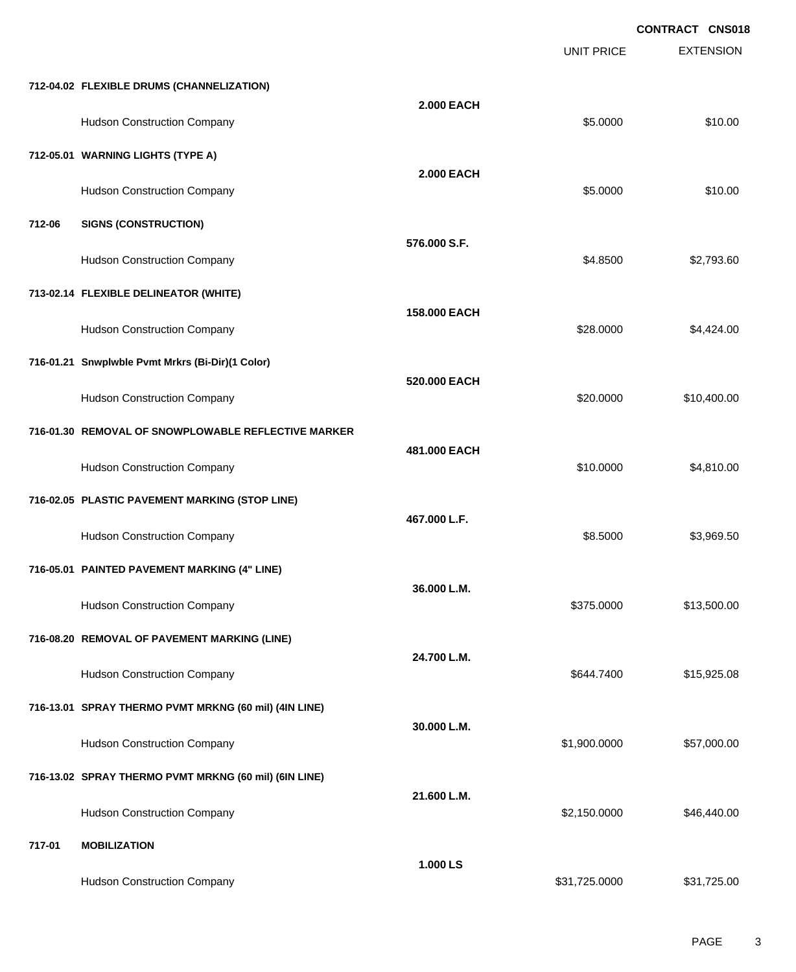EXTENSION **CONTRACT CNS018** UNIT PRICE **712-04.02 FLEXIBLE DRUMS (CHANNELIZATION) 2.000 EACH** Hudson Construction Company **\$10.00** \$10.00 **712-05.01 WARNING LIGHTS (TYPE A) 2.000 EACH** Hudson Construction Company 610.00 **712-06 SIGNS (CONSTRUCTION) 576.000 S.F.** Hudson Construction Company **62.793.60** \$2,793.60 **713-02.14 FLEXIBLE DELINEATOR (WHITE) 158.000 EACH** Hudson Construction Company **628.0000** \$4,424.00 **716-01.21 Snwplwble Pvmt Mrkrs (Bi-Dir)(1 Color) 520.000 EACH** Hudson Construction Company **620.000 \$10,400.00** \$10,400.00 **716-01.30 REMOVAL OF SNOWPLOWABLE REFLECTIVE MARKER 481.000 EACH** Hudson Construction Company **61.810.000** \$4,810.00 **716-02.05 PLASTIC PAVEMENT MARKING (STOP LINE) 467.000 L.F.** Hudson Construction Company **68.5000** \$3,969.50 **716-05.01 PAINTED PAVEMENT MARKING (4" LINE) 36.000 L.M.** Hudson Construction Company **613,500.00** \$13,500.00 **716-08.20 REMOVAL OF PAVEMENT MARKING (LINE) 24.700 L.M.** Hudson Construction Company **\$644.7400** \$15,925.08 **716-13.01 SPRAY THERMO PVMT MRKNG (60 mil) (4IN LINE) 30.000 L.M.** Hudson Construction Company 657,000.00 \$57,000.00 \$57,000.00 **716-13.02 SPRAY THERMO PVMT MRKNG (60 mil) (6IN LINE) 21.600 L.M.** Hudson Construction Company **62,150.0000** \$46,440.00 **717-01 MOBILIZATION 1.000 LS**

Hudson Construction Company **631,725.000** \$31,725.000 \$31,725.000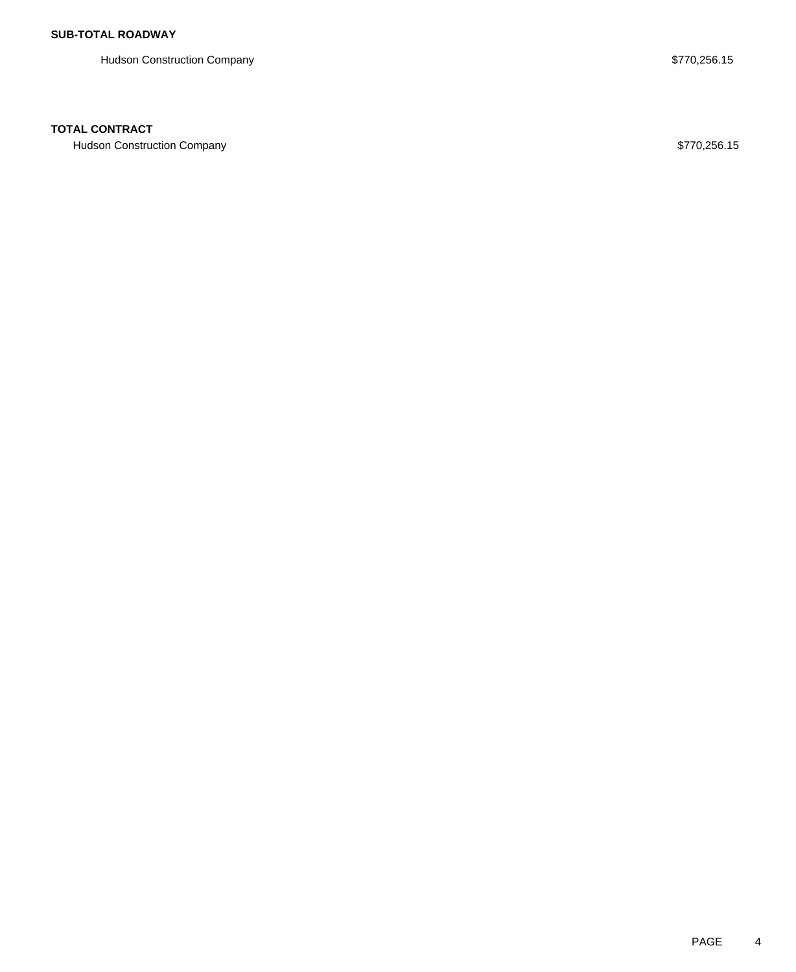Hudson Construction Company **\$770,256.15** 

#### **TOTAL CONTRACT**

Hudson Construction Company **\$770,256.15**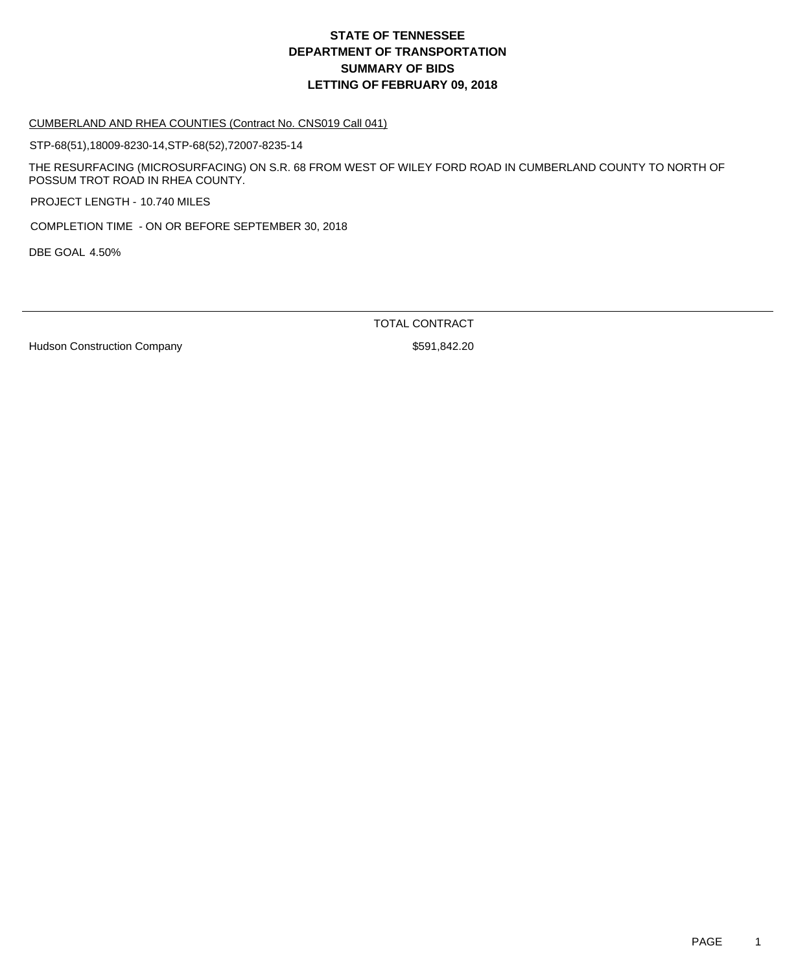#### CUMBERLAND AND RHEA COUNTIES (Contract No. CNS019 Call 041)

STP-68(51),18009-8230-14,STP-68(52),72007-8235-14

THE RESURFACING (MICROSURFACING) ON S.R. 68 FROM WEST OF WILEY FORD ROAD IN CUMBERLAND COUNTY TO NORTH OF POSSUM TROT ROAD IN RHEA COUNTY.

PROJECT LENGTH - 10.740 MILES

COMPLETION TIME - ON OR BEFORE SEPTEMBER 30, 2018

DBE GOAL 4.50%

TOTAL CONTRACT

Hudson Construction Company **\$591,842.20**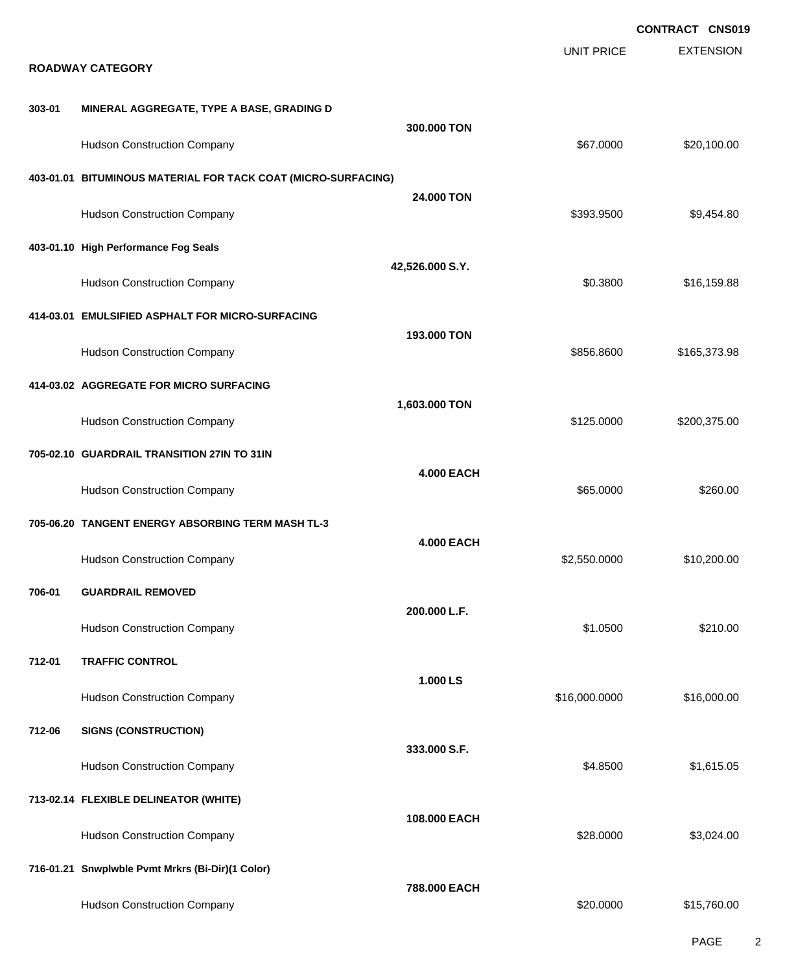EXTENSION **CONTRACT CNS019** UNIT PRICE **ROADWAY CATEGORY 303-01 MINERAL AGGREGATE, TYPE A BASE, GRADING D 300.000 TON** Hudson Construction Company **620,100.00** \$20,100.00 **403-01.01 BITUMINOUS MATERIAL FOR TACK COAT (MICRO-SURFACING) 24.000 TON** Hudson Construction Company **60.6 and 50.454.80** \$9,454.80 **403-01.10 High Performance Fog Seals 42,526.000 S.Y.** Hudson Construction Company **60.3800** \$16,159.88 **414-03.01 EMULSIFIED ASPHALT FOR MICRO-SURFACING 193.000 TON** Hudson Construction Company **600 and 100 and 100 and 100 and 100 and 100 and 100 and 100 and 100 and 100 and 100 and 100 and 100 and 100 and 100 and 100 and 100 and 100 and 100 and 100 and 100 and 100 and 100 and 100 and 1 414-03.02 AGGREGATE FOR MICRO SURFACING 1,603.000 TON** Hudson Construction Company **6200,375.00** \$200,375.00 **705-02.10 GUARDRAIL TRANSITION 27IN TO 31IN 4.000 EACH** Hudson Construction Company **6260.00** \$260.00 **705-06.20 TANGENT ENERGY ABSORBING TERM MASH TL-3 4.000 EACH** Hudson Construction Company **62,550.0000 \$10,200.00** \$10,200.00 **706-01 GUARDRAIL REMOVED 200.000 L.F.** Hudson Construction Company **6210.00** \$210.00 \$210.00 \$210.00 \$210.00 \$210.00 \$210.00 \$210.00 \$210.00 \$210.00 \$210 **712-01 TRAFFIC CONTROL 1.000 LS** Hudson Construction Company **616,000.000 \$16,000.000 \$16,000.000** \$16,000.000 \$16,000.00 **712-06 SIGNS (CONSTRUCTION) 333.000 S.F.** Hudson Construction Company **64.8500** \$1,615.05 **713-02.14 FLEXIBLE DELINEATOR (WHITE) 108.000 EACH** Hudson Construction Company **628.0000** \$3,024.00 **716-01.21 Snwplwble Pvmt Mrkrs (Bi-Dir)(1 Color) 788.000 EACH** Hudson Construction Company **\$20.0000** \$15,760.00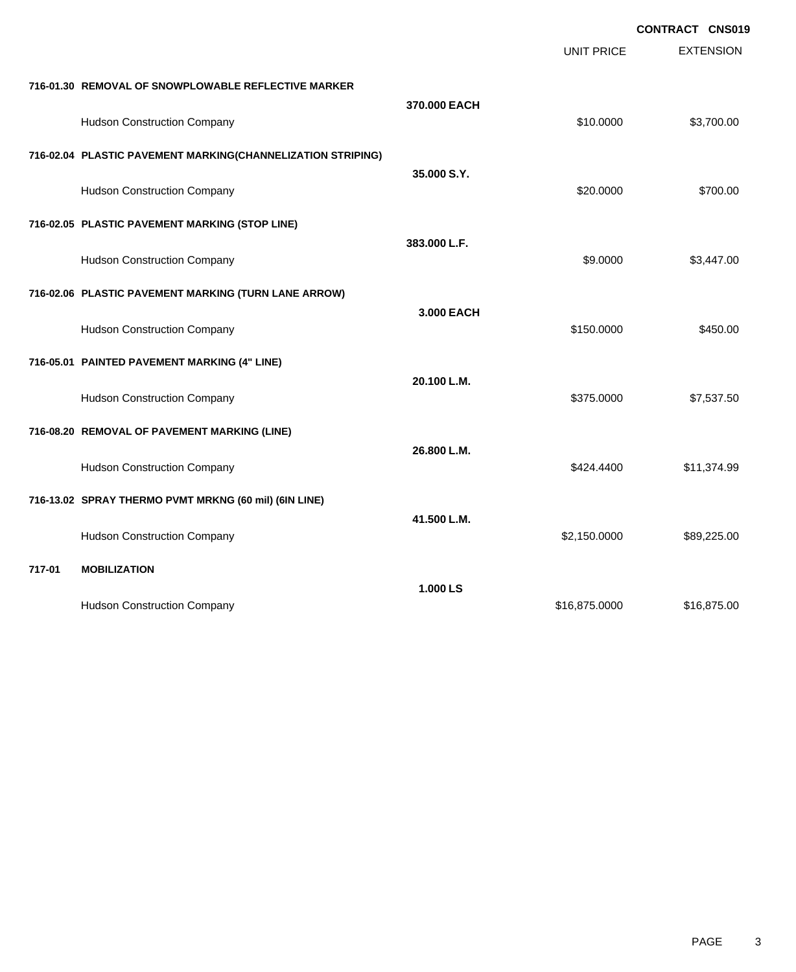EXTENSION **CONTRACT CNS019** UNIT PRICE **716-01.30 REMOVAL OF SNOWPLOWABLE REFLECTIVE MARKER 370.000 EACH** Hudson Construction Company **\$10.0000** \$3,700.00 **716-02.04 PLASTIC PAVEMENT MARKING(CHANNELIZATION STRIPING) 35.000 S.Y.** Hudson Construction Company **620.000** \$700.00 **716-02.05 PLASTIC PAVEMENT MARKING (STOP LINE) 383.000 L.F.** Hudson Construction Company **68.447.00** \$3,447.00 **716-02.06 PLASTIC PAVEMENT MARKING (TURN LANE ARROW) 3.000 EACH** Hudson Construction Company **6450.000** \$450.000 \$450.000 \$450.000 **716-05.01 PAINTED PAVEMENT MARKING (4" LINE) 20.100 L.M.** Hudson Construction Company **6275.0000 \$7,537.50** \$375.0000 \$7,537.50 **716-08.20 REMOVAL OF PAVEMENT MARKING (LINE) 26.800 L.M.** Hudson Construction Company **611,374.99 \$424.4400** \$11,374.99 **716-13.02 SPRAY THERMO PVMT MRKNG (60 mil) (6IN LINE) 41.500 L.M.** Hudson Construction Company **\$89,225.00** \$89,225.00 **717-01 MOBILIZATION 1.000 LS** Hudson Construction Company **616,875.000** \$16,875.000 \$16,875.000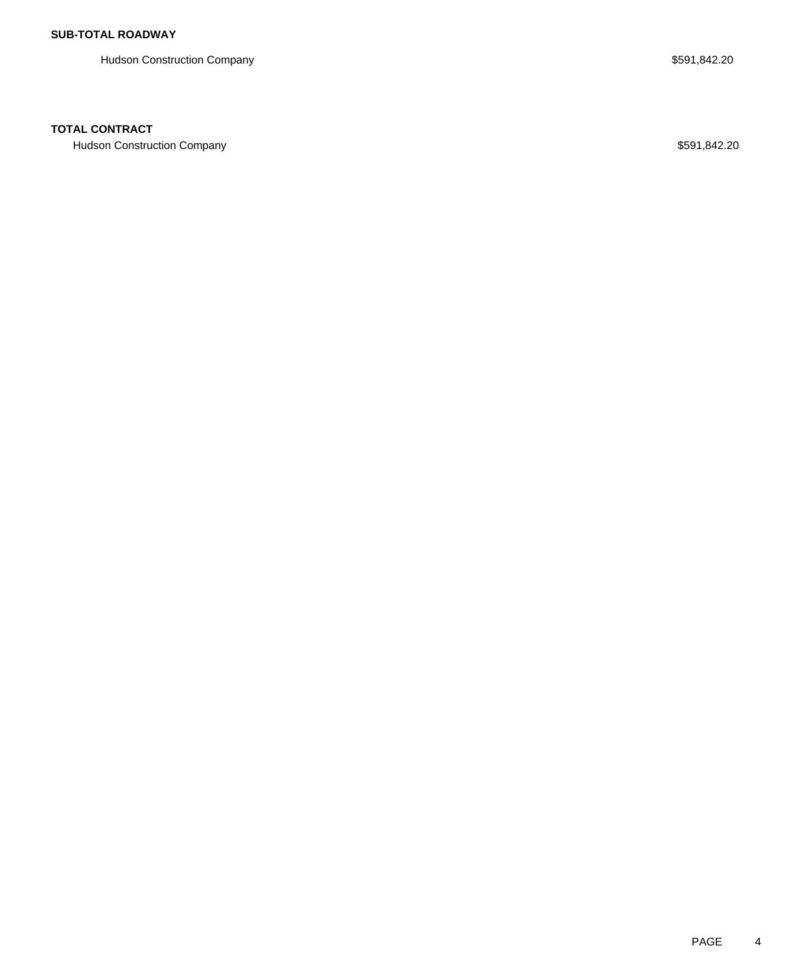Hudson Construction Company **\$591,842.20** 

#### **TOTAL CONTRACT**

Hudson Construction Company **\$591,842.20**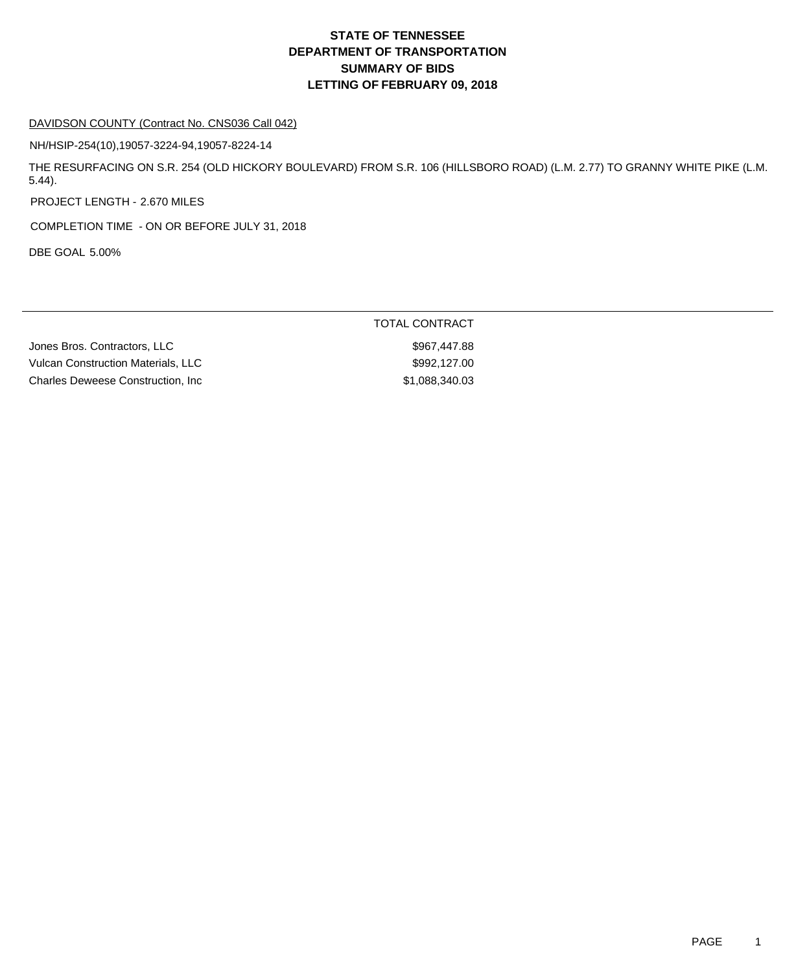#### DAVIDSON COUNTY (Contract No. CNS036 Call 042)

NH/HSIP-254(10),19057-3224-94,19057-8224-14

THE RESURFACING ON S.R. 254 (OLD HICKORY BOULEVARD) FROM S.R. 106 (HILLSBORO ROAD) (L.M. 2.77) TO GRANNY WHITE PIKE (L.M. 5.44).

PROJECT LENGTH - 2.670 MILES

COMPLETION TIME - ON OR BEFORE JULY 31, 2018

DBE GOAL 5.00%

TOTAL CONTRACT

Jones Bros. Contractors, LLC \$967,447.88 Vulcan Construction Materials, LLC  $$992,127.00$ Charles Deweese Construction, Inc 6.6 and 51,088,340.03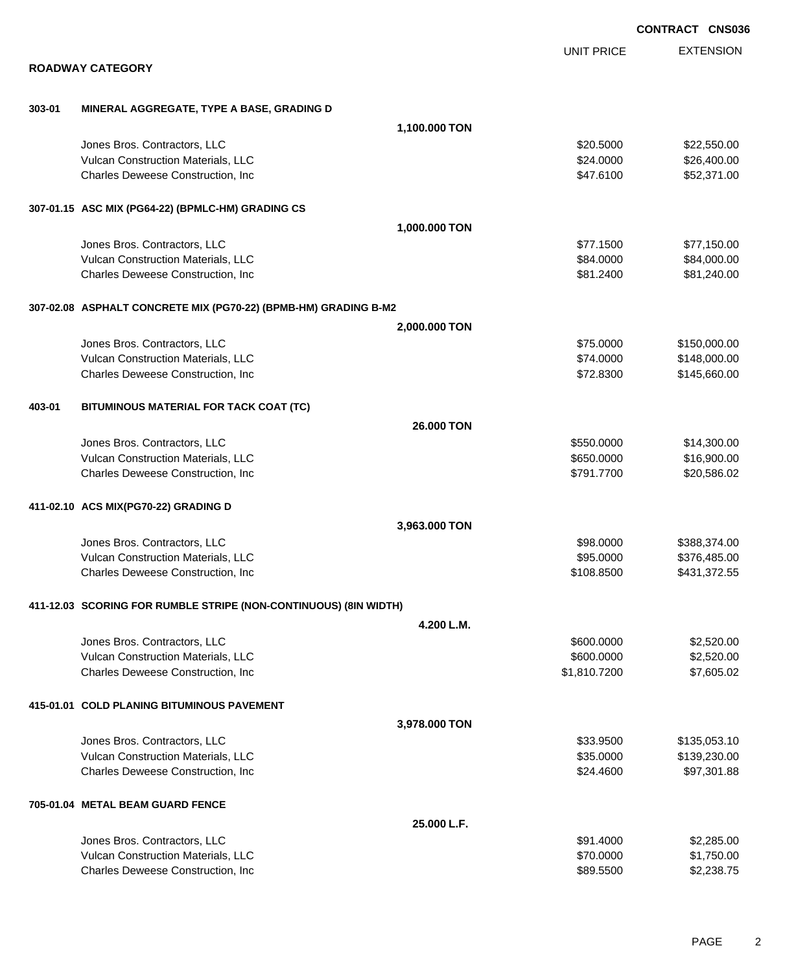|        |                                                                  |               |                   | <b>CONTRACT CNS036</b> |
|--------|------------------------------------------------------------------|---------------|-------------------|------------------------|
|        |                                                                  |               | <b>UNIT PRICE</b> | <b>EXTENSION</b>       |
|        | <b>ROADWAY CATEGORY</b>                                          |               |                   |                        |
| 303-01 | MINERAL AGGREGATE, TYPE A BASE, GRADING D                        |               |                   |                        |
|        |                                                                  | 1,100.000 TON |                   |                        |
|        | Jones Bros. Contractors, LLC                                     |               | \$20.5000         | \$22,550.00            |
|        | Vulcan Construction Materials, LLC                               |               | \$24.0000         | \$26,400.00            |
|        | Charles Deweese Construction, Inc                                |               | \$47.6100         | \$52,371.00            |
|        | 307-01.15 ASC MIX (PG64-22) (BPMLC-HM) GRADING CS                |               |                   |                        |
|        |                                                                  | 1,000.000 TON |                   |                        |
|        | Jones Bros. Contractors, LLC                                     |               | \$77.1500         | \$77,150.00            |
|        | Vulcan Construction Materials, LLC                               |               | \$84.0000         | \$84,000.00            |
|        | Charles Deweese Construction, Inc.                               |               | \$81.2400         | \$81,240.00            |
|        | 307-02.08 ASPHALT CONCRETE MIX (PG70-22) (BPMB-HM) GRADING B-M2  |               |                   |                        |
|        |                                                                  | 2,000.000 TON |                   |                        |
|        | Jones Bros. Contractors, LLC                                     |               | \$75.0000         | \$150,000.00           |
|        | Vulcan Construction Materials, LLC                               |               | \$74.0000         | \$148,000.00           |
|        | Charles Deweese Construction, Inc                                |               | \$72.8300         | \$145,660.00           |
| 403-01 | BITUMINOUS MATERIAL FOR TACK COAT (TC)                           |               |                   |                        |
|        |                                                                  | 26.000 TON    |                   |                        |
|        | Jones Bros. Contractors, LLC                                     |               | \$550.0000        | \$14,300.00            |
|        | Vulcan Construction Materials, LLC                               |               | \$650.0000        | \$16,900.00            |
|        | Charles Deweese Construction, Inc                                |               | \$791.7700        | \$20,586.02            |
|        | 411-02.10 ACS MIX(PG70-22) GRADING D                             |               |                   |                        |
|        |                                                                  | 3,963.000 TON |                   |                        |
|        | Jones Bros. Contractors, LLC                                     |               | \$98.0000         | \$388,374.00           |
|        | Vulcan Construction Materials, LLC                               |               | \$95.0000         | \$376,485.00           |
|        | Charles Deweese Construction, Inc                                |               | \$108.8500        | \$431,372.55           |
|        | 411-12.03 SCORING FOR RUMBLE STRIPE (NON-CONTINUOUS) (8IN WIDTH) |               |                   |                        |
|        |                                                                  | 4.200 L.M.    |                   |                        |
|        | Jones Bros. Contractors, LLC                                     |               | \$600.0000        | \$2,520.00             |
|        | Vulcan Construction Materials, LLC                               |               | \$600.0000        | \$2,520.00             |
|        | Charles Deweese Construction, Inc                                |               | \$1,810.7200      | \$7,605.02             |
|        | 415-01.01 COLD PLANING BITUMINOUS PAVEMENT                       |               |                   |                        |
|        |                                                                  | 3,978.000 TON |                   |                        |
|        | Jones Bros. Contractors, LLC                                     |               | \$33.9500         | \$135,053.10           |
|        | Vulcan Construction Materials, LLC                               |               | \$35.0000         | \$139,230.00           |
|        | Charles Deweese Construction, Inc                                |               | \$24.4600         | \$97,301.88            |
|        | 705-01.04 METAL BEAM GUARD FENCE                                 |               |                   |                        |
|        |                                                                  | 25,000 L.F.   |                   |                        |
|        | Jones Bros. Contractors, LLC                                     |               | \$91.4000         | \$2,285.00             |
|        | Vulcan Construction Materials, LLC                               |               | \$70.0000         | \$1,750.00             |
|        | Charles Deweese Construction, Inc                                |               | \$89.5500         | \$2,238.75             |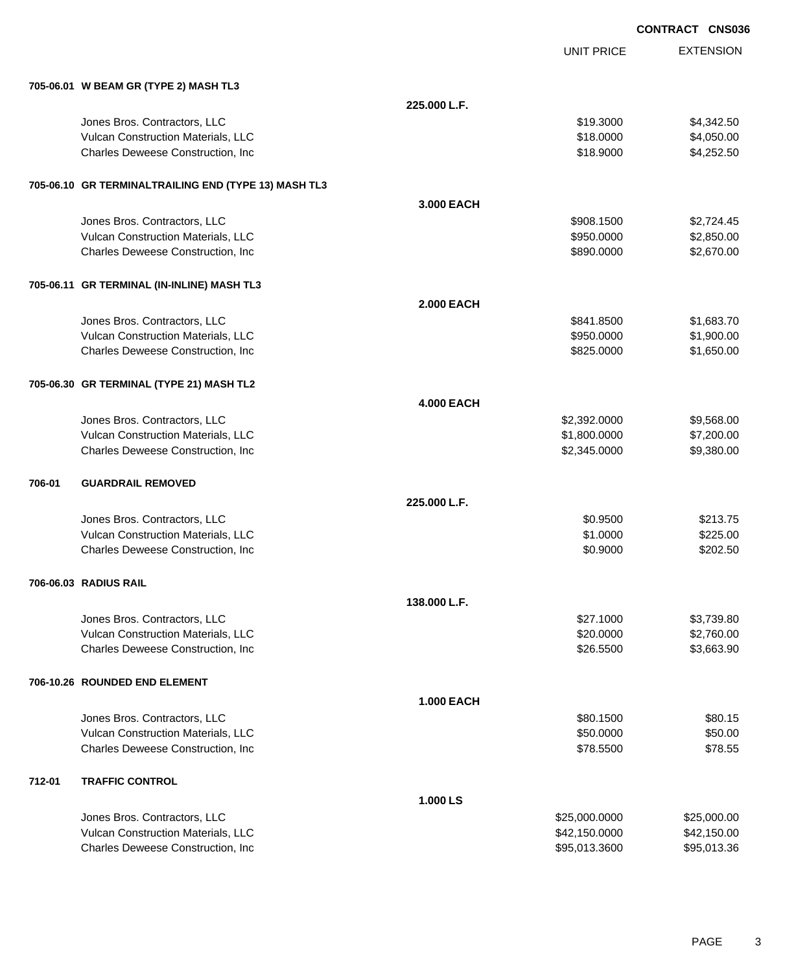|        |                                                      |                   |                   | <b>CONTRACT CNS036</b> |                  |
|--------|------------------------------------------------------|-------------------|-------------------|------------------------|------------------|
|        |                                                      |                   | <b>UNIT PRICE</b> |                        | <b>EXTENSION</b> |
|        | 705-06.01 W BEAM GR (TYPE 2) MASH TL3                |                   |                   |                        |                  |
|        |                                                      | 225.000 L.F.      |                   |                        |                  |
|        | Jones Bros. Contractors, LLC                         |                   | \$19.3000         |                        | \$4,342.50       |
|        | Vulcan Construction Materials, LLC                   |                   | \$18.0000         |                        | \$4,050.00       |
|        | Charles Deweese Construction, Inc.                   |                   | \$18.9000         |                        | \$4,252.50       |
|        | 705-06.10 GR TERMINALTRAILING END (TYPE 13) MASH TL3 |                   |                   |                        |                  |
|        |                                                      | 3.000 EACH        |                   |                        |                  |
|        | Jones Bros. Contractors, LLC                         |                   | \$908.1500        |                        | \$2,724.45       |
|        | Vulcan Construction Materials, LLC                   |                   | \$950.0000        |                        | \$2,850.00       |
|        | Charles Deweese Construction, Inc.                   |                   | \$890.0000        |                        | \$2,670.00       |
|        | 705-06.11 GR TERMINAL (IN-INLINE) MASH TL3           |                   |                   |                        |                  |
|        |                                                      | <b>2.000 EACH</b> |                   |                        |                  |
|        | Jones Bros. Contractors, LLC                         |                   | \$841.8500        |                        | \$1,683.70       |
|        | Vulcan Construction Materials, LLC                   |                   | \$950.0000        |                        | \$1,900.00       |
|        | Charles Deweese Construction, Inc.                   |                   | \$825.0000        |                        | \$1,650.00       |
|        | 705-06.30 GR TERMINAL (TYPE 21) MASH TL2             |                   |                   |                        |                  |
|        |                                                      | <b>4.000 EACH</b> |                   |                        |                  |
|        | Jones Bros. Contractors, LLC                         |                   | \$2,392.0000      |                        | \$9,568.00       |
|        | Vulcan Construction Materials, LLC                   |                   | \$1,800.0000      |                        | \$7,200.00       |
|        | Charles Deweese Construction, Inc.                   |                   | \$2,345.0000      |                        | \$9,380.00       |
| 706-01 | <b>GUARDRAIL REMOVED</b>                             |                   |                   |                        |                  |
|        |                                                      | 225.000 L.F.      |                   |                        |                  |
|        | Jones Bros. Contractors, LLC                         |                   | \$0.9500          |                        | \$213.75         |
|        | Vulcan Construction Materials, LLC                   |                   | \$1.0000          |                        | \$225.00         |
|        | Charles Deweese Construction, Inc.                   |                   | \$0.9000          |                        | \$202.50         |
|        | 706-06.03 RADIUS RAIL                                |                   |                   |                        |                  |
|        |                                                      | 138.000 L.F.      |                   |                        |                  |
|        | Jones Bros. Contractors, LLC                         |                   | \$27.1000         |                        | \$3,739.80       |
|        | Vulcan Construction Materials, LLC                   |                   | \$20.0000         |                        | \$2,760.00       |
|        | Charles Deweese Construction, Inc.                   |                   | \$26.5500         |                        | \$3,663.90       |
|        | 706-10.26 ROUNDED END ELEMENT                        |                   |                   |                        |                  |
|        |                                                      | <b>1.000 EACH</b> |                   |                        |                  |
|        | Jones Bros. Contractors, LLC                         |                   | \$80.1500         |                        | \$80.15          |
|        | Vulcan Construction Materials, LLC                   |                   | \$50.0000         |                        | \$50.00          |
|        | Charles Deweese Construction, Inc.                   |                   | \$78.5500         |                        | \$78.55          |
| 712-01 | <b>TRAFFIC CONTROL</b>                               |                   |                   |                        |                  |
|        |                                                      | 1.000LS           |                   |                        |                  |
|        | $I$ onge Rros Contractore $II$ C                     |                   | 425 ANN NANN      |                        | 2250000          |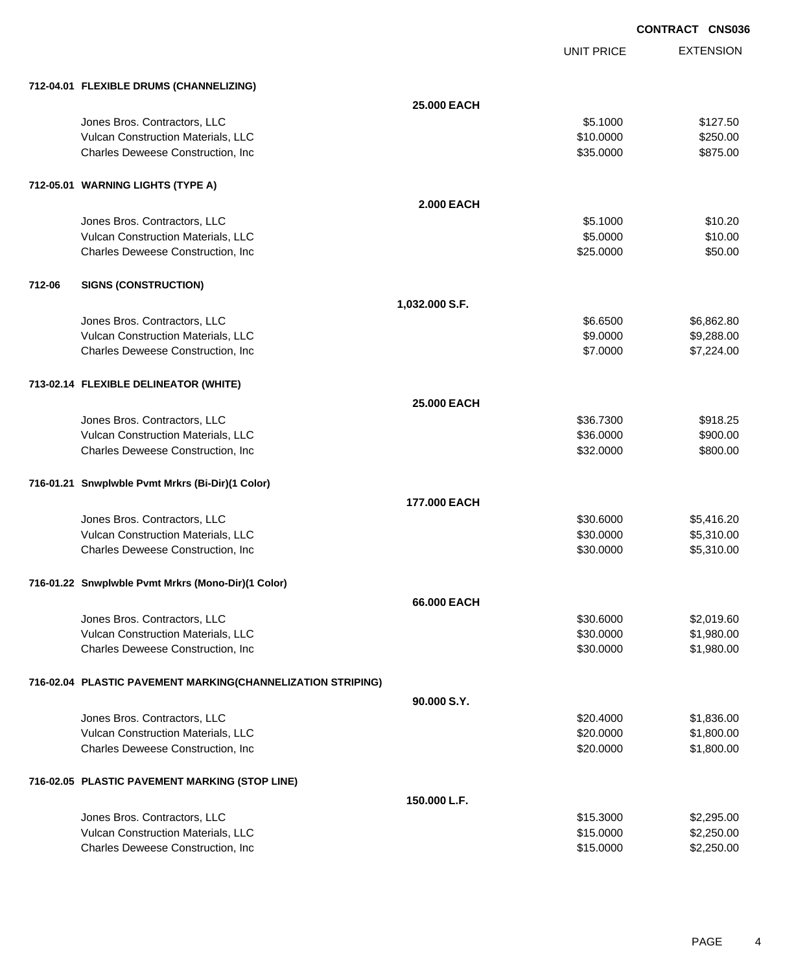UNIT PRICE EXTENSION **CONTRACT CNS036**

## **712-04.01 FLEXIBLE DRUMS (CHANNELIZING)**

|        | 712-04.01 FLEXIBLE DRUMS (CHANNELIZING)                     |                   |           |            |
|--------|-------------------------------------------------------------|-------------------|-----------|------------|
|        |                                                             | 25.000 EACH       |           |            |
|        | Jones Bros. Contractors, LLC                                |                   | \$5.1000  | \$127.50   |
|        | Vulcan Construction Materials, LLC                          |                   | \$10.0000 | \$250.00   |
|        | Charles Deweese Construction, Inc.                          |                   | \$35.0000 | \$875.00   |
|        |                                                             |                   |           |            |
|        | 712-05.01 WARNING LIGHTS (TYPE A)                           |                   |           |            |
|        |                                                             | <b>2.000 EACH</b> |           |            |
|        | Jones Bros. Contractors, LLC                                |                   | \$5.1000  | \$10.20    |
|        | Vulcan Construction Materials, LLC                          |                   | \$5.0000  | \$10.00    |
|        | Charles Deweese Construction, Inc.                          |                   | \$25.0000 | \$50.00    |
|        |                                                             |                   |           |            |
| 712-06 | <b>SIGNS (CONSTRUCTION)</b>                                 |                   |           |            |
|        |                                                             | 1,032.000 S.F.    |           |            |
|        | Jones Bros. Contractors, LLC                                |                   | \$6.6500  | \$6,862.80 |
|        | Vulcan Construction Materials, LLC                          |                   | \$9.0000  | \$9,288.00 |
|        | Charles Deweese Construction, Inc.                          |                   | \$7.0000  | \$7,224.00 |
|        |                                                             |                   |           |            |
|        | 713-02.14 FLEXIBLE DELINEATOR (WHITE)                       |                   |           |            |
|        |                                                             | 25.000 EACH       |           |            |
|        | Jones Bros. Contractors, LLC                                |                   | \$36.7300 | \$918.25   |
|        | Vulcan Construction Materials, LLC                          |                   | \$36.0000 | \$900.00   |
|        | Charles Deweese Construction, Inc.                          |                   | \$32.0000 | \$800.00   |
|        | 716-01.21 Snwplwble Pvmt Mrkrs (Bi-Dir)(1 Color)            |                   |           |            |
|        |                                                             | 177.000 EACH      |           |            |
|        | Jones Bros. Contractors, LLC                                |                   | \$30.6000 | \$5,416.20 |
|        | Vulcan Construction Materials, LLC                          |                   | \$30.0000 | \$5,310.00 |
|        | Charles Deweese Construction, Inc.                          |                   | \$30.0000 | \$5,310.00 |
|        |                                                             |                   |           |            |
|        | 716-01.22 Snwplwble Pvmt Mrkrs (Mono-Dir)(1 Color)          |                   |           |            |
|        |                                                             | 66.000 EACH       |           |            |
|        | Jones Bros. Contractors, LLC                                |                   | \$30.6000 | \$2,019.60 |
|        | Vulcan Construction Materials, LLC                          |                   | \$30.0000 | \$1,980.00 |
|        | Charles Deweese Construction, Inc.                          |                   | \$30,0000 | \$1,980.00 |
|        | 716-02.04 PLASTIC PAVEMENT MARKING(CHANNELIZATION STRIPING) |                   |           |            |
|        |                                                             | 90.000 S.Y.       |           |            |
|        | Jones Bros. Contractors, LLC                                |                   | \$20.4000 | \$1,836.00 |
|        | Vulcan Construction Materials, LLC                          |                   | \$20.0000 | \$1,800.00 |
|        | Charles Deweese Construction, Inc.                          |                   | \$20.0000 | \$1,800.00 |
|        | 716-02.05 PLASTIC PAVEMENT MARKING (STOP LINE)              |                   |           |            |
|        |                                                             | 150.000 L.F.      |           |            |
|        | Jones Bros. Contractors, LLC                                |                   | \$15.3000 | \$2,295.00 |
|        | Vulcan Construction Materials, LLC                          |                   | \$15.0000 | \$2,250.00 |
|        | Charles Deweese Construction, Inc.                          |                   | \$15.0000 | \$2,250.00 |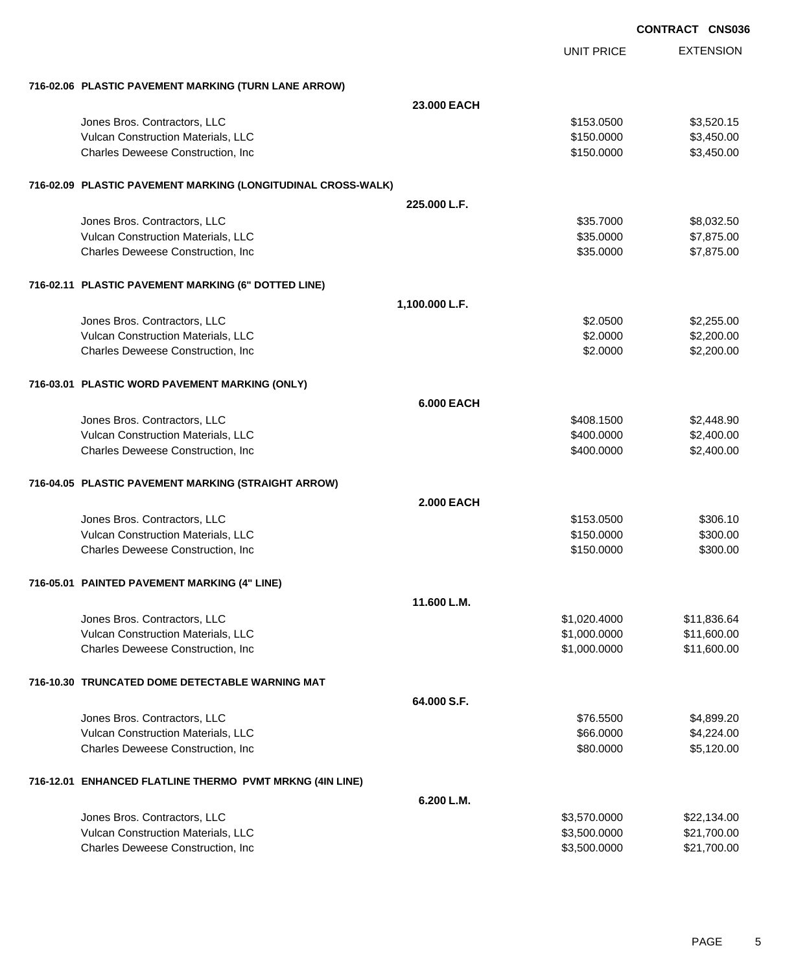|                                                              |                   |                   | <b>CONTRACT CNS036</b> |
|--------------------------------------------------------------|-------------------|-------------------|------------------------|
|                                                              |                   | <b>UNIT PRICE</b> | <b>EXTENSION</b>       |
| 716-02.06 PLASTIC PAVEMENT MARKING (TURN LANE ARROW)         |                   |                   |                        |
|                                                              | 23.000 EACH       |                   |                        |
| Jones Bros. Contractors, LLC                                 |                   | \$153.0500        | \$3,520.15             |
| Vulcan Construction Materials, LLC                           |                   | \$150,0000        | \$3,450.00             |
| Charles Deweese Construction, Inc                            |                   | \$150.0000        | \$3,450.00             |
| 716-02.09 PLASTIC PAVEMENT MARKING (LONGITUDINAL CROSS-WALK) |                   |                   |                        |
|                                                              | 225.000 L.F.      |                   |                        |
| Jones Bros. Contractors, LLC                                 |                   | \$35.7000         | \$8,032.50             |
| Vulcan Construction Materials, LLC                           |                   | \$35.0000         | \$7,875.00             |
| Charles Deweese Construction, Inc                            |                   | \$35.0000         | \$7,875.00             |
| 716-02.11 PLASTIC PAVEMENT MARKING (6" DOTTED LINE)          |                   |                   |                        |
|                                                              | 1,100.000 L.F.    |                   |                        |
| Jones Bros. Contractors, LLC                                 |                   | \$2,0500          | \$2,255.00             |
| Vulcan Construction Materials, LLC                           |                   | \$2.0000          | \$2,200.00             |
| Charles Deweese Construction, Inc                            |                   | \$2.0000          | \$2,200.00             |
| 716-03.01 PLASTIC WORD PAVEMENT MARKING (ONLY)               |                   |                   |                        |
|                                                              | <b>6.000 EACH</b> |                   |                        |
| Jones Bros. Contractors, LLC                                 |                   | \$408.1500        | \$2,448.90             |
| Vulcan Construction Materials, LLC                           |                   | \$400.0000        | \$2,400.00             |
| Charles Deweese Construction, Inc                            |                   | \$400.0000        | \$2,400.00             |
| 716-04.05 PLASTIC PAVEMENT MARKING (STRAIGHT ARROW)          |                   |                   |                        |
|                                                              | <b>2.000 EACH</b> |                   |                        |
| Jones Bros. Contractors, LLC                                 |                   | \$153.0500        | \$306.10               |
| Vulcan Construction Materials, LLC                           |                   | \$150,0000        | \$300.00               |
| Charles Deweese Construction, Inc.                           |                   | \$150.0000        | \$300.00               |
| 716-05.01 PAINTED PAVEMENT MARKING (4" LINE)                 |                   |                   |                        |
|                                                              | 11.600 L.M.       |                   |                        |
| Jones Bros. Contractors, LLC                                 |                   | \$1,020.4000      | \$11,836.64            |
| Vulcan Construction Materials, LLC                           |                   | \$1,000.0000      | \$11,600.00            |
| Charles Deweese Construction, Inc                            |                   | \$1,000.0000      | \$11,600.00            |
| 716-10.30 TRUNCATED DOME DETECTABLE WARNING MAT              |                   |                   |                        |
|                                                              | 64.000 S.F.       |                   |                        |
| Jones Bros. Contractors, LLC                                 |                   | \$76.5500         | \$4,899.20             |
| Vulcan Construction Materials, LLC                           |                   | \$66.0000         | \$4,224.00             |
| Charles Deweese Construction, Inc.                           |                   | \$80.0000         | \$5,120.00             |
| 716-12.01 ENHANCED FLATLINE THERMO PVMT MRKNG (4IN LINE)     |                   |                   |                        |
|                                                              | 6.200 L.M.        |                   |                        |
| Jones Bros. Contractors, LLC                                 |                   | \$3,570.0000      | \$22,134.00            |
| Vulcan Construction Materials, LLC                           |                   | \$3,500.0000      | \$21,700.00            |
| Charles Deweese Construction, Inc.                           |                   | \$3,500.0000      | \$21,700.00            |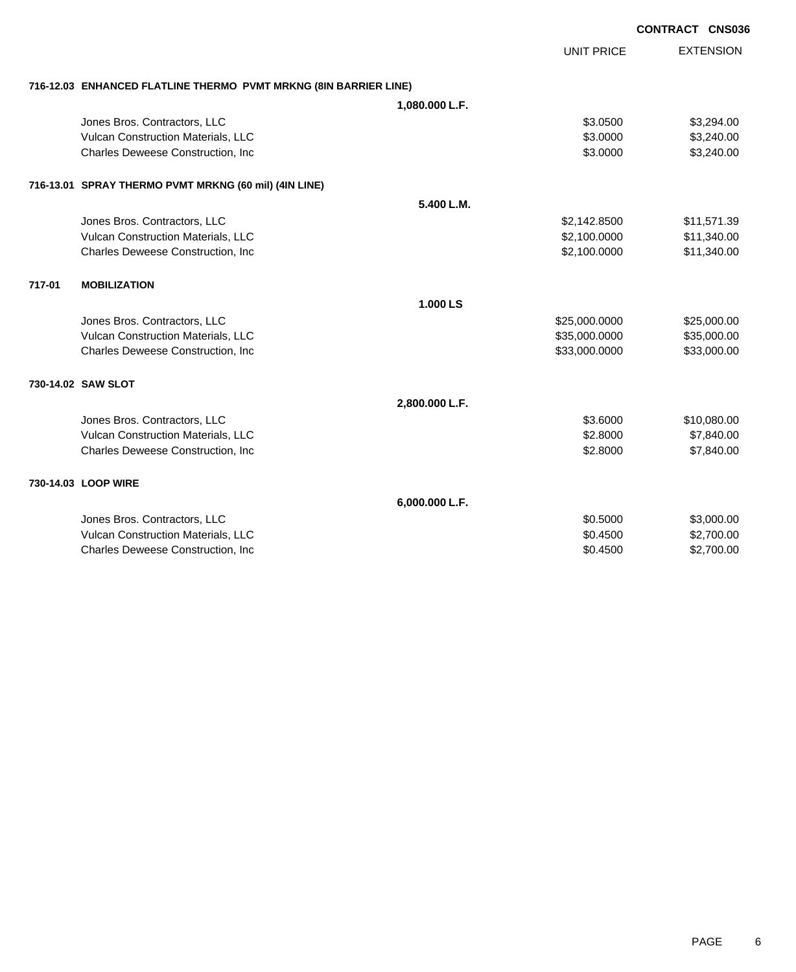|        |                                                                  |                |                   | <b>CONTRACT CNS036</b> |
|--------|------------------------------------------------------------------|----------------|-------------------|------------------------|
|        |                                                                  |                | <b>UNIT PRICE</b> | <b>EXTENSION</b>       |
|        | 716-12.03 ENHANCED FLATLINE THERMO PVMT MRKNG (8IN BARRIER LINE) |                |                   |                        |
|        |                                                                  | 1,080.000 L.F. |                   |                        |
|        | Jones Bros. Contractors, LLC                                     |                | \$3.0500          | \$3,294.00             |
|        | Vulcan Construction Materials, LLC                               |                | \$3.0000          | \$3,240.00             |
|        | Charles Deweese Construction, Inc                                |                | \$3.0000          | \$3,240.00             |
|        | 716-13.01 SPRAY THERMO PVMT MRKNG (60 mil) (4IN LINE)            |                |                   |                        |
|        |                                                                  | 5.400 L.M.     |                   |                        |
|        | Jones Bros. Contractors, LLC                                     |                | \$2,142.8500      | \$11,571.39            |
|        | Vulcan Construction Materials, LLC                               |                | \$2,100.0000      | \$11,340.00            |
|        | Charles Deweese Construction, Inc                                |                | \$2,100.0000      | \$11,340.00            |
| 717-01 | <b>MOBILIZATION</b>                                              |                |                   |                        |
|        |                                                                  | 1.000 LS       |                   |                        |
|        | Jones Bros. Contractors, LLC                                     |                | \$25,000.0000     | \$25,000.00            |
|        | Vulcan Construction Materials, LLC                               |                | \$35,000.0000     | \$35,000.00            |
|        | Charles Deweese Construction, Inc.                               |                | \$33,000.0000     | \$33,000.00            |
|        | 730-14.02 SAW SLOT                                               |                |                   |                        |
|        |                                                                  | 2,800.000 L.F. |                   |                        |
|        | Jones Bros. Contractors, LLC                                     |                | \$3.6000          | \$10,080.00            |
|        | Vulcan Construction Materials, LLC                               |                | \$2.8000          | \$7,840.00             |
|        | Charles Deweese Construction, Inc.                               |                | \$2.8000          | \$7,840.00             |
|        | 730-14.03 LOOP WIRE                                              |                |                   |                        |
|        |                                                                  | 6,000.000 L.F. |                   |                        |
|        | Jones Bros. Contractors, LLC                                     |                | \$0.5000          | \$3,000.00             |
|        | Vulcan Construction Materials, LLC                               |                | \$0.4500          | \$2,700.00             |
|        | Charles Deweese Construction, Inc                                |                | \$0.4500          | \$2,700.00             |
|        |                                                                  |                |                   |                        |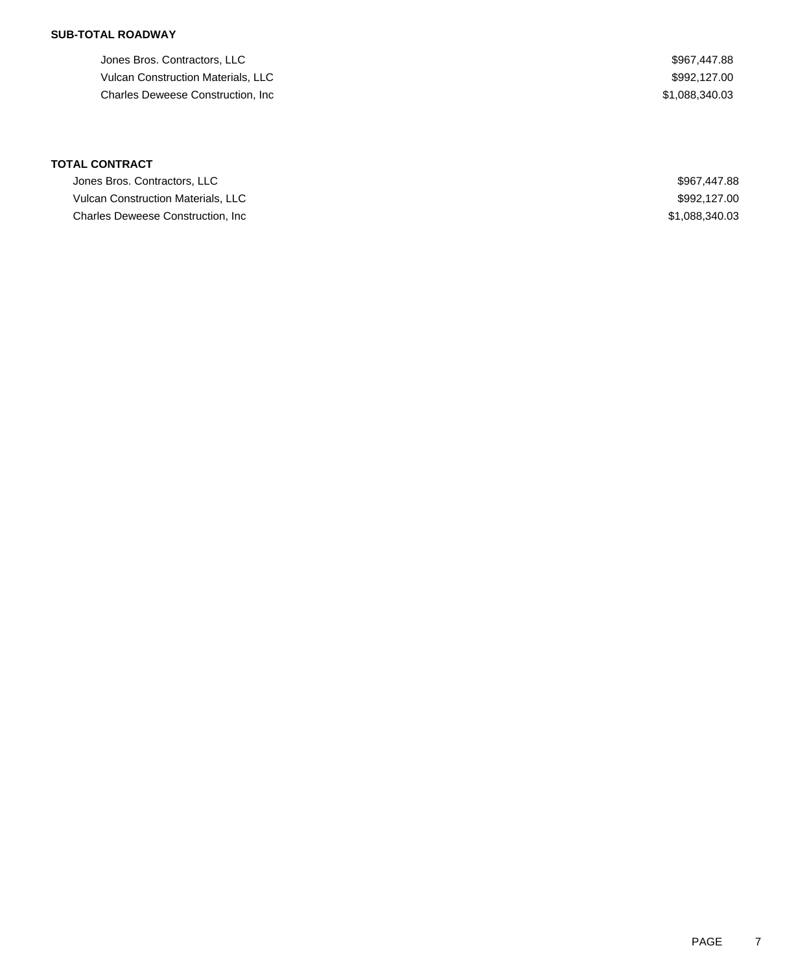### **SUB-TOTAL ROADWAY**

Jones Bros. Contractors, LLC \$967,447.88 Vulcan Construction Materials, LLC  $$992,127.00$ Charles Deweese Construction, Inc **6.6 and 7.088,340.03** \$1,088,340.03

| Jones Bros. Contractors, LLC              | \$967,447.88   |
|-------------------------------------------|----------------|
| <b>Vulcan Construction Materials, LLC</b> | \$992,127.00   |
| Charles Deweese Construction, Inc.        | \$1,088,340.03 |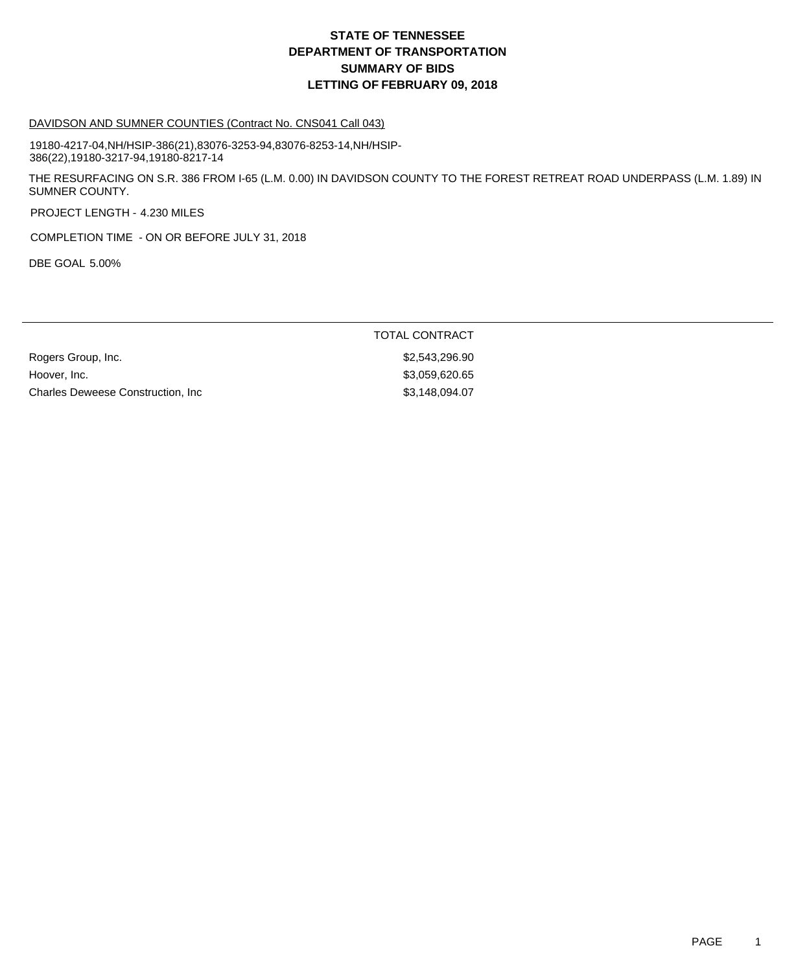#### DAVIDSON AND SUMNER COUNTIES (Contract No. CNS041 Call 043)

19180-4217-04,NH/HSIP-386(21),83076-3253-94,83076-8253-14,NH/HSIP-386(22),19180-3217-94,19180-8217-14

THE RESURFACING ON S.R. 386 FROM I-65 (L.M. 0.00) IN DAVIDSON COUNTY TO THE FOREST RETREAT ROAD UNDERPASS (L.M. 1.89) IN SUMNER COUNTY.

PROJECT LENGTH - 4.230 MILES

COMPLETION TIME - ON OR BEFORE JULY 31, 2018

DBE GOAL 5.00%

#### TOTAL CONTRACT

Rogers Group, Inc. 6. 2008. The State of the State of the State of State of State of State of State of State o Hoover, Inc. 63,059,620.65 Charles Deweese Construction, Inc 63,148,094.07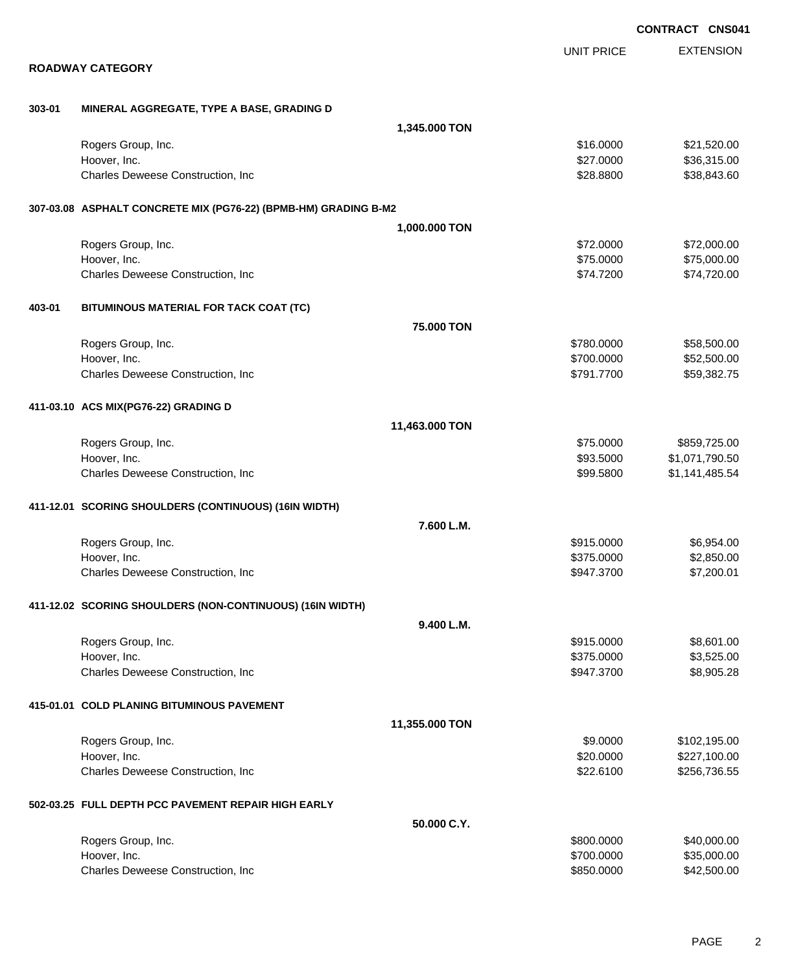|        |                                                                 |                |                          | <b>CONTRACT CNS041</b>   |
|--------|-----------------------------------------------------------------|----------------|--------------------------|--------------------------|
|        |                                                                 |                | <b>UNIT PRICE</b>        | <b>EXTENSION</b>         |
|        | <b>ROADWAY CATEGORY</b>                                         |                |                          |                          |
| 303-01 | MINERAL AGGREGATE, TYPE A BASE, GRADING D                       |                |                          |                          |
|        |                                                                 | 1,345.000 TON  |                          |                          |
|        | Rogers Group, Inc.                                              |                | \$16.0000                | \$21,520.00              |
|        | Hoover, Inc.                                                    |                | \$27.0000                | \$36,315.00              |
|        | Charles Deweese Construction, Inc                               |                | \$28.8800                | \$38,843.60              |
|        | 307-03.08 ASPHALT CONCRETE MIX (PG76-22) (BPMB-HM) GRADING B-M2 |                |                          |                          |
|        |                                                                 | 1,000.000 TON  |                          |                          |
|        | Rogers Group, Inc.                                              |                | \$72.0000                | \$72,000.00              |
|        | Hoover, Inc.                                                    |                | \$75.0000                | \$75,000.00              |
|        | Charles Deweese Construction, Inc                               |                | \$74.7200                | \$74,720.00              |
| 403-01 | BITUMINOUS MATERIAL FOR TACK COAT (TC)                          |                |                          |                          |
|        |                                                                 | 75.000 TON     |                          |                          |
|        | Rogers Group, Inc.                                              |                | \$780.0000               | \$58,500.00              |
|        | Hoover, Inc.                                                    |                | \$700.0000               | \$52,500.00              |
|        | Charles Deweese Construction, Inc                               |                | \$791.7700               | \$59,382.75              |
|        | 411-03.10 ACS MIX(PG76-22) GRADING D                            |                |                          |                          |
|        |                                                                 | 11,463.000 TON |                          |                          |
|        | Rogers Group, Inc.                                              |                | \$75.0000                | \$859,725.00             |
|        | Hoover, Inc.                                                    |                | \$93.5000                | \$1,071,790.50           |
|        | Charles Deweese Construction, Inc                               |                | \$99.5800                | \$1,141,485.54           |
|        | 411-12.01 SCORING SHOULDERS (CONTINUOUS) (16IN WIDTH)           |                |                          |                          |
|        |                                                                 | 7.600 L.M.     |                          |                          |
|        | Rogers Group, Inc.                                              |                | \$915.0000               | \$6,954.00               |
|        | Hoover, Inc.<br>Charles Deweese Construction, Inc               |                | \$375.0000<br>\$947.3700 | \$2,850.00<br>\$7,200.01 |
|        |                                                                 |                |                          |                          |
|        | 411-12.02 SCORING SHOULDERS (NON-CONTINUOUS) (16IN WIDTH)       |                |                          |                          |
|        |                                                                 | 9.400 L.M.     |                          |                          |
|        | Rogers Group, Inc.                                              |                | \$915.0000               | \$8,601.00               |
|        | Hoover, Inc.<br>Charles Deweese Construction, Inc               |                | \$375.0000<br>\$947.3700 | \$3,525.00<br>\$8,905.28 |
|        |                                                                 |                |                          |                          |
|        | 415-01.01 COLD PLANING BITUMINOUS PAVEMENT                      |                |                          |                          |
|        |                                                                 | 11,355.000 TON |                          |                          |
|        | Rogers Group, Inc.                                              |                | \$9.0000                 | \$102,195.00             |
|        | Hoover, Inc.                                                    |                | \$20.0000                | \$227,100.00             |
|        | Charles Deweese Construction, Inc                               |                | \$22.6100                | \$256,736.55             |
|        | 502-03.25 FULL DEPTH PCC PAVEMENT REPAIR HIGH EARLY             |                |                          |                          |
|        |                                                                 | 50.000 C.Y.    |                          |                          |
|        | Rogers Group, Inc.                                              |                | \$800.0000               | \$40,000.00              |
|        | Hoover, Inc.                                                    |                | \$700.0000               | \$35,000.00              |
|        | Charles Deweese Construction, Inc                               |                | \$850.0000               | \$42,500.00              |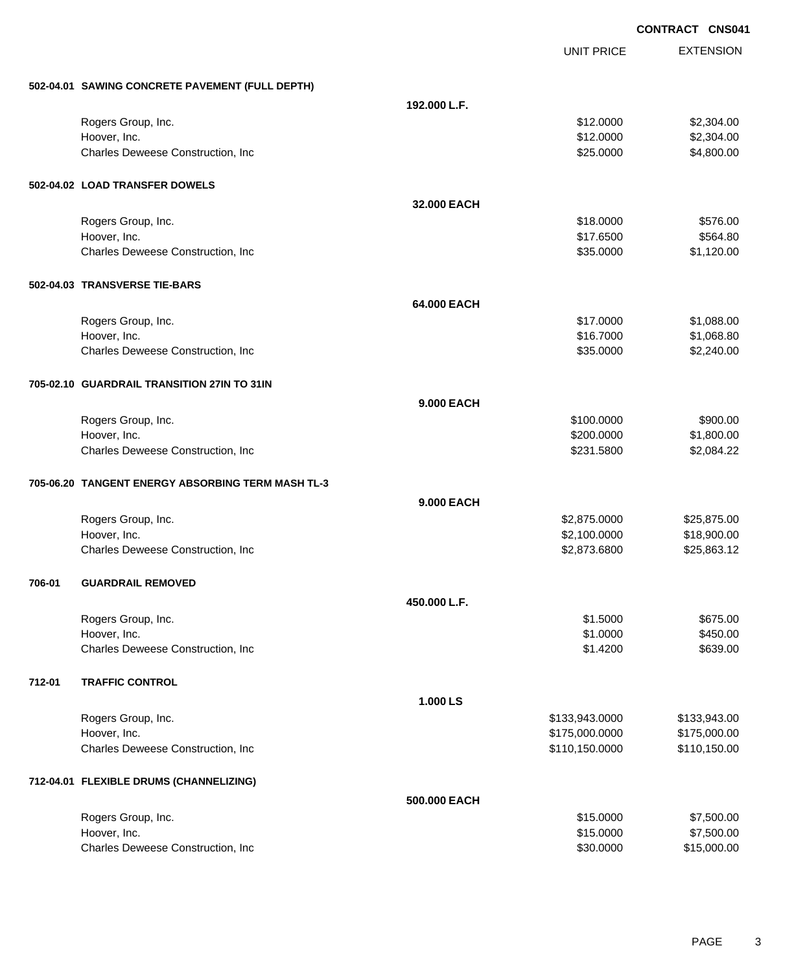|        |                                                   |                   |                   | <b>CONTRACT CNS041</b> |
|--------|---------------------------------------------------|-------------------|-------------------|------------------------|
|        |                                                   |                   | <b>UNIT PRICE</b> | <b>EXTENSION</b>       |
|        | 502-04.01 SAWING CONCRETE PAVEMENT (FULL DEPTH)   |                   |                   |                        |
|        |                                                   | 192.000 L.F.      |                   |                        |
|        | Rogers Group, Inc.                                |                   | \$12.0000         | \$2,304.00             |
|        | Hoover, Inc.                                      |                   | \$12.0000         | \$2,304.00             |
|        | Charles Deweese Construction, Inc                 |                   | \$25.0000         | \$4,800.00             |
|        | 502-04.02 LOAD TRANSFER DOWELS                    |                   |                   |                        |
|        |                                                   | 32.000 EACH       |                   |                        |
|        | Rogers Group, Inc.                                |                   | \$18.0000         | \$576.00               |
|        | Hoover, Inc.                                      |                   | \$17.6500         | \$564.80               |
|        | Charles Deweese Construction, Inc                 |                   | \$35.0000         | \$1,120.00             |
|        | 502-04.03 TRANSVERSE TIE-BARS                     |                   |                   |                        |
|        |                                                   | 64.000 EACH       |                   |                        |
|        | Rogers Group, Inc.                                |                   | \$17.0000         | \$1,088.00             |
|        | Hoover, Inc.                                      |                   | \$16.7000         | \$1,068.80             |
|        | Charles Deweese Construction, Inc                 |                   | \$35.0000         | \$2,240.00             |
|        | 705-02.10 GUARDRAIL TRANSITION 27IN TO 31IN       |                   |                   |                        |
|        |                                                   | <b>9.000 EACH</b> |                   |                        |
|        | Rogers Group, Inc.                                |                   | \$100.0000        | \$900.00               |
|        | Hoover, Inc.                                      |                   | \$200.0000        | \$1,800.00             |
|        | Charles Deweese Construction, Inc                 |                   | \$231.5800        | \$2,084.22             |
|        | 705-06.20 TANGENT ENERGY ABSORBING TERM MASH TL-3 |                   |                   |                        |
|        |                                                   | <b>9.000 EACH</b> |                   |                        |
|        | Rogers Group, Inc.                                |                   | \$2,875.0000      | \$25,875.00            |
|        | Hoover, Inc.                                      |                   | \$2,100.0000      | \$18,900.00            |
|        | Charles Deweese Construction, Inc                 |                   | \$2,873.6800      | \$25,863.12            |
| 706-01 | <b>GUARDRAIL REMOVED</b>                          |                   |                   |                        |
|        |                                                   | 450.000 L.F.      |                   |                        |
|        | Rogers Group, Inc.                                |                   | \$1.5000          | \$675.00               |
|        | Hoover, Inc.                                      |                   | \$1.0000          | \$450.00               |
|        | Charles Deweese Construction, Inc.                |                   | \$1.4200          | \$639.00               |
| 712-01 | <b>TRAFFIC CONTROL</b>                            |                   |                   |                        |
|        |                                                   | 1.000 LS          |                   |                        |
|        | Rogers Group, Inc.                                |                   | \$133,943.0000    | \$133,943.00           |
|        | Hoover, Inc.                                      |                   | \$175,000.0000    | \$175,000.00           |
|        | Charles Deweese Construction, Inc                 |                   | \$110,150.0000    | \$110,150.00           |
|        | 712-04.01 FLEXIBLE DRUMS (CHANNELIZING)           |                   |                   |                        |
|        |                                                   | 500.000 EACH      |                   |                        |
|        | Rogers Group, Inc.                                |                   | \$15.0000         | \$7,500.00             |
|        | Hoover, Inc.                                      |                   | \$15.0000         | \$7,500.00             |
|        | Charles Deweese Construction, Inc                 |                   | \$30.0000         | \$15,000.00            |

PAGE 3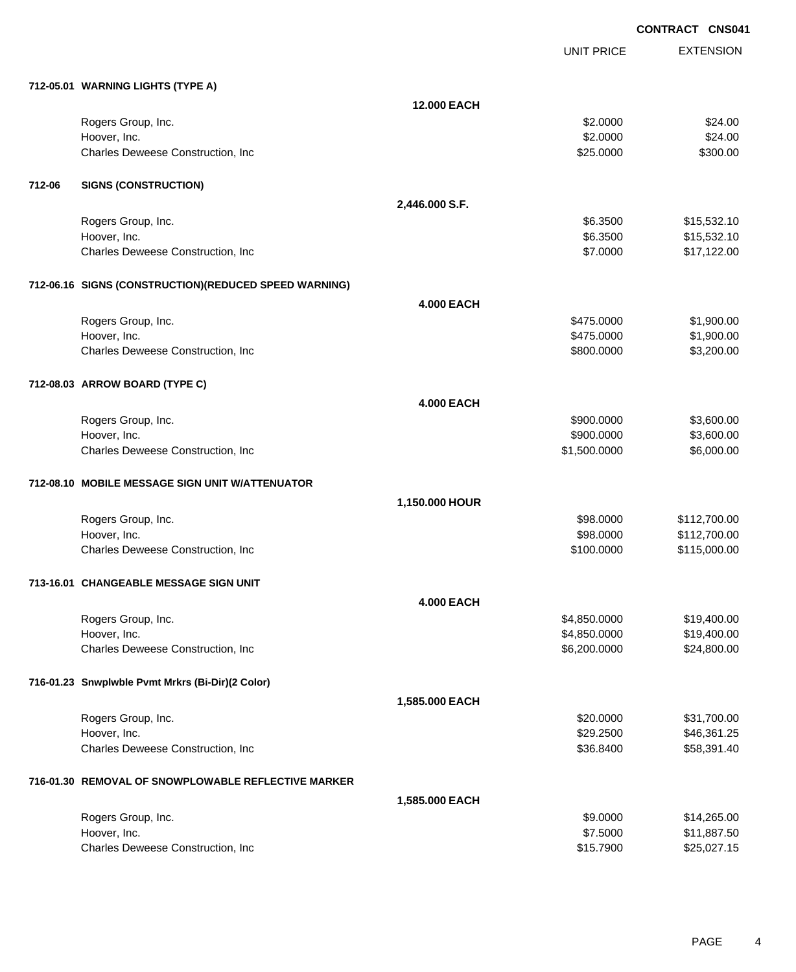|        |                                                       |                    |                   | <b>CONTRACT CNS041</b> |
|--------|-------------------------------------------------------|--------------------|-------------------|------------------------|
|        |                                                       |                    | <b>UNIT PRICE</b> | <b>EXTENSION</b>       |
|        | 712-05.01 WARNING LIGHTS (TYPE A)                     |                    |                   |                        |
|        |                                                       | <b>12,000 EACH</b> |                   |                        |
|        | Rogers Group, Inc.                                    |                    | \$2.0000          | \$24.00                |
|        | Hoover, Inc.                                          |                    | \$2.0000          | \$24.00                |
|        | Charles Deweese Construction, Inc                     |                    | \$25.0000         | \$300.00               |
| 712-06 | <b>SIGNS (CONSTRUCTION)</b>                           |                    |                   |                        |
|        |                                                       | 2,446.000 S.F.     |                   |                        |
|        | Rogers Group, Inc.                                    |                    | \$6.3500          | \$15,532.10            |
|        | Hoover, Inc.                                          |                    | \$6.3500          | \$15,532.10            |
|        | Charles Deweese Construction, Inc                     |                    | \$7.0000          | \$17,122.00            |
|        | 712-06.16 SIGNS (CONSTRUCTION)(REDUCED SPEED WARNING) |                    |                   |                        |
|        |                                                       | <b>4.000 EACH</b>  |                   |                        |
|        | Rogers Group, Inc.                                    |                    | \$475.0000        | \$1,900.00             |
|        | Hoover, Inc.                                          |                    | \$475.0000        | \$1,900.00             |
|        | Charles Deweese Construction, Inc                     |                    | \$800.0000        | \$3,200.00             |
|        | 712-08.03 ARROW BOARD (TYPE C)                        |                    |                   |                        |
|        |                                                       | <b>4.000 EACH</b>  |                   |                        |
|        | Rogers Group, Inc.                                    |                    | \$900.0000        | \$3,600.00             |
|        | Hoover, Inc.                                          |                    | \$900.0000        | \$3,600.00             |
|        | Charles Deweese Construction, Inc                     |                    | \$1,500.0000      | \$6,000.00             |
|        | 712-08.10 MOBILE MESSAGE SIGN UNIT W/ATTENUATOR       |                    |                   |                        |
|        |                                                       | 1,150.000 HOUR     |                   |                        |
|        | Rogers Group, Inc.                                    |                    | \$98.0000         | \$112,700.00           |
|        | Hoover, Inc.                                          |                    | \$98.0000         | \$112,700.00           |
|        | Charles Deweese Construction, Inc                     |                    | \$100.0000        | \$115,000.00           |
|        | 713-16.01 CHANGEABLE MESSAGE SIGN UNIT                |                    |                   |                        |
|        |                                                       | <b>4.000 EACH</b>  |                   |                        |
|        | Rogers Group, Inc.                                    |                    | \$4,850.0000      | \$19,400.00            |
|        | Hoover, Inc.                                          |                    | \$4,850.0000      | \$19,400.00            |
|        | Charles Deweese Construction, Inc                     |                    | \$6,200.0000      | \$24,800.00            |
|        | 716-01.23 Snwplwble Pvmt Mrkrs (Bi-Dir)(2 Color)      |                    |                   |                        |
|        |                                                       | 1,585.000 EACH     |                   |                        |
|        | Rogers Group, Inc.                                    |                    | \$20.0000         | \$31,700.00            |
|        | Hoover, Inc.                                          |                    | \$29.2500         | \$46,361.25            |
|        | Charles Deweese Construction, Inc                     |                    | \$36.8400         | \$58,391.40            |
|        | 716-01.30 REMOVAL OF SNOWPLOWABLE REFLECTIVE MARKER   |                    |                   |                        |
|        |                                                       | 1,585.000 EACH     |                   |                        |
|        | Rogers Group, Inc.                                    |                    | \$9.0000          | \$14,265.00            |
|        | Hoover, Inc.                                          |                    | \$7.5000          | \$11,887.50            |
|        | Charles Deweese Construction, Inc                     |                    | \$15.7900         | \$25,027.15            |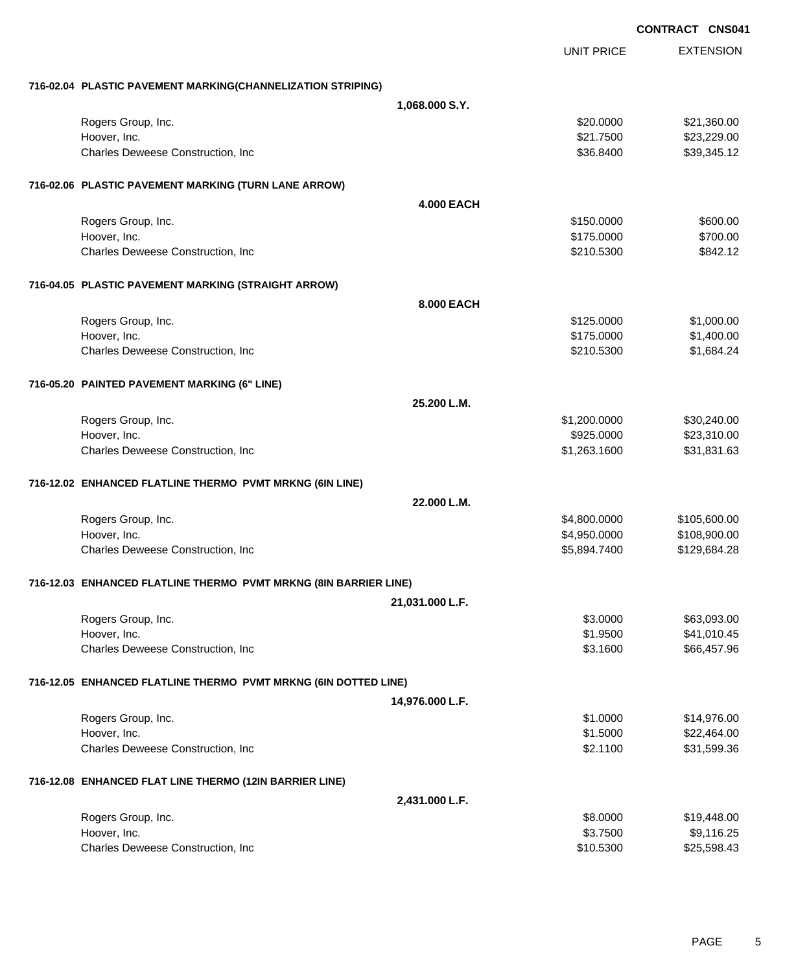|                                                                  |                   | <b>CONTRACT CNSU4</b> |
|------------------------------------------------------------------|-------------------|-----------------------|
|                                                                  | <b>UNIT PRICE</b> | <b>EXTENSION</b>      |
| 716-02.04 PLASTIC PAVEMENT MARKING(CHANNELIZATION STRIPING)      |                   |                       |
| 1,068.000 S.Y.                                                   |                   |                       |
| Rogers Group, Inc.                                               | \$20.0000         | \$21,360.00           |
| Hoover, Inc.                                                     | \$21.7500         | \$23,229.00           |
| Charles Deweese Construction, Inc                                | \$36.8400         | \$39,345.12           |
| 716-02.06 PLASTIC PAVEMENT MARKING (TURN LANE ARROW)             |                   |                       |
|                                                                  | <b>4.000 EACH</b> |                       |
| Rogers Group, Inc.                                               | \$150.0000        | \$600.00              |
| Hoover, Inc.                                                     | \$175.0000        | \$700.00              |
| Charles Deweese Construction, Inc                                | \$210.5300        | \$842.12              |
| 716-04.05 PLASTIC PAVEMENT MARKING (STRAIGHT ARROW)              |                   |                       |
|                                                                  | 8.000 EACH        |                       |
| Rogers Group, Inc.                                               | \$125.0000        | \$1,000.00            |
| Hoover, Inc.                                                     | \$175.0000        | \$1,400.00            |
| Charles Deweese Construction, Inc                                | \$210.5300        | \$1,684.24            |
| 716-05.20 PAINTED PAVEMENT MARKING (6" LINE)                     |                   |                       |
|                                                                  | 25.200 L.M.       |                       |
| Rogers Group, Inc.                                               | \$1,200.0000      | \$30,240.00           |
| Hoover, Inc.                                                     | \$925.0000        | \$23,310.00           |
| Charles Deweese Construction, Inc                                | \$1,263.1600      | \$31,831.63           |
| 716-12.02 ENHANCED FLATLINE THERMO PVMT MRKNG (6IN LINE)         |                   |                       |
|                                                                  | 22.000 L.M.       |                       |
| Rogers Group, Inc.                                               | \$4,800.0000      | \$105,600.00          |
| Hoover, Inc.                                                     | \$4,950.0000      | \$108,900.00          |
| Charles Deweese Construction, Inc                                | \$5,894.7400      | \$129,684.28          |
| 716-12.03 ENHANCED FLATLINE THERMO PVMT MRKNG (8IN BARRIER LINE) |                   |                       |
| 21,031.000 L.F.                                                  |                   |                       |
| Rogers Group, Inc.                                               | \$3.0000          | \$63,093.00           |
| Hoover, Inc.                                                     | \$1.9500          | \$41,010.45           |
| Charles Deweese Construction, Inc                                | \$3.1600          | \$66,457.96           |
| 716-12.05 ENHANCED FLATLINE THERMO PVMT MRKNG (6IN DOTTED LINE)  |                   |                       |
| 14,976.000 L.F.                                                  |                   |                       |
| Rogers Group, Inc.                                               | \$1.0000          | \$14,976.00           |
| Hoover, Inc.                                                     | \$1.5000          | \$22,464.00           |
| Charles Deweese Construction, Inc                                | \$2.1100          | \$31,599.36           |
| 716-12.08 ENHANCED FLAT LINE THERMO (12IN BARRIER LINE)          |                   |                       |
| 2,431.000 L.F.                                                   |                   |                       |
| Rogers Group, Inc.                                               | \$8.0000          | \$19,448.00           |
| Hoover, Inc.                                                     | \$3.7500          | \$9,116.25            |
| Charles Deweese Construction, Inc                                | \$10.5300         | \$25,598.43           |

# **CONTRACT CNS041**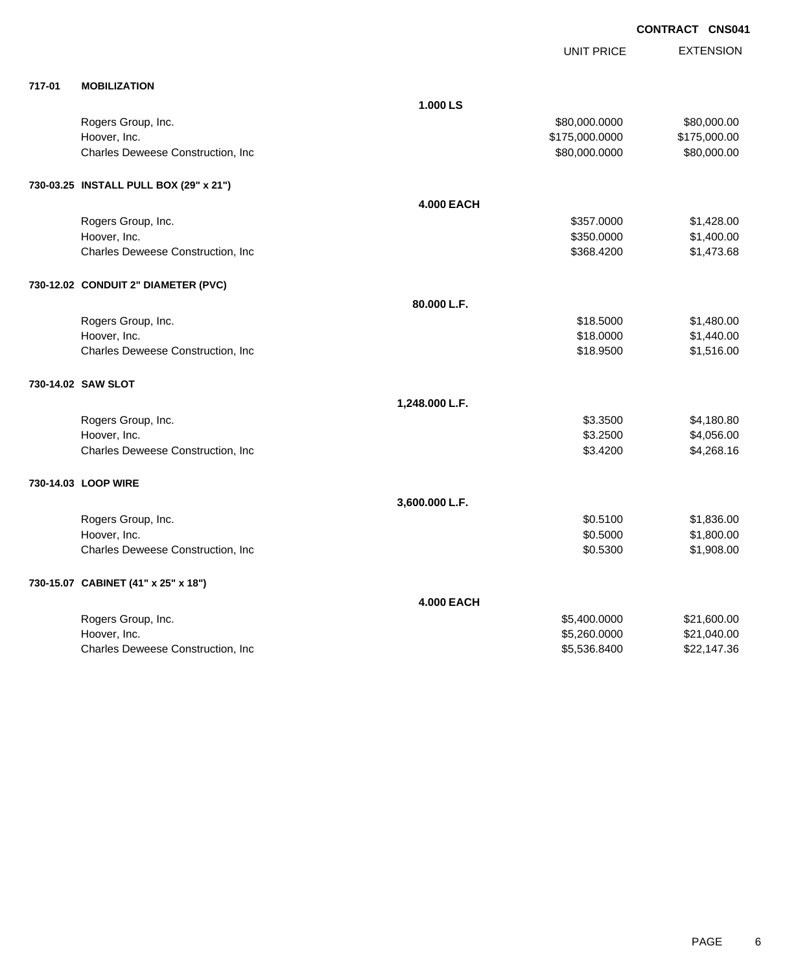**CONTRACT CNS041**

|        |                                        |                   |                   | ייטייי           |
|--------|----------------------------------------|-------------------|-------------------|------------------|
|        |                                        |                   | <b>UNIT PRICE</b> | <b>EXTENSION</b> |
| 717-01 | <b>MOBILIZATION</b>                    |                   |                   |                  |
|        |                                        | 1.000 LS          |                   |                  |
|        | Rogers Group, Inc.                     |                   | \$80,000.0000     | \$80,000.00      |
|        | Hoover, Inc.                           |                   | \$175,000.0000    | \$175,000.00     |
|        | Charles Deweese Construction, Inc      |                   | \$80,000.0000     | \$80,000.00      |
|        | 730-03.25 INSTALL PULL BOX (29" x 21") |                   |                   |                  |
|        |                                        | <b>4.000 EACH</b> |                   |                  |
|        | Rogers Group, Inc.                     |                   | \$357.0000        | \$1,428.00       |
|        | Hoover, Inc.                           |                   | \$350.0000        | \$1,400.00       |
|        | Charles Deweese Construction, Inc      |                   | \$368.4200        | \$1,473.68       |
|        | 730-12.02 CONDUIT 2" DIAMETER (PVC)    |                   |                   |                  |
|        |                                        | 80.000 L.F.       |                   |                  |
|        | Rogers Group, Inc.                     |                   | \$18.5000         | \$1,480.00       |
|        | Hoover, Inc.                           |                   | \$18.0000         | \$1,440.00       |
|        | Charles Deweese Construction, Inc      |                   | \$18.9500         | \$1,516.00       |
|        | 730-14.02 SAW SLOT                     |                   |                   |                  |
|        |                                        | 1,248.000 L.F.    |                   |                  |
|        | Rogers Group, Inc.                     |                   | \$3.3500          | \$4,180.80       |
|        | Hoover, Inc.                           |                   | \$3.2500          | \$4,056.00       |
|        | Charles Deweese Construction, Inc      |                   | \$3.4200          | \$4,268.16       |
|        | 730-14.03 LOOP WIRE                    |                   |                   |                  |
|        |                                        | 3,600.000 L.F.    |                   |                  |
|        | Rogers Group, Inc.                     |                   | \$0.5100          | \$1,836.00       |
|        | Hoover, Inc.                           |                   | \$0.5000          | \$1,800.00       |
|        | Charles Deweese Construction, Inc      |                   | \$0.5300          | \$1,908.00       |
|        | 730-15.07 CABINET (41" x 25" x 18")    |                   |                   |                  |
|        |                                        | <b>4.000 EACH</b> |                   |                  |
|        | Rogers Group, Inc.                     |                   | \$5,400.0000      | \$21,600.00      |
|        | Hoover, Inc.                           |                   | \$5,260.0000      | \$21,040.00      |
|        | Charles Deweese Construction, Inc      |                   | \$5,536.8400      | \$22,147.36      |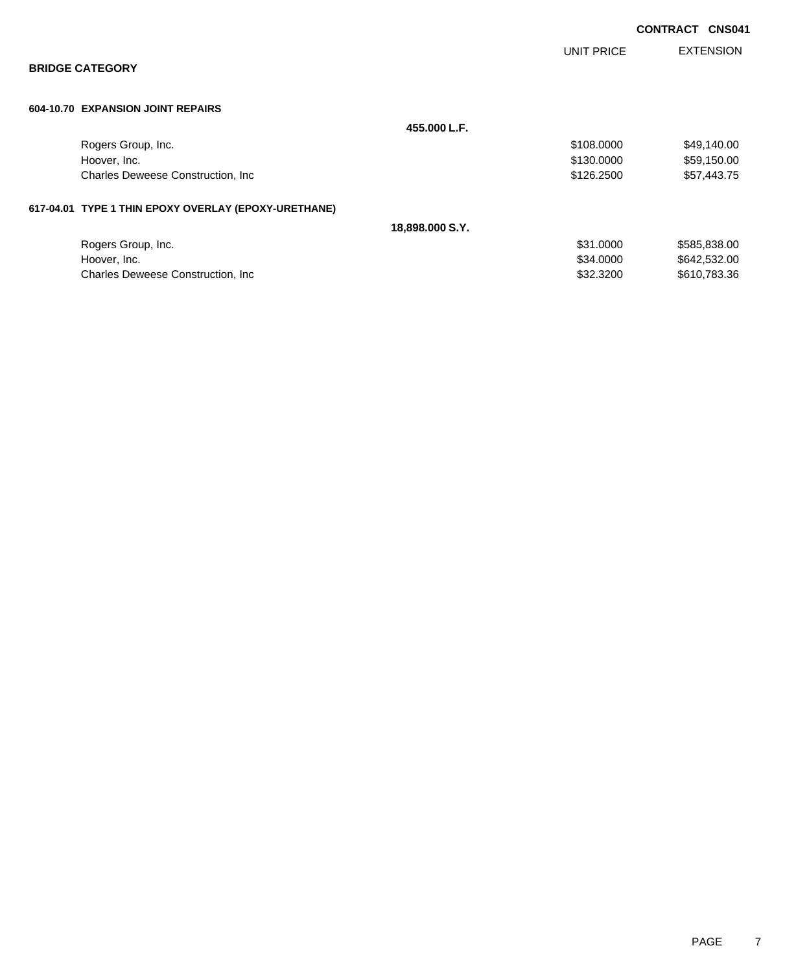|  |                                                      |                 |            | <b>CONTRACT CNS041</b> |
|--|------------------------------------------------------|-----------------|------------|------------------------|
|  |                                                      |                 | UNIT PRICE | <b>EXTENSION</b>       |
|  | <b>BRIDGE CATEGORY</b>                               |                 |            |                        |
|  | 604-10.70 EXPANSION JOINT REPAIRS                    |                 |            |                        |
|  |                                                      | 455.000 L.F.    |            |                        |
|  | Rogers Group, Inc.                                   |                 | \$108.0000 | \$49,140.00            |
|  | Hoover, Inc.                                         |                 | \$130.0000 | \$59,150.00            |
|  | Charles Deweese Construction, Inc.                   |                 | \$126.2500 | \$57,443.75            |
|  | 617-04.01 TYPE 1 THIN EPOXY OVERLAY (EPOXY-URETHANE) |                 |            |                        |
|  |                                                      | 18,898.000 S.Y. |            |                        |
|  | Rogers Group, Inc.                                   |                 | \$31.0000  | \$585,838.00           |
|  | Hoover, Inc.                                         |                 | \$34.0000  | \$642,532.00           |
|  | <b>Charles Deweese Construction, Inc.</b>            |                 | \$32.3200  | \$610,783.36           |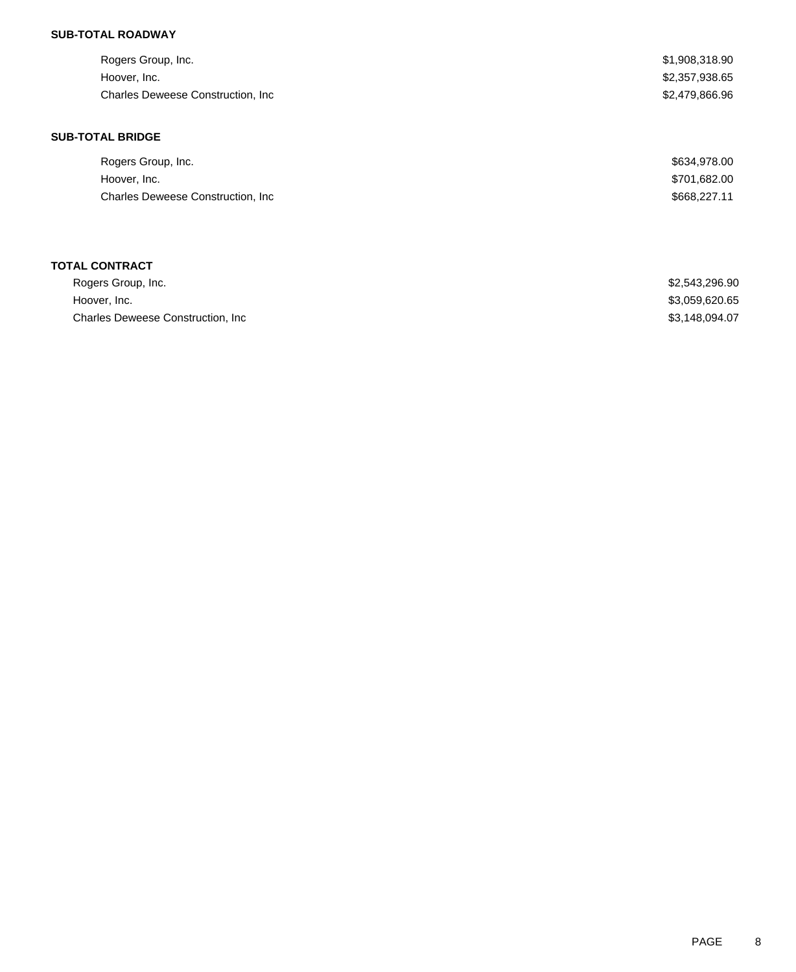### **SUB-TOTAL ROADWAY**

| Rogers Group, Inc.                        | \$1,908,318.90 |
|-------------------------------------------|----------------|
| Hoover, Inc.                              | \$2,357,938.65 |
| <b>Charles Deweese Construction, Inc.</b> | \$2,479,866.96 |
| <b>SUB-TOTAL BRIDGE</b>                   |                |
|                                           |                |
| Rogers Group, Inc.                        | \$634,978.00   |
| Hoover, Inc.                              | \$701,682.00   |

| Rogers Group, Inc.                 | \$2,543,296.90 |
|------------------------------------|----------------|
| Hoover, Inc.                       | \$3,059,620.65 |
| Charles Deweese Construction, Inc. | \$3,148,094.07 |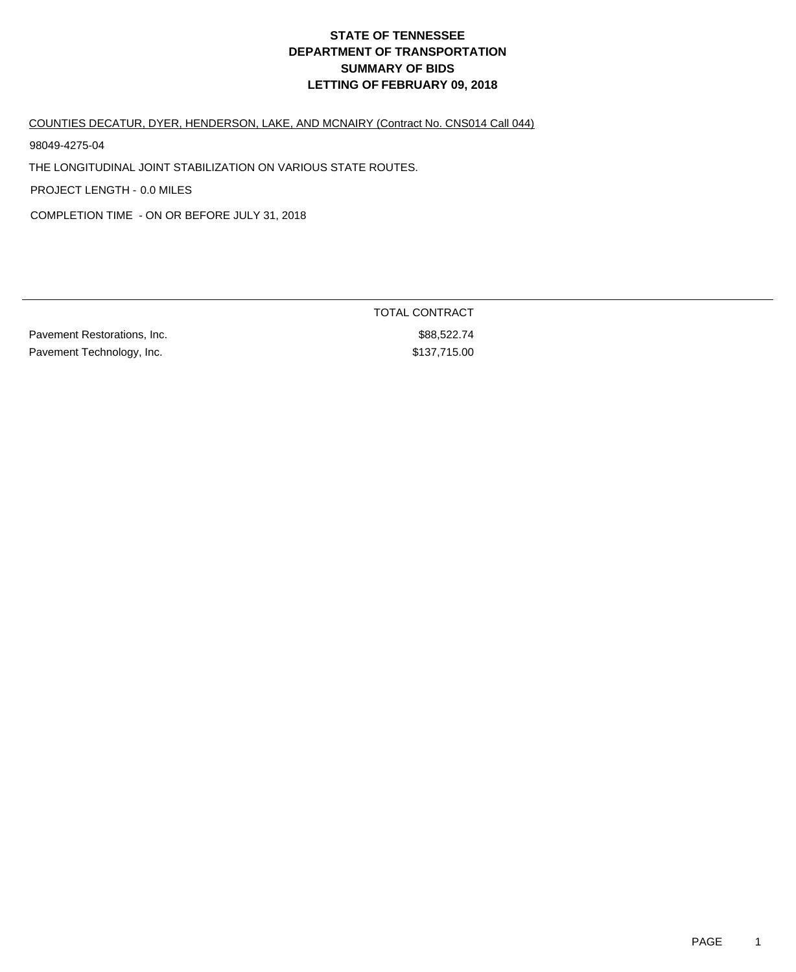COUNTIES DECATUR, DYER, HENDERSON, LAKE, AND MCNAIRY (Contract No. CNS014 Call 044)

98049-4275-04

THE LONGITUDINAL JOINT STABILIZATION ON VARIOUS STATE ROUTES.

PROJECT LENGTH - 0.0 MILES

COMPLETION TIME - ON OR BEFORE JULY 31, 2018

|                             | <b>TOTAL CONTRACT</b> |
|-----------------------------|-----------------------|
| Pavement Restorations, Inc. | \$88,522.74           |
| Pavement Technology, Inc.   | \$137,715.00          |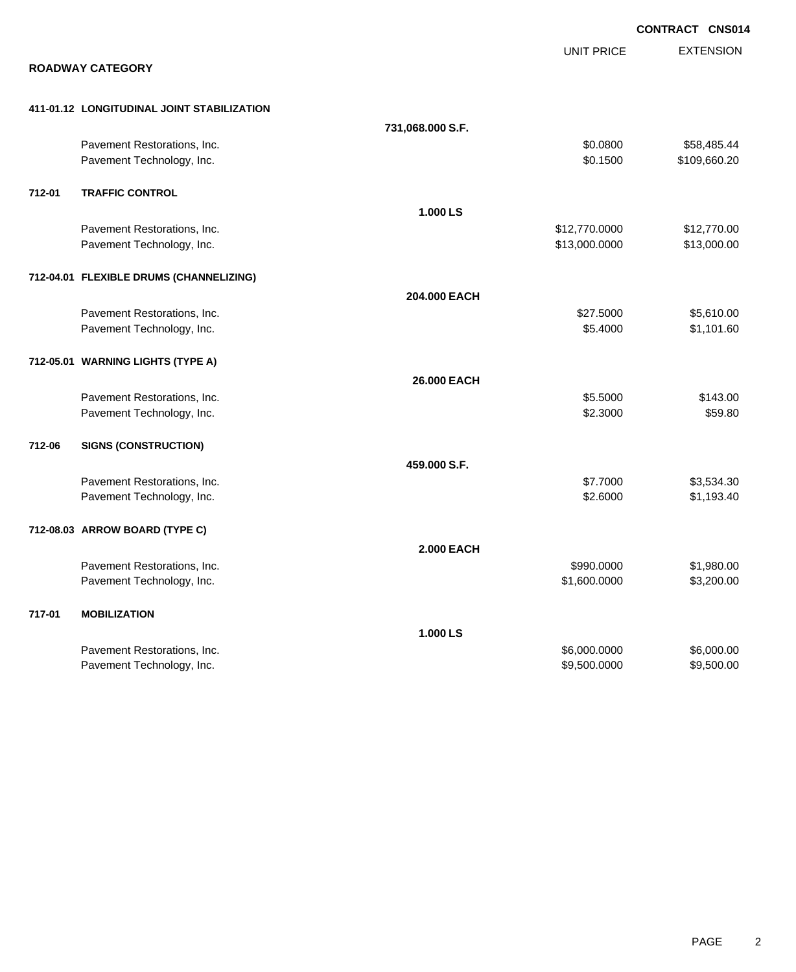|        |                                                          |                   |                      | <b>CONTRACT CNS014</b>      |
|--------|----------------------------------------------------------|-------------------|----------------------|-----------------------------|
|        |                                                          |                   | <b>UNIT PRICE</b>    | <b>EXTENSION</b>            |
|        | <b>ROADWAY CATEGORY</b>                                  |                   |                      |                             |
|        | 411-01.12 LONGITUDINAL JOINT STABILIZATION               |                   |                      |                             |
|        |                                                          | 731,068.000 S.F.  |                      |                             |
|        | Pavement Restorations, Inc.<br>Pavement Technology, Inc. |                   | \$0.0800<br>\$0.1500 | \$58,485.44<br>\$109,660.20 |
| 712-01 | <b>TRAFFIC CONTROL</b>                                   |                   |                      |                             |
|        |                                                          | 1.000 LS          |                      |                             |
|        | Pavement Restorations, Inc.                              |                   | \$12,770.0000        | \$12,770.00                 |
|        | Pavement Technology, Inc.                                |                   | \$13,000.0000        | \$13,000.00                 |
|        | 712-04.01 FLEXIBLE DRUMS (CHANNELIZING)                  |                   |                      |                             |
|        |                                                          | 204.000 EACH      |                      |                             |
|        | Pavement Restorations, Inc.                              |                   | \$27.5000            | \$5,610.00                  |
|        | Pavement Technology, Inc.                                |                   | \$5.4000             | \$1,101.60                  |
|        | 712-05.01 WARNING LIGHTS (TYPE A)                        |                   |                      |                             |
|        |                                                          | 26.000 EACH       |                      |                             |
|        | Pavement Restorations, Inc.                              |                   | \$5.5000             | \$143.00                    |
|        | Pavement Technology, Inc.                                |                   | \$2.3000             | \$59.80                     |
| 712-06 | <b>SIGNS (CONSTRUCTION)</b>                              |                   |                      |                             |
|        |                                                          | 459.000 S.F.      |                      |                             |
|        | Pavement Restorations, Inc.                              |                   | \$7.7000             | \$3,534.30                  |
|        | Pavement Technology, Inc.                                |                   | \$2.6000             | \$1,193.40                  |
|        | 712-08.03 ARROW BOARD (TYPE C)                           |                   |                      |                             |
|        |                                                          | <b>2.000 EACH</b> |                      |                             |
|        | Pavement Restorations, Inc.                              |                   | \$990.0000           | \$1,980.00                  |
|        | Pavement Technology, Inc.                                |                   | \$1,600.0000         | \$3,200.00                  |
| 717-01 | <b>MOBILIZATION</b>                                      |                   |                      |                             |
|        |                                                          | 1.000 LS          |                      |                             |
|        | Pavement Restorations, Inc.                              |                   | \$6,000.0000         | \$6,000.00                  |
|        | Pavement Technology, Inc.                                |                   | \$9,500.0000         | \$9,500.00                  |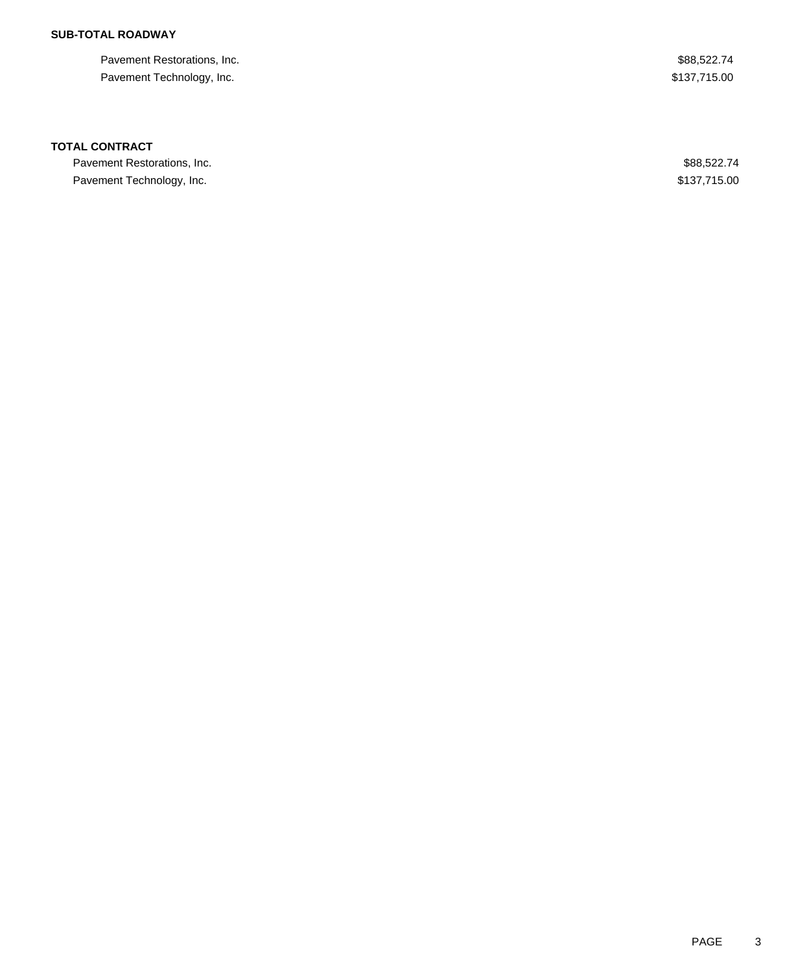### **SUB-TOTAL ROADWAY**

| Pavement Restorations, Inc. | \$88,522.74  |
|-----------------------------|--------------|
| Pavement Technology, Inc.   | \$137,715.00 |

#### **TOTAL CONTRACT**

Pavement Restorations, Inc. 688,522.74 Pavement Technology, Inc. 6. The Second Second Second Second Second Second Second Second Second Second Second Second Second Second Second Second Second Second Second Second Second Second Second Second Second Second Second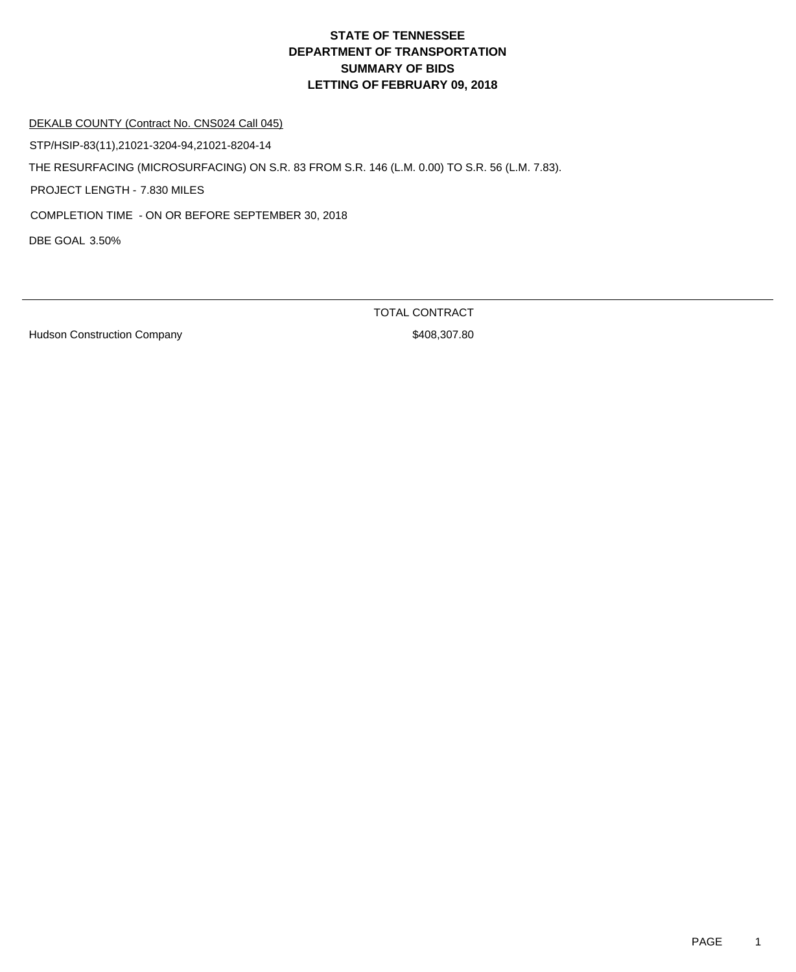DEKALB COUNTY (Contract No. CNS024 Call 045)

STP/HSIP-83(11),21021-3204-94,21021-8204-14

THE RESURFACING (MICROSURFACING) ON S.R. 83 FROM S.R. 146 (L.M. 0.00) TO S.R. 56 (L.M. 7.83).

PROJECT LENGTH - 7.830 MILES

COMPLETION TIME - ON OR BEFORE SEPTEMBER 30, 2018

DBE GOAL 3.50%

Hudson Construction Company **\$408,307.80**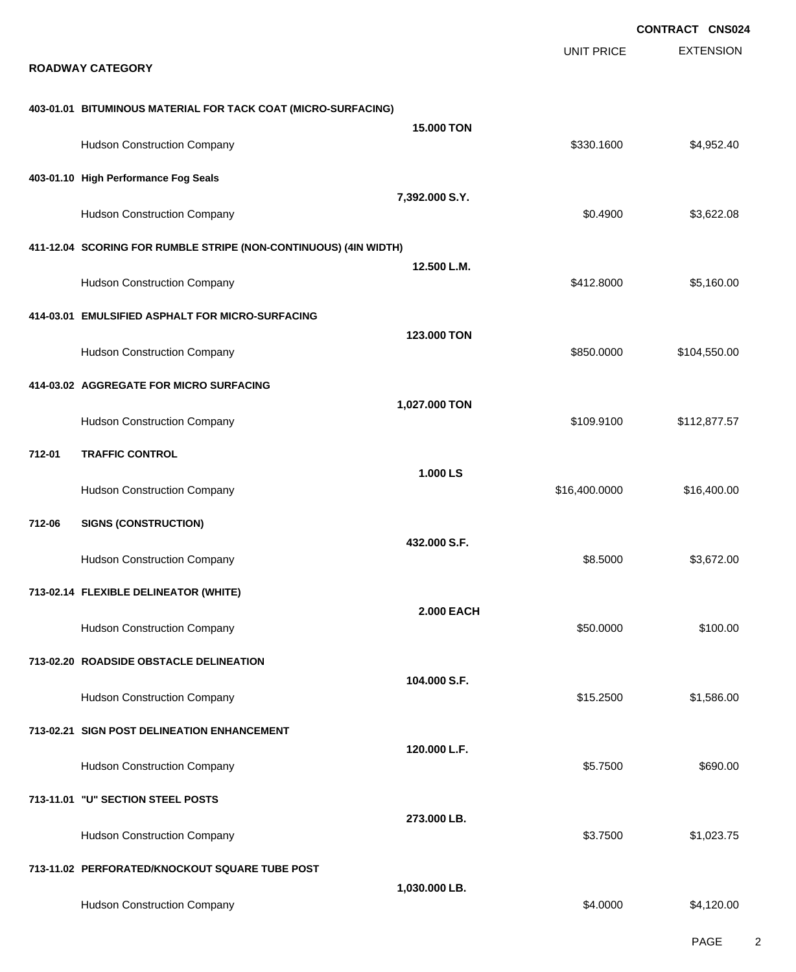|                                                                  |                   |                   | <b>CONTRACT CNS024</b> |
|------------------------------------------------------------------|-------------------|-------------------|------------------------|
| <b>ROADWAY CATEGORY</b>                                          |                   | <b>UNIT PRICE</b> | <b>EXTENSION</b>       |
| 403-01.01 BITUMINOUS MATERIAL FOR TACK COAT (MICRO-SURFACING)    |                   |                   |                        |
| <b>Hudson Construction Company</b>                               | <b>15,000 TON</b> | \$330.1600        | \$4,952.40             |
| 403-01.10 High Performance Fog Seals                             |                   |                   |                        |
| <b>Hudson Construction Company</b>                               | 7,392.000 S.Y.    | \$0.4900          | \$3,622.08             |
| 411-12.04 SCORING FOR RUMBLE STRIPE (NON-CONTINUOUS) (4IN WIDTH) |                   |                   |                        |
| <b>Hudson Construction Company</b>                               | 12.500 L.M.       | \$412.8000        | \$5,160.00             |
| 414-03.01 EMULSIFIED ASPHALT FOR MICRO-SURFACING                 |                   |                   |                        |
| <b>Hudson Construction Company</b>                               | 123.000 TON       | \$850.0000        | \$104,550.00           |
| 414-03.02 AGGREGATE FOR MICRO SURFACING                          |                   |                   |                        |
| <b>Hudson Construction Company</b>                               | 1,027.000 TON     | \$109.9100        | \$112,877.57           |
| <b>TRAFFIC CONTROL</b><br>712-01                                 |                   |                   |                        |
| <b>Hudson Construction Company</b>                               | 1.000 LS          | \$16,400.0000     | \$16,400.00            |
| 712-06<br><b>SIGNS (CONSTRUCTION)</b>                            |                   |                   |                        |
| <b>Hudson Construction Company</b>                               | 432.000 S.F.      | \$8.5000          | \$3,672.00             |
| 713-02.14 FLEXIBLE DELINEATOR (WHITE)                            |                   |                   |                        |
| <b>Hudson Construction Company</b>                               | <b>2.000 EACH</b> | \$50.0000         | \$100.00               |
| 713-02.20 ROADSIDE OBSTACLE DELINEATION                          |                   |                   |                        |
| <b>Hudson Construction Company</b>                               | 104.000 S.F.      | \$15.2500         | \$1,586.00             |
| 713-02.21 SIGN POST DELINEATION ENHANCEMENT                      |                   |                   |                        |
| <b>Hudson Construction Company</b>                               | 120.000 L.F.      | \$5.7500          | \$690.00               |
| 713-11.01 "U" SECTION STEEL POSTS                                |                   |                   |                        |
| <b>Hudson Construction Company</b>                               | 273.000 LB.       | \$3.7500          | \$1,023.75             |
| 713-11.02 PERFORATED/KNOCKOUT SQUARE TUBE POST                   |                   |                   |                        |
| <b>Hudson Construction Company</b>                               | 1,030.000 LB.     | \$4.0000          | \$4,120.00             |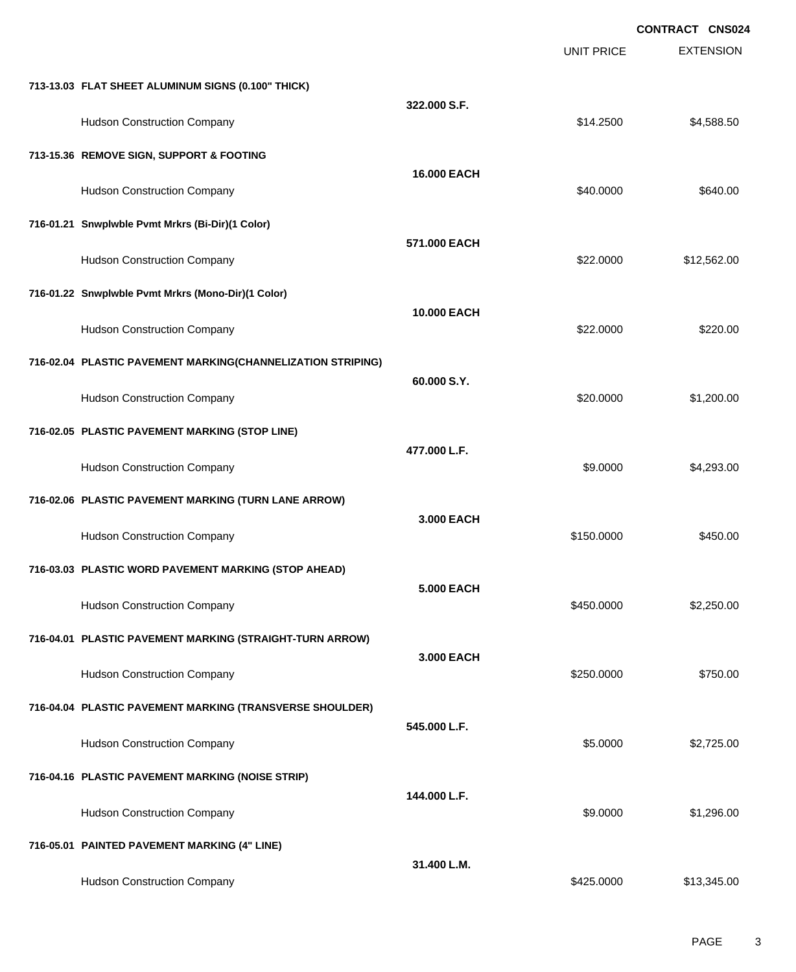|                                                             |                    |                   | <b>CONTRACT CNS024</b> |
|-------------------------------------------------------------|--------------------|-------------------|------------------------|
|                                                             |                    | <b>UNIT PRICE</b> | <b>EXTENSION</b>       |
| 713-13.03 FLAT SHEET ALUMINUM SIGNS (0.100" THICK)          |                    |                   |                        |
| <b>Hudson Construction Company</b>                          | 322.000 S.F.       | \$14.2500         | \$4,588.50             |
| 713-15.36 REMOVE SIGN, SUPPORT & FOOTING                    |                    |                   |                        |
| <b>Hudson Construction Company</b>                          | <b>16.000 EACH</b> | \$40.0000         | \$640.00               |
| 716-01.21 Snwplwble Pvmt Mrkrs (Bi-Dir)(1 Color)            |                    |                   |                        |
| <b>Hudson Construction Company</b>                          | 571,000 EACH       | \$22.0000         | \$12,562.00            |
| 716-01.22 Snwplwble Pvmt Mrkrs (Mono-Dir)(1 Color)          |                    |                   |                        |
| <b>Hudson Construction Company</b>                          | <b>10.000 EACH</b> | \$22.0000         | \$220.00               |
| 716-02.04 PLASTIC PAVEMENT MARKING(CHANNELIZATION STRIPING) |                    |                   |                        |
| <b>Hudson Construction Company</b>                          | 60.000 S.Y.        | \$20.0000         | \$1,200.00             |
| 716-02.05 PLASTIC PAVEMENT MARKING (STOP LINE)              |                    |                   |                        |
| <b>Hudson Construction Company</b>                          | 477.000 L.F.       | \$9.0000          | \$4,293.00             |
| 716-02.06 PLASTIC PAVEMENT MARKING (TURN LANE ARROW)        |                    |                   |                        |
| <b>Hudson Construction Company</b>                          | 3.000 EACH         | \$150.0000        | \$450.00               |
| 716-03.03 PLASTIC WORD PAVEMENT MARKING (STOP AHEAD)        |                    |                   |                        |
| <b>Hudson Construction Company</b>                          | <b>5.000 EACH</b>  | \$450.0000        | \$2,250.00             |
| 716-04.01 PLASTIC PAVEMENT MARKING (STRAIGHT-TURN ARROW)    |                    |                   |                        |
| <b>Hudson Construction Company</b>                          | 3.000 EACH         | \$250.0000        | \$750.00               |
| 716-04.04 PLASTIC PAVEMENT MARKING (TRANSVERSE SHOULDER)    |                    |                   |                        |
| <b>Hudson Construction Company</b>                          | 545.000 L.F.       | \$5.0000          | \$2,725.00             |
| 716-04.16 PLASTIC PAVEMENT MARKING (NOISE STRIP)            |                    |                   |                        |
| <b>Hudson Construction Company</b>                          | 144.000 L.F.       | \$9.0000          | \$1,296.00             |
| 716-05.01 PAINTED PAVEMENT MARKING (4" LINE)                |                    |                   |                        |
| <b>Hudson Construction Company</b>                          | 31.400 L.M.        | \$425.0000        | \$13,345.00            |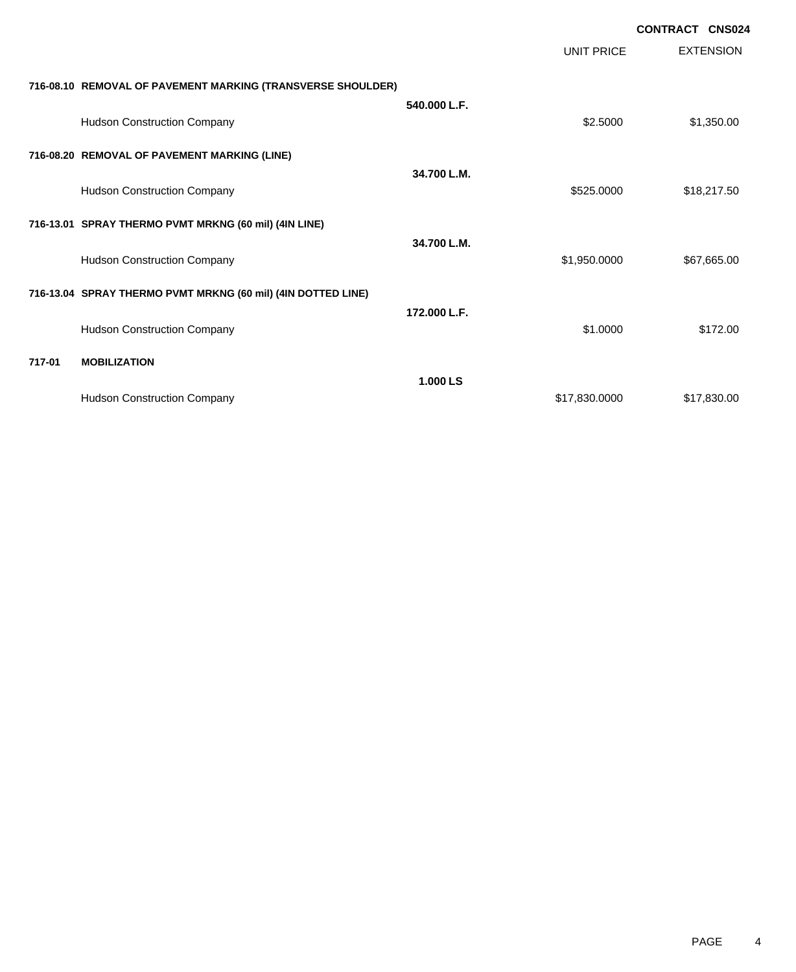|        |                                                              |              |                   | <b>CONTRACT CNS024</b> |                  |
|--------|--------------------------------------------------------------|--------------|-------------------|------------------------|------------------|
|        |                                                              |              | <b>UNIT PRICE</b> |                        | <b>EXTENSION</b> |
|        | 716-08.10 REMOVAL OF PAVEMENT MARKING (TRANSVERSE SHOULDER)  |              |                   |                        |                  |
|        | <b>Hudson Construction Company</b>                           | 540.000 L.F. | \$2.5000          |                        | \$1,350.00       |
|        | 716-08.20 REMOVAL OF PAVEMENT MARKING (LINE)                 |              |                   |                        |                  |
|        | <b>Hudson Construction Company</b>                           | 34.700 L.M.  | \$525.0000        |                        | \$18,217.50      |
|        | 716-13.01 SPRAY THERMO PVMT MRKNG (60 mil) (4IN LINE)        |              |                   |                        |                  |
|        | <b>Hudson Construction Company</b>                           | 34.700 L.M.  | \$1,950.0000      |                        | \$67,665.00      |
|        | 716-13.04 SPRAY THERMO PVMT MRKNG (60 mil) (4IN DOTTED LINE) |              |                   |                        |                  |
|        | <b>Hudson Construction Company</b>                           | 172.000 L.F. | \$1.0000          |                        | \$172.00         |
| 717-01 | <b>MOBILIZATION</b>                                          |              |                   |                        |                  |
|        | <b>Hudson Construction Company</b>                           | 1.000 LS     | \$17,830.0000     |                        | \$17,830.00      |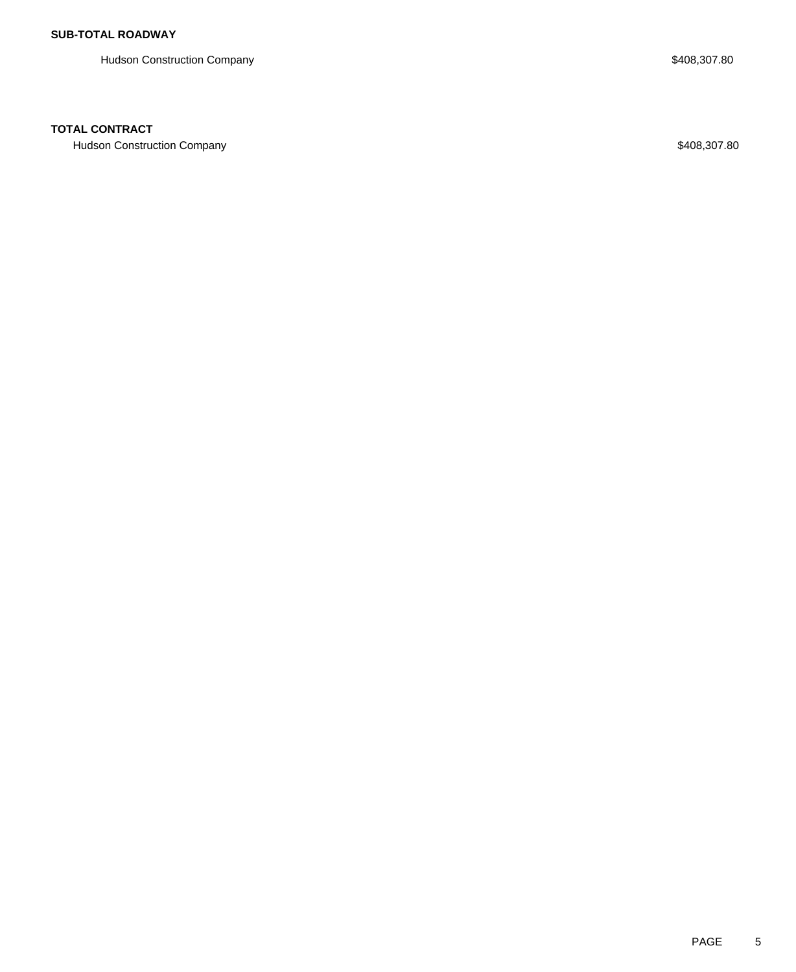Hudson Construction Company **\$408,307.80** 

### **TOTAL CONTRACT**

Hudson Construction Company **\$408,307.80**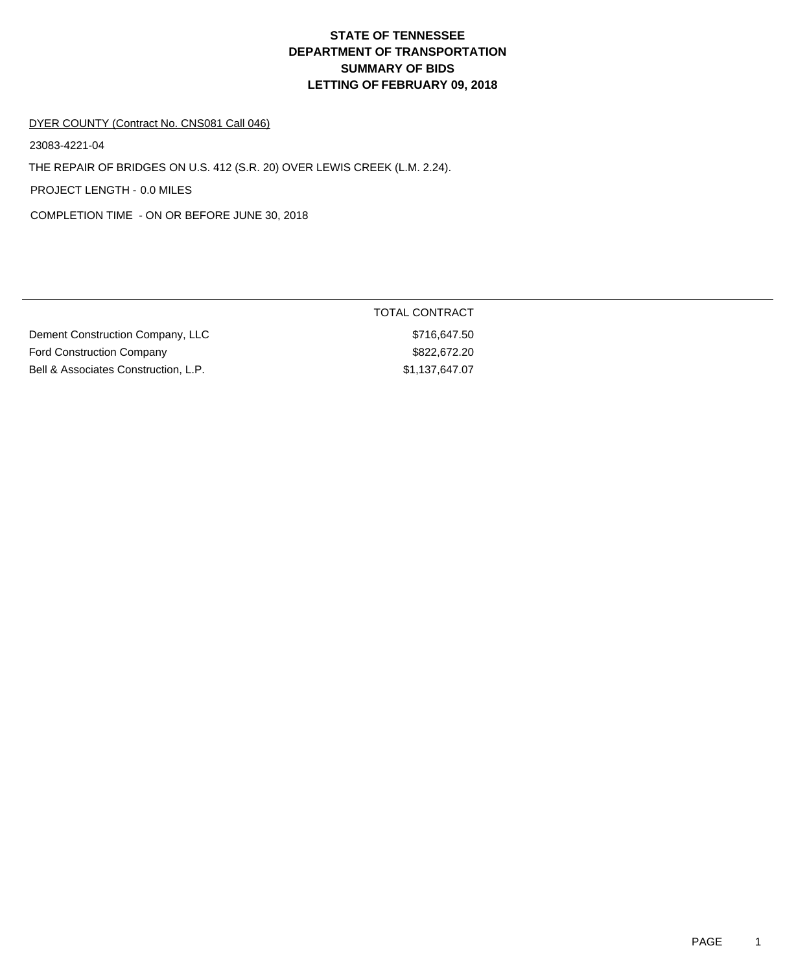#### DYER COUNTY (Contract No. CNS081 Call 046)

23083-4221-04

THE REPAIR OF BRIDGES ON U.S. 412 (S.R. 20) OVER LEWIS CREEK (L.M. 2.24).

PROJECT LENGTH - 0.0 MILES

COMPLETION TIME - ON OR BEFORE JUNE 30, 2018

|                                      | TOTAL CONTRACT |
|--------------------------------------|----------------|
| Dement Construction Company, LLC     | \$716,647.50   |
| <b>Ford Construction Company</b>     | \$822.672.20   |
| Bell & Associates Construction, L.P. | \$1,137,647.07 |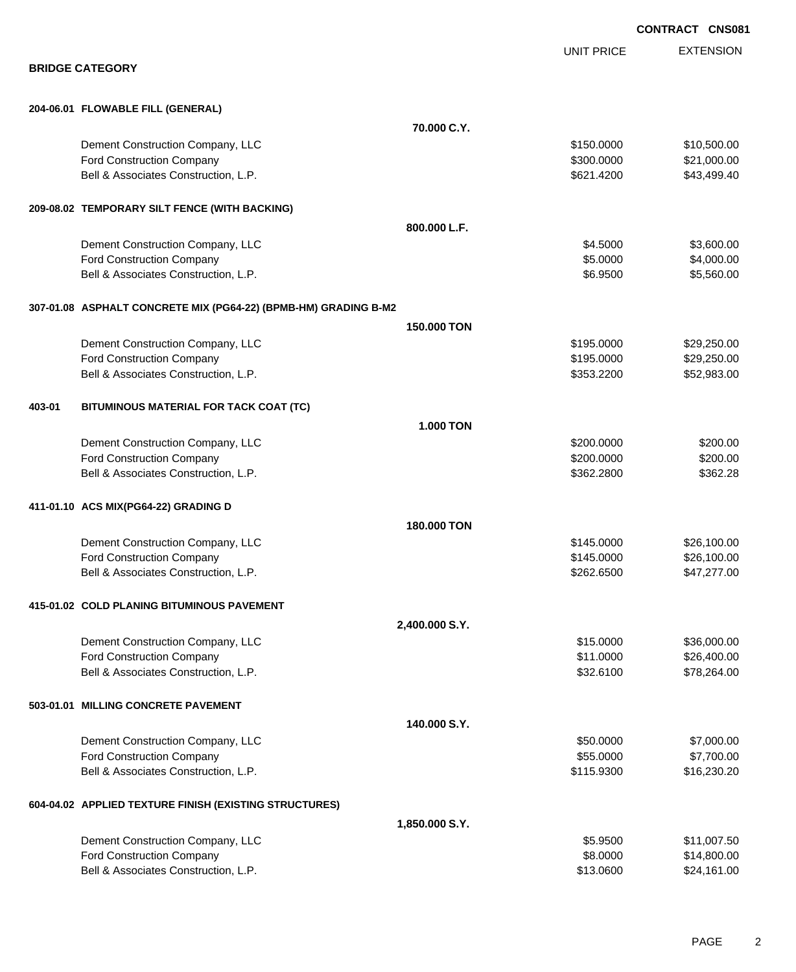|                                                                 |                   | <b>CONTRACT CNS081</b> |
|-----------------------------------------------------------------|-------------------|------------------------|
|                                                                 | <b>UNIT PRICE</b> | <b>EXTENSION</b>       |
| <b>BRIDGE CATEGORY</b>                                          |                   |                        |
| 204-06.01 FLOWABLE FILL (GENERAL)                               |                   |                        |
| 70.000 C.Y.                                                     |                   |                        |
| Dement Construction Company, LLC                                | \$150.0000        | \$10,500.00            |
| <b>Ford Construction Company</b>                                | \$300.0000        | \$21,000.00            |
| Bell & Associates Construction, L.P.                            | \$621.4200        | \$43,499.40            |
| 209-08.02 TEMPORARY SILT FENCE (WITH BACKING)                   |                   |                        |
| 800.000 L.F.                                                    |                   |                        |
| Dement Construction Company, LLC                                | \$4.5000          | \$3,600.00             |
| <b>Ford Construction Company</b>                                | \$5.0000          | \$4,000.00             |
| Bell & Associates Construction, L.P.                            | \$6.9500          | \$5,560.00             |
| 307-01.08 ASPHALT CONCRETE MIX (PG64-22) (BPMB-HM) GRADING B-M2 |                   |                        |
| 150,000 TON                                                     |                   |                        |
| Dement Construction Company, LLC                                | \$195.0000        | \$29,250.00            |
| <b>Ford Construction Company</b>                                | \$195.0000        | \$29,250.00            |
| Bell & Associates Construction, L.P.                            | \$353.2200        | \$52,983.00            |
| 403-01<br>BITUMINOUS MATERIAL FOR TACK COAT (TC)                |                   |                        |
| <b>1.000 TON</b>                                                |                   |                        |
| Dement Construction Company, LLC                                | \$200.0000        | \$200.00               |
| <b>Ford Construction Company</b>                                | \$200.0000        | \$200.00               |
| Bell & Associates Construction, L.P.                            | \$362.2800        | \$362.28               |
| 411-01.10 ACS MIX(PG64-22) GRADING D                            |                   |                        |
| 180.000 TON                                                     |                   |                        |
| Dement Construction Company, LLC                                | \$145,0000        | \$26,100.00            |
| <b>Ford Construction Company</b>                                | \$145.0000        | \$26,100.00            |
| Bell & Associates Construction, L.P.                            | \$262.6500        | \$47,277.00            |
| 415-01.02 COLD PLANING BITUMINOUS PAVEMENT                      |                   |                        |
| 2,400.000 S.Y.                                                  |                   |                        |
| Dement Construction Company, LLC                                | \$15.0000         | \$36,000.00            |
| <b>Ford Construction Company</b>                                | \$11.0000         | \$26,400.00            |
| Bell & Associates Construction, L.P.                            | \$32.6100         | \$78,264.00            |
| 503-01.01 MILLING CONCRETE PAVEMENT                             |                   |                        |
| 140.000 S.Y.                                                    |                   |                        |
| Dement Construction Company, LLC                                | \$50.0000         | \$7,000.00             |
| Ford Construction Company                                       | \$55.0000         | \$7,700.00             |
| Bell & Associates Construction, L.P.                            | \$115.9300        | \$16,230.20            |
| 604-04.02 APPLIED TEXTURE FINISH (EXISTING STRUCTURES)          |                   |                        |
| 1,850.000 S.Y.                                                  |                   |                        |
| Dement Construction Company, LLC                                | \$5.9500          | \$11,007.50            |
| <b>Ford Construction Company</b>                                | \$8.0000          | \$14,800.00            |
| Bell & Associates Construction, L.P.                            | \$13.0600         | \$24,161.00            |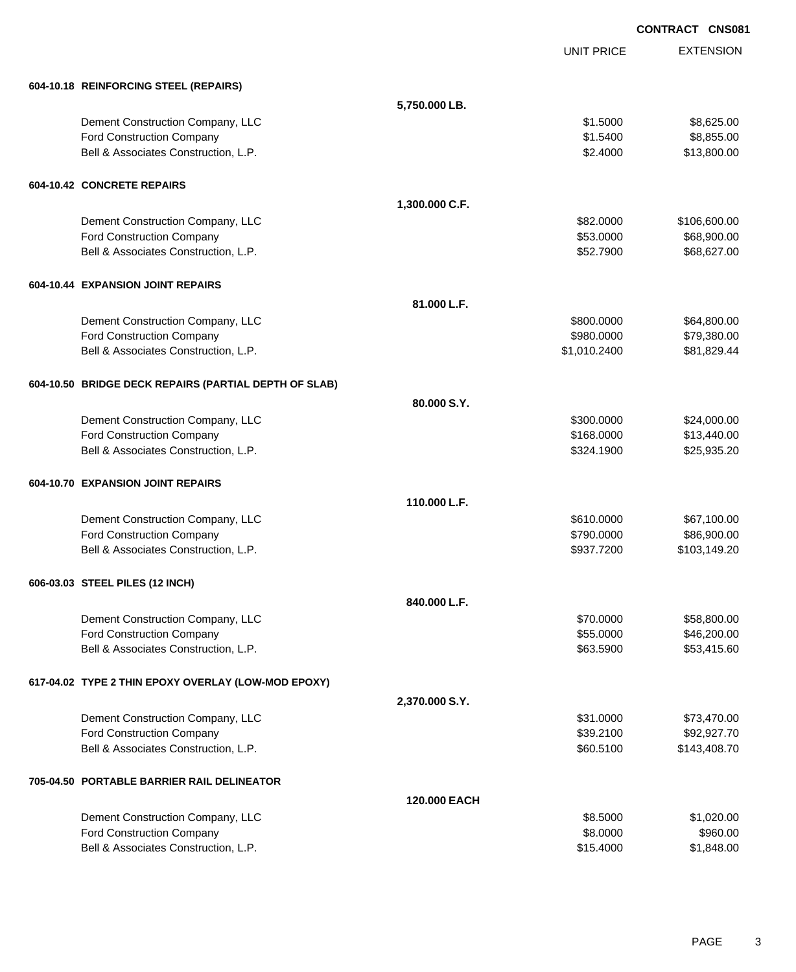EXTENSION **CONTRACT CNS081** UNIT PRICE **604-10.18 REINFORCING STEEL (REPAIRS) 5,750.000 LB.** Dement Construction Company, LLC 6.625.00 \$8,625.00 Ford Construction Company **61.5400** \$8,855.00 Bell & Associates Construction, L.P. **\$2.4000** \$13,800.00 **604-10.42 CONCRETE REPAIRS 1,300.000 C.F.** Dement Construction Company, LLC 60000 \$106,600.00 Ford Construction Company 668,900.00 \$68,900.00 \$68,900.00 \$68,900.00 \$68,900.00 Bell & Associates Construction, L.P.  $$52.7900$  \$68,627.00 **604-10.44 EXPANSION JOINT REPAIRS 81.000 L.F.** Dement Construction Company, LLC 664,800.000 \$64,800.000 \$64,800.000 \$64,800.00 Ford Construction Company 679,380.000 \$79,380.000 \$79,380.000 \$79,380.000 \$10,100 \$10,100 \$79,380.00 Bell & Associates Construction, L.P.  $$1,010.2400$   $$81,829.44$ **604-10.50 BRIDGE DECK REPAIRS (PARTIAL DEPTH OF SLAB) 80.000 S.Y.** Dement Construction Company, LLC 6 and the state of the state of the state  $$300.0000$  \$24,000.00 Ford Construction Company 613,440.00 Bell & Associates Construction, L.P. \$25,935.20 \$324.1900 \$25,935.20 **604-10.70 EXPANSION JOINT REPAIRS 110.000 L.F.** Dement Construction Company, LLC 6610.000 \$67,100.00 Ford Construction Company 686,900.00 \$86,900.00 \$86,900.00 Bell & Associates Construction, L.P. \$937.7200 \$103,149.20 **606-03.03 STEEL PILES (12 INCH) 840.000 L.F.** Dement Construction Company, LLC 6 and the state of the state of the state of the state of the state of the state of the state of the state of the state of the state of the state of the state of the state of the state of t Ford Construction Company 646,200.00 \$46,200.00 \$46,200.00 \$46,200.00 \$46,200.00 Bell & Associates Construction, L.P. \$63.5900 \$53,415.60 **617-04.02 TYPE 2 THIN EPOXY OVERLAY (LOW-MOD EPOXY) 2,370.000 S.Y.** Dement Construction Company, LLC 6 and the state of the state of the state  $$31.0000$  \$73,470.00 Ford Construction Company 692,927.70 Bell & Associates Construction, L.P. \$60.5100 \$143,408.70 **705-04.50 PORTABLE BARRIER RAIL DELINEATOR 120.000 EACH** Dement Construction Company, LLC **6.6000 \$1,020.00** \$1,020.00 Ford Construction Company 6960.00 \$960.00 \$960.00 \$960.00

Bell & Associates Construction, L.P. \$1,848.00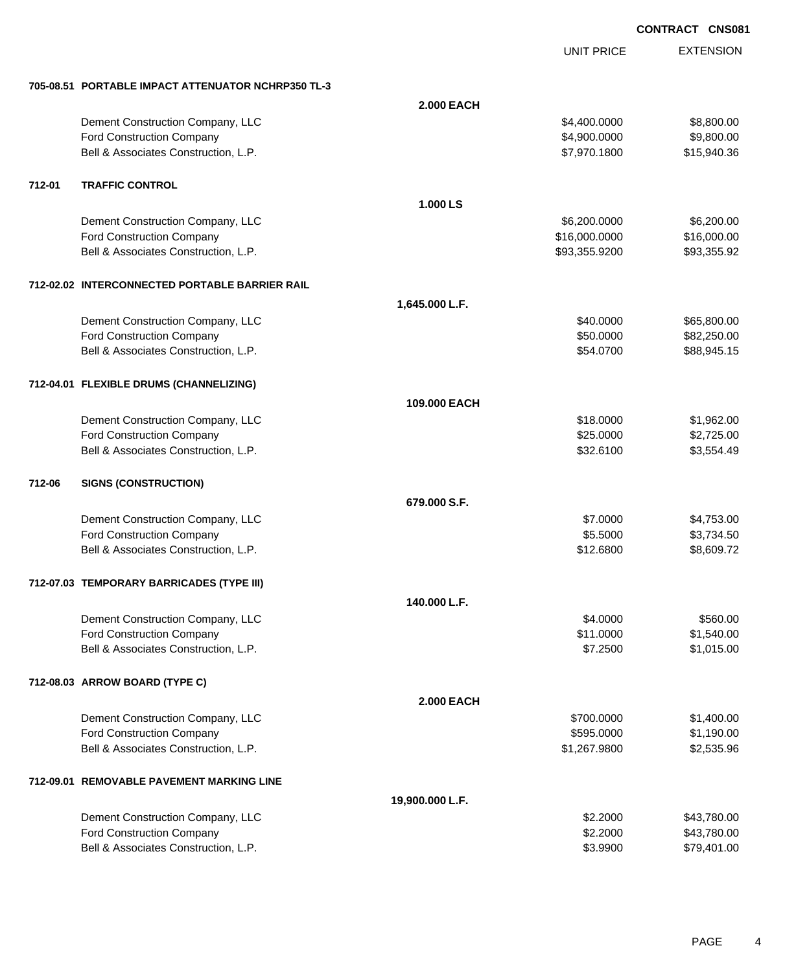UNIT PRICE

EXTENSION

|        | 705-08.51 PORTABLE IMPACT ATTENUATOR NCHRP350 TL-3 |                   |               |             |
|--------|----------------------------------------------------|-------------------|---------------|-------------|
|        |                                                    | <b>2.000 EACH</b> |               |             |
|        | Dement Construction Company, LLC                   |                   | \$4,400.0000  | \$8,800.00  |
|        | Ford Construction Company                          |                   | \$4,900.0000  | \$9,800.00  |
|        | Bell & Associates Construction, L.P.               |                   | \$7,970.1800  | \$15,940.36 |
| 712-01 | <b>TRAFFIC CONTROL</b>                             |                   |               |             |
|        |                                                    | 1.000 LS          |               |             |
|        | Dement Construction Company, LLC                   |                   | \$6,200.0000  | \$6,200.00  |
|        | Ford Construction Company                          |                   | \$16,000.0000 | \$16,000.00 |
|        | Bell & Associates Construction, L.P.               |                   | \$93,355.9200 | \$93,355.92 |
|        | 712-02.02 INTERCONNECTED PORTABLE BARRIER RAIL     |                   |               |             |
|        |                                                    | 1,645.000 L.F.    |               |             |
|        | Dement Construction Company, LLC                   |                   | \$40.0000     | \$65,800.00 |
|        | Ford Construction Company                          |                   | \$50.0000     | \$82,250.00 |
|        | Bell & Associates Construction, L.P.               |                   | \$54.0700     | \$88,945.15 |
|        | 712-04.01 FLEXIBLE DRUMS (CHANNELIZING)            |                   |               |             |
|        |                                                    | 109,000 EACH      |               |             |
|        | Dement Construction Company, LLC                   |                   | \$18.0000     | \$1,962.00  |
|        | Ford Construction Company                          |                   | \$25.0000     | \$2,725.00  |
|        | Bell & Associates Construction, L.P.               |                   | \$32.6100     | \$3,554.49  |
| 712-06 | <b>SIGNS (CONSTRUCTION)</b>                        |                   |               |             |
|        |                                                    | 679.000 S.F.      |               |             |
|        | Dement Construction Company, LLC                   |                   | \$7.0000      | \$4,753.00  |
|        | Ford Construction Company                          |                   | \$5.5000      | \$3,734.50  |
|        | Bell & Associates Construction, L.P.               |                   | \$12.6800     | \$8,609.72  |
|        | 712-07.03 TEMPORARY BARRICADES (TYPE III)          |                   |               |             |
|        |                                                    | 140.000 L.F.      |               |             |
|        | Dement Construction Company, LLC                   |                   | \$4.0000      | \$560.00    |
|        | <b>Ford Construction Company</b>                   |                   | \$11.0000     | \$1,540.00  |
|        | Bell & Associates Construction, L.P.               |                   | \$7.2500      | \$1,015.00  |
|        | 712-08.03 ARROW BOARD (TYPE C)                     |                   |               |             |
|        |                                                    | <b>2.000 EACH</b> |               |             |
|        | Dement Construction Company, LLC                   |                   | \$700.0000    | \$1,400.00  |
|        | Ford Construction Company                          |                   | \$595.0000    | \$1,190.00  |
|        | Bell & Associates Construction, L.P.               |                   | \$1,267.9800  | \$2,535.96  |
|        | 712-09.01 REMOVABLE PAVEMENT MARKING LINE          |                   |               |             |
|        |                                                    | 19,900.000 L.F.   |               |             |
|        | Dement Construction Company, LLC                   |                   | \$2.2000      | \$43,780.00 |
|        | Ford Construction Company                          |                   | \$2.2000      | \$43,780.00 |
|        | Bell & Associates Construction, L.P.               |                   | \$3.9900      | \$79,401.00 |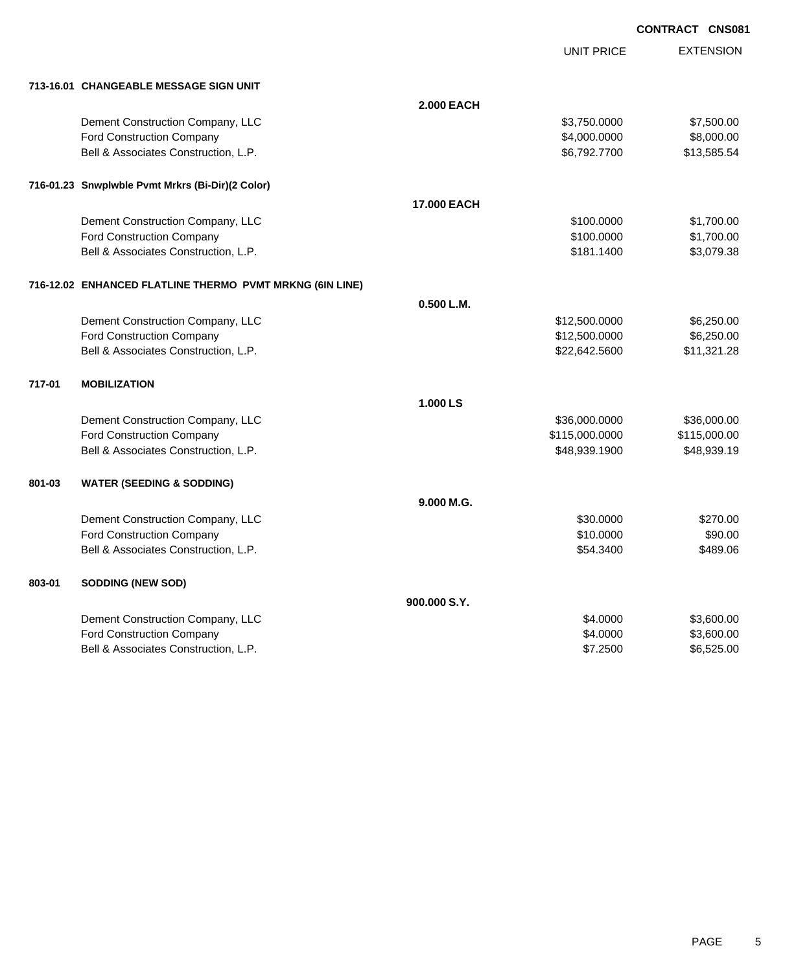UNIT PRICE

EXTENSION

| 713-16.01 CHANGEABLE MESSAGE SIGN UNIT |
|----------------------------------------|
|                                        |

|        | 713-16.01 CHANGEABLE MESSAGE SIGN UNIT                   |                   |                |              |
|--------|----------------------------------------------------------|-------------------|----------------|--------------|
|        |                                                          | <b>2.000 EACH</b> |                |              |
|        | Dement Construction Company, LLC                         |                   | \$3,750.0000   | \$7,500.00   |
|        | <b>Ford Construction Company</b>                         |                   | \$4,000.0000   | \$8,000.00   |
|        | Bell & Associates Construction, L.P.                     |                   | \$6,792.7700   | \$13,585.54  |
|        | 716-01.23 Snwplwble Pvmt Mrkrs (Bi-Dir)(2 Color)         |                   |                |              |
|        |                                                          | 17.000 EACH       |                |              |
|        | Dement Construction Company, LLC                         |                   | \$100.0000     | \$1,700.00   |
|        | Ford Construction Company                                |                   | \$100.0000     | \$1,700.00   |
|        | Bell & Associates Construction, L.P.                     |                   | \$181.1400     | \$3,079.38   |
|        | 716-12.02 ENHANCED FLATLINE THERMO PVMT MRKNG (6IN LINE) |                   |                |              |
|        |                                                          | 0.500 L.M.        |                |              |
|        | Dement Construction Company, LLC                         |                   | \$12,500.0000  | \$6,250.00   |
|        | <b>Ford Construction Company</b>                         |                   | \$12,500.0000  | \$6,250.00   |
|        | Bell & Associates Construction, L.P.                     |                   | \$22,642.5600  | \$11,321.28  |
| 717-01 | <b>MOBILIZATION</b>                                      |                   |                |              |
|        |                                                          | 1.000 LS          |                |              |
|        | Dement Construction Company, LLC                         |                   | \$36,000.0000  | \$36,000.00  |
|        | Ford Construction Company                                |                   | \$115,000.0000 | \$115,000.00 |
|        | Bell & Associates Construction, L.P.                     |                   | \$48,939.1900  | \$48,939.19  |
| 801-03 | <b>WATER (SEEDING &amp; SODDING)</b>                     |                   |                |              |
|        |                                                          | 9.000 M.G.        |                |              |
|        | Dement Construction Company, LLC                         |                   | \$30.0000      | \$270.00     |
|        | Ford Construction Company                                |                   | \$10.0000      | \$90.00      |
|        | Bell & Associates Construction, L.P.                     |                   | \$54.3400      | \$489.06     |
| 803-01 | <b>SODDING (NEW SOD)</b>                                 |                   |                |              |
|        |                                                          | 900.000 S.Y.      |                |              |
|        | Dement Construction Company, LLC                         |                   | \$4.0000       | \$3,600.00   |
|        | Ford Construction Company                                |                   | \$4.0000       | \$3,600.00   |
|        | Bell & Associates Construction, L.P.                     |                   | \$7.2500       | \$6,525.00   |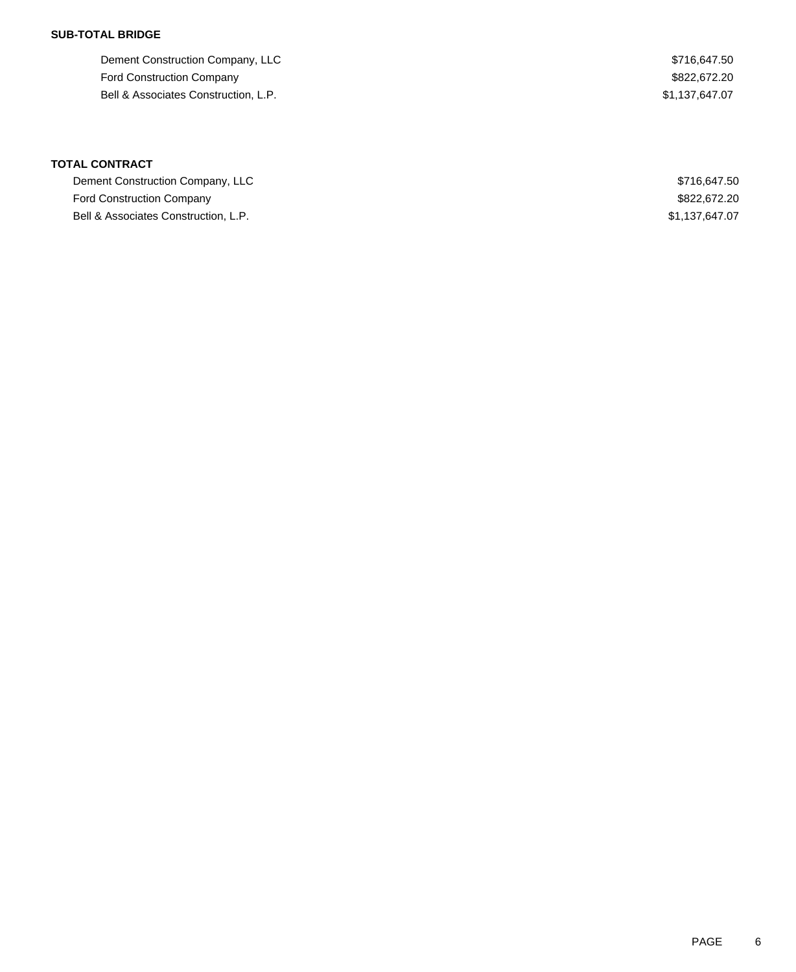### **SUB-TOTAL BRIDGE**

| Dement Construction Company, LLC     | \$716.647.50   |
|--------------------------------------|----------------|
| <b>Ford Construction Company</b>     | \$822,672.20   |
| Bell & Associates Construction, L.P. | \$1.137.647.07 |

| Dement Construction Company, LLC     | \$716.647.50   |
|--------------------------------------|----------------|
| <b>Ford Construction Company</b>     | \$822,672,20   |
| Bell & Associates Construction, L.P. | \$1,137,647.07 |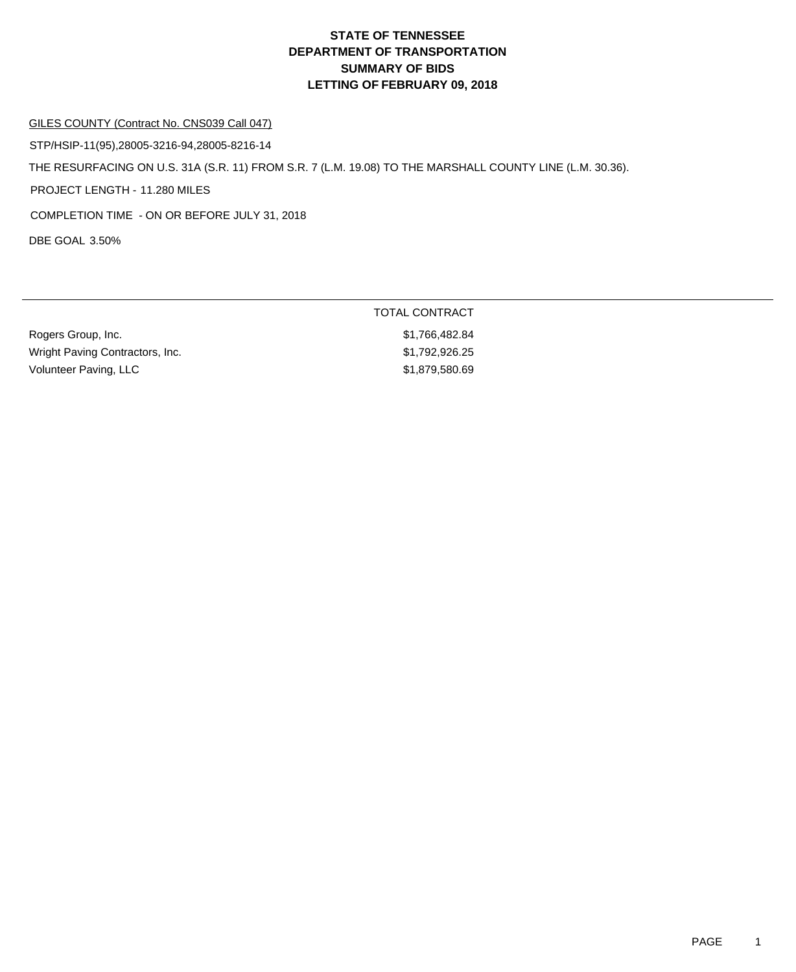#### GILES COUNTY (Contract No. CNS039 Call 047)

DBE GOAL 3.50% THE RESURFACING ON U.S. 31A (S.R. 11) FROM S.R. 7 (L.M. 19.08) TO THE MARSHALL COUNTY LINE (L.M. 30.36). PROJECT LENGTH - 11.280 MILES STP/HSIP-11(95),28005-3216-94,28005-8216-14 COMPLETION TIME - ON OR BEFORE JULY 31, 2018

|                                 | TOTAL CONTRACT |
|---------------------------------|----------------|
| Rogers Group, Inc.              | \$1,766,482.84 |
| Wright Paving Contractors, Inc. | \$1.792.926.25 |
| Volunteer Paving, LLC           | \$1,879,580.69 |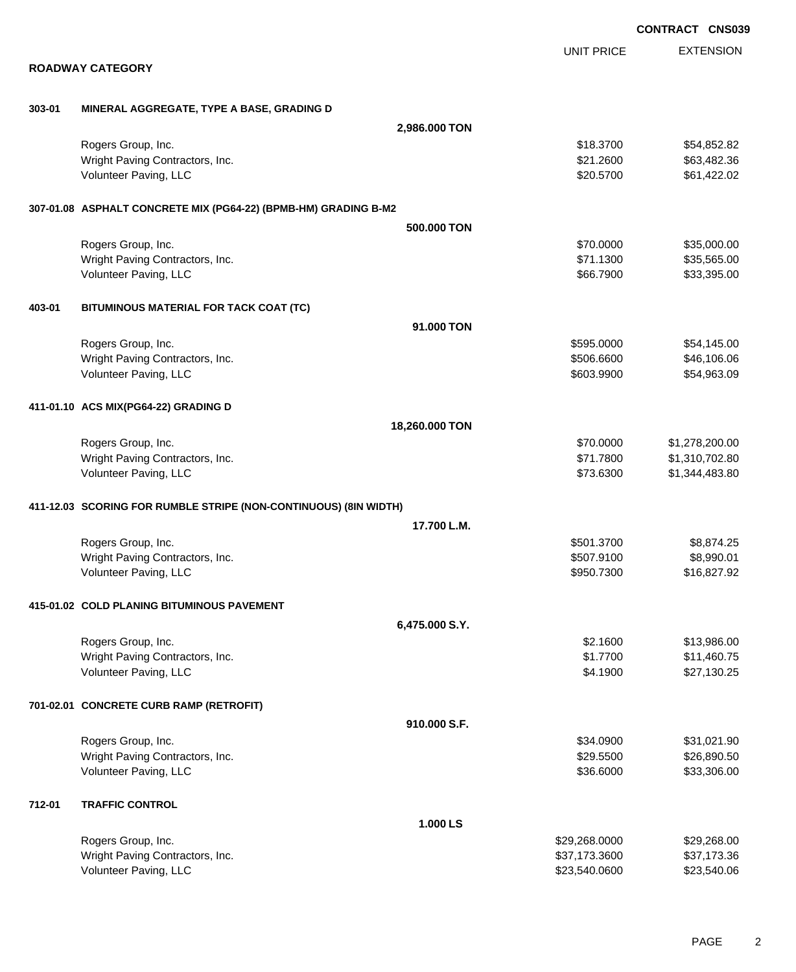|        |                                                                  |                |                   | <b>CONTRACT CNS039</b> |
|--------|------------------------------------------------------------------|----------------|-------------------|------------------------|
|        |                                                                  |                | <b>UNIT PRICE</b> | <b>EXTENSION</b>       |
|        | <b>ROADWAY CATEGORY</b>                                          |                |                   |                        |
| 303-01 | MINERAL AGGREGATE, TYPE A BASE, GRADING D                        |                |                   |                        |
|        |                                                                  | 2,986.000 TON  |                   |                        |
|        | Rogers Group, Inc.                                               |                | \$18.3700         | \$54,852.82            |
|        | Wright Paving Contractors, Inc.                                  |                | \$21.2600         | \$63,482.36            |
|        | Volunteer Paving, LLC                                            |                | \$20.5700         | \$61,422.02            |
|        | 307-01.08 ASPHALT CONCRETE MIX (PG64-22) (BPMB-HM) GRADING B-M2  |                |                   |                        |
|        |                                                                  | 500.000 TON    |                   |                        |
|        | Rogers Group, Inc.                                               |                | \$70.0000         | \$35,000.00            |
|        | Wright Paving Contractors, Inc.                                  |                | \$71.1300         | \$35,565.00            |
|        | Volunteer Paving, LLC                                            |                | \$66.7900         | \$33,395.00            |
| 403-01 | BITUMINOUS MATERIAL FOR TACK COAT (TC)                           |                |                   |                        |
|        |                                                                  | 91.000 TON     |                   |                        |
|        | Rogers Group, Inc.                                               |                | \$595.0000        | \$54,145.00            |
|        | Wright Paving Contractors, Inc.                                  |                | \$506.6600        | \$46,106.06            |
|        | Volunteer Paving, LLC                                            |                | \$603.9900        | \$54,963.09            |
|        | 411-01.10 ACS MIX(PG64-22) GRADING D                             |                |                   |                        |
|        |                                                                  | 18,260.000 TON |                   |                        |
|        | Rogers Group, Inc.                                               |                | \$70.0000         | \$1,278,200.00         |
|        | Wright Paving Contractors, Inc.                                  |                | \$71.7800         | \$1,310,702.80         |
|        | Volunteer Paving, LLC                                            |                | \$73.6300         | \$1,344,483.80         |
|        | 411-12.03 SCORING FOR RUMBLE STRIPE (NON-CONTINUOUS) (8IN WIDTH) |                |                   |                        |
|        |                                                                  | 17.700 L.M.    |                   |                        |
|        | Rogers Group, Inc.                                               |                | \$501.3700        | \$8,874.25             |
|        | Wright Paving Contractors, Inc.                                  |                | \$507,9100        | \$8,990.01             |
|        | Volunteer Paving, LLC                                            |                | \$950.7300        | \$16,827.92            |
|        | 415-01.02 COLD PLANING BITUMINOUS PAVEMENT                       |                |                   |                        |
|        |                                                                  | 6,475.000 S.Y. |                   |                        |
|        | Rogers Group, Inc.                                               |                | \$2.1600          | \$13,986.00            |
|        | Wright Paving Contractors, Inc.                                  |                | \$1.7700          | \$11,460.75            |
|        | Volunteer Paving, LLC                                            |                | \$4.1900          | \$27,130.25            |
|        | 701-02.01 CONCRETE CURB RAMP (RETROFIT)                          |                |                   |                        |
|        |                                                                  | 910.000 S.F.   |                   |                        |
|        | Rogers Group, Inc.                                               |                | \$34.0900         | \$31,021.90            |
|        | Wright Paving Contractors, Inc.                                  |                | \$29.5500         | \$26,890.50            |
|        | Volunteer Paving, LLC                                            |                | \$36.6000         | \$33,306.00            |
| 712-01 | <b>TRAFFIC CONTROL</b>                                           |                |                   |                        |
|        |                                                                  | 1.000 LS       |                   |                        |
|        | Rogers Group, Inc.                                               |                | \$29,268.0000     | \$29,268.00            |
|        | Wright Paving Contractors, Inc.                                  |                | \$37,173.3600     | \$37,173.36            |
|        | Volunteer Paving, LLC                                            |                | \$23,540.0600     | \$23,540.06            |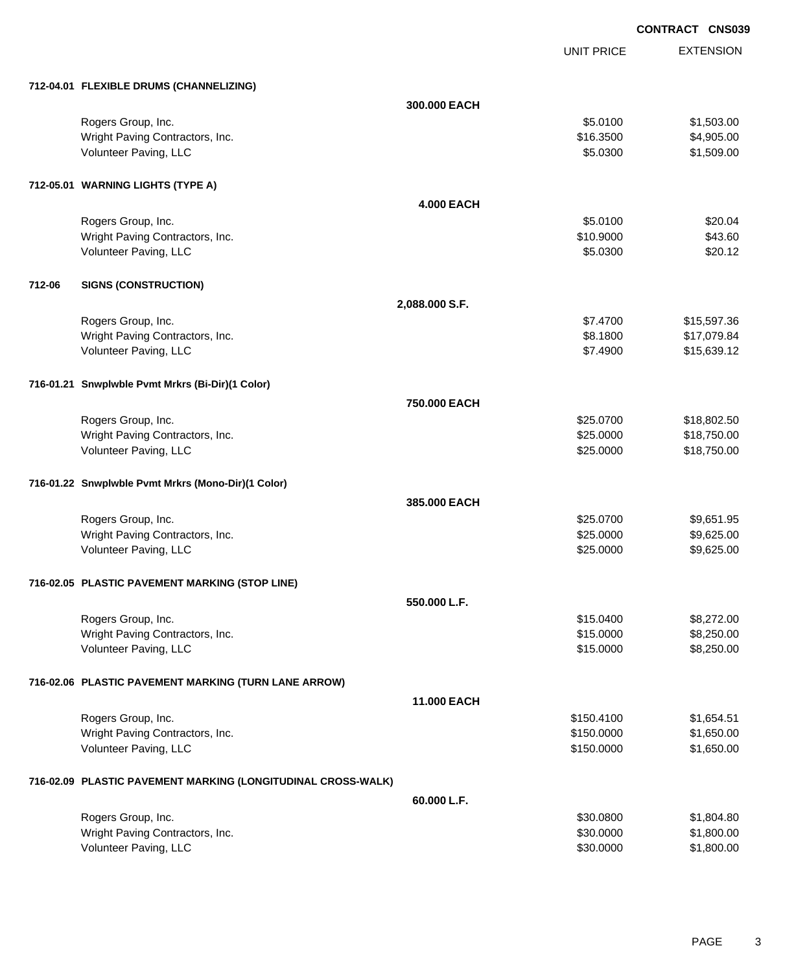UNIT PRICE

EXTENSION

|        | 712-04.01 FLEXIBLE DRUMS (CHANNELIZING)                      |                   |            |             |
|--------|--------------------------------------------------------------|-------------------|------------|-------------|
|        |                                                              | 300.000 EACH      |            |             |
|        | Rogers Group, Inc.                                           |                   | \$5.0100   | \$1,503.00  |
|        | Wright Paving Contractors, Inc.                              |                   | \$16.3500  | \$4,905.00  |
|        | Volunteer Paving, LLC                                        |                   | \$5.0300   | \$1,509.00  |
|        |                                                              |                   |            |             |
|        | 712-05.01 WARNING LIGHTS (TYPE A)                            |                   |            |             |
|        |                                                              | <b>4.000 EACH</b> |            |             |
|        | Rogers Group, Inc.                                           |                   | \$5.0100   | \$20.04     |
|        | Wright Paving Contractors, Inc.                              |                   | \$10.9000  | \$43.60     |
|        | Volunteer Paving, LLC                                        |                   | \$5.0300   | \$20.12     |
|        |                                                              |                   |            |             |
| 712-06 | <b>SIGNS (CONSTRUCTION)</b>                                  |                   |            |             |
|        |                                                              | 2,088.000 S.F.    |            |             |
|        | Rogers Group, Inc.                                           |                   | \$7.4700   | \$15,597.36 |
|        | Wright Paving Contractors, Inc.                              |                   | \$8.1800   | \$17,079.84 |
|        | Volunteer Paving, LLC                                        |                   | \$7.4900   | \$15,639.12 |
|        |                                                              |                   |            |             |
|        | 716-01.21 Snwplwble Pvmt Mrkrs (Bi-Dir)(1 Color)             |                   |            |             |
|        |                                                              | 750.000 EACH      |            |             |
|        | Rogers Group, Inc.                                           |                   | \$25.0700  | \$18,802.50 |
|        | Wright Paving Contractors, Inc.                              |                   | \$25.0000  | \$18,750.00 |
|        | Volunteer Paving, LLC                                        |                   | \$25.0000  | \$18,750.00 |
|        | 716-01.22 Snwplwble Pvmt Mrkrs (Mono-Dir)(1 Color)           |                   |            |             |
|        |                                                              | 385.000 EACH      |            |             |
|        | Rogers Group, Inc.                                           |                   | \$25.0700  | \$9,651.95  |
|        | Wright Paving Contractors, Inc.                              |                   | \$25.0000  | \$9,625.00  |
|        | Volunteer Paving, LLC                                        |                   | \$25.0000  | \$9,625.00  |
|        |                                                              |                   |            |             |
|        | 716-02.05 PLASTIC PAVEMENT MARKING (STOP LINE)               |                   |            |             |
|        |                                                              | 550.000 L.F.      |            |             |
|        | Rogers Group, Inc.                                           |                   | \$15.0400  | \$8,272.00  |
|        | Wright Paving Contractors, Inc.                              |                   | \$15.0000  | \$8,250.00  |
|        | Volunteer Paving, LLC                                        |                   | \$15.0000  | \$8,250.00  |
|        |                                                              |                   |            |             |
|        | 716-02.06 PLASTIC PAVEMENT MARKING (TURN LANE ARROW)         |                   |            |             |
|        |                                                              | 11.000 EACH       |            |             |
|        | Rogers Group, Inc.                                           |                   | \$150.4100 | \$1,654.51  |
|        | Wright Paving Contractors, Inc.                              |                   | \$150.0000 | \$1,650.00  |
|        | Volunteer Paving, LLC                                        |                   | \$150.0000 | \$1,650.00  |
|        | 716-02.09 PLASTIC PAVEMENT MARKING (LONGITUDINAL CROSS-WALK) |                   |            |             |
|        |                                                              | 60.000 L.F.       |            |             |
|        | Rogers Group, Inc.                                           |                   | \$30.0800  | \$1,804.80  |
|        | Wright Paving Contractors, Inc.                              |                   | \$30.0000  | \$1,800.00  |
|        | Volunteer Paving, LLC                                        |                   | \$30.0000  | \$1,800.00  |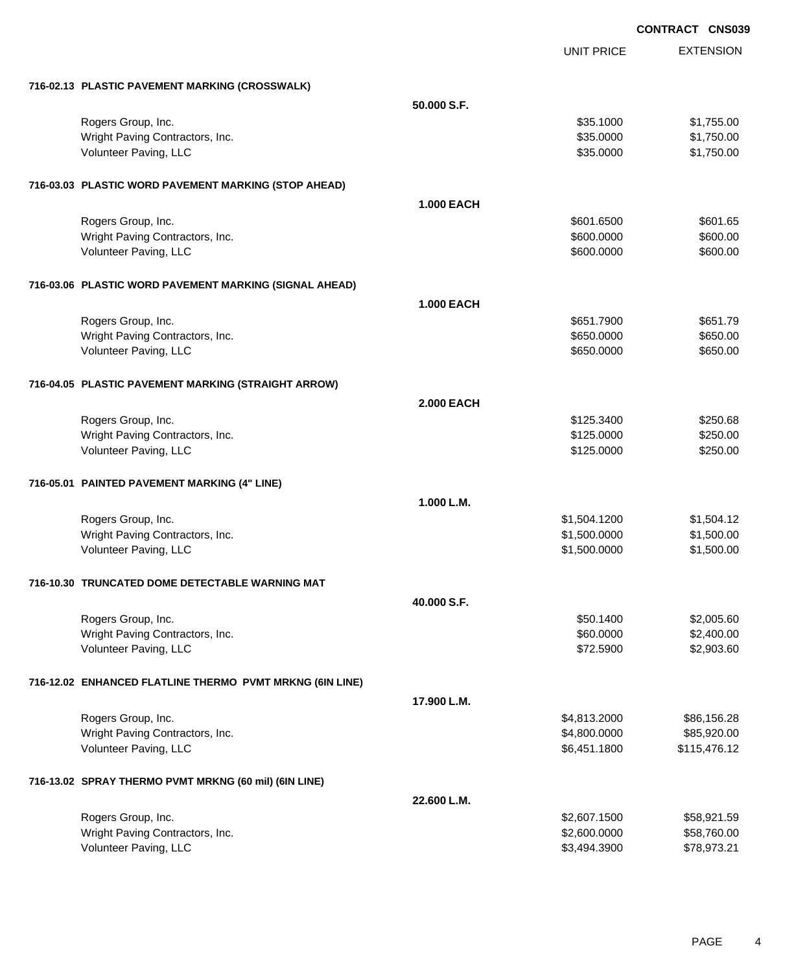UNIT PRICE EXTENSION

| 716-02.13 PLASTIC PAVEMENT MARKING (CROSSWALK)           |                   |              |              |
|----------------------------------------------------------|-------------------|--------------|--------------|
|                                                          | 50.000 S.F.       |              |              |
| Rogers Group, Inc.                                       |                   | \$35.1000    | \$1,755.00   |
| Wright Paving Contractors, Inc.                          |                   | \$35.0000    | \$1,750.00   |
| Volunteer Paving, LLC                                    |                   | \$35.0000    | \$1,750.00   |
|                                                          |                   |              |              |
| 716-03.03 PLASTIC WORD PAVEMENT MARKING (STOP AHEAD)     |                   |              |              |
|                                                          | <b>1.000 EACH</b> |              |              |
| Rogers Group, Inc.                                       |                   | \$601.6500   | \$601.65     |
| Wright Paving Contractors, Inc.                          |                   | \$600.0000   | \$600.00     |
| Volunteer Paving, LLC                                    |                   | \$600.0000   | \$600.00     |
|                                                          |                   |              |              |
| 716-03.06 PLASTIC WORD PAVEMENT MARKING (SIGNAL AHEAD)   | <b>1.000 EACH</b> |              |              |
|                                                          |                   |              |              |
| Rogers Group, Inc.                                       |                   | \$651,7900   | \$651.79     |
| Wright Paving Contractors, Inc.                          |                   | \$650.0000   | \$650.00     |
| Volunteer Paving, LLC                                    |                   | \$650.0000   | \$650.00     |
| 716-04.05 PLASTIC PAVEMENT MARKING (STRAIGHT ARROW)      |                   |              |              |
|                                                          | <b>2.000 EACH</b> |              |              |
| Rogers Group, Inc.                                       |                   | \$125.3400   | \$250.68     |
| Wright Paving Contractors, Inc.                          |                   | \$125.0000   | \$250.00     |
| Volunteer Paving, LLC                                    |                   | \$125.0000   | \$250.00     |
|                                                          |                   |              |              |
| 716-05.01 PAINTED PAVEMENT MARKING (4" LINE)             |                   |              |              |
|                                                          | 1.000 L.M.        |              |              |
| Rogers Group, Inc.                                       |                   | \$1,504.1200 | \$1,504.12   |
| Wright Paving Contractors, Inc.                          |                   | \$1,500.0000 | \$1,500.00   |
| Volunteer Paving, LLC                                    |                   | \$1,500.0000 | \$1,500.00   |
| 716-10.30 TRUNCATED DOME DETECTABLE WARNING MAT          |                   |              |              |
|                                                          | 40,000 S.F.       |              |              |
| Rogers Group, Inc.                                       |                   | \$50.1400    | \$2,005.60   |
| Wright Paving Contractors, Inc.                          |                   | \$60.0000    | \$2,400.00   |
| Volunteer Paving, LLC                                    |                   | \$72.5900    | \$2,903.60   |
|                                                          |                   |              |              |
| 716-12.02 ENHANCED FLATLINE THERMO PVMT MRKNG (6IN LINE) |                   |              |              |
|                                                          | 17.900 L.M.       |              |              |
| Rogers Group, Inc.                                       |                   | \$4,813.2000 | \$86,156.28  |
| Wright Paving Contractors, Inc.                          |                   | \$4,800.0000 | \$85,920.00  |
| Volunteer Paving, LLC                                    |                   | \$6,451.1800 | \$115,476.12 |
| 716-13.02 SPRAY THERMO PVMT MRKNG (60 mil) (6IN LINE)    |                   |              |              |
|                                                          | 22.600 L.M.       |              |              |
| Rogers Group, Inc.                                       |                   | \$2,607.1500 | \$58,921.59  |
| Wright Paving Contractors, Inc.                          |                   | \$2,600.0000 | \$58,760.00  |
| Volunteer Paving, LLC                                    |                   | \$3,494.3900 | \$78,973.21  |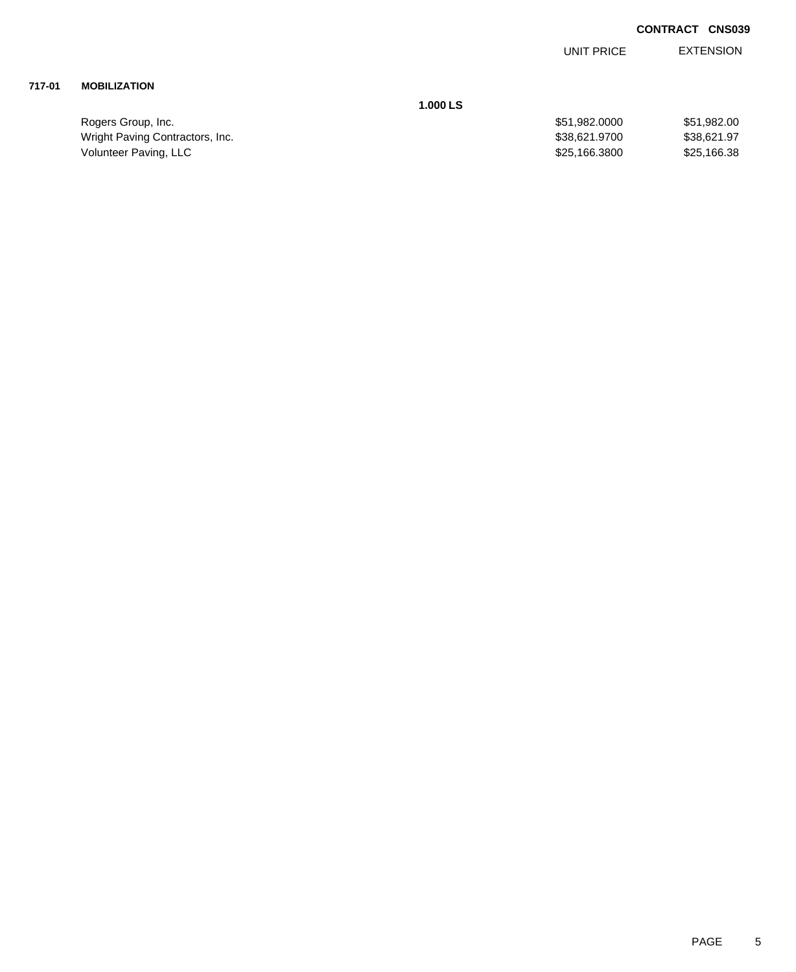EXTENSION UNIT PRICE

### **717-01 MOBILIZATION**

**1.000 LS**

| Rogers Group, Inc.              | \$51.982.0000 | \$51,982.00 |
|---------------------------------|---------------|-------------|
| Wright Paving Contractors, Inc. | \$38.621.9700 | \$38.621.97 |
| Volunteer Paving, LLC           | \$25,166,3800 | \$25,166.38 |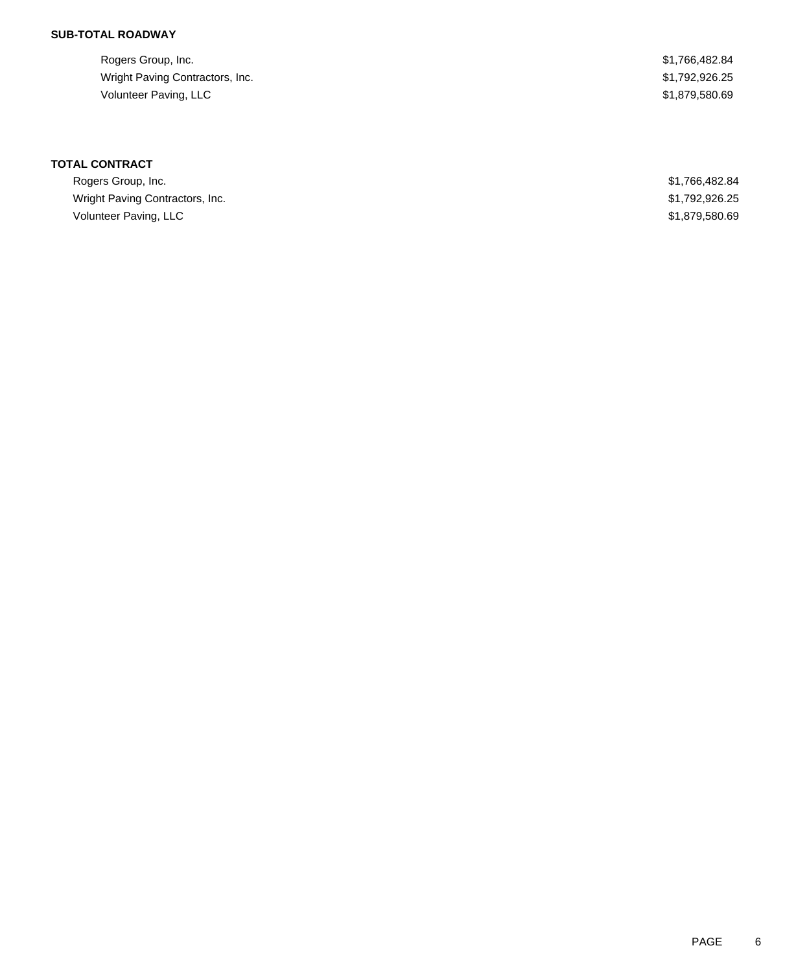### **SUB-TOTAL ROADWAY**

| Rogers Group, Inc.              | \$1,766,482.84 |
|---------------------------------|----------------|
| Wright Paving Contractors, Inc. | \$1,792,926.25 |
| Volunteer Paving, LLC           | \$1,879,580.69 |

| Rogers Group, Inc.              | \$1,766,482.84 |
|---------------------------------|----------------|
| Wright Paving Contractors, Inc. | \$1,792,926.25 |
| Volunteer Paving, LLC           | \$1,879,580.69 |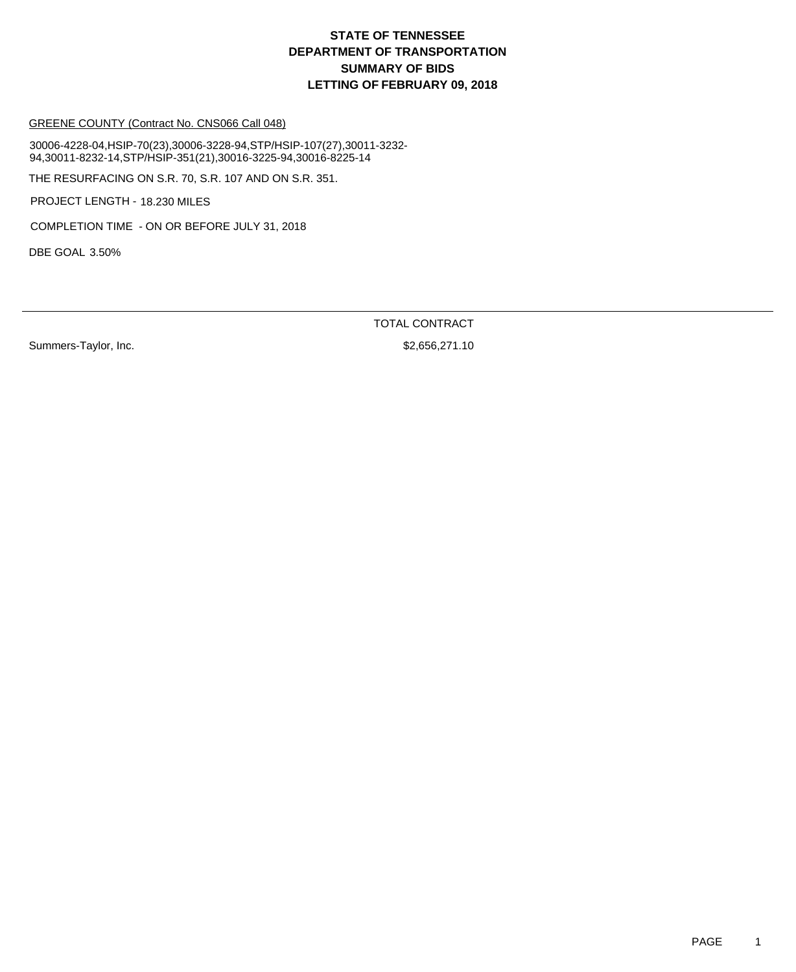GREENE COUNTY (Contract No. CNS066 Call 048)

30006-4228-04,HSIP-70(23),30006-3228-94,STP/HSIP-107(27),30011-3232- 94,30011-8232-14,STP/HSIP-351(21),30016-3225-94,30016-8225-14

THE RESURFACING ON S.R. 70, S.R. 107 AND ON S.R. 351.

PROJECT LENGTH - 18.230 MILES

COMPLETION TIME - ON OR BEFORE JULY 31, 2018

DBE GOAL 3.50%

TOTAL CONTRACT

Summers-Taylor, Inc. 6. 2010 12:30 12:30 12:30 12:30 12:30 12:30 12:30 12:30 12:30 12:30 12:30 12:30 12:30 12:30 12:30 12:30 12:30 12:30 12:30 12:30 12:30 12:30 12:30 12:30 12:30 12:30 12:30 12:30 12:30 12:30 12:30 12:30 1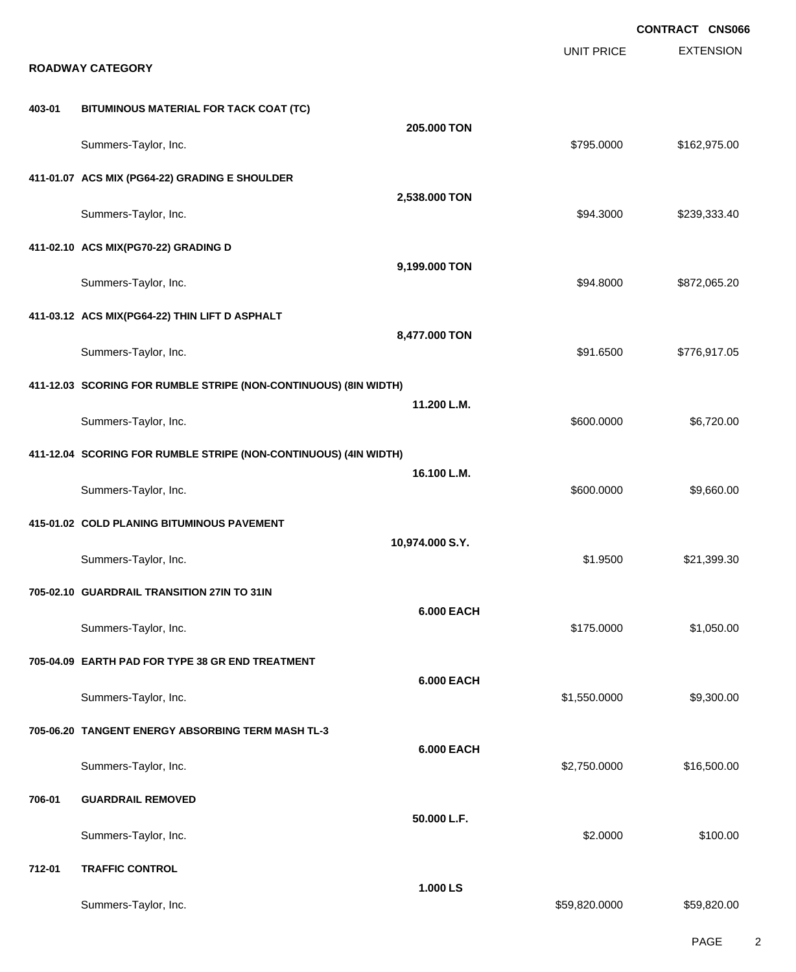|        |                                                                  |                   |                   | CONTRACT CNS066  |
|--------|------------------------------------------------------------------|-------------------|-------------------|------------------|
|        | <b>ROADWAY CATEGORY</b>                                          |                   | <b>UNIT PRICE</b> | <b>EXTENSION</b> |
|        |                                                                  |                   |                   |                  |
| 403-01 | BITUMINOUS MATERIAL FOR TACK COAT (TC)                           | 205.000 TON       |                   |                  |
|        | Summers-Taylor, Inc.                                             |                   | \$795.0000        | \$162,975.00     |
|        | 411-01.07 ACS MIX (PG64-22) GRADING E SHOULDER                   |                   |                   |                  |
|        | Summers-Taylor, Inc.                                             | 2,538.000 TON     | \$94.3000         | \$239,333.40     |
|        | 411-02.10 ACS MIX(PG70-22) GRADING D                             |                   |                   |                  |
|        | Summers-Taylor, Inc.                                             | 9,199.000 TON     | \$94.8000         | \$872,065.20     |
|        | 411-03.12 ACS MIX(PG64-22) THIN LIFT D ASPHALT                   |                   |                   |                  |
|        | Summers-Taylor, Inc.                                             | 8,477.000 TON     | \$91.6500         | \$776,917.05     |
|        | 411-12.03 SCORING FOR RUMBLE STRIPE (NON-CONTINUOUS) (8IN WIDTH) |                   |                   |                  |
|        |                                                                  | 11.200 L.M.       |                   |                  |
|        | Summers-Taylor, Inc.                                             |                   | \$600.0000        | \$6,720.00       |
|        | 411-12.04 SCORING FOR RUMBLE STRIPE (NON-CONTINUOUS) (4IN WIDTH) |                   |                   |                  |
|        | Summers-Taylor, Inc.                                             | 16.100 L.M.       | \$600.0000        | \$9,660.00       |
|        | 415-01.02 COLD PLANING BITUMINOUS PAVEMENT                       |                   |                   |                  |
|        |                                                                  | 10,974.000 S.Y.   |                   |                  |
|        | Summers-Taylor, Inc.                                             |                   | \$1.9500          | \$21,399.30      |
|        | 705-02.10 GUARDRAIL TRANSITION 27IN TO 31IN                      |                   |                   |                  |
|        |                                                                  | <b>6.000 EACH</b> |                   |                  |
|        | Summers-Taylor, Inc.                                             |                   | \$175.0000        | \$1,050.00       |
|        | 705-04.09 EARTH PAD FOR TYPE 38 GR END TREATMENT                 |                   |                   |                  |
|        | Summers-Taylor, Inc.                                             | <b>6.000 EACH</b> | \$1,550.0000      | \$9,300.00       |
|        |                                                                  |                   |                   |                  |
|        | 705-06.20 TANGENT ENERGY ABSORBING TERM MASH TL-3                | <b>6.000 EACH</b> |                   |                  |
|        | Summers-Taylor, Inc.                                             |                   | \$2,750.0000      | \$16,500.00      |
| 706-01 | <b>GUARDRAIL REMOVED</b>                                         |                   |                   |                  |
|        | Summers-Taylor, Inc.                                             | 50.000 L.F.       | \$2.0000          | \$100.00         |
| 712-01 | <b>TRAFFIC CONTROL</b>                                           |                   |                   |                  |
|        |                                                                  | 1.000 LS          |                   |                  |
|        | Summers-Taylor, Inc.                                             |                   | \$59,820.0000     | \$59,820.00      |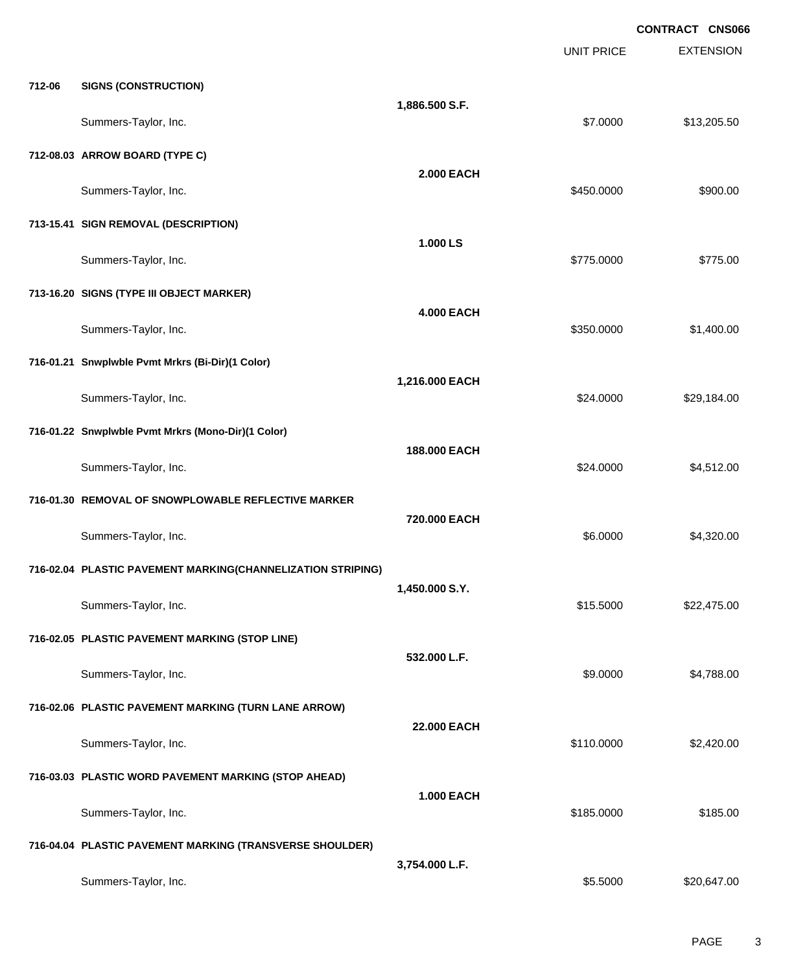|        |                                                             |                   |                   | <b>CONTRACT CNS066</b> |
|--------|-------------------------------------------------------------|-------------------|-------------------|------------------------|
|        |                                                             |                   | <b>UNIT PRICE</b> | <b>EXTENSION</b>       |
| 712-06 | <b>SIGNS (CONSTRUCTION)</b>                                 |                   |                   |                        |
|        |                                                             | 1,886.500 S.F.    |                   |                        |
|        | Summers-Taylor, Inc.                                        |                   | \$7.0000          | \$13,205.50            |
|        | 712-08.03 ARROW BOARD (TYPE C)                              |                   |                   |                        |
|        | Summers-Taylor, Inc.                                        | <b>2.000 EACH</b> | \$450.0000        | \$900.00               |
|        | 713-15.41 SIGN REMOVAL (DESCRIPTION)                        |                   |                   |                        |
|        |                                                             | 1.000 LS          |                   |                        |
|        | Summers-Taylor, Inc.                                        |                   | \$775.0000        | \$775.00               |
|        | 713-16.20 SIGNS (TYPE III OBJECT MARKER)                    |                   |                   |                        |
|        | Summers-Taylor, Inc.                                        | <b>4.000 EACH</b> | \$350.0000        | \$1,400.00             |
|        |                                                             |                   |                   |                        |
|        | 716-01.21 Snwplwble Pvmt Mrkrs (Bi-Dir)(1 Color)            | 1,216.000 EACH    |                   |                        |
|        | Summers-Taylor, Inc.                                        |                   | \$24.0000         | \$29,184.00            |
|        | 716-01.22 Snwplwble Pvmt Mrkrs (Mono-Dir)(1 Color)          |                   |                   |                        |
|        |                                                             | 188.000 EACH      |                   |                        |
|        | Summers-Taylor, Inc.                                        |                   | \$24.0000         | \$4,512.00             |
|        | 716-01.30 REMOVAL OF SNOWPLOWABLE REFLECTIVE MARKER         |                   |                   |                        |
|        | Summers-Taylor, Inc.                                        | 720.000 EACH      | \$6.0000          | \$4,320.00             |
|        | 716-02.04 PLASTIC PAVEMENT MARKING(CHANNELIZATION STRIPING) |                   |                   |                        |
|        |                                                             | 1,450.000 S.Y.    |                   |                        |
|        | Summers-Taylor, Inc.                                        |                   | \$15.5000         | \$22,475.00            |
|        | 716-02.05 PLASTIC PAVEMENT MARKING (STOP LINE)              |                   |                   |                        |
|        | Summers-Taylor, Inc.                                        | 532.000 L.F.      | \$9.0000          | \$4,788.00             |
|        |                                                             |                   |                   |                        |
|        | 716-02.06 PLASTIC PAVEMENT MARKING (TURN LANE ARROW)        | 22.000 EACH       |                   |                        |
|        | Summers-Taylor, Inc.                                        |                   | \$110.0000        | \$2,420.00             |
|        | 716-03.03 PLASTIC WORD PAVEMENT MARKING (STOP AHEAD)        |                   |                   |                        |
|        |                                                             | <b>1.000 EACH</b> |                   |                        |
|        | Summers-Taylor, Inc.                                        |                   | \$185.0000        | \$185.00               |
|        | 716-04.04 PLASTIC PAVEMENT MARKING (TRANSVERSE SHOULDER)    |                   |                   |                        |
|        | Summers-Taylor, Inc.                                        | 3,754.000 L.F.    | \$5.5000          | \$20,647.00            |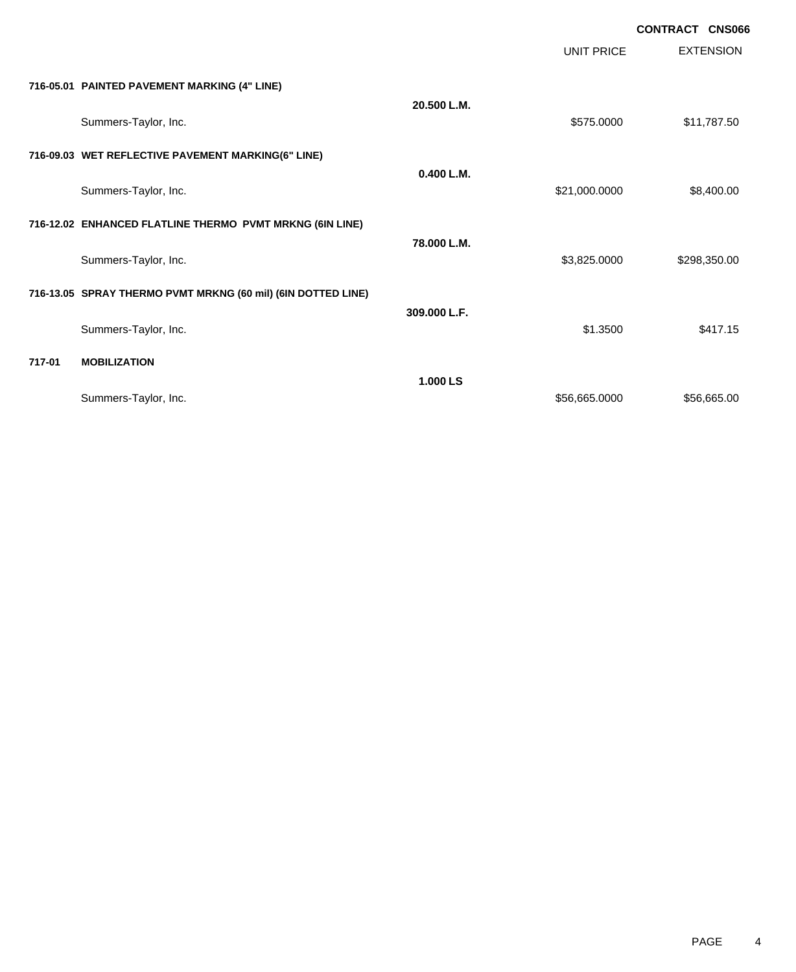|        |                                                              |              |                   | <b>CONTRACT CNS066</b> |
|--------|--------------------------------------------------------------|--------------|-------------------|------------------------|
|        |                                                              |              | <b>UNIT PRICE</b> | <b>EXTENSION</b>       |
|        | 716-05.01 PAINTED PAVEMENT MARKING (4" LINE)                 |              |                   |                        |
|        | Summers-Taylor, Inc.                                         | 20.500 L.M.  | \$575.0000        | \$11,787.50            |
|        | 716-09.03 WET REFLECTIVE PAVEMENT MARKING(6" LINE)           |              |                   |                        |
|        | Summers-Taylor, Inc.                                         | 0.400 L.M.   | \$21,000.0000     | \$8,400.00             |
|        | 716-12.02 ENHANCED FLATLINE THERMO PVMT MRKNG (6IN LINE)     |              |                   |                        |
|        | Summers-Taylor, Inc.                                         | 78.000 L.M.  | \$3,825.0000      | \$298,350.00           |
|        | 716-13.05 SPRAY THERMO PVMT MRKNG (60 mil) (6IN DOTTED LINE) |              |                   |                        |
|        | Summers-Taylor, Inc.                                         | 309.000 L.F. | \$1.3500          | \$417.15               |
| 717-01 | <b>MOBILIZATION</b>                                          |              |                   |                        |
|        | Summers-Taylor, Inc.                                         | 1.000 LS     | \$56,665.0000     | \$56,665.00            |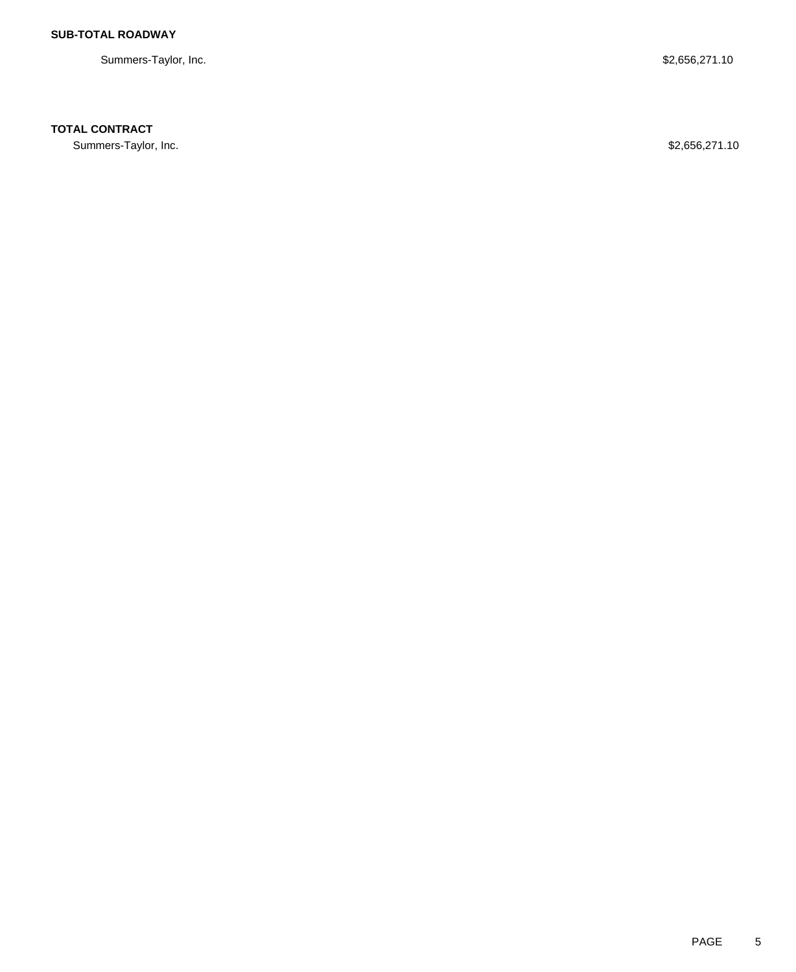Summers-Taylor, Inc. \$2,656,271.10

## **TOTAL CONTRACT**

Summers-Taylor, Inc. \$2,656,271.10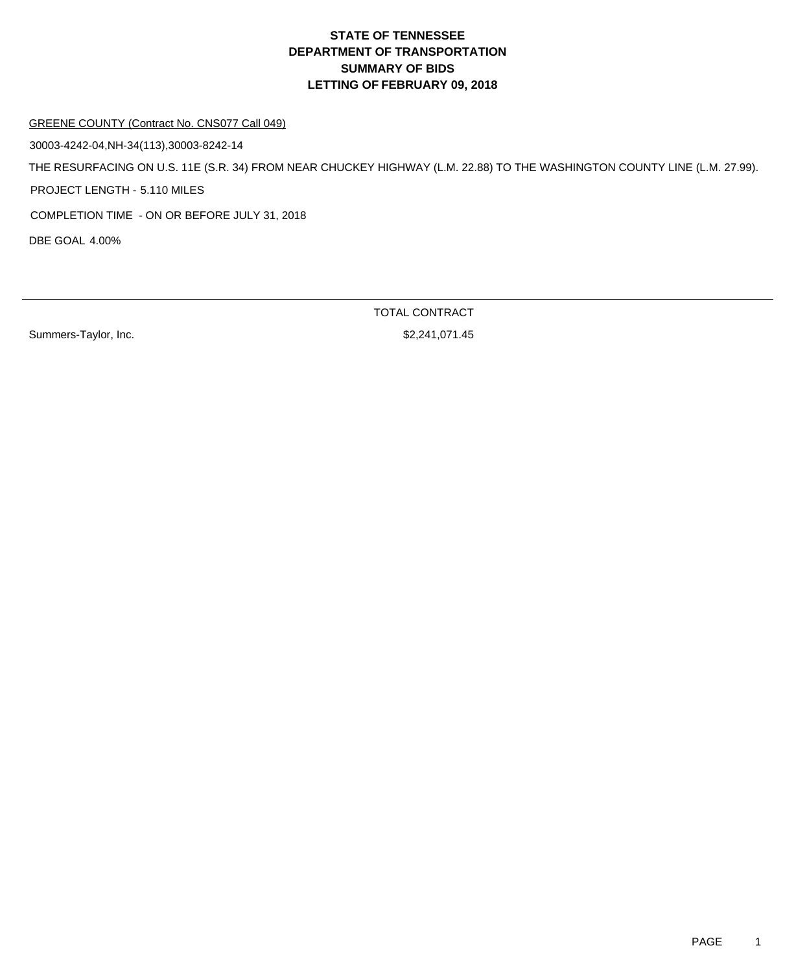#### GREENE COUNTY (Contract No. CNS077 Call 049)

30003-4242-04,NH-34(113),30003-8242-14

THE RESURFACING ON U.S. 11E (S.R. 34) FROM NEAR CHUCKEY HIGHWAY (L.M. 22.88) TO THE WASHINGTON COUNTY LINE (L.M. 27.99).

PROJECT LENGTH - 5.110 MILES

COMPLETION TIME - ON OR BEFORE JULY 31, 2018

DBE GOAL 4.00%

Summers-Taylor, Inc. 6. 2012 12:30 12:31 12:32 13:33 14:34 15:32 14:33 14:34 15:32 14:35 15:32 15:32 15:33 15:34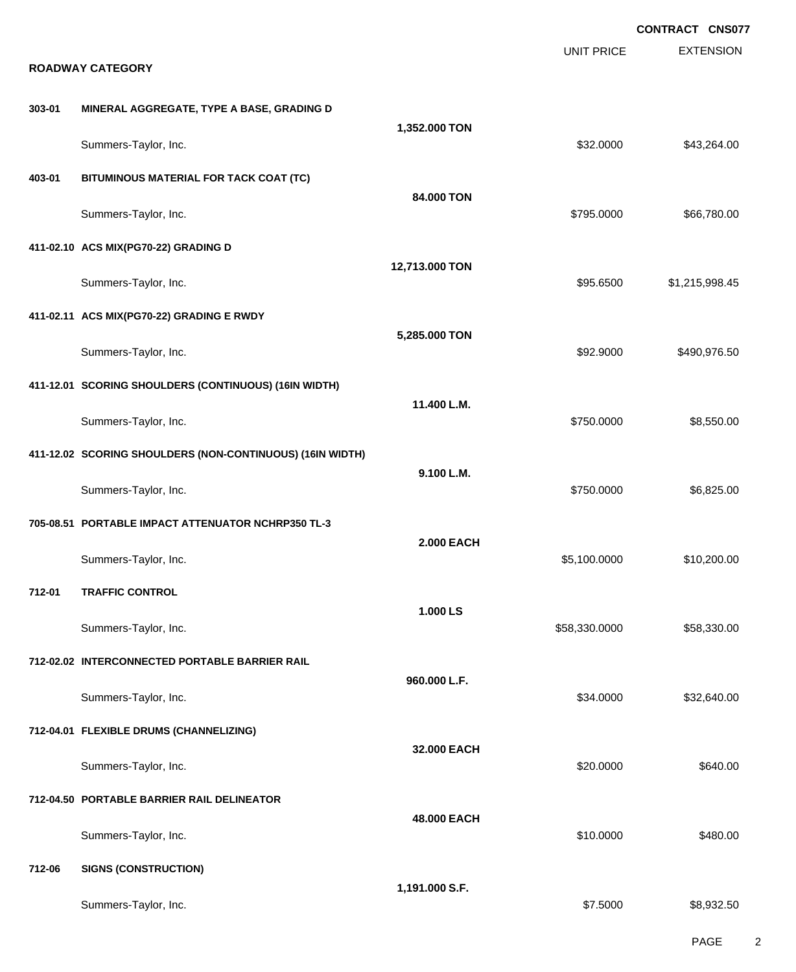|        | <b>ROADWAY CATEGORY</b>                                   |                   | <b>UNIT PRICE</b> | <b>CONTRACT CNS077</b><br><b>EXTENSION</b> |
|--------|-----------------------------------------------------------|-------------------|-------------------|--------------------------------------------|
| 303-01 | MINERAL AGGREGATE, TYPE A BASE, GRADING D                 |                   |                   |                                            |
|        | Summers-Taylor, Inc.                                      | 1,352.000 TON     | \$32.0000         | \$43,264.00                                |
| 403-01 | BITUMINOUS MATERIAL FOR TACK COAT (TC)                    | 84.000 TON        |                   |                                            |
|        | Summers-Taylor, Inc.                                      |                   | \$795.0000        | \$66,780.00                                |
|        | 411-02.10 ACS MIX(PG70-22) GRADING D                      |                   |                   |                                            |
|        | Summers-Taylor, Inc.                                      | 12,713.000 TON    | \$95.6500         | \$1,215,998.45                             |
|        | 411-02.11 ACS MIX(PG70-22) GRADING E RWDY                 |                   |                   |                                            |
|        | Summers-Taylor, Inc.                                      | 5,285.000 TON     | \$92.9000         | \$490,976.50                               |
|        | 411-12.01 SCORING SHOULDERS (CONTINUOUS) (16IN WIDTH)     |                   |                   |                                            |
|        | Summers-Taylor, Inc.                                      | 11.400 L.M.       | \$750.0000        | \$8,550.00                                 |
|        | 411-12.02 SCORING SHOULDERS (NON-CONTINUOUS) (16IN WIDTH) |                   |                   |                                            |
|        | Summers-Taylor, Inc.                                      | 9.100 L.M.        | \$750.0000        | \$6,825.00                                 |
|        | 705-08.51 PORTABLE IMPACT ATTENUATOR NCHRP350 TL-3        |                   |                   |                                            |
|        | Summers-Taylor, Inc.                                      | <b>2.000 EACH</b> | \$5,100.0000      | \$10,200.00                                |
| 712-01 | <b>TRAFFIC CONTROL</b>                                    |                   |                   |                                            |
|        | Summers-Taylor, Inc.                                      | 1.000 LS          | \$58,330.0000     | \$58,330.00                                |
|        | 712-02.02 INTERCONNECTED PORTABLE BARRIER RAIL            |                   |                   |                                            |
|        | Summers-Taylor, Inc.                                      | 960.000 L.F.      | \$34.0000         | \$32,640.00                                |
|        | 712-04.01 FLEXIBLE DRUMS (CHANNELIZING)                   |                   |                   |                                            |
|        | Summers-Taylor, Inc.                                      | 32.000 EACH       | \$20.0000         | \$640.00                                   |
|        | 712-04.50 PORTABLE BARRIER RAIL DELINEATOR                |                   |                   |                                            |
|        | Summers-Taylor, Inc.                                      | 48.000 EACH       | \$10.0000         | \$480.00                                   |
| 712-06 | <b>SIGNS (CONSTRUCTION)</b>                               |                   |                   |                                            |
|        | Summers-Taylor, Inc.                                      | 1,191.000 S.F.    | \$7.5000          | \$8,932.50                                 |

PAGE 2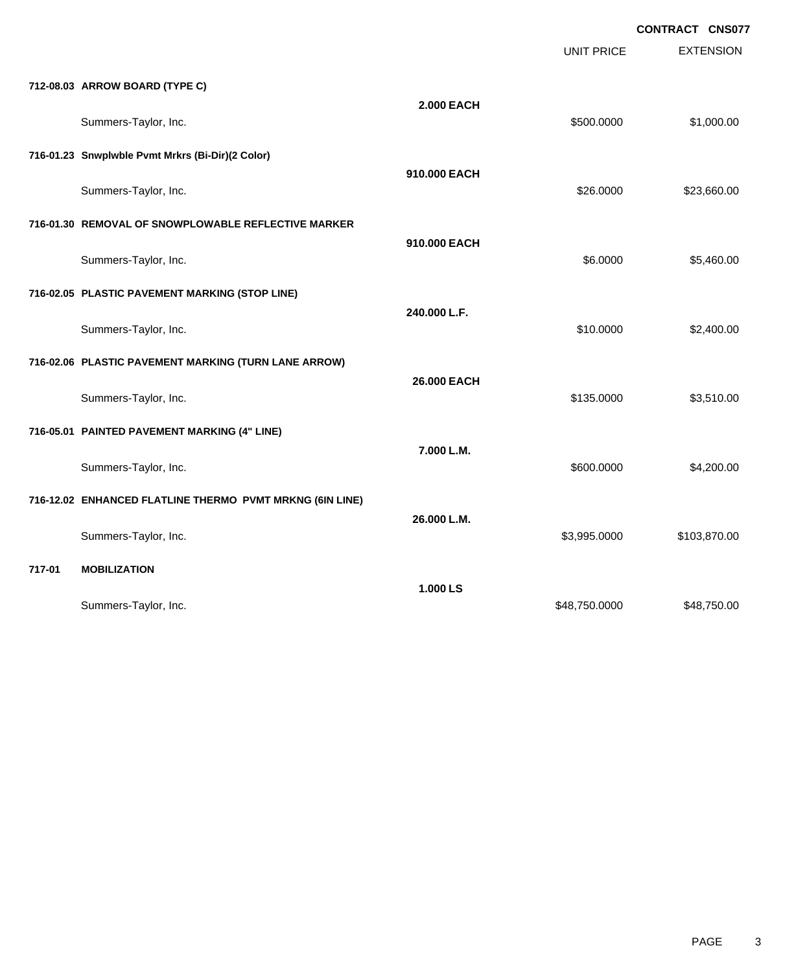|        |                                                          |                   |                   | <b>UUNIKAUI UNJUI</b> |
|--------|----------------------------------------------------------|-------------------|-------------------|-----------------------|
|        |                                                          |                   | <b>UNIT PRICE</b> | <b>EXTENSION</b>      |
|        | 712-08.03 ARROW BOARD (TYPE C)                           |                   |                   |                       |
|        |                                                          | <b>2.000 EACH</b> |                   | \$1,000.00            |
|        | Summers-Taylor, Inc.                                     |                   | \$500.0000        |                       |
|        | 716-01.23 Snwplwble Pvmt Mrkrs (Bi-Dir)(2 Color)         |                   |                   |                       |
|        | Summers-Taylor, Inc.                                     | 910.000 EACH      | \$26.0000         | \$23,660.00           |
|        |                                                          |                   |                   |                       |
|        | 716-01.30 REMOVAL OF SNOWPLOWABLE REFLECTIVE MARKER      | 910.000 EACH      |                   |                       |
|        | Summers-Taylor, Inc.                                     |                   | \$6.0000          | \$5,460.00            |
|        | 716-02.05 PLASTIC PAVEMENT MARKING (STOP LINE)           |                   |                   |                       |
|        |                                                          | 240.000 L.F.      |                   |                       |
|        | Summers-Taylor, Inc.                                     |                   | \$10.0000         | \$2,400.00            |
|        | 716-02.06 PLASTIC PAVEMENT MARKING (TURN LANE ARROW)     |                   |                   |                       |
|        | Summers-Taylor, Inc.                                     | 26.000 EACH       | \$135.0000        | \$3,510.00            |
|        |                                                          |                   |                   |                       |
|        | 716-05.01 PAINTED PAVEMENT MARKING (4" LINE)             | 7.000 L.M.        |                   |                       |
|        | Summers-Taylor, Inc.                                     |                   | \$600.0000        | \$4,200.00            |
|        | 716-12.02 ENHANCED FLATLINE THERMO PVMT MRKNG (6IN LINE) |                   |                   |                       |
|        |                                                          | 26.000 L.M.       |                   |                       |
|        | Summers-Taylor, Inc.                                     |                   | \$3,995.0000      | \$103,870.00          |
| 717-01 | <b>MOBILIZATION</b>                                      |                   |                   |                       |
|        |                                                          | 1.000 LS          |                   |                       |
|        | Summers-Taylor, Inc.                                     |                   | \$48,750.0000     | \$48,750.00           |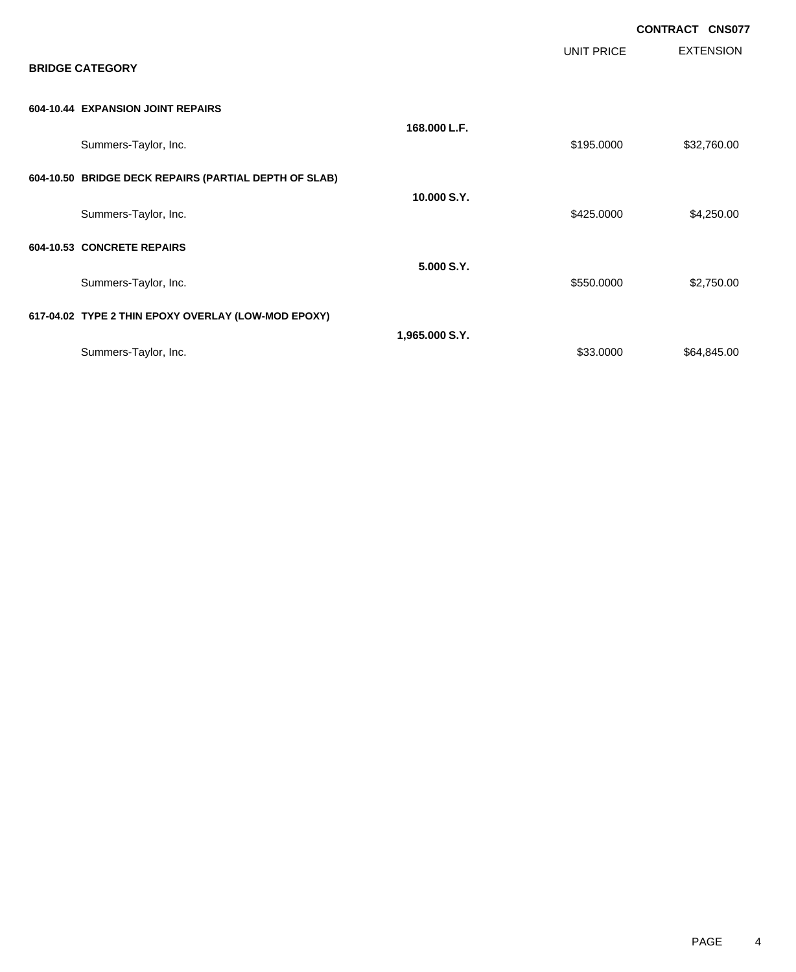|                                                       |                |            | <b>CONTRACT CNS077</b> |
|-------------------------------------------------------|----------------|------------|------------------------|
| <b>BRIDGE CATEGORY</b>                                |                | UNIT PRICE | <b>EXTENSION</b>       |
| 604-10.44 EXPANSION JOINT REPAIRS                     |                |            |                        |
| Summers-Taylor, Inc.                                  | 168,000 L.F.   | \$195.0000 | \$32,760.00            |
| 604-10.50 BRIDGE DECK REPAIRS (PARTIAL DEPTH OF SLAB) |                |            |                        |
| Summers-Taylor, Inc.                                  | 10.000 S.Y.    | \$425.0000 | \$4,250.00             |
| 604-10.53 CONCRETE REPAIRS                            |                |            |                        |
| Summers-Taylor, Inc.                                  | 5.000 S.Y.     | \$550.0000 | \$2,750.00             |
| 617-04.02 TYPE 2 THIN EPOXY OVERLAY (LOW-MOD EPOXY)   |                |            |                        |
| Summers-Taylor, Inc.                                  | 1,965.000 S.Y. | \$33.0000  | \$64,845.00            |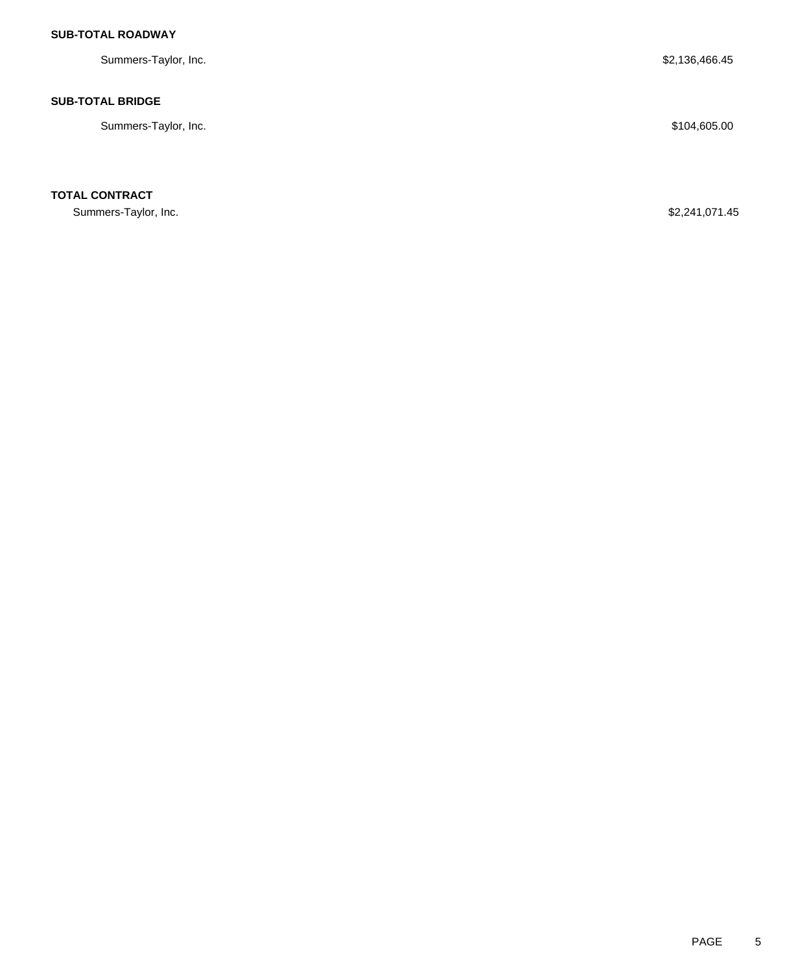## **SUB-TOTAL ROADWAY**

Summers-Taylor, Inc. \$2,136,466.45

#### **SUB-TOTAL BRIDGE**

Summers-Taylor, Inc. \$104,605.00

**TOTAL CONTRACT**

Summers-Taylor, Inc. \$2,241,071.45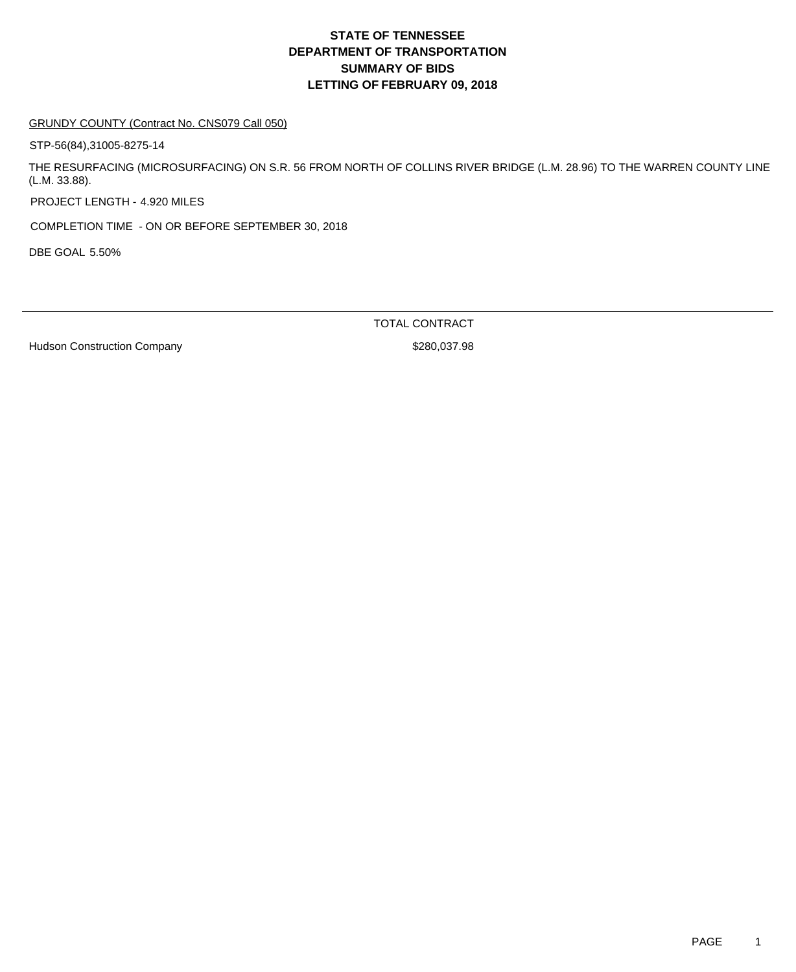#### GRUNDY COUNTY (Contract No. CNS079 Call 050)

STP-56(84),31005-8275-14

THE RESURFACING (MICROSURFACING) ON S.R. 56 FROM NORTH OF COLLINS RIVER BRIDGE (L.M. 28.96) TO THE WARREN COUNTY LINE (L.M. 33.88).

PROJECT LENGTH - 4.920 MILES

COMPLETION TIME - ON OR BEFORE SEPTEMBER 30, 2018

DBE GOAL 5.50%

TOTAL CONTRACT

Hudson Construction Company **\$280,037.98**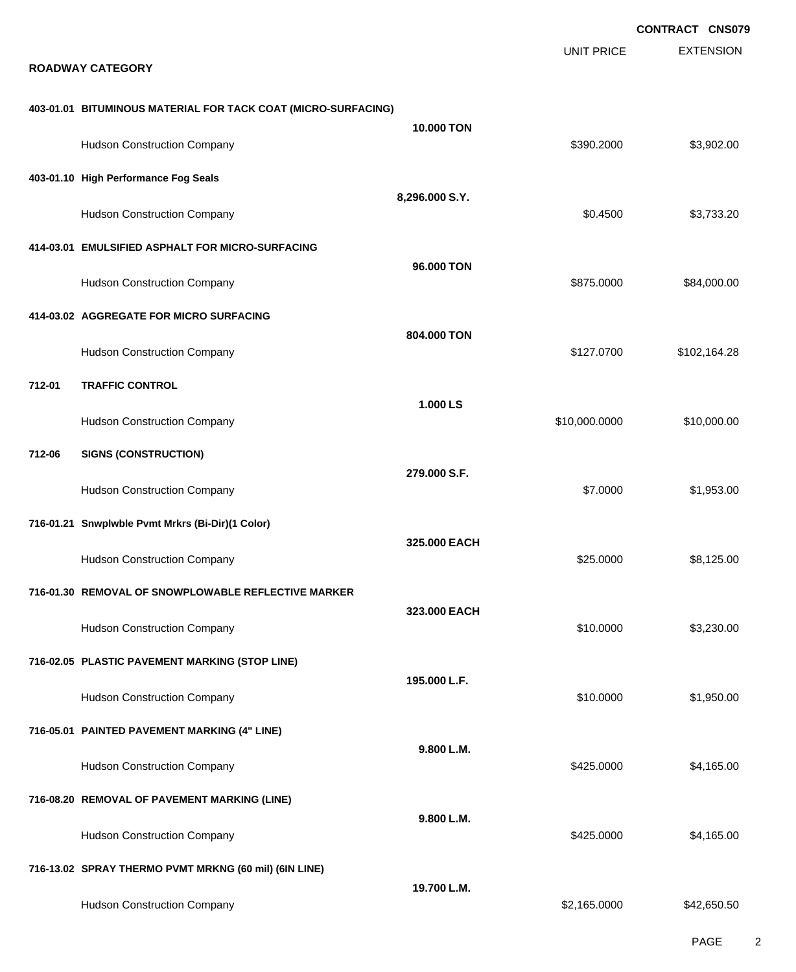|                                                               |                   |                   | <b>CONTRACT CNS079</b> |
|---------------------------------------------------------------|-------------------|-------------------|------------------------|
| <b>ROADWAY CATEGORY</b>                                       |                   | <b>UNIT PRICE</b> | <b>EXTENSION</b>       |
| 403-01.01 BITUMINOUS MATERIAL FOR TACK COAT (MICRO-SURFACING) |                   |                   |                        |
| <b>Hudson Construction Company</b>                            | <b>10,000 TON</b> | \$390.2000        | \$3,902.00             |
| 403-01.10 High Performance Fog Seals                          |                   |                   |                        |
| <b>Hudson Construction Company</b>                            | 8,296.000 S.Y.    | \$0.4500          | \$3,733.20             |
| 414-03.01 EMULSIFIED ASPHALT FOR MICRO-SURFACING              |                   |                   |                        |
| <b>Hudson Construction Company</b>                            | 96.000 TON        | \$875.0000        | \$84,000.00            |
| 414-03.02 AGGREGATE FOR MICRO SURFACING                       | 804.000 TON       |                   |                        |
| <b>Hudson Construction Company</b>                            |                   | \$127.0700        | \$102,164.28           |
| 712-01<br><b>TRAFFIC CONTROL</b>                              | 1.000 LS          |                   |                        |
| <b>Hudson Construction Company</b>                            |                   | \$10,000.0000     | \$10,000.00            |
| <b>SIGNS (CONSTRUCTION)</b><br>712-06                         | 279.000 S.F.      |                   |                        |
| <b>Hudson Construction Company</b>                            |                   | \$7.0000          | \$1,953.00             |
| 716-01.21 Snwplwble Pvmt Mrkrs (Bi-Dir)(1 Color)              |                   |                   |                        |
| <b>Hudson Construction Company</b>                            | 325.000 EACH      | \$25.0000         | \$8,125.00             |
| 716-01.30 REMOVAL OF SNOWPLOWABLE REFLECTIVE MARKER           |                   |                   |                        |
| <b>Hudson Construction Company</b>                            | 323.000 EACH      | \$10.0000         | \$3,230.00             |
| 716-02.05 PLASTIC PAVEMENT MARKING (STOP LINE)                | 195.000 L.F.      |                   |                        |
| <b>Hudson Construction Company</b>                            |                   | \$10.0000         | \$1,950.00             |
| 716-05.01 PAINTED PAVEMENT MARKING (4" LINE)                  | 9.800 L.M.        |                   |                        |
| <b>Hudson Construction Company</b>                            |                   | \$425.0000        | \$4,165.00             |
| 716-08.20 REMOVAL OF PAVEMENT MARKING (LINE)                  |                   |                   |                        |
| <b>Hudson Construction Company</b>                            | 9.800 L.M.        | \$425.0000        | \$4,165.00             |
| 716-13.02 SPRAY THERMO PVMT MRKNG (60 mil) (6IN LINE)         |                   |                   |                        |
| <b>Hudson Construction Company</b>                            | 19.700 L.M.       | \$2,165.0000      | \$42,650.50            |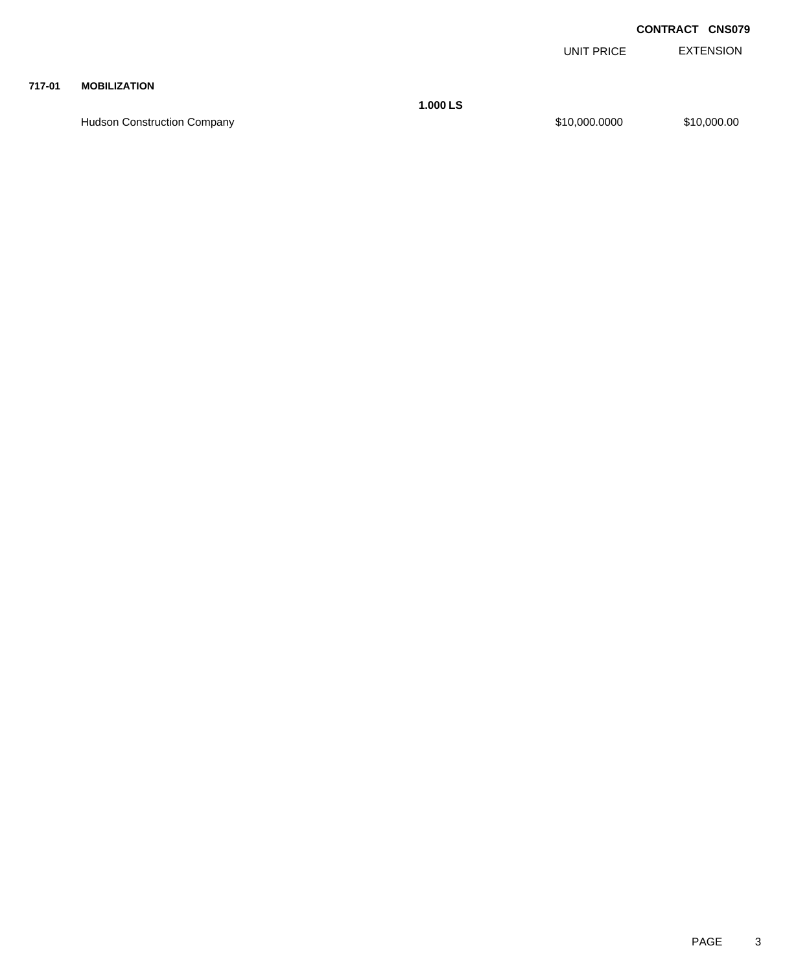EXTENSION UNIT PRICE

#### **717-01 MOBILIZATION**

Hudson Construction Company 610,000.000 \$10,000.000 \$10,000.000 \$10,000.000 \$10,000.00

**1.000 LS**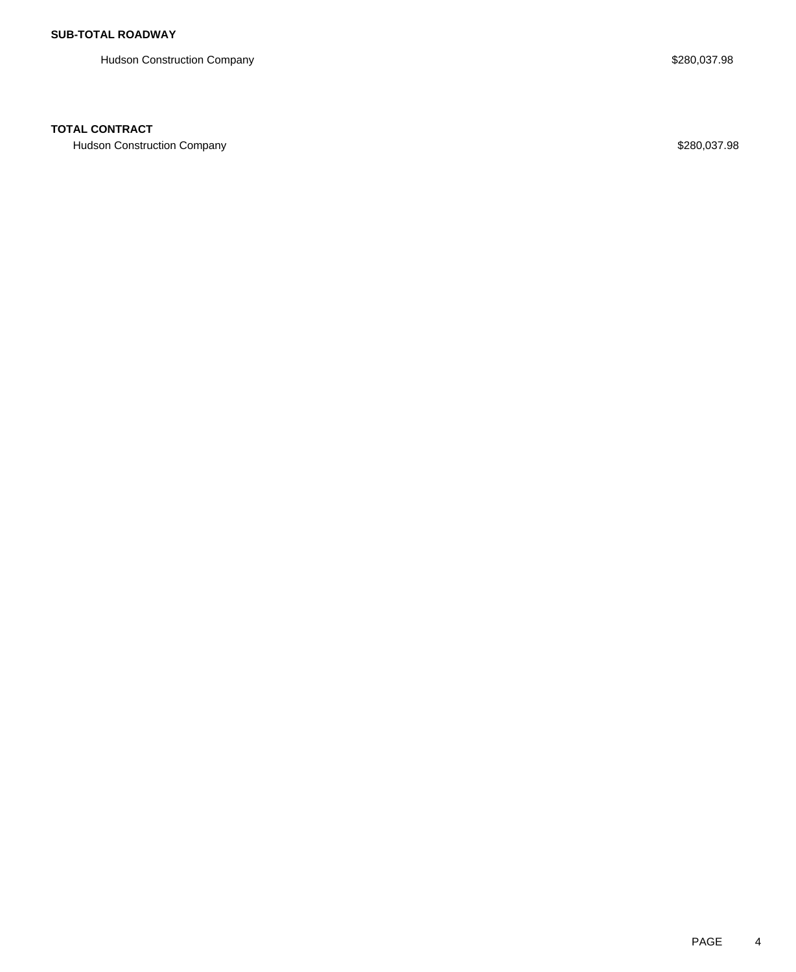Hudson Construction Company **\$280,037.98** 

### **TOTAL CONTRACT**

Hudson Construction Company **\$280,037.98**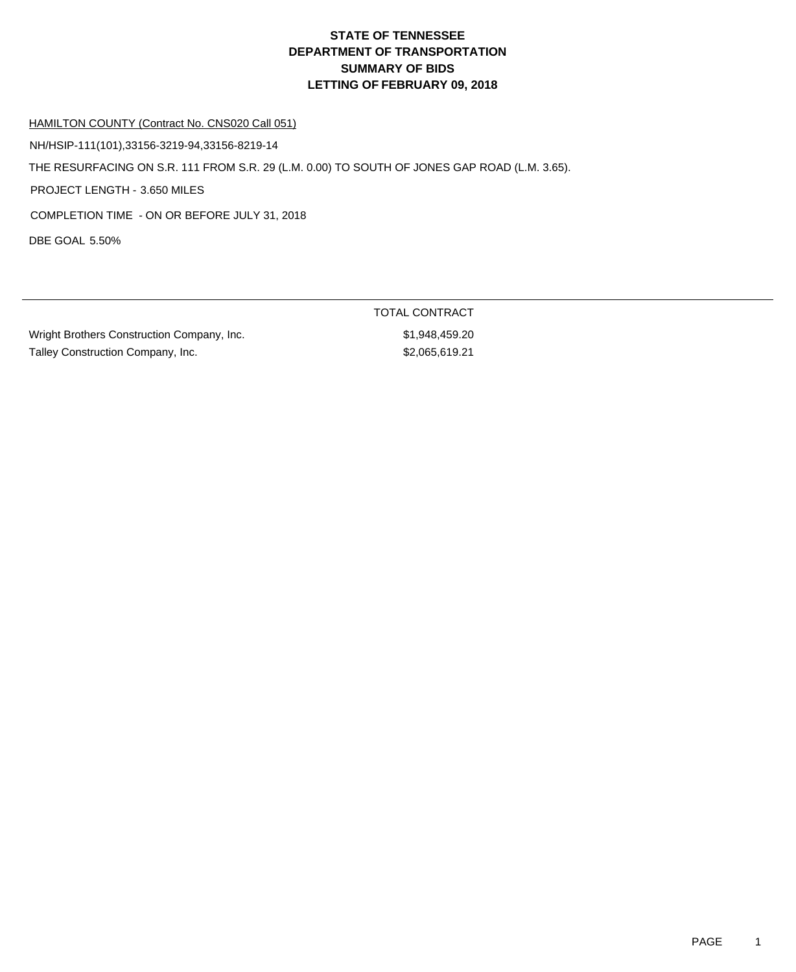#### HAMILTON COUNTY (Contract No. CNS020 Call 051)

NH/HSIP-111(101),33156-3219-94,33156-8219-14

THE RESURFACING ON S.R. 111 FROM S.R. 29 (L.M. 0.00) TO SOUTH OF JONES GAP ROAD (L.M. 3.65).

PROJECT LENGTH - 3.650 MILES

COMPLETION TIME - ON OR BEFORE JULY 31, 2018

DBE GOAL 5.50%

Wright Brothers Construction Company, Inc.  $$1,948,459.20$ Talley Construction Company, Inc. 6. The state of the state of the state of the state of the state of the state of the state of the state of the state of the state of the state of the state of the state of the state of the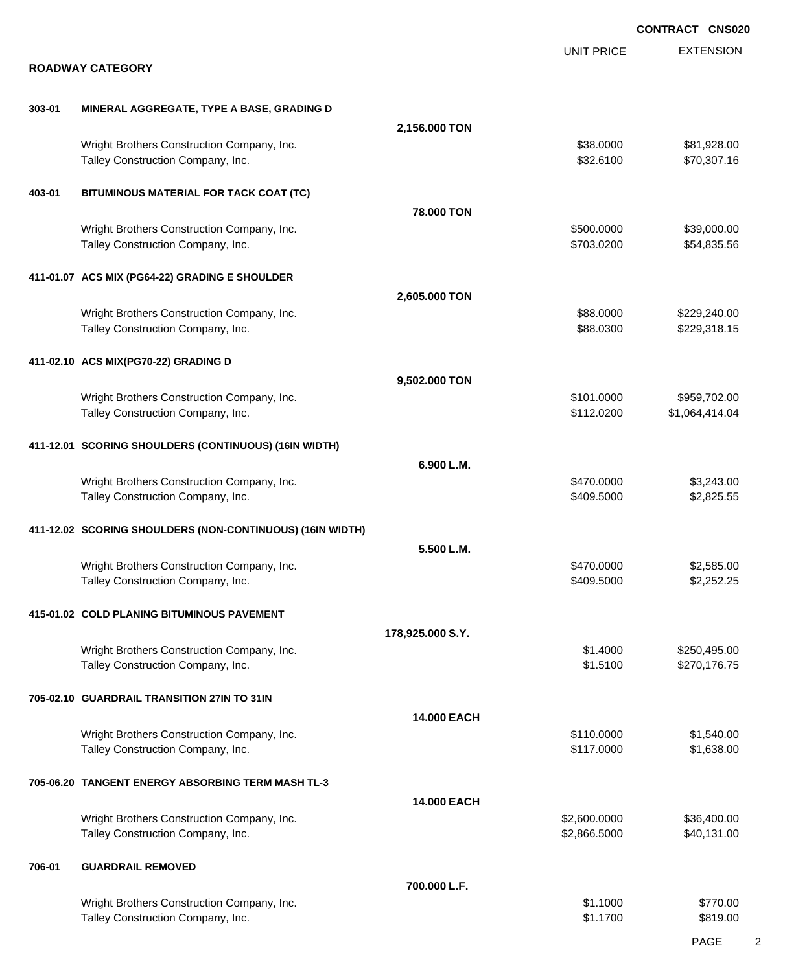|        |                                                                                 |                  |                          | <b>CONTRACT CNS020</b>       |
|--------|---------------------------------------------------------------------------------|------------------|--------------------------|------------------------------|
|        |                                                                                 |                  | <b>UNIT PRICE</b>        | <b>EXTENSION</b>             |
|        | <b>ROADWAY CATEGORY</b>                                                         |                  |                          |                              |
| 303-01 | MINERAL AGGREGATE, TYPE A BASE, GRADING D                                       |                  |                          |                              |
|        |                                                                                 | 2,156.000 TON    |                          |                              |
|        | Wright Brothers Construction Company, Inc.<br>Talley Construction Company, Inc. |                  | \$38.0000<br>\$32.6100   | \$81,928.00<br>\$70,307.16   |
| 403-01 | BITUMINOUS MATERIAL FOR TACK COAT (TC)                                          |                  |                          |                              |
|        |                                                                                 | 78.000 TON       |                          |                              |
|        | Wright Brothers Construction Company, Inc.<br>Talley Construction Company, Inc. |                  | \$500.0000<br>\$703.0200 | \$39,000.00<br>\$54,835.56   |
|        | 411-01.07 ACS MIX (PG64-22) GRADING E SHOULDER                                  |                  |                          |                              |
|        |                                                                                 | 2,605.000 TON    |                          |                              |
|        | Wright Brothers Construction Company, Inc.<br>Talley Construction Company, Inc. |                  | \$88.0000<br>\$88.0300   | \$229,240.00<br>\$229,318.15 |
|        | 411-02.10 ACS MIX(PG70-22) GRADING D                                            |                  |                          |                              |
|        |                                                                                 | 9,502.000 TON    |                          |                              |
|        | Wright Brothers Construction Company, Inc.                                      |                  | \$101.0000               | \$959,702.00                 |
|        | Talley Construction Company, Inc.                                               |                  | \$112.0200               | \$1,064,414.04               |
|        | 411-12.01 SCORING SHOULDERS (CONTINUOUS) (16IN WIDTH)                           |                  |                          |                              |
|        |                                                                                 | 6.900 L.M.       |                          |                              |
|        | Wright Brothers Construction Company, Inc.<br>Talley Construction Company, Inc. |                  | \$470.0000<br>\$409.5000 | \$3,243.00<br>\$2,825.55     |
|        | 411-12.02 SCORING SHOULDERS (NON-CONTINUOUS) (16IN WIDTH)                       |                  |                          |                              |
|        |                                                                                 | 5.500 L.M.       |                          |                              |
|        | Wright Brothers Construction Company, Inc.                                      |                  | \$470,0000               | \$2,585.00                   |
|        | Talley Construction Company, Inc.                                               |                  | \$409.5000               | \$2,252.25                   |
|        | 415-01.02 COLD PLANING BITUMINOUS PAVEMENT                                      |                  |                          |                              |
|        |                                                                                 | 178,925.000 S.Y. |                          |                              |
|        | Wright Brothers Construction Company, Inc.<br>Talley Construction Company, Inc. |                  | \$1.4000<br>\$1.5100     | \$250,495.00<br>\$270,176.75 |
|        | 705-02.10 GUARDRAIL TRANSITION 27IN TO 31IN                                     |                  |                          |                              |
|        |                                                                                 | 14.000 EACH      |                          |                              |
|        | Wright Brothers Construction Company, Inc.                                      |                  | \$110.0000               | \$1,540.00                   |
|        | Talley Construction Company, Inc.                                               |                  | \$117.0000               | \$1,638.00                   |
|        | 705-06.20 TANGENT ENERGY ABSORBING TERM MASH TL-3                               |                  |                          |                              |
|        |                                                                                 | 14.000 EACH      |                          |                              |
|        | Wright Brothers Construction Company, Inc.                                      |                  | \$2,600.0000             | \$36,400.00                  |
|        | Talley Construction Company, Inc.                                               |                  | \$2,866.5000             | \$40,131.00                  |
| 706-01 | <b>GUARDRAIL REMOVED</b>                                                        |                  |                          |                              |
|        |                                                                                 | 700.000 L.F.     |                          |                              |
|        | Wright Brothers Construction Company, Inc.                                      |                  | \$1.1000                 | \$770.00                     |
|        | Talley Construction Company, Inc.                                               |                  | \$1.1700                 | \$819.00                     |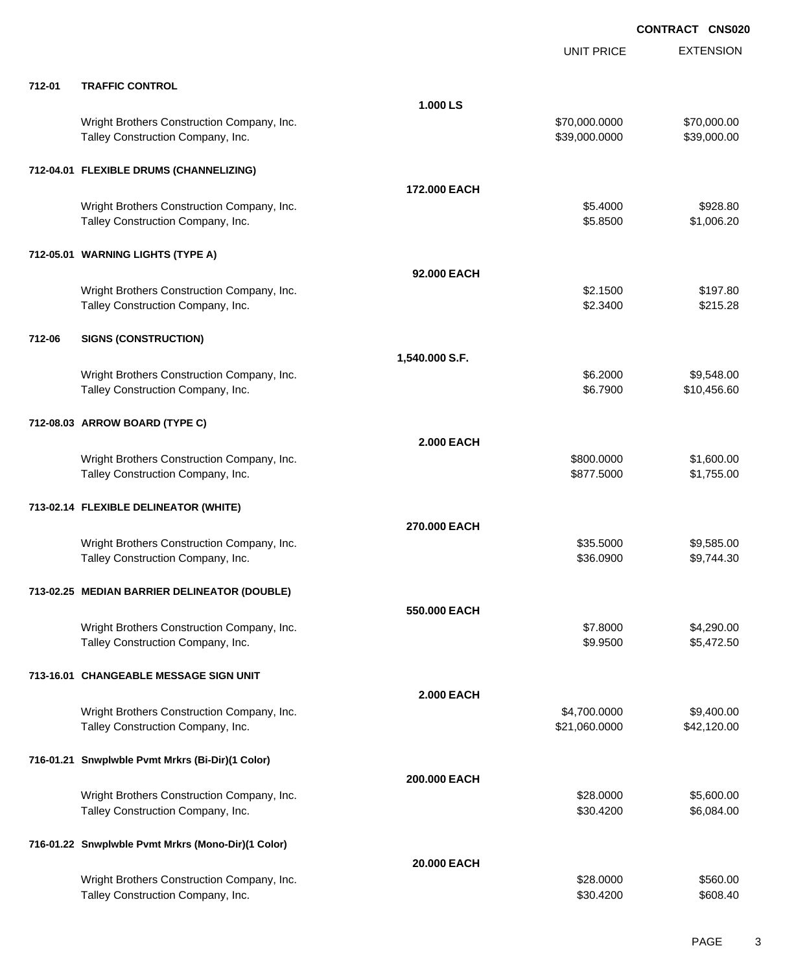|        |                                                                                 |                   | <b>UNIT PRICE</b>              | <b>EXTENSION</b>           |
|--------|---------------------------------------------------------------------------------|-------------------|--------------------------------|----------------------------|
| 712-01 | <b>TRAFFIC CONTROL</b>                                                          |                   |                                |                            |
|        |                                                                                 | 1.000 LS          |                                |                            |
|        | Wright Brothers Construction Company, Inc.<br>Talley Construction Company, Inc. |                   | \$70,000.0000<br>\$39,000.0000 | \$70,000.00<br>\$39,000.00 |
|        | 712-04.01 FLEXIBLE DRUMS (CHANNELIZING)                                         |                   |                                |                            |
|        |                                                                                 | 172,000 EACH      |                                |                            |
|        | Wright Brothers Construction Company, Inc.<br>Talley Construction Company, Inc. |                   | \$5.4000<br>\$5.8500           | \$928.80<br>\$1,006.20     |
|        | 712-05.01 WARNING LIGHTS (TYPE A)                                               |                   |                                |                            |
|        |                                                                                 | 92.000 EACH       |                                |                            |
|        | Wright Brothers Construction Company, Inc.<br>Talley Construction Company, Inc. |                   | \$2.1500<br>\$2.3400           | \$197.80<br>\$215.28       |
| 712-06 | <b>SIGNS (CONSTRUCTION)</b>                                                     |                   |                                |                            |
|        |                                                                                 | 1,540.000 S.F.    |                                |                            |
|        | Wright Brothers Construction Company, Inc.<br>Talley Construction Company, Inc. |                   | \$6.2000<br>\$6.7900           | \$9,548.00<br>\$10,456.60  |
|        | 712-08.03 ARROW BOARD (TYPE C)                                                  |                   |                                |                            |
|        |                                                                                 | <b>2.000 EACH</b> |                                |                            |
|        | Wright Brothers Construction Company, Inc.<br>Talley Construction Company, Inc. |                   | \$800.0000<br>\$877.5000       | \$1,600.00<br>\$1,755.00   |
|        | 713-02.14 FLEXIBLE DELINEATOR (WHITE)                                           |                   |                                |                            |
|        |                                                                                 | 270.000 EACH      |                                |                            |
|        | Wright Brothers Construction Company, Inc.<br>Talley Construction Company, Inc. |                   | \$35.5000<br>\$36.0900         | \$9,585.00<br>\$9,744.30   |
|        | 713-02.25 MEDIAN BARRIER DELINEATOR (DOUBLE)                                    |                   |                                |                            |
|        |                                                                                 | 550,000 EACH      |                                |                            |
|        | Wright Brothers Construction Company, Inc.<br>Talley Construction Company, Inc. |                   | \$7.8000<br>\$9.9500           | \$4,290.00<br>\$5,472.50   |
|        | 713-16.01 CHANGEABLE MESSAGE SIGN UNIT                                          |                   |                                |                            |
|        |                                                                                 | <b>2.000 EACH</b> |                                |                            |
|        | Wright Brothers Construction Company, Inc.<br>Talley Construction Company, Inc. |                   | \$4,700.0000<br>\$21,060.0000  | \$9,400.00<br>\$42,120.00  |
|        | 716-01.21 Snwplwble Pvmt Mrkrs (Bi-Dir)(1 Color)                                |                   |                                |                            |
|        |                                                                                 | 200.000 EACH      |                                |                            |
|        | Wright Brothers Construction Company, Inc.<br>Talley Construction Company, Inc. |                   | \$28.0000<br>\$30.4200         | \$5,600.00<br>\$6,084.00   |
|        | 716-01.22 Snwplwble Pvmt Mrkrs (Mono-Dir)(1 Color)                              |                   |                                |                            |
|        |                                                                                 | 20.000 EACH       |                                |                            |
|        | Wright Brothers Construction Company, Inc.<br>Talley Construction Company, Inc. |                   | \$28.0000<br>\$30.4200         | \$560.00<br>\$608.40       |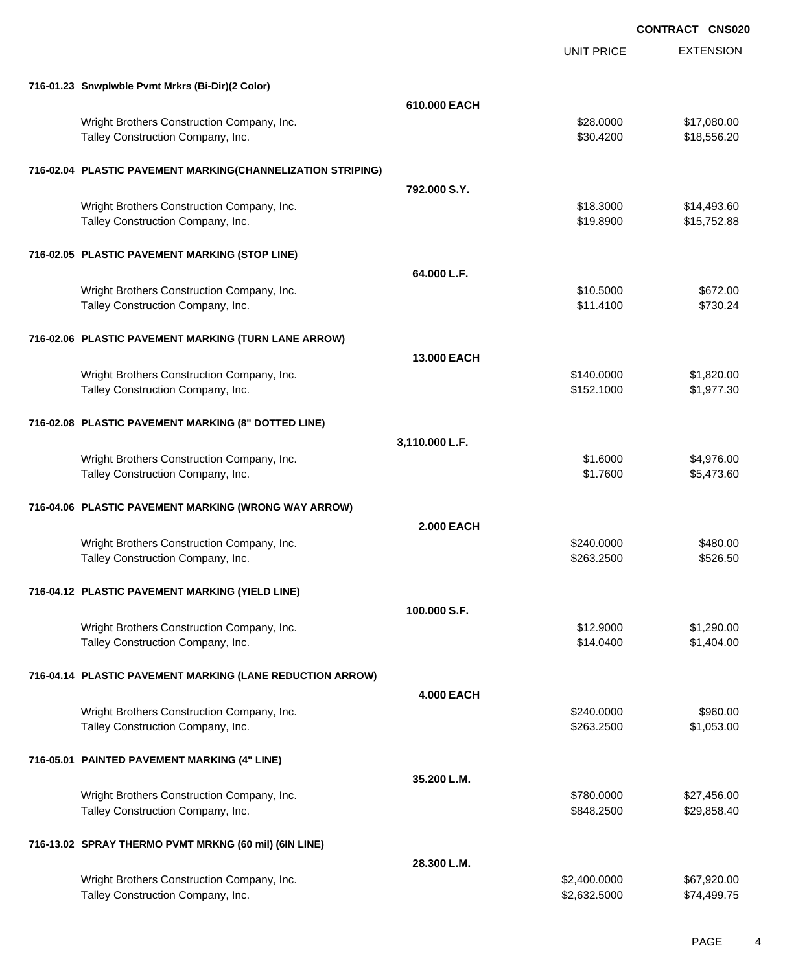EXTENSION **CONTRACT CNS020** UNIT PRICE **716-01.23 Snwplwble Pvmt Mrkrs (Bi-Dir)(2 Color) 610.000 EACH** Wright Brothers Construction Company, Inc. 6. The Construction Company, Inc. \$28.0000 \$17,080.00 Talley Construction Company, Inc. 6. The Construction Company, Inc. 6. The Construction Company, Inc. 6. The Construction Company, Inc. 6. The Construction Company, Inc. 6. The Construction Company, Inc. 6. The Constructio **716-02.04 PLASTIC PAVEMENT MARKING(CHANNELIZATION STRIPING) 792.000 S.Y.** Wright Brothers Construction Company, Inc.  $$14,493.60$ Talley Construction Company, Inc. 6. The Construction Company, Inc. 6. The Construction Company, Inc. 6. The Construction Company, Inc. 6. The Construction Company, Inc. 6. The Construction Company, Inc. 6. The Constructio **716-02.05 PLASTIC PAVEMENT MARKING (STOP LINE) 64.000 L.F.** Wright Brothers Construction Company, Inc. \$10.5000 \$672.00 Talley Construction Company, Inc. 6730.24 **716-02.06 PLASTIC PAVEMENT MARKING (TURN LANE ARROW) 13.000 EACH** Wright Brothers Construction Company, Inc. 6. 2008 6. 2010 12:30 \$140.0000 \$1,820.00 Talley Construction Company, Inc. 6. The Construction Company, Inc. 6. The Construction Company, Inc. 6. The Construction Company, Inc. 6. The Construction Company, Inc. 6. The Construction Company, Inc. 6. The Constructio **716-02.08 PLASTIC PAVEMENT MARKING (8" DOTTED LINE) 3,110.000 L.F.** Wright Brothers Construction Company, Inc. 6. 2012 12:30 12:30 12:30 12:30 12:30 12:30 12:30 12:30 12:30 12:30 Talley Construction Company, Inc. 6. The Construction Company, Inc. 6. The Construction Company, Inc. 6. The Construction Company, Inc. 6. The Construction Company, Inc. 6. The Construction Company, Inc. 6. The Constructio **716-04.06 PLASTIC PAVEMENT MARKING (WRONG WAY ARROW) 2.000 EACH** Wright Brothers Construction Company, Inc. 6480.000 \$480.000 \$480.00 Talley Construction Company, Inc. 6526.50 \$526.50 \$526.50 \$526.50 **716-04.12 PLASTIC PAVEMENT MARKING (YIELD LINE) 100.000 S.F.** Wright Brothers Construction Company, Inc. 6. 2002 6. 2012. \$12.9000 \$1,290.00 Talley Construction Company, Inc. 6. The Construction Company, Inc. 6. The Construction Company, Inc. 6. The Construction Company, Inc. 6. The Construction Company, Inc. 6. The Construction Company, Inc. 6. The Constructio **716-04.14 PLASTIC PAVEMENT MARKING (LANE REDUCTION ARROW) 4.000 EACH** Wright Brothers Construction Company, Inc. 6. The Construction Company, Inc. 6240.0000 \$960.00 Talley Construction Company, Inc. 6. The Construction Company, Inc. 6. The Construction Company, Inc. 6. The Construction Company, Inc. 6. The Construction Company, Inc. 6. The Construction Company, Inc. 6. The Constructio **716-05.01 PAINTED PAVEMENT MARKING (4" LINE) 35.200 L.M.** Wright Brothers Construction Company, Inc. 6. The Construction Company, Inc. 627,456.00 Talley Construction Company, Inc. 6. The Construction Company, Inc. 6. The Construction Company, Inc. 6. The Construction Company, Inc. 6. The Construction Company, Inc. 6. The Construction Company, Inc. 6. The Constructio **716-13.02 SPRAY THERMO PVMT MRKNG (60 mil) (6IN LINE) 28.300 L.M.** Wright Brothers Construction Company, Inc. 6.67 (2000) 667,920.000 \$2,400.0000 \$67,920.00 Talley Construction Company, Inc. 6. The Construction Company, Inc. 6. The Construction Company, Inc. 632.5000 \$74,499.75

PAGE 4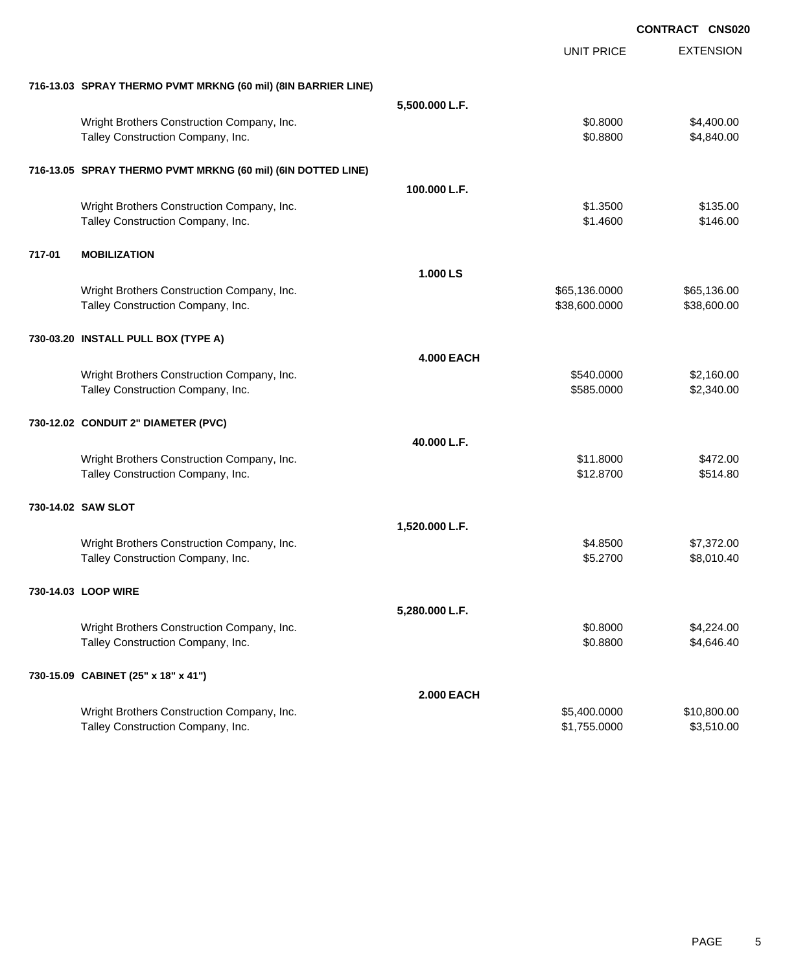|        |                                                                                 |                   |                              | <b>CONTRACT CNS020</b>    |
|--------|---------------------------------------------------------------------------------|-------------------|------------------------------|---------------------------|
|        |                                                                                 |                   | <b>UNIT PRICE</b>            | <b>EXTENSION</b>          |
|        | 716-13.03 SPRAY THERMO PVMT MRKNG (60 mil) (8IN BARRIER LINE)                   |                   |                              |                           |
|        |                                                                                 | 5,500.000 L.F.    |                              |                           |
|        | Wright Brothers Construction Company, Inc.<br>Talley Construction Company, Inc. |                   | \$0.8000<br>\$0.8800         | \$4,400.00<br>\$4,840.00  |
|        | 716-13.05 SPRAY THERMO PVMT MRKNG (60 mil) (6IN DOTTED LINE)                    |                   |                              |                           |
|        |                                                                                 | 100.000 L.F.      |                              |                           |
|        | Wright Brothers Construction Company, Inc.<br>Talley Construction Company, Inc. |                   | \$1.3500<br>\$1.4600         | \$135.00<br>\$146.00      |
| 717-01 | <b>MOBILIZATION</b>                                                             |                   |                              |                           |
|        |                                                                                 | 1.000 LS          |                              |                           |
|        | Wright Brothers Construction Company, Inc.                                      |                   | \$65,136.0000                | \$65,136.00               |
|        | Talley Construction Company, Inc.                                               |                   | \$38,600.0000                | \$38,600.00               |
|        | 730-03.20 INSTALL PULL BOX (TYPE A)                                             |                   |                              |                           |
|        |                                                                                 | <b>4.000 EACH</b> |                              |                           |
|        | Wright Brothers Construction Company, Inc.<br>Talley Construction Company, Inc. |                   | \$540.0000<br>\$585.0000     | \$2,160.00<br>\$2,340.00  |
|        | 730-12.02 CONDUIT 2" DIAMETER (PVC)                                             |                   |                              |                           |
|        |                                                                                 | 40.000 L.F.       |                              |                           |
|        | Wright Brothers Construction Company, Inc.<br>Talley Construction Company, Inc. |                   | \$11.8000<br>\$12.8700       | \$472.00<br>\$514.80      |
|        | 730-14.02 SAW SLOT                                                              |                   |                              |                           |
|        |                                                                                 | 1,520.000 L.F.    |                              |                           |
|        | Wright Brothers Construction Company, Inc.<br>Talley Construction Company, Inc. |                   | \$4,8500<br>\$5.2700         | \$7,372.00<br>\$8,010.40  |
|        | 730-14.03 LOOP WIRE                                                             |                   |                              |                           |
|        |                                                                                 | 5,280.000 L.F.    |                              |                           |
|        | Wright Brothers Construction Company, Inc.<br>Talley Construction Company, Inc. |                   | \$0.8000<br>\$0.8800         | \$4,224.00<br>\$4,646.40  |
|        | 730-15.09 CABINET (25" x 18" x 41")                                             |                   |                              |                           |
|        |                                                                                 | <b>2.000 EACH</b> |                              |                           |
|        | Wright Brothers Construction Company, Inc.<br>Talley Construction Company, Inc. |                   | \$5,400.0000<br>\$1,755.0000 | \$10,800.00<br>\$3,510.00 |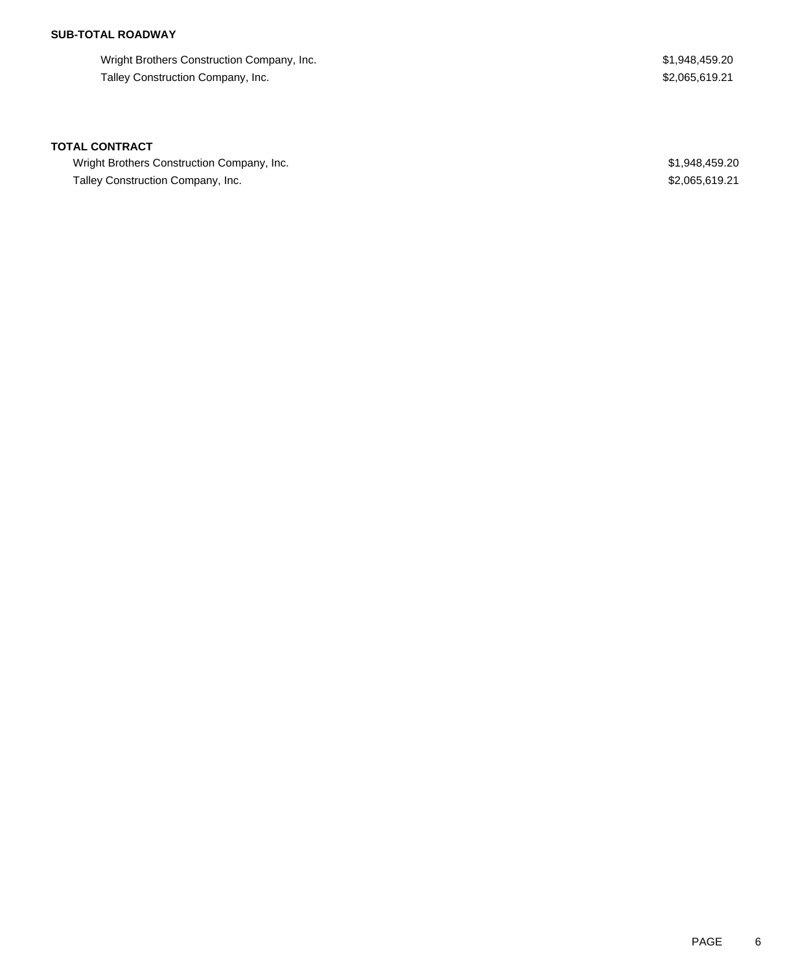## **SUB-TOTAL ROADWAY**

Wright Brothers Construction Company, Inc. 6. The State of the State of the State of State State State State State State State State State State State State State State State State State State State State State State State Talley Construction Company, Inc. 6. The state of the state of the state of the state of the state of the state of the state of the state of the state of the state of the state of the state of the state of the state of the

#### **TOTAL CONTRACT**

Wright Brothers Construction Company, Inc. 6 and the state of the state of the state of the state of the state of the state of the state of the state of the state of the state of the state of the state of the state of the Talley Construction Company, Inc. 6. The state of the state of the state of the state of the state of the state of the state of the state of the state of the state of the state of the state of the state of the state of the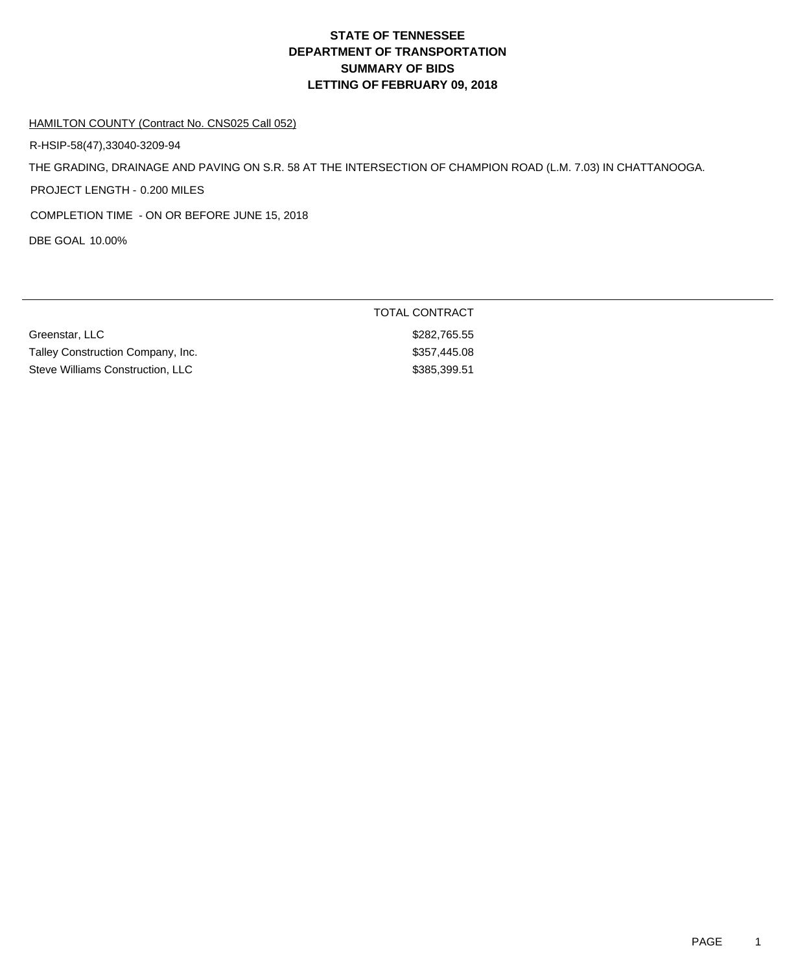#### HAMILTON COUNTY (Contract No. CNS025 Call 052)

R-HSIP-58(47),33040-3209-94

THE GRADING, DRAINAGE AND PAVING ON S.R. 58 AT THE INTERSECTION OF CHAMPION ROAD (L.M. 7.03) IN CHATTANOOGA.

PROJECT LENGTH - 0.200 MILES

COMPLETION TIME - ON OR BEFORE JUNE 15, 2018

DBE GOAL 10.00%

| Greenstar, LLC                    | \$282,765.55 |
|-----------------------------------|--------------|
| Talley Construction Company, Inc. | \$357,445.08 |
| Steve Williams Construction, LLC  | \$385.399.51 |

### TOTAL CONTRACT

\$282,765.55 \$357,445.08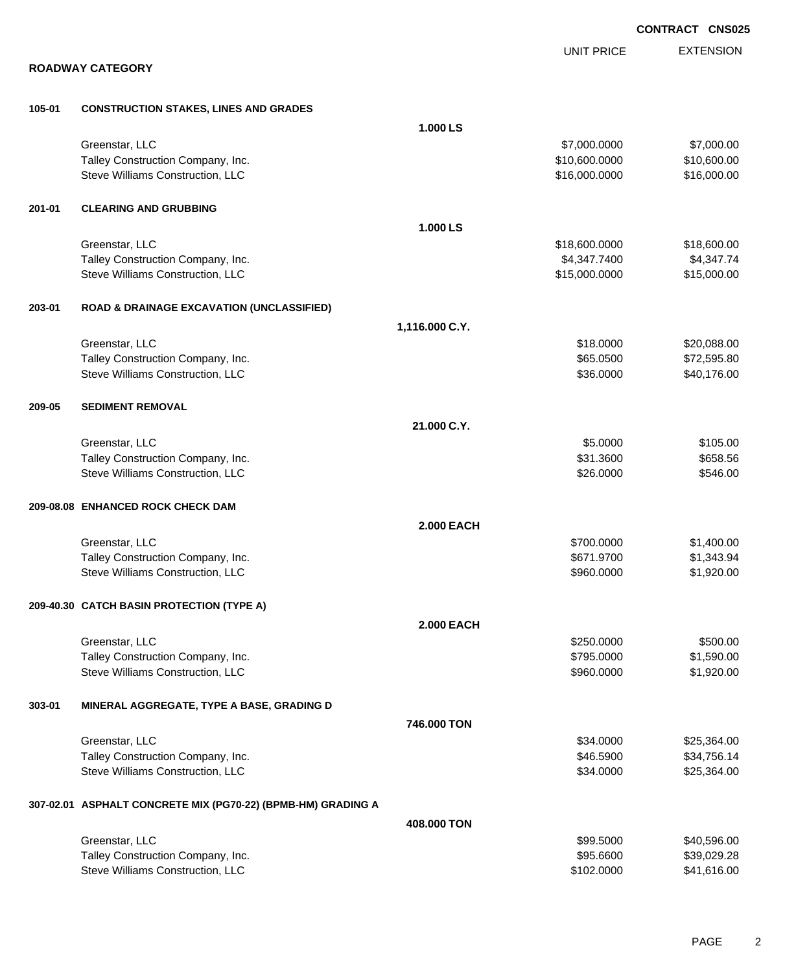|        |                                                              |                   |                   | <b>CONTRACT CNS025</b> |
|--------|--------------------------------------------------------------|-------------------|-------------------|------------------------|
|        |                                                              |                   | <b>UNIT PRICE</b> | <b>EXTENSION</b>       |
|        | <b>ROADWAY CATEGORY</b>                                      |                   |                   |                        |
| 105-01 | <b>CONSTRUCTION STAKES, LINES AND GRADES</b>                 |                   |                   |                        |
|        |                                                              | 1.000 LS          |                   |                        |
|        | Greenstar, LLC                                               |                   | \$7,000.0000      | \$7,000.00             |
|        | Talley Construction Company, Inc.                            |                   | \$10,600.0000     | \$10,600.00            |
|        | Steve Williams Construction, LLC                             |                   | \$16,000.0000     | \$16,000.00            |
| 201-01 | <b>CLEARING AND GRUBBING</b>                                 |                   |                   |                        |
|        |                                                              | 1.000 LS          |                   |                        |
|        | Greenstar, LLC                                               |                   | \$18,600.0000     | \$18,600.00            |
|        | Talley Construction Company, Inc.                            |                   | \$4,347.7400      | \$4,347.74             |
|        | Steve Williams Construction, LLC                             |                   | \$15,000.0000     | \$15,000.00            |
| 203-01 | <b>ROAD &amp; DRAINAGE EXCAVATION (UNCLASSIFIED)</b>         |                   |                   |                        |
|        |                                                              | 1,116.000 C.Y.    |                   |                        |
|        | Greenstar, LLC                                               |                   | \$18.0000         | \$20,088.00            |
|        | Talley Construction Company, Inc.                            |                   | \$65.0500         | \$72,595.80            |
|        | Steve Williams Construction, LLC                             |                   | \$36.0000         | \$40,176.00            |
| 209-05 | <b>SEDIMENT REMOVAL</b>                                      |                   |                   |                        |
|        |                                                              | 21.000 C.Y.       |                   |                        |
|        | Greenstar, LLC                                               |                   | \$5.0000          | \$105.00               |
|        | Talley Construction Company, Inc.                            |                   | \$31.3600         | \$658.56               |
|        | Steve Williams Construction, LLC                             |                   | \$26.0000         | \$546.00               |
|        | 209-08.08 ENHANCED ROCK CHECK DAM                            |                   |                   |                        |
|        |                                                              | <b>2.000 EACH</b> |                   |                        |
|        | Greenstar, LLC                                               |                   | \$700.0000        | \$1,400.00             |
|        | Talley Construction Company, Inc.                            |                   | \$671.9700        | \$1,343.94             |
|        | Steve Williams Construction, LLC                             |                   | \$960.0000        | \$1,920.00             |
|        | 209-40.30 CATCH BASIN PROTECTION (TYPE A)                    |                   |                   |                        |
|        |                                                              | <b>2.000 EACH</b> |                   |                        |
|        | Greenstar, LLC                                               |                   | \$250.0000        | \$500.00               |
|        | Talley Construction Company, Inc.                            |                   | \$795.0000        | \$1,590.00             |
|        | Steve Williams Construction, LLC                             |                   | \$960.0000        | \$1,920.00             |
| 303-01 | MINERAL AGGREGATE, TYPE A BASE, GRADING D                    |                   |                   |                        |
|        |                                                              | 746.000 TON       |                   |                        |
|        | Greenstar, LLC                                               |                   | \$34.0000         | \$25,364.00            |
|        | Talley Construction Company, Inc.                            |                   | \$46.5900         | \$34,756.14            |
|        | Steve Williams Construction, LLC                             |                   | \$34.0000         | \$25,364.00            |
|        | 307-02.01 ASPHALT CONCRETE MIX (PG70-22) (BPMB-HM) GRADING A |                   |                   |                        |
|        |                                                              | 408.000 TON       |                   |                        |
|        | Greenstar, LLC                                               |                   | \$99.5000         | \$40,596.00            |
|        | Talley Construction Company, Inc.                            |                   | \$95.6600         | \$39,029.28            |
|        | Steve Williams Construction, LLC                             |                   | \$102.0000        | \$41,616.00            |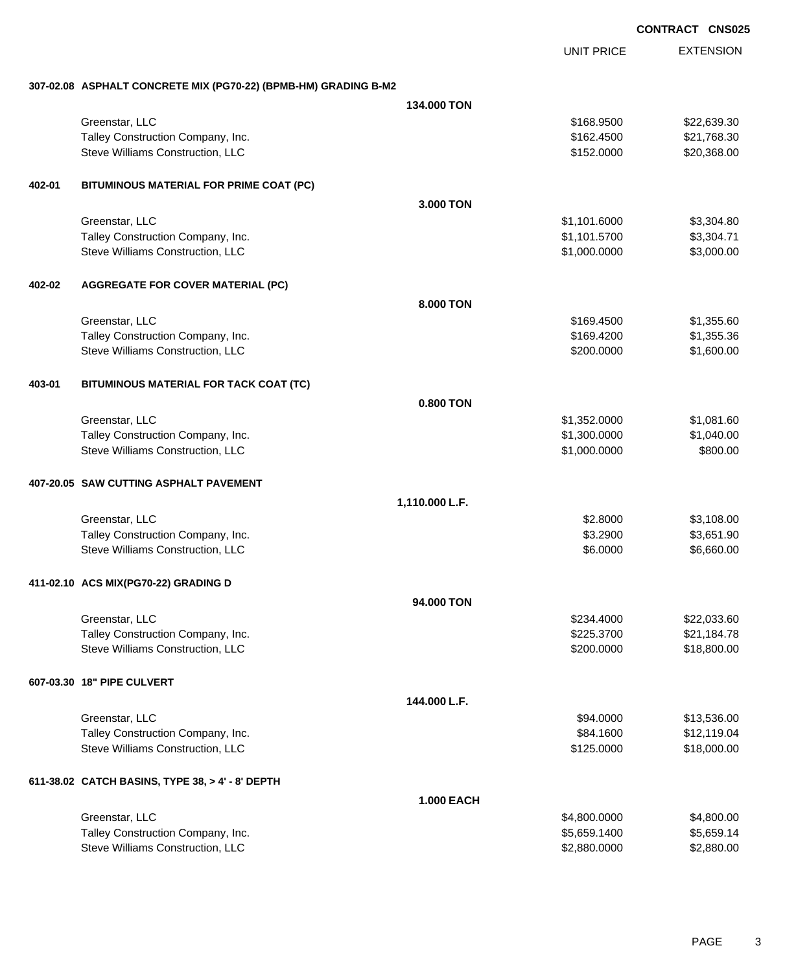EXTENSION **CONTRACT CNS025** UNIT PRICE **307-02.08 ASPHALT CONCRETE MIX (PG70-22) (BPMB-HM) GRADING B-M2 134.000 TON** Greenstar, LLC \$22,639.30 Talley Construction Company, Inc. 6. The Construction Company, Inc. 6. The Construction Company, Inc. 6. The Construction Company, Inc. 6. The Construction Company, Inc. 6. The Construction Company, Inc. 6. The Constructio Steve Williams Construction, LLC 68 and the steve of the steve of the steve of the steve of the steve of the steve of the steve of the steve of the steve of the steve of the steve of the steve of the steve of the steve of **402-01 BITUMINOUS MATERIAL FOR PRIME COAT (PC) 3.000 TON** Greenstar, LLC \$3,304.80 Talley Construction Company, Inc. 6. The state of the state of the state of the state of the state of the state of the state of the state of the state of the state of the state of the state of the state of the state of the Steve Williams Construction, LLC 6. The steve Williams Construction, LLC 6. The steve of the steve of the steve of the steve of the steve of the steve of the steve of the steve of the steve of the steve of the steve of the **402-02 AGGREGATE FOR COVER MATERIAL (PC) 8.000 TON** Greenstar, LLC \$169.4500 \$1,355.60 Talley Construction Company, Inc. 6. The Construction Company, Inc. 6. The Construction Company, Inc. 6. The Construction Company, Inc. 6. The Construction Company, Inc. 6. The Construction Company, Inc. 6. The Constructio Steve Williams Construction, LLC 600.000 \$1,600.00 \$1,600.00 **403-01 BITUMINOUS MATERIAL FOR TACK COAT (TC) 0.800 TON** Greenstar, LLC \$1,081.60 Talley Construction Company, Inc. 6. The Construction Company, Inc. 6. The Construction Company, Inc. 6. The Construction Company, Inc. 6. The Construction Company, Inc. 6. The Construction Company, Inc. 6. The Constructio Steve Williams Construction, LLC 66 and the steve of the steve of the steve of the steve of the steve of the steve of the steve of the steve of the steve of the steve of the steve of the steve of the steve of the steve of **407-20.05 SAW CUTTING ASPHALT PAVEMENT 1,110.000 L.F.** Greenstar, LLC \$3,108.00 \$3,108.00 Talley Construction Company, Inc. 6. The Construction Company, Inc. 6. The Construction Company, Inc. 6. The Construction Company, Inc. 6. The Construction Company, Inc. 6. The Construction Company, Inc. 6. The Constructio Steve Williams Construction, LLC 66.000 \$6,660.00 **411-02.10 ACS MIX(PG70-22) GRADING D 94.000 TON** Greenstar, LLC \$22,033.60 Talley Construction Company, Inc. 6. The Construction Company, Inc. 6. The Construction Company, Inc. 6. The Construction Company, Inc. 6. The Construction Company, Inc. 6. The Construction Company, Inc. 6. The Constructio Steve Williams Construction, LLC 6. The Construction of the Construction, LLC 618,800.000 \$18,800.00 **607-03.30 18" PIPE CULVERT 144.000 L.F.** Greenstar, LLC \$13,536.00 Talley Construction Company, Inc. 6. The Construction Company, Inc. 6. The Construction Company, Inc. 6. The Construction Company, Inc. 6. The Construction Company, Inc. 6. The Construction Company, Inc. 6. The Constructio Steve Williams Construction, LLC **\$125.0000** \$125.0000 \$18,000.00 **611-38.02 CATCH BASINS, TYPE 38, > 4' - 8' DEPTH 1.000 EACH** Greenstar, LLC \$4,800.0000 \$4,800.00

Talley Construction Company, Inc. 6. The Construction Company, Inc. 6. The Construction Company, Inc. 6.599.1400 \$5,659.1400 \$5,659.1400 Steve Williams Construction, LLC 6.880.000 \$2,880.000 \$2,880.000 \$2,880.000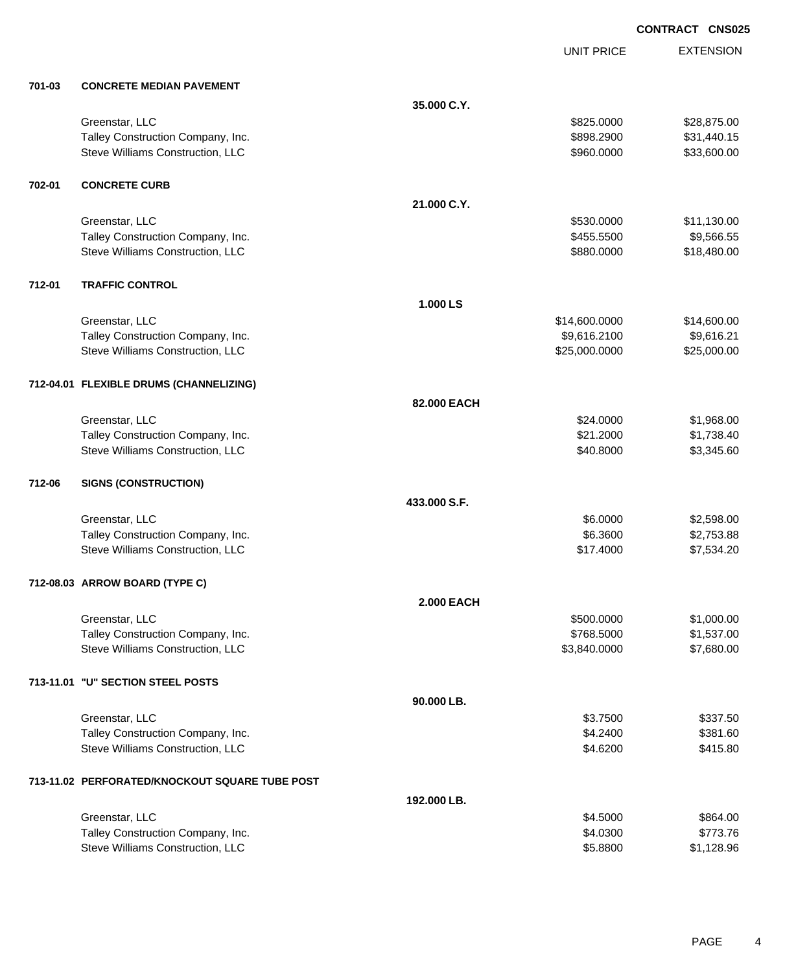UNIT PRICE EXTENSION

| 701-03 | <b>CONCRETE MEDIAN PAVEMENT</b> |
|--------|---------------------------------|
|        |                                 |

| 701-03 | <b>CONCRETE MEDIAN PAVEMENT</b>                |                   |               |             |
|--------|------------------------------------------------|-------------------|---------------|-------------|
|        |                                                | 35.000 C.Y.       |               |             |
|        | Greenstar, LLC                                 |                   | \$825.0000    | \$28,875.00 |
|        | Talley Construction Company, Inc.              |                   | \$898.2900    | \$31,440.15 |
|        | Steve Williams Construction, LLC               |                   | \$960.0000    | \$33,600.00 |
| 702-01 | <b>CONCRETE CURB</b>                           |                   |               |             |
|        |                                                | 21.000 C.Y.       |               |             |
|        | Greenstar, LLC                                 |                   | \$530.0000    | \$11,130.00 |
|        | Talley Construction Company, Inc.              |                   | \$455.5500    | \$9,566.55  |
|        | Steve Williams Construction, LLC               |                   | \$880.0000    | \$18,480.00 |
| 712-01 | <b>TRAFFIC CONTROL</b>                         |                   |               |             |
|        |                                                | 1.000 LS          |               |             |
|        | Greenstar, LLC                                 |                   | \$14,600.0000 | \$14,600.00 |
|        | Talley Construction Company, Inc.              |                   | \$9,616.2100  | \$9,616.21  |
|        | Steve Williams Construction, LLC               |                   | \$25,000.0000 | \$25,000.00 |
|        | 712-04.01 FLEXIBLE DRUMS (CHANNELIZING)        |                   |               |             |
|        |                                                | 82.000 EACH       |               |             |
|        | Greenstar, LLC                                 |                   | \$24.0000     | \$1,968.00  |
|        | Talley Construction Company, Inc.              |                   | \$21.2000     | \$1,738.40  |
|        | Steve Williams Construction, LLC               |                   | \$40.8000     | \$3,345.60  |
| 712-06 | <b>SIGNS (CONSTRUCTION)</b>                    |                   |               |             |
|        |                                                | 433,000 S.F.      |               |             |
|        | Greenstar, LLC                                 |                   | \$6.0000      | \$2,598.00  |
|        | Talley Construction Company, Inc.              |                   | \$6.3600      | \$2,753.88  |
|        | Steve Williams Construction, LLC               |                   | \$17.4000     | \$7,534.20  |
|        | 712-08.03 ARROW BOARD (TYPE C)                 |                   |               |             |
|        |                                                | <b>2.000 EACH</b> |               |             |
|        | Greenstar, LLC                                 |                   | \$500.0000    | \$1,000.00  |
|        | Talley Construction Company, Inc.              |                   | \$768.5000    | \$1,537.00  |
|        | Steve Williams Construction, LLC               |                   | \$3,840.0000  | \$7,680.00  |
|        | 713-11.01 "U" SECTION STEEL POSTS              |                   |               |             |
|        |                                                | 90.000 LB.        |               |             |
|        | Greenstar, LLC                                 |                   | \$3.7500      | \$337.50    |
|        | Talley Construction Company, Inc.              |                   | \$4.2400      | \$381.60    |
|        | Steve Williams Construction, LLC               |                   | \$4.6200      | \$415.80    |
|        | 713-11.02 PERFORATED/KNOCKOUT SQUARE TUBE POST |                   |               |             |
|        |                                                | 192.000 LB.       |               |             |
|        | Greenstar, LLC                                 |                   | \$4.5000      | \$864.00    |
|        | Talley Construction Company, Inc.              |                   | \$4.0300      | \$773.76    |
|        | Steve Williams Construction, LLC               |                   | \$5.8800      | \$1,128.96  |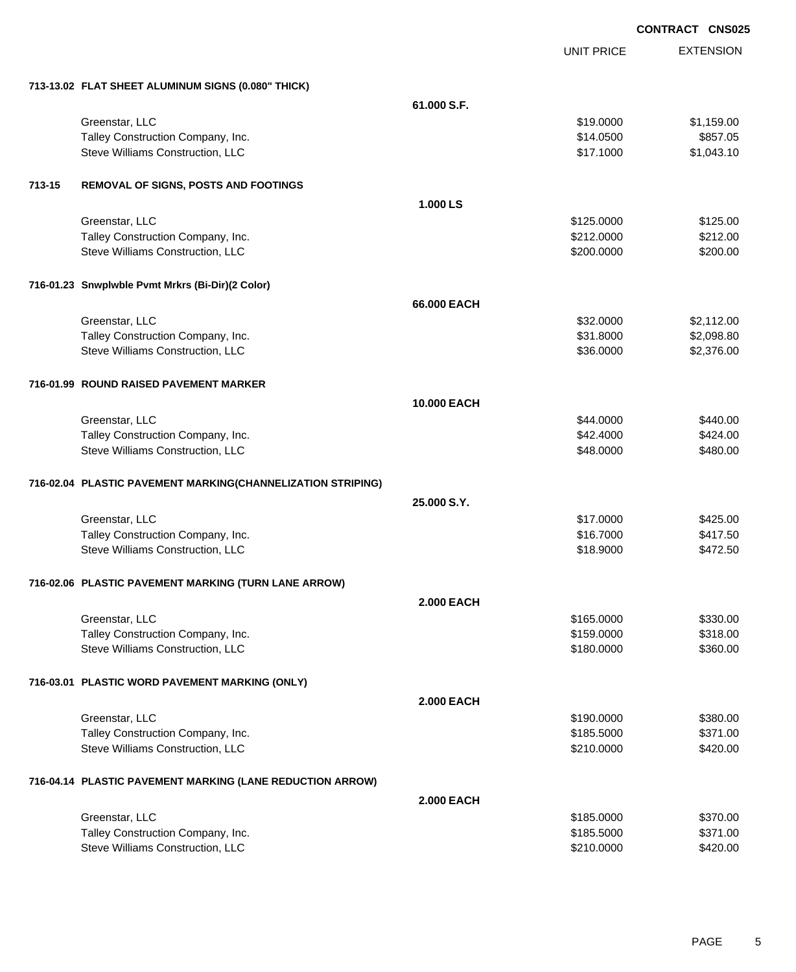EXTENSION **CONTRACT CNS025** UNIT PRICE **713-13.02 FLAT SHEET ALUMINUM SIGNS (0.080" THICK) 61.000 S.F.** Greenstar, LLC \$1,159.00 Talley Construction Company, Inc. 6857.05 Steve Williams Construction, LLC 6. The Construction of the Construction of the Construction, LLC 6. The Construction of the Construction of the Construction of the Construction of the Construction of the Construction of t **713-15 REMOVAL OF SIGNS, POSTS AND FOOTINGS 1.000 LS** Greenstar, LLC \$125.000 \$125.000 \$125.000 \$125.000 \$125.000 \$125.000 \$125.000 \$125.00 Talley Construction Company, Inc. 6212.000 \$212.000 \$212.000 \$212.000 Steve Williams Construction, LLC 6200.000 \$200.000 \$200.000 \$200.000 \$200.000 \$200.000 \$200.00 **716-01.23 Snwplwble Pvmt Mrkrs (Bi-Dir)(2 Color) 66.000 EACH** Greenstar, LLC \$32.0000 \$2,112.00 Talley Construction Company, Inc. 6. The state of the state of the state of the state of the state of the state of the state of the state of the state of the state of the state of the state of the state of the state of the Steve Williams Construction, LLC 636.000 \$2,376.00 **716-01.99 ROUND RAISED PAVEMENT MARKER 10.000 EACH** Greenstar, LLC \$440.000 \$440.00 Talley Construction Company, Inc. 642.4000 \$42.4000 \$42.4000 \$42.4000 \$424.00 Steve Williams Construction, LLC 66 and the steve of the steve of the steve of the steve of the steve of the steve of the steve of the steve of the steve of the steve of the steve of the steve of the steve of the steve of **716-02.04 PLASTIC PAVEMENT MARKING(CHANNELIZATION STRIPING) 25.000 S.Y.** Greenstar, LLC \$17.0000 \$425.00 Talley Construction Company, Inc. 6417.50 Steve Williams Construction, LLC 6472.50 **716-02.06 PLASTIC PAVEMENT MARKING (TURN LANE ARROW) 2.000 EACH** Greenstar, LLC \$330.00 Talley Construction Company, Inc. 6318.00 Steve Williams Construction, LLC 6360.000 \$360.00 **716-03.01 PLASTIC WORD PAVEMENT MARKING (ONLY) 2.000 EACH** Greenstar, LLC \$380.00 Talley Construction Company, Inc. 6371.00 Steve Williams Construction, LLC 6420.000 \$420.000 \$420.000 \$420.000 **716-04.14 PLASTIC PAVEMENT MARKING (LANE REDUCTION ARROW) 2.000 EACH** Greenstar, LLC \$185.0000 \$370.00 Talley Construction Company, Inc. 6371.00

Steve Williams Construction, LLC 6420.000 \$420.000 \$420.000 \$420.000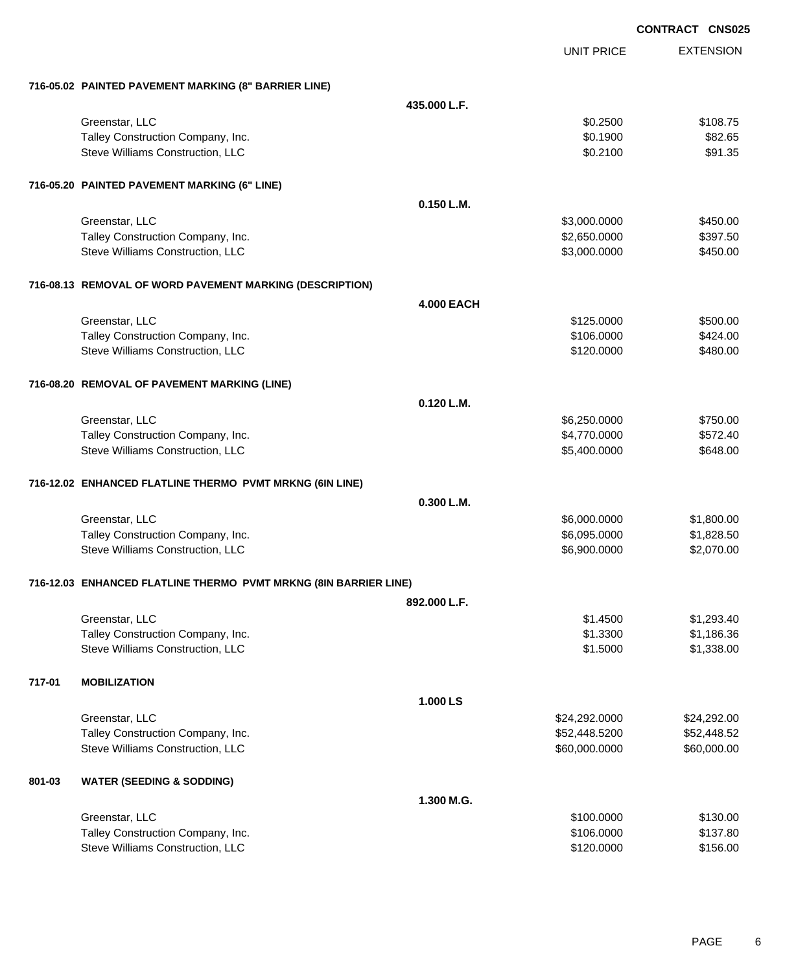|        |                                                                  |                   |                   | <b>CONTRACT CNS025</b> |
|--------|------------------------------------------------------------------|-------------------|-------------------|------------------------|
|        |                                                                  |                   | <b>UNIT PRICE</b> | <b>EXTENSION</b>       |
|        | 716-05.02 PAINTED PAVEMENT MARKING (8" BARRIER LINE)             |                   |                   |                        |
|        |                                                                  | 435,000 L.F.      |                   |                        |
|        | Greenstar, LLC                                                   |                   | \$0.2500          | \$108.75               |
|        | Talley Construction Company, Inc.                                |                   | \$0.1900          | \$82.65                |
|        | Steve Williams Construction, LLC                                 |                   | \$0.2100          | \$91.35                |
|        | 716-05.20 PAINTED PAVEMENT MARKING (6" LINE)                     |                   |                   |                        |
|        |                                                                  | 0.150 L.M.        |                   |                        |
|        | Greenstar, LLC                                                   |                   | \$3,000.0000      | \$450.00               |
|        | Talley Construction Company, Inc.                                |                   | \$2,650.0000      | \$397.50               |
|        | Steve Williams Construction, LLC                                 |                   | \$3,000.0000      | \$450.00               |
|        | 716-08.13 REMOVAL OF WORD PAVEMENT MARKING (DESCRIPTION)         |                   |                   |                        |
|        |                                                                  | <b>4.000 EACH</b> |                   |                        |
|        | Greenstar, LLC                                                   |                   | \$125.0000        | \$500.00               |
|        | Talley Construction Company, Inc.                                |                   | \$106.0000        | \$424.00               |
|        | Steve Williams Construction, LLC                                 |                   | \$120.0000        | \$480.00               |
|        | 716-08.20 REMOVAL OF PAVEMENT MARKING (LINE)                     |                   |                   |                        |
|        |                                                                  | $0.120$ L.M.      |                   |                        |
|        | Greenstar, LLC                                                   |                   | \$6,250.0000      | \$750.00               |
|        | Talley Construction Company, Inc.                                |                   | \$4,770.0000      | \$572.40               |
|        | Steve Williams Construction, LLC                                 |                   | \$5,400.0000      | \$648.00               |
|        | 716-12.02 ENHANCED FLATLINE THERMO PVMT MRKNG (6IN LINE)         |                   |                   |                        |
|        |                                                                  | 0.300 L.M.        |                   |                        |
|        | Greenstar, LLC                                                   |                   | \$6,000.0000      | \$1,800.00             |
|        | Talley Construction Company, Inc.                                |                   | \$6,095.0000      | \$1,828.50             |
|        | Steve Williams Construction, LLC                                 |                   | \$6,900.0000      | \$2,070.00             |
|        | 716-12.03 ENHANCED FLATLINE THERMO PVMT MRKNG (8IN BARRIER LINE) |                   |                   |                        |
|        |                                                                  | 892.000 L.F.      |                   |                        |
|        | Greenstar, LLC                                                   |                   | \$1.4500          | \$1,293.40             |
|        | Talley Construction Company, Inc.                                |                   | \$1.3300          | \$1,186.36             |
|        | Steve Williams Construction, LLC                                 |                   | \$1.5000          | \$1,338.00             |
| 717-01 | <b>MOBILIZATION</b>                                              |                   |                   |                        |
|        |                                                                  | 1.000 LS          |                   |                        |
|        | Greenstar, LLC                                                   |                   | \$24,292.0000     | \$24,292.00            |
|        | Talley Construction Company, Inc.                                |                   | \$52,448.5200     | \$52,448.52            |
|        | Steve Williams Construction, LLC                                 |                   | \$60,000.0000     | \$60,000.00            |
| 801-03 | <b>WATER (SEEDING &amp; SODDING)</b>                             |                   |                   |                        |
|        |                                                                  | 1.300 M.G.        |                   |                        |
|        | Greenstar, LLC                                                   |                   | \$100.0000        | \$130.00               |
|        | Talley Construction Company, Inc.                                |                   | \$106.0000        | \$137.80               |
|        | Steve Williams Construction, LLC                                 |                   | \$120.0000        | \$156.00               |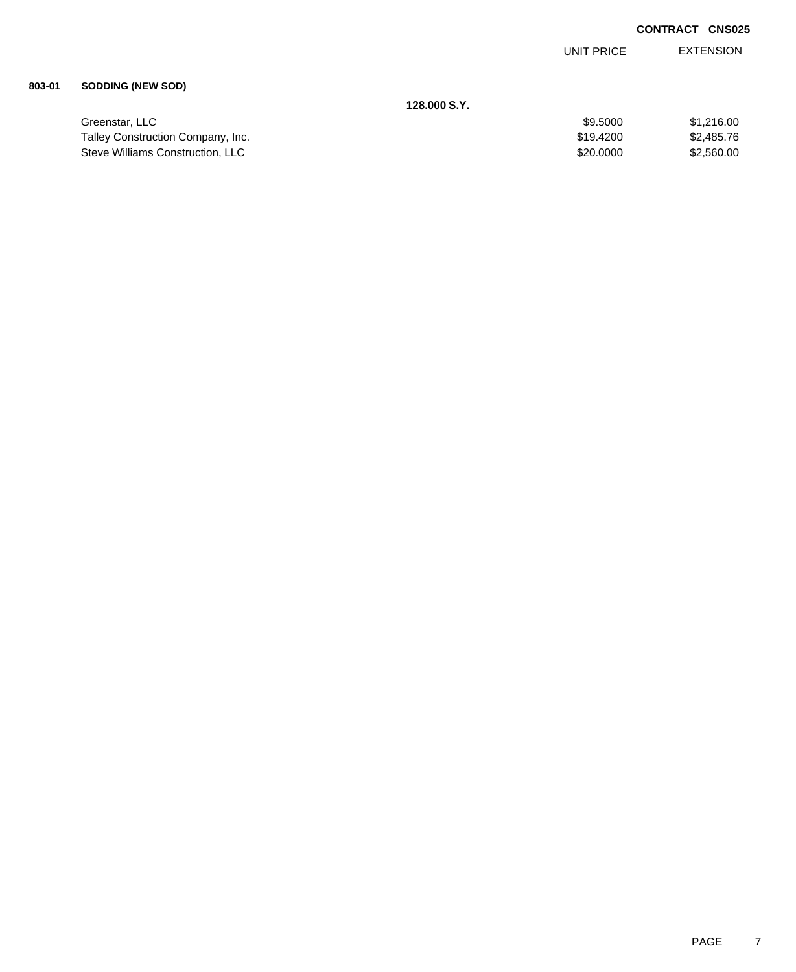EXTENSION UNIT PRICE

#### **803-01 SODDING (NEW SOD)**

|                                   | 128.000 S.Y. |            |
|-----------------------------------|--------------|------------|
| Greenstar, LLC                    | \$9,5000     | \$1,216,00 |
| Talley Construction Company, Inc. | \$19,4200    | \$2,485,76 |
| Steve Williams Construction, LLC  | \$20,0000    | \$2,560,00 |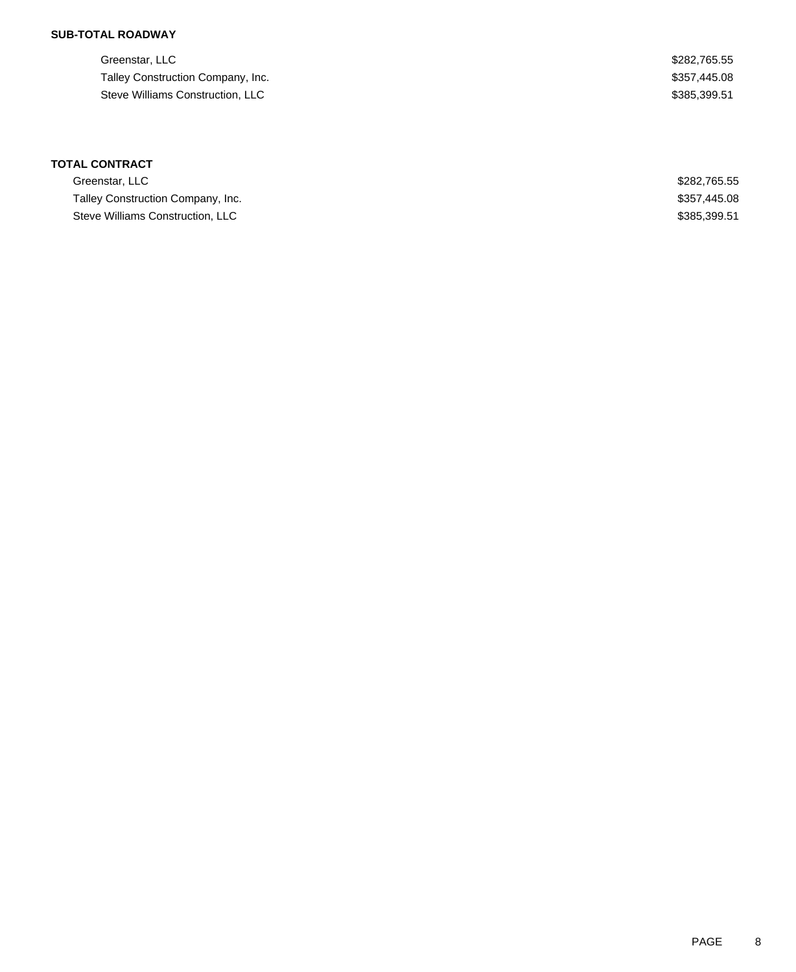## **SUB-TOTAL ROADWAY**

Greenstar, LLC \$282,765.55 Talley Construction Company, Inc. 6. The Second State of the State of the State of State State State State State State State State State State State State State State State State State State State State State State State S Steve Williams Construction, LLC 600 and the steve Williams Construction, LLC

| Greenstar, LLC                    | \$282.765.55 |
|-----------------------------------|--------------|
| Talley Construction Company, Inc. | \$357.445.08 |
| Steve Williams Construction, LLC  | \$385,399.51 |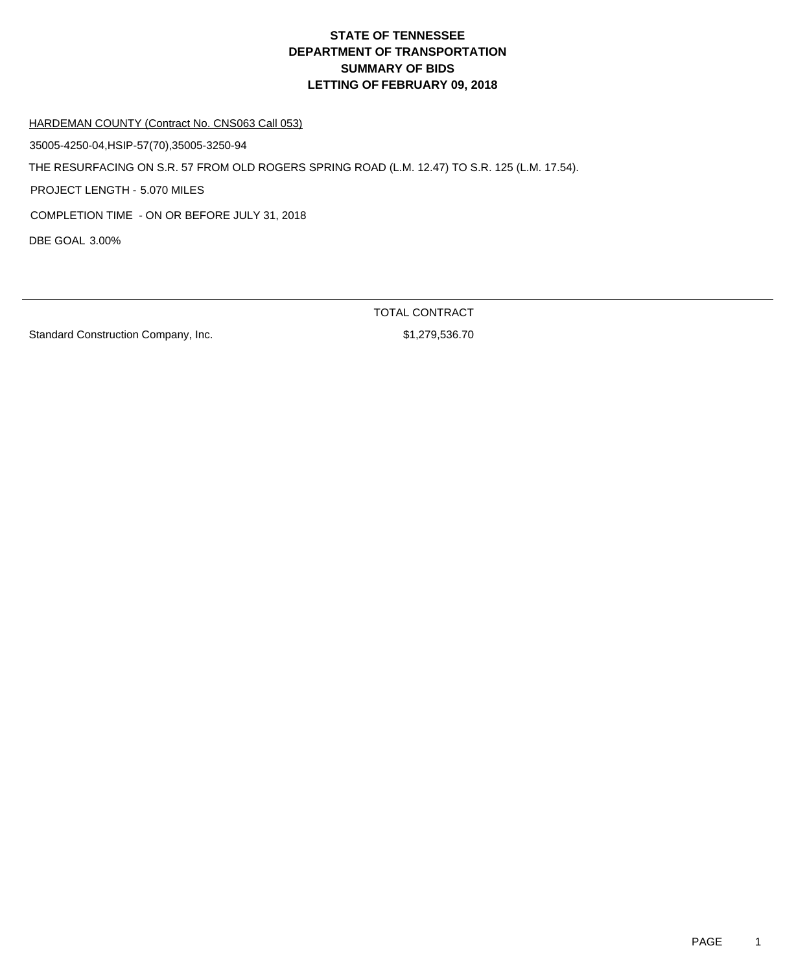HARDEMAN COUNTY (Contract No. CNS063 Call 053)

35005-4250-04,HSIP-57(70),35005-3250-94

THE RESURFACING ON S.R. 57 FROM OLD ROGERS SPRING ROAD (L.M. 12.47) TO S.R. 125 (L.M. 17.54).

PROJECT LENGTH - 5.070 MILES

COMPLETION TIME - ON OR BEFORE JULY 31, 2018

DBE GOAL 3.00%

Standard Construction Company, Inc. 6. The Standard Construction Company, Inc. 6. The Standard Standard Standard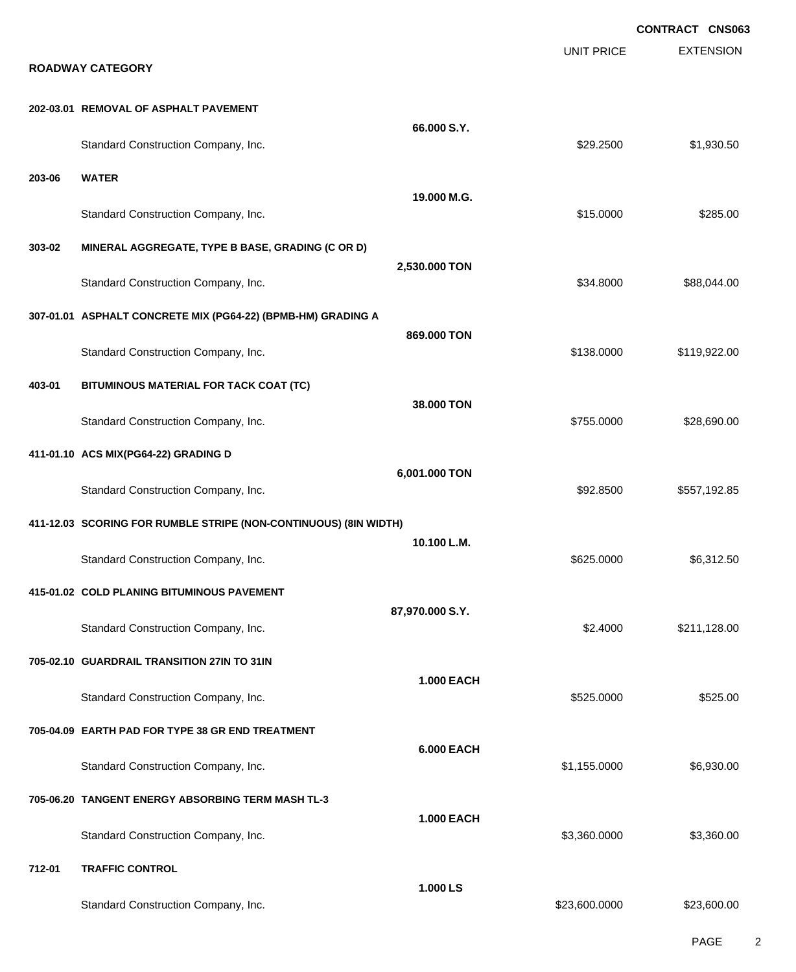|        |                                                                  |                   |                   | <b>CONTRACT CNS063</b> |
|--------|------------------------------------------------------------------|-------------------|-------------------|------------------------|
|        | <b>ROADWAY CATEGORY</b>                                          |                   | <b>UNIT PRICE</b> | <b>EXTENSION</b>       |
|        | 202-03.01 REMOVAL OF ASPHALT PAVEMENT                            |                   |                   |                        |
|        | Standard Construction Company, Inc.                              | 66.000 S.Y.       | \$29.2500         | \$1,930.50             |
| 203-06 | <b>WATER</b>                                                     |                   |                   |                        |
|        | Standard Construction Company, Inc.                              | 19.000 M.G.       | \$15.0000         | \$285.00               |
| 303-02 | MINERAL AGGREGATE, TYPE B BASE, GRADING (C OR D)                 |                   |                   |                        |
|        | Standard Construction Company, Inc.                              | 2,530.000 TON     | \$34.8000         | \$88,044.00            |
|        | 307-01.01 ASPHALT CONCRETE MIX (PG64-22) (BPMB-HM) GRADING A     |                   |                   |                        |
|        | Standard Construction Company, Inc.                              | 869.000 TON       | \$138.0000        | \$119,922.00           |
| 403-01 | BITUMINOUS MATERIAL FOR TACK COAT (TC)                           |                   |                   |                        |
|        | Standard Construction Company, Inc.                              | 38.000 TON        | \$755.0000        | \$28,690.00            |
|        | 411-01.10 ACS MIX(PG64-22) GRADING D                             |                   |                   |                        |
|        | Standard Construction Company, Inc.                              | 6,001.000 TON     | \$92.8500         | \$557,192.85           |
|        | 411-12.03 SCORING FOR RUMBLE STRIPE (NON-CONTINUOUS) (8IN WIDTH) |                   |                   |                        |
|        | Standard Construction Company, Inc.                              | 10.100 L.M.       | \$625.0000        | \$6,312.50             |
|        | 415-01.02 COLD PLANING BITUMINOUS PAVEMENT                       |                   |                   |                        |
|        | Standard Construction Company, Inc.                              | 87,970.000 S.Y.   | \$2.4000          | \$211,128.00           |
|        | 705-02.10 GUARDRAIL TRANSITION 27IN TO 31IN                      |                   |                   |                        |
|        | Standard Construction Company, Inc.                              | <b>1.000 EACH</b> | \$525.0000        | \$525.00               |
|        | 705-04.09 EARTH PAD FOR TYPE 38 GR END TREATMENT                 |                   |                   |                        |
|        | Standard Construction Company, Inc.                              | <b>6.000 EACH</b> | \$1,155.0000      | \$6,930.00             |
|        | 705-06.20 TANGENT ENERGY ABSORBING TERM MASH TL-3                |                   |                   |                        |
|        | Standard Construction Company, Inc.                              | <b>1.000 EACH</b> | \$3,360.0000      | \$3,360.00             |
| 712-01 | <b>TRAFFIC CONTROL</b>                                           |                   |                   |                        |
|        | Standard Construction Company, Inc.                              | 1.000 LS          | \$23,600.0000     | \$23,600.00            |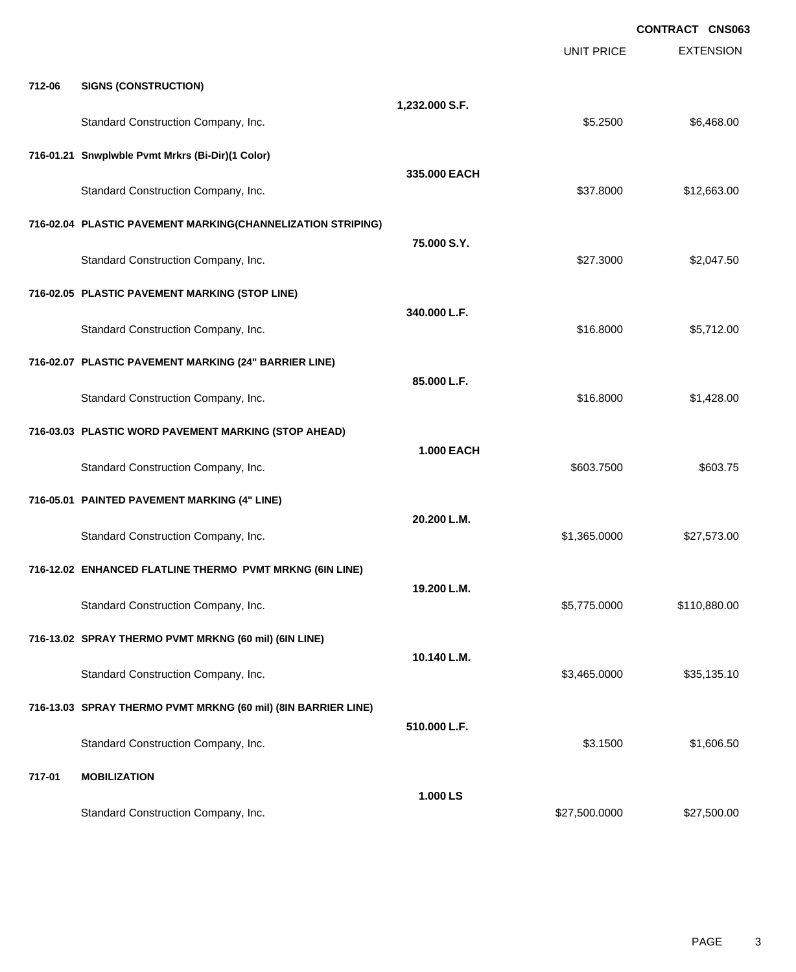|        |                                                               |                   |                   | <b>CONTRACT CNS063</b> |
|--------|---------------------------------------------------------------|-------------------|-------------------|------------------------|
|        |                                                               |                   | <b>UNIT PRICE</b> | <b>EXTENSION</b>       |
| 712-06 | <b>SIGNS (CONSTRUCTION)</b>                                   |                   |                   |                        |
|        | Standard Construction Company, Inc.                           | 1,232.000 S.F.    | \$5.2500          | \$6,468.00             |
|        | 716-01.21 Snwplwble Pvmt Mrkrs (Bi-Dir)(1 Color)              |                   |                   |                        |
|        | Standard Construction Company, Inc.                           | 335.000 EACH      | \$37.8000         | \$12,663.00            |
|        | 716-02.04 PLASTIC PAVEMENT MARKING(CHANNELIZATION STRIPING)   |                   |                   |                        |
|        | Standard Construction Company, Inc.                           | 75.000 S.Y.       | \$27.3000         | \$2,047.50             |
|        | 716-02.05 PLASTIC PAVEMENT MARKING (STOP LINE)                |                   |                   |                        |
|        | Standard Construction Company, Inc.                           | 340,000 L.F.      | \$16.8000         | \$5,712.00             |
|        | 716-02.07 PLASTIC PAVEMENT MARKING (24" BARRIER LINE)         |                   |                   |                        |
|        | Standard Construction Company, Inc.                           | 85.000 L.F.       | \$16.8000         | \$1,428.00             |
|        | 716-03.03 PLASTIC WORD PAVEMENT MARKING (STOP AHEAD)          |                   |                   |                        |
|        | Standard Construction Company, Inc.                           | <b>1.000 EACH</b> | \$603.7500        | \$603.75               |
|        | 716-05.01 PAINTED PAVEMENT MARKING (4" LINE)                  |                   |                   |                        |
|        | Standard Construction Company, Inc.                           | 20.200 L.M.       | \$1,365.0000      | \$27,573.00            |
|        | 716-12.02 ENHANCED FLATLINE THERMO PVMT MRKNG (6IN LINE)      |                   |                   |                        |
|        | Standard Construction Company, Inc.                           | 19.200 L.M.       | \$5,775.0000      | \$110,880.00           |
|        | 716-13.02 SPRAY THERMO PVMT MRKNG (60 mil) (6IN LINE)         |                   |                   |                        |
|        | Standard Construction Company, Inc.                           | 10.140 L.M.       | \$3,465.0000      | \$35,135.10            |
|        | 716-13.03 SPRAY THERMO PVMT MRKNG (60 mil) (8IN BARRIER LINE) |                   |                   |                        |
|        | Standard Construction Company, Inc.                           | 510.000 L.F.      | \$3.1500          | \$1,606.50             |
| 717-01 | <b>MOBILIZATION</b>                                           |                   |                   |                        |
|        | Standard Construction Company, Inc.                           | 1.000 LS          | \$27,500.0000     | \$27,500.00            |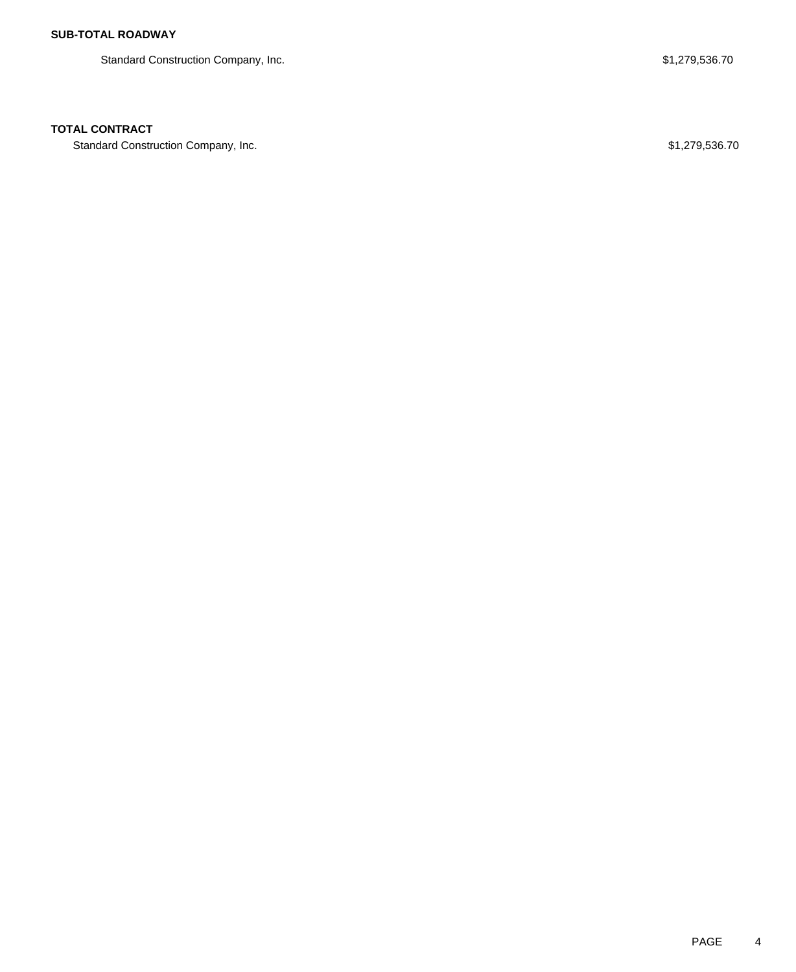Standard Construction Company, Inc. 6. The Standard Construction Company, Inc. 6. The Standard Construction Company, Inc.

## **TOTAL CONTRACT**

Standard Construction Company, Inc. 6. The Standard Construction Company, Inc. 6. The Standard Construction Company, Inc.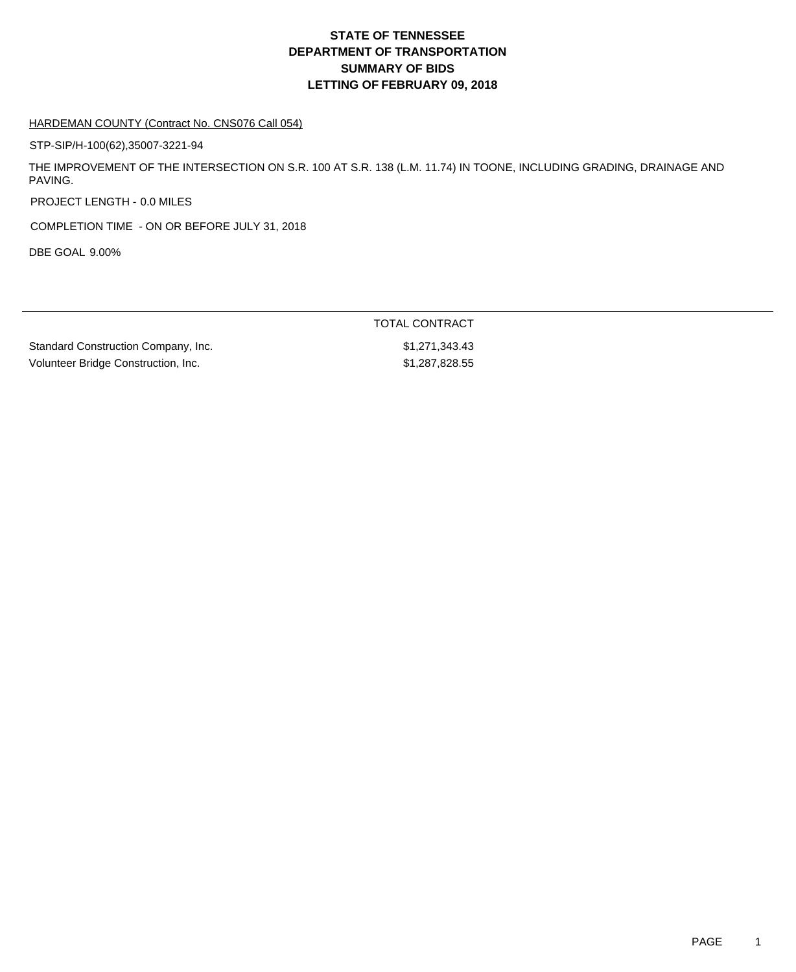#### HARDEMAN COUNTY (Contract No. CNS076 Call 054)

STP-SIP/H-100(62),35007-3221-94

THE IMPROVEMENT OF THE INTERSECTION ON S.R. 100 AT S.R. 138 (L.M. 11.74) IN TOONE, INCLUDING GRADING, DRAINAGE AND PAVING.

PROJECT LENGTH - 0.0 MILES

COMPLETION TIME - ON OR BEFORE JULY 31, 2018

DBE GOAL 9.00%

|                                     | TOTAL CONTRACT |
|-------------------------------------|----------------|
| Standard Construction Company, Inc. | \$1.271.343.43 |
| Volunteer Bridge Construction, Inc. | \$1,287,828.55 |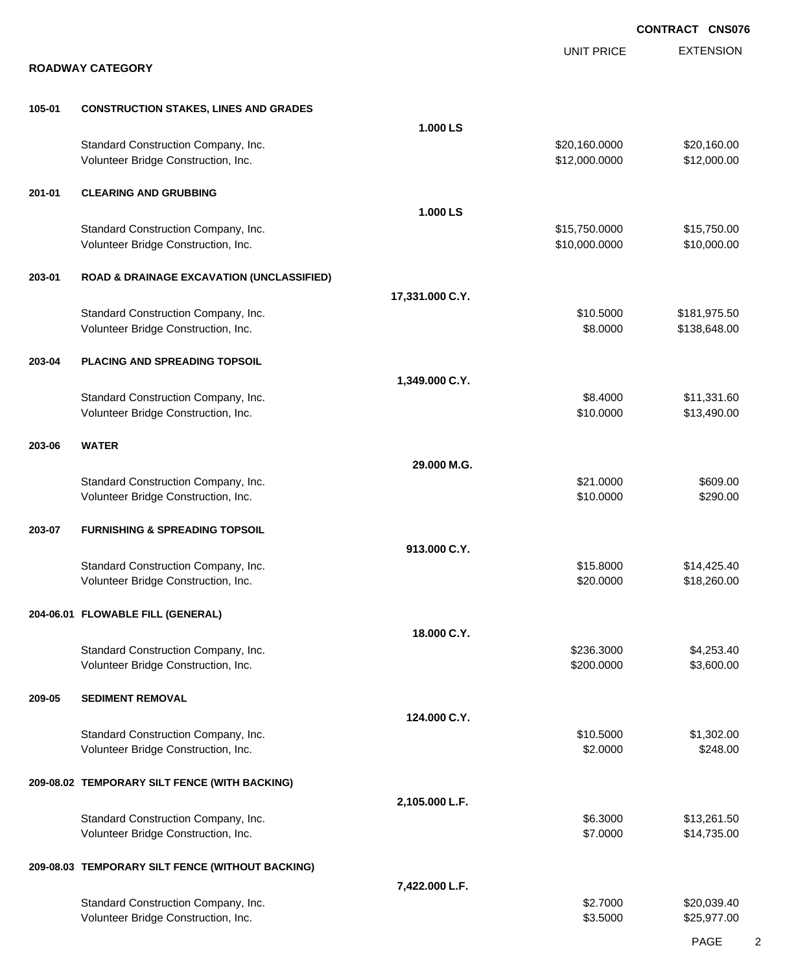|        |                                                                            |                 |                                | <b>CONTRACT CNS076</b>     |
|--------|----------------------------------------------------------------------------|-----------------|--------------------------------|----------------------------|
|        | <b>ROADWAY CATEGORY</b>                                                    |                 | <b>UNIT PRICE</b>              | <b>EXTENSION</b>           |
| 105-01 | <b>CONSTRUCTION STAKES, LINES AND GRADES</b>                               |                 |                                |                            |
|        |                                                                            | 1.000 LS        |                                |                            |
|        | Standard Construction Company, Inc.<br>Volunteer Bridge Construction, Inc. |                 | \$20,160.0000<br>\$12,000.0000 | \$20,160.00<br>\$12,000.00 |
|        |                                                                            |                 |                                |                            |
| 201-01 | <b>CLEARING AND GRUBBING</b>                                               |                 |                                |                            |
|        |                                                                            | 1.000 LS        |                                |                            |
|        | Standard Construction Company, Inc.                                        |                 | \$15,750.0000                  | \$15,750.00                |
|        | Volunteer Bridge Construction, Inc.                                        |                 | \$10,000.0000                  | \$10,000.00                |
| 203-01 | <b>ROAD &amp; DRAINAGE EXCAVATION (UNCLASSIFIED)</b>                       |                 |                                |                            |
|        |                                                                            | 17,331.000 C.Y. |                                |                            |
|        | Standard Construction Company, Inc.                                        |                 | \$10.5000                      | \$181,975.50               |
|        | Volunteer Bridge Construction, Inc.                                        |                 | \$8.0000                       | \$138,648.00               |
| 203-04 | PLACING AND SPREADING TOPSOIL                                              |                 |                                |                            |
|        |                                                                            | 1,349.000 C.Y.  |                                |                            |
|        | Standard Construction Company, Inc.                                        |                 | \$8.4000                       | \$11,331.60                |
|        | Volunteer Bridge Construction, Inc.                                        |                 | \$10.0000                      | \$13,490.00                |
| 203-06 | <b>WATER</b>                                                               |                 |                                |                            |
|        |                                                                            | 29.000 M.G.     |                                |                            |
|        | Standard Construction Company, Inc.                                        |                 | \$21.0000                      | \$609.00                   |
|        | Volunteer Bridge Construction, Inc.                                        |                 | \$10.0000                      | \$290.00                   |
| 203-07 | <b>FURNISHING &amp; SPREADING TOPSOIL</b>                                  |                 |                                |                            |
|        |                                                                            | 913.000 C.Y.    |                                |                            |
|        | Standard Construction Company, Inc.                                        |                 | \$15.8000                      | \$14,425.40                |
|        | Volunteer Bridge Construction, Inc.                                        |                 | \$20.0000                      | \$18,260.00                |
|        | 204-06.01 FLOWABLE FILL (GENERAL)                                          |                 |                                |                            |
|        |                                                                            | 18.000 C.Y.     |                                |                            |
|        | Standard Construction Company, Inc.                                        |                 | \$236.3000                     | \$4,253.40                 |
|        | Volunteer Bridge Construction, Inc.                                        |                 | \$200.0000                     | \$3,600.00                 |
| 209-05 | <b>SEDIMENT REMOVAL</b>                                                    |                 |                                |                            |
|        |                                                                            | 124.000 C.Y.    |                                |                            |
|        | Standard Construction Company, Inc.                                        |                 | \$10.5000                      | \$1,302.00                 |
|        | Volunteer Bridge Construction, Inc.                                        |                 | \$2.0000                       | \$248.00                   |
|        | 209-08.02 TEMPORARY SILT FENCE (WITH BACKING)                              |                 |                                |                            |
|        |                                                                            | 2,105.000 L.F.  |                                |                            |
|        | Standard Construction Company, Inc.                                        |                 | \$6.3000                       | \$13,261.50                |
|        | Volunteer Bridge Construction, Inc.                                        |                 | \$7.0000                       | \$14,735.00                |
|        | 209-08.03 TEMPORARY SILT FENCE (WITHOUT BACKING)                           |                 |                                |                            |
|        |                                                                            | 7,422.000 L.F.  |                                |                            |
|        | Standard Construction Company, Inc.                                        |                 | \$2.7000                       | \$20,039.40                |
|        | Volunteer Bridge Construction, Inc.                                        |                 | \$3.5000                       | \$25,977.00                |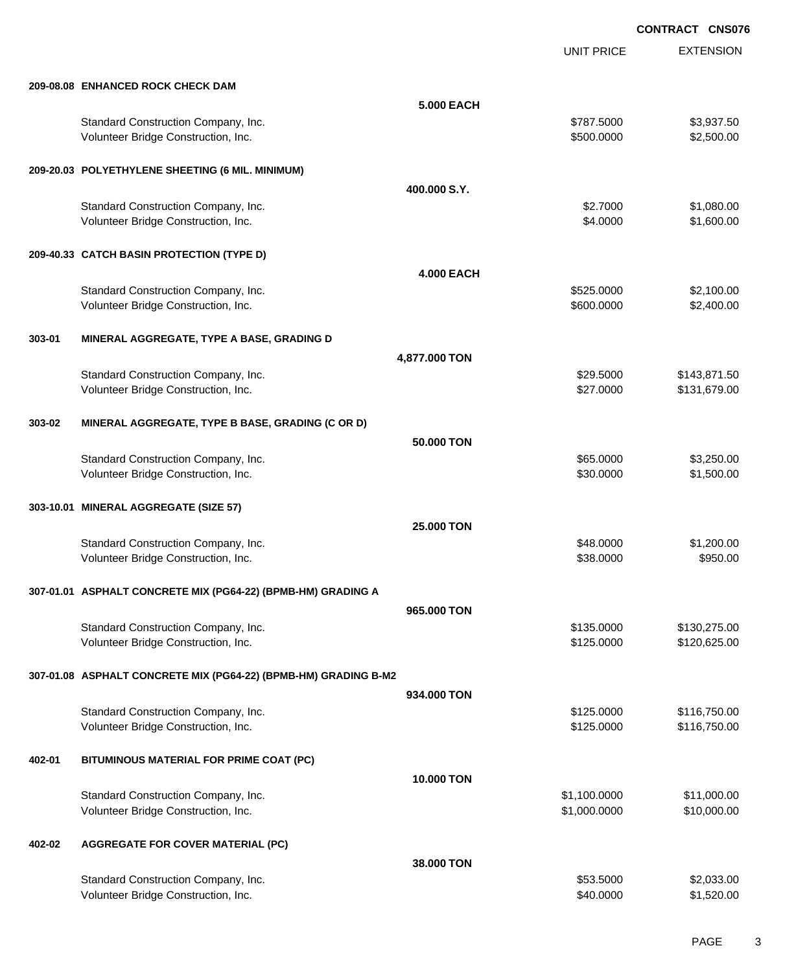UNIT PRICE

EXTENSION

|        | 209-08.08 ENHANCED ROCK CHECK DAM                                          |                   |                          |                          |
|--------|----------------------------------------------------------------------------|-------------------|--------------------------|--------------------------|
|        |                                                                            | 5.000 EACH        |                          |                          |
|        | Standard Construction Company, Inc.<br>Volunteer Bridge Construction, Inc. |                   | \$787.5000<br>\$500.0000 | \$3,937.50<br>\$2,500.00 |
|        | 209-20.03 POLYETHYLENE SHEETING (6 MIL. MINIMUM)                           |                   |                          |                          |
|        |                                                                            | 400,000 S.Y.      |                          |                          |
|        | Standard Construction Company, Inc.                                        |                   | \$2.7000                 | \$1,080.00               |
|        | Volunteer Bridge Construction, Inc.                                        |                   | \$4.0000                 | \$1,600.00               |
|        | 209-40.33 CATCH BASIN PROTECTION (TYPE D)                                  |                   |                          |                          |
|        |                                                                            | <b>4.000 EACH</b> |                          |                          |
|        | Standard Construction Company, Inc.                                        |                   | \$525.0000               | \$2,100.00               |
|        | Volunteer Bridge Construction, Inc.                                        |                   | \$600.0000               | \$2,400.00               |
| 303-01 | MINERAL AGGREGATE, TYPE A BASE, GRADING D                                  |                   |                          |                          |
|        |                                                                            | 4,877.000 TON     |                          |                          |
|        | Standard Construction Company, Inc.                                        |                   | \$29.5000                | \$143,871.50             |
|        | Volunteer Bridge Construction, Inc.                                        |                   | \$27.0000                | \$131,679.00             |
| 303-02 | MINERAL AGGREGATE, TYPE B BASE, GRADING (C OR D)                           |                   |                          |                          |
|        |                                                                            | 50.000 TON        |                          |                          |
|        | Standard Construction Company, Inc.                                        |                   | \$65.0000                | \$3,250.00               |
|        | Volunteer Bridge Construction, Inc.                                        |                   | \$30.0000                | \$1,500.00               |
|        | 303-10.01 MINERAL AGGREGATE (SIZE 57)                                      |                   |                          |                          |
|        |                                                                            | 25.000 TON        |                          |                          |
|        | Standard Construction Company, Inc.                                        |                   | \$48.0000                | \$1,200.00               |
|        | Volunteer Bridge Construction, Inc.                                        |                   | \$38.0000                | \$950.00                 |
|        | 307-01.01 ASPHALT CONCRETE MIX (PG64-22) (BPMB-HM) GRADING A               |                   |                          |                          |
|        |                                                                            | 965,000 TON       |                          |                          |
|        | Standard Construction Company, Inc.                                        |                   | \$135.0000               | \$130,275.00             |
|        | Volunteer Bridge Construction, Inc.                                        |                   | \$125.0000               | \$120,625.00             |
|        | 307-01.08 ASPHALT CONCRETE MIX (PG64-22) (BPMB-HM) GRADING B-M2            |                   |                          |                          |
|        |                                                                            | 934.000 TON       |                          |                          |
|        | Standard Construction Company, Inc.                                        |                   | \$125.0000               | \$116,750.00             |
|        | Volunteer Bridge Construction, Inc.                                        |                   | \$125.0000               | \$116,750.00             |
| 402-01 | BITUMINOUS MATERIAL FOR PRIME COAT (PC)                                    |                   |                          |                          |
|        |                                                                            | 10.000 TON        |                          |                          |
|        | Standard Construction Company, Inc.                                        |                   | \$1,100.0000             | \$11,000.00              |
|        | Volunteer Bridge Construction, Inc.                                        |                   | \$1,000.0000             | \$10,000.00              |
| 402-02 | <b>AGGREGATE FOR COVER MATERIAL (PC)</b>                                   |                   |                          |                          |
|        |                                                                            | 38.000 TON        |                          |                          |
|        | Standard Construction Company, Inc.                                        |                   | \$53.5000                | \$2,033.00               |
|        | Volunteer Bridge Construction, Inc.                                        |                   | \$40.0000                | \$1,520.00               |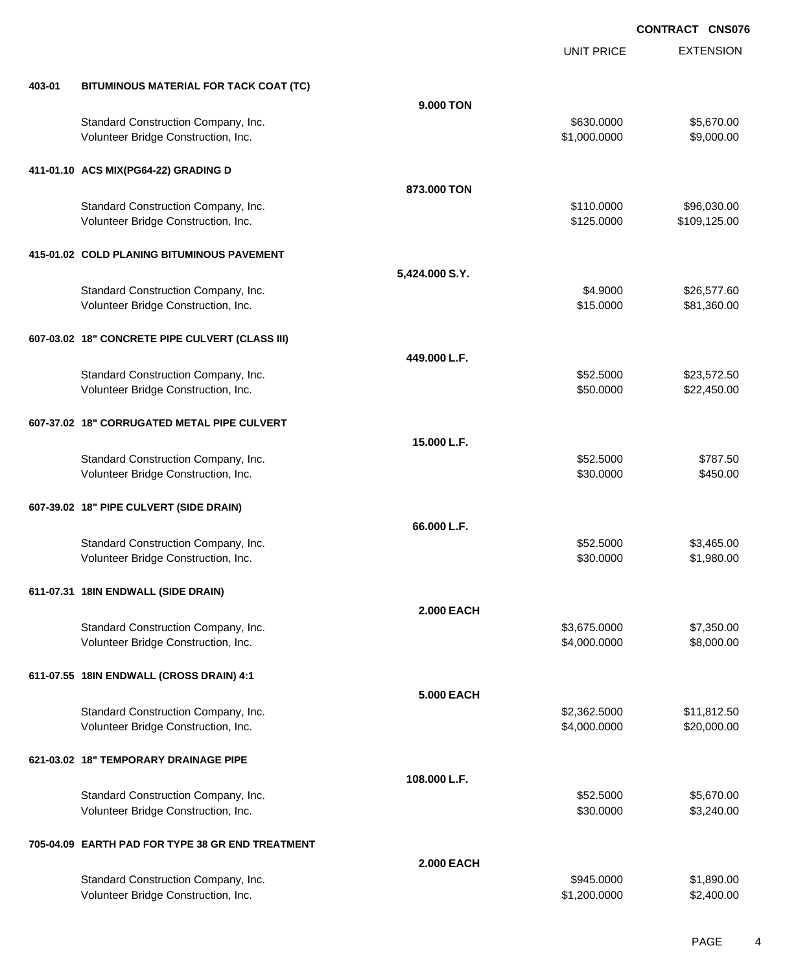|        |                                                  |                   | <b>UNIT PRICE</b> | <b>EXTENSION</b> |
|--------|--------------------------------------------------|-------------------|-------------------|------------------|
| 403-01 | BITUMINOUS MATERIAL FOR TACK COAT (TC)           |                   |                   |                  |
|        |                                                  | 9.000 TON         |                   |                  |
|        | Standard Construction Company, Inc.              |                   | \$630.0000        | \$5,670.00       |
|        | Volunteer Bridge Construction, Inc.              |                   | \$1,000.0000      | \$9,000.00       |
|        | 411-01.10 ACS MIX(PG64-22) GRADING D             |                   |                   |                  |
|        |                                                  | 873,000 TON       |                   |                  |
|        | Standard Construction Company, Inc.              |                   | \$110.0000        | \$96,030.00      |
|        | Volunteer Bridge Construction, Inc.              |                   | \$125.0000        | \$109,125.00     |
|        | 415-01.02 COLD PLANING BITUMINOUS PAVEMENT       |                   |                   |                  |
|        |                                                  | 5,424.000 S.Y.    |                   |                  |
|        | Standard Construction Company, Inc.              |                   | \$4.9000          | \$26,577.60      |
|        | Volunteer Bridge Construction, Inc.              |                   | \$15.0000         | \$81,360.00      |
|        | 607-03.02 18" CONCRETE PIPE CULVERT (CLASS III)  |                   |                   |                  |
|        |                                                  | 449.000 L.F.      |                   |                  |
|        | Standard Construction Company, Inc.              |                   | \$52.5000         | \$23,572.50      |
|        | Volunteer Bridge Construction, Inc.              |                   | \$50.0000         | \$22,450.00      |
|        | 607-37.02 18" CORRUGATED METAL PIPE CULVERT      |                   |                   |                  |
|        |                                                  | 15.000 L.F.       |                   |                  |
|        | Standard Construction Company, Inc.              |                   | \$52.5000         | \$787.50         |
|        | Volunteer Bridge Construction, Inc.              |                   | \$30.0000         | \$450.00         |
|        | 607-39.02 18" PIPE CULVERT (SIDE DRAIN)          |                   |                   |                  |
|        |                                                  | 66.000 L.F.       |                   |                  |
|        | Standard Construction Company, Inc.              |                   | \$52.5000         | \$3,465.00       |
|        | Volunteer Bridge Construction, Inc.              |                   | \$30.0000         | \$1,980.00       |
|        | 611-07.31 18IN ENDWALL (SIDE DRAIN)              |                   |                   |                  |
|        |                                                  | <b>2.000 EACH</b> |                   |                  |
|        | Standard Construction Company, Inc.              |                   | \$3,675.0000      | \$7,350.00       |
|        | Volunteer Bridge Construction, Inc.              |                   | \$4,000.0000      | \$8,000.00       |
|        | 611-07.55 18IN ENDWALL (CROSS DRAIN) 4:1         |                   |                   |                  |
|        |                                                  | <b>5.000 EACH</b> |                   |                  |
|        | Standard Construction Company, Inc.              |                   | \$2,362.5000      | \$11,812.50      |
|        | Volunteer Bridge Construction, Inc.              |                   | \$4,000.0000      | \$20,000.00      |
|        | 621-03.02 18" TEMPORARY DRAINAGE PIPE            |                   |                   |                  |
|        |                                                  | 108.000 L.F.      |                   |                  |
|        | Standard Construction Company, Inc.              |                   | \$52.5000         | \$5,670.00       |
|        | Volunteer Bridge Construction, Inc.              |                   | \$30.0000         | \$3,240.00       |
|        | 705-04.09 EARTH PAD FOR TYPE 38 GR END TREATMENT |                   |                   |                  |
|        |                                                  | <b>2.000 EACH</b> |                   |                  |
|        | Standard Construction Company, Inc.              |                   | \$945.0000        | \$1,890.00       |
|        | Volunteer Bridge Construction, Inc.              |                   | \$1,200.0000      | \$2,400.00       |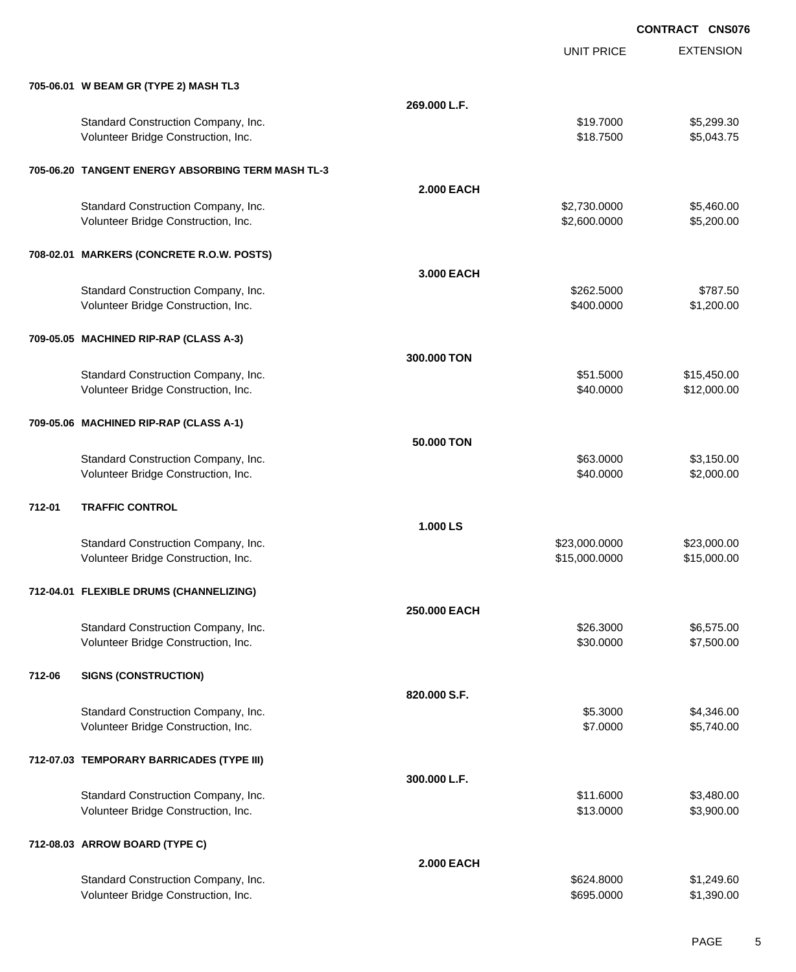EXTENSION **CONTRACT CNS076** UNIT PRICE **705-06.01 W BEAM GR (TYPE 2) MASH TL3 269.000 L.F.** Standard Construction Company, Inc. 6. The Construction Company, Inc. \$19.7000 \$5,299.30 Volunteer Bridge Construction, Inc. 66 and the construction, Inc. 65,043.75 **705-06.20 TANGENT ENERGY ABSORBING TERM MASH TL-3 2.000 EACH** Standard Construction Company, Inc. 6. The Construction Company, Inc. \$2,730.0000 \$5,460.00 Volunteer Bridge Construction, Inc. 6. 2002.000 \$5,200.000 \$5,200.000 \$5,200.000 \$5,200.00 **708-02.01 MARKERS (CONCRETE R.O.W. POSTS) 3.000 EACH** Standard Construction Company, Inc. 6. The Construction Company, Inc. 6. The Construction Company, Inc. 6. The Construction Company, Inc. 6. The Construction Company, Inc. 6. The Construction Company, Inc. 6. The Construct Volunteer Bridge Construction, Inc. 6. 1999 12:00:00 \$1,200.000 \$1,200.00 **709-05.05 MACHINED RIP-RAP (CLASS A-3) 300.000 TON** Standard Construction Company, Inc. 6. The Standard Construction Company, Inc. 6. The Standard Construction Company, Inc. 6. The Standard Construction Company, Inc. 6. The Standard Construction Company, Inc. 6. The Standar Volunteer Bridge Construction, Inc. 6. The Construction of the Construction, Inc. 6. The Construction of the Construction of the Construction of the Construction of the Construction of the Construction of the Construction **709-05.06 MACHINED RIP-RAP (CLASS A-1) 50.000 TON** Standard Construction Company, Inc. 63.000 \$3,150.00 \$3,150.00 Volunteer Bridge Construction, Inc. 660 and the construction, Inc. 660 and the construction, Inc. 660 and the construction of the construction of the construction, Inc. 660 and the construction, Inc. 660 and the constructi **712-01 TRAFFIC CONTROL 1.000 LS** Standard Construction Company, Inc. 6. 2010 12:3000 \$23,000.000 \$23,000.000 \$23,000.000 \$23,000.00 Volunteer Bridge Construction, Inc. 615,000.000 \$15,000.000 \$15,000.000 \$15,000.000 \$15,000.00 **712-04.01 FLEXIBLE DRUMS (CHANNELIZING) 250.000 EACH** Standard Construction Company, Inc. 6. 2000 \$6,575.00 \$26.3000 \$6,575.00 Volunteer Bridge Construction, Inc. \$30.0000 \$7,500.00 **712-06 SIGNS (CONSTRUCTION) 820.000 S.F.** Standard Construction Company, Inc. 6. The Standard Construction Company, Inc. 6. The Standard Construction Company, Inc. 6. The Standard Standard Standard Standard Standard Standard Standard Standard Standard Standard Sta Volunteer Bridge Construction, Inc. 65,740.00 \$5,740.00 **712-07.03 TEMPORARY BARRICADES (TYPE III) 300.000 L.F.** Standard Construction Company, Inc. 6. The Construction Company, Inc. \$11.6000 \$3,480.00 Volunteer Bridge Construction, Inc. 63,900.00 \$3,900.00 \$3,900.00 \$3,900.00 **712-08.03 ARROW BOARD (TYPE C) 2.000 EACH** Standard Construction Company, Inc. 6. The Construction Company, Inc. 6. The Construction Company, Inc. 60 Volunteer Bridge Construction, Inc. 6995.000 \$1,390.00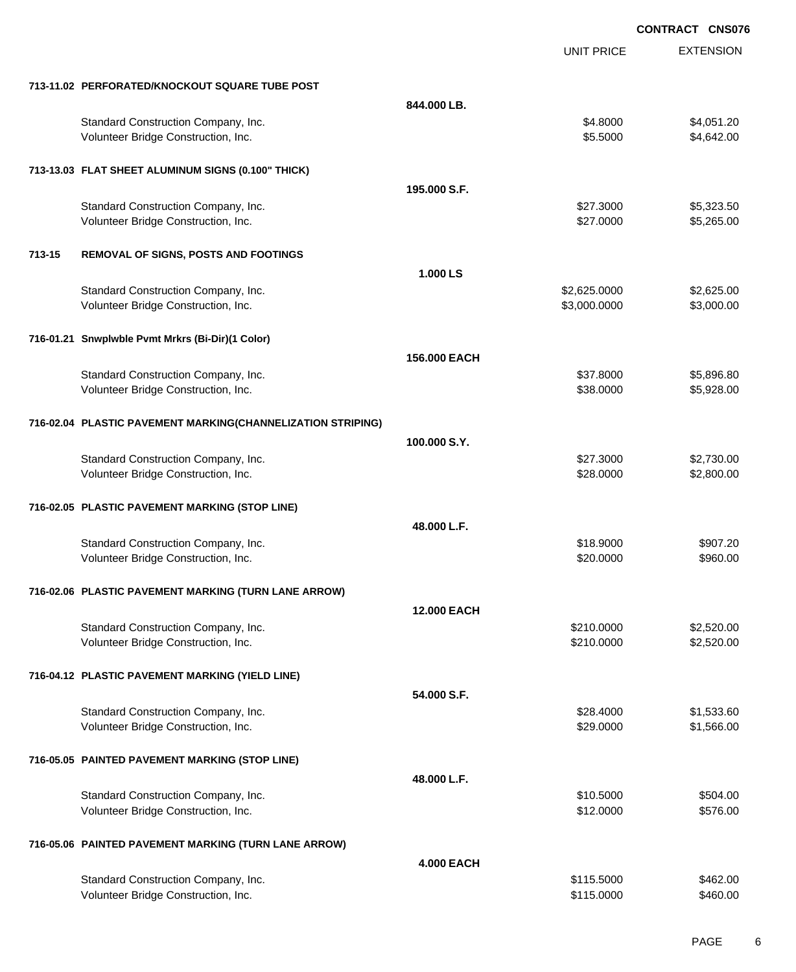|        |                                                             |                    |                   | <b>CONTRACT CNS076</b> |
|--------|-------------------------------------------------------------|--------------------|-------------------|------------------------|
|        |                                                             |                    | <b>UNIT PRICE</b> | <b>EXTENSION</b>       |
|        | 713-11.02 PERFORATED/KNOCKOUT SQUARE TUBE POST              |                    |                   |                        |
|        |                                                             | 844.000 LB.        |                   |                        |
|        | Standard Construction Company, Inc.                         |                    | \$4.8000          | \$4,051.20             |
|        | Volunteer Bridge Construction, Inc.                         |                    | \$5.5000          | \$4,642.00             |
|        | 713-13.03 FLAT SHEET ALUMINUM SIGNS (0.100" THICK)          |                    |                   |                        |
|        |                                                             | 195.000 S.F.       |                   |                        |
|        | Standard Construction Company, Inc.                         |                    | \$27.3000         | \$5,323.50             |
|        | Volunteer Bridge Construction, Inc.                         |                    | \$27.0000         | \$5,265.00             |
| 713-15 | REMOVAL OF SIGNS, POSTS AND FOOTINGS                        |                    |                   |                        |
|        |                                                             | 1.000 LS           |                   |                        |
|        | Standard Construction Company, Inc.                         |                    | \$2,625.0000      | \$2,625.00             |
|        | Volunteer Bridge Construction, Inc.                         |                    | \$3,000.0000      | \$3,000.00             |
|        | 716-01.21 Snwplwble Pvmt Mrkrs (Bi-Dir)(1 Color)            |                    |                   |                        |
|        |                                                             | 156.000 EACH       |                   |                        |
|        | Standard Construction Company, Inc.                         |                    | \$37.8000         | \$5,896.80             |
|        | Volunteer Bridge Construction, Inc.                         |                    | \$38.0000         | \$5,928.00             |
|        | 716-02.04 PLASTIC PAVEMENT MARKING(CHANNELIZATION STRIPING) |                    |                   |                        |
|        |                                                             | 100,000 S.Y.       |                   |                        |
|        | Standard Construction Company, Inc.                         |                    | \$27.3000         | \$2,730.00             |
|        | Volunteer Bridge Construction, Inc.                         |                    | \$28.0000         | \$2,800.00             |
|        | 716-02.05 PLASTIC PAVEMENT MARKING (STOP LINE)              |                    |                   |                        |
|        |                                                             | 48.000 L.F.        |                   |                        |
|        | Standard Construction Company, Inc.                         |                    | \$18.9000         | \$907.20               |
|        | Volunteer Bridge Construction, Inc.                         |                    | \$20.0000         | \$960.00               |
|        | 716-02.06 PLASTIC PAVEMENT MARKING (TURN LANE ARROW)        |                    |                   |                        |
|        |                                                             | <b>12,000 EACH</b> |                   |                        |
|        | Standard Construction Company, Inc.                         |                    | \$210.0000        | \$2,520.00             |
|        | Volunteer Bridge Construction, Inc.                         |                    | \$210.0000        | \$2,520.00             |
|        | 716-04.12 PLASTIC PAVEMENT MARKING (YIELD LINE)             |                    |                   |                        |
|        |                                                             | 54.000 S.F.        |                   |                        |
|        | Standard Construction Company, Inc.                         |                    | \$28.4000         | \$1,533.60             |
|        | Volunteer Bridge Construction, Inc.                         |                    | \$29.0000         | \$1,566.00             |
|        | 716-05.05 PAINTED PAVEMENT MARKING (STOP LINE)              |                    |                   |                        |
|        |                                                             | 48.000 L.F.        |                   |                        |
|        | Standard Construction Company, Inc.                         |                    | \$10.5000         | \$504.00               |
|        | Volunteer Bridge Construction, Inc.                         |                    | \$12.0000         | \$576.00               |
|        | 716-05.06 PAINTED PAVEMENT MARKING (TURN LANE ARROW)        |                    |                   |                        |
|        |                                                             | <b>4.000 EACH</b>  |                   |                        |
|        | Standard Construction Company, Inc.                         |                    | \$115.5000        | \$462.00               |
|        | Volunteer Bridge Construction, Inc.                         |                    | \$115.0000        | \$460.00               |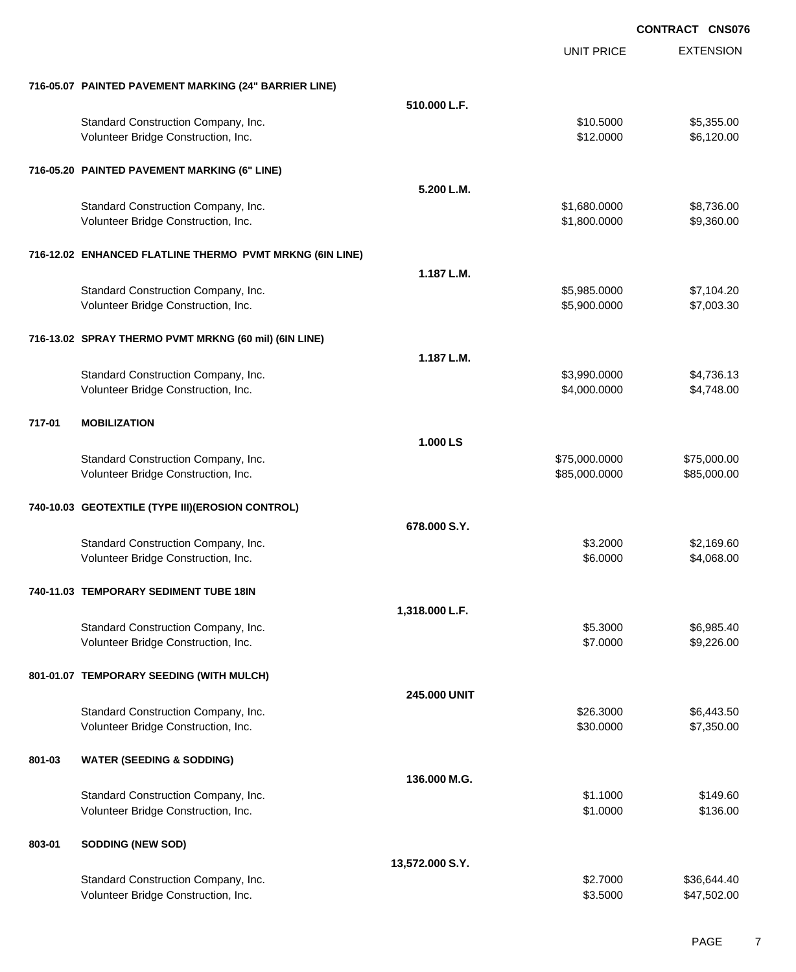EXTENSION **CONTRACT CNS076** UNIT PRICE **716-05.07 PAINTED PAVEMENT MARKING (24" BARRIER LINE) 510.000 L.F.** Standard Construction Company, Inc. 6. The Standard Construction Company, Inc. \$10.5000 \$5,355.00 Volunteer Bridge Construction, Inc. 6. 120.000 \$6,120.00 **716-05.20 PAINTED PAVEMENT MARKING (6" LINE) 5.200 L.M.** Standard Construction Company, Inc. 6. The Construction Company, Inc. 6. The Construction Company, Inc. 6. The Construction Company, Inc. 6. The Construction Company, Inc. 6. The Construction Company, Inc. 6. The Construct Volunteer Bridge Construction, Inc. 6. The Construction of the Construction, Inc. 6. The Construction of the Construction, Inc. 6. The Construction of the Construction, Inc. 6. The Construction of the Construction of the C **716-12.02 ENHANCED FLATLINE THERMO PVMT MRKNG (6IN LINE) 1.187 L.M.** Standard Construction Company, Inc. 6. The Standard Construction Company, Inc. \$5,985.0000 \$7,104.20 Volunteer Bridge Construction, Inc. \$5,900.0000 \$7,003.30 **716-13.02 SPRAY THERMO PVMT MRKNG (60 mil) (6IN LINE) 1.187 L.M.** Standard Construction Company, Inc. 6. The Construction Company, Inc. 6. The Construction Company, Inc. 6. The Construction Company, Inc. 6. The Construction Company, Inc. 6. The Construction Company, Inc. 6. The Construct Volunteer Bridge Construction, Inc. 64,748.00 **717-01 MOBILIZATION 1.000 LS** Standard Construction Company, Inc. 6. The Construction Company, Inc. 6. The Construction Company, Inc. 6. The Construction Company, Inc. 6. The Construction Company, Inc. 6. The Construction Company, Inc. 6. The Construct Volunteer Bridge Construction, Inc. 685,000.000 \$85,000.000 \$85,000.000 \$85,000.000 \$85,000.00 **740-10.03 GEOTEXTILE (TYPE III)(EROSION CONTROL) 678.000 S.Y.** Standard Construction Company, Inc. 60. The Standard Construction Company, Inc. 60. Standard Construction Company, Inc. 60. Standard Standard Standard Standard Standard Standard Standard Standard Standard Standard Standard Volunteer Bridge Construction, Inc. 66.000 \$4,068.00 **740-11.03 TEMPORARY SEDIMENT TUBE 18IN 1,318.000 L.F.** Standard Construction Company, Inc. 6. 2000 \$6,985.40 Volunteer Bridge Construction, Inc. 6. 1992 12:30 12:30 12:30 13:32 13:32 13:32 14:33 14:32 14:32 14:32 14:326 **801-01.07 TEMPORARY SEEDING (WITH MULCH) 245.000 UNIT** Standard Construction Company, Inc. 6. 2000 \$6,443.50 Volunteer Bridge Construction, Inc. 67,350.000 \$7,350.000 \$7,350.000 \$7,350.00 **801-03 WATER (SEEDING & SODDING) 136.000 M.G.** Standard Construction Company, Inc. 6. The Construction Company, Inc. 6. The Construction Company, Inc. 60 Volunteer Bridge Construction, Inc. 6136.00 \$136.00 **803-01 SODDING (NEW SOD) 13,572.000 S.Y.** Standard Construction Company, Inc. 6. The Construction Company, Inc. 6. The Construction Company, Inc. 6. The Construction Company, Inc. 6. The Construction Company, Inc. 6. The Construction Company, Inc. 6. The Construct Volunteer Bridge Construction, Inc. 647,502.00 \$47,502.00 \$47,502.00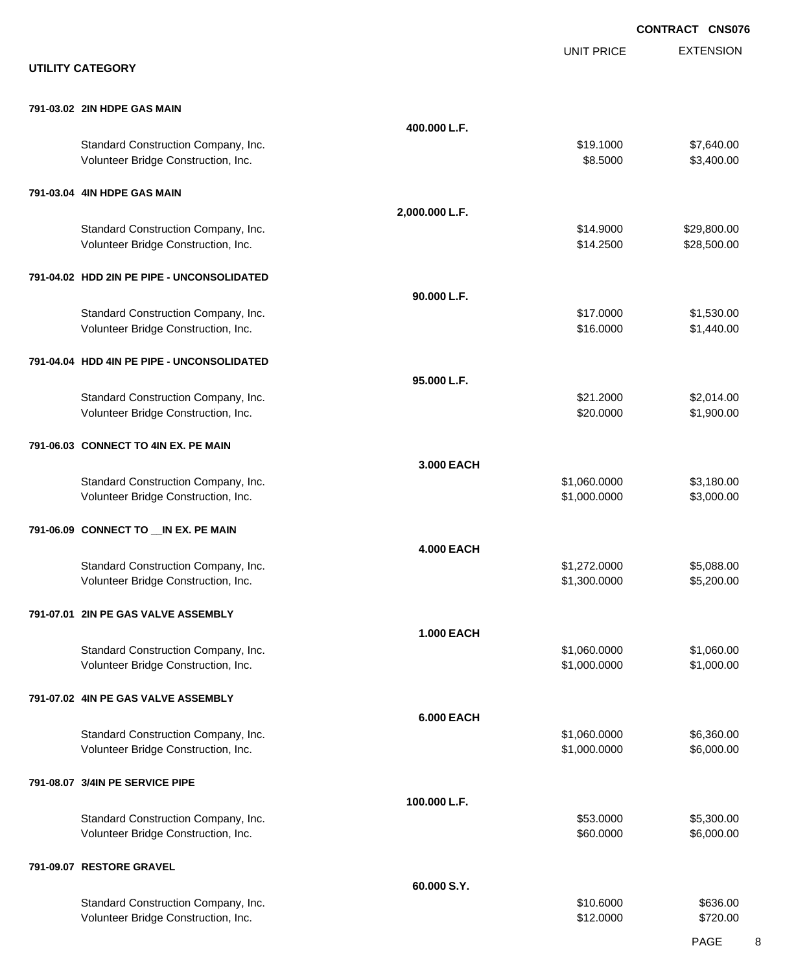|                                                                            |                   |                        | <b>CONTRACT CNS076</b>     |
|----------------------------------------------------------------------------|-------------------|------------------------|----------------------------|
| <b>UTILITY CATEGORY</b>                                                    |                   | <b>UNIT PRICE</b>      | <b>EXTENSION</b>           |
| 791-03.02 2IN HDPE GAS MAIN                                                |                   |                        |                            |
|                                                                            | 400.000 L.F.      |                        |                            |
| Standard Construction Company, Inc.<br>Volunteer Bridge Construction, Inc. |                   | \$19.1000<br>\$8.5000  | \$7,640.00<br>\$3,400.00   |
| 791-03.04 4IN HDPE GAS MAIN                                                |                   |                        |                            |
|                                                                            | 2,000.000 L.F.    |                        |                            |
| Standard Construction Company, Inc.<br>Volunteer Bridge Construction, Inc. |                   | \$14.9000<br>\$14.2500 | \$29,800.00<br>\$28,500.00 |
| 791-04.02 HDD 2IN PE PIPE - UNCONSOLIDATED                                 |                   |                        |                            |
|                                                                            | 90.000 L.F.       |                        |                            |
| Standard Construction Company, Inc.<br>Volunteer Bridge Construction, Inc. |                   | \$17.0000<br>\$16.0000 | \$1,530.00<br>\$1,440.00   |
| 791-04.04 HDD 4IN PE PIPE - UNCONSOLIDATED                                 |                   |                        |                            |
| Standard Construction Company, Inc.                                        | 95.000 L.F.       | \$21.2000              | \$2,014.00                 |
| Volunteer Bridge Construction, Inc.                                        |                   | \$20.0000              | \$1,900.00                 |
| 791-06.03 CONNECT TO 4IN EX. PE MAIN                                       |                   |                        |                            |
| Standard Construction Company, Inc.                                        | 3.000 EACH        | \$1,060.0000           | \$3,180.00                 |
| Volunteer Bridge Construction, Inc.                                        |                   | \$1,000.0000           | \$3,000.00                 |
| 791-06.09 CONNECT TO __ IN EX. PE MAIN                                     | <b>4.000 EACH</b> |                        |                            |
| Standard Construction Company, Inc.                                        |                   | \$1,272.0000           | \$5,088.00                 |
| Volunteer Bridge Construction, Inc.                                        |                   | \$1,300.0000           | \$5,200.00                 |
| 791-07.01 2IN PE GAS VALVE ASSEMBLY                                        | <b>1.000 EACH</b> |                        |                            |
| Standard Construction Company, Inc.                                        |                   | \$1,060.0000           | \$1,060.00                 |
| Volunteer Bridge Construction, Inc.                                        |                   | \$1,000.0000           | \$1,000.00                 |
| 791-07.02 4IN PE GAS VALVE ASSEMBLY                                        | <b>6.000 EACH</b> |                        |                            |
| Standard Construction Company, Inc.                                        |                   | \$1,060.0000           | \$6,360.00                 |
| Volunteer Bridge Construction, Inc.                                        |                   | \$1,000.0000           | \$6,000.00                 |
| 791-08.07 3/4IN PE SERVICE PIPE                                            | 100.000 L.F.      |                        |                            |
| Standard Construction Company, Inc.                                        |                   | \$53.0000              | \$5,300.00                 |
| Volunteer Bridge Construction, Inc.                                        |                   | \$60.0000              | \$6,000.00                 |
| 791-09.07 RESTORE GRAVEL                                                   | 60.000 S.Y.       |                        |                            |
| Standard Construction Company, Inc.                                        |                   | \$10.6000              | \$636.00                   |
| Volunteer Bridge Construction, Inc.                                        |                   | \$12.0000              | \$720.00                   |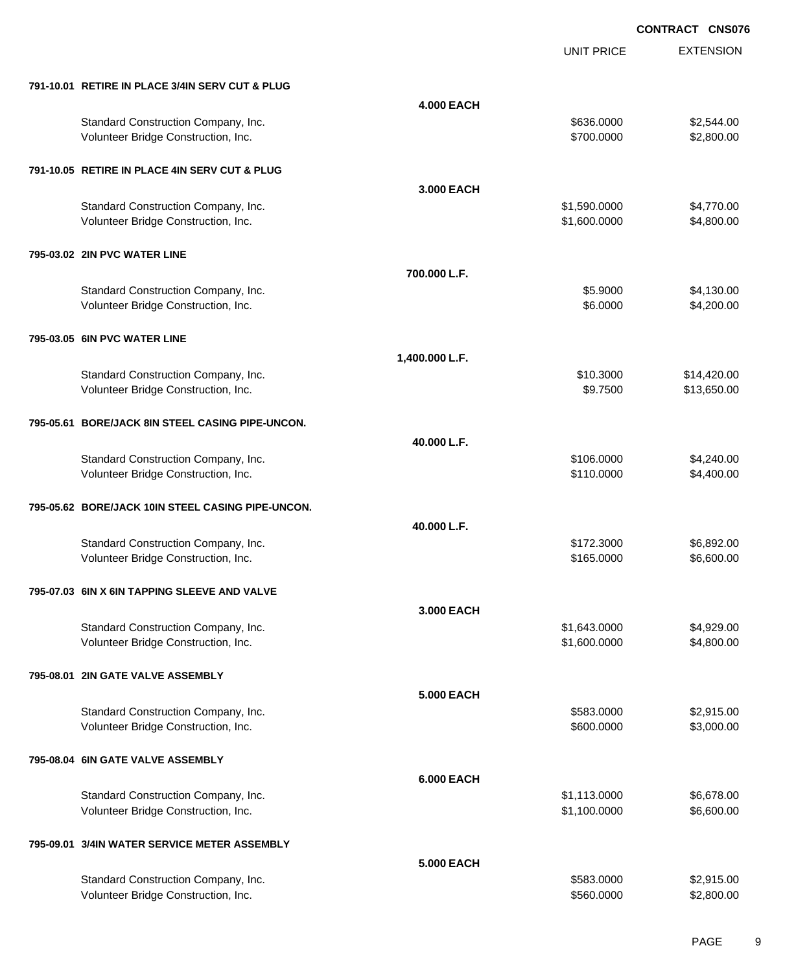UNIT PRICE

EXTENSION

| 791-10.01 RETIRE IN PLACE 3/4IN SERV CUT & PLUG                            |                   |                              |                          |
|----------------------------------------------------------------------------|-------------------|------------------------------|--------------------------|
|                                                                            | <b>4.000 EACH</b> |                              |                          |
| Standard Construction Company, Inc.<br>Volunteer Bridge Construction, Inc. |                   | \$636.0000<br>\$700.0000     | \$2,544.00<br>\$2,800.00 |
| 791-10.05 RETIRE IN PLACE 4IN SERV CUT & PLUG                              |                   |                              |                          |
|                                                                            | 3.000 EACH        |                              |                          |
| Standard Construction Company, Inc.<br>Volunteer Bridge Construction, Inc. |                   | \$1,590.0000<br>\$1,600.0000 | \$4,770.00<br>\$4,800.00 |
| 795-03.02 2IN PVC WATER LINE                                               |                   |                              |                          |
|                                                                            | 700.000 L.F.      |                              |                          |
| Standard Construction Company, Inc.<br>Volunteer Bridge Construction, Inc. |                   | \$5.9000<br>\$6.0000         | \$4,130.00<br>\$4,200.00 |
| 795-03.05 6IN PVC WATER LINE                                               |                   |                              |                          |
|                                                                            | 1,400.000 L.F.    |                              |                          |
| Standard Construction Company, Inc.                                        |                   | \$10.3000                    | \$14,420.00              |
| Volunteer Bridge Construction, Inc.                                        |                   | \$9.7500                     | \$13,650.00              |
| 795-05.61 BORE/JACK 8IN STEEL CASING PIPE-UNCON.                           |                   |                              |                          |
|                                                                            | 40.000 L.F.       |                              |                          |
| Standard Construction Company, Inc.                                        |                   | \$106.0000                   | \$4,240.00               |
| Volunteer Bridge Construction, Inc.                                        |                   | \$110.0000                   | \$4,400.00               |
| 795-05.62 BORE/JACK 10IN STEEL CASING PIPE-UNCON.                          |                   |                              |                          |
|                                                                            | 40.000 L.F.       |                              |                          |
| Standard Construction Company, Inc.                                        |                   | \$172.3000                   | \$6,892.00               |
| Volunteer Bridge Construction, Inc.                                        |                   | \$165.0000                   | \$6,600.00               |
| 795-07.03 6IN X 6IN TAPPING SLEEVE AND VALVE                               |                   |                              |                          |
|                                                                            | 3.000 EACH        |                              |                          |
| Standard Construction Company, Inc.                                        |                   | \$1,643.0000                 | \$4,929.00               |
| Volunteer Bridge Construction, Inc.                                        |                   | \$1,600.0000                 | \$4,800.00               |
| 795-08.01 2IN GATE VALVE ASSEMBLY                                          |                   |                              |                          |
|                                                                            | <b>5.000 EACH</b> |                              |                          |
| Standard Construction Company, Inc.                                        |                   | \$583.0000                   | \$2,915.00               |
| Volunteer Bridge Construction, Inc.                                        |                   | \$600.0000                   | \$3,000.00               |
| 795-08.04 6IN GATE VALVE ASSEMBLY                                          |                   |                              |                          |
|                                                                            | <b>6.000 EACH</b> |                              |                          |
| Standard Construction Company, Inc.                                        |                   | \$1,113.0000                 | \$6,678.00               |
| Volunteer Bridge Construction, Inc.                                        |                   | \$1,100.0000                 | \$6,600.00               |
| 795-09.01 3/4IN WATER SERVICE METER ASSEMBLY                               |                   |                              |                          |
|                                                                            | 5.000 EACH        |                              |                          |
| Standard Construction Company, Inc.                                        |                   | \$583.0000                   | \$2,915.00               |
| Volunteer Bridge Construction, Inc.                                        |                   | \$560.0000                   | \$2,800.00               |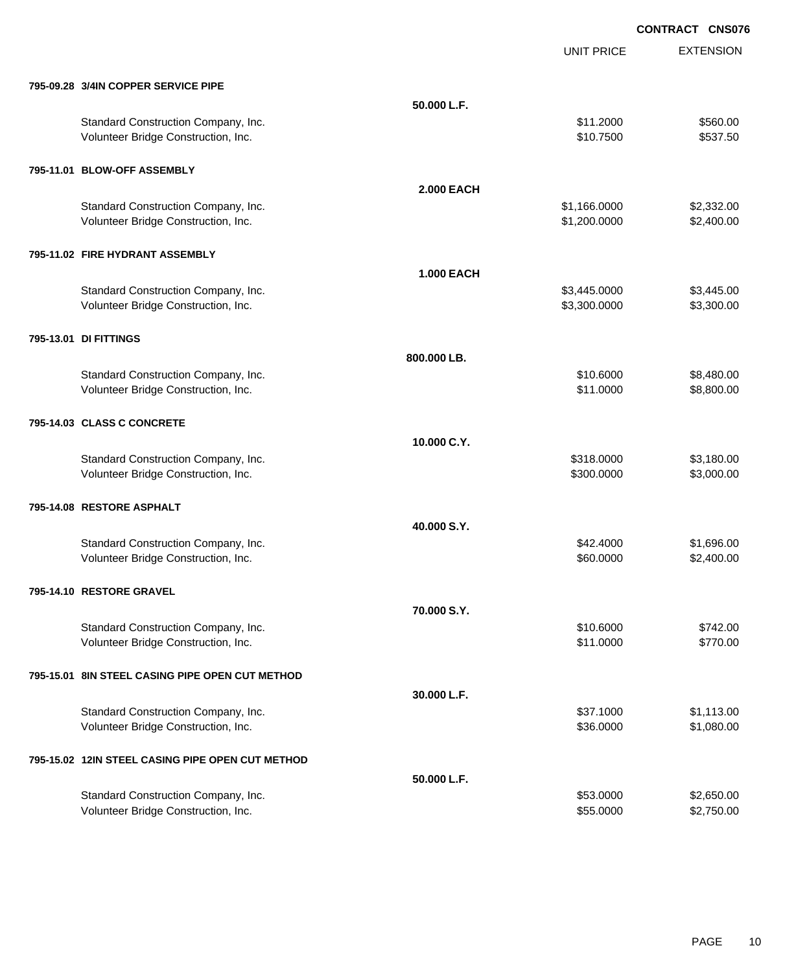EXTENSION **CONTRACT CNS076** UNIT PRICE **795-09.28 3/4IN COPPER SERVICE PIPE 50.000 L.F.** Standard Construction Company, Inc. 6. The Construction Company, Inc. \$11.2000 \$560.00 Volunteer Bridge Construction, Inc. 6537.50 **795-11.01 BLOW-OFF ASSEMBLY 2.000 EACH** Standard Construction Company, Inc. 6. The Construction Company, Inc. \$1,166.0000 \$2,332.00 Volunteer Bridge Construction, Inc. 6. 200.000 \$2,400.00 \$2,400.00 **795-11.02 FIRE HYDRANT ASSEMBLY 1.000 EACH** Standard Construction Company, Inc. 6. The Standard Construction Company, Inc. 6. The Standard Construction Company, Inc. 6. The Standard Standard Standard Standard Standard Standard Standard Standard Standard Standard Sta Volunteer Bridge Construction, Inc. 6. 2002. The state of the state of the state of the state of the state of the state of the state of the state of the state of the state of the state of the state of the state of the stat **795-13.01 DI FITTINGS 800.000 LB.** Standard Construction Company, Inc. 6. The Construction Company, Inc. \$10.6000 \$8,480.00 Volunteer Bridge Construction, Inc. 68,800.00 \$8,800.00 \$8,800.00 \$8,800.00 **795-14.03 CLASS C CONCRETE 10.000 C.Y.** Standard Construction Company, Inc. 6. The Construction Company, Inc. 6. The Construction Company, Inc. 6. The Construction Company, Inc. 6. The Construction Company, Inc. 6. The Construction Company, Inc. 6. The Construct Volunteer Bridge Construction, Inc. 6. The Construction of the Construction of the Construction, Inc. 6. The Construction of the Construction of the Construction, Inc. 6. The Construction of the Construction of the Constru **795-14.08 RESTORE ASPHALT 40.000 S.Y.** Standard Construction Company, Inc. 6. The Construction Company, Inc. 6. The Construction Company, Inc. 6. The Construction Company, Inc. 6. The Construction Company, Inc. 6. The Construction Company, Inc. 6. The Construct Volunteer Bridge Construction, Inc. 60.000 \$2,400.00 \$2,400.00 **795-14.10 RESTORE GRAVEL 70.000 S.Y.** Standard Construction Company, Inc. 6. The Standard Construction Company, Inc. 6. The Standard Construction Company, Inc. 6. The Standard Construction Company, Inc. 6. The Standard Construction Company, Inc. 6. The Standar Volunteer Bridge Construction, Inc. 6770.00 \$11.0000 \$770.00 **795-15.01 8IN STEEL CASING PIPE OPEN CUT METHOD 30.000 L.F.** Standard Construction Company, Inc. 6. The Construction Company, Inc. 6. The Construction Company, Inc. 6. The Construction Company, Inc. 6. The Construction Company, Inc. 6. The Construction Company, Inc. 6. The Construct Volunteer Bridge Construction, Inc. 6. The Construction of the Construction, Inc. 6. The Construction, Inc. 6. The Construction of the Construction of the Construction, Inc. 6. The Construction of the Construction of the C **795-15.02 12IN STEEL CASING PIPE OPEN CUT METHOD 50.000 L.F.** Standard Construction Company, Inc. 6. The Construction Company, Inc. \$53.0000 \$2,650.00 Volunteer Bridge Construction, Inc. 6. The Construction of the Construction, Inc. 6. The Construction, Inc. 6. The Construction of the Construction of the Construction, Inc. 6. The Construction of the Construction of the C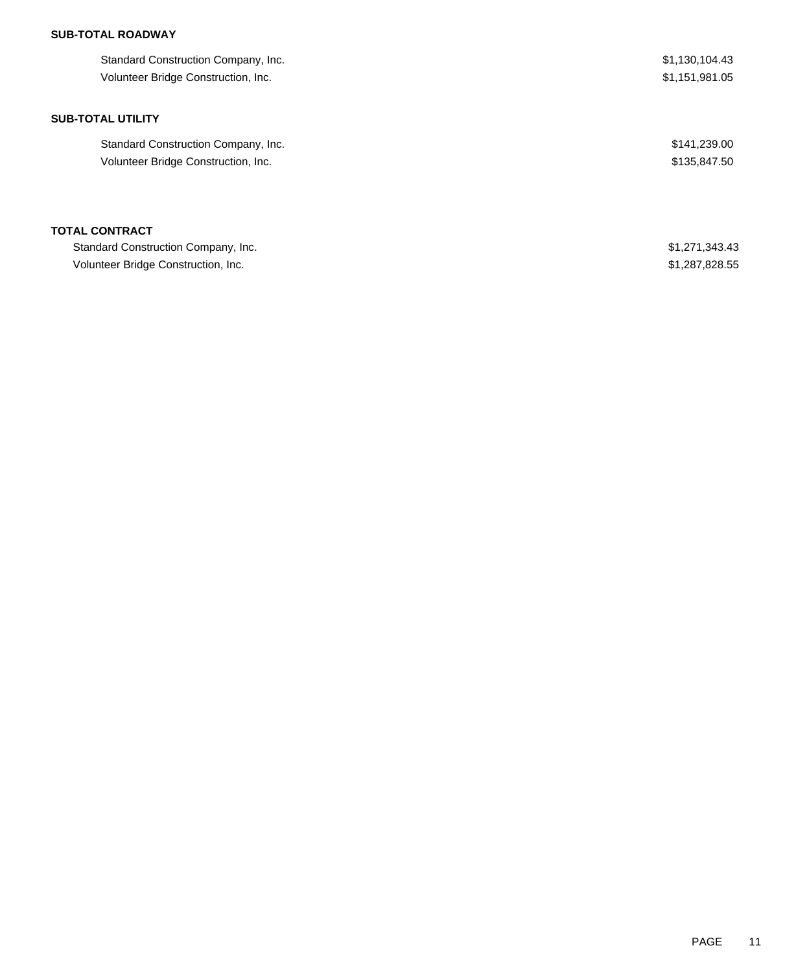## **SUB-TOTAL ROADWAY**

| Standard Construction Company, Inc. | \$1,130,104.43 |
|-------------------------------------|----------------|
| Volunteer Bridge Construction, Inc. | \$1,151,981.05 |
| <b>SUB-TOTAL UTILITY</b>            |                |
| Standard Construction Company, Inc. | \$141,239.00   |
| Volunteer Bridge Construction, Inc. | \$135,847.50   |
| <b>TOTAL CONTRACT</b>               |                |
| Standard Construction Company, Inc. | \$1,271,343.43 |
| Volunteer Bridge Construction, Inc. | \$1,287,828.55 |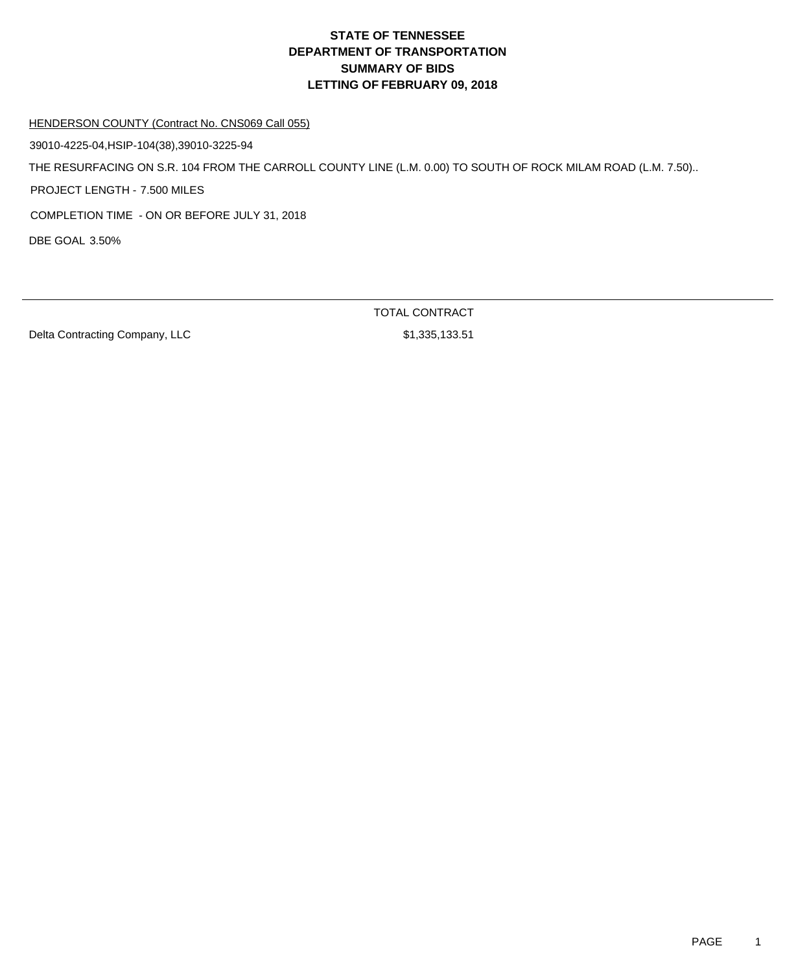#### HENDERSON COUNTY (Contract No. CNS069 Call 055)

39010-4225-04,HSIP-104(38),39010-3225-94

THE RESURFACING ON S.R. 104 FROM THE CARROLL COUNTY LINE (L.M. 0.00) TO SOUTH OF ROCK MILAM ROAD (L.M. 7.50)..

PROJECT LENGTH - 7.500 MILES

COMPLETION TIME - ON OR BEFORE JULY 31, 2018

DBE GOAL 3.50%

Delta Contracting Company, LLC \$1,335,133.51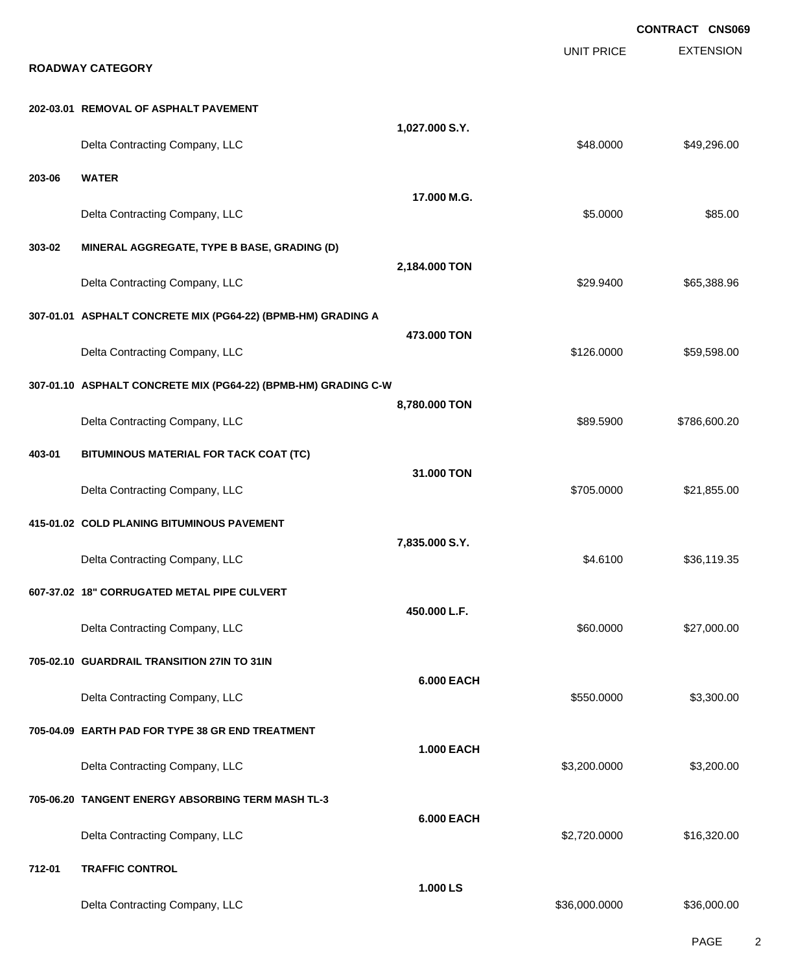|        |                                                                |                   |                   | <b>CONTRACT CNS069</b> |
|--------|----------------------------------------------------------------|-------------------|-------------------|------------------------|
|        | <b>ROADWAY CATEGORY</b>                                        |                   | <b>UNIT PRICE</b> | <b>EXTENSION</b>       |
|        | 202-03.01 REMOVAL OF ASPHALT PAVEMENT                          |                   |                   |                        |
|        | Delta Contracting Company, LLC                                 | 1,027.000 S.Y.    | \$48.0000         | \$49,296.00            |
| 203-06 | <b>WATER</b>                                                   |                   |                   |                        |
|        | Delta Contracting Company, LLC                                 | 17.000 M.G.       | \$5.0000          | \$85.00                |
| 303-02 | MINERAL AGGREGATE, TYPE B BASE, GRADING (D)                    |                   |                   |                        |
|        | Delta Contracting Company, LLC                                 | 2,184.000 TON     | \$29.9400         | \$65,388.96            |
|        | 307-01.01 ASPHALT CONCRETE MIX (PG64-22) (BPMB-HM) GRADING A   |                   |                   |                        |
|        | Delta Contracting Company, LLC                                 | 473.000 TON       | \$126.0000        | \$59,598.00            |
|        | 307-01.10 ASPHALT CONCRETE MIX (PG64-22) (BPMB-HM) GRADING C-W |                   |                   |                        |
|        | Delta Contracting Company, LLC                                 | 8,780.000 TON     | \$89.5900         | \$786,600.20           |
| 403-01 | BITUMINOUS MATERIAL FOR TACK COAT (TC)                         |                   |                   |                        |
|        | Delta Contracting Company, LLC                                 | 31.000 TON        | \$705.0000        | \$21,855.00            |
|        | 415-01.02 COLD PLANING BITUMINOUS PAVEMENT                     |                   |                   |                        |
|        | Delta Contracting Company, LLC                                 | 7,835.000 S.Y.    | \$4.6100          | \$36,119.35            |
|        | 607-37.02 18" CORRUGATED METAL PIPE CULVERT                    |                   |                   |                        |
|        | Delta Contracting Company, LLC                                 | 450.000 L.F.      | \$60.0000         | \$27,000.00            |
|        | 705-02.10 GUARDRAIL TRANSITION 27IN TO 31IN                    |                   |                   |                        |
|        | Delta Contracting Company, LLC                                 | <b>6.000 EACH</b> | \$550.0000        | \$3,300.00             |
|        | 705-04.09 EARTH PAD FOR TYPE 38 GR END TREATMENT               |                   |                   |                        |
|        | Delta Contracting Company, LLC                                 | <b>1.000 EACH</b> | \$3,200.0000      | \$3,200.00             |
|        | 705-06.20 TANGENT ENERGY ABSORBING TERM MASH TL-3              |                   |                   |                        |
|        | Delta Contracting Company, LLC                                 | <b>6.000 EACH</b> | \$2,720.0000      | \$16,320.00            |
| 712-01 | <b>TRAFFIC CONTROL</b>                                         |                   |                   |                        |
|        | Delta Contracting Company, LLC                                 | 1.000 LS          | \$36,000.0000     | \$36,000.00            |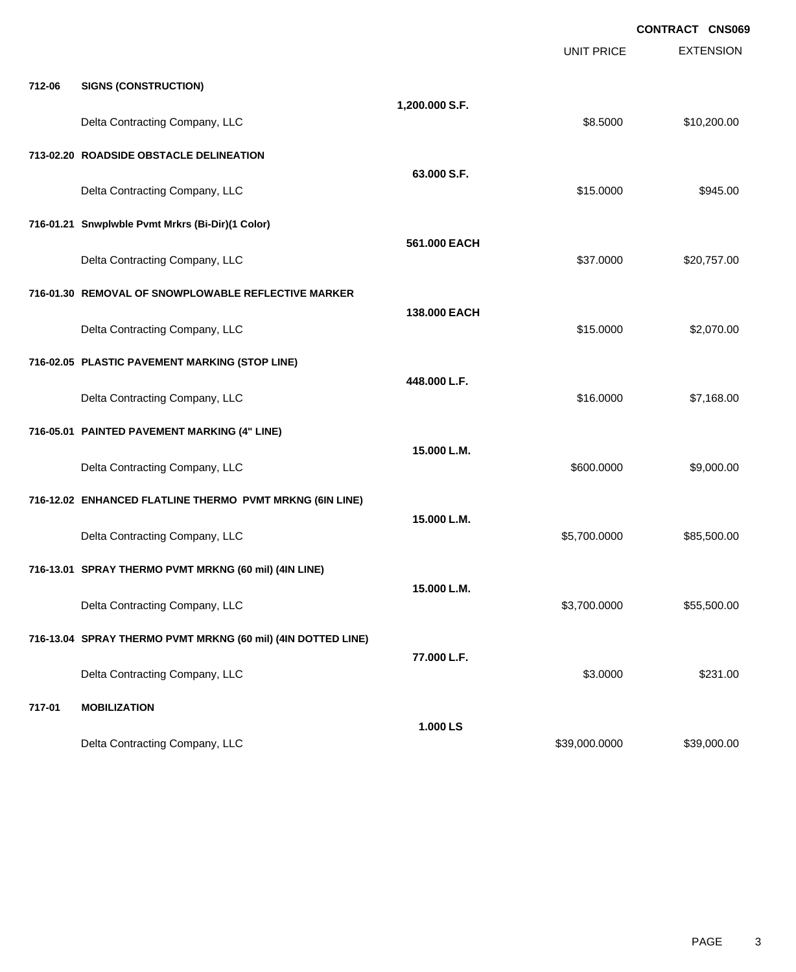|        |                                                              |                | <b>UNIT PRICE</b> | <b>CONTRACT CNS069</b><br><b>EXTENSION</b> |
|--------|--------------------------------------------------------------|----------------|-------------------|--------------------------------------------|
| 712-06 | <b>SIGNS (CONSTRUCTION)</b>                                  |                |                   |                                            |
|        | Delta Contracting Company, LLC                               | 1,200.000 S.F. | \$8.5000          | \$10,200.00                                |
|        | 713-02.20 ROADSIDE OBSTACLE DELINEATION                      |                |                   |                                            |
|        | Delta Contracting Company, LLC                               | 63,000 S.F.    | \$15.0000         | \$945.00                                   |
|        | 716-01.21 Snwplwble Pvmt Mrkrs (Bi-Dir)(1 Color)             |                |                   |                                            |
|        | Delta Contracting Company, LLC                               | 561.000 EACH   | \$37.0000         | \$20,757.00                                |
|        | 716-01.30 REMOVAL OF SNOWPLOWABLE REFLECTIVE MARKER          |                |                   |                                            |
|        | Delta Contracting Company, LLC                               | 138,000 EACH   | \$15.0000         | \$2,070.00                                 |
|        | 716-02.05 PLASTIC PAVEMENT MARKING (STOP LINE)               |                |                   |                                            |
|        | Delta Contracting Company, LLC                               | 448.000 L.F.   | \$16.0000         | \$7,168.00                                 |
|        | 716-05.01 PAINTED PAVEMENT MARKING (4" LINE)                 |                |                   |                                            |
|        | Delta Contracting Company, LLC                               | 15.000 L.M.    | \$600.0000        | \$9,000.00                                 |
|        | 716-12.02 ENHANCED FLATLINE THERMO PVMT MRKNG (6IN LINE)     |                |                   |                                            |
|        | Delta Contracting Company, LLC                               | 15.000 L.M.    | \$5,700.0000      | \$85,500.00                                |
|        | 716-13.01 SPRAY THERMO PVMT MRKNG (60 mil) (4IN LINE)        |                |                   |                                            |
|        | Delta Contracting Company, LLC                               | 15.000 L.M.    | \$3,700.0000      | \$55,500.00                                |
|        | 716-13.04 SPRAY THERMO PVMT MRKNG (60 mil) (4IN DOTTED LINE) |                |                   |                                            |
|        | Delta Contracting Company, LLC                               | 77.000 L.F.    | \$3.0000          | \$231.00                                   |
| 717-01 | <b>MOBILIZATION</b>                                          |                |                   |                                            |
|        | Delta Contracting Company, LLC                               | 1.000 LS       | \$39,000.0000     | \$39,000.00                                |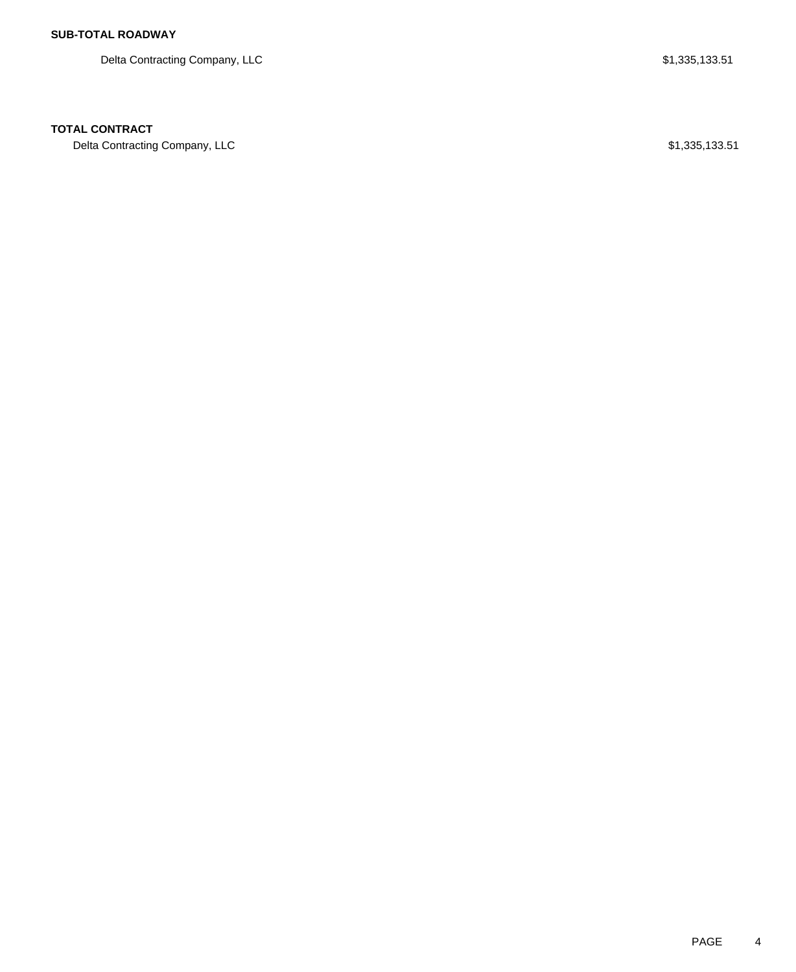Delta Contracting Company, LLC  $$1,335,133.51$ 

### **TOTAL CONTRACT**

Delta Contracting Company, LLC \$1,335,133.51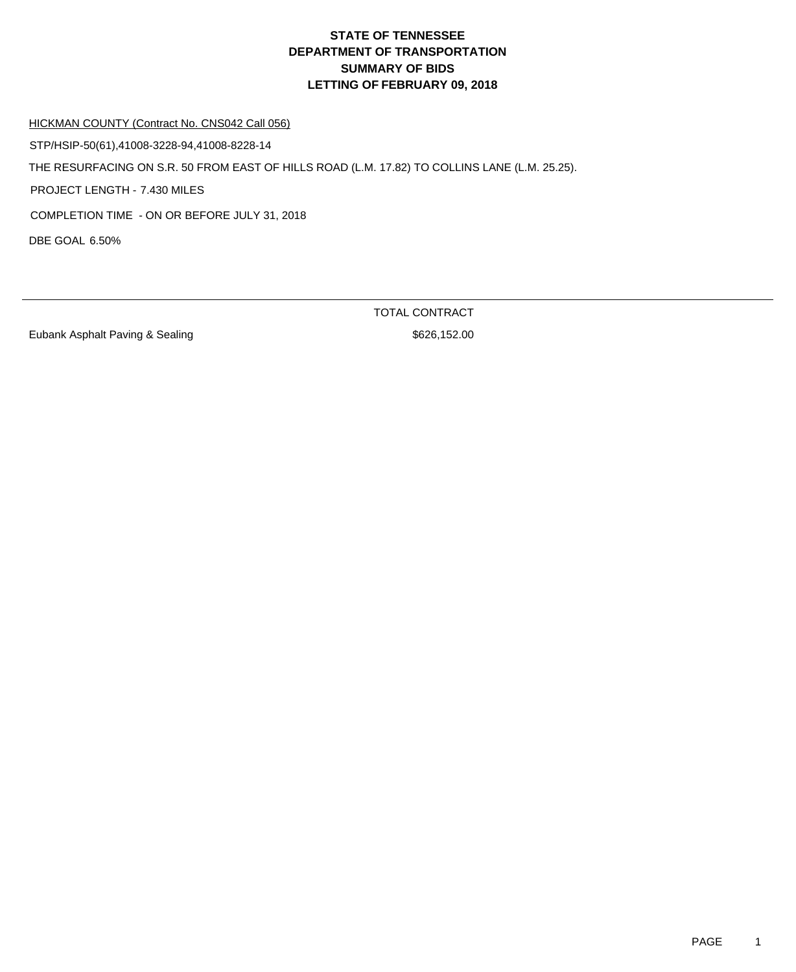HICKMAN COUNTY (Contract No. CNS042 Call 056)

STP/HSIP-50(61),41008-3228-94,41008-8228-14

THE RESURFACING ON S.R. 50 FROM EAST OF HILLS ROAD (L.M. 17.82) TO COLLINS LANE (L.M. 25.25).

PROJECT LENGTH - 7.430 MILES

COMPLETION TIME - ON OR BEFORE JULY 31, 2018

DBE GOAL 6.50%

Eubank Asphalt Paving & Sealing \$626,152.00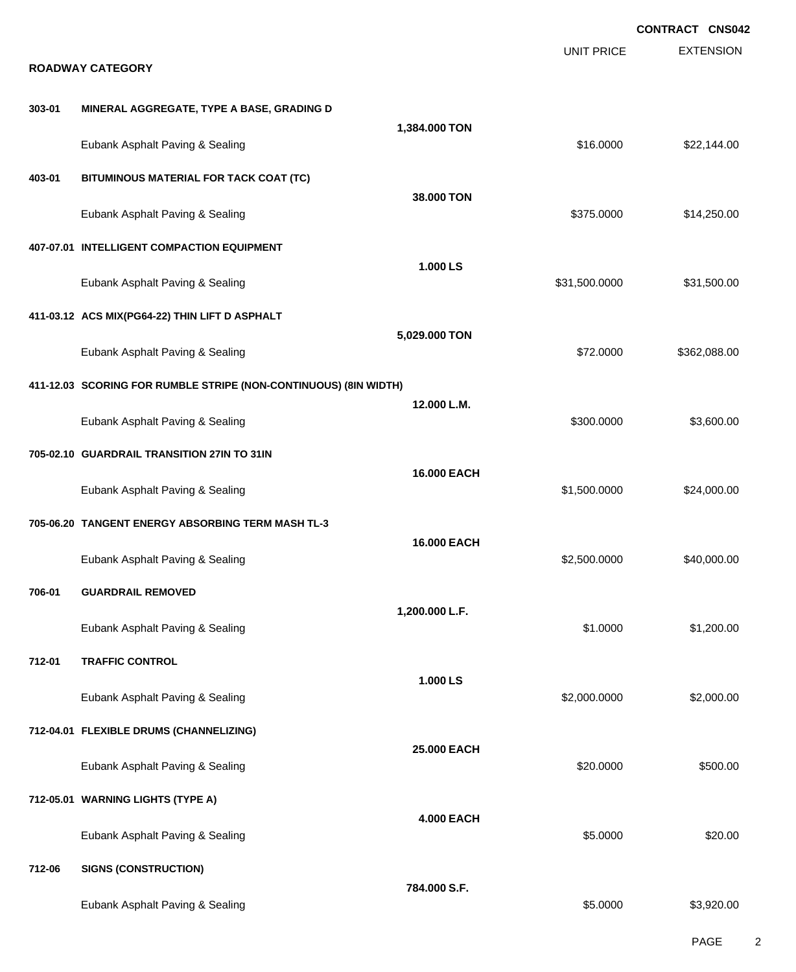|        |                                                                  |                   |                   | <b>CONTRACT CNS042</b> |
|--------|------------------------------------------------------------------|-------------------|-------------------|------------------------|
|        | <b>ROADWAY CATEGORY</b>                                          |                   | <b>UNIT PRICE</b> | <b>EXTENSION</b>       |
|        |                                                                  |                   |                   |                        |
| 303-01 | MINERAL AGGREGATE, TYPE A BASE, GRADING D                        | 1,384.000 TON     |                   |                        |
|        | Eubank Asphalt Paving & Sealing                                  |                   | \$16.0000         | \$22,144.00            |
| 403-01 | BITUMINOUS MATERIAL FOR TACK COAT (TC)                           |                   |                   |                        |
|        | Eubank Asphalt Paving & Sealing                                  | 38.000 TON        | \$375.0000        | \$14,250.00            |
|        | 407-07.01 INTELLIGENT COMPACTION EQUIPMENT                       |                   |                   |                        |
|        | Eubank Asphalt Paving & Sealing                                  | 1.000 LS          | \$31,500.0000     | \$31,500.00            |
|        | 411-03.12 ACS MIX(PG64-22) THIN LIFT D ASPHALT                   |                   |                   |                        |
|        | Eubank Asphalt Paving & Sealing                                  | 5,029.000 TON     | \$72.0000         | \$362,088.00           |
|        | 411-12.03 SCORING FOR RUMBLE STRIPE (NON-CONTINUOUS) (8IN WIDTH) |                   |                   |                        |
|        | Eubank Asphalt Paving & Sealing                                  | 12.000 L.M.       | \$300.0000        | \$3,600.00             |
|        | 705-02.10 GUARDRAIL TRANSITION 27IN TO 31IN                      |                   |                   |                        |
|        | Eubank Asphalt Paving & Sealing                                  | 16.000 EACH       | \$1,500.0000      | \$24,000.00            |
|        | 705-06.20 TANGENT ENERGY ABSORBING TERM MASH TL-3                |                   |                   |                        |
|        | Eubank Asphalt Paving & Sealing                                  | 16.000 EACH       | \$2,500.0000      | \$40,000.00            |
| 706-01 | <b>GUARDRAIL REMOVED</b>                                         |                   |                   |                        |
|        | Eubank Asphalt Paving & Sealing                                  | 1,200.000 L.F.    | \$1.0000          | \$1,200.00             |
| 712-01 | <b>TRAFFIC CONTROL</b>                                           |                   |                   |                        |
|        | Eubank Asphalt Paving & Sealing                                  | 1.000 LS          | \$2,000.0000      | \$2,000.00             |
|        | 712-04.01 FLEXIBLE DRUMS (CHANNELIZING)                          |                   |                   |                        |
|        | Eubank Asphalt Paving & Sealing                                  | 25.000 EACH       | \$20.0000         | \$500.00               |
|        | 712-05.01 WARNING LIGHTS (TYPE A)                                |                   |                   |                        |
|        | Eubank Asphalt Paving & Sealing                                  | <b>4.000 EACH</b> | \$5.0000          | \$20.00                |
| 712-06 | <b>SIGNS (CONSTRUCTION)</b>                                      |                   |                   |                        |
|        | Eubank Asphalt Paving & Sealing                                  | 784.000 S.F.      | \$5.0000          | \$3,920.00             |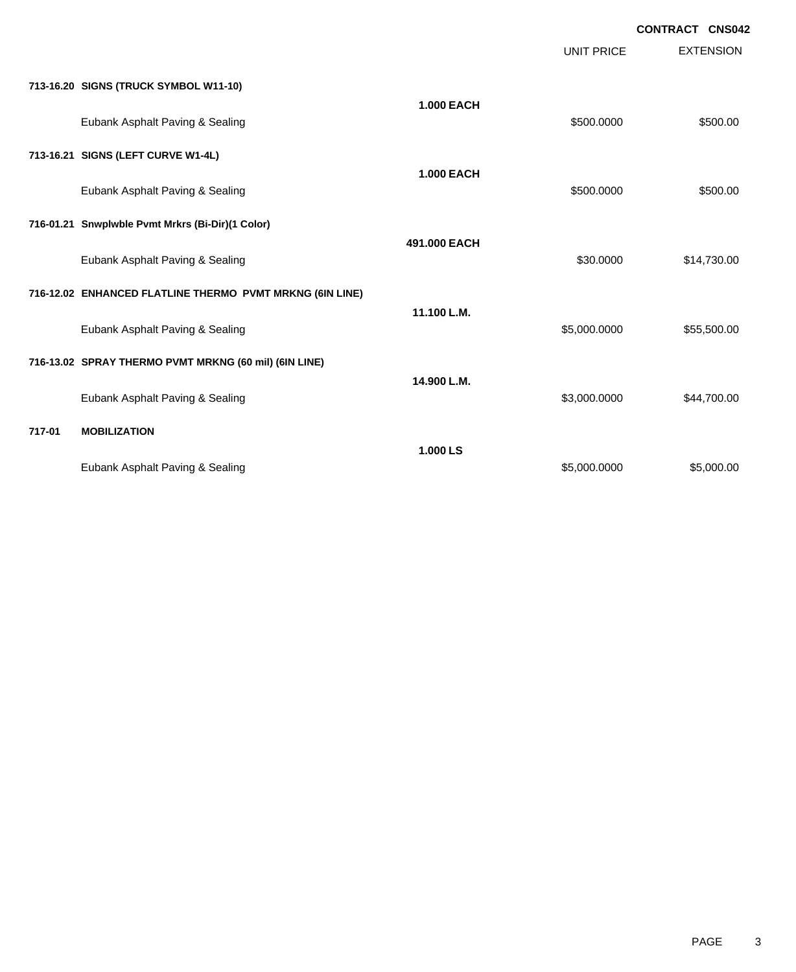EXTENSION **CONTRACT CNS042** UNIT PRICE **713-16.20 SIGNS (TRUCK SYMBOL W11-10) 1.000 EACH** Eubank Asphalt Paving & Sealing  $$500.000$  \$500.000 \$500.000 **713-16.21 SIGNS (LEFT CURVE W1-4L) 1.000 EACH** Eubank Asphalt Paving & Sealing \$500.000 \$500.000 \$500.000 \$500.000 \$500.000 **716-01.21 Snwplwble Pvmt Mrkrs (Bi-Dir)(1 Color) 491.000 EACH** Eubank Asphalt Paving & Sealing \$30.000 \$14,730.00 **716-12.02 ENHANCED FLATLINE THERMO PVMT MRKNG (6IN LINE) 11.100 L.M.** Eubank Asphalt Paving & Sealing \$5,000.0000 \$55,500.000 \$55,500.000 **716-13.02 SPRAY THERMO PVMT MRKNG (60 mil) (6IN LINE) 14.900 L.M.** Eubank Asphalt Paving & Sealing \$3,000.000 \$44,700.00 **717-01 MOBILIZATION 1.000 LS** Eubank Asphalt Paving & Sealing **\$5,000.000 \$5,000.000 \$5,000.000** \$5,000.000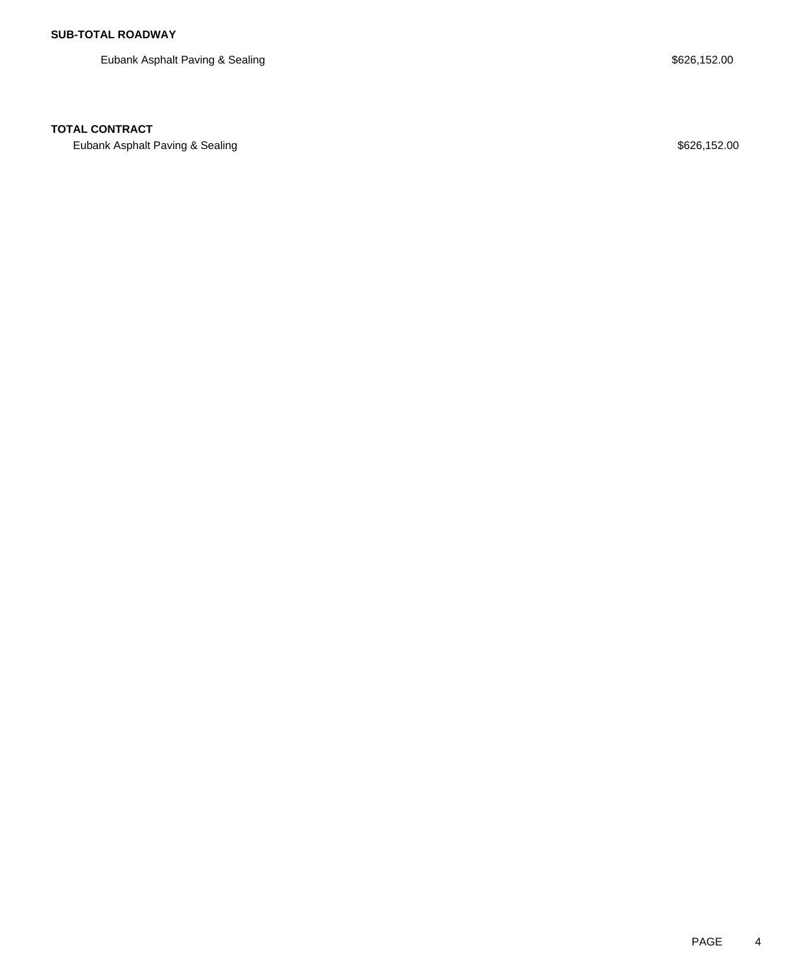Eubank Asphalt Paving & Sealing \$626,152.00

## **TOTAL CONTRACT**

Eubank Asphalt Paving & Sealing **\$626,152.00** Security and the season of the season of the season of the season of the season of the season of the season of the season of the season of the season of the season of the seaso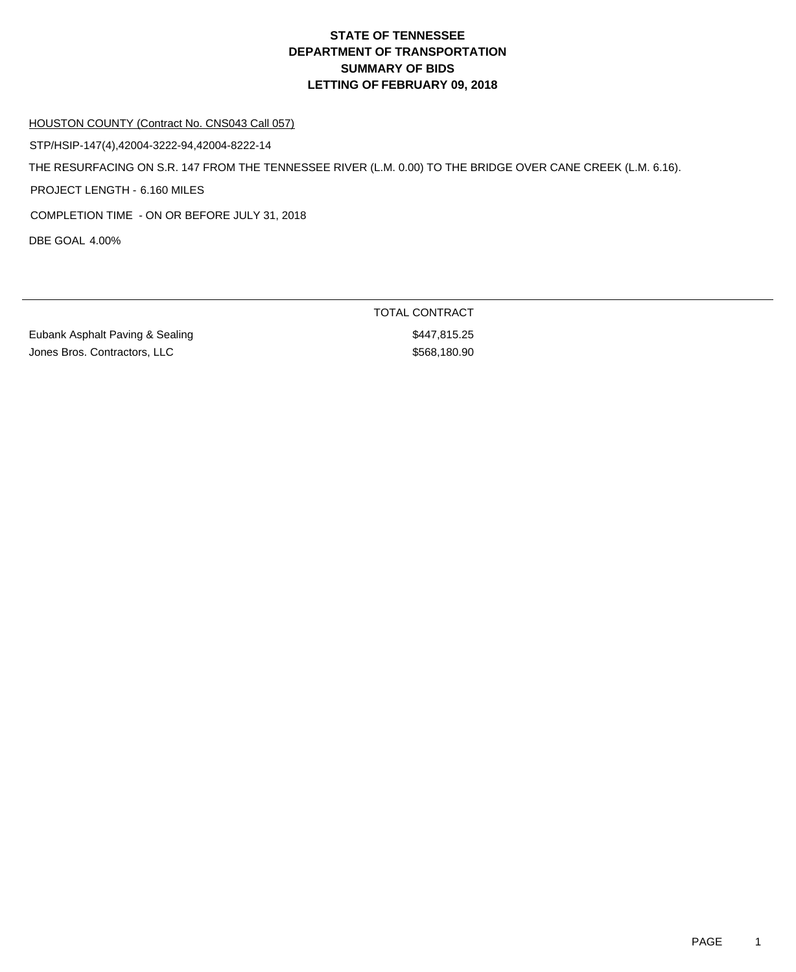#### HOUSTON COUNTY (Contract No. CNS043 Call 057)

STP/HSIP-147(4),42004-3222-94,42004-8222-14

THE RESURFACING ON S.R. 147 FROM THE TENNESSEE RIVER (L.M. 0.00) TO THE BRIDGE OVER CANE CREEK (L.M. 6.16).

PROJECT LENGTH - 6.160 MILES

COMPLETION TIME - ON OR BEFORE JULY 31, 2018

DBE GOAL 4.00%

Eubank Asphalt Paving & Sealing \$447,815.25 Jones Bros. Contractors, LLC \$568,180.90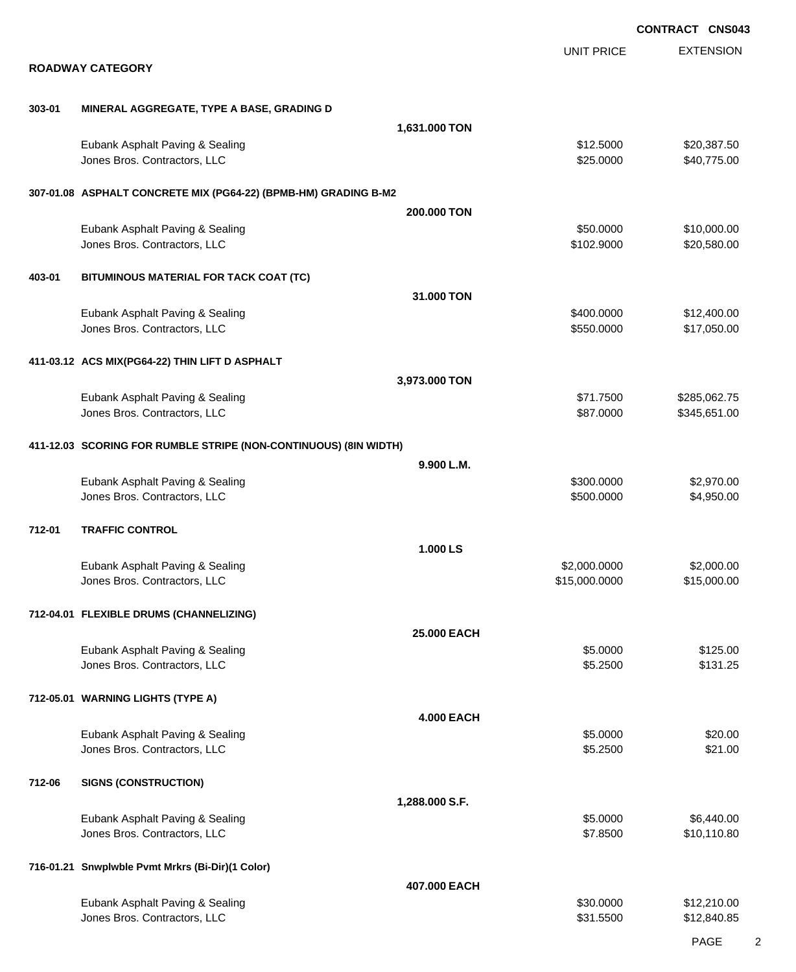|        |                                                                  |                   |                         | <b>CONTRACT CNS043</b>       |
|--------|------------------------------------------------------------------|-------------------|-------------------------|------------------------------|
|        | <b>ROADWAY CATEGORY</b>                                          |                   | <b>UNIT PRICE</b>       | <b>EXTENSION</b>             |
|        |                                                                  |                   |                         |                              |
| 303-01 | MINERAL AGGREGATE, TYPE A BASE, GRADING D                        |                   |                         |                              |
|        |                                                                  | 1,631.000 TON     |                         |                              |
|        | Eubank Asphalt Paving & Sealing<br>Jones Bros. Contractors, LLC  |                   | \$12.5000<br>\$25.0000  | \$20,387.50<br>\$40,775.00   |
|        | 307-01.08 ASPHALT CONCRETE MIX (PG64-22) (BPMB-HM) GRADING B-M2  |                   |                         |                              |
|        |                                                                  | 200,000 TON       |                         |                              |
|        | Eubank Asphalt Paving & Sealing<br>Jones Bros. Contractors, LLC  |                   | \$50.0000<br>\$102.9000 | \$10,000.00<br>\$20,580.00   |
| 403-01 | BITUMINOUS MATERIAL FOR TACK COAT (TC)                           |                   |                         |                              |
|        |                                                                  | 31.000 TON        |                         |                              |
|        | Eubank Asphalt Paving & Sealing                                  |                   | \$400.0000              | \$12,400.00                  |
|        | Jones Bros. Contractors, LLC                                     |                   | \$550.0000              | \$17,050.00                  |
|        | 411-03.12 ACS MIX(PG64-22) THIN LIFT D ASPHALT                   |                   |                         |                              |
|        |                                                                  | 3,973.000 TON     |                         |                              |
|        | Eubank Asphalt Paving & Sealing<br>Jones Bros. Contractors, LLC  |                   | \$71.7500<br>\$87.0000  | \$285,062.75<br>\$345,651.00 |
|        |                                                                  |                   |                         |                              |
|        | 411-12.03 SCORING FOR RUMBLE STRIPE (NON-CONTINUOUS) (8IN WIDTH) |                   |                         |                              |
|        |                                                                  | 9.900 L.M.        |                         |                              |
|        | Eubank Asphalt Paving & Sealing                                  |                   | \$300.0000              | \$2,970.00                   |
|        | Jones Bros. Contractors, LLC                                     |                   | \$500.0000              | \$4,950.00                   |
| 712-01 | <b>TRAFFIC CONTROL</b>                                           |                   |                         |                              |
|        |                                                                  | 1.000 LS          |                         |                              |
|        | Eubank Asphalt Paving & Sealing                                  |                   | \$2,000.0000            | \$2,000.00                   |
|        | Jones Bros. Contractors, LLC                                     |                   | \$15,000.0000           | \$15,000.00                  |
|        | 712-04.01 FLEXIBLE DRUMS (CHANNELIZING)                          |                   |                         |                              |
|        |                                                                  | 25.000 EACH       |                         |                              |
|        | Eubank Asphalt Paving & Sealing                                  |                   | \$5.0000                | \$125.00                     |
|        | Jones Bros. Contractors, LLC                                     |                   | \$5.2500                | \$131.25                     |
|        | 712-05.01 WARNING LIGHTS (TYPE A)                                |                   |                         |                              |
|        |                                                                  | <b>4.000 EACH</b> |                         |                              |
|        | Eubank Asphalt Paving & Sealing                                  |                   | \$5.0000                | \$20.00                      |
|        | Jones Bros. Contractors, LLC                                     |                   | \$5.2500                | \$21.00                      |
| 712-06 | <b>SIGNS (CONSTRUCTION)</b>                                      |                   |                         |                              |
|        |                                                                  | 1,288.000 S.F.    |                         |                              |
|        | Eubank Asphalt Paving & Sealing                                  |                   | \$5.0000                | \$6,440.00                   |
|        | Jones Bros. Contractors, LLC                                     |                   | \$7.8500                | \$10,110.80                  |
|        | 716-01.21 Snwplwble Pvmt Mrkrs (Bi-Dir)(1 Color)                 |                   |                         |                              |
|        |                                                                  | 407.000 EACH      |                         |                              |
|        | Eubank Asphalt Paving & Sealing                                  |                   | \$30.0000               | \$12,210.00                  |
|        | Jones Bros. Contractors, LLC                                     |                   | \$31.5500               | \$12,840.85                  |
|        |                                                                  |                   |                         |                              |

PAGE 2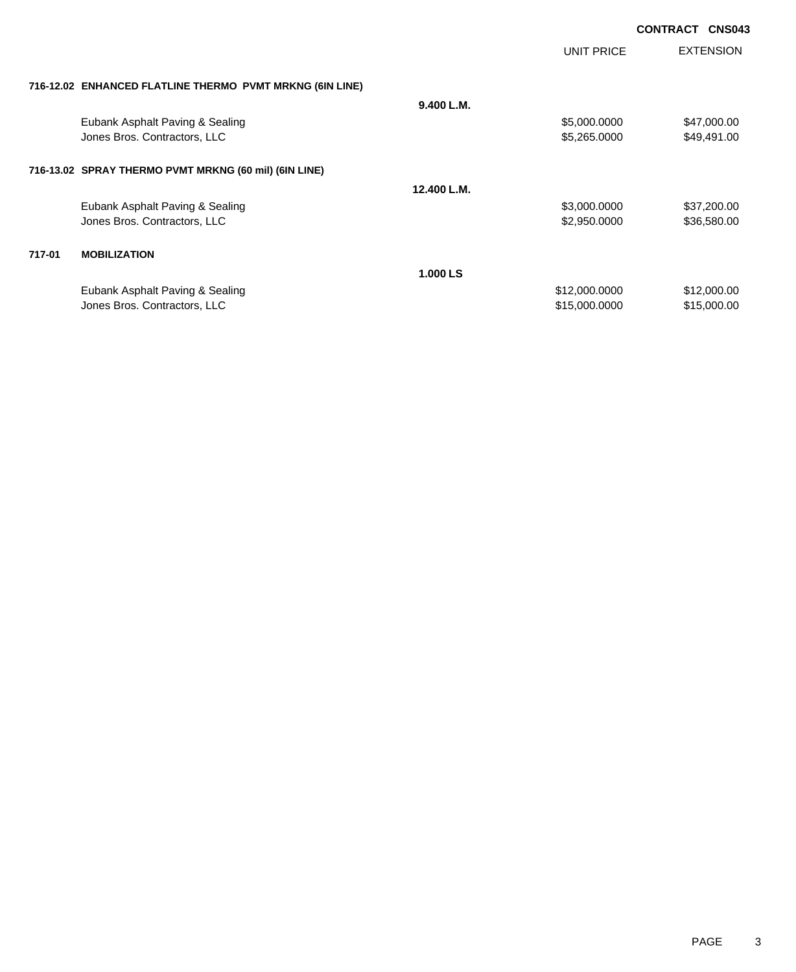|        |                                                          |             | UNIT PRICE    | <b>EXTENSION</b> |
|--------|----------------------------------------------------------|-------------|---------------|------------------|
|        | 716-12.02 ENHANCED FLATLINE THERMO PVMT MRKNG (6IN LINE) |             |               |                  |
|        |                                                          | 9.400 L.M.  |               |                  |
|        | Eubank Asphalt Paving & Sealing                          |             | \$5,000.0000  | \$47,000.00      |
|        | Jones Bros. Contractors, LLC                             |             | \$5,265.0000  | \$49,491.00      |
|        | 716-13.02 SPRAY THERMO PVMT MRKNG (60 mil) (6IN LINE)    |             |               |                  |
|        |                                                          | 12.400 L.M. |               |                  |
|        | Eubank Asphalt Paving & Sealing                          |             | \$3,000.0000  | \$37,200.00      |
|        | Jones Bros. Contractors, LLC                             |             | \$2,950.0000  | \$36,580.00      |
| 717-01 | <b>MOBILIZATION</b>                                      |             |               |                  |
|        |                                                          | 1.000 LS    |               |                  |
|        | Eubank Asphalt Paving & Sealing                          |             | \$12,000.0000 | \$12,000.00      |
|        | Jones Bros. Contractors, LLC                             |             | \$15,000.0000 | \$15,000.00      |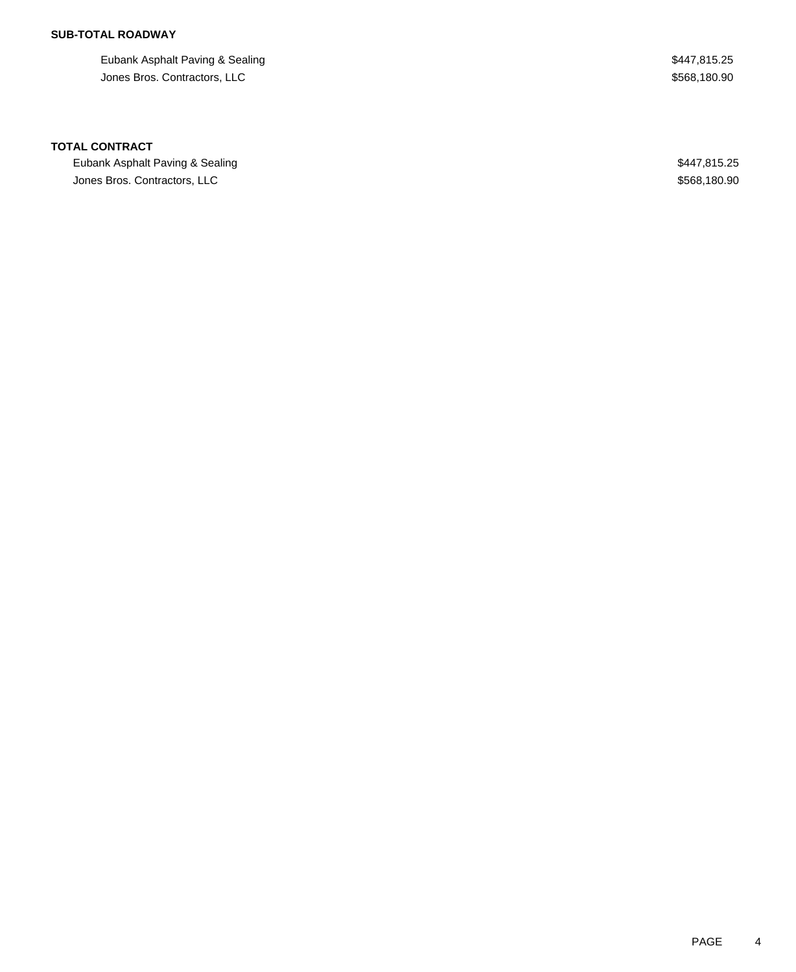## **SUB-TOTAL ROADWAY**

Eubank Asphalt Paving & Sealing \$447,815.25 Jones Bros. Contractors, LLC \$568,180.90

#### **TOTAL CONTRACT**

Eubank Asphalt Paving & Sealing \$447,815.25 Jones Bros. Contractors, LLC \$568,180.90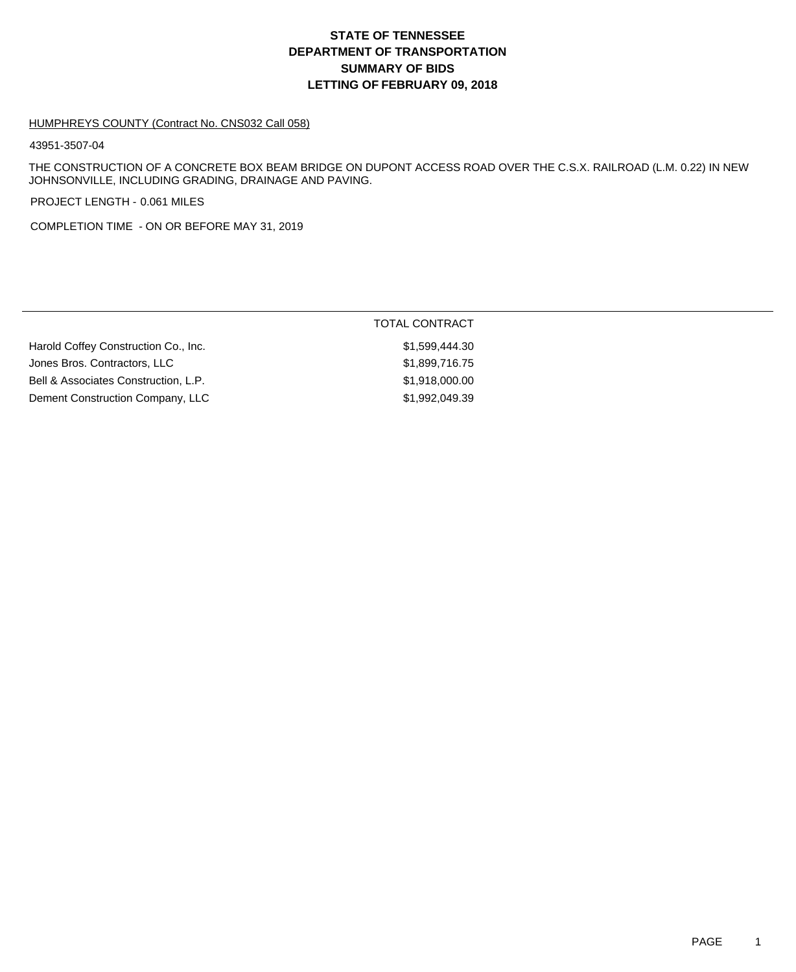# **DEPARTMENT OF TRANSPORTATION SUMMARY OF BIDS LETTING OF FEBRUARY 09, 2018 STATE OF TENNESSEE**

#### HUMPHREYS COUNTY (Contract No. CNS032 Call 058)

43951-3507-04

THE CONSTRUCTION OF A CONCRETE BOX BEAM BRIDGE ON DUPONT ACCESS ROAD OVER THE C.S.X. RAILROAD (L.M. 0.22) IN NEW JOHNSONVILLE, INCLUDING GRADING, DRAINAGE AND PAVING.

PROJECT LENGTH - 0.061 MILES

COMPLETION TIME - ON OR BEFORE MAY 31, 2019

|                                      | <b>TOTAL CONTRACT</b> |
|--------------------------------------|-----------------------|
| Harold Coffey Construction Co., Inc. | \$1.599.444.30        |
| Jones Bros. Contractors, LLC         | \$1,899,716.75        |
| Bell & Associates Construction, L.P. | \$1,918,000.00        |
| Dement Construction Company, LLC     | \$1.992.049.39        |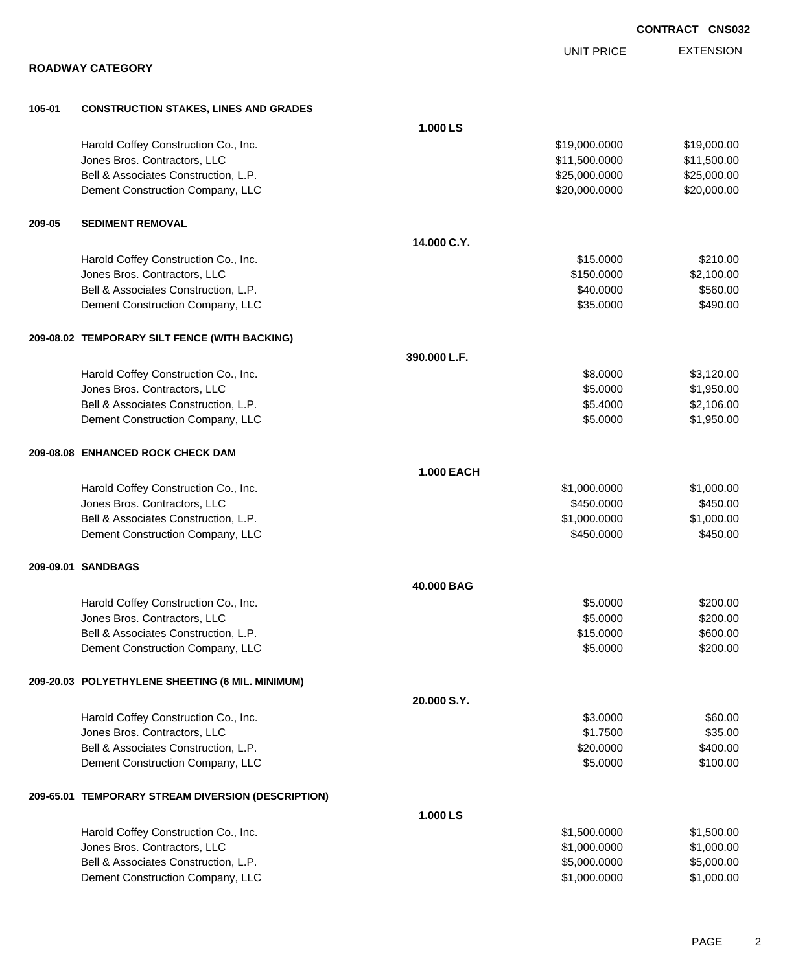|        |                                                                      |                   |                              | UUNIKAUI UNJUJ           |
|--------|----------------------------------------------------------------------|-------------------|------------------------------|--------------------------|
|        |                                                                      |                   | <b>UNIT PRICE</b>            | <b>EXTENSION</b>         |
|        | <b>ROADWAY CATEGORY</b>                                              |                   |                              |                          |
| 105-01 | <b>CONSTRUCTION STAKES, LINES AND GRADES</b>                         |                   |                              |                          |
|        |                                                                      | 1.000 LS          |                              |                          |
|        | Harold Coffey Construction Co., Inc.                                 |                   | \$19,000.0000                | \$19,000.00              |
|        | Jones Bros. Contractors, LLC                                         |                   | \$11,500.0000                | \$11,500.00              |
|        | Bell & Associates Construction, L.P.                                 |                   | \$25,000.0000                | \$25,000.00              |
|        | Dement Construction Company, LLC                                     |                   | \$20,000.0000                | \$20,000.00              |
| 209-05 | <b>SEDIMENT REMOVAL</b>                                              |                   |                              |                          |
|        |                                                                      | 14.000 C.Y.       |                              |                          |
|        | Harold Coffey Construction Co., Inc.                                 |                   | \$15.0000                    | \$210.00                 |
|        | Jones Bros. Contractors, LLC                                         |                   | \$150.0000                   | \$2,100.00               |
|        | Bell & Associates Construction, L.P.                                 |                   | \$40.0000                    | \$560.00                 |
|        | Dement Construction Company, LLC                                     |                   | \$35.0000                    | \$490.00                 |
|        | 209-08.02 TEMPORARY SILT FENCE (WITH BACKING)                        |                   |                              |                          |
|        |                                                                      | 390.000 L.F.      |                              |                          |
|        | Harold Coffey Construction Co., Inc.                                 |                   | \$8.0000                     | \$3,120.00               |
|        | Jones Bros. Contractors, LLC                                         |                   | \$5.0000                     | \$1,950.00               |
|        | Bell & Associates Construction, L.P.                                 |                   | \$5.4000                     | \$2,106.00               |
|        | Dement Construction Company, LLC                                     |                   | \$5.0000                     | \$1,950.00               |
|        | 209-08.08 ENHANCED ROCK CHECK DAM                                    |                   |                              |                          |
|        |                                                                      | <b>1.000 EACH</b> |                              |                          |
|        | Harold Coffey Construction Co., Inc.                                 |                   | \$1,000.0000                 | \$1,000.00               |
|        | Jones Bros. Contractors, LLC                                         |                   | \$450.0000                   | \$450.00                 |
|        | Bell & Associates Construction, L.P.                                 |                   | \$1,000.0000                 | \$1,000.00               |
|        | Dement Construction Company, LLC                                     |                   | \$450.0000                   | \$450.00                 |
|        | 209-09.01 SANDBAGS                                                   |                   |                              |                          |
|        |                                                                      | 40.000 BAG        |                              |                          |
|        | Harold Coffey Construction Co., Inc.                                 |                   | \$5.0000                     | \$200.00                 |
|        | Jones Bros. Contractors, LLC                                         |                   | \$5.0000                     | \$200.00                 |
|        | Bell & Associates Construction, L.P.                                 |                   | \$15.0000                    | \$600.00                 |
|        | Dement Construction Company, LLC                                     |                   | \$5.0000                     | \$200.00                 |
|        | 209-20.03 POLYETHYLENE SHEETING (6 MIL. MINIMUM)                     |                   |                              |                          |
|        |                                                                      | 20.000 S.Y.       |                              |                          |
|        | Harold Coffey Construction Co., Inc.                                 |                   | \$3.0000                     | \$60.00                  |
|        | Jones Bros. Contractors, LLC                                         |                   | \$1.7500                     | \$35.00                  |
|        | Bell & Associates Construction, L.P.                                 |                   | \$20.0000                    | \$400.00                 |
|        | Dement Construction Company, LLC                                     |                   | \$5.0000                     | \$100.00                 |
|        | 209-65.01 TEMPORARY STREAM DIVERSION (DESCRIPTION)                   |                   |                              |                          |
|        |                                                                      | 1.000 LS          |                              |                          |
|        | Harold Coffey Construction Co., Inc.                                 |                   | \$1,500.0000                 | \$1,500.00               |
|        | Jones Bros. Contractors, LLC<br>Bell & Associates Construction, L.P. |                   | \$1,000.0000                 | \$1,000.00               |
|        | Dement Construction Company, LLC                                     |                   | \$5,000.0000<br>\$1,000.0000 | \$5,000.00<br>\$1,000.00 |
|        |                                                                      |                   |                              |                          |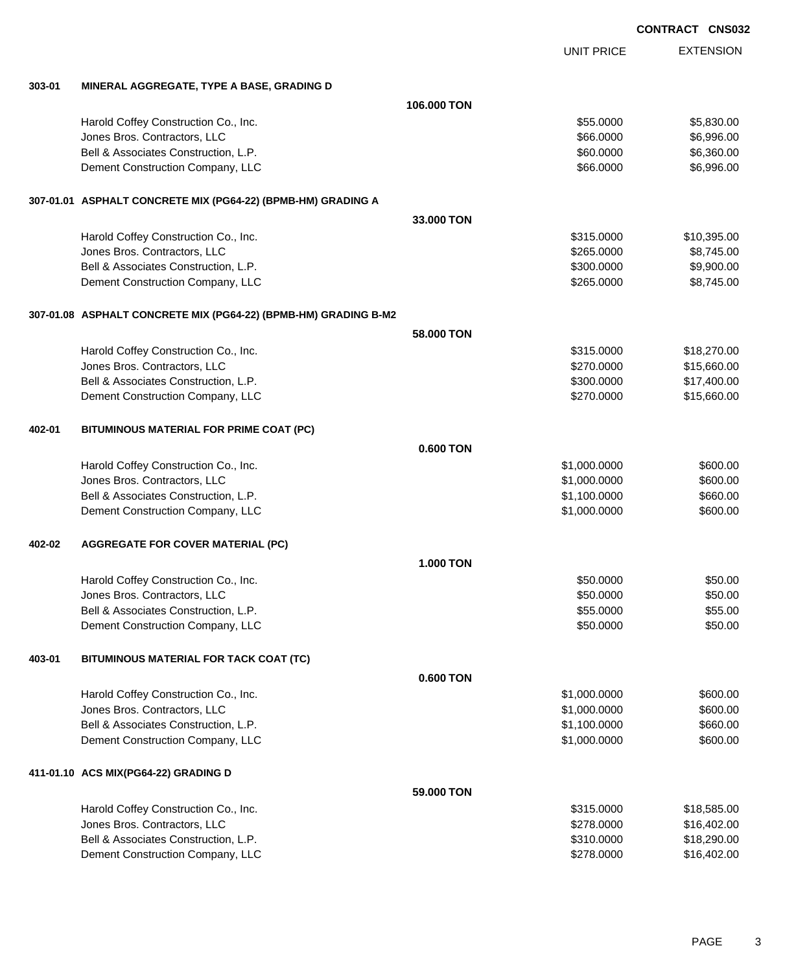|  | <b>CONTRACT CNS032</b> |
|--|------------------------|
|  |                        |

EXTENSION UNIT PRICE **303-01 MINERAL AGGREGATE, TYPE A BASE, GRADING D 106.000 TON** Harold Coffey Construction Co., Inc. 6. The Construction Co., Inc. \$55.0000 \$5,830.00 Jones Bros. Contractors, LLC \$66.0000 \$6,996.00 Bell & Associates Construction, L.P. \$60.000 \$6,360.00 Dement Construction Company, LLC 66.0000 \$6,996.00 **307-01.01 ASPHALT CONCRETE MIX (PG64-22) (BPMB-HM) GRADING A 33.000 TON** Harold Coffey Construction Co., Inc. 6. 2010 12:31 12:315.0000 \$10,395.00 Jones Bros. Contractors, LLC \$265.0000 \$8,745.00 Bell & Associates Construction, L.P.  $$300.000$  \$9,900.00 Dement Construction Company, LLC 6. The state of the state of the state of the state  $$265.0000$  \$8,745.00 **307-01.08 ASPHALT CONCRETE MIX (PG64-22) (BPMB-HM) GRADING B-M2 58.000 TON** Harold Coffey Construction Co., Inc. 6. The Construction Co., Inc. 6. The Construction Co., Inc. 6. The Const Jones Bros. Contractors, LLC \$270.0000 \$15,660.00 Bell & Associates Construction, L.P.  $$300.0000$  \$17,400.00 Dement Construction Company, LLC 60000 \$15,660.00 **402-01 BITUMINOUS MATERIAL FOR PRIME COAT (PC) 0.600 TON** Harold Coffey Construction Co., Inc. 6600.00 \$600.00 \$600.00 \$600.00 Unnes Bros. Contractors, LLC 600.000 \$600.00 \$600.00 Bell & Associates Construction, L.P. \$1,100.0000 \$660.00 Dement Construction Company, LLC 600.000 \$600.00 \$600.00 **402-02 AGGREGATE FOR COVER MATERIAL (PC) 1.000 TON** Harold Coffey Construction Co., Inc. 660.000 \$50.000 \$50.000 \$50.000 \$50.000 \$50.000 \$50.00 Jones Bros. Contractors, LLC 60000 \$50.000 \$50.000 \$50.000 \$50.000 \$50.000 \$50.000 \$50.000 \$50.000 \$50.00 Bell & Associates Construction, L.P. \$55.000 \$55.000 \$55.000 \$55.000 Dement Construction Company, LLC 60000 \$50.000 \$50.000 \$50.000 \$50.000 \$50.000 \$50.000 \$50.00 **403-01 BITUMINOUS MATERIAL FOR TACK COAT (TC) 0.600 TON**

Harold Coffey Construction Co., Inc. 6600.00 \$600.00 \$600.00 \$600.00 versions and the state of the state of the state of the state of the state of the state of the state of the state of the state of the state of the state of the state of the state of the state of the state of the state of t Bell & Associates Construction, L.P. \$1,100.0000 \$660.00 Dement Construction Company, LLC 600.000 \$600.00 \$600.00

**411-01.10 ACS MIX(PG64-22) GRADING D**

| Harold Coffey Construction Co., Inc. | \$315,0000 | \$18,585,00 |
|--------------------------------------|------------|-------------|
| Jones Bros. Contractors, LLC         | \$278,0000 | \$16.402.00 |
| Bell & Associates Construction, L.P. | \$310,0000 | \$18.290.00 |
| Dement Construction Company, LLC     | \$278,0000 | \$16,402,00 |
|                                      |            |             |

**59.000 TON**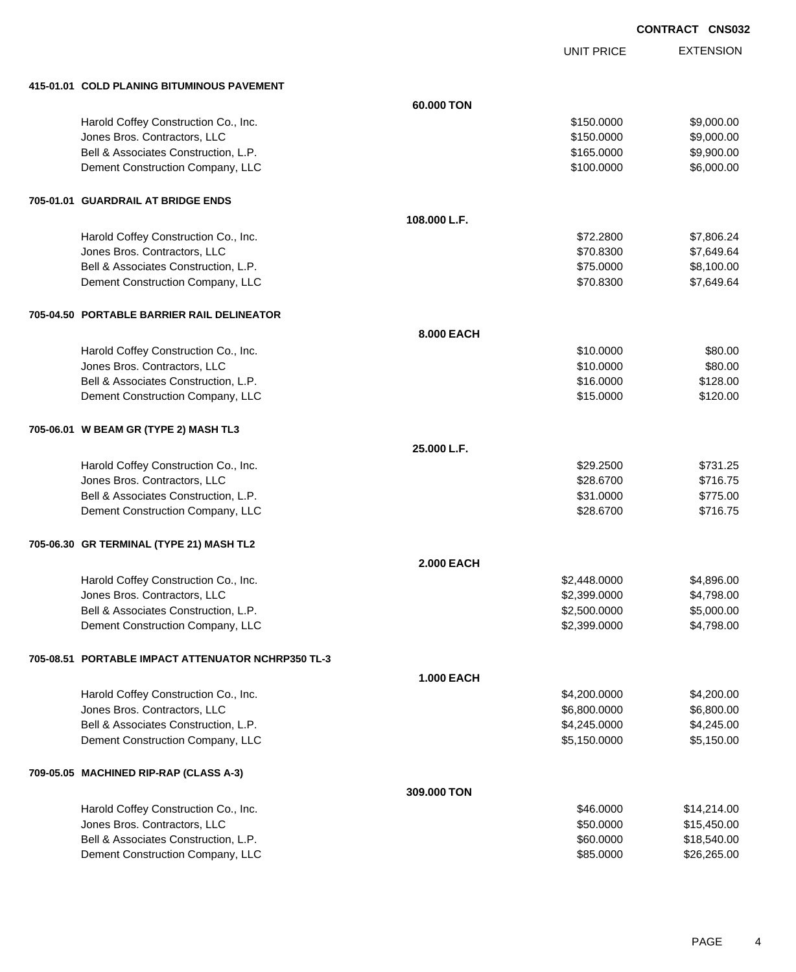UNIT PRICE EXTENSION

| 415-01.01 COLD PLANING BITUMINOUS PAVEMENT         |                   |              |             |
|----------------------------------------------------|-------------------|--------------|-------------|
|                                                    | 60.000 TON        |              |             |
| Harold Coffey Construction Co., Inc.               |                   | \$150.0000   | \$9,000.00  |
| Jones Bros. Contractors, LLC                       |                   | \$150.0000   | \$9,000.00  |
| Bell & Associates Construction, L.P.               |                   | \$165.0000   | \$9,900.00  |
| Dement Construction Company, LLC                   |                   | \$100.0000   | \$6,000.00  |
| 705-01.01 GUARDRAIL AT BRIDGE ENDS                 |                   |              |             |
|                                                    | 108.000 L.F.      |              |             |
| Harold Coffey Construction Co., Inc.               |                   | \$72.2800    | \$7,806.24  |
| Jones Bros. Contractors, LLC                       |                   | \$70.8300    | \$7,649.64  |
| Bell & Associates Construction, L.P.               |                   | \$75.0000    | \$8,100.00  |
| Dement Construction Company, LLC                   |                   | \$70.8300    | \$7,649.64  |
| 705-04.50 PORTABLE BARRIER RAIL DELINEATOR         |                   |              |             |
|                                                    | 8.000 EACH        |              |             |
| Harold Coffey Construction Co., Inc.               |                   | \$10.0000    | \$80.00     |
| Jones Bros. Contractors, LLC                       |                   | \$10.0000    | \$80.00     |
| Bell & Associates Construction, L.P.               |                   | \$16.0000    | \$128.00    |
| Dement Construction Company, LLC                   |                   | \$15.0000    | \$120.00    |
| 705-06.01 W BEAM GR (TYPE 2) MASH TL3              |                   |              |             |
|                                                    | 25.000 L.F.       |              |             |
| Harold Coffey Construction Co., Inc.               |                   | \$29.2500    | \$731.25    |
| Jones Bros. Contractors, LLC                       |                   | \$28.6700    | \$716.75    |
| Bell & Associates Construction, L.P.               |                   | \$31.0000    | \$775.00    |
| Dement Construction Company, LLC                   |                   | \$28.6700    | \$716.75    |
| 705-06.30 GR TERMINAL (TYPE 21) MASH TL2           |                   |              |             |
|                                                    | <b>2.000 EACH</b> |              |             |
| Harold Coffey Construction Co., Inc.               |                   | \$2,448.0000 | \$4,896.00  |
| Jones Bros. Contractors, LLC                       |                   | \$2,399.0000 | \$4,798.00  |
| Bell & Associates Construction, L.P.               |                   | \$2,500.0000 | \$5,000.00  |
| Dement Construction Company, LLC                   |                   | \$2,399.0000 | \$4,798.00  |
| 705-08.51 PORTABLE IMPACT ATTENUATOR NCHRP350 TL-3 |                   |              |             |
|                                                    | <b>1.000 EACH</b> |              |             |
| Harold Coffey Construction Co., Inc.               |                   | \$4,200.0000 | \$4,200.00  |
| Jones Bros. Contractors, LLC                       |                   | \$6,800.0000 | \$6,800.00  |
| Bell & Associates Construction, L.P.               |                   | \$4,245.0000 | \$4,245.00  |
| Dement Construction Company, LLC                   |                   | \$5,150.0000 | \$5,150.00  |
| 709-05.05 MACHINED RIP-RAP (CLASS A-3)             |                   |              |             |
|                                                    | 309.000 TON       |              |             |
| Harold Coffey Construction Co., Inc.               |                   | \$46.0000    | \$14,214.00 |
| Jones Bros. Contractors, LLC                       |                   | \$50.0000    | \$15,450.00 |
| Bell & Associates Construction, L.P.               |                   | \$60.0000    | \$18,540.00 |
| Dement Construction Company, LLC                   |                   | \$85.0000    | \$26,265.00 |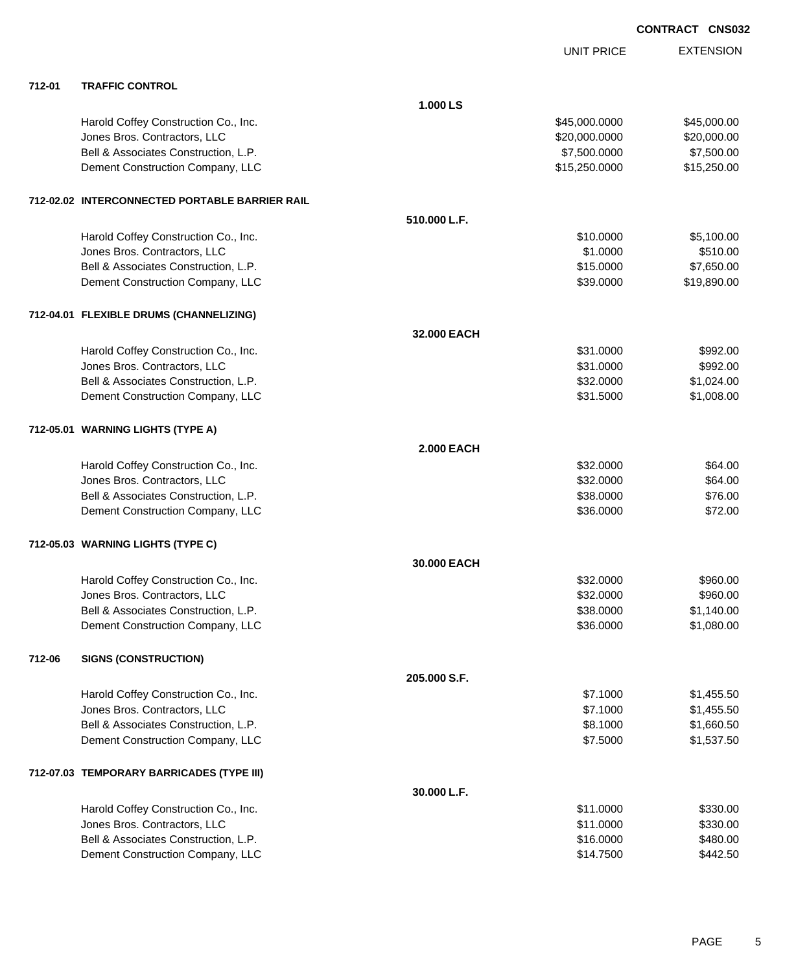|        |                                                |                   | <b>UNIT PRICE</b> | <b>EXTENSION</b> |
|--------|------------------------------------------------|-------------------|-------------------|------------------|
| 712-01 | <b>TRAFFIC CONTROL</b>                         |                   |                   |                  |
|        |                                                | 1.000 LS          |                   |                  |
|        | Harold Coffey Construction Co., Inc.           |                   | \$45,000.0000     | \$45,000.00      |
|        | Jones Bros. Contractors, LLC                   |                   | \$20,000.0000     | \$20,000.00      |
|        | Bell & Associates Construction, L.P.           |                   | \$7,500.0000      | \$7,500.00       |
|        | Dement Construction Company, LLC               |                   | \$15,250.0000     | \$15,250.00      |
|        | 712-02.02 INTERCONNECTED PORTABLE BARRIER RAIL |                   |                   |                  |
|        |                                                | 510.000 L.F.      |                   |                  |
|        | Harold Coffey Construction Co., Inc.           |                   | \$10.0000         | \$5,100.00       |
|        | Jones Bros. Contractors, LLC                   |                   | \$1.0000          | \$510.00         |
|        | Bell & Associates Construction, L.P.           |                   | \$15.0000         | \$7,650.00       |
|        | Dement Construction Company, LLC               |                   | \$39.0000         | \$19,890.00      |
|        | 712-04.01 FLEXIBLE DRUMS (CHANNELIZING)        |                   |                   |                  |
|        |                                                | 32.000 EACH       |                   |                  |
|        | Harold Coffey Construction Co., Inc.           |                   | \$31.0000         | \$992.00         |
|        | Jones Bros. Contractors, LLC                   |                   | \$31.0000         | \$992.00         |
|        | Bell & Associates Construction, L.P.           |                   | \$32.0000         | \$1,024.00       |
|        | Dement Construction Company, LLC               |                   | \$31.5000         | \$1,008.00       |
|        | 712-05.01 WARNING LIGHTS (TYPE A)              |                   |                   |                  |
|        |                                                | <b>2.000 EACH</b> |                   |                  |
|        | Harold Coffey Construction Co., Inc.           |                   | \$32.0000         | \$64.00          |
|        | Jones Bros. Contractors, LLC                   |                   | \$32.0000         | \$64.00          |
|        | Bell & Associates Construction, L.P.           |                   | \$38.0000         | \$76.00          |
|        | Dement Construction Company, LLC               |                   | \$36.0000         | \$72.00          |
|        | 712-05.03 WARNING LIGHTS (TYPE C)              |                   |                   |                  |
|        |                                                | 30.000 EACH       |                   |                  |
|        | Harold Coffey Construction Co., Inc.           |                   | \$32.0000         | \$960.00         |
|        | Jones Bros. Contractors, LLC                   |                   | \$32.0000         | \$960.00         |
|        | Bell & Associates Construction, L.P.           |                   | \$38.0000         | \$1,140.00       |
|        | Dement Construction Company, LLC               |                   | \$36.0000         | \$1,080.00       |
| 712-06 | <b>SIGNS (CONSTRUCTION)</b>                    |                   |                   |                  |
|        |                                                | 205.000 S.F.      |                   |                  |
|        | Harold Coffey Construction Co., Inc.           |                   | \$7.1000          | \$1,455.50       |
|        | Jones Bros. Contractors, LLC                   |                   | \$7.1000          | \$1,455.50       |
|        | Bell & Associates Construction, L.P.           |                   | \$8.1000          | \$1,660.50       |
|        | Dement Construction Company, LLC               |                   | \$7.5000          | \$1,537.50       |
|        | 712-07.03 TEMPORARY BARRICADES (TYPE III)      |                   |                   |                  |
|        |                                                | 30.000 L.F.       |                   |                  |
|        | Harold Coffey Construction Co., Inc.           |                   | \$11.0000         | \$330.00         |
|        | Jones Bros. Contractors, LLC                   |                   | \$11.0000         | \$330.00         |
|        | Bell & Associates Construction, L.P.           |                   | \$16.0000         | \$480.00         |
|        | Dement Construction Company, LLC               |                   | \$14.7500         | \$442.50         |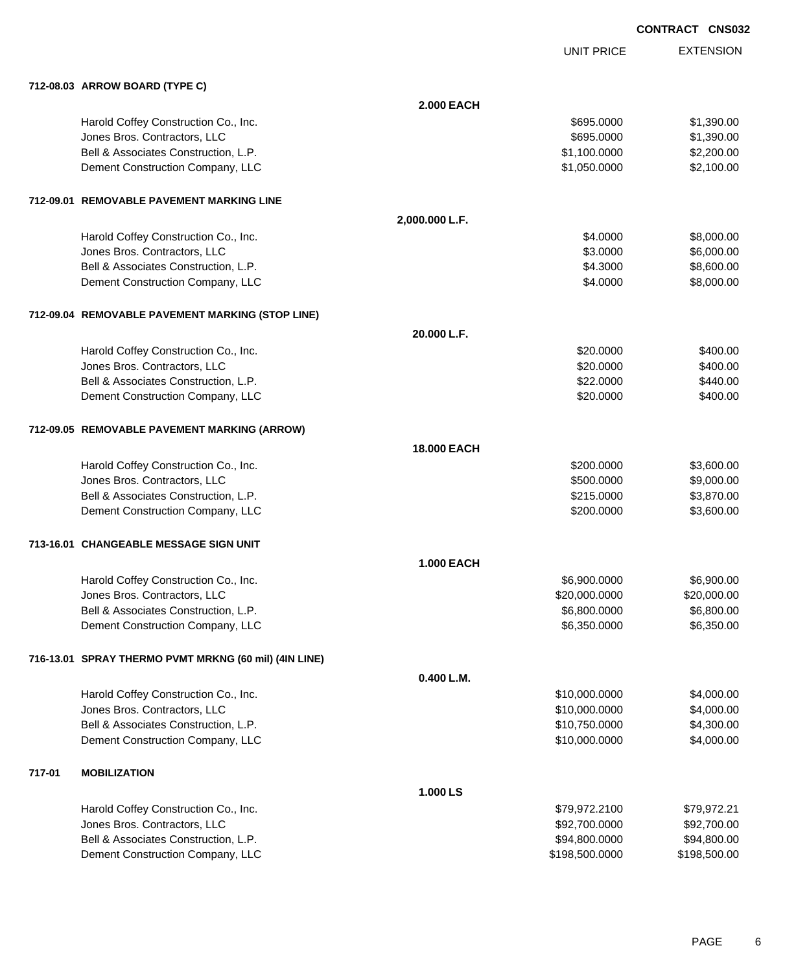UNIT PRICE

|        | 712-08.03 ARROW BOARD (TYPE C)                        |                    |                |              |
|--------|-------------------------------------------------------|--------------------|----------------|--------------|
|        |                                                       | <b>2.000 EACH</b>  |                |              |
|        | Harold Coffey Construction Co., Inc.                  |                    | \$695.0000     | \$1,390.00   |
|        | Jones Bros. Contractors, LLC                          |                    | \$695.0000     | \$1,390.00   |
|        | Bell & Associates Construction, L.P.                  |                    | \$1,100.0000   | \$2,200.00   |
|        | Dement Construction Company, LLC                      |                    | \$1,050.0000   | \$2,100.00   |
|        |                                                       |                    |                |              |
|        | 712-09.01 REMOVABLE PAVEMENT MARKING LINE             |                    |                |              |
|        |                                                       | 2,000.000 L.F.     |                |              |
|        | Harold Coffey Construction Co., Inc.                  |                    | \$4.0000       | \$8,000.00   |
|        | Jones Bros. Contractors, LLC                          |                    | \$3.0000       | \$6,000.00   |
|        | Bell & Associates Construction, L.P.                  |                    | \$4.3000       | \$8,600.00   |
|        | Dement Construction Company, LLC                      |                    | \$4.0000       | \$8,000.00   |
|        | 712-09.04 REMOVABLE PAVEMENT MARKING (STOP LINE)      |                    |                |              |
|        |                                                       | 20.000 L.F.        |                |              |
|        | Harold Coffey Construction Co., Inc.                  |                    | \$20.0000      | \$400.00     |
|        | Jones Bros. Contractors, LLC                          |                    | \$20.0000      | \$400.00     |
|        | Bell & Associates Construction, L.P.                  |                    | \$22.0000      | \$440.00     |
|        | Dement Construction Company, LLC                      |                    | \$20.0000      | \$400.00     |
|        | 712-09.05 REMOVABLE PAVEMENT MARKING (ARROW)          |                    |                |              |
|        |                                                       | <b>18.000 EACH</b> |                |              |
|        | Harold Coffey Construction Co., Inc.                  |                    | \$200.0000     | \$3,600.00   |
|        | Jones Bros. Contractors, LLC                          |                    | \$500.0000     | \$9,000.00   |
|        | Bell & Associates Construction, L.P.                  |                    | \$215.0000     | \$3,870.00   |
|        | Dement Construction Company, LLC                      |                    | \$200.0000     | \$3,600.00   |
|        | 713-16.01 CHANGEABLE MESSAGE SIGN UNIT                |                    |                |              |
|        |                                                       | 1.000 EACH         |                |              |
|        | Harold Coffey Construction Co., Inc.                  |                    | \$6,900.0000   | \$6,900.00   |
|        | Jones Bros. Contractors, LLC                          |                    | \$20,000.0000  | \$20,000.00  |
|        | Bell & Associates Construction, L.P.                  |                    | \$6,800.0000   | \$6,800.00   |
|        | Dement Construction Company, LLC                      |                    | \$6,350.0000   | \$6,350.00   |
|        | 716-13.01 SPRAY THERMO PVMT MRKNG (60 mil) (4IN LINE) |                    |                |              |
|        |                                                       | 0.400 L.M.         |                |              |
|        | Harold Coffey Construction Co., Inc.                  |                    | \$10,000.0000  | \$4,000.00   |
|        | Jones Bros. Contractors, LLC                          |                    | \$10,000.0000  | \$4,000.00   |
|        | Bell & Associates Construction, L.P.                  |                    | \$10,750.0000  | \$4,300.00   |
|        | Dement Construction Company, LLC                      |                    | \$10,000.0000  | \$4,000.00   |
|        |                                                       |                    |                |              |
| 717-01 | <b>MOBILIZATION</b>                                   |                    |                |              |
|        |                                                       | 1.000 LS           |                |              |
|        | Harold Coffey Construction Co., Inc.                  |                    | \$79,972.2100  | \$79,972.21  |
|        | Jones Bros. Contractors, LLC                          |                    | \$92,700.0000  | \$92,700.00  |
|        | Bell & Associates Construction, L.P.                  |                    | \$94,800.0000  | \$94,800.00  |
|        | Dement Construction Company, LLC                      |                    | \$198,500.0000 | \$198,500.00 |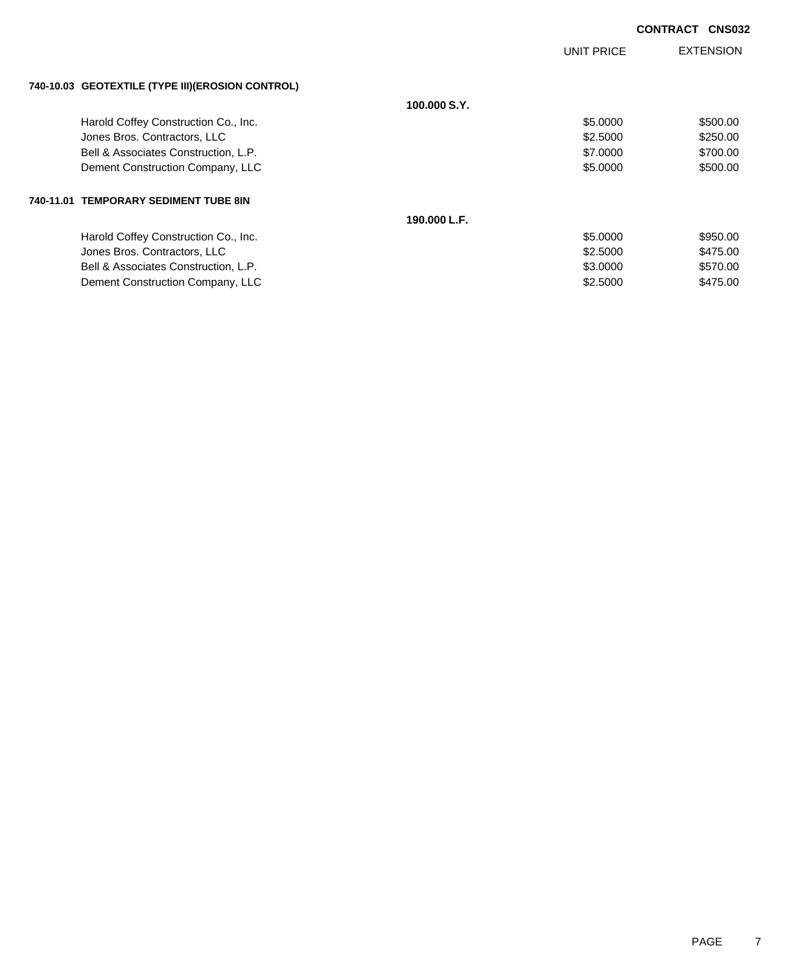|                                                  |              | <b>UNIT PRICE</b> | <b>EXTENSION</b> |
|--------------------------------------------------|--------------|-------------------|------------------|
| 740-10.03 GEOTEXTILE (TYPE III)(EROSION CONTROL) |              |                   |                  |
|                                                  | 100,000 S.Y. |                   |                  |
| Harold Coffey Construction Co., Inc.             |              | \$5.0000          | \$500.00         |
| Jones Bros. Contractors, LLC                     |              | \$2,5000          | \$250.00         |
| Bell & Associates Construction, L.P.             |              | \$7.0000          | \$700.00         |
| Dement Construction Company, LLC                 |              | \$5.0000          | \$500.00         |
| 740-11.01 TEMPORARY SEDIMENT TUBE 8IN            |              |                   |                  |
|                                                  | 190.000 L.F. |                   |                  |
| Harold Coffey Construction Co., Inc.             |              | \$5,0000          | \$950.00         |
| Jones Bros. Contractors, LLC                     |              | \$2.5000          | \$475.00         |
| Bell & Associates Construction, L.P.             |              | \$3.0000          | \$570.00         |
| Dement Construction Company, LLC                 |              | \$2,5000          | \$475.00         |
|                                                  |              |                   |                  |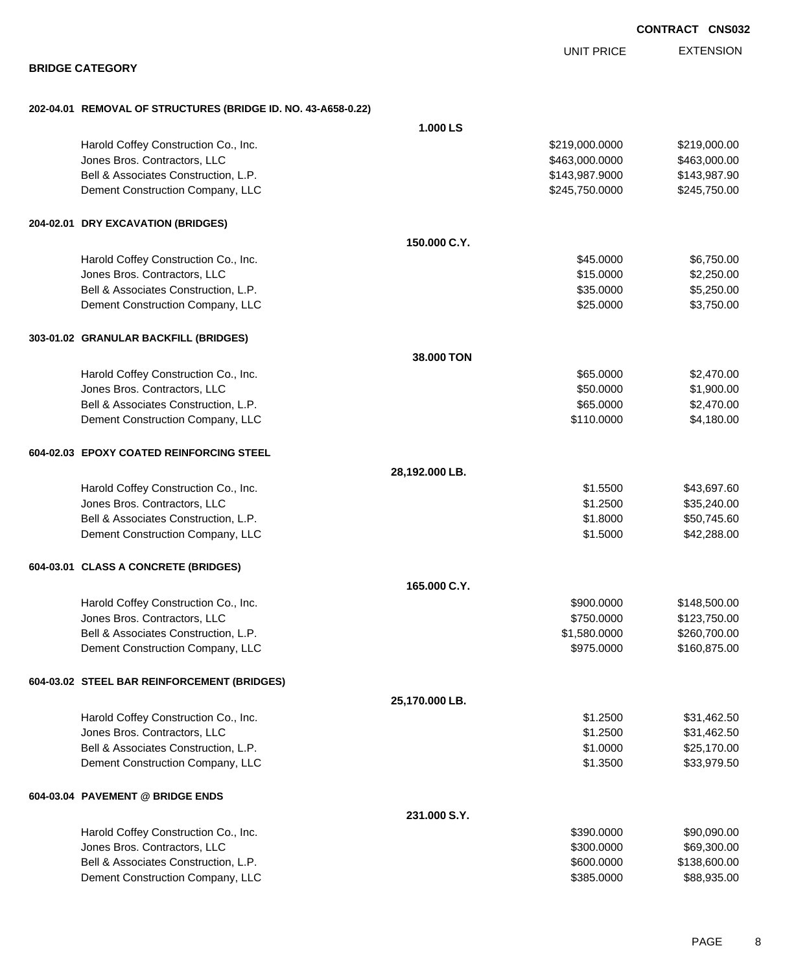|                                                               | <b>UNIT PRICE</b> | <b>EXTENSION</b> |
|---------------------------------------------------------------|-------------------|------------------|
| <b>BRIDGE CATEGORY</b>                                        |                   |                  |
| 202-04.01 REMOVAL OF STRUCTURES (BRIDGE ID. NO. 43-A658-0.22) |                   |                  |
| 1.000 LS                                                      |                   |                  |
| Harold Coffey Construction Co., Inc.                          | \$219,000.0000    | \$219,000.00     |
| Jones Bros. Contractors, LLC                                  | \$463,000.0000    | \$463,000.00     |
| Bell & Associates Construction, L.P.                          | \$143,987.9000    | \$143,987.90     |
| Dement Construction Company, LLC                              | \$245,750.0000    | \$245,750.00     |
| 204-02.01 DRY EXCAVATION (BRIDGES)                            |                   |                  |
| 150.000 C.Y.                                                  |                   |                  |
| Harold Coffey Construction Co., Inc.                          | \$45.0000         | \$6,750.00       |
| Jones Bros. Contractors, LLC                                  | \$15.0000         | \$2,250.00       |
| Bell & Associates Construction, L.P.                          | \$35.0000         | \$5,250.00       |
| Dement Construction Company, LLC                              | \$25.0000         | \$3,750.00       |
| 303-01.02 GRANULAR BACKFILL (BRIDGES)                         |                   |                  |
| 38.000 TON                                                    |                   |                  |
| Harold Coffey Construction Co., Inc.                          | \$65.0000         | \$2,470.00       |
| Jones Bros. Contractors, LLC                                  | \$50.0000         | \$1,900.00       |
| Bell & Associates Construction, L.P.                          | \$65.0000         | \$2,470.00       |
| Dement Construction Company, LLC                              | \$110.0000        | \$4,180.00       |
| 604-02.03 EPOXY COATED REINFORCING STEEL                      |                   |                  |
| 28,192.000 LB.                                                |                   |                  |
| Harold Coffey Construction Co., Inc.                          | \$1.5500          | \$43,697.60      |
| Jones Bros. Contractors, LLC                                  | \$1.2500          | \$35,240.00      |
| Bell & Associates Construction, L.P.                          | \$1.8000          | \$50,745.60      |
| Dement Construction Company, LLC                              | \$1.5000          | \$42,288.00      |
| 604-03.01 CLASS A CONCRETE (BRIDGES)                          |                   |                  |
| 165.000 C.Y.                                                  |                   |                  |
| Harold Coffey Construction Co., Inc.                          | \$900.0000        | \$148,500.00     |
| Jones Bros. Contractors, LLC                                  | \$750.0000        | \$123,750.00     |
| Bell & Associates Construction, L.P.                          | \$1,580.0000      | \$260,700.00     |
| Dement Construction Company, LLC                              | \$975.0000        | \$160,875.00     |
| 604-03.02 STEEL BAR REINFORCEMENT (BRIDGES)                   |                   |                  |
| 25,170.000 LB.                                                |                   |                  |
| Harold Coffey Construction Co., Inc.                          | \$1.2500          | \$31,462.50      |
| Jones Bros. Contractors, LLC                                  | \$1.2500          | \$31,462.50      |
| Bell & Associates Construction, L.P.                          | \$1.0000          | \$25,170.00      |
| Dement Construction Company, LLC                              | \$1.3500          | \$33,979.50      |
| 604-03.04 PAVEMENT @ BRIDGE ENDS                              |                   |                  |
| 231.000 S.Y.                                                  |                   |                  |
| Harold Coffey Construction Co., Inc.                          | \$390.0000        | \$90,090.00      |
| Jones Bros. Contractors, LLC                                  | \$300.0000        | \$69,300.00      |
| Bell & Associates Construction, L.P.                          | \$600.0000        | \$138,600.00     |

Dement Construction Company, LLC 60000 \$88,935.000 \$88,935.000

### **CONTRACT CNS032**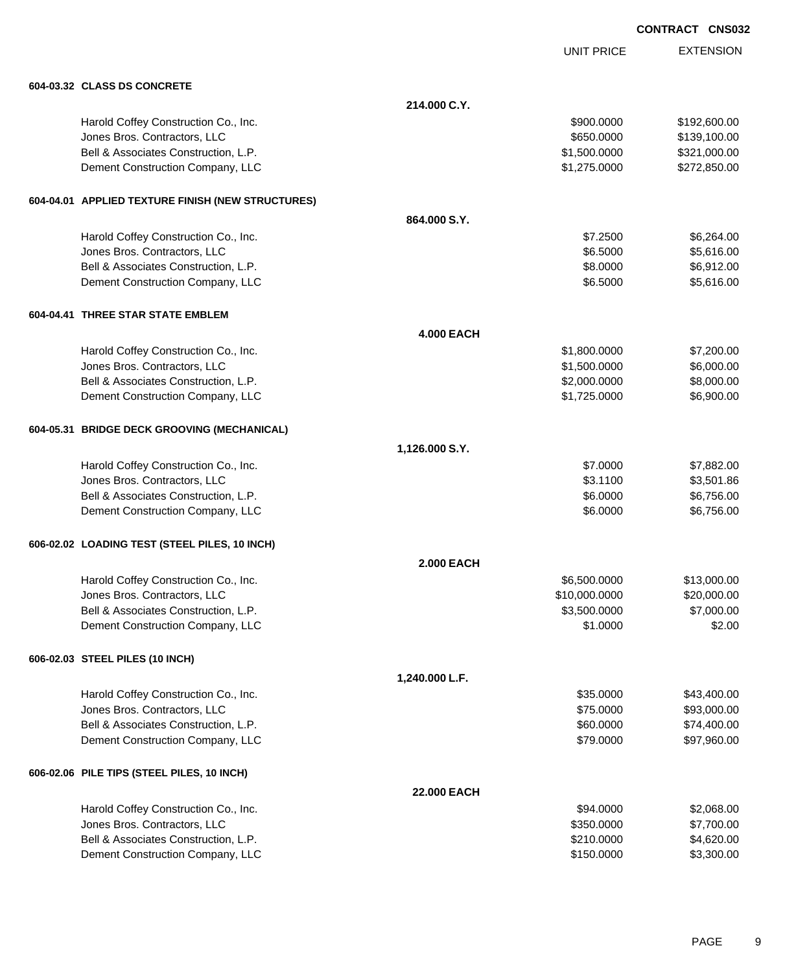|                                                   |                   |               | <b>CONTRACT CNS032</b> |
|---------------------------------------------------|-------------------|---------------|------------------------|
|                                                   |                   | UNIT PRICE    | <b>EXTENSION</b>       |
| 604-03.32 CLASS DS CONCRETE                       |                   |               |                        |
|                                                   | 214.000 C.Y.      |               |                        |
| Harold Coffey Construction Co., Inc.              |                   | \$900.0000    | \$192,600.00           |
| Jones Bros. Contractors, LLC                      |                   | \$650.0000    | \$139,100.00           |
| Bell & Associates Construction, L.P.              |                   | \$1,500.0000  | \$321,000.00           |
| Dement Construction Company, LLC                  |                   | \$1,275.0000  | \$272,850.00           |
| 604-04.01 APPLIED TEXTURE FINISH (NEW STRUCTURES) |                   |               |                        |
|                                                   | 864.000 S.Y.      |               |                        |
| Harold Coffey Construction Co., Inc.              |                   | \$7.2500      | \$6,264.00             |
| Jones Bros. Contractors, LLC                      |                   | \$6.5000      | \$5,616.00             |
| Bell & Associates Construction, L.P.              |                   | \$8.0000      | \$6,912.00             |
| Dement Construction Company, LLC                  |                   | \$6.5000      | \$5,616.00             |
| 604-04.41 THREE STAR STATE EMBLEM                 |                   |               |                        |
|                                                   | <b>4.000 EACH</b> |               |                        |
| Harold Coffey Construction Co., Inc.              |                   | \$1,800.0000  | \$7,200.00             |
| Jones Bros. Contractors, LLC                      |                   | \$1,500.0000  | \$6,000.00             |
| Bell & Associates Construction, L.P.              |                   | \$2,000.0000  | \$8,000.00             |
| Dement Construction Company, LLC                  |                   | \$1,725.0000  | \$6,900.00             |
| 604-05.31 BRIDGE DECK GROOVING (MECHANICAL)       |                   |               |                        |
|                                                   | 1,126.000 S.Y.    |               |                        |
| Harold Coffey Construction Co., Inc.              |                   | \$7.0000      | \$7,882.00             |
| Jones Bros. Contractors, LLC                      |                   | \$3.1100      | \$3,501.86             |
| Bell & Associates Construction, L.P.              |                   | \$6.0000      | \$6,756.00             |
| Dement Construction Company, LLC                  |                   | \$6.0000      | \$6,756.00             |
| 606-02.02 LOADING TEST (STEEL PILES, 10 INCH)     |                   |               |                        |
|                                                   | <b>2.000 EACH</b> |               |                        |
| Harold Coffey Construction Co., Inc.              |                   | \$6,500.0000  | \$13,000.00            |
| Jones Bros. Contractors, LLC                      |                   | \$10,000.0000 | \$20,000.00            |
| Bell & Associates Construction, L.P.              |                   | \$3,500.0000  | \$7,000.00             |
| Dement Construction Company, LLC                  |                   | \$1.0000      | \$2.00                 |
| 606-02.03 STEEL PILES (10 INCH)                   |                   |               |                        |
|                                                   | 1,240.000 L.F.    |               |                        |
| Harold Coffey Construction Co., Inc.              |                   | \$35.0000     | \$43,400.00            |
| Jones Bros. Contractors, LLC                      |                   | \$75.0000     | \$93,000.00            |
| Bell & Associates Construction, L.P.              |                   | \$60.0000     | \$74,400.00            |
| Dement Construction Company, LLC                  |                   | \$79.0000     | \$97,960.00            |
| 606-02.06 PILE TIPS (STEEL PILES, 10 INCH)        |                   |               |                        |
|                                                   | 22.000 EACH       |               |                        |
| Harold Coffey Construction Co., Inc.              |                   | \$94.0000     | \$2,068.00             |
| Jones Bros. Contractors, LLC                      |                   | \$350.0000    | \$7,700.00             |
| Bell & Associates Construction, L.P.              |                   | \$210.0000    | \$4,620.00             |
| Dement Construction Company, LLC                  |                   | \$150.0000    | \$3,300.00             |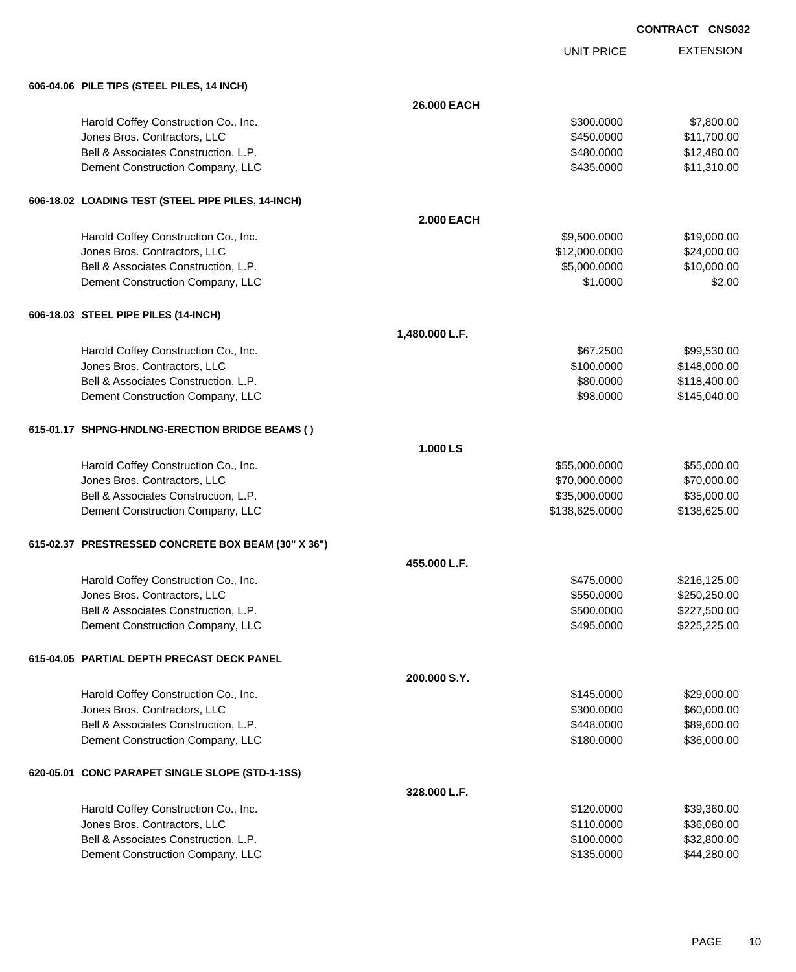|  | <b>CONTRACT CNS032</b> |
|--|------------------------|
|  |                        |

UNIT PRICE

| 606-04.06 PILE TIPS (STEEL PILES, 14 INCH) |
|--------------------------------------------|
|                                            |

| 000-04.00 FILE IIPS (SIEEL FILES, 14 INCH)          |                   |                |              |
|-----------------------------------------------------|-------------------|----------------|--------------|
|                                                     | 26,000 EACH       |                |              |
| Harold Coffey Construction Co., Inc.                |                   | \$300.0000     | \$7,800.00   |
| Jones Bros. Contractors, LLC                        |                   | \$450.0000     | \$11,700.00  |
| Bell & Associates Construction, L.P.                |                   | \$480.0000     | \$12,480.00  |
| Dement Construction Company, LLC                    |                   | \$435.0000     | \$11,310.00  |
| 606-18.02 LOADING TEST (STEEL PIPE PILES, 14-INCH)  |                   |                |              |
|                                                     | <b>2.000 EACH</b> |                |              |
| Harold Coffey Construction Co., Inc.                |                   | \$9,500.0000   | \$19,000.00  |
| Jones Bros. Contractors, LLC                        |                   | \$12,000.0000  | \$24,000.00  |
| Bell & Associates Construction, L.P.                |                   | \$5,000.0000   | \$10,000.00  |
| Dement Construction Company, LLC                    |                   | \$1.0000       | \$2.00       |
| 606-18.03 STEEL PIPE PILES (14-INCH)                |                   |                |              |
|                                                     | 1,480.000 L.F.    |                |              |
| Harold Coffey Construction Co., Inc.                |                   | \$67.2500      | \$99,530.00  |
| Jones Bros. Contractors, LLC                        |                   | \$100.0000     | \$148,000.00 |
| Bell & Associates Construction, L.P.                |                   | \$80.0000      | \$118,400.00 |
| Dement Construction Company, LLC                    |                   | \$98.0000      | \$145,040.00 |
| 615-01.17 SHPNG-HNDLNG-ERECTION BRIDGE BEAMS ()     |                   |                |              |
|                                                     | 1.000 LS          |                |              |
| Harold Coffey Construction Co., Inc.                |                   | \$55,000.0000  | \$55,000.00  |
| Jones Bros. Contractors, LLC                        |                   | \$70,000.0000  | \$70,000.00  |
| Bell & Associates Construction, L.P.                |                   | \$35,000.0000  | \$35,000.00  |
| Dement Construction Company, LLC                    |                   | \$138,625.0000 | \$138,625.00 |
| 615-02.37 PRESTRESSED CONCRETE BOX BEAM (30" X 36") |                   |                |              |
|                                                     | 455,000 L.F.      |                |              |
| Harold Coffey Construction Co., Inc.                |                   | \$475.0000     | \$216,125.00 |
| Jones Bros. Contractors, LLC                        |                   | \$550.0000     | \$250,250.00 |
| Bell & Associates Construction, L.P.                |                   | \$500.0000     | \$227,500.00 |
| Dement Construction Company, LLC                    |                   | \$495.0000     | \$225,225.00 |
| 615-04.05 PARTIAL DEPTH PRECAST DECK PANEL          |                   |                |              |
|                                                     | 200,000 S.Y.      |                |              |
| Harold Coffey Construction Co., Inc.                |                   | \$145.0000     | \$29,000.00  |
| Jones Bros. Contractors, LLC                        |                   | \$300.0000     | \$60,000.00  |
| Bell & Associates Construction, L.P.                |                   | \$448.0000     | \$89,600.00  |
| Dement Construction Company, LLC                    |                   | \$180.0000     | \$36,000.00  |
| 620-05.01 CONC PARAPET SINGLE SLOPE (STD-1-1SS)     |                   |                |              |
|                                                     | 328.000 L.F.      |                |              |
| Harold Coffey Construction Co., Inc.                |                   | \$120.0000     | \$39,360.00  |
| Jones Bros. Contractors, LLC                        |                   | \$110.0000     | \$36,080.00  |
| Bell & Associates Construction, L.P.                |                   | \$100.0000     | \$32,800.00  |
| Dement Construction Company, LLC                    |                   | \$135.0000     | \$44,280.00  |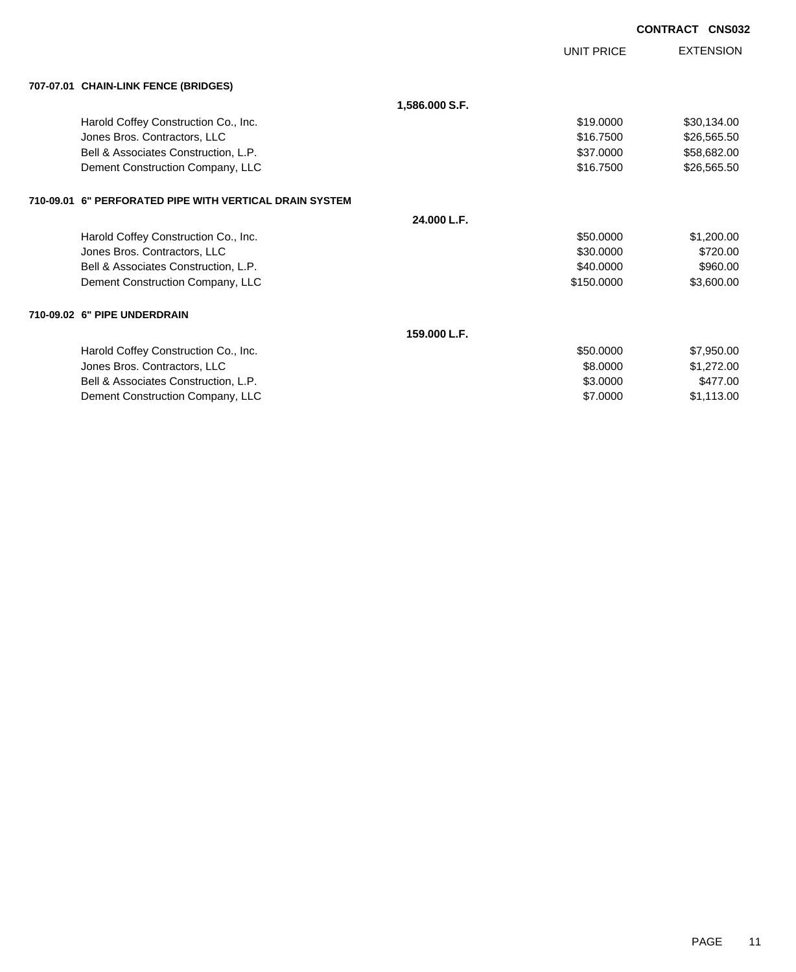|                                                         |                |                   | <b>CONTRACT CNS032</b> |
|---------------------------------------------------------|----------------|-------------------|------------------------|
|                                                         |                | <b>UNIT PRICE</b> | <b>EXTENSION</b>       |
| 707-07.01 CHAIN-LINK FENCE (BRIDGES)                    |                |                   |                        |
|                                                         | 1,586.000 S.F. |                   |                        |
| Harold Coffey Construction Co., Inc.                    |                | \$19,0000         | \$30,134.00            |
| Jones Bros. Contractors, LLC                            |                | \$16,7500         | \$26,565.50            |
| Bell & Associates Construction, L.P.                    |                | \$37,0000         | \$58,682.00            |
| Dement Construction Company, LLC                        |                | \$16,7500         | \$26,565.50            |
| 710-09.01 6" PERFORATED PIPE WITH VERTICAL DRAIN SYSTEM |                |                   |                        |
|                                                         | 24.000 L.F.    |                   |                        |
| Harold Coffey Construction Co., Inc.                    |                | \$50,0000         | \$1,200.00             |
| Jones Bros. Contractors, LLC                            |                | \$30,0000         | \$720.00               |
| Bell & Associates Construction, L.P.                    |                | \$40.0000         | \$960.00               |
| Dement Construction Company, LLC                        |                | \$150.0000        | \$3,600.00             |
| 710-09.02 6" PIPE UNDERDRAIN                            |                |                   |                        |
|                                                         | 159,000 L.F.   |                   |                        |
| Harold Coffey Construction Co., Inc.                    |                | \$50.0000         | \$7,950.00             |
| Jones Bros. Contractors, LLC                            |                | \$8,0000          | \$1,272.00             |
| Bell & Associates Construction, L.P.                    |                | \$3,0000          | \$477.00               |
| Dement Construction Company, LLC                        |                | \$7,0000          | \$1,113.00             |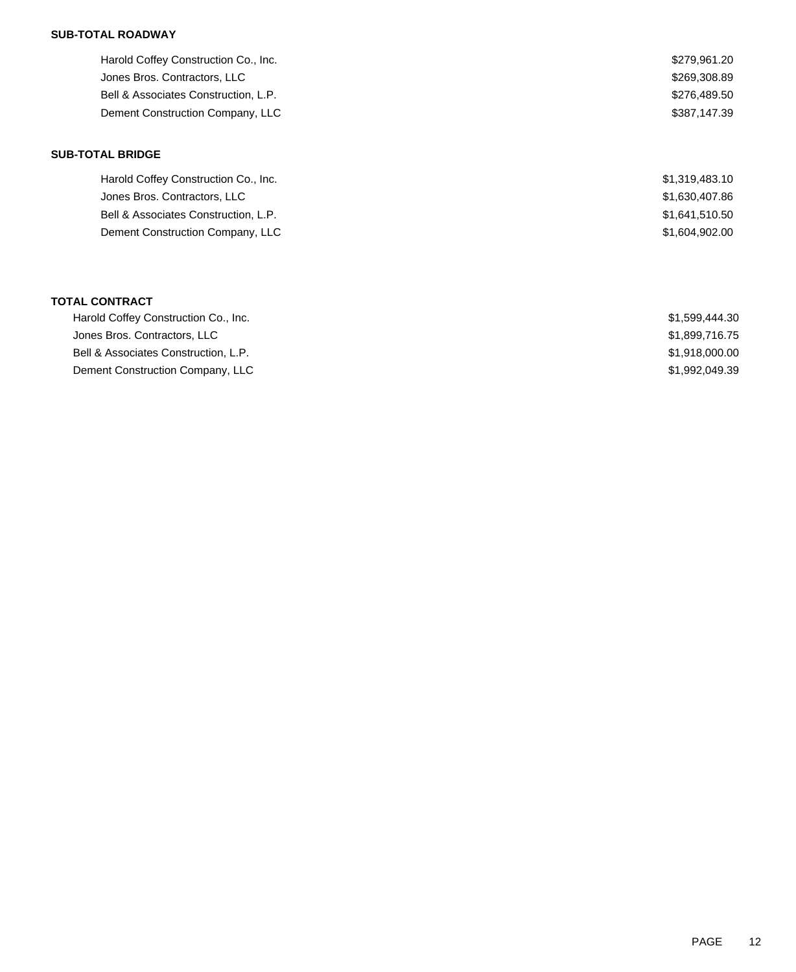## **SUB-TOTAL ROADWAY**

| Harold Coffey Construction Co., Inc. | \$279.961.20 |
|--------------------------------------|--------------|
| Jones Bros. Contractors, LLC         | \$269,308.89 |
| Bell & Associates Construction, L.P. | \$276,489.50 |
| Dement Construction Company, LLC     | \$387.147.39 |
|                                      |              |

#### **SUB-TOTAL BRIDGE**

| Harold Coffey Construction Co., Inc. | \$1,319,483.10 |
|--------------------------------------|----------------|
| Jones Bros. Contractors, LLC         | \$1,630,407.86 |
| Bell & Associates Construction, L.P. | \$1,641,510.50 |
| Dement Construction Company, LLC     | \$1,604,902,00 |

#### **TOTAL CONTRACT**

| Harold Coffey Construction Co., Inc. | \$1.599.444.30 |
|--------------------------------------|----------------|
| Jones Bros. Contractors, LLC         | \$1.899.716.75 |
| Bell & Associates Construction, L.P. | \$1.918.000.00 |
| Dement Construction Company, LLC     | \$1.992.049.39 |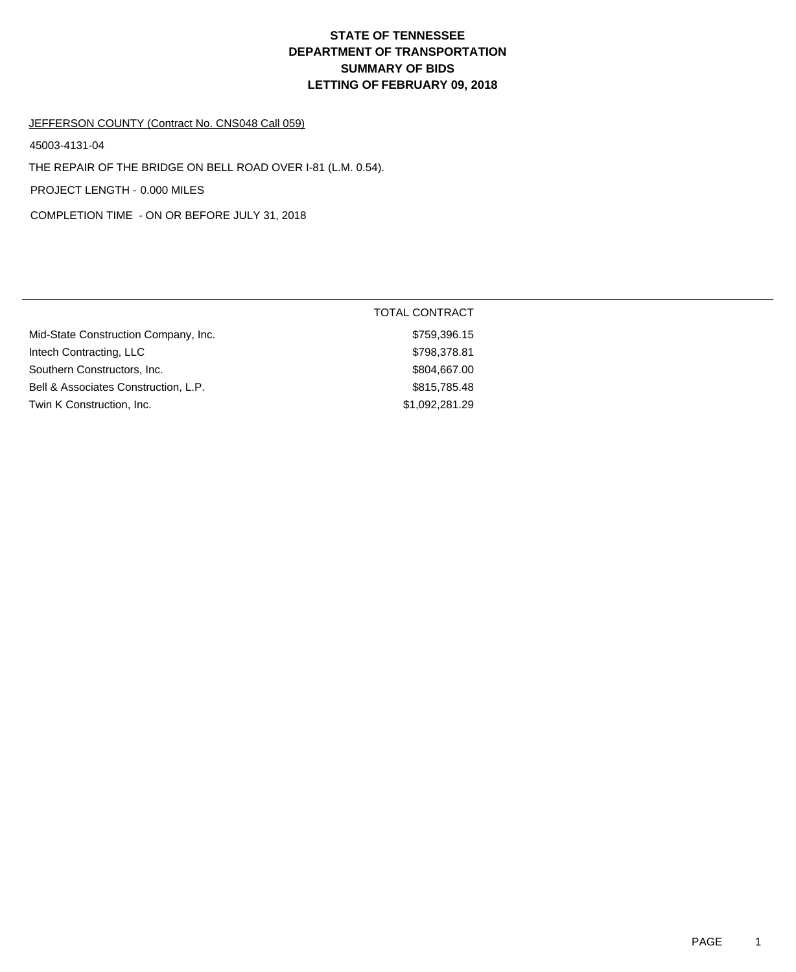# **DEPARTMENT OF TRANSPORTATION SUMMARY OF BIDS LETTING OF FEBRUARY 09, 2018 STATE OF TENNESSEE**

#### JEFFERSON COUNTY (Contract No. CNS048 Call 059)

45003-4131-04

THE REPAIR OF THE BRIDGE ON BELL ROAD OVER I-81 (L.M. 0.54).

PROJECT LENGTH - 0.000 MILES

COMPLETION TIME - ON OR BEFORE JULY 31, 2018

|                                      | TOTAL CONTRACT |
|--------------------------------------|----------------|
| Mid-State Construction Company, Inc. | \$759,396.15   |
| Intech Contracting, LLC              | \$798,378.81   |
| Southern Constructors, Inc.          | \$804,667.00   |
| Bell & Associates Construction, L.P. | \$815,785.48   |
| Twin K Construction, Inc.            | \$1,092,281.29 |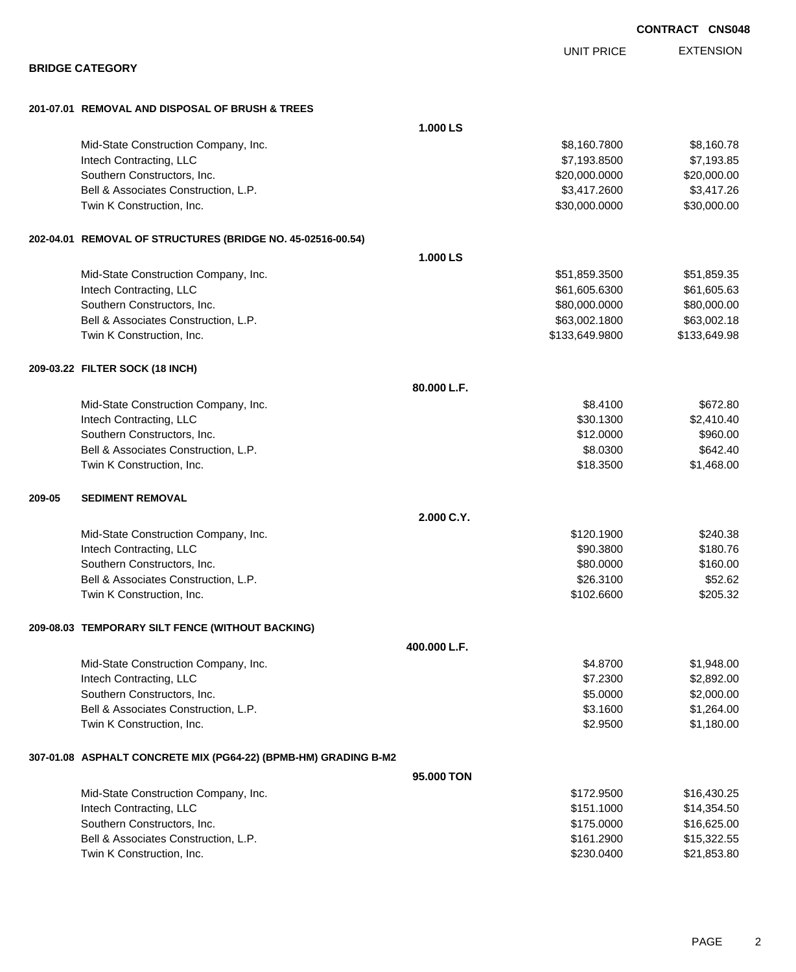EXTENSION UNIT PRICE **BRIDGE CATEGORY 201-07.01 REMOVAL AND DISPOSAL OF BRUSH & TREES 1.000 LS** Mid-State Construction Company, Inc. 6. The Construction Company, Inc. 6. The Construction Company, Inc. 6. The Construction Company, Inc. 6. The Construction Company, Inc. 6. The Construction Company, Inc. 6. The Construc Intech Contracting, LLC 67,193.8500 \$7,193.8500 \$7,193.8500 \$7,193.8500 \$7,193.85 Southern Constructors, Inc. 6. 20,000,000 \$20,000,000 \$20,000.000 \$20,000.000 \$20,000.000 \$20,000.00 Bell & Associates Construction, L.P. \$3,417.2600 \$3,417.2600 \$3,417.2600 Twin K Construction, Inc. 630,000.000 \$30,000.000 \$30,000.000 \$30,000.000 \$30,000.000 \$30,000.00 **202-04.01 REMOVAL OF STRUCTURES (BRIDGE NO. 45-02516-00.54) 1.000 LS** Mid-State Construction Company, Inc. 6. The State Construction Company, Inc. 651,859.3500 \$51,859.35 Intech Contracting, LLC 661,605.6300 \$61,605.6300 \$61,605.6300 \$61,605.6300 \$61,605.63 Southern Constructors, Inc. 680,000.000 \$80,000.000 \$80,000.000 \$80,000.000 \$80,000.000 \$80,000.00 Bell & Associates Construction, L.P.  $$63,002.1800$  \$63,002.1800 \$63,002.18 Twin K Construction, Inc. 6. The Second State of the State of State State State State State State State State State State State State State State State State State State State State State State State State State State Stat **209-03.22 FILTER SOCK (18 INCH) 80.000 L.F.** Mid-State Construction Company, Inc. 6672.80 Intech Contracting, LLC \$30.1300 \$2,410.40 Southern Constructors, Inc. 6. The Constructors of the Constructors, Inc. 6. The Constructors, Inc. 6. September 2014 Bell & Associates Construction, L.P. 6642.40 Twin K Construction, Inc. \$1,468.00 \$1,468.00 **209-05 SEDIMENT REMOVAL 2.000 C.Y.** Mid-State Construction Company, Inc. 6240.38 and 5120.1900 \$240.38 Intech Contracting, LLC \$90.3800 \$180.76 Southern Constructors, Inc. 6. The Constructors of the Constructors, Inc. 6. The Constructors, Inc. 6. The Constructors of the Constructors of the Constructors of the Constructors of the Constructors of the Constructors of Bell & Associates Construction, L.P. \$26.3100 \$52.62 Twin K Construction, Inc. 6205.32 **209-08.03 TEMPORARY SILT FENCE (WITHOUT BACKING) 400.000 L.F.** Mid-State Construction Company, Inc. 6. The Construction Company, Inc. 6. The Construction Company, Inc. 6. The Construction Company, Inc. 6. The Construction Company, Inc. 6. The Construction Company, Inc. 6. The Construc Intech Contracting, LLC 62,892.00 \$2,892.00 \$2,892.00 \$2,892.00 \$2,892.00 \$2,892.00 \$2,892.00 \$2,892.00 \$2,892 Southern Constructors, Inc. 6. The Constructors of the Constructors of the Constructors, Inc. 6. Southern Constructors, Inc. 6. Southern  $\sim$  85.0000 \$2,000.00 Bell & Associates Construction, L.P.  $$3.1600$  \$1,264.00 Twin K Construction, Inc. 6. The Construction of the Construction, Inc. 6. The Construction, Inc. 6. The Construction of the Construction, Inc. 6. The Construction of the Construction of the Construction of the Constructio **307-01.08 ASPHALT CONCRETE MIX (PG64-22) (BPMB-HM) GRADING B-M2 95.000 TON** Mid-State Construction Company, Inc. 6. The Construction Company, Inc. 6. The Construction Company, Inc. 6. The Construction Company, Inc. 6. The Construction Company, Inc. 6. The Construction Company, Inc. 6. The Construc Intech Contracting, LLC \$151.1000 \$14,354.50 Southern Constructors, Inc. 6. The Constructors, Inc. 6. The Constructors, Inc. 6. The Constructors, Inc. 6. The Constructors, Inc. 6. The Constructors, Inc. 6. The Constructors, Inc. 6. The Constructors, Inc. 6. The Const Bell & Associates Construction, L.P. \$15,322.55

Twin K Construction, Inc. 621,853.80

**CONTRACT CNS048**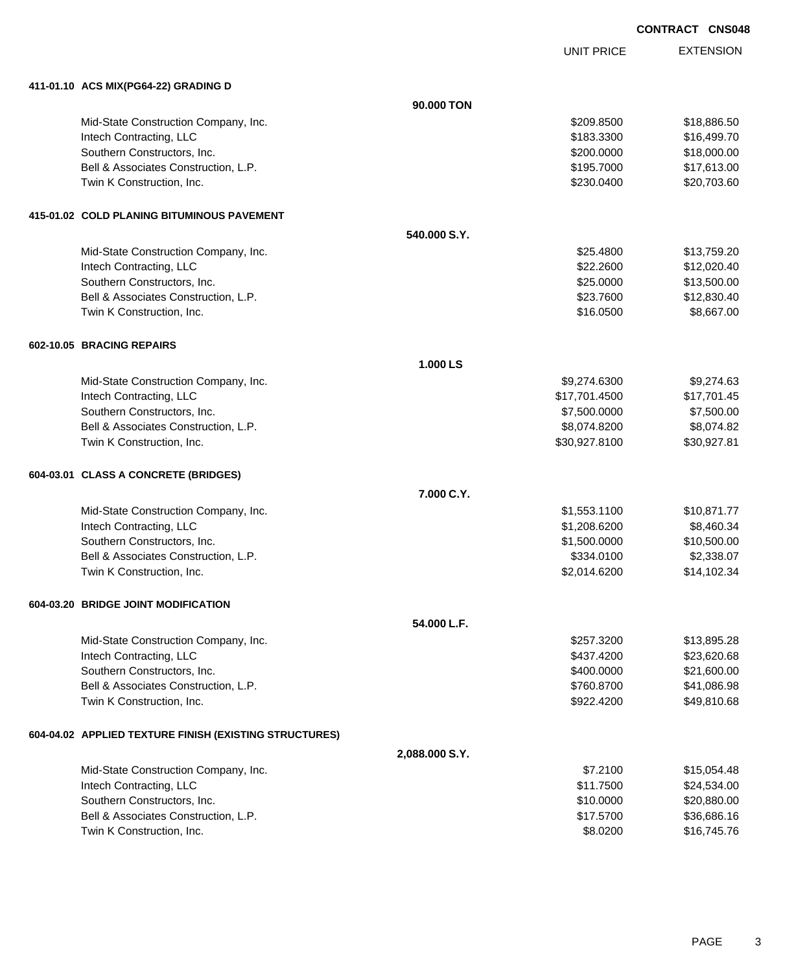UNIT PRICE

| 411-01.10 ACS MIX(PG64-22) GRADING D                   |                |               |             |
|--------------------------------------------------------|----------------|---------------|-------------|
|                                                        | 90.000 TON     |               |             |
| Mid-State Construction Company, Inc.                   |                | \$209.8500    | \$18,886.50 |
| Intech Contracting, LLC                                |                | \$183.3300    | \$16,499.70 |
| Southern Constructors, Inc.                            |                | \$200.0000    | \$18,000.00 |
| Bell & Associates Construction, L.P.                   |                | \$195.7000    | \$17,613.00 |
| Twin K Construction, Inc.                              |                | \$230.0400    | \$20,703.60 |
| 415-01.02 COLD PLANING BITUMINOUS PAVEMENT             |                |               |             |
|                                                        | 540.000 S.Y.   |               |             |
| Mid-State Construction Company, Inc.                   |                | \$25,4800     | \$13,759.20 |
| Intech Contracting, LLC                                |                | \$22.2600     | \$12,020.40 |
| Southern Constructors, Inc.                            |                | \$25.0000     | \$13,500.00 |
| Bell & Associates Construction, L.P.                   |                | \$23.7600     | \$12,830.40 |
| Twin K Construction, Inc.                              |                | \$16.0500     | \$8,667.00  |
| 602-10.05 BRACING REPAIRS                              |                |               |             |
|                                                        | 1.000 LS       |               |             |
| Mid-State Construction Company, Inc.                   |                | \$9,274.6300  | \$9,274.63  |
| Intech Contracting, LLC                                |                | \$17,701.4500 | \$17,701.45 |
| Southern Constructors, Inc.                            |                | \$7,500.0000  | \$7,500.00  |
| Bell & Associates Construction, L.P.                   |                | \$8,074.8200  | \$8,074.82  |
| Twin K Construction, Inc.                              |                | \$30,927.8100 | \$30,927.81 |
| 604-03.01 CLASS A CONCRETE (BRIDGES)                   |                |               |             |
|                                                        | 7.000 C.Y.     |               |             |
| Mid-State Construction Company, Inc.                   |                | \$1,553.1100  | \$10,871.77 |
| Intech Contracting, LLC                                |                | \$1,208.6200  | \$8,460.34  |
| Southern Constructors, Inc.                            |                | \$1,500.0000  | \$10,500.00 |
| Bell & Associates Construction, L.P.                   |                | \$334.0100    | \$2,338.07  |
| Twin K Construction, Inc.                              |                | \$2,014.6200  | \$14,102.34 |
| 604-03.20 BRIDGE JOINT MODIFICATION                    |                |               |             |
|                                                        | 54.000 L.F.    |               |             |
| Mid-State Construction Company, Inc.                   |                | \$257.3200    | \$13,895.28 |
| Intech Contracting, LLC                                |                | \$437.4200    | \$23,620.68 |
| Southern Constructors, Inc.                            |                | \$400.0000    | \$21,600.00 |
| Bell & Associates Construction, L.P.                   |                | \$760.8700    | \$41,086.98 |
| Twin K Construction, Inc.                              |                | \$922.4200    | \$49,810.68 |
| 604-04.02 APPLIED TEXTURE FINISH (EXISTING STRUCTURES) |                |               |             |
|                                                        | 2,088.000 S.Y. |               |             |
| Mid-State Construction Company, Inc.                   |                | \$7.2100      | \$15,054.48 |
| Intech Contracting, LLC                                |                | \$11.7500     | \$24,534.00 |
| Southern Constructors, Inc.                            |                | \$10.0000     | \$20,880.00 |
| Bell & Associates Construction, L.P.                   |                | \$17.5700     | \$36,686.16 |
| Twin K Construction, Inc.                              |                | \$8.0200      | \$16,745.76 |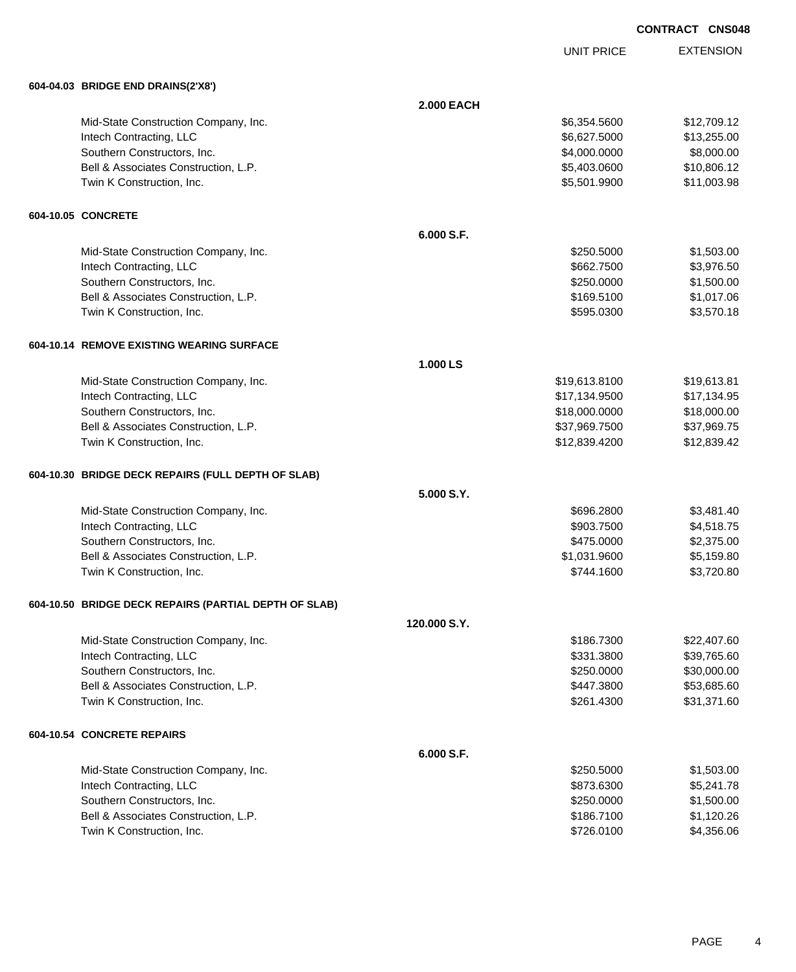UNIT PRICE

| 604-04.03 BRIDGE END DRAINS(2'X8')                    |                   |               |             |
|-------------------------------------------------------|-------------------|---------------|-------------|
|                                                       | <b>2.000 EACH</b> |               |             |
| Mid-State Construction Company, Inc.                  |                   | \$6,354.5600  | \$12,709.12 |
| Intech Contracting, LLC                               |                   | \$6,627.5000  | \$13,255.00 |
| Southern Constructors, Inc.                           |                   | \$4,000.0000  | \$8,000.00  |
| Bell & Associates Construction, L.P.                  |                   | \$5,403.0600  | \$10,806.12 |
| Twin K Construction, Inc.                             |                   | \$5,501.9900  | \$11,003.98 |
| 604-10.05 CONCRETE                                    |                   |               |             |
|                                                       | 6.000 S.F.        |               |             |
| Mid-State Construction Company, Inc.                  |                   | \$250.5000    | \$1,503.00  |
| Intech Contracting, LLC                               |                   | \$662.7500    | \$3,976.50  |
| Southern Constructors, Inc.                           |                   | \$250.0000    | \$1,500.00  |
| Bell & Associates Construction, L.P.                  |                   | \$169.5100    | \$1,017.06  |
| Twin K Construction, Inc.                             |                   | \$595.0300    | \$3,570.18  |
| 604-10.14 REMOVE EXISTING WEARING SURFACE             |                   |               |             |
|                                                       | 1.000 LS          |               |             |
| Mid-State Construction Company, Inc.                  |                   | \$19,613.8100 | \$19,613.81 |
| Intech Contracting, LLC                               |                   | \$17,134.9500 | \$17,134.95 |
| Southern Constructors, Inc.                           |                   | \$18,000.0000 | \$18,000.00 |
| Bell & Associates Construction, L.P.                  |                   | \$37,969.7500 | \$37,969.75 |
| Twin K Construction, Inc.                             |                   | \$12,839.4200 | \$12,839.42 |
| 604-10.30 BRIDGE DECK REPAIRS (FULL DEPTH OF SLAB)    |                   |               |             |
|                                                       | 5.000 S.Y.        |               |             |
| Mid-State Construction Company, Inc.                  |                   | \$696.2800    | \$3,481.40  |
| Intech Contracting, LLC                               |                   | \$903.7500    | \$4,518.75  |
| Southern Constructors, Inc.                           |                   | \$475.0000    | \$2,375.00  |
| Bell & Associates Construction, L.P.                  |                   | \$1,031.9600  | \$5,159.80  |
| Twin K Construction, Inc.                             |                   | \$744.1600    | \$3,720.80  |
| 604-10.50 BRIDGE DECK REPAIRS (PARTIAL DEPTH OF SLAB) |                   |               |             |
|                                                       | 120,000 S.Y.      |               |             |
| Mid-State Construction Company, Inc.                  |                   | \$186.7300    | \$22,407.60 |
| Intech Contracting, LLC                               |                   | \$331.3800    | \$39,765.60 |
| Southern Constructors, Inc.                           |                   | \$250.0000    | \$30,000.00 |
| Bell & Associates Construction, L.P.                  |                   | \$447.3800    | \$53,685.60 |
| Twin K Construction, Inc.                             |                   | \$261.4300    | \$31,371.60 |
| 604-10.54 CONCRETE REPAIRS                            |                   |               |             |
|                                                       | 6.000 S.F.        |               |             |
| Mid-State Construction Company, Inc.                  |                   | \$250.5000    | \$1,503.00  |
| Intech Contracting, LLC                               |                   | \$873.6300    | \$5,241.78  |
| Southern Constructors, Inc.                           |                   | \$250.0000    | \$1,500.00  |
| Bell & Associates Construction, L.P.                  |                   | \$186.7100    | \$1,120.26  |
| Twin K Construction, Inc.                             |                   | \$726.0100    | \$4,356.06  |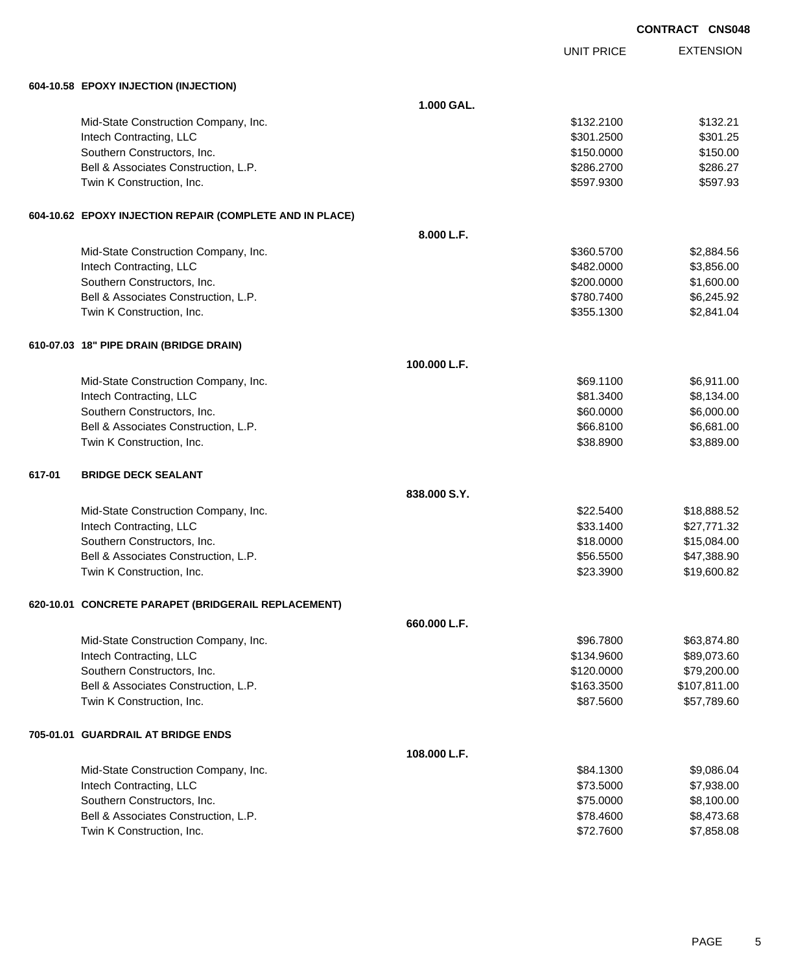UNIT PRICE

| 604-10.58 EPOXY INJECTION (INJECTION) |  |
|---------------------------------------|--|

|        | 604-10.58 EPOXY INJECTION (INJECTION)                    |              |            |              |
|--------|----------------------------------------------------------|--------------|------------|--------------|
|        |                                                          | 1.000 GAL.   |            |              |
|        | Mid-State Construction Company, Inc.                     |              | \$132.2100 | \$132.21     |
|        | Intech Contracting, LLC                                  |              | \$301.2500 | \$301.25     |
|        | Southern Constructors, Inc.                              |              | \$150.0000 | \$150.00     |
|        | Bell & Associates Construction, L.P.                     |              | \$286.2700 | \$286.27     |
|        | Twin K Construction, Inc.                                |              | \$597.9300 | \$597.93     |
|        | 604-10.62 EPOXY INJECTION REPAIR (COMPLETE AND IN PLACE) |              |            |              |
|        |                                                          | 8.000 L.F.   |            |              |
|        | Mid-State Construction Company, Inc.                     |              | \$360.5700 | \$2,884.56   |
|        | Intech Contracting, LLC                                  |              | \$482.0000 | \$3,856.00   |
|        | Southern Constructors, Inc.                              |              | \$200.0000 | \$1,600.00   |
|        | Bell & Associates Construction, L.P.                     |              | \$780.7400 | \$6,245.92   |
|        | Twin K Construction, Inc.                                |              | \$355.1300 | \$2,841.04   |
|        | 610-07.03 18" PIPE DRAIN (BRIDGE DRAIN)                  |              |            |              |
|        |                                                          | 100.000 L.F. |            |              |
|        | Mid-State Construction Company, Inc.                     |              | \$69.1100  | \$6,911.00   |
|        | Intech Contracting, LLC                                  |              | \$81.3400  | \$8,134.00   |
|        | Southern Constructors, Inc.                              |              | \$60.0000  | \$6,000.00   |
|        | Bell & Associates Construction, L.P.                     |              | \$66.8100  | \$6,681.00   |
|        | Twin K Construction, Inc.                                |              | \$38.8900  | \$3,889.00   |
| 617-01 | <b>BRIDGE DECK SEALANT</b>                               |              |            |              |
|        |                                                          | 838.000 S.Y. |            |              |
|        | Mid-State Construction Company, Inc.                     |              | \$22.5400  | \$18,888.52  |
|        | Intech Contracting, LLC                                  |              | \$33.1400  | \$27,771.32  |
|        | Southern Constructors, Inc.                              |              | \$18.0000  | \$15,084.00  |
|        | Bell & Associates Construction, L.P.                     |              | \$56.5500  | \$47,388.90  |
|        | Twin K Construction, Inc.                                |              | \$23.3900  | \$19,600.82  |
|        | 620-10.01 CONCRETE PARAPET (BRIDGERAIL REPLACEMENT)      |              |            |              |
|        |                                                          | 660,000 L.F. |            |              |
|        | Mid-State Construction Company, Inc.                     |              | \$96.7800  | \$63,874.80  |
|        | Intech Contracting, LLC                                  |              | \$134.9600 | \$89,073.60  |
|        | Southern Constructors, Inc.                              |              | \$120.0000 | \$79,200.00  |
|        | Bell & Associates Construction, L.P.                     |              | \$163.3500 | \$107,811.00 |
|        | Twin K Construction, Inc.                                |              | \$87.5600  | \$57,789.60  |
|        | 705-01.01 GUARDRAIL AT BRIDGE ENDS                       |              |            |              |
|        |                                                          | 108.000 L.F. |            |              |
|        | Mid-State Construction Company, Inc.                     |              | \$84.1300  | \$9,086.04   |
|        | Intech Contracting, LLC                                  |              | \$73.5000  | \$7,938.00   |
|        | Southern Constructors, Inc.                              |              | \$75.0000  | \$8,100.00   |
|        | Bell & Associates Construction, L.P.                     |              | \$78.4600  | \$8,473.68   |
|        | Twin K Construction, Inc.                                |              | \$72.7600  | \$7,858.08   |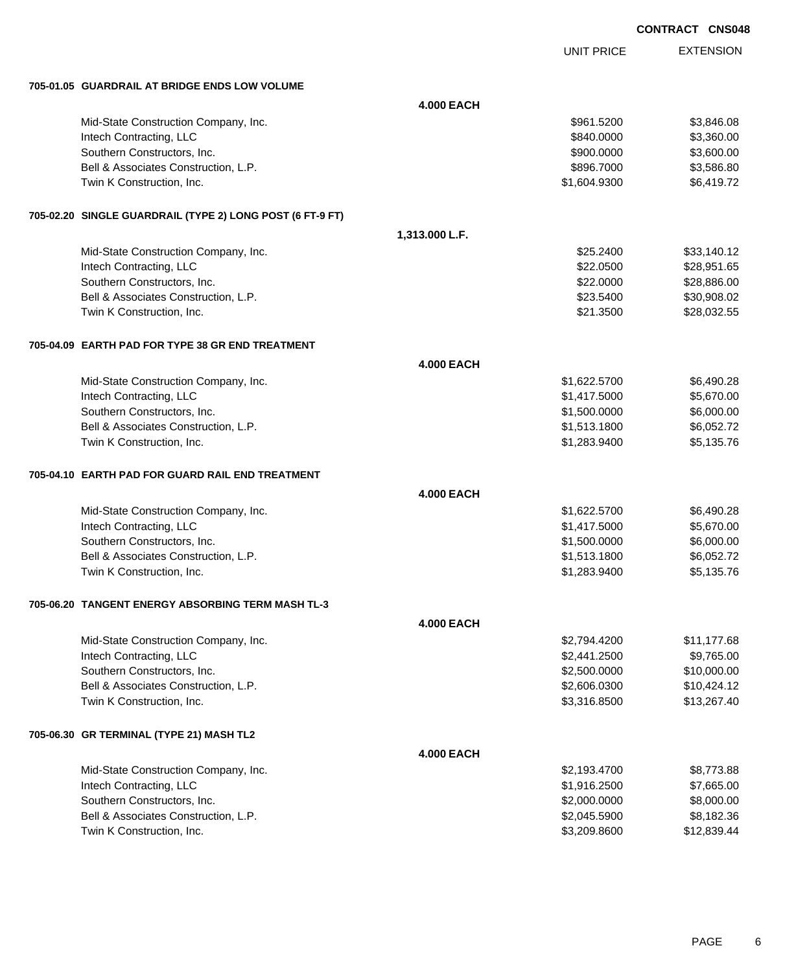UNIT PRICE

EXTENSION

**705-01.05 GUARDRAIL AT BRIDGE ENDS LOW VOLUME**

| 703-01.03 GOARDRAIL AT BRIDGE ENDS LOW VOLUME             |                   |              |             |
|-----------------------------------------------------------|-------------------|--------------|-------------|
|                                                           | <b>4.000 EACH</b> |              |             |
| Mid-State Construction Company, Inc.                      |                   | \$961.5200   | \$3,846.08  |
| Intech Contracting, LLC                                   |                   | \$840.0000   | \$3,360.00  |
| Southern Constructors, Inc.                               |                   | \$900.0000   | \$3,600.00  |
| Bell & Associates Construction, L.P.                      |                   | \$896.7000   | \$3,586.80  |
| Twin K Construction, Inc.                                 |                   | \$1,604.9300 | \$6,419.72  |
| 705-02.20 SINGLE GUARDRAIL (TYPE 2) LONG POST (6 FT-9 FT) |                   |              |             |
|                                                           | 1,313.000 L.F.    |              |             |
| Mid-State Construction Company, Inc.                      |                   | \$25.2400    | \$33,140.12 |
| Intech Contracting, LLC                                   |                   | \$22.0500    | \$28,951.65 |
| Southern Constructors, Inc.                               |                   | \$22.0000    | \$28,886.00 |
| Bell & Associates Construction, L.P.                      |                   | \$23.5400    | \$30,908.02 |
| Twin K Construction, Inc.                                 |                   | \$21.3500    | \$28,032.55 |
| 705-04.09 EARTH PAD FOR TYPE 38 GR END TREATMENT          |                   |              |             |
|                                                           | <b>4.000 EACH</b> |              |             |
| Mid-State Construction Company, Inc.                      |                   | \$1,622.5700 | \$6,490.28  |
| Intech Contracting, LLC                                   |                   | \$1,417.5000 | \$5,670.00  |
| Southern Constructors, Inc.                               |                   | \$1,500.0000 | \$6,000.00  |
| Bell & Associates Construction, L.P.                      |                   | \$1,513.1800 | \$6,052.72  |
| Twin K Construction, Inc.                                 |                   | \$1,283.9400 | \$5,135.76  |
| 705-04.10 EARTH PAD FOR GUARD RAIL END TREATMENT          |                   |              |             |
|                                                           | <b>4.000 EACH</b> |              |             |
| Mid-State Construction Company, Inc.                      |                   | \$1,622.5700 | \$6,490.28  |
| Intech Contracting, LLC                                   |                   | \$1,417.5000 | \$5,670.00  |
| Southern Constructors, Inc.                               |                   | \$1,500.0000 | \$6,000.00  |
| Bell & Associates Construction, L.P.                      |                   | \$1,513.1800 | \$6,052.72  |
| Twin K Construction, Inc.                                 |                   | \$1,283.9400 | \$5,135.76  |
| 705-06.20 TANGENT ENERGY ABSORBING TERM MASH TL-3         |                   |              |             |
|                                                           | <b>4.000 EACH</b> |              |             |
| Mid-State Construction Company, Inc.                      |                   | \$2,794.4200 | \$11,177.68 |
| Intech Contracting, LLC                                   |                   | \$2,441.2500 | \$9,765.00  |
| Southern Constructors, Inc.                               |                   | \$2,500.0000 | \$10,000.00 |
| Bell & Associates Construction, L.P.                      |                   | \$2,606.0300 | \$10,424.12 |
| Twin K Construction, Inc.                                 |                   | \$3,316.8500 | \$13,267.40 |
| 705-06.30 GR TERMINAL (TYPE 21) MASH TL2                  |                   |              |             |
|                                                           | <b>4.000 EACH</b> |              |             |
| Mid-State Construction Company, Inc.                      |                   | \$2,193.4700 | \$8,773.88  |
| Intech Contracting, LLC                                   |                   | \$1,916.2500 | \$7,665.00  |
| Southern Constructors, Inc.                               |                   | \$2,000.0000 | \$8,000.00  |
| Bell & Associates Construction, L.P.                      |                   | \$2,045.5900 | \$8,182.36  |
| Twin K Construction, Inc.                                 |                   | \$3,209.8600 | \$12,839.44 |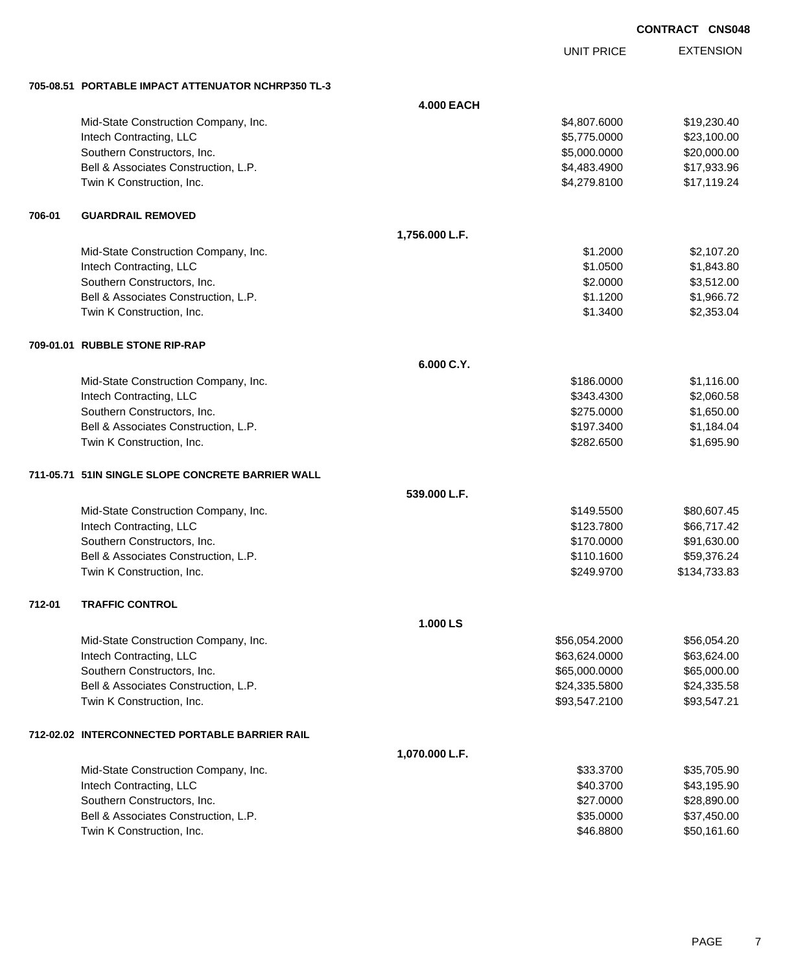|        |                                                     |                   |                   | <b>CONTRACT CNS048</b> |
|--------|-----------------------------------------------------|-------------------|-------------------|------------------------|
|        |                                                     |                   | <b>UNIT PRICE</b> | <b>EXTENSION</b>       |
|        | 705-08.51 PORTABLE IMPACT ATTENUATOR NCHRP350 TL-3  |                   |                   |                        |
|        |                                                     | <b>4.000 EACH</b> |                   |                        |
|        | Mid-State Construction Company, Inc.                |                   | \$4,807.6000      | \$19,230.40            |
|        | Intech Contracting, LLC                             |                   | \$5,775.0000      | \$23,100.00            |
|        | Southern Constructors, Inc.                         |                   | \$5,000.0000      | \$20,000.00            |
|        | Bell & Associates Construction, L.P.                |                   | \$4,483.4900      | \$17,933.96            |
|        | Twin K Construction, Inc.                           |                   | \$4,279.8100      | \$17,119.24            |
| 706-01 | <b>GUARDRAIL REMOVED</b>                            |                   |                   |                        |
|        |                                                     | 1,756.000 L.F.    |                   |                        |
|        | Mid-State Construction Company, Inc.                |                   | \$1.2000          | \$2,107.20             |
|        | Intech Contracting, LLC                             |                   | \$1.0500          | \$1,843.80             |
|        | Southern Constructors, Inc.                         |                   | \$2.0000          | \$3,512.00             |
|        | Bell & Associates Construction, L.P.                |                   | \$1.1200          | \$1,966.72             |
|        | Twin K Construction, Inc.                           |                   | \$1.3400          | \$2,353.04             |
|        | 709-01.01 RUBBLE STONE RIP-RAP                      |                   |                   |                        |
|        |                                                     | 6.000 C.Y.        |                   |                        |
|        | Mid-State Construction Company, Inc.                |                   | \$186.0000        | \$1,116.00             |
|        | Intech Contracting, LLC                             |                   | \$343.4300        | \$2,060.58             |
|        | Southern Constructors, Inc.                         |                   | \$275.0000        | \$1,650.00             |
|        | Bell & Associates Construction, L.P.                |                   | \$197.3400        | \$1,184.04             |
|        | Twin K Construction, Inc.                           |                   | \$282.6500        | \$1,695.90             |
|        | 711-05.71   51IN SINGLE SLOPE CONCRETE BARRIER WALL |                   |                   |                        |
|        |                                                     | 539.000 L.F.      |                   |                        |
|        | Mid-State Construction Company, Inc.                |                   | \$149,5500        | \$80,607.45            |
|        | Intech Contracting, LLC                             |                   | \$123.7800        | \$66,717.42            |
|        | Southern Constructors, Inc.                         |                   | \$170.0000        | \$91,630.00            |
|        | Bell & Associates Construction, L.P.                |                   | \$110.1600        | \$59,376.24            |
|        | Twin K Construction, Inc.                           |                   | \$249.9700        | \$134,733.83           |
| 712-01 | <b>TRAFFIC CONTROL</b>                              |                   |                   |                        |
|        |                                                     | 1.000 LS          |                   |                        |
|        | Mid-State Construction Company, Inc.                |                   | \$56,054.2000     | \$56,054.20            |
|        | Intech Contracting, LLC                             |                   | \$63,624.0000     | \$63,624.00            |
|        | Southern Constructors, Inc.                         |                   | \$65,000.0000     | \$65,000.00            |
|        | Bell & Associates Construction, L.P.                |                   | \$24,335.5800     | \$24,335.58            |
|        | Twin K Construction, Inc.                           |                   | \$93,547.2100     | \$93,547.21            |
|        | 712-02.02 INTERCONNECTED PORTABLE BARRIER RAIL      |                   |                   |                        |
|        |                                                     | 1,070.000 L.F.    |                   |                        |
|        | Mid-State Construction Company, Inc.                |                   | \$33.3700         | \$35,705.90            |
|        | Intech Contracting, LLC                             |                   | \$40.3700         | \$43,195.90            |
|        | Southern Constructors, Inc.                         |                   | \$27.0000         | \$28,890.00            |

Bell & Associates Construction, L.P.  $$35.0000$  \$37,450.00 Twin K Construction, Inc. 60 and the state of the state of the state of the state of the state of the state of the state of the state of the state of the state of the state of the state of the state of the state of the sta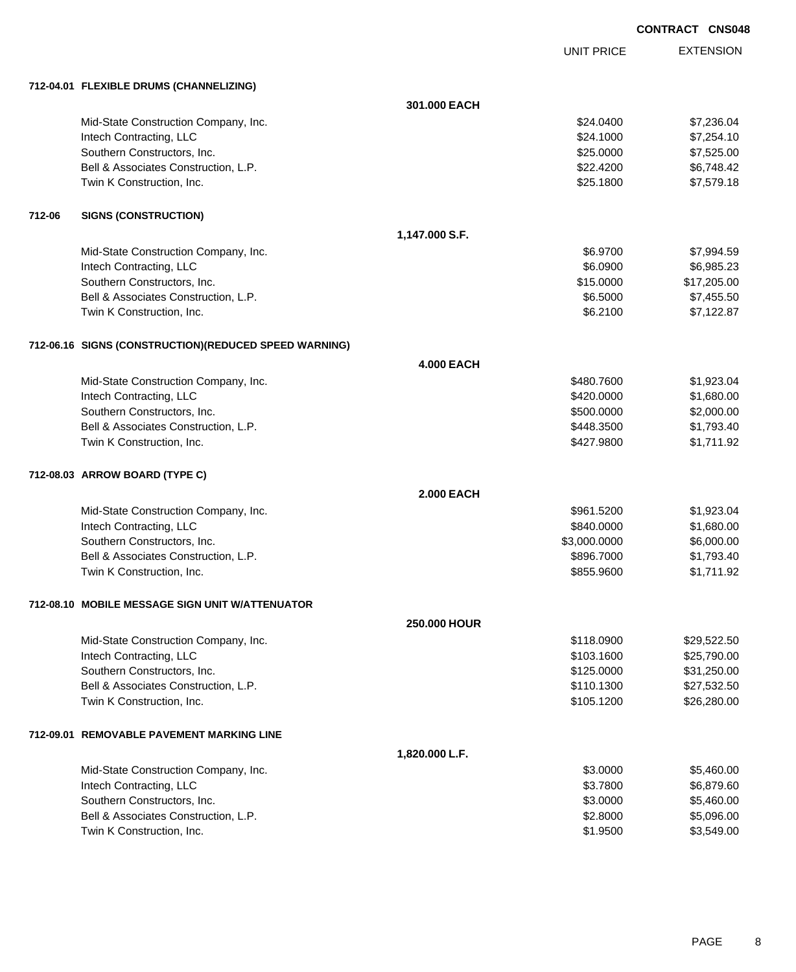UNIT PRICE

|        | 712-04.01 FLEXIBLE DRUMS (CHANNELIZING)                |                     |              |             |
|--------|--------------------------------------------------------|---------------------|--------------|-------------|
|        |                                                        | 301.000 EACH        |              |             |
|        | Mid-State Construction Company, Inc.                   |                     | \$24.0400    | \$7,236.04  |
|        | Intech Contracting, LLC                                |                     | \$24.1000    | \$7,254.10  |
|        | Southern Constructors, Inc.                            |                     | \$25.0000    | \$7,525.00  |
|        | Bell & Associates Construction, L.P.                   |                     | \$22.4200    | \$6,748.42  |
|        | Twin K Construction, Inc.                              |                     | \$25.1800    | \$7,579.18  |
| 712-06 | <b>SIGNS (CONSTRUCTION)</b>                            |                     |              |             |
|        |                                                        | 1,147.000 S.F.      |              |             |
|        | Mid-State Construction Company, Inc.                   |                     | \$6.9700     | \$7,994.59  |
|        | Intech Contracting, LLC                                |                     | \$6.0900     | \$6,985.23  |
|        | Southern Constructors, Inc.                            |                     | \$15.0000    | \$17,205.00 |
|        | Bell & Associates Construction, L.P.                   |                     | \$6.5000     | \$7,455.50  |
|        | Twin K Construction, Inc.                              |                     | \$6.2100     | \$7,122.87  |
|        | 712-06.16 SIGNS (CONSTRUCTION) (REDUCED SPEED WARNING) |                     |              |             |
|        |                                                        | <b>4.000 EACH</b>   |              |             |
|        | Mid-State Construction Company, Inc.                   |                     | \$480.7600   | \$1,923.04  |
|        | Intech Contracting, LLC                                |                     | \$420.0000   | \$1,680.00  |
|        | Southern Constructors, Inc.                            |                     | \$500.0000   | \$2,000.00  |
|        | Bell & Associates Construction, L.P.                   |                     | \$448.3500   | \$1,793.40  |
|        | Twin K Construction, Inc.                              |                     | \$427.9800   | \$1,711.92  |
|        | 712-08.03 ARROW BOARD (TYPE C)                         |                     |              |             |
|        |                                                        | <b>2.000 EACH</b>   |              |             |
|        | Mid-State Construction Company, Inc.                   |                     | \$961.5200   | \$1,923.04  |
|        | Intech Contracting, LLC                                |                     | \$840.0000   | \$1,680.00  |
|        | Southern Constructors, Inc.                            |                     | \$3,000.0000 | \$6,000.00  |
|        | Bell & Associates Construction, L.P.                   |                     | \$896.7000   | \$1,793.40  |
|        | Twin K Construction, Inc.                              |                     | \$855.9600   | \$1,711.92  |
|        | 712-08.10 MOBILE MESSAGE SIGN UNIT W/ATTENUATOR        |                     |              |             |
|        |                                                        | <b>250.000 HOUR</b> |              |             |
|        | Mid-State Construction Company, Inc.                   |                     | \$118.0900   | \$29,522.50 |
|        | Intech Contracting, LLC                                |                     | \$103.1600   | \$25,790.00 |
|        | Southern Constructors, Inc.                            |                     | \$125.0000   | \$31,250.00 |
|        | Bell & Associates Construction, L.P.                   |                     | \$110.1300   | \$27,532.50 |
|        | Twin K Construction, Inc.                              |                     | \$105.1200   | \$26,280.00 |
|        | 712-09.01 REMOVABLE PAVEMENT MARKING LINE              |                     |              |             |
|        |                                                        | 1,820.000 L.F.      |              |             |
|        | Mid-State Construction Company, Inc.                   |                     | \$3.0000     | \$5,460.00  |
|        | Intech Contracting, LLC                                |                     | \$3.7800     | \$6,879.60  |
|        | Southern Constructors, Inc.                            |                     | \$3.0000     | \$5,460.00  |
|        | Bell & Associates Construction, L.P.                   |                     | \$2.8000     | \$5,096.00  |
|        | Twin K Construction, Inc.                              |                     | \$1.9500     | \$3,549.00  |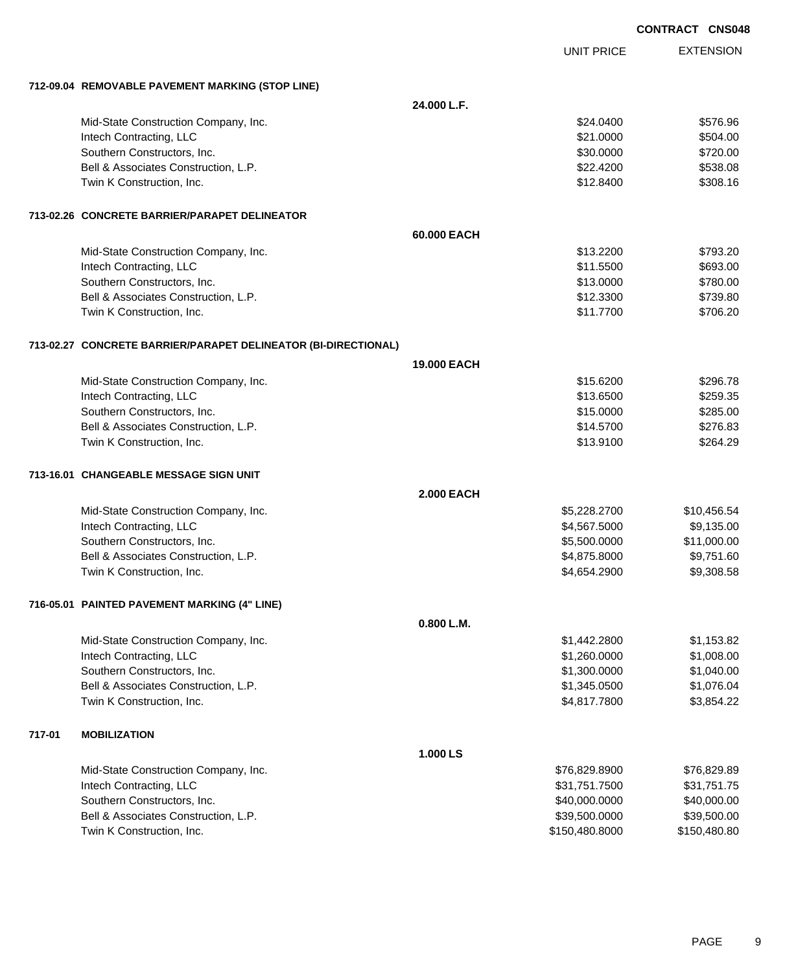|        |                                                                  |                    | <b>CONTRACT CNS048</b> |                  |
|--------|------------------------------------------------------------------|--------------------|------------------------|------------------|
|        |                                                                  |                    | <b>UNIT PRICE</b>      | <b>EXTENSION</b> |
|        | 712-09.04 REMOVABLE PAVEMENT MARKING (STOP LINE)                 |                    |                        |                  |
|        |                                                                  | 24.000 L.F.        |                        |                  |
|        | Mid-State Construction Company, Inc.                             |                    | \$24.0400              | \$576.96         |
|        | Intech Contracting, LLC                                          |                    | \$21.0000              | \$504.00         |
|        | Southern Constructors, Inc.                                      |                    | \$30.0000              | \$720.00         |
|        | Bell & Associates Construction, L.P.                             |                    | \$22.4200              | \$538.08         |
|        | Twin K Construction, Inc.                                        |                    | \$12.8400              | \$308.16         |
|        | 713-02.26 CONCRETE BARRIER/PARAPET DELINEATOR                    |                    |                        |                  |
|        |                                                                  | 60.000 EACH        |                        |                  |
|        | Mid-State Construction Company, Inc.                             |                    | \$13.2200              | \$793.20         |
|        | Intech Contracting, LLC                                          |                    | \$11.5500              | \$693.00         |
|        | Southern Constructors, Inc.                                      |                    | \$13.0000              | \$780.00         |
|        | Bell & Associates Construction, L.P.                             |                    | \$12.3300              | \$739.80         |
|        | Twin K Construction, Inc.                                        |                    | \$11.7700              | \$706.20         |
|        | 713-02.27   CONCRETE BARRIER/PARAPET DELINEATOR (BI-DIRECTIONAL) |                    |                        |                  |
|        |                                                                  | <b>19,000 EACH</b> |                        |                  |
|        | Mid-State Construction Company, Inc.                             |                    | \$15,6200              | \$296.78         |
|        | Intech Contracting, LLC                                          |                    | \$13.6500              | \$259.35         |
|        | Southern Constructors, Inc.                                      |                    | \$15.0000              | \$285.00         |
|        | Bell & Associates Construction, L.P.                             |                    | \$14.5700              | \$276.83         |
|        | Twin K Construction, Inc.                                        |                    | \$13.9100              | \$264.29         |
|        | 713-16.01 CHANGEABLE MESSAGE SIGN UNIT                           |                    |                        |                  |
|        |                                                                  | <b>2.000 EACH</b>  |                        |                  |
|        | Mid-State Construction Company, Inc.                             |                    | \$5,228.2700           | \$10,456.54      |
|        | Intech Contracting, LLC                                          |                    | \$4,567.5000           | \$9,135.00       |
|        | Southern Constructors, Inc.                                      |                    | \$5,500.0000           | \$11,000.00      |
|        | Bell & Associates Construction, L.P.                             |                    | \$4,875.8000           | \$9,751.60       |
|        | Twin K Construction, Inc.                                        |                    | \$4,654.2900           | \$9,308.58       |
|        | 716-05.01 PAINTED PAVEMENT MARKING (4" LINE)                     |                    |                        |                  |
|        |                                                                  | 0.800 L.M.         |                        |                  |
|        | Mid-State Construction Company, Inc.                             |                    | \$1,442.2800           | \$1,153.82       |
|        | Intech Contracting, LLC                                          |                    | \$1,260.0000           | \$1,008.00       |
|        | Southern Constructors, Inc.                                      |                    | \$1,300.0000           | \$1,040.00       |
|        | Bell & Associates Construction, L.P.                             |                    | \$1,345.0500           | \$1,076.04       |
|        | Twin K Construction, Inc.                                        |                    | \$4,817.7800           | \$3,854.22       |
| 717-01 | <b>MOBILIZATION</b>                                              |                    |                        |                  |
|        |                                                                  | 1.000 LS           |                        |                  |
|        | Mid-State Construction Company, Inc.                             |                    | \$76,829.8900          | \$76,829.89      |
|        | Intech Contracting, LLC                                          |                    | \$31,751.7500          | \$31,751.75      |
|        | Southern Constructors, Inc.                                      |                    | \$40,000.0000          | \$40,000.00      |
|        | Bell & Associates Construction, L.P.                             |                    | \$39,500.0000          | \$39,500.00      |
|        | Twin K Construction, Inc.                                        |                    | \$150,480.8000         | \$150,480.80     |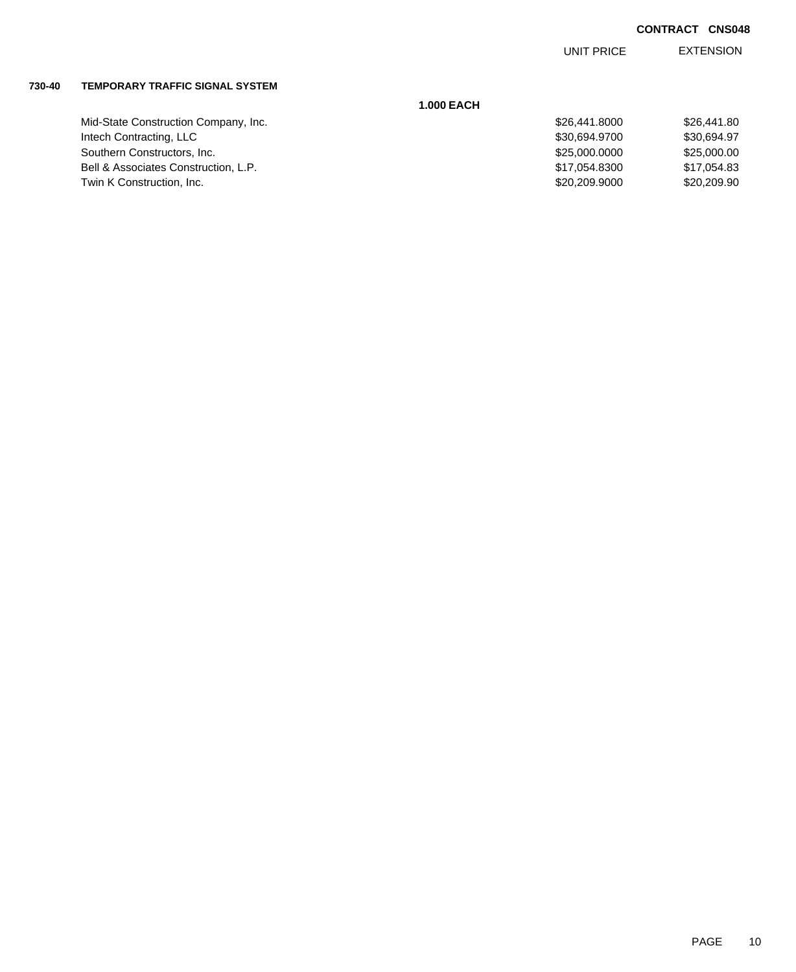EXTENSION UNIT PRICE

#### **730-40 TEMPORARY TRAFFIC SIGNAL SYSTEM**

|                                      | <b>1.000 EACH</b> |             |
|--------------------------------------|-------------------|-------------|
| Mid-State Construction Company, Inc. | \$26,441,8000     | \$26,441.80 |
| Intech Contracting, LLC              | \$30.694.9700     | \$30,694.97 |
| Southern Constructors, Inc.          | \$25,000,0000     | \$25,000.00 |
| Bell & Associates Construction, L.P. | \$17,054.8300     | \$17,054.83 |
| Twin K Construction, Inc.            | \$20,209.9000     | \$20,209.90 |

| 141.8000 | \$26,441.80 |
|----------|-------------|
| 94.9700  | \$30.694.97 |
| )00.0000 | \$25,000,00 |
| 154.8300 | \$17.054.83 |
| 209.9000 | \$20,209.90 |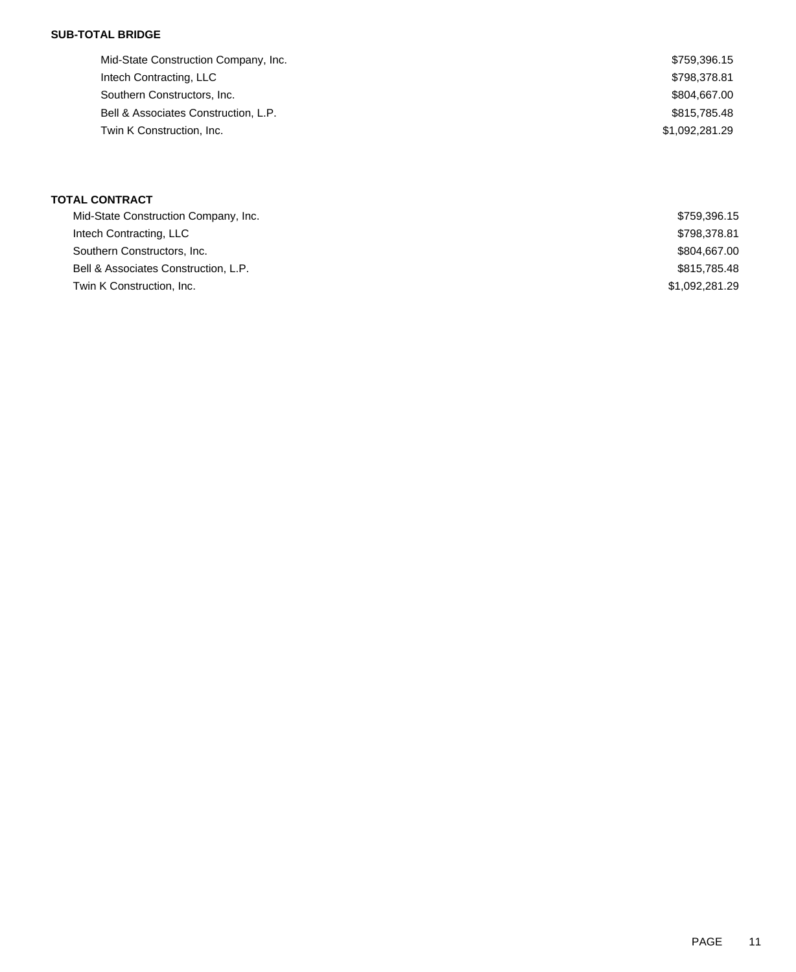### **SUB-TOTAL BRIDGE**

| Mid-State Construction Company, Inc. | \$759,396.15   |
|--------------------------------------|----------------|
| Intech Contracting, LLC              | \$798,378.81   |
| Southern Constructors, Inc.          | \$804,667.00   |
| Bell & Associates Construction, L.P. | \$815,785,48   |
| Twin K Construction, Inc.            | \$1,092,281.29 |
|                                      |                |

## **TOTAL CONTRACT**

| Mid-State Construction Company, Inc. | \$759,396.15   |
|--------------------------------------|----------------|
| Intech Contracting, LLC              | \$798,378.81   |
| Southern Constructors, Inc.          | \$804,667.00   |
| Bell & Associates Construction, L.P. | \$815,785.48   |
| Twin K Construction, Inc.            | \$1,092,281.29 |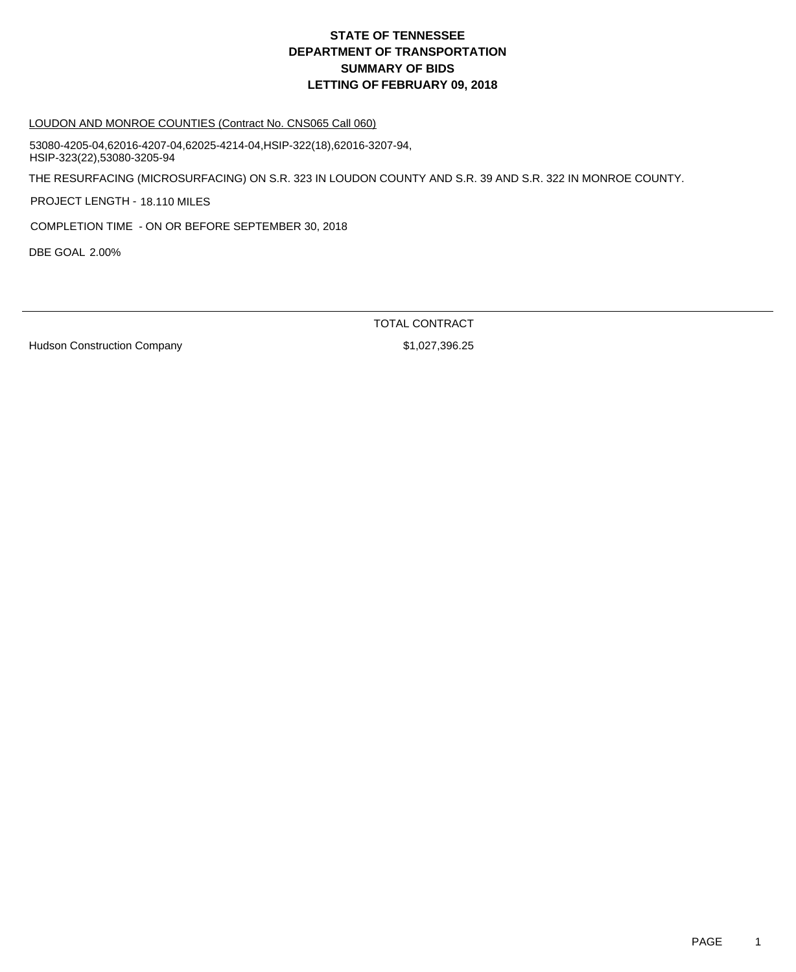# **DEPARTMENT OF TRANSPORTATION SUMMARY OF BIDS LETTING OF FEBRUARY 09, 2018 STATE OF TENNESSEE**

#### LOUDON AND MONROE COUNTIES (Contract No. CNS065 Call 060)

THE RESURFACING (MICROSURFACING) ON S.R. 323 IN LOUDON COUNTY AND S.R. 39 AND S.R. 322 IN MONROE COUNTY. PROJECT LENGTH - 18.110 MILES 53080-4205-04,62016-4207-04,62025-4214-04,HSIP-322(18),62016-3207-94, HSIP-323(22),53080-3205-94

COMPLETION TIME - ON OR BEFORE SEPTEMBER 30, 2018

DBE GOAL 2.00%

TOTAL CONTRACT

Hudson Construction Company **\$1,027,396.25**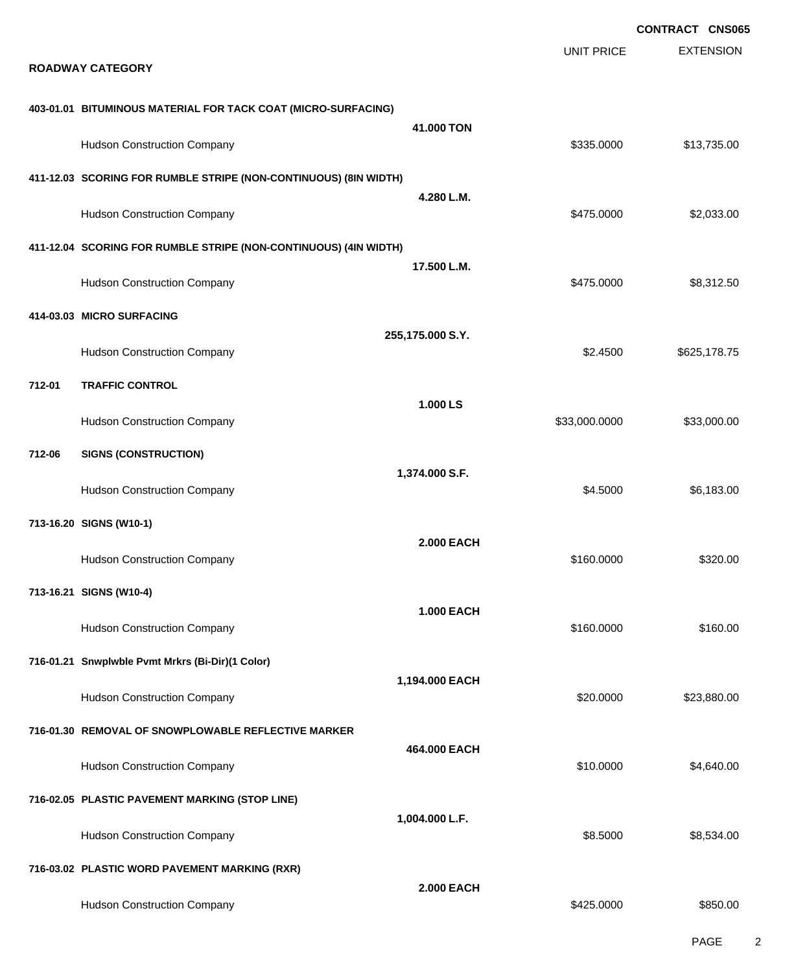|        |                                                                  |                   |                   | <b>CONTRACT CNS065</b> |
|--------|------------------------------------------------------------------|-------------------|-------------------|------------------------|
|        | <b>ROADWAY CATEGORY</b>                                          |                   | <b>UNIT PRICE</b> | <b>EXTENSION</b>       |
|        | 403-01.01 BITUMINOUS MATERIAL FOR TACK COAT (MICRO-SURFACING)    |                   |                   |                        |
|        | <b>Hudson Construction Company</b>                               | 41,000 TON        | \$335.0000        | \$13,735.00            |
|        | 411-12.03 SCORING FOR RUMBLE STRIPE (NON-CONTINUOUS) (8IN WIDTH) | 4.280 L.M.        |                   |                        |
|        | <b>Hudson Construction Company</b>                               |                   | \$475.0000        | \$2,033.00             |
|        | 411-12.04 SCORING FOR RUMBLE STRIPE (NON-CONTINUOUS) (4IN WIDTH) |                   |                   |                        |
|        | <b>Hudson Construction Company</b>                               | 17.500 L.M.       | \$475.0000        | \$8,312.50             |
|        | 414-03.03 MICRO SURFACING                                        |                   |                   |                        |
|        | <b>Hudson Construction Company</b>                               | 255,175.000 S.Y.  | \$2.4500          | \$625,178.75           |
| 712-01 | <b>TRAFFIC CONTROL</b>                                           |                   |                   |                        |
|        | <b>Hudson Construction Company</b>                               | 1.000 LS          | \$33,000.0000     | \$33,000.00            |
| 712-06 | <b>SIGNS (CONSTRUCTION)</b>                                      |                   |                   |                        |
|        | <b>Hudson Construction Company</b>                               | 1,374.000 S.F.    | \$4.5000          | \$6,183.00             |
|        | 713-16.20 SIGNS (W10-1)                                          |                   |                   |                        |
|        | <b>Hudson Construction Company</b>                               | <b>2.000 EACH</b> | \$160.0000        | \$320.00               |
|        | 713-16.21 SIGNS (W10-4)                                          |                   |                   |                        |
|        | <b>Hudson Construction Company</b>                               | <b>1.000 EACH</b> | \$160.0000        | \$160.00               |
|        | 716-01.21 Snwplwble Pvmt Mrkrs (Bi-Dir)(1 Color)                 |                   |                   |                        |
|        | <b>Hudson Construction Company</b>                               | 1,194.000 EACH    | \$20,0000         | \$23,880.00            |
|        | 716-01.30 REMOVAL OF SNOWPLOWABLE REFLECTIVE MARKER              |                   |                   |                        |
|        | <b>Hudson Construction Company</b>                               | 464.000 EACH      | \$10.0000         | \$4,640.00             |
|        | 716-02.05 PLASTIC PAVEMENT MARKING (STOP LINE)                   |                   |                   |                        |
|        | <b>Hudson Construction Company</b>                               | 1,004.000 L.F.    | \$8.5000          | \$8,534.00             |
|        | 716-03.02 PLASTIC WORD PAVEMENT MARKING (RXR)                    |                   |                   |                        |
|        | <b>Hudson Construction Company</b>                               | <b>2.000 EACH</b> | \$425.0000        | \$850.00               |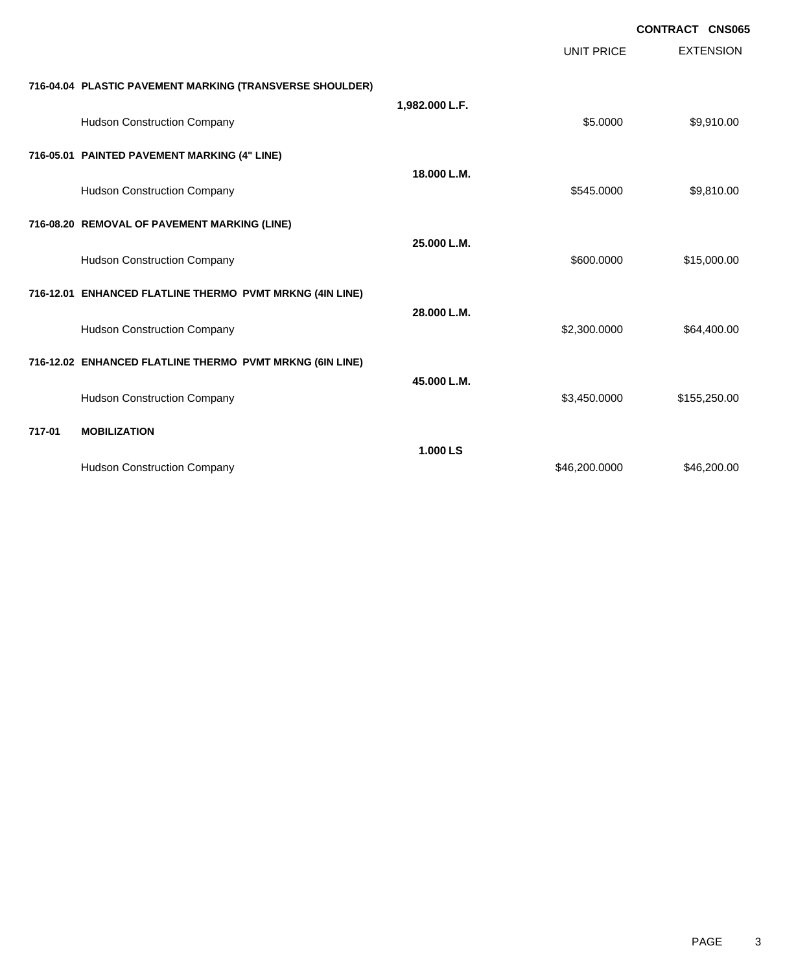|        |                                                          |                |                   | <b>CONTRACT CNS065</b> |
|--------|----------------------------------------------------------|----------------|-------------------|------------------------|
|        |                                                          |                | <b>UNIT PRICE</b> | <b>EXTENSION</b>       |
|        | 716-04.04 PLASTIC PAVEMENT MARKING (TRANSVERSE SHOULDER) |                |                   |                        |
|        | <b>Hudson Construction Company</b>                       | 1,982.000 L.F. | \$5.0000          | \$9,910.00             |
|        | 716-05.01 PAINTED PAVEMENT MARKING (4" LINE)             |                |                   |                        |
|        | <b>Hudson Construction Company</b>                       | 18.000 L.M.    | \$545.0000        | \$9,810.00             |
|        | 716-08.20 REMOVAL OF PAVEMENT MARKING (LINE)             |                |                   |                        |
|        | <b>Hudson Construction Company</b>                       | 25.000 L.M.    | \$600.0000        | \$15,000.00            |
|        | 716-12.01 ENHANCED FLATLINE THERMO PVMT MRKNG (4IN LINE) |                |                   |                        |
|        | <b>Hudson Construction Company</b>                       | 28.000 L.M.    | \$2,300.0000      | \$64,400.00            |
|        | 716-12.02 ENHANCED FLATLINE THERMO PVMT MRKNG (6IN LINE) |                |                   |                        |
|        | <b>Hudson Construction Company</b>                       | 45.000 L.M.    | \$3,450.0000      | \$155,250.00           |
| 717-01 | <b>MOBILIZATION</b>                                      |                |                   |                        |
|        | <b>Hudson Construction Company</b>                       | 1.000 LS       | \$46,200.0000     | \$46,200.00            |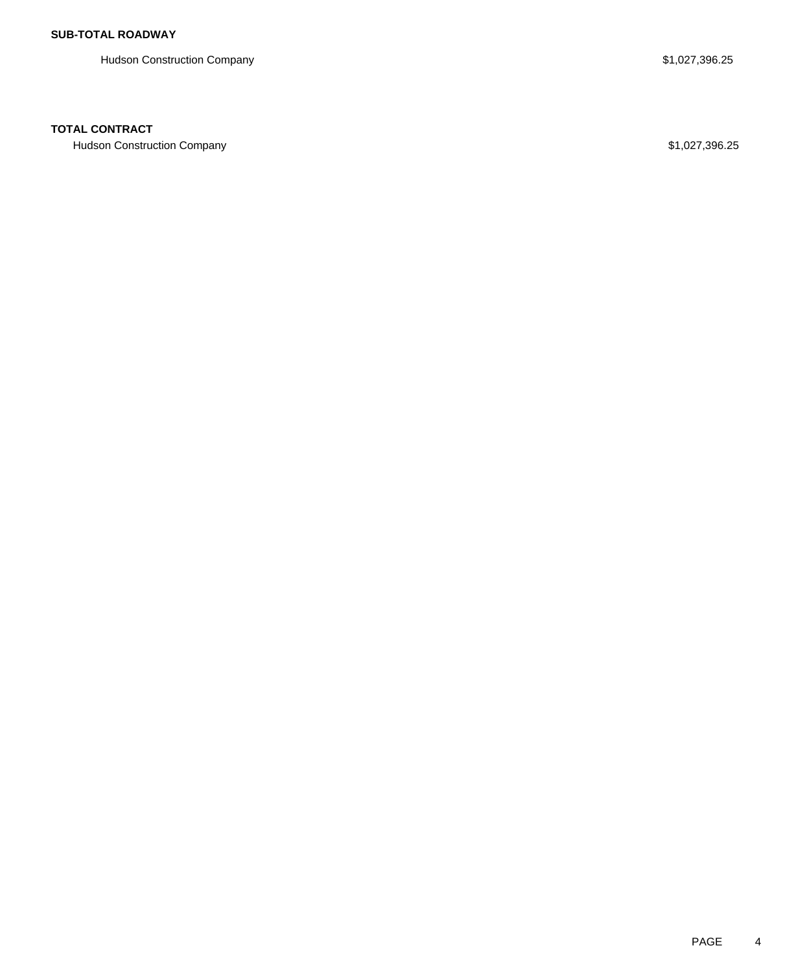Hudson Construction Company **\$1,027,396.25** 

### **TOTAL CONTRACT**

Hudson Construction Company **\$1,027,396.25**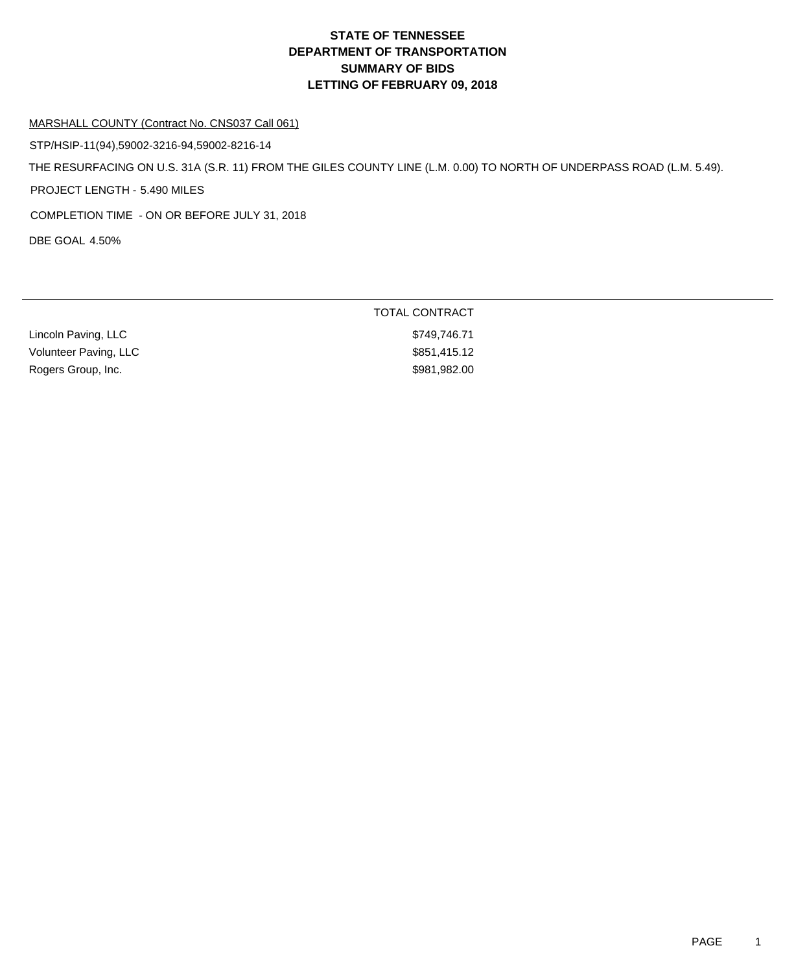# **DEPARTMENT OF TRANSPORTATION SUMMARY OF BIDS LETTING OF FEBRUARY 09, 2018 STATE OF TENNESSEE**

#### MARSHALL COUNTY (Contract No. CNS037 Call 061)

STP/HSIP-11(94),59002-3216-94,59002-8216-14

THE RESURFACING ON U.S. 31A (S.R. 11) FROM THE GILES COUNTY LINE (L.M. 0.00) TO NORTH OF UNDERPASS ROAD (L.M. 5.49).

PROJECT LENGTH - 5.490 MILES

COMPLETION TIME - ON OR BEFORE JULY 31, 2018

DBE GOAL 4.50%

|                       | TOTAL CONTRACT |
|-----------------------|----------------|
| Lincoln Paving, LLC   | \$749.746.71   |
| Volunteer Paving, LLC | \$851,415.12   |
| Rogers Group, Inc.    | \$981,982.00   |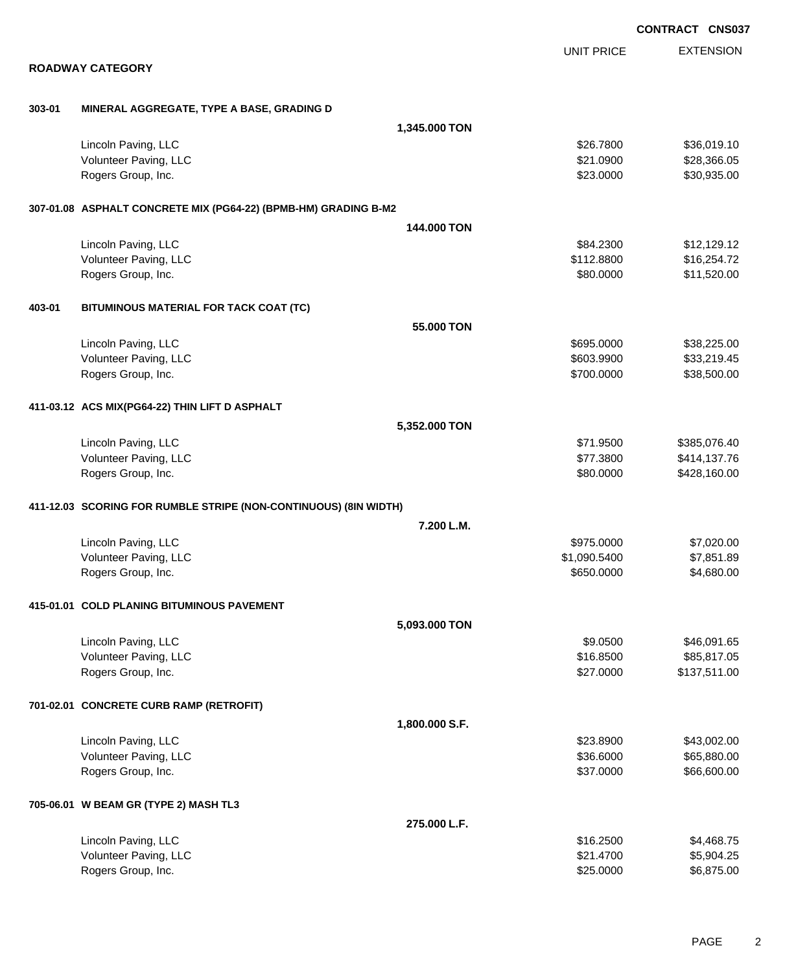|        |                                                                  |                |                   | <b>CONTRACT CNS037</b> |
|--------|------------------------------------------------------------------|----------------|-------------------|------------------------|
|        |                                                                  |                | <b>UNIT PRICE</b> | <b>EXTENSION</b>       |
|        | <b>ROADWAY CATEGORY</b>                                          |                |                   |                        |
| 303-01 | MINERAL AGGREGATE, TYPE A BASE, GRADING D                        |                |                   |                        |
|        |                                                                  | 1,345.000 TON  |                   |                        |
|        | Lincoln Paving, LLC                                              |                | \$26.7800         | \$36,019.10            |
|        | Volunteer Paving, LLC                                            |                | \$21.0900         | \$28,366.05            |
|        | Rogers Group, Inc.                                               |                | \$23.0000         | \$30,935.00            |
|        | 307-01.08 ASPHALT CONCRETE MIX (PG64-22) (BPMB-HM) GRADING B-M2  |                |                   |                        |
|        |                                                                  | 144.000 TON    |                   |                        |
|        | Lincoln Paving, LLC                                              |                | \$84.2300         | \$12,129.12            |
|        | Volunteer Paving, LLC                                            |                | \$112.8800        | \$16,254.72            |
|        | Rogers Group, Inc.                                               |                | \$80.0000         | \$11,520.00            |
| 403-01 | BITUMINOUS MATERIAL FOR TACK COAT (TC)                           |                |                   |                        |
|        |                                                                  | 55.000 TON     |                   |                        |
|        | Lincoln Paving, LLC                                              |                | \$695.0000        | \$38,225.00            |
|        | Volunteer Paving, LLC                                            |                | \$603.9900        | \$33,219.45            |
|        | Rogers Group, Inc.                                               |                | \$700.0000        | \$38,500.00            |
|        | 411-03.12 ACS MIX(PG64-22) THIN LIFT D ASPHALT                   |                |                   |                        |
|        |                                                                  | 5,352.000 TON  |                   |                        |
|        | Lincoln Paving, LLC                                              |                | \$71.9500         | \$385,076.40           |
|        | Volunteer Paving, LLC                                            |                | \$77.3800         | \$414,137.76           |
|        | Rogers Group, Inc.                                               |                | \$80.0000         | \$428,160.00           |
|        | 411-12.03 SCORING FOR RUMBLE STRIPE (NON-CONTINUOUS) (8IN WIDTH) |                |                   |                        |
|        |                                                                  | 7.200 L.M.     |                   |                        |
|        | Lincoln Paving, LLC                                              |                | \$975.0000        | \$7,020.00             |
|        | Volunteer Paving, LLC                                            |                | \$1,090.5400      | \$7,851.89             |
|        | Rogers Group, Inc.                                               |                | \$650.0000        | \$4,680.00             |
|        | 415-01.01 COLD PLANING BITUMINOUS PAVEMENT                       |                |                   |                        |
|        |                                                                  | 5,093.000 TON  |                   |                        |
|        | Lincoln Paving, LLC                                              |                | \$9.0500          | \$46,091.65            |
|        | Volunteer Paving, LLC                                            |                | \$16.8500         | \$85,817.05            |
|        | Rogers Group, Inc.                                               |                | \$27.0000         | \$137,511.00           |
|        | 701-02.01 CONCRETE CURB RAMP (RETROFIT)                          |                |                   |                        |
|        |                                                                  | 1,800.000 S.F. |                   |                        |
|        | Lincoln Paving, LLC                                              |                | \$23.8900         | \$43,002.00            |
|        | Volunteer Paving, LLC                                            |                | \$36.6000         | \$65,880.00            |
|        | Rogers Group, Inc.                                               |                | \$37.0000         | \$66,600.00            |
|        | 705-06.01 W BEAM GR (TYPE 2) MASH TL3                            |                |                   |                        |
|        |                                                                  | 275.000 L.F.   |                   |                        |
|        | Lincoln Paving, LLC                                              |                | \$16.2500         | \$4,468.75             |
|        | Volunteer Paving, LLC                                            |                | \$21.4700         | \$5,904.25             |
|        | Rogers Group, Inc.                                               |                | \$25.0000         | \$6,875.00             |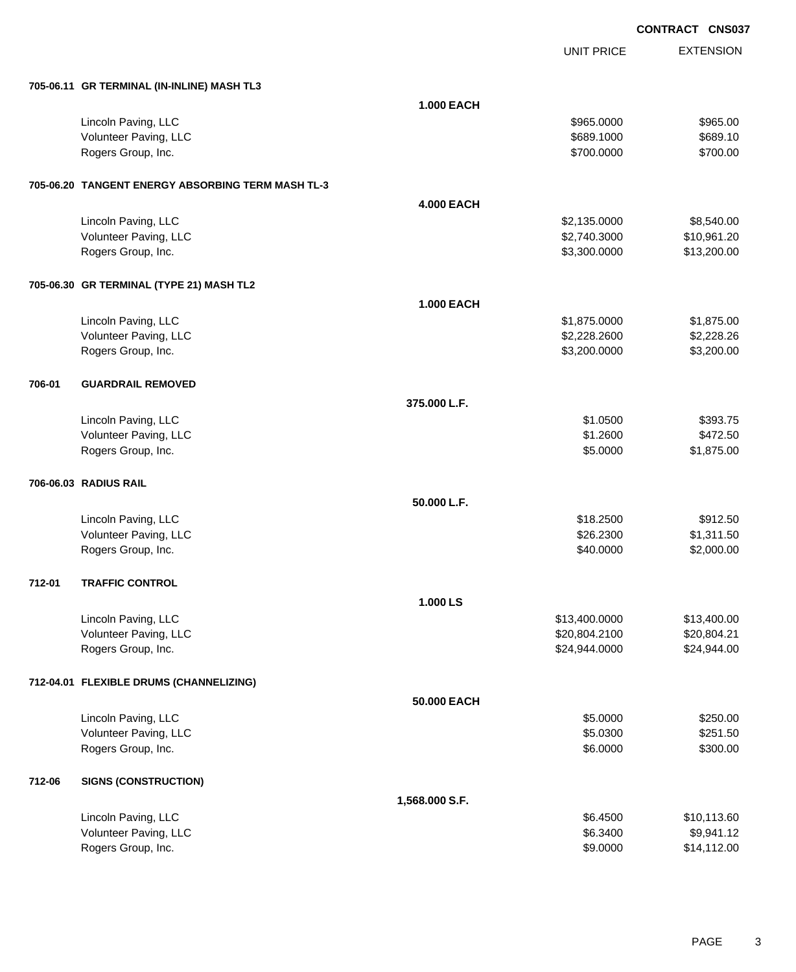UNIT PRICE

| 705-06.11 GR TERMINAL (IN-INLINE) MASH TL3 |  |
|--------------------------------------------|--|

|        | 705-06.11 GR TERMINAL (IN-INLINE) MASH TL3        |                   |               |             |
|--------|---------------------------------------------------|-------------------|---------------|-------------|
|        |                                                   | <b>1.000 EACH</b> |               |             |
|        | Lincoln Paving, LLC                               |                   | \$965.0000    | \$965.00    |
|        | Volunteer Paving, LLC                             |                   | \$689.1000    | \$689.10    |
|        | Rogers Group, Inc.                                |                   | \$700.0000    | \$700.00    |
|        |                                                   |                   |               |             |
|        | 705-06.20 TANGENT ENERGY ABSORBING TERM MASH TL-3 |                   |               |             |
|        |                                                   | <b>4.000 EACH</b> |               |             |
|        | Lincoln Paving, LLC                               |                   | \$2,135.0000  | \$8,540.00  |
|        | Volunteer Paving, LLC                             |                   | \$2,740.3000  | \$10,961.20 |
|        | Rogers Group, Inc.                                |                   | \$3,300.0000  | \$13,200.00 |
|        | 705-06.30 GR TERMINAL (TYPE 21) MASH TL2          |                   |               |             |
|        |                                                   | <b>1.000 EACH</b> |               |             |
|        | Lincoln Paving, LLC                               |                   | \$1,875.0000  | \$1,875.00  |
|        | Volunteer Paving, LLC                             |                   | \$2,228.2600  | \$2,228.26  |
|        | Rogers Group, Inc.                                |                   | \$3,200.0000  | \$3,200.00  |
| 706-01 | <b>GUARDRAIL REMOVED</b>                          |                   |               |             |
|        |                                                   | 375.000 L.F.      |               |             |
|        | Lincoln Paving, LLC                               |                   | \$1.0500      | \$393.75    |
|        | Volunteer Paving, LLC                             |                   | \$1.2600      | \$472.50    |
|        | Rogers Group, Inc.                                |                   | \$5.0000      | \$1,875.00  |
|        | 706-06.03 RADIUS RAIL                             |                   |               |             |
|        |                                                   | 50.000 L.F.       |               |             |
|        | Lincoln Paving, LLC                               |                   | \$18.2500     | \$912.50    |
|        | Volunteer Paving, LLC                             |                   | \$26.2300     | \$1,311.50  |
|        | Rogers Group, Inc.                                |                   | \$40.0000     | \$2,000.00  |
|        |                                                   |                   |               |             |
| 712-01 | <b>TRAFFIC CONTROL</b>                            |                   |               |             |
|        |                                                   | 1.000 LS          |               |             |
|        | Lincoln Paving, LLC                               |                   | \$13,400.0000 | \$13,400.00 |
|        | Volunteer Paving, LLC                             |                   | \$20,804.2100 | \$20,804.21 |
|        | Rogers Group, Inc.                                |                   | \$24,944.0000 | \$24,944.00 |
|        | 712-04.01 FLEXIBLE DRUMS (CHANNELIZING)           |                   |               |             |
|        |                                                   | 50.000 EACH       |               |             |
|        | Lincoln Paving, LLC                               |                   | \$5.0000      | \$250.00    |
|        | Volunteer Paving, LLC                             |                   | \$5.0300      | \$251.50    |
|        | Rogers Group, Inc.                                |                   | \$6.0000      | \$300.00    |
| 712-06 | <b>SIGNS (CONSTRUCTION)</b>                       |                   |               |             |
|        |                                                   | 1,568.000 S.F.    |               |             |
|        | Lincoln Paving, LLC                               |                   | \$6.4500      | \$10,113.60 |
|        | Volunteer Paving, LLC                             |                   | \$6.3400      | \$9,941.12  |
|        | Rogers Group, Inc.                                |                   | \$9.0000      | \$14,112.00 |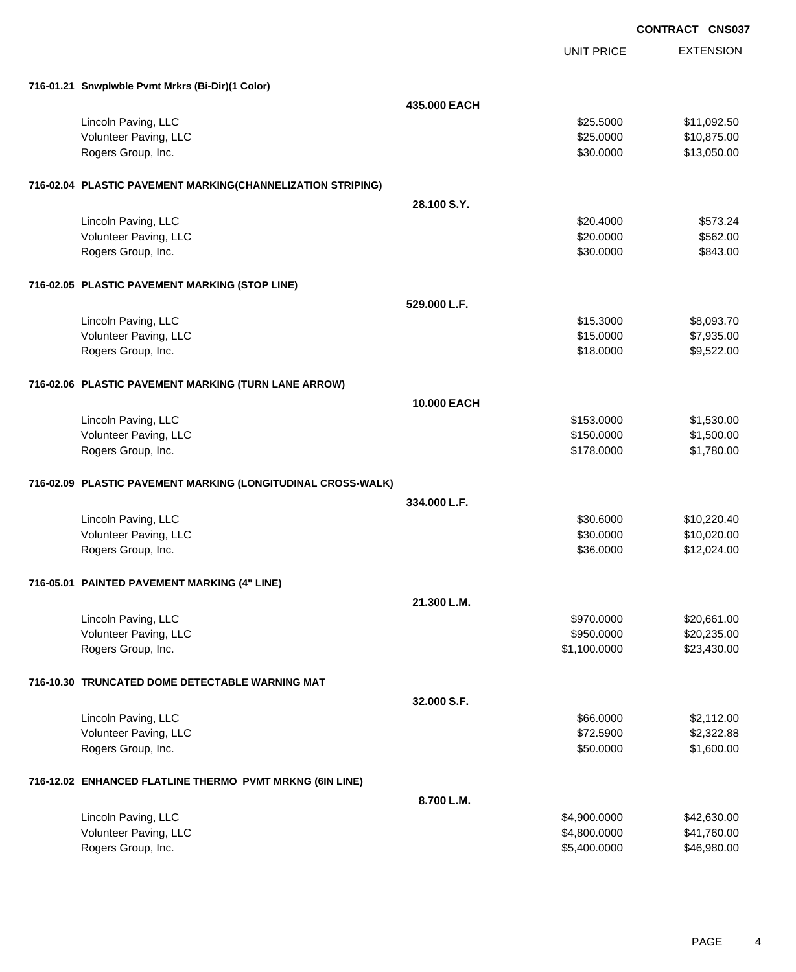EXTENSION **CONTRACT CNS037** UNIT PRICE **716-01.21 Snwplwble Pvmt Mrkrs (Bi-Dir)(1 Color) 435.000 EACH** Lincoln Paving, LLC \$25.5000 \$11,092.50 Volunteer Paving, LLC 6. 2000 \$10,875.00 Rogers Group, Inc. \$13,050.00 \$13,050.00 \$13,050.00 \$13,050.00 \$13,050.00 \$13,050.00 \$13,050.00 \$13,050.00 \$13,050.00 **716-02.04 PLASTIC PAVEMENT MARKING(CHANNELIZATION STRIPING) 28.100 S.Y.** Lincoln Paving, LLC \$20.4000 \$573.24 Volunteer Paving, LLC 620000 \$562.00 Rogers Group, Inc. \$343.00 \$843.00 \$843.00 \$843.00 \$843.00 \$850.0000 \$843.00 **716-02.05 PLASTIC PAVEMENT MARKING (STOP LINE) 529.000 L.F.** Lincoln Paving, LLC \$15.3000 \$8,093.70 Volunteer Paving, LLC 67,935.00 Rogers Group, Inc. \$18.0000 \$9,522.00 **716-02.06 PLASTIC PAVEMENT MARKING (TURN LANE ARROW) 10.000 EACH** Lincoln Paving, LLC \$1,530.00 \$1,530.00 \$1,530.00 \$1,530.00 \$1,530.00 \$1,530.00 \$1,530.00 \$1,530.00 \$1,530.00 \$1,530 Volunteer Paving, LLC 6. The state of the state of the state of the state of the state of the state of the state of the state of the state of the state of the state of the state of the state of the state of the state of th Rogers Group, Inc. \$178.000 \$1,780.00 **716-02.09 PLASTIC PAVEMENT MARKING (LONGITUDINAL CROSS-WALK) 334.000 L.F.** Lincoln Paving, LLC \$30.6000 \$10,220.40 Volunteer Paving, LLC 6. 20000 \$10,020.00 Rogers Group, Inc. \$36.0000 \$12,024.00 **716-05.01 PAINTED PAVEMENT MARKING (4" LINE) 21.300 L.M.** Lincoln Paving, LLC \$970.0000 \$20,661.00 Volunteer Paving, LLC 60000 \$20,235.00 Rogers Group, Inc. \$1,100.0000 \$23,430.00 **716-10.30 TRUNCATED DOME DETECTABLE WARNING MAT 32.000 S.F.** Lincoln Paving, LLC \$2,112.00 Volunteer Paving, LLC 62,322.88 Rogers Group, Inc. \$1,600.00 \$1,600.00 \$1,600.00 \$1,600.00 \$1,600.00 \$1,600.00 \$1,600.00 \$1,600.00 \$1,600.00 \$1,600 **716-12.02 ENHANCED FLATLINE THERMO PVMT MRKNG (6IN LINE) 8.700 L.M.**

| Lincoln Paving, LLC   | \$4,900,0000 | \$42,630.00 |
|-----------------------|--------------|-------------|
| Volunteer Paving, LLC | \$4,800,0000 | \$41,760.00 |
| Rogers Group, Inc.    | \$5,400,0000 | \$46,980.00 |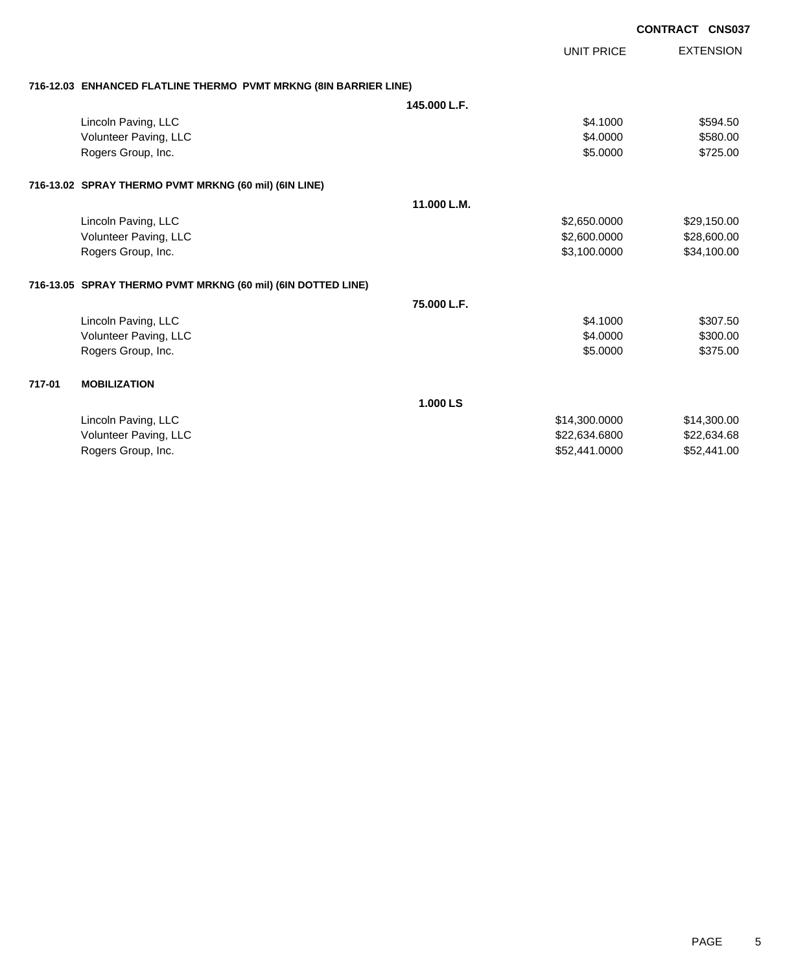| <b>CONTRACT CNS037</b> |  |
|------------------------|--|
|------------------------|--|

|        |                                                                  |              | <b>UNIT PRICE</b> | <b>EXTENSION</b> |
|--------|------------------------------------------------------------------|--------------|-------------------|------------------|
|        | 716-12.03 ENHANCED FLATLINE THERMO PVMT MRKNG (8IN BARRIER LINE) |              |                   |                  |
|        |                                                                  | 145,000 L.F. |                   |                  |
|        | Lincoln Paving, LLC                                              |              | \$4.1000          | \$594.50         |
|        | Volunteer Paving, LLC                                            |              | \$4.0000          | \$580.00         |
|        | Rogers Group, Inc.                                               |              | \$5.0000          | \$725.00         |
|        | 716-13.02 SPRAY THERMO PVMT MRKNG (60 mil) (6IN LINE)            |              |                   |                  |
|        |                                                                  | 11.000 L.M.  |                   |                  |
|        | Lincoln Paving, LLC                                              |              | \$2,650.0000      | \$29,150.00      |
|        | Volunteer Paving, LLC                                            |              | \$2,600.0000      | \$28,600.00      |
|        | Rogers Group, Inc.                                               |              | \$3,100.0000      | \$34,100.00      |
|        | 716-13.05 SPRAY THERMO PVMT MRKNG (60 mil) (6IN DOTTED LINE)     |              |                   |                  |
|        |                                                                  | 75.000 L.F.  |                   |                  |
|        | Lincoln Paving, LLC                                              |              | \$4,1000          | \$307.50         |
|        | Volunteer Paving, LLC                                            |              | \$4,0000          | \$300.00         |
|        | Rogers Group, Inc.                                               |              | \$5.0000          | \$375.00         |
| 717-01 | <b>MOBILIZATION</b>                                              |              |                   |                  |
|        |                                                                  | 1.000 LS     |                   |                  |
|        | Lincoln Paving, LLC                                              |              | \$14,300.0000     | \$14,300.00      |
|        | Volunteer Paving, LLC                                            |              | \$22,634.6800     | \$22,634.68      |
|        | Rogers Group, Inc.                                               |              | \$52,441.0000     | \$52,441.00      |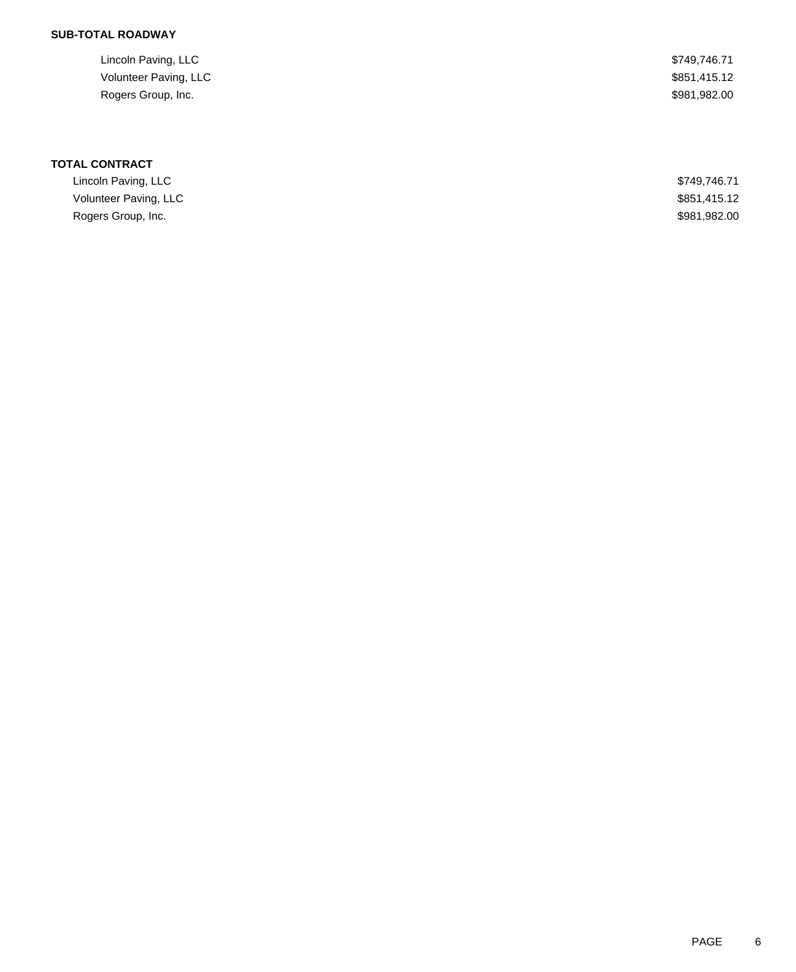## **SUB-TOTAL ROADWAY**

| Lincoln Paving, LLC   | \$749.746.71 |
|-----------------------|--------------|
| Volunteer Paving, LLC | \$851,415.12 |
| Rogers Group, Inc.    | \$981,982.00 |

# **TOTAL CONTRACT**

| Lincoln Paving, LLC   | \$749.746.71 |
|-----------------------|--------------|
| Volunteer Paving, LLC | \$851,415.12 |
| Rogers Group, Inc.    | \$981,982.00 |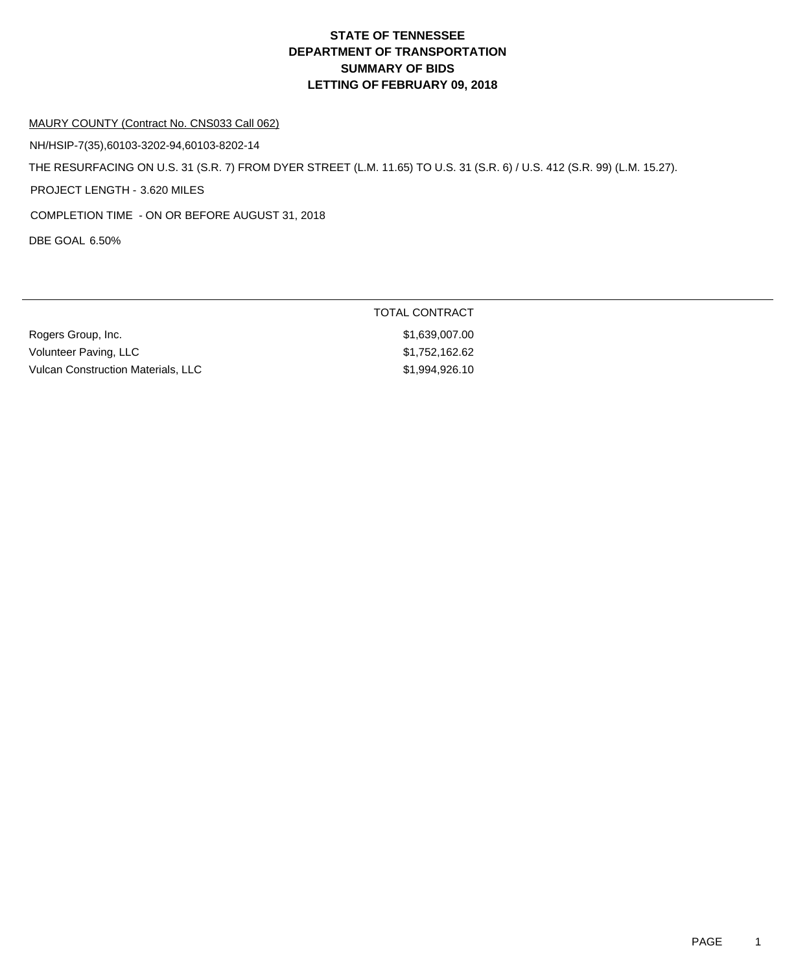#### MAURY COUNTY (Contract No. CNS033 Call 062)

NH/HSIP-7(35),60103-3202-94,60103-8202-14

THE RESURFACING ON U.S. 31 (S.R. 7) FROM DYER STREET (L.M. 11.65) TO U.S. 31 (S.R. 6) / U.S. 412 (S.R. 99) (L.M. 15.27).

PROJECT LENGTH - 3.620 MILES

COMPLETION TIME - ON OR BEFORE AUGUST 31, 2018

DBE GOAL 6.50%

| Rogers Group, Inc.                 | \$1,639,007.00 |
|------------------------------------|----------------|
| Volunteer Paving, LLC              | \$1,752,162.62 |
| Vulcan Construction Materials. LLC | \$1,994,926,10 |

TOTAL CONTRACT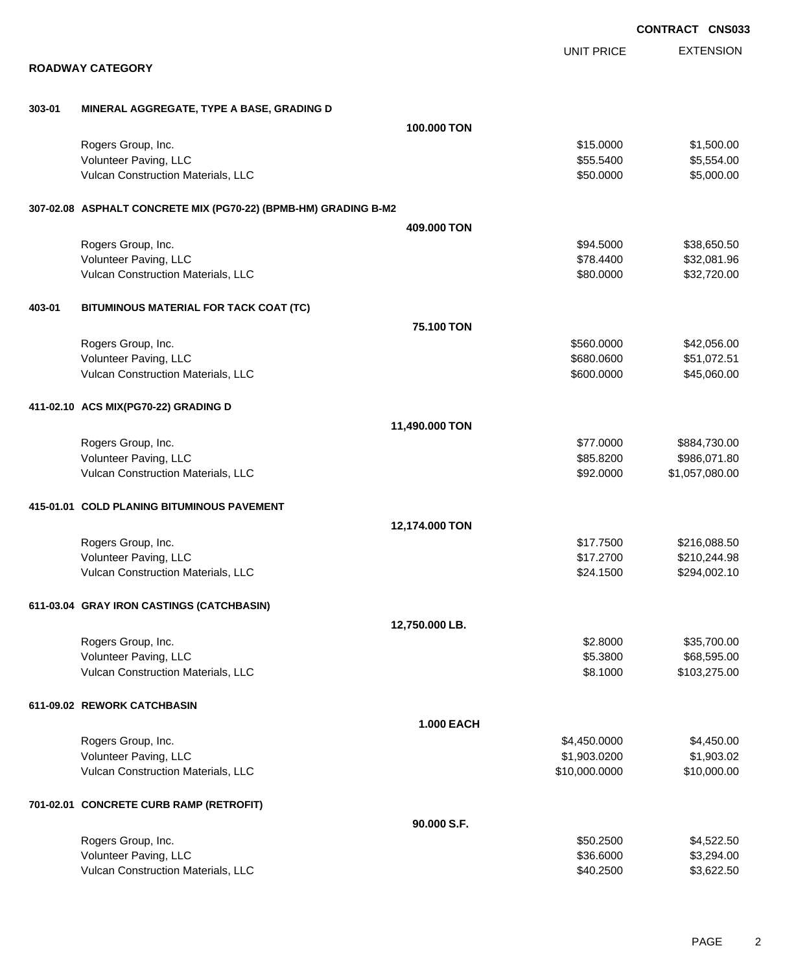|        |                                                                 |                   |                      | <b>CONTRACT CNS03</b> |
|--------|-----------------------------------------------------------------|-------------------|----------------------|-----------------------|
|        |                                                                 |                   | <b>UNIT PRICE</b>    | <b>EXTENSION</b>      |
|        | <b>ROADWAY CATEGORY</b>                                         |                   |                      |                       |
| 303-01 | MINERAL AGGREGATE, TYPE A BASE, GRADING D                       |                   |                      |                       |
|        |                                                                 | 100.000 TON       |                      |                       |
|        | Rogers Group, Inc.                                              |                   | \$15.0000            | \$1,500.00            |
|        | Volunteer Paving, LLC                                           |                   | \$55.5400            | \$5,554.00            |
|        | Vulcan Construction Materials, LLC                              |                   | \$50.0000            | \$5,000.00            |
|        | 307-02.08 ASPHALT CONCRETE MIX (PG70-22) (BPMB-HM) GRADING B-M2 |                   |                      |                       |
|        |                                                                 | 409.000 TON       |                      |                       |
|        | Rogers Group, Inc.                                              |                   | \$94.5000            | \$38,650.50           |
|        | Volunteer Paving, LLC                                           |                   | \$78.4400            | \$32,081.96           |
|        | Vulcan Construction Materials, LLC                              |                   | \$80.0000            | \$32,720.00           |
| 403-01 | BITUMINOUS MATERIAL FOR TACK COAT (TC)                          |                   |                      |                       |
|        |                                                                 | 75.100 TON        |                      |                       |
|        | Rogers Group, Inc.                                              |                   | \$560.0000           | \$42,056.00           |
|        | Volunteer Paving, LLC                                           |                   | \$680.0600           | \$51,072.51           |
|        | Vulcan Construction Materials, LLC                              |                   | \$600.0000           | \$45,060.00           |
|        | 411-02.10 ACS MIX(PG70-22) GRADING D                            |                   |                      |                       |
|        |                                                                 | 11,490.000 TON    |                      |                       |
|        | Rogers Group, Inc.                                              |                   | \$77.0000            | \$884,730.00          |
|        | Volunteer Paving, LLC<br>Vulcan Construction Materials, LLC     |                   | \$85.8200            | \$986,071.80          |
|        |                                                                 |                   | \$92.0000            | \$1,057,080.00        |
|        | 415-01.01 COLD PLANING BITUMINOUS PAVEMENT                      |                   |                      |                       |
|        |                                                                 | 12,174.000 TON    |                      |                       |
|        | Rogers Group, Inc.                                              |                   | \$17.7500            | \$216,088.50          |
|        | Volunteer Paving, LLC                                           |                   | \$17.2700            | \$210,244.98          |
|        | Vulcan Construction Materials, LLC                              |                   | \$24.1500            | \$294,002.10          |
|        | 611-03.04 GRAY IRON CASTINGS (CATCHBASIN)                       |                   |                      |                       |
|        |                                                                 | 12,750.000 LB.    |                      |                       |
|        | Rogers Group, Inc.                                              |                   | \$2.8000             | \$35,700.00           |
|        | Volunteer Paving, LLC<br>Vulcan Construction Materials, LLC     |                   | \$5.3800<br>\$8.1000 | \$68,595.00           |
|        |                                                                 |                   |                      | \$103,275.00          |
|        | 611-09.02 REWORK CATCHBASIN                                     |                   |                      |                       |
|        |                                                                 | <b>1.000 EACH</b> |                      |                       |
|        | Rogers Group, Inc.                                              |                   | \$4,450.0000         | \$4,450.00            |
|        | Volunteer Paving, LLC                                           |                   | \$1,903.0200         | \$1,903.02            |
|        | Vulcan Construction Materials, LLC                              |                   | \$10,000.0000        | \$10,000.00           |
|        | 701-02.01 CONCRETE CURB RAMP (RETROFIT)                         |                   |                      |                       |
|        |                                                                 | 90.000 S.F.       |                      |                       |
|        | Rogers Group, Inc.                                              |                   | \$50.2500            | \$4,522.50            |
|        | Volunteer Paving, LLC                                           |                   | \$36.6000            | \$3,294.00            |
|        | Vulcan Construction Materials, LLC                              |                   | \$40.2500            | \$3,622.50            |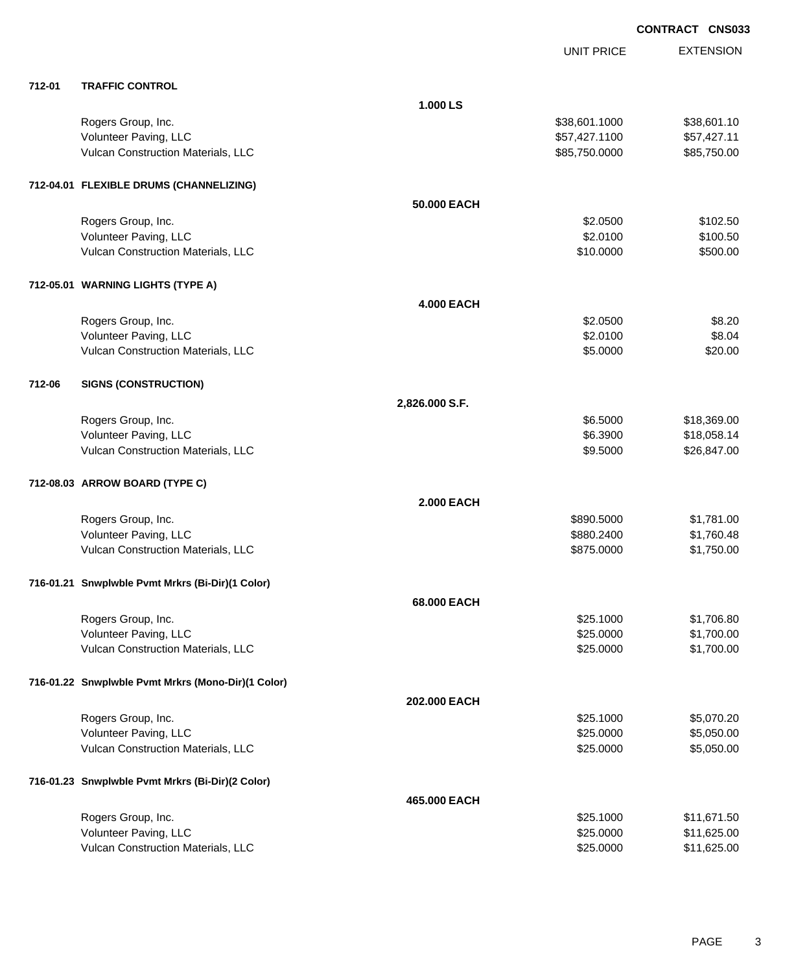|        |                                                    |                   | UNIT PRICE    | <b>EXTENSION</b> |
|--------|----------------------------------------------------|-------------------|---------------|------------------|
| 712-01 | <b>TRAFFIC CONTROL</b>                             |                   |               |                  |
|        |                                                    | 1.000 LS          |               |                  |
|        | Rogers Group, Inc.                                 |                   | \$38,601.1000 | \$38,601.10      |
|        | Volunteer Paving, LLC                              |                   | \$57,427.1100 | \$57,427.11      |
|        | Vulcan Construction Materials, LLC                 |                   | \$85,750.0000 | \$85,750.00      |
|        | 712-04.01 FLEXIBLE DRUMS (CHANNELIZING)            |                   |               |                  |
|        |                                                    | 50.000 EACH       |               |                  |
|        | Rogers Group, Inc.                                 |                   | \$2.0500      | \$102.50         |
|        | Volunteer Paving, LLC                              |                   | \$2.0100      | \$100.50         |
|        | Vulcan Construction Materials, LLC                 |                   | \$10.0000     | \$500.00         |
|        | 712-05.01 WARNING LIGHTS (TYPE A)                  |                   |               |                  |
|        |                                                    | <b>4.000 EACH</b> |               |                  |
|        | Rogers Group, Inc.                                 |                   | \$2.0500      | \$8.20           |
|        | Volunteer Paving, LLC                              |                   | \$2.0100      | \$8.04           |
|        | Vulcan Construction Materials, LLC                 |                   | \$5.0000      | \$20.00          |
| 712-06 | <b>SIGNS (CONSTRUCTION)</b>                        |                   |               |                  |
|        |                                                    | 2,826.000 S.F.    |               |                  |
|        | Rogers Group, Inc.                                 |                   | \$6.5000      | \$18,369.00      |
|        | Volunteer Paving, LLC                              |                   | \$6.3900      | \$18,058.14      |
|        | Vulcan Construction Materials, LLC                 |                   | \$9.5000      | \$26,847.00      |
|        | 712-08.03 ARROW BOARD (TYPE C)                     |                   |               |                  |
|        |                                                    | <b>2.000 EACH</b> |               |                  |
|        | Rogers Group, Inc.                                 |                   | \$890.5000    | \$1,781.00       |
|        | Volunteer Paving, LLC                              |                   | \$880.2400    | \$1,760.48       |
|        | Vulcan Construction Materials, LLC                 |                   | \$875.0000    | \$1,750.00       |
|        |                                                    |                   |               |                  |
|        | 716-01.21 Snwplwble Pvmt Mrkrs (Bi-Dir)(1 Color)   |                   |               |                  |
|        |                                                    | 68.000 EACH       |               |                  |
|        | Rogers Group, Inc.                                 |                   | \$25.1000     | \$1,706.80       |
|        | Volunteer Paving, LLC                              |                   | \$25.0000     | \$1,700.00       |
|        | Vulcan Construction Materials, LLC                 |                   | \$25.0000     | \$1,700.00       |
|        | 716-01.22 Snwplwble Pvmt Mrkrs (Mono-Dir)(1 Color) |                   |               |                  |
|        |                                                    | 202.000 EACH      |               |                  |
|        | Rogers Group, Inc.                                 |                   | \$25.1000     | \$5,070.20       |
|        | Volunteer Paving, LLC                              |                   | \$25.0000     | \$5,050.00       |
|        | Vulcan Construction Materials, LLC                 |                   | \$25.0000     | \$5,050.00       |
|        | 716-01.23 Snwplwble Pvmt Mrkrs (Bi-Dir)(2 Color)   |                   |               |                  |
|        |                                                    | 465.000 EACH      |               |                  |
|        | Rogers Group, Inc.                                 |                   | \$25.1000     | \$11,671.50      |
|        | Volunteer Paving, LLC                              |                   | \$25.0000     | \$11,625.00      |
|        | Vulcan Construction Materials, LLC                 |                   | \$25.0000     | \$11,625.00      |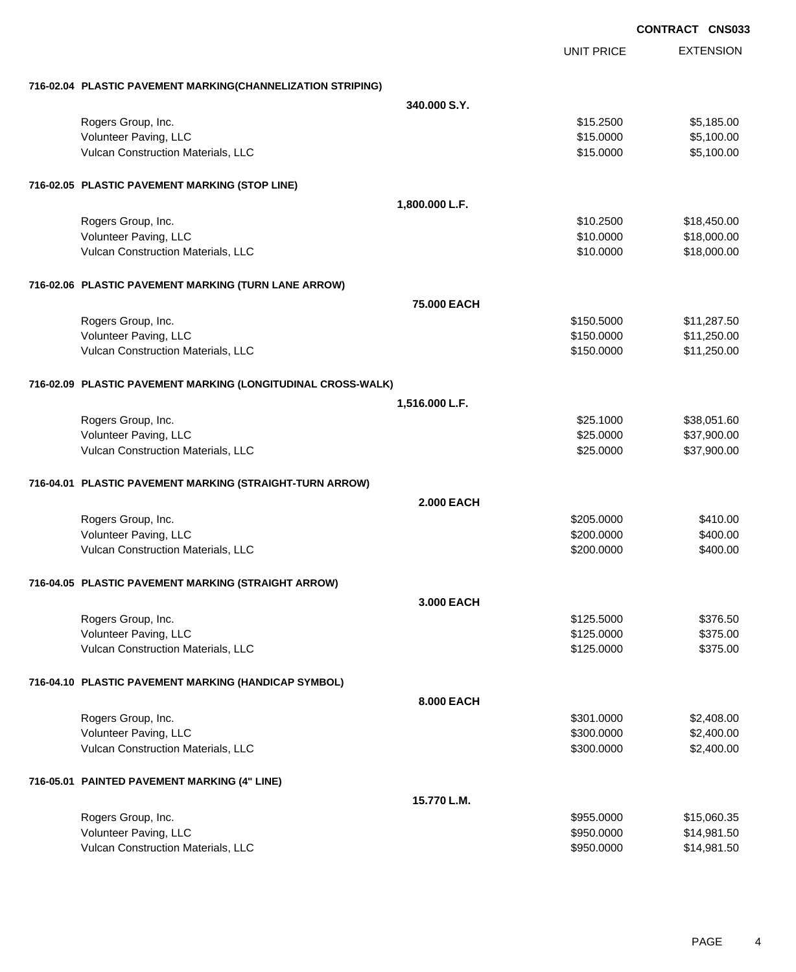EXTENSION **CONTRACT CNS033** UNIT PRICE **716-02.04 PLASTIC PAVEMENT MARKING(CHANNELIZATION STRIPING) 340.000 S.Y.** Rogers Group, Inc. \$15.2500 \$5,185.00 Volunteer Paving, LLC 6. 1992 12:00:00 \$5,100.00 Vulcan Construction Materials, LLC 60000 \$5,100.00 **716-02.05 PLASTIC PAVEMENT MARKING (STOP LINE) 1,800.000 L.F.** Rogers Group, Inc. \$18,450.00 \$18,450.00 \$18,450.00 \$18,450.00 \$18,450.00 \$18,450.00 \$18,450.00 \$18,450.00 \$18, Volunteer Paving, LLC 6. 2002.000 \$18,000.00 \$18,000.00 \$18,000.00 \$18,000.00 \$18,000.00 \$18,000.00 \$18,000.00 Vulcan Construction Materials, LLC 600000 \$18,000.00 **716-02.06 PLASTIC PAVEMENT MARKING (TURN LANE ARROW) 75.000 EACH** Rogers Group, Inc. \$11,287.50 Volunteer Paving, LLC 611,250.000 \$11,250.000 \$11,250.000 \$150.000 \$11,250.000 \$11,250.00 Vulcan Construction Materials, LLC 61 and the state of the state of the state  $$150.0000$  \$11,250.000 **716-02.09 PLASTIC PAVEMENT MARKING (LONGITUDINAL CROSS-WALK) 1,516.000 L.F.** Rogers Group, Inc. \$25.1000 \$38,051.60 Volunteer Paving, LLC 6. 2002. 2003. 2003. 2003. 2012. 2013. 2014. 2015. 2016. 2017. 2018. 2019. 2019. 2019. 201 Vulcan Construction Materials, LLC 60000 \$37,900.00 **716-04.01 PLASTIC PAVEMENT MARKING (STRAIGHT-TURN ARROW) 2.000 EACH** Rogers Group, Inc. \$410.00 \$410.00 \$410.00 \$410.00 \$5.0000 \$410.00 \$5.0000 \$410.00 Volunteer Paving, LLC 6400.00 Vulcan Construction Materials, LLC 6400.00 \$400.00 **716-04.05 PLASTIC PAVEMENT MARKING (STRAIGHT ARROW) 3.000 EACH** Rogers Group, Inc. \$125.5000 \$376.50 Volunteer Paving, LLC 6375.000 \$375.00 Vulcan Construction Materials, LLC 6375.000 \$375.00 **716-04.10 PLASTIC PAVEMENT MARKING (HANDICAP SYMBOL) 8.000 EACH** Rogers Group, Inc. \$301.0000 \$2,408.00 Volunteer Paving, LLC 60000 \$2,400.00 Vulcan Construction Materials, LLC 60000 \$2,400.00 **716-05.01 PAINTED PAVEMENT MARKING (4" LINE) 15.770 L.M.** Rogers Group, Inc. \$15,060.35 Volunteer Paving, LLC 6. The Subset of the Second State of the Second State Second State State State State State State State State State State State State State State State State State State State State State State State S

Vulcan Construction Materials, LLC 60000 \$14,981.50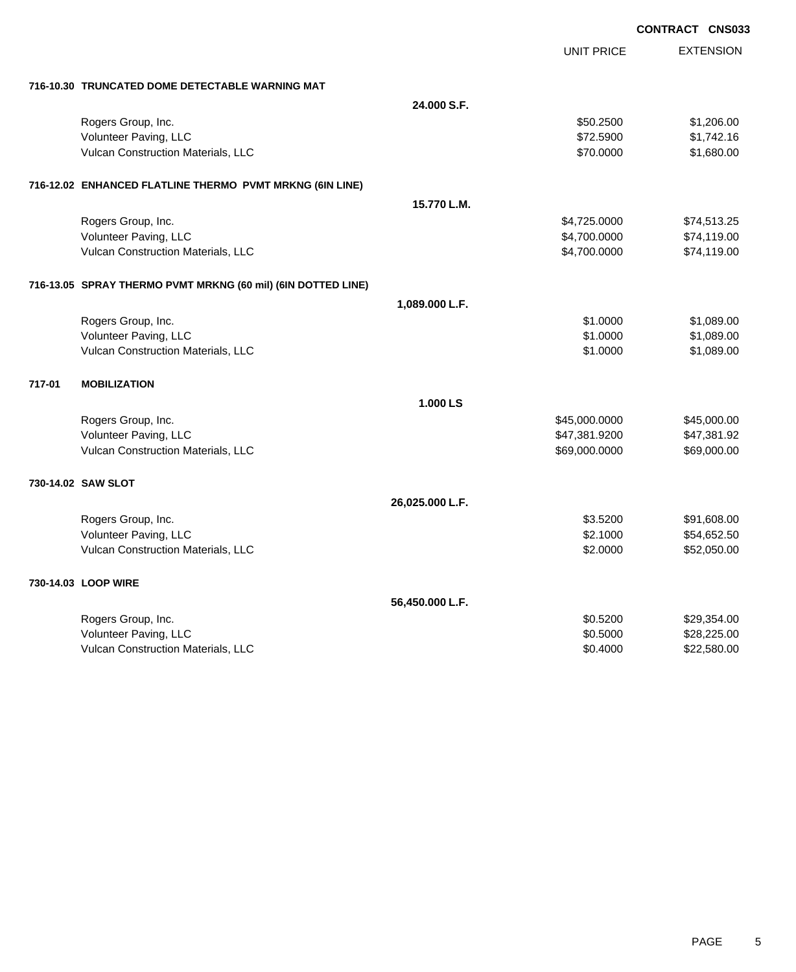| <b>CONTRACT CNS033</b> |  |
|------------------------|--|
|                        |  |

|        |                                                              |                 | <b>UNIT PRICE</b> | <b>EXTENSION</b> |
|--------|--------------------------------------------------------------|-----------------|-------------------|------------------|
|        | 716-10.30 TRUNCATED DOME DETECTABLE WARNING MAT              |                 |                   |                  |
|        |                                                              | 24.000 S.F.     |                   |                  |
|        | Rogers Group, Inc.                                           |                 | \$50.2500         | \$1,206.00       |
|        | Volunteer Paving, LLC                                        |                 | \$72.5900         | \$1,742.16       |
|        | Vulcan Construction Materials, LLC                           |                 | \$70.0000         | \$1,680.00       |
|        | 716-12.02 ENHANCED FLATLINE THERMO PVMT MRKNG (6IN LINE)     |                 |                   |                  |
|        |                                                              | 15.770 L.M.     |                   |                  |
|        | Rogers Group, Inc.                                           |                 | \$4,725.0000      | \$74,513.25      |
|        | Volunteer Paving, LLC                                        |                 | \$4,700.0000      | \$74,119.00      |
|        | Vulcan Construction Materials, LLC                           |                 | \$4,700.0000      | \$74,119.00      |
|        | 716-13.05 SPRAY THERMO PVMT MRKNG (60 mil) (6IN DOTTED LINE) |                 |                   |                  |
|        |                                                              | 1,089.000 L.F.  |                   |                  |
|        | Rogers Group, Inc.                                           |                 | \$1.0000          | \$1,089.00       |
|        | Volunteer Paving, LLC                                        |                 | \$1.0000          | \$1,089.00       |
|        | Vulcan Construction Materials, LLC                           |                 | \$1.0000          | \$1,089.00       |
| 717-01 | <b>MOBILIZATION</b>                                          |                 |                   |                  |
|        |                                                              | 1.000 LS        |                   |                  |
|        | Rogers Group, Inc.                                           |                 | \$45,000.0000     | \$45,000.00      |
|        | Volunteer Paving, LLC                                        |                 | \$47,381.9200     | \$47,381.92      |
|        | Vulcan Construction Materials, LLC                           |                 | \$69,000.0000     | \$69,000.00      |
|        | 730-14.02 SAW SLOT                                           |                 |                   |                  |
|        |                                                              | 26,025.000 L.F. |                   |                  |
|        | Rogers Group, Inc.                                           |                 | \$3.5200          | \$91,608.00      |
|        | Volunteer Paving, LLC                                        |                 | \$2.1000          | \$54,652.50      |
|        | Vulcan Construction Materials, LLC                           |                 | \$2.0000          | \$52,050.00      |
|        | 730-14.03 LOOP WIRE                                          |                 |                   |                  |
|        |                                                              | 56,450.000 L.F. |                   |                  |
|        | Rogers Group, Inc.                                           |                 | \$0.5200          | \$29,354.00      |
|        | Volunteer Paving, LLC                                        |                 | \$0.5000          | \$28,225.00      |
|        | Vulcan Construction Materials, LLC                           |                 | \$0.4000          | \$22,580.00      |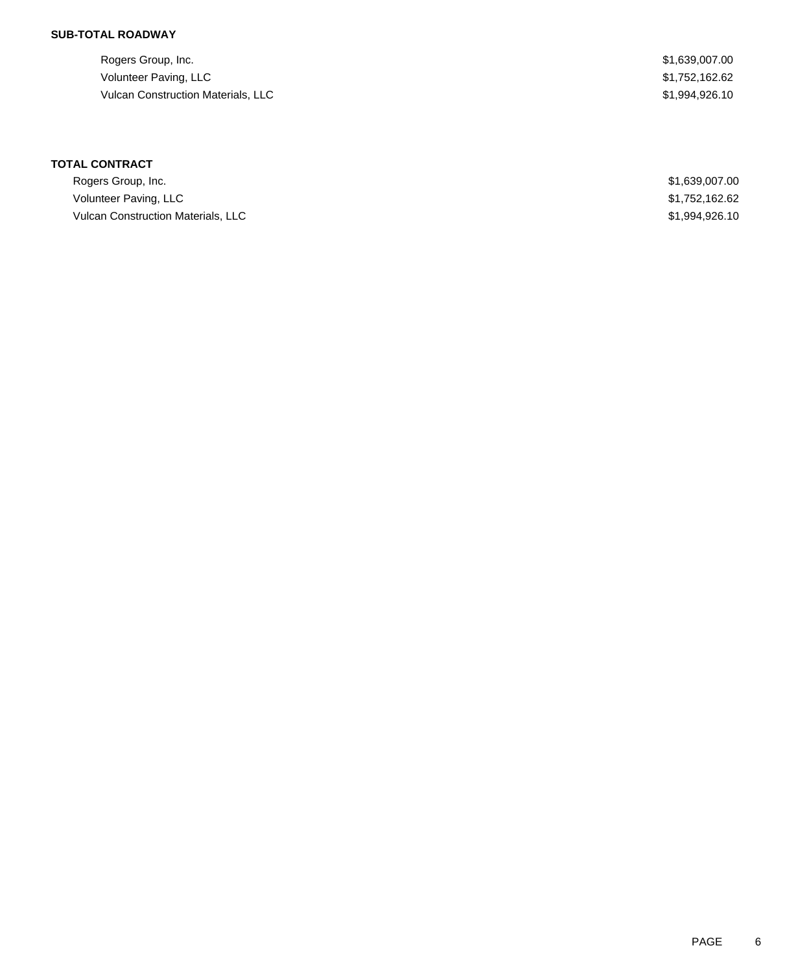## **SUB-TOTAL ROADWAY**

Rogers Group, Inc. \$1,639,007.00 Volunteer Paving, LLC \$1,752,162.62 Vulcan Construction Materials, LLC 61,994,926.10

## **TOTAL CONTRACT**

| Rogers Group, Inc.                 | \$1,639,007.00 |
|------------------------------------|----------------|
| Volunteer Paving, LLC              | \$1,752,162.62 |
| Vulcan Construction Materials, LLC | \$1,994,926,10 |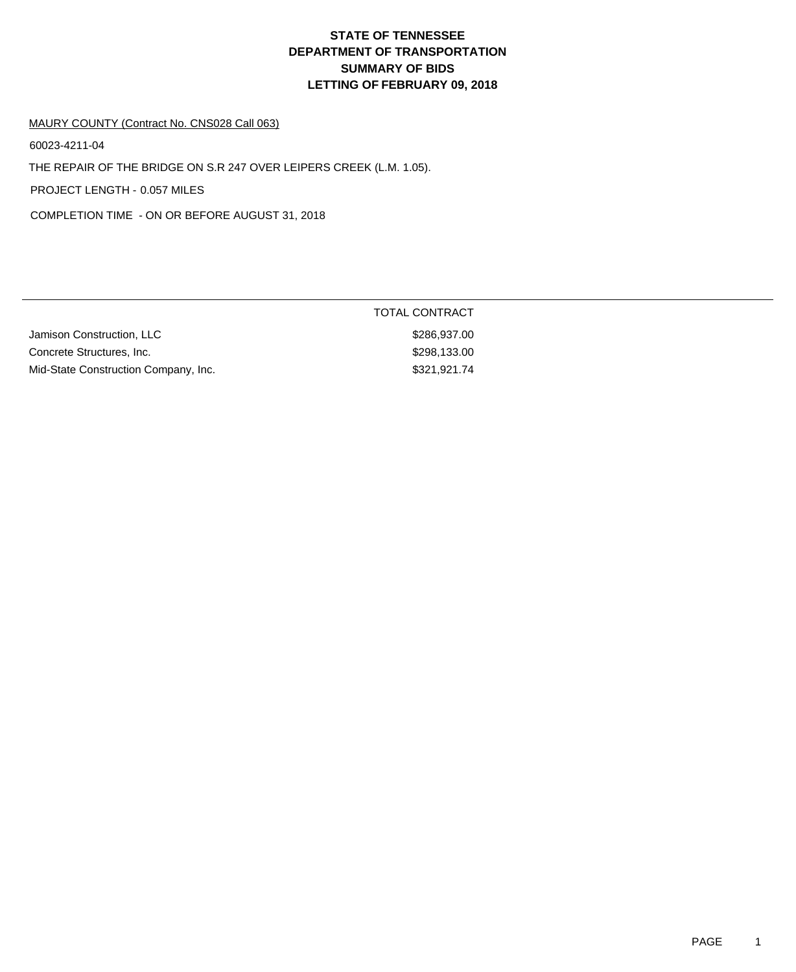#### MAURY COUNTY (Contract No. CNS028 Call 063)

60023-4211-04

THE REPAIR OF THE BRIDGE ON S.R 247 OVER LEIPERS CREEK (L.M. 1.05).

PROJECT LENGTH - 0.057 MILES

COMPLETION TIME - ON OR BEFORE AUGUST 31, 2018

|                                      | TOTAL CONTRACT |
|--------------------------------------|----------------|
| Jamison Construction, LLC            | \$286.937.00   |
| Concrete Structures, Inc.            | \$298.133.00   |
| Mid-State Construction Company, Inc. | \$321,921.74   |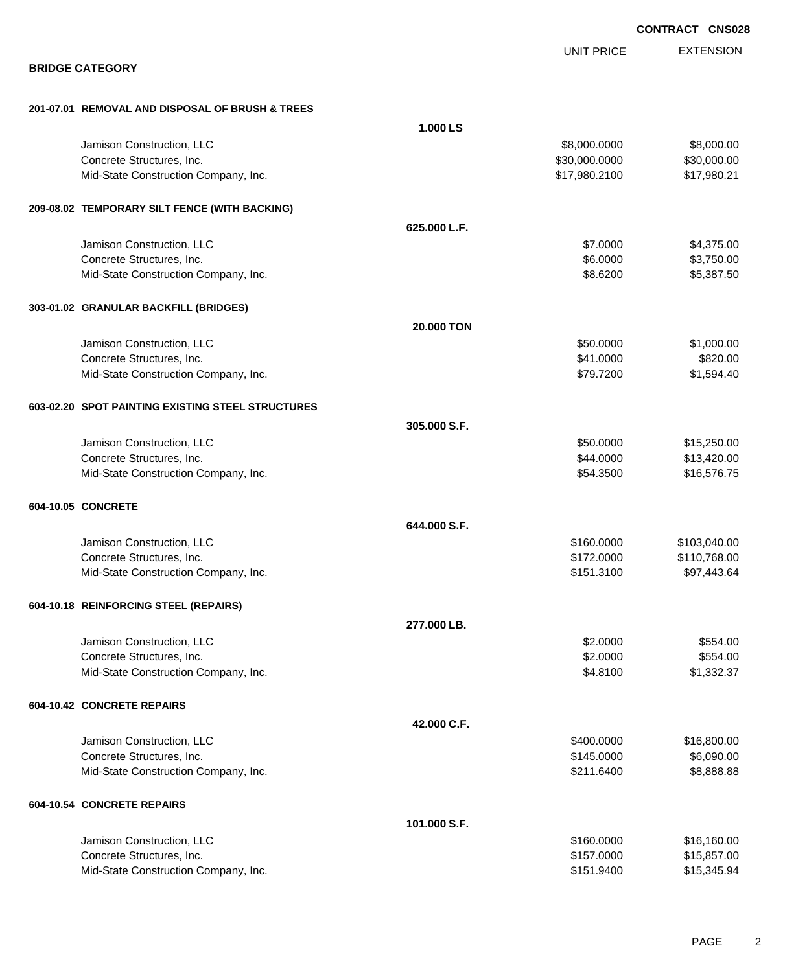|                                                   |              |                   | <b>CONTRACT CNS028</b> |
|---------------------------------------------------|--------------|-------------------|------------------------|
|                                                   |              | <b>UNIT PRICE</b> | <b>EXTENSION</b>       |
| <b>BRIDGE CATEGORY</b>                            |              |                   |                        |
| 201-07.01 REMOVAL AND DISPOSAL OF BRUSH & TREES   |              |                   |                        |
|                                                   | 1.000 LS     |                   |                        |
| Jamison Construction, LLC                         |              | \$8,000.0000      | \$8,000.00             |
| Concrete Structures, Inc.                         |              | \$30,000.0000     | \$30,000.00            |
| Mid-State Construction Company, Inc.              |              | \$17,980.2100     | \$17,980.21            |
| 209-08.02 TEMPORARY SILT FENCE (WITH BACKING)     |              |                   |                        |
|                                                   | 625.000 L.F. |                   |                        |
| Jamison Construction, LLC                         |              | \$7.0000          | \$4,375.00             |
| Concrete Structures, Inc.                         |              | \$6.0000          | \$3,750.00             |
| Mid-State Construction Company, Inc.              |              | \$8.6200          | \$5,387.50             |
| 303-01.02 GRANULAR BACKFILL (BRIDGES)             |              |                   |                        |
|                                                   | 20.000 TON   |                   |                        |
| Jamison Construction, LLC                         |              | \$50.0000         | \$1,000.00             |
| Concrete Structures, Inc.                         |              | \$41.0000         | \$820.00               |
| Mid-State Construction Company, Inc.              |              | \$79.7200         | \$1,594.40             |
| 603-02.20 SPOT PAINTING EXISTING STEEL STRUCTURES |              |                   |                        |
|                                                   | 305.000 S.F. |                   |                        |
| Jamison Construction, LLC                         |              | \$50.0000         | \$15,250.00            |
| Concrete Structures, Inc.                         |              | \$44.0000         | \$13,420.00            |
| Mid-State Construction Company, Inc.              |              | \$54.3500         | \$16,576.75            |
| 604-10.05 CONCRETE                                |              |                   |                        |
|                                                   | 644.000 S.F. |                   |                        |
| Jamison Construction, LLC                         |              | \$160.0000        | \$103,040.00           |
| Concrete Structures, Inc.                         |              | \$172.0000        | \$110,768.00           |
| Mid-State Construction Company, Inc.              |              | \$151.3100        | \$97,443.64            |
| 604-10.18 REINFORCING STEEL (REPAIRS)             |              |                   |                        |
|                                                   | 277.000 LB.  |                   |                        |
| Jamison Construction, LLC                         |              | \$2.0000          | \$554.00               |
| Concrete Structures, Inc.                         |              | \$2.0000          | \$554.00               |
| Mid-State Construction Company, Inc.              |              | \$4.8100          | \$1,332.37             |
| 604-10.42 CONCRETE REPAIRS                        |              |                   |                        |
|                                                   | 42.000 C.F.  |                   |                        |
| Jamison Construction, LLC                         |              | \$400.0000        | \$16,800.00            |
| Concrete Structures, Inc.                         |              | \$145.0000        | \$6,090.00             |
| Mid-State Construction Company, Inc.              |              | \$211.6400        | \$8,888.88             |
| 604-10.54 CONCRETE REPAIRS                        |              |                   |                        |
|                                                   | 101.000 S.F. |                   |                        |
| Jamison Construction, LLC                         |              | \$160.0000        | \$16,160.00            |
| Concrete Structures, Inc.                         |              | \$157.0000        | \$15,857.00            |
| Mid-State Construction Company, Inc.              |              | \$151.9400        | \$15,345.94            |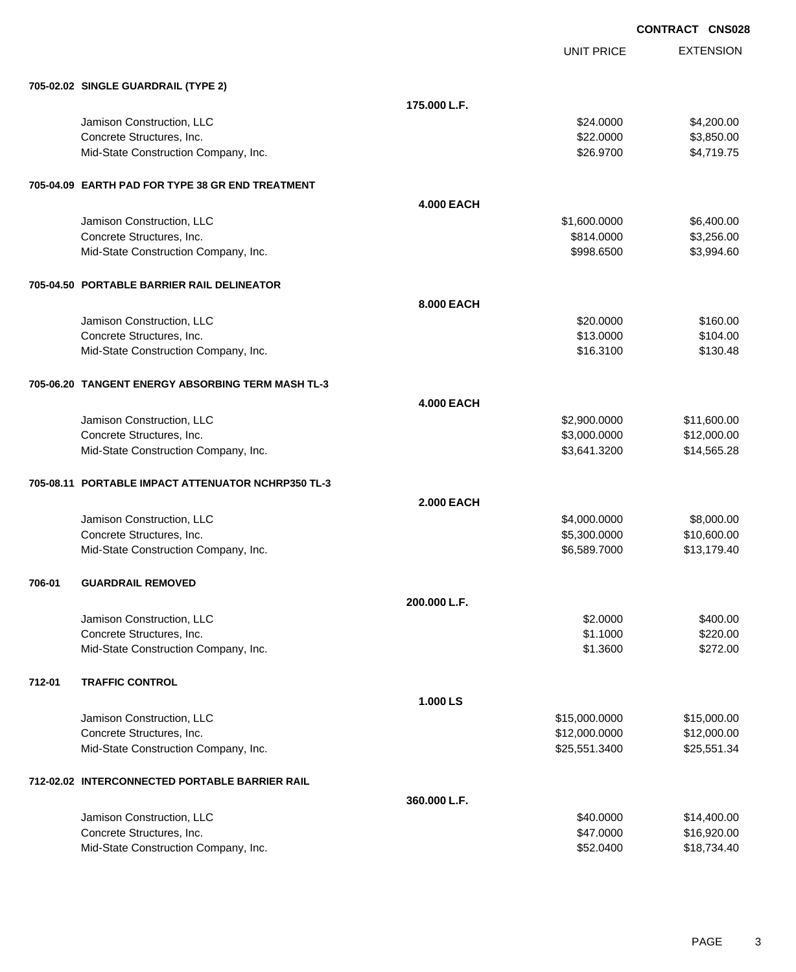EXTENSION UNIT PRICE **705-02.02 SINGLE GUARDRAIL (TYPE 2) 175.000 L.F.** Jamison Construction, LLC 64,200.00 \$4,200.00 Concrete Structures, Inc. 6. The Concrete Structures, Inc. 6. The Concrete Structures, Inc. 6. The Concrete Structures, Inc. 6. The Concrete Structures, Inc. 6. The Concrete Structures, Inc. 6. The Concrete Structures, Inc Mid-State Construction Company, Inc. 6. The Construction Company, Inc. 6. The Construction Company, Inc. 6. The Construction Company, Inc. 6. The Construction Company, Inc. 6. The Construction Company, Inc. 6. The Construc **705-04.09 EARTH PAD FOR TYPE 38 GR END TREATMENT 4.000 EACH** Jamison Construction, LLC \$1,600.0000 \$6,400.00 Concrete Structures, Inc. 6814.0000 \$3,256.00 Mid-State Construction Company, Inc. 6. The Construction Company, Inc. 6. The Construction Company, Inc. 6998.6500 \$3,994.60 **705-04.50 PORTABLE BARRIER RAIL DELINEATOR 8.000 EACH** Jamison Construction, LLC 60000 \$160.00 Concrete Structures, Inc. 6104.00 Mid-State Construction Company, Inc. \$16.3100 \$130.48 **705-06.20 TANGENT ENERGY ABSORBING TERM MASH TL-3 4.000 EACH** Jamison Construction, LLC \$2,900.0000 \$11,600.00 Concrete Structures, Inc. 6. 2008.000 \$12,000.000 \$12,000.000 \$12,000.000 \$12,000.00 Mid-State Construction Company, Inc. 6. The Construction Company, Inc. 6. The Construction Company, Inc. 6. The Construction Company, Inc. 6. The Construction Company, Inc. 6. The Construction Company, Inc. 6. The Construc **705-08.11 PORTABLE IMPACT ATTENUATOR NCHRP350 TL-3 2.000 EACH** Jamison Construction, LLC \$4,000.0000 \$8,000.00 Concrete Structures, Inc. 66,300.000 \$10,600.00 Mid-State Construction Company, Inc.  $$6,589.7000$  \$13,179.40 **706-01 GUARDRAIL REMOVED 200.000 L.F.** Jamison Construction, LLC \$2.0000 \$400.00 Concrete Structures, Inc. 6220.00 Mid-State Construction Company, Inc. 6272.00 \$272.00 \$1.3600 \$272.00 **712-01 TRAFFIC CONTROL 1.000 LS** Jamison Construction, LLC \$15,000.0000 \$15,000.00 Concrete Structures, Inc. 612,000.000 \$12,000.000 \$12,000.000 \$12,000.000 \$12,000.00 Mid-State Construction Company, Inc. 6. The Construction Company, Inc. 6. The Construction Company, Inc. 6. The Construction Company, Inc. 6. The Construction Company, Inc. 6. The Construction Company, Inc. 6. The Construc **712-02.02 INTERCONNECTED PORTABLE BARRIER RAIL 360.000 L.F.** Jamison Construction, LLC \$40.0000 \$14,400.00 Concrete Structures, Inc. 6. The Concrete Structures, Inc. 6. The Concrete Structures, Inc. 6. The Concrete Structures, Inc. 6. The Concrete Structures, Inc. 6. The Concrete Structures, Inc. 6. The Concrete Structures, Inc

Mid-State Construction Company, Inc.  $$52.0400$  \$18,734.40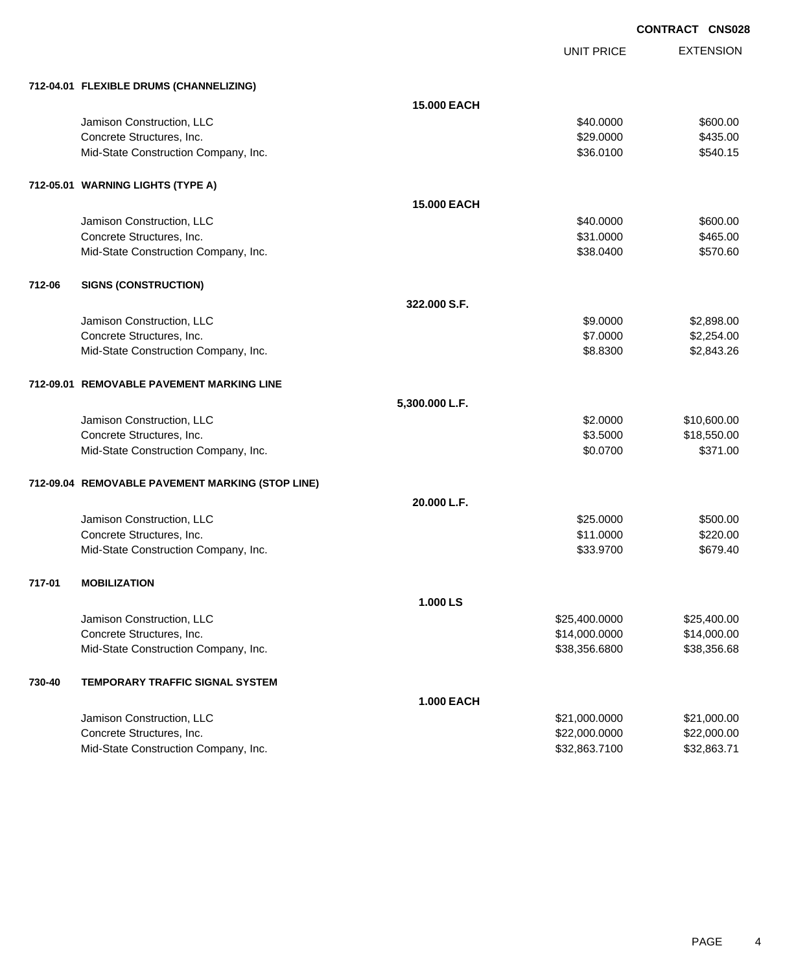UNIT PRICE EXTENSION

|        | 712-04.01 FLEXIBLE DRUMS (CHANNELIZING)          |                    |               |             |
|--------|--------------------------------------------------|--------------------|---------------|-------------|
|        |                                                  | <b>15.000 EACH</b> |               |             |
|        | Jamison Construction, LLC                        |                    | \$40.0000     | \$600.00    |
|        | Concrete Structures, Inc.                        |                    | \$29.0000     | \$435.00    |
|        | Mid-State Construction Company, Inc.             |                    | \$36.0100     | \$540.15    |
|        | 712-05.01 WARNING LIGHTS (TYPE A)                |                    |               |             |
|        |                                                  | <b>15.000 EACH</b> |               |             |
|        | Jamison Construction, LLC                        |                    | \$40.0000     | \$600.00    |
|        | Concrete Structures, Inc.                        |                    | \$31.0000     | \$465.00    |
|        | Mid-State Construction Company, Inc.             |                    | \$38.0400     | \$570.60    |
| 712-06 | <b>SIGNS (CONSTRUCTION)</b>                      |                    |               |             |
|        |                                                  | 322,000 S.F.       |               |             |
|        | Jamison Construction, LLC                        |                    | \$9.0000      | \$2,898.00  |
|        | Concrete Structures, Inc.                        |                    | \$7.0000      | \$2,254.00  |
|        | Mid-State Construction Company, Inc.             |                    | \$8.8300      | \$2,843.26  |
|        | 712-09.01 REMOVABLE PAVEMENT MARKING LINE        |                    |               |             |
|        |                                                  | 5,300.000 L.F.     |               |             |
|        | Jamison Construction, LLC                        |                    | \$2.0000      | \$10,600.00 |
|        | Concrete Structures, Inc.                        |                    | \$3.5000      | \$18,550.00 |
|        | Mid-State Construction Company, Inc.             |                    | \$0.0700      | \$371.00    |
|        | 712-09.04 REMOVABLE PAVEMENT MARKING (STOP LINE) |                    |               |             |
|        |                                                  | 20.000 L.F.        |               |             |
|        | Jamison Construction, LLC                        |                    | \$25.0000     | \$500.00    |
|        | Concrete Structures, Inc.                        |                    | \$11.0000     | \$220.00    |
|        | Mid-State Construction Company, Inc.             |                    | \$33.9700     | \$679.40    |
| 717-01 | <b>MOBILIZATION</b>                              |                    |               |             |
|        |                                                  | 1.000 LS           |               |             |
|        | Jamison Construction, LLC                        |                    | \$25,400.0000 | \$25,400.00 |
|        | Concrete Structures, Inc.                        |                    | \$14,000.0000 | \$14,000.00 |
|        | Mid-State Construction Company, Inc.             |                    | \$38,356.6800 | \$38,356.68 |
| 730-40 | TEMPORARY TRAFFIC SIGNAL SYSTEM                  |                    |               |             |
|        |                                                  | <b>1.000 EACH</b>  |               |             |
|        | Jamison Construction, LLC                        |                    | \$21,000.0000 | \$21,000.00 |
|        | Concrete Structures, Inc.                        |                    | \$22,000.0000 | \$22,000.00 |
|        | Mid-State Construction Company, Inc.             |                    | \$32,863.7100 | \$32,863.71 |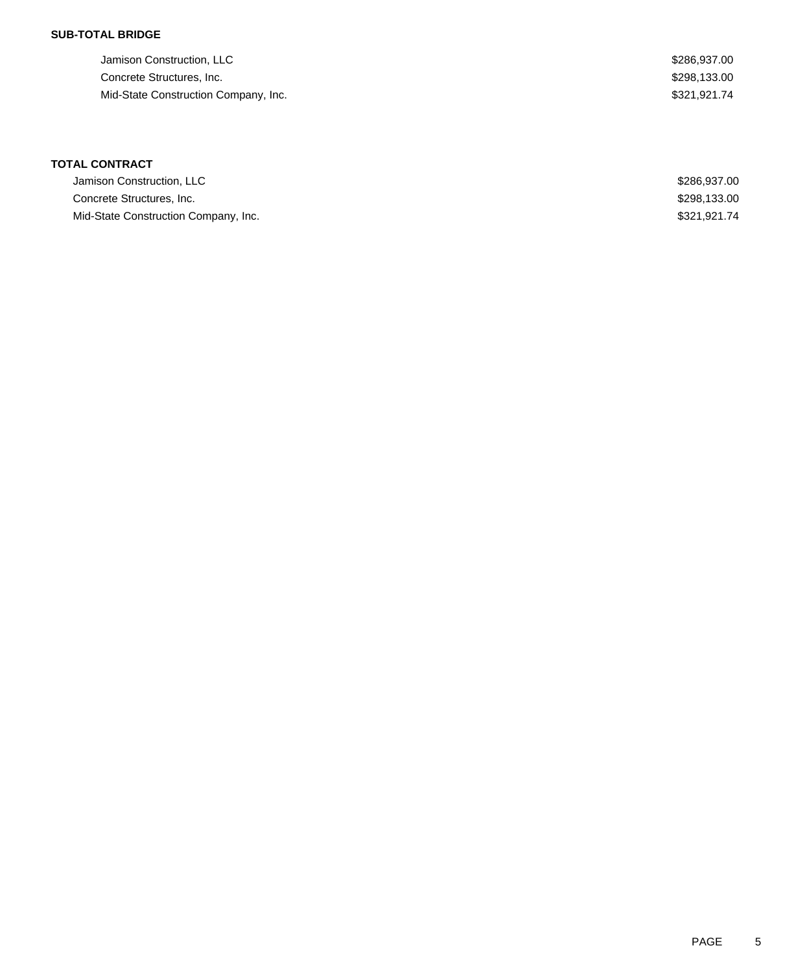### **SUB-TOTAL BRIDGE**

| Jamison Construction, LLC            | \$286,937,00 |
|--------------------------------------|--------------|
| Concrete Structures, Inc.            | \$298,133.00 |
| Mid-State Construction Company, Inc. | \$321,921.74 |

## **TOTAL CONTRACT**

| Jamison Construction, LLC            | \$286,937,00 |
|--------------------------------------|--------------|
| Concrete Structures, Inc.            | \$298,133,00 |
| Mid-State Construction Company, Inc. | \$321.921.74 |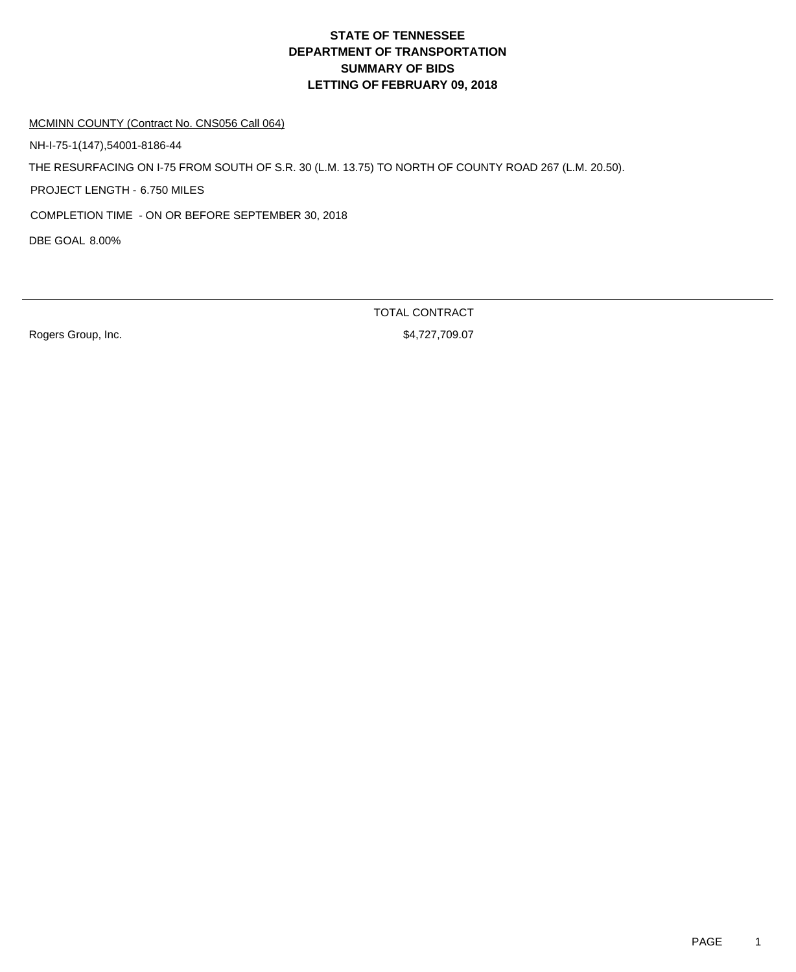MCMINN COUNTY (Contract No. CNS056 Call 064)

NH-I-75-1(147),54001-8186-44

THE RESURFACING ON I-75 FROM SOUTH OF S.R. 30 (L.M. 13.75) TO NORTH OF COUNTY ROAD 267 (L.M. 20.50).

PROJECT LENGTH - 6.750 MILES

COMPLETION TIME - ON OR BEFORE SEPTEMBER 30, 2018

DBE GOAL 8.00%

Rogers Group, Inc. 6. 2010 12:30 12:30 12:30 12:30 12:30 12:30 12:30 12:30 12:30 12:30 12:30 12:30 12:30 12:30

TOTAL CONTRACT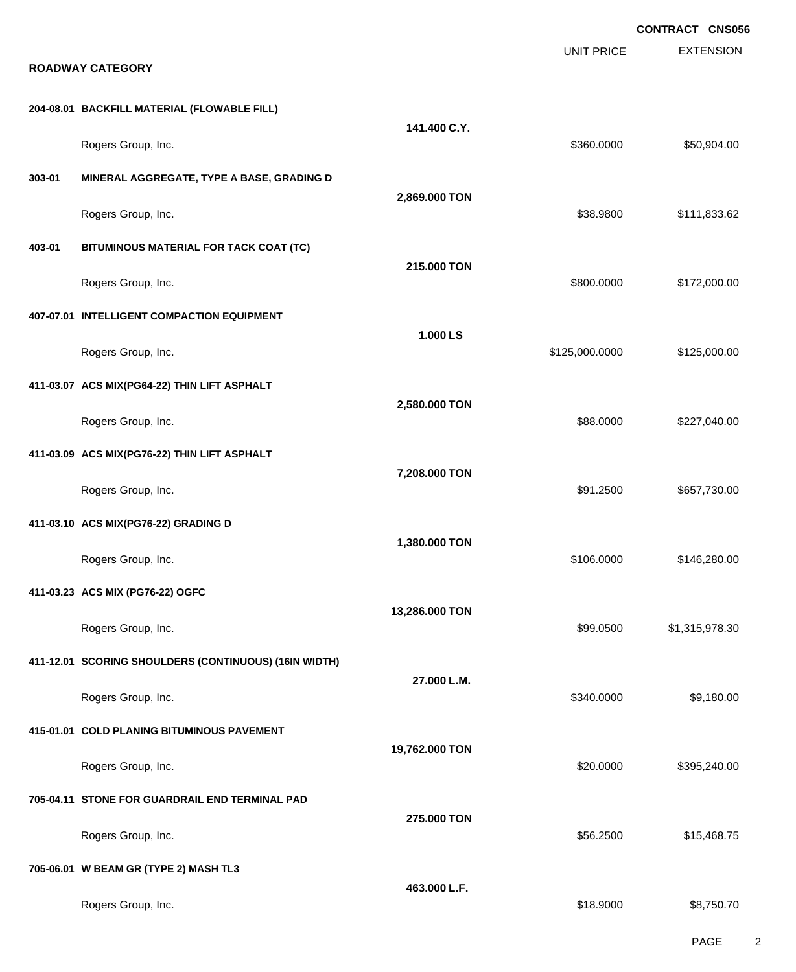|        |                                                              |                |                   | <b>CONTRACT CNS056</b> |
|--------|--------------------------------------------------------------|----------------|-------------------|------------------------|
|        | <b>ROADWAY CATEGORY</b>                                      |                | <b>UNIT PRICE</b> | <b>EXTENSION</b>       |
|        | 204-08.01 BACKFILL MATERIAL (FLOWABLE FILL)                  |                |                   |                        |
|        | Rogers Group, Inc.                                           | 141.400 C.Y.   | \$360.0000        | \$50,904.00            |
| 303-01 | MINERAL AGGREGATE, TYPE A BASE, GRADING D                    |                |                   |                        |
|        |                                                              | 2,869.000 TON  |                   |                        |
| 403-01 | Rogers Group, Inc.<br>BITUMINOUS MATERIAL FOR TACK COAT (TC) |                | \$38.9800         | \$111,833.62           |
|        |                                                              | 215.000 TON    |                   |                        |
|        | Rogers Group, Inc.                                           |                | \$800.0000        | \$172,000.00           |
|        | 407-07.01 INTELLIGENT COMPACTION EQUIPMENT                   | 1.000 LS       |                   |                        |
|        | Rogers Group, Inc.                                           |                | \$125,000.0000    | \$125,000.00           |
|        | 411-03.07 ACS MIX(PG64-22) THIN LIFT ASPHALT                 | 2,580.000 TON  |                   |                        |
|        | Rogers Group, Inc.                                           |                | \$88.0000         | \$227,040.00           |
|        | 411-03.09 ACS MIX(PG76-22) THIN LIFT ASPHALT                 | 7,208.000 TON  |                   |                        |
|        | Rogers Group, Inc.                                           |                | \$91.2500         | \$657,730.00           |
|        | 411-03.10 ACS MIX(PG76-22) GRADING D                         | 1,380.000 TON  |                   |                        |
|        | Rogers Group, Inc.                                           |                | \$106.0000        | \$146,280.00           |
|        | 411-03.23 ACS MIX (PG76-22) OGFC                             | 13,286.000 TON |                   |                        |
|        | Rogers Group, Inc.                                           |                | \$99.0500         | \$1,315,978.30         |
|        | 411-12.01 SCORING SHOULDERS (CONTINUOUS) (16IN WIDTH)        | 27.000 L.M.    |                   |                        |
|        | Rogers Group, Inc.                                           |                | \$340.0000        | \$9,180.00             |
|        | 415-01.01 COLD PLANING BITUMINOUS PAVEMENT                   | 19,762.000 TON |                   |                        |
|        | Rogers Group, Inc.                                           |                | \$20.0000         | \$395,240.00           |
|        | 705-04.11 STONE FOR GUARDRAIL END TERMINAL PAD               | 275.000 TON    |                   |                        |
|        | Rogers Group, Inc.                                           |                | \$56.2500         | \$15,468.75            |
|        | 705-06.01 W BEAM GR (TYPE 2) MASH TL3                        | 463.000 L.F.   |                   |                        |
|        | Rogers Group, Inc.                                           |                | \$18.9000         | \$8,750.70             |

PAGE 2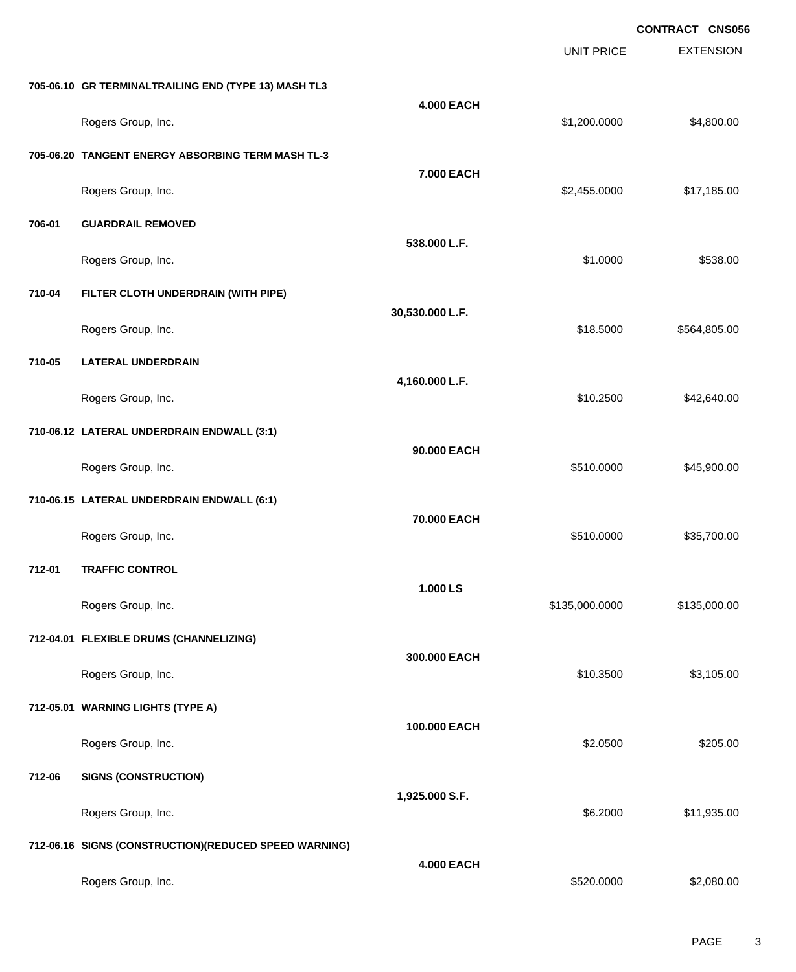|        |                                                        |                   |                   | <b>CONTRACT CNS056</b> |
|--------|--------------------------------------------------------|-------------------|-------------------|------------------------|
|        |                                                        |                   | <b>UNIT PRICE</b> | <b>EXTENSION</b>       |
|        | 705-06.10 GR TERMINALTRAILING END (TYPE 13) MASH TL3   |                   |                   |                        |
|        | Rogers Group, Inc.                                     | <b>4.000 EACH</b> | \$1,200.0000      | \$4,800.00             |
|        | 705-06.20 TANGENT ENERGY ABSORBING TERM MASH TL-3      |                   |                   |                        |
|        | Rogers Group, Inc.                                     | 7.000 EACH        | \$2,455.0000      | \$17,185.00            |
| 706-01 | <b>GUARDRAIL REMOVED</b>                               |                   |                   |                        |
|        | Rogers Group, Inc.                                     | 538.000 L.F.      | \$1.0000          | \$538.00               |
| 710-04 | FILTER CLOTH UNDERDRAIN (WITH PIPE)                    |                   |                   |                        |
|        | Rogers Group, Inc.                                     | 30,530.000 L.F.   | \$18.5000         | \$564,805.00           |
| 710-05 | <b>LATERAL UNDERDRAIN</b>                              |                   |                   |                        |
|        | Rogers Group, Inc.                                     | 4,160.000 L.F.    | \$10.2500         | \$42,640.00            |
|        | 710-06.12 LATERAL UNDERDRAIN ENDWALL (3:1)             |                   |                   |                        |
|        | Rogers Group, Inc.                                     | 90.000 EACH       | \$510.0000        | \$45,900.00            |
|        | 710-06.15 LATERAL UNDERDRAIN ENDWALL (6:1)             |                   |                   |                        |
|        | Rogers Group, Inc.                                     | 70.000 EACH       | \$510.0000        | \$35,700.00            |
| 712-01 | <b>TRAFFIC CONTROL</b>                                 |                   |                   |                        |
|        | Rogers Group, Inc.                                     | 1.000 LS          | \$135,000.0000    | \$135,000.00           |
|        | 712-04.01 FLEXIBLE DRUMS (CHANNELIZING)                |                   |                   |                        |
|        | Rogers Group, Inc.                                     | 300.000 EACH      | \$10.3500         | \$3,105.00             |
|        | 712-05.01 WARNING LIGHTS (TYPE A)                      |                   |                   |                        |
|        | Rogers Group, Inc.                                     | 100.000 EACH      | \$2.0500          | \$205.00               |
| 712-06 | <b>SIGNS (CONSTRUCTION)</b>                            |                   |                   |                        |
|        | Rogers Group, Inc.                                     | 1,925.000 S.F.    | \$6.2000          | \$11,935.00            |
|        | 712-06.16 SIGNS (CONSTRUCTION) (REDUCED SPEED WARNING) |                   |                   |                        |
|        | Rogers Group, Inc.                                     | <b>4.000 EACH</b> | \$520.0000        | \$2,080.00             |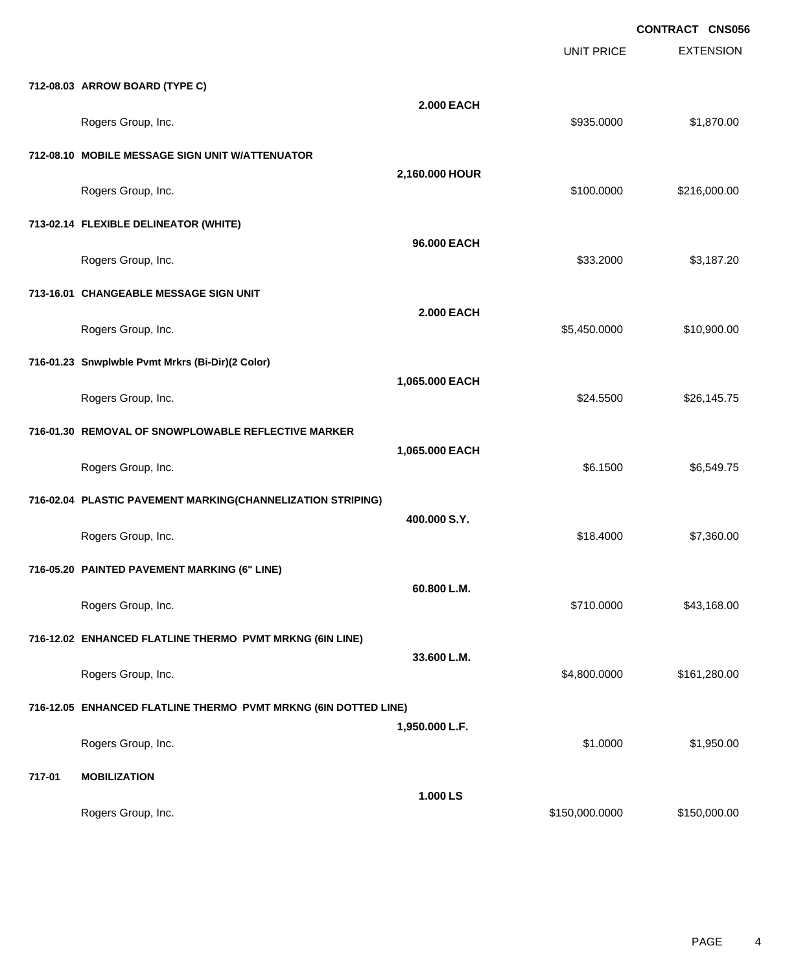|        |                                                                 |                   | <b>UNIT PRICE</b> | <b>CONTRACT CNS056</b><br><b>EXTENSION</b> |
|--------|-----------------------------------------------------------------|-------------------|-------------------|--------------------------------------------|
|        | 712-08.03 ARROW BOARD (TYPE C)                                  |                   |                   |                                            |
|        | Rogers Group, Inc.                                              | <b>2.000 EACH</b> | \$935.0000        | \$1,870.00                                 |
|        | 712-08.10 MOBILE MESSAGE SIGN UNIT W/ATTENUATOR                 |                   |                   |                                            |
|        | Rogers Group, Inc.                                              | 2,160.000 HOUR    | \$100.0000        | \$216,000.00                               |
|        | 713-02.14 FLEXIBLE DELINEATOR (WHITE)                           | 96.000 EACH       |                   |                                            |
|        | Rogers Group, Inc.                                              |                   | \$33.2000         | \$3,187.20                                 |
|        | 713-16.01 CHANGEABLE MESSAGE SIGN UNIT                          | <b>2.000 EACH</b> |                   |                                            |
|        | Rogers Group, Inc.                                              |                   | \$5,450.0000      | \$10,900.00                                |
|        | 716-01.23 Snwplwble Pvmt Mrkrs (Bi-Dir)(2 Color)                | 1,065.000 EACH    |                   |                                            |
|        | Rogers Group, Inc.                                              |                   | \$24.5500         | \$26,145.75                                |
|        | 716-01.30 REMOVAL OF SNOWPLOWABLE REFLECTIVE MARKER             | 1,065.000 EACH    |                   |                                            |
|        | Rogers Group, Inc.                                              |                   | \$6.1500          | \$6,549.75                                 |
|        | 716-02.04 PLASTIC PAVEMENT MARKING(CHANNELIZATION STRIPING)     | 400.000 S.Y.      |                   |                                            |
|        | Rogers Group, Inc.                                              |                   | \$18.4000         | \$7,360.00                                 |
|        | 716-05.20 PAINTED PAVEMENT MARKING (6" LINE)                    | 60.800 L.M.       |                   |                                            |
|        | Rogers Group, Inc.                                              |                   | \$710.0000        | \$43,168.00                                |
|        | 716-12.02 ENHANCED FLATLINE THERMO PVMT MRKNG (6IN LINE)        | 33.600 L.M.       |                   |                                            |
|        | Rogers Group, Inc.                                              |                   | \$4,800.0000      | \$161,280.00                               |
|        | 716-12.05 ENHANCED FLATLINE THERMO PVMT MRKNG (6IN DOTTED LINE) | 1,950.000 L.F.    |                   |                                            |
|        | Rogers Group, Inc.                                              |                   | \$1.0000          | \$1,950.00                                 |
| 717-01 | <b>MOBILIZATION</b>                                             | 1.000 LS          |                   |                                            |
|        | Rogers Group, Inc.                                              |                   | \$150,000.0000    | \$150,000.00                               |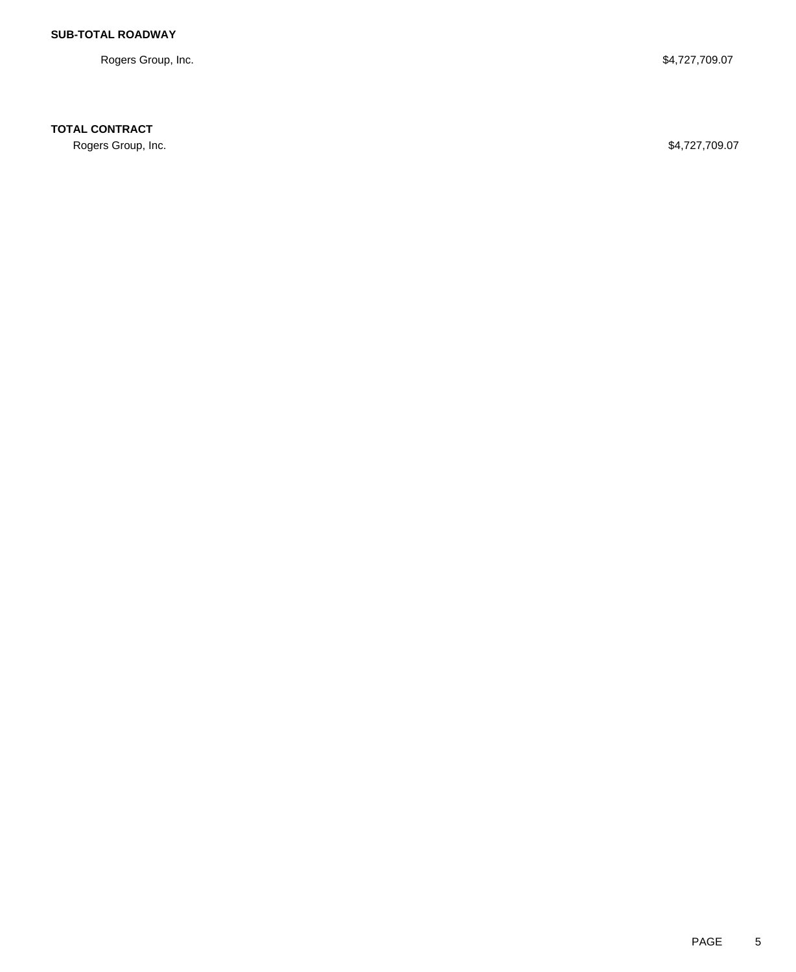Rogers Group, Inc. \$4,727,709.07

**TOTAL CONTRACT**

Rogers Group, Inc. \$4,727,709.07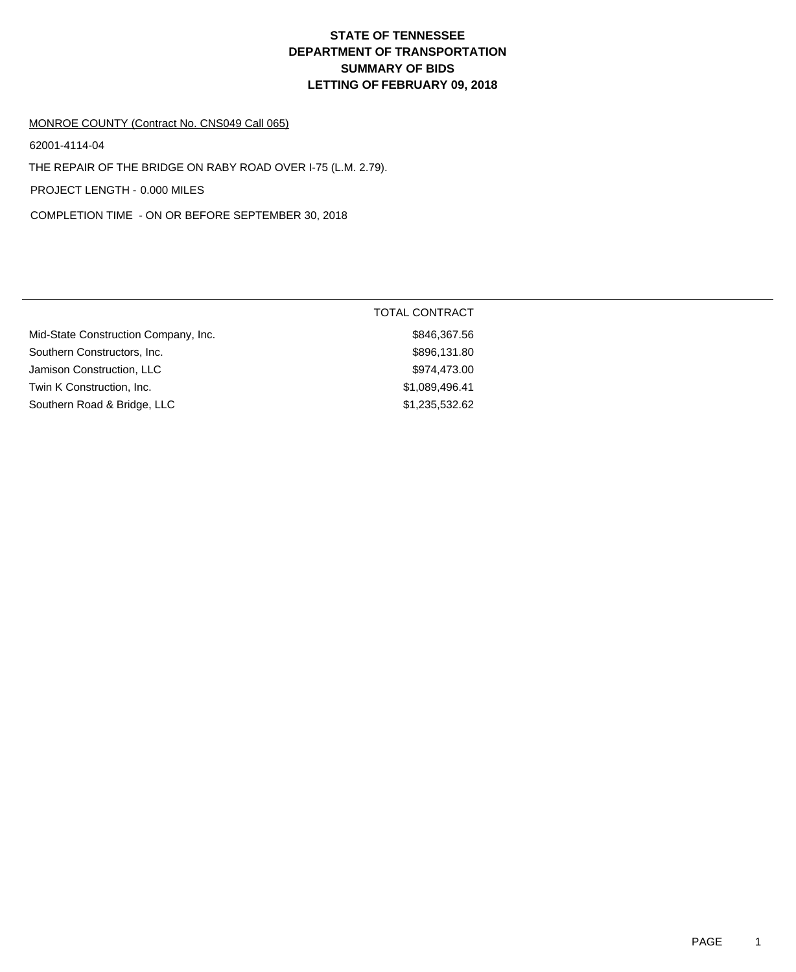#### MONROE COUNTY (Contract No. CNS049 Call 065)

62001-4114-04

THE REPAIR OF THE BRIDGE ON RABY ROAD OVER I-75 (L.M. 2.79).

PROJECT LENGTH - 0.000 MILES

COMPLETION TIME - ON OR BEFORE SEPTEMBER 30, 2018

|                                      | TOTAL CONTRACT |
|--------------------------------------|----------------|
| Mid-State Construction Company, Inc. | \$846,367.56   |
| Southern Constructors, Inc.          | \$896,131.80   |
| Jamison Construction, LLC            | \$974,473.00   |
| Twin K Construction, Inc.            | \$1,089,496.41 |
| Southern Road & Bridge, LLC          | \$1,235,532.62 |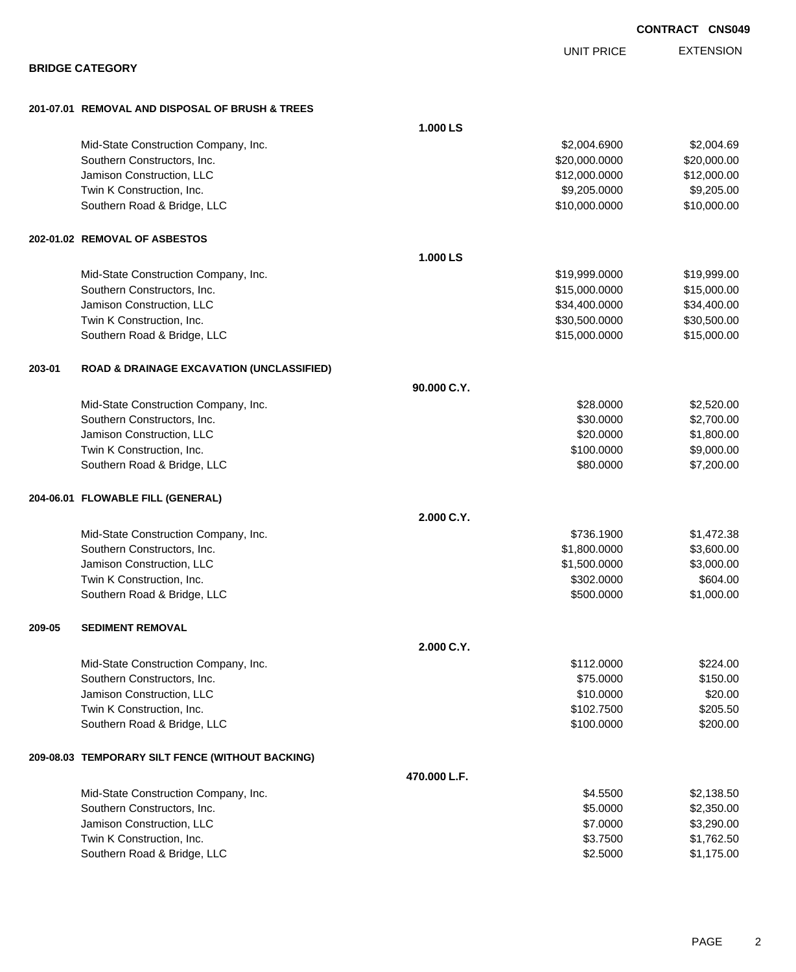**BRIDGE CATEGORY 201-07.01 REMOVAL AND DISPOSAL OF BRUSH & TREES 1.000 LS** Mid-State Construction Company, Inc. 69 and the state of the state of the state of the state Construction Company, Inc. Southern Constructors, Inc. 620,000.000 \$20,000.000 \$20,000.000 \$20,000.000 \$20,000.000 \$20,000.00 Jamison Construction, LLC \$12,000.0000 \$12,000.00 Twin K Construction, Inc. 69,205.000 \$9,205.000 \$9,205.000 \$9,205.000 \$9,205.000 \$9,205.000 \$9,205.00 Southern Road & Bridge, LLC 6. The Studies of the Studies of the Studies of Studies and Studies and Studies of Studies and Studies and Studies and Studies and Studies and Studies and Studies and Studies and Studies and Stu **202-01.02 REMOVAL OF ASBESTOS 1.000 LS** Mid-State Construction Company, Inc.  $$19,999.0000$  \$19,999.000 \$19,999.00 Southern Constructors, Inc. 6. 2012 12:00:000 \$15,000.000 \$15,000.000 \$15,000.000 \$15,000.00 Jamison Construction, LLC \$34,400.0000 \$34,400.00 Twin K Construction, Inc. 630,500.000 \$30,500.000 \$30,500.000 \$30,500.000 \$30,500.000 \$30,500.00 Southern Road & Bridge, LLC 6. 2010 12:00000 \$15,000.0000 \$15,000.000 \$15,000.000 **203-01 ROAD & DRAINAGE EXCAVATION (UNCLASSIFIED) 90.000 C.Y.** Mid-State Construction Company, Inc. 6. The Construction Company, Inc. 6. The Construction Company, Inc. 6. The Construction Company, Inc. 6. The Construction Company, Inc. 6. The Construction Company, Inc. 6. The Construc Southern Constructors, Inc. 6. The Constructors, Inc. 6. The Constructors, Inc. 6. The Constructors, Inc. 6. S2,700.00 Jamison Construction, LLC 6. The Construction of the Construction of the Construction, LLC 6. The Construction of the Construction of the Construction of the Construction of the Construction of the Construction of the Cons Twin K Construction, Inc. 6. The state of the state of the state of the state of the state of the state of the state of the state of the state of the state of the state of the state of the state of the state of the state o Southern Road & Bridge, LLC 60000 \$7,200.00 **204-06.01 FLOWABLE FILL (GENERAL) 2.000 C.Y.** Mid-State Construction Company, Inc. 6. The Construction Company, Inc. 6. The Construction Company, Inc. 6. The Construction Company, Inc. 6. The Construction Company, Inc. 6. The Construction Company, Inc. 6. The Construc Southern Constructors, Inc. 6. The Constructors, Inc. 6. The Constructors, Inc. 6. The Constructors, Inc. 6. The Constructors of the Constructors, Inc. 6. The Constructors of the Constructors, Inc. 6. The Constructors of t Jamison Construction, LLC \$1,500.0000 \$3,000.00 Twin K Construction, Inc. 6604.00 Southern Road & Bridge, LLC 6 and 51,000.00 \$1,000.00 \$1,000.00 \$1,000.00 **209-05 SEDIMENT REMOVAL 2.000 C.Y.** Mid-State Construction Company, Inc. 6. The Construction Company, Inc. 6. The Construction Company, Inc. 6. The Construction Company, Inc. 6. The Construction Company, Inc. 6. The Construction Company, Inc. 6. The Construc Southern Constructors, Inc. 6. The Southern Constructors, Inc. 6. The Southern Constructors, Inc. 6. The Southern Constructors, Inc. 6. The Southern Constructors, Inc. 6. The Southern Constructors, Inc. 6. The Southern Con Jamison Construction, LLC \$10.0000 \$20.00 Twin K Construction, Inc. \$205.50 Southern Road & Bridge, LLC 60000 \$200.000 \$200.000 \$200.000 \$200.000 \$200.000 \$200.00 **209-08.03 TEMPORARY SILT FENCE (WITHOUT BACKING) 470.000 L.F.** Mid-State Construction Company, Inc. 6. The Construction Company, Inc. 6. The Construction Company, Inc. 6. The Construction Company, Inc. 6. The Construction Company, Inc. 6. The Construction Company, Inc. 6. The Construc Southern Constructors, Inc. 6. The Constructors of the Constructors, Inc. 6. The Constructors, Inc. 6. The Constructors of the Constructors of the Constructors, Inc. 6. The Constructors of the Constructors of the Construct Jamison Construction, LLC \$7.0000 \$3,290.00

Twin K Construction, Inc. 6. The Superior of the Superior of the State of the State of State of State of State of State of State of State of State of State of State of State of State of State of State of State of State of Southern Road & Bridge, LLC 6 and the state of the state of the state of the state of the state of the state of the state of the state of the state of the state of the state of the state of the state of the state of the st

**CONTRACT CNS049**

EXTENSION UNIT PRICE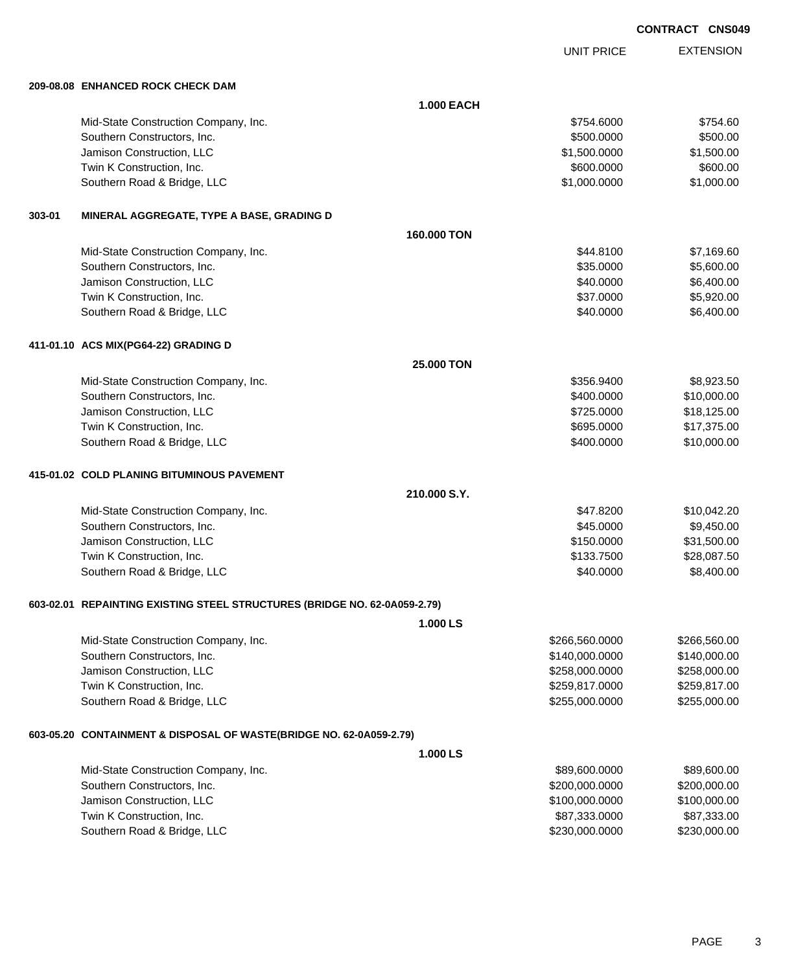UNIT PRICE

EXTENSION

**209-08.08 ENHANCED ROCK CHECK DAM**

|        | 209-08.08 ENHANCED ROCK CHECK DAM                                         |                   |                |              |  |
|--------|---------------------------------------------------------------------------|-------------------|----------------|--------------|--|
|        |                                                                           | <b>1.000 EACH</b> |                |              |  |
|        | Mid-State Construction Company, Inc.                                      |                   | \$754.6000     | \$754.60     |  |
|        | Southern Constructors, Inc.                                               |                   | \$500.0000     | \$500.00     |  |
|        | Jamison Construction, LLC                                                 |                   | \$1,500.0000   | \$1,500.00   |  |
|        | Twin K Construction, Inc.                                                 |                   | \$600.0000     | \$600.00     |  |
|        | Southern Road & Bridge, LLC                                               |                   | \$1,000.0000   | \$1,000.00   |  |
| 303-01 | MINERAL AGGREGATE, TYPE A BASE, GRADING D                                 |                   |                |              |  |
|        |                                                                           | 160,000 TON       |                |              |  |
|        | Mid-State Construction Company, Inc.                                      |                   | \$44.8100      | \$7,169.60   |  |
|        | Southern Constructors, Inc.                                               |                   | \$35.0000      | \$5,600.00   |  |
|        | Jamison Construction, LLC                                                 |                   | \$40.0000      | \$6,400.00   |  |
|        | Twin K Construction, Inc.                                                 |                   | \$37.0000      | \$5,920.00   |  |
|        | Southern Road & Bridge, LLC                                               |                   | \$40.0000      | \$6,400.00   |  |
|        | 411-01.10 ACS MIX(PG64-22) GRADING D                                      |                   |                |              |  |
|        |                                                                           | 25.000 TON        |                |              |  |
|        | Mid-State Construction Company, Inc.                                      |                   | \$356.9400     | \$8,923.50   |  |
|        | Southern Constructors, Inc.                                               |                   | \$400.0000     | \$10,000.00  |  |
|        | Jamison Construction, LLC                                                 |                   | \$725.0000     | \$18,125.00  |  |
|        | Twin K Construction, Inc.                                                 |                   | \$695.0000     | \$17,375.00  |  |
|        | Southern Road & Bridge, LLC                                               |                   | \$400.0000     | \$10,000.00  |  |
|        | 415-01.02 COLD PLANING BITUMINOUS PAVEMENT                                |                   |                |              |  |
|        |                                                                           | 210,000 S.Y.      |                |              |  |
|        | Mid-State Construction Company, Inc.                                      |                   | \$47.8200      | \$10,042.20  |  |
|        | Southern Constructors, Inc.                                               |                   | \$45.0000      | \$9,450.00   |  |
|        | Jamison Construction, LLC                                                 |                   | \$150.0000     | \$31,500.00  |  |
|        | Twin K Construction, Inc.                                                 |                   | \$133.7500     | \$28,087.50  |  |
|        | Southern Road & Bridge, LLC                                               |                   | \$40.0000      | \$8,400.00   |  |
|        | 603-02.01 REPAINTING EXISTING STEEL STRUCTURES (BRIDGE NO. 62-0A059-2.79) |                   |                |              |  |
|        |                                                                           | 1.000 LS          |                |              |  |
|        | Mid-State Construction Company, Inc.                                      |                   | \$266,560.0000 | \$266,560.00 |  |
|        | Southern Constructors, Inc.                                               |                   | \$140,000.0000 | \$140,000.00 |  |
|        | Jamison Construction, LLC                                                 |                   | \$258,000.0000 | \$258,000.00 |  |
|        | Twin K Construction, Inc.                                                 |                   | \$259,817.0000 | \$259,817.00 |  |
|        | Southern Road & Bridge, LLC                                               |                   | \$255,000.0000 | \$255,000.00 |  |
|        | 603-05.20 CONTAINMENT & DISPOSAL OF WASTE(BRIDGE NO. 62-0A059-2.79)       |                   |                |              |  |
|        |                                                                           | 1.000 LS          |                |              |  |
|        | Mid-State Construction Company, Inc.                                      |                   | \$89,600.0000  | \$89,600.00  |  |
|        | Southern Constructors, Inc.                                               |                   | \$200,000.0000 | \$200,000.00 |  |
|        | Jamison Construction, LLC                                                 |                   | \$100,000.0000 | \$100,000.00 |  |
|        | Twin K Construction, Inc.                                                 |                   | \$87,333.0000  | \$87,333.00  |  |
|        | Southern Road & Bridge, LLC                                               |                   | \$230,000.0000 | \$230,000.00 |  |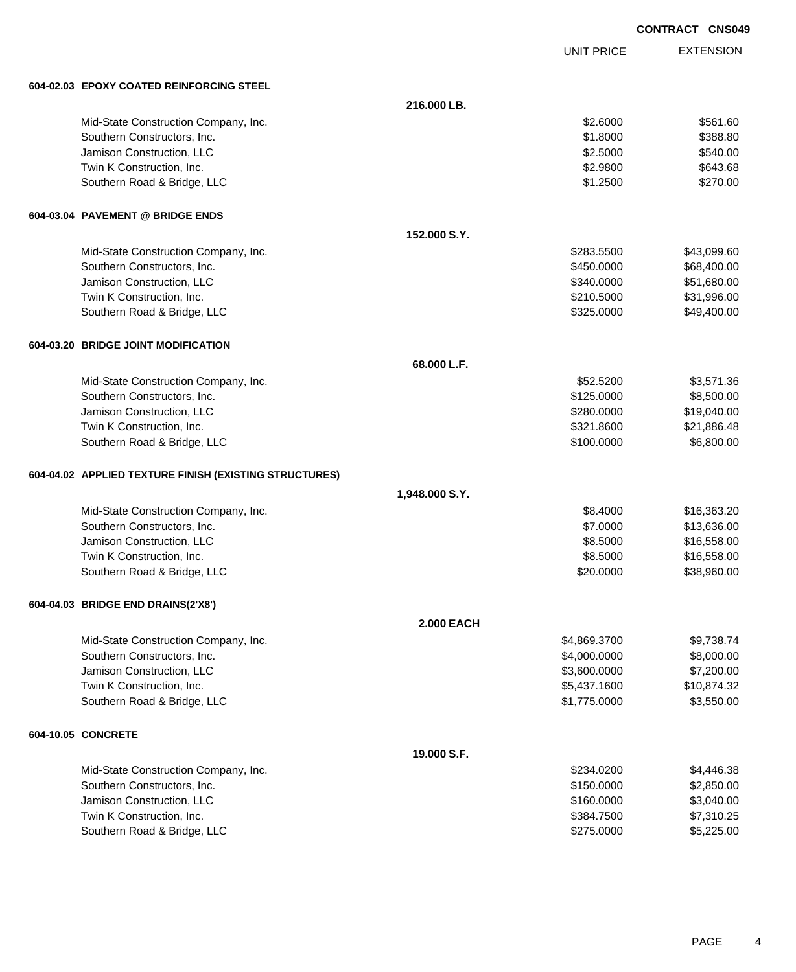|                                                        |                   |                   | <b>CONTRACT CNS04</b> |
|--------------------------------------------------------|-------------------|-------------------|-----------------------|
|                                                        |                   | <b>UNIT PRICE</b> | <b>EXTENSION</b>      |
| 604-02.03 EPOXY COATED REINFORCING STEEL               |                   |                   |                       |
|                                                        | 216.000 LB.       |                   |                       |
| Mid-State Construction Company, Inc.                   |                   | \$2.6000          | \$561.60              |
| Southern Constructors, Inc.                            |                   | \$1.8000          | \$388.80              |
| Jamison Construction, LLC                              |                   | \$2.5000          | \$540.00              |
| Twin K Construction, Inc.                              |                   | \$2.9800          | \$643.68              |
| Southern Road & Bridge, LLC                            |                   | \$1.2500          | \$270.00              |
| 604-03.04 PAVEMENT @ BRIDGE ENDS                       |                   |                   |                       |
|                                                        | 152,000 S.Y.      |                   |                       |
| Mid-State Construction Company, Inc.                   |                   | \$283.5500        | \$43,099.60           |
| Southern Constructors, Inc.                            |                   | \$450.0000        | \$68,400.00           |
| Jamison Construction, LLC                              |                   | \$340.0000        | \$51,680.00           |
| Twin K Construction, Inc.                              |                   | \$210.5000        | \$31,996.00           |
| Southern Road & Bridge, LLC                            |                   | \$325.0000        | \$49,400.00           |
| 604-03.20 BRIDGE JOINT MODIFICATION                    |                   |                   |                       |
|                                                        | 68.000 L.F.       |                   |                       |
| Mid-State Construction Company, Inc.                   |                   | \$52.5200         | \$3,571.36            |
| Southern Constructors, Inc.                            |                   | \$125.0000        | \$8,500.00            |
| Jamison Construction, LLC                              |                   | \$280.0000        | \$19,040.00           |
| Twin K Construction, Inc.                              |                   | \$321.8600        | \$21,886.48           |
| Southern Road & Bridge, LLC                            |                   | \$100.0000        | \$6,800.00            |
| 604-04.02 APPLIED TEXTURE FINISH (EXISTING STRUCTURES) |                   |                   |                       |
|                                                        | 1,948.000 S.Y.    |                   |                       |
| Mid-State Construction Company, Inc.                   |                   | \$8.4000          | \$16,363.20           |
| Southern Constructors, Inc.                            |                   | \$7.0000          | \$13,636.00           |
| Jamison Construction, LLC                              |                   | \$8,5000          | \$16,558.00           |
| Twin K Construction, Inc.                              |                   | \$8.5000          | \$16,558.00           |
| Southern Road & Bridge, LLC                            |                   | \$20.0000         | \$38,960.00           |
| 604-04.03 BRIDGE END DRAINS(2'X8')                     |                   |                   |                       |
|                                                        | <b>2.000 EACH</b> |                   |                       |
| Mid-State Construction Company, Inc.                   |                   | \$4,869.3700      | \$9,738.74            |
| Southern Constructors, Inc.                            |                   | \$4,000.0000      | \$8,000.00            |
| Jamison Construction, LLC                              |                   | \$3,600.0000      | \$7,200.00            |
| Twin K Construction, Inc.                              |                   | \$5,437.1600      | \$10,874.32           |
| Southern Road & Bridge, LLC                            |                   | \$1,775.0000      | \$3,550.00            |
| 604-10.05 CONCRETE                                     |                   |                   |                       |
|                                                        | 19.000 S.F.       |                   |                       |
| Mid-State Construction Company, Inc.                   |                   | \$234,0200        | \$4 446 38            |

| Mid-State Construction Company, Inc. | \$234.0200 | \$4,446,38 |
|--------------------------------------|------------|------------|
| Southern Constructors, Inc.          | \$150,0000 | \$2,850,00 |
| Jamison Construction, LLC            | \$160,0000 | \$3,040,00 |
| Twin K Construction, Inc.            | \$384.7500 | \$7.310.25 |
| Southern Road & Bridge, LLC          | \$275,0000 | \$5,225,00 |

049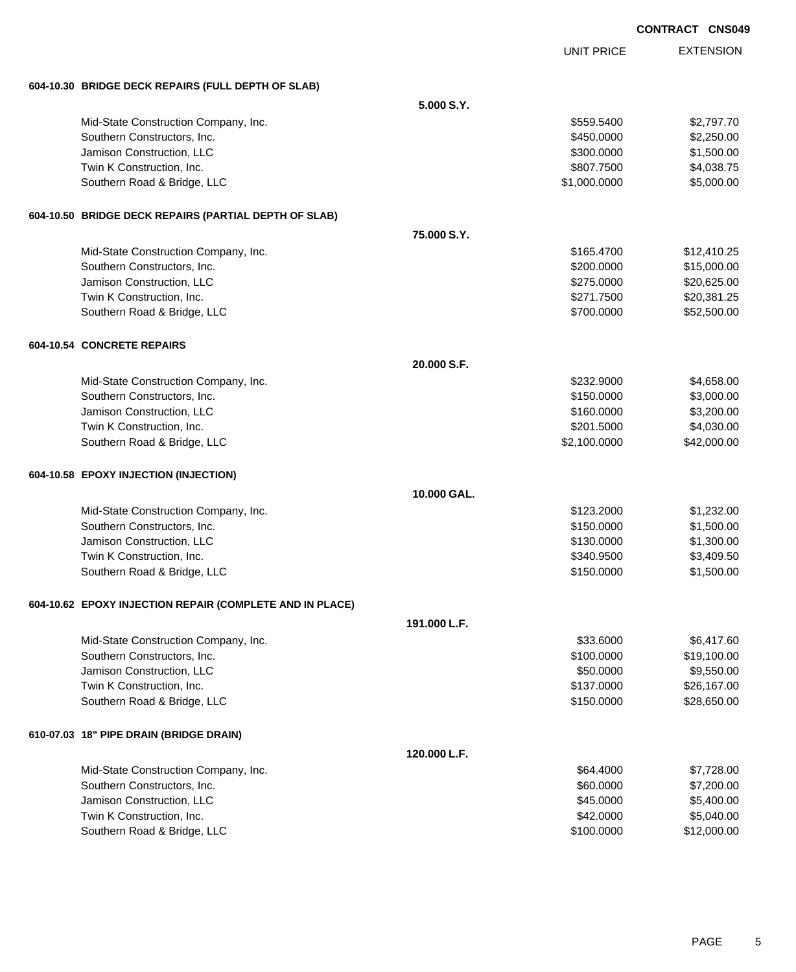|                                                          |              |                   | <b>CONTRACT CNS049</b> |
|----------------------------------------------------------|--------------|-------------------|------------------------|
|                                                          |              | <b>UNIT PRICE</b> | <b>EXTENSION</b>       |
| 604-10.30 BRIDGE DECK REPAIRS (FULL DEPTH OF SLAB)       |              |                   |                        |
|                                                          | 5.000 S.Y.   |                   |                        |
| Mid-State Construction Company, Inc.                     |              | \$559.5400        | \$2,797.70             |
| Southern Constructors, Inc.                              |              | \$450.0000        | \$2,250.00             |
| Jamison Construction, LLC                                |              | \$300.0000        | \$1,500.00             |
| Twin K Construction, Inc.                                |              | \$807.7500        | \$4,038.75             |
| Southern Road & Bridge, LLC                              |              | \$1,000.0000      | \$5,000.00             |
| 604-10.50 BRIDGE DECK REPAIRS (PARTIAL DEPTH OF SLAB)    |              |                   |                        |
|                                                          | 75.000 S.Y.  |                   |                        |
| Mid-State Construction Company, Inc.                     |              | \$165.4700        | \$12,410.25            |
| Southern Constructors, Inc.                              |              | \$200.0000        | \$15,000.00            |
| Jamison Construction, LLC                                |              | \$275.0000        | \$20,625.00            |
| Twin K Construction, Inc.                                |              | \$271.7500        | \$20,381.25            |
| Southern Road & Bridge, LLC                              |              | \$700.0000        | \$52,500.00            |
| <b>604-10.54 CONCRETE REPAIRS</b>                        |              |                   |                        |
|                                                          | 20.000 S.F.  |                   |                        |
| Mid-State Construction Company, Inc.                     |              | \$232.9000        | \$4,658.00             |
| Southern Constructors, Inc.                              |              | \$150.0000        | \$3,000.00             |
| Jamison Construction, LLC                                |              | \$160.0000        | \$3,200.00             |
| Twin K Construction, Inc.                                |              | \$201.5000        | \$4,030.00             |
| Southern Road & Bridge, LLC                              |              | \$2,100.0000      | \$42,000.00            |
| 604-10.58 EPOXY INJECTION (INJECTION)                    |              |                   |                        |
|                                                          | 10.000 GAL.  |                   |                        |
| Mid-State Construction Company, Inc.                     |              | \$123.2000        | \$1,232.00             |
| Southern Constructors, Inc.                              |              | \$150.0000        | \$1,500.00             |
| Jamison Construction, LLC                                |              | \$130.0000        | \$1,300.00             |
| Twin K Construction, Inc.                                |              | \$340.9500        | \$3,409.50             |
| Southern Road & Bridge, LLC                              |              | \$150.0000        | \$1,500.00             |
| 604-10.62 EPOXY INJECTION REPAIR (COMPLETE AND IN PLACE) |              |                   |                        |
|                                                          | 191.000 L.F. |                   |                        |
| Mid-State Construction Company, Inc.                     |              | \$33.6000         | \$6,417.60             |
| Southern Constructors, Inc.                              |              | \$100.0000        | \$19,100.00            |
| Jamison Construction, LLC                                |              | \$50.0000         | \$9,550.00             |
| Twin K Construction, Inc.                                |              | \$137.0000        | \$26,167.00            |
| Southern Road & Bridge, LLC                              |              | \$150.0000        | \$28,650.00            |
| 610-07.03 18" PIPE DRAIN (BRIDGE DRAIN)                  |              |                   |                        |
|                                                          | 120.000 L.F. |                   |                        |
| Mid-State Construction Company, Inc.                     |              | \$64.4000         | \$7,728.00             |
| Southern Constructors, Inc.                              |              | \$60.0000         | \$7,200.00             |
| Jamison Construction, LLC                                |              | \$45.0000         | \$5,400.00             |
| Twin K Construction, Inc.                                |              | \$42.0000         | \$5,040.00             |

Southern Road & Bridge, LLC 6. 2008.000 \$100.0000 \$12,000.000 \$12,000.000 \$12,000.00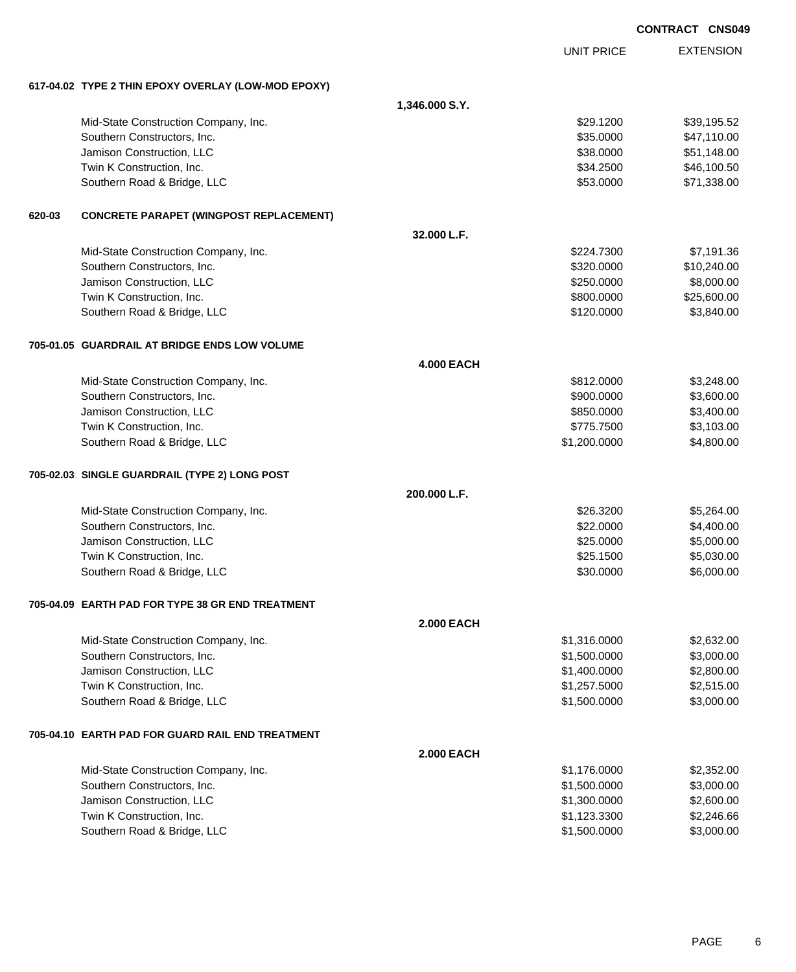|        |                                                     |                   |                   | <b>CONTRACT CNS049</b> |
|--------|-----------------------------------------------------|-------------------|-------------------|------------------------|
|        |                                                     |                   | <b>UNIT PRICE</b> | <b>EXTENSION</b>       |
|        | 617-04.02 TYPE 2 THIN EPOXY OVERLAY (LOW-MOD EPOXY) |                   |                   |                        |
|        |                                                     | 1,346.000 S.Y.    |                   |                        |
|        | Mid-State Construction Company, Inc.                |                   | \$29.1200         | \$39,195.52            |
|        | Southern Constructors, Inc.                         |                   | \$35.0000         | \$47,110.00            |
|        | Jamison Construction, LLC                           |                   | \$38.0000         | \$51,148.00            |
|        | Twin K Construction, Inc.                           |                   | \$34.2500         | \$46,100.50            |
|        | Southern Road & Bridge, LLC                         |                   | \$53.0000         | \$71,338.00            |
| 620-03 | <b>CONCRETE PARAPET (WINGPOST REPLACEMENT)</b>      |                   |                   |                        |
|        |                                                     | 32.000 L.F.       |                   |                        |
|        | Mid-State Construction Company, Inc.                |                   | \$224.7300        | \$7,191.36             |
|        | Southern Constructors, Inc.                         |                   | \$320.0000        | \$10,240.00            |
|        | Jamison Construction, LLC                           |                   | \$250.0000        | \$8,000.00             |
|        | Twin K Construction, Inc.                           |                   | \$800.0000        | \$25,600.00            |
|        | Southern Road & Bridge, LLC                         |                   | \$120.0000        | \$3,840.00             |
|        | 705-01.05 GUARDRAIL AT BRIDGE ENDS LOW VOLUME       |                   |                   |                        |
|        |                                                     | <b>4.000 EACH</b> |                   |                        |
|        | Mid-State Construction Company, Inc.                |                   | \$812.0000        | \$3,248.00             |
|        | Southern Constructors, Inc.                         |                   | \$900.0000        | \$3,600.00             |
|        | Jamison Construction, LLC                           |                   | \$850.0000        | \$3,400.00             |
|        | Twin K Construction, Inc.                           |                   | \$775.7500        | \$3,103.00             |
|        | Southern Road & Bridge, LLC                         |                   | \$1,200.0000      | \$4,800.00             |
|        | 705-02.03 SINGLE GUARDRAIL (TYPE 2) LONG POST       |                   |                   |                        |
|        |                                                     | 200.000 L.F.      |                   |                        |
|        | Mid-State Construction Company, Inc.                |                   | \$26.3200         | \$5,264.00             |
|        | Southern Constructors, Inc.                         |                   | \$22.0000         | \$4,400.00             |
|        | Jamison Construction, LLC                           |                   | \$25.0000         | \$5,000.00             |
|        | Twin K Construction, Inc.                           |                   | \$25.1500         | \$5,030.00             |
|        | Southern Road & Bridge, LLC                         |                   | \$30.0000         | \$6,000.00             |
|        | 705-04.09 EARTH PAD FOR TYPE 38 GR END TREATMENT    |                   |                   |                        |
|        |                                                     | <b>2.000 EACH</b> |                   |                        |
|        | Mid-State Construction Company, Inc.                |                   | \$1,316.0000      | \$2,632.00             |
|        | Southern Constructors, Inc.                         |                   | \$1,500.0000      | \$3,000.00             |
|        | Jamison Construction, LLC                           |                   | \$1,400.0000      | \$2,800.00             |
|        | Twin K Construction, Inc.                           |                   | \$1,257.5000      | \$2,515.00             |
|        | Southern Road & Bridge, LLC                         |                   | \$1,500.0000      | \$3,000.00             |
|        | 705-04.10 EARTH PAD FOR GUARD RAIL END TREATMENT    |                   |                   |                        |
|        |                                                     | <b>2.000 EACH</b> |                   |                        |
|        | Mid-State Construction Company, Inc.                |                   | \$1,176.0000      | \$2,352.00             |
|        | Southern Constructors, Inc.                         |                   | \$1,500.0000      | \$3,000.00             |
|        | Jamison Construction, LLC                           |                   | \$1,300.0000      | \$2,600.00             |
|        | Twin K Construction, Inc.                           |                   | \$1,123.3300      | \$2,246.66             |
|        | Southern Road & Bridge, LLC                         |                   | \$1,500.0000      | \$3,000.00             |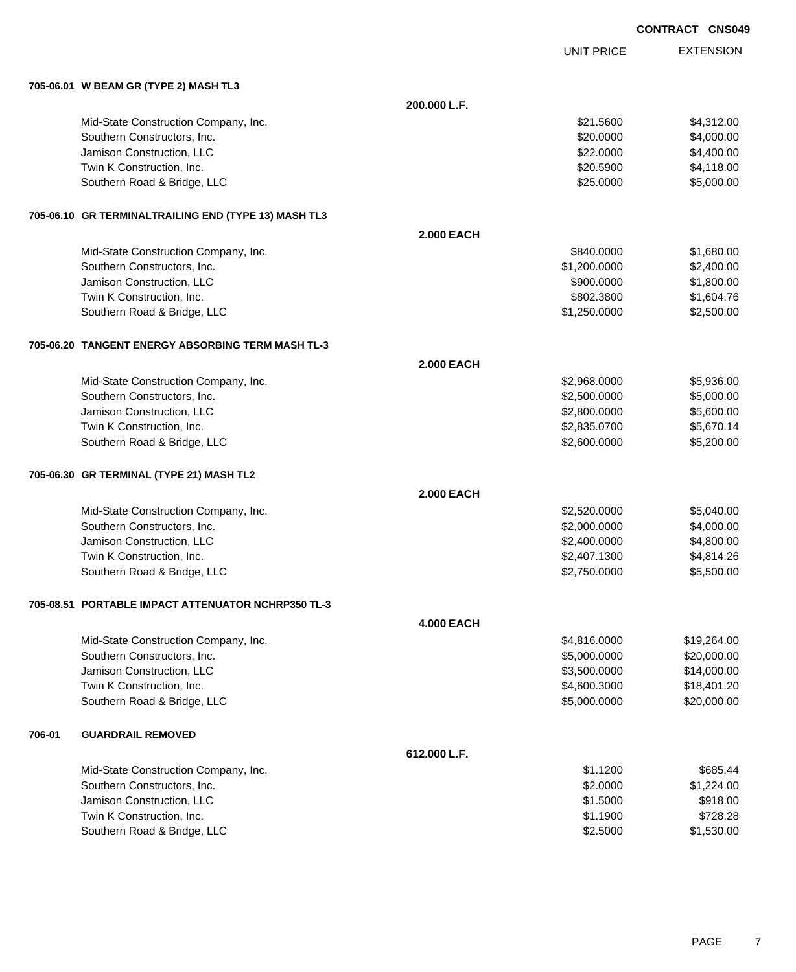|                                                      |                   |                   | <b>CONTRACT CNS049</b> |
|------------------------------------------------------|-------------------|-------------------|------------------------|
|                                                      |                   | <b>UNIT PRICE</b> | <b>EXTENSION</b>       |
| 705-06.01 W BEAM GR (TYPE 2) MASH TL3                |                   |                   |                        |
|                                                      | 200.000 L.F.      |                   |                        |
| Mid-State Construction Company, Inc.                 |                   | \$21.5600         | \$4,312.00             |
| Southern Constructors, Inc.                          |                   | \$20.0000         | \$4,000.00             |
| Jamison Construction, LLC                            |                   | \$22.0000         | \$4,400.00             |
| Twin K Construction, Inc.                            |                   | \$20,5900         | \$4,118.00             |
| Southern Road & Bridge, LLC                          |                   | \$25.0000         | \$5,000.00             |
| 705-06.10 GR TERMINALTRAILING END (TYPE 13) MASH TL3 |                   |                   |                        |
|                                                      | <b>2.000 EACH</b> |                   |                        |
| Mid-State Construction Company, Inc.                 |                   | \$840.0000        | \$1,680.00             |
| Southern Constructors, Inc.                          |                   | \$1,200.0000      | \$2,400.00             |
| Jamison Construction, LLC                            |                   | \$900.0000        | \$1,800.00             |
| Twin K Construction, Inc.                            |                   | \$802.3800        | \$1,604.76             |
| Southern Road & Bridge, LLC                          |                   | \$1,250.0000      | \$2,500.00             |
| 705-06.20 TANGENT ENERGY ABSORBING TERM MASH TL-3    |                   |                   |                        |
|                                                      | <b>2.000 EACH</b> |                   |                        |
| Mid-State Construction Company, Inc.                 |                   | \$2,968.0000      | \$5,936.00             |
| Southern Constructors, Inc.                          |                   | \$2,500.0000      | \$5,000.00             |
| Jamison Construction, LLC                            |                   | \$2,800.0000      | \$5,600.00             |
| Twin K Construction, Inc.                            |                   | \$2,835.0700      | \$5,670.14             |
| Southern Road & Bridge, LLC                          |                   | \$2,600.0000      | \$5,200.00             |
| 705-06.30 GR TERMINAL (TYPE 21) MASH TL2             |                   |                   |                        |
|                                                      | <b>2.000 EACH</b> |                   |                        |
| Mid-State Construction Company, Inc.                 |                   | \$2,520.0000      | \$5,040.00             |
| Southern Constructors, Inc.                          |                   | \$2,000.0000      | \$4,000.00             |
| Jamison Construction, LLC                            |                   | \$2,400.0000      | \$4,800.00             |
| Twin K Construction, Inc.                            |                   | \$2,407.1300      | \$4,814.26             |
| Southern Road & Bridge, LLC                          |                   | \$2,750.0000      | \$5,500.00             |
| 705-08.51 PORTABLE IMPACT ATTENUATOR NCHRP350 TL-3   |                   |                   |                        |
|                                                      | <b>4.000 EACH</b> |                   |                        |
| Mid-State Construction Company, Inc.                 |                   | \$4,816.0000      | \$19,264.00            |
| Southern Constructors, Inc.                          |                   | \$5,000.0000      | \$20,000.00            |
| Jamison Construction, LLC                            |                   | \$3,500.0000      | \$14,000.00            |
| Twin K Construction, Inc.                            |                   | \$4,600.3000      | \$18,401.20            |
| Southern Road & Bridge, LLC                          |                   | \$5,000.0000      | \$20,000.00            |

# **706-01 GUARDRAIL REMOVED**

| 612.000 L.F.                         |          |            |
|--------------------------------------|----------|------------|
| Mid-State Construction Company, Inc. | \$1.1200 | \$685.44   |
| Southern Constructors, Inc.          | \$2,0000 | \$1,224.00 |
| Jamison Construction, LLC            | \$1,5000 | \$918.00   |
| Twin K Construction, Inc.            | \$1.1900 | \$728.28   |
| Southern Road & Bridge, LLC          | \$2,5000 | \$1,530.00 |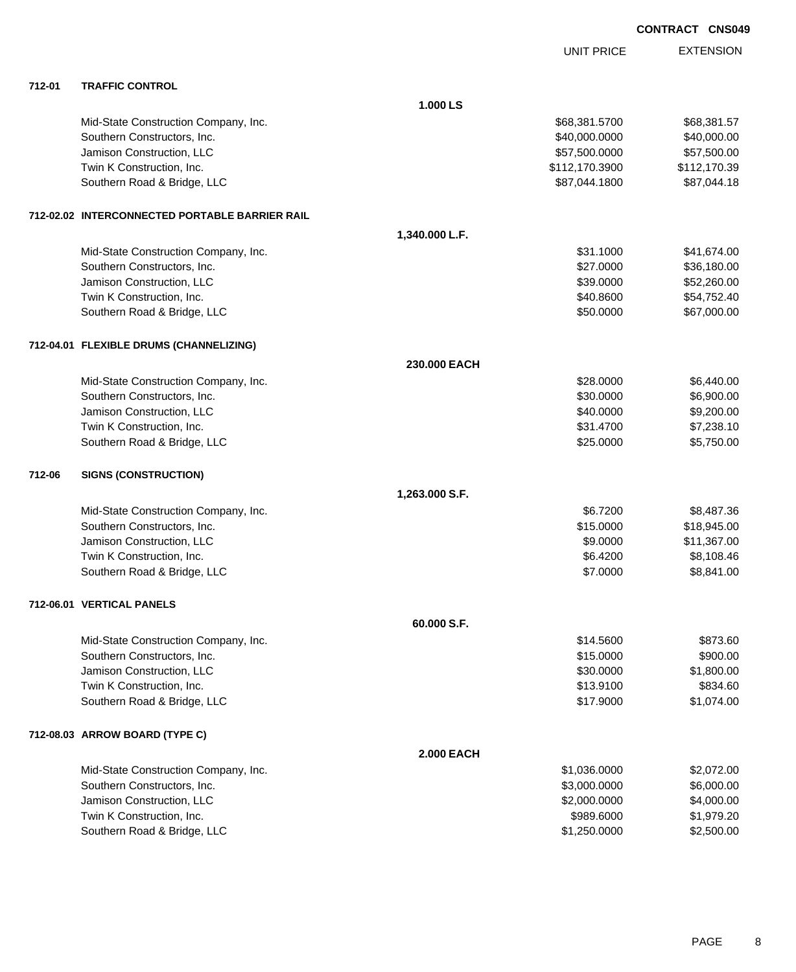|        |                                                |                   | <b>UNIT PRICE</b> | <b>EXTENSION</b> |
|--------|------------------------------------------------|-------------------|-------------------|------------------|
| 712-01 | <b>TRAFFIC CONTROL</b>                         |                   |                   |                  |
|        |                                                | 1.000 LS          |                   |                  |
|        | Mid-State Construction Company, Inc.           |                   | \$68,381.5700     | \$68,381.57      |
|        | Southern Constructors, Inc.                    |                   | \$40,000.0000     | \$40,000.00      |
|        | Jamison Construction, LLC                      |                   | \$57,500.0000     | \$57,500.00      |
|        | Twin K Construction, Inc.                      |                   | \$112,170.3900    | \$112,170.39     |
|        | Southern Road & Bridge, LLC                    |                   | \$87,044.1800     | \$87,044.18      |
|        | 712-02.02 INTERCONNECTED PORTABLE BARRIER RAIL |                   |                   |                  |
|        |                                                | 1,340.000 L.F.    |                   |                  |
|        | Mid-State Construction Company, Inc.           |                   | \$31.1000         | \$41,674.00      |
|        | Southern Constructors, Inc.                    |                   | \$27.0000         | \$36,180.00      |
|        | Jamison Construction, LLC                      |                   | \$39.0000         | \$52,260.00      |
|        | Twin K Construction, Inc.                      |                   | \$40.8600         | \$54,752.40      |
|        | Southern Road & Bridge, LLC                    |                   | \$50.0000         | \$67,000.00      |
|        | 712-04.01 FLEXIBLE DRUMS (CHANNELIZING)        |                   |                   |                  |
|        |                                                | 230,000 EACH      |                   |                  |
|        | Mid-State Construction Company, Inc.           |                   | \$28.0000         | \$6,440.00       |
|        | Southern Constructors, Inc.                    |                   | \$30.0000         | \$6,900.00       |
|        | Jamison Construction, LLC                      |                   | \$40.0000         | \$9,200.00       |
|        | Twin K Construction, Inc.                      |                   | \$31.4700         | \$7,238.10       |
|        | Southern Road & Bridge, LLC                    |                   | \$25.0000         | \$5,750.00       |
| 712-06 | <b>SIGNS (CONSTRUCTION)</b>                    |                   |                   |                  |
|        |                                                | 1,263.000 S.F.    |                   |                  |
|        | Mid-State Construction Company, Inc.           |                   | \$6.7200          | \$8,487.36       |
|        | Southern Constructors, Inc.                    |                   | \$15.0000         | \$18,945.00      |
|        | Jamison Construction, LLC                      |                   | \$9.0000          | \$11,367.00      |
|        | Twin K Construction, Inc.                      |                   | \$6.4200          | \$8,108.46       |
|        | Southern Road & Bridge, LLC                    |                   | \$7.0000          | \$8,841.00       |
|        | 712-06.01 VERTICAL PANELS                      |                   |                   |                  |
|        |                                                | 60.000 S.F.       |                   |                  |
|        | Mid-State Construction Company, Inc.           |                   | \$14.5600         | \$873.60         |
|        | Southern Constructors, Inc.                    |                   | \$15.0000         | \$900.00         |
|        | Jamison Construction, LLC                      |                   | \$30.0000         | \$1,800.00       |
|        | Twin K Construction, Inc.                      |                   | \$13.9100         | \$834.60         |
|        | Southern Road & Bridge, LLC                    |                   | \$17.9000         | \$1,074.00       |
|        | 712-08.03 ARROW BOARD (TYPE C)                 |                   |                   |                  |
|        |                                                | <b>2.000 EACH</b> |                   |                  |
|        | Mid-State Construction Company, Inc.           |                   | \$1,036.0000      | \$2,072.00       |
|        | Southern Constructors, Inc.                    |                   | \$3,000.0000      | \$6,000.00       |
|        | Jamison Construction, LLC                      |                   | \$2,000.0000      | \$4,000.00       |
|        | Twin K Construction, Inc.                      |                   | \$989.6000        | \$1,979.20       |
|        | Southern Road & Bridge, LLC                    |                   | \$1,250.0000      | \$2,500.00       |
|        |                                                |                   |                   |                  |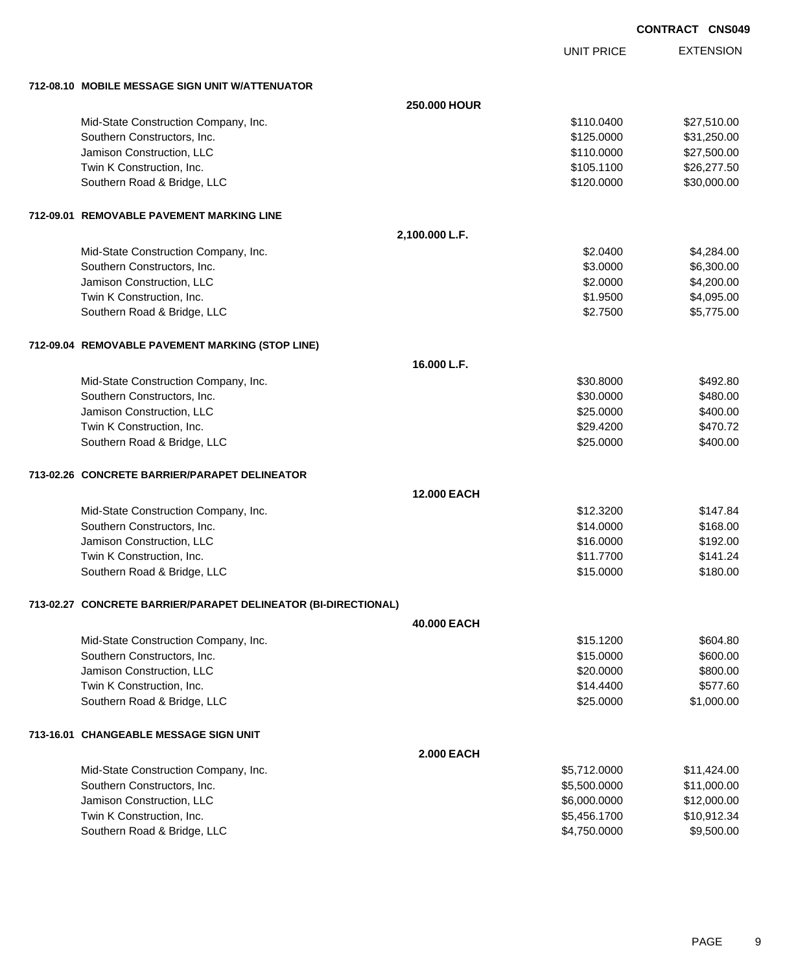UNIT PRICE

EXTENSION

| 712-08.10 MOBILE MESSAGE SIGN UNIT W/ATTENUATOR                |                    |              |             |  |  |
|----------------------------------------------------------------|--------------------|--------------|-------------|--|--|
|                                                                | 250,000 HOUR       |              |             |  |  |
| Mid-State Construction Company, Inc.                           |                    | \$110.0400   | \$27,510.00 |  |  |
| Southern Constructors, Inc.                                    |                    | \$125.0000   | \$31,250.00 |  |  |
| Jamison Construction, LLC                                      |                    | \$110.0000   | \$27,500.00 |  |  |
| Twin K Construction, Inc.                                      |                    | \$105.1100   | \$26,277.50 |  |  |
| Southern Road & Bridge, LLC                                    |                    | \$120.0000   | \$30,000.00 |  |  |
| 712-09.01 REMOVABLE PAVEMENT MARKING LINE                      |                    |              |             |  |  |
|                                                                | 2,100.000 L.F.     |              |             |  |  |
| Mid-State Construction Company, Inc.                           |                    | \$2,0400     | \$4,284.00  |  |  |
| Southern Constructors, Inc.                                    |                    | \$3.0000     | \$6,300.00  |  |  |
| Jamison Construction, LLC                                      |                    | \$2.0000     | \$4,200.00  |  |  |
| Twin K Construction, Inc.                                      |                    | \$1.9500     | \$4,095.00  |  |  |
| Southern Road & Bridge, LLC                                    |                    | \$2.7500     | \$5,775.00  |  |  |
| 712-09.04 REMOVABLE PAVEMENT MARKING (STOP LINE)               |                    |              |             |  |  |
|                                                                | 16.000 L.F.        |              |             |  |  |
| Mid-State Construction Company, Inc.                           |                    | \$30.8000    | \$492.80    |  |  |
| Southern Constructors, Inc.                                    |                    | \$30.0000    | \$480.00    |  |  |
| Jamison Construction, LLC                                      |                    | \$25.0000    | \$400.00    |  |  |
| Twin K Construction, Inc.                                      |                    | \$29.4200    | \$470.72    |  |  |
| Southern Road & Bridge, LLC                                    |                    | \$25.0000    | \$400.00    |  |  |
| 713-02.26 CONCRETE BARRIER/PARAPET DELINEATOR                  |                    |              |             |  |  |
|                                                                | <b>12,000 EACH</b> |              |             |  |  |
| Mid-State Construction Company, Inc.                           |                    | \$12.3200    | \$147.84    |  |  |
| Southern Constructors, Inc.                                    |                    | \$14.0000    | \$168.00    |  |  |
| Jamison Construction, LLC                                      |                    | \$16.0000    | \$192.00    |  |  |
| Twin K Construction, Inc.                                      |                    | \$11.7700    | \$141.24    |  |  |
| Southern Road & Bridge, LLC                                    |                    | \$15.0000    | \$180.00    |  |  |
| 713-02.27 CONCRETE BARRIER/PARAPET DELINEATOR (BI-DIRECTIONAL) |                    |              |             |  |  |
|                                                                | 40.000 EACH        |              |             |  |  |
| Mid-State Construction Company, Inc.                           |                    | \$15.1200    | \$604.80    |  |  |
| Southern Constructors, Inc.                                    |                    | \$15.0000    | \$600.00    |  |  |
| Jamison Construction, LLC                                      |                    | \$20.0000    | \$800.00    |  |  |
| Twin K Construction, Inc.                                      |                    | \$14.4400    | \$577.60    |  |  |
| Southern Road & Bridge, LLC                                    |                    | \$25.0000    | \$1,000.00  |  |  |
| 713-16.01 CHANGEABLE MESSAGE SIGN UNIT                         |                    |              |             |  |  |
|                                                                | <b>2.000 EACH</b>  |              |             |  |  |
| Mid-State Construction Company, Inc.                           |                    | \$5,712.0000 | \$11,424.00 |  |  |
| Southern Constructors, Inc.                                    |                    | \$5,500.0000 | \$11,000.00 |  |  |
| Jamison Construction, LLC                                      |                    | \$6,000.0000 | \$12,000.00 |  |  |
| Twin K Construction, Inc.                                      |                    | \$5,456.1700 | \$10,912.34 |  |  |
| Southern Road & Bridge, LLC                                    |                    | \$4,750.0000 | \$9,500.00  |  |  |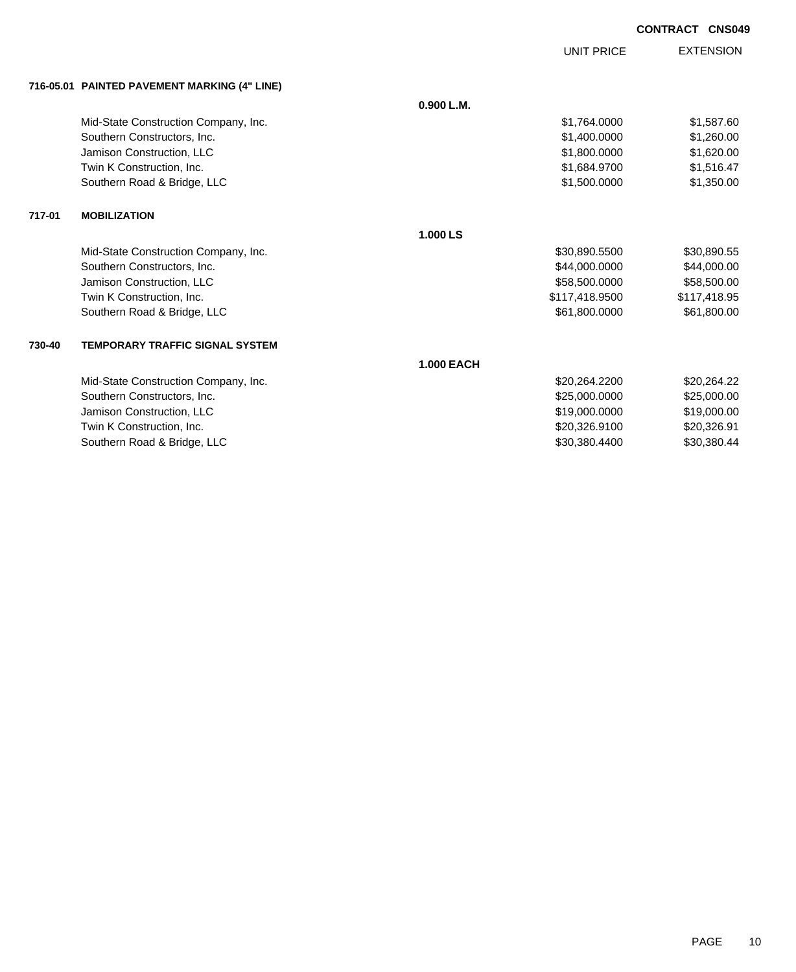UNIT PRICE

EXTENSION

| 716-05.01 PAINTED PAVEMENT MARKING (4" LINE) |  |
|----------------------------------------------|--|
|                                              |  |

|        | 716-05.01 PAINTED PAVEMENT MARKING (4 LINE) |                   |                |              |
|--------|---------------------------------------------|-------------------|----------------|--------------|
|        |                                             | 0.900 L.M.        |                |              |
|        | Mid-State Construction Company, Inc.        |                   | \$1,764.0000   | \$1,587.60   |
|        | Southern Constructors, Inc.                 |                   | \$1,400.0000   | \$1,260.00   |
|        | Jamison Construction, LLC                   |                   | \$1,800.0000   | \$1,620.00   |
|        | Twin K Construction, Inc.                   |                   | \$1,684.9700   | \$1,516.47   |
|        | Southern Road & Bridge, LLC                 |                   | \$1,500.0000   | \$1,350.00   |
| 717-01 | <b>MOBILIZATION</b>                         |                   |                |              |
|        |                                             | 1.000 LS          |                |              |
|        | Mid-State Construction Company, Inc.        |                   | \$30,890.5500  | \$30,890.55  |
|        | Southern Constructors, Inc.                 |                   | \$44,000.0000  | \$44,000.00  |
|        | Jamison Construction, LLC                   |                   | \$58,500.0000  | \$58,500.00  |
|        | Twin K Construction, Inc.                   |                   | \$117,418.9500 | \$117,418.95 |
|        | Southern Road & Bridge, LLC                 |                   | \$61,800.0000  | \$61,800.00  |
| 730-40 | <b>TEMPORARY TRAFFIC SIGNAL SYSTEM</b>      |                   |                |              |
|        |                                             | <b>1.000 EACH</b> |                |              |
|        | Mid-State Construction Company, Inc.        |                   | \$20,264.2200  | \$20,264.22  |
|        | Southern Constructors, Inc.                 |                   | \$25,000.0000  | \$25,000.00  |
|        | Jamison Construction, LLC                   |                   | \$19,000.0000  | \$19,000.00  |
|        | Twin K Construction, Inc.                   |                   | \$20,326.9100  | \$20,326.91  |
|        | Southern Road & Bridge, LLC                 |                   | \$30,380.4400  | \$30,380.44  |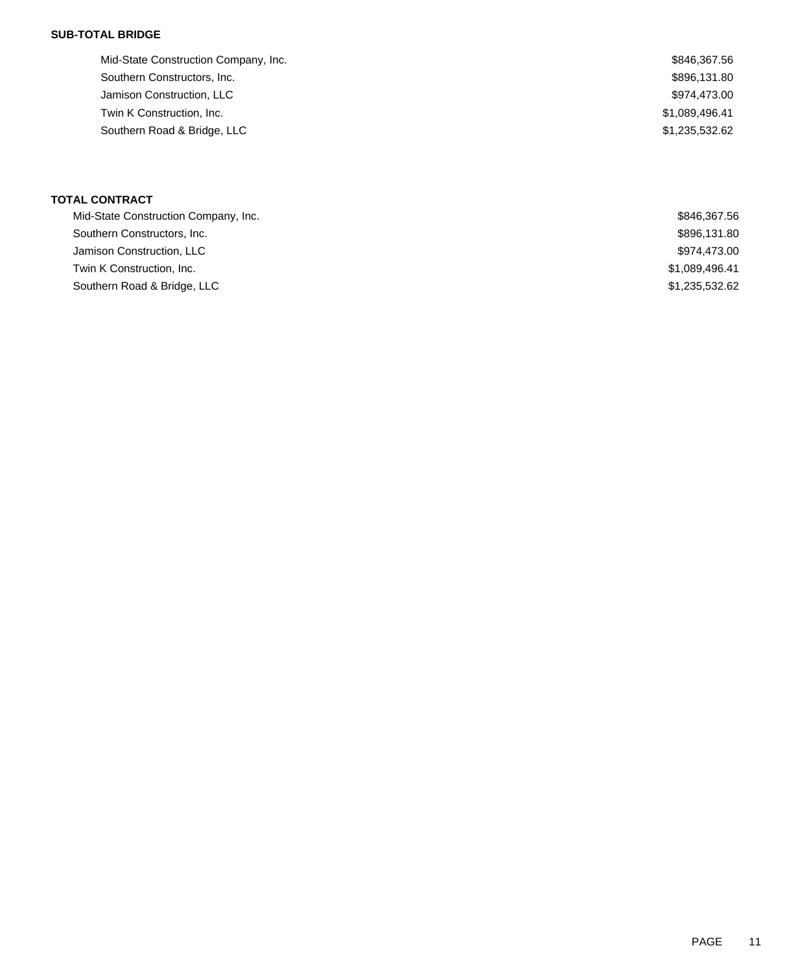### **SUB-TOTAL BRIDGE**

| Mid-State Construction Company, Inc. | \$846,367.56   |
|--------------------------------------|----------------|
| Southern Constructors, Inc.          | \$896,131.80   |
| Jamison Construction, LLC            | \$974,473.00   |
| Twin K Construction, Inc.            | \$1,089,496.41 |
| Southern Road & Bridge, LLC          | \$1,235,532.62 |
|                                      |                |

## **TOTAL CONTRACT**

| Mid-State Construction Company, Inc. | \$846,367.56   |
|--------------------------------------|----------------|
| Southern Constructors, Inc.          | \$896,131.80   |
| Jamison Construction, LLC            | \$974,473.00   |
| Twin K Construction, Inc.            | \$1,089,496.41 |
| Southern Road & Bridge, LLC          | \$1,235,532.62 |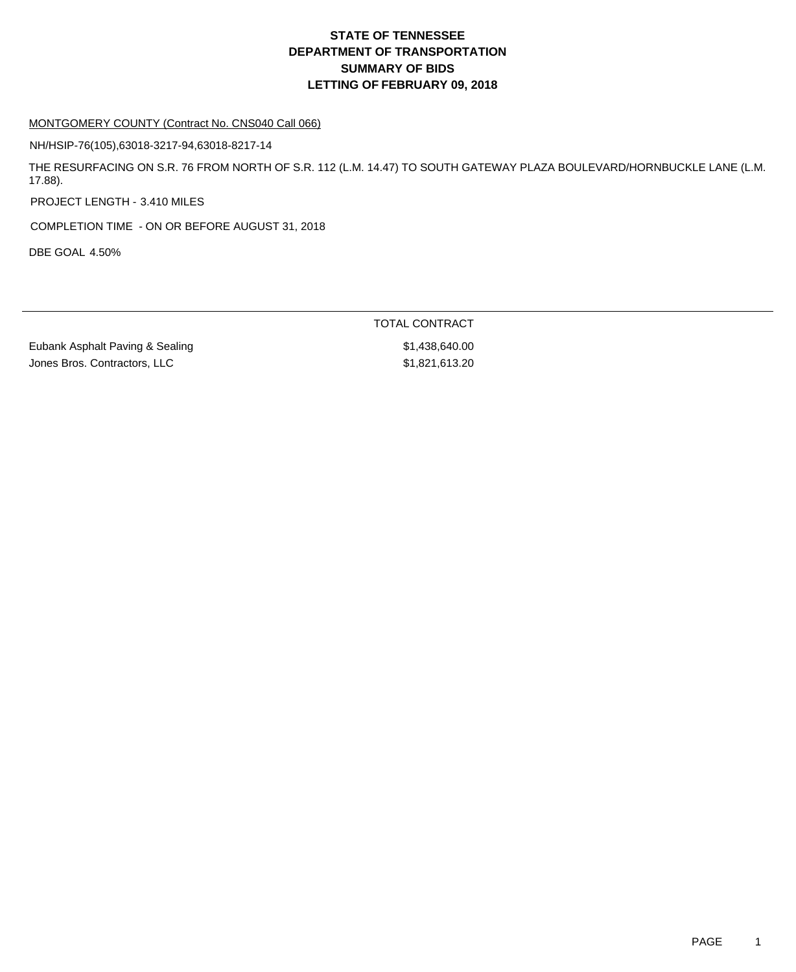### MONTGOMERY COUNTY (Contract No. CNS040 Call 066)

NH/HSIP-76(105),63018-3217-94,63018-8217-14

THE RESURFACING ON S.R. 76 FROM NORTH OF S.R. 112 (L.M. 14.47) TO SOUTH GATEWAY PLAZA BOULEVARD/HORNBUCKLE LANE (L.M. 17.88).

PROJECT LENGTH - 3.410 MILES

COMPLETION TIME - ON OR BEFORE AUGUST 31, 2018

DBE GOAL 4.50%

TOTAL CONTRACT

Eubank Asphalt Paving & Sealing  $$1,438,640.00$ Jones Bros. Contractors, LLC \$1,821,613.20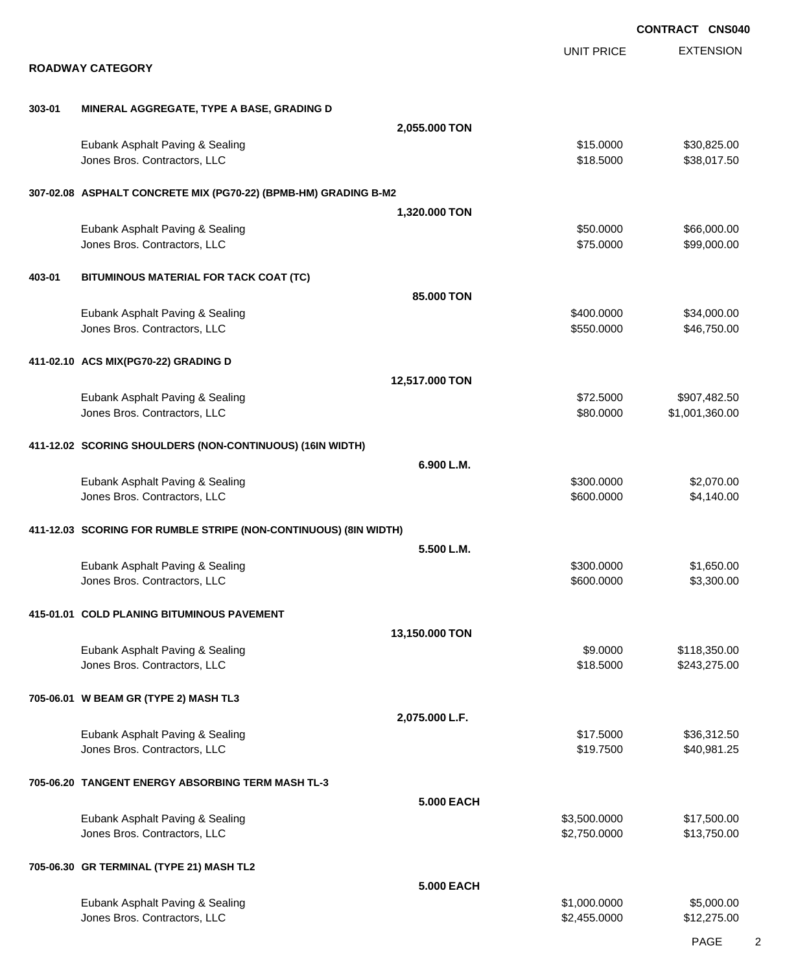|        |                                                                  |                   |                              | <b>CONTRACT CNS040</b>         |
|--------|------------------------------------------------------------------|-------------------|------------------------------|--------------------------------|
|        | <b>ROADWAY CATEGORY</b>                                          |                   | UNIT PRICE                   | <b>EXTENSION</b>               |
|        |                                                                  |                   |                              |                                |
| 303-01 | MINERAL AGGREGATE, TYPE A BASE, GRADING D                        |                   |                              |                                |
|        |                                                                  | 2,055.000 TON     |                              |                                |
|        | Eubank Asphalt Paving & Sealing<br>Jones Bros. Contractors, LLC  |                   | \$15.0000<br>\$18.5000       | \$30,825.00<br>\$38,017.50     |
|        | 307-02.08 ASPHALT CONCRETE MIX (PG70-22) (BPMB-HM) GRADING B-M2  |                   |                              |                                |
|        |                                                                  | 1,320.000 TON     |                              |                                |
|        | Eubank Asphalt Paving & Sealing<br>Jones Bros. Contractors, LLC  |                   | \$50.0000<br>\$75.0000       | \$66,000.00<br>\$99,000.00     |
| 403-01 | BITUMINOUS MATERIAL FOR TACK COAT (TC)                           |                   |                              |                                |
|        |                                                                  | 85,000 TON        |                              |                                |
|        | Eubank Asphalt Paving & Sealing<br>Jones Bros. Contractors, LLC  |                   | \$400.0000<br>\$550.0000     | \$34,000.00<br>\$46,750.00     |
|        | 411-02.10 ACS MIX(PG70-22) GRADING D                             |                   |                              |                                |
|        |                                                                  | 12,517.000 TON    |                              |                                |
|        | Eubank Asphalt Paving & Sealing<br>Jones Bros. Contractors, LLC  |                   | \$72.5000<br>\$80.0000       | \$907,482.50<br>\$1,001,360.00 |
|        | 411-12.02 SCORING SHOULDERS (NON-CONTINUOUS) (16IN WIDTH)        |                   |                              |                                |
|        |                                                                  | 6.900 L.M.        |                              |                                |
|        | Eubank Asphalt Paving & Sealing<br>Jones Bros. Contractors, LLC  |                   | \$300.0000<br>\$600.0000     | \$2,070.00<br>\$4,140.00       |
|        | 411-12.03 SCORING FOR RUMBLE STRIPE (NON-CONTINUOUS) (8IN WIDTH) |                   |                              |                                |
|        |                                                                  | 5.500 L.M.        |                              |                                |
|        | Eubank Asphalt Paving & Sealing<br>Jones Bros. Contractors, LLC  |                   | \$300,0000<br>\$600.0000     | \$1,650.00<br>\$3,300.00       |
|        | 415-01.01 COLD PLANING BITUMINOUS PAVEMENT                       |                   |                              |                                |
|        |                                                                  | 13,150.000 TON    |                              |                                |
|        | Eubank Asphalt Paving & Sealing<br>Jones Bros. Contractors, LLC  |                   | \$9.0000<br>\$18.5000        | \$118,350.00<br>\$243,275.00   |
|        | 705-06.01 W BEAM GR (TYPE 2) MASH TL3                            |                   |                              |                                |
|        |                                                                  | 2,075.000 L.F.    |                              |                                |
|        | Eubank Asphalt Paving & Sealing<br>Jones Bros. Contractors, LLC  |                   | \$17.5000<br>\$19.7500       | \$36,312.50<br>\$40,981.25     |
|        | 705-06.20 TANGENT ENERGY ABSORBING TERM MASH TL-3                |                   |                              |                                |
|        |                                                                  | <b>5.000 EACH</b> |                              |                                |
|        | Eubank Asphalt Paving & Sealing<br>Jones Bros. Contractors, LLC  |                   | \$3,500.0000<br>\$2,750.0000 | \$17,500.00<br>\$13,750.00     |
|        | 705-06.30 GR TERMINAL (TYPE 21) MASH TL2                         |                   |                              |                                |
|        |                                                                  | <b>5.000 EACH</b> |                              |                                |
|        | Eubank Asphalt Paving & Sealing<br>Jones Bros. Contractors, LLC  |                   | \$1,000.0000<br>\$2,455.0000 | \$5,000.00<br>\$12,275.00      |

PAGE 2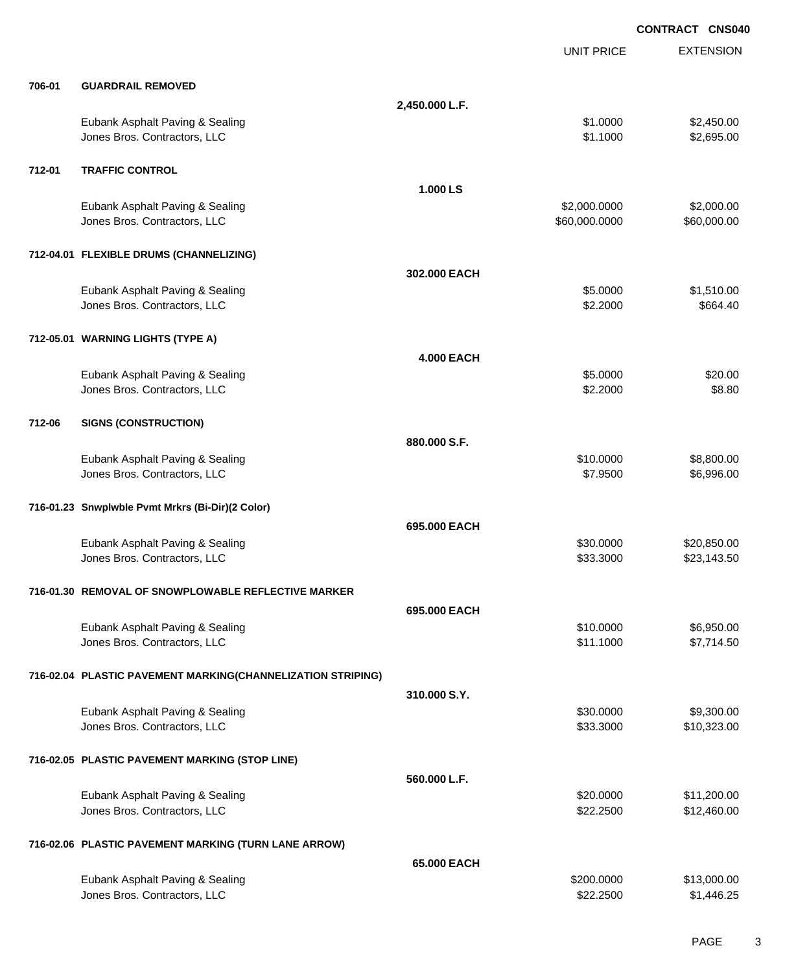|        |                                                                 |                   |                               | <b>CONTRACT CNS040</b>     |
|--------|-----------------------------------------------------------------|-------------------|-------------------------------|----------------------------|
|        |                                                                 |                   | <b>UNIT PRICE</b>             | <b>EXTENSION</b>           |
| 706-01 | <b>GUARDRAIL REMOVED</b>                                        |                   |                               |                            |
|        |                                                                 | 2,450.000 L.F.    |                               |                            |
|        | Eubank Asphalt Paving & Sealing<br>Jones Bros. Contractors, LLC |                   | \$1.0000<br>\$1.1000          | \$2,450.00<br>\$2,695.00   |
| 712-01 | <b>TRAFFIC CONTROL</b>                                          |                   |                               |                            |
|        |                                                                 | 1.000 LS          |                               |                            |
|        | Eubank Asphalt Paving & Sealing<br>Jones Bros. Contractors, LLC |                   | \$2,000.0000<br>\$60,000.0000 | \$2,000.00<br>\$60,000.00  |
|        | 712-04.01 FLEXIBLE DRUMS (CHANNELIZING)                         |                   |                               |                            |
|        |                                                                 | 302.000 EACH      |                               |                            |
|        | Eubank Asphalt Paving & Sealing<br>Jones Bros. Contractors, LLC |                   | \$5.0000<br>\$2.2000          | \$1,510.00<br>\$664.40     |
|        | 712-05.01 WARNING LIGHTS (TYPE A)                               |                   |                               |                            |
|        |                                                                 | <b>4.000 EACH</b> |                               |                            |
|        | Eubank Asphalt Paving & Sealing<br>Jones Bros. Contractors, LLC |                   | \$5.0000<br>\$2.2000          | \$20.00<br>\$8.80          |
| 712-06 | <b>SIGNS (CONSTRUCTION)</b>                                     |                   |                               |                            |
|        |                                                                 | 880.000 S.F.      |                               |                            |
|        | Eubank Asphalt Paving & Sealing<br>Jones Bros. Contractors, LLC |                   | \$10.0000<br>\$7.9500         | \$8,800.00<br>\$6,996.00   |
|        | 716-01.23 Snwplwble Pvmt Mrkrs (Bi-Dir)(2 Color)                |                   |                               |                            |
|        |                                                                 | 695,000 EACH      |                               |                            |
|        | Eubank Asphalt Paving & Sealing<br>Jones Bros. Contractors, LLC |                   | \$30.0000<br>\$33.3000        | \$20,850.00<br>\$23,143.50 |
|        | 716-01.30 REMOVAL OF SNOWPLOWABLE REFLECTIVE MARKER             |                   |                               |                            |
|        |                                                                 | 695,000 EACH      |                               |                            |
|        | Eubank Asphalt Paving & Sealing                                 |                   | \$10,0000                     | \$6,950.00                 |
|        | Jones Bros. Contractors, LLC                                    |                   | \$11.1000                     | \$7,714.50                 |
|        | 716-02.04 PLASTIC PAVEMENT MARKING(CHANNELIZATION STRIPING)     |                   |                               |                            |
|        |                                                                 | 310,000 S.Y.      |                               |                            |
|        | Eubank Asphalt Paving & Sealing<br>Jones Bros. Contractors, LLC |                   | \$30.0000<br>\$33.3000        | \$9,300.00<br>\$10,323.00  |
|        | 716-02.05 PLASTIC PAVEMENT MARKING (STOP LINE)                  |                   |                               |                            |
|        |                                                                 | 560.000 L.F.      |                               |                            |
|        | Eubank Asphalt Paving & Sealing<br>Jones Bros. Contractors, LLC |                   | \$20.0000<br>\$22.2500        | \$11,200.00<br>\$12,460.00 |
|        | 716-02.06 PLASTIC PAVEMENT MARKING (TURN LANE ARROW)            |                   |                               |                            |
|        |                                                                 | 65,000 EACH       |                               |                            |
|        | Eubank Asphalt Paving & Sealing<br>Jones Bros. Contractors, LLC |                   | \$200.0000<br>\$22.2500       | \$13,000.00<br>\$1,446.25  |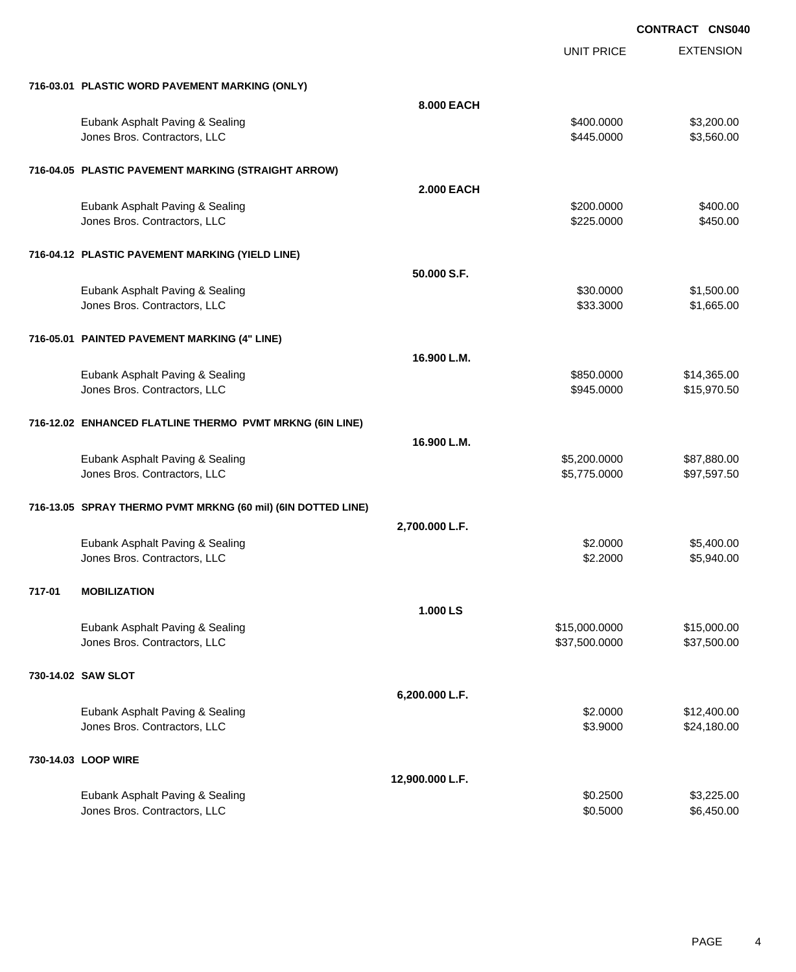|        |                                                                 |                   | <b>UNIT PRICE</b>              | <b>EXTENSION</b>           |
|--------|-----------------------------------------------------------------|-------------------|--------------------------------|----------------------------|
|        | 716-03.01 PLASTIC WORD PAVEMENT MARKING (ONLY)                  |                   |                                |                            |
|        |                                                                 | <b>8.000 EACH</b> |                                |                            |
|        | Eubank Asphalt Paving & Sealing<br>Jones Bros. Contractors, LLC |                   | \$400.0000<br>\$445.0000       | \$3,200.00<br>\$3,560.00   |
|        | 716-04.05 PLASTIC PAVEMENT MARKING (STRAIGHT ARROW)             |                   |                                |                            |
|        |                                                                 | <b>2.000 EACH</b> |                                |                            |
|        | Eubank Asphalt Paving & Sealing<br>Jones Bros. Contractors, LLC |                   | \$200.0000<br>\$225.0000       | \$400.00<br>\$450.00       |
|        | 716-04.12 PLASTIC PAVEMENT MARKING (YIELD LINE)                 |                   |                                |                            |
|        |                                                                 | 50.000 S.F.       |                                |                            |
|        | Eubank Asphalt Paving & Sealing<br>Jones Bros. Contractors, LLC |                   | \$30.0000<br>\$33.3000         | \$1,500.00<br>\$1,665.00   |
|        | 716-05.01 PAINTED PAVEMENT MARKING (4" LINE)                    |                   |                                |                            |
|        |                                                                 | 16.900 L.M.       |                                |                            |
|        | Eubank Asphalt Paving & Sealing<br>Jones Bros. Contractors, LLC |                   | \$850.0000<br>\$945.0000       | \$14,365.00<br>\$15,970.50 |
|        | 716-12.02 ENHANCED FLATLINE THERMO PVMT MRKNG (6IN LINE)        |                   |                                |                            |
|        | Eubank Asphalt Paving & Sealing                                 | 16.900 L.M.       | \$5,200.0000                   | \$87,880.00                |
|        | Jones Bros. Contractors, LLC                                    |                   | \$5,775.0000                   | \$97,597.50                |
|        | 716-13.05 SPRAY THERMO PVMT MRKNG (60 mil) (6IN DOTTED LINE)    |                   |                                |                            |
|        |                                                                 | 2,700.000 L.F.    |                                |                            |
|        | Eubank Asphalt Paving & Sealing<br>Jones Bros. Contractors, LLC |                   | \$2.0000<br>\$2.2000           | \$5,400.00<br>\$5,940.00   |
| 717-01 | <b>MOBILIZATION</b>                                             |                   |                                |                            |
|        |                                                                 | 1.000 LS          |                                |                            |
|        | Eubank Asphalt Paving & Sealing<br>Jones Bros. Contractors, LLC |                   | \$15,000.0000<br>\$37,500.0000 | \$15,000.00<br>\$37,500.00 |
|        | 730-14.02 SAW SLOT                                              |                   |                                |                            |
|        |                                                                 | 6,200.000 L.F.    |                                |                            |
|        | Eubank Asphalt Paving & Sealing<br>Jones Bros. Contractors, LLC |                   | \$2.0000<br>\$3.9000           | \$12,400.00<br>\$24,180.00 |
|        | 730-14.03 LOOP WIRE                                             |                   |                                |                            |
|        |                                                                 | 12,900.000 L.F.   |                                |                            |
|        | Eubank Asphalt Paving & Sealing<br>Jones Bros. Contractors, LLC |                   | \$0.2500<br>\$0.5000           | \$3,225.00<br>\$6,450.00   |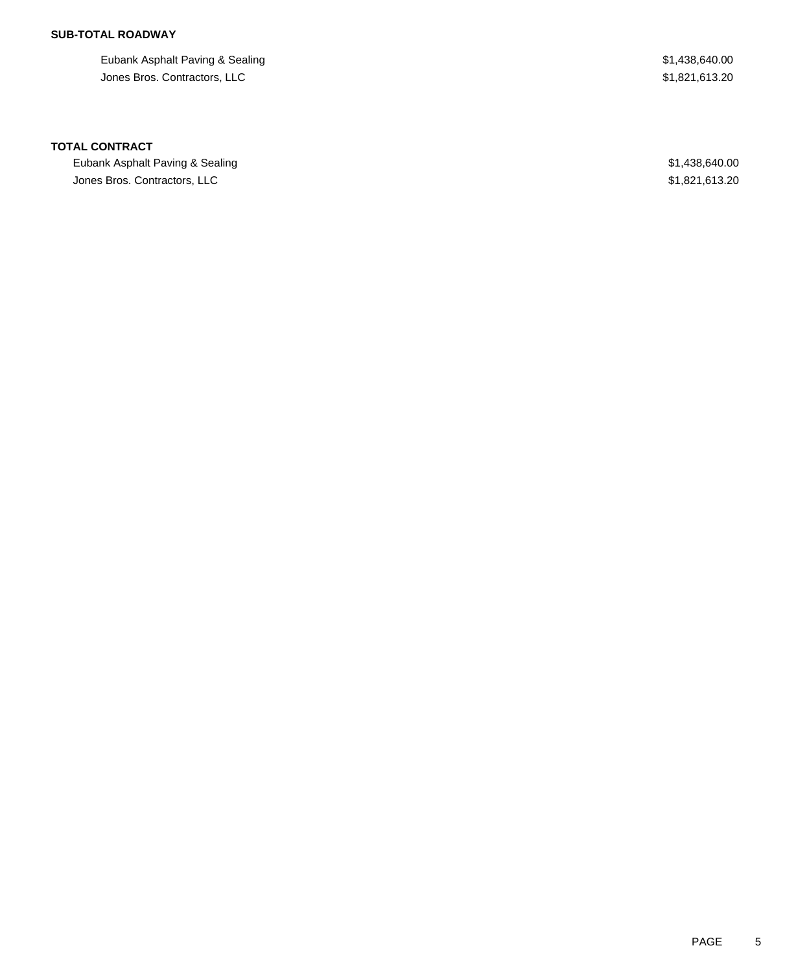## **SUB-TOTAL ROADWAY**

Eubank Asphalt Paving & Sealing  $$1,438,640.00$ Jones Bros. Contractors, LLC \$1,821,613.20

### **TOTAL CONTRACT**

Eubank Asphalt Paving & Sealing **\$1,438,640.00** \$1,438,640.00 Jones Bros. Contractors, LLC \$1,821,613.20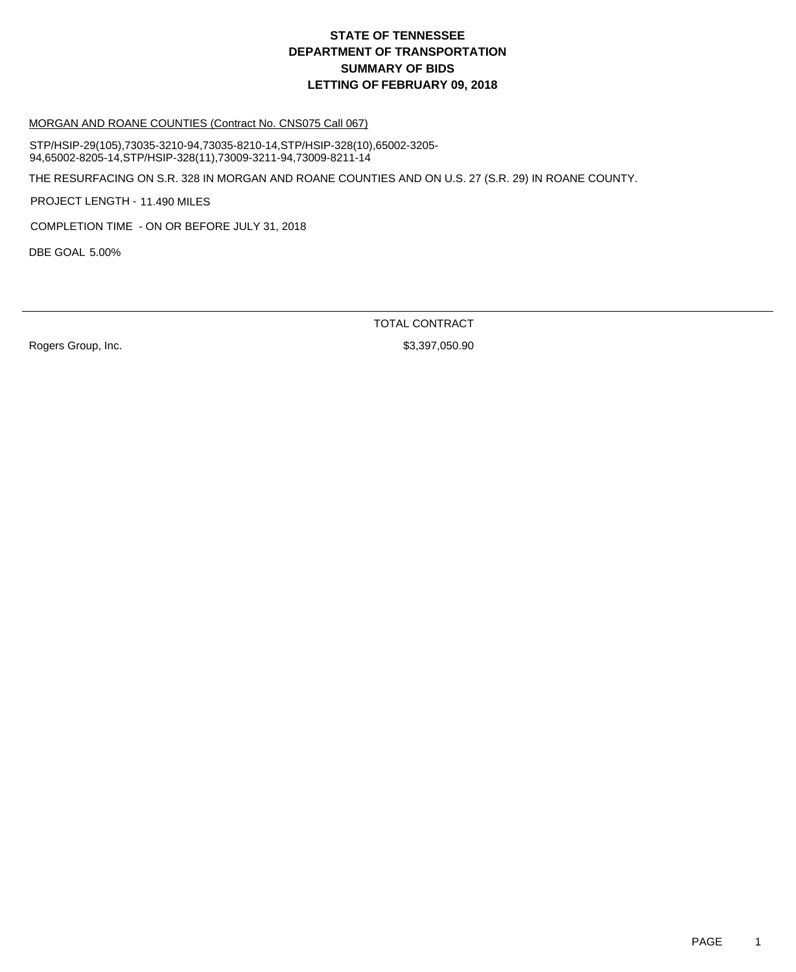### MORGAN AND ROANE COUNTIES (Contract No. CNS075 Call 067)

STP/HSIP-29(105),73035-3210-94,73035-8210-14,STP/HSIP-328(10),65002-3205- 94,65002-8205-14,STP/HSIP-328(11),73009-3211-94,73009-8211-14

THE RESURFACING ON S.R. 328 IN MORGAN AND ROANE COUNTIES AND ON U.S. 27 (S.R. 29) IN ROANE COUNTY.

PROJECT LENGTH - 11.490 MILES

COMPLETION TIME - ON OR BEFORE JULY 31, 2018

DBE GOAL 5.00%

TOTAL CONTRACT

Rogers Group, Inc. 6. The Contract of the Contract of the St. 397,050.90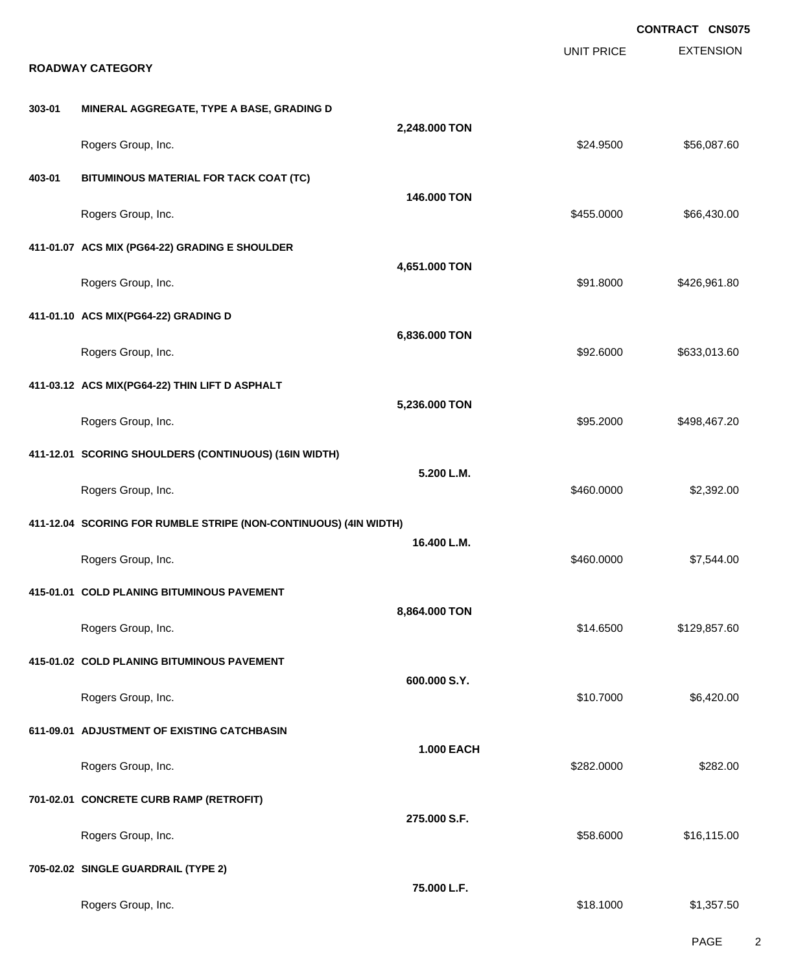**EXTENSION CONTRACT CNS075** UNIT PRICE **ROADWAY CATEGORY 303-01 MINERAL AGGREGATE, TYPE A BASE, GRADING D 2,248.000 TON** Rogers Group, Inc. \$256,087.60 **403-01 BITUMINOUS MATERIAL FOR TACK COAT (TC) 146.000 TON** Rogers Group, Inc. \$455.0000 \$66,430.00 **411-01.07 ACS MIX (PG64-22) GRADING E SHOULDER 4,651.000 TON** Rogers Group, Inc. \$926,961.80 \$126,961.80 \$426,961.80 \$1.8000 \$426,961.80 **411-01.10 ACS MIX(PG64-22) GRADING D 6,836.000 TON** Rogers Group, Inc. 692.6000 \$633,013.60 **411-03.12 ACS MIX(PG64-22) THIN LIFT D ASPHALT 5,236.000 TON** Rogers Group, Inc. \$95.2000 \$498,467.20 **411-12.01 SCORING SHOULDERS (CONTINUOUS) (16IN WIDTH) 5.200 L.M.** Rogers Group, Inc. \$2,392.00 **411-12.04 SCORING FOR RUMBLE STRIPE (NON-CONTINUOUS) (4IN WIDTH) 16.400 L.M.** Rogers Group, Inc. \$160.0000 \$7,544.00 **415-01.01 COLD PLANING BITUMINOUS PAVEMENT 8,864.000 TON** Rogers Group, Inc. \$129,857.60 \$129,857.60 **415-01.02 COLD PLANING BITUMINOUS PAVEMENT 600.000 S.Y.** Rogers Group, Inc. \$10.7000 \$6,420.00 **611-09.01 ADJUSTMENT OF EXISTING CATCHBASIN 1.000 EACH** Rogers Group, Inc. \$282.000 \$282.000 \$282.000 \$282.000 \$282.000 \$282.000 \$282.000 \$282.000 \$282.000 \$282.00 **701-02.01 CONCRETE CURB RAMP (RETROFIT) 275.000 S.F.** Rogers Group, Inc. \$16,115.00 \$16,115.00 \$16,115.00 \$16,115.00 \$16,115.00 \$16,115.00 **705-02.02 SINGLE GUARDRAIL (TYPE 2) 75.000 L.F.** Rogers Group, Inc. \$1,357.50

PAGE 2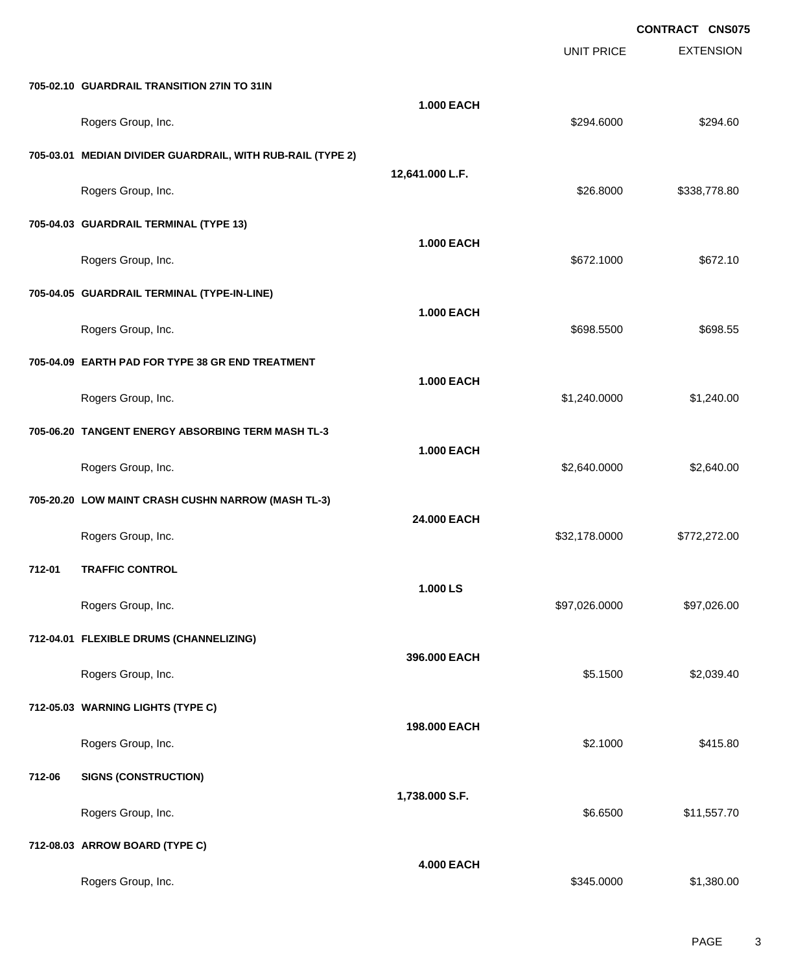|        |                                                            |                   | UNIT PRICE    | <b>EXTENSION</b> |
|--------|------------------------------------------------------------|-------------------|---------------|------------------|
|        | 705-02.10 GUARDRAIL TRANSITION 27IN TO 31IN                |                   |               |                  |
|        | Rogers Group, Inc.                                         | <b>1.000 EACH</b> | \$294.6000    | \$294.60         |
|        | 705-03.01 MEDIAN DIVIDER GUARDRAIL, WITH RUB-RAIL (TYPE 2) |                   |               |                  |
|        | Rogers Group, Inc.                                         | 12,641.000 L.F.   | \$26.8000     | \$338,778.80     |
|        | 705-04.03 GUARDRAIL TERMINAL (TYPE 13)                     |                   |               |                  |
|        | Rogers Group, Inc.                                         | <b>1.000 EACH</b> | \$672.1000    | \$672.10         |
|        | 705-04.05 GUARDRAIL TERMINAL (TYPE-IN-LINE)                |                   |               |                  |
|        | Rogers Group, Inc.                                         | <b>1.000 EACH</b> | \$698.5500    | \$698.55         |
|        | 705-04.09 EARTH PAD FOR TYPE 38 GR END TREATMENT           |                   |               |                  |
|        | Rogers Group, Inc.                                         | <b>1.000 EACH</b> | \$1,240.0000  | \$1,240.00       |
|        | 705-06.20 TANGENT ENERGY ABSORBING TERM MASH TL-3          |                   |               |                  |
|        | Rogers Group, Inc.                                         | <b>1.000 EACH</b> | \$2,640.0000  | \$2,640.00       |
|        | 705-20.20 LOW MAINT CRASH CUSHN NARROW (MASH TL-3)         |                   |               |                  |
|        | Rogers Group, Inc.                                         | 24.000 EACH       | \$32,178.0000 | \$772,272.00     |
| 712-01 | <b>TRAFFIC CONTROL</b>                                     |                   |               |                  |
|        | Rogers Group, Inc.                                         | 1.000 LS          | \$97,026.0000 | \$97,026.00      |
|        | 712-04.01 FLEXIBLE DRUMS (CHANNELIZING)                    |                   |               |                  |
|        | Rogers Group, Inc.                                         | 396.000 EACH      | \$5.1500      | \$2,039.40       |
|        | 712-05.03 WARNING LIGHTS (TYPE C)                          |                   |               |                  |
|        | Rogers Group, Inc.                                         | 198.000 EACH      | \$2.1000      | \$415.80         |
| 712-06 | <b>SIGNS (CONSTRUCTION)</b>                                |                   |               |                  |
|        | Rogers Group, Inc.                                         | 1,738.000 S.F.    | \$6.6500      | \$11,557.70      |
|        | 712-08.03 ARROW BOARD (TYPE C)                             |                   |               |                  |
|        | Rogers Group, Inc.                                         | <b>4.000 EACH</b> | \$345.0000    | \$1,380.00       |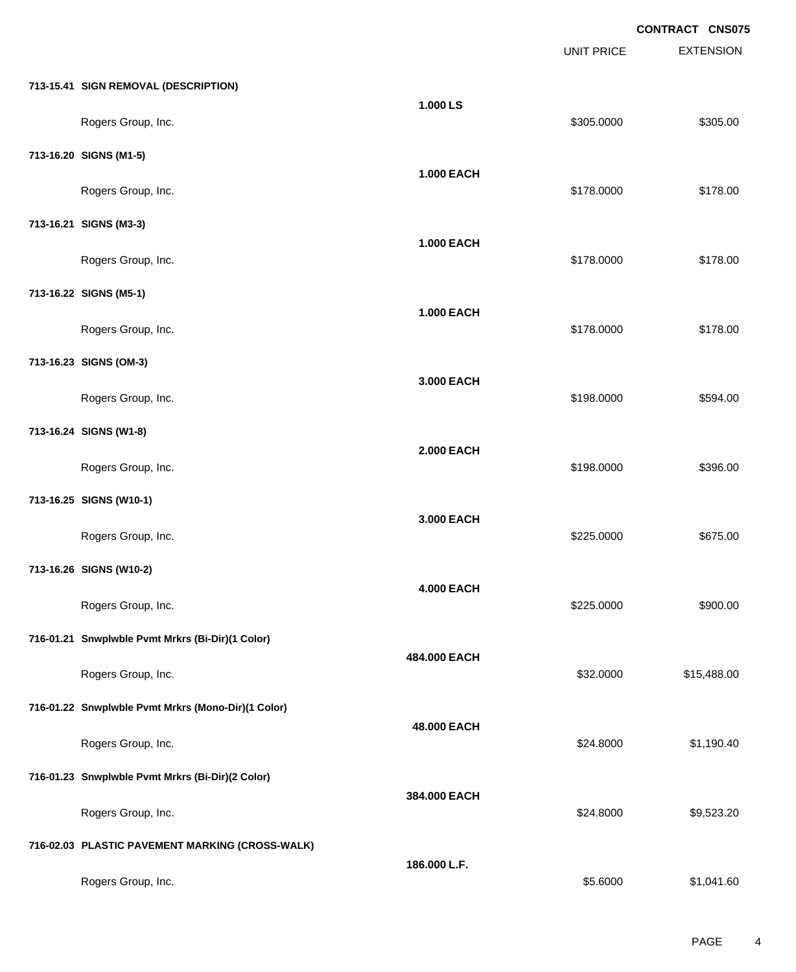|                                                    |                   | <b>UNIT PRICE</b> | <b>EXTENSION</b> |
|----------------------------------------------------|-------------------|-------------------|------------------|
| 713-15.41 SIGN REMOVAL (DESCRIPTION)               |                   |                   |                  |
| Rogers Group, Inc.                                 | 1.000 LS          | \$305.0000        | \$305.00         |
| 713-16.20 SIGNS (M1-5)                             |                   |                   |                  |
| Rogers Group, Inc.                                 | <b>1.000 EACH</b> | \$178.0000        | \$178.00         |
| 713-16.21 SIGNS (M3-3)                             |                   |                   |                  |
| Rogers Group, Inc.                                 | <b>1.000 EACH</b> | \$178.0000        | \$178.00         |
| 713-16.22 SIGNS (M5-1)                             | <b>1.000 EACH</b> |                   |                  |
| Rogers Group, Inc.                                 |                   | \$178.0000        | \$178.00         |
| 713-16.23 SIGNS (OM-3)                             | 3.000 EACH        |                   |                  |
| Rogers Group, Inc.                                 |                   | \$198.0000        | \$594.00         |
| 713-16.24 SIGNS (W1-8)                             | <b>2.000 EACH</b> |                   |                  |
| Rogers Group, Inc.                                 |                   | \$198.0000        | \$396.00         |
| 713-16.25 SIGNS (W10-1)                            | 3.000 EACH        |                   |                  |
| Rogers Group, Inc.                                 |                   | \$225.0000        | \$675.00         |
| 713-16.26 SIGNS (W10-2)                            | <b>4.000 EACH</b> |                   |                  |
| Rogers Group, Inc.                                 |                   | \$225.0000        | \$900.00         |
| 716-01.21 Snwplwble Pvmt Mrkrs (Bi-Dir)(1 Color)   | 484.000 EACH      |                   |                  |
| Rogers Group, Inc.                                 |                   | \$32.0000         | \$15,488.00      |
| 716-01.22 Snwplwble Pvmt Mrkrs (Mono-Dir)(1 Color) | 48.000 EACH       |                   |                  |
| Rogers Group, Inc.                                 |                   | \$24.8000         | \$1,190.40       |
| 716-01.23 Snwplwble Pvmt Mrkrs (Bi-Dir)(2 Color)   | 384.000 EACH      |                   |                  |
| Rogers Group, Inc.                                 |                   | \$24.8000         | \$9,523.20       |
| 716-02.03 PLASTIC PAVEMENT MARKING (CROSS-WALK)    | 186.000 L.F.      |                   |                  |
| Rogers Group, Inc.                                 |                   | \$5.6000          | \$1,041.60       |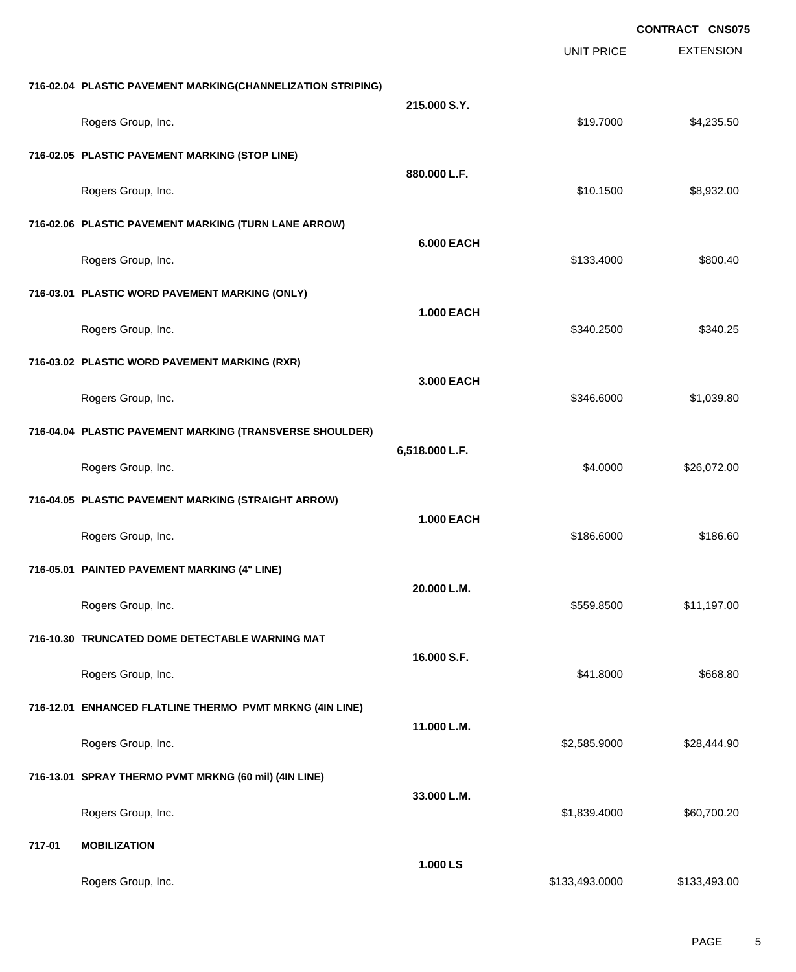|                                                             |                    | <b>UNIT PRICE</b> | <b>EXTENSION</b> |
|-------------------------------------------------------------|--------------------|-------------------|------------------|
| 716-02.04 PLASTIC PAVEMENT MARKING(CHANNELIZATION STRIPING) |                    |                   |                  |
| Rogers Group, Inc.                                          |                    | \$19.7000         | \$4,235.50       |
| 716-02.05 PLASTIC PAVEMENT MARKING (STOP LINE)              |                    |                   |                  |
| Rogers Group, Inc.                                          | 880.000 L.F.       | \$10.1500         | \$8,932.00       |
| 716-02.06 PLASTIC PAVEMENT MARKING (TURN LANE ARROW)        |                    |                   |                  |
| Rogers Group, Inc.                                          | <b>6.000 EACH</b>  | \$133.4000        | \$800.40         |
| 716-03.01 PLASTIC WORD PAVEMENT MARKING (ONLY)              |                    |                   |                  |
| Rogers Group, Inc.                                          | <b>1.000 EACH</b>  | \$340.2500        | \$340.25         |
| 716-03.02 PLASTIC WORD PAVEMENT MARKING (RXR)               |                    |                   |                  |
| Rogers Group, Inc.                                          | 3.000 EACH         | \$346.6000        | \$1,039.80       |
| 716-04.04 PLASTIC PAVEMENT MARKING (TRANSVERSE SHOULDER)    |                    |                   |                  |
| Rogers Group, Inc.                                          | 6,518.000 L.F.     | \$4.0000          | \$26,072.00      |
| 716-04.05 PLASTIC PAVEMENT MARKING (STRAIGHT ARROW)         |                    |                   |                  |
| Rogers Group, Inc.                                          | <b>1.000 EACH</b>  | \$186.6000        | \$186.60         |
| 716-05.01 PAINTED PAVEMENT MARKING (4" LINE)                |                    |                   |                  |
| Rogers Group, Inc.                                          | 20.000 L.M.        | \$559.8500        | \$11,197.00      |
| 716-10.30 TRUNCATED DOME DETECTABLE WARNING MAT             |                    |                   |                  |
| Rogers Group, Inc.                                          | 16.000 S.F.        | \$41.8000         | \$668.80         |
| 716-12.01 ENHANCED FLATLINE THERMO PVMT MRKNG (4IN LINE)    |                    |                   |                  |
| Rogers Group, Inc.                                          | 11.000 L.M.        | \$2,585.9000      | \$28,444.90      |
| 716-13.01 SPRAY THERMO PVMT MRKNG (60 mil) (4IN LINE)       |                    |                   |                  |
| Rogers Group, Inc.                                          | 33.000 L.M.        | \$1,839.4000      | \$60,700.20      |
| <b>MOBILIZATION</b>                                         |                    |                   |                  |
|                                                             | 1.000 LS           |                   | \$133,493.00     |
|                                                             | Rogers Group, Inc. | 215.000 S.Y.      | \$133,493.0000   |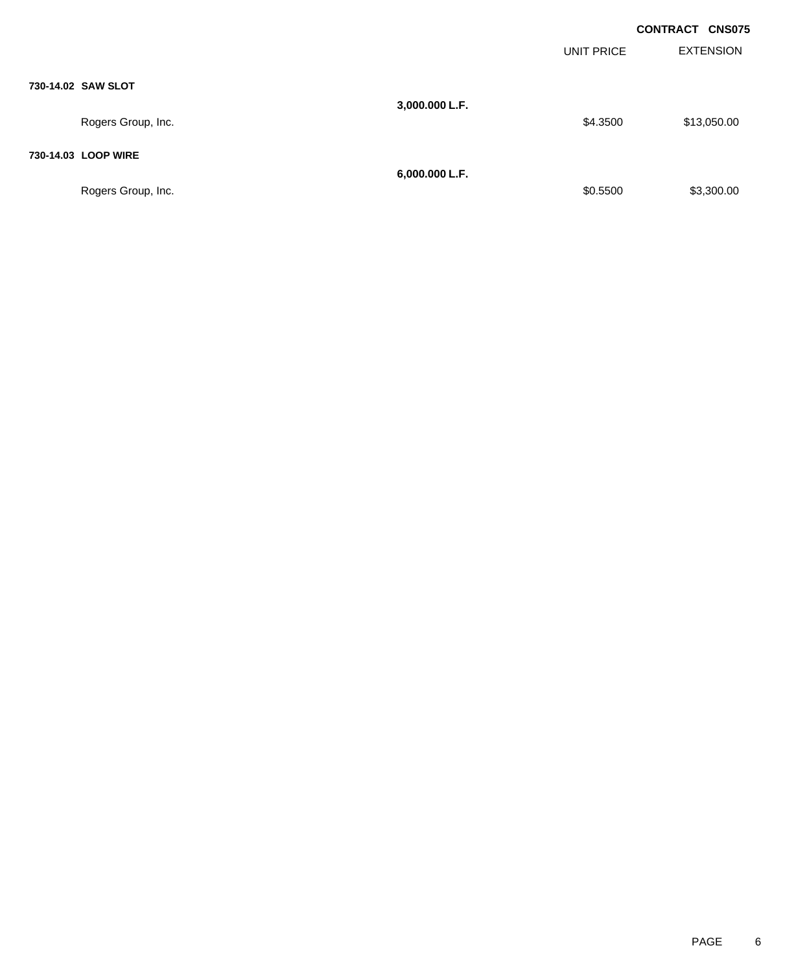|                     |                |            | <b>CONTRACT CNS075</b> |
|---------------------|----------------|------------|------------------------|
|                     |                | UNIT PRICE | <b>EXTENSION</b>       |
| 730-14.02 SAW SLOT  |                |            |                        |
| Rogers Group, Inc.  | 3,000.000 L.F. | \$4.3500   | \$13,050.00            |
| 730-14.03 LOOP WIRE |                |            |                        |
| Rogers Group, Inc.  | 6,000.000 L.F. | \$0.5500   | \$3,300.00             |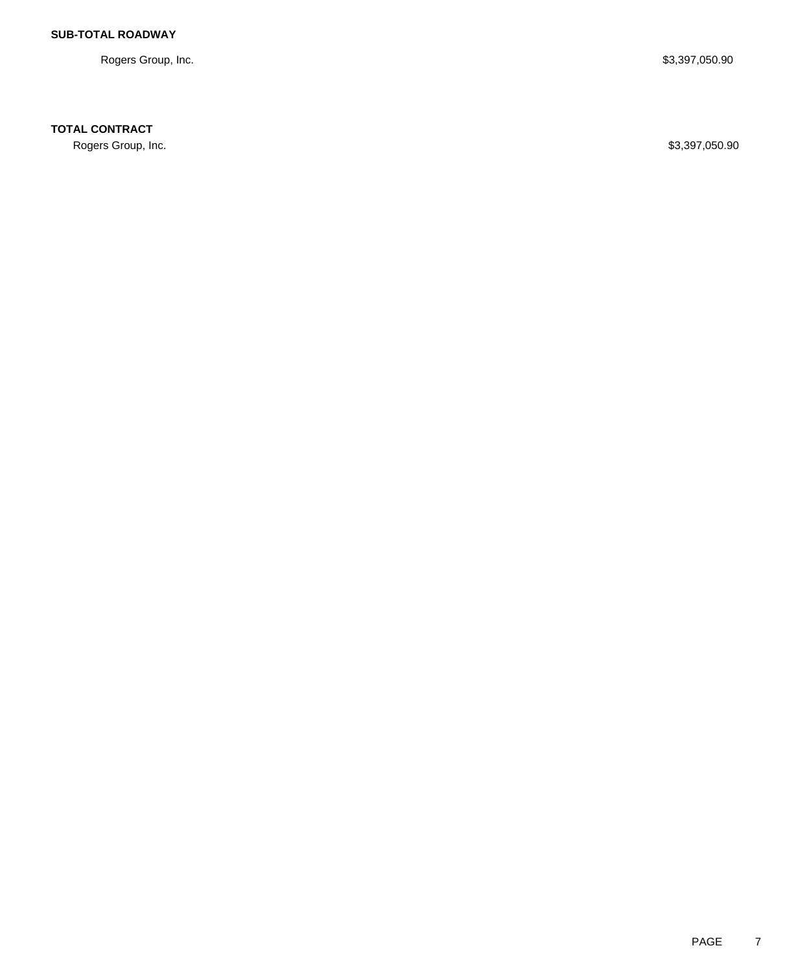Rogers Group, Inc. \$3,397,050.90

**TOTAL CONTRACT**

Rogers Group, Inc. \$3,397,050.90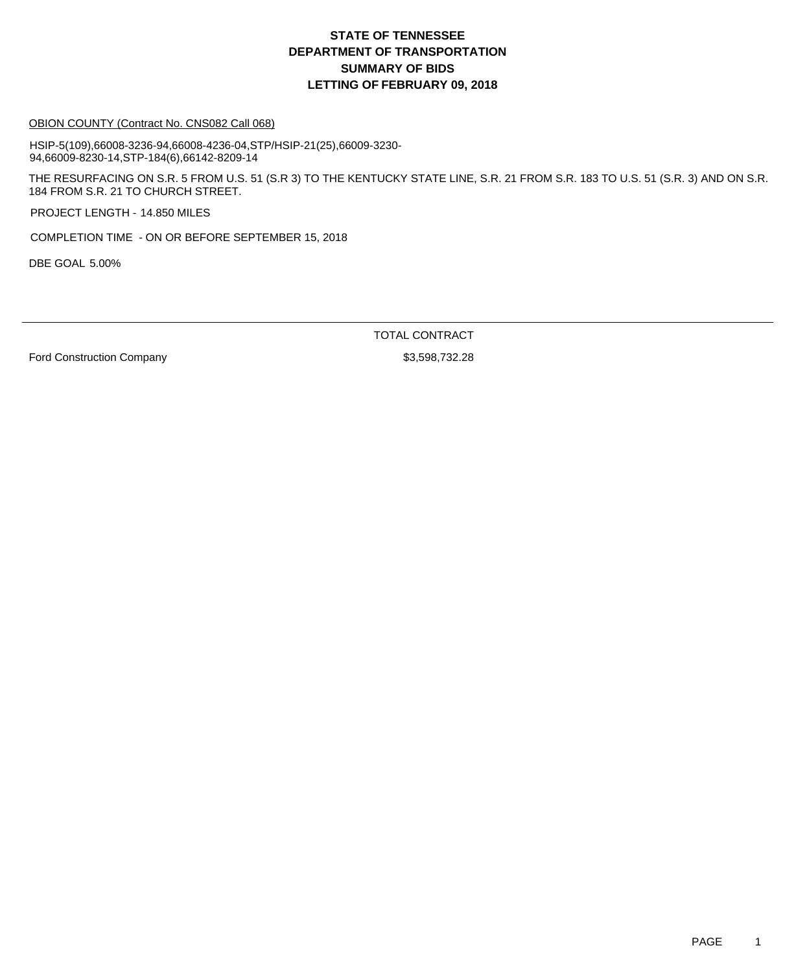#### OBION COUNTY (Contract No. CNS082 Call 068)

HSIP-5(109),66008-3236-94,66008-4236-04,STP/HSIP-21(25),66009-3230- 94,66009-8230-14,STP-184(6),66142-8209-14

THE RESURFACING ON S.R. 5 FROM U.S. 51 (S.R 3) TO THE KENTUCKY STATE LINE, S.R. 21 FROM S.R. 183 TO U.S. 51 (S.R. 3) AND ON S.R. 184 FROM S.R. 21 TO CHURCH STREET.

PROJECT LENGTH - 14.850 MILES

COMPLETION TIME - ON OR BEFORE SEPTEMBER 15, 2018

DBE GOAL 5.00%

TOTAL CONTRACT

Ford Construction Company 63,598,732.28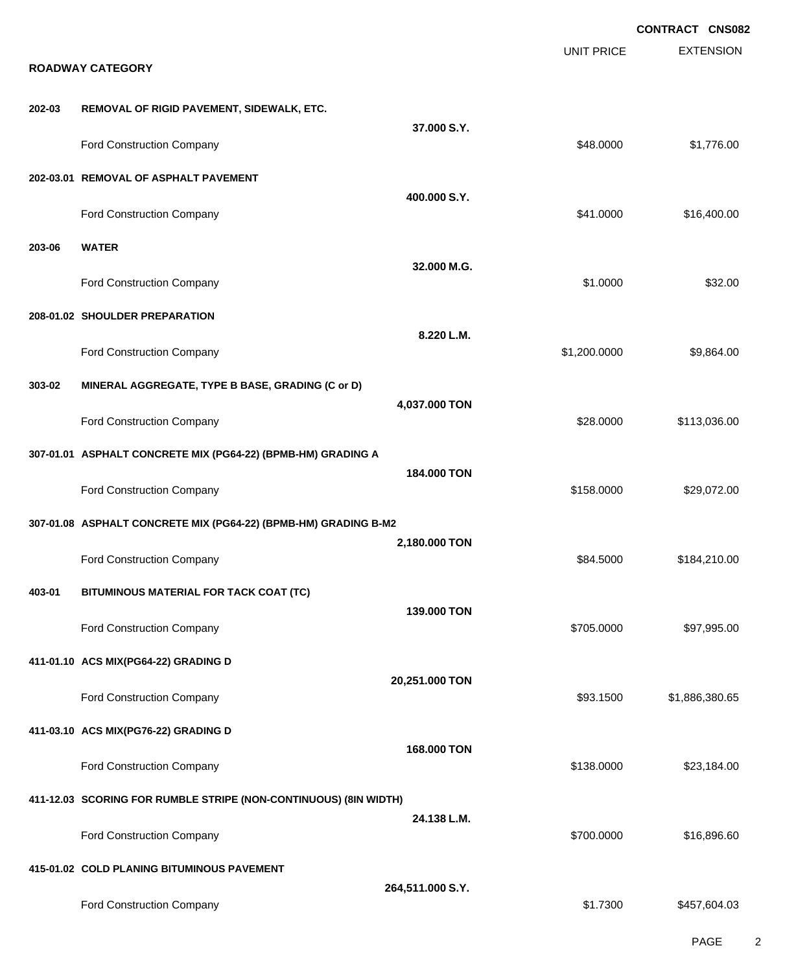|        |                                                                  |                  |                   | <b>CONTRACT CNS082</b> |
|--------|------------------------------------------------------------------|------------------|-------------------|------------------------|
|        | <b>ROADWAY CATEGORY</b>                                          |                  | <b>UNIT PRICE</b> | <b>EXTENSION</b>       |
| 202-03 | REMOVAL OF RIGID PAVEMENT, SIDEWALK, ETC.                        |                  |                   |                        |
|        | Ford Construction Company                                        | 37.000 S.Y.      | \$48.0000         | \$1,776.00             |
|        | 202-03.01 REMOVAL OF ASPHALT PAVEMENT                            |                  |                   |                        |
|        | Ford Construction Company                                        | 400.000 S.Y.     | \$41.0000         | \$16,400.00            |
| 203-06 | <b>WATER</b>                                                     |                  |                   |                        |
|        | Ford Construction Company                                        | 32.000 M.G.      | \$1.0000          | \$32.00                |
|        | 208-01.02 SHOULDER PREPARATION                                   |                  |                   |                        |
|        | <b>Ford Construction Company</b>                                 | 8.220 L.M.       | \$1,200.0000      | \$9,864.00             |
| 303-02 | MINERAL AGGREGATE, TYPE B BASE, GRADING (C or D)                 |                  |                   |                        |
|        | Ford Construction Company                                        | 4,037.000 TON    | \$28.0000         | \$113,036.00           |
|        | 307-01.01 ASPHALT CONCRETE MIX (PG64-22) (BPMB-HM) GRADING A     |                  |                   |                        |
|        | Ford Construction Company                                        | 184.000 TON      | \$158.0000        | \$29,072.00            |
|        | 307-01.08 ASPHALT CONCRETE MIX (PG64-22) (BPMB-HM) GRADING B-M2  |                  |                   |                        |
|        | Ford Construction Company                                        | 2,180.000 TON    | \$84.5000         | \$184,210.00           |
| 403-01 | BITUMINOUS MATERIAL FOR TACK COAT (TC)                           |                  |                   |                        |
|        | Ford Construction Company                                        | 139.000 TON      | \$705.0000        | \$97,995.00            |
|        | 411-01.10 ACS MIX(PG64-22) GRADING D                             |                  |                   |                        |
|        | Ford Construction Company                                        | 20,251.000 TON   | \$93.1500         | \$1,886,380.65         |
|        | 411-03.10 ACS MIX(PG76-22) GRADING D                             |                  |                   |                        |
|        | Ford Construction Company                                        | 168.000 TON      | \$138.0000        | \$23,184.00            |
|        | 411-12.03 SCORING FOR RUMBLE STRIPE (NON-CONTINUOUS) (8IN WIDTH) |                  |                   |                        |
|        | Ford Construction Company                                        | 24.138 L.M.      | \$700.0000        | \$16,896.60            |
|        | 415-01.02 COLD PLANING BITUMINOUS PAVEMENT                       |                  |                   |                        |
|        | Ford Construction Company                                        | 264,511.000 S.Y. | \$1.7300          | \$457,604.03           |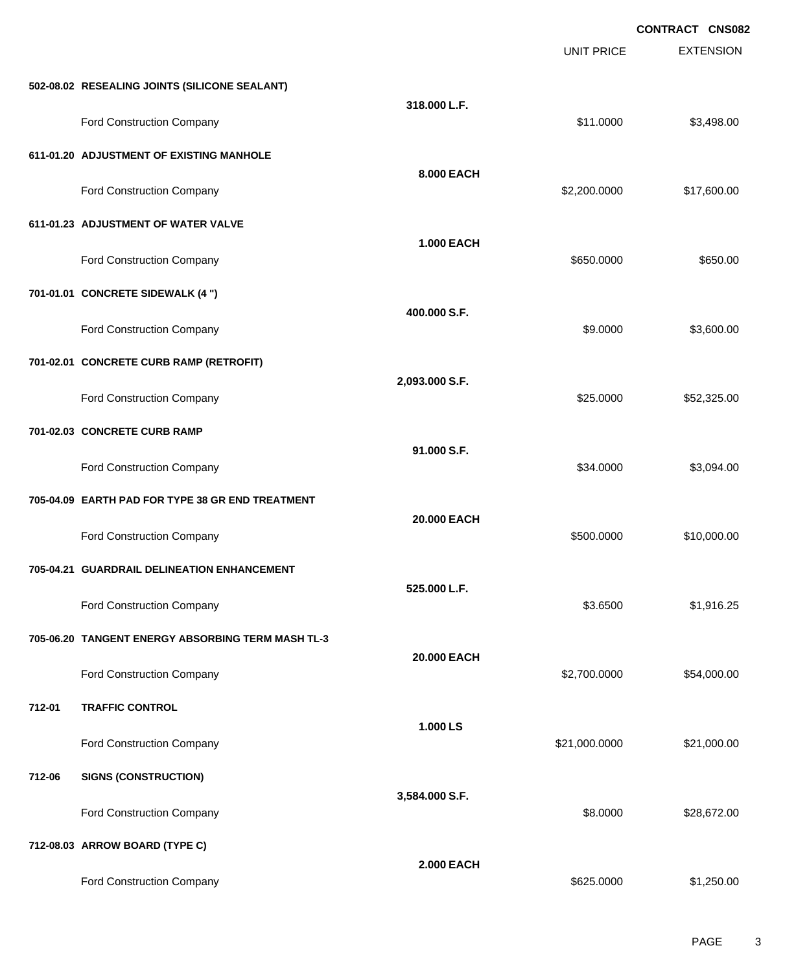|        |                                                   |                   | <b>UNIT PRICE</b> | <b>CONTRACT CNS082</b><br><b>EXTENSION</b> |
|--------|---------------------------------------------------|-------------------|-------------------|--------------------------------------------|
|        |                                                   |                   |                   |                                            |
|        | 502-08.02 RESEALING JOINTS (SILICONE SEALANT)     | 318.000 L.F.      |                   |                                            |
|        | Ford Construction Company                         |                   | \$11.0000         | \$3,498.00                                 |
|        | 611-01.20 ADJUSTMENT OF EXISTING MANHOLE          |                   |                   |                                            |
|        | Ford Construction Company                         | 8.000 EACH        | \$2,200.0000      | \$17,600.00                                |
|        | 611-01.23 ADJUSTMENT OF WATER VALVE               |                   |                   |                                            |
|        | Ford Construction Company                         | <b>1.000 EACH</b> | \$650.0000        | \$650.00                                   |
|        | 701-01.01 CONCRETE SIDEWALK (4 ")                 |                   |                   |                                            |
|        | Ford Construction Company                         | 400.000 S.F.      | \$9.0000          | \$3,600.00                                 |
|        | 701-02.01 CONCRETE CURB RAMP (RETROFIT)           |                   |                   |                                            |
|        | Ford Construction Company                         | 2,093.000 S.F.    | \$25.0000         | \$52,325.00                                |
|        | 701-02.03 CONCRETE CURB RAMP                      | 91.000 S.F.       |                   |                                            |
|        | Ford Construction Company                         |                   | \$34.0000         | \$3,094.00                                 |
|        | 705-04.09 EARTH PAD FOR TYPE 38 GR END TREATMENT  |                   |                   |                                            |
|        | Ford Construction Company                         | 20,000 EACH       | \$500.0000        | \$10,000.00                                |
|        | 705-04.21 GUARDRAIL DELINEATION ENHANCEMENT       |                   |                   |                                            |
|        | Ford Construction Company                         | 525.000 L.F.      | \$3.6500          | \$1,916.25                                 |
|        | 705-06.20 TANGENT ENERGY ABSORBING TERM MASH TL-3 |                   |                   |                                            |
|        | Ford Construction Company                         | 20.000 EACH       | \$2,700.0000      | \$54,000.00                                |
| 712-01 | <b>TRAFFIC CONTROL</b>                            |                   |                   |                                            |
|        | Ford Construction Company                         | 1.000 LS          | \$21,000.0000     | \$21,000.00                                |
| 712-06 | <b>SIGNS (CONSTRUCTION)</b>                       |                   |                   |                                            |
|        | <b>Ford Construction Company</b>                  | 3,584.000 S.F.    | \$8.0000          | \$28,672.00                                |
|        | 712-08.03 ARROW BOARD (TYPE C)                    |                   |                   |                                            |
|        | <b>Ford Construction Company</b>                  | <b>2.000 EACH</b> | \$625.0000        | \$1,250.00                                 |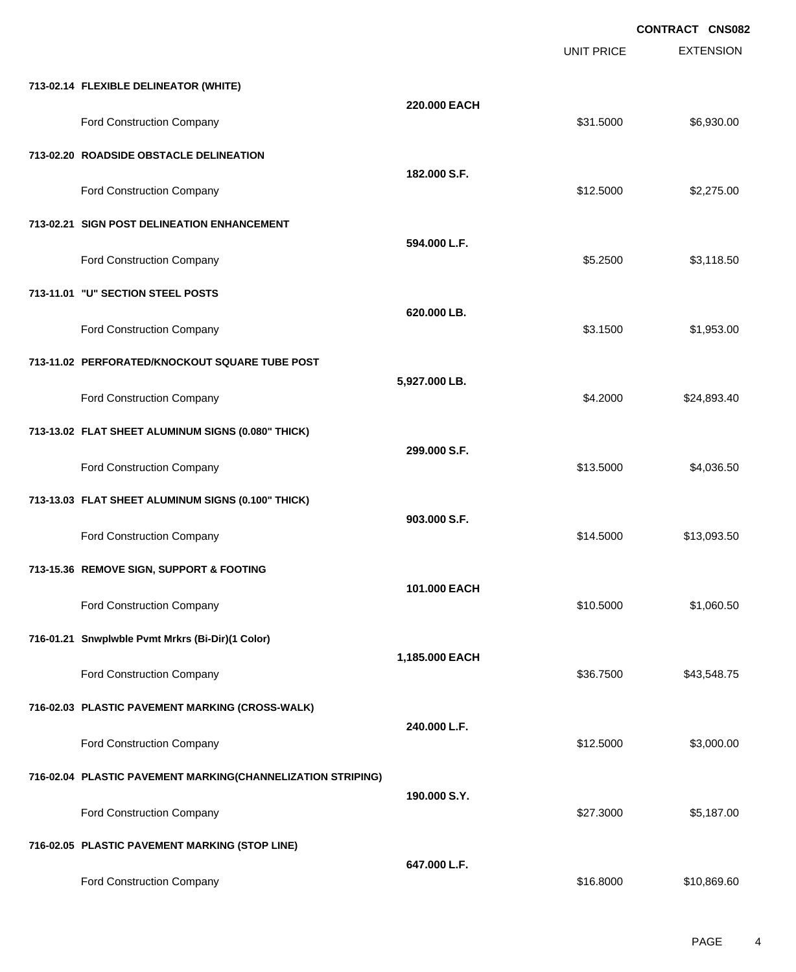|                                                             |                | <b>UNIT PRICE</b> | <b>CONTRACT CNS082</b><br><b>EXTENSION</b> |
|-------------------------------------------------------------|----------------|-------------------|--------------------------------------------|
| 713-02.14 FLEXIBLE DELINEATOR (WHITE)                       |                |                   |                                            |
| Ford Construction Company                                   | 220,000 EACH   | \$31.5000         | \$6,930.00                                 |
| 713-02.20 ROADSIDE OBSTACLE DELINEATION                     |                |                   |                                            |
| Ford Construction Company                                   | 182.000 S.F.   | \$12.5000         | \$2,275.00                                 |
| 713-02.21 SIGN POST DELINEATION ENHANCEMENT                 |                |                   |                                            |
| Ford Construction Company                                   | 594.000 L.F.   | \$5.2500          | \$3,118.50                                 |
| 713-11.01 "U" SECTION STEEL POSTS                           |                |                   |                                            |
| Ford Construction Company                                   | 620.000 LB.    | \$3.1500          | \$1,953.00                                 |
| 713-11.02 PERFORATED/KNOCKOUT SQUARE TUBE POST              |                |                   |                                            |
| Ford Construction Company                                   | 5,927.000 LB.  | \$4.2000          | \$24,893.40                                |
| 713-13.02 FLAT SHEET ALUMINUM SIGNS (0.080" THICK)          |                |                   |                                            |
| Ford Construction Company                                   | 299.000 S.F.   | \$13.5000         | \$4,036.50                                 |
| 713-13.03 FLAT SHEET ALUMINUM SIGNS (0.100" THICK)          |                |                   |                                            |
| Ford Construction Company                                   | 903.000 S.F.   | \$14.5000         | \$13,093.50                                |
| 713-15.36 REMOVE SIGN, SUPPORT & FOOTING                    |                |                   |                                            |
| Ford Construction Company                                   | 101.000 EACH   | \$10.5000         | \$1,060.50                                 |
| 716-01.21 Snwplwble Pvmt Mrkrs (Bi-Dir)(1 Color)            |                |                   |                                            |
| Ford Construction Company                                   | 1,185.000 EACH | \$36.7500         | \$43,548.75                                |
| 716-02.03 PLASTIC PAVEMENT MARKING (CROSS-WALK)             |                |                   |                                            |
| Ford Construction Company                                   | 240.000 L.F.   | \$12.5000         | \$3,000.00                                 |
| 716-02.04 PLASTIC PAVEMENT MARKING(CHANNELIZATION STRIPING) | 190.000 S.Y.   |                   |                                            |
| Ford Construction Company                                   |                | \$27.3000         | \$5,187.00                                 |
| 716-02.05 PLASTIC PAVEMENT MARKING (STOP LINE)              |                |                   |                                            |
| Ford Construction Company                                   | 647.000 L.F.   | \$16.8000         | \$10,869.60                                |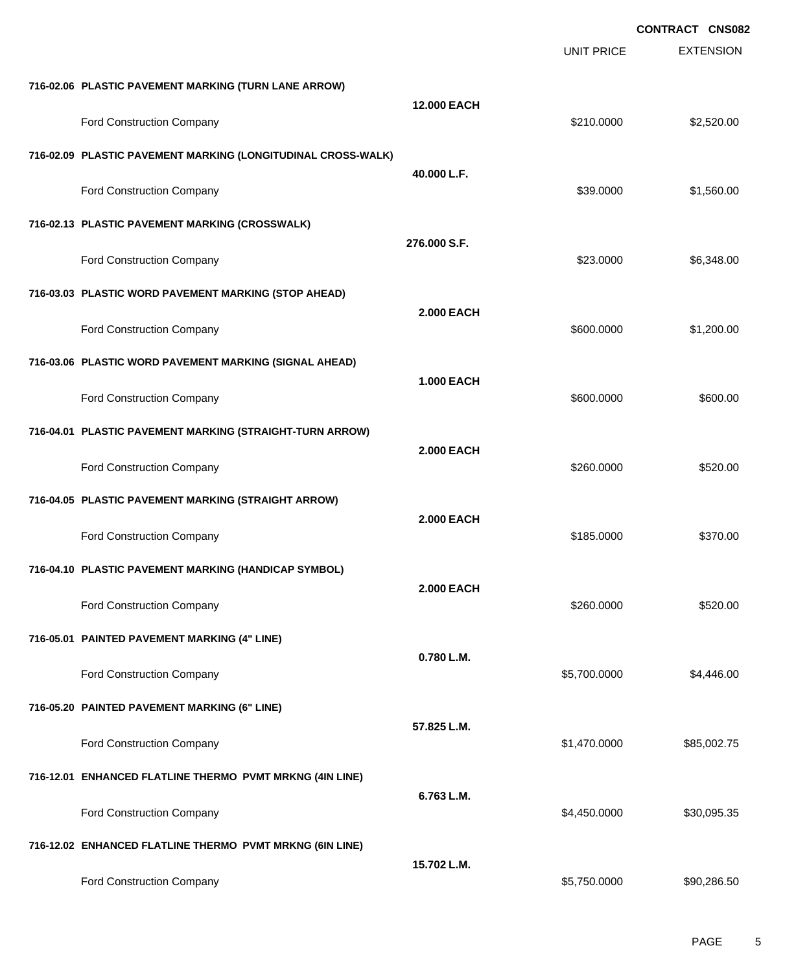|                                                              |                   |                   | <b>CONTRACT CNS082</b> |
|--------------------------------------------------------------|-------------------|-------------------|------------------------|
|                                                              |                   | <b>UNIT PRICE</b> | <b>EXTENSION</b>       |
| 716-02.06 PLASTIC PAVEMENT MARKING (TURN LANE ARROW)         |                   |                   |                        |
| <b>Ford Construction Company</b>                             | 12.000 EACH       | \$210.0000        | \$2,520.00             |
| 716-02.09 PLASTIC PAVEMENT MARKING (LONGITUDINAL CROSS-WALK) |                   |                   |                        |
| Ford Construction Company                                    | 40.000 L.F.       | \$39.0000         | \$1,560.00             |
| 716-02.13 PLASTIC PAVEMENT MARKING (CROSSWALK)               |                   |                   |                        |
| Ford Construction Company                                    | 276.000 S.F.      | \$23.0000         | \$6,348.00             |
| 716-03.03 PLASTIC WORD PAVEMENT MARKING (STOP AHEAD)         |                   |                   |                        |
| <b>Ford Construction Company</b>                             | <b>2.000 EACH</b> | \$600.0000        | \$1,200.00             |
| 716-03.06 PLASTIC WORD PAVEMENT MARKING (SIGNAL AHEAD)       |                   |                   |                        |
| Ford Construction Company                                    | <b>1.000 EACH</b> | \$600.0000        | \$600.00               |
| 716-04.01 PLASTIC PAVEMENT MARKING (STRAIGHT-TURN ARROW)     |                   |                   |                        |
| Ford Construction Company                                    | <b>2.000 EACH</b> | \$260.0000        | \$520.00               |
| 716-04.05 PLASTIC PAVEMENT MARKING (STRAIGHT ARROW)          |                   |                   |                        |
| Ford Construction Company                                    | <b>2.000 EACH</b> | \$185.0000        | \$370.00               |
| 716-04.10 PLASTIC PAVEMENT MARKING (HANDICAP SYMBOL)         |                   |                   |                        |
| Ford Construction Company                                    | <b>2.000 EACH</b> | \$260.0000        | \$520.00               |
| 716-05.01 PAINTED PAVEMENT MARKING (4" LINE)                 |                   |                   |                        |
| Ford Construction Company                                    | 0.780 L.M.        | \$5,700.0000      | \$4,446.00             |
| 716-05.20 PAINTED PAVEMENT MARKING (6" LINE)                 |                   |                   |                        |
| Ford Construction Company                                    | 57.825 L.M.       | \$1,470.0000      | \$85,002.75            |
| 716-12.01 ENHANCED FLATLINE THERMO PVMT MRKNG (4IN LINE)     |                   |                   |                        |
| Ford Construction Company                                    | 6.763 L.M.        | \$4,450.0000      | \$30,095.35            |
| 716-12.02 ENHANCED FLATLINE THERMO PVMT MRKNG (6IN LINE)     |                   |                   |                        |
| Ford Construction Company                                    | 15.702 L.M.       | \$5,750.0000      | \$90,286.50            |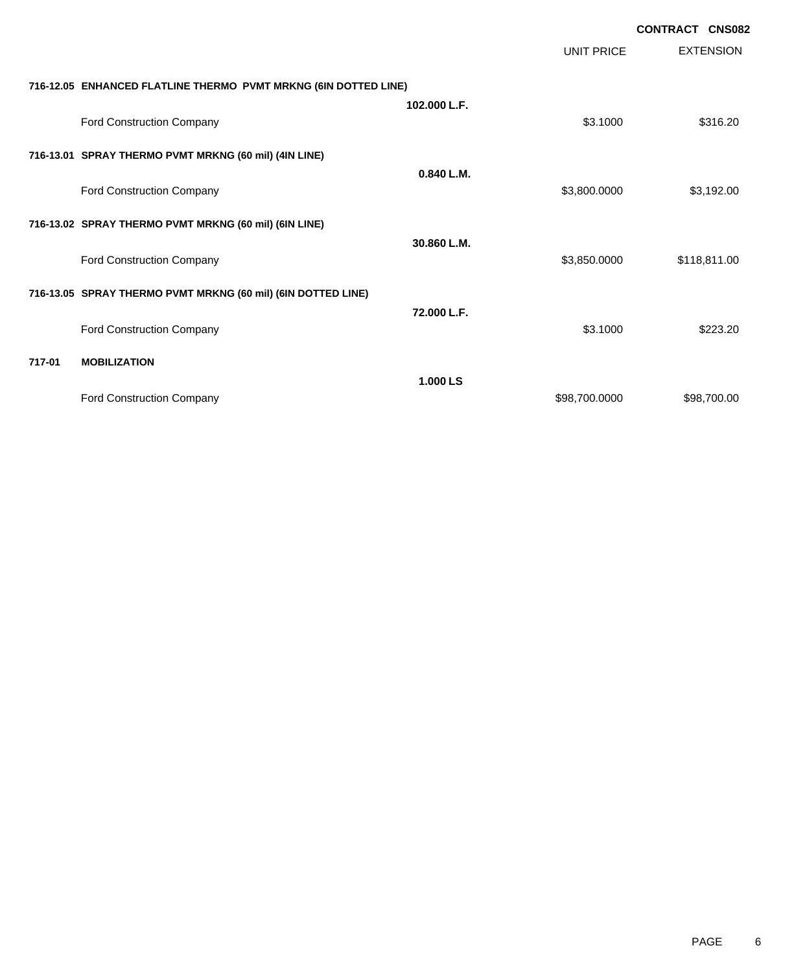|        |                                                                 |              |                   | <b>CONTRACT CNS082</b> |
|--------|-----------------------------------------------------------------|--------------|-------------------|------------------------|
|        |                                                                 |              | <b>UNIT PRICE</b> | <b>EXTENSION</b>       |
|        | 716-12.05 ENHANCED FLATLINE THERMO PVMT MRKNG (6IN DOTTED LINE) |              |                   |                        |
|        |                                                                 | 102.000 L.F. |                   |                        |
|        | Ford Construction Company                                       |              | \$3.1000          | \$316.20               |
|        | 716-13.01 SPRAY THERMO PVMT MRKNG (60 mil) (4IN LINE)           |              |                   |                        |
|        |                                                                 | 0.840 L.M.   |                   |                        |
|        | Ford Construction Company                                       |              | \$3,800.0000      | \$3,192.00             |
|        | 716-13.02 SPRAY THERMO PVMT MRKNG (60 mil) (6IN LINE)           |              |                   |                        |
|        | Ford Construction Company                                       | 30.860 L.M.  | \$3,850.0000      | \$118,811.00           |
|        |                                                                 |              |                   |                        |
|        | 716-13.05 SPRAY THERMO PVMT MRKNG (60 mil) (6IN DOTTED LINE)    |              |                   |                        |
|        |                                                                 | 72.000 L.F.  | \$3.1000          | \$223.20               |
|        | Ford Construction Company                                       |              |                   |                        |
| 717-01 | <b>MOBILIZATION</b>                                             |              |                   |                        |
|        |                                                                 | 1.000 LS     |                   |                        |
|        | Ford Construction Company                                       |              | \$98,700.0000     | \$98,700.00            |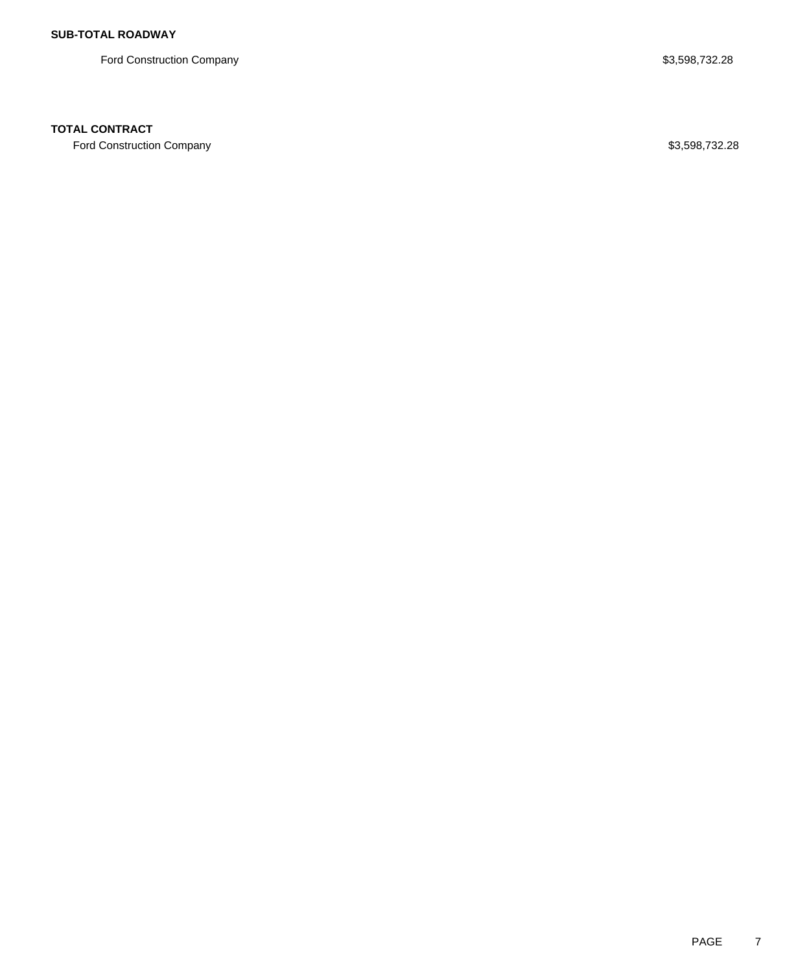Ford Construction Company **\$3,598,732.28** 

## **TOTAL CONTRACT**

Ford Construction Company **\$3,598,732.28**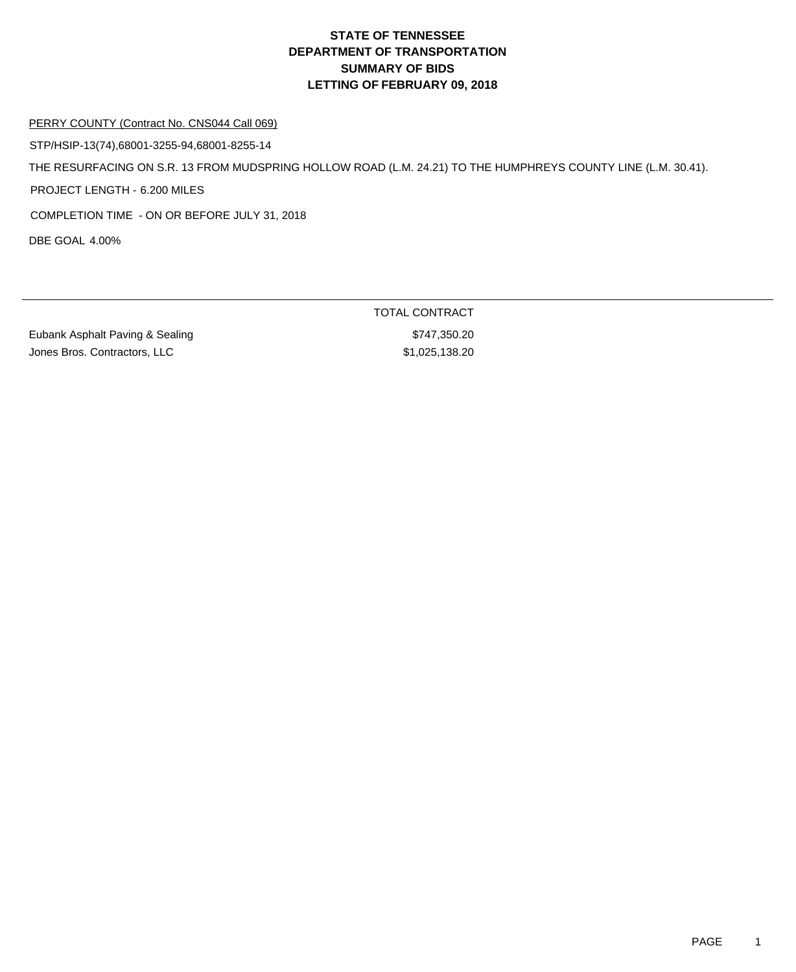### PERRY COUNTY (Contract No. CNS044 Call 069)

STP/HSIP-13(74),68001-3255-94,68001-8255-14

THE RESURFACING ON S.R. 13 FROM MUDSPRING HOLLOW ROAD (L.M. 24.21) TO THE HUMPHREYS COUNTY LINE (L.M. 30.41).

PROJECT LENGTH - 6.200 MILES

COMPLETION TIME - ON OR BEFORE JULY 31, 2018

DBE GOAL 4.00%

Eubank Asphalt Paving & Sealing **\$747,350.20** Jones Bros. Contractors, LLC \$1,025,138.20

TOTAL CONTRACT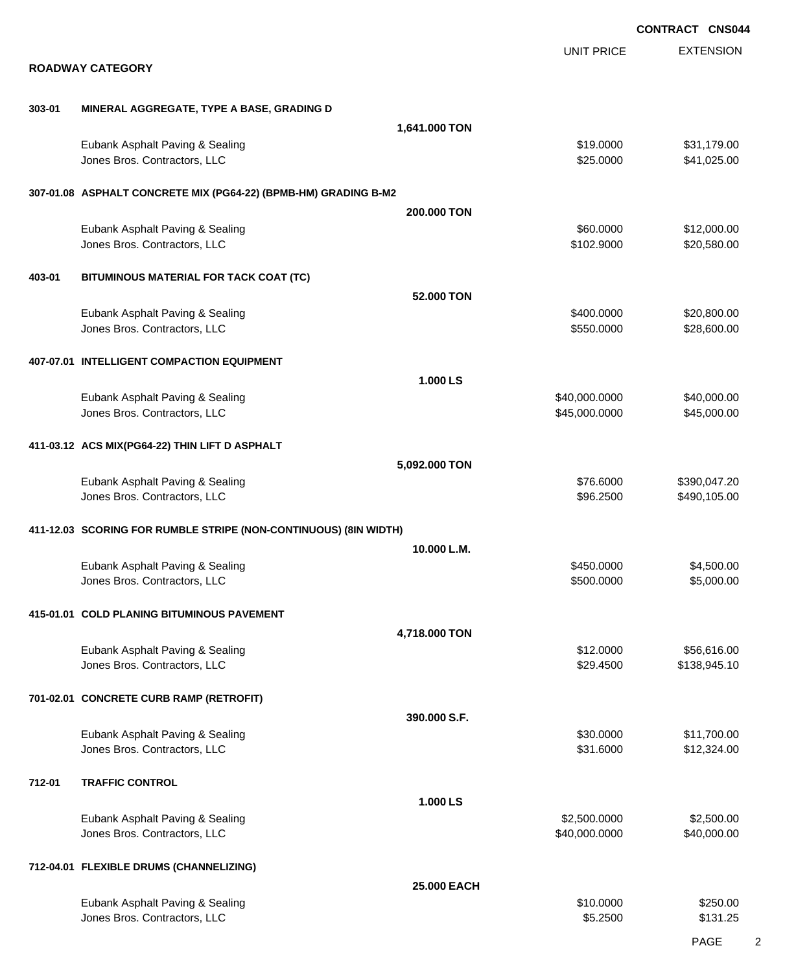|        |                                                                  |               |                                | CONTRACT CNS044              |
|--------|------------------------------------------------------------------|---------------|--------------------------------|------------------------------|
|        | <b>ROADWAY CATEGORY</b>                                          |               | UNIT PRICE                     | <b>EXTENSION</b>             |
|        |                                                                  |               |                                |                              |
| 303-01 | MINERAL AGGREGATE, TYPE A BASE, GRADING D                        | 1,641.000 TON |                                |                              |
|        | Eubank Asphalt Paving & Sealing                                  |               | \$19.0000                      | \$31,179.00                  |
|        | Jones Bros. Contractors, LLC                                     |               | \$25.0000                      | \$41,025.00                  |
|        | 307-01.08 ASPHALT CONCRETE MIX (PG64-22) (BPMB-HM) GRADING B-M2  |               |                                |                              |
|        |                                                                  | 200,000 TON   |                                |                              |
|        | Eubank Asphalt Paving & Sealing<br>Jones Bros. Contractors, LLC  |               | \$60.0000<br>\$102.9000        | \$12,000.00<br>\$20,580.00   |
| 403-01 | BITUMINOUS MATERIAL FOR TACK COAT (TC)                           |               |                                |                              |
|        |                                                                  | 52,000 TON    |                                |                              |
|        | Eubank Asphalt Paving & Sealing<br>Jones Bros. Contractors, LLC  |               | \$400.0000<br>\$550.0000       | \$20,800.00<br>\$28,600.00   |
|        | 407-07.01 INTELLIGENT COMPACTION EQUIPMENT                       |               |                                |                              |
|        |                                                                  | 1.000 LS      |                                |                              |
|        | Eubank Asphalt Paving & Sealing<br>Jones Bros. Contractors, LLC  |               | \$40,000.0000<br>\$45,000.0000 | \$40,000.00<br>\$45,000.00   |
|        | 411-03.12 ACS MIX(PG64-22) THIN LIFT D ASPHALT                   |               |                                |                              |
|        |                                                                  | 5,092.000 TON |                                |                              |
|        | Eubank Asphalt Paving & Sealing<br>Jones Bros. Contractors, LLC  |               | \$76.6000<br>\$96.2500         | \$390,047.20<br>\$490,105.00 |
|        | 411-12.03 SCORING FOR RUMBLE STRIPE (NON-CONTINUOUS) (8IN WIDTH) |               |                                |                              |
|        |                                                                  | 10.000 L.M.   | \$450,0000                     | \$4,500.00                   |
|        | Eubank Asphalt Paving & Sealing<br>Jones Bros. Contractors, LLC  |               | \$500.0000                     | \$5,000.00                   |
|        | 415-01.01 COLD PLANING BITUMINOUS PAVEMENT                       |               |                                |                              |
|        |                                                                  | 4,718.000 TON | \$12.0000                      | \$56,616.00                  |
|        | Eubank Asphalt Paving & Sealing<br>Jones Bros. Contractors, LLC  |               | \$29.4500                      | \$138,945.10                 |
|        | 701-02.01 CONCRETE CURB RAMP (RETROFIT)                          |               |                                |                              |
|        |                                                                  | 390.000 S.F.  |                                |                              |
|        | Eubank Asphalt Paving & Sealing<br>Jones Bros. Contractors, LLC  |               | \$30.0000<br>\$31.6000         | \$11,700.00<br>\$12,324.00   |
| 712-01 | <b>TRAFFIC CONTROL</b>                                           |               |                                |                              |
|        | Eubank Asphalt Paving & Sealing                                  | 1.000 LS      | \$2,500.0000                   | \$2,500.00                   |
|        | Jones Bros. Contractors, LLC                                     |               | \$40,000.0000                  | \$40,000.00                  |
|        | 712-04.01 FLEXIBLE DRUMS (CHANNELIZING)                          |               |                                |                              |
|        |                                                                  | 25.000 EACH   | \$10.0000                      | \$250.00                     |
|        | Eubank Asphalt Paving & Sealing<br>Jones Bros. Contractors, LLC  |               | \$5.2500                       | \$131.25                     |

PAGE 2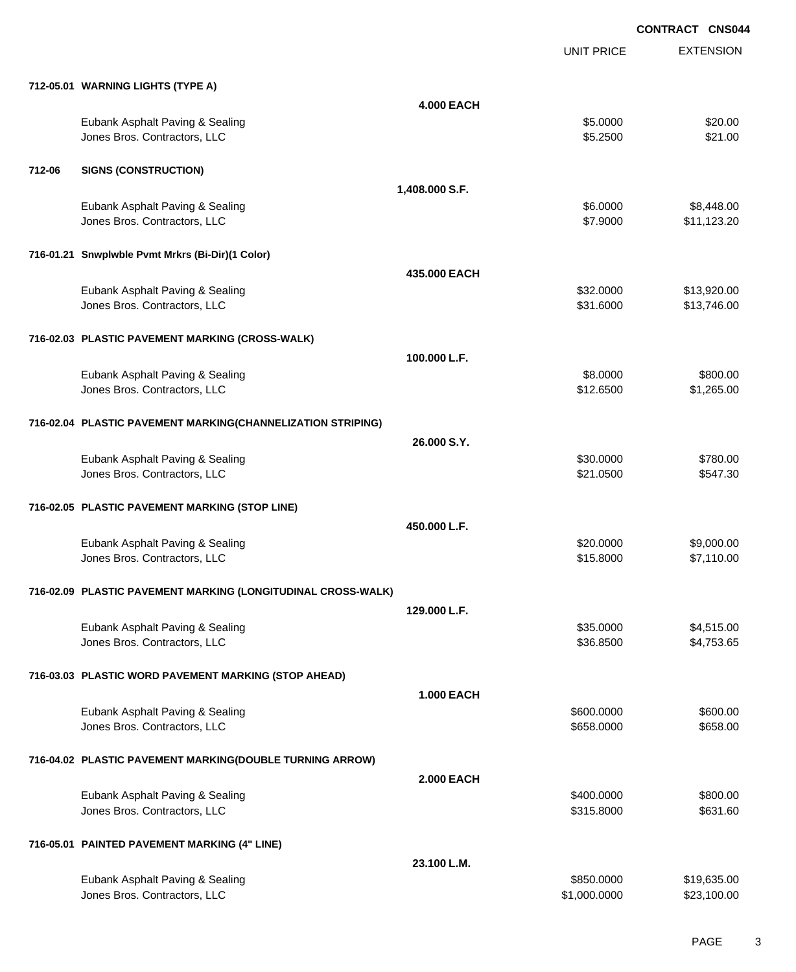EXTENSION **CONTRACT CNS044** UNIT PRICE **712-05.01 WARNING LIGHTS (TYPE A) 4.000 EACH** Eubank Asphalt Paving & Sealing \$5.0000 \$20.00 Jones Bros. Contractors, LLC \$5.2500 \$21.00 **712-06 SIGNS (CONSTRUCTION) 1,408.000 S.F.** Eubank Asphalt Paving & Sealing \$6.0000 \$8,448.00 Jones Bros. Contractors, LLC \$7.9000 \$11,123.20 **716-01.21 Snwplwble Pvmt Mrkrs (Bi-Dir)(1 Color) 435.000 EACH** Eubank Asphalt Paving & Sealing \$32.000 \$13,920.00 Jones Bros. Contractors, LLC \$31.6000 \$13,746.00 **716-02.03 PLASTIC PAVEMENT MARKING (CROSS-WALK) 100.000 L.F.** Eubank Asphalt Paving & Sealing \$8.0000 \$800.00 Jones Bros. Contractors, LLC \$12.6500 \$1,265.00 **716-02.04 PLASTIC PAVEMENT MARKING(CHANNELIZATION STRIPING) 26.000 S.Y.** Eubank Asphalt Paving & Sealing \$30.000 \$780.00 Jones Bros. Contractors, LLC \$21.0500 \$547.30 **716-02.05 PLASTIC PAVEMENT MARKING (STOP LINE) 450.000 L.F.** Eubank Asphalt Paving & Sealing \$20.0000 \$9,000.00 Jones Bros. Contractors, LLC \$15.8000 \$7,110.00 **716-02.09 PLASTIC PAVEMENT MARKING (LONGITUDINAL CROSS-WALK) 129.000 L.F.** Eubank Asphalt Paving & Sealing \$35.0000 \$4,515.00 Jones Bros. Contractors, LLC 6.6500 \$4,753.65 **716-03.03 PLASTIC WORD PAVEMENT MARKING (STOP AHEAD) 1.000 EACH** Eubank Asphalt Paving & Sealing \$600.000 \$600.000 \$600.000 \$600.000 \$600.000 dones Bros. Contractors, LLC 6658.000 \$658.000 \$658.000 \$658.000 \$658.000 **716-04.02 PLASTIC PAVEMENT MARKING(DOUBLE TURNING ARROW) 2.000 EACH** Eubank Asphalt Paving & Sealing \$400.000 \$800.00 Jones Bros. Contractors, LLC \$315.8000 \$631.60 **716-05.01 PAINTED PAVEMENT MARKING (4" LINE) 23.100 L.M.** Eubank Asphalt Paving & Sealing \$850.000 \$19,635.00

Jones Bros. Contractors, LLC \$1,000.0000 \$23,100.00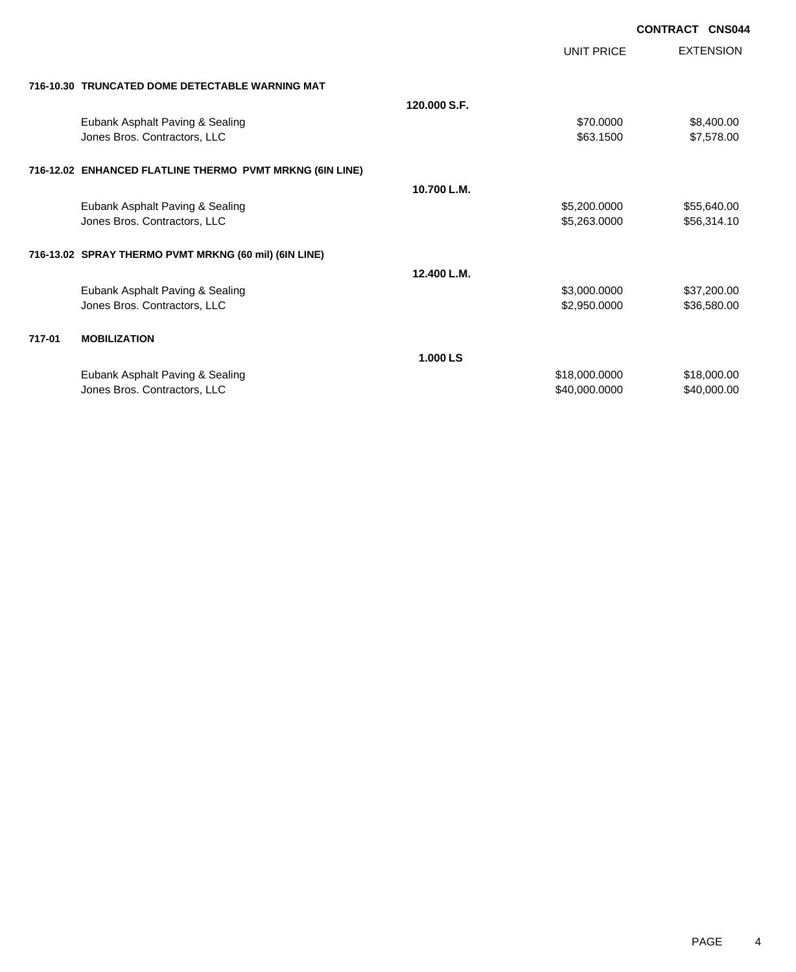|        |                                                          |              |                   | <b>CONTRACT CNS044</b> |
|--------|----------------------------------------------------------|--------------|-------------------|------------------------|
|        |                                                          |              | <b>UNIT PRICE</b> | <b>EXTENSION</b>       |
|        | 716-10.30 TRUNCATED DOME DETECTABLE WARNING MAT          |              |                   |                        |
|        |                                                          | 120.000 S.F. |                   |                        |
|        | Eubank Asphalt Paving & Sealing                          |              | \$70.0000         | \$8,400.00             |
|        | Jones Bros. Contractors, LLC                             |              | \$63.1500         | \$7,578.00             |
|        | 716-12.02 ENHANCED FLATLINE THERMO PVMT MRKNG (6IN LINE) |              |                   |                        |
|        |                                                          | 10.700 L.M.  |                   |                        |
|        | Eubank Asphalt Paving & Sealing                          |              | \$5,200.0000      | \$55,640.00            |
|        | Jones Bros. Contractors, LLC                             |              | \$5,263.0000      | \$56,314.10            |
|        | 716-13.02 SPRAY THERMO PVMT MRKNG (60 mil) (6IN LINE)    |              |                   |                        |
|        |                                                          | 12.400 L.M.  |                   |                        |
|        | Eubank Asphalt Paving & Sealing                          |              | \$3,000.0000      | \$37,200.00            |
|        | Jones Bros. Contractors, LLC                             |              | \$2,950.0000      | \$36,580.00            |
| 717-01 | <b>MOBILIZATION</b>                                      |              |                   |                        |
|        |                                                          | 1.000 LS     |                   |                        |
|        | Eubank Asphalt Paving & Sealing                          |              | \$18,000.0000     | \$18,000.00            |
|        | Jones Bros. Contractors, LLC                             |              | \$40,000.0000     | \$40,000.00            |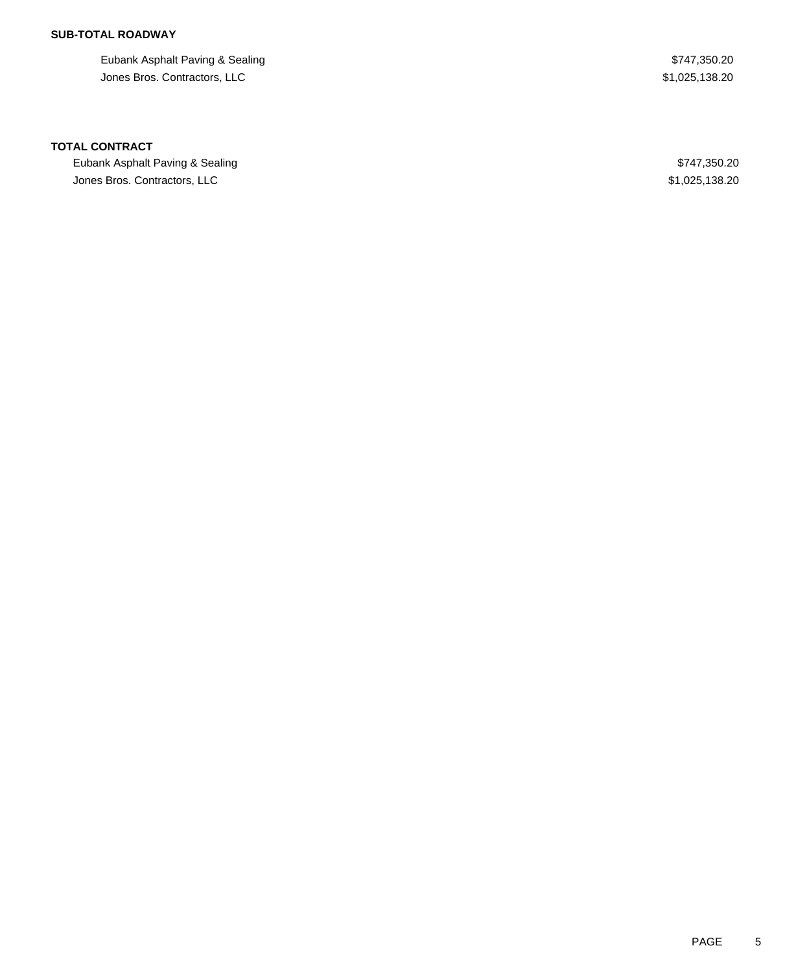## **SUB-TOTAL ROADWAY**

Eubank Asphalt Paving & Sealing \$747,350.20 Jones Bros. Contractors, LLC \$1,025,138.20

### **TOTAL CONTRACT**

Eubank Asphalt Paving & Sealing \$747,350.20 Jones Bros. Contractors, LLC \$1,025,138.20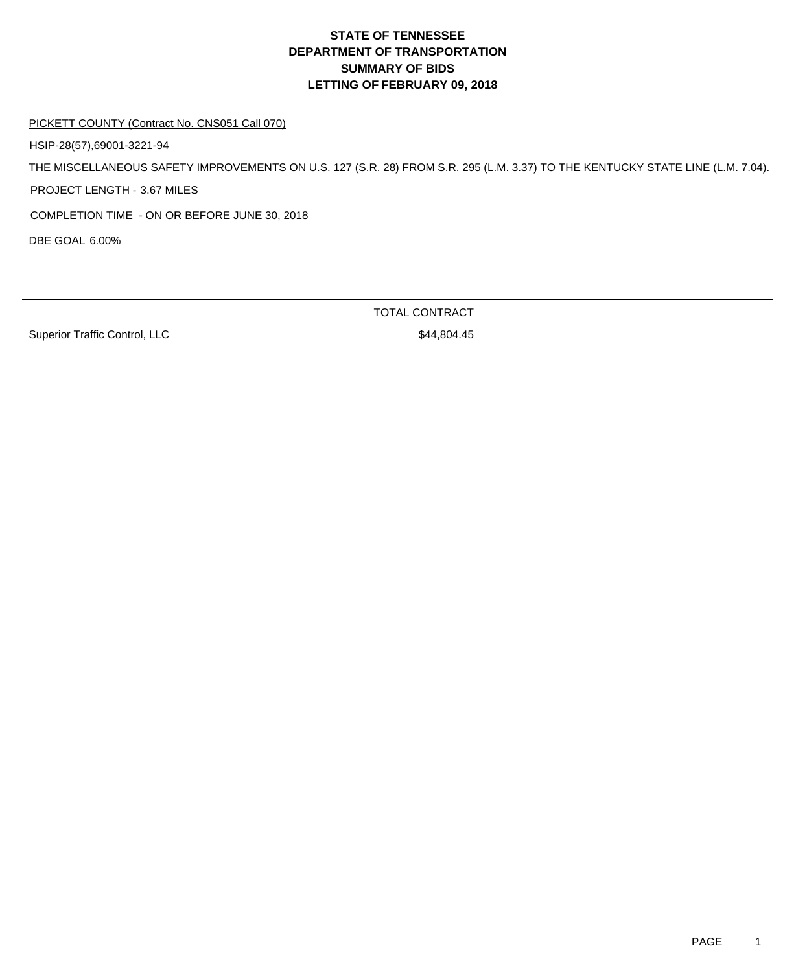PICKETT COUNTY (Contract No. CNS051 Call 070)

HSIP-28(57),69001-3221-94

THE MISCELLANEOUS SAFETY IMPROVEMENTS ON U.S. 127 (S.R. 28) FROM S.R. 295 (L.M. 3.37) TO THE KENTUCKY STATE LINE (L.M. 7.04). PROJECT LENGTH - 3.67 MILES

COMPLETION TIME - ON OR BEFORE JUNE 30, 2018

DBE GOAL 6.00%

Superior Traffic Control, LLC \$44,804.45

TOTAL CONTRACT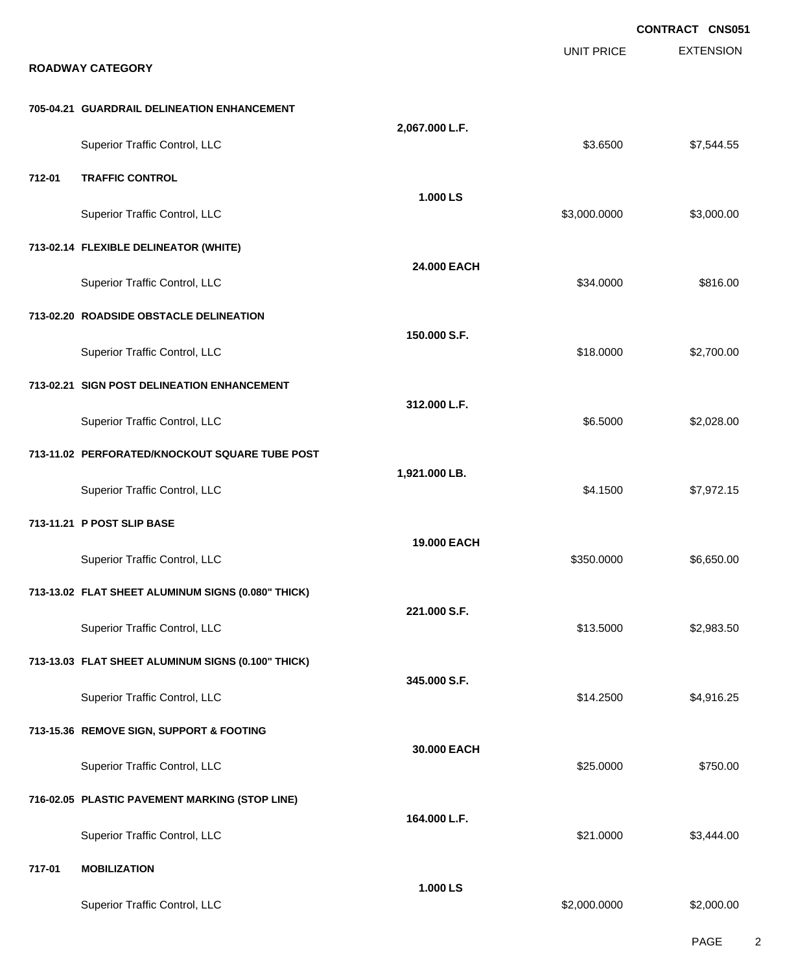|        |                                                    |                |                   | <b>CONTRACT CNS051</b> |
|--------|----------------------------------------------------|----------------|-------------------|------------------------|
|        |                                                    |                | <b>UNIT PRICE</b> | <b>EXTENSION</b>       |
|        | <b>ROADWAY CATEGORY</b>                            |                |                   |                        |
|        | 705-04.21 GUARDRAIL DELINEATION ENHANCEMENT        |                |                   |                        |
|        | <b>Superior Traffic Control, LLC</b>               | 2,067.000 L.F. | \$3.6500          | \$7,544.55             |
| 712-01 | <b>TRAFFIC CONTROL</b>                             |                |                   |                        |
|        | Superior Traffic Control, LLC                      | 1.000 LS       | \$3,000.0000      | \$3,000.00             |
|        | 713-02.14 FLEXIBLE DELINEATOR (WHITE)              |                |                   |                        |
|        | Superior Traffic Control, LLC                      | 24.000 EACH    | \$34.0000         | \$816.00               |
|        | 713-02.20 ROADSIDE OBSTACLE DELINEATION            |                |                   |                        |
|        | Superior Traffic Control, LLC                      | 150.000 S.F.   | \$18.0000         | \$2,700.00             |
|        | 713-02.21 SIGN POST DELINEATION ENHANCEMENT        |                |                   |                        |
|        | Superior Traffic Control, LLC                      | 312.000 L.F.   | \$6.5000          | \$2,028.00             |
|        | 713-11.02 PERFORATED/KNOCKOUT SQUARE TUBE POST     | 1,921.000 LB.  |                   |                        |
|        | Superior Traffic Control, LLC                      |                | \$4.1500          | \$7,972.15             |
|        | 713-11.21 P POST SLIP BASE                         |                |                   |                        |
|        | Superior Traffic Control, LLC                      | 19.000 EACH    | \$350.0000        | \$6,650.00             |
|        | 713-13.02 FLAT SHEET ALUMINUM SIGNS (0.080" THICK) |                |                   |                        |
|        | Superior Traffic Control, LLC                      | 221.000 S.F.   | \$13.5000         | \$2,983.50             |
|        | 713-13.03 FLAT SHEET ALUMINUM SIGNS (0.100" THICK) |                |                   |                        |
|        | <b>Superior Traffic Control, LLC</b>               | 345.000 S.F.   | \$14.2500         | \$4,916.25             |
|        | 713-15.36 REMOVE SIGN, SUPPORT & FOOTING           |                |                   |                        |
|        | Superior Traffic Control, LLC                      | 30.000 EACH    | \$25.0000         | \$750.00               |
|        | 716-02.05 PLASTIC PAVEMENT MARKING (STOP LINE)     |                |                   |                        |
|        | Superior Traffic Control, LLC                      | 164.000 L.F.   | \$21.0000         | \$3,444.00             |
| 717-01 | <b>MOBILIZATION</b>                                |                |                   |                        |
|        | Superior Traffic Control, LLC                      | 1.000 LS       | \$2,000.0000      | \$2,000.00             |

PAGE 2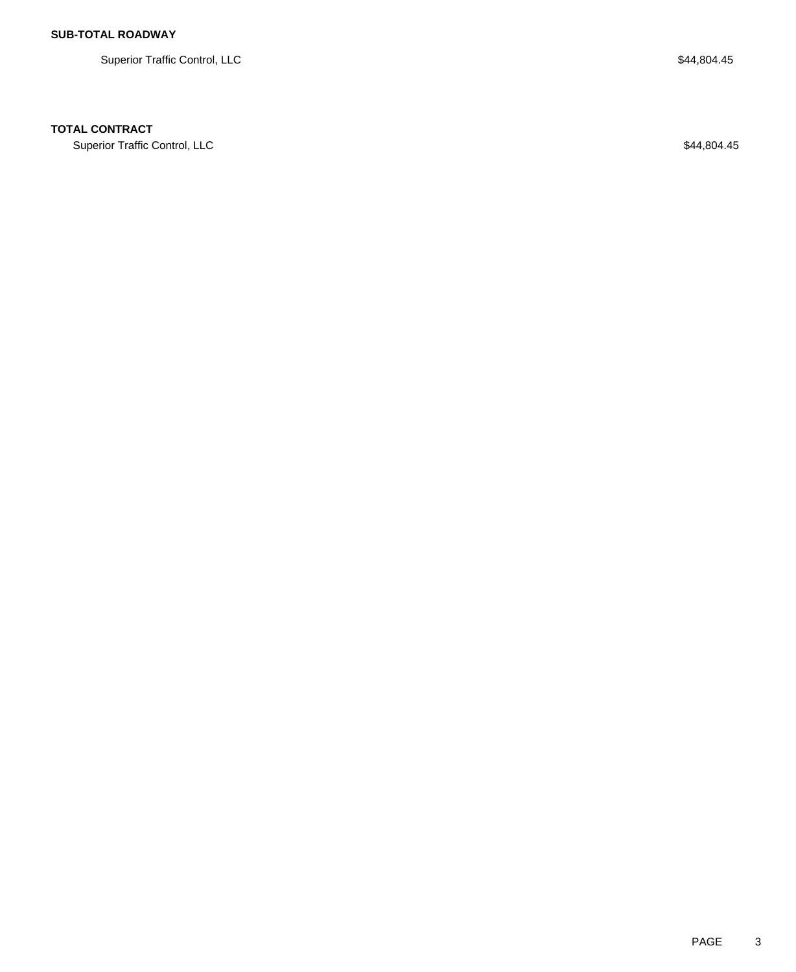Superior Traffic Control, LLC \$44,804.45

## **TOTAL CONTRACT**

Superior Traffic Control, LLC \$44,804.45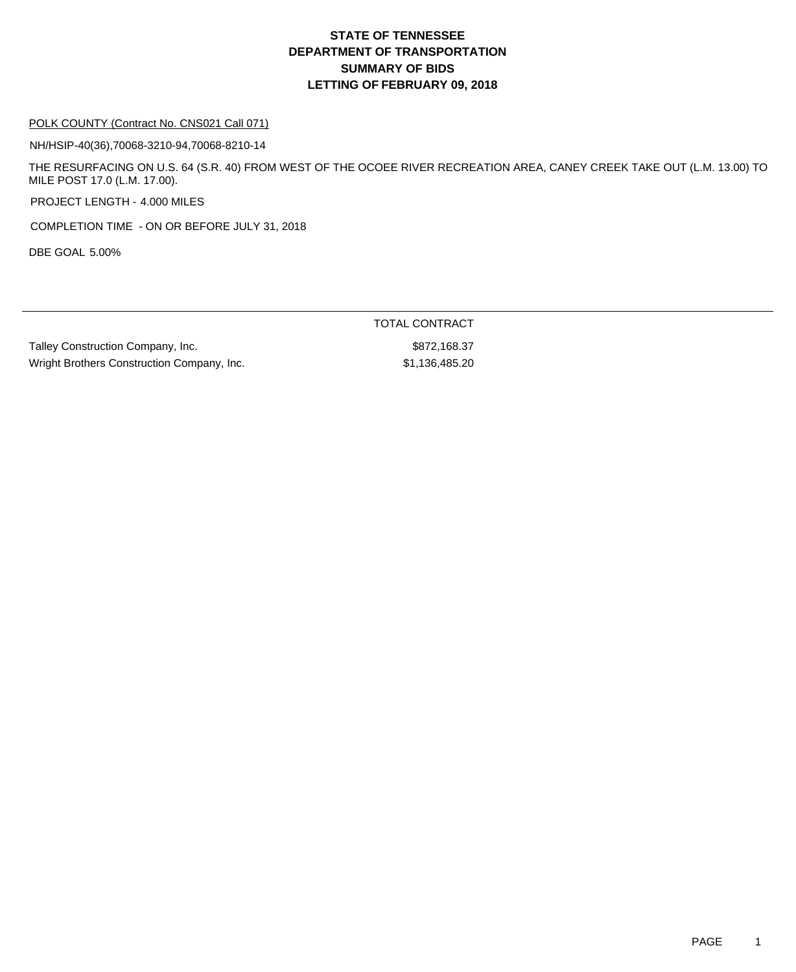### POLK COUNTY (Contract No. CNS021 Call 071)

NH/HSIP-40(36),70068-3210-94,70068-8210-14

THE RESURFACING ON U.S. 64 (S.R. 40) FROM WEST OF THE OCOEE RIVER RECREATION AREA, CANEY CREEK TAKE OUT (L.M. 13.00) TO MILE POST 17.0 (L.M. 17.00).

PROJECT LENGTH - 4.000 MILES

COMPLETION TIME - ON OR BEFORE JULY 31, 2018

DBE GOAL 5.00%

Talley Construction Company, Inc. 6. The state of the state of the state state state state state state state state state state state state state state state state state state state state state state state state state state Wright Brothers Construction Company, Inc.  $$1,136,485.20$ 

TOTAL CONTRACT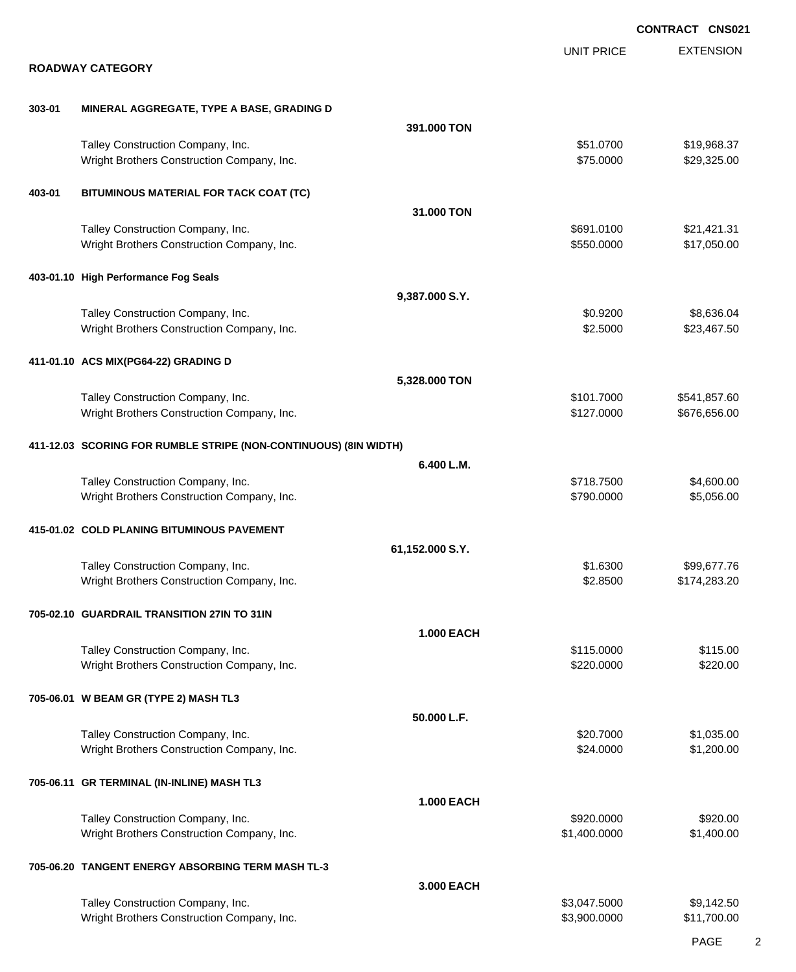|        |                                                                                 |                   |                              | <b>CONTRACT CNS021</b>       |
|--------|---------------------------------------------------------------------------------|-------------------|------------------------------|------------------------------|
|        |                                                                                 |                   | <b>UNIT PRICE</b>            | <b>EXTENSION</b>             |
|        | <b>ROADWAY CATEGORY</b>                                                         |                   |                              |                              |
| 303-01 | MINERAL AGGREGATE, TYPE A BASE, GRADING D                                       |                   |                              |                              |
|        |                                                                                 | 391,000 TON       |                              |                              |
|        | Talley Construction Company, Inc.<br>Wright Brothers Construction Company, Inc. |                   | \$51.0700<br>\$75.0000       | \$19,968.37<br>\$29,325.00   |
| 403-01 | BITUMINOUS MATERIAL FOR TACK COAT (TC)                                          |                   |                              |                              |
|        |                                                                                 | 31,000 TON        |                              |                              |
|        | Talley Construction Company, Inc.<br>Wright Brothers Construction Company, Inc. |                   | \$691.0100<br>\$550.0000     | \$21,421.31<br>\$17,050.00   |
|        | 403-01.10 High Performance Fog Seals                                            |                   |                              |                              |
|        |                                                                                 | 9,387.000 S.Y.    |                              |                              |
|        | Talley Construction Company, Inc.<br>Wright Brothers Construction Company, Inc. |                   | \$0.9200<br>\$2.5000         | \$8,636.04<br>\$23,467.50    |
|        | 411-01.10 ACS MIX(PG64-22) GRADING D                                            |                   |                              |                              |
|        |                                                                                 | 5,328.000 TON     |                              |                              |
|        | Talley Construction Company, Inc.<br>Wright Brothers Construction Company, Inc. |                   | \$101.7000<br>\$127.0000     | \$541,857.60<br>\$676,656.00 |
|        | 411-12.03 SCORING FOR RUMBLE STRIPE (NON-CONTINUOUS) (8IN WIDTH)                |                   |                              |                              |
|        |                                                                                 | 6.400 L.M.        |                              |                              |
|        | Talley Construction Company, Inc.<br>Wright Brothers Construction Company, Inc. |                   | \$718.7500<br>\$790.0000     | \$4,600.00<br>\$5,056.00     |
|        | 415-01.02 COLD PLANING BITUMINOUS PAVEMENT                                      |                   |                              |                              |
|        |                                                                                 | 61,152.000 S.Y.   |                              |                              |
|        | Talley Construction Company, Inc.<br>Wright Brothers Construction Company, Inc. |                   | \$1.6300<br>\$2.8500         | \$99,677.76<br>\$174,283.20  |
|        | 705-02.10 GUARDRAIL TRANSITION 27IN TO 31IN                                     |                   |                              |                              |
|        |                                                                                 | <b>1.000 EACH</b> |                              |                              |
|        | Talley Construction Company, Inc.<br>Wright Brothers Construction Company, Inc. |                   | \$115.0000<br>\$220.0000     | \$115.00<br>\$220.00         |
|        | 705-06.01 W BEAM GR (TYPE 2) MASH TL3                                           |                   |                              |                              |
|        |                                                                                 | 50.000 L.F.       |                              |                              |
|        | Talley Construction Company, Inc.<br>Wright Brothers Construction Company, Inc. |                   | \$20.7000<br>\$24.0000       | \$1,035.00<br>\$1,200.00     |
|        | 705-06.11 GR TERMINAL (IN-INLINE) MASH TL3                                      |                   |                              |                              |
|        | Talley Construction Company, Inc.                                               | <b>1.000 EACH</b> | \$920.0000                   | \$920.00                     |
|        | Wright Brothers Construction Company, Inc.                                      |                   | \$1,400.0000                 | \$1,400.00                   |
|        | 705-06.20 TANGENT ENERGY ABSORBING TERM MASH TL-3                               |                   |                              |                              |
|        |                                                                                 | 3.000 EACH        |                              |                              |
|        | Talley Construction Company, Inc.<br>Wright Brothers Construction Company, Inc. |                   | \$3,047.5000<br>\$3,900.0000 | \$9,142.50<br>\$11,700.00    |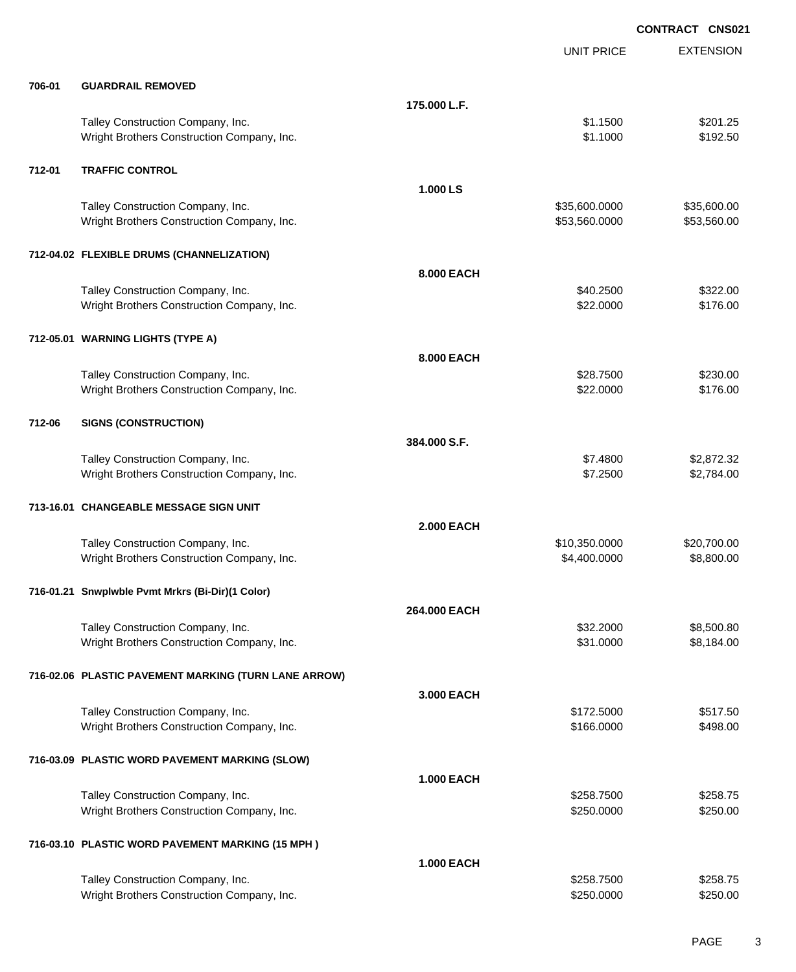|        |                                                                                 |                   | <b>CONTRACT CNS021</b>         |                            |
|--------|---------------------------------------------------------------------------------|-------------------|--------------------------------|----------------------------|
|        |                                                                                 |                   | <b>UNIT PRICE</b>              | <b>EXTENSION</b>           |
| 706-01 | <b>GUARDRAIL REMOVED</b>                                                        |                   |                                |                            |
|        |                                                                                 | 175.000 L.F.      |                                |                            |
|        | Talley Construction Company, Inc.<br>Wright Brothers Construction Company, Inc. |                   | \$1.1500<br>\$1.1000           | \$201.25<br>\$192.50       |
| 712-01 | <b>TRAFFIC CONTROL</b>                                                          |                   |                                |                            |
|        |                                                                                 | 1.000 LS          |                                |                            |
|        | Talley Construction Company, Inc.<br>Wright Brothers Construction Company, Inc. |                   | \$35,600.0000<br>\$53,560.0000 | \$35,600.00<br>\$53,560.00 |
|        | 712-04.02 FLEXIBLE DRUMS (CHANNELIZATION)                                       |                   |                                |                            |
|        |                                                                                 | 8.000 EACH        |                                |                            |
|        | Talley Construction Company, Inc.<br>Wright Brothers Construction Company, Inc. |                   | \$40.2500<br>\$22.0000         | \$322.00<br>\$176.00       |
|        | 712-05.01 WARNING LIGHTS (TYPE A)                                               |                   |                                |                            |
|        |                                                                                 | 8.000 EACH        |                                |                            |
|        | Talley Construction Company, Inc.<br>Wright Brothers Construction Company, Inc. |                   | \$28.7500<br>\$22.0000         | \$230.00<br>\$176.00       |
| 712-06 | <b>SIGNS (CONSTRUCTION)</b>                                                     |                   |                                |                            |
|        |                                                                                 | 384,000 S.F.      |                                |                            |
|        | Talley Construction Company, Inc.<br>Wright Brothers Construction Company, Inc. |                   | \$7.4800<br>\$7.2500           | \$2,872.32<br>\$2,784.00   |
|        | 713-16.01 CHANGEABLE MESSAGE SIGN UNIT                                          |                   |                                |                            |
|        |                                                                                 | <b>2.000 EACH</b> |                                |                            |
|        | Talley Construction Company, Inc.                                               |                   | \$10,350.0000                  | \$20,700.00                |
|        | Wright Brothers Construction Company, Inc.                                      |                   | \$4,400.0000                   | \$8,800.00                 |
|        | 716-01.21 Snwplwble Pvmt Mrkrs (Bi-Dir)(1 Color)                                |                   |                                |                            |
|        |                                                                                 | 264,000 EACH      |                                |                            |
|        | Talley Construction Company, Inc.                                               |                   | \$32,2000                      | \$8,500.80                 |
|        | Wright Brothers Construction Company, Inc.                                      |                   | \$31.0000                      | \$8,184.00                 |
|        | 716-02.06 PLASTIC PAVEMENT MARKING (TURN LANE ARROW)                            |                   |                                |                            |
|        |                                                                                 | 3,000 EACH        |                                |                            |
|        | Talley Construction Company, Inc.<br>Wright Brothers Construction Company, Inc. |                   | \$172.5000<br>\$166.0000       | \$517.50<br>\$498.00       |
|        | 716-03.09 PLASTIC WORD PAVEMENT MARKING (SLOW)                                  |                   |                                |                            |
|        |                                                                                 | <b>1.000 EACH</b> |                                |                            |
|        | Talley Construction Company, Inc.                                               |                   | \$258.7500                     | \$258.75                   |
|        | Wright Brothers Construction Company, Inc.                                      |                   | \$250.0000                     | \$250.00                   |
|        | 716-03.10 PLASTIC WORD PAVEMENT MARKING (15 MPH)                                |                   |                                |                            |
|        |                                                                                 | <b>1.000 EACH</b> |                                |                            |
|        | Talley Construction Company, Inc.                                               |                   | \$258.7500                     | \$258.75                   |
|        | Wright Brothers Construction Company, Inc.                                      |                   | \$250.0000                     | \$250.00                   |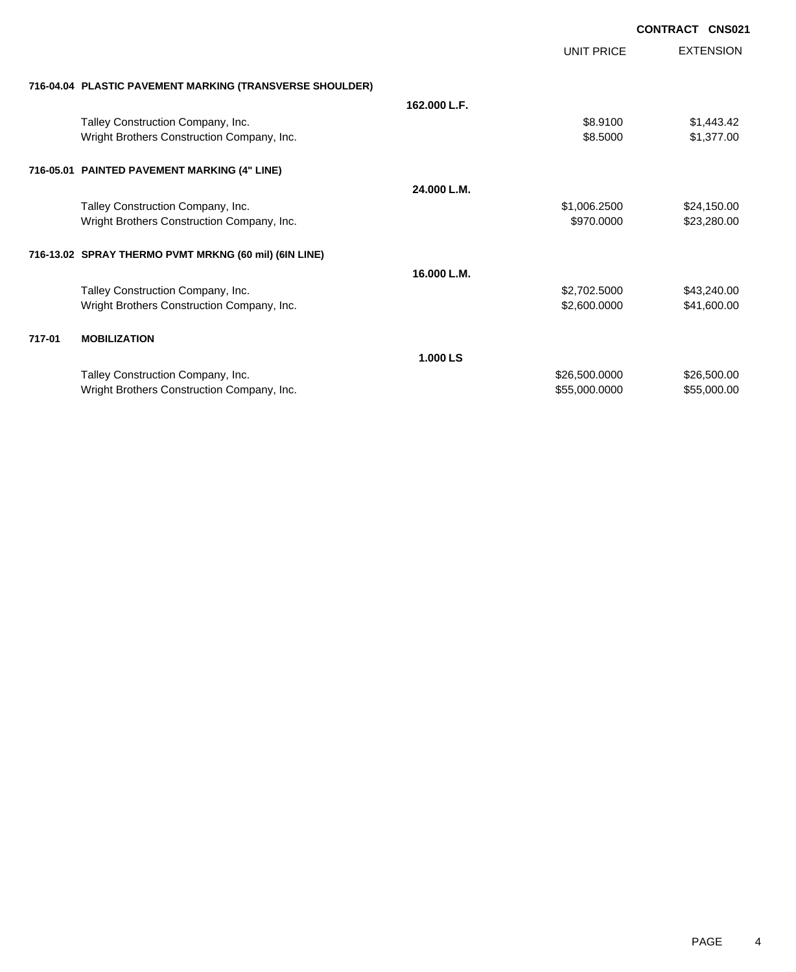|        |                                                                                                             |              |                   | <b>CONTRACT CNS021</b>     |
|--------|-------------------------------------------------------------------------------------------------------------|--------------|-------------------|----------------------------|
|        |                                                                                                             |              | <b>UNIT PRICE</b> | <b>EXTENSION</b>           |
|        | 716-04.04 PLASTIC PAVEMENT MARKING (TRANSVERSE SHOULDER)                                                    |              |                   |                            |
|        |                                                                                                             | 162.000 L.F. |                   |                            |
|        | Talley Construction Company, Inc.                                                                           |              | \$8,9100          | \$1,443.42                 |
|        | Wright Brothers Construction Company, Inc.                                                                  |              | \$8.5000          | \$1,377.00                 |
|        | 716-05.01 PAINTED PAVEMENT MARKING (4" LINE)                                                                |              |                   |                            |
|        |                                                                                                             | 24.000 L.M.  |                   |                            |
|        |                                                                                                             |              | \$1,006.2500      | \$24,150.00                |
|        | Wright Brothers Construction Company, Inc.                                                                  |              | \$970.0000        | \$23,280.00                |
|        | 716-13.02 SPRAY THERMO PVMT MRKNG (60 mil) (6IN LINE)                                                       |              |                   |                            |
|        |                                                                                                             | 16.000 L.M.  |                   |                            |
|        |                                                                                                             |              | \$2,702.5000      |                            |
|        | Wright Brothers Construction Company, Inc.                                                                  |              | \$2,600.0000      | \$41,600.00                |
| 717-01 | <b>MOBILIZATION</b>                                                                                         |              |                   |                            |
|        |                                                                                                             | 1.000 LS     |                   |                            |
|        |                                                                                                             |              |                   |                            |
|        | Wright Brothers Construction Company, Inc.                                                                  |              | \$55,000.0000     | \$55,000.00                |
|        | Talley Construction Company, Inc.<br>Talley Construction Company, Inc.<br>Talley Construction Company, Inc. |              | \$26,500.0000     | \$43,240.00<br>\$26,500.00 |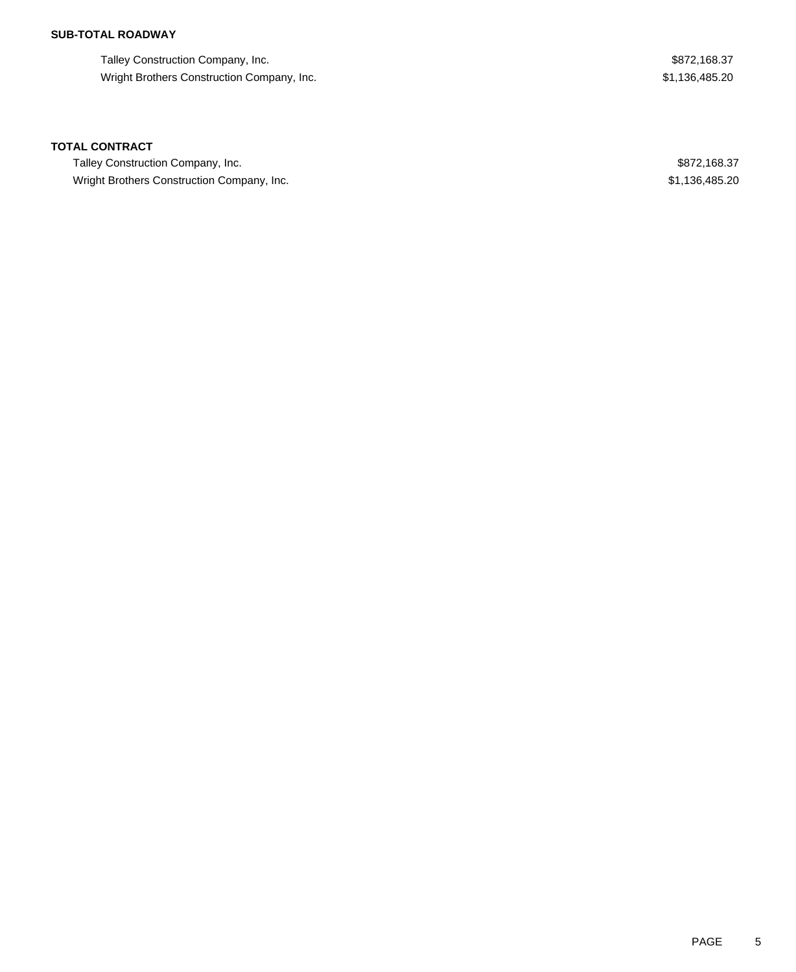## **SUB-TOTAL ROADWAY**

Talley Construction Company, Inc. 6. The state of the state of the state of the state of the state of the state of the state of the state of the state of the state of the state of the state of the state of the state of the Wright Brothers Construction Company, Inc. 61,136,485.20

### **TOTAL CONTRACT**

Talley Construction Company, Inc. 6. The state of the state of the state of the state of the state of the state of the state of the state of the state of the state of the state of the state of the state of the state of the Wright Brothers Construction Company, Inc. 6. The Second Studies of the Studies of the Studies of Studies and Studies and Studies of Studies and Studies and Studies and Studies and Studies and Studies and Studies and Studi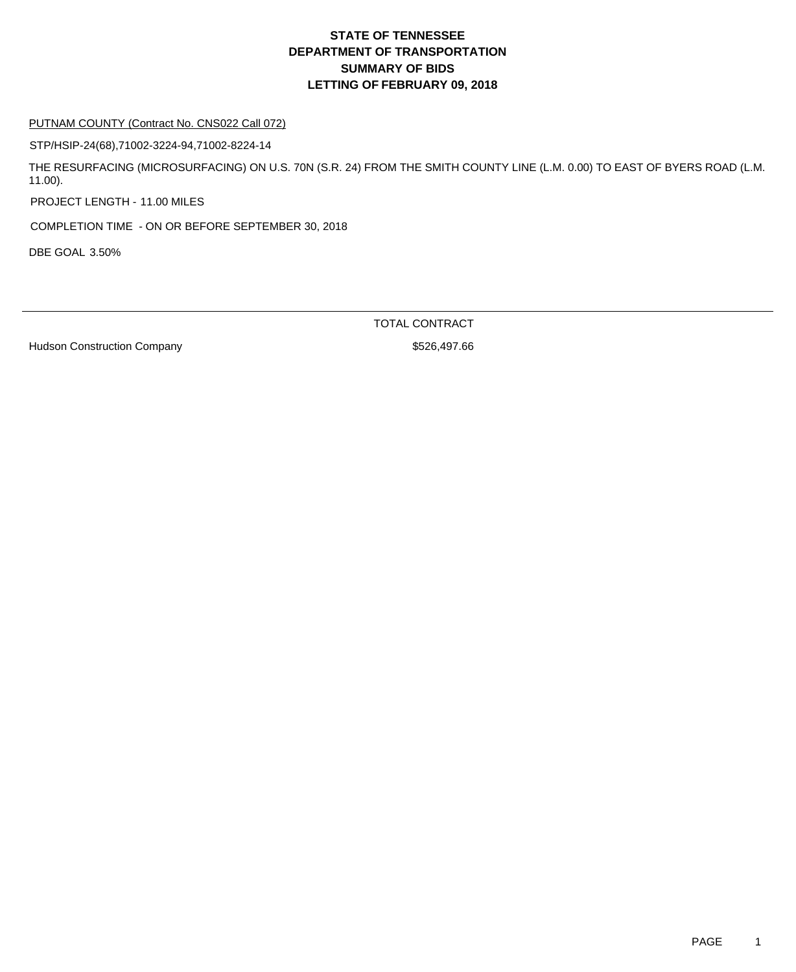#### PUTNAM COUNTY (Contract No. CNS022 Call 072)

STP/HSIP-24(68),71002-3224-94,71002-8224-14

THE RESURFACING (MICROSURFACING) ON U.S. 70N (S.R. 24) FROM THE SMITH COUNTY LINE (L.M. 0.00) TO EAST OF BYERS ROAD (L.M. 11.00).

PROJECT LENGTH - 11.00 MILES

COMPLETION TIME - ON OR BEFORE SEPTEMBER 30, 2018

DBE GOAL 3.50%

TOTAL CONTRACT

Hudson Construction Company **\$526,497.66**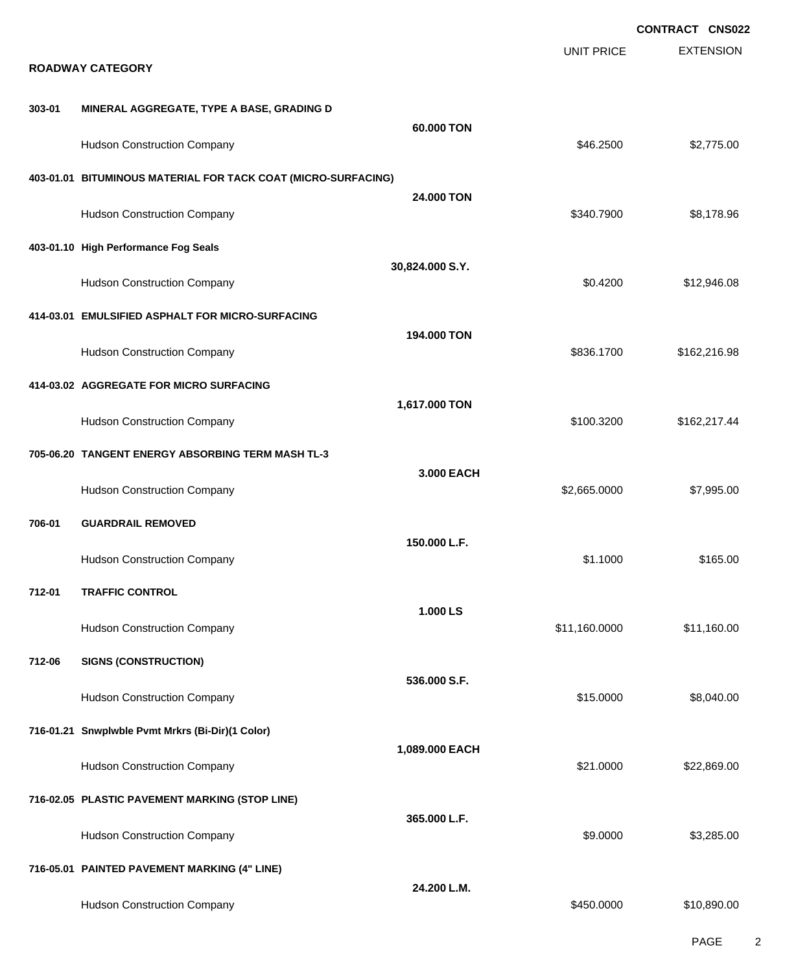|        |                                                                |                 |                   | <b>CONTRACT CNS022</b> |
|--------|----------------------------------------------------------------|-----------------|-------------------|------------------------|
|        | <b>ROADWAY CATEGORY</b>                                        |                 | <b>UNIT PRICE</b> | <b>EXTENSION</b>       |
| 303-01 | MINERAL AGGREGATE, TYPE A BASE, GRADING D                      |                 |                   |                        |
|        | <b>Hudson Construction Company</b>                             | 60,000 TON      | \$46.2500         | \$2,775.00             |
|        | 403-01.01 BITUMINOUS MATERIAL FOR TACK COAT (MICRO-SURFACING)  |                 |                   |                        |
|        | <b>Hudson Construction Company</b>                             | 24.000 TON      | \$340.7900        | \$8,178.96             |
|        | 403-01.10 High Performance Fog Seals                           | 30,824.000 S.Y. |                   |                        |
|        | <b>Hudson Construction Company</b>                             |                 | \$0.4200          | \$12,946.08            |
|        | 414-03.01 EMULSIFIED ASPHALT FOR MICRO-SURFACING               | 194.000 TON     |                   |                        |
|        | <b>Hudson Construction Company</b>                             |                 | \$836.1700        | \$162,216.98           |
|        | 414-03.02 AGGREGATE FOR MICRO SURFACING                        | 1,617.000 TON   |                   |                        |
|        | <b>Hudson Construction Company</b>                             |                 | \$100.3200        | \$162,217.44           |
|        | 705-06.20 TANGENT ENERGY ABSORBING TERM MASH TL-3              | 3.000 EACH      |                   |                        |
| 706-01 | <b>Hudson Construction Company</b><br><b>GUARDRAIL REMOVED</b> |                 | \$2,665.0000      | \$7,995.00             |
|        | <b>Hudson Construction Company</b>                             | 150.000 L.F.    | \$1.1000          | \$165.00               |
| 712-01 | <b>TRAFFIC CONTROL</b>                                         |                 |                   |                        |
|        | <b>Hudson Construction Company</b>                             | 1.000 LS        | \$11,160.0000     | \$11,160.00            |
| 712-06 | <b>SIGNS (CONSTRUCTION)</b>                                    |                 |                   |                        |
|        | <b>Hudson Construction Company</b>                             | 536.000 S.F.    | \$15.0000         | \$8,040.00             |
|        | 716-01.21 Snwplwble Pvmt Mrkrs (Bi-Dir)(1 Color)               | 1,089.000 EACH  |                   |                        |
|        | <b>Hudson Construction Company</b>                             |                 | \$21.0000         | \$22,869.00            |
|        | 716-02.05 PLASTIC PAVEMENT MARKING (STOP LINE)                 | 365.000 L.F.    |                   |                        |
|        | <b>Hudson Construction Company</b>                             |                 | \$9.0000          | \$3,285.00             |
|        | 716-05.01 PAINTED PAVEMENT MARKING (4" LINE)                   | 24.200 L.M.     |                   |                        |
|        | <b>Hudson Construction Company</b>                             |                 | \$450.0000        | \$10,890.00            |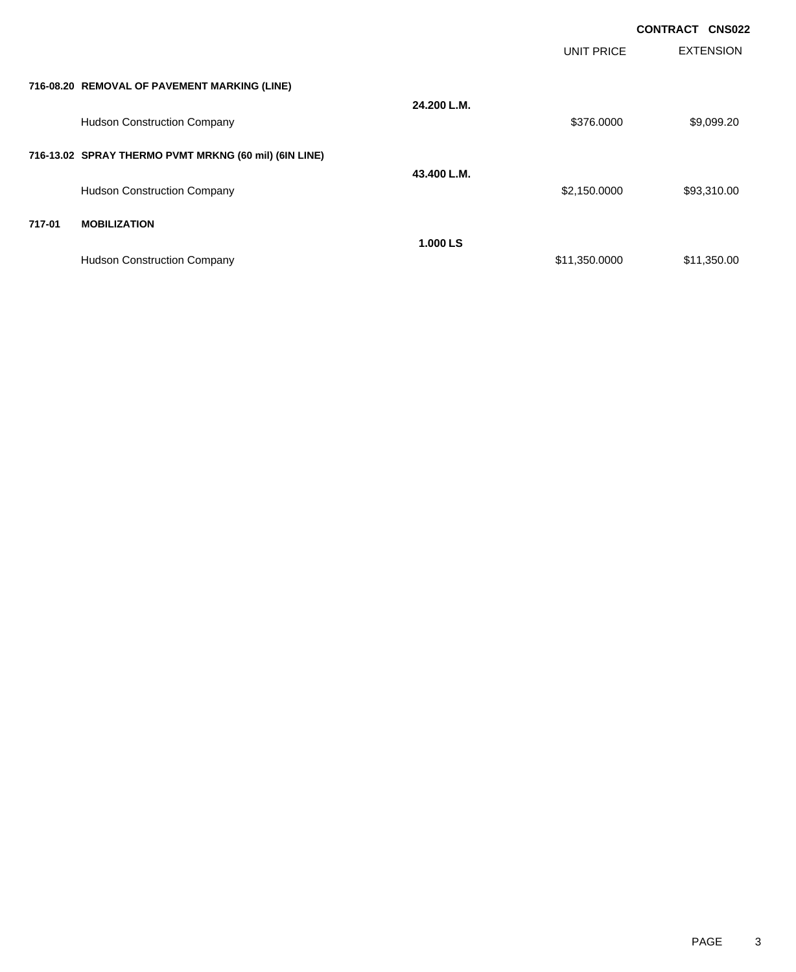|        |                                                       |             |                   | <b>CONTRACT</b><br><b>CNS022</b> |
|--------|-------------------------------------------------------|-------------|-------------------|----------------------------------|
|        |                                                       |             | <b>UNIT PRICE</b> | <b>EXTENSION</b>                 |
|        | 716-08.20 REMOVAL OF PAVEMENT MARKING (LINE)          |             |                   |                                  |
|        | <b>Hudson Construction Company</b>                    | 24.200 L.M. | \$376.0000        | \$9,099.20                       |
|        |                                                       |             |                   |                                  |
|        | 716-13.02 SPRAY THERMO PVMT MRKNG (60 mil) (6IN LINE) | 43.400 L.M. |                   |                                  |
|        | <b>Hudson Construction Company</b>                    |             | \$2,150.0000      | \$93,310.00                      |
| 717-01 | <b>MOBILIZATION</b>                                   |             |                   |                                  |
|        |                                                       | 1.000 LS    |                   |                                  |
|        | <b>Hudson Construction Company</b>                    |             | \$11,350.0000     | \$11,350.00                      |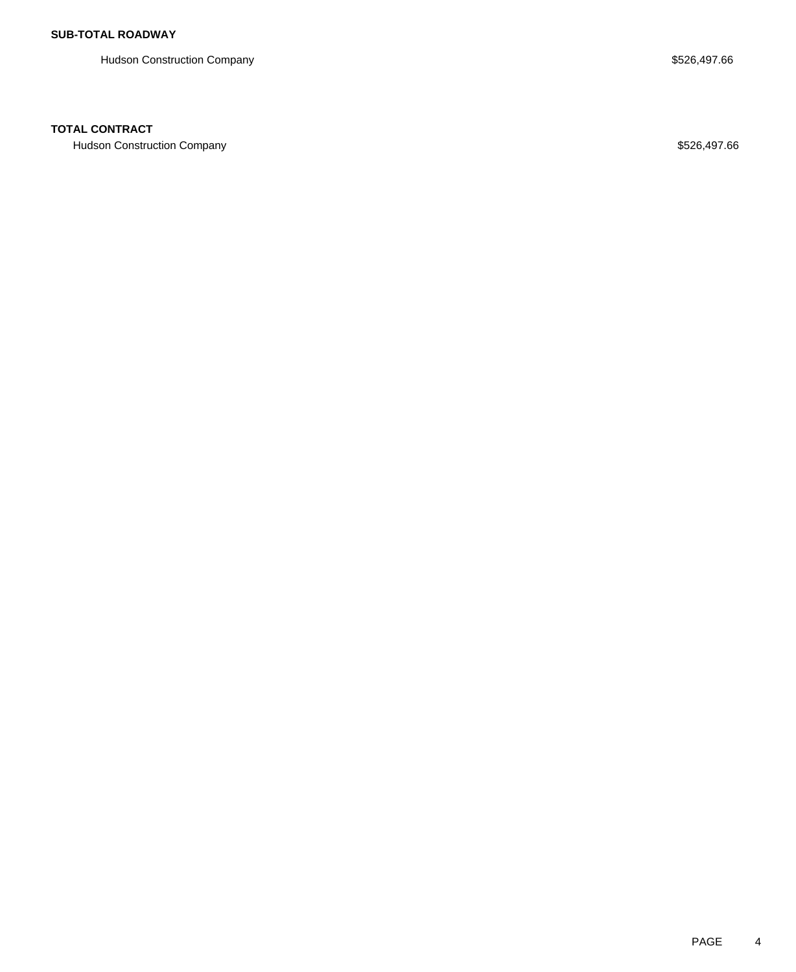Hudson Construction Company **Example 2018** 3526,497.66

## **TOTAL CONTRACT**

Hudson Construction Company **\$526,497.66**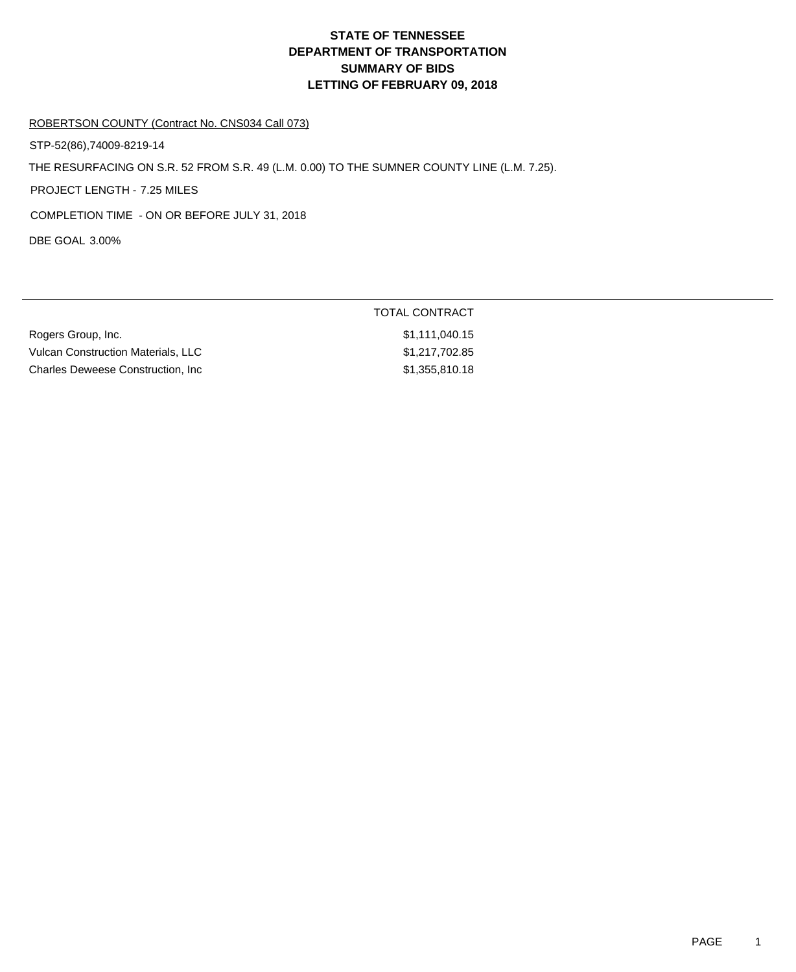TOTAL CONTRACT

### ROBERTSON COUNTY (Contract No. CNS034 Call 073)

STP-52(86),74009-8219-14

THE RESURFACING ON S.R. 52 FROM S.R. 49 (L.M. 0.00) TO THE SUMNER COUNTY LINE (L.M. 7.25).

PROJECT LENGTH - 7.25 MILES

COMPLETION TIME - ON OR BEFORE JULY 31, 2018

DBE GOAL 3.00%

| Rogers Group, Inc.                 | \$1.111.040.15 |
|------------------------------------|----------------|
| Vulcan Construction Materials. LLC | \$1.217.702.85 |
| Charles Deweese Construction, Inc  | \$1,355,810.18 |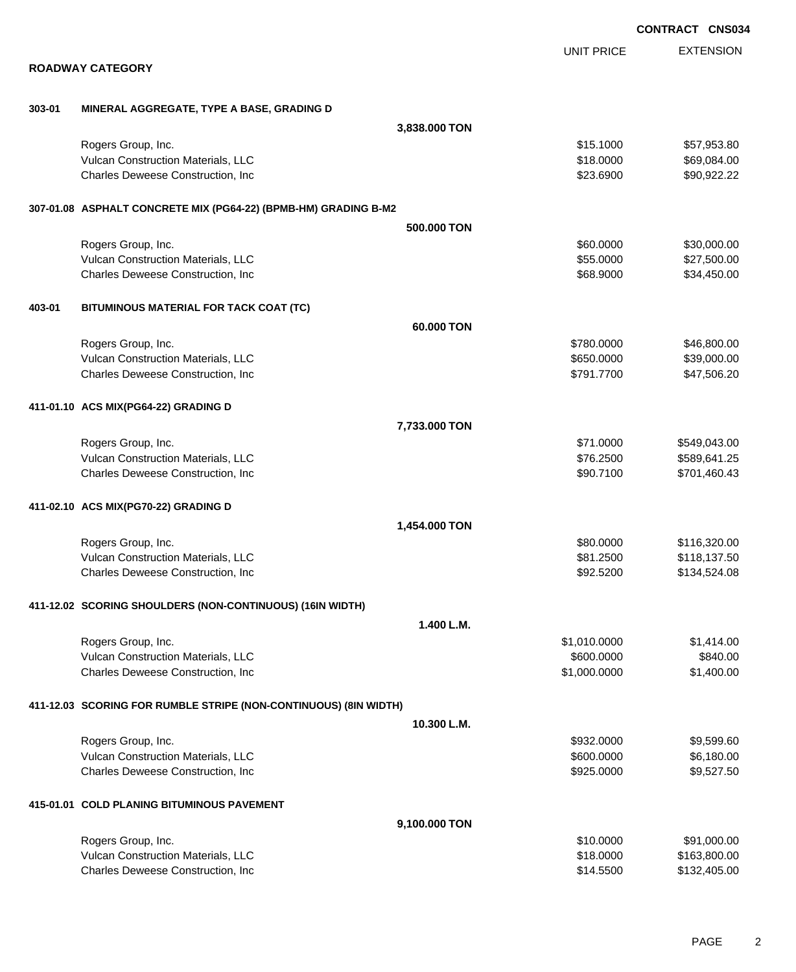|        |                                                                  |                   | <b>CONTRACT CNS03</b> |
|--------|------------------------------------------------------------------|-------------------|-----------------------|
|        |                                                                  | <b>UNIT PRICE</b> | <b>EXTENSION</b>      |
|        | <b>ROADWAY CATEGORY</b>                                          |                   |                       |
| 303-01 | MINERAL AGGREGATE, TYPE A BASE, GRADING D                        |                   |                       |
|        | 3,838.000 TON                                                    |                   |                       |
|        | Rogers Group, Inc.                                               | \$15.1000         | \$57,953.80           |
|        | Vulcan Construction Materials, LLC                               | \$18.0000         | \$69,084.00           |
|        | Charles Deweese Construction, Inc.                               | \$23.6900         | \$90,922.22           |
|        | 307-01.08 ASPHALT CONCRETE MIX (PG64-22) (BPMB-HM) GRADING B-M2  |                   |                       |
|        | 500.000 TON                                                      |                   |                       |
|        | Rogers Group, Inc.                                               | \$60.0000         | \$30,000.00           |
|        | Vulcan Construction Materials, LLC                               | \$55.0000         | \$27,500.00           |
|        | Charles Deweese Construction, Inc.                               | \$68.9000         | \$34,450.00           |
| 403-01 | BITUMINOUS MATERIAL FOR TACK COAT (TC)                           |                   |                       |
|        | 60.000 TON                                                       |                   |                       |
|        | Rogers Group, Inc.                                               | \$780.0000        | \$46,800.00           |
|        | Vulcan Construction Materials, LLC                               | \$650.0000        | \$39,000.00           |
|        | Charles Deweese Construction, Inc.                               | \$791.7700        | \$47,506.20           |
|        | 411-01.10 ACS MIX(PG64-22) GRADING D                             |                   |                       |
|        | 7,733.000 TON                                                    |                   |                       |
|        | Rogers Group, Inc.                                               | \$71.0000         | \$549,043.00          |
|        | Vulcan Construction Materials, LLC                               | \$76.2500         | \$589,641.25          |
|        | Charles Deweese Construction, Inc.                               | \$90.7100         | \$701,460.43          |
|        | 411-02.10 ACS MIX(PG70-22) GRADING D                             |                   |                       |
|        | 1,454.000 TON                                                    |                   |                       |
|        | Rogers Group, Inc.                                               | \$80.0000         | \$116,320.00          |
|        | Vulcan Construction Materials, LLC                               | \$81.2500         | \$118,137.50          |
|        | Charles Deweese Construction, Inc                                | \$92.5200         | \$134,524.08          |
|        | 411-12.02 SCORING SHOULDERS (NON-CONTINUOUS) (16IN WIDTH)        |                   |                       |
|        | 1.400 L.M.                                                       |                   |                       |
|        | Rogers Group, Inc.                                               | \$1,010.0000      | \$1,414.00            |
|        | Vulcan Construction Materials, LLC                               | \$600.0000        | \$840.00              |
|        | Charles Deweese Construction, Inc.                               | \$1,000.0000      | \$1,400.00            |
|        | 411-12.03 SCORING FOR RUMBLE STRIPE (NON-CONTINUOUS) (8IN WIDTH) |                   |                       |
|        | 10.300 L.M.                                                      |                   |                       |
|        | Rogers Group, Inc.                                               | \$932.0000        | \$9,599.60            |
|        | Vulcan Construction Materials, LLC                               | \$600.0000        | \$6,180.00            |
|        | Charles Deweese Construction, Inc.                               | \$925.0000        | \$9,527.50            |
|        | 415-01.01 COLD PLANING BITUMINOUS PAVEMENT                       |                   |                       |
|        | 9,100.000 TON                                                    |                   |                       |
|        | Rogers Group, Inc.                                               | \$10.0000         | \$91,000.00           |
|        | Vulcan Construction Materials, LLC                               | \$18.0000         | \$163,800.00          |
|        | Charles Deweese Construction, Inc                                | \$14.5500         | \$132,405.00          |

**CONTRACT CNS034**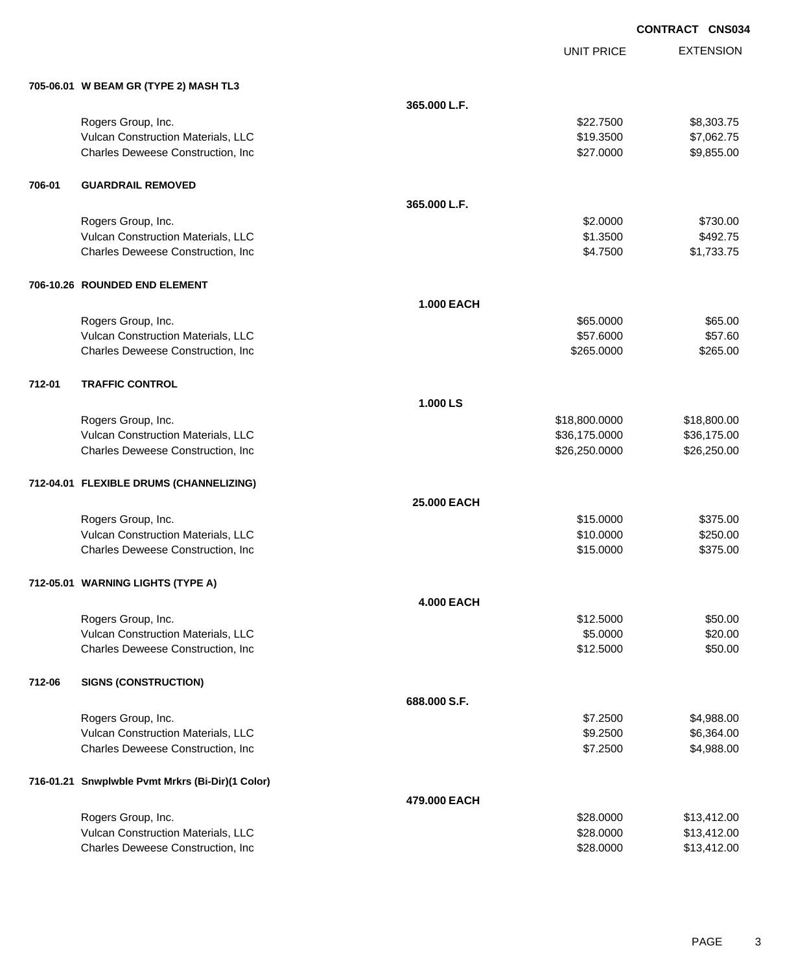**CONTRACT CNS034**

UNIT PRICE

EXTENSION

|        | 705-06.01 W BEAM GR (TYPE 2) MASH TL3            |                   |               |             |
|--------|--------------------------------------------------|-------------------|---------------|-------------|
|        |                                                  | 365.000 L.F.      |               |             |
|        | Rogers Group, Inc.                               |                   | \$22,7500     | \$8,303.75  |
|        | Vulcan Construction Materials, LLC               |                   | \$19.3500     | \$7,062.75  |
|        | Charles Deweese Construction, Inc                |                   | \$27.0000     | \$9,855.00  |
| 706-01 | <b>GUARDRAIL REMOVED</b>                         |                   |               |             |
|        |                                                  | 365.000 L.F.      |               |             |
|        | Rogers Group, Inc.                               |                   | \$2.0000      | \$730.00    |
|        | Vulcan Construction Materials, LLC               |                   | \$1.3500      | \$492.75    |
|        | Charles Deweese Construction, Inc.               |                   | \$4.7500      | \$1,733.75  |
|        | 706-10.26 ROUNDED END ELEMENT                    |                   |               |             |
|        |                                                  | <b>1.000 EACH</b> |               |             |
|        | Rogers Group, Inc.                               |                   | \$65.0000     | \$65.00     |
|        | Vulcan Construction Materials, LLC               |                   | \$57.6000     | \$57.60     |
|        | Charles Deweese Construction, Inc.               |                   | \$265.0000    | \$265.00    |
| 712-01 | <b>TRAFFIC CONTROL</b>                           |                   |               |             |
|        |                                                  | 1.000 LS          |               |             |
|        | Rogers Group, Inc.                               |                   | \$18,800.0000 | \$18,800.00 |
|        | Vulcan Construction Materials, LLC               |                   | \$36,175.0000 | \$36,175.00 |
|        | Charles Deweese Construction, Inc                |                   | \$26,250.0000 | \$26,250.00 |
|        | 712-04.01 FLEXIBLE DRUMS (CHANNELIZING)          |                   |               |             |
|        |                                                  | 25.000 EACH       |               |             |
|        | Rogers Group, Inc.                               |                   | \$15.0000     | \$375.00    |
|        | Vulcan Construction Materials, LLC               |                   | \$10.0000     | \$250.00    |
|        | Charles Deweese Construction, Inc                |                   | \$15.0000     | \$375.00    |
|        | 712-05.01 WARNING LIGHTS (TYPE A)                |                   |               |             |
|        |                                                  | <b>4.000 EACH</b> |               |             |
|        | Rogers Group, Inc.                               |                   | \$12.5000     | \$50.00     |
|        | Vulcan Construction Materials, LLC               |                   | \$5.0000      | \$20.00     |
|        | Charles Deweese Construction, Inc                |                   | \$12.5000     | \$50.00     |
| 712-06 | <b>SIGNS (CONSTRUCTION)</b>                      |                   |               |             |
|        |                                                  | 688.000 S.F.      |               |             |
|        | Rogers Group, Inc.                               |                   | \$7.2500      | \$4,988.00  |
|        | Vulcan Construction Materials, LLC               |                   | \$9.2500      | \$6,364.00  |
|        | Charles Deweese Construction, Inc                |                   | \$7.2500      | \$4,988.00  |
|        | 716-01.21 Snwplwble Pvmt Mrkrs (Bi-Dir)(1 Color) |                   |               |             |
|        |                                                  | 479.000 EACH      |               |             |
|        | Rogers Group, Inc.                               |                   | \$28.0000     | \$13,412.00 |
|        | Vulcan Construction Materials, LLC               |                   | \$28.0000     | \$13,412.00 |
|        | Charles Deweese Construction, Inc                |                   | \$28.0000     | \$13,412.00 |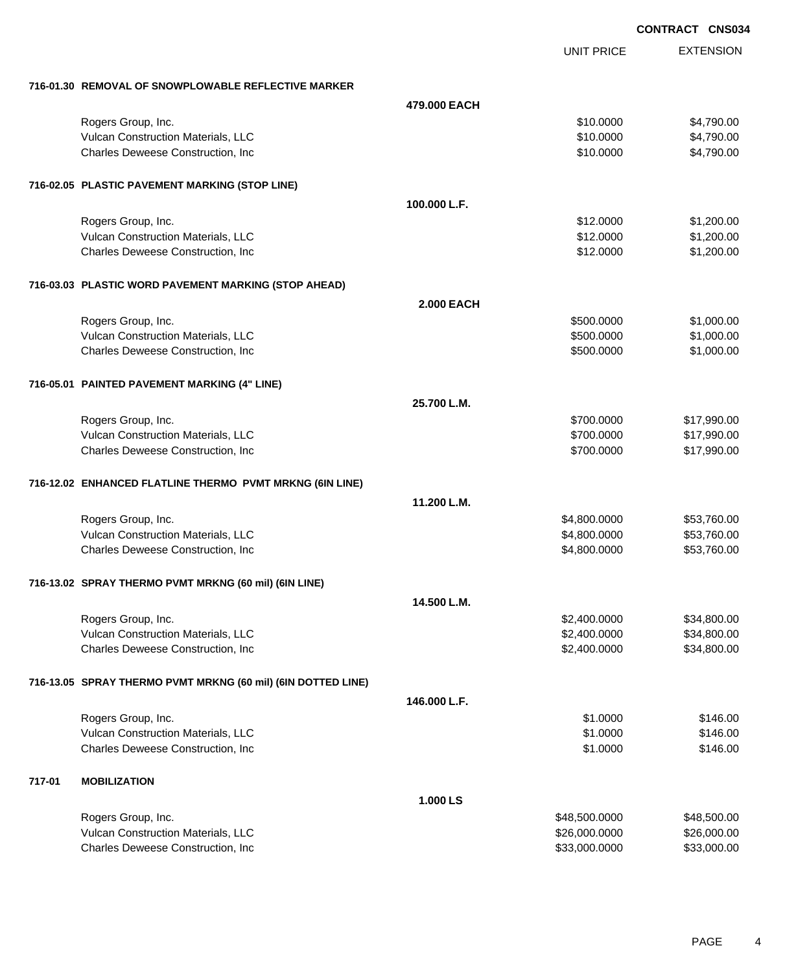|                                                              |                   | <b>CONTRACT CNS034</b> |                  |  |
|--------------------------------------------------------------|-------------------|------------------------|------------------|--|
|                                                              |                   | <b>UNIT PRICE</b>      | <b>EXTENSION</b> |  |
| 716-01.30 REMOVAL OF SNOWPLOWABLE REFLECTIVE MARKER          |                   |                        |                  |  |
|                                                              | 479,000 EACH      |                        |                  |  |
| Rogers Group, Inc.                                           |                   | \$10.0000              | \$4,790.00       |  |
| Vulcan Construction Materials, LLC                           |                   | \$10.0000              | \$4,790.00       |  |
| Charles Deweese Construction, Inc                            |                   | \$10.0000              | \$4,790.00       |  |
| 716-02.05 PLASTIC PAVEMENT MARKING (STOP LINE)               |                   |                        |                  |  |
|                                                              | 100.000 L.F.      |                        |                  |  |
| Rogers Group, Inc.                                           |                   | \$12.0000              | \$1,200.00       |  |
| Vulcan Construction Materials, LLC                           |                   | \$12.0000              | \$1,200.00       |  |
| Charles Deweese Construction, Inc                            |                   | \$12.0000              | \$1,200.00       |  |
| 716-03.03 PLASTIC WORD PAVEMENT MARKING (STOP AHEAD)         |                   |                        |                  |  |
|                                                              | <b>2.000 EACH</b> |                        |                  |  |
| Rogers Group, Inc.                                           |                   | \$500.0000             | \$1,000.00       |  |
| Vulcan Construction Materials, LLC                           |                   | \$500.0000             | \$1,000.00       |  |
| Charles Deweese Construction, Inc                            |                   | \$500.0000             | \$1,000.00       |  |
| 716-05.01 PAINTED PAVEMENT MARKING (4" LINE)                 |                   |                        |                  |  |
|                                                              | 25.700 L.M.       |                        |                  |  |
| Rogers Group, Inc.                                           |                   | \$700.0000             | \$17,990.00      |  |
| Vulcan Construction Materials, LLC                           |                   | \$700.0000             | \$17,990.00      |  |
| Charles Deweese Construction, Inc                            |                   | \$700.0000             | \$17,990.00      |  |
| 716-12.02 ENHANCED FLATLINE THERMO PVMT MRKNG (6IN LINE)     |                   |                        |                  |  |
|                                                              | 11.200 L.M.       |                        |                  |  |
| Rogers Group, Inc.                                           |                   | \$4,800.0000           | \$53,760.00      |  |
| Vulcan Construction Materials, LLC                           |                   | \$4,800.0000           | \$53,760.00      |  |
| Charles Deweese Construction, Inc                            |                   | \$4,800.0000           | \$53,760.00      |  |
| 716-13.02 SPRAY THERMO PVMT MRKNG (60 mil) (6IN LINE)        |                   |                        |                  |  |
|                                                              | 14.500 L.M.       |                        |                  |  |
| Rogers Group, Inc.                                           |                   | \$2,400.0000           | \$34,800.00      |  |
| Vulcan Construction Materials, LLC                           |                   | \$2,400.0000           | \$34,800.00      |  |
| Charles Deweese Construction, Inc                            |                   | \$2,400.0000           | \$34,800.00      |  |
| 716-13.05 SPRAY THERMO PVMT MRKNG (60 mil) (6IN DOTTED LINE) |                   |                        |                  |  |
|                                                              | 146.000 L.F.      |                        |                  |  |
| Rogers Group, Inc.                                           |                   | \$1.0000               | \$146.00         |  |
| Vulcan Construction Materials, LLC                           |                   | \$1.0000               | \$146.00         |  |
| Charles Deweese Construction, Inc                            |                   | \$1.0000               | \$146.00         |  |
| <b>MOBILIZATION</b><br>717-01                                |                   |                        |                  |  |
|                                                              | 1.000 LS          |                        |                  |  |
| Rogers Group, Inc.                                           |                   | \$48,500.0000          | \$48,500.00      |  |
| Vulcan Construction Materials, LLC                           |                   | \$26,000.0000          | \$26,000.00      |  |
| Charles Deweese Construction, Inc                            |                   | \$33,000.0000          | \$33,000.00      |  |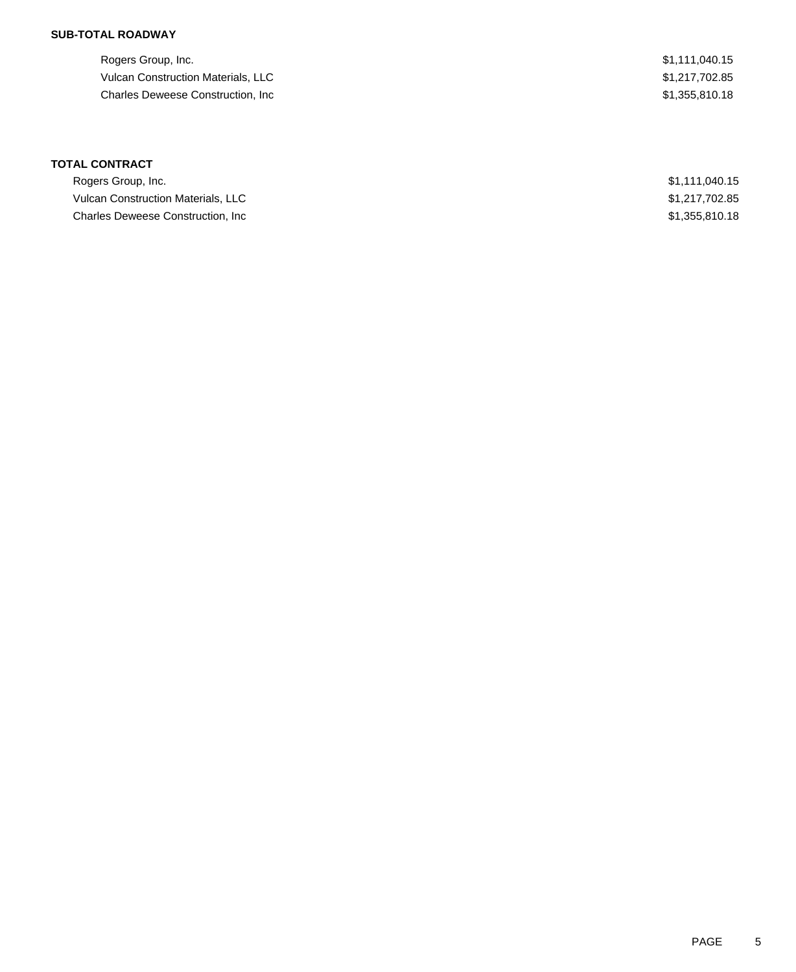## **SUB-TOTAL ROADWAY**

Rogers Group, Inc. \$1,111,040.15 Vulcan Construction Materials, LLC 61,217,702.85 Charles Deweese Construction, Inc **Example 2018** 2019 12:355,810.18

## **TOTAL CONTRACT**

| Rogers Group, Inc.                 | \$1.111.040.15 |
|------------------------------------|----------------|
| Vulcan Construction Materials, LLC | \$1,217,702.85 |
| Charles Deweese Construction, Inc. | \$1,355,810,18 |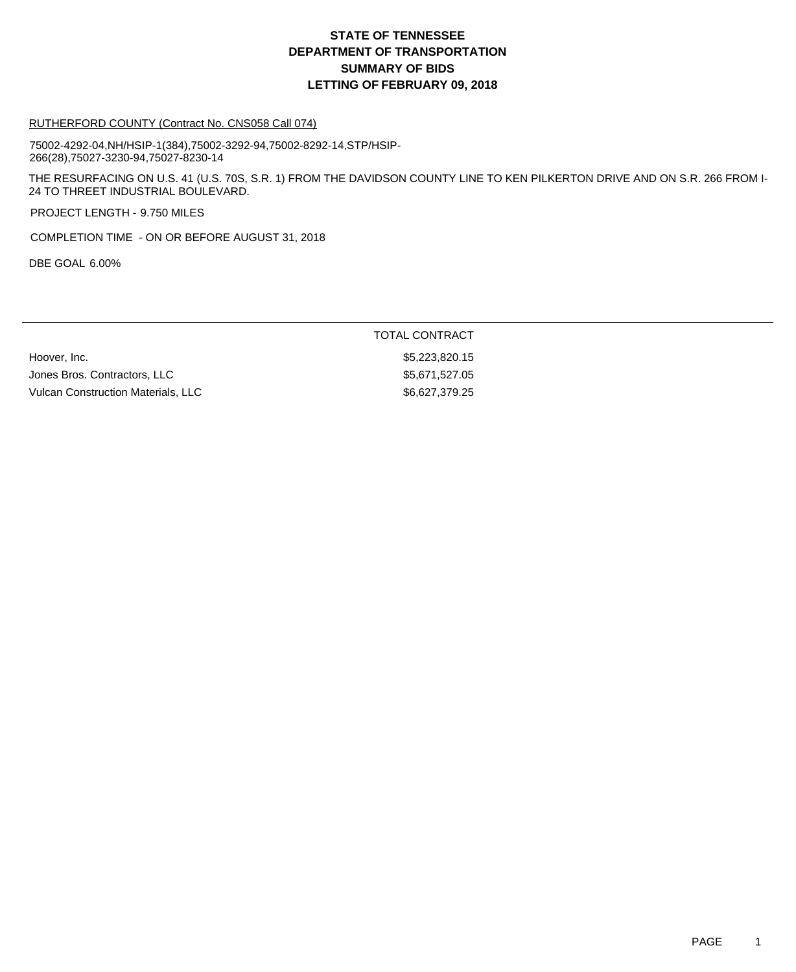#### RUTHERFORD COUNTY (Contract No. CNS058 Call 074)

75002-4292-04,NH/HSIP-1(384),75002-3292-94,75002-8292-14,STP/HSIP-266(28),75027-3230-94,75027-8230-14

THE RESURFACING ON U.S. 41 (U.S. 70S, S.R. 1) FROM THE DAVIDSON COUNTY LINE TO KEN PILKERTON DRIVE AND ON S.R. 266 FROM I-24 TO THREET INDUSTRIAL BOULEVARD.

PROJECT LENGTH - 9.750 MILES

COMPLETION TIME - ON OR BEFORE AUGUST 31, 2018

DBE GOAL 6.00%

### TOTAL CONTRACT

Hoover, Inc. 6. 2008. The Superior of the Superior of the Superior S5,223,820.15 Jones Bros. Contractors, LLC \$5,671,527.05 Vulcan Construction Materials, LLC \$6,627,379.25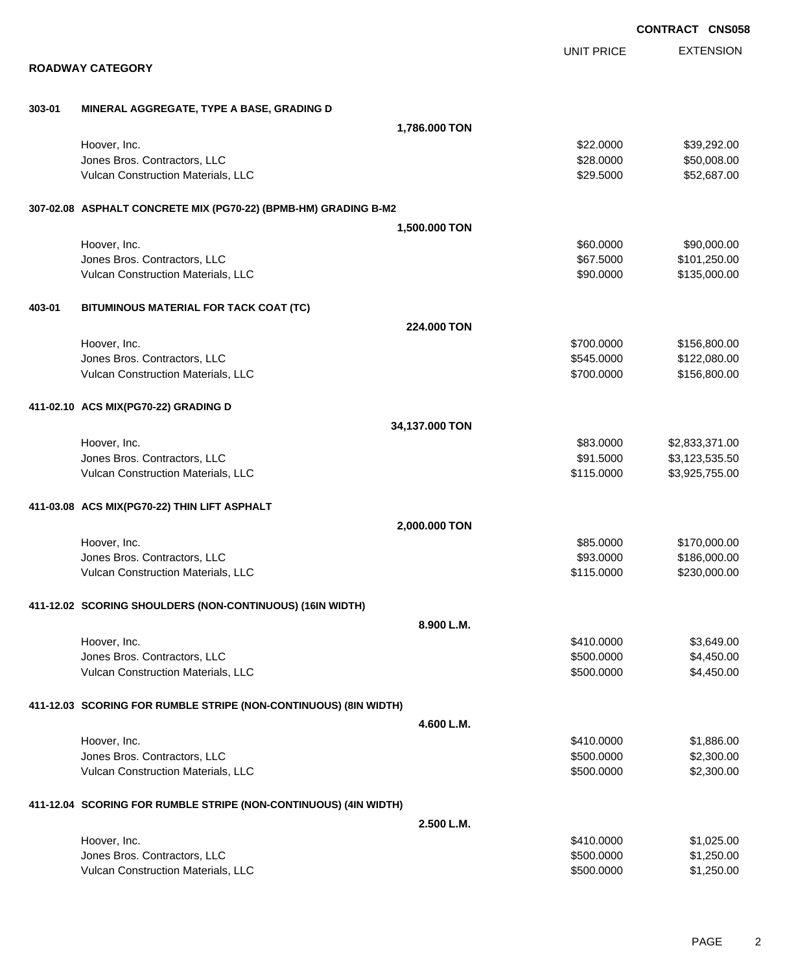|        |                                                                  |                |                   | <b>CONTRACT CNS058</b> |                  |
|--------|------------------------------------------------------------------|----------------|-------------------|------------------------|------------------|
|        |                                                                  |                | <b>UNIT PRICE</b> |                        | <b>EXTENSION</b> |
|        | <b>ROADWAY CATEGORY</b>                                          |                |                   |                        |                  |
| 303-01 | MINERAL AGGREGATE, TYPE A BASE, GRADING D                        |                |                   |                        |                  |
|        |                                                                  | 1,786.000 TON  |                   |                        |                  |
|        | Hoover, Inc.                                                     |                | \$22.0000         |                        | \$39,292.00      |
|        | Jones Bros. Contractors, LLC                                     |                | \$28.0000         |                        | \$50,008.00      |
|        | Vulcan Construction Materials, LLC                               |                | \$29.5000         |                        | \$52,687.00      |
|        | 307-02.08 ASPHALT CONCRETE MIX (PG70-22) (BPMB-HM) GRADING B-M2  |                |                   |                        |                  |
|        |                                                                  | 1,500.000 TON  |                   |                        |                  |
|        | Hoover, Inc.                                                     |                | \$60.0000         |                        | \$90,000.00      |
|        | Jones Bros. Contractors, LLC                                     |                | \$67.5000         |                        | \$101,250.00     |
|        | Vulcan Construction Materials, LLC                               |                | \$90.0000         |                        | \$135,000.00     |
| 403-01 | BITUMINOUS MATERIAL FOR TACK COAT (TC)                           |                |                   |                        |                  |
|        |                                                                  | 224.000 TON    |                   |                        |                  |
|        | Hoover, Inc.                                                     |                | \$700.0000        |                        | \$156,800.00     |
|        | Jones Bros. Contractors, LLC                                     |                | \$545.0000        |                        | \$122,080.00     |
|        | Vulcan Construction Materials, LLC                               |                | \$700.0000        |                        | \$156,800.00     |
|        | 411-02.10 ACS MIX(PG70-22) GRADING D                             |                |                   |                        |                  |
|        |                                                                  | 34,137.000 TON |                   |                        |                  |
|        | Hoover, Inc.                                                     |                | \$83.0000         |                        | \$2,833,371.00   |
|        | Jones Bros. Contractors, LLC                                     |                | \$91.5000         |                        | \$3,123,535.50   |
|        | Vulcan Construction Materials, LLC                               |                | \$115.0000        |                        | \$3,925,755.00   |
|        | 411-03.08 ACS MIX(PG70-22) THIN LIFT ASPHALT                     |                |                   |                        |                  |
|        |                                                                  | 2,000.000 TON  |                   |                        |                  |
|        | Hoover, Inc.                                                     |                | \$85.0000         |                        | \$170,000.00     |
|        | Jones Bros. Contractors, LLC                                     |                | \$93.0000         |                        | \$186,000.00     |
|        | Vulcan Construction Materials, LLC                               |                | \$115.0000        |                        | \$230,000.00     |
|        | 411-12.02 SCORING SHOULDERS (NON-CONTINUOUS) (16IN WIDTH)        |                |                   |                        |                  |
|        |                                                                  | 8.900 L.M.     |                   |                        |                  |
|        | Hoover, Inc.                                                     |                | \$410.0000        |                        | \$3,649.00       |
|        | Jones Bros. Contractors, LLC                                     |                | \$500.0000        |                        | \$4,450.00       |
|        | Vulcan Construction Materials, LLC                               |                | \$500.0000        |                        | \$4,450.00       |
|        | 411-12.03 SCORING FOR RUMBLE STRIPE (NON-CONTINUOUS) (8IN WIDTH) |                |                   |                        |                  |
|        |                                                                  | 4.600 L.M.     |                   |                        |                  |
|        | Hoover, Inc.                                                     |                | \$410.0000        |                        | \$1,886.00       |
|        | Jones Bros. Contractors, LLC                                     |                | \$500.0000        |                        | \$2,300.00       |
|        | Vulcan Construction Materials, LLC                               |                | \$500.0000        |                        | \$2,300.00       |
|        | 411-12.04 SCORING FOR RUMBLE STRIPE (NON-CONTINUOUS) (4IN WIDTH) |                |                   |                        |                  |
|        |                                                                  | 2.500 L.M.     |                   |                        |                  |
|        | Hoover, Inc.                                                     |                | \$410.0000        |                        | \$1,025.00       |
|        | Jones Bros. Contractors, LLC                                     |                | \$500.0000        |                        | \$1,250.00       |
|        | Vulcan Construction Materials, LLC                               |                | \$500.0000        |                        | \$1,250.00       |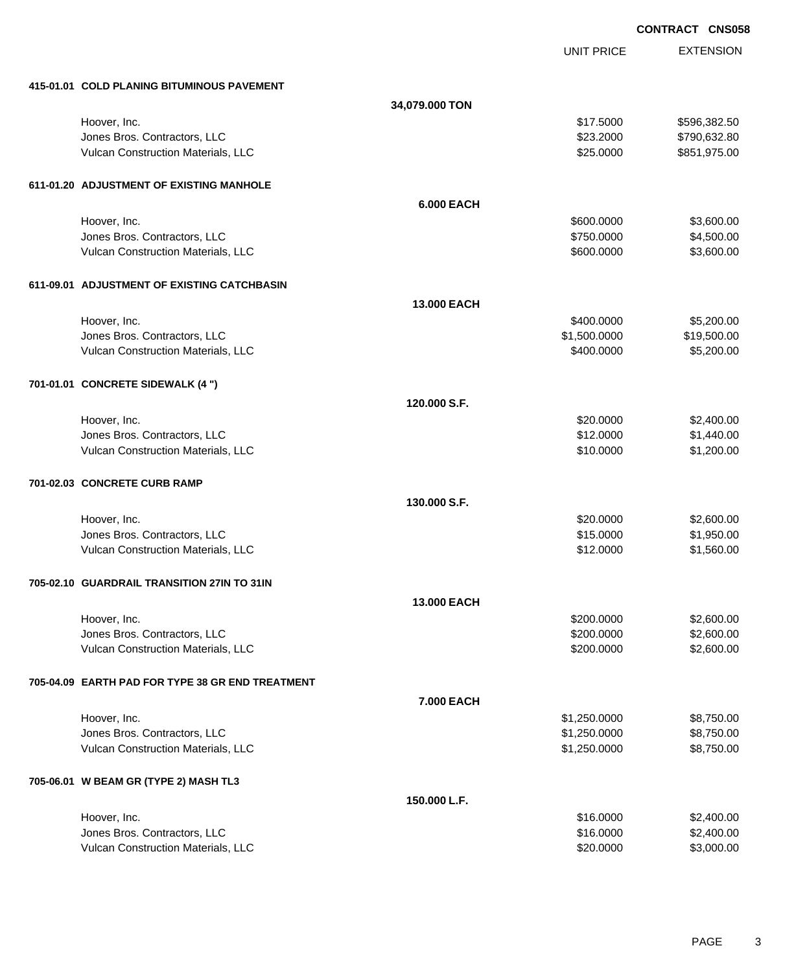EXTENSION **CONTRACT CNS058** UNIT PRICE **415-01.01 COLD PLANING BITUMINOUS PAVEMENT 34,079.000 TON** Hoover, Inc. \$17.5000 \$596,382.50 Jones Bros. Contractors, LLC \$23.2000 \$790,632.80 Vulcan Construction Materials, LLC 60000 \$851,975.00 **611-01.20 ADJUSTMENT OF EXISTING MANHOLE 6.000 EACH** Hoover, Inc. \$600.0000 \$3,600.00 Jones Bros. Contractors, LLC \$750.0000 \$4,500.00 Vulcan Construction Materials, LLC 600.000 \$3,600.000 \$3,600.000 \$3,600.000 \$3,600.00 **611-09.01 ADJUSTMENT OF EXISTING CATCHBASIN 13.000 EACH** Hoover, Inc. \$400.0000 \$5,200.00 versions and the state of the state of the state of the state of the state of the state of the state of the state of the state of the state of the state of the state of the state of the state of the state of the state of t Vulcan Construction Materials, LLC 60000 \$5,200.00 \$5,200.000 \$5,200.00 **701-01.01 CONCRETE SIDEWALK (4 ") 120.000 S.F.** Hoover, Inc. \$20.0000 \$2,400.00 Jones Bros. Contractors, LLC \$12.0000 \$1,440.00 Vulcan Construction Materials, LLC 61, 200.00 \$1,200.00 \$1,200.00 **701-02.03 CONCRETE CURB RAMP 130.000 S.F.** Hoover, Inc. \$20.0000 \$2,600.00 Jones Bros. Contractors, LLC \$15.0000 \$1,950.00 Vulcan Construction Materials, LLC 61.560.00 \$1,560.00 **705-02.10 GUARDRAIL TRANSITION 27IN TO 31IN 13.000 EACH** Hoover, Inc. \$200.0000 \$2,600.00 Jones Bros. Contractors, LLC \$200.0000 \$2,600.00 Vulcan Construction Materials, LLC 60000 \$2,600.000 \$2,600.000 \$2,600.00 **705-04.09 EARTH PAD FOR TYPE 38 GR END TREATMENT 7.000 EACH** Hoover, Inc. \$1,250.0000 \$8,750.00 Unnes Bros. Contractors, LLC 6. The state of the state of the state of the state of the state of the state of the state of the state of the state of the state of the state of the state of the state of the state of the stat Vulcan Construction Materials, LLC 6. 250.000 \$8,750.000 \$8,750.000 **705-06.01 W BEAM GR (TYPE 2) MASH TL3 150.000 L.F.**

| Hoover, Inc.                              | \$16,0000 | \$2,400.00 |
|-------------------------------------------|-----------|------------|
| Jones Bros. Contractors, LLC              | \$16,0000 | \$2,400.00 |
| <b>Vulcan Construction Materials, LLC</b> | \$20,0000 | \$3,000.00 |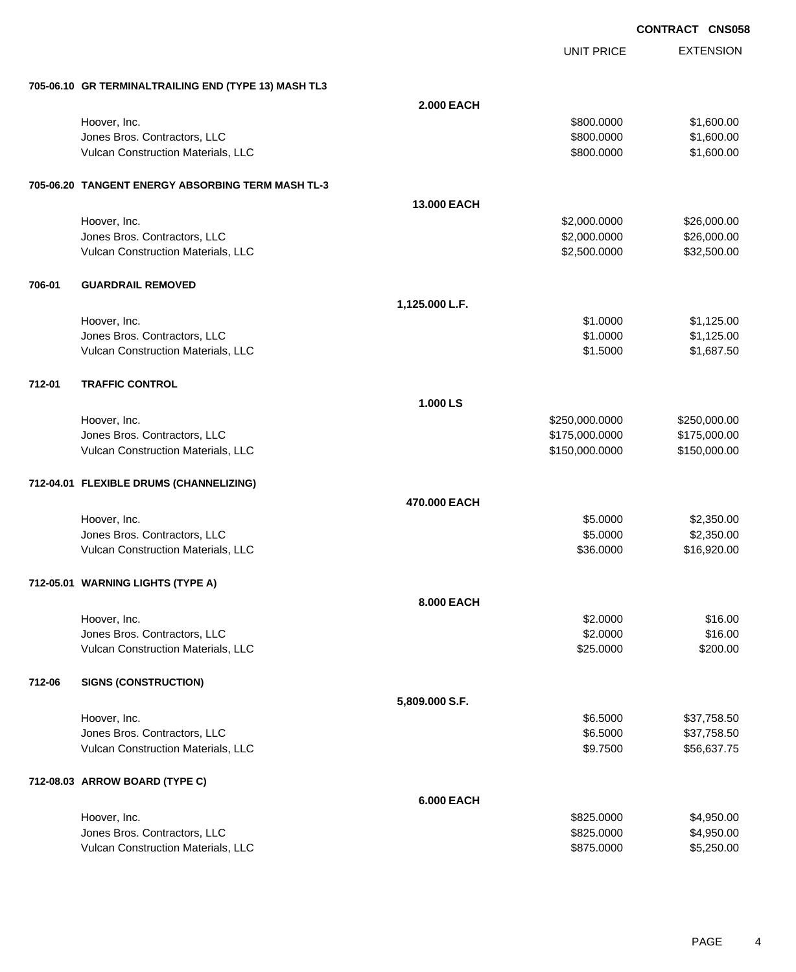**CONTRACT CNS058**

EXTENSION

|        |                                                      |                   |                   | <b>CONTRACT CNS0</b> |
|--------|------------------------------------------------------|-------------------|-------------------|----------------------|
|        |                                                      |                   | <b>UNIT PRICE</b> | <b>EXTENSION</b>     |
|        | 705-06.10 GR TERMINALTRAILING END (TYPE 13) MASH TL3 |                   |                   |                      |
|        |                                                      | <b>2.000 EACH</b> |                   |                      |
|        | Hoover, Inc.                                         |                   | \$800.0000        | \$1,600.00           |
|        | Jones Bros. Contractors, LLC                         |                   | \$800.0000        | \$1,600.00           |
|        | Vulcan Construction Materials, LLC                   |                   | \$800.0000        | \$1,600.00           |
|        | 705-06.20 TANGENT ENERGY ABSORBING TERM MASH TL-3    |                   |                   |                      |
|        |                                                      | 13.000 EACH       |                   |                      |
|        | Hoover, Inc.                                         |                   | \$2,000.0000      | \$26,000.00          |
|        | Jones Bros. Contractors, LLC                         |                   | \$2,000.0000      | \$26,000.00          |
|        | Vulcan Construction Materials, LLC                   |                   | \$2,500.0000      | \$32,500.00          |
| 706-01 | <b>GUARDRAIL REMOVED</b>                             |                   |                   |                      |
|        |                                                      | 1,125.000 L.F.    |                   |                      |
|        | Hoover, Inc.                                         |                   | \$1.0000          | \$1,125.00           |
|        | Jones Bros. Contractors, LLC                         |                   | \$1.0000          | \$1,125.00           |
|        | Vulcan Construction Materials, LLC                   |                   | \$1.5000          | \$1,687.50           |
| 712-01 | <b>TRAFFIC CONTROL</b>                               |                   |                   |                      |
|        |                                                      | 1.000 LS          |                   |                      |
|        | Hoover, Inc.                                         |                   | \$250,000.0000    | \$250,000.00         |
|        | Jones Bros. Contractors, LLC                         |                   | \$175,000.0000    | \$175,000.00         |
|        | Vulcan Construction Materials, LLC                   |                   | \$150,000.0000    | \$150,000.00         |
|        | 712-04.01 FLEXIBLE DRUMS (CHANNELIZING)              |                   |                   |                      |
|        |                                                      | 470.000 EACH      |                   |                      |
|        | Hoover, Inc.                                         |                   | \$5.0000          | \$2,350.00           |
|        | Jones Bros. Contractors, LLC                         |                   | \$5.0000          | \$2,350.00           |
|        | Vulcan Construction Materials, LLC                   |                   | \$36.0000         | \$16,920.00          |
|        | 712-05.01 WARNING LIGHTS (TYPE A)                    |                   |                   |                      |
|        |                                                      | 8.000 EACH        |                   |                      |
|        | Hoover, Inc.                                         |                   | \$2.0000          | \$16.00              |
|        | Jones Bros. Contractors, LLC                         |                   | \$2.0000          | \$16.00              |
|        | Vulcan Construction Materials, LLC                   |                   | \$25.0000         | \$200.00             |
| 712-06 | <b>SIGNS (CONSTRUCTION)</b>                          |                   |                   |                      |
|        |                                                      | 5,809.000 S.F.    |                   |                      |
|        | Hoover, Inc.                                         |                   | \$6.5000          | \$37,758.50          |
|        | Jones Bros. Contractors, LLC                         |                   | \$6.5000          | \$37,758.50          |
|        | Vulcan Construction Materials, LLC                   |                   | \$9.7500          | \$56,637.75          |
|        | 712-08.03 ARROW BOARD (TYPE C)                       |                   |                   |                      |

|                                           | 6.000 EACH |            |
|-------------------------------------------|------------|------------|
| Hoover, Inc.                              | \$825,0000 | \$4,950.00 |
| Jones Bros. Contractors, LLC              | \$825,0000 | \$4,950.00 |
| <b>Vulcan Construction Materials, LLC</b> | \$875,0000 | \$5,250.00 |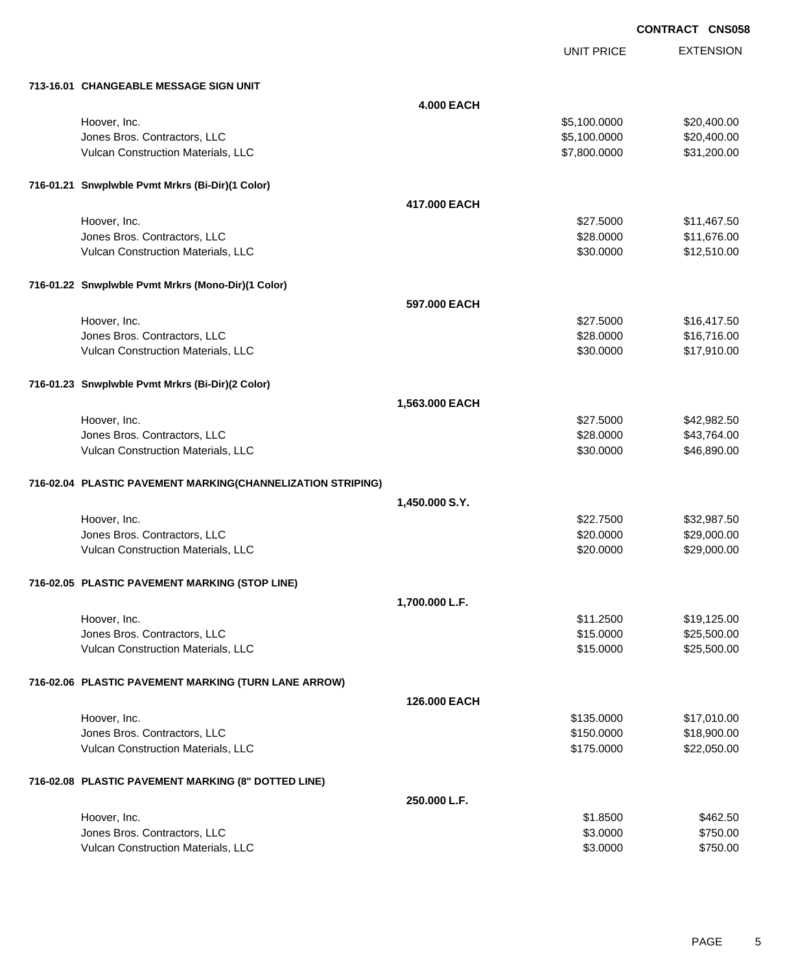UNIT PRICE

EXTENSION

| 713-16.01 CHANGEABLE MESSAGE SIGN UNIT                      |                   |              |             |
|-------------------------------------------------------------|-------------------|--------------|-------------|
|                                                             | <b>4.000 EACH</b> |              |             |
| Hoover, Inc.                                                |                   | \$5,100.0000 | \$20,400.00 |
| Jones Bros. Contractors, LLC                                |                   | \$5,100.0000 | \$20,400.00 |
| Vulcan Construction Materials, LLC                          |                   | \$7,800.0000 | \$31,200.00 |
| 716-01.21 Snwplwble Pvmt Mrkrs (Bi-Dir)(1 Color)            |                   |              |             |
|                                                             | 417,000 EACH      |              |             |
| Hoover, Inc.                                                |                   | \$27.5000    | \$11,467.50 |
| Jones Bros. Contractors, LLC                                |                   | \$28.0000    | \$11,676.00 |
| Vulcan Construction Materials, LLC                          |                   | \$30.0000    | \$12,510.00 |
| 716-01.22 Snwplwble Pvmt Mrkrs (Mono-Dir)(1 Color)          |                   |              |             |
|                                                             | 597,000 EACH      |              |             |
| Hoover, Inc.                                                |                   | \$27.5000    | \$16,417.50 |
| Jones Bros. Contractors, LLC                                |                   | \$28.0000    | \$16,716.00 |
| Vulcan Construction Materials, LLC                          |                   | \$30.0000    | \$17,910.00 |
| 716-01.23 Snwplwble Pvmt Mrkrs (Bi-Dir)(2 Color)            |                   |              |             |
|                                                             | 1,563.000 EACH    |              |             |
| Hoover, Inc.                                                |                   | \$27.5000    | \$42,982.50 |
| Jones Bros. Contractors, LLC                                |                   | \$28.0000    | \$43,764.00 |
| Vulcan Construction Materials, LLC                          |                   | \$30.0000    | \$46,890.00 |
| 716-02.04 PLASTIC PAVEMENT MARKING(CHANNELIZATION STRIPING) |                   |              |             |
|                                                             | 1,450.000 S.Y.    |              |             |
| Hoover, Inc.                                                |                   | \$22.7500    | \$32,987.50 |
| Jones Bros. Contractors, LLC                                |                   | \$20.0000    | \$29,000.00 |
| Vulcan Construction Materials, LLC                          |                   | \$20.0000    | \$29,000.00 |
| 716-02.05 PLASTIC PAVEMENT MARKING (STOP LINE)              |                   |              |             |
|                                                             | 1,700.000 L.F.    |              |             |
| Hoover, Inc.                                                |                   | \$11.2500    | \$19,125.00 |
| Jones Bros. Contractors, LLC                                |                   | \$15.0000    | \$25,500.00 |
| Vulcan Construction Materials, LLC                          |                   | \$15.0000    | \$25,500.00 |
| 716-02.06 PLASTIC PAVEMENT MARKING (TURN LANE ARROW)        |                   |              |             |
|                                                             | 126.000 EACH      |              |             |
| Hoover, Inc.                                                |                   | \$135.0000   | \$17,010.00 |
| Jones Bros. Contractors, LLC                                |                   | \$150.0000   | \$18,900.00 |
| Vulcan Construction Materials, LLC                          |                   | \$175.0000   | \$22,050.00 |
| 716-02.08 PLASTIC PAVEMENT MARKING (8" DOTTED LINE)         |                   |              |             |
|                                                             | 250.000 L.F.      |              |             |
| Hoover, Inc.                                                |                   | \$1.8500     | \$462.50    |
| Jones Bros. Contractors, LLC                                |                   | \$3.0000     | \$750.00    |
| Vulcan Construction Materials, LLC                          |                   | \$3.0000     | \$750.00    |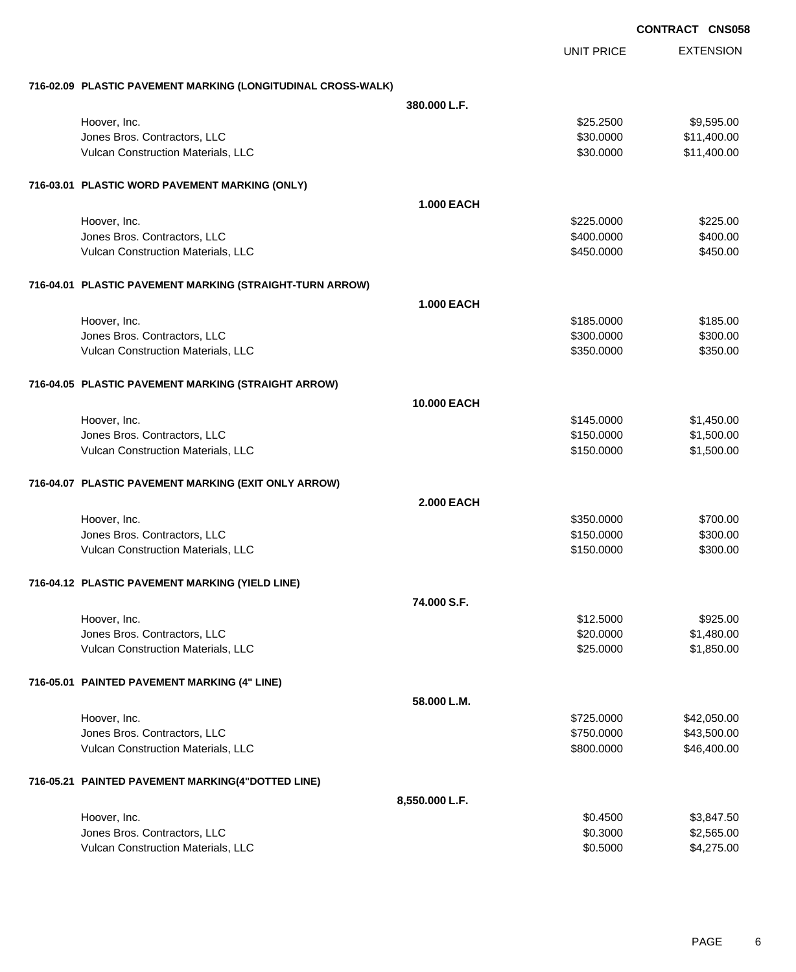|                                                              |                    | <b>UNIT PRICE</b> | <b>EXTENSION</b> |
|--------------------------------------------------------------|--------------------|-------------------|------------------|
| 716-02.09 PLASTIC PAVEMENT MARKING (LONGITUDINAL CROSS-WALK) |                    |                   |                  |
|                                                              | 380,000 L.F.       |                   |                  |
| Hoover, Inc.                                                 |                    | \$25.2500         | \$9,595.00       |
| Jones Bros. Contractors, LLC                                 |                    | \$30.0000         | \$11,400.00      |
| Vulcan Construction Materials, LLC                           |                    | \$30.0000         | \$11,400.00      |
| 716-03.01 PLASTIC WORD PAVEMENT MARKING (ONLY)               |                    |                   |                  |
|                                                              | <b>1.000 EACH</b>  |                   |                  |
| Hoover, Inc.                                                 |                    | \$225.0000        | \$225.00         |
| Jones Bros. Contractors, LLC                                 |                    | \$400.0000        | \$400.00         |
| Vulcan Construction Materials, LLC                           |                    | \$450.0000        | \$450.00         |
| 716-04.01 PLASTIC PAVEMENT MARKING (STRAIGHT-TURN ARROW)     |                    |                   |                  |
|                                                              | <b>1.000 EACH</b>  |                   |                  |
| Hoover, Inc.                                                 |                    | \$185.0000        | \$185.00         |
| Jones Bros. Contractors, LLC                                 |                    | \$300.0000        | \$300.00         |
| Vulcan Construction Materials, LLC                           |                    | \$350.0000        | \$350.00         |
| 716-04.05 PLASTIC PAVEMENT MARKING (STRAIGHT ARROW)          |                    |                   |                  |
|                                                              | <b>10.000 EACH</b> |                   |                  |
| Hoover, Inc.                                                 |                    | \$145.0000        | \$1,450.00       |
| Jones Bros. Contractors, LLC                                 |                    | \$150.0000        | \$1,500.00       |
| Vulcan Construction Materials, LLC                           |                    | \$150.0000        | \$1,500.00       |
| 716-04.07 PLASTIC PAVEMENT MARKING (EXIT ONLY ARROW)         |                    |                   |                  |
|                                                              | <b>2.000 EACH</b>  |                   |                  |
| Hoover, Inc.                                                 |                    | \$350.0000        | \$700.00         |
| Jones Bros. Contractors, LLC                                 |                    | \$150.0000        | \$300.00         |
| Vulcan Construction Materials, LLC                           |                    | \$150.0000        | \$300.00         |
| 716-04.12 PLASTIC PAVEMENT MARKING (YIELD LINE)              |                    |                   |                  |
|                                                              | 74.000 S.F.        |                   |                  |
| Hoover, Inc.                                                 |                    | \$12.5000         | \$925.00         |
| Jones Bros. Contractors, LLC                                 |                    | \$20.0000         | \$1,480.00       |
| Vulcan Construction Materials, LLC                           |                    | \$25.0000         | \$1,850.00       |
| 716-05.01 PAINTED PAVEMENT MARKING (4" LINE)                 |                    |                   |                  |
|                                                              | 58.000 L.M.        |                   |                  |
| Hoover, Inc.                                                 |                    | \$725.0000        | \$42,050.00      |
| Jones Bros. Contractors, LLC                                 |                    | \$750.0000        | \$43,500.00      |
| Vulcan Construction Materials, LLC                           |                    | \$800.0000        | \$46,400.00      |
| 716-05.21 PAINTED PAVEMENT MARKING(4"DOTTED LINE)            |                    |                   |                  |
|                                                              | 8,550.000 L.F.     |                   |                  |
| Hoover, Inc.                                                 |                    | \$0.4500          | \$3,847.50       |
| Jones Bros. Contractors, LLC                                 |                    | \$0.3000          | \$2,565.00       |
| Vulcan Construction Materials, LLC                           |                    | \$0.5000          | \$4,275.00       |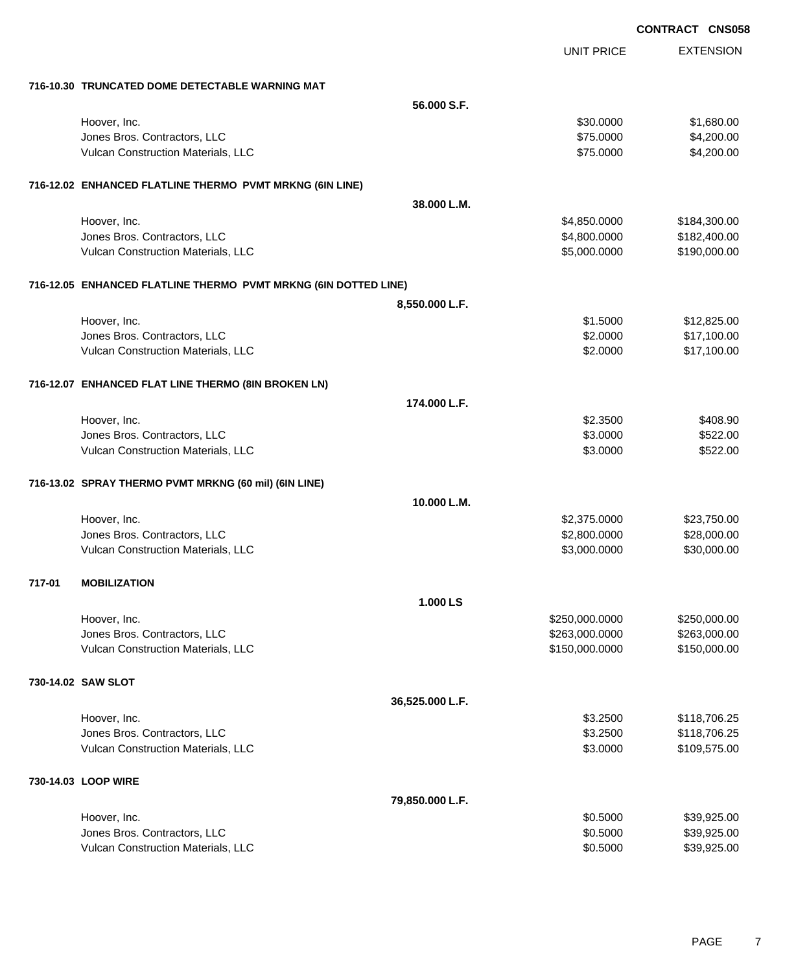EXTENSION **CONTRACT CNS058** UNIT PRICE **716-10.30 TRUNCATED DOME DETECTABLE WARNING MAT 56.000 S.F.** Hoover, Inc. \$30.0000 \$1,680.00 Jones Bros. Contractors, LLC \$75.0000 \$4,200.00 Vulcan Construction Materials, LLC 66 and the state of the state of the state of the state of the state of the state of the state of the state of the state of the state of the state of the state of the state of the state o **716-12.02 ENHANCED FLATLINE THERMO PVMT MRKNG (6IN LINE) 38.000 L.M.** Hoover, Inc. \$4,850.0000 \$184,300.00 Jones Bros. Contractors, LLC \$4,800.0000 \$182,400.00 Vulcan Construction Materials, LLC 6000000 \$190,000.000 \$190,000.000 \$190,000.000 \$190,000.00 **716-12.05 ENHANCED FLATLINE THERMO PVMT MRKNG (6IN DOTTED LINE) 8,550.000 L.F.** Hoover, Inc. \$1.5000 \$12,825.00 Jones Bros. Contractors, LLC \$2.0000 \$17,100.00 Vulcan Construction Materials, LLC 60000 \$17,100.00 **716-12.07 ENHANCED FLAT LINE THERMO (8IN BROKEN LN) 174.000 L.F.** Hoover, Inc. \$2.3500 \$408.90 Jones Bros. Contractors, LLC \$3.0000 \$522.00 Vulcan Construction Materials, LLC 6522.00 **716-13.02 SPRAY THERMO PVMT MRKNG (60 mil) (6IN LINE) 10.000 L.M.** Hoover, Inc. \$2,375.0000 \$23,750.00 Jones Bros. Contractors, LLC \$2,800.0000 \$28,000.00 Vulcan Construction Materials, LLC 600000 \$30,000.000 \$3,000.000 \$30,000.000 \$30,000.00 **717-01 MOBILIZATION 1.000 LS** Hoover, Inc. \$250,000.0000 \$250,000.00 dones Bros. Contractors, LLC 6. 2002.000 \$263,000.000 \$263,000.000 \$263,000.000 \$263,000.000 \$263,000.00 Vulcan Construction Materials, LLC 6000000 \$150,000.000 \$150,000.000 \$150,000.000 \$150,000.00 **730-14.02 SAW SLOT 36,525.000 L.F.** Hoover, Inc. \$3.2500 \$118,706.25 Jones Bros. Contractors, LLC \$3.2500 \$118,706.25 Vulcan Construction Materials, LLC 63.000 \$109,575.00 **730-14.03 LOOP WIRE 79,850.000 L.F.** Hoover, Inc. \$0.5000 \$39,925.00 Jones Bros. Contractors, LLC \$0.5000 \$39,925.00

Vulcan Construction Materials, LLC 6000 \$39,925.00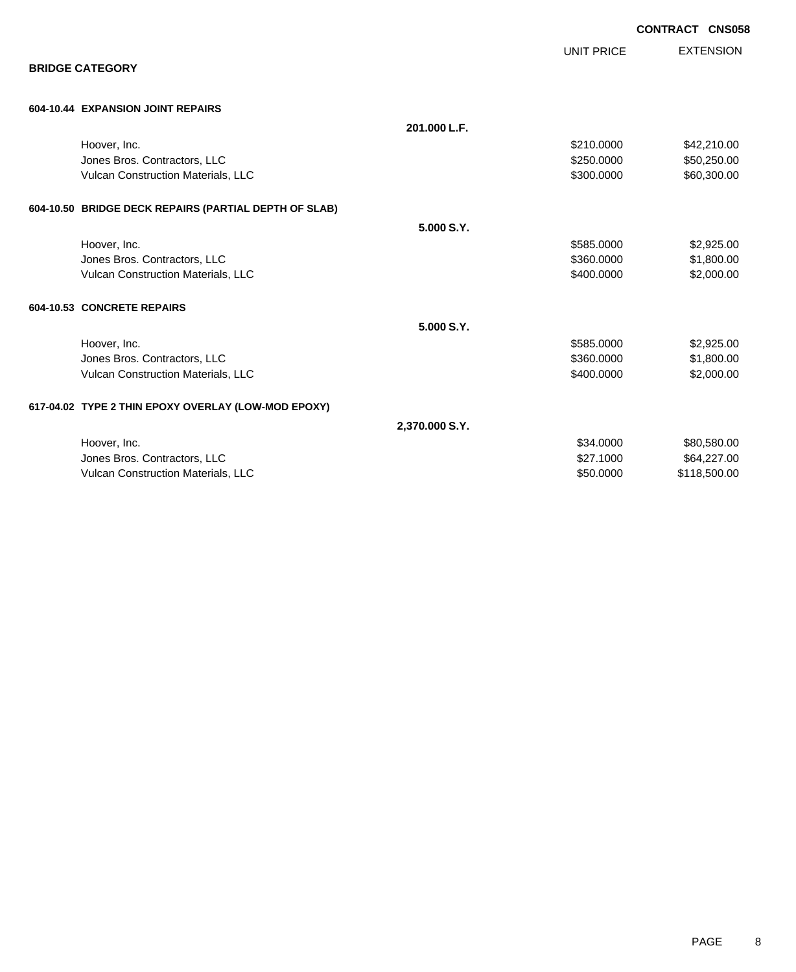|                                                       |                |                   | CONTRACT CNS058  |  |
|-------------------------------------------------------|----------------|-------------------|------------------|--|
|                                                       |                | <b>UNIT PRICE</b> | <b>EXTENSION</b> |  |
| <b>BRIDGE CATEGORY</b>                                |                |                   |                  |  |
| 604-10.44 EXPANSION JOINT REPAIRS                     |                |                   |                  |  |
|                                                       | 201.000 L.F.   |                   |                  |  |
| Hoover, Inc.                                          |                | \$210.0000        | \$42,210.00      |  |
| Jones Bros. Contractors, LLC                          |                | \$250.0000        | \$50,250.00      |  |
| Vulcan Construction Materials, LLC                    |                | \$300.0000        | \$60,300.00      |  |
| 604-10.50 BRIDGE DECK REPAIRS (PARTIAL DEPTH OF SLAB) |                |                   |                  |  |
|                                                       | 5.000 S.Y.     |                   |                  |  |
| Hoover, Inc.                                          |                | \$585.0000        | \$2,925.00       |  |
| Jones Bros. Contractors, LLC                          |                | \$360.0000        | \$1,800.00       |  |
| Vulcan Construction Materials, LLC                    |                | \$400.0000        | \$2,000.00       |  |
| 604-10.53 CONCRETE REPAIRS                            |                |                   |                  |  |
|                                                       | 5.000 S.Y.     |                   |                  |  |
| Hoover, Inc.                                          |                | \$585.0000        | \$2,925.00       |  |
| Jones Bros. Contractors, LLC                          |                | \$360.0000        | \$1,800.00       |  |
| Vulcan Construction Materials, LLC                    |                | \$400.0000        | \$2,000.00       |  |
| 617-04.02 TYPE 2 THIN EPOXY OVERLAY (LOW-MOD EPOXY)   |                |                   |                  |  |
|                                                       | 2,370.000 S.Y. |                   |                  |  |
| Hoover, Inc.                                          |                | \$34.0000         | \$80,580.00      |  |
| Jones Bros. Contractors, LLC                          |                | \$27.1000         | \$64,227.00      |  |
| Vulcan Construction Materials, LLC                    |                | \$50.0000         | \$118,500.00     |  |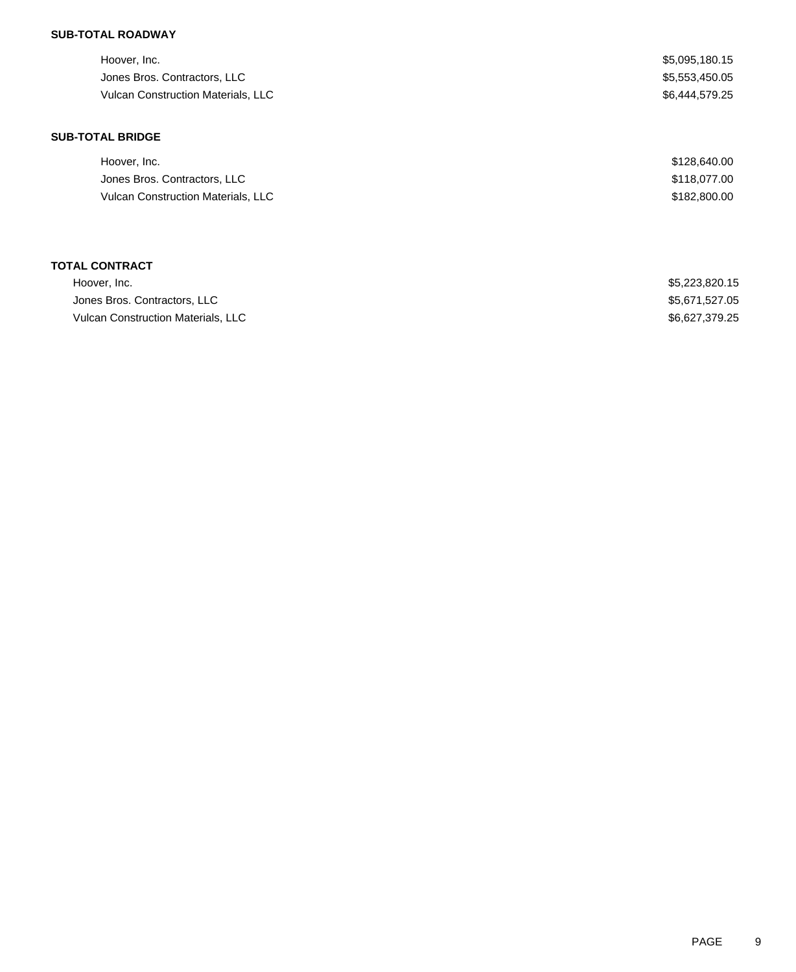## **SUB-TOTAL ROADWAY**

| Hoover, Inc.                       | \$5,095,180.15 |
|------------------------------------|----------------|
| Jones Bros. Contractors, LLC       | \$5,553,450.05 |
| Vulcan Construction Materials, LLC | \$6,444,579.25 |
| <b>SUB-TOTAL BRIDGE</b>            |                |
| Hoover, Inc.                       | \$128,640.00   |
| Jones Bros. Contractors, LLC       | \$118,077.00   |
| Vulcan Construction Materials, LLC | \$182,800.00   |
|                                    |                |
| <b>TOTAL CONTRACT</b>              |                |
| Hoover, Inc.                       | \$5,223,820.15 |

Jones Bros. Contractors, LLC \$5,671,527.05 Vulcan Construction Materials, LLC \$6,627,379.25

| <b>PAGE</b> |  |
|-------------|--|
|             |  |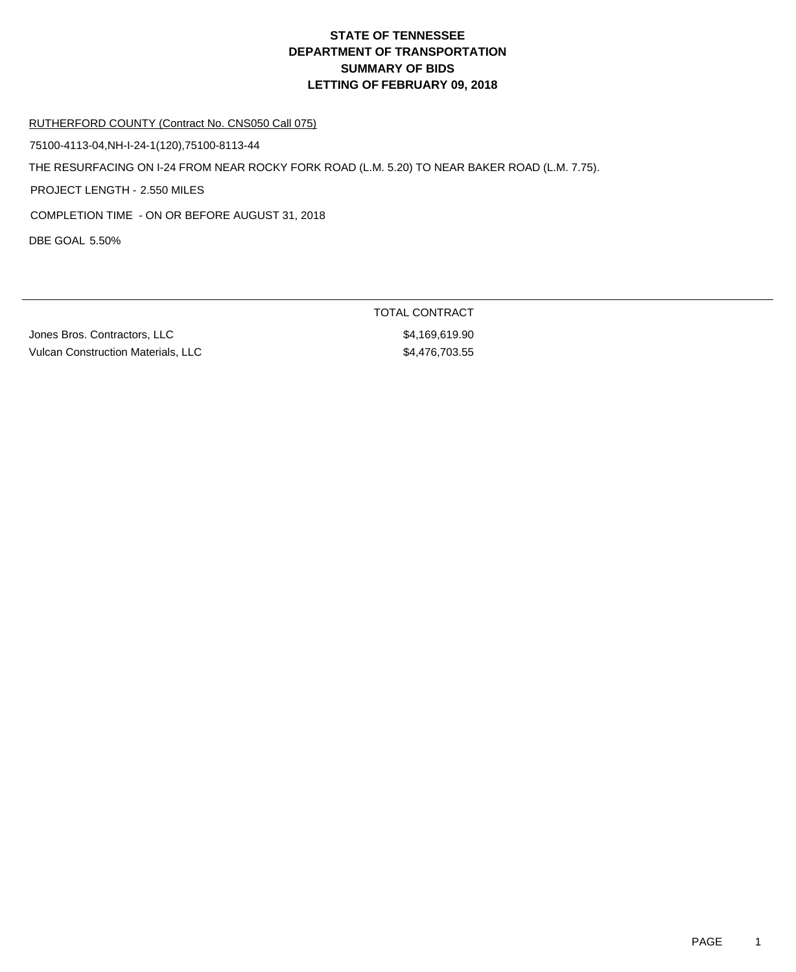#### RUTHERFORD COUNTY (Contract No. CNS050 Call 075)

75100-4113-04,NH-I-24-1(120),75100-8113-44

THE RESURFACING ON I-24 FROM NEAR ROCKY FORK ROAD (L.M. 5.20) TO NEAR BAKER ROAD (L.M. 7.75).

PROJECT LENGTH - 2.550 MILES

COMPLETION TIME - ON OR BEFORE AUGUST 31, 2018

DBE GOAL 5.50%

Jones Bros. Contractors, LLC \$4,169,619.90 Vulcan Construction Materials, LLC \$4,476,703.55

TOTAL CONTRACT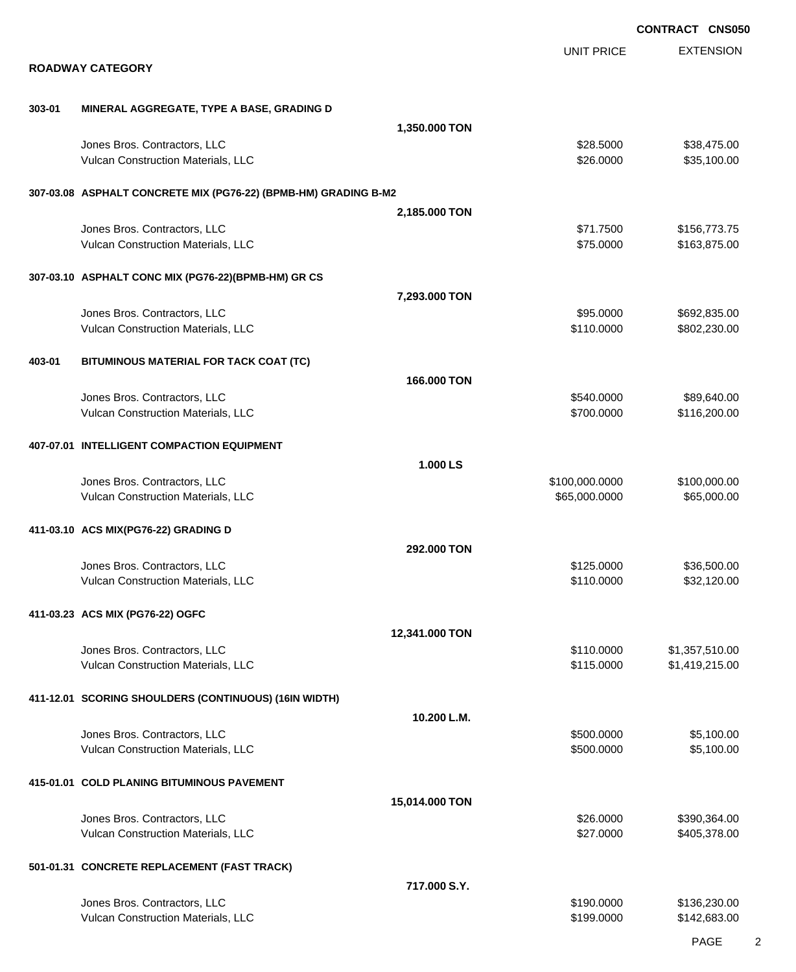|        |                                                                    |                |                                 | <b>CONTRACT CNS050</b>       |
|--------|--------------------------------------------------------------------|----------------|---------------------------------|------------------------------|
|        | <b>ROADWAY CATEGORY</b>                                            |                | <b>UNIT PRICE</b>               | <b>EXTENSION</b>             |
|        |                                                                    |                |                                 |                              |
| 303-01 | MINERAL AGGREGATE, TYPE A BASE, GRADING D                          | 1,350.000 TON  |                                 |                              |
|        | Jones Bros. Contractors, LLC                                       |                | \$28,5000                       | \$38,475.00                  |
|        | Vulcan Construction Materials, LLC                                 |                | \$26.0000                       | \$35,100.00                  |
|        | 307-03.08 ASPHALT CONCRETE MIX (PG76-22) (BPMB-HM) GRADING B-M2    |                |                                 |                              |
|        |                                                                    | 2,185.000 TON  |                                 |                              |
|        | Jones Bros. Contractors, LLC<br>Vulcan Construction Materials, LLC |                | \$71.7500<br>\$75.0000          | \$156,773.75<br>\$163,875.00 |
|        | 307-03.10 ASPHALT CONC MIX (PG76-22)(BPMB-HM) GR CS                |                |                                 |                              |
|        |                                                                    | 7,293.000 TON  |                                 |                              |
|        | Jones Bros. Contractors, LLC<br>Vulcan Construction Materials, LLC |                | \$95.0000<br>\$110.0000         | \$692,835.00<br>\$802,230.00 |
| 403-01 | BITUMINOUS MATERIAL FOR TACK COAT (TC)                             |                |                                 |                              |
|        |                                                                    | 166.000 TON    |                                 |                              |
|        | Jones Bros. Contractors, LLC                                       |                | \$540.0000                      | \$89,640.00                  |
|        | Vulcan Construction Materials, LLC                                 |                | \$700.0000                      | \$116,200.00                 |
|        | 407-07.01 INTELLIGENT COMPACTION EQUIPMENT                         |                |                                 |                              |
|        |                                                                    | 1.000 LS       |                                 |                              |
|        | Jones Bros. Contractors, LLC<br>Vulcan Construction Materials, LLC |                | \$100,000.0000<br>\$65,000.0000 | \$100,000.00<br>\$65,000.00  |
|        | 411-03.10 ACS MIX(PG76-22) GRADING D                               |                |                                 |                              |
|        |                                                                    | 292.000 TON    |                                 |                              |
|        | Jones Bros. Contractors, LLC                                       |                | \$125.0000                      | \$36,500.00                  |
|        | Vulcan Construction Materials, LLC                                 |                | \$110.0000                      | \$32,120.00                  |
|        | 411-03.23 ACS MIX (PG76-22) OGFC                                   | 12,341.000 TON |                                 |                              |
|        | Jones Bros. Contractors, LLC                                       |                | \$110.0000                      | \$1,357,510.00               |
|        | Vulcan Construction Materials, LLC                                 |                | \$115.0000                      | \$1,419,215.00               |
|        | 411-12.01 SCORING SHOULDERS (CONTINUOUS) (16IN WIDTH)              |                |                                 |                              |
|        |                                                                    | 10.200 L.M.    |                                 |                              |
|        | Jones Bros. Contractors, LLC<br>Vulcan Construction Materials, LLC |                | \$500.0000<br>\$500.0000        | \$5,100.00<br>\$5,100.00     |
|        | 415-01.01 COLD PLANING BITUMINOUS PAVEMENT                         |                |                                 |                              |
|        |                                                                    | 15,014.000 TON |                                 |                              |
|        | Jones Bros. Contractors, LLC<br>Vulcan Construction Materials, LLC |                | \$26.0000<br>\$27.0000          | \$390,364.00<br>\$405,378.00 |
|        | 501-01.31 CONCRETE REPLACEMENT (FAST TRACK)                        |                |                                 |                              |
|        |                                                                    | 717.000 S.Y.   |                                 |                              |
|        | Jones Bros. Contractors, LLC<br>Vulcan Construction Materials, LLC |                | \$190.0000<br>\$199.0000        | \$136,230.00<br>\$142,683.00 |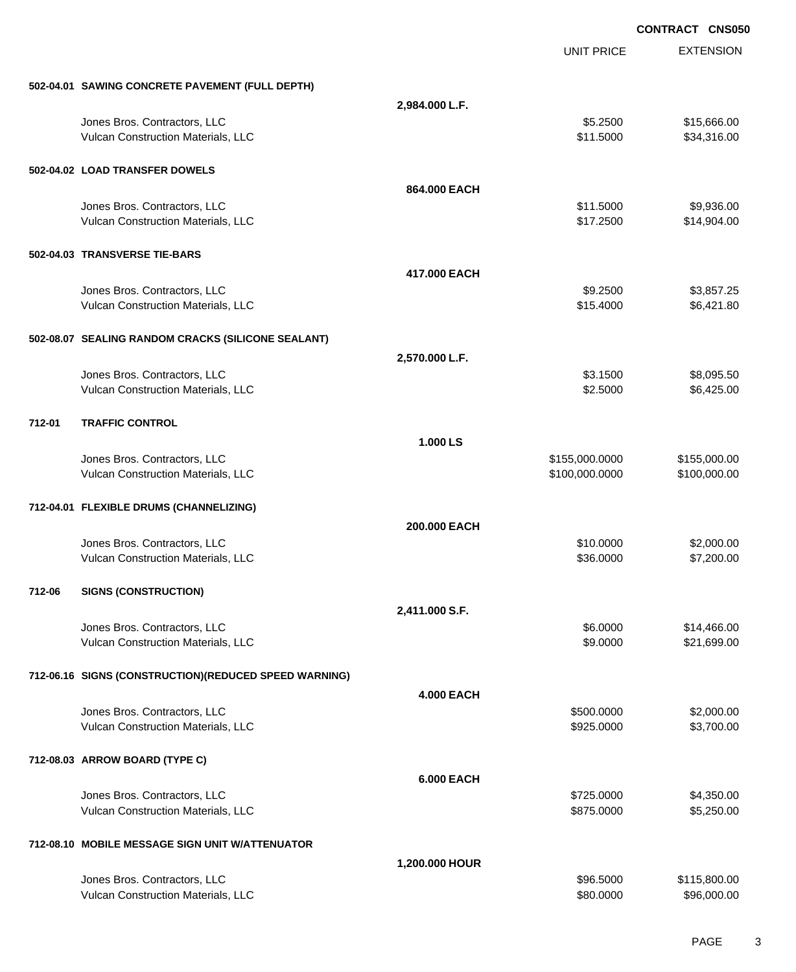|        |                                                        |                   |                   | <b>CONTRACT CNS050</b> |
|--------|--------------------------------------------------------|-------------------|-------------------|------------------------|
|        |                                                        |                   | <b>UNIT PRICE</b> | <b>EXTENSION</b>       |
|        | 502-04.01 SAWING CONCRETE PAVEMENT (FULL DEPTH)        |                   |                   |                        |
|        |                                                        | 2,984.000 L.F.    |                   |                        |
|        | Jones Bros. Contractors, LLC                           |                   | \$5.2500          | \$15,666.00            |
|        | Vulcan Construction Materials, LLC                     |                   | \$11.5000         | \$34,316.00            |
|        | 502-04.02 LOAD TRANSFER DOWELS                         |                   |                   |                        |
|        |                                                        | 864,000 EACH      |                   |                        |
|        | Jones Bros. Contractors, LLC                           |                   | \$11.5000         | \$9,936.00             |
|        | Vulcan Construction Materials, LLC                     |                   | \$17.2500         | \$14,904.00            |
|        | 502-04.03 TRANSVERSE TIE-BARS                          |                   |                   |                        |
|        |                                                        | 417.000 EACH      |                   |                        |
|        | Jones Bros. Contractors, LLC                           |                   | \$9.2500          | \$3,857.25             |
|        | Vulcan Construction Materials, LLC                     |                   | \$15.4000         | \$6,421.80             |
|        | 502-08.07 SEALING RANDOM CRACKS (SILICONE SEALANT)     |                   |                   |                        |
|        |                                                        | 2,570.000 L.F.    |                   |                        |
|        | Jones Bros. Contractors, LLC                           |                   | \$3.1500          | \$8,095.50             |
|        | Vulcan Construction Materials, LLC                     |                   | \$2.5000          | \$6,425.00             |
| 712-01 | <b>TRAFFIC CONTROL</b>                                 |                   |                   |                        |
|        |                                                        | 1.000 LS          |                   |                        |
|        | Jones Bros. Contractors, LLC                           |                   | \$155,000.0000    | \$155,000.00           |
|        | Vulcan Construction Materials, LLC                     |                   | \$100,000.0000    | \$100,000.00           |
|        | 712-04.01 FLEXIBLE DRUMS (CHANNELIZING)                |                   |                   |                        |
|        |                                                        | 200.000 EACH      |                   |                        |
|        | Jones Bros. Contractors, LLC                           |                   | \$10.0000         | \$2,000.00             |
|        | Vulcan Construction Materials, LLC                     |                   | \$36.0000         | \$7,200.00             |
| 712-06 | <b>SIGNS (CONSTRUCTION)</b>                            |                   |                   |                        |
|        |                                                        | 2,411.000 S.F.    |                   |                        |
|        | Jones Bros. Contractors, LLC                           |                   | \$6.0000          | \$14,466.00            |
|        | Vulcan Construction Materials, LLC                     |                   | \$9.0000          | \$21,699.00            |
|        | 712-06.16 SIGNS (CONSTRUCTION) (REDUCED SPEED WARNING) |                   |                   |                        |
|        |                                                        | <b>4.000 EACH</b> |                   |                        |
|        | Jones Bros. Contractors, LLC                           |                   | \$500,0000        | \$2,000.00             |
|        | Vulcan Construction Materials, LLC                     |                   | \$925.0000        | \$3,700.00             |
|        | 712-08.03 ARROW BOARD (TYPE C)                         |                   |                   |                        |
|        |                                                        | <b>6.000 EACH</b> |                   |                        |
|        | Jones Bros. Contractors, LLC                           |                   | \$725.0000        | \$4,350.00             |
|        | Vulcan Construction Materials, LLC                     |                   | \$875.0000        | \$5,250.00             |
|        | 712-08.10 MOBILE MESSAGE SIGN UNIT W/ATTENUATOR        |                   |                   |                        |
|        |                                                        | 1,200.000 HOUR    |                   |                        |
|        | Jones Bros. Contractors, LLC                           |                   | \$96.5000         | \$115,800.00           |
|        | Vulcan Construction Materials, LLC                     |                   | \$80.0000         | \$96,000.00            |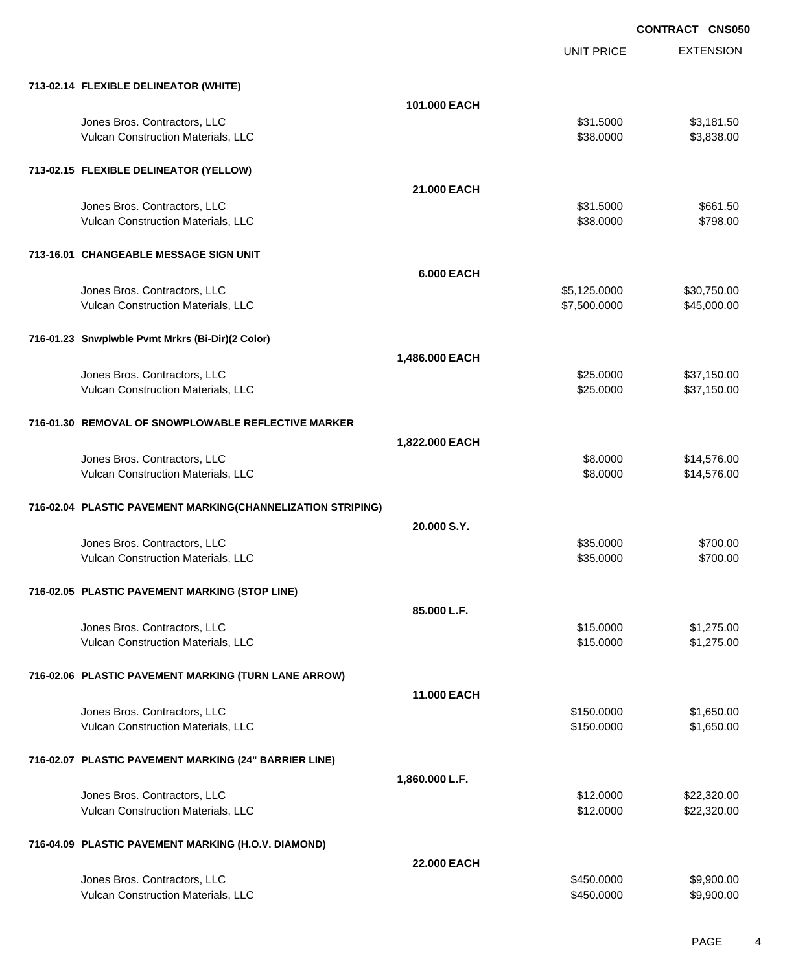EXTENSION **CONTRACT CNS050** UNIT PRICE **713-02.14 FLEXIBLE DELINEATOR (WHITE) 101.000 EACH** Jones Bros. Contractors, LLC \$31.5000 \$3,181.50 Vulcan Construction Materials, LLC 60000 \$3,838.000 \$3,838.000 \$3,838.000 **713-02.15 FLEXIBLE DELINEATOR (YELLOW) 21.000 EACH** Jones Bros. Contractors, LLC 661.50 Vulcan Construction Materials, LLC 6. The Construction Materials, LLC 6. The Construction Materials, LLC 6. The Construction of the Construction of the Construction of the Construction of the Construction of the Constructi **713-16.01 CHANGEABLE MESSAGE SIGN UNIT 6.000 EACH** Jones Bros. Contractors, LLC \$5,125.0000 \$30,750.00 Vulcan Construction Materials, LLC 600000 \$45,000.000 \$45,000.000 \$45,000.00 **716-01.23 Snwplwble Pvmt Mrkrs (Bi-Dir)(2 Color) 1,486.000 EACH** Jones Bros. Contractors, LLC \$25.0000 \$37,150.00 Vulcan Construction Materials, LLC 60000 \$37,150.00 **716-01.30 REMOVAL OF SNOWPLOWABLE REFLECTIVE MARKER 1,822.000 EACH** Jones Bros. Contractors, LLC \$8.0000 \$14,576.00 Vulcan Construction Materials, LLC 6000 \$14,576.00 **716-02.04 PLASTIC PAVEMENT MARKING(CHANNELIZATION STRIPING) 20.000 S.Y.** Jones Bros. Contractors, LLC 6. The Contractors of the Contractors, Contractors, Contractors, Contractors, Contractors, Contractors, Contractors, Contractors, Contractors, Contractors, Contractors, Contractors, Contractors Vulcan Construction Materials, LLC 6700.00 \$700.00 \$700.00 **716-02.05 PLASTIC PAVEMENT MARKING (STOP LINE) 85.000 L.F.** dones Bros. Contractors, LLC 61,275.00 Vulcan Construction Materials, LLC 61 and the state of the state of the state of the state of the state of the state of the state of the state of the state of the state of the state of the state of the state of the state o **716-02.06 PLASTIC PAVEMENT MARKING (TURN LANE ARROW) 11.000 EACH** Jones Bros. Contractors, LLC \$150.0000 \$1,650.00 Vulcan Construction Materials, LLC 60000 \$1,650.000 \$1,650.000 \$1,650.000 **716-02.07 PLASTIC PAVEMENT MARKING (24" BARRIER LINE) 1,860.000 L.F.** Jones Bros. Contractors, LLC \$12.0000 \$22,320.00 Vulcan Construction Materials, LLC 60000 \$22,320.00

### **716-04.09 PLASTIC PAVEMENT MARKING (H.O.V. DIAMOND)**

|                                    | <b>22.000 EACH</b> |            |
|------------------------------------|--------------------|------------|
| Jones Bros. Contractors, LLC       | \$450,0000         | \$9,900.00 |
| Vulcan Construction Materials. LLC | \$450,0000         | \$9,900.00 |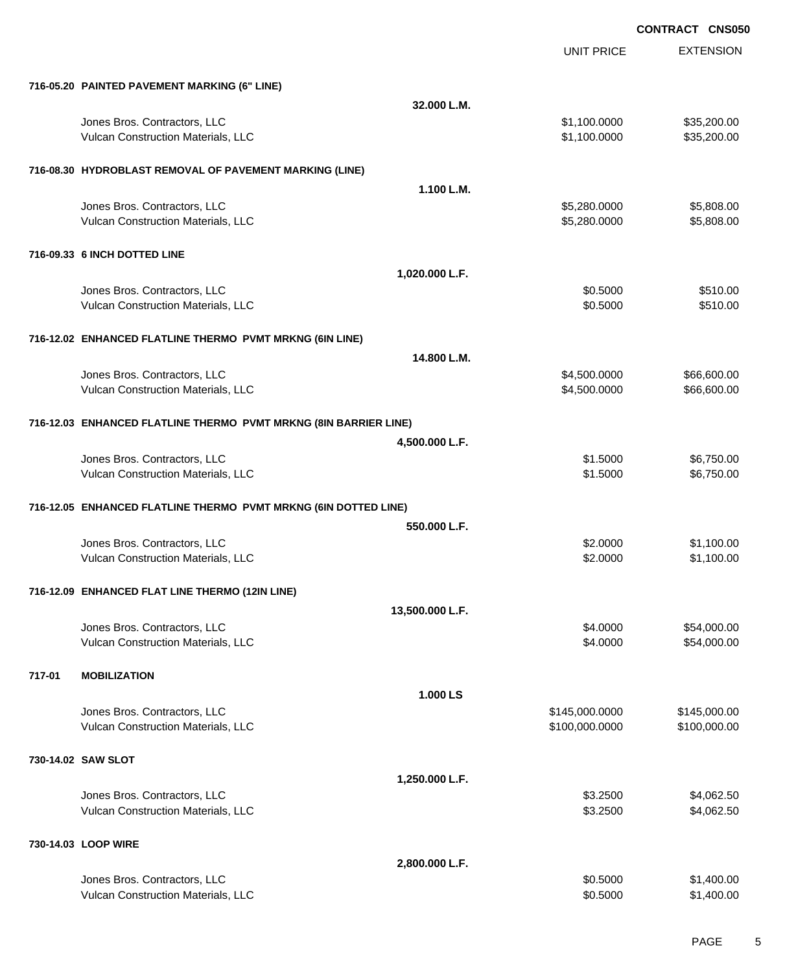UNIT PRICE

EXTENSION

|        | 716-05.20 PAINTED PAVEMENT MARKING (6" LINE)                       |                 |                              |                            |
|--------|--------------------------------------------------------------------|-----------------|------------------------------|----------------------------|
|        |                                                                    | 32.000 L.M.     |                              |                            |
|        | Jones Bros. Contractors, LLC<br>Vulcan Construction Materials, LLC |                 | \$1,100.0000<br>\$1,100.0000 | \$35,200.00<br>\$35,200.00 |
|        | 716-08.30 HYDROBLAST REMOVAL OF PAVEMENT MARKING (LINE)            |                 |                              |                            |
|        |                                                                    | 1.100 L.M.      |                              |                            |
|        | Jones Bros. Contractors, LLC                                       |                 | \$5,280.0000                 | \$5,808.00                 |
|        | Vulcan Construction Materials, LLC                                 |                 | \$5,280.0000                 | \$5,808.00                 |
|        | 716-09.33 6 INCH DOTTED LINE                                       |                 |                              |                            |
|        |                                                                    | 1,020.000 L.F.  |                              |                            |
|        | Jones Bros. Contractors, LLC                                       |                 | \$0.5000                     | \$510.00                   |
|        | Vulcan Construction Materials, LLC                                 |                 | \$0.5000                     | \$510.00                   |
|        | 716-12.02 ENHANCED FLATLINE THERMO PVMT MRKNG (6IN LINE)           |                 |                              |                            |
|        |                                                                    | 14.800 L.M.     |                              |                            |
|        | Jones Bros. Contractors, LLC                                       |                 | \$4,500.0000                 | \$66,600.00                |
|        | Vulcan Construction Materials, LLC                                 |                 | \$4,500.0000                 | \$66,600.00                |
|        | 716-12.03 ENHANCED FLATLINE THERMO PVMT MRKNG (8IN BARRIER LINE)   |                 |                              |                            |
|        |                                                                    | 4,500.000 L.F.  |                              |                            |
|        | Jones Bros. Contractors, LLC                                       |                 | \$1.5000                     | \$6,750.00                 |
|        | Vulcan Construction Materials, LLC                                 |                 | \$1.5000                     | \$6,750.00                 |
|        | 716-12.05 ENHANCED FLATLINE THERMO PVMT MRKNG (6IN DOTTED LINE)    |                 |                              |                            |
|        |                                                                    | 550.000 L.F.    |                              |                            |
|        | Jones Bros. Contractors, LLC                                       |                 | \$2.0000                     | \$1,100.00                 |
|        | Vulcan Construction Materials, LLC                                 |                 | \$2.0000                     | \$1,100.00                 |
|        | 716-12.09 ENHANCED FLAT LINE THERMO (12IN LINE)                    |                 |                              |                            |
|        |                                                                    | 13,500.000 L.F. |                              |                            |
|        | Jones Bros. Contractors. LLC                                       |                 | \$4.0000                     | \$54,000.00                |
|        | Vulcan Construction Materials, LLC                                 |                 | \$4.0000                     | \$54,000.00                |
| 717-01 | <b>MOBILIZATION</b>                                                |                 |                              |                            |
|        |                                                                    | 1.000 LS        |                              |                            |
|        | Jones Bros. Contractors, LLC                                       |                 | \$145,000.0000               | \$145,000.00               |
|        | Vulcan Construction Materials, LLC                                 |                 | \$100,000.0000               | \$100,000.00               |
|        | 730-14.02 SAW SLOT                                                 |                 |                              |                            |
|        |                                                                    | 1,250.000 L.F.  |                              |                            |
|        | Jones Bros. Contractors, LLC                                       |                 | \$3.2500                     | \$4,062.50                 |
|        | Vulcan Construction Materials, LLC                                 |                 | \$3.2500                     | \$4,062.50                 |
|        | 730-14.03 LOOP WIRE                                                |                 |                              |                            |
|        |                                                                    | 2,800.000 L.F.  |                              |                            |
|        | Jones Bros. Contractors, LLC                                       |                 | \$0.5000                     | \$1,400.00                 |
|        | Vulcan Construction Materials, LLC                                 |                 | \$0.5000                     | \$1,400.00                 |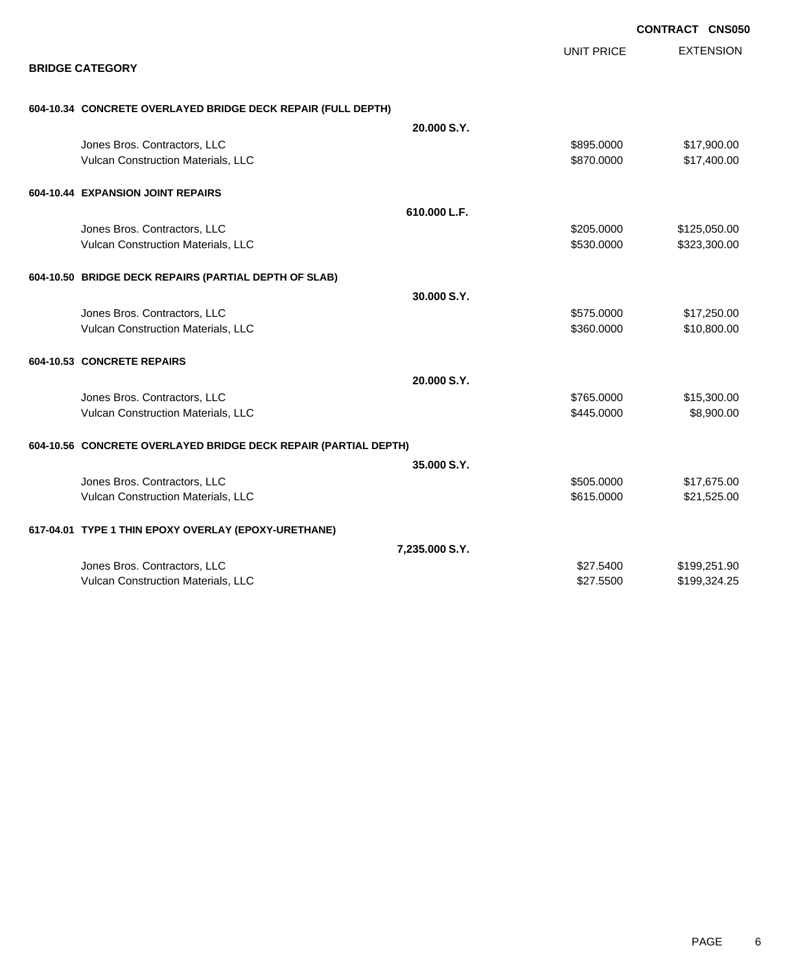|                                                                 |                   | <b>CONTRACT CNS050</b> |
|-----------------------------------------------------------------|-------------------|------------------------|
|                                                                 | <b>UNIT PRICE</b> | <b>EXTENSION</b>       |
| <b>BRIDGE CATEGORY</b>                                          |                   |                        |
| 604-10.34 CONCRETE OVERLAYED BRIDGE DECK REPAIR (FULL DEPTH)    |                   |                        |
|                                                                 | 20.000 S.Y.       |                        |
| Jones Bros. Contractors, LLC                                    | \$895.0000        | \$17,900.00            |
| Vulcan Construction Materials, LLC                              | \$870.0000        | \$17,400.00            |
| 604-10.44 EXPANSION JOINT REPAIRS                               |                   |                        |
|                                                                 | 610.000 L.F.      |                        |
| Jones Bros. Contractors, LLC                                    | \$205.0000        | \$125,050.00           |
| Vulcan Construction Materials, LLC                              | \$530.0000        | \$323,300.00           |
| 604-10.50 BRIDGE DECK REPAIRS (PARTIAL DEPTH OF SLAB)           |                   |                        |
|                                                                 | 30.000 S.Y.       |                        |
| Jones Bros. Contractors, LLC                                    | \$575.0000        | \$17,250.00            |
| Vulcan Construction Materials, LLC                              | \$360.0000        | \$10,800.00            |
| 604-10.53 CONCRETE REPAIRS                                      |                   |                        |
|                                                                 | 20.000 S.Y.       |                        |
| Jones Bros. Contractors, LLC                                    | \$765.0000        | \$15,300.00            |
| Vulcan Construction Materials, LLC                              | \$445,0000        | \$8,900.00             |
| 604-10.56 CONCRETE OVERLAYED BRIDGE DECK REPAIR (PARTIAL DEPTH) |                   |                        |
|                                                                 | 35.000 S.Y.       |                        |
| Jones Bros. Contractors, LLC                                    | \$505.0000        | \$17,675.00            |
| Vulcan Construction Materials, LLC                              | \$615.0000        | \$21,525.00            |
| 617-04.01 TYPE 1 THIN EPOXY OVERLAY (EPOXY-URETHANE)            |                   |                        |
|                                                                 | 7,235.000 S.Y.    |                        |
| Jones Bros. Contractors, LLC                                    | \$27,5400         | \$199,251.90           |
| Vulcan Construction Materials, LLC                              | \$27,5500         | \$199,324.25           |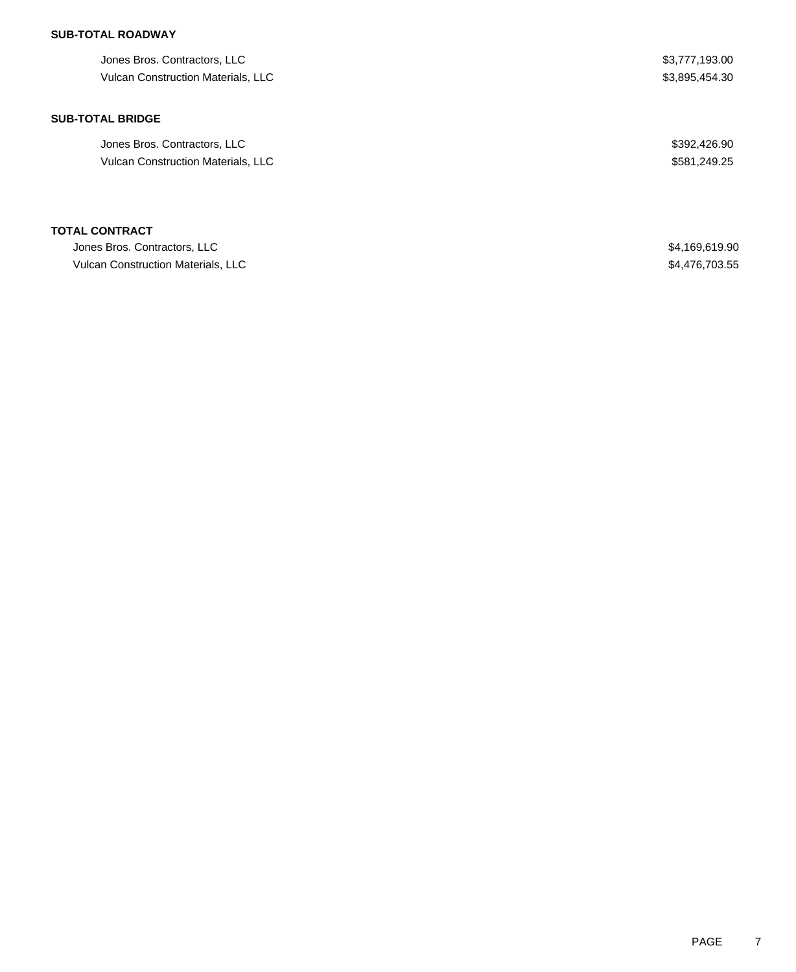## **SUB-TOTAL ROADWAY**

| Jones Bros. Contractors, LLC<br>Vulcan Construction Materials, LLC | \$3,777,193.00<br>\$3,895,454.30 |
|--------------------------------------------------------------------|----------------------------------|
| <b>SUB-TOTAL BRIDGE</b>                                            |                                  |
| Jones Bros. Contractors, LLC                                       | \$392,426.90                     |
| <b>Vulcan Construction Materials, LLC</b>                          | \$581,249.25                     |
| TOTAL CONTRACT                                                     |                                  |
| Jones Bros. Contractors, LLC                                       | \$4,169,619.90                   |
| Vulcan Construction Materials, LLC                                 | \$4,476,703,55                   |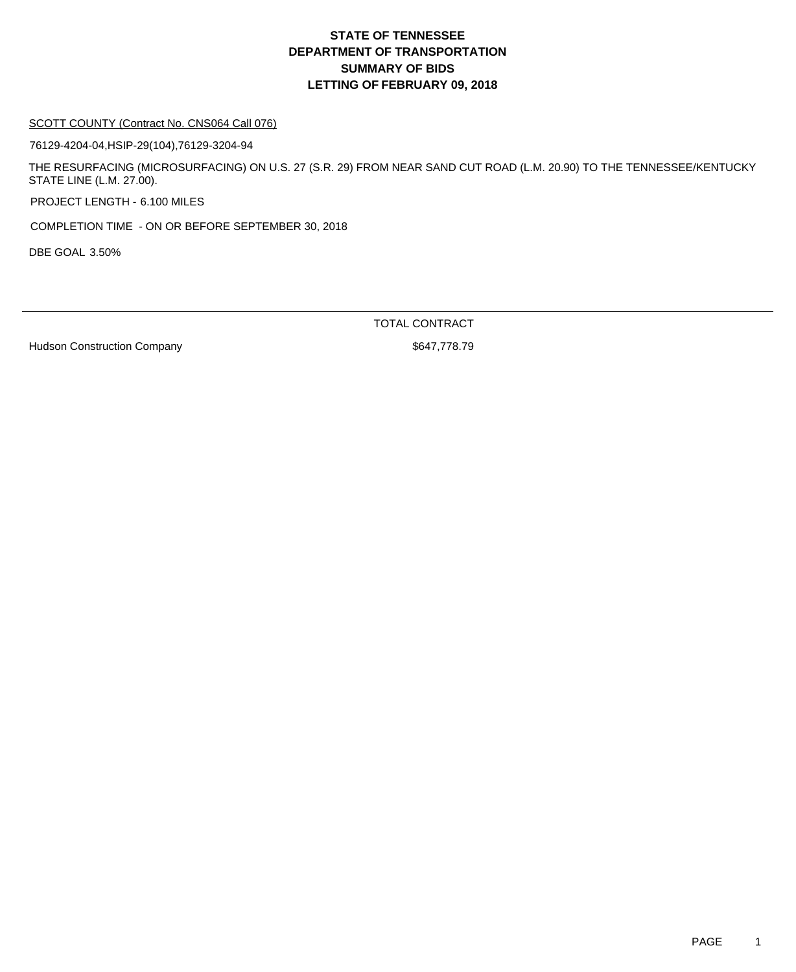#### SCOTT COUNTY (Contract No. CNS064 Call 076)

76129-4204-04,HSIP-29(104),76129-3204-94

THE RESURFACING (MICROSURFACING) ON U.S. 27 (S.R. 29) FROM NEAR SAND CUT ROAD (L.M. 20.90) TO THE TENNESSEE/KENTUCKY STATE LINE (L.M. 27.00).

PROJECT LENGTH - 6.100 MILES

COMPLETION TIME - ON OR BEFORE SEPTEMBER 30, 2018

DBE GOAL 3.50%

TOTAL CONTRACT

Hudson Construction Company **\$647,778.79**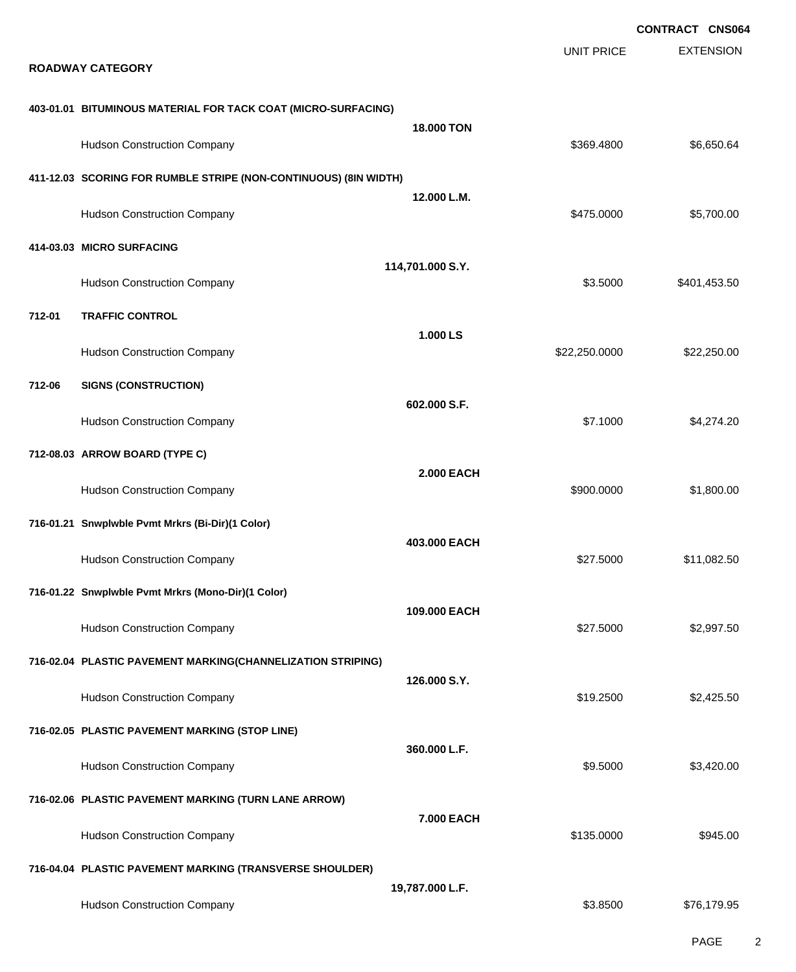|        |                                                                  |                   |                   | <b>CONTRACT CNS064</b> |
|--------|------------------------------------------------------------------|-------------------|-------------------|------------------------|
|        | <b>ROADWAY CATEGORY</b>                                          |                   | <b>UNIT PRICE</b> | <b>EXTENSION</b>       |
|        | 403-01.01 BITUMINOUS MATERIAL FOR TACK COAT (MICRO-SURFACING)    |                   |                   |                        |
|        | <b>Hudson Construction Company</b>                               | <b>18,000 TON</b> | \$369,4800        | \$6,650.64             |
|        | 411-12.03 SCORING FOR RUMBLE STRIPE (NON-CONTINUOUS) (8IN WIDTH) |                   |                   |                        |
|        | <b>Hudson Construction Company</b>                               | 12.000 L.M.       | \$475.0000        | \$5,700.00             |
|        | 414-03.03 MICRO SURFACING                                        |                   |                   |                        |
|        | <b>Hudson Construction Company</b>                               | 114,701.000 S.Y.  | \$3.5000          | \$401,453.50           |
| 712-01 | <b>TRAFFIC CONTROL</b>                                           |                   |                   |                        |
|        | <b>Hudson Construction Company</b>                               | 1.000 LS          | \$22,250.0000     | \$22,250.00            |
| 712-06 | <b>SIGNS (CONSTRUCTION)</b>                                      |                   |                   |                        |
|        | <b>Hudson Construction Company</b>                               | 602.000 S.F.      | \$7.1000          | \$4,274.20             |
|        | 712-08.03 ARROW BOARD (TYPE C)                                   |                   |                   |                        |
|        | <b>Hudson Construction Company</b>                               | <b>2.000 EACH</b> | \$900.0000        | \$1,800.00             |
|        | 716-01.21 Snwplwble Pvmt Mrkrs (Bi-Dir)(1 Color)                 |                   |                   |                        |
|        | <b>Hudson Construction Company</b>                               | 403.000 EACH      | \$27.5000         | \$11,082.50            |
|        | 716-01.22 Snwplwble Pvmt Mrkrs (Mono-Dir)(1 Color)               |                   |                   |                        |
|        | <b>Hudson Construction Company</b>                               | 109.000 EACH      | \$27.5000         | \$2,997.50             |
|        | 716-02.04 PLASTIC PAVEMENT MARKING(CHANNELIZATION STRIPING)      |                   |                   |                        |
|        | <b>Hudson Construction Company</b>                               | 126.000 S.Y.      | \$19.2500         | \$2,425.50             |
|        | 716-02.05 PLASTIC PAVEMENT MARKING (STOP LINE)                   |                   |                   |                        |
|        | <b>Hudson Construction Company</b>                               | 360,000 L.F.      | \$9.5000          | \$3,420.00             |
|        | 716-02.06 PLASTIC PAVEMENT MARKING (TURN LANE ARROW)             |                   |                   |                        |
|        | <b>Hudson Construction Company</b>                               | 7.000 EACH        | \$135.0000        | \$945.00               |
|        | 716-04.04 PLASTIC PAVEMENT MARKING (TRANSVERSE SHOULDER)         |                   |                   |                        |
|        | <b>Hudson Construction Company</b>                               | 19,787.000 L.F.   | \$3.8500          | \$76,179.95            |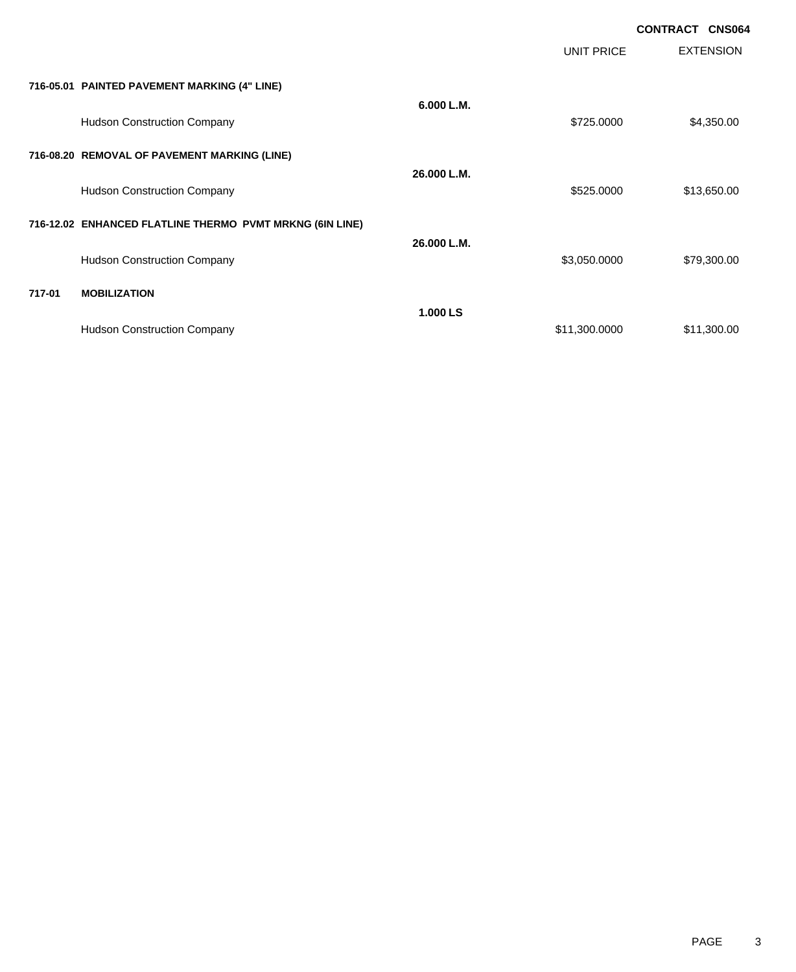|        |                                                          |             |               | <b>CONTRACT CNS064</b> |
|--------|----------------------------------------------------------|-------------|---------------|------------------------|
|        |                                                          |             | UNIT PRICE    | <b>EXTENSION</b>       |
|        | 716-05.01 PAINTED PAVEMENT MARKING (4" LINE)             |             |               |                        |
|        | <b>Hudson Construction Company</b>                       | 6.000 L.M.  | \$725.0000    | \$4,350.00             |
|        | 716-08.20 REMOVAL OF PAVEMENT MARKING (LINE)             |             |               |                        |
|        | <b>Hudson Construction Company</b>                       | 26.000 L.M. | \$525.0000    | \$13,650.00            |
|        | 716-12.02 ENHANCED FLATLINE THERMO PVMT MRKNG (6IN LINE) |             |               |                        |
|        | <b>Hudson Construction Company</b>                       | 26.000 L.M. | \$3,050.0000  | \$79,300.00            |
| 717-01 | <b>MOBILIZATION</b>                                      |             |               |                        |
|        | <b>Hudson Construction Company</b>                       | 1.000 LS    | \$11,300.0000 | \$11,300.00            |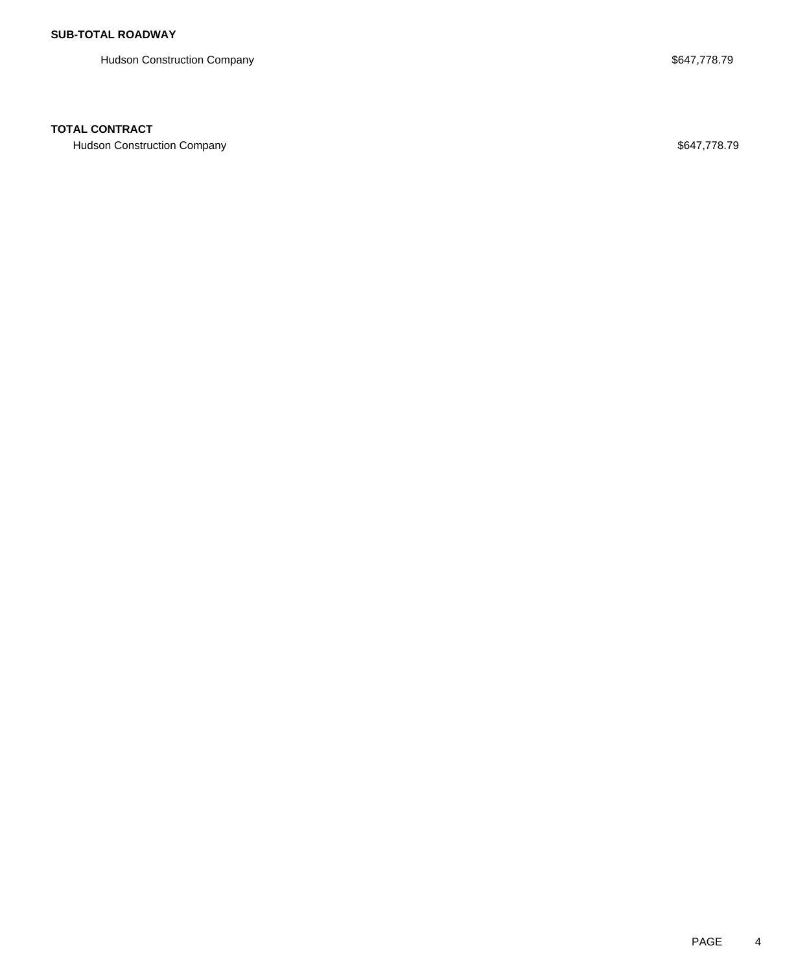Hudson Construction Company **Example 2018** 3647,778.79

### **TOTAL CONTRACT**

Hudson Construction Company **Example 2018** 3647,778.79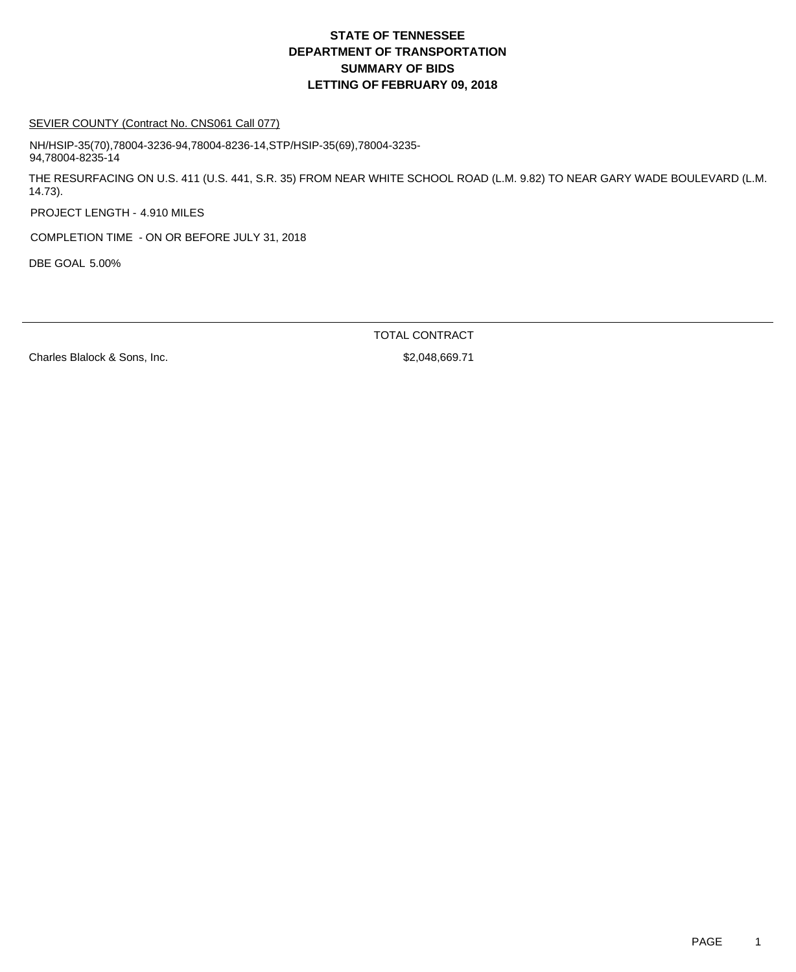### SEVIER COUNTY (Contract No. CNS061 Call 077)

NH/HSIP-35(70),78004-3236-94,78004-8236-14,STP/HSIP-35(69),78004-3235- 94,78004-8235-14

THE RESURFACING ON U.S. 411 (U.S. 441, S.R. 35) FROM NEAR WHITE SCHOOL ROAD (L.M. 9.82) TO NEAR GARY WADE BOULEVARD (L.M. 14.73).

PROJECT LENGTH - 4.910 MILES

COMPLETION TIME - ON OR BEFORE JULY 31, 2018

DBE GOAL 5.00%

TOTAL CONTRACT

Charles Blalock & Sons, Inc.  $$2,048,669.71$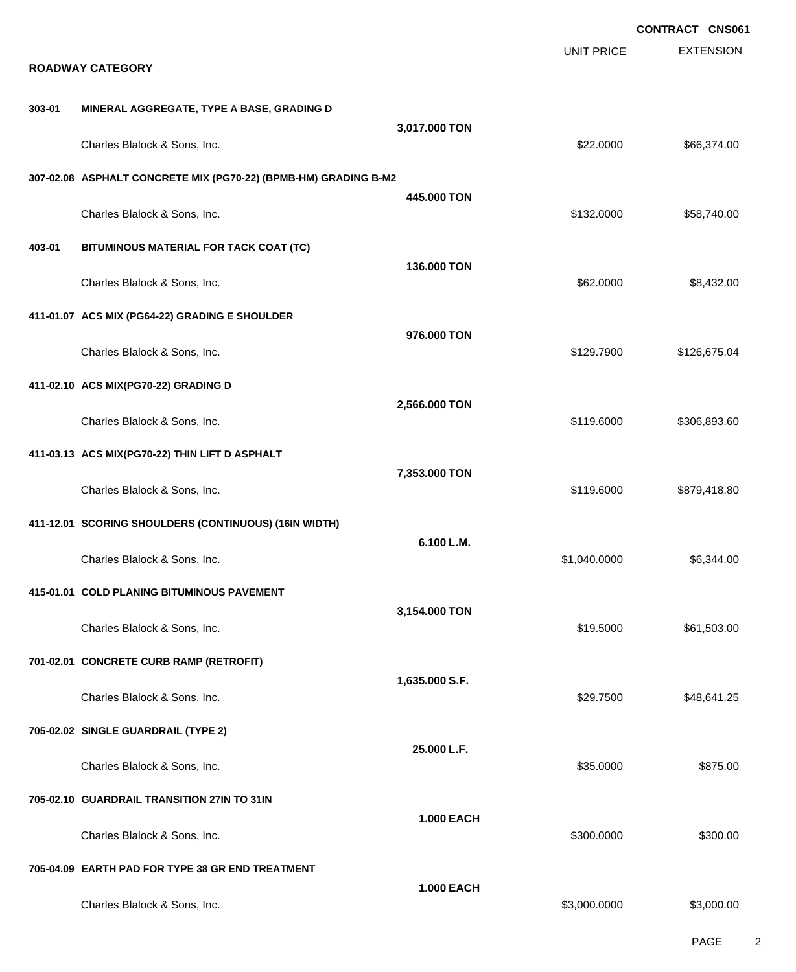|        |                                                                                       |                   |                   | <b>CONTRACT CNS061</b> |
|--------|---------------------------------------------------------------------------------------|-------------------|-------------------|------------------------|
|        | <b>ROADWAY CATEGORY</b>                                                               |                   | <b>UNIT PRICE</b> | <b>EXTENSION</b>       |
| 303-01 | MINERAL AGGREGATE, TYPE A BASE, GRADING D                                             |                   |                   |                        |
|        | Charles Blalock & Sons, Inc.                                                          | 3,017.000 TON     | \$22.0000         | \$66,374.00            |
|        | 307-02.08 ASPHALT CONCRETE MIX (PG70-22) (BPMB-HM) GRADING B-M2                       |                   |                   |                        |
|        | Charles Blalock & Sons, Inc.                                                          | 445,000 TON       | \$132.0000        | \$58,740.00            |
| 403-01 | BITUMINOUS MATERIAL FOR TACK COAT (TC)                                                | 136.000 TON       |                   |                        |
|        | Charles Blalock & Sons, Inc.                                                          |                   | \$62.0000         | \$8,432.00             |
|        | 411-01.07 ACS MIX (PG64-22) GRADING E SHOULDER                                        | 976,000 TON       |                   |                        |
|        | Charles Blalock & Sons, Inc.                                                          |                   | \$129.7900        | \$126,675.04           |
|        | 411-02.10 ACS MIX(PG70-22) GRADING D                                                  | 2,566.000 TON     |                   |                        |
|        | Charles Blalock & Sons, Inc.                                                          |                   | \$119.6000        | \$306,893.60           |
|        | 411-03.13 ACS MIX(PG70-22) THIN LIFT D ASPHALT                                        | 7,353.000 TON     |                   |                        |
|        | Charles Blalock & Sons, Inc.<br>411-12.01 SCORING SHOULDERS (CONTINUOUS) (16IN WIDTH) |                   | \$119.6000        | \$879,418.80           |
|        | Charles Blalock & Sons, Inc.                                                          | 6.100 L.M.        | \$1,040.0000      | \$6,344.00             |
|        | 415-01.01 COLD PLANING BITUMINOUS PAVEMENT                                            |                   |                   |                        |
|        | Charles Blalock & Sons, Inc.                                                          | 3,154.000 TON     | \$19.5000         | \$61,503.00            |
|        | 701-02.01 CONCRETE CURB RAMP (RETROFIT)                                               |                   |                   |                        |
|        | Charles Blalock & Sons, Inc.                                                          | 1,635.000 S.F.    | \$29.7500         | \$48,641.25            |
|        | 705-02.02 SINGLE GUARDRAIL (TYPE 2)                                                   | 25.000 L.F.       |                   |                        |
|        | Charles Blalock & Sons, Inc.                                                          |                   | \$35.0000         | \$875.00               |
|        | 705-02.10 GUARDRAIL TRANSITION 27IN TO 31IN                                           | <b>1.000 EACH</b> |                   |                        |
|        | Charles Blalock & Sons, Inc.                                                          |                   | \$300.0000        | \$300.00               |
|        | 705-04.09 EARTH PAD FOR TYPE 38 GR END TREATMENT                                      | <b>1.000 EACH</b> |                   |                        |
|        | Charles Blalock & Sons, Inc.                                                          |                   | \$3,000.0000      | \$3,000.00             |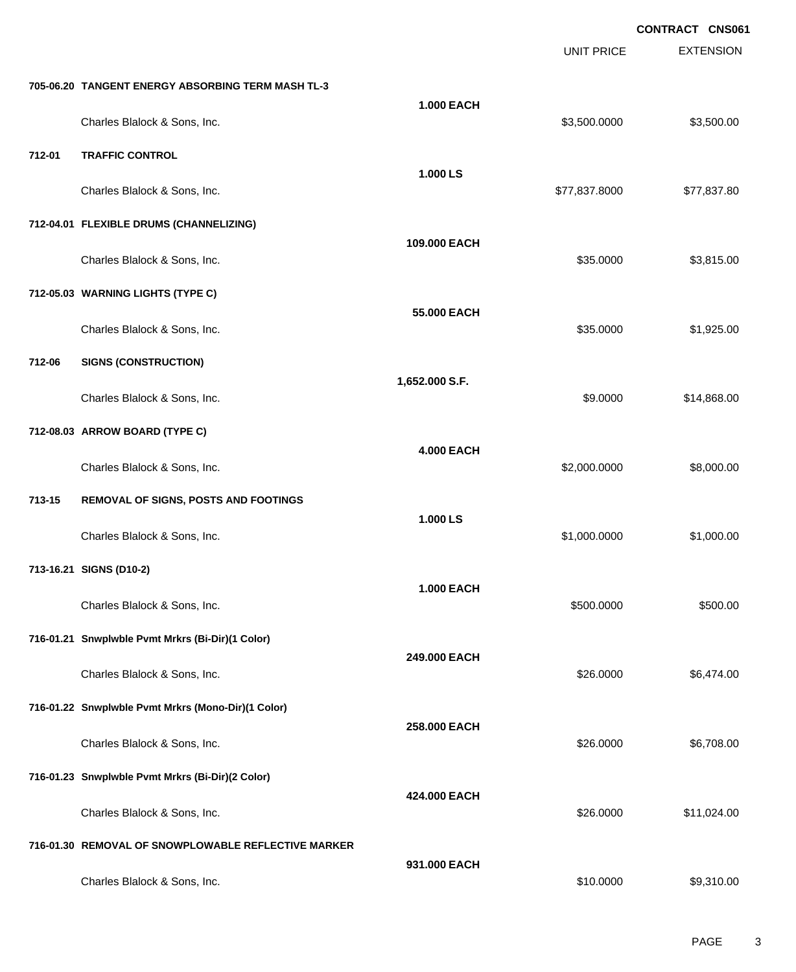EXTENSION **CONTRACT CNS061** UNIT PRICE **705-06.20 TANGENT ENERGY ABSORBING TERM MASH TL-3 1.000 EACH** Charles Blalock & Sons, Inc. 6. 2012 12:30 12:30 13:30 13:30 13:30 13:30 13:30 13:30 13:30 13:30 13:30 13:30 1 **712-01 TRAFFIC CONTROL 1.000 LS** Charles Blalock & Sons, Inc. 6. 2012 12:30 12:30 12:30 12:30 12:30 12:30 12:30 12:30 12:30 12:30 12:30 12:30 1 **712-04.01 FLEXIBLE DRUMS (CHANNELIZING) 109.000 EACH** Charles Blalock & Sons, Inc. 6. 2012 12:00:00 \$3,815.00 \$3,815.00 \$3,815.00 **712-05.03 WARNING LIGHTS (TYPE C) 55.000 EACH** Charles Blalock & Sons, Inc. 6. 2016 19:30 19:30 19:30 19:30 19:30 19:30 19:30 19:30 19:30 19:30 19:30 19:30 1 **712-06 SIGNS (CONSTRUCTION) 1,652.000 S.F.** Charles Blalock & Sons, Inc. 69.000 \$14,868.00 **712-08.03 ARROW BOARD (TYPE C) 4.000 EACH** Charles Blalock & Sons, Inc. 6. 2008.000 \$8,000.000 \$8,000.000 \$8,000.000 \$8,000.00 **713-15 REMOVAL OF SIGNS, POSTS AND FOOTINGS 1.000 LS** Charles Blalock & Sons, Inc. 6. 2010 12:00:000 \$1,000.000 \$1,000.000 \$1,000.000 \$1,000.000 \$1,000.00 **713-16.21 SIGNS (D10-2) 1.000 EACH** Charles Blalock & Sons, Inc. 6. 2009. [10] States Blalock & Sons, Inc. 6. 2009. [10] States Blalock & Sons, Inc. 2009. [10] States Blalock & Sons, Inc. 2009. [10] States Blalock & Sons, Inc. 2009. [10] States Blalock & Son **716-01.21 Snwplwble Pvmt Mrkrs (Bi-Dir)(1 Color) 249.000 EACH** Charles Blalock & Sons, Inc. \$26.0000 \$6,474.00 **716-01.22 Snwplwble Pvmt Mrkrs (Mono-Dir)(1 Color) 258.000 EACH** Charles Blalock & Sons, Inc. \$26.0000 \$6,708.00 **716-01.23 Snwplwble Pvmt Mrkrs (Bi-Dir)(2 Color) 424.000 EACH** Charles Blalock & Sons, Inc. \$26.0000 \$11,024.00 **716-01.30 REMOVAL OF SNOWPLOWABLE REFLECTIVE MARKER 931.000 EACH** Charles Blalock & Sons, Inc. \$10.0000 \$9,310.00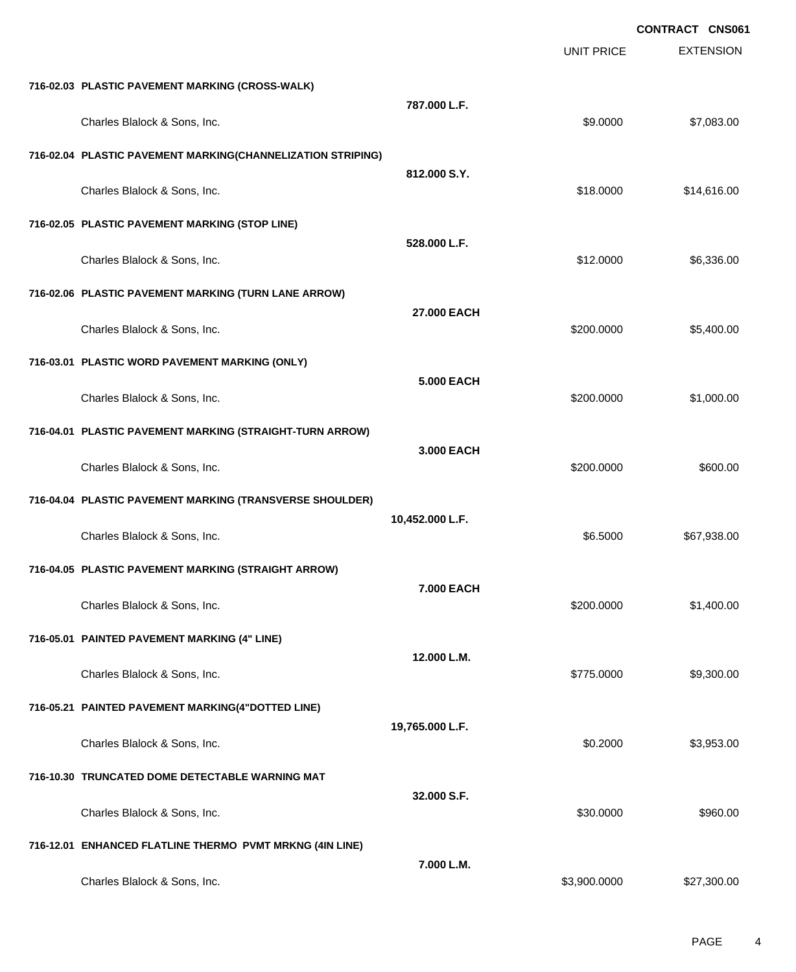|                                                             |                   |                   | <b>CONTRACT CNS061</b> |
|-------------------------------------------------------------|-------------------|-------------------|------------------------|
|                                                             |                   | <b>UNIT PRICE</b> | <b>EXTENSION</b>       |
| 716-02.03 PLASTIC PAVEMENT MARKING (CROSS-WALK)             |                   |                   |                        |
| Charles Blalock & Sons, Inc.                                | 787.000 L.F.      | \$9.0000          | \$7,083.00             |
| 716-02.04 PLASTIC PAVEMENT MARKING(CHANNELIZATION STRIPING) |                   |                   |                        |
| Charles Blalock & Sons, Inc.                                | 812.000 S.Y.      | \$18.0000         | \$14,616.00            |
| 716-02.05 PLASTIC PAVEMENT MARKING (STOP LINE)              |                   |                   |                        |
| Charles Blalock & Sons, Inc.                                | 528.000 L.F.      | \$12.0000         | \$6,336.00             |
| 716-02.06 PLASTIC PAVEMENT MARKING (TURN LANE ARROW)        |                   |                   |                        |
| Charles Blalock & Sons, Inc.                                | 27.000 EACH       | \$200.0000        | \$5,400.00             |
| 716-03.01 PLASTIC WORD PAVEMENT MARKING (ONLY)              |                   |                   |                        |
| Charles Blalock & Sons, Inc.                                | <b>5.000 EACH</b> | \$200.0000        | \$1,000.00             |
| 716-04.01 PLASTIC PAVEMENT MARKING (STRAIGHT-TURN ARROW)    |                   |                   |                        |
| Charles Blalock & Sons, Inc.                                | 3.000 EACH        | \$200.0000        | \$600.00               |
| 716-04.04 PLASTIC PAVEMENT MARKING (TRANSVERSE SHOULDER)    |                   |                   |                        |
| Charles Blalock & Sons, Inc.                                | 10,452.000 L.F.   | \$6.5000          | \$67,938.00            |
| 716-04.05 PLASTIC PAVEMENT MARKING (STRAIGHT ARROW)         |                   |                   |                        |
| Charles Blalock & Sons, Inc.                                | 7.000 EACH        | \$200.0000        | \$1,400.00             |
| 716-05.01 PAINTED PAVEMENT MARKING (4" LINE)                |                   |                   |                        |
| Charles Blalock & Sons, Inc.                                | 12.000 L.M.       | \$775.0000        | \$9,300.00             |
| 716-05.21 PAINTED PAVEMENT MARKING(4"DOTTED LINE)           |                   |                   |                        |
| Charles Blalock & Sons, Inc.                                | 19,765.000 L.F.   | \$0.2000          | \$3,953.00             |
| 716-10.30 TRUNCATED DOME DETECTABLE WARNING MAT             |                   |                   |                        |
| Charles Blalock & Sons, Inc.                                | 32.000 S.F.       | \$30.0000         | \$960.00               |
| 716-12.01 ENHANCED FLATLINE THERMO PVMT MRKNG (4IN LINE)    |                   |                   |                        |
| Charles Blalock & Sons, Inc.                                | 7.000 L.M.        | \$3,900.0000      | \$27,300.00            |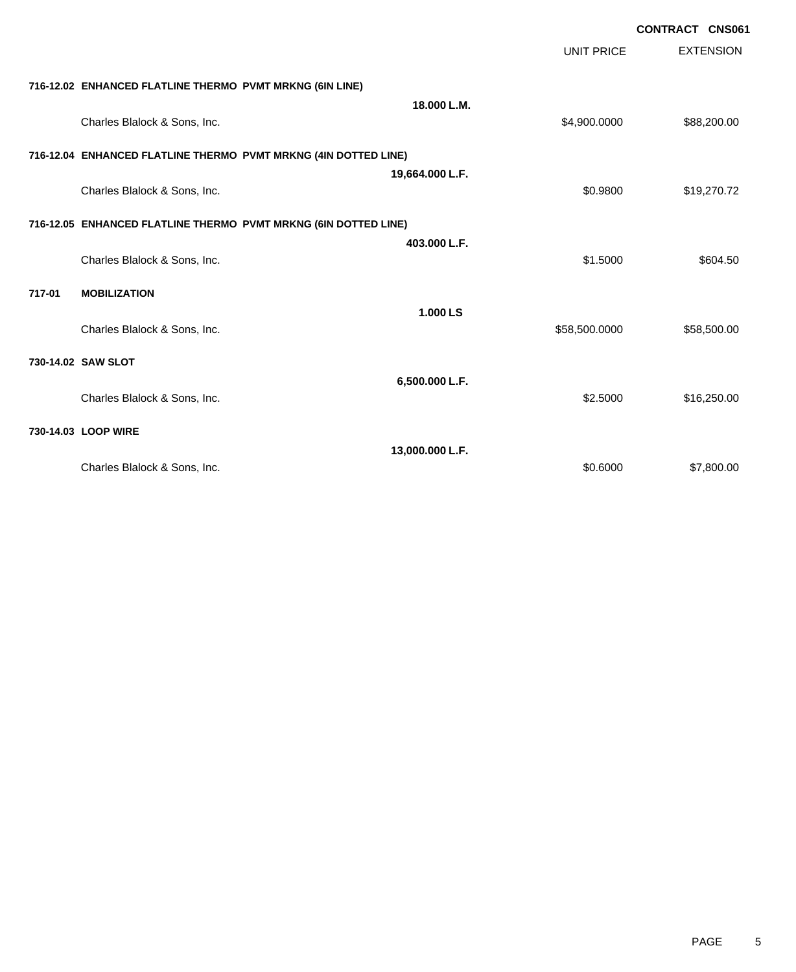|        |                                                          |                                                                 | <b>UNIT PRICE</b> | <b>CONTRACT CNS061</b><br><b>EXTENSION</b> |
|--------|----------------------------------------------------------|-----------------------------------------------------------------|-------------------|--------------------------------------------|
|        | 716-12.02 ENHANCED FLATLINE THERMO PVMT MRKNG (6IN LINE) |                                                                 |                   |                                            |
|        | Charles Blalock & Sons, Inc.                             | 18.000 L.M.                                                     | \$4,900.0000      | \$88,200.00                                |
|        |                                                          | 716-12.04 ENHANCED FLATLINE THERMO PVMT MRKNG (4IN DOTTED LINE) |                   |                                            |
|        | Charles Blalock & Sons, Inc.                             | 19,664.000 L.F.                                                 | \$0.9800          | \$19,270.72                                |
|        |                                                          | 716-12.05 ENHANCED FLATLINE THERMO PVMT MRKNG (6IN DOTTED LINE) |                   |                                            |
|        | Charles Blalock & Sons, Inc.                             | 403.000 L.F.                                                    | \$1,5000          | \$604.50                                   |
| 717-01 | <b>MOBILIZATION</b>                                      |                                                                 |                   |                                            |
|        | Charles Blalock & Sons, Inc.                             | 1.000 LS                                                        | \$58,500.0000     | \$58,500.00                                |
|        | 730-14.02 SAW SLOT                                       |                                                                 |                   |                                            |
|        | Charles Blalock & Sons, Inc.                             | 6,500.000 L.F.                                                  | \$2.5000          | \$16,250.00                                |
|        | 730-14.03 LOOP WIRE                                      |                                                                 |                   |                                            |
|        | Charles Blalock & Sons, Inc.                             | 13,000.000 L.F.                                                 | \$0.6000          | \$7,800.00                                 |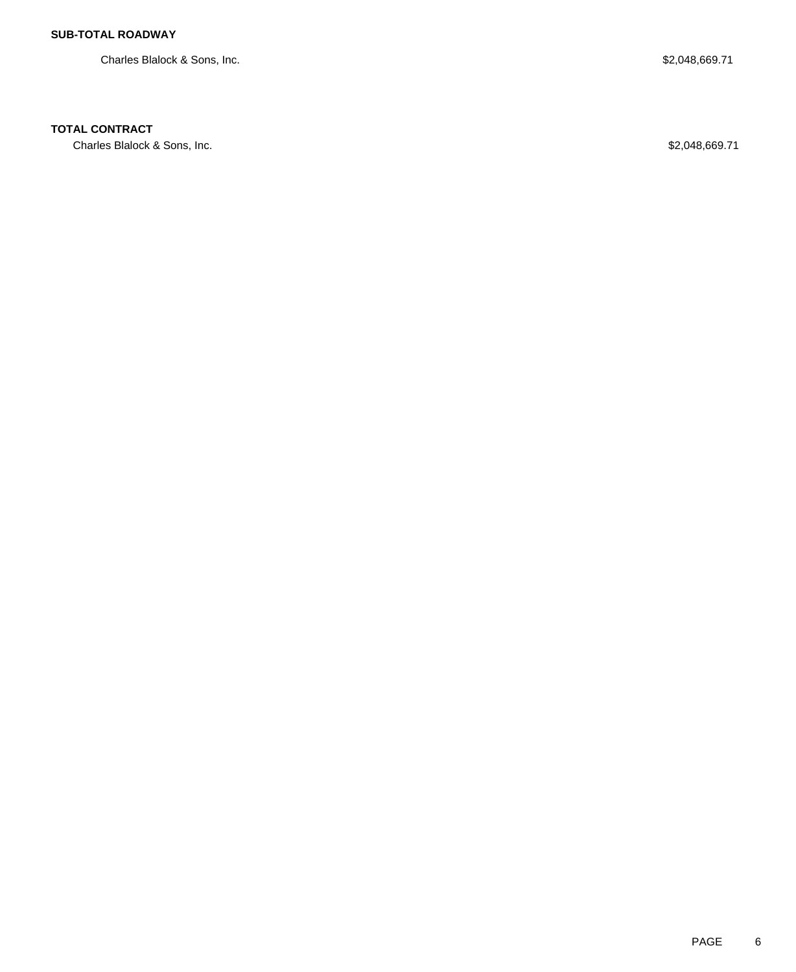Charles Blalock & Sons, Inc. 689.71

### **TOTAL CONTRACT**

Charles Blalock & Sons, Inc. 68 and the Charles Blalock & Sons, Inc. 68 and the Charles Blalock & Sons, Inc.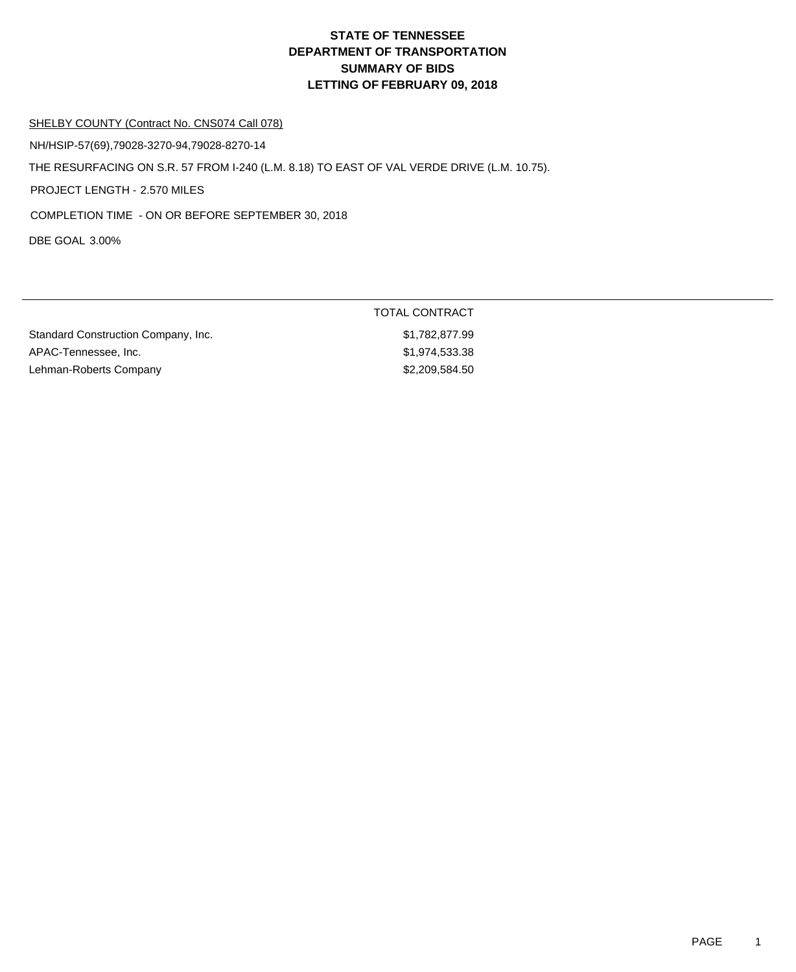### SHELBY COUNTY (Contract No. CNS074 Call 078)

NH/HSIP-57(69),79028-3270-94,79028-8270-14

THE RESURFACING ON S.R. 57 FROM I-240 (L.M. 8.18) TO EAST OF VAL VERDE DRIVE (L.M. 10.75).

PROJECT LENGTH - 2.570 MILES

COMPLETION TIME - ON OR BEFORE SEPTEMBER 30, 2018

DBE GOAL 3.00%

|                                     | TOTAL CONTRACT |  |
|-------------------------------------|----------------|--|
| Standard Construction Company, Inc. | \$1,782,877.99 |  |
| APAC-Tennessee, Inc.                | \$1,974,533.38 |  |
| Lehman-Roberts Company              | \$2,209,584.50 |  |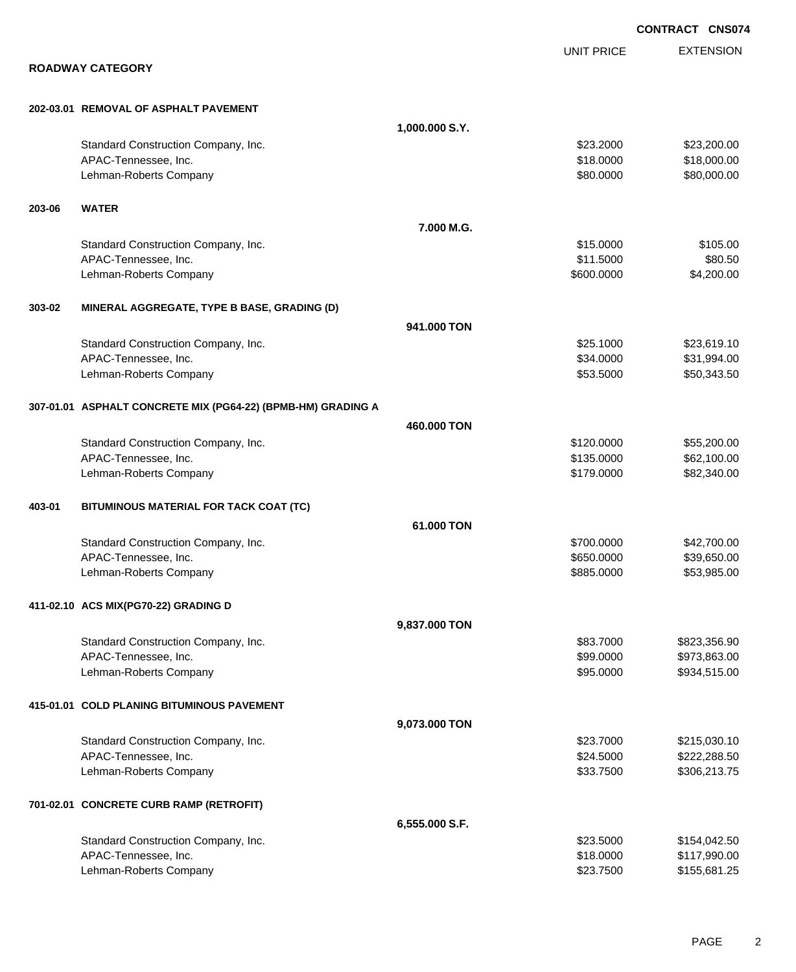|        |                                                              |                |                   | <b>CONTRACT CNS074</b> |
|--------|--------------------------------------------------------------|----------------|-------------------|------------------------|
|        |                                                              |                | <b>UNIT PRICE</b> | <b>EXTENSION</b>       |
|        | <b>ROADWAY CATEGORY</b>                                      |                |                   |                        |
|        | 202-03.01 REMOVAL OF ASPHALT PAVEMENT                        |                |                   |                        |
|        |                                                              | 1,000.000 S.Y. |                   |                        |
|        | Standard Construction Company, Inc.                          |                | \$23.2000         | \$23,200.00            |
|        | APAC-Tennessee, Inc.                                         |                | \$18.0000         | \$18,000.00            |
|        | Lehman-Roberts Company                                       |                | \$80.0000         | \$80,000.00            |
| 203-06 | <b>WATER</b>                                                 |                |                   |                        |
|        |                                                              | 7.000 M.G.     |                   |                        |
|        | Standard Construction Company, Inc.                          |                | \$15.0000         | \$105.00               |
|        | APAC-Tennessee, Inc.                                         |                | \$11.5000         | \$80.50                |
|        | Lehman-Roberts Company                                       |                | \$600.0000        | \$4,200.00             |
| 303-02 | MINERAL AGGREGATE, TYPE B BASE, GRADING (D)                  |                |                   |                        |
|        |                                                              | 941.000 TON    |                   |                        |
|        | Standard Construction Company, Inc.                          |                | \$25.1000         | \$23,619.10            |
|        | APAC-Tennessee, Inc.                                         |                | \$34.0000         | \$31,994.00            |
|        | Lehman-Roberts Company                                       |                | \$53.5000         | \$50,343.50            |
|        | 307-01.01 ASPHALT CONCRETE MIX (PG64-22) (BPMB-HM) GRADING A |                |                   |                        |
|        |                                                              | 460,000 TON    |                   |                        |
|        | Standard Construction Company, Inc.                          |                | \$120.0000        | \$55,200.00            |
|        | APAC-Tennessee, Inc.                                         |                | \$135.0000        | \$62,100.00            |
|        | Lehman-Roberts Company                                       |                | \$179.0000        | \$82,340.00            |
| 403-01 | BITUMINOUS MATERIAL FOR TACK COAT (TC)                       |                |                   |                        |
|        |                                                              | 61.000 TON     |                   |                        |
|        | Standard Construction Company, Inc.                          |                | \$700.0000        | \$42,700.00            |
|        | APAC-Tennessee, Inc.                                         |                | \$650.0000        | \$39,650.00            |
|        | Lehman-Roberts Company                                       |                | \$885.0000        | \$53,985.00            |
|        | 411-02.10 ACS MIX(PG70-22) GRADING D                         |                |                   |                        |
|        |                                                              | 9,837.000 TON  |                   |                        |
|        | Standard Construction Company, Inc.                          |                | \$83.7000         | \$823,356.90           |
|        | APAC-Tennessee, Inc.                                         |                | \$99.0000         | \$973,863.00           |
|        | Lehman-Roberts Company                                       |                | \$95.0000         | \$934,515.00           |
|        | 415-01.01 COLD PLANING BITUMINOUS PAVEMENT                   |                |                   |                        |
|        |                                                              | 9,073.000 TON  |                   |                        |
|        | Standard Construction Company, Inc.                          |                | \$23.7000         | \$215,030.10           |
|        | APAC-Tennessee, Inc.                                         |                | \$24.5000         | \$222,288.50           |
|        | Lehman-Roberts Company                                       |                | \$33.7500         | \$306,213.75           |
|        | 701-02.01 CONCRETE CURB RAMP (RETROFIT)                      |                |                   |                        |
|        |                                                              | 6,555.000 S.F. |                   |                        |
|        | Standard Construction Company, Inc.                          |                | \$23.5000         | \$154,042.50           |
|        | APAC-Tennessee, Inc.                                         |                | \$18.0000         | \$117,990.00           |
|        | Lehman-Roberts Company                                       |                | \$23.7500         | \$155,681.25           |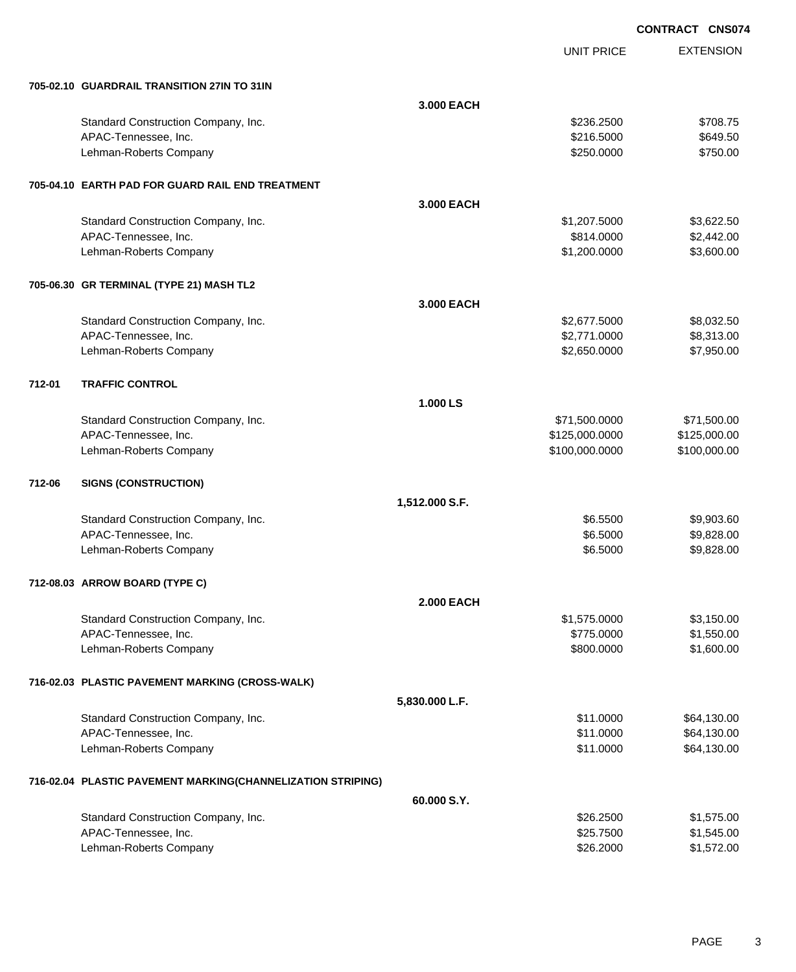EXTENSION **CONTRACT CNS074** UNIT PRICE **705-02.10 GUARDRAIL TRANSITION 27IN TO 31IN 3.000 EACH** Standard Construction Company, Inc. 6. The Construction Company, Inc. 6. The Construction Company, Inc. 6. The Construction Company, Inc. 6. The Construction Company, Inc. 6. The Construction Company, Inc. 6. The Construct APAC-Tennessee, Inc. \$649.50  $$216.5000$  \$649.50 Lehman-Roberts Company 6750.000 \$750.000 \$750.000 \$750.000 \$750.000 \$750.000 \$750.00 **705-04.10 EARTH PAD FOR GUARD RAIL END TREATMENT 3.000 EACH** Standard Construction Company, Inc. 6. The Standard Construction Company, Inc. 6. The Standard Construction Company, Inc. 6. The Standard Standard Standard Standard Standard Standard Standard Standard Standard Standard Sta APAC-Tennessee, Inc. \$814.0000 \$2,442.00 Lehman-Roberts Company 61,200.0000 \$3,600.00 **705-06.30 GR TERMINAL (TYPE 21) MASH TL2 3.000 EACH** Standard Construction Company, Inc. 6. The Construction Company, Inc. 6. The Construction Company, Inc. 6. The Construction Company, Inc. 6. The Construction Company, Inc. 6. The Construction Company, Inc. 6. The Construct APAC-Tennessee, Inc. \$2,771.0000 \$8,313.00 Lehman-Roberts Company 67,950.000 \$7,950.000 \$2,650.0000 \$7,950.000 \$7,950.000 \$7,950.00 **712-01 TRAFFIC CONTROL 1.000 LS** Standard Construction Company, Inc. 6. The Construction Company, Inc. 6. The Construction Company, Inc. 6. The Construction Company, Inc. 6. The Construction Company, Inc. 6. The Construction Company, Inc. 6. The Construct APAC-Tennessee, Inc. 6. 2010. The state of the state of the state of the state of the state of the state of the state of the state of the state of the state of the state of the state of the state of the state of the state Lehman-Roberts Company 6100,000 \$100,000 \$100,000 \$100,000 \$100,000 \$100,000 \$100,000 \$100,000 \$100,000 \$100,000 **712-06 SIGNS (CONSTRUCTION) 1,512.000 S.F.** Standard Construction Company, Inc. 6. The Standard Construction Company, Inc. 6. The Standard Construction Company, Inc. 6. The Standard Section of the Standard Section of Section 1.1 and Section 1.1 and Section 1.1 and S APAC-Tennessee, Inc. \$9,828.00 \$9,828.00 \$9,828.00 \$9,828.00 \$9,828.00 \$9,828.00 \$9,828.00 \$9,828.00 \$9,828.00 Lehman-Roberts Company 6.6000 \$9,828.00 **712-08.03 ARROW BOARD (TYPE C) 2.000 EACH** Standard Construction Company, Inc. 6. The Construction Company, Inc. 6. The Construction Company, Inc. 6. The Construction Company, Inc. 6. The Construction Company, Inc. 6. The Construction Company, Inc. 6. The Construct APAC-Tennessee, Inc. \$1,550.00 \$1,550.00 \$1,550.00 \$1,550.00 \$1,550.00 \$1,550.00 \$1,550.00 \$1,550.00 \$1,550.00 Lehman-Roberts Company **\$800.000** \$1,600.00 **716-02.03 PLASTIC PAVEMENT MARKING (CROSS-WALK) 5,830.000 L.F.** Standard Construction Company, Inc. 6. The Construction Company, Inc. 6. The Construction Company, Inc. 664,130.00 APAC-Tennessee, Inc. \$11.0000 \$64,130.00 Lehman-Roberts Company **\$11.0000** \$64,130.00 **716-02.04 PLASTIC PAVEMENT MARKING(CHANNELIZATION STRIPING) 60.000 S.Y.** Standard Construction Company, Inc. 6. 2500 \$1,575.00 \$1,575.00 APAC-Tennessee, Inc. \$25.7500 \$1,545.00

Lehman-Roberts Company **626.2000** \$1,572.00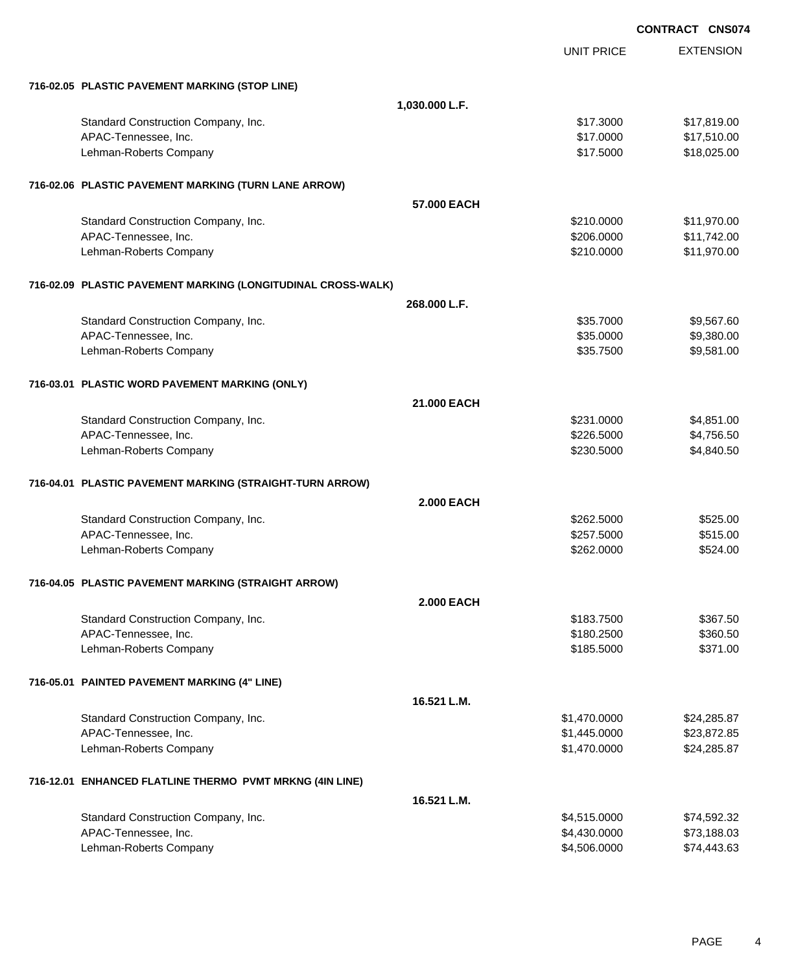|                                                              |                   | <b>CONTRACT CNS074</b>       |                            |
|--------------------------------------------------------------|-------------------|------------------------------|----------------------------|
|                                                              |                   | <b>UNIT PRICE</b>            | <b>EXTENSION</b>           |
| 716-02.05 PLASTIC PAVEMENT MARKING (STOP LINE)               |                   |                              |                            |
|                                                              | 1,030.000 L.F.    |                              |                            |
| Standard Construction Company, Inc.                          |                   | \$17.3000                    | \$17,819.00                |
| APAC-Tennessee, Inc.                                         |                   | \$17.0000                    | \$17,510.00                |
| Lehman-Roberts Company                                       |                   | \$17.5000                    | \$18,025.00                |
| 716-02.06 PLASTIC PAVEMENT MARKING (TURN LANE ARROW)         |                   |                              |                            |
|                                                              | 57.000 EACH       |                              |                            |
| Standard Construction Company, Inc.                          |                   | \$210.0000                   | \$11,970.00                |
| APAC-Tennessee, Inc.                                         |                   | \$206.0000                   | \$11,742.00                |
| Lehman-Roberts Company                                       |                   | \$210.0000                   | \$11,970.00                |
| 716-02.09 PLASTIC PAVEMENT MARKING (LONGITUDINAL CROSS-WALK) |                   |                              |                            |
|                                                              | 268.000 L.F.      |                              |                            |
| Standard Construction Company, Inc.                          |                   | \$35.7000                    | \$9,567.60                 |
| APAC-Tennessee, Inc.                                         |                   | \$35.0000                    | \$9,380.00                 |
| Lehman-Roberts Company                                       |                   | \$35.7500                    | \$9,581.00                 |
| 716-03.01 PLASTIC WORD PAVEMENT MARKING (ONLY)               |                   |                              |                            |
|                                                              | 21.000 EACH       |                              |                            |
| Standard Construction Company, Inc.                          |                   | \$231.0000                   | \$4,851.00                 |
| APAC-Tennessee, Inc.<br>Lehman-Roberts Company               |                   | \$226.5000<br>\$230.5000     | \$4,756.50<br>\$4,840.50   |
|                                                              |                   |                              |                            |
| 716-04.01 PLASTIC PAVEMENT MARKING (STRAIGHT-TURN ARROW)     |                   |                              |                            |
|                                                              | <b>2.000 EACH</b> |                              |                            |
| Standard Construction Company, Inc.                          |                   | \$262.5000                   | \$525.00                   |
| APAC-Tennessee, Inc.<br>Lehman-Roberts Company               |                   | \$257.5000<br>\$262.0000     | \$515.00<br>\$524.00       |
|                                                              |                   |                              |                            |
| 716-04.05 PLASTIC PAVEMENT MARKING (STRAIGHT ARROW)          |                   |                              |                            |
|                                                              | <b>2.000 EACH</b> |                              |                            |
| Standard Construction Company, Inc.<br>APAC-Tennessee, Inc.  |                   | \$183.7500<br>\$180.2500     | \$367.50<br>\$360.50       |
| Lehman-Roberts Company                                       |                   | \$185.5000                   | \$371.00                   |
|                                                              |                   |                              |                            |
| 716-05.01 PAINTED PAVEMENT MARKING (4" LINE)                 |                   |                              |                            |
|                                                              | 16.521 L.M.       |                              |                            |
| Standard Construction Company, Inc.                          |                   | \$1,470.0000                 | \$24,285.87                |
| APAC-Tennessee, Inc.                                         |                   | \$1,445.0000                 | \$23,872.85                |
| Lehman-Roberts Company                                       |                   | \$1,470.0000                 | \$24,285.87                |
| 716-12.01 ENHANCED FLATLINE THERMO PVMT MRKNG (4IN LINE)     |                   |                              |                            |
|                                                              | 16.521 L.M.       |                              |                            |
| Standard Construction Company, Inc.                          |                   | \$4,515.0000                 | \$74,592.32                |
| APAC-Tennessee, Inc.<br>Lehman-Roberts Company               |                   | \$4,430.0000<br>\$4,506.0000 | \$73,188.03<br>\$74,443.63 |
|                                                              |                   |                              |                            |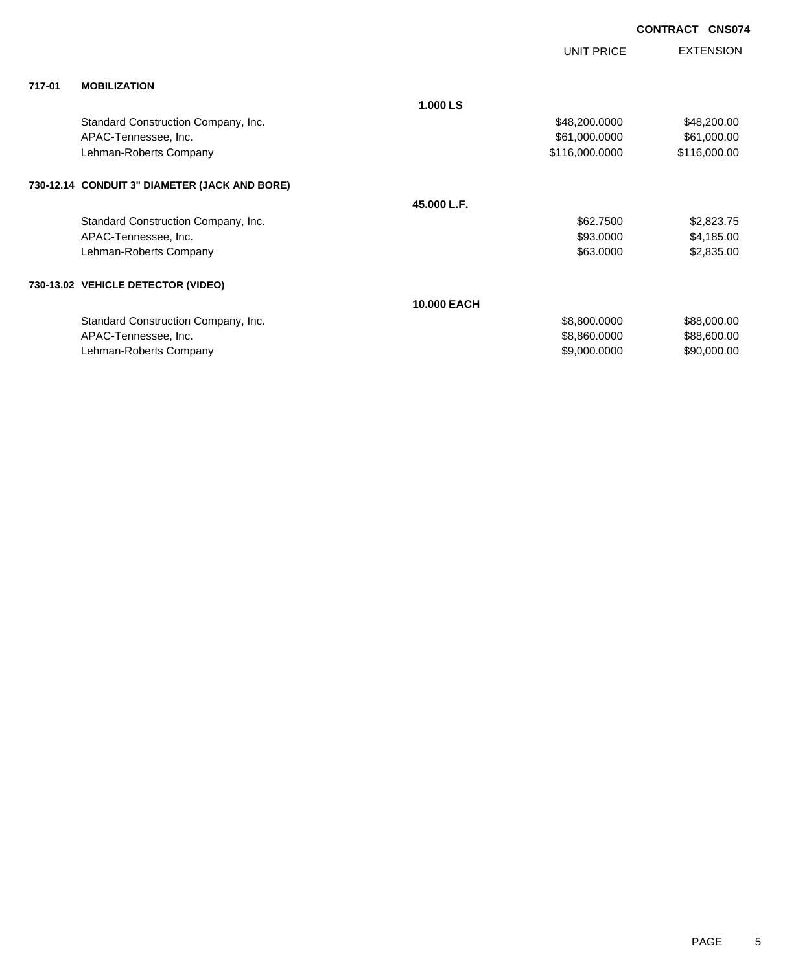| <b>CONTRACT CNS074</b> |  |
|------------------------|--|
|                        |  |

|        |                                               |                    | <b>UNIT PRICE</b> | <b>EXTENSION</b> |
|--------|-----------------------------------------------|--------------------|-------------------|------------------|
| 717-01 | <b>MOBILIZATION</b>                           |                    |                   |                  |
|        |                                               | 1.000 LS           |                   |                  |
|        | Standard Construction Company, Inc.           |                    | \$48,200.0000     | \$48,200.00      |
|        | APAC-Tennessee, Inc.                          |                    | \$61,000.0000     | \$61,000.00      |
|        | Lehman-Roberts Company                        |                    | \$116,000.0000    | \$116,000.00     |
|        | 730-12.14 CONDUIT 3" DIAMETER (JACK AND BORE) |                    |                   |                  |
|        |                                               | 45.000 L.F.        |                   |                  |
|        | Standard Construction Company, Inc.           |                    | \$62.7500         | \$2,823.75       |
|        | APAC-Tennessee, Inc.                          |                    | \$93.0000         | \$4,185.00       |
|        | Lehman-Roberts Company                        |                    | \$63.0000         | \$2,835.00       |
|        | 730-13.02 VEHICLE DETECTOR (VIDEO)            |                    |                   |                  |
|        |                                               | <b>10.000 EACH</b> |                   |                  |
|        | Standard Construction Company, Inc.           |                    | \$8,800.0000      | \$88,000.00      |
|        | APAC-Tennessee, Inc.                          |                    | \$8,860.0000      | \$88,600.00      |
|        | Lehman-Roberts Company                        |                    | \$9,000.0000      | \$90,000.00      |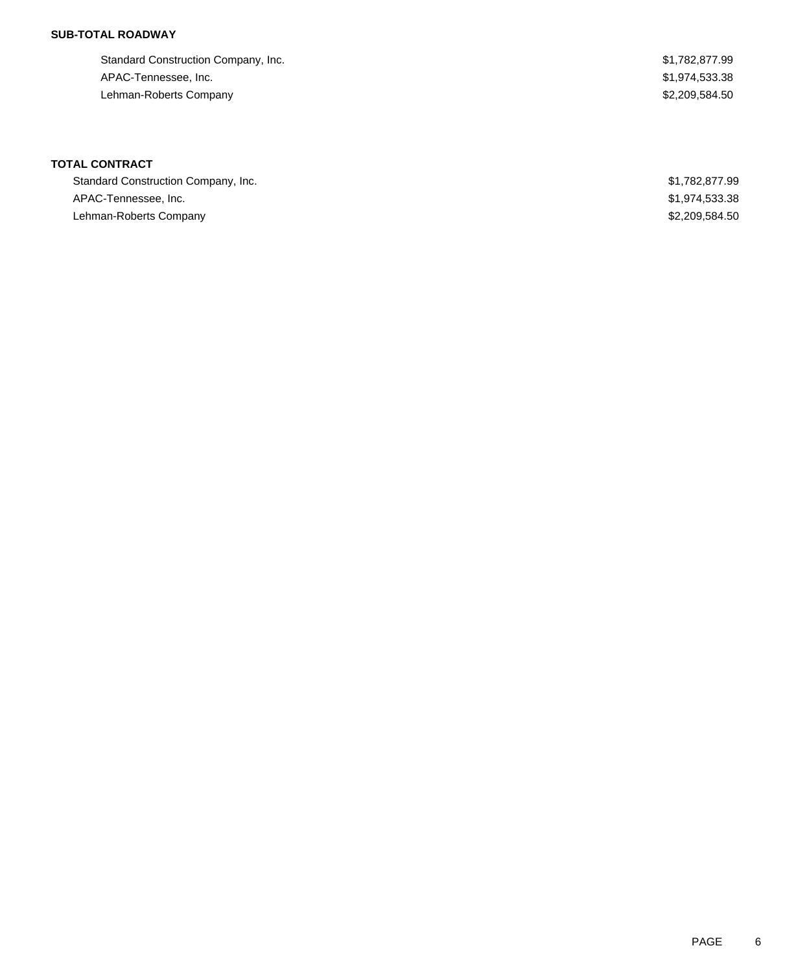## **SUB-TOTAL ROADWAY**

| Standard Construction Company, Inc. | \$1,782,877.99 |
|-------------------------------------|----------------|
| APAC-Tennessee, Inc.                | \$1,974,533.38 |
| Lehman-Roberts Company              | \$2,209,584.50 |

# **TOTAL CONTRACT**

| Standard Construction Company, Inc. | \$1,782,877.99 |
|-------------------------------------|----------------|
| APAC-Tennessee, Inc.                | \$1,974,533.38 |
| Lehman-Roberts Company              | \$2,209,584.50 |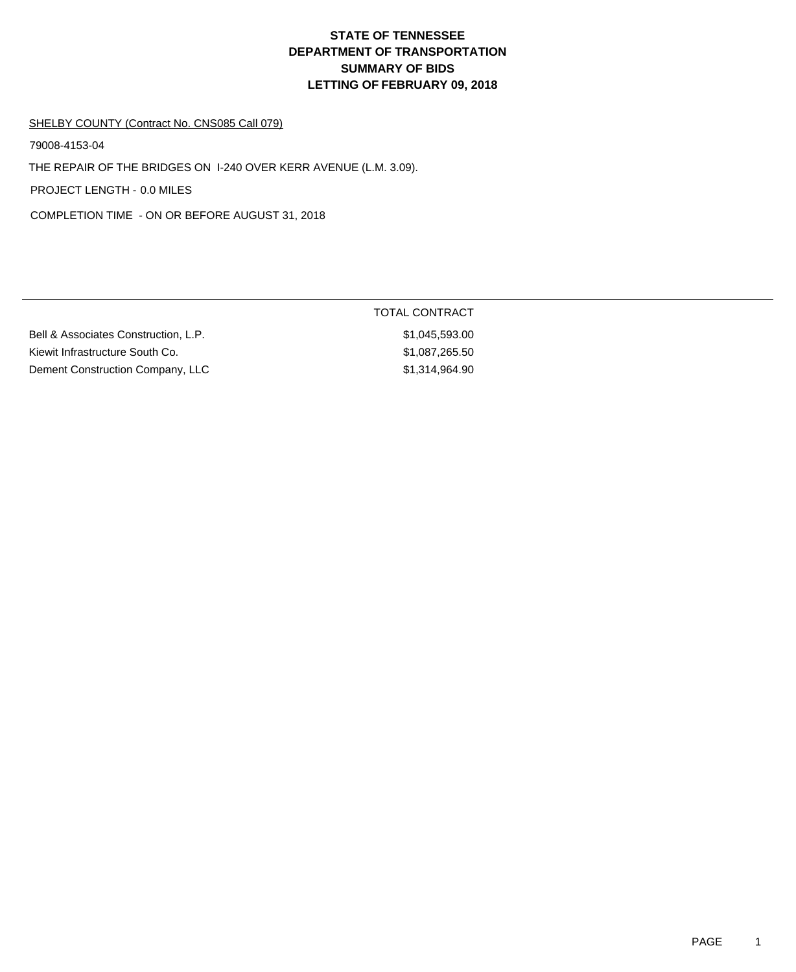#### SHELBY COUNTY (Contract No. CNS085 Call 079)

79008-4153-04

THE REPAIR OF THE BRIDGES ON I-240 OVER KERR AVENUE (L.M. 3.09).

PROJECT LENGTH - 0.0 MILES

COMPLETION TIME - ON OR BEFORE AUGUST 31, 2018

Bell & Associates Construction, L.P.  $$1,045,593.00$ Kiewit Infrastructure South Co. \$1,087,265.50 Dement Construction Company, LLC \$1,314,964.90

## TOTAL CONTRACT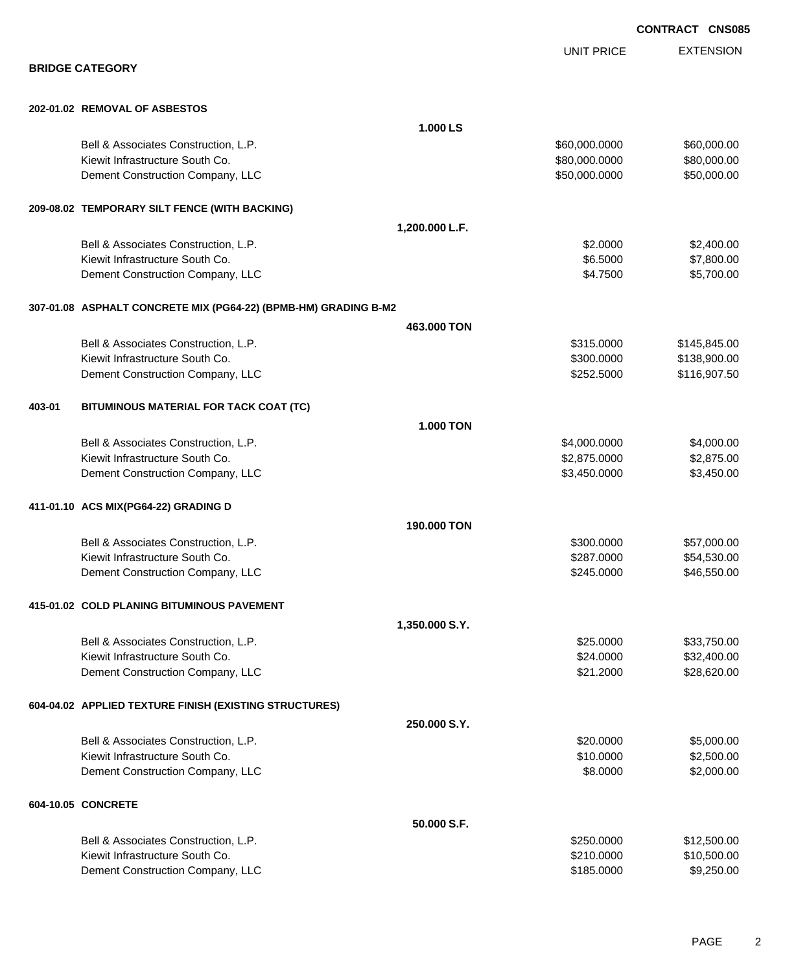UNIT PRICE

EXTENSION

**BRIDGE CATEGORY**

### **202-01.02 REMOVAL OF ASBESTOS**

|        |                                                                 | 1.000 LS         |               |              |
|--------|-----------------------------------------------------------------|------------------|---------------|--------------|
|        | Bell & Associates Construction, L.P.                            |                  | \$60,000.0000 | \$60,000.00  |
|        | Kiewit Infrastructure South Co.                                 |                  | \$80,000.0000 | \$80,000.00  |
|        | Dement Construction Company, LLC                                |                  | \$50,000.0000 | \$50,000.00  |
|        | 209-08.02 TEMPORARY SILT FENCE (WITH BACKING)                   |                  |               |              |
|        |                                                                 | 1,200.000 L.F.   |               |              |
|        | Bell & Associates Construction, L.P.                            |                  | \$2.0000      | \$2,400.00   |
|        | Kiewit Infrastructure South Co.                                 |                  | \$6.5000      | \$7,800.00   |
|        | Dement Construction Company, LLC                                |                  | \$4.7500      | \$5,700.00   |
|        | 307-01.08 ASPHALT CONCRETE MIX (PG64-22) (BPMB-HM) GRADING B-M2 |                  |               |              |
|        |                                                                 | 463.000 TON      |               |              |
|        | Bell & Associates Construction, L.P.                            |                  | \$315.0000    | \$145,845.00 |
|        | Kiewit Infrastructure South Co.                                 |                  | \$300.0000    | \$138,900.00 |
|        | Dement Construction Company, LLC                                |                  | \$252.5000    | \$116,907.50 |
| 403-01 | BITUMINOUS MATERIAL FOR TACK COAT (TC)                          |                  |               |              |
|        |                                                                 | <b>1.000 TON</b> |               |              |
|        | Bell & Associates Construction, L.P.                            |                  | \$4,000.0000  | \$4,000.00   |
|        | Kiewit Infrastructure South Co.                                 |                  | \$2,875.0000  | \$2,875.00   |
|        | Dement Construction Company, LLC                                |                  | \$3,450.0000  | \$3,450.00   |
|        | 411-01.10 ACS MIX(PG64-22) GRADING D                            |                  |               |              |
|        |                                                                 | 190.000 TON      |               |              |
|        | Bell & Associates Construction, L.P.                            |                  | \$300.0000    | \$57,000.00  |
|        | Kiewit Infrastructure South Co.                                 |                  | \$287.0000    | \$54,530.00  |
|        | Dement Construction Company, LLC                                |                  | \$245.0000    | \$46,550.00  |
|        | 415-01.02 COLD PLANING BITUMINOUS PAVEMENT                      |                  |               |              |
|        |                                                                 | 1,350.000 S.Y.   |               |              |
|        | Bell & Associates Construction, L.P.                            |                  | \$25.0000     | \$33,750.00  |
|        | Kiewit Infrastructure South Co.                                 |                  | \$24.0000     | \$32,400.00  |
|        | Dement Construction Company, LLC                                |                  | \$21.2000     | \$28,620.00  |
|        | 604-04.02 APPLIED TEXTURE FINISH (EXISTING STRUCTURES)          |                  |               |              |
|        |                                                                 | 250.000 S.Y.     |               |              |
|        | Bell & Associates Construction, L.P.                            |                  | \$20.0000     | \$5,000.00   |
|        | Kiewit Infrastructure South Co.                                 |                  | \$10.0000     | \$2,500.00   |
|        | Dement Construction Company, LLC                                |                  | \$8.0000      | \$2,000.00   |
|        | 604-10.05 CONCRETE                                              |                  |               |              |
|        |                                                                 | 50.000 S.F.      |               |              |
|        | Bell & Associates Construction, L.P.                            |                  | \$250.0000    | \$12,500.00  |
|        | Kiewit Infrastructure South Co.                                 |                  | \$210.0000    | \$10,500.00  |
|        | Dement Construction Company, LLC                                |                  | \$185.0000    | \$9,250.00   |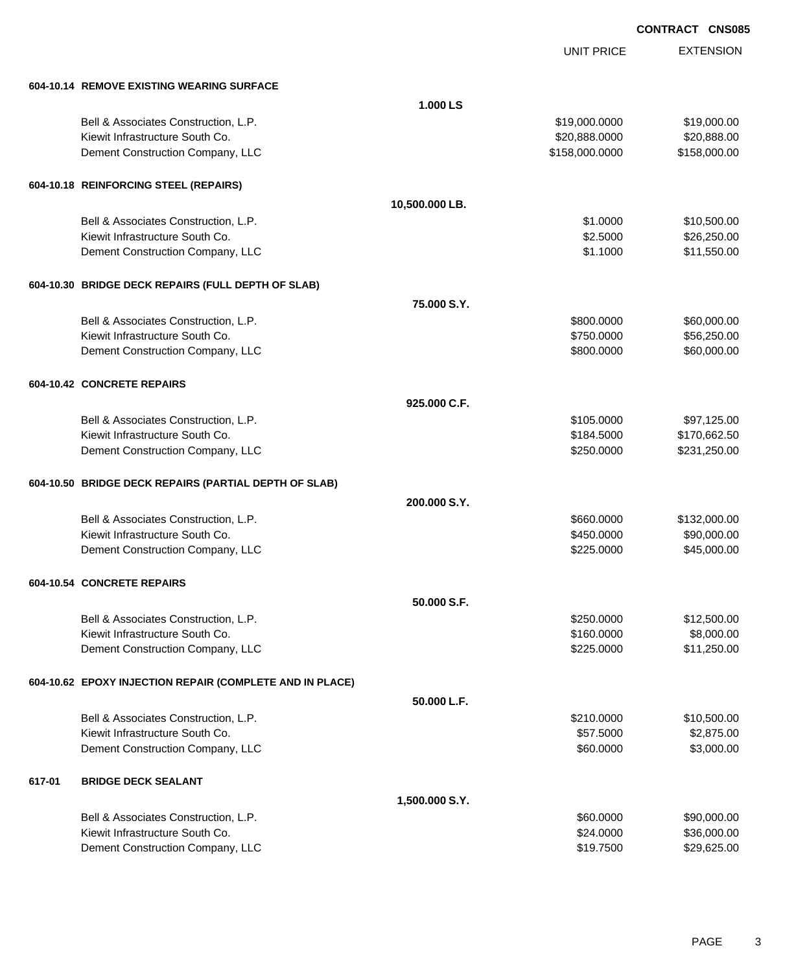UNIT PRICE

EXTENSION

|        | 604-10.14 REMOVE EXISTING WEARING SURFACE                |                |                |              |  |
|--------|----------------------------------------------------------|----------------|----------------|--------------|--|
|        |                                                          | 1.000LS        |                |              |  |
|        | Bell & Associates Construction, L.P.                     |                | \$19,000.0000  | \$19,000.00  |  |
|        | Kiewit Infrastructure South Co.                          |                | \$20,888.0000  | \$20,888.00  |  |
|        | Dement Construction Company, LLC                         |                | \$158,000.0000 | \$158,000.00 |  |
|        | 604-10.18 REINFORCING STEEL (REPAIRS)                    |                |                |              |  |
|        |                                                          | 10,500.000 LB. |                |              |  |
|        | Bell & Associates Construction, L.P.                     |                | \$1.0000       | \$10,500.00  |  |
|        | Kiewit Infrastructure South Co.                          |                | \$2.5000       | \$26,250.00  |  |
|        | Dement Construction Company, LLC                         |                | \$1.1000       | \$11,550.00  |  |
|        | 604-10.30 BRIDGE DECK REPAIRS (FULL DEPTH OF SLAB)       |                |                |              |  |
|        |                                                          | 75,000 S.Y.    |                |              |  |
|        | Bell & Associates Construction, L.P.                     |                | \$800.0000     | \$60,000.00  |  |
|        | Kiewit Infrastructure South Co.                          |                | \$750.0000     | \$56,250.00  |  |
|        | Dement Construction Company, LLC                         |                | \$800.0000     | \$60,000.00  |  |
|        | 604-10.42 CONCRETE REPAIRS                               |                |                |              |  |
|        |                                                          | 925.000 C.F.   |                |              |  |
|        | Bell & Associates Construction, L.P.                     |                | \$105.0000     | \$97,125.00  |  |
|        | Kiewit Infrastructure South Co.                          |                | \$184.5000     | \$170,662.50 |  |
|        | Dement Construction Company, LLC                         |                | \$250.0000     | \$231,250.00 |  |
|        | 604-10.50 BRIDGE DECK REPAIRS (PARTIAL DEPTH OF SLAB)    |                |                |              |  |
|        |                                                          | 200,000 S.Y.   |                |              |  |
|        | Bell & Associates Construction, L.P.                     |                | \$660.0000     | \$132,000.00 |  |
|        | Kiewit Infrastructure South Co.                          |                | \$450.0000     | \$90,000.00  |  |
|        | Dement Construction Company, LLC                         |                | \$225.0000     | \$45,000.00  |  |
|        | 604-10.54 CONCRETE REPAIRS                               |                |                |              |  |
|        |                                                          | 50.000 S.F.    |                |              |  |
|        | Bell & Associates Construction, L.P.                     |                | \$250.0000     | \$12,500.00  |  |
|        | Kiewit Infrastructure South Co.                          |                | \$160.0000     | \$8,000.00   |  |
|        | Dement Construction Company, LLC                         |                | \$225.0000     | \$11,250.00  |  |
|        | 604-10.62 EPOXY INJECTION REPAIR (COMPLETE AND IN PLACE) |                |                |              |  |
|        |                                                          | 50.000 L.F.    |                |              |  |
|        | Bell & Associates Construction, L.P.                     |                | \$210.0000     | \$10,500.00  |  |
|        | Kiewit Infrastructure South Co.                          |                | \$57.5000      | \$2,875.00   |  |
|        | Dement Construction Company, LLC                         |                | \$60.0000      | \$3,000.00   |  |
| 617-01 | <b>BRIDGE DECK SEALANT</b>                               |                |                |              |  |
|        |                                                          | 1,500.000 S.Y. |                |              |  |
|        | Bell & Associates Construction, L.P.                     |                | \$60.0000      | \$90,000.00  |  |
|        | Kiewit Infrastructure South Co.                          |                | \$24.0000      | \$36,000.00  |  |
|        | Dement Construction Company, LLC                         |                | \$19.7500      | \$29,625.00  |  |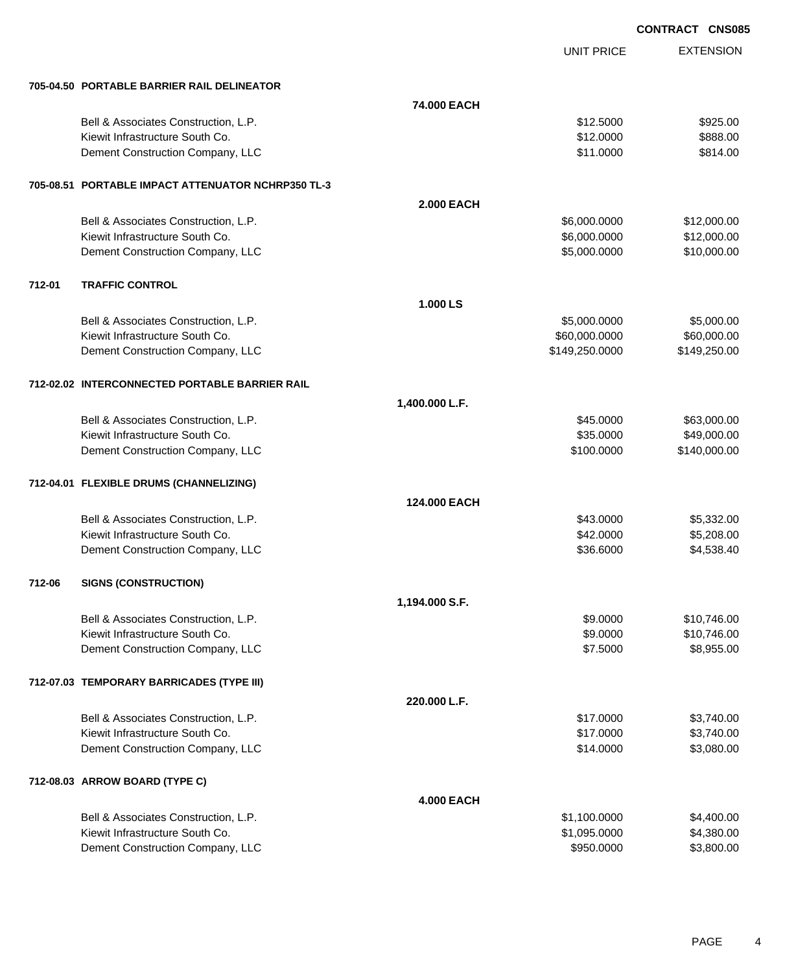|        |                                                    |                   |                   | <b>CONTRACT CNS085</b> |
|--------|----------------------------------------------------|-------------------|-------------------|------------------------|
|        |                                                    |                   | <b>UNIT PRICE</b> | <b>EXTENSION</b>       |
|        | 705-04.50 PORTABLE BARRIER RAIL DELINEATOR         |                   |                   |                        |
|        |                                                    | 74.000 EACH       |                   |                        |
|        | Bell & Associates Construction, L.P.               |                   | \$12.5000         | \$925.00               |
|        | Kiewit Infrastructure South Co.                    |                   | \$12.0000         | \$888.00               |
|        | Dement Construction Company, LLC                   |                   | \$11.0000         | \$814.00               |
|        | 705-08.51 PORTABLE IMPACT ATTENUATOR NCHRP350 TL-3 |                   |                   |                        |
|        |                                                    | <b>2.000 EACH</b> |                   |                        |
|        | Bell & Associates Construction, L.P.               |                   | \$6,000.0000      | \$12,000.00            |
|        | Kiewit Infrastructure South Co.                    |                   | \$6,000.0000      | \$12,000.00            |
|        | Dement Construction Company, LLC                   |                   | \$5,000.0000      | \$10,000.00            |
| 712-01 | <b>TRAFFIC CONTROL</b>                             |                   |                   |                        |
|        |                                                    | 1.000 LS          |                   |                        |
|        | Bell & Associates Construction, L.P.               |                   | \$5,000.0000      | \$5,000.00             |
|        | Kiewit Infrastructure South Co.                    |                   | \$60,000.0000     | \$60,000.00            |
|        | Dement Construction Company, LLC                   |                   | \$149,250.0000    | \$149,250.00           |
|        | 712-02.02 INTERCONNECTED PORTABLE BARRIER RAIL     |                   |                   |                        |
|        |                                                    | 1,400.000 L.F.    |                   |                        |
|        | Bell & Associates Construction, L.P.               |                   | \$45.0000         | \$63,000.00            |
|        | Kiewit Infrastructure South Co.                    |                   | \$35.0000         | \$49,000.00            |
|        | Dement Construction Company, LLC                   |                   | \$100.0000        | \$140,000.00           |
|        | 712-04.01 FLEXIBLE DRUMS (CHANNELIZING)            |                   |                   |                        |
|        |                                                    | 124,000 EACH      |                   |                        |
|        | Bell & Associates Construction, L.P.               |                   | \$43.0000         | \$5,332.00             |
|        | Kiewit Infrastructure South Co.                    |                   | \$42.0000         | \$5,208.00             |
|        | Dement Construction Company, LLC                   |                   | \$36.6000         | \$4,538.40             |
| 712-06 | <b>SIGNS (CONSTRUCTION)</b>                        |                   |                   |                        |
|        |                                                    | 1,194.000 S.F.    |                   |                        |
|        | Bell & Associates Construction, L.P.               |                   | \$9.0000          | \$10,746.00            |
|        | Kiewit Infrastructure South Co.                    |                   | \$9.0000          | \$10,746.00            |
|        | Dement Construction Company, LLC                   |                   | \$7.5000          | \$8,955.00             |
|        | 712-07.03 TEMPORARY BARRICADES (TYPE III)          |                   |                   |                        |
|        |                                                    | 220.000 L.F.      |                   |                        |
|        | Bell & Associates Construction, L.P.               |                   | \$17.0000         | \$3,740.00             |
|        | Kiewit Infrastructure South Co.                    |                   | \$17.0000         | \$3,740.00             |
|        | Dement Construction Company, LLC                   |                   | \$14.0000         | \$3,080.00             |
|        | 712-08.03 ARROW BOARD (TYPE C)                     |                   |                   |                        |
|        |                                                    | <b>4.000 EACH</b> |                   |                        |
|        | Bell & Associates Construction, L.P.               |                   | \$1,100.0000      | \$4,400.00             |
|        | Kiewit Infrastructure South Co.                    |                   | \$1,095.0000      | \$4,380.00             |

Dement Construction Company, LLC 60000 \$950.0000 \$3,800.00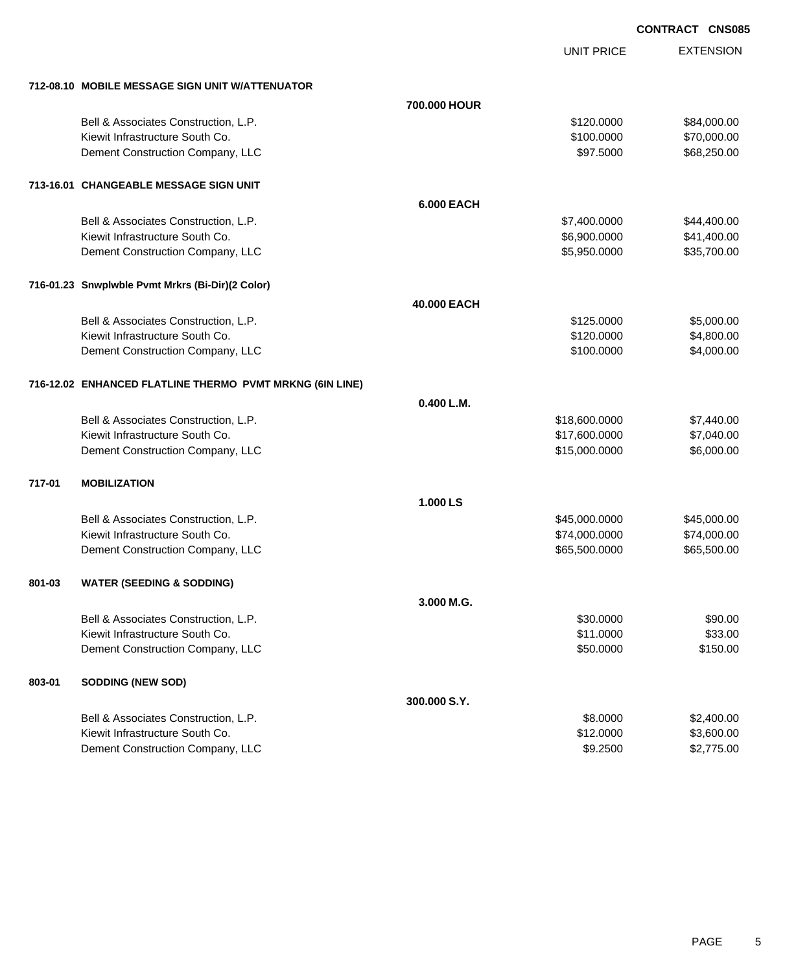EXTENSION **CONTRACT CNS085**

UNIT PRICE

|        | 712-08.10 MOBILE MESSAGE SIGN UNIT W/ATTENUATOR          |                   |               |             |
|--------|----------------------------------------------------------|-------------------|---------------|-------------|
|        |                                                          | 700.000 HOUR      |               |             |
|        | Bell & Associates Construction, L.P.                     |                   | \$120.0000    | \$84,000.00 |
|        | Kiewit Infrastructure South Co.                          |                   | \$100.0000    | \$70,000.00 |
|        | Dement Construction Company, LLC                         |                   | \$97.5000     | \$68,250.00 |
|        | 713-16.01 CHANGEABLE MESSAGE SIGN UNIT                   |                   |               |             |
|        |                                                          | <b>6.000 EACH</b> |               |             |
|        | Bell & Associates Construction, L.P.                     |                   | \$7,400.0000  | \$44,400.00 |
|        | Kiewit Infrastructure South Co.                          |                   | \$6,900.0000  | \$41,400.00 |
|        | Dement Construction Company, LLC                         |                   | \$5,950.0000  | \$35,700.00 |
|        | 716-01.23 Snwplwble Pvmt Mrkrs (Bi-Dir)(2 Color)         |                   |               |             |
|        |                                                          | 40.000 EACH       |               |             |
|        | Bell & Associates Construction, L.P.                     |                   | \$125.0000    | \$5,000.00  |
|        | Kiewit Infrastructure South Co.                          |                   | \$120.0000    | \$4,800.00  |
|        | Dement Construction Company, LLC                         |                   | \$100.0000    | \$4,000.00  |
|        | 716-12.02 ENHANCED FLATLINE THERMO PVMT MRKNG (6IN LINE) |                   |               |             |
|        |                                                          | 0.400 L.M.        |               |             |
|        | Bell & Associates Construction, L.P.                     |                   | \$18,600.0000 | \$7,440.00  |
|        | Kiewit Infrastructure South Co.                          |                   | \$17,600.0000 | \$7,040.00  |
|        | Dement Construction Company, LLC                         |                   | \$15,000.0000 | \$6,000.00  |
| 717-01 | <b>MOBILIZATION</b>                                      |                   |               |             |
|        |                                                          | 1.000 LS          |               |             |
|        | Bell & Associates Construction, L.P.                     |                   | \$45,000.0000 | \$45,000.00 |
|        | Kiewit Infrastructure South Co.                          |                   | \$74,000.0000 | \$74,000.00 |
|        | Dement Construction Company, LLC                         |                   | \$65,500.0000 | \$65,500.00 |
| 801-03 | <b>WATER (SEEDING &amp; SODDING)</b>                     |                   |               |             |
|        |                                                          | 3.000 M.G.        |               |             |
|        | Bell & Associates Construction, L.P.                     |                   | \$30.0000     | \$90.00     |
|        | Kiewit Infrastructure South Co.                          |                   | \$11.0000     | \$33.00     |
|        | Dement Construction Company, LLC                         |                   | \$50.0000     | \$150.00    |
| 803-01 | <b>SODDING (NEW SOD)</b>                                 |                   |               |             |
|        |                                                          | 300.000 S.Y.      |               |             |
|        | Bell & Associates Construction, L.P.                     |                   | \$8.0000      | \$2,400.00  |
|        | Kiewit Infrastructure South Co.                          |                   | \$12.0000     | \$3,600.00  |
|        | Dement Construction Company, LLC                         |                   | \$9.2500      | \$2,775.00  |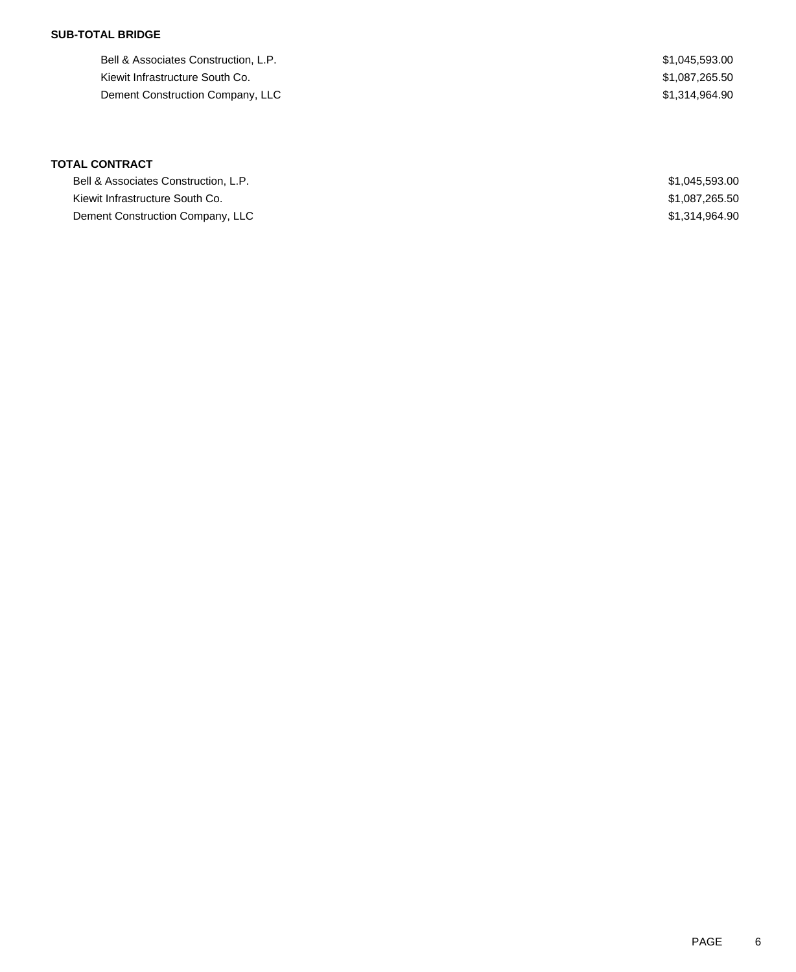### **SUB-TOTAL BRIDGE**

Bell & Associates Construction, L.P.  $$1,045,593.00$ Kiewit Infrastructure South Co. 6. \$1,087,265.50 Dement Construction Company, LLC 6. The set of the set of the set of the set of the set of the set of the set of the set of the set of the set of the set of the set of the set of the set of the set of the set of the set of

# **TOTAL CONTRACT**

| Bell & Associates Construction, L.P. | \$1.045.593.00 |
|--------------------------------------|----------------|
| Kiewit Infrastructure South Co.      | \$1,087,265.50 |
| Dement Construction Company, LLC     | \$1,314,964.90 |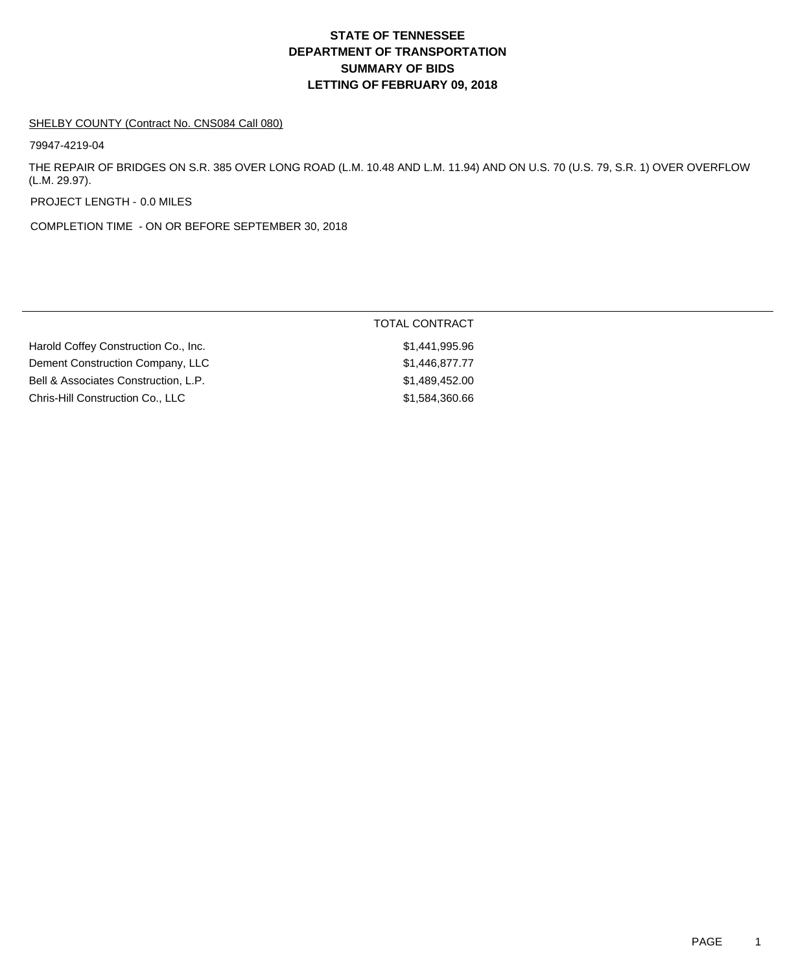#### SHELBY COUNTY (Contract No. CNS084 Call 080)

79947-4219-04

THE REPAIR OF BRIDGES ON S.R. 385 OVER LONG ROAD (L.M. 10.48 AND L.M. 11.94) AND ON U.S. 70 (U.S. 79, S.R. 1) OVER OVERFLOW (L.M. 29.97).

PROJECT LENGTH - 0.0 MILES

COMPLETION TIME - ON OR BEFORE SEPTEMBER 30, 2018

|                                      | TOTAL CONTRACT |
|--------------------------------------|----------------|
| Harold Coffey Construction Co., Inc. | \$1,441,995.96 |
| Dement Construction Company, LLC     | \$1,446,877.77 |
| Bell & Associates Construction, L.P. | \$1,489,452.00 |
| Chris-Hill Construction Co., LLC     | \$1,584,360,66 |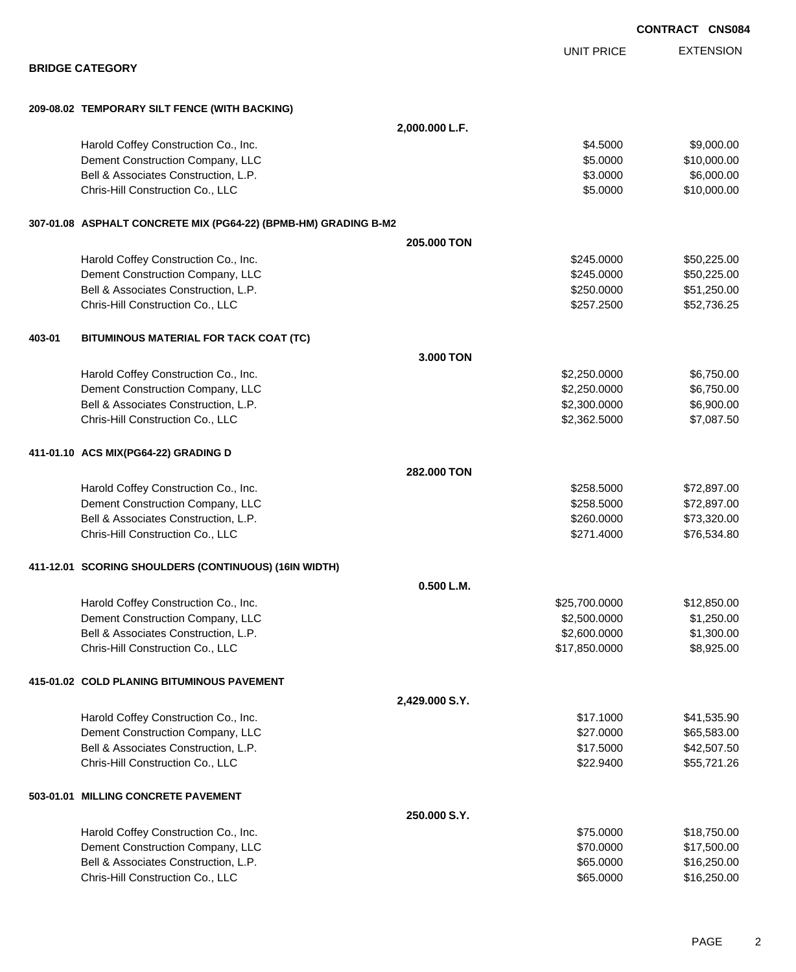|        |                                                                 |                |                   | <b>CONTRACT CNS084</b> |                  |  |
|--------|-----------------------------------------------------------------|----------------|-------------------|------------------------|------------------|--|
|        |                                                                 |                | <b>UNIT PRICE</b> |                        | <b>EXTENSION</b> |  |
|        | <b>BRIDGE CATEGORY</b>                                          |                |                   |                        |                  |  |
|        | 209-08.02 TEMPORARY SILT FENCE (WITH BACKING)                   |                |                   |                        |                  |  |
|        |                                                                 | 2,000.000 L.F. |                   |                        |                  |  |
|        | Harold Coffey Construction Co., Inc.                            |                | \$4.5000          |                        | \$9,000.00       |  |
|        | Dement Construction Company, LLC                                |                | \$5.0000          |                        | \$10,000.00      |  |
|        | Bell & Associates Construction, L.P.                            |                | \$3.0000          |                        | \$6,000.00       |  |
|        | Chris-Hill Construction Co., LLC                                |                | \$5.0000          |                        | \$10,000.00      |  |
|        | 307-01.08 ASPHALT CONCRETE MIX (PG64-22) (BPMB-HM) GRADING B-M2 |                |                   |                        |                  |  |
|        |                                                                 | 205,000 TON    |                   |                        |                  |  |
|        | Harold Coffey Construction Co., Inc.                            |                | \$245.0000        |                        | \$50,225.00      |  |
|        | Dement Construction Company, LLC                                |                | \$245.0000        |                        | \$50,225.00      |  |
|        | Bell & Associates Construction, L.P.                            |                | \$250.0000        |                        | \$51,250.00      |  |
|        | Chris-Hill Construction Co., LLC                                |                | \$257.2500        |                        | \$52,736.25      |  |
| 403-01 | BITUMINOUS MATERIAL FOR TACK COAT (TC)                          |                |                   |                        |                  |  |
|        |                                                                 | 3.000 TON      |                   |                        |                  |  |
|        | Harold Coffey Construction Co., Inc.                            |                | \$2,250.0000      |                        | \$6,750.00       |  |
|        | Dement Construction Company, LLC                                |                | \$2,250.0000      |                        | \$6,750.00       |  |
|        | Bell & Associates Construction, L.P.                            |                | \$2,300.0000      |                        | \$6,900.00       |  |
|        | Chris-Hill Construction Co., LLC                                |                | \$2,362.5000      |                        | \$7,087.50       |  |
|        | 411-01.10 ACS MIX(PG64-22) GRADING D                            |                |                   |                        |                  |  |
|        |                                                                 | 282.000 TON    |                   |                        |                  |  |
|        | Harold Coffey Construction Co., Inc.                            |                | \$258.5000        |                        | \$72,897.00      |  |
|        | Dement Construction Company, LLC                                |                | \$258.5000        |                        | \$72,897.00      |  |
|        | Bell & Associates Construction, L.P.                            |                | \$260.0000        |                        | \$73,320.00      |  |
|        | Chris-Hill Construction Co., LLC                                |                | \$271.4000        |                        | \$76,534.80      |  |
|        | 411-12.01 SCORING SHOULDERS (CONTINUOUS) (16IN WIDTH)           |                |                   |                        |                  |  |
|        |                                                                 | 0.500 L.M.     |                   |                        |                  |  |
|        | Harold Coffey Construction Co., Inc.                            |                | \$25,700.0000     |                        | \$12,850.00      |  |
|        | Dement Construction Company, LLC                                |                | \$2,500.0000      |                        | \$1,250.00       |  |
|        | Bell & Associates Construction, L.P.                            |                | \$2,600.0000      |                        | \$1,300.00       |  |
|        | Chris-Hill Construction Co., LLC                                |                | \$17,850.0000     |                        | \$8,925.00       |  |
|        | 415-01.02 COLD PLANING BITUMINOUS PAVEMENT                      |                |                   |                        |                  |  |
|        |                                                                 | 2,429.000 S.Y. |                   |                        |                  |  |
|        | Harold Coffey Construction Co., Inc.                            |                | \$17.1000         |                        | \$41,535.90      |  |
|        | Dement Construction Company, LLC                                |                | \$27.0000         |                        | \$65,583.00      |  |
|        | Bell & Associates Construction, L.P.                            |                | \$17.5000         |                        | \$42,507.50      |  |
|        | Chris-Hill Construction Co., LLC                                |                | \$22.9400         |                        | \$55,721.26      |  |
|        | 503-01.01 MILLING CONCRETE PAVEMENT                             |                |                   |                        |                  |  |
|        |                                                                 | 250.000 S.Y.   |                   |                        |                  |  |
|        | Harold Coffey Construction Co., Inc.                            |                | \$75.0000         |                        | \$18,750.00      |  |
|        | Dement Construction Company, LLC                                |                | \$70.0000         |                        | \$17,500.00      |  |
|        | Bell & Associates Construction, L.P.                            |                | \$65.0000         |                        | \$16,250.00      |  |

Chris-Hill Construction Co., LLC 6000 \$16,250.00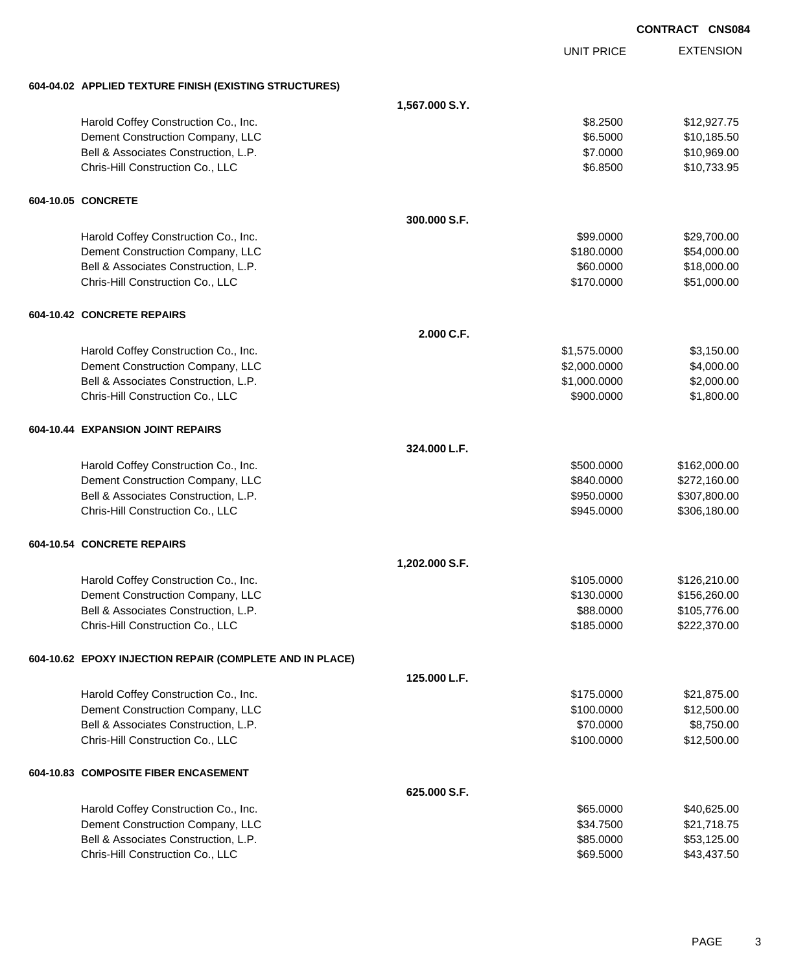|                                                          |                |                   | <b>CONTRACT CNS084</b> |                  |
|----------------------------------------------------------|----------------|-------------------|------------------------|------------------|
|                                                          |                | <b>UNIT PRICE</b> |                        | <b>EXTENSION</b> |
| 604-04.02 APPLIED TEXTURE FINISH (EXISTING STRUCTURES)   |                |                   |                        |                  |
|                                                          | 1,567.000 S.Y. |                   |                        |                  |
| Harold Coffey Construction Co., Inc.                     |                | \$8.2500          |                        | \$12,927.75      |
| Dement Construction Company, LLC                         |                | \$6.5000          |                        | \$10,185.50      |
| Bell & Associates Construction, L.P.                     |                | \$7.0000          |                        | \$10,969.00      |
| Chris-Hill Construction Co., LLC                         |                | \$6.8500          |                        | \$10,733.95      |
| 604-10.05 CONCRETE                                       |                |                   |                        |                  |
|                                                          | 300.000 S.F.   |                   |                        |                  |
| Harold Coffey Construction Co., Inc.                     |                | \$99.0000         |                        | \$29,700.00      |
| Dement Construction Company, LLC                         |                | \$180.0000        |                        | \$54,000.00      |
| Bell & Associates Construction, L.P.                     |                | \$60.0000         |                        | \$18,000.00      |
| Chris-Hill Construction Co., LLC                         |                | \$170.0000        |                        | \$51,000.00      |
| 604-10.42 CONCRETE REPAIRS                               |                |                   |                        |                  |
|                                                          | 2.000 C.F.     |                   |                        |                  |
| Harold Coffey Construction Co., Inc.                     |                | \$1,575.0000      |                        | \$3,150.00       |
| Dement Construction Company, LLC                         |                | \$2,000.0000      |                        | \$4,000.00       |
| Bell & Associates Construction, L.P.                     |                | \$1,000.0000      |                        | \$2,000.00       |
| Chris-Hill Construction Co., LLC                         |                | \$900.0000        |                        | \$1,800.00       |
| 604-10.44 EXPANSION JOINT REPAIRS                        |                |                   |                        |                  |
|                                                          | 324.000 L.F.   |                   |                        |                  |
| Harold Coffey Construction Co., Inc.                     |                | \$500.0000        |                        | \$162,000.00     |
| Dement Construction Company, LLC                         |                | \$840.0000        |                        | \$272,160.00     |
| Bell & Associates Construction, L.P.                     |                | \$950,0000        |                        | \$307,800.00     |
| Chris-Hill Construction Co., LLC                         |                | \$945.0000        |                        | \$306,180.00     |
| 604-10.54 CONCRETE REPAIRS                               |                |                   |                        |                  |
|                                                          | 1,202.000 S.F. |                   |                        |                  |
| Harold Coffey Construction Co., Inc.                     |                | \$105.0000        |                        | \$126,210.00     |
| Dement Construction Company, LLC                         |                | \$130.0000        |                        | \$156,260.00     |
| Bell & Associates Construction, L.P.                     |                | \$88.0000         |                        | \$105,776.00     |
| Chris-Hill Construction Co., LLC                         |                | \$185.0000        |                        | \$222,370.00     |
| 604-10.62 EPOXY INJECTION REPAIR (COMPLETE AND IN PLACE) |                |                   |                        |                  |
|                                                          | 125.000 L.F.   |                   |                        |                  |
| Harold Coffey Construction Co., Inc.                     |                | \$175.0000        |                        | \$21,875.00      |
| Dement Construction Company, LLC                         |                | \$100.0000        |                        | \$12,500.00      |
| Bell & Associates Construction, L.P.                     |                | \$70.0000         |                        | \$8,750.00       |
| Chris-Hill Construction Co., LLC                         |                | \$100.0000        |                        | \$12,500.00      |
| 604-10.83 COMPOSITE FIBER ENCASEMENT                     |                |                   |                        |                  |
|                                                          | 625.000 S.F.   |                   |                        |                  |
| Harold Coffey Construction Co., Inc.                     |                | \$65.0000         |                        | \$40,625.00      |
| Dement Construction Company, LLC                         |                | \$34.7500         |                        | \$21,718.75      |
| Bell & Associates Construction, L.P.                     |                | \$85.0000         |                        | \$53,125.00      |
| Chris-Hill Construction Co., LLC                         |                | \$69.5000         |                        | \$43,437.50      |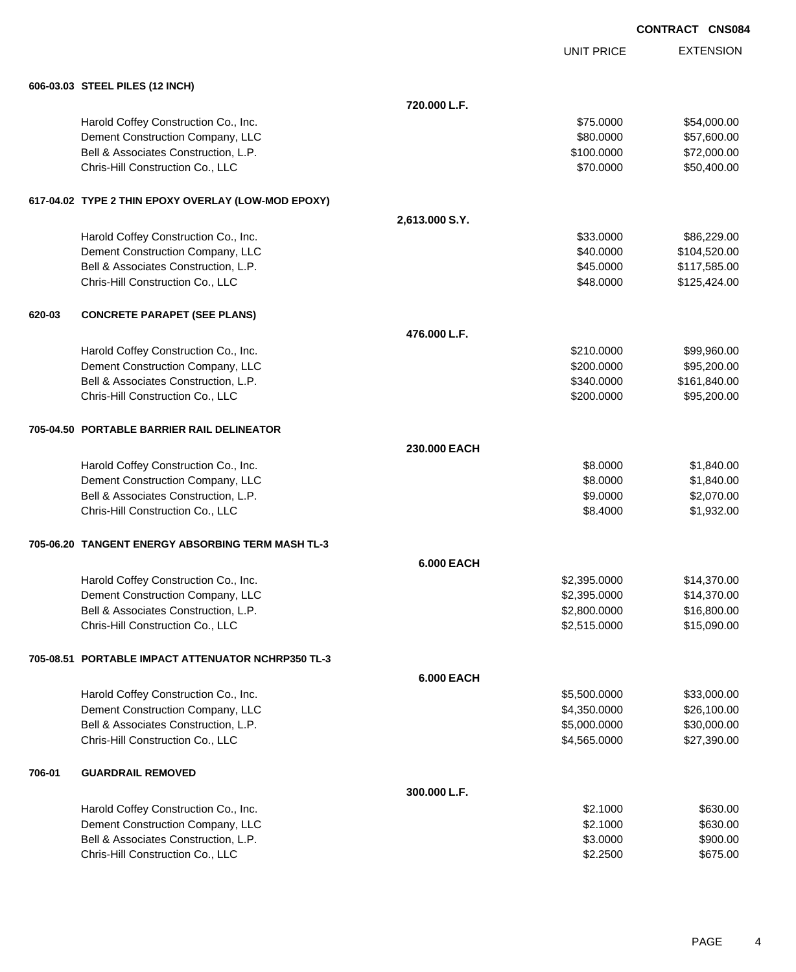UNIT PRICE EXTENSION

|        | 606-03.03 STEEL PILES (12 INCH)                     |                   |              |              |
|--------|-----------------------------------------------------|-------------------|--------------|--------------|
|        |                                                     | 720.000 L.F.      |              |              |
|        | Harold Coffey Construction Co., Inc.                |                   | \$75.0000    | \$54,000.00  |
|        | Dement Construction Company, LLC                    |                   | \$80.0000    | \$57,600.00  |
|        | Bell & Associates Construction, L.P.                |                   | \$100.0000   | \$72,000.00  |
|        | Chris-Hill Construction Co., LLC                    |                   | \$70.0000    | \$50,400.00  |
|        | 617-04.02 TYPE 2 THIN EPOXY OVERLAY (LOW-MOD EPOXY) |                   |              |              |
|        |                                                     | 2,613.000 S.Y.    |              |              |
|        | Harold Coffey Construction Co., Inc.                |                   | \$33.0000    | \$86,229.00  |
|        | Dement Construction Company, LLC                    |                   | \$40.0000    | \$104,520.00 |
|        | Bell & Associates Construction, L.P.                |                   | \$45.0000    | \$117,585.00 |
|        | Chris-Hill Construction Co., LLC                    |                   | \$48.0000    | \$125,424.00 |
| 620-03 | <b>CONCRETE PARAPET (SEE PLANS)</b>                 |                   |              |              |
|        |                                                     | 476.000 L.F.      |              |              |
|        | Harold Coffey Construction Co., Inc.                |                   | \$210.0000   | \$99,960.00  |
|        | Dement Construction Company, LLC                    |                   | \$200.0000   | \$95,200.00  |
|        | Bell & Associates Construction, L.P.                |                   | \$340.0000   | \$161,840.00 |
|        | Chris-Hill Construction Co., LLC                    |                   | \$200.0000   | \$95,200.00  |
|        | 705-04.50 PORTABLE BARRIER RAIL DELINEATOR          |                   |              |              |
|        |                                                     | 230.000 EACH      |              |              |
|        | Harold Coffey Construction Co., Inc.                |                   | \$8.0000     | \$1,840.00   |
|        | Dement Construction Company, LLC                    |                   | \$8.0000     | \$1,840.00   |
|        | Bell & Associates Construction, L.P.                |                   | \$9.0000     | \$2,070.00   |
|        | Chris-Hill Construction Co., LLC                    |                   | \$8.4000     | \$1,932.00   |
|        | 705-06.20 TANGENT ENERGY ABSORBING TERM MASH TL-3   |                   |              |              |
|        |                                                     | <b>6.000 EACH</b> |              |              |
|        | Harold Coffey Construction Co., Inc.                |                   | \$2,395.0000 | \$14,370.00  |
|        | Dement Construction Company, LLC                    |                   | \$2,395.0000 | \$14,370.00  |
|        | Bell & Associates Construction, L.P.                |                   | \$2,800.0000 | \$16,800.00  |
|        | Chris-Hill Construction Co., LLC                    |                   | \$2,515.0000 | \$15,090.00  |
|        | 705-08.51 PORTABLE IMPACT ATTENUATOR NCHRP350 TL-3  |                   |              |              |
|        |                                                     | <b>6.000 EACH</b> |              |              |
|        | Harold Coffey Construction Co., Inc.                |                   | \$5,500.0000 | \$33,000.00  |
|        | Dement Construction Company, LLC                    |                   | \$4,350.0000 | \$26,100.00  |
|        | Bell & Associates Construction, L.P.                |                   | \$5,000.0000 | \$30,000.00  |
|        | Chris-Hill Construction Co., LLC                    |                   | \$4,565.0000 | \$27,390.00  |
| 706-01 | <b>GUARDRAIL REMOVED</b>                            |                   |              |              |
|        |                                                     | 300.000 L.F.      |              |              |
|        | Harold Coffey Construction Co., Inc.                |                   | \$2.1000     | \$630.00     |
|        | Dement Construction Company, LLC                    |                   | \$2.1000     | \$630.00     |
|        | Bell & Associates Construction, L.P.                |                   | \$3.0000     | \$900.00     |
|        | Chris-Hill Construction Co., LLC                    |                   | \$2.2500     | \$675.00     |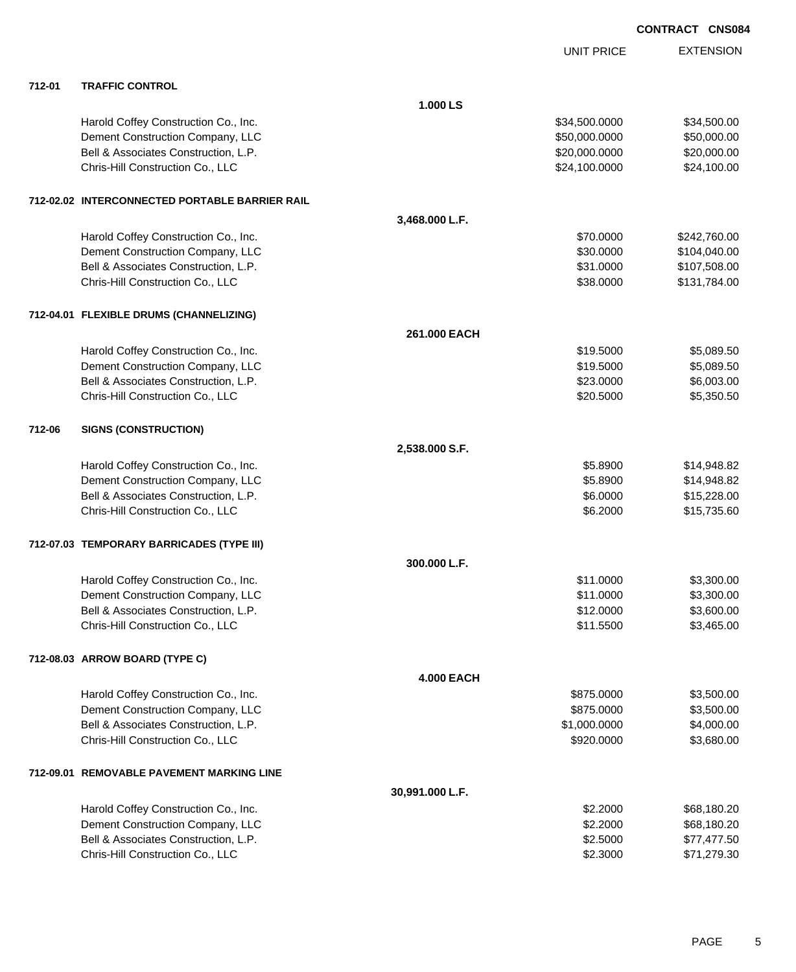|        |                                                |                   | <b>UNIT PRICE</b> | <b>EXTENSION</b> |
|--------|------------------------------------------------|-------------------|-------------------|------------------|
| 712-01 | <b>TRAFFIC CONTROL</b>                         |                   |                   |                  |
|        |                                                | 1.000 LS          |                   |                  |
|        | Harold Coffey Construction Co., Inc.           |                   | \$34,500.0000     | \$34,500.00      |
|        | Dement Construction Company, LLC               |                   | \$50,000.0000     | \$50,000.00      |
|        | Bell & Associates Construction, L.P.           |                   | \$20,000.0000     | \$20,000.00      |
|        | Chris-Hill Construction Co., LLC               |                   | \$24,100.0000     | \$24,100.00      |
|        | 712-02.02 INTERCONNECTED PORTABLE BARRIER RAIL |                   |                   |                  |
|        |                                                | 3,468.000 L.F.    |                   |                  |
|        | Harold Coffey Construction Co., Inc.           |                   | \$70.0000         | \$242,760.00     |
|        | Dement Construction Company, LLC               |                   | \$30.0000         | \$104,040.00     |
|        | Bell & Associates Construction, L.P.           |                   | \$31.0000         | \$107,508.00     |
|        | Chris-Hill Construction Co., LLC               |                   | \$38.0000         | \$131,784.00     |
|        | 712-04.01 FLEXIBLE DRUMS (CHANNELIZING)        |                   |                   |                  |
|        |                                                | 261.000 EACH      |                   |                  |
|        | Harold Coffey Construction Co., Inc.           |                   | \$19.5000         | \$5,089.50       |
|        | Dement Construction Company, LLC               |                   | \$19.5000         | \$5,089.50       |
|        | Bell & Associates Construction, L.P.           |                   | \$23.0000         | \$6,003.00       |
|        | Chris-Hill Construction Co., LLC               |                   | \$20.5000         | \$5,350.50       |
| 712-06 | <b>SIGNS (CONSTRUCTION)</b>                    |                   |                   |                  |
|        |                                                | 2,538.000 S.F.    |                   |                  |
|        | Harold Coffey Construction Co., Inc.           |                   | \$5.8900          | \$14,948.82      |
|        | Dement Construction Company, LLC               |                   | \$5.8900          | \$14,948.82      |
|        | Bell & Associates Construction, L.P.           |                   | \$6.0000          | \$15,228.00      |
|        | Chris-Hill Construction Co., LLC               |                   | \$6.2000          | \$15,735.60      |
|        | 712-07.03 TEMPORARY BARRICADES (TYPE III)      |                   |                   |                  |
|        |                                                | 300.000 L.F.      |                   |                  |
|        | Harold Coffey Construction Co., Inc.           |                   | \$11.0000         | \$3,300.00       |
|        | Dement Construction Company, LLC               |                   | \$11.0000         | \$3,300.00       |
|        | Bell & Associates Construction, L.P.           |                   | \$12.0000         | \$3,600.00       |
|        | Chris-Hill Construction Co., LLC               |                   | \$11.5500         | \$3,465.00       |
|        | 712-08.03 ARROW BOARD (TYPE C)                 |                   |                   |                  |
|        |                                                | <b>4.000 EACH</b> |                   |                  |
|        | Harold Coffey Construction Co., Inc.           |                   | \$875.0000        | \$3,500.00       |
|        | Dement Construction Company, LLC               |                   | \$875.0000        | \$3,500.00       |
|        | Bell & Associates Construction, L.P.           |                   | \$1,000.0000      | \$4,000.00       |
|        | Chris-Hill Construction Co., LLC               |                   | \$920.0000        | \$3,680.00       |
|        | 712-09.01 REMOVABLE PAVEMENT MARKING LINE      |                   |                   |                  |
|        |                                                | 30,991.000 L.F.   |                   |                  |
|        | Harold Coffey Construction Co., Inc.           |                   | \$2.2000          | \$68,180.20      |
|        | Dement Construction Company, LLC               |                   | \$2.2000          | \$68,180.20      |
|        | Bell & Associates Construction, L.P.           |                   | \$2.5000          | \$77,477.50      |
|        | Chris-Hill Construction Co., LLC               |                   | \$2.3000          | \$71,279.30      |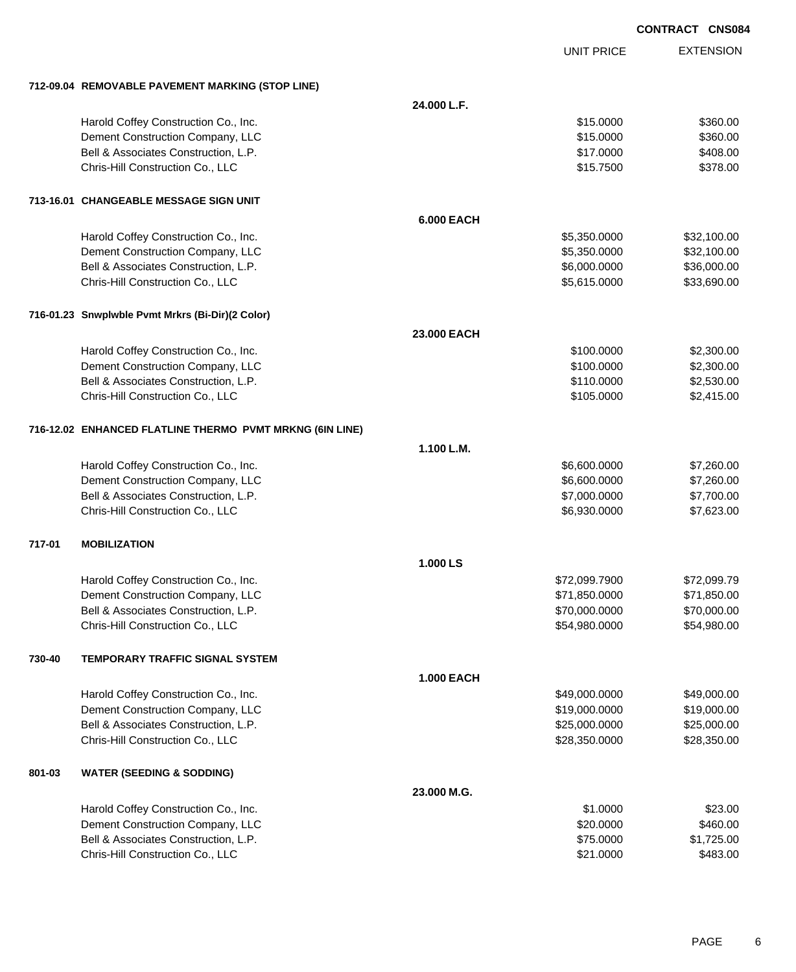|        |                                                          |                   |                   | <b>CONTRACT CNS084</b> |                  |
|--------|----------------------------------------------------------|-------------------|-------------------|------------------------|------------------|
|        |                                                          |                   | <b>UNIT PRICE</b> |                        | <b>EXTENSION</b> |
|        | 712-09.04 REMOVABLE PAVEMENT MARKING (STOP LINE)         |                   |                   |                        |                  |
|        |                                                          | 24.000 L.F.       |                   |                        |                  |
|        | Harold Coffey Construction Co., Inc.                     |                   | \$15.0000         |                        | \$360.00         |
|        | Dement Construction Company, LLC                         |                   | \$15.0000         |                        | \$360.00         |
|        | Bell & Associates Construction, L.P.                     |                   | \$17.0000         |                        | \$408.00         |
|        | Chris-Hill Construction Co., LLC                         |                   | \$15.7500         |                        | \$378.00         |
|        | 713-16.01 CHANGEABLE MESSAGE SIGN UNIT                   |                   |                   |                        |                  |
|        |                                                          | <b>6.000 EACH</b> |                   |                        |                  |
|        | Harold Coffey Construction Co., Inc.                     |                   | \$5,350.0000      |                        | \$32,100.00      |
|        | Dement Construction Company, LLC                         |                   | \$5,350.0000      |                        | \$32,100.00      |
|        | Bell & Associates Construction, L.P.                     |                   | \$6,000.0000      |                        | \$36,000.00      |
|        | Chris-Hill Construction Co., LLC                         |                   | \$5,615.0000      |                        | \$33,690.00      |
|        | 716-01.23 Snwplwble Pvmt Mrkrs (Bi-Dir)(2 Color)         |                   |                   |                        |                  |
|        |                                                          | 23.000 EACH       |                   |                        |                  |
|        | Harold Coffey Construction Co., Inc.                     |                   | \$100.0000        |                        | \$2,300.00       |
|        | Dement Construction Company, LLC                         |                   | \$100.0000        |                        | \$2,300.00       |
|        | Bell & Associates Construction, L.P.                     |                   | \$110.0000        |                        | \$2,530.00       |
|        | Chris-Hill Construction Co., LLC                         |                   | \$105.0000        |                        | \$2,415.00       |
|        | 716-12.02 ENHANCED FLATLINE THERMO PVMT MRKNG (6IN LINE) |                   |                   |                        |                  |
|        |                                                          | 1.100 L.M.        |                   |                        |                  |
|        | Harold Coffey Construction Co., Inc.                     |                   | \$6,600.0000      |                        | \$7,260.00       |
|        | Dement Construction Company, LLC                         |                   | \$6,600.0000      |                        | \$7,260.00       |
|        | Bell & Associates Construction, L.P.                     |                   | \$7,000.0000      |                        | \$7,700.00       |
|        | Chris-Hill Construction Co., LLC                         |                   | \$6,930.0000      |                        | \$7,623.00       |
| 717-01 | <b>MOBILIZATION</b>                                      |                   |                   |                        |                  |
|        |                                                          | 1.000 LS          |                   |                        |                  |
|        | Harold Coffey Construction Co., Inc.                     |                   | \$72,099.7900     |                        | \$72,099.79      |
|        | Dement Construction Company, LLC                         |                   | \$71,850.0000     |                        | \$71,850.00      |
|        | Bell & Associates Construction, L.P.                     |                   | \$70,000.0000     |                        | \$70,000.00      |
|        | Chris-Hill Construction Co., LLC                         |                   | \$54,980.0000     |                        | \$54,980.00      |
| 730-40 | TEMPORARY TRAFFIC SIGNAL SYSTEM                          |                   |                   |                        |                  |
|        |                                                          | <b>1.000 EACH</b> |                   |                        |                  |
|        | Harold Coffey Construction Co., Inc.                     |                   | \$49,000.0000     |                        | \$49,000.00      |
|        | Dement Construction Company, LLC                         |                   | \$19,000.0000     |                        | \$19,000.00      |
|        | Bell & Associates Construction, L.P.                     |                   | \$25,000.0000     |                        | \$25,000.00      |
|        | Chris-Hill Construction Co., LLC                         |                   | \$28,350.0000     |                        | \$28,350.00      |
| 801-03 | <b>WATER (SEEDING &amp; SODDING)</b>                     |                   |                   |                        |                  |
|        |                                                          | 23.000 M.G.       |                   |                        |                  |
|        | Harold Coffey Construction Co., Inc.                     |                   | \$1.0000          |                        | \$23.00          |
|        | Dement Construction Company, LLC                         |                   | \$20.0000         |                        | \$460.00         |
|        | Bell & Associates Construction, L.P.                     |                   | \$75.0000         |                        | \$1,725.00       |

Chris-Hill Construction Co., LLC 6483.00

PAGE 6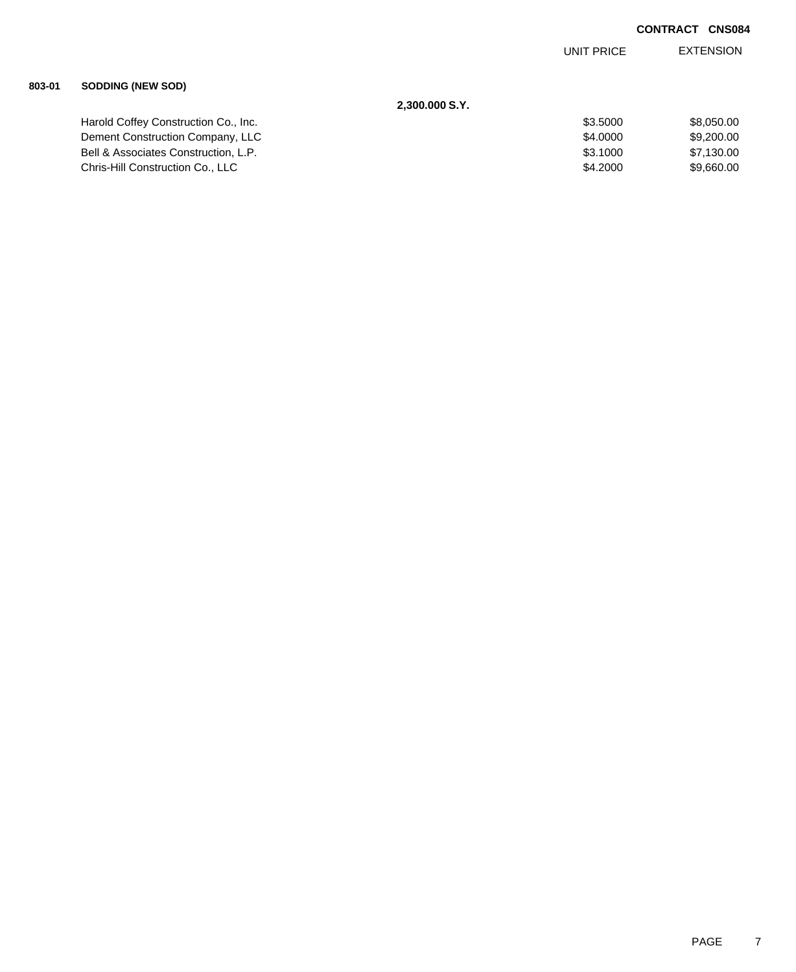EXTENSION UNIT PRICE

## **803-01 SODDING (NEW SOD)**

| 2,300.000 S.Y.                       |          |            |
|--------------------------------------|----------|------------|
| Harold Coffey Construction Co., Inc. | \$3,5000 | \$8.050.00 |
| Dement Construction Company, LLC     | \$4,0000 | \$9,200.00 |
| Bell & Associates Construction, L.P. | \$3.1000 | \$7,130.00 |
| Chris-Hill Construction Co., LLC     | \$4,2000 | \$9.660.00 |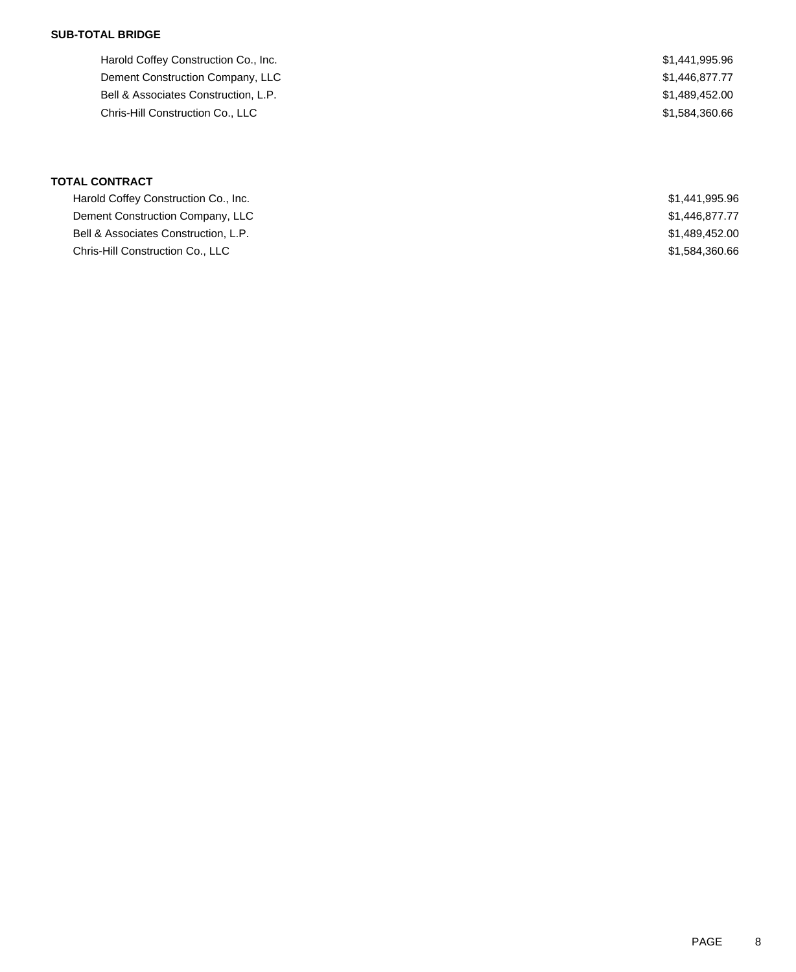## **SUB-TOTAL BRIDGE**

Harold Coffey Construction Co., Inc. 6. 2012 12:30 12:30 12:31 12:32 13:34 14:395.96 Dement Construction Company, LLC  $$1,446,877.77$ Bell & Associates Construction, L.P.  $$1,489,452.00$ Chris-Hill Construction Co., LLC \$1,584,360.66

# **TOTAL CONTRACT**

| Harold Coffey Construction Co., Inc. | \$1,441,995.96 |
|--------------------------------------|----------------|
| Dement Construction Company, LLC     | \$1,446,877.77 |
| Bell & Associates Construction, L.P. | \$1,489,452.00 |
| Chris-Hill Construction Co., LLC     | \$1,584,360.66 |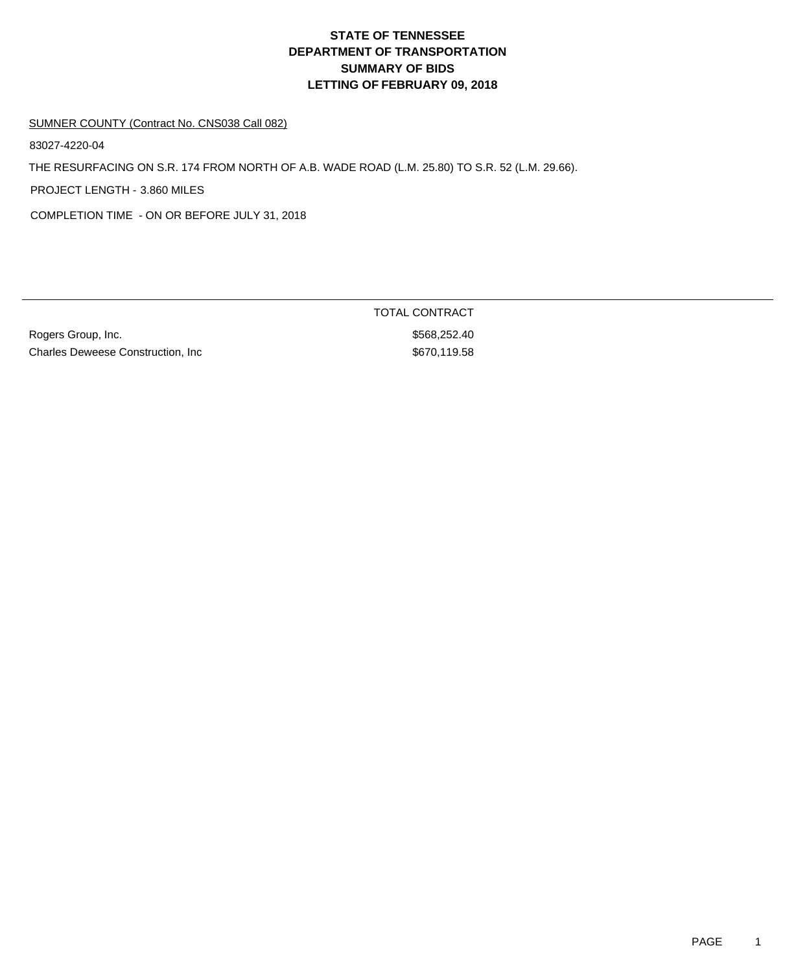# **DEPARTMENT OF TRANSPORTATION SUMMARY OF BIDS LETTING OF FEBRUARY 09, 2018 STATE OF TENNESSEE**

### SUMNER COUNTY (Contract No. CNS038 Call 082)

83027-4220-04

THE RESURFACING ON S.R. 174 FROM NORTH OF A.B. WADE ROAD (L.M. 25.80) TO S.R. 52 (L.M. 29.66).

PROJECT LENGTH - 3.860 MILES

COMPLETION TIME - ON OR BEFORE JULY 31, 2018

Rogers Group, Inc. 6. The Contract of the Contract of the State of the State State State State State State State State State State State State State State State State State State State State State State State State State S Charles Deweese Construction, Inc 670,119.58

TOTAL CONTRACT

PAGE 1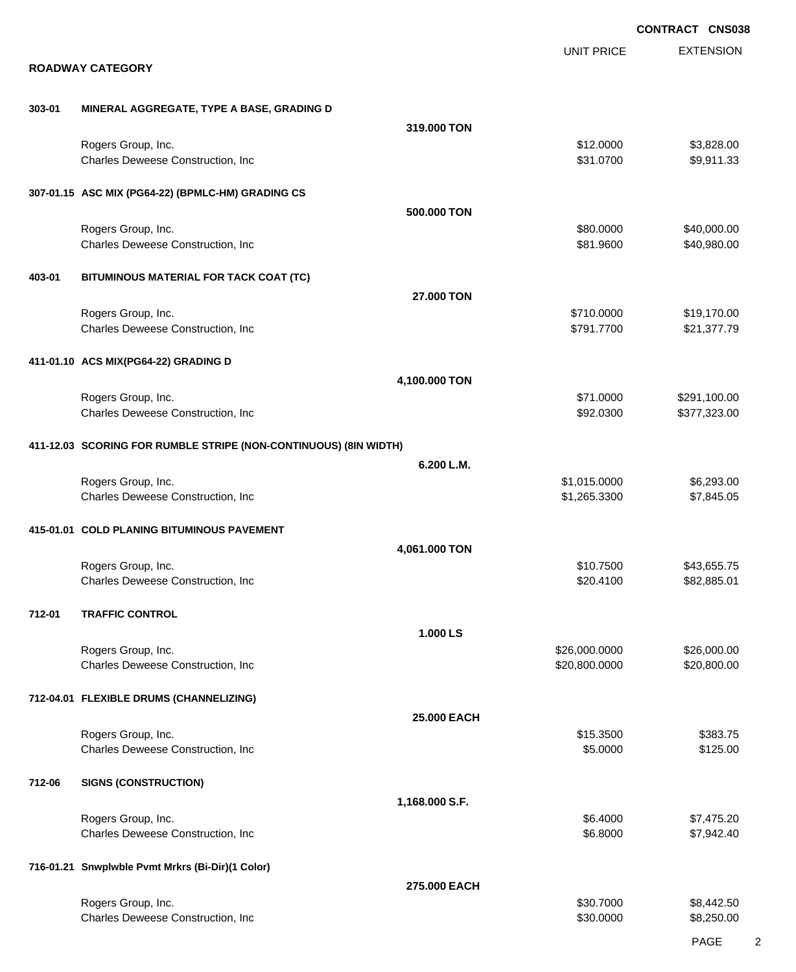|        |                                                                  |                |                                | <b>CONTRACT CNS038</b>       |
|--------|------------------------------------------------------------------|----------------|--------------------------------|------------------------------|
|        | <b>ROADWAY CATEGORY</b>                                          |                | <b>UNIT PRICE</b>              | <b>EXTENSION</b>             |
|        |                                                                  |                |                                |                              |
| 303-01 | MINERAL AGGREGATE, TYPE A BASE, GRADING D                        |                |                                |                              |
|        |                                                                  | 319.000 TON    |                                |                              |
|        | Rogers Group, Inc.<br>Charles Deweese Construction, Inc          |                | \$12.0000<br>\$31.0700         | \$3,828.00<br>\$9,911.33     |
|        | 307-01.15 ASC MIX (PG64-22) (BPMLC-HM) GRADING CS                |                |                                |                              |
|        |                                                                  | 500.000 TON    |                                |                              |
|        | Rogers Group, Inc.<br>Charles Deweese Construction, Inc          |                | \$80.0000<br>\$81.9600         | \$40,000.00<br>\$40,980.00   |
| 403-01 | BITUMINOUS MATERIAL FOR TACK COAT (TC)                           |                |                                |                              |
|        |                                                                  | 27.000 TON     |                                |                              |
|        | Rogers Group, Inc.<br>Charles Deweese Construction, Inc          |                | \$710.0000<br>\$791.7700       | \$19,170.00<br>\$21,377.79   |
|        | 411-01.10 ACS MIX(PG64-22) GRADING D                             |                |                                |                              |
|        |                                                                  | 4,100.000 TON  |                                |                              |
|        | Rogers Group, Inc.<br>Charles Deweese Construction, Inc          |                | \$71.0000<br>\$92.0300         | \$291,100.00<br>\$377,323.00 |
|        | 411-12.03 SCORING FOR RUMBLE STRIPE (NON-CONTINUOUS) (8IN WIDTH) |                |                                |                              |
|        |                                                                  | 6.200 L.M.     |                                |                              |
|        | Rogers Group, Inc.<br>Charles Deweese Construction, Inc          |                | \$1,015.0000<br>\$1,265.3300   | \$6,293.00<br>\$7,845.05     |
|        | 415-01.01 COLD PLANING BITUMINOUS PAVEMENT                       |                |                                |                              |
|        |                                                                  | 4,061.000 TON  |                                |                              |
|        | Rogers Group, Inc.<br>Charles Deweese Construction, Inc          |                | \$10.7500<br>\$20.4100         | \$43,655.75<br>\$82,885.01   |
| 712-01 | <b>TRAFFIC CONTROL</b>                                           |                |                                |                              |
|        |                                                                  | 1.000 LS       |                                |                              |
|        | Rogers Group, Inc.<br>Charles Deweese Construction, Inc          |                | \$26,000.0000<br>\$20,800.0000 | \$26,000.00<br>\$20,800.00   |
|        | 712-04.01 FLEXIBLE DRUMS (CHANNELIZING)                          |                |                                |                              |
|        |                                                                  | 25.000 EACH    |                                |                              |
|        | Rogers Group, Inc.<br>Charles Deweese Construction, Inc          |                | \$15.3500<br>\$5.0000          | \$383.75<br>\$125.00         |
| 712-06 | <b>SIGNS (CONSTRUCTION)</b>                                      |                |                                |                              |
|        |                                                                  | 1,168.000 S.F. |                                |                              |
|        | Rogers Group, Inc.<br>Charles Deweese Construction, Inc          |                | \$6.4000<br>\$6.8000           | \$7,475.20<br>\$7,942.40     |
|        | 716-01.21 Snwplwble Pvmt Mrkrs (Bi-Dir)(1 Color)                 |                |                                |                              |
|        |                                                                  | 275.000 EACH   |                                |                              |
|        | Rogers Group, Inc.<br>Charles Deweese Construction, Inc          |                | \$30.7000<br>\$30.0000         | \$8,442.50<br>\$8,250.00     |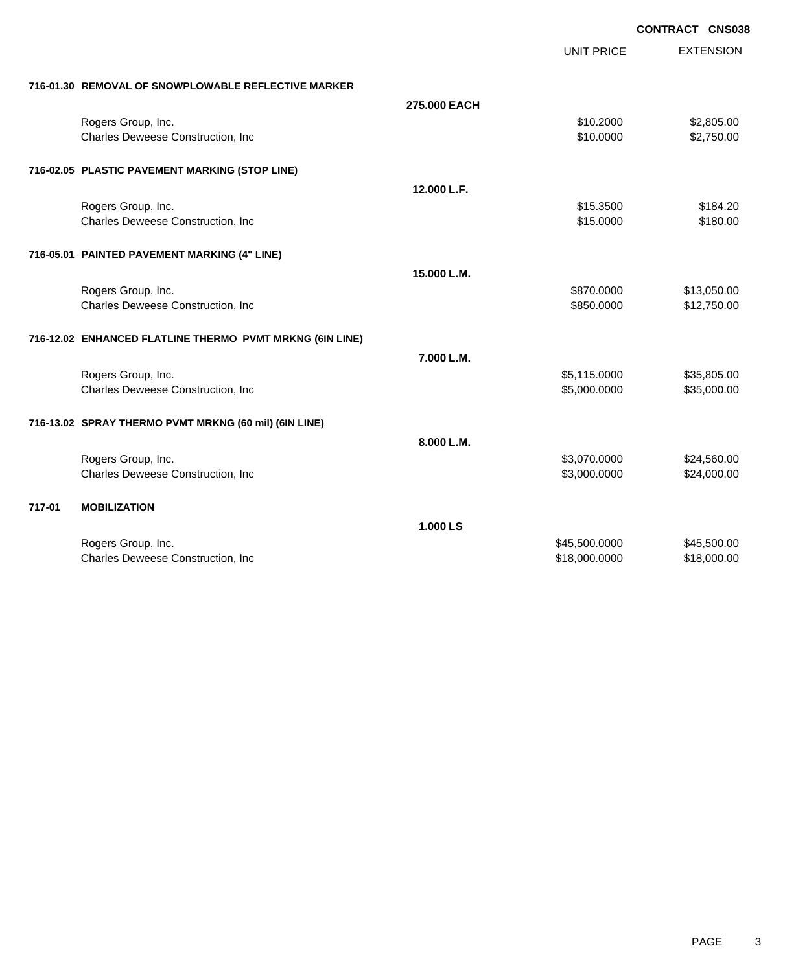|        |                                                          |              | <b>CONTRACT CNS038</b> |                  |
|--------|----------------------------------------------------------|--------------|------------------------|------------------|
|        |                                                          |              | UNIT PRICE             | <b>EXTENSION</b> |
|        | 716-01.30 REMOVAL OF SNOWPLOWABLE REFLECTIVE MARKER      |              |                        |                  |
|        |                                                          | 275,000 EACH |                        |                  |
|        | Rogers Group, Inc.                                       |              | \$10.2000              | \$2,805.00       |
|        | Charles Deweese Construction, Inc                        |              | \$10.0000              | \$2,750.00       |
|        | 716-02.05 PLASTIC PAVEMENT MARKING (STOP LINE)           |              |                        |                  |
|        |                                                          | 12.000 L.F.  |                        |                  |
|        | Rogers Group, Inc.                                       |              | \$15.3500              | \$184.20         |
|        | Charles Deweese Construction, Inc                        |              | \$15.0000              | \$180.00         |
|        | 716-05.01 PAINTED PAVEMENT MARKING (4" LINE)             |              |                        |                  |
|        |                                                          | 15.000 L.M.  |                        |                  |
|        | Rogers Group, Inc.                                       |              | \$870.0000             | \$13,050.00      |
|        | Charles Deweese Construction, Inc                        |              | \$850.0000             | \$12,750.00      |
|        | 716-12.02 ENHANCED FLATLINE THERMO PVMT MRKNG (6IN LINE) |              |                        |                  |
|        |                                                          | 7.000 L.M.   |                        |                  |
|        | Rogers Group, Inc.                                       |              | \$5,115.0000           | \$35,805.00      |
|        | Charles Deweese Construction, Inc                        |              | \$5,000.0000           | \$35,000.00      |
|        | 716-13.02 SPRAY THERMO PVMT MRKNG (60 mil) (6IN LINE)    |              |                        |                  |
|        |                                                          | 8.000 L.M.   |                        |                  |
|        | Rogers Group, Inc.                                       |              | \$3,070.0000           | \$24,560.00      |
|        | Charles Deweese Construction, Inc                        |              | \$3,000.0000           | \$24,000.00      |
| 717-01 | <b>MOBILIZATION</b>                                      |              |                        |                  |
|        |                                                          | 1.000 LS     |                        |                  |
|        | Rogers Group, Inc.                                       |              | \$45,500.0000          | \$45,500.00      |
|        | Charles Deweese Construction, Inc                        |              | \$18,000.0000          | \$18,000.00      |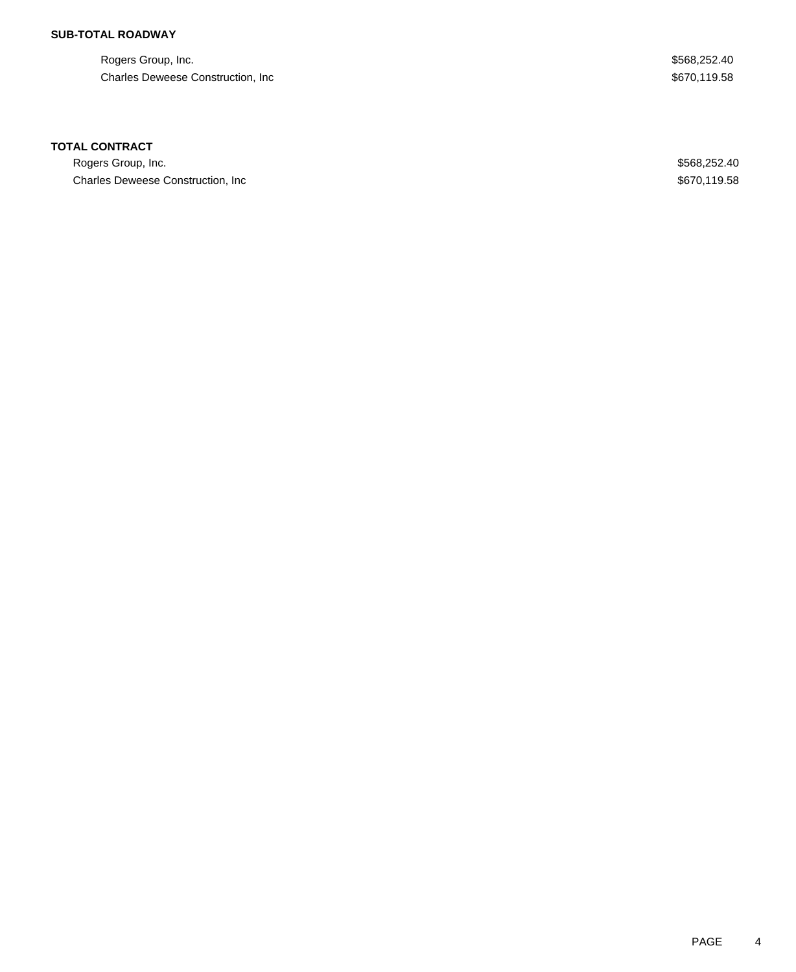## **SUB-TOTAL ROADWAY**

Rogers Group, Inc. \$568,252.40 Charles Deweese Construction, Inc **Example 2018** 3670,119.58

## **TOTAL CONTRACT**

Rogers Group, Inc. \$568,252.40 Charles Deweese Construction, Inc **Example 2018** 2019 12:38 3670,119.58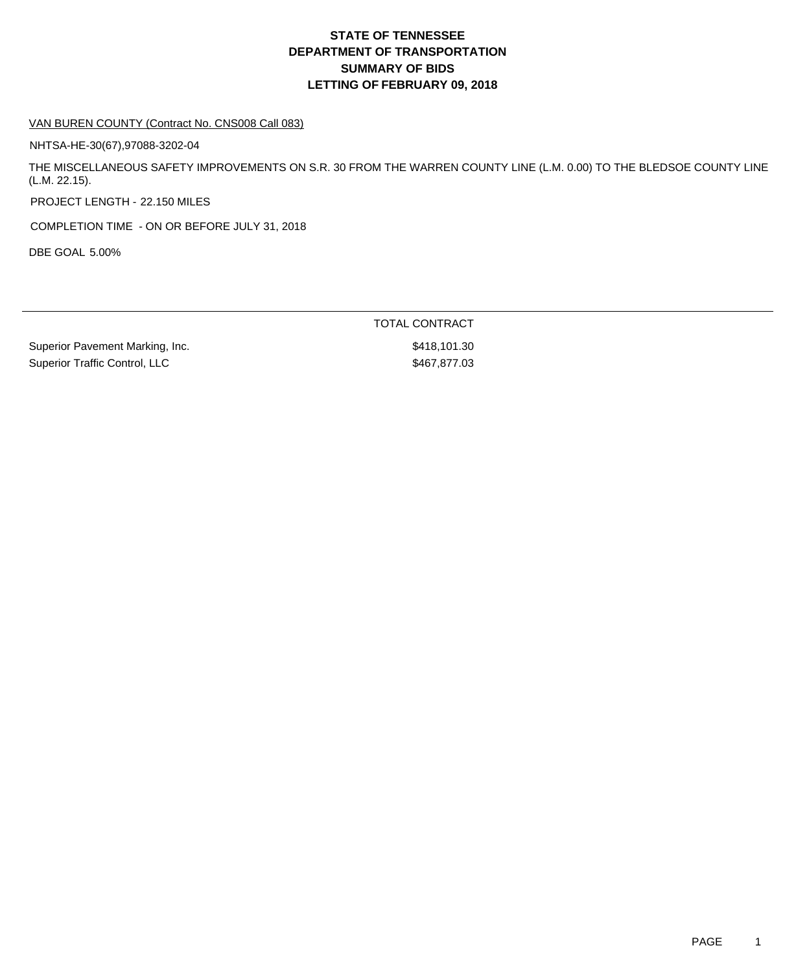# **DEPARTMENT OF TRANSPORTATION SUMMARY OF BIDS LETTING OF FEBRUARY 09, 2018 STATE OF TENNESSEE**

#### VAN BUREN COUNTY (Contract No. CNS008 Call 083)

NHTSA-HE-30(67),97088-3202-04

THE MISCELLANEOUS SAFETY IMPROVEMENTS ON S.R. 30 FROM THE WARREN COUNTY LINE (L.M. 0.00) TO THE BLEDSOE COUNTY LINE (L.M. 22.15).

PROJECT LENGTH - 22.150 MILES

COMPLETION TIME - ON OR BEFORE JULY 31, 2018

DBE GOAL 5.00%

TOTAL CONTRACT

Superior Pavement Marking, Inc. 6. The Superior Pavement Marking, Inc. 6. The Superior Superior Superior Superior Superior Superior Superior Superior Superior Superior Superior Superior Superior Superior Superior Superior Superior Traffic Control, LLC \$467,877.03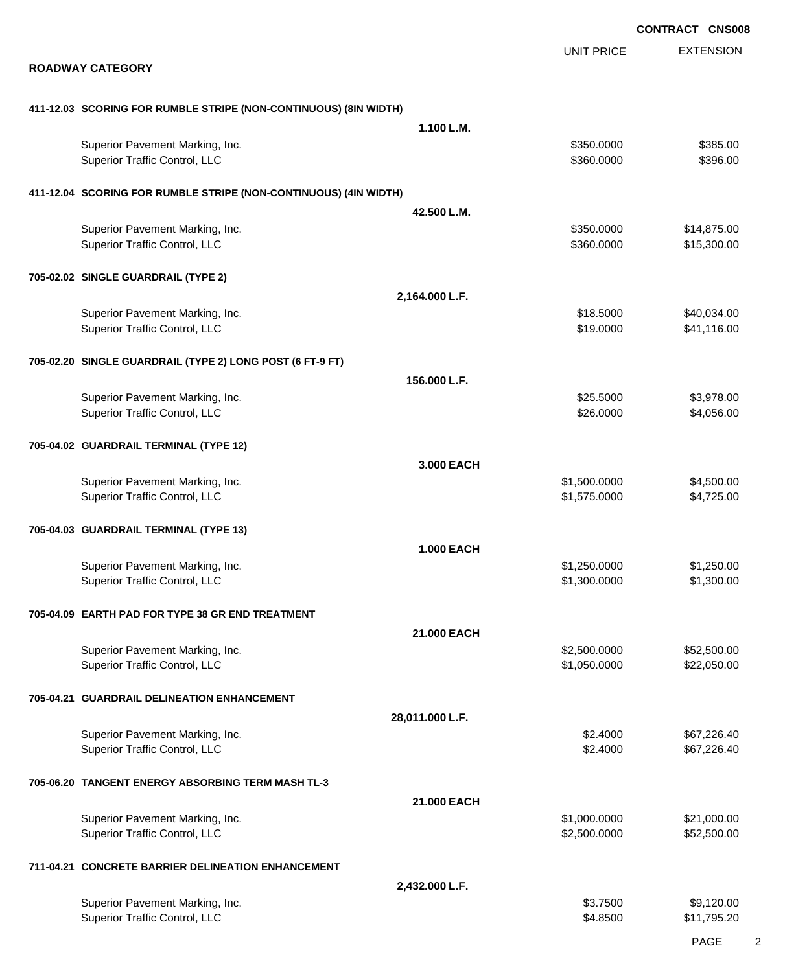|                                                                  |                   |                              | <b>CONTRACT CNS008</b>     |
|------------------------------------------------------------------|-------------------|------------------------------|----------------------------|
|                                                                  |                   | <b>UNIT PRICE</b>            | <b>EXTENSION</b>           |
| <b>ROADWAY CATEGORY</b>                                          |                   |                              |                            |
| 411-12.03 SCORING FOR RUMBLE STRIPE (NON-CONTINUOUS) (8IN WIDTH) |                   |                              |                            |
|                                                                  | 1.100 L.M.        |                              |                            |
| Superior Pavement Marking, Inc.<br>Superior Traffic Control, LLC |                   | \$350.0000<br>\$360.0000     | \$385.00<br>\$396.00       |
| 411-12.04 SCORING FOR RUMBLE STRIPE (NON-CONTINUOUS) (4IN WIDTH) |                   |                              |                            |
|                                                                  | 42.500 L.M.       |                              |                            |
| Superior Pavement Marking, Inc.<br>Superior Traffic Control, LLC |                   | \$350.0000<br>\$360.0000     | \$14,875.00<br>\$15,300.00 |
| 705-02.02 SINGLE GUARDRAIL (TYPE 2)                              |                   |                              |                            |
|                                                                  | 2,164.000 L.F.    |                              |                            |
| Superior Pavement Marking, Inc.                                  |                   | \$18.5000                    | \$40,034.00                |
| Superior Traffic Control, LLC                                    |                   | \$19.0000                    | \$41,116.00                |
| 705-02.20 SINGLE GUARDRAIL (TYPE 2) LONG POST (6 FT-9 FT)        |                   |                              |                            |
|                                                                  | 156.000 L.F.      |                              |                            |
| Superior Pavement Marking, Inc.<br>Superior Traffic Control, LLC |                   | \$25.5000<br>\$26.0000       | \$3,978.00<br>\$4,056.00   |
| 705-04.02 GUARDRAIL TERMINAL (TYPE 12)                           |                   |                              |                            |
|                                                                  | 3.000 EACH        |                              |                            |
| Superior Pavement Marking, Inc.<br>Superior Traffic Control, LLC |                   | \$1,500.0000<br>\$1,575.0000 | \$4,500.00<br>\$4,725.00   |
| 705-04.03 GUARDRAIL TERMINAL (TYPE 13)                           |                   |                              |                            |
|                                                                  | <b>1.000 EACH</b> |                              |                            |
| Superior Pavement Marking, Inc.<br>Superior Traffic Control, LLC |                   | \$1,250.0000<br>\$1,300.0000 | \$1,250.00<br>\$1,300.00   |
| 705-04.09 EARTH PAD FOR TYPE 38 GR END TREATMENT                 |                   |                              |                            |
|                                                                  | 21.000 EACH       |                              |                            |
| Superior Pavement Marking, Inc.<br>Superior Traffic Control, LLC |                   | \$2,500.0000<br>\$1,050.0000 | \$52,500.00<br>\$22,050.00 |
| 705-04.21 GUARDRAIL DELINEATION ENHANCEMENT                      |                   |                              |                            |
|                                                                  | 28,011.000 L.F.   |                              |                            |
| Superior Pavement Marking, Inc.<br>Superior Traffic Control, LLC |                   | \$2.4000<br>\$2.4000         | \$67,226.40<br>\$67,226.40 |
| 705-06.20 TANGENT ENERGY ABSORBING TERM MASH TL-3                |                   |                              |                            |
|                                                                  | 21.000 EACH       |                              |                            |
| Superior Pavement Marking, Inc.<br>Superior Traffic Control, LLC |                   | \$1,000.0000<br>\$2,500.0000 | \$21,000.00<br>\$52,500.00 |
| 711-04.21 CONCRETE BARRIER DELINEATION ENHANCEMENT               |                   |                              |                            |
|                                                                  | 2,432.000 L.F.    |                              |                            |
| Superior Pavement Marking, Inc.<br>Superior Traffic Control, LLC |                   | \$3.7500<br>\$4.8500         | \$9,120.00<br>\$11,795.20  |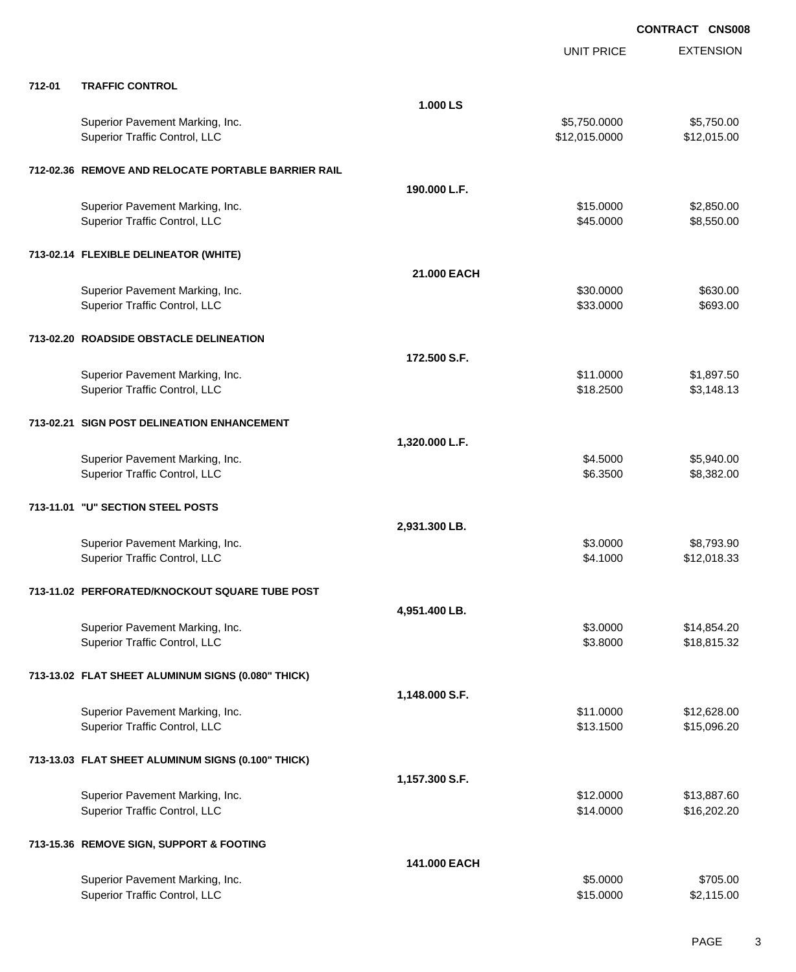|        |                                                                  |                | <b>UNIT PRICE</b>             | <b>EXTENSION</b>          |
|--------|------------------------------------------------------------------|----------------|-------------------------------|---------------------------|
| 712-01 | <b>TRAFFIC CONTROL</b>                                           |                |                               |                           |
|        |                                                                  | 1.000 LS       |                               |                           |
|        | Superior Pavement Marking, Inc.<br>Superior Traffic Control, LLC |                | \$5,750.0000<br>\$12,015.0000 | \$5,750.00<br>\$12,015.00 |
|        | 712-02.36 REMOVE AND RELOCATE PORTABLE BARRIER RAIL              |                |                               |                           |
|        |                                                                  | 190.000 L.F.   |                               |                           |
|        | Superior Pavement Marking, Inc.                                  |                | \$15.0000                     | \$2,850.00                |
|        | Superior Traffic Control, LLC                                    |                | \$45.0000                     | \$8,550.00                |
|        | 713-02.14 FLEXIBLE DELINEATOR (WHITE)                            |                |                               |                           |
|        |                                                                  | 21.000 EACH    |                               |                           |
|        | Superior Pavement Marking, Inc.                                  |                | \$30.0000                     | \$630.00                  |
|        | Superior Traffic Control, LLC                                    |                | \$33.0000                     | \$693.00                  |
|        | 713-02.20 ROADSIDE OBSTACLE DELINEATION                          |                |                               |                           |
|        |                                                                  | 172,500 S.F.   |                               |                           |
|        | Superior Pavement Marking, Inc.<br>Superior Traffic Control, LLC |                | \$11.0000<br>\$18.2500        | \$1,897.50<br>\$3,148.13  |
|        |                                                                  |                |                               |                           |
|        | 713-02.21 SIGN POST DELINEATION ENHANCEMENT                      |                |                               |                           |
|        |                                                                  | 1,320.000 L.F. |                               |                           |
|        | Superior Pavement Marking, Inc.<br>Superior Traffic Control, LLC |                | \$4.5000<br>\$6.3500          | \$5,940.00<br>\$8,382.00  |
|        |                                                                  |                |                               |                           |
|        | 713-11.01 "U" SECTION STEEL POSTS                                |                |                               |                           |
|        |                                                                  | 2,931.300 LB.  |                               |                           |
|        | Superior Pavement Marking, Inc.                                  |                | \$3.0000                      | \$8,793.90                |
|        | Superior Traffic Control, LLC                                    |                | \$4.1000                      | \$12,018.33               |
|        | 713-11.02 PERFORATED/KNOCKOUT SQUARE TUBE POST                   |                |                               |                           |
|        |                                                                  | 4,951.400 LB.  |                               |                           |
|        | Superior Pavement Marking, Inc.                                  |                | \$3.0000                      | \$14,854.20               |
|        | Superior Traffic Control, LLC                                    |                | \$3.8000                      | \$18,815.32               |
|        | 713-13.02 FLAT SHEET ALUMINUM SIGNS (0.080" THICK)               |                |                               |                           |
|        |                                                                  | 1,148.000 S.F. |                               |                           |
|        | Superior Pavement Marking, Inc.                                  |                | \$11.0000                     | \$12,628.00               |
|        | Superior Traffic Control, LLC                                    |                | \$13.1500                     | \$15,096.20               |
|        | 713-13.03 FLAT SHEET ALUMINUM SIGNS (0.100" THICK)               |                |                               |                           |
|        |                                                                  | 1,157.300 S.F. |                               |                           |
|        | Superior Pavement Marking, Inc.                                  |                | \$12.0000                     | \$13,887.60               |
|        | Superior Traffic Control, LLC                                    |                | \$14.0000                     | \$16,202.20               |
|        | 713-15.36 REMOVE SIGN, SUPPORT & FOOTING                         |                |                               |                           |
|        |                                                                  | 141.000 EACH   |                               |                           |
|        | Superior Pavement Marking, Inc.                                  |                | \$5.0000                      | \$705.00                  |
|        | Superior Traffic Control, LLC                                    |                | \$15.0000                     | \$2,115.00                |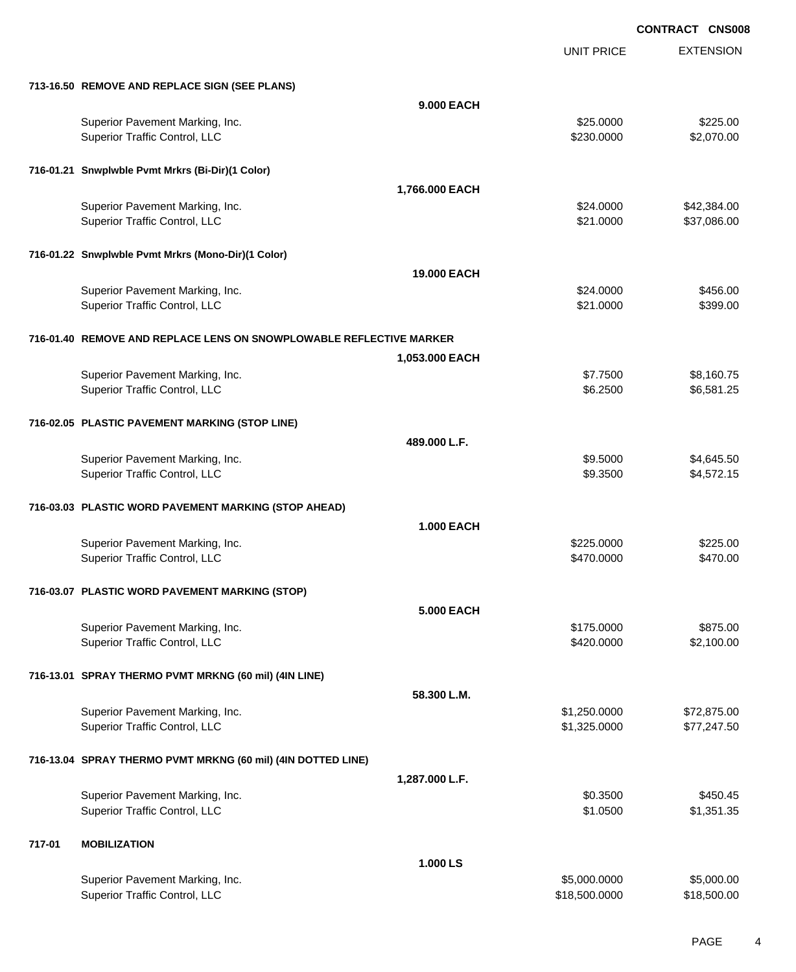UNIT PRICE EXTENSION

**713-16.50 REMOVE AND REPLACE SIGN (SEE PLANS)**

|        | 713-16.50 REMOVE AND REPLACE SIGN (SEE PLANS)                       |                    |               |             |
|--------|---------------------------------------------------------------------|--------------------|---------------|-------------|
|        |                                                                     | <b>9.000 EACH</b>  |               |             |
|        | Superior Pavement Marking, Inc.                                     |                    | \$25.0000     | \$225.00    |
|        | Superior Traffic Control, LLC                                       |                    | \$230.0000    | \$2,070.00  |
|        |                                                                     |                    |               |             |
|        |                                                                     |                    |               |             |
|        | 716-01.21 Snwplwble Pvmt Mrkrs (Bi-Dir)(1 Color)                    |                    |               |             |
|        |                                                                     | 1,766.000 EACH     |               |             |
|        | Superior Pavement Marking, Inc.                                     |                    | \$24.0000     | \$42,384.00 |
|        | Superior Traffic Control, LLC                                       |                    | \$21.0000     | \$37,086.00 |
|        |                                                                     |                    |               |             |
|        | 716-01.22 Snwplwble Pvmt Mrkrs (Mono-Dir)(1 Color)                  |                    |               |             |
|        |                                                                     |                    |               |             |
|        |                                                                     | <b>19.000 EACH</b> |               |             |
|        | Superior Pavement Marking, Inc.                                     |                    | \$24.0000     | \$456.00    |
|        | Superior Traffic Control, LLC                                       |                    | \$21.0000     | \$399.00    |
|        |                                                                     |                    |               |             |
|        | 716-01.40 REMOVE AND REPLACE LENS ON SNOWPLOWABLE REFLECTIVE MARKER |                    |               |             |
|        |                                                                     | 1,053.000 EACH     |               |             |
|        |                                                                     |                    | \$7.7500      | \$8,160.75  |
|        | Superior Pavement Marking, Inc.<br>Superior Traffic Control, LLC    |                    | \$6.2500      |             |
|        |                                                                     |                    |               | \$6,581.25  |
|        |                                                                     |                    |               |             |
|        | 716-02.05 PLASTIC PAVEMENT MARKING (STOP LINE)                      |                    |               |             |
|        |                                                                     | 489.000 L.F.       |               |             |
|        | Superior Pavement Marking, Inc.                                     |                    | \$9.5000      | \$4,645.50  |
|        | Superior Traffic Control, LLC                                       |                    | \$9.3500      | \$4,572.15  |
|        |                                                                     |                    |               |             |
|        | 716-03.03 PLASTIC WORD PAVEMENT MARKING (STOP AHEAD)                |                    |               |             |
|        |                                                                     |                    |               |             |
|        |                                                                     | <b>1.000 EACH</b>  |               |             |
|        | Superior Pavement Marking, Inc.                                     |                    | \$225.0000    | \$225.00    |
|        | Superior Traffic Control, LLC                                       |                    | \$470.0000    | \$470.00    |
|        |                                                                     |                    |               |             |
|        | 716-03.07 PLASTIC WORD PAVEMENT MARKING (STOP)                      |                    |               |             |
|        |                                                                     | <b>5.000 EACH</b>  |               |             |
|        |                                                                     |                    |               |             |
|        | Superior Pavement Marking, Inc.                                     |                    | \$175.0000    | \$875.00    |
|        | Superior Traffic Control, LLC                                       |                    | \$420.0000    | \$2,100.00  |
|        |                                                                     |                    |               |             |
|        | 716-13.01 SPRAY THERMO PVMT MRKNG (60 mil) (4IN LINE)               |                    |               |             |
|        |                                                                     | 58.300 L.M.        |               |             |
|        | Superior Pavement Marking, Inc.                                     |                    | \$1,250.0000  | \$72,875.00 |
|        | Superior Traffic Control, LLC                                       |                    | \$1,325.0000  | \$77,247.50 |
|        |                                                                     |                    |               |             |
|        | 716-13.04 SPRAY THERMO PVMT MRKNG (60 mil) (4IN DOTTED LINE)        |                    |               |             |
|        |                                                                     |                    |               |             |
|        |                                                                     | 1,287.000 L.F.     |               |             |
|        | Superior Pavement Marking, Inc.                                     |                    | \$0.3500      | \$450.45    |
|        | Superior Traffic Control, LLC                                       |                    | \$1.0500      | \$1,351.35  |
|        |                                                                     |                    |               |             |
| 717-01 | <b>MOBILIZATION</b>                                                 |                    |               |             |
|        |                                                                     | 1.000 LS           |               |             |
|        |                                                                     |                    |               |             |
|        | Superior Pavement Marking, Inc.                                     |                    | \$5,000.0000  | \$5,000.00  |
|        | Superior Traffic Control, LLC                                       |                    | \$18,500.0000 | \$18,500.00 |
|        |                                                                     |                    |               |             |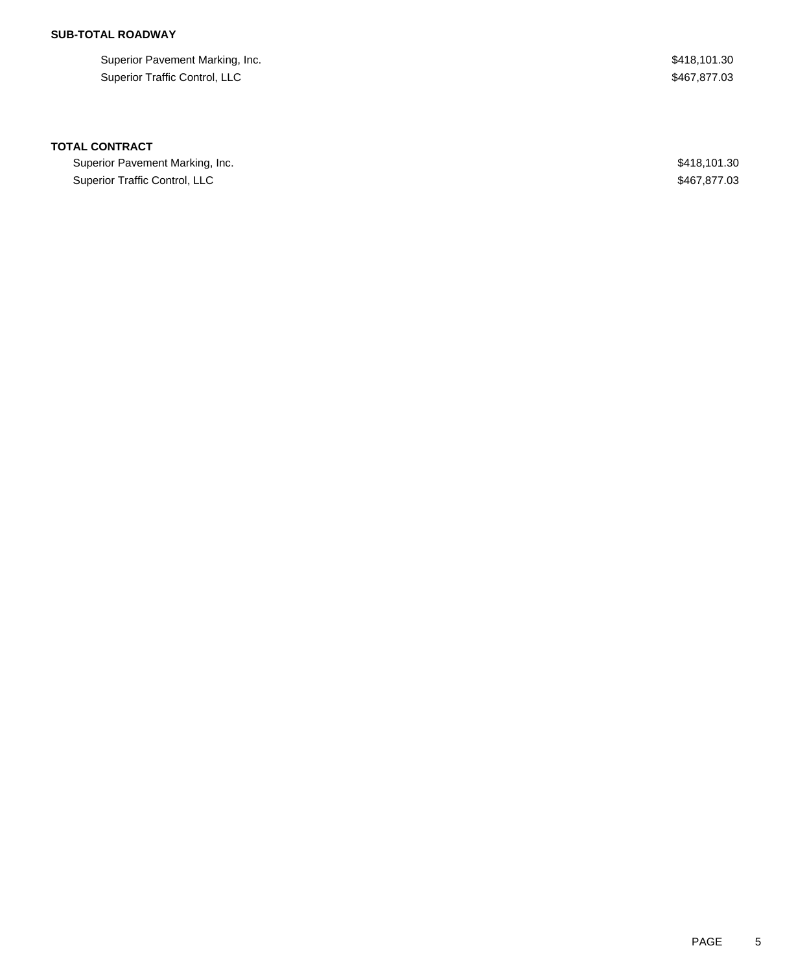# **SUB-TOTAL ROADWAY**

Superior Pavement Marking, Inc. 6. The Superior Pavement Marking, Inc. 6. The Superior Pavement Marking, Inc. Superior Traffic Control, LLC \$467,877.03

### **TOTAL CONTRACT**

Superior Pavement Marking, Inc. 6. The Superior Pavement Marking, Inc. 6. The Superior Pavement Marking, Inc. Superior Traffic Control, LLC **\$467,877.03**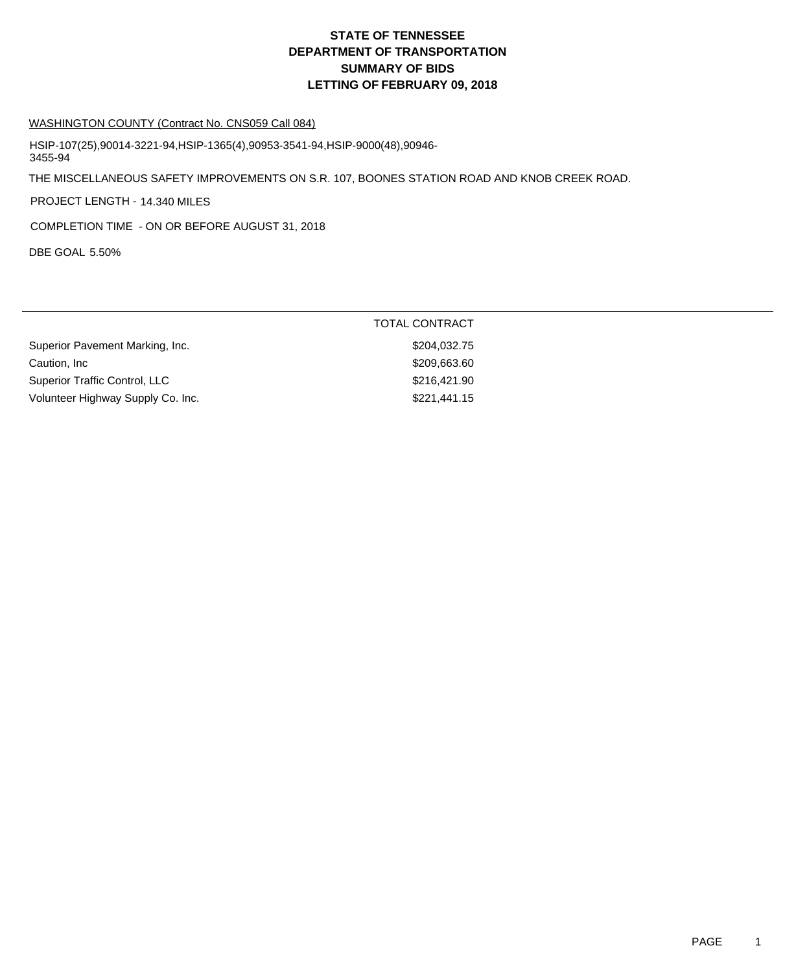# **DEPARTMENT OF TRANSPORTATION SUMMARY OF BIDS LETTING OF FEBRUARY 09, 2018 STATE OF TENNESSEE**

#### WASHINGTON COUNTY (Contract No. CNS059 Call 084)

HSIP-107(25),90014-3221-94,HSIP-1365(4),90953-3541-94,HSIP-9000(48),90946- 3455-94

THE MISCELLANEOUS SAFETY IMPROVEMENTS ON S.R. 107, BOONES STATION ROAD AND KNOB CREEK ROAD.

PROJECT LENGTH - 14.340 MILES

COMPLETION TIME - ON OR BEFORE AUGUST 31, 2018

DBE GOAL 5.50%

|                                   | <b>TOTAL CONTRACT</b> |
|-----------------------------------|-----------------------|
| Superior Pavement Marking, Inc.   | \$204,032.75          |
| Caution. Inc                      | \$209,663.60          |
| Superior Traffic Control, LLC     | \$216,421,90          |
| Volunteer Highway Supply Co. Inc. | \$221,441.15          |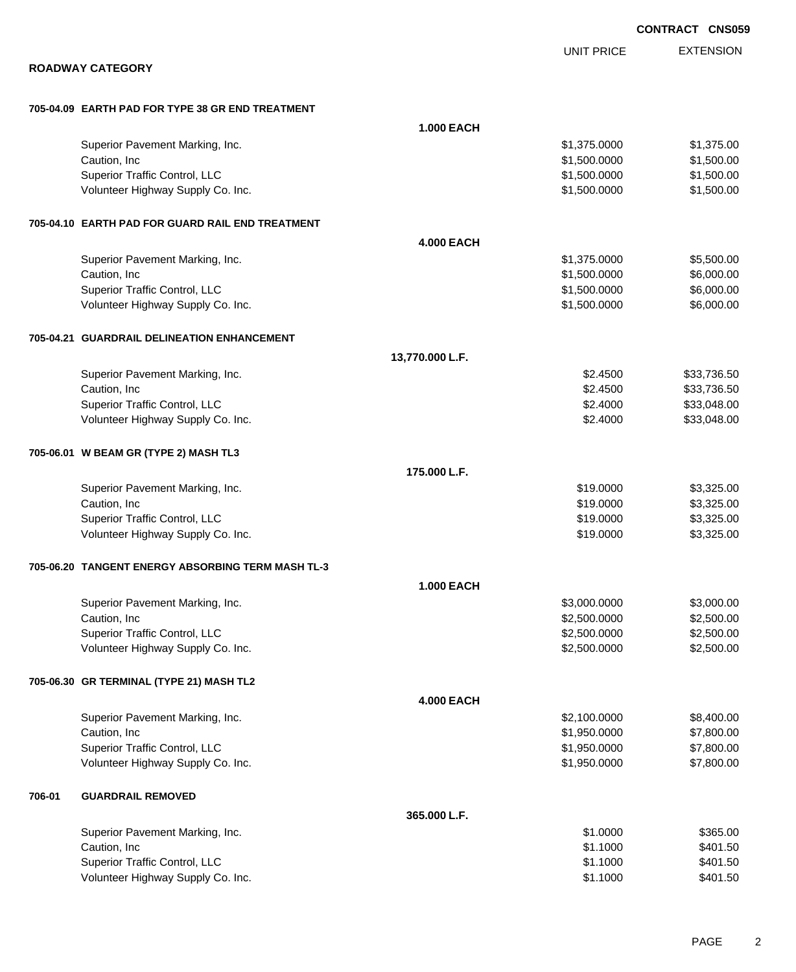EXTENSION UNIT PRICE **ROADWAY CATEGORY 705-04.09 EARTH PAD FOR TYPE 38 GR END TREATMENT 1.000 EACH** Superior Pavement Marking, Inc. 6. The Superior Pavement Marking, Inc. 6. The Superior Pavement Marking, Inc. 1 Caution, Inc \$1,500.000 \$1,500.000 \$1,500.000 \$1,500.000 \$1,500.000 \$1,500.000 \$1,500.00 Superior Traffic Control, LLC 61,500.000 \$1,500.000 \$1,500.000 \$1,500.000 \$1,500.000 \$1,500.00 Volunteer Highway Supply Co. Inc. \$1,500.000 \$1,500.000 \$1,500.000 \$1,500.000 **705-04.10 EARTH PAD FOR GUARD RAIL END TREATMENT 4.000 EACH** Superior Pavement Marking, Inc. 6. The Superior Pavement Marking, Inc. 6. The Superior Pavement Marking, Inc. 1. The Superior St. 500.00  $\text{S}5,500.00$ Caution, Inc \$1,500.000 \$6,000.00 \$6,000.00 \$6,000.00 \$6,000.00 \$6,000.00 \$6,000.00 \$6,000.00 \$6,000.00 \$6,000 Superior Traffic Control, LLC 6.000.000 \$6,000.00 \$6,000.00 \$6,000.00 Volunteer Highway Supply Co. Inc. 6. The Contract of the Contract of the St. 500.0000 \$6,000.000 \$6,000.00 **705-04.21 GUARDRAIL DELINEATION ENHANCEMENT 13,770.000 L.F.** Superior Pavement Marking, Inc. 6. The Superior Pavement Marking, Inc. 6. The Superior Pavement Marking, Inc. 6. The Superior State Superior State State State State State State State State State State State State State Sta Caution, Inc \$33,736.50 \$33,736.50 \$33,736.50 \$33,736.50 \$33,736.50 \$ Superior Traffic Control, LLC 633,048.00 Volunteer Highway Supply Co. Inc. \$2.4000 \$33,048.00 **705-06.01 W BEAM GR (TYPE 2) MASH TL3 175.000 L.F.** Superior Pavement Marking, Inc. 6. The Superior Pavement Marking, Inc. 6. The Superior Pavement Marking, Inc. 6. The Superior S3,325.00 Caution, Inc \$19.0000 \$3,325.00 Superior Traffic Control, LLC 63,325.00 Volunteer Highway Supply Co. Inc. 6. The Contract of Contract Contract Contract Contract Contract Contract Contract Contract Contract Contract Contract Contract Contract Contract Contract Contract Contract Contract Contrac **705-06.20 TANGENT ENERGY ABSORBING TERM MASH TL-3 1.000 EACH** Superior Pavement Marking, Inc. 6. The Superior Pavement Marking, Inc. 6. The Superior Pavement Marking, Inc. 6. The Superior S3,000.000 \$3,000.000 \$3,000.00 Caution, Inc \$2,500.000 \$2,500.000 \$2,500.000 \$2,500.000 \$2,500.000 \$2,500.000 \$2,500.00 \$2,500.00 \$2,500.00 \$ Superior Traffic Control, LLC 6.60000 \$2,500.000 \$2,500.000 \$2,500.000 \$2,500.000 \$2,500.00 Volunteer Highway Supply Co. Inc. \$2,500.000 \$2,500.000 \$2,500.000 \$2,500.000 \$2,500.00 **705-06.30 GR TERMINAL (TYPE 21) MASH TL2 4.000 EACH** Superior Pavement Marking, Inc. 6. The Superior Pavement Marking, Inc. 6. The Superior Pavement Marking, Inc. 6. The Superior St. 400.000 \$8,400.00 Caution, Inc \$1,950.0000 \$7,800.00 Superior Traffic Control, LLC 66 and the state of the state of the state of the state of the state of the state of the state of the state of the state of the state of the state of the state of the state of the state of the Volunteer Highway Supply Co. Inc. \$1,950.000 \$7,800.00 **706-01 GUARDRAIL REMOVED 365.000 L.F.** Superior Pavement Marking, Inc. 6. The Superior Pavement Marking, Inc. 6. The Superior Pavement Marking, Inc. 6. The Superior Superior Studies and Superior Superior Superior Superior Superior Superior Superior Superior Sup Caution, Inc \$1.1000 \$401.50 Superior Traffic Control, LLC \$401.50 Volunteer Highway Supply Co. Inc. 6401.50  $$401.50$ 

**CONTRACT CNS059**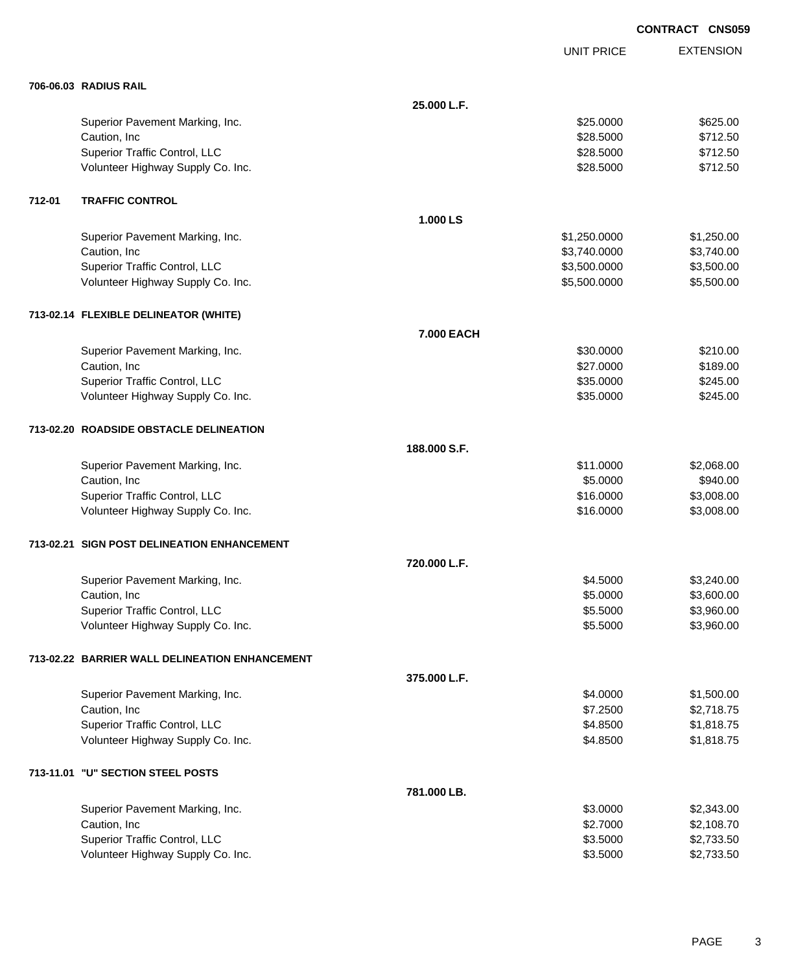UNIT PRICE

EXTENSION

| 706-06.03 RADIUS RAIL |  |
|-----------------------|--|

|        | 706-06.03 RADIUS RAIL                          |              |              |            |
|--------|------------------------------------------------|--------------|--------------|------------|
|        |                                                | 25.000 L.F.  |              |            |
|        | Superior Pavement Marking, Inc.                |              | \$25.0000    | \$625.00   |
|        | Caution, Inc                                   |              | \$28.5000    | \$712.50   |
|        | Superior Traffic Control, LLC                  |              | \$28.5000    | \$712.50   |
|        | Volunteer Highway Supply Co. Inc.              |              | \$28.5000    | \$712.50   |
| 712-01 | <b>TRAFFIC CONTROL</b>                         |              |              |            |
|        |                                                | 1.000 LS     |              |            |
|        | Superior Pavement Marking, Inc.                |              | \$1,250.0000 | \$1,250.00 |
|        | Caution, Inc                                   |              | \$3,740.0000 | \$3,740.00 |
|        | Superior Traffic Control, LLC                  |              | \$3,500.0000 | \$3,500.00 |
|        | Volunteer Highway Supply Co. Inc.              |              | \$5,500.0000 | \$5,500.00 |
|        | 713-02.14 FLEXIBLE DELINEATOR (WHITE)          |              |              |            |
|        |                                                | 7.000 EACH   |              |            |
|        | Superior Pavement Marking, Inc.                |              | \$30.0000    | \$210.00   |
|        | Caution, Inc                                   |              | \$27.0000    | \$189.00   |
|        | Superior Traffic Control, LLC                  |              | \$35.0000    | \$245.00   |
|        | Volunteer Highway Supply Co. Inc.              |              | \$35.0000    | \$245.00   |
|        | 713-02.20 ROADSIDE OBSTACLE DELINEATION        |              |              |            |
|        |                                                | 188.000 S.F. |              |            |
|        | Superior Pavement Marking, Inc.                |              | \$11.0000    | \$2,068.00 |
|        | Caution, Inc                                   |              | \$5.0000     | \$940.00   |
|        | Superior Traffic Control, LLC                  |              | \$16.0000    | \$3,008.00 |
|        | Volunteer Highway Supply Co. Inc.              |              | \$16.0000    | \$3,008.00 |
|        | 713-02.21 SIGN POST DELINEATION ENHANCEMENT    |              |              |            |
|        |                                                | 720.000 L.F. |              |            |
|        | Superior Pavement Marking, Inc.                |              | \$4.5000     | \$3,240.00 |
|        | Caution, Inc                                   |              | \$5.0000     | \$3,600.00 |
|        | Superior Traffic Control, LLC                  |              | \$5.5000     | \$3,960.00 |
|        | Volunteer Highway Supply Co. Inc.              |              | \$5.5000     | \$3,960.00 |
|        | 713-02.22 BARRIER WALL DELINEATION ENHANCEMENT |              |              |            |
|        |                                                | 375.000 L.F. |              |            |
|        | Superior Pavement Marking, Inc.                |              | \$4.0000     | \$1,500.00 |
|        | Caution, Inc                                   |              | \$7.2500     | \$2,718.75 |
|        | Superior Traffic Control, LLC                  |              | \$4.8500     | \$1,818.75 |
|        | Volunteer Highway Supply Co. Inc.              |              | \$4.8500     | \$1,818.75 |
|        | 713-11.01 "U" SECTION STEEL POSTS              |              |              |            |
|        |                                                | 781.000 LB.  |              |            |
|        | Superior Pavement Marking, Inc.                |              | \$3.0000     | \$2,343.00 |
|        | Caution, Inc                                   |              | \$2.7000     | \$2,108.70 |
|        | Superior Traffic Control, LLC                  |              | \$3.5000     | \$2,733.50 |
|        | Volunteer Highway Supply Co. Inc.              |              | \$3.5000     | \$2,733.50 |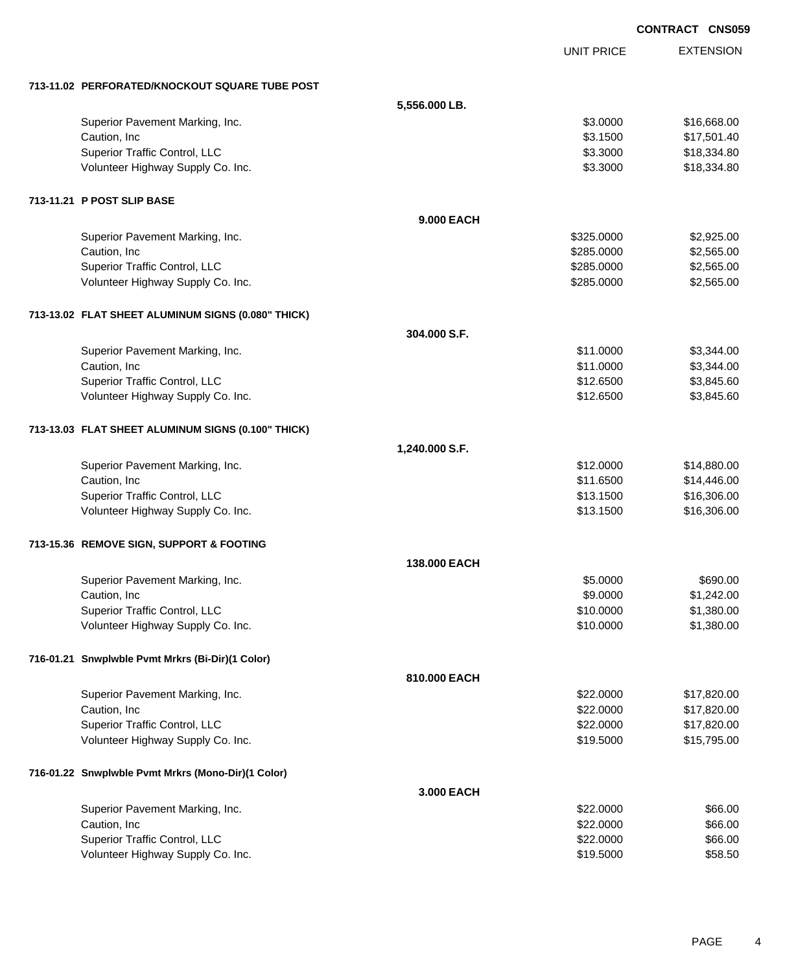|                                                    |                |                   | <b>CONTRACT CNS059</b> |                  |
|----------------------------------------------------|----------------|-------------------|------------------------|------------------|
|                                                    |                | <b>UNIT PRICE</b> |                        | <b>EXTENSION</b> |
| 713-11.02 PERFORATED/KNOCKOUT SQUARE TUBE POST     |                |                   |                        |                  |
|                                                    | 5,556.000 LB.  |                   |                        |                  |
| Superior Pavement Marking, Inc.                    |                | \$3.0000          |                        | \$16,668.00      |
| Caution, Inc                                       |                | \$3.1500          |                        | \$17,501.40      |
| Superior Traffic Control, LLC                      |                | \$3.3000          |                        | \$18,334.80      |
| Volunteer Highway Supply Co. Inc.                  |                | \$3.3000          |                        | \$18,334.80      |
| 713-11.21 P POST SLIP BASE                         |                |                   |                        |                  |
|                                                    | 9,000 EACH     |                   |                        |                  |
| Superior Pavement Marking, Inc.                    |                | \$325.0000        |                        | \$2,925.00       |
| Caution, Inc                                       |                | \$285.0000        |                        | \$2,565.00       |
| Superior Traffic Control, LLC                      |                | \$285.0000        |                        | \$2,565.00       |
| Volunteer Highway Supply Co. Inc.                  |                | \$285.0000        |                        | \$2,565.00       |
| 713-13.02 FLAT SHEET ALUMINUM SIGNS (0.080" THICK) |                |                   |                        |                  |
|                                                    | 304.000 S.F.   |                   |                        |                  |
| Superior Pavement Marking, Inc.                    |                | \$11.0000         |                        | \$3,344.00       |
| Caution, Inc                                       |                | \$11.0000         |                        | \$3,344.00       |
| Superior Traffic Control, LLC                      |                | \$12.6500         |                        | \$3,845.60       |
| Volunteer Highway Supply Co. Inc.                  |                | \$12.6500         |                        | \$3,845.60       |
| 713-13.03 FLAT SHEET ALUMINUM SIGNS (0.100" THICK) |                |                   |                        |                  |
|                                                    | 1,240.000 S.F. |                   |                        |                  |
| Superior Pavement Marking, Inc.                    |                | \$12.0000         |                        | \$14,880.00      |
| Caution, Inc                                       |                | \$11.6500         |                        | \$14,446.00      |
| Superior Traffic Control, LLC                      |                | \$13.1500         |                        | \$16,306.00      |
| Volunteer Highway Supply Co. Inc.                  |                | \$13.1500         |                        | \$16,306.00      |
| 713-15.36 REMOVE SIGN, SUPPORT & FOOTING           |                |                   |                        |                  |
|                                                    | 138,000 EACH   |                   |                        |                  |
| Superior Pavement Marking, Inc.                    |                | \$5.0000          |                        | \$690.00         |
| Caution, Inc                                       |                | \$9.0000          |                        | \$1,242.00       |
| Superior Traffic Control, LLC                      |                | \$10.0000         |                        | \$1,380.00       |
| Volunteer Highway Supply Co. Inc.                  |                | \$10.0000         |                        | \$1,380.00       |
| 716-01.21 Snwplwble Pvmt Mrkrs (Bi-Dir)(1 Color)   |                |                   |                        |                  |
|                                                    | 810.000 EACH   |                   |                        |                  |
| Superior Pavement Marking, Inc.                    |                | \$22.0000         |                        | \$17,820.00      |
| Caution, Inc.                                      |                | \$22.0000         |                        | \$17,820.00      |
| Superior Traffic Control, LLC                      |                | \$22.0000         |                        | \$17,820.00      |
| Volunteer Highway Supply Co. Inc.                  |                | \$19.5000         |                        | \$15,795.00      |
| 716-01.22 Snwplwble Pvmt Mrkrs (Mono-Dir)(1 Color) |                |                   |                        |                  |
|                                                    | 3.000 EACH     |                   |                        |                  |
| Superior Pavement Marking, Inc.                    |                | \$22.0000         |                        | \$66.00          |
| Caution, Inc                                       |                | \$22.0000         |                        | \$66.00          |
| Superior Traffic Control, LLC                      |                | \$22.0000         |                        | \$66.00          |
| Volunteer Highway Supply Co. Inc.                  |                | \$19.5000         |                        | \$58.50          |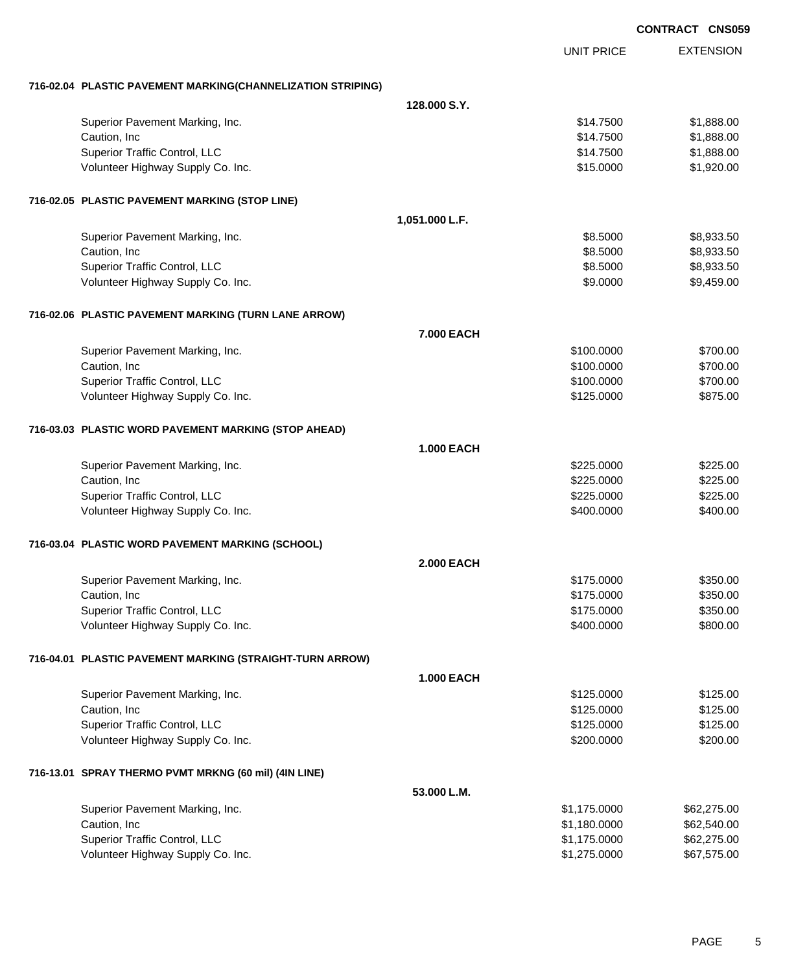|                                                             |                   |                   | <b>CONTRACT CNS05</b> |
|-------------------------------------------------------------|-------------------|-------------------|-----------------------|
|                                                             |                   | <b>UNIT PRICE</b> | <b>EXTENSION</b>      |
| 716-02.04 PLASTIC PAVEMENT MARKING(CHANNELIZATION STRIPING) |                   |                   |                       |
|                                                             | 128,000 S.Y.      |                   |                       |
| Superior Pavement Marking, Inc.                             |                   | \$14.7500         | \$1,888.00            |
| Caution, Inc                                                |                   | \$14.7500         | \$1,888.00            |
| Superior Traffic Control, LLC                               |                   | \$14.7500         | \$1,888.00            |
| Volunteer Highway Supply Co. Inc.                           |                   | \$15.0000         | \$1,920.00            |
| 716-02.05 PLASTIC PAVEMENT MARKING (STOP LINE)              |                   |                   |                       |
|                                                             | 1,051.000 L.F.    |                   |                       |
| Superior Pavement Marking, Inc.                             |                   | \$8.5000          | \$8,933.50            |
| Caution, Inc                                                |                   | \$8.5000          | \$8,933.50            |
| Superior Traffic Control, LLC                               |                   | \$8.5000          | \$8,933.50            |
| Volunteer Highway Supply Co. Inc.                           |                   | \$9.0000          | \$9,459.00            |
| 716-02.06 PLASTIC PAVEMENT MARKING (TURN LANE ARROW)        |                   |                   |                       |
|                                                             | 7.000 EACH        |                   |                       |
| Superior Pavement Marking, Inc.                             |                   | \$100.0000        | \$700.00              |
| Caution, Inc                                                |                   | \$100.0000        | \$700.00              |
| Superior Traffic Control, LLC                               |                   | \$100.0000        | \$700.00              |
| Volunteer Highway Supply Co. Inc.                           |                   | \$125.0000        | \$875.00              |
| 716-03.03 PLASTIC WORD PAVEMENT MARKING (STOP AHEAD)        |                   |                   |                       |
|                                                             | <b>1.000 EACH</b> |                   |                       |
| Superior Pavement Marking, Inc.                             |                   | \$225.0000        | \$225.00              |
| Caution, Inc                                                |                   | \$225.0000        | \$225.00              |
| Superior Traffic Control, LLC                               |                   | \$225.0000        | \$225.00              |
| Volunteer Highway Supply Co. Inc.                           |                   | \$400.0000        | \$400.00              |
| 716-03.04 PLASTIC WORD PAVEMENT MARKING (SCHOOL)            |                   |                   |                       |
|                                                             | 2.000 EACH        |                   |                       |
| Superior Pavement Marking, Inc.                             |                   | \$175.0000        | \$350.00              |
| Caution, Inc.                                               |                   | \$175.0000        | \$350.00              |
| Superior Traffic Control, LLC                               |                   | \$175.0000        | \$350.00              |
| Volunteer Highway Supply Co. Inc.                           |                   | \$400.0000        | \$800.00              |
| 716-04.01 PLASTIC PAVEMENT MARKING (STRAIGHT-TURN ARROW)    |                   |                   |                       |
|                                                             | <b>1.000 EACH</b> |                   |                       |
| Superior Pavement Marking, Inc.                             |                   | \$125.0000        | \$125.00              |
| Caution, Inc                                                |                   | \$125.0000        | \$125.00              |
| Superior Traffic Control, LLC                               |                   | \$125.0000        | \$125.00              |
| Volunteer Highway Supply Co. Inc.                           |                   | \$200.0000        | \$200.00              |
| 716-13.01 SPRAY THERMO PVMT MRKNG (60 mil) (4IN LINE)       |                   |                   |                       |
|                                                             | 53.000 L.M.       |                   |                       |
| Superior Pavement Marking, Inc.                             |                   | \$1,175.0000      | \$62,275.00           |
| Caution, Inc                                                |                   | \$1,180.0000      | \$62,540.00           |
| Superior Traffic Control, LLC                               |                   | \$1,175.0000      | \$62,275.00           |
| Volunteer Highway Supply Co. Inc.                           |                   | \$1,275.0000      | \$67,575.00           |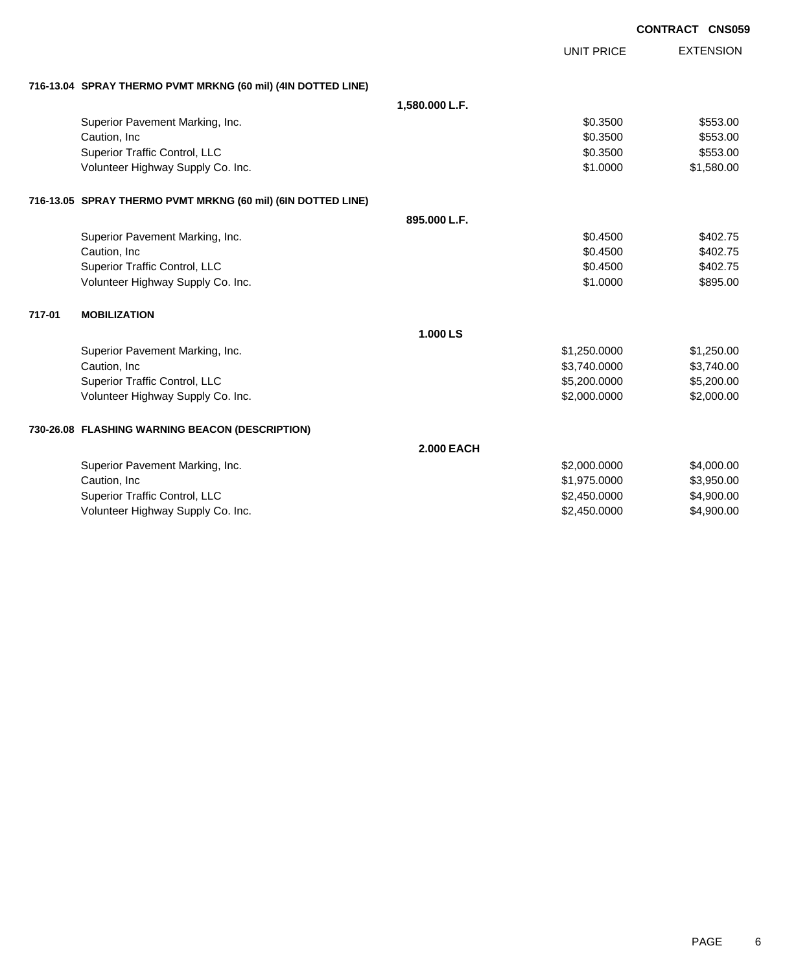|        |                                                              |                   |                   | <b>CONTRACT CNS059</b> |
|--------|--------------------------------------------------------------|-------------------|-------------------|------------------------|
|        |                                                              |                   | <b>UNIT PRICE</b> | <b>EXTENSION</b>       |
|        |                                                              |                   |                   |                        |
|        | 716-13.04 SPRAY THERMO PVMT MRKNG (60 mil) (4IN DOTTED LINE) |                   |                   |                        |
|        |                                                              | 1,580.000 L.F.    |                   |                        |
|        | Superior Pavement Marking, Inc.                              |                   | \$0.3500          | \$553.00               |
|        | Caution, Inc                                                 |                   | \$0.3500          | \$553.00               |
|        | Superior Traffic Control, LLC                                |                   | \$0.3500          | \$553.00               |
|        | Volunteer Highway Supply Co. Inc.                            |                   | \$1.0000          | \$1,580.00             |
|        | 716-13.05 SPRAY THERMO PVMT MRKNG (60 mil) (6IN DOTTED LINE) |                   |                   |                        |
|        |                                                              | 895.000 L.F.      |                   |                        |
|        | Superior Pavement Marking, Inc.                              |                   | \$0.4500          | \$402.75               |
|        | Caution, Inc                                                 |                   | \$0.4500          | \$402.75               |
|        | Superior Traffic Control, LLC                                |                   | \$0.4500          | \$402.75               |
|        | Volunteer Highway Supply Co. Inc.                            |                   | \$1.0000          | \$895.00               |
| 717-01 | <b>MOBILIZATION</b>                                          |                   |                   |                        |
|        |                                                              | 1.000 LS          |                   |                        |
|        | Superior Pavement Marking, Inc.                              |                   | \$1,250.0000      | \$1,250.00             |
|        | Caution, Inc.                                                |                   | \$3,740.0000      | \$3,740.00             |
|        | Superior Traffic Control, LLC                                |                   | \$5,200.0000      | \$5,200.00             |
|        | Volunteer Highway Supply Co. Inc.                            |                   | \$2,000.0000      | \$2,000.00             |
|        | 730-26.08 FLASHING WARNING BEACON (DESCRIPTION)              |                   |                   |                        |
|        |                                                              | <b>2.000 EACH</b> |                   |                        |
|        | Superior Pavement Marking, Inc.                              |                   | \$2,000.0000      | \$4,000.00             |
|        | Caution, Inc                                                 |                   | \$1,975.0000      | \$3,950.00             |
|        | Superior Traffic Control, LLC                                |                   | \$2,450.0000      | \$4,900.00             |
|        | Volunteer Highway Supply Co. Inc.                            |                   | \$2,450.0000      | \$4,900.00             |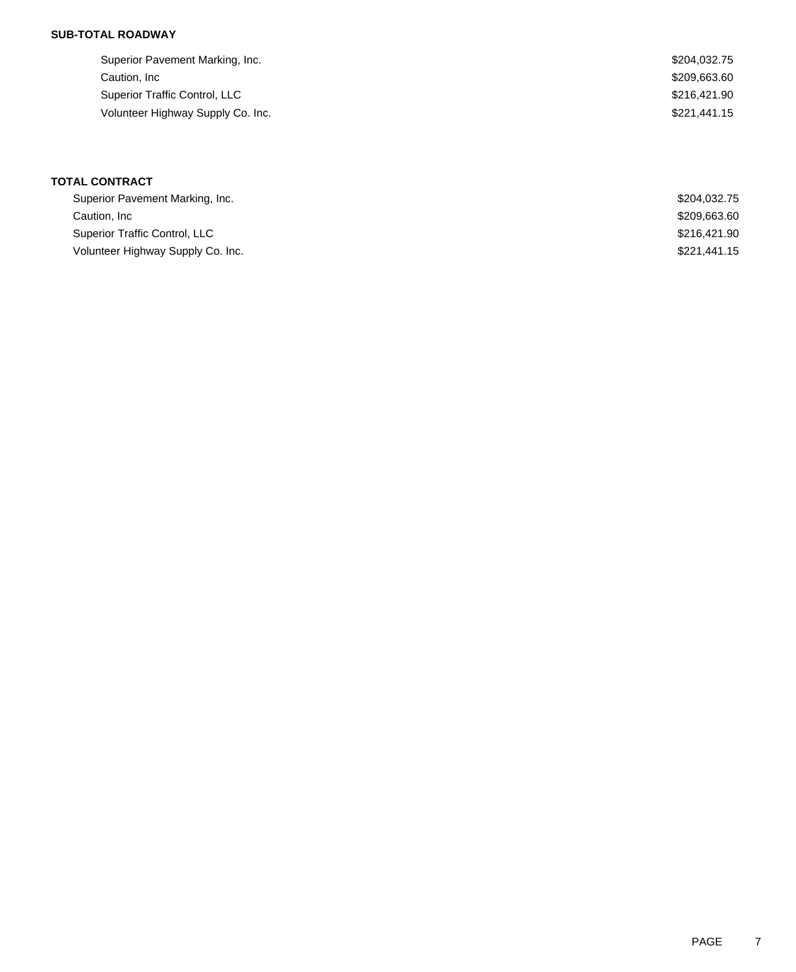## **SUB-TOTAL ROADWAY**

| Superior Pavement Marking, Inc.   | \$204,032.75 |
|-----------------------------------|--------------|
| Caution, Inc                      | \$209,663.60 |
| Superior Traffic Control, LLC     | \$216.421.90 |
| Volunteer Highway Supply Co. Inc. | \$221,441.15 |

# **TOTAL CONTRACT**

| Superior Pavement Marking, Inc.   | \$204.032.75 |
|-----------------------------------|--------------|
| Caution, Inc.                     | \$209,663,60 |
| Superior Traffic Control, LLC     | \$216,421.90 |
| Volunteer Highway Supply Co. Inc. | \$221,441.15 |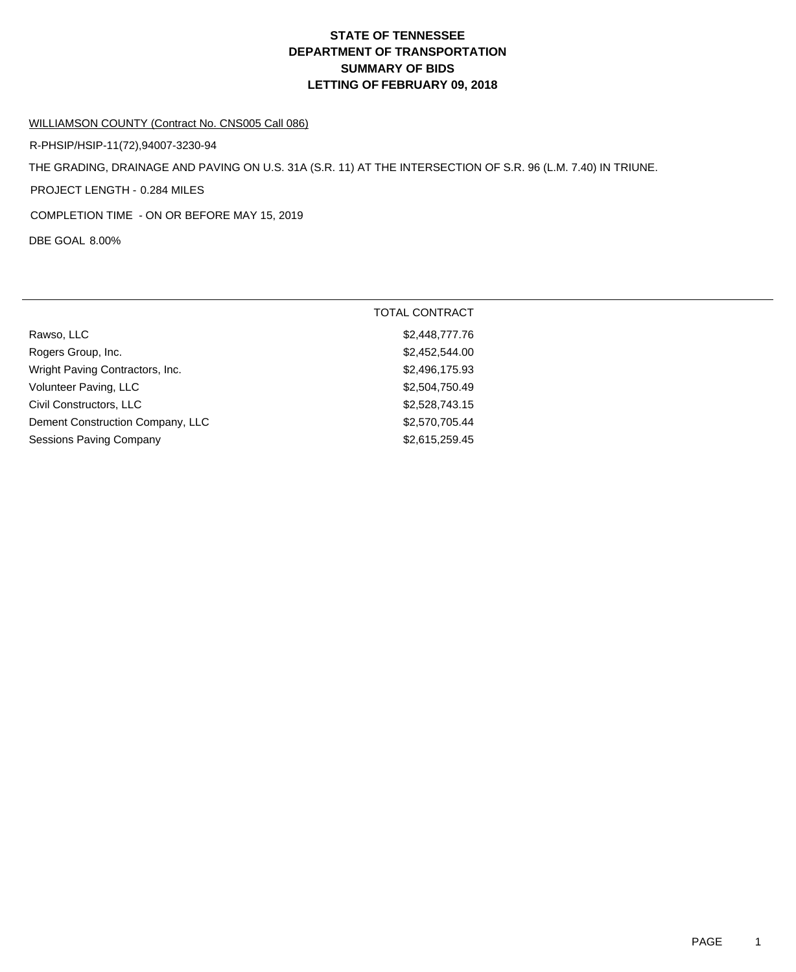# **DEPARTMENT OF TRANSPORTATION SUMMARY OF BIDS LETTING OF FEBRUARY 09, 2018 STATE OF TENNESSEE**

#### WILLIAMSON COUNTY (Contract No. CNS005 Call 086)

R-PHSIP/HSIP-11(72),94007-3230-94

THE GRADING, DRAINAGE AND PAVING ON U.S. 31A (S.R. 11) AT THE INTERSECTION OF S.R. 96 (L.M. 7.40) IN TRIUNE.

PROJECT LENGTH - 0.284 MILES

COMPLETION TIME - ON OR BEFORE MAY 15, 2019

DBE GOAL 8.00%

|                                  | <b>TOTAL CONTRACT</b> |
|----------------------------------|-----------------------|
| Rawso, LLC                       | \$2,448,777.76        |
| Rogers Group, Inc.               | \$2,452,544.00        |
| Wright Paving Contractors, Inc.  | \$2,496,175.93        |
| Volunteer Paving, LLC            | \$2,504,750.49        |
| Civil Constructors, LLC          | \$2,528,743.15        |
| Dement Construction Company, LLC | \$2,570,705.44        |
| <b>Sessions Paving Company</b>   | \$2,615,259.45        |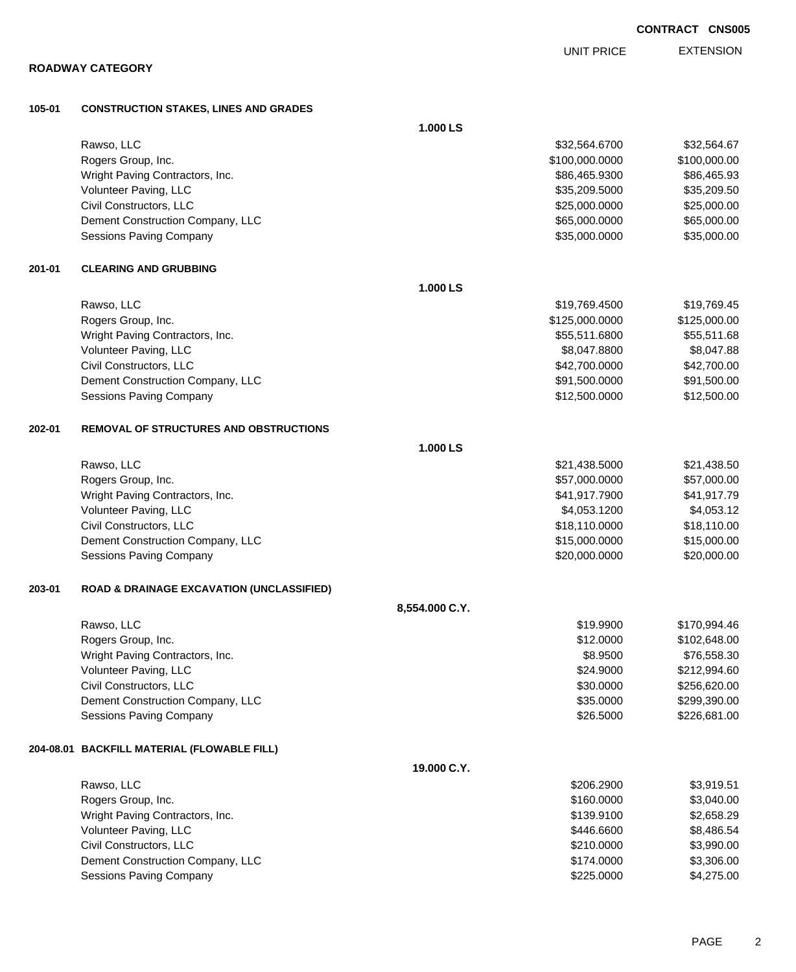| ROADWAY CATEGORY |  |
|------------------|--|
|------------------|--|

EXTENSION UNIT PRICE

## **105-01 CONSTRUCTION STAKES, LINES AND GRADES**

|        |                                                      | 1.000 LS       |                |              |
|--------|------------------------------------------------------|----------------|----------------|--------------|
|        | Rawso, LLC                                           |                | \$32,564.6700  | \$32,564.67  |
|        | Rogers Group, Inc.                                   |                | \$100,000.0000 | \$100,000.00 |
|        | Wright Paving Contractors, Inc.                      |                | \$86,465.9300  | \$86,465.93  |
|        | Volunteer Paving, LLC                                |                | \$35,209.5000  | \$35,209.50  |
|        | Civil Constructors, LLC                              |                | \$25,000.0000  | \$25,000.00  |
|        | Dement Construction Company, LLC                     |                | \$65,000.0000  | \$65,000.00  |
|        | Sessions Paving Company                              |                | \$35,000.0000  | \$35,000.00  |
| 201-01 | <b>CLEARING AND GRUBBING</b>                         |                |                |              |
|        |                                                      | 1.000 LS       |                |              |
|        | Rawso, LLC                                           |                | \$19,769.4500  | \$19,769.45  |
|        | Rogers Group, Inc.                                   |                | \$125,000.0000 | \$125,000.00 |
|        | Wright Paving Contractors, Inc.                      |                | \$55,511.6800  | \$55,511.68  |
|        | Volunteer Paving, LLC                                |                | \$8,047.8800   | \$8,047.88   |
|        | Civil Constructors, LLC                              |                | \$42,700.0000  | \$42,700.00  |
|        | Dement Construction Company, LLC                     |                | \$91,500.0000  | \$91,500.00  |
|        | Sessions Paving Company                              |                | \$12,500.0000  | \$12,500.00  |
| 202-01 | <b>REMOVAL OF STRUCTURES AND OBSTRUCTIONS</b>        |                |                |              |
|        |                                                      | 1.000 LS       |                |              |
|        | Rawso, LLC                                           |                | \$21,438.5000  | \$21,438.50  |
|        | Rogers Group, Inc.                                   |                | \$57,000.0000  | \$57,000.00  |
|        | Wright Paving Contractors, Inc.                      |                | \$41,917.7900  | \$41,917.79  |
|        | Volunteer Paving, LLC                                |                | \$4,053.1200   | \$4,053.12   |
|        | Civil Constructors, LLC                              |                | \$18,110.0000  | \$18,110.00  |
|        | Dement Construction Company, LLC                     |                | \$15,000.0000  | \$15,000.00  |
|        | Sessions Paving Company                              |                | \$20,000.0000  | \$20,000.00  |
| 203-01 | <b>ROAD &amp; DRAINAGE EXCAVATION (UNCLASSIFIED)</b> |                |                |              |
|        |                                                      | 8,554.000 C.Y. |                |              |
|        | Rawso, LLC                                           |                | \$19.9900      | \$170,994.46 |
|        | Rogers Group, Inc.                                   |                | \$12.0000      | \$102,648.00 |
|        | Wright Paving Contractors, Inc.                      |                | \$8.9500       | \$76,558.30  |
|        | Volunteer Paving, LLC                                |                | \$24.9000      | \$212,994.60 |
|        | Civil Constructors, LLC                              |                | \$30.0000      | \$256,620.00 |
|        | Dement Construction Company, LLC                     |                | \$35.0000      | \$299,390.00 |
|        | Sessions Paving Company                              |                | \$26.5000      | \$226,681.00 |
|        | 204-08.01 BACKFILL MATERIAL (FLOWABLE FILL)          |                |                |              |
|        |                                                      | 19.000 C.Y.    |                |              |
|        | Rawso, LLC                                           |                | \$206.2900     | \$3,919.51   |
|        | Rogers Group, Inc.                                   |                | \$160.0000     | \$3,040.00   |
|        | Wright Paving Contractors, Inc.                      |                | \$139.9100     | \$2,658.29   |
|        | Volunteer Paving, LLC                                |                | \$446.6600     | \$8,486.54   |
|        | Civil Constructors, LLC                              |                | \$210.0000     | \$3,990.00   |
|        | Dement Construction Company, LLC                     |                | \$174.0000     | \$3,306.00   |
|        | Sessions Paving Company                              |                | \$225.0000     | \$4,275.00   |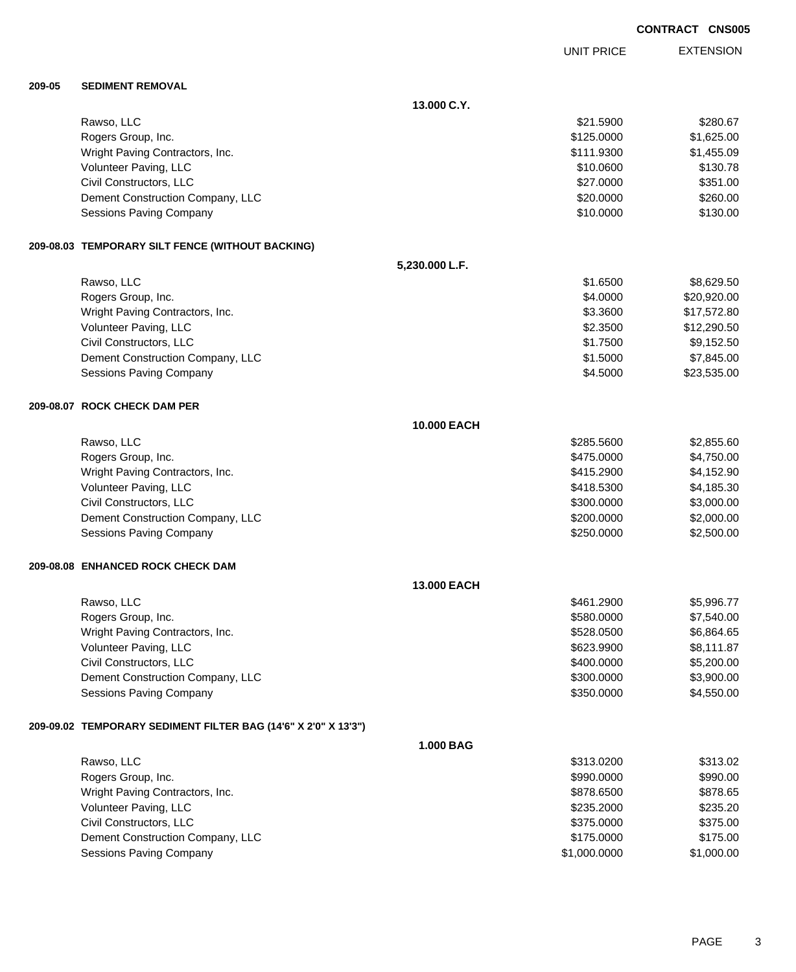PAGE 3

| <b>CONTRACT CNS005</b> |  |
|------------------------|--|
|                        |  |

EXTENSION UNIT PRICE

#### **209-05 SEDIMENT REMOVAL**

|                                                                | 13.000 C.Y.    |              |             |
|----------------------------------------------------------------|----------------|--------------|-------------|
| Rawso, LLC                                                     |                | \$21.5900    | \$280.67    |
| Rogers Group, Inc.                                             |                | \$125.0000   | \$1,625.00  |
| Wright Paving Contractors, Inc.                                |                | \$111.9300   | \$1,455.09  |
| Volunteer Paving, LLC                                          |                | \$10.0600    | \$130.78    |
| Civil Constructors, LLC                                        |                | \$27.0000    | \$351.00    |
| Dement Construction Company, LLC                               |                | \$20.0000    | \$260.00    |
| <b>Sessions Paving Company</b>                                 |                | \$10.0000    | \$130.00    |
| 209-08.03 TEMPORARY SILT FENCE (WITHOUT BACKING)               |                |              |             |
|                                                                | 5,230.000 L.F. |              |             |
| Rawso, LLC                                                     |                | \$1.6500     | \$8,629.50  |
| Rogers Group, Inc.                                             |                | \$4.0000     | \$20,920.00 |
| Wright Paving Contractors, Inc.                                |                | \$3.3600     | \$17,572.80 |
| Volunteer Paving, LLC                                          |                | \$2.3500     | \$12,290.50 |
| Civil Constructors, LLC                                        |                | \$1.7500     | \$9,152.50  |
| Dement Construction Company, LLC                               |                | \$1.5000     | \$7,845.00  |
| <b>Sessions Paving Company</b>                                 |                | \$4.5000     | \$23,535.00 |
| 209-08.07 ROCK CHECK DAM PER                                   |                |              |             |
|                                                                | 10.000 EACH    |              |             |
| Rawso, LLC                                                     |                | \$285.5600   | \$2,855.60  |
| Rogers Group, Inc.                                             |                | \$475.0000   | \$4,750.00  |
| Wright Paving Contractors, Inc.                                |                | \$415.2900   | \$4,152.90  |
| Volunteer Paving, LLC                                          |                | \$418.5300   | \$4,185.30  |
| Civil Constructors, LLC                                        |                | \$300.0000   | \$3,000.00  |
| Dement Construction Company, LLC                               |                | \$200.0000   | \$2,000.00  |
| <b>Sessions Paving Company</b>                                 |                | \$250.0000   | \$2,500.00  |
| 209-08.08 ENHANCED ROCK CHECK DAM                              |                |              |             |
|                                                                | 13.000 EACH    |              |             |
| Rawso, LLC                                                     |                | \$461.2900   | \$5,996.77  |
| Rogers Group, Inc.                                             |                | \$580.0000   | \$7,540.00  |
| Wright Paving Contractors, Inc.                                |                | \$528.0500   | \$6,864.65  |
| Volunteer Paving, LLC                                          |                | \$623.9900   | \$8,111.87  |
| Civil Constructors, LLC                                        |                | \$400.0000   | \$5,200.00  |
| Dement Construction Company, LLC                               |                | \$300.0000   | \$3,900.00  |
| Sessions Paving Company                                        |                | \$350.0000   | \$4,550.00  |
| 209-09.02 TEMPORARY SEDIMENT FILTER BAG (14'6" X 2'0" X 13'3") |                |              |             |
|                                                                | 1.000 BAG      |              |             |
| Rawso, LLC                                                     |                | \$313.0200   | \$313.02    |
| Rogers Group, Inc.                                             |                | \$990.0000   | \$990.00    |
| Wright Paving Contractors, Inc.                                |                | \$878.6500   | \$878.65    |
| Volunteer Paving, LLC                                          |                | \$235.2000   | \$235.20    |
| Civil Constructors, LLC                                        |                | \$375.0000   | \$375.00    |
| Dement Construction Company, LLC                               |                | \$175.0000   | \$175.00    |
| Sessions Paving Company                                        |                | \$1,000.0000 | \$1,000.00  |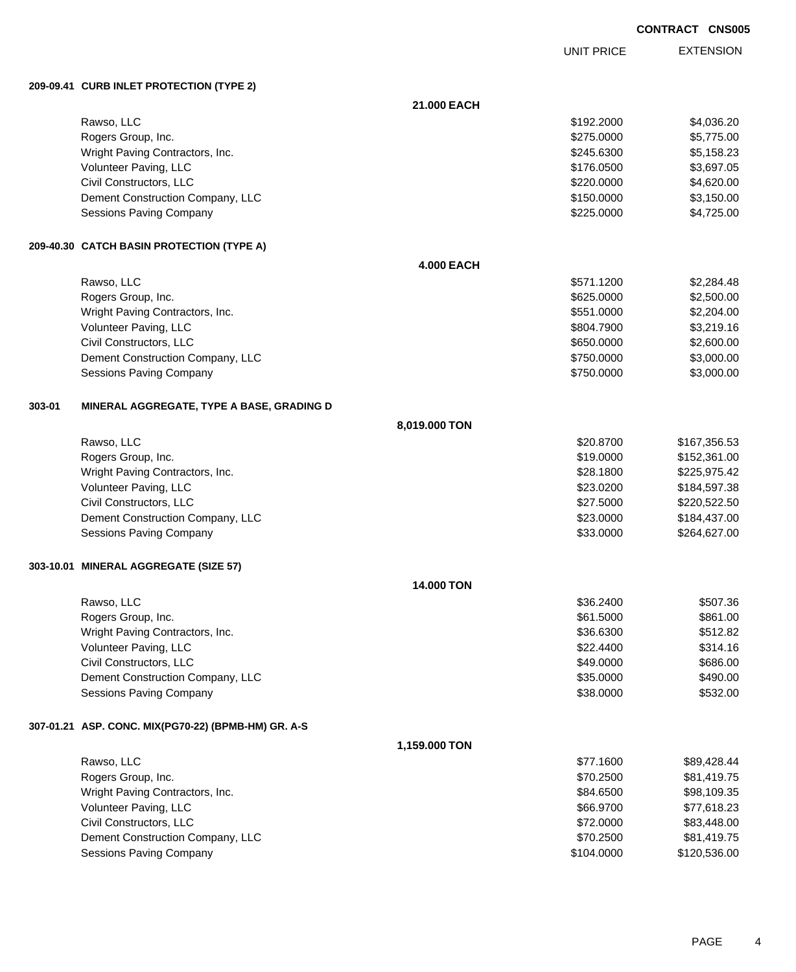UNIT PRICE

EXTENSION

**209-09.41 CURB INLET PROTECTION (TYPE 2)**

|        |                                                     | 21.000 EACH       |            |              |
|--------|-----------------------------------------------------|-------------------|------------|--------------|
|        | Rawso, LLC                                          |                   | \$192.2000 | \$4,036.20   |
|        | Rogers Group, Inc.                                  |                   | \$275.0000 | \$5,775.00   |
|        | Wright Paving Contractors, Inc.                     |                   | \$245.6300 | \$5,158.23   |
|        | Volunteer Paving, LLC                               |                   | \$176.0500 | \$3,697.05   |
|        | Civil Constructors, LLC                             |                   | \$220.0000 | \$4,620.00   |
|        | Dement Construction Company, LLC                    |                   | \$150.0000 | \$3,150.00   |
|        | Sessions Paving Company                             |                   | \$225.0000 | \$4,725.00   |
|        | 209-40.30 CATCH BASIN PROTECTION (TYPE A)           |                   |            |              |
|        |                                                     | <b>4.000 EACH</b> |            |              |
|        | Rawso, LLC                                          |                   | \$571.1200 | \$2,284.48   |
|        | Rogers Group, Inc.                                  |                   | \$625.0000 | \$2,500.00   |
|        | Wright Paving Contractors, Inc.                     |                   | \$551.0000 | \$2,204.00   |
|        | Volunteer Paving, LLC                               |                   | \$804.7900 | \$3,219.16   |
|        | Civil Constructors, LLC                             |                   | \$650.0000 | \$2,600.00   |
|        | Dement Construction Company, LLC                    |                   | \$750.0000 | \$3,000.00   |
|        | Sessions Paving Company                             |                   | \$750.0000 | \$3,000.00   |
| 303-01 | MINERAL AGGREGATE, TYPE A BASE, GRADING D           |                   |            |              |
|        |                                                     | 8,019.000 TON     |            |              |
|        | Rawso, LLC                                          |                   | \$20.8700  | \$167,356.53 |
|        | Rogers Group, Inc.                                  |                   | \$19.0000  | \$152,361.00 |
|        | Wright Paving Contractors, Inc.                     |                   | \$28.1800  | \$225,975.42 |
|        | Volunteer Paving, LLC                               |                   | \$23.0200  | \$184,597.38 |
|        | Civil Constructors, LLC                             |                   | \$27.5000  | \$220,522.50 |
|        | Dement Construction Company, LLC                    |                   | \$23.0000  | \$184,437.00 |
|        | Sessions Paving Company                             |                   | \$33.0000  | \$264,627.00 |
|        | 303-10.01 MINERAL AGGREGATE (SIZE 57)               |                   |            |              |
|        |                                                     | <b>14.000 TON</b> |            |              |
|        | Rawso, LLC                                          |                   | \$36.2400  | \$507.36     |
|        | Rogers Group, Inc.                                  |                   | \$61.5000  | \$861.00     |
|        | Wright Paving Contractors, Inc.                     |                   | \$36.6300  | \$512.82     |
|        | Volunteer Paving, LLC                               |                   | \$22.4400  | \$314.16     |
|        | Civil Constructors, LLC                             |                   | \$49.0000  | \$686.00     |
|        | Dement Construction Company, LLC                    |                   | \$35.0000  | \$490.00     |
|        | Sessions Paving Company                             |                   | \$38.0000  | \$532.00     |
|        | 307-01.21 ASP. CONC. MIX(PG70-22) (BPMB-HM) GR. A-S |                   |            |              |
|        |                                                     | 1,159.000 TON     |            |              |
|        | Rawso, LLC                                          |                   | \$77.1600  | \$89,428.44  |
|        | Rogers Group, Inc.                                  |                   | \$70.2500  | \$81,419.75  |
|        | Wright Paving Contractors, Inc.                     |                   | \$84.6500  | \$98,109.35  |
|        | Volunteer Paving, LLC                               |                   | \$66.9700  | \$77,618.23  |
|        | Civil Constructors, LLC                             |                   | \$72.0000  | \$83,448.00  |
|        | Dement Construction Company, LLC                    |                   | \$70.2500  | \$81,419.75  |
|        | <b>Sessions Paving Company</b>                      |                   | \$104.0000 | \$120,536.00 |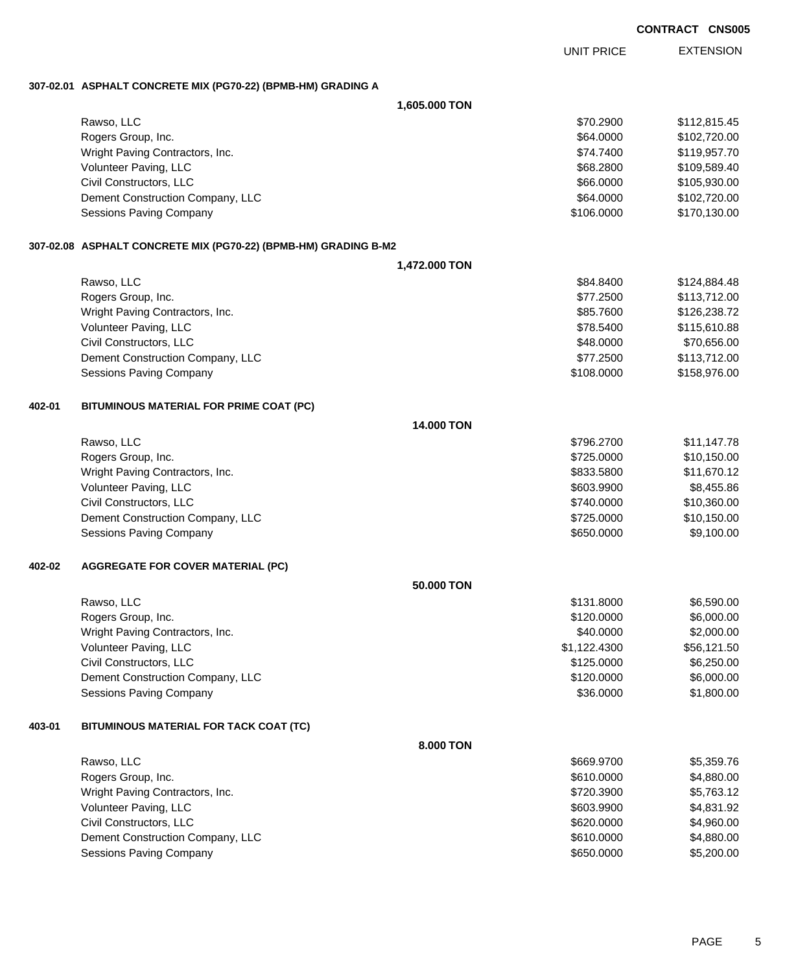EXTENSION UNIT PRICE

### **307-02.01 ASPHALT CONCRETE MIX (PG70-22) (BPMB-HM) GRADING A**

|        |                                                                 | 1,605.000 TON |              |              |
|--------|-----------------------------------------------------------------|---------------|--------------|--------------|
|        | Rawso, LLC                                                      |               | \$70.2900    | \$112,815.45 |
|        | Rogers Group, Inc.                                              |               | \$64.0000    | \$102,720.00 |
|        | Wright Paving Contractors, Inc.                                 |               | \$74.7400    | \$119,957.70 |
|        | Volunteer Paving, LLC                                           |               | \$68.2800    | \$109,589.40 |
|        | Civil Constructors, LLC                                         |               | \$66.0000    | \$105,930.00 |
|        | Dement Construction Company, LLC                                |               | \$64.0000    | \$102,720.00 |
|        | Sessions Paving Company                                         |               | \$106.0000   | \$170,130.00 |
|        | 307-02.08 ASPHALT CONCRETE MIX (PG70-22) (BPMB-HM) GRADING B-M2 |               |              |              |
|        |                                                                 | 1,472.000 TON |              |              |
|        | Rawso, LLC                                                      |               | \$84.8400    | \$124,884.48 |
|        | Rogers Group, Inc.                                              |               | \$77.2500    | \$113,712.00 |
|        | Wright Paving Contractors, Inc.                                 |               | \$85.7600    | \$126,238.72 |
|        | Volunteer Paving, LLC                                           |               | \$78.5400    | \$115,610.88 |
|        | Civil Constructors, LLC                                         |               | \$48.0000    | \$70,656.00  |
|        | Dement Construction Company, LLC                                |               | \$77.2500    | \$113,712.00 |
|        | Sessions Paving Company                                         |               | \$108.0000   | \$158,976.00 |
| 402-01 | BITUMINOUS MATERIAL FOR PRIME COAT (PC)                         |               |              |              |
|        |                                                                 | 14.000 TON    |              |              |
|        | Rawso, LLC                                                      |               | \$796.2700   | \$11,147.78  |
|        | Rogers Group, Inc.                                              |               | \$725.0000   | \$10,150.00  |
|        | Wright Paving Contractors, Inc.                                 |               | \$833.5800   | \$11,670.12  |
|        | Volunteer Paving, LLC                                           |               | \$603.9900   | \$8,455.86   |
|        | Civil Constructors, LLC                                         |               | \$740.0000   | \$10,360.00  |
|        | Dement Construction Company, LLC                                |               | \$725.0000   | \$10,150.00  |
|        | Sessions Paving Company                                         |               | \$650.0000   | \$9,100.00   |
| 402-02 | <b>AGGREGATE FOR COVER MATERIAL (PC)</b>                        |               |              |              |
|        |                                                                 | 50.000 TON    |              |              |
|        | Rawso, LLC                                                      |               | \$131.8000   | \$6,590.00   |
|        | Rogers Group, Inc.                                              |               | \$120.0000   | \$6,000.00   |
|        | Wright Paving Contractors, Inc.                                 |               | \$40.0000    | \$2,000.00   |
|        | Volunteer Paving, LLC                                           |               | \$1,122.4300 | \$56,121.50  |
|        | Civil Constructors, LLC                                         |               | \$125.0000   | \$6,250.00   |
|        | Dement Construction Company, LLC                                |               | \$120.0000   | \$6,000.00   |
|        | Sessions Paving Company                                         |               | \$36.0000    | \$1,800.00   |
| 403-01 | BITUMINOUS MATERIAL FOR TACK COAT (TC)                          |               |              |              |
|        |                                                                 | 8.000 TON     |              |              |
|        | Rawso, LLC                                                      |               | \$669.9700   | \$5,359.76   |
|        | Rogers Group, Inc.                                              |               | \$610.0000   | \$4,880.00   |
|        | Wright Paving Contractors, Inc.                                 |               | \$720.3900   | \$5,763.12   |
|        | Volunteer Paving, LLC                                           |               | \$603.9900   | \$4,831.92   |
|        | Civil Constructors, LLC                                         |               | \$620.0000   | \$4,960.00   |
|        | Dement Construction Company, LLC                                |               | \$610.0000   | \$4,880.00   |
|        | Sessions Paving Company                                         |               | \$650.0000   | \$5,200.00   |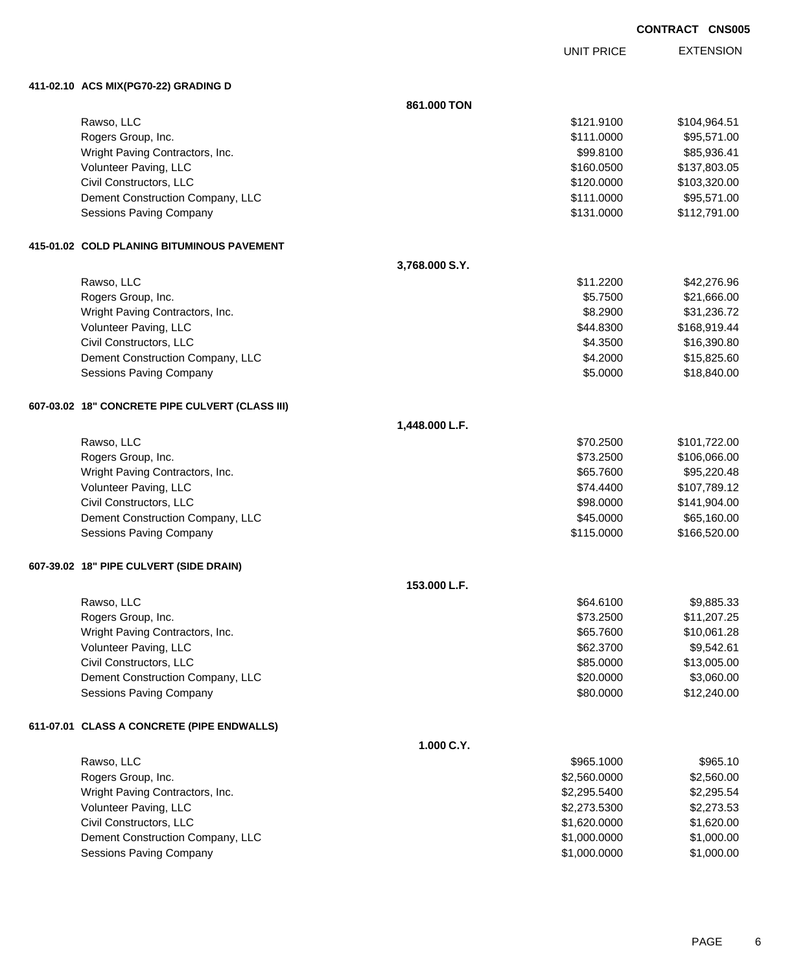UNIT PRICE

EXTENSION

**411-02.10 ACS MIX(PG70-22) GRADING D**

|                                                 | 861.000 TON    |              |              |
|-------------------------------------------------|----------------|--------------|--------------|
| Rawso, LLC                                      |                | \$121.9100   | \$104,964.51 |
| Rogers Group, Inc.                              |                | \$111.0000   | \$95,571.00  |
| Wright Paving Contractors, Inc.                 |                | \$99.8100    | \$85,936.41  |
| Volunteer Paving, LLC                           |                | \$160.0500   | \$137,803.05 |
| Civil Constructors, LLC                         |                | \$120.0000   | \$103,320.00 |
| Dement Construction Company, LLC                |                | \$111.0000   | \$95,571.00  |
| Sessions Paving Company                         |                | \$131.0000   | \$112,791.00 |
| 415-01.02 COLD PLANING BITUMINOUS PAVEMENT      |                |              |              |
|                                                 | 3,768.000 S.Y. |              |              |
| Rawso, LLC                                      |                | \$11.2200    | \$42,276.96  |
| Rogers Group, Inc.                              |                | \$5.7500     | \$21,666.00  |
| Wright Paving Contractors, Inc.                 |                | \$8.2900     | \$31,236.72  |
| Volunteer Paving, LLC                           |                | \$44.8300    | \$168,919.44 |
| Civil Constructors, LLC                         |                | \$4.3500     | \$16,390.80  |
| Dement Construction Company, LLC                |                | \$4.2000     | \$15,825.60  |
| <b>Sessions Paving Company</b>                  |                | \$5.0000     | \$18,840.00  |
| 607-03.02 18" CONCRETE PIPE CULVERT (CLASS III) |                |              |              |
|                                                 | 1,448.000 L.F. |              |              |
| Rawso, LLC                                      |                | \$70.2500    | \$101,722.00 |
| Rogers Group, Inc.                              |                | \$73.2500    | \$106,066.00 |
| Wright Paving Contractors, Inc.                 |                | \$65.7600    | \$95,220.48  |
| Volunteer Paving, LLC                           |                | \$74.4400    | \$107,789.12 |
| Civil Constructors, LLC                         |                | \$98.0000    | \$141,904.00 |
| Dement Construction Company, LLC                |                | \$45.0000    | \$65,160.00  |
| Sessions Paving Company                         |                | \$115.0000   | \$166,520.00 |
| 607-39.02 18" PIPE CULVERT (SIDE DRAIN)         |                |              |              |
|                                                 | 153.000 L.F.   |              |              |
| Rawso, LLC                                      |                | \$64.6100    | \$9,885.33   |
| Rogers Group, Inc.                              |                | \$73.2500    | \$11,207.25  |
| Wright Paving Contractors, Inc.                 |                | \$65.7600    | \$10,061.28  |
| Volunteer Paving, LLC                           |                | \$62.3700    | \$9,542.61   |
| Civil Constructors, LLC                         |                | \$85.0000    | \$13,005.00  |
| Dement Construction Company, LLC                |                | \$20.0000    | \$3,060.00   |
| Sessions Paving Company                         |                | \$80.0000    | \$12,240.00  |
| 611-07.01 CLASS A CONCRETE (PIPE ENDWALLS)      |                |              |              |
|                                                 | 1.000 C.Y.     |              |              |
| Rawso, LLC                                      |                | \$965.1000   | \$965.10     |
| Rogers Group, Inc.                              |                | \$2,560.0000 | \$2,560.00   |
| Wright Paving Contractors, Inc.                 |                | \$2,295.5400 | \$2,295.54   |
| Volunteer Paving, LLC                           |                | \$2,273.5300 | \$2,273.53   |
| Civil Constructors, LLC                         |                | \$1,620.0000 | \$1,620.00   |
| Dement Construction Company, LLC                |                | \$1,000.0000 | \$1,000.00   |
| Sessions Paving Company                         |                | \$1,000.0000 | \$1,000.00   |
|                                                 |                |              |              |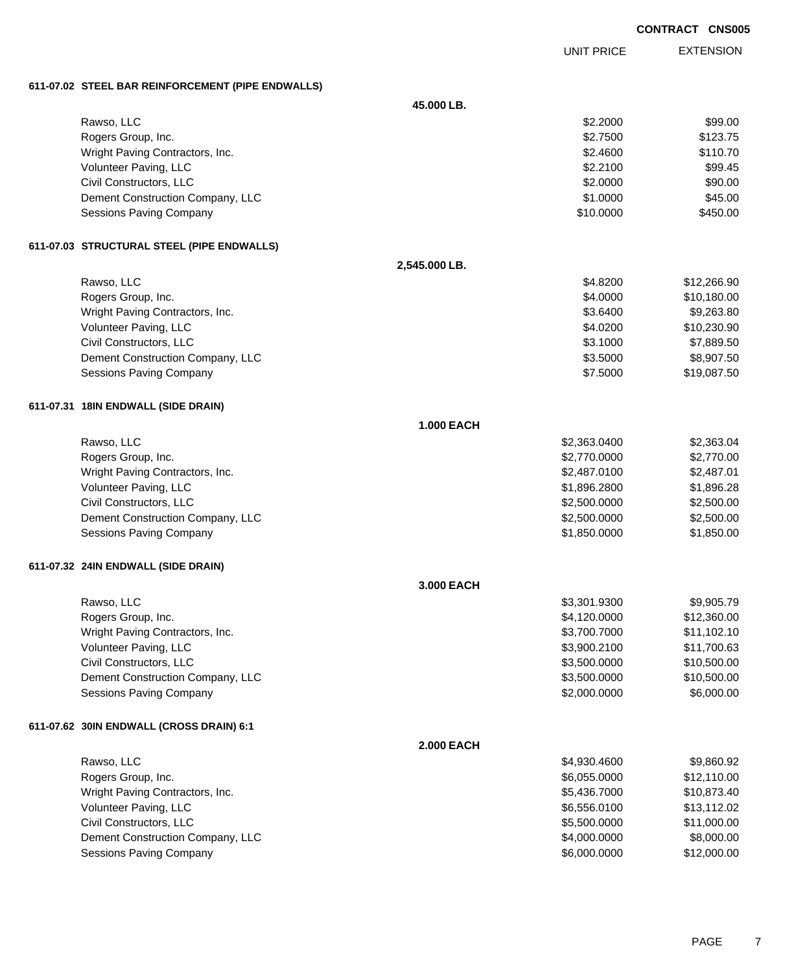EXTENSION UNIT PRICE

### **611-07.02 STEEL BAR REINFORCEMENT (PIPE ENDWALLS)**

|                                            | 45.000 LB.        |              |             |
|--------------------------------------------|-------------------|--------------|-------------|
| Rawso, LLC                                 |                   | \$2.2000     | \$99.00     |
| Rogers Group, Inc.                         |                   | \$2.7500     | \$123.75    |
| Wright Paving Contractors, Inc.            |                   | \$2.4600     | \$110.70    |
| Volunteer Paving, LLC                      |                   | \$2.2100     | \$99.45     |
| Civil Constructors, LLC                    |                   | \$2.0000     | \$90.00     |
| Dement Construction Company, LLC           |                   | \$1.0000     | \$45.00     |
| Sessions Paving Company                    |                   | \$10.0000    | \$450.00    |
| 611-07.03 STRUCTURAL STEEL (PIPE ENDWALLS) |                   |              |             |
|                                            | 2,545.000 LB.     |              |             |
| Rawso, LLC                                 |                   | \$4.8200     | \$12,266.90 |
| Rogers Group, Inc.                         |                   | \$4.0000     | \$10,180.00 |
| Wright Paving Contractors, Inc.            |                   | \$3.6400     | \$9,263.80  |
| Volunteer Paving, LLC                      |                   | \$4.0200     | \$10,230.90 |
| Civil Constructors, LLC                    |                   | \$3.1000     | \$7,889.50  |
| Dement Construction Company, LLC           |                   | \$3.5000     | \$8,907.50  |
| Sessions Paving Company                    |                   | \$7.5000     | \$19,087.50 |
| 611-07.31 18IN ENDWALL (SIDE DRAIN)        |                   |              |             |
|                                            | <b>1.000 EACH</b> |              |             |
| Rawso, LLC                                 |                   | \$2,363.0400 | \$2,363.04  |
| Rogers Group, Inc.                         |                   | \$2,770.0000 | \$2,770.00  |
| Wright Paving Contractors, Inc.            |                   | \$2,487.0100 | \$2,487.01  |
| Volunteer Paving, LLC                      |                   | \$1,896.2800 | \$1,896.28  |
| Civil Constructors, LLC                    |                   | \$2,500.0000 | \$2,500.00  |
| Dement Construction Company, LLC           |                   | \$2,500.0000 | \$2,500.00  |
| Sessions Paving Company                    |                   | \$1,850.0000 | \$1,850.00  |
| 611-07.32 24IN ENDWALL (SIDE DRAIN)        |                   |              |             |
|                                            | 3.000 EACH        |              |             |
| Rawso, LLC                                 |                   | \$3,301.9300 | \$9,905.79  |
| Rogers Group, Inc.                         |                   | \$4,120.0000 | \$12,360.00 |
| Wright Paving Contractors, Inc.            |                   | \$3,700.7000 | \$11,102.10 |
| Volunteer Paving, LLC                      |                   | \$3,900.2100 | \$11,700.63 |
| Civil Constructors, LLC                    |                   | \$3,500.0000 | \$10,500.00 |
| Dement Construction Company, LLC           |                   | \$3,500.0000 | \$10,500.00 |
| Sessions Paving Company                    |                   | \$2,000.0000 | \$6,000.00  |
| 611-07.62 30IN ENDWALL (CROSS DRAIN) 6:1   |                   |              |             |
|                                            | <b>2.000 EACH</b> |              |             |
| Rawso, LLC                                 |                   | \$4,930.4600 | \$9,860.92  |
| Rogers Group, Inc.                         |                   | \$6,055.0000 | \$12,110.00 |
| Wright Paving Contractors, Inc.            |                   | \$5,436.7000 | \$10,873.40 |
| Volunteer Paving, LLC                      |                   | \$6,556.0100 | \$13,112.02 |
| Civil Constructors, LLC                    |                   | \$5,500.0000 | \$11,000.00 |
| Dement Construction Company, LLC           |                   | \$4,000.0000 | \$8,000.00  |
| Sessions Paving Company                    |                   | \$6,000.0000 | \$12,000.00 |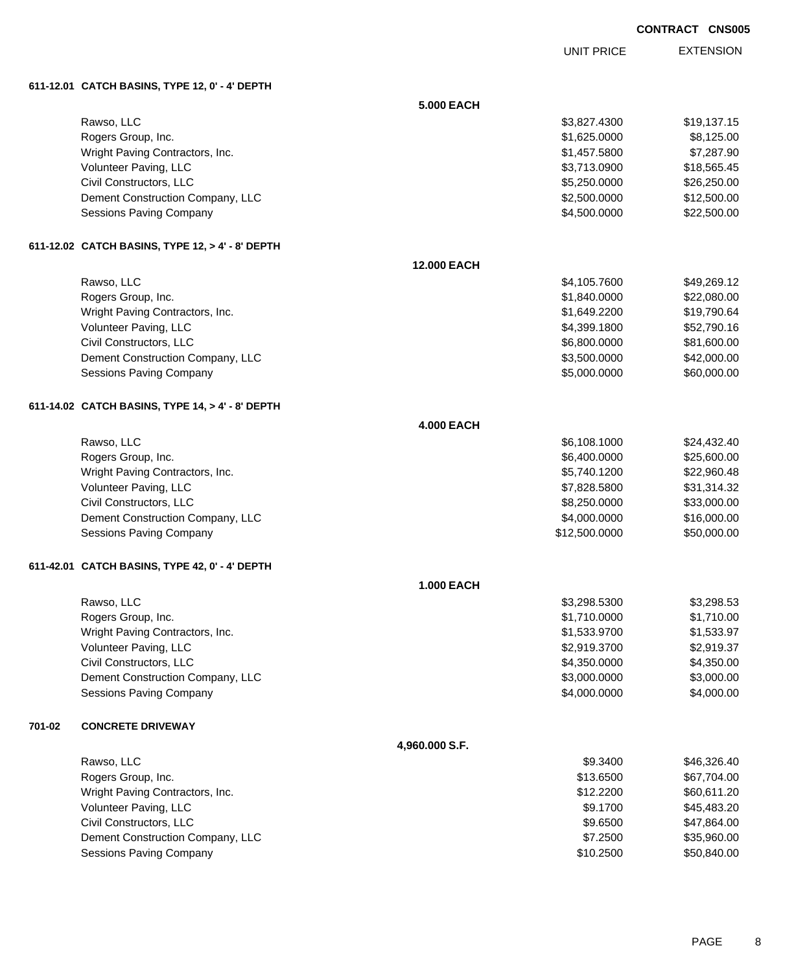UNIT PRICE

EXTENSION

**611-12.01 CATCH BASINS, TYPE 12, 0' - 4' DEPTH**

|        |                                                  | 5.000 EACH         |               |             |
|--------|--------------------------------------------------|--------------------|---------------|-------------|
|        | Rawso, LLC                                       |                    | \$3,827.4300  | \$19,137.15 |
|        | Rogers Group, Inc.                               |                    | \$1,625.0000  | \$8,125.00  |
|        | Wright Paving Contractors, Inc.                  |                    | \$1,457.5800  | \$7,287.90  |
|        | Volunteer Paving, LLC                            |                    | \$3,713.0900  | \$18,565.45 |
|        | Civil Constructors, LLC                          |                    | \$5,250.0000  | \$26,250.00 |
|        | Dement Construction Company, LLC                 |                    | \$2,500.0000  | \$12,500.00 |
|        | <b>Sessions Paving Company</b>                   |                    | \$4,500.0000  | \$22,500.00 |
|        | 611-12.02 CATCH BASINS, TYPE 12, > 4' - 8' DEPTH |                    |               |             |
|        |                                                  | <b>12.000 EACH</b> |               |             |
|        | Rawso, LLC                                       |                    | \$4,105.7600  | \$49,269.12 |
|        | Rogers Group, Inc.                               |                    | \$1,840.0000  | \$22,080.00 |
|        | Wright Paving Contractors, Inc.                  |                    | \$1,649.2200  | \$19,790.64 |
|        | Volunteer Paving, LLC                            |                    | \$4,399.1800  | \$52,790.16 |
|        | Civil Constructors, LLC                          |                    | \$6,800.0000  | \$81,600.00 |
|        | Dement Construction Company, LLC                 |                    | \$3,500.0000  | \$42,000.00 |
|        | <b>Sessions Paving Company</b>                   |                    | \$5,000.0000  | \$60,000.00 |
|        | 611-14.02 CATCH BASINS, TYPE 14, > 4' - 8' DEPTH |                    |               |             |
|        |                                                  | <b>4.000 EACH</b>  |               |             |
|        | Rawso, LLC                                       |                    | \$6,108.1000  | \$24,432.40 |
|        | Rogers Group, Inc.                               |                    | \$6,400.0000  | \$25,600.00 |
|        | Wright Paving Contractors, Inc.                  |                    | \$5,740.1200  | \$22,960.48 |
|        | Volunteer Paving, LLC                            |                    | \$7,828.5800  | \$31,314.32 |
|        | Civil Constructors, LLC                          |                    | \$8,250.0000  | \$33,000.00 |
|        | Dement Construction Company, LLC                 |                    | \$4,000.0000  | \$16,000.00 |
|        | Sessions Paving Company                          |                    | \$12,500.0000 | \$50,000.00 |
|        | 611-42.01 CATCH BASINS, TYPE 42, 0' - 4' DEPTH   |                    |               |             |
|        |                                                  | <b>1.000 EACH</b>  |               |             |
|        | Rawso, LLC                                       |                    | \$3,298.5300  | \$3,298.53  |
|        | Rogers Group, Inc.                               |                    | \$1,710.0000  | \$1,710.00  |
|        | Wright Paving Contractors, Inc.                  |                    | \$1,533.9700  | \$1,533.97  |
|        | Volunteer Paving, LLC                            |                    | \$2,919.3700  | \$2,919.37  |
|        | Civil Constructors, LLC                          |                    | \$4,350.0000  | \$4,350.00  |
|        | Dement Construction Company, LLC                 |                    | \$3,000.0000  | \$3,000.00  |
|        | Sessions Paving Company                          |                    | \$4,000.0000  | \$4,000.00  |
| 701-02 | <b>CONCRETE DRIVEWAY</b>                         |                    |               |             |
|        |                                                  | 4,960.000 S.F.     |               |             |
|        | Rawso, LLC                                       |                    | \$9.3400      | \$46,326.40 |
|        | Rogers Group, Inc.                               |                    | \$13.6500     | \$67,704.00 |
|        | Wright Paving Contractors, Inc.                  |                    | \$12.2200     | \$60,611.20 |
|        | Volunteer Paving, LLC                            |                    | \$9.1700      | \$45,483.20 |
|        | Civil Constructors, LLC                          |                    | \$9.6500      | \$47,864.00 |
|        | Dement Construction Company, LLC                 |                    | \$7.2500      | \$35,960.00 |
|        | Sessions Paving Company                          |                    | \$10.2500     | \$50,840.00 |
|        |                                                  |                    |               |             |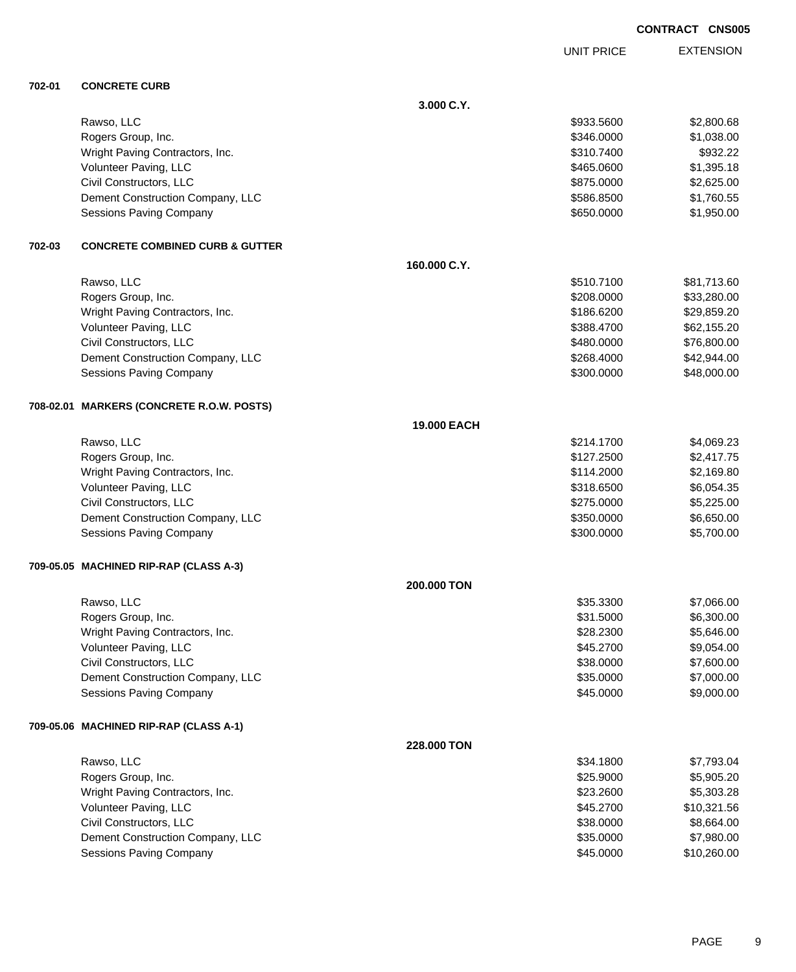UNIT PRICE

**EXTENSION** 

**702-01 CONCRETE CURB**

**3.000 C.Y.** Rawso, LLC \$933.5600 \$2,800.68 Rogers Group, Inc. \$1,038.00 \$1,038.00 \$1,038.00 \$1,038.00 \$1,038.00 \$1,038.00 \$1,038.00 \$1,038.00 \$1,038.00 \$1 Wright Paving Contractors, Inc. 6932.22 and the state of the state of the state of the state of the state of the state  $\frac{1}{2}$ Volunteer Paving, LLC 61,395.18 Civil Constructors, LLC 6875.0000 \$2,625.00 Dement Construction Company, LLC 6.5500 \$1,760.55 Sessions Paving Company 61,950.000 \$1,950.000 \$1,950.000 \$1,950.000 \$1,950.000 \$1,950.00 **702-03 CONCRETE COMBINED CURB & GUTTER 160.000 C.Y.** Rawso, LLC \$510.7100 \$81,713.60 Rogers Group, Inc. \$33,280.000 \$33,280.000 \$33,280.000 \$33,280.000 \$33,280.000 \$53,280.00 Wright Paving Contractors, Inc. 629,859.20 \$29,859.20 \$186.6200 \$29,859.20 Volunteer Paving, LLC 662,155.20 \$62,155.20 \$62,155.20 \$62,155.20 \$62,155.20 \$62,155.20 Civil Constructors, LLC 6. 2002. The state of the state of the state of the state of the state of the state of the state of the state of the state of the state of the state of the state of the state of the state of the sta Dement Construction Company, LLC 6 and the state of the state of the state of the state of the state of the state of the state of the state of the state of the state of the state of the state of the state of the state of t Sessions Paving Company 6. The Sessions Paving Company and the Sessions Paving Company 648,000.00 **708-02.01 MARKERS (CONCRETE R.O.W. POSTS) 19.000 EACH** Rawso, LLC \$214.1700 \$4,069.23 Rogers Group, Inc. \$127.2500 \$2,417.75 Wright Paving Contractors, Inc. 69.169.80 Volunteer Paving, LLC 6.654.35 Civil Constructors, LLC 6. 225.000 \$5,225.000 \$275.0000 \$5,225.000 Dement Construction Company, LLC 6.650.000 \$6,650.000 \$6,650.000 \$6,650.00 Sessions Paving Company **\$300.000** \$5,700.00 **709-05.05 MACHINED RIP-RAP (CLASS A-3) 200.000 TON** Rawso, LLC \$35.3300 \$7,066.00 Rogers Group, Inc. \$31.5000 \$6,300.00 Wright Paving Contractors, Inc. 6. 2008. The state of the state of the state of the state of the state of the state of the state of the state of the state of the state of the state of the state of the state of the state of Volunteer Paving, LLC \$45.2700 \$9,054.00 Civil Constructors, LLC 600.00 \$7,600.00 \$7,600.00 \$7,600.00 \$1,600.00 \$7,600.00 \$7,600.00 \$7,600.00 \$7,600.00 Dement Construction Company, LLC 6 and the state of the state of the state  $$35.0000$  \$7,000.00 Sessions Paving Company 6. The second service of the service of the service of the service of the service of the service of the service of the service of the service of the service of the service of the service of the serv **709-05.06 MACHINED RIP-RAP (CLASS A-1) 228.000 TON** Rawso, LLC \$34.1800 \$7,793.04 Rogers Group, Inc. \$25.9000 \$5,905.20 Wright Paving Contractors, Inc. 66 and the contractors, Inc. \$23.2600 \$5,303.28 Volunteer Paving, LLC 6. 2700 \$10,321.56 Civil Constructors, LLC 664.00 Dement Construction Company, LLC 6 and the state of the state of the state of the state of the state of the state of the state of the state of the state of the state of the state of the state of the state of the state of t Sessions Paving Company **\$45.0000** \$10,260.00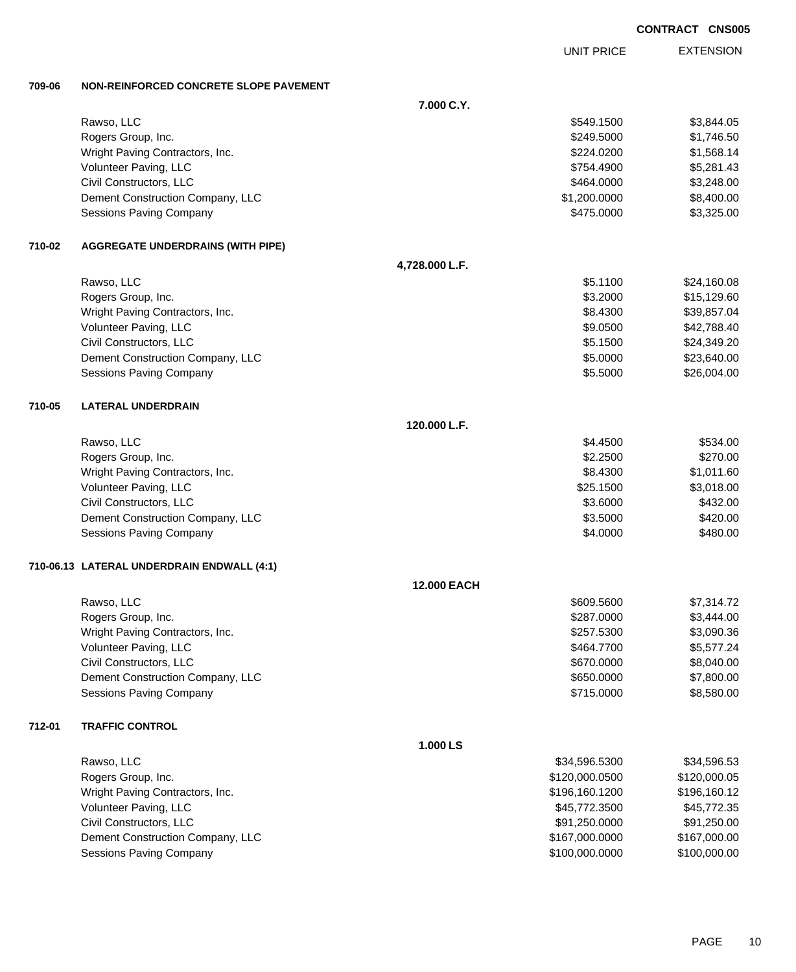PAGE 10

| <b>CONTRACT CNS005</b> |  |
|------------------------|--|
|------------------------|--|

EXTENSION UNIT PRICE

#### **709-06 NON-REINFORCED CONCRETE SLOPE PAVEMENT**

|        |                                            | 7.000 C.Y.     |                |              |
|--------|--------------------------------------------|----------------|----------------|--------------|
|        | Rawso, LLC                                 |                | \$549.1500     | \$3,844.05   |
|        | Rogers Group, Inc.                         |                | \$249.5000     | \$1,746.50   |
|        | Wright Paving Contractors, Inc.            |                | \$224.0200     | \$1,568.14   |
|        | Volunteer Paving, LLC                      |                | \$754.4900     | \$5,281.43   |
|        | Civil Constructors, LLC                    |                | \$464.0000     | \$3,248.00   |
|        | Dement Construction Company, LLC           |                | \$1,200.0000   | \$8,400.00   |
|        | Sessions Paving Company                    |                | \$475.0000     | \$3,325.00   |
| 710-02 | <b>AGGREGATE UNDERDRAINS (WITH PIPE)</b>   |                |                |              |
|        |                                            | 4,728.000 L.F. |                |              |
|        | Rawso, LLC                                 |                | \$5.1100       | \$24,160.08  |
|        | Rogers Group, Inc.                         |                | \$3.2000       | \$15,129.60  |
|        | Wright Paving Contractors, Inc.            |                | \$8.4300       | \$39,857.04  |
|        | Volunteer Paving, LLC                      |                | \$9.0500       | \$42,788.40  |
|        | Civil Constructors, LLC                    |                | \$5.1500       | \$24,349.20  |
|        | Dement Construction Company, LLC           |                | \$5.0000       | \$23,640.00  |
|        | Sessions Paving Company                    |                | \$5.5000       | \$26,004.00  |
| 710-05 | <b>LATERAL UNDERDRAIN</b>                  |                |                |              |
|        |                                            | 120.000 L.F.   |                |              |
|        | Rawso, LLC                                 |                | \$4.4500       | \$534.00     |
|        | Rogers Group, Inc.                         |                | \$2.2500       | \$270.00     |
|        | Wright Paving Contractors, Inc.            |                | \$8.4300       | \$1,011.60   |
|        | Volunteer Paving, LLC                      |                | \$25.1500      | \$3,018.00   |
|        | Civil Constructors, LLC                    |                | \$3.6000       | \$432.00     |
|        | Dement Construction Company, LLC           |                | \$3.5000       | \$420.00     |
|        | Sessions Paving Company                    |                | \$4.0000       | \$480.00     |
|        | 710-06.13 LATERAL UNDERDRAIN ENDWALL (4:1) |                |                |              |
|        |                                            | 12.000 EACH    |                |              |
|        | Rawso, LLC                                 |                | \$609.5600     | \$7,314.72   |
|        | Rogers Group, Inc.                         |                | \$287.0000     | \$3,444.00   |
|        | Wright Paving Contractors, Inc.            |                | \$257.5300     | \$3,090.36   |
|        | Volunteer Paving, LLC                      |                | \$464.7700     | \$5,577.24   |
|        | Civil Constructors, LLC                    |                | \$670.0000     | \$8,040.00   |
|        | Dement Construction Company, LLC           |                | \$650.0000     | \$7,800.00   |
|        | Sessions Paving Company                    |                | \$715.0000     | \$8,580.00   |
| 712-01 | <b>TRAFFIC CONTROL</b>                     |                |                |              |
|        |                                            | 1.000 LS       |                |              |
|        | Rawso, LLC                                 |                | \$34,596.5300  | \$34,596.53  |
|        | Rogers Group, Inc.                         |                | \$120,000.0500 | \$120,000.05 |
|        | Wright Paving Contractors, Inc.            |                | \$196,160.1200 | \$196,160.12 |
|        | Volunteer Paving, LLC                      |                | \$45,772.3500  | \$45,772.35  |
|        | Civil Constructors, LLC                    |                | \$91,250.0000  | \$91,250.00  |
|        | Dement Construction Company, LLC           |                | \$167,000.0000 | \$167,000.00 |
|        | Sessions Paving Company                    |                | \$100,000.0000 | \$100,000.00 |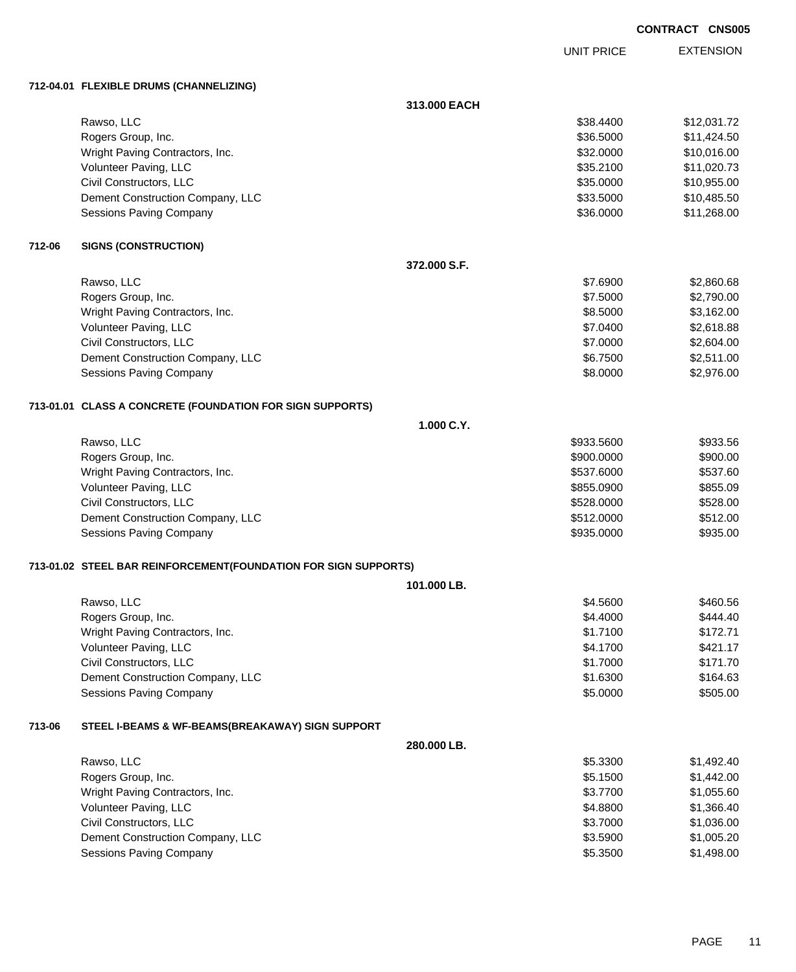EXTENSION UNIT PRICE

### **712-04.01 FLEXIBLE DRUMS (CHANNELIZING)**

|        |                                                                 | 313.000 EACH |            |             |
|--------|-----------------------------------------------------------------|--------------|------------|-------------|
|        | Rawso, LLC                                                      |              | \$38.4400  | \$12,031.72 |
|        | Rogers Group, Inc.                                              |              | \$36.5000  | \$11,424.50 |
|        | Wright Paving Contractors, Inc.                                 |              | \$32.0000  | \$10,016.00 |
|        | Volunteer Paving, LLC                                           |              | \$35.2100  | \$11,020.73 |
|        | Civil Constructors, LLC                                         |              | \$35.0000  | \$10,955.00 |
|        | Dement Construction Company, LLC                                |              | \$33.5000  | \$10,485.50 |
|        | <b>Sessions Paving Company</b>                                  |              | \$36.0000  | \$11,268.00 |
| 712-06 | <b>SIGNS (CONSTRUCTION)</b>                                     |              |            |             |
|        |                                                                 | 372.000 S.F. |            |             |
|        | Rawso, LLC                                                      |              | \$7.6900   | \$2,860.68  |
|        | Rogers Group, Inc.                                              |              | \$7.5000   | \$2,790.00  |
|        | Wright Paving Contractors, Inc.                                 |              | \$8.5000   | \$3,162.00  |
|        | Volunteer Paving, LLC                                           |              | \$7.0400   | \$2,618.88  |
|        | Civil Constructors, LLC                                         |              | \$7.0000   | \$2,604.00  |
|        | Dement Construction Company, LLC                                |              | \$6.7500   | \$2,511.00  |
|        | <b>Sessions Paving Company</b>                                  |              | \$8.0000   | \$2,976.00  |
|        | 713-01.01 CLASS A CONCRETE (FOUNDATION FOR SIGN SUPPORTS)       |              |            |             |
|        |                                                                 | 1.000 C.Y.   |            |             |
|        | Rawso, LLC                                                      |              | \$933.5600 | \$933.56    |
|        | Rogers Group, Inc.                                              |              | \$900.0000 | \$900.00    |
|        | Wright Paving Contractors, Inc.                                 |              | \$537.6000 | \$537.60    |
|        | Volunteer Paving, LLC                                           |              | \$855.0900 | \$855.09    |
|        | Civil Constructors, LLC                                         |              | \$528.0000 | \$528.00    |
|        | Dement Construction Company, LLC                                |              | \$512.0000 | \$512.00    |
|        | <b>Sessions Paving Company</b>                                  |              | \$935.0000 | \$935.00    |
|        | 713-01.02 STEEL BAR REINFORCEMENT(FOUNDATION FOR SIGN SUPPORTS) |              |            |             |
|        |                                                                 | 101.000 LB.  |            |             |
|        | Rawso, LLC                                                      |              | \$4.5600   | \$460.56    |
|        | Rogers Group, Inc.                                              |              | \$4.4000   | \$444.40    |
|        | Wright Paving Contractors, Inc.                                 |              | \$1.7100   | \$172.71    |
|        | Volunteer Paving, LLC                                           |              | \$4.1700   | \$421.17    |
|        | Civil Constructors, LLC                                         |              | \$1.7000   | \$171.70    |
|        | Dement Construction Company, LLC                                |              | \$1.6300   | \$164.63    |
|        | <b>Sessions Paving Company</b>                                  |              | \$5.0000   | \$505.00    |
| 713-06 | STEEL I-BEAMS & WF-BEAMS(BREAKAWAY) SIGN SUPPORT                |              |            |             |
|        |                                                                 | 280.000 LB.  |            |             |
|        | Rawso, LLC                                                      |              | \$5.3300   | \$1,492.40  |
|        | Rogers Group, Inc.                                              |              | \$5.1500   | \$1,442.00  |
|        | Wright Paving Contractors, Inc.                                 |              | \$3.7700   | \$1,055.60  |
|        | Volunteer Paving, LLC                                           |              | \$4.8800   | \$1,366.40  |
|        | Civil Constructors, LLC                                         |              | \$3.7000   | \$1,036.00  |
|        | Dement Construction Company, LLC                                |              | \$3.5900   | \$1,005.20  |
|        | <b>Sessions Paving Company</b>                                  |              | \$5.3500   | \$1,498.00  |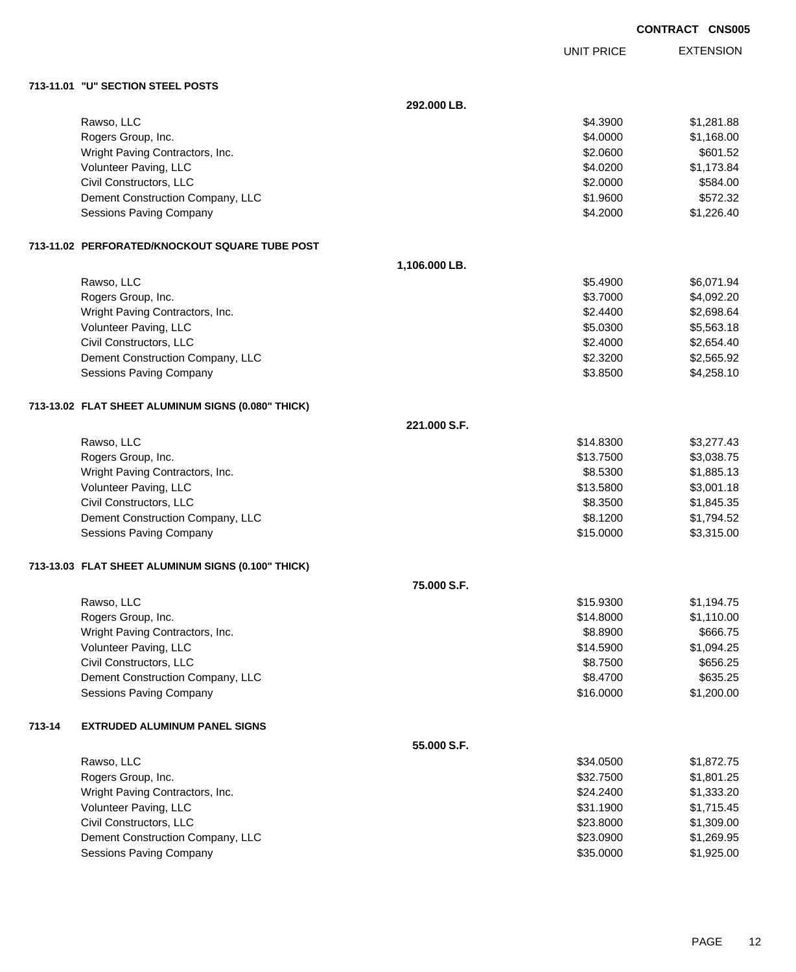EXTENSION UNIT PRICE

#### **713-11.01 "U" SECTION STEEL POSTS**

|        |                                                    | 292.000 LB.   |           |            |
|--------|----------------------------------------------------|---------------|-----------|------------|
|        | Rawso, LLC                                         |               | \$4.3900  | \$1,281.88 |
|        | Rogers Group, Inc.                                 |               | \$4.0000  | \$1,168.00 |
|        | Wright Paving Contractors, Inc.                    |               | \$2.0600  | \$601.52   |
|        | Volunteer Paving, LLC                              |               | \$4.0200  | \$1,173.84 |
|        | Civil Constructors, LLC                            |               | \$2.0000  | \$584.00   |
|        | Dement Construction Company, LLC                   |               | \$1.9600  | \$572.32   |
|        | Sessions Paving Company                            |               | \$4.2000  | \$1,226.40 |
|        | 713-11.02 PERFORATED/KNOCKOUT SQUARE TUBE POST     |               |           |            |
|        |                                                    | 1,106.000 LB. |           |            |
|        | Rawso, LLC                                         |               | \$5.4900  | \$6,071.94 |
|        | Rogers Group, Inc.                                 |               | \$3.7000  | \$4,092.20 |
|        | Wright Paving Contractors, Inc.                    |               | \$2.4400  | \$2,698.64 |
|        | Volunteer Paving, LLC                              |               | \$5.0300  | \$5,563.18 |
|        | Civil Constructors, LLC                            |               | \$2.4000  | \$2,654.40 |
|        | Dement Construction Company, LLC                   |               | \$2.3200  | \$2,565.92 |
|        | Sessions Paving Company                            |               | \$3.8500  | \$4,258.10 |
|        | 713-13.02 FLAT SHEET ALUMINUM SIGNS (0.080" THICK) |               |           |            |
|        |                                                    | 221.000 S.F.  |           |            |
|        | Rawso, LLC                                         |               | \$14.8300 | \$3,277.43 |
|        | Rogers Group, Inc.                                 |               | \$13.7500 | \$3,038.75 |
|        | Wright Paving Contractors, Inc.                    |               | \$8.5300  | \$1,885.13 |
|        | Volunteer Paving, LLC                              |               | \$13.5800 | \$3,001.18 |
|        | Civil Constructors, LLC                            |               | \$8.3500  | \$1,845.35 |
|        | Dement Construction Company, LLC                   |               | \$8.1200  | \$1,794.52 |
|        | Sessions Paving Company                            |               | \$15.0000 | \$3,315.00 |
|        | 713-13.03 FLAT SHEET ALUMINUM SIGNS (0.100" THICK) |               |           |            |
|        |                                                    | 75.000 S.F.   |           |            |
|        | Rawso, LLC                                         |               | \$15.9300 | \$1,194.75 |
|        | Rogers Group, Inc.                                 |               | \$14.8000 | \$1,110.00 |
|        | Wright Paving Contractors, Inc.                    |               | \$8.8900  | \$666.75   |
|        | Volunteer Paving, LLC                              |               | \$14.5900 | \$1,094.25 |
|        | Civil Constructors, LLC                            |               | \$8.7500  | \$656.25   |
|        | Dement Construction Company, LLC                   |               | \$8.4700  | \$635.25   |
|        | <b>Sessions Paving Company</b>                     |               | \$16.0000 | \$1,200.00 |
| 713-14 | <b>EXTRUDED ALUMINUM PANEL SIGNS</b>               |               |           |            |
|        |                                                    | 55.000 S.F.   |           |            |
|        | Rawso, LLC                                         |               | \$34.0500 | \$1,872.75 |
|        | Rogers Group, Inc.                                 |               | \$32.7500 | \$1,801.25 |
|        | Wright Paving Contractors, Inc.                    |               | \$24.2400 | \$1,333.20 |
|        | Volunteer Paving, LLC                              |               | \$31.1900 | \$1,715.45 |
|        | Civil Constructors, LLC                            |               | \$23.8000 | \$1,309.00 |
|        | Dement Construction Company, LLC                   |               | \$23.0900 | \$1,269.95 |
|        | Sessions Paving Company                            |               | \$35.0000 | \$1,925.00 |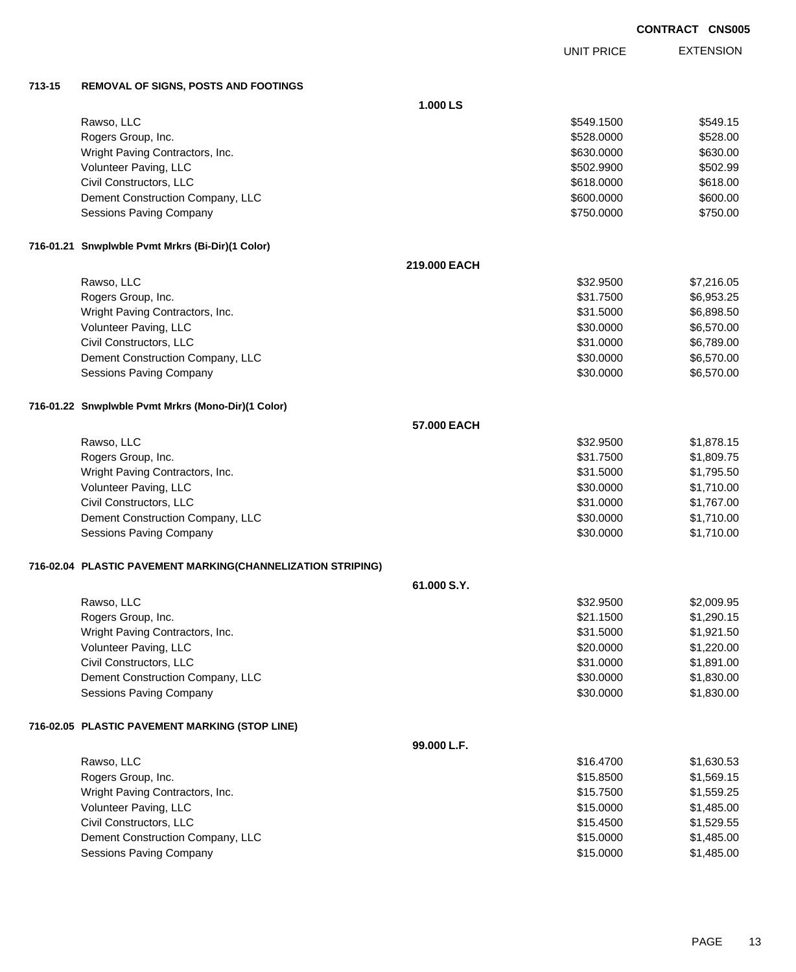EXTENSION UNIT PRICE

### **713-15 REMOVAL OF SIGNS, POSTS AND FOOTINGS**

|                                                             | 1.000 LS     |            |            |
|-------------------------------------------------------------|--------------|------------|------------|
| Rawso, LLC                                                  |              | \$549.1500 | \$549.15   |
| Rogers Group, Inc.                                          |              | \$528.0000 | \$528.00   |
| Wright Paving Contractors, Inc.                             |              | \$630.0000 | \$630.00   |
| Volunteer Paving, LLC                                       |              | \$502.9900 | \$502.99   |
| Civil Constructors, LLC                                     |              | \$618.0000 | \$618.00   |
| Dement Construction Company, LLC                            |              | \$600.0000 | \$600.00   |
| Sessions Paving Company                                     |              | \$750.0000 | \$750.00   |
| 716-01.21 Snwplwble Pvmt Mrkrs (Bi-Dir)(1 Color)            |              |            |            |
|                                                             | 219.000 EACH |            |            |
| Rawso, LLC                                                  |              | \$32.9500  | \$7,216.05 |
| Rogers Group, Inc.                                          |              | \$31.7500  | \$6,953.25 |
| Wright Paving Contractors, Inc.                             |              | \$31.5000  | \$6,898.50 |
| Volunteer Paving, LLC                                       |              | \$30.0000  | \$6,570.00 |
| Civil Constructors, LLC                                     |              | \$31.0000  | \$6,789.00 |
| Dement Construction Company, LLC                            |              | \$30.0000  | \$6,570.00 |
| Sessions Paving Company                                     |              | \$30.0000  | \$6,570.00 |
| 716-01.22 Snwplwble Pvmt Mrkrs (Mono-Dir)(1 Color)          |              |            |            |
|                                                             | 57.000 EACH  |            |            |
| Rawso, LLC                                                  |              | \$32.9500  | \$1,878.15 |
| Rogers Group, Inc.                                          |              | \$31.7500  | \$1,809.75 |
| Wright Paving Contractors, Inc.                             |              | \$31.5000  | \$1,795.50 |
| Volunteer Paving, LLC                                       |              | \$30.0000  | \$1,710.00 |
| Civil Constructors, LLC                                     |              | \$31.0000  | \$1,767.00 |
| Dement Construction Company, LLC                            |              | \$30.0000  | \$1,710.00 |
| Sessions Paving Company                                     |              | \$30.0000  | \$1,710.00 |
| 716-02.04 PLASTIC PAVEMENT MARKING(CHANNELIZATION STRIPING) |              |            |            |
|                                                             | 61.000 S.Y.  |            |            |
| Rawso, LLC                                                  |              | \$32.9500  | \$2,009.95 |
| Rogers Group, Inc.                                          |              | \$21.1500  | \$1,290.15 |
| Wright Paving Contractors, Inc.                             |              | \$31.5000  | \$1,921.50 |
| Volunteer Paving, LLC                                       |              | \$20.0000  | \$1,220.00 |
| Civil Constructors, LLC                                     |              | \$31.0000  | \$1,891.00 |
| Dement Construction Company, LLC                            |              | \$30.0000  | \$1,830.00 |
| <b>Sessions Paving Company</b>                              |              | \$30.0000  | \$1,830.00 |
| 716-02.05 PLASTIC PAVEMENT MARKING (STOP LINE)              |              |            |            |
|                                                             | 99.000 L.F.  |            |            |
| Rawso, LLC                                                  |              | \$16.4700  | \$1,630.53 |
| Rogers Group, Inc.                                          |              | \$15.8500  | \$1,569.15 |
| Wright Paving Contractors, Inc.                             |              | \$15.7500  | \$1,559.25 |
| Volunteer Paving, LLC                                       |              | \$15.0000  | \$1,485.00 |
| Civil Constructors, LLC                                     |              | \$15.4500  | \$1,529.55 |
| Dement Construction Company, LLC                            |              | \$15.0000  | \$1,485.00 |
| Sessions Paving Company                                     |              | \$15.0000  | \$1,485.00 |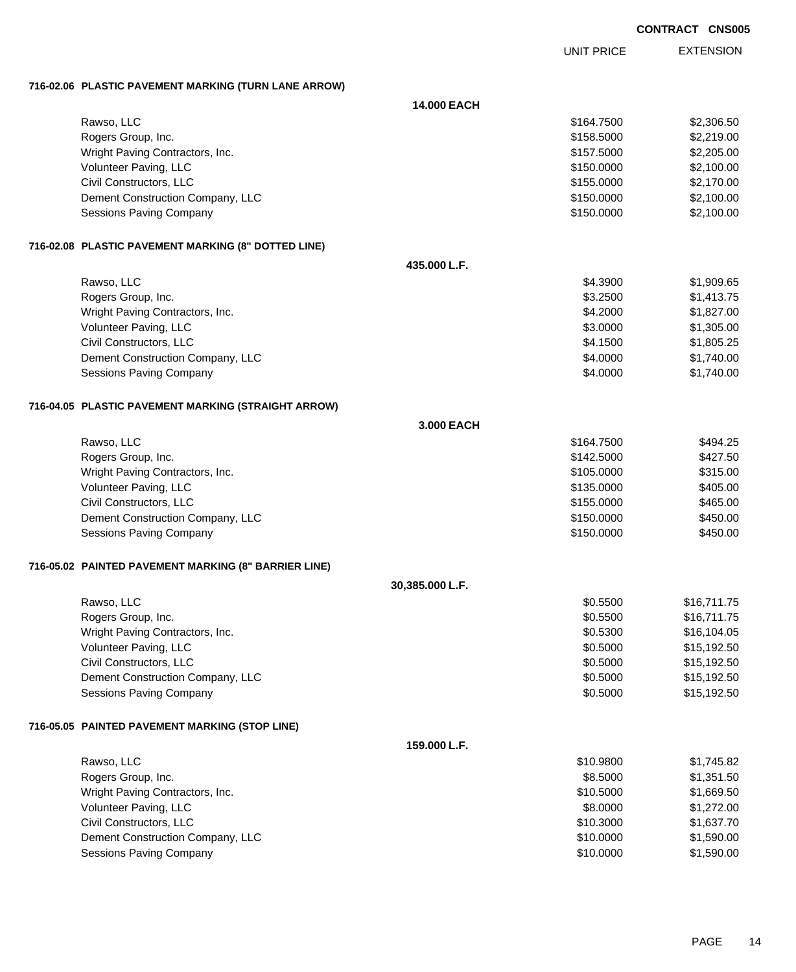EXTENSION UNIT PRICE

### **716-02.06 PLASTIC PAVEMENT MARKING (TURN LANE ARROW)**

|                                                      | 14.000 EACH     |            |             |
|------------------------------------------------------|-----------------|------------|-------------|
| Rawso, LLC                                           |                 | \$164.7500 | \$2,306.50  |
| Rogers Group, Inc.                                   |                 | \$158.5000 | \$2,219.00  |
| Wright Paving Contractors, Inc.                      |                 | \$157.5000 | \$2,205.00  |
| Volunteer Paving, LLC                                |                 | \$150.0000 | \$2,100.00  |
| Civil Constructors, LLC                              |                 | \$155.0000 | \$2,170.00  |
| Dement Construction Company, LLC                     |                 | \$150.0000 | \$2,100.00  |
| Sessions Paving Company                              |                 | \$150.0000 | \$2,100.00  |
| 716-02.08 PLASTIC PAVEMENT MARKING (8" DOTTED LINE)  |                 |            |             |
|                                                      | 435.000 L.F.    |            |             |
| Rawso, LLC                                           |                 | \$4.3900   | \$1,909.65  |
| Rogers Group, Inc.                                   |                 | \$3.2500   | \$1,413.75  |
| Wright Paving Contractors, Inc.                      |                 | \$4.2000   | \$1,827.00  |
| Volunteer Paving, LLC                                |                 | \$3.0000   | \$1,305.00  |
| Civil Constructors, LLC                              |                 | \$4.1500   | \$1,805.25  |
| Dement Construction Company, LLC                     |                 | \$4.0000   | \$1,740.00  |
| Sessions Paving Company                              |                 | \$4.0000   | \$1,740.00  |
| 716-04.05 PLASTIC PAVEMENT MARKING (STRAIGHT ARROW)  |                 |            |             |
|                                                      | 3.000 EACH      |            |             |
| Rawso, LLC                                           |                 | \$164.7500 | \$494.25    |
| Rogers Group, Inc.                                   |                 | \$142.5000 | \$427.50    |
| Wright Paving Contractors, Inc.                      |                 | \$105.0000 | \$315.00    |
| Volunteer Paving, LLC                                |                 | \$135.0000 | \$405.00    |
| Civil Constructors, LLC                              |                 | \$155.0000 | \$465.00    |
| Dement Construction Company, LLC                     |                 | \$150.0000 | \$450.00    |
| Sessions Paving Company                              |                 | \$150.0000 | \$450.00    |
| 716-05.02 PAINTED PAVEMENT MARKING (8" BARRIER LINE) |                 |            |             |
|                                                      | 30,385.000 L.F. |            |             |
| Rawso, LLC                                           |                 | \$0.5500   | \$16,711.75 |
| Rogers Group, Inc.                                   |                 | \$0.5500   | \$16,711.75 |
| Wright Paving Contractors, Inc.                      |                 | \$0.5300   | \$16,104.05 |
| Volunteer Paving, LLC                                |                 | \$0.5000   | \$15,192.50 |
| Civil Constructors, LLC                              |                 | \$0.5000   | \$15,192.50 |
| Dement Construction Company, LLC                     |                 | \$0.5000   | \$15,192.50 |
| Sessions Paving Company                              |                 | \$0.5000   | \$15,192.50 |
| 716-05.05 PAINTED PAVEMENT MARKING (STOP LINE)       |                 |            |             |
|                                                      | 159.000 L.F.    |            |             |
| Rawso, LLC                                           |                 | \$10.9800  | \$1,745.82  |
| Rogers Group, Inc.                                   |                 | \$8.5000   | \$1,351.50  |
| Wright Paving Contractors, Inc.                      |                 | \$10.5000  | \$1,669.50  |
| Volunteer Paving, LLC                                |                 | \$8.0000   | \$1,272.00  |
| Civil Constructors, LLC                              |                 | \$10.3000  | \$1,637.70  |
| Dement Construction Company, LLC                     |                 | \$10.0000  | \$1,590.00  |
| Sessions Paving Company                              |                 | \$10.0000  | \$1,590.00  |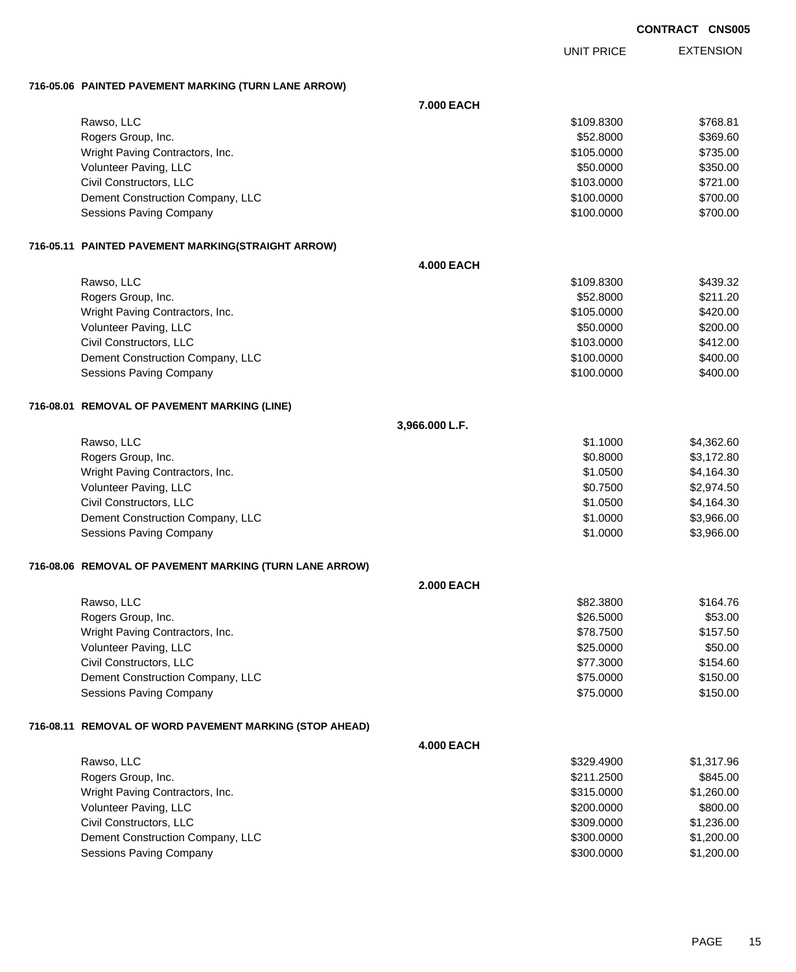UNIT PRICE EXTENSION

### **716-05.06 PAINTED PAVEMENT MARKING (TURN LANE ARROW)**

|                                                         | 7.000 EACH        |            |            |
|---------------------------------------------------------|-------------------|------------|------------|
| Rawso, LLC                                              |                   | \$109.8300 | \$768.81   |
| Rogers Group, Inc.                                      |                   | \$52.8000  | \$369.60   |
| Wright Paving Contractors, Inc.                         |                   | \$105.0000 | \$735.00   |
| Volunteer Paving, LLC                                   |                   | \$50.0000  | \$350.00   |
| Civil Constructors, LLC                                 |                   | \$103.0000 | \$721.00   |
| Dement Construction Company, LLC                        |                   | \$100.0000 | \$700.00   |
| Sessions Paving Company                                 |                   | \$100.0000 | \$700.00   |
| 716-05.11 PAINTED PAVEMENT MARKING(STRAIGHT ARROW)      |                   |            |            |
|                                                         | <b>4.000 EACH</b> |            |            |
| Rawso, LLC                                              |                   | \$109.8300 | \$439.32   |
| Rogers Group, Inc.                                      |                   | \$52.8000  | \$211.20   |
| Wright Paving Contractors, Inc.                         |                   | \$105.0000 | \$420.00   |
| Volunteer Paving, LLC                                   |                   | \$50.0000  | \$200.00   |
| Civil Constructors, LLC                                 |                   | \$103.0000 | \$412.00   |
| Dement Construction Company, LLC                        |                   | \$100.0000 | \$400.00   |
| Sessions Paving Company                                 |                   | \$100.0000 | \$400.00   |
| 716-08.01 REMOVAL OF PAVEMENT MARKING (LINE)            |                   |            |            |
|                                                         | 3,966.000 L.F.    |            |            |
| Rawso, LLC                                              |                   | \$1.1000   | \$4,362.60 |
| Rogers Group, Inc.                                      |                   | \$0.8000   | \$3,172.80 |
| Wright Paving Contractors, Inc.                         |                   | \$1.0500   | \$4,164.30 |
| Volunteer Paving, LLC                                   |                   | \$0.7500   | \$2,974.50 |
| Civil Constructors, LLC                                 |                   | \$1.0500   | \$4,164.30 |
| Dement Construction Company, LLC                        |                   | \$1.0000   | \$3,966.00 |
| Sessions Paving Company                                 |                   | \$1.0000   | \$3,966.00 |
| 716-08.06 REMOVAL OF PAVEMENT MARKING (TURN LANE ARROW) |                   |            |            |
|                                                         | <b>2.000 EACH</b> |            |            |
| Rawso, LLC                                              |                   | \$82.3800  | \$164.76   |
| Rogers Group, Inc.                                      |                   | \$26.5000  | \$53.00    |
| Wright Paving Contractors, Inc.                         |                   | \$78.7500  | \$157.50   |
| Volunteer Paving, LLC                                   |                   | \$25.0000  | \$50.00    |
| Civil Constructors, LLC                                 |                   | \$77.3000  | \$154.60   |
| Dement Construction Company, LLC                        |                   | \$75.0000  | \$150.00   |
| <b>Sessions Paving Company</b>                          |                   | \$75.0000  | \$150.00   |
| 716-08.11 REMOVAL OF WORD PAVEMENT MARKING (STOP AHEAD) |                   |            |            |
|                                                         | <b>4.000 EACH</b> |            |            |
| Rawso, LLC                                              |                   | \$329.4900 | \$1,317.96 |
| Rogers Group, Inc.                                      |                   | \$211.2500 | \$845.00   |
| Wright Paving Contractors, Inc.                         |                   | \$315.0000 | \$1,260.00 |
| Volunteer Paving, LLC                                   |                   | \$200.0000 | \$800.00   |
| Civil Constructors, LLC                                 |                   | \$309.0000 | \$1,236.00 |
| Dement Construction Company, LLC                        |                   | \$300.0000 | \$1,200.00 |
| <b>Sessions Paving Company</b>                          |                   | \$300.0000 | \$1,200.00 |
|                                                         |                   |            |            |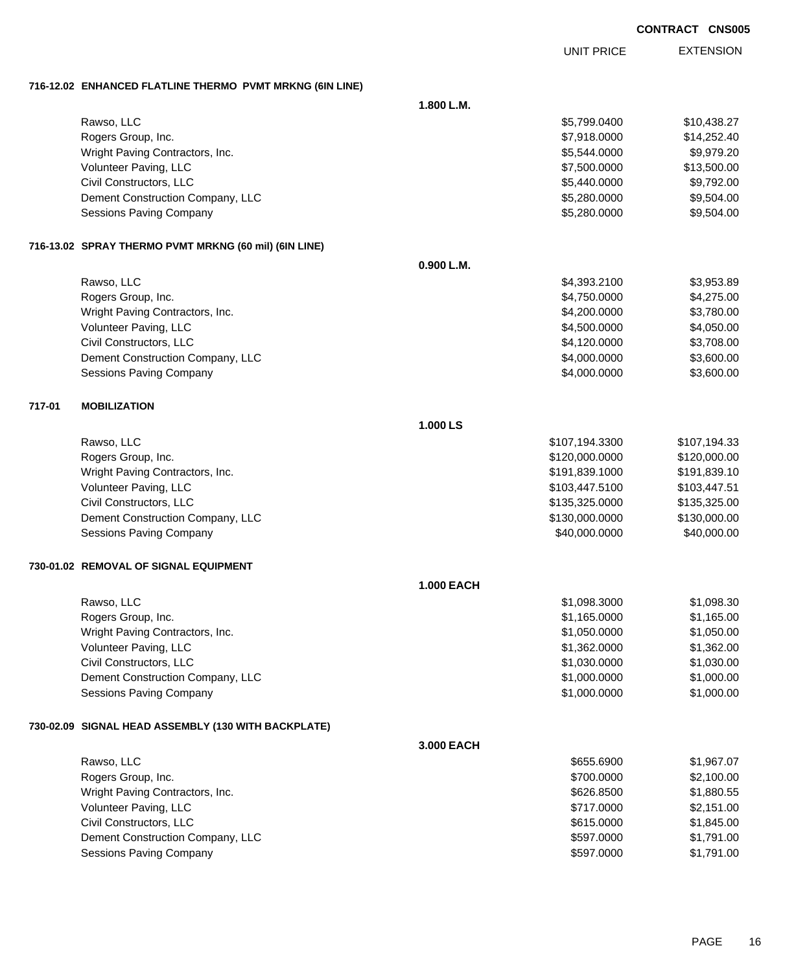UNIT PRICE

EXTENSION

**716-12.02 ENHANCED FLATLINE THERMO PVMT MRKNG (6IN LINE)**

|        | <b>ENTRINGED LEATERS THERWOLF FWILL MISSING (VIR</b>  |                   |                |              |
|--------|-------------------------------------------------------|-------------------|----------------|--------------|
|        |                                                       | 1.800 L.M.        |                |              |
|        | Rawso, LLC                                            |                   | \$5,799.0400   | \$10,438.27  |
|        | Rogers Group, Inc.                                    |                   | \$7,918.0000   | \$14,252.40  |
|        | Wright Paving Contractors, Inc.                       |                   | \$5,544.0000   | \$9,979.20   |
|        | Volunteer Paving, LLC                                 |                   | \$7,500.0000   | \$13,500.00  |
|        | Civil Constructors, LLC                               |                   | \$5,440.0000   | \$9,792.00   |
|        | Dement Construction Company, LLC                      |                   | \$5,280.0000   | \$9,504.00   |
|        | Sessions Paving Company                               |                   | \$5,280.0000   | \$9,504.00   |
|        | 716-13.02 SPRAY THERMO PVMT MRKNG (60 mil) (6IN LINE) |                   |                |              |
|        |                                                       | 0.900 L.M.        |                |              |
|        | Rawso, LLC                                            |                   | \$4,393.2100   | \$3,953.89   |
|        | Rogers Group, Inc.                                    |                   | \$4,750.0000   | \$4,275.00   |
|        | Wright Paving Contractors, Inc.                       |                   | \$4,200.0000   | \$3,780.00   |
|        | Volunteer Paving, LLC                                 |                   | \$4,500.0000   | \$4,050.00   |
|        | Civil Constructors, LLC                               |                   | \$4,120.0000   | \$3,708.00   |
|        | Dement Construction Company, LLC                      |                   | \$4,000.0000   | \$3,600.00   |
|        | Sessions Paving Company                               |                   | \$4,000.0000   | \$3,600.00   |
| 717-01 | <b>MOBILIZATION</b>                                   |                   |                |              |
|        |                                                       | 1.000 LS          |                |              |
|        | Rawso, LLC                                            |                   | \$107,194.3300 | \$107,194.33 |
|        | Rogers Group, Inc.                                    |                   | \$120,000.0000 | \$120,000.00 |
|        | Wright Paving Contractors, Inc.                       |                   | \$191,839.1000 | \$191,839.10 |
|        | Volunteer Paving, LLC                                 |                   | \$103,447.5100 | \$103,447.51 |
|        | Civil Constructors, LLC                               |                   | \$135,325.0000 | \$135,325.00 |
|        | Dement Construction Company, LLC                      |                   | \$130,000.0000 | \$130,000.00 |
|        | Sessions Paving Company                               |                   | \$40,000.0000  | \$40,000.00  |
|        | 730-01.02 REMOVAL OF SIGNAL EQUIPMENT                 |                   |                |              |
|        |                                                       | <b>1.000 EACH</b> |                |              |
|        | Rawso, LLC                                            |                   | \$1,098.3000   | \$1,098.30   |
|        | Rogers Group, Inc.                                    |                   | \$1,165.0000   | \$1,165.00   |
|        | Wright Paving Contractors, Inc.                       |                   | \$1,050.0000   | \$1,050.00   |
|        | Volunteer Paving, LLC                                 |                   | \$1,362.0000   | \$1,362.00   |
|        | Civil Constructors, LLC                               |                   | \$1,030.0000   | \$1,030.00   |
|        | Dement Construction Company, LLC                      |                   | \$1,000.0000   | \$1,000.00   |
|        | Sessions Paving Company                               |                   | \$1,000.0000   | \$1,000.00   |
|        | 730-02.09 SIGNAL HEAD ASSEMBLY (130 WITH BACKPLATE)   |                   |                |              |
|        |                                                       | 3.000 EACH        |                |              |
|        | Rawso, LLC                                            |                   | \$655.6900     | \$1,967.07   |
|        | Rogers Group, Inc.                                    |                   | \$700.0000     | \$2,100.00   |
|        | Wright Paving Contractors, Inc.                       |                   | \$626.8500     | \$1,880.55   |
|        | Volunteer Paving, LLC                                 |                   | \$717.0000     | \$2,151.00   |
|        | Civil Constructors, LLC                               |                   | \$615.0000     | \$1,845.00   |
|        | Dement Construction Company, LLC                      |                   | \$597.0000     | \$1,791.00   |
|        | Sessions Paving Company                               |                   | \$597.0000     | \$1,791.00   |
|        |                                                       |                   |                |              |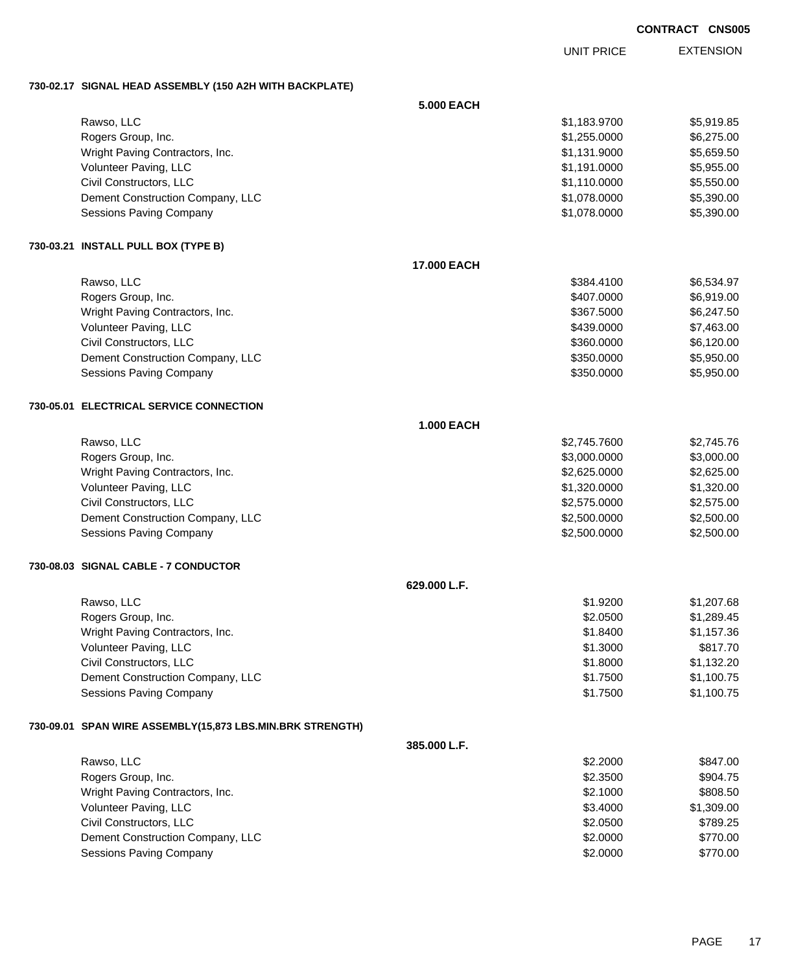EXTENSION UNIT PRICE

### **730-02.17 SIGNAL HEAD ASSEMBLY (150 A2H WITH BACKPLATE)**

|                                                           | <b>5.000 EACH</b> |              |            |
|-----------------------------------------------------------|-------------------|--------------|------------|
| Rawso, LLC                                                |                   | \$1,183.9700 | \$5,919.85 |
| Rogers Group, Inc.                                        |                   | \$1,255.0000 | \$6,275.00 |
| Wright Paving Contractors, Inc.                           |                   | \$1,131.9000 | \$5,659.50 |
| Volunteer Paving, LLC                                     |                   | \$1,191.0000 | \$5,955.00 |
| Civil Constructors, LLC                                   |                   | \$1,110.0000 | \$5,550.00 |
| Dement Construction Company, LLC                          |                   | \$1,078.0000 | \$5,390.00 |
| Sessions Paving Company                                   |                   | \$1,078.0000 | \$5,390.00 |
| 730-03.21 INSTALL PULL BOX (TYPE B)                       |                   |              |            |
|                                                           | 17.000 EACH       |              |            |
| Rawso, LLC                                                |                   | \$384.4100   | \$6,534.97 |
| Rogers Group, Inc.                                        |                   | \$407.0000   | \$6,919.00 |
| Wright Paving Contractors, Inc.                           |                   | \$367.5000   | \$6,247.50 |
| Volunteer Paving, LLC                                     |                   | \$439.0000   | \$7,463.00 |
| Civil Constructors, LLC                                   |                   | \$360.0000   | \$6,120.00 |
| Dement Construction Company, LLC                          |                   | \$350.0000   | \$5,950.00 |
| Sessions Paving Company                                   |                   | \$350.0000   | \$5,950.00 |
| 730-05.01 ELECTRICAL SERVICE CONNECTION                   |                   |              |            |
|                                                           | <b>1.000 EACH</b> |              |            |
| Rawso, LLC                                                |                   | \$2,745.7600 | \$2,745.76 |
| Rogers Group, Inc.                                        |                   | \$3,000.0000 | \$3,000.00 |
| Wright Paving Contractors, Inc.                           |                   | \$2,625.0000 | \$2,625.00 |
| Volunteer Paving, LLC                                     |                   | \$1,320.0000 | \$1,320.00 |
| Civil Constructors, LLC                                   |                   | \$2,575.0000 | \$2,575.00 |
| Dement Construction Company, LLC                          |                   | \$2,500.0000 | \$2,500.00 |
| Sessions Paving Company                                   |                   | \$2,500.0000 | \$2,500.00 |
| 730-08.03 SIGNAL CABLE - 7 CONDUCTOR                      |                   |              |            |
|                                                           | 629.000 L.F.      |              |            |
| Rawso, LLC                                                |                   | \$1.9200     | \$1,207.68 |
| Rogers Group, Inc.                                        |                   | \$2.0500     | \$1,289.45 |
| Wright Paving Contractors, Inc.                           |                   | \$1.8400     | \$1,157.36 |
| Volunteer Paving, LLC                                     |                   | \$1.3000     | \$817.70   |
| Civil Constructors, LLC                                   |                   | \$1.8000     | \$1,132.20 |
| Dement Construction Company, LLC                          |                   | \$1.7500     | \$1,100.75 |
| <b>Sessions Paving Company</b>                            |                   | \$1.7500     | \$1,100.75 |
| 730-09.01 SPAN WIRE ASSEMBLY(15,873 LBS.MIN.BRK STRENGTH) |                   |              |            |
|                                                           | 385.000 L.F.      |              |            |
| Rawso, LLC                                                |                   | \$2.2000     | \$847.00   |
| Rogers Group, Inc.                                        |                   | \$2.3500     | \$904.75   |
| Wright Paving Contractors, Inc.                           |                   | \$2.1000     | \$808.50   |
| Volunteer Paving, LLC                                     |                   | \$3.4000     | \$1,309.00 |
| Civil Constructors, LLC                                   |                   | \$2.0500     | \$789.25   |
| Dement Construction Company, LLC                          |                   | \$2.0000     | \$770.00   |
| <b>Sessions Paving Company</b>                            |                   | \$2.0000     | \$770.00   |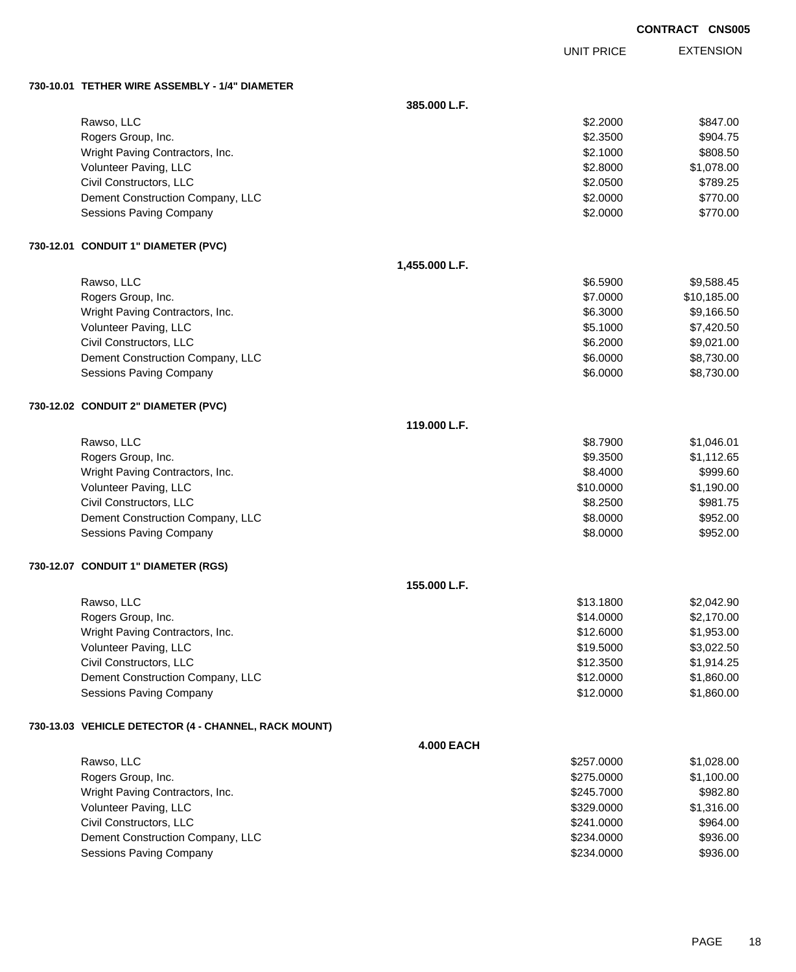EXTENSION UNIT PRICE

#### **730-10.01 TETHER WIRE ASSEMBLY - 1/4" DIAMETER**

|                                                      | 385.000 L.F.      |            |             |
|------------------------------------------------------|-------------------|------------|-------------|
| Rawso, LLC                                           |                   | \$2.2000   | \$847.00    |
| Rogers Group, Inc.                                   |                   | \$2.3500   | \$904.75    |
| Wright Paving Contractors, Inc.                      |                   | \$2.1000   | \$808.50    |
| Volunteer Paving, LLC                                |                   | \$2.8000   | \$1,078.00  |
| Civil Constructors, LLC                              |                   | \$2.0500   | \$789.25    |
| Dement Construction Company, LLC                     |                   | \$2.0000   | \$770.00    |
| Sessions Paving Company                              |                   | \$2.0000   | \$770.00    |
| 730-12.01 CONDUIT 1" DIAMETER (PVC)                  |                   |            |             |
|                                                      | 1,455.000 L.F.    |            |             |
| Rawso, LLC                                           |                   | \$6.5900   | \$9,588.45  |
| Rogers Group, Inc.                                   |                   | \$7.0000   | \$10,185.00 |
| Wright Paving Contractors, Inc.                      |                   | \$6.3000   | \$9,166.50  |
| Volunteer Paving, LLC                                |                   | \$5.1000   | \$7,420.50  |
| Civil Constructors, LLC                              |                   | \$6.2000   | \$9,021.00  |
| Dement Construction Company, LLC                     |                   | \$6.0000   | \$8,730.00  |
| Sessions Paving Company                              |                   | \$6.0000   | \$8,730.00  |
| 730-12.02 CONDUIT 2" DIAMETER (PVC)                  |                   |            |             |
|                                                      | 119.000 L.F.      |            |             |
| Rawso, LLC                                           |                   | \$8.7900   | \$1,046.01  |
| Rogers Group, Inc.                                   |                   | \$9.3500   | \$1,112.65  |
| Wright Paving Contractors, Inc.                      |                   | \$8.4000   | \$999.60    |
| Volunteer Paving, LLC                                |                   | \$10.0000  | \$1,190.00  |
| Civil Constructors, LLC                              |                   | \$8.2500   | \$981.75    |
| Dement Construction Company, LLC                     |                   | \$8.0000   | \$952.00    |
| Sessions Paving Company                              |                   | \$8.0000   | \$952.00    |
| 730-12.07 CONDUIT 1" DIAMETER (RGS)                  |                   |            |             |
|                                                      | 155.000 L.F.      |            |             |
| Rawso, LLC                                           |                   | \$13.1800  | \$2,042.90  |
| Rogers Group, Inc.                                   |                   | \$14.0000  | \$2,170.00  |
| Wright Paving Contractors, Inc.                      |                   | \$12.6000  | \$1,953.00  |
| Volunteer Paving, LLC                                |                   | \$19.5000  | \$3,022.50  |
| Civil Constructors, LLC                              |                   | \$12.3500  | \$1,914.25  |
| Dement Construction Company, LLC                     |                   | \$12.0000  | \$1,860.00  |
| Sessions Paving Company                              |                   | \$12.0000  | \$1,860.00  |
| 730-13.03 VEHICLE DETECTOR (4 - CHANNEL, RACK MOUNT) |                   |            |             |
|                                                      | <b>4.000 EACH</b> |            |             |
| Rawso, LLC                                           |                   | \$257.0000 | \$1,028.00  |
| Rogers Group, Inc.                                   |                   | \$275.0000 | \$1,100.00  |
| Wright Paving Contractors, Inc.                      |                   | \$245.7000 | \$982.80    |
| Volunteer Paving, LLC                                |                   | \$329.0000 | \$1,316.00  |
| Civil Constructors, LLC                              |                   | \$241.0000 | \$964.00    |
| Dement Construction Company, LLC                     |                   | \$234.0000 | \$936.00    |
| Sessions Paving Company                              |                   | \$234.0000 | \$936.00    |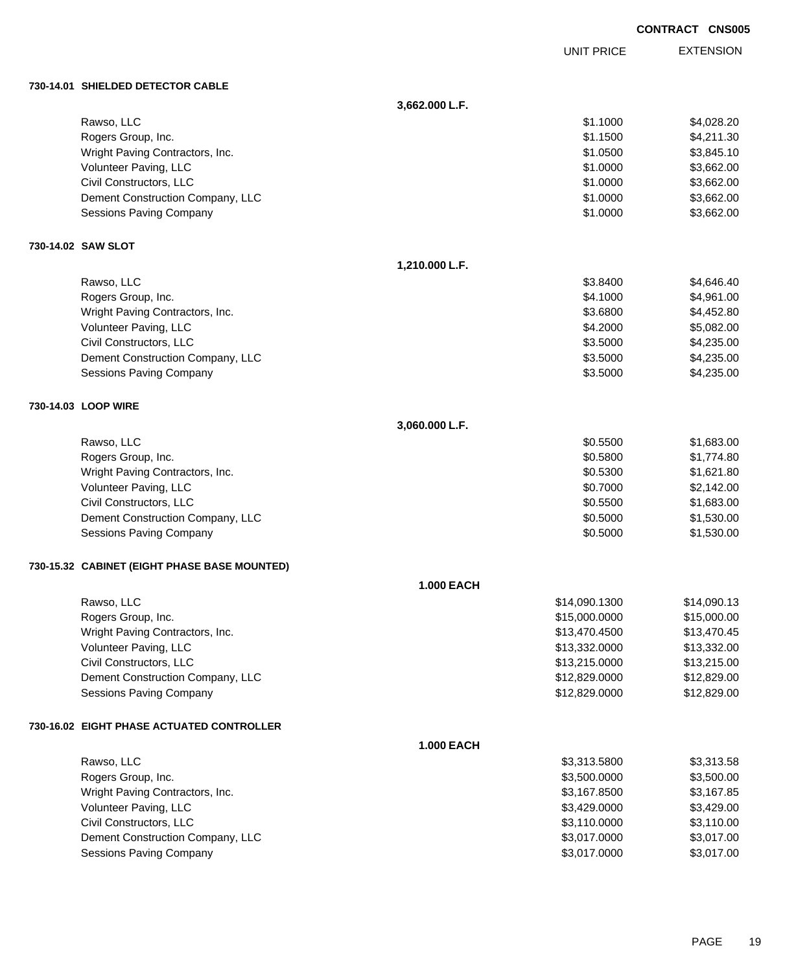|  | <b>CONTRACT CNS005</b> |
|--|------------------------|
|  |                        |

EXTENSION UNIT PRICE

#### **730-14.0**

| 730-14.01 SHIELDED DETECTOR CABLE            |                   |               |             |
|----------------------------------------------|-------------------|---------------|-------------|
|                                              | 3,662.000 L.F.    |               |             |
| Rawso, LLC                                   |                   | \$1.1000      | \$4,028.20  |
| Rogers Group, Inc.                           |                   | \$1.1500      | \$4,211.30  |
| Wright Paving Contractors, Inc.              |                   | \$1.0500      | \$3,845.10  |
| Volunteer Paving, LLC                        |                   | \$1.0000      | \$3,662.00  |
| Civil Constructors, LLC                      |                   | \$1.0000      | \$3,662.00  |
| Dement Construction Company, LLC             |                   | \$1.0000      | \$3,662.00  |
| <b>Sessions Paving Company</b>               |                   | \$1.0000      | \$3,662.00  |
| 730-14.02 SAW SLOT                           |                   |               |             |
|                                              | 1,210.000 L.F.    |               |             |
| Rawso, LLC                                   |                   | \$3.8400      | \$4,646.40  |
| Rogers Group, Inc.                           |                   | \$4.1000      | \$4,961.00  |
| Wright Paving Contractors, Inc.              |                   | \$3.6800      | \$4,452.80  |
| Volunteer Paving, LLC                        |                   | \$4.2000      | \$5,082.00  |
| Civil Constructors, LLC                      |                   | \$3.5000      | \$4,235.00  |
| Dement Construction Company, LLC             |                   | \$3.5000      | \$4,235.00  |
| <b>Sessions Paving Company</b>               |                   | \$3.5000      | \$4,235.00  |
| 730-14.03 LOOP WIRE                          |                   |               |             |
|                                              | 3,060.000 L.F.    |               |             |
| Rawso, LLC                                   |                   | \$0.5500      | \$1,683.00  |
| Rogers Group, Inc.                           |                   | \$0.5800      | \$1,774.80  |
| Wright Paving Contractors, Inc.              |                   | \$0.5300      | \$1,621.80  |
| Volunteer Paving, LLC                        |                   | \$0.7000      | \$2,142.00  |
| Civil Constructors, LLC                      |                   | \$0.5500      | \$1,683.00  |
| Dement Construction Company, LLC             |                   | \$0.5000      | \$1,530.00  |
| Sessions Paving Company                      |                   | \$0.5000      | \$1,530.00  |
| 730-15.32 CABINET (EIGHT PHASE BASE MOUNTED) |                   |               |             |
|                                              | <b>1.000 EACH</b> |               |             |
| Rawso, LLC                                   |                   | \$14,090.1300 | \$14,090.13 |
| Rogers Group, Inc.                           |                   | \$15,000.0000 | \$15,000.00 |
| Wright Paving Contractors, Inc.              |                   | \$13,470.4500 | \$13,470.45 |
| Volunteer Paving, LLC                        |                   | \$13,332.0000 | \$13,332.00 |
| Civil Constructors, LLC                      |                   | \$13,215.0000 | \$13,215.00 |
| Dement Construction Company, LLC             |                   | \$12,829.0000 | \$12,829.00 |

### **730-16.02 EIGHT PHASE ACTUATED CONTROLLER**

|                                  | <b>1.000 EACH</b> |            |
|----------------------------------|-------------------|------------|
| Rawso, LLC                       | \$3.313.5800      | \$3,313,58 |
| Rogers Group, Inc.               | \$3,500.0000      | \$3,500.00 |
| Wright Paving Contractors, Inc.  | \$3,167.8500      | \$3,167.85 |
| Volunteer Paving, LLC            | \$3.429.0000      | \$3,429.00 |
| Civil Constructors, LLC          | \$3,110.0000      | \$3,110.00 |
| Dement Construction Company, LLC | \$3,017.0000      | \$3,017.00 |
| <b>Sessions Paving Company</b>   | \$3.017.0000      | \$3,017,00 |

Sessions Paving Company **\$12,829.000** \$12,829.000 \$12,829.000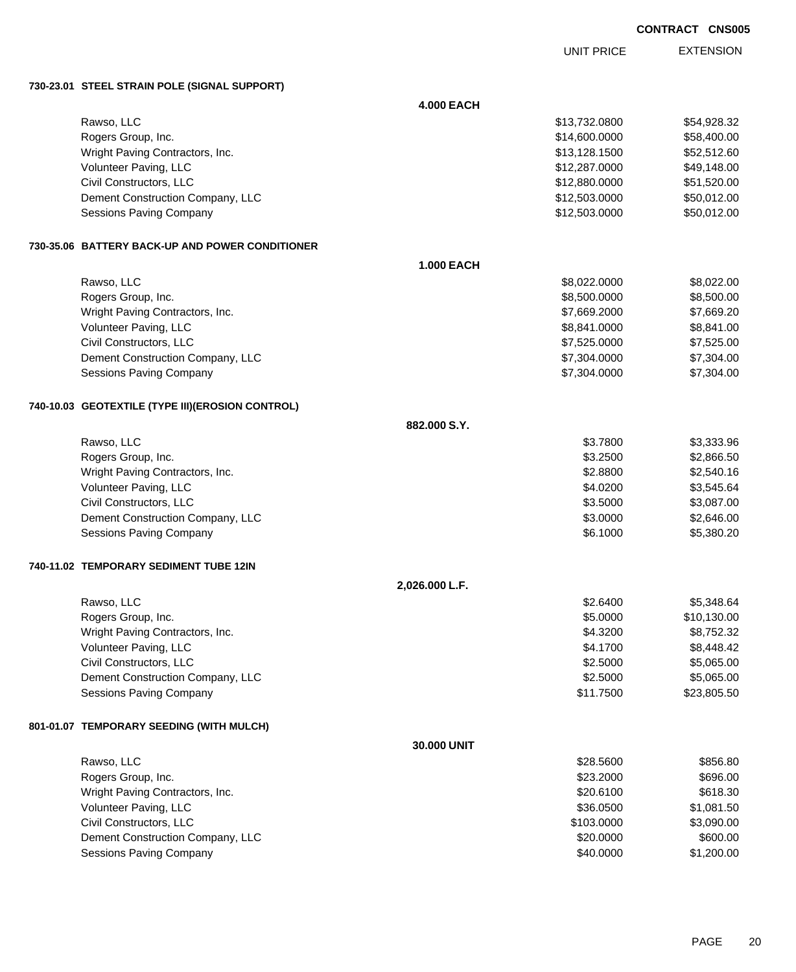UNIT PRICE

EXTENSION

**730-23.01 STEEL STRAIN POLE (SIGNAL SUPPORT)**

|                                                  | <b>4.000 EACH</b> |               |             |
|--------------------------------------------------|-------------------|---------------|-------------|
| Rawso, LLC                                       |                   | \$13,732.0800 | \$54,928.32 |
| Rogers Group, Inc.                               |                   | \$14,600.0000 | \$58,400.00 |
| Wright Paving Contractors, Inc.                  |                   | \$13,128.1500 | \$52,512.60 |
| Volunteer Paving, LLC                            |                   | \$12,287.0000 | \$49,148.00 |
| Civil Constructors, LLC                          |                   | \$12,880.0000 | \$51,520.00 |
| Dement Construction Company, LLC                 |                   | \$12,503.0000 | \$50,012.00 |
| Sessions Paving Company                          |                   | \$12,503.0000 | \$50,012.00 |
| 730-35.06 BATTERY BACK-UP AND POWER CONDITIONER  |                   |               |             |
|                                                  | <b>1.000 EACH</b> |               |             |
| Rawso, LLC                                       |                   | \$8,022.0000  | \$8,022.00  |
| Rogers Group, Inc.                               |                   | \$8,500.0000  | \$8,500.00  |
| Wright Paving Contractors, Inc.                  |                   | \$7,669.2000  | \$7,669.20  |
| Volunteer Paving, LLC                            |                   | \$8,841.0000  | \$8,841.00  |
| Civil Constructors, LLC                          |                   | \$7,525.0000  | \$7,525.00  |
| Dement Construction Company, LLC                 |                   | \$7,304.0000  | \$7,304.00  |
| Sessions Paving Company                          |                   | \$7,304.0000  | \$7,304.00  |
| 740-10.03 GEOTEXTILE (TYPE III)(EROSION CONTROL) |                   |               |             |
|                                                  | 882.000 S.Y.      |               |             |
| Rawso, LLC                                       |                   | \$3.7800      | \$3,333.96  |
| Rogers Group, Inc.                               |                   | \$3.2500      | \$2,866.50  |
| Wright Paving Contractors, Inc.                  |                   | \$2.8800      | \$2,540.16  |
| Volunteer Paving, LLC                            |                   | \$4.0200      | \$3,545.64  |
| Civil Constructors, LLC                          |                   | \$3.5000      | \$3,087.00  |
| Dement Construction Company, LLC                 |                   | \$3.0000      | \$2,646.00  |
| <b>Sessions Paving Company</b>                   |                   | \$6.1000      | \$5,380.20  |
| 740-11.02 TEMPORARY SEDIMENT TUBE 12IN           |                   |               |             |
|                                                  | 2,026.000 L.F.    |               |             |
| Rawso, LLC                                       |                   | \$2.6400      | \$5,348.64  |
| Rogers Group, Inc.                               |                   | \$5.0000      | \$10,130.00 |
| Wright Paving Contractors, Inc.                  |                   | \$4.3200      | \$8,752.32  |
| Volunteer Paving, LLC                            |                   | \$4.1700      | \$8,448.42  |
| Civil Constructors, LLC                          |                   | \$2.5000      | \$5,065.00  |
| Dement Construction Company, LLC                 |                   | \$2.5000      | \$5,065.00  |
| Sessions Paving Company                          |                   | \$11.7500     | \$23,805.50 |
| 801-01.07 TEMPORARY SEEDING (WITH MULCH)         |                   |               |             |
|                                                  | 30.000 UNIT       |               |             |
| Rawso, LLC                                       |                   | \$28.5600     | \$856.80    |
| Rogers Group, Inc.                               |                   | \$23.2000     | \$696.00    |
| Wright Paving Contractors, Inc.                  |                   | \$20.6100     | \$618.30    |
| Volunteer Paving, LLC                            |                   | \$36.0500     | \$1,081.50  |
| Civil Constructors, LLC                          |                   | \$103.0000    | \$3,090.00  |
| Dement Construction Company, LLC                 |                   | \$20.0000     | \$600.00    |
| Sessions Paving Company                          |                   | \$40.0000     | \$1,200.00  |
|                                                  |                   |               |             |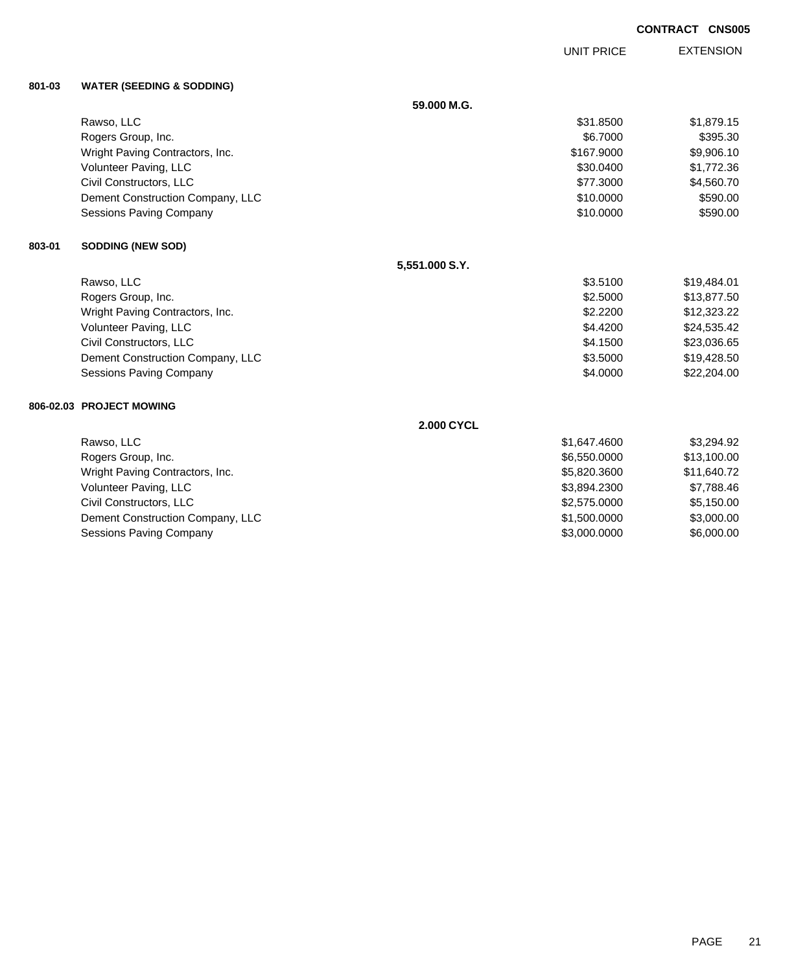EXTENSION UNIT PRICE

### **801-03 WATER (SEEDING & SODDING)**

|        |                                  | 59.000 M.G.       |              |             |
|--------|----------------------------------|-------------------|--------------|-------------|
|        | Rawso, LLC                       |                   | \$31,8500    | \$1,879.15  |
|        | Rogers Group, Inc.               |                   | \$6,7000     | \$395.30    |
|        | Wright Paving Contractors, Inc.  |                   | \$167,9000   | \$9,906.10  |
|        | Volunteer Paving, LLC            |                   | \$30.0400    | \$1,772.36  |
|        | Civil Constructors, LLC          |                   | \$77.3000    | \$4,560.70  |
|        | Dement Construction Company, LLC |                   | \$10.0000    | \$590.00    |
|        | <b>Sessions Paving Company</b>   |                   | \$10.0000    | \$590.00    |
| 803-01 | <b>SODDING (NEW SOD)</b>         |                   |              |             |
|        |                                  | 5,551.000 S.Y.    |              |             |
|        | Rawso, LLC                       |                   | \$3.5100     | \$19,484.01 |
|        | Rogers Group, Inc.               |                   | \$2.5000     | \$13,877.50 |
|        | Wright Paving Contractors, Inc.  |                   | \$2.2200     | \$12,323.22 |
|        | Volunteer Paving, LLC            |                   | \$4.4200     | \$24,535.42 |
|        | Civil Constructors, LLC          |                   | \$4.1500     | \$23,036.65 |
|        | Dement Construction Company, LLC |                   | \$3.5000     | \$19,428.50 |
|        | <b>Sessions Paving Company</b>   |                   | \$4.0000     | \$22,204.00 |
|        | 806-02.03 PROJECT MOWING         |                   |              |             |
|        |                                  | <b>2.000 CYCL</b> |              |             |
|        | Rawso, LLC                       |                   | \$1,647.4600 | \$3,294.92  |
|        | Rogers Group, Inc.               |                   | \$6,550.0000 | \$13,100.00 |
|        | Wright Paving Contractors, Inc.  |                   | \$5,820.3600 | \$11,640.72 |
|        | Volunteer Paving, LLC            |                   | \$3,894.2300 | \$7,788.46  |
|        | Civil Constructors, LLC          |                   | \$2,575.0000 | \$5,150.00  |
|        | Dement Construction Company, LLC |                   | \$1,500.0000 | \$3,000.00  |
|        | <b>Sessions Paving Company</b>   |                   | \$3,000.0000 | \$6,000.00  |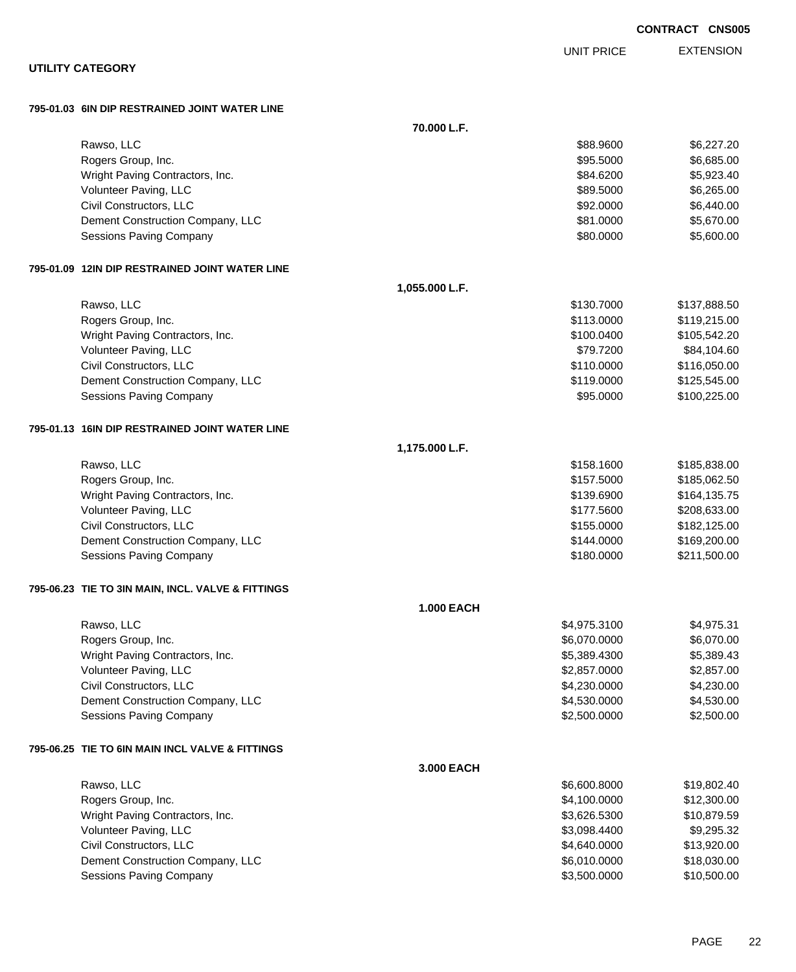| <b>UTILITY CATEGORY</b>                                            |                |                          |                              |
|--------------------------------------------------------------------|----------------|--------------------------|------------------------------|
| 795-01.03 6IN DIP RESTRAINED JOINT WATER LINE                      |                |                          |                              |
|                                                                    | 70.000 L.F.    |                          |                              |
| Rawso, LLC                                                         |                | \$88.9600                | \$6,227.20                   |
| Rogers Group, Inc.                                                 |                | \$95.5000                | \$6,685.00                   |
| Wright Paving Contractors, Inc.                                    |                | \$84.6200                | \$5,923.40                   |
| Volunteer Paving, LLC                                              |                | \$89.5000                | \$6,265.00                   |
| Civil Constructors, LLC                                            |                | \$92.0000                | \$6,440.00                   |
| Dement Construction Company, LLC                                   |                | \$81.0000                | \$5,670.00                   |
| Sessions Paving Company                                            |                | \$80.0000                | \$5,600.00                   |
| 795-01.09 12IN DIP RESTRAINED JOINT WATER LINE                     |                |                          |                              |
|                                                                    | 1,055.000 L.F. |                          |                              |
| Rawso, LLC                                                         |                | \$130.7000               | \$137,888.50                 |
| Rogers Group, Inc.                                                 |                | \$113.0000               | \$119,215.00                 |
| Wright Paving Contractors, Inc.                                    |                | \$100.0400               | \$105,542.20                 |
| Volunteer Paving, LLC                                              |                | \$79.7200                | \$84,104.60                  |
| Civil Constructors, LLC                                            |                | \$110.0000               | \$116,050.00                 |
| Dement Construction Company, LLC<br><b>Sessions Paving Company</b> |                | \$119.0000<br>\$95.0000  | \$125,545.00                 |
|                                                                    |                |                          | \$100,225.00                 |
| 795-01.13 16IN DIP RESTRAINED JOINT WATER LINE                     |                |                          |                              |
|                                                                    | 1,175.000 L.F. |                          |                              |
| Rawso, LLC                                                         |                | \$158.1600               | \$185,838.00                 |
| Rogers Group, Inc.                                                 |                | \$157.5000               | \$185,062.50                 |
| Wright Paving Contractors, Inc.                                    |                | \$139.6900               | \$164,135.75                 |
| Volunteer Paving, LLC<br>Civil Constructors, LLC                   |                | \$177.5600               | \$208,633.00                 |
| Dement Construction Company, LLC                                   |                | \$155.0000<br>\$144.0000 | \$182,125.00<br>\$169,200.00 |
| <b>Sessions Paving Company</b>                                     |                | \$180.0000               | \$211,500.00                 |
| 795-06.23 TIE TO 3IN MAIN, INCL. VALVE & FITTINGS                  |                |                          |                              |
|                                                                    | 1.000 EACH     |                          |                              |
| Rawso, LLC                                                         |                | \$4,975.3100             | \$4,975.31                   |
| Rogers Group, Inc.                                                 |                | \$6,070.0000             | \$6,070.00                   |
| Wright Paving Contractors, Inc.                                    |                | \$5,389.4300             | \$5,389.43                   |
| Volunteer Paving, LLC                                              |                | \$2,857.0000             | \$2,857.00                   |
| Civil Constructors, LLC                                            |                | \$4,230.0000             | \$4,230.00                   |
| Dement Construction Company, LLC                                   |                | \$4,530.0000             | \$4,530.00                   |
| <b>Sessions Paving Company</b>                                     |                | \$2,500.0000             | \$2,500.00                   |
| 795-06.25 TIE TO 6IN MAIN INCL VALVE & FITTINGS                    |                |                          |                              |
|                                                                    | 3.000 EACH     |                          |                              |
| Rawso, LLC                                                         |                | \$6,600.8000             | \$19,802.40                  |
| Rogers Group, Inc.                                                 |                | \$4,100.0000             | \$12,300.00                  |
| Wright Paving Contractors, Inc.                                    |                | \$3,626.5300             | \$10,879.59                  |
| Volunteer Paving, LLC                                              |                | \$3,098.4400             | \$9,295.32                   |
| Civil Constructors, LLC                                            |                | \$4,640.0000             | \$13,920.00                  |
| Dement Construction Company, LLC                                   |                | \$6,010.0000             | \$18,030.00                  |
| Sessions Paving Company                                            |                | \$3,500.0000             | \$10,500.00                  |

EXTENSION UNIT PRICE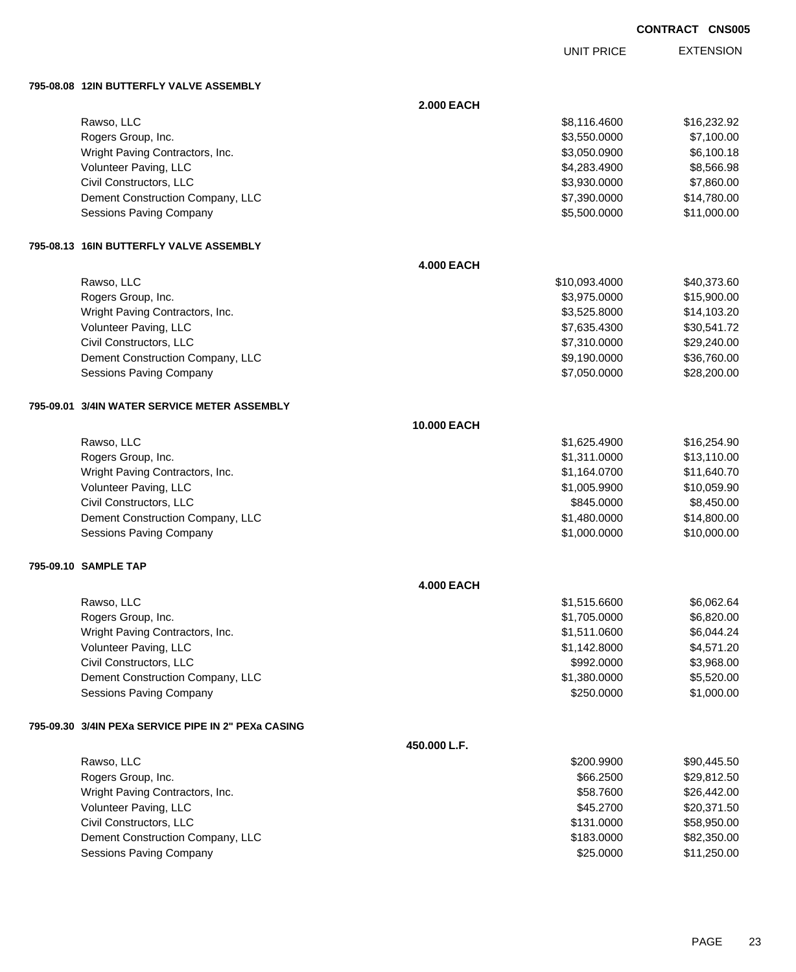UNIT PRICE

EXTENSION

**795-08.08 12IN BUTTERFLY VALVE ASSEMBLY**

|                                                     | <b>2.000 EACH</b> |               |             |
|-----------------------------------------------------|-------------------|---------------|-------------|
| Rawso, LLC                                          |                   | \$8,116.4600  | \$16,232.92 |
| Rogers Group, Inc.                                  |                   | \$3,550.0000  | \$7,100.00  |
| Wright Paving Contractors, Inc.                     |                   | \$3,050.0900  | \$6,100.18  |
| Volunteer Paving, LLC                               |                   | \$4,283.4900  | \$8,566.98  |
| Civil Constructors, LLC                             |                   | \$3,930.0000  | \$7,860.00  |
| Dement Construction Company, LLC                    |                   | \$7,390.0000  | \$14,780.00 |
| Sessions Paving Company                             |                   | \$5,500.0000  | \$11,000.00 |
| 795-08.13 16IN BUTTERFLY VALVE ASSEMBLY             |                   |               |             |
|                                                     | <b>4.000 EACH</b> |               |             |
| Rawso, LLC                                          |                   | \$10,093.4000 | \$40,373.60 |
| Rogers Group, Inc.                                  |                   | \$3,975.0000  | \$15,900.00 |
| Wright Paving Contractors, Inc.                     |                   | \$3,525.8000  | \$14,103.20 |
| Volunteer Paving, LLC                               |                   | \$7,635.4300  | \$30,541.72 |
| Civil Constructors, LLC                             |                   | \$7,310.0000  | \$29,240.00 |
| Dement Construction Company, LLC                    |                   | \$9,190.0000  | \$36,760.00 |
| Sessions Paving Company                             |                   | \$7,050.0000  | \$28,200.00 |
| 795-09.01   3/4IN WATER SERVICE METER ASSEMBLY      |                   |               |             |
|                                                     | 10.000 EACH       |               |             |
| Rawso, LLC                                          |                   | \$1,625.4900  | \$16,254.90 |
| Rogers Group, Inc.                                  |                   | \$1,311.0000  | \$13,110.00 |
| Wright Paving Contractors, Inc.                     |                   | \$1,164.0700  | \$11,640.70 |
| Volunteer Paving, LLC                               |                   | \$1,005.9900  | \$10,059.90 |
| Civil Constructors, LLC                             |                   | \$845.0000    | \$8,450.00  |
| Dement Construction Company, LLC                    |                   | \$1,480.0000  | \$14,800.00 |
| Sessions Paving Company                             |                   | \$1,000.0000  | \$10,000.00 |
| 795-09.10 SAMPLE TAP                                |                   |               |             |
|                                                     | <b>4.000 EACH</b> |               |             |
| Rawso, LLC                                          |                   | \$1,515.6600  | \$6,062.64  |
| Rogers Group, Inc.                                  |                   | \$1,705.0000  | \$6,820.00  |
| Wright Paving Contractors, Inc.                     |                   | \$1,511.0600  | \$6,044.24  |
| Volunteer Paving, LLC                               |                   | \$1,142.8000  | \$4,571.20  |
| Civil Constructors, LLC                             |                   | \$992.0000    | \$3,968.00  |
| Dement Construction Company, LLC                    |                   | \$1,380.0000  | \$5,520.00  |
| Sessions Paving Company                             |                   | \$250.0000    | \$1,000.00  |
| 795-09.30 3/4IN PEXa SERVICE PIPE IN 2" PEXa CASING |                   |               |             |
|                                                     | 450.000 L.F.      |               |             |
| Rawso, LLC                                          |                   | \$200.9900    | \$90,445.50 |
| Rogers Group, Inc.                                  |                   | \$66.2500     | \$29,812.50 |
| Wright Paving Contractors, Inc.                     |                   | \$58.7600     | \$26,442.00 |
| Volunteer Paving, LLC                               |                   | \$45.2700     | \$20,371.50 |
| Civil Constructors, LLC                             |                   | \$131.0000    | \$58,950.00 |
| Dement Construction Company, LLC                    |                   | \$183.0000    | \$82,350.00 |
| Sessions Paving Company                             |                   | \$25.0000     | \$11,250.00 |
|                                                     |                   |               |             |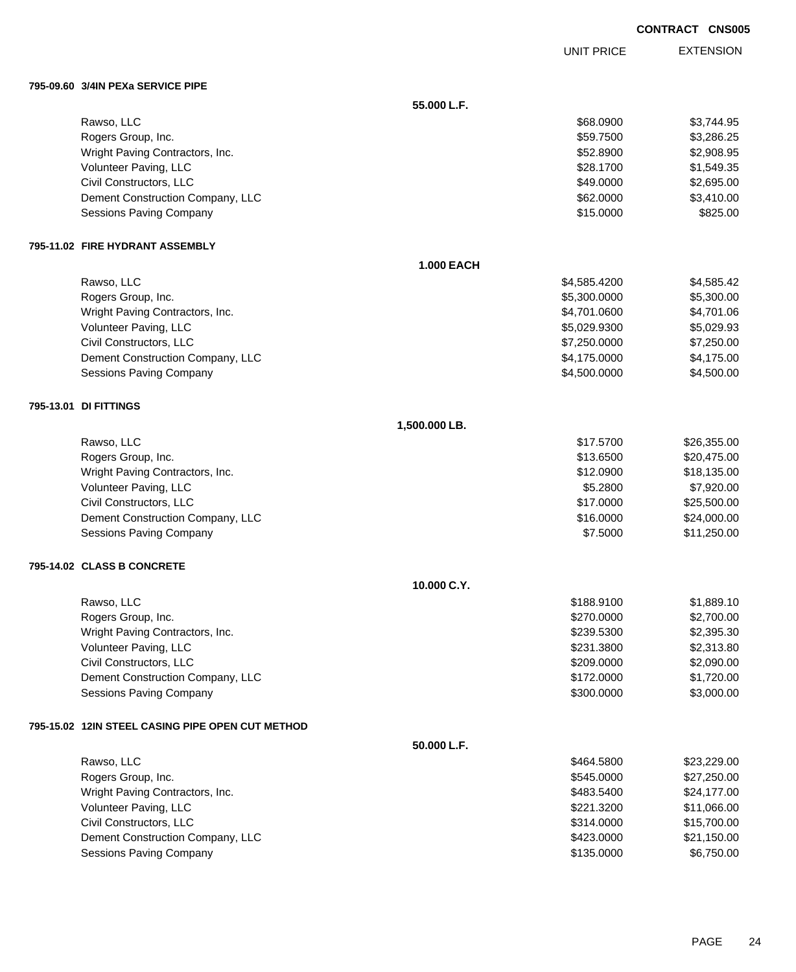| <b>CONTRACT</b> | <b>CNS005</b> |
|-----------------|---------------|
|-----------------|---------------|

EXTENSION UNIT PRICE

## **795-09.60 3/4IN PEXa SERVICE PIPE**

| 790-09.00 S/4IN FEAR SERVIGE FIFE                |                   |              |             |
|--------------------------------------------------|-------------------|--------------|-------------|
|                                                  | 55.000 L.F.       |              |             |
| Rawso, LLC                                       |                   | \$68.0900    | \$3,744.95  |
| Rogers Group, Inc.                               |                   | \$59.7500    | \$3,286.25  |
| Wright Paving Contractors, Inc.                  |                   | \$52.8900    | \$2,908.95  |
| Volunteer Paving, LLC                            |                   | \$28.1700    | \$1,549.35  |
| Civil Constructors, LLC                          |                   | \$49.0000    | \$2,695.00  |
| Dement Construction Company, LLC                 |                   | \$62.0000    | \$3,410.00  |
| <b>Sessions Paving Company</b>                   |                   | \$15.0000    | \$825.00    |
| 795-11.02 FIRE HYDRANT ASSEMBLY                  |                   |              |             |
|                                                  | <b>1.000 EACH</b> |              |             |
| Rawso, LLC                                       |                   | \$4,585.4200 | \$4,585.42  |
| Rogers Group, Inc.                               |                   | \$5,300.0000 | \$5,300.00  |
| Wright Paving Contractors, Inc.                  |                   | \$4,701.0600 | \$4,701.06  |
| Volunteer Paving, LLC                            |                   | \$5,029.9300 | \$5,029.93  |
| Civil Constructors, LLC                          |                   | \$7,250.0000 | \$7,250.00  |
| Dement Construction Company, LLC                 |                   | \$4,175.0000 | \$4,175.00  |
| <b>Sessions Paving Company</b>                   |                   | \$4,500.0000 | \$4,500.00  |
| 795-13.01 DI FITTINGS                            |                   |              |             |
|                                                  | 1,500.000 LB.     |              |             |
| Rawso, LLC                                       |                   | \$17.5700    | \$26,355.00 |
| Rogers Group, Inc.                               |                   | \$13.6500    | \$20,475.00 |
| Wright Paving Contractors, Inc.                  |                   | \$12.0900    | \$18,135.00 |
| Volunteer Paving, LLC                            |                   | \$5.2800     | \$7,920.00  |
| Civil Constructors, LLC                          |                   | \$17.0000    | \$25,500.00 |
| Dement Construction Company, LLC                 |                   | \$16.0000    | \$24,000.00 |
| <b>Sessions Paving Company</b>                   |                   | \$7.5000     | \$11,250.00 |
| 795-14.02 CLASS B CONCRETE                       |                   |              |             |
|                                                  | 10.000 C.Y.       |              |             |
| Rawso, LLC                                       |                   | \$188.9100   | \$1,889.10  |
| Rogers Group, Inc.                               |                   | \$270.0000   | \$2,700.00  |
| Wright Paving Contractors, Inc.                  |                   | \$239.5300   | \$2,395.30  |
| Volunteer Paving, LLC                            |                   | \$231.3800   | \$2,313.80  |
| Civil Constructors, LLC                          |                   | \$209.0000   | \$2,090.00  |
| Dement Construction Company, LLC                 |                   | \$172.0000   | \$1,720.00  |
| <b>Sessions Paving Company</b>                   |                   | \$300.0000   | \$3,000.00  |
| 795-15.02 12IN STEEL CASING PIPE OPEN CUT METHOD |                   |              |             |
|                                                  | 50.000 L.F.       |              |             |
| Rawso, LLC                                       |                   | \$464.5800   | \$23,229.00 |
| Rogers Group, Inc.                               |                   | \$545.0000   | \$27,250.00 |
| Wright Paving Contractors, Inc.                  |                   | \$483.5400   | \$24,177.00 |
| Volunteer Paving, LLC                            |                   | \$221.3200   | \$11,066.00 |
| Civil Constructors, LLC                          |                   | \$314.0000   | \$15,700.00 |
| Dement Construction Company, LLC                 |                   | \$423.0000   | \$21,150.00 |
| <b>Sessions Paving Company</b>                   |                   | \$135.0000   | \$6,750.00  |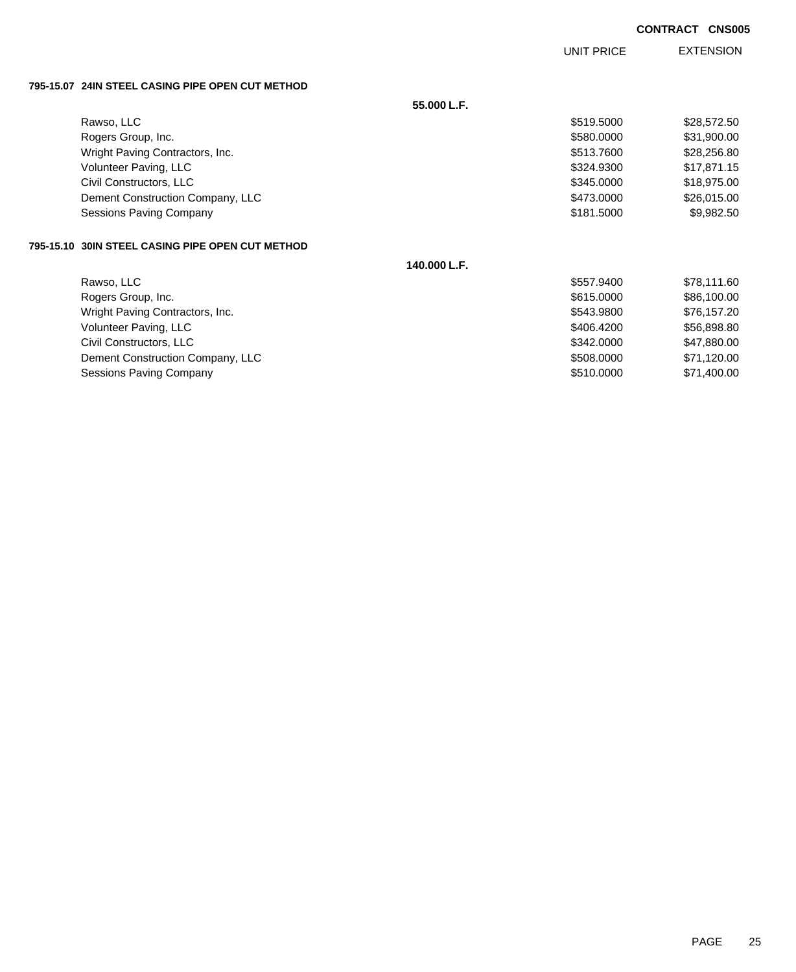UNIT PRICE

EXTENSION

**795-15.07 24IN STEEL CASING PIPE OPEN CUT METHOD**

|                                                   | 55.000 L.F.  |            |             |
|---------------------------------------------------|--------------|------------|-------------|
| Rawso, LLC                                        |              | \$519.5000 | \$28,572.50 |
| Rogers Group, Inc.                                |              | \$580,0000 | \$31,900.00 |
| Wright Paving Contractors, Inc.                   |              | \$513,7600 | \$28,256.80 |
| Volunteer Paving, LLC                             |              | \$324,9300 | \$17,871.15 |
| Civil Constructors, LLC                           |              | \$345,0000 | \$18,975.00 |
| Dement Construction Company, LLC                  |              | \$473,0000 | \$26,015.00 |
| <b>Sessions Paving Company</b>                    |              | \$181.5000 | \$9,982.50  |
| 795-15.10  30IN STEEL CASING PIPE OPEN CUT METHOD |              |            |             |
|                                                   | 140.000 L.F. |            |             |
| Rawso, LLC                                        |              | \$557,9400 | \$78,111.60 |
| Rogers Group, Inc.                                |              | \$615,0000 | \$86,100.00 |
| Wright Paving Contractors, Inc.                   |              | \$543,9800 | \$76,157.20 |
| Volunteer Paving, LLC                             |              | \$406.4200 | \$56,898.80 |
| Civil Constructors, LLC                           |              | \$342.0000 | \$47,880.00 |
| Dement Construction Company, LLC                  |              | \$508.0000 | \$71,120.00 |
| <b>Sessions Paving Company</b>                    |              | \$510.0000 | \$71,400.00 |
|                                                   |              |            |             |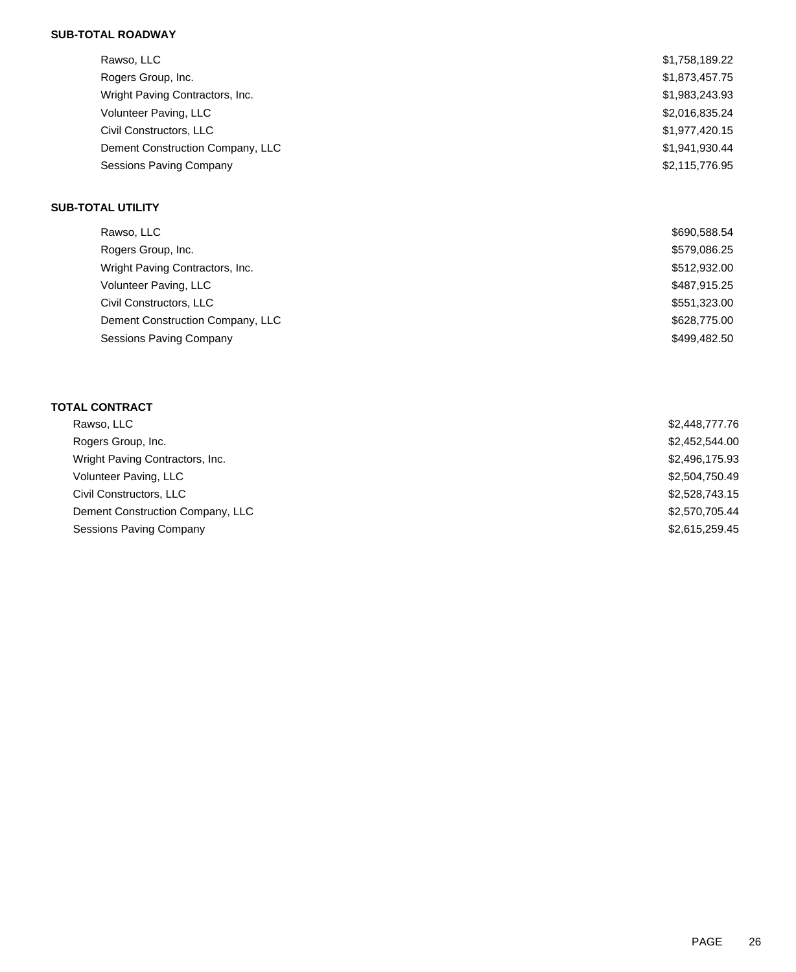# **SUB-TOTAL ROADWAY**

| Rawso, LLC                       | \$1,758,189.22 |
|----------------------------------|----------------|
| Rogers Group, Inc.               | \$1,873,457.75 |
| Wright Paving Contractors, Inc.  | \$1,983,243.93 |
| Volunteer Paving, LLC            | \$2,016,835.24 |
| Civil Constructors, LLC          | \$1,977,420.15 |
| Dement Construction Company, LLC | \$1.941.930.44 |
| <b>Sessions Paving Company</b>   | \$2,115,776.95 |

## **SUB-TOTAL UTILITY**

| Rawso, LLC                       | \$690,588.54 |
|----------------------------------|--------------|
| Rogers Group, Inc.               | \$579,086.25 |
| Wright Paving Contractors, Inc.  | \$512,932.00 |
| Volunteer Paving, LLC            | \$487,915.25 |
| Civil Constructors, LLC          | \$551,323.00 |
| Dement Construction Company, LLC | \$628,775.00 |
| <b>Sessions Paving Company</b>   | \$499,482.50 |

# **TOTAL CONTRACT**

| Rawso, LLC                       | \$2,448,777.76 |
|----------------------------------|----------------|
| Rogers Group, Inc.               | \$2,452,544.00 |
| Wright Paving Contractors, Inc.  | \$2,496,175.93 |
| Volunteer Paving, LLC            | \$2,504,750.49 |
| Civil Constructors, LLC          | \$2,528,743.15 |
| Dement Construction Company, LLC | \$2,570,705.44 |
| Sessions Paving Company          | \$2,615,259.45 |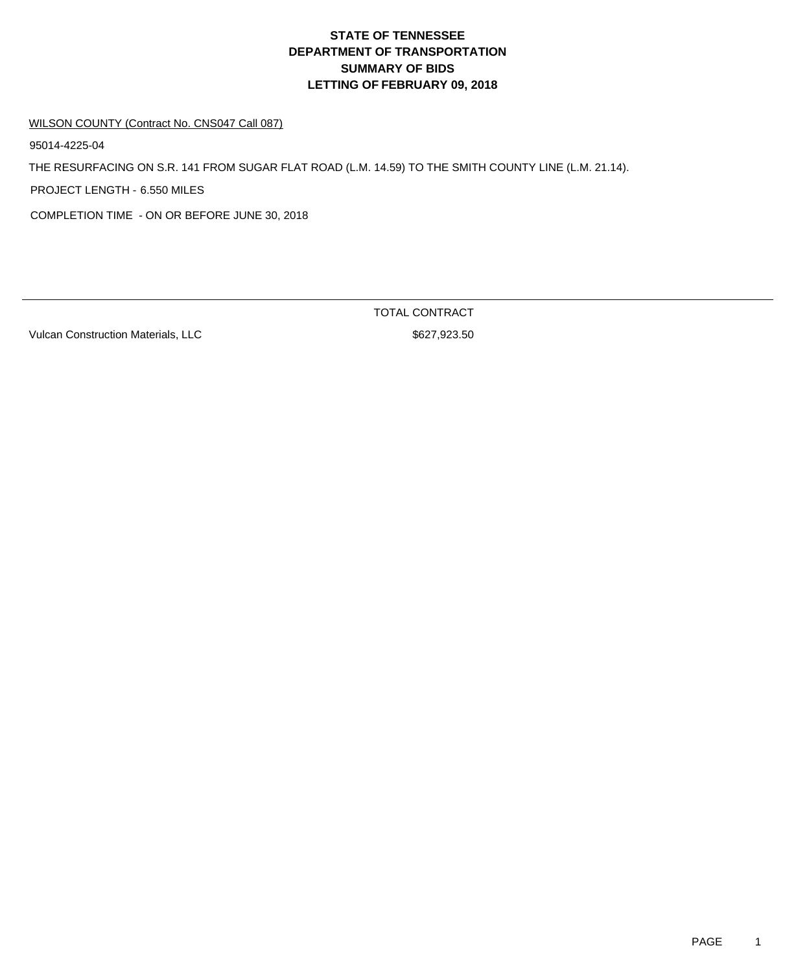# **DEPARTMENT OF TRANSPORTATION SUMMARY OF BIDS LETTING OF FEBRUARY 09, 2018 STATE OF TENNESSEE**

#### WILSON COUNTY (Contract No. CNS047 Call 087)

95014-4225-04

THE RESURFACING ON S.R. 141 FROM SUGAR FLAT ROAD (L.M. 14.59) TO THE SMITH COUNTY LINE (L.M. 21.14).

PROJECT LENGTH - 6.550 MILES

COMPLETION TIME - ON OR BEFORE JUNE 30, 2018

Vulcan Construction Materials, LLC \$627,923.50

TOTAL CONTRACT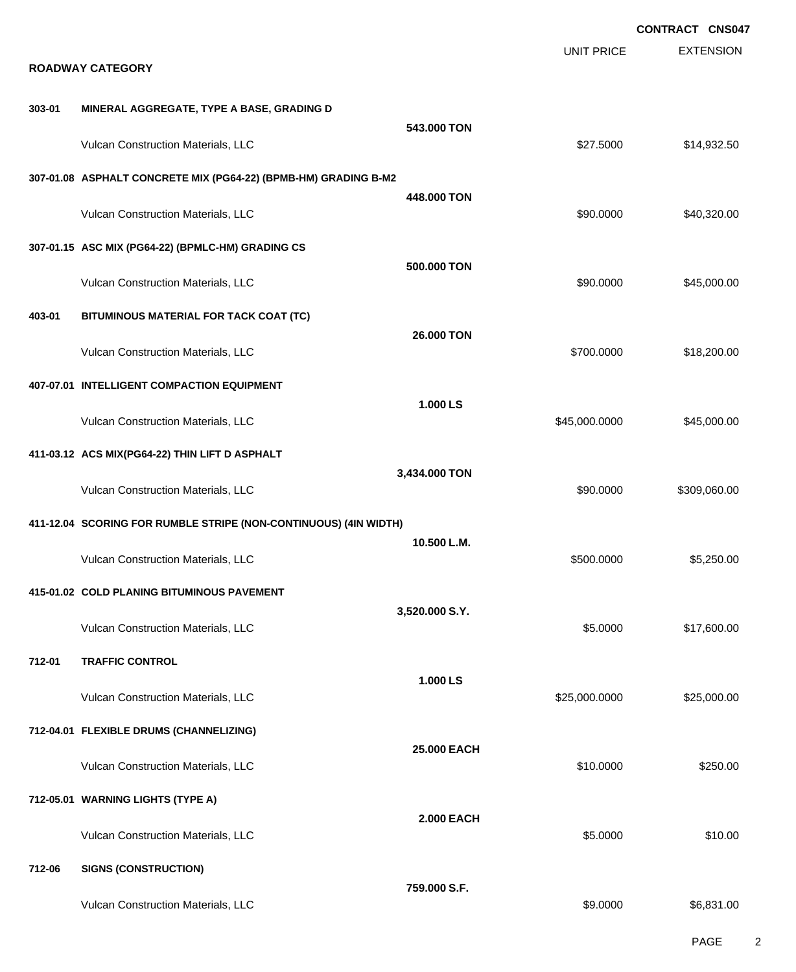|        |                                                                  |                    |                   | <b>CONTRACT CNS047</b> |
|--------|------------------------------------------------------------------|--------------------|-------------------|------------------------|
|        | <b>ROADWAY CATEGORY</b>                                          |                    | <b>UNIT PRICE</b> | <b>EXTENSION</b>       |
| 303-01 | MINERAL AGGREGATE, TYPE A BASE, GRADING D                        |                    |                   |                        |
|        | Vulcan Construction Materials, LLC                               | 543.000 TON        | \$27.5000         | \$14,932.50            |
|        | 307-01.08 ASPHALT CONCRETE MIX (PG64-22) (BPMB-HM) GRADING B-M2  | 448,000 TON        |                   |                        |
|        | Vulcan Construction Materials, LLC                               |                    | \$90.0000         | \$40,320.00            |
|        | 307-01.15 ASC MIX (PG64-22) (BPMLC-HM) GRADING CS                | 500.000 TON        |                   |                        |
|        | Vulcan Construction Materials, LLC                               |                    | \$90.0000         | \$45,000.00            |
| 403-01 | BITUMINOUS MATERIAL FOR TACK COAT (TC)                           | 26,000 TON         |                   |                        |
|        | Vulcan Construction Materials, LLC                               |                    | \$700.0000        | \$18,200.00            |
|        | 407-07.01 INTELLIGENT COMPACTION EQUIPMENT                       | 1.000 LS           |                   |                        |
|        | Vulcan Construction Materials, LLC                               |                    | \$45,000.0000     | \$45,000.00            |
|        | 411-03.12 ACS MIX(PG64-22) THIN LIFT D ASPHALT                   |                    |                   |                        |
|        | Vulcan Construction Materials, LLC                               | 3,434.000 TON      | \$90.0000         | \$309,060.00           |
|        | 411-12.04 SCORING FOR RUMBLE STRIPE (NON-CONTINUOUS) (4IN WIDTH) |                    |                   |                        |
|        | Vulcan Construction Materials, LLC                               | 10.500 L.M.        | \$500,0000        | \$5,250.00             |
|        | 415-01.02 COLD PLANING BITUMINOUS PAVEMENT                       |                    |                   |                        |
|        | Vulcan Construction Materials, LLC                               | 3,520.000 S.Y.     | \$5.0000          | \$17,600.00            |
| 712-01 | <b>TRAFFIC CONTROL</b>                                           |                    |                   |                        |
|        | Vulcan Construction Materials, LLC                               | 1.000 LS           | \$25,000.0000     | \$25,000.00            |
|        | 712-04.01 FLEXIBLE DRUMS (CHANNELIZING)                          |                    |                   |                        |
|        | Vulcan Construction Materials, LLC                               | <b>25,000 EACH</b> | \$10.0000         | \$250.00               |
|        | 712-05.01 WARNING LIGHTS (TYPE A)                                |                    |                   |                        |
|        | Vulcan Construction Materials, LLC                               | <b>2.000 EACH</b>  | \$5.0000          | \$10.00                |
| 712-06 | <b>SIGNS (CONSTRUCTION)</b>                                      |                    |                   |                        |
|        | Vulcan Construction Materials, LLC                               | 759.000 S.F.       | \$9.0000          | \$6,831.00             |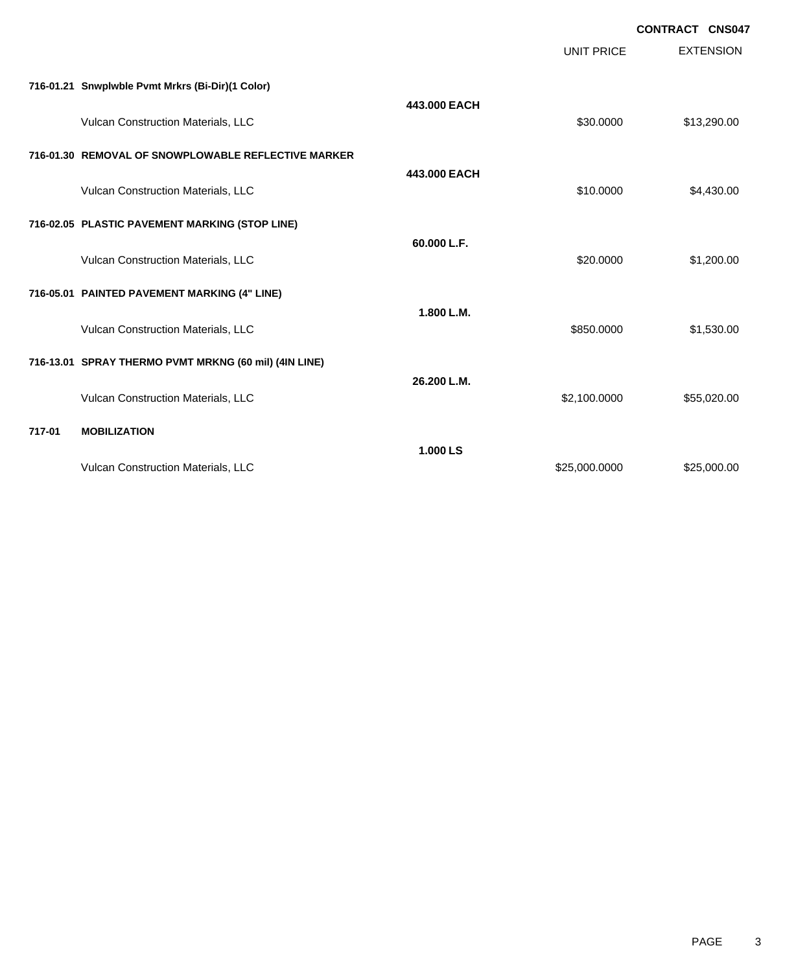|        |                                                       |              |                   | <b>CONTRACT CNS047</b> |
|--------|-------------------------------------------------------|--------------|-------------------|------------------------|
|        |                                                       |              | <b>UNIT PRICE</b> | <b>EXTENSION</b>       |
|        | 716-01.21 Snwplwble Pvmt Mrkrs (Bi-Dir)(1 Color)      |              |                   |                        |
|        | Vulcan Construction Materials, LLC                    | 443.000 EACH | \$30,0000         | \$13,290.00            |
|        | 716-01.30 REMOVAL OF SNOWPLOWABLE REFLECTIVE MARKER   |              |                   |                        |
|        | Vulcan Construction Materials, LLC                    | 443,000 EACH | \$10.0000         | \$4,430.00             |
|        | 716-02.05 PLASTIC PAVEMENT MARKING (STOP LINE)        |              |                   |                        |
|        | Vulcan Construction Materials, LLC                    | 60.000 L.F.  | \$20.0000         | \$1,200.00             |
|        | 716-05.01 PAINTED PAVEMENT MARKING (4" LINE)          |              |                   |                        |
|        | Vulcan Construction Materials, LLC                    | 1.800 L.M.   | \$850,0000        | \$1,530.00             |
|        | 716-13.01 SPRAY THERMO PVMT MRKNG (60 mil) (4IN LINE) |              |                   |                        |
|        | Vulcan Construction Materials, LLC                    | 26.200 L.M.  | \$2,100.0000      | \$55,020.00            |
| 717-01 | <b>MOBILIZATION</b>                                   |              |                   |                        |
|        | Vulcan Construction Materials, LLC                    | 1.000 LS     | \$25,000.0000     | \$25,000.00            |